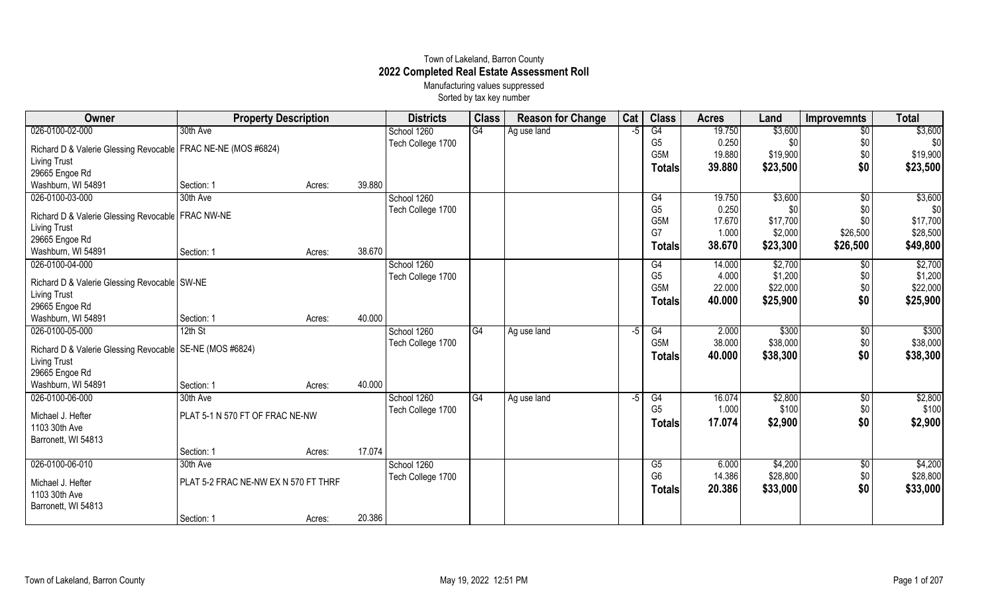## Town of Lakeland, Barron County **2022 Completed Real Estate Assessment Roll** Manufacturing values suppressed

Sorted by tax key number

| <b>Class</b><br>Cat<br><b>Class</b><br>Owner<br><b>Reason for Change</b><br><b>Property Description</b><br><b>Districts</b><br><b>Acres</b><br>Land  | <b>Total</b><br>Improvemnts   |
|------------------------------------------------------------------------------------------------------------------------------------------------------|-------------------------------|
| $\overline{G4}$<br>026-0100-02-000<br>30th Ave<br>G4<br>\$3,600<br>School 1260<br>Ag use land<br>19.750<br>$-5$                                      | \$3,600<br>$\overline{50}$    |
| G <sub>5</sub><br>0.250<br>\$0<br>Tech College 1700<br>Richard D & Valerie Glessing Revocable   FRAC NE-NE (MOS #6824)                               | \$0<br>\$0                    |
| G5M<br>19.880<br>\$19,900<br><b>Living Trust</b>                                                                                                     | \$0<br>\$19,900               |
| 39.880<br>\$23,500<br>Totals<br>29665 Engoe Rd                                                                                                       | \$0<br>\$23,500               |
| 39.880<br>Washburn, WI 54891<br>Section: 1<br>Acres:                                                                                                 |                               |
| 026-0100-03-000<br>30th Ave<br>School 1260<br>\$3,600<br>19.750<br>G4                                                                                | \$3,600<br>$\overline{50}$    |
| G <sub>5</sub><br>0.250<br>\$0<br>Tech College 1700<br>Richard D & Valerie Glessing Revocable   FRAC NW-NE<br>G <sub>5</sub> M<br>17.670<br>\$17,700 | \$0<br>\$0<br>\$0<br>\$17,700 |
| <b>Living Trust</b><br>G7<br>1.000<br>\$2,000                                                                                                        | \$26,500<br>\$28,500          |
| 29665 Engoe Rd<br>38.670<br>\$23,300                                                                                                                 | \$26,500<br>\$49,800          |
| <b>Totals</b><br>38.670<br>Washburn, WI 54891<br>Section: 1<br>Acres:                                                                                |                               |
| 026-0100-04-000<br>School 1260<br>\$2,700<br>G4<br>14.000                                                                                            | \$2,700<br>\$0                |
| G <sub>5</sub><br>\$1,200<br>4.000<br>Tech College 1700<br>Richard D & Valerie Glessing Revocable SW-NE                                              | \$0<br>\$1,200                |
| 22.000<br>\$22,000<br>G5M<br><b>Living Trust</b>                                                                                                     | \$0<br>\$22,000               |
| 40.000<br>\$25,900<br><b>Totals</b><br>29665 Engoe Rd                                                                                                | \$0<br>\$25,900               |
| 40.000<br>Washburn, WI 54891<br>Section: 1<br>Acres:                                                                                                 |                               |
| 026-0100-05-000<br>\$300<br>$12th$ St<br>School 1260<br>G4<br>G4<br>2.000<br>Ag use land<br>-5                                                       | \$300<br>\$0                  |
| 38.000<br>G5M<br>\$38,000<br>Tech College 1700                                                                                                       | \$0<br>\$38,000               |
| Richard D & Valerie Glessing Revocable   SE-NE (MOS #6824)<br>40.000<br>\$38,300<br><b>Totals</b>                                                    | \$0<br>\$38,300               |
| <b>Living Trust</b>                                                                                                                                  |                               |
| 29665 Engoe Rd                                                                                                                                       |                               |
| 40.000<br>Washburn, WI 54891<br>Section: 1<br>Acres:                                                                                                 |                               |
| 026-0100-06-000<br>School 1260<br>\$2,800<br>30th Ave<br>G4<br>G4<br>16.074<br>Ag use land<br>$-5$                                                   | \$2,800<br>$\sqrt[6]{}$       |
| \$100<br>G <sub>5</sub><br>1.000<br>Tech College 1700<br>PLAT 5-1 N 570 FT OF FRAC NE-NW<br>Michael J. Hefter                                        | \$0<br>\$100                  |
| 17.074<br>\$2,900<br><b>Totals</b><br>1103 30th Ave                                                                                                  | \$0<br>\$2,900                |
| Barronett, WI 54813                                                                                                                                  |                               |
| 17.074<br>Section: 1<br>Acres:                                                                                                                       |                               |
| 026-0100-06-010<br>\$4,200<br>School 1260<br>30th Ave<br>G5<br>6.000                                                                                 | \$4,200<br>\$0                |
| 14.386<br>G <sub>6</sub><br>\$28,800<br>Tech College 1700<br>PLAT 5-2 FRAC NE-NW EX N 570 FT THRF<br>Michael J. Hefter                               | \$0<br>\$28,800               |
| 20.386<br>\$33,000<br><b>Totals</b><br>1103 30th Ave                                                                                                 | \$0<br>\$33,000               |
| Barronett, WI 54813                                                                                                                                  |                               |
| 20.386<br>Section: 1<br>Acres:                                                                                                                       |                               |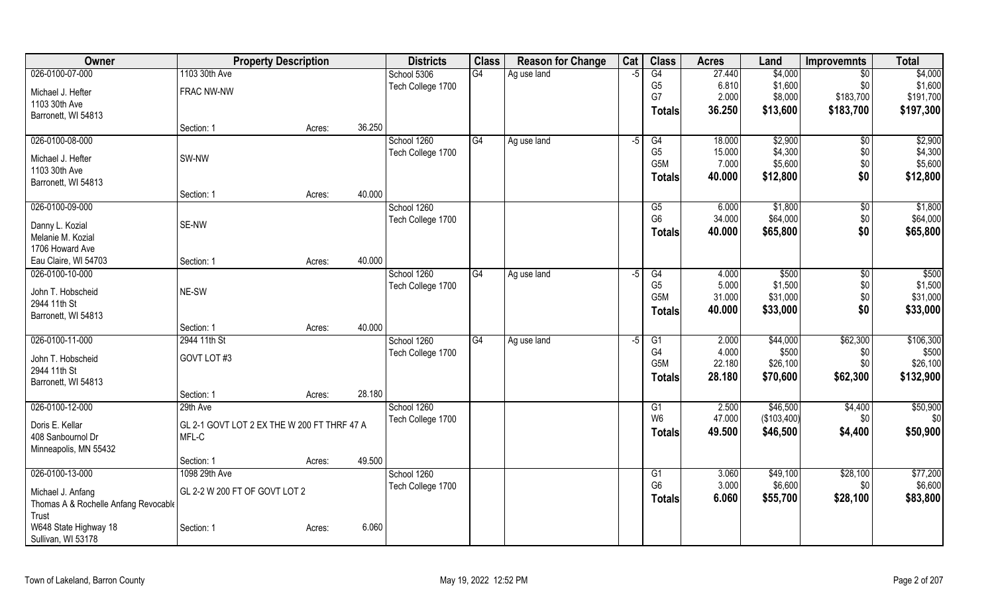| Owner                                       | <b>Property Description</b>                 |        |        | <b>Districts</b>  | <b>Class</b> | <b>Reason for Change</b> | Cat  | <b>Class</b>   | <b>Acres</b> | Land        | <b>Improvemnts</b> | <b>Total</b> |
|---------------------------------------------|---------------------------------------------|--------|--------|-------------------|--------------|--------------------------|------|----------------|--------------|-------------|--------------------|--------------|
| 026-0100-07-000                             | 1103 30th Ave                               |        |        | School 5306       | G4           | Ag use land              | $-5$ | G4             | 27.440       | \$4,000     | $\overline{50}$    | \$4,000      |
| Michael J. Hefter                           | FRAC NW-NW                                  |        |        | Tech College 1700 |              |                          |      | G <sub>5</sub> | 6.810        | \$1,600     | \$0                | \$1,600      |
| 1103 30th Ave                               |                                             |        |        |                   |              |                          |      | G7             | 2.000        | \$8,000     | \$183,700          | \$191,700    |
| Barronett, WI 54813                         |                                             |        |        |                   |              |                          |      | Totals         | 36.250       | \$13,600    | \$183,700          | \$197,300    |
|                                             | Section: 1                                  | Acres: | 36.250 |                   |              |                          |      |                |              |             |                    |              |
| 026-0100-08-000                             |                                             |        |        | School 1260       | G4           | Ag use land              | $-5$ | G4             | 18.000       | \$2,900     | $\sqrt{$0}$        | \$2,900      |
| Michael J. Hefter                           | SW-NW                                       |        |        | Tech College 1700 |              |                          |      | G <sub>5</sub> | 15.000       | \$4,300     | \$0                | \$4,300      |
| 1103 30th Ave                               |                                             |        |        |                   |              |                          |      | G5M            | 7.000        | \$5,600     | \$0                | \$5,600      |
| Barronett, WI 54813                         |                                             |        |        |                   |              |                          |      | <b>Totals</b>  | 40.000       | \$12,800    | \$0                | \$12,800     |
|                                             | Section: 1                                  | Acres: | 40.000 |                   |              |                          |      |                |              |             |                    |              |
| 026-0100-09-000                             |                                             |        |        | School 1260       |              |                          |      | G5             | 6.000        | \$1,800     | $\sqrt[6]{3}$      | \$1,800      |
| Danny L. Kozial                             | SE-NW                                       |        |        | Tech College 1700 |              |                          |      | G <sub>6</sub> | 34.000       | \$64,000    | \$0                | \$64,000     |
| Melanie M. Kozial                           |                                             |        |        |                   |              |                          |      | Totals         | 40.000       | \$65,800    | \$0                | \$65,800     |
| 1706 Howard Ave                             |                                             |        |        |                   |              |                          |      |                |              |             |                    |              |
| Eau Claire, WI 54703                        | Section: 1                                  | Acres: | 40.000 |                   |              |                          |      |                |              |             |                    |              |
| 026-0100-10-000                             |                                             |        |        | School 1260       | G4           | Ag use land              | $-5$ | G4             | 4.000        | \$500       | \$0                | \$500        |
| John T. Hobscheid                           | NE-SW                                       |        |        | Tech College 1700 |              |                          |      | G <sub>5</sub> | 5.000        | \$1,500     | \$0                | \$1,500      |
| 2944 11th St                                |                                             |        |        |                   |              |                          |      | G5M            | 31.000       | \$31,000    | \$0                | \$31,000     |
| Barronett, WI 54813                         |                                             |        |        |                   |              |                          |      | <b>Totals</b>  | 40.000       | \$33,000    | \$0                | \$33,000     |
|                                             | Section: 1                                  | Acres: | 40.000 |                   |              |                          |      |                |              |             |                    |              |
| 026-0100-11-000                             | 2944 11th St                                |        |        | School 1260       | G4           | Ag use land              | -5   | G1             | 2.000        | \$44,000    | \$62,300           | \$106,300    |
|                                             |                                             |        |        | Tech College 1700 |              |                          |      | G4             | 4.000        | \$500       | \$0                | \$500        |
| John T. Hobscheid                           | GOVT LOT #3                                 |        |        |                   |              |                          |      | G5M            | 22.180       | \$26,100    | \$0                | \$26,100     |
| 2944 11th St<br>Barronett, WI 54813         |                                             |        |        |                   |              |                          |      | <b>Totals</b>  | 28.180       | \$70,600    | \$62,300           | \$132,900    |
|                                             | Section: 1                                  | Acres: | 28.180 |                   |              |                          |      |                |              |             |                    |              |
| 026-0100-12-000                             | 29th Ave                                    |        |        | School 1260       |              |                          |      | G1             | 2.500        | \$46,500    | \$4,400            | \$50,900     |
|                                             |                                             |        |        | Tech College 1700 |              |                          |      | W <sub>6</sub> | 47.000       | (\$103,400) | \$0                | \$0          |
| Doris E. Kellar                             | GL 2-1 GOVT LOT 2 EX THE W 200 FT THRF 47 A |        |        |                   |              |                          |      | <b>Totals</b>  | 49.500       | \$46,500    | \$4,400            | \$50,900     |
| 408 Sanbournol Dr                           | MFL-C                                       |        |        |                   |              |                          |      |                |              |             |                    |              |
| Minneapolis, MN 55432                       | Section: 1                                  |        | 49.500 |                   |              |                          |      |                |              |             |                    |              |
| 026-0100-13-000                             | 1098 29th Ave                               | Acres: |        | School 1260       |              |                          |      | G1             | 3.060        | \$49,100    | \$28,100           | \$77,200     |
|                                             |                                             |        |        | Tech College 1700 |              |                          |      | G <sub>6</sub> | 3.000        | \$6,600     | \$0                | \$6,600      |
| Michael J. Anfang                           | GL 2-2 W 200 FT OF GOVT LOT 2               |        |        |                   |              |                          |      | <b>Totals</b>  | 6.060        | \$55,700    | \$28,100           | \$83,800     |
| Thomas A & Rochelle Anfang Revocable        |                                             |        |        |                   |              |                          |      |                |              |             |                    |              |
| Trust                                       |                                             |        |        |                   |              |                          |      |                |              |             |                    |              |
| W648 State Highway 18<br>Sullivan, WI 53178 | Section: 1                                  | Acres: | 6.060  |                   |              |                          |      |                |              |             |                    |              |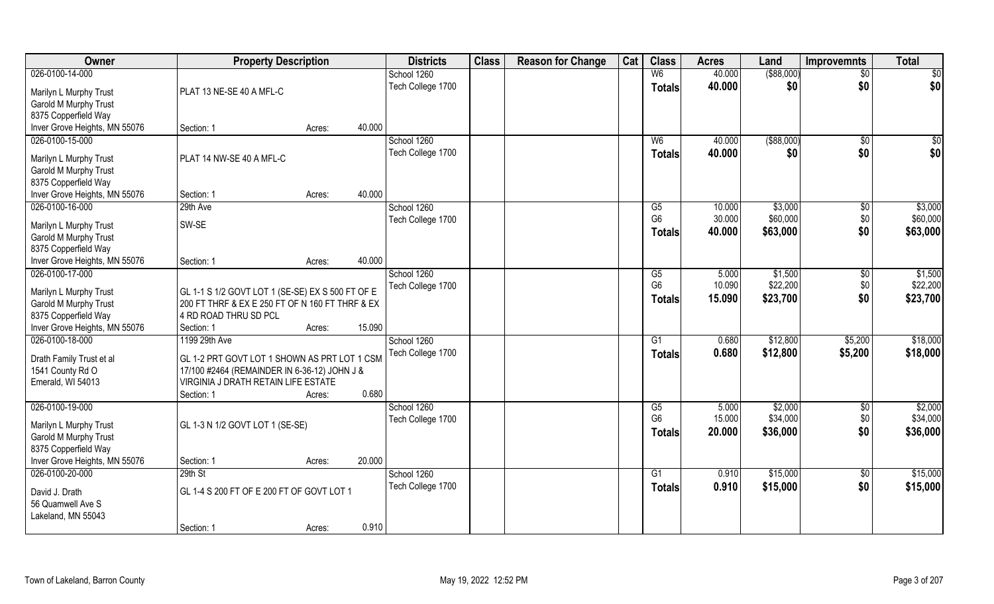| Owner                                            | <b>Property Description</b>                      |        |        | <b>Districts</b>  | <b>Class</b> | <b>Reason for Change</b> | Cat | <b>Class</b>         | <b>Acres</b>    | Land        | <b>Improvemnts</b>   | <b>Total</b>    |
|--------------------------------------------------|--------------------------------------------------|--------|--------|-------------------|--------------|--------------------------|-----|----------------------|-----------------|-------------|----------------------|-----------------|
| 026-0100-14-000                                  |                                                  |        |        | School 1260       |              |                          |     | W6                   | 40.000          | ( \$88,000) | $\sqrt{$0}$          | $\overline{50}$ |
| Marilyn L Murphy Trust                           | PLAT 13 NE-SE 40 A MFL-C                         |        |        | Tech College 1700 |              |                          |     | <b>Totals</b>        | 40.000          | \$0         | \$0                  | \$0             |
| Garold M Murphy Trust                            |                                                  |        |        |                   |              |                          |     |                      |                 |             |                      |                 |
| 8375 Copperfield Way                             |                                                  |        |        |                   |              |                          |     |                      |                 |             |                      |                 |
| Inver Grove Heights, MN 55076                    | Section: 1                                       | Acres: | 40.000 |                   |              |                          |     |                      |                 |             |                      |                 |
| 026-0100-15-000                                  |                                                  |        |        | School 1260       |              |                          |     | W <sub>6</sub>       | 40.000          | ( \$88,000) | \$0                  | \$0             |
|                                                  |                                                  |        |        | Tech College 1700 |              |                          |     | Totals               | 40.000          | \$0         | \$0                  | \$0             |
| Marilyn L Murphy Trust                           | PLAT 14 NW-SE 40 A MFL-C                         |        |        |                   |              |                          |     |                      |                 |             |                      |                 |
| Garold M Murphy Trust                            |                                                  |        |        |                   |              |                          |     |                      |                 |             |                      |                 |
| 8375 Copperfield Way                             | Section: 1                                       |        | 40.000 |                   |              |                          |     |                      |                 |             |                      |                 |
| Inver Grove Heights, MN 55076<br>026-0100-16-000 | 29th Ave                                         | Acres: |        | School 1260       |              |                          |     | G5                   | 10.000          | \$3,000     |                      | \$3,000         |
|                                                  |                                                  |        |        |                   |              |                          |     | G <sub>6</sub>       | 30.000          | \$60,000    | $\sqrt[6]{3}$<br>\$0 | \$60,000        |
| Marilyn L Murphy Trust                           | SW-SE                                            |        |        | Tech College 1700 |              |                          |     |                      |                 |             |                      |                 |
| Garold M Murphy Trust                            |                                                  |        |        |                   |              |                          |     | <b>Totals</b>        | 40.000          | \$63,000    | \$0                  | \$63,000        |
| 8375 Copperfield Way                             |                                                  |        |        |                   |              |                          |     |                      |                 |             |                      |                 |
| Inver Grove Heights, MN 55076                    | Section: 1                                       | Acres: | 40.000 |                   |              |                          |     |                      |                 |             |                      |                 |
| 026-0100-17-000                                  |                                                  |        |        | School 1260       |              |                          |     | G5                   | 5.000           | \$1,500     | \$0                  | \$1,500         |
| Marilyn L Murphy Trust                           | GL 1-1 S 1/2 GOVT LOT 1 (SE-SE) EX S 500 FT OF E |        |        | Tech College 1700 |              |                          |     | G <sub>6</sub>       | 10.090          | \$22,200    | \$0                  | \$22,200        |
| Garold M Murphy Trust                            | 200 FT THRF & EX E 250 FT OF N 160 FT THRF & EX  |        |        |                   |              |                          |     | <b>Totals</b>        | 15.090          | \$23,700    | \$0                  | \$23,700        |
| 8375 Copperfield Way                             | 4 RD ROAD THRU SD PCL                            |        |        |                   |              |                          |     |                      |                 |             |                      |                 |
| Inver Grove Heights, MN 55076                    | Section: 1                                       | Acres: | 15.090 |                   |              |                          |     |                      |                 |             |                      |                 |
| 026-0100-18-000                                  | 1199 29th Ave                                    |        |        | School 1260       |              |                          |     | $\overline{G1}$      | 0.680           | \$12,800    | \$5,200              | \$18,000        |
|                                                  |                                                  |        |        | Tech College 1700 |              |                          |     | <b>Totals</b>        | 0.680           | \$12,800    | \$5,200              | \$18,000        |
| Drath Family Trust et al                         | GL 1-2 PRT GOVT LOT 1 SHOWN AS PRT LOT 1 CSM     |        |        |                   |              |                          |     |                      |                 |             |                      |                 |
| 1541 County Rd O                                 | 17/100 #2464 (REMAINDER IN 6-36-12) JOHN J &     |        |        |                   |              |                          |     |                      |                 |             |                      |                 |
| Emerald, WI 54013                                | VIRGINIA J DRATH RETAIN LIFE ESTATE              |        |        |                   |              |                          |     |                      |                 |             |                      |                 |
|                                                  | Section: 1                                       | Acres: | 0.680  |                   |              |                          |     |                      |                 |             |                      |                 |
| 026-0100-19-000                                  |                                                  |        |        | School 1260       |              |                          |     | G5<br>G <sub>6</sub> | 5.000<br>15.000 | \$2,000     | \$0                  | \$2,000         |
| Marilyn L Murphy Trust                           | GL 1-3 N 1/2 GOVT LOT 1 (SE-SE)                  |        |        | Tech College 1700 |              |                          |     |                      |                 | \$34,000    | \$0                  | \$34,000        |
| Garold M Murphy Trust                            |                                                  |        |        |                   |              |                          |     | <b>Totals</b>        | 20.000          | \$36,000    | \$0                  | \$36,000        |
| 8375 Copperfield Way                             |                                                  |        |        |                   |              |                          |     |                      |                 |             |                      |                 |
| Inver Grove Heights, MN 55076                    | Section: 1                                       | Acres: | 20.000 |                   |              |                          |     |                      |                 |             |                      |                 |
| 026-0100-20-000                                  | 29th St                                          |        |        | School 1260       |              |                          |     | $\overline{G1}$      | 0.910           | \$15,000    | $\sqrt{$0}$          | \$15,000        |
| David J. Drath                                   | GL 1-4 S 200 FT OF E 200 FT OF GOVT LOT 1        |        |        | Tech College 1700 |              |                          |     | <b>Totals</b>        | 0.910           | \$15,000    | \$0                  | \$15,000        |
| 56 Quamwell Ave S                                |                                                  |        |        |                   |              |                          |     |                      |                 |             |                      |                 |
| Lakeland, MN 55043                               |                                                  |        |        |                   |              |                          |     |                      |                 |             |                      |                 |
|                                                  | Section: 1                                       | Acres: | 0.910  |                   |              |                          |     |                      |                 |             |                      |                 |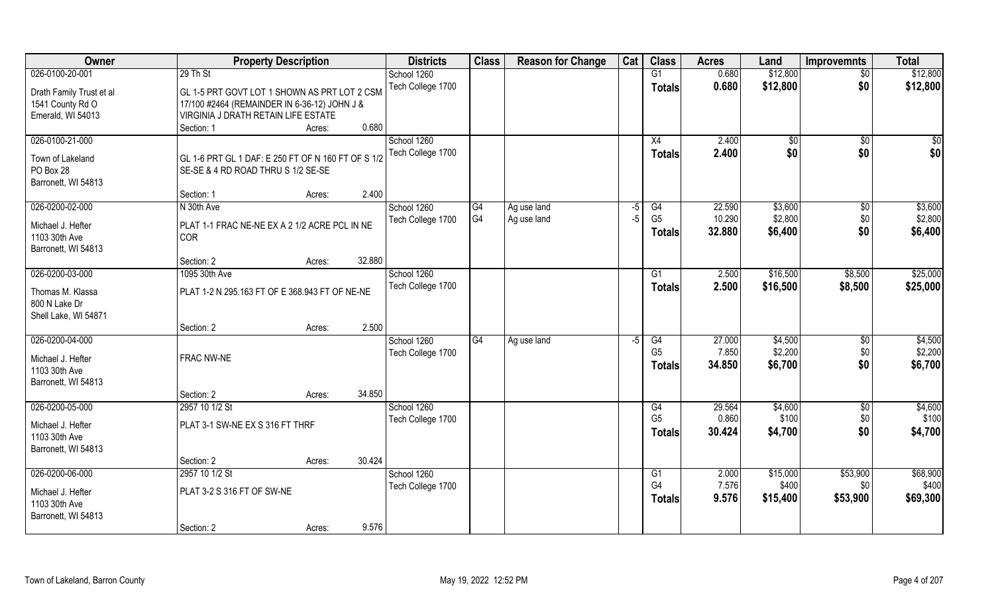| Owner                                | <b>Property Description</b>                        |                  | <b>Districts</b>  | <b>Class</b>    | <b>Reason for Change</b> | Cat  | <b>Class</b>    | <b>Acres</b> | Land         | <b>Improvemnts</b> | <b>Total</b> |
|--------------------------------------|----------------------------------------------------|------------------|-------------------|-----------------|--------------------------|------|-----------------|--------------|--------------|--------------------|--------------|
| 026-0100-20-001                      | 29 Th St                                           |                  | School 1260       |                 |                          |      | G1              | 0.680        | \$12,800     | $\overline{50}$    | \$12,800     |
| Drath Family Trust et al             | GL 1-5 PRT GOVT LOT 1 SHOWN AS PRT LOT 2 CSM       |                  | Tech College 1700 |                 |                          |      | <b>Totals</b>   | 0.680        | \$12,800     | \$0                | \$12,800     |
| 1541 County Rd O                     | 17/100 #2464 (REMAINDER IN 6-36-12) JOHN J &       |                  |                   |                 |                          |      |                 |              |              |                    |              |
| Emerald, WI 54013                    | VIRGINIA J DRATH RETAIN LIFE ESTATE                |                  |                   |                 |                          |      |                 |              |              |                    |              |
|                                      | Section: 1                                         | 0.680<br>Acres:  |                   |                 |                          |      |                 |              |              |                    |              |
| 026-0100-21-000                      |                                                    |                  | School 1260       |                 |                          |      | X4              | 2.400        | $\sqrt[6]{}$ | $\overline{50}$    | $\sqrt{50}$  |
| Town of Lakeland                     | GL 1-6 PRT GL 1 DAF: E 250 FT OF N 160 FT OF S 1/2 |                  | Tech College 1700 |                 |                          |      | <b>Totals</b>   | 2.400        | \$0          | \$0                | \$0          |
| PO Box 28                            | SE-SE & 4 RD ROAD THRU S 1/2 SE-SE                 |                  |                   |                 |                          |      |                 |              |              |                    |              |
| Barronett, WI 54813                  |                                                    |                  |                   |                 |                          |      |                 |              |              |                    |              |
|                                      | Section: 1                                         | 2.400<br>Acres:  |                   |                 |                          |      |                 |              |              |                    |              |
| 026-0200-02-000                      | N 30th Ave                                         |                  | School 1260       | G4              | Ag use land              | $-5$ | G4              | 22.590       | \$3,600      | $\sqrt[6]{30}$     | \$3,600      |
| Michael J. Hefter                    | PLAT 1-1 FRAC NE-NE EX A 2 1/2 ACRE PCL IN NE      |                  | Tech College 1700 | G4              | Ag use land              | $-5$ | G <sub>5</sub>  | 10.290       | \$2,800      | \$0                | \$2,800      |
| 1103 30th Ave                        | COR                                                |                  |                   |                 |                          |      | <b>Totals</b>   | 32.880       | \$6,400      | \$0                | \$6,400      |
| Barronett, WI 54813                  |                                                    |                  |                   |                 |                          |      |                 |              |              |                    |              |
|                                      | Section: 2                                         | 32.880<br>Acres: |                   |                 |                          |      |                 |              |              |                    |              |
| 026-0200-03-000                      | 1095 30th Ave                                      |                  | School 1260       |                 |                          |      | G1              | 2.500        | \$16,500     | \$8,500            | \$25,000     |
|                                      | PLAT 1-2 N 295.163 FT OF E 368.943 FT OF NE-NE     |                  | Tech College 1700 |                 |                          |      | <b>Totals</b>   | 2.500        | \$16,500     | \$8,500            | \$25,000     |
| Thomas M. Klassa<br>800 N Lake Dr    |                                                    |                  |                   |                 |                          |      |                 |              |              |                    |              |
| Shell Lake, WI 54871                 |                                                    |                  |                   |                 |                          |      |                 |              |              |                    |              |
|                                      | Section: 2                                         | 2.500<br>Acres:  |                   |                 |                          |      |                 |              |              |                    |              |
| 026-0200-04-000                      |                                                    |                  | School 1260       | $\overline{G4}$ | Ag use land              | $-5$ | G4              | 27.000       | \$4,500      | $\sqrt[6]{3}$      | \$4,500      |
|                                      |                                                    |                  | Tech College 1700 |                 |                          |      | G <sub>5</sub>  | 7.850        | \$2,200      | \$0                | \$2,200      |
| Michael J. Hefter<br>1103 30th Ave   | FRAC NW-NE                                         |                  |                   |                 |                          |      | <b>Totals</b>   | 34.850       | \$6,700      | \$0                | \$6,700      |
| Barronett, WI 54813                  |                                                    |                  |                   |                 |                          |      |                 |              |              |                    |              |
|                                      | Section: 2                                         | 34.850<br>Acres: |                   |                 |                          |      |                 |              |              |                    |              |
| 026-0200-05-000                      | 2957 10 1/2 St                                     |                  | School 1260       |                 |                          |      | G4              | 29.564       | \$4,600      | \$0                | \$4,600      |
|                                      |                                                    |                  | Tech College 1700 |                 |                          |      | G <sub>5</sub>  | 0.860        | \$100        | \$0                | \$100        |
| Michael J. Hefter                    | PLAT 3-1 SW-NE EX S 316 FT THRF                    |                  |                   |                 |                          |      | <b>Totals</b>   | 30.424       | \$4,700      | \$0                | \$4,700      |
| 1103 30th Ave<br>Barronett, WI 54813 |                                                    |                  |                   |                 |                          |      |                 |              |              |                    |              |
|                                      | Section: 2                                         | 30.424<br>Acres: |                   |                 |                          |      |                 |              |              |                    |              |
| 026-0200-06-000                      | 2957 10 1/2 St                                     |                  | School 1260       |                 |                          |      | $\overline{G1}$ | 2.000        | \$15,000     | \$53,900           | \$68,900     |
|                                      |                                                    |                  | Tech College 1700 |                 |                          |      | G <sub>4</sub>  | 7.576        | \$400        | \$0                | \$400        |
| Michael J. Hefter                    | PLAT 3-2 S 316 FT OF SW-NE                         |                  |                   |                 |                          |      | <b>Totals</b>   | 9.576        | \$15,400     | \$53,900           | \$69,300     |
| 1103 30th Ave                        |                                                    |                  |                   |                 |                          |      |                 |              |              |                    |              |
| Barronett, WI 54813                  |                                                    | 9.576            |                   |                 |                          |      |                 |              |              |                    |              |
|                                      | Section: 2                                         | Acres:           |                   |                 |                          |      |                 |              |              |                    |              |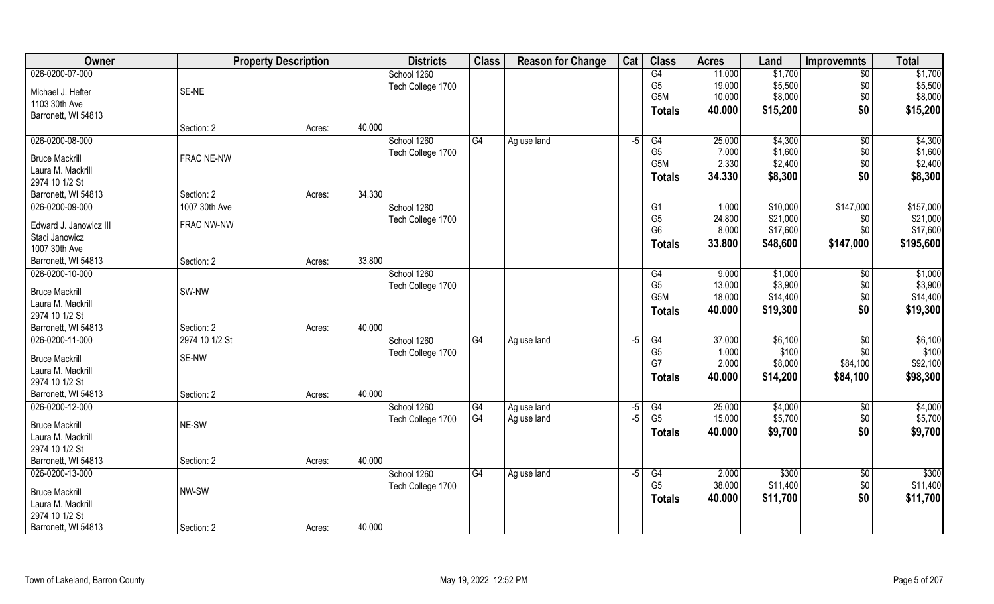| Owner                                      | <b>Property Description</b> |        |        | <b>Districts</b>  | <b>Class</b> | <b>Reason for Change</b> | Cat             | <b>Class</b>    | <b>Acres</b> | Land     | <b>Improvemnts</b> | <b>Total</b> |
|--------------------------------------------|-----------------------------|--------|--------|-------------------|--------------|--------------------------|-----------------|-----------------|--------------|----------|--------------------|--------------|
| 026-0200-07-000                            |                             |        |        | School 1260       |              |                          |                 | G4              | 11.000       | \$1,700  | $\overline{50}$    | \$1,700      |
| Michael J. Hefter                          | SE-NE                       |        |        | Tech College 1700 |              |                          |                 | G <sub>5</sub>  | 19.000       | \$5,500  | \$0                | \$5,500      |
| 1103 30th Ave                              |                             |        |        |                   |              |                          |                 | G5M             | 10.000       | \$8,000  | \$0                | \$8,000      |
| Barronett, WI 54813                        |                             |        |        |                   |              |                          |                 | <b>Totals</b>   | 40.000       | \$15,200 | \$0                | \$15,200     |
|                                            | Section: 2                  | Acres: | 40.000 |                   |              |                          |                 |                 |              |          |                    |              |
| 026-0200-08-000                            |                             |        |        | School 1260       | G4           | Ag use land              | $\overline{-5}$ | G4              | 25.000       | \$4,300  | \$0                | \$4,300      |
|                                            | FRAC NE-NW                  |        |        | Tech College 1700 |              |                          |                 | G <sub>5</sub>  | 7.000        | \$1,600  | \$0                | \$1,600      |
| <b>Bruce Mackrill</b><br>Laura M. Mackrill |                             |        |        |                   |              |                          |                 | G5M             | 2.330        | \$2,400  | \$0                | \$2,400      |
| 2974 10 1/2 St                             |                             |        |        |                   |              |                          |                 | <b>Totals</b>   | 34.330       | \$8,300  | \$0                | \$8,300      |
| Barronett, WI 54813                        | Section: 2                  | Acres: | 34.330 |                   |              |                          |                 |                 |              |          |                    |              |
| 026-0200-09-000                            | 1007 30th Ave               |        |        | School 1260       |              |                          |                 | G <sub>1</sub>  | 1.000        | \$10,000 | \$147,000          | \$157,000    |
|                                            |                             |        |        | Tech College 1700 |              |                          |                 | G <sub>5</sub>  | 24.800       | \$21,000 | \$0                | \$21,000     |
| Edward J. Janowicz III                     | FRAC NW-NW                  |        |        |                   |              |                          |                 | G <sub>6</sub>  | 8.000        | \$17,600 | \$0                | \$17,600     |
| Staci Janowicz                             |                             |        |        |                   |              |                          |                 | Totals          | 33.800       | \$48,600 | \$147,000          | \$195,600    |
| 1007 30th Ave                              |                             |        |        |                   |              |                          |                 |                 |              |          |                    |              |
| Barronett, WI 54813                        | Section: 2                  | Acres: | 33.800 |                   |              |                          |                 |                 |              |          |                    |              |
| 026-0200-10-000                            |                             |        |        | School 1260       |              |                          |                 | G4              | 9.000        | \$1,000  | \$0                | \$1,000      |
| <b>Bruce Mackrill</b>                      | SW-NW                       |        |        | Tech College 1700 |              |                          |                 | G <sub>5</sub>  | 13.000       | \$3,900  | \$0                | \$3,900      |
| Laura M. Mackrill                          |                             |        |        |                   |              |                          |                 | G5M             | 18.000       | \$14,400 | \$0                | \$14,400     |
| 2974 10 1/2 St                             |                             |        |        |                   |              |                          |                 | <b>Totals</b>   | 40.000       | \$19,300 | \$0                | \$19,300     |
| Barronett, WI 54813                        | Section: 2                  | Acres: | 40.000 |                   |              |                          |                 |                 |              |          |                    |              |
| 026-0200-11-000                            | 2974 10 1/2 St              |        |        | School 1260       | G4           | Ag use land              | $-5$            | $\overline{G4}$ | 37.000       | \$6,100  | \$0                | \$6,100      |
|                                            |                             |        |        | Tech College 1700 |              |                          |                 | G <sub>5</sub>  | 1.000        | \$100    | \$0                | \$100        |
| <b>Bruce Mackrill</b>                      | SE-NW                       |        |        |                   |              |                          |                 | G7              | 2.000        | \$8,000  | \$84,100           | \$92,100     |
| Laura M. Mackrill                          |                             |        |        |                   |              |                          |                 | <b>Totals</b>   | 40.000       | \$14,200 | \$84,100           | \$98,300     |
| 2974 10 1/2 St                             |                             |        |        |                   |              |                          |                 |                 |              |          |                    |              |
| Barronett, WI 54813                        | Section: 2                  | Acres: | 40.000 |                   |              |                          |                 |                 |              |          |                    |              |
| 026-0200-12-000                            |                             |        |        | School 1260       | G4           | Ag use land              | $-5$            | G4              | 25.000       | \$4,000  | \$0                | \$4,000      |
| <b>Bruce Mackrill</b>                      | NE-SW                       |        |        | Tech College 1700 | G4           | Ag use land              | $-5$            | G <sub>5</sub>  | 15.000       | \$5,700  | \$0                | \$5,700      |
| Laura M. Mackrill                          |                             |        |        |                   |              |                          |                 | <b>Totals</b>   | 40.000       | \$9,700  | \$0                | \$9,700      |
| 2974 10 1/2 St                             |                             |        |        |                   |              |                          |                 |                 |              |          |                    |              |
| Barronett, WI 54813                        | Section: 2                  | Acres: | 40.000 |                   |              |                          |                 |                 |              |          |                    |              |
| 026-0200-13-000                            |                             |        |        | School 1260       | G4           | Ag use land              | $-5$            | G4              | 2.000        | \$300    | $\sqrt{$0}$        | \$300        |
|                                            |                             |        |        | Tech College 1700 |              |                          |                 | G <sub>5</sub>  | 38.000       | \$11,400 | \$0                | \$11,400     |
| <b>Bruce Mackrill</b>                      | NW-SW                       |        |        |                   |              |                          |                 | <b>Totals</b>   | 40.000       | \$11,700 | \$0                | \$11,700     |
| Laura M. Mackrill                          |                             |        |        |                   |              |                          |                 |                 |              |          |                    |              |
| 2974 10 1/2 St                             |                             |        |        |                   |              |                          |                 |                 |              |          |                    |              |
| Barronett, WI 54813                        | Section: 2                  | Acres: | 40.000 |                   |              |                          |                 |                 |              |          |                    |              |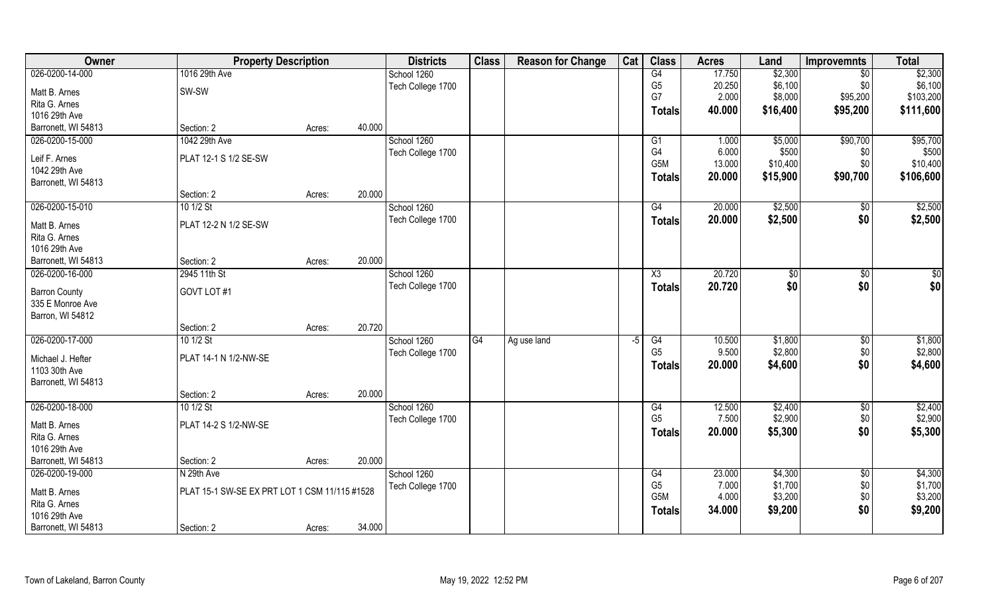| Owner                | <b>Property Description</b>                   |        |        | <b>Districts</b>  | <b>Class</b>    | <b>Reason for Change</b> | Cat | <b>Class</b>    | <b>Acres</b> | Land          | Improvemnts     | <b>Total</b> |
|----------------------|-----------------------------------------------|--------|--------|-------------------|-----------------|--------------------------|-----|-----------------|--------------|---------------|-----------------|--------------|
| 026-0200-14-000      | 1016 29th Ave                                 |        |        | School 1260       |                 |                          |     | G4              | 17.750       | \$2,300       | $\overline{50}$ | \$2,300      |
| Matt B. Arnes        | SW-SW                                         |        |        | Tech College 1700 |                 |                          |     | G <sub>5</sub>  | 20.250       | \$6,100       | \$0             | \$6,100      |
| Rita G. Arnes        |                                               |        |        |                   |                 |                          |     | G7              | 2.000        | \$8,000       | \$95,200        | \$103,200    |
| 1016 29th Ave        |                                               |        |        |                   |                 |                          |     | <b>Totals</b>   | 40.000       | \$16,400      | \$95,200        | \$111,600    |
| Barronett, WI 54813  | Section: 2                                    | Acres: | 40.000 |                   |                 |                          |     |                 |              |               |                 |              |
| 026-0200-15-000      | 1042 29th Ave                                 |        |        | School 1260       |                 |                          |     | G1              | 1.000        | \$5,000       | \$90,700        | \$95,700     |
|                      |                                               |        |        | Tech College 1700 |                 |                          |     | G4              | 6.000        | \$500         | \$0             | \$500        |
| Leif F. Arnes        | PLAT 12-1 S 1/2 SE-SW                         |        |        |                   |                 |                          |     | G5M             | 13.000       | \$10,400      | \$0             | \$10,400     |
| 1042 29th Ave        |                                               |        |        |                   |                 |                          |     | <b>Totals</b>   | 20.000       | \$15,900      | \$90,700        | \$106,600    |
| Barronett, WI 54813  |                                               |        | 20.000 |                   |                 |                          |     |                 |              |               |                 |              |
|                      | Section: 2                                    | Acres: |        |                   |                 |                          |     |                 |              |               |                 |              |
| 026-0200-15-010      | 10 1/2 St                                     |        |        | School 1260       |                 |                          |     | G4              | 20.000       | \$2,500       | $\sqrt[6]{30}$  | \$2,500      |
| Matt B. Arnes        | PLAT 12-2 N 1/2 SE-SW                         |        |        | Tech College 1700 |                 |                          |     | <b>Totals</b>   | 20.000       | \$2,500       | \$0             | \$2,500      |
| Rita G. Arnes        |                                               |        |        |                   |                 |                          |     |                 |              |               |                 |              |
| 1016 29th Ave        |                                               |        |        |                   |                 |                          |     |                 |              |               |                 |              |
| Barronett, WI 54813  | Section: 2                                    | Acres: | 20.000 |                   |                 |                          |     |                 |              |               |                 |              |
| 026-0200-16-000      | 2945 11th St                                  |        |        | School 1260       |                 |                          |     | X3              | 20.720       | $\sqrt[6]{3}$ | $\sqrt[6]{3}$   | \$0          |
| <b>Barron County</b> | GOVT LOT #1                                   |        |        | Tech College 1700 |                 |                          |     | <b>Totals</b>   | 20.720       | \$0           | \$0             | \$0          |
| 335 E Monroe Ave     |                                               |        |        |                   |                 |                          |     |                 |              |               |                 |              |
| Barron, WI 54812     |                                               |        |        |                   |                 |                          |     |                 |              |               |                 |              |
|                      | Section: 2                                    | Acres: | 20.720 |                   |                 |                          |     |                 |              |               |                 |              |
| 026-0200-17-000      | 10 1/2 St                                     |        |        | School 1260       | $\overline{G4}$ | Ag use land              | -5  | $\overline{G4}$ | 10.500       | \$1,800       | $\sqrt[6]{30}$  | \$1,800      |
|                      |                                               |        |        | Tech College 1700 |                 |                          |     | G <sub>5</sub>  | 9.500        | \$2,800       | \$0             | \$2,800      |
| Michael J. Hefter    | PLAT 14-1 N 1/2-NW-SE                         |        |        |                   |                 |                          |     | <b>Totals</b>   | 20.000       | \$4,600       | \$0             | \$4,600      |
| 1103 30th Ave        |                                               |        |        |                   |                 |                          |     |                 |              |               |                 |              |
| Barronett, WI 54813  | Section: 2                                    |        | 20.000 |                   |                 |                          |     |                 |              |               |                 |              |
| 026-0200-18-000      | 10 1/2 St                                     | Acres: |        | School 1260       |                 |                          |     | G4              | 12.500       | \$2,400       |                 | \$2,400      |
|                      |                                               |        |        | Tech College 1700 |                 |                          |     | G <sub>5</sub>  | 7.500        | \$2,900       | \$0<br>\$0      | \$2,900      |
| Matt B. Arnes        | PLAT 14-2 S 1/2-NW-SE                         |        |        |                   |                 |                          |     |                 | 20.000       | \$5,300       | \$0             | \$5,300      |
| Rita G. Arnes        |                                               |        |        |                   |                 |                          |     | <b>Totals</b>   |              |               |                 |              |
| 1016 29th Ave        |                                               |        |        |                   |                 |                          |     |                 |              |               |                 |              |
| Barronett, WI 54813  | Section: 2                                    | Acres: | 20.000 |                   |                 |                          |     |                 |              |               |                 |              |
| 026-0200-19-000      | N 29th Ave                                    |        |        | School 1260       |                 |                          |     | G4              | 23.000       | \$4,300       | $\sqrt{$0}$     | \$4,300      |
| Matt B. Arnes        | PLAT 15-1 SW-SE EX PRT LOT 1 CSM 11/115 #1528 |        |        | Tech College 1700 |                 |                          |     | G <sub>5</sub>  | 7.000        | \$1,700       | \$0             | \$1,700      |
| Rita G. Arnes        |                                               |        |        |                   |                 |                          |     | G5M             | 4.000        | \$3,200       | \$0             | \$3,200      |
| 1016 29th Ave        |                                               |        |        |                   |                 |                          |     | <b>Totals</b>   | 34.000       | \$9,200       | \$0             | \$9,200      |
| Barronett, WI 54813  | Section: 2                                    | Acres: | 34.000 |                   |                 |                          |     |                 |              |               |                 |              |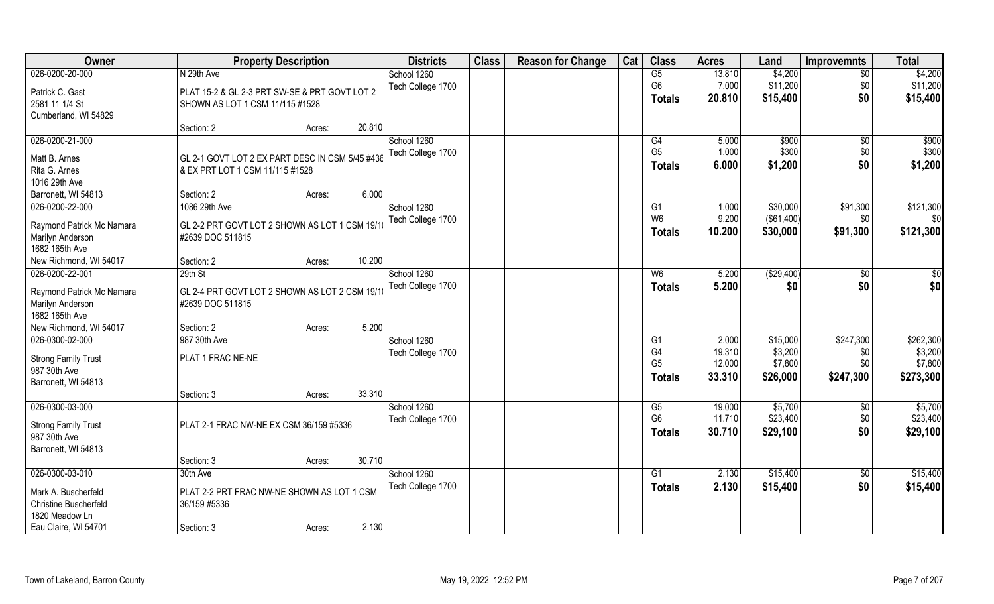| \$4,200<br>026-0200-20-000<br>N 29th Ave<br>13.810<br>\$4,200<br>School 1260<br>G5<br>$\overline{50}$<br>G <sub>6</sub><br>7.000<br>\$11,200<br>\$11,200<br>Tech College 1700<br>\$0<br>Patrick C. Gast<br>PLAT 15-2 & GL 2-3 PRT SW-SE & PRT GOVT LOT 2<br>\$0<br>\$15,400<br>\$15,400<br>20.810<br><b>Totals</b><br>2581 11 1/4 St<br>SHOWN AS LOT 1 CSM 11/115 #1528<br>Cumberland, WI 54829<br>20.810<br>Section: 2<br>Acres:<br>026-0200-21-000<br>School 1260<br>\$900<br>\$900<br>G4<br>5.000<br>\$0<br>G <sub>5</sub><br>1.000<br>\$300<br>\$0<br>\$300<br>Tech College 1700<br>GL 2-1 GOVT LOT 2 EX PART DESC IN CSM 5/45 #436<br>Matt B. Arnes<br>\$0<br>6.000<br>\$1,200<br>\$1,200<br><b>Totals</b><br>Rita G. Arnes<br>& EX PRT LOT 1 CSM 11/115 #1528<br>1016 29th Ave<br>6.000<br>Barronett, WI 54813<br>Section: 2<br>Acres:<br>026-0200-22-000<br>\$30,000<br>\$121,300<br>1086 29th Ave<br>School 1260<br>G1<br>\$91,300<br>1.000<br>W <sub>6</sub><br>9.200<br>(\$61,400)<br>Tech College 1700<br>\$0<br>\$0<br>GL 2-2 PRT GOVT LOT 2 SHOWN AS LOT 1 CSM 19/1<br>Raymond Patrick Mc Namara<br>10.200<br>\$91,300<br>\$121,300<br>\$30,000<br><b>Totals</b><br>Marilyn Anderson<br>#2639 DOC 511815<br>1682 165th Ave<br>10.200<br>New Richmond, WI 54017<br>Section: 2<br>Acres:<br>026-0200-22-001<br>School 1260<br>( \$29,400)<br>\$0<br>29th St<br>W <sub>6</sub><br>5.200<br>\$0<br>\$0<br>\$0<br>Tech College 1700<br>5.200<br>\$0<br><b>Totals</b><br>GL 2-4 PRT GOVT LOT 2 SHOWN AS LOT 2 CSM 19/1<br>Raymond Patrick Mc Namara<br>Marilyn Anderson<br>#2639 DOC 511815<br>1682 165th Ave<br>5.200<br>New Richmond, WI 54017<br>Section: 2<br>Acres:<br>\$247,300<br>\$262,300<br>026-0300-02-000<br>987 30th Ave<br>2.000<br>\$15,000<br>School 1260<br>G1<br>G <sub>4</sub><br>\$3,200<br>\$3,200<br>19.310<br>\$0<br>Tech College 1700<br>PLAT 1 FRAC NE-NE<br><b>Strong Family Trust</b><br>G <sub>5</sub><br>12.000<br>\$7,800<br>\$0<br>\$7,800<br>987 30th Ave |
|--------------------------------------------------------------------------------------------------------------------------------------------------------------------------------------------------------------------------------------------------------------------------------------------------------------------------------------------------------------------------------------------------------------------------------------------------------------------------------------------------------------------------------------------------------------------------------------------------------------------------------------------------------------------------------------------------------------------------------------------------------------------------------------------------------------------------------------------------------------------------------------------------------------------------------------------------------------------------------------------------------------------------------------------------------------------------------------------------------------------------------------------------------------------------------------------------------------------------------------------------------------------------------------------------------------------------------------------------------------------------------------------------------------------------------------------------------------------------------------------------------------------------------------------------------------------------------------------------------------------------------------------------------------------------------------------------------------------------------------------------------------------------------------------------------------------------------------------------------------------------------------------------------------------------------------------------------------------------------------------------|
|                                                                                                                                                                                                                                                                                                                                                                                                                                                                                                                                                                                                                                                                                                                                                                                                                                                                                                                                                                                                                                                                                                                                                                                                                                                                                                                                                                                                                                                                                                                                                                                                                                                                                                                                                                                                                                                                                                                                                                                                  |
|                                                                                                                                                                                                                                                                                                                                                                                                                                                                                                                                                                                                                                                                                                                                                                                                                                                                                                                                                                                                                                                                                                                                                                                                                                                                                                                                                                                                                                                                                                                                                                                                                                                                                                                                                                                                                                                                                                                                                                                                  |
|                                                                                                                                                                                                                                                                                                                                                                                                                                                                                                                                                                                                                                                                                                                                                                                                                                                                                                                                                                                                                                                                                                                                                                                                                                                                                                                                                                                                                                                                                                                                                                                                                                                                                                                                                                                                                                                                                                                                                                                                  |
|                                                                                                                                                                                                                                                                                                                                                                                                                                                                                                                                                                                                                                                                                                                                                                                                                                                                                                                                                                                                                                                                                                                                                                                                                                                                                                                                                                                                                                                                                                                                                                                                                                                                                                                                                                                                                                                                                                                                                                                                  |
|                                                                                                                                                                                                                                                                                                                                                                                                                                                                                                                                                                                                                                                                                                                                                                                                                                                                                                                                                                                                                                                                                                                                                                                                                                                                                                                                                                                                                                                                                                                                                                                                                                                                                                                                                                                                                                                                                                                                                                                                  |
|                                                                                                                                                                                                                                                                                                                                                                                                                                                                                                                                                                                                                                                                                                                                                                                                                                                                                                                                                                                                                                                                                                                                                                                                                                                                                                                                                                                                                                                                                                                                                                                                                                                                                                                                                                                                                                                                                                                                                                                                  |
|                                                                                                                                                                                                                                                                                                                                                                                                                                                                                                                                                                                                                                                                                                                                                                                                                                                                                                                                                                                                                                                                                                                                                                                                                                                                                                                                                                                                                                                                                                                                                                                                                                                                                                                                                                                                                                                                                                                                                                                                  |
|                                                                                                                                                                                                                                                                                                                                                                                                                                                                                                                                                                                                                                                                                                                                                                                                                                                                                                                                                                                                                                                                                                                                                                                                                                                                                                                                                                                                                                                                                                                                                                                                                                                                                                                                                                                                                                                                                                                                                                                                  |
|                                                                                                                                                                                                                                                                                                                                                                                                                                                                                                                                                                                                                                                                                                                                                                                                                                                                                                                                                                                                                                                                                                                                                                                                                                                                                                                                                                                                                                                                                                                                                                                                                                                                                                                                                                                                                                                                                                                                                                                                  |
|                                                                                                                                                                                                                                                                                                                                                                                                                                                                                                                                                                                                                                                                                                                                                                                                                                                                                                                                                                                                                                                                                                                                                                                                                                                                                                                                                                                                                                                                                                                                                                                                                                                                                                                                                                                                                                                                                                                                                                                                  |
|                                                                                                                                                                                                                                                                                                                                                                                                                                                                                                                                                                                                                                                                                                                                                                                                                                                                                                                                                                                                                                                                                                                                                                                                                                                                                                                                                                                                                                                                                                                                                                                                                                                                                                                                                                                                                                                                                                                                                                                                  |
|                                                                                                                                                                                                                                                                                                                                                                                                                                                                                                                                                                                                                                                                                                                                                                                                                                                                                                                                                                                                                                                                                                                                                                                                                                                                                                                                                                                                                                                                                                                                                                                                                                                                                                                                                                                                                                                                                                                                                                                                  |
|                                                                                                                                                                                                                                                                                                                                                                                                                                                                                                                                                                                                                                                                                                                                                                                                                                                                                                                                                                                                                                                                                                                                                                                                                                                                                                                                                                                                                                                                                                                                                                                                                                                                                                                                                                                                                                                                                                                                                                                                  |
|                                                                                                                                                                                                                                                                                                                                                                                                                                                                                                                                                                                                                                                                                                                                                                                                                                                                                                                                                                                                                                                                                                                                                                                                                                                                                                                                                                                                                                                                                                                                                                                                                                                                                                                                                                                                                                                                                                                                                                                                  |
|                                                                                                                                                                                                                                                                                                                                                                                                                                                                                                                                                                                                                                                                                                                                                                                                                                                                                                                                                                                                                                                                                                                                                                                                                                                                                                                                                                                                                                                                                                                                                                                                                                                                                                                                                                                                                                                                                                                                                                                                  |
|                                                                                                                                                                                                                                                                                                                                                                                                                                                                                                                                                                                                                                                                                                                                                                                                                                                                                                                                                                                                                                                                                                                                                                                                                                                                                                                                                                                                                                                                                                                                                                                                                                                                                                                                                                                                                                                                                                                                                                                                  |
|                                                                                                                                                                                                                                                                                                                                                                                                                                                                                                                                                                                                                                                                                                                                                                                                                                                                                                                                                                                                                                                                                                                                                                                                                                                                                                                                                                                                                                                                                                                                                                                                                                                                                                                                                                                                                                                                                                                                                                                                  |
|                                                                                                                                                                                                                                                                                                                                                                                                                                                                                                                                                                                                                                                                                                                                                                                                                                                                                                                                                                                                                                                                                                                                                                                                                                                                                                                                                                                                                                                                                                                                                                                                                                                                                                                                                                                                                                                                                                                                                                                                  |
|                                                                                                                                                                                                                                                                                                                                                                                                                                                                                                                                                                                                                                                                                                                                                                                                                                                                                                                                                                                                                                                                                                                                                                                                                                                                                                                                                                                                                                                                                                                                                                                                                                                                                                                                                                                                                                                                                                                                                                                                  |
|                                                                                                                                                                                                                                                                                                                                                                                                                                                                                                                                                                                                                                                                                                                                                                                                                                                                                                                                                                                                                                                                                                                                                                                                                                                                                                                                                                                                                                                                                                                                                                                                                                                                                                                                                                                                                                                                                                                                                                                                  |
|                                                                                                                                                                                                                                                                                                                                                                                                                                                                                                                                                                                                                                                                                                                                                                                                                                                                                                                                                                                                                                                                                                                                                                                                                                                                                                                                                                                                                                                                                                                                                                                                                                                                                                                                                                                                                                                                                                                                                                                                  |
|                                                                                                                                                                                                                                                                                                                                                                                                                                                                                                                                                                                                                                                                                                                                                                                                                                                                                                                                                                                                                                                                                                                                                                                                                                                                                                                                                                                                                                                                                                                                                                                                                                                                                                                                                                                                                                                                                                                                                                                                  |
|                                                                                                                                                                                                                                                                                                                                                                                                                                                                                                                                                                                                                                                                                                                                                                                                                                                                                                                                                                                                                                                                                                                                                                                                                                                                                                                                                                                                                                                                                                                                                                                                                                                                                                                                                                                                                                                                                                                                                                                                  |
|                                                                                                                                                                                                                                                                                                                                                                                                                                                                                                                                                                                                                                                                                                                                                                                                                                                                                                                                                                                                                                                                                                                                                                                                                                                                                                                                                                                                                                                                                                                                                                                                                                                                                                                                                                                                                                                                                                                                                                                                  |
| \$247,300<br>\$273,300<br>33.310<br>\$26,000<br><b>Totals</b><br>Barronett, WI 54813                                                                                                                                                                                                                                                                                                                                                                                                                                                                                                                                                                                                                                                                                                                                                                                                                                                                                                                                                                                                                                                                                                                                                                                                                                                                                                                                                                                                                                                                                                                                                                                                                                                                                                                                                                                                                                                                                                             |
| 33.310<br>Section: 3<br>Acres:                                                                                                                                                                                                                                                                                                                                                                                                                                                                                                                                                                                                                                                                                                                                                                                                                                                                                                                                                                                                                                                                                                                                                                                                                                                                                                                                                                                                                                                                                                                                                                                                                                                                                                                                                                                                                                                                                                                                                                   |
| \$5,700<br>026-0300-03-000<br>\$5,700<br>School 1260<br>19.000<br>G5<br>\$0                                                                                                                                                                                                                                                                                                                                                                                                                                                                                                                                                                                                                                                                                                                                                                                                                                                                                                                                                                                                                                                                                                                                                                                                                                                                                                                                                                                                                                                                                                                                                                                                                                                                                                                                                                                                                                                                                                                      |
| G <sub>6</sub><br>11.710<br>\$23,400<br>\$0<br>\$23,400<br>Tech College 1700<br><b>Strong Family Trust</b><br>PLAT 2-1 FRAC NW-NE EX CSM 36/159 #5336                                                                                                                                                                                                                                                                                                                                                                                                                                                                                                                                                                                                                                                                                                                                                                                                                                                                                                                                                                                                                                                                                                                                                                                                                                                                                                                                                                                                                                                                                                                                                                                                                                                                                                                                                                                                                                            |
| \$0<br>\$29,100<br>30.710<br>\$29,100<br><b>Totals</b><br>987 30th Ave                                                                                                                                                                                                                                                                                                                                                                                                                                                                                                                                                                                                                                                                                                                                                                                                                                                                                                                                                                                                                                                                                                                                                                                                                                                                                                                                                                                                                                                                                                                                                                                                                                                                                                                                                                                                                                                                                                                           |
| Barronett, WI 54813                                                                                                                                                                                                                                                                                                                                                                                                                                                                                                                                                                                                                                                                                                                                                                                                                                                                                                                                                                                                                                                                                                                                                                                                                                                                                                                                                                                                                                                                                                                                                                                                                                                                                                                                                                                                                                                                                                                                                                              |
| 30.710<br>Section: 3<br>Acres:                                                                                                                                                                                                                                                                                                                                                                                                                                                                                                                                                                                                                                                                                                                                                                                                                                                                                                                                                                                                                                                                                                                                                                                                                                                                                                                                                                                                                                                                                                                                                                                                                                                                                                                                                                                                                                                                                                                                                                   |
| 026-0300-03-010<br>\$15,400<br>\$15,400<br>30th Ave<br>School 1260<br>G1<br>2.130<br>$\overline{50}$                                                                                                                                                                                                                                                                                                                                                                                                                                                                                                                                                                                                                                                                                                                                                                                                                                                                                                                                                                                                                                                                                                                                                                                                                                                                                                                                                                                                                                                                                                                                                                                                                                                                                                                                                                                                                                                                                             |
| \$0<br>Tech College 1700<br>2.130<br>\$15,400<br>\$15,400<br><b>Totals</b>                                                                                                                                                                                                                                                                                                                                                                                                                                                                                                                                                                                                                                                                                                                                                                                                                                                                                                                                                                                                                                                                                                                                                                                                                                                                                                                                                                                                                                                                                                                                                                                                                                                                                                                                                                                                                                                                                                                       |
| PLAT 2-2 PRT FRAC NW-NE SHOWN AS LOT 1 CSM<br>Mark A. Buscherfeld<br><b>Christine Buscherfeld</b>                                                                                                                                                                                                                                                                                                                                                                                                                                                                                                                                                                                                                                                                                                                                                                                                                                                                                                                                                                                                                                                                                                                                                                                                                                                                                                                                                                                                                                                                                                                                                                                                                                                                                                                                                                                                                                                                                                |
| 36/159 #5336<br>1820 Meadow Ln                                                                                                                                                                                                                                                                                                                                                                                                                                                                                                                                                                                                                                                                                                                                                                                                                                                                                                                                                                                                                                                                                                                                                                                                                                                                                                                                                                                                                                                                                                                                                                                                                                                                                                                                                                                                                                                                                                                                                                   |
| 2.130<br>Eau Claire, WI 54701<br>Section: 3<br>Acres:                                                                                                                                                                                                                                                                                                                                                                                                                                                                                                                                                                                                                                                                                                                                                                                                                                                                                                                                                                                                                                                                                                                                                                                                                                                                                                                                                                                                                                                                                                                                                                                                                                                                                                                                                                                                                                                                                                                                            |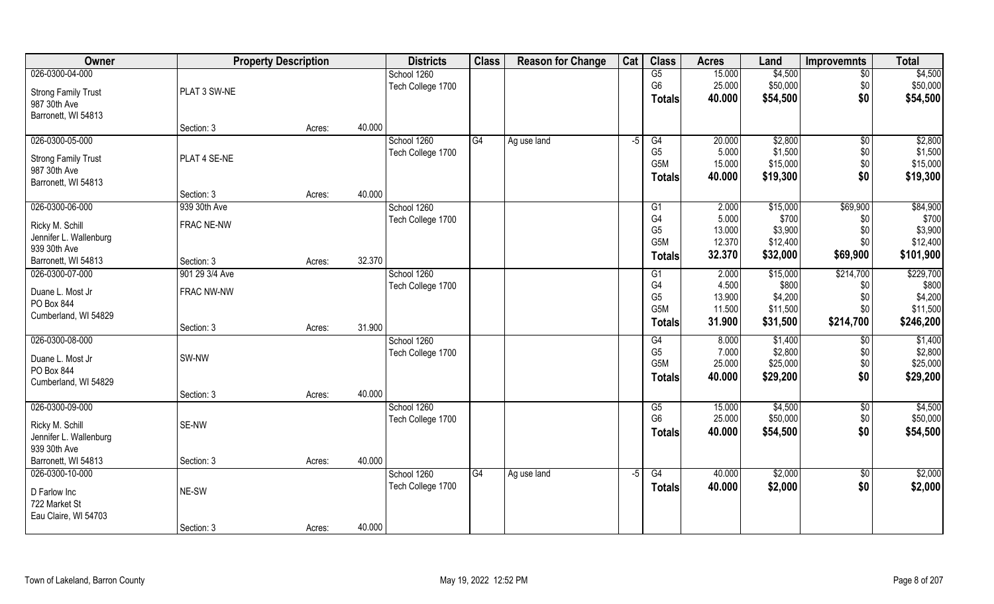| Owner                      |                | <b>Property Description</b> |        | <b>Districts</b>  | <b>Class</b> | <b>Reason for Change</b> | Cat  | <b>Class</b>     | <b>Acres</b> | Land     | <b>Improvemnts</b> | <b>Total</b> |
|----------------------------|----------------|-----------------------------|--------|-------------------|--------------|--------------------------|------|------------------|--------------|----------|--------------------|--------------|
| 026-0300-04-000            |                |                             |        | School 1260       |              |                          |      | G5               | 15.000       | \$4,500  | $\overline{50}$    | \$4,500      |
| <b>Strong Family Trust</b> | PLAT 3 SW-NE   |                             |        | Tech College 1700 |              |                          |      | G <sub>6</sub>   | 25.000       | \$50,000 | \$0                | \$50,000     |
| 987 30th Ave               |                |                             |        |                   |              |                          |      | <b>Totals</b>    | 40.000       | \$54,500 | \$0                | \$54,500     |
| Barronett, WI 54813        |                |                             |        |                   |              |                          |      |                  |              |          |                    |              |
|                            | Section: 3     | Acres:                      | 40.000 |                   |              |                          |      |                  |              |          |                    |              |
| 026-0300-05-000            |                |                             |        | School 1260       | G4           | Ag use land              | $-5$ | G4               | 20.000       | \$2,800  | \$0                | \$2,800      |
| <b>Strong Family Trust</b> | PLAT 4 SE-NE   |                             |        | Tech College 1700 |              |                          |      | G <sub>5</sub>   | 5.000        | \$1,500  | \$0                | \$1,500      |
| 987 30th Ave               |                |                             |        |                   |              |                          |      | G <sub>5</sub> M | 15.000       | \$15,000 | \$0                | \$15,000     |
| Barronett, WI 54813        |                |                             |        |                   |              |                          |      | <b>Totals</b>    | 40.000       | \$19,300 | \$0                | \$19,300     |
|                            | Section: 3     | Acres:                      | 40.000 |                   |              |                          |      |                  |              |          |                    |              |
| 026-0300-06-000            | 939 30th Ave   |                             |        | School 1260       |              |                          |      | G <sub>1</sub>   | 2.000        | \$15,000 | \$69,900           | \$84,900     |
| Ricky M. Schill            | FRAC NE-NW     |                             |        | Tech College 1700 |              |                          |      | G <sub>4</sub>   | 5.000        | \$700    | \$0                | \$700        |
| Jennifer L. Wallenburg     |                |                             |        |                   |              |                          |      | G <sub>5</sub>   | 13.000       | \$3,900  | \$0                | \$3,900      |
| 939 30th Ave               |                |                             |        |                   |              |                          |      | G5M              | 12.370       | \$12,400 | \$0                | \$12,400     |
| Barronett, WI 54813        | Section: 3     | Acres:                      | 32.370 |                   |              |                          |      | <b>Totals</b>    | 32.370       | \$32,000 | \$69,900           | \$101,900    |
| 026-0300-07-000            | 901 29 3/4 Ave |                             |        | School 1260       |              |                          |      | G1               | 2.000        | \$15,000 | \$214,700          | \$229,700    |
| Duane L. Most Jr           | FRAC NW-NW     |                             |        | Tech College 1700 |              |                          |      | G4               | 4.500        | \$800    | \$0                | \$800        |
| PO Box 844                 |                |                             |        |                   |              |                          |      | G <sub>5</sub>   | 13.900       | \$4,200  | \$0                | \$4,200      |
| Cumberland, WI 54829       |                |                             |        |                   |              |                          |      | G5M              | 11.500       | \$11,500 | \$0                | \$11,500     |
|                            | Section: 3     | Acres:                      | 31.900 |                   |              |                          |      | Totals           | 31.900       | \$31,500 | \$214,700          | \$246,200    |
| 026-0300-08-000            |                |                             |        | School 1260       |              |                          |      | $\overline{G4}$  | 8.000        | \$1,400  | \$0                | \$1,400      |
| Duane L. Most Jr           | SW-NW          |                             |        | Tech College 1700 |              |                          |      | G <sub>5</sub>   | 7.000        | \$2,800  | \$0                | \$2,800      |
| PO Box 844                 |                |                             |        |                   |              |                          |      | G <sub>5</sub> M | 25.000       | \$25,000 | \$0                | \$25,000     |
| Cumberland, WI 54829       |                |                             |        |                   |              |                          |      | <b>Totals</b>    | 40.000       | \$29,200 | \$0                | \$29,200     |
|                            | Section: 3     | Acres:                      | 40.000 |                   |              |                          |      |                  |              |          |                    |              |
| 026-0300-09-000            |                |                             |        | School 1260       |              |                          |      | G5               | 15.000       | \$4,500  | \$0                | \$4,500      |
| Ricky M. Schill            | SE-NW          |                             |        | Tech College 1700 |              |                          |      | G <sub>6</sub>   | 25.000       | \$50,000 | \$0                | \$50,000     |
| Jennifer L. Wallenburg     |                |                             |        |                   |              |                          |      | <b>Totals</b>    | 40.000       | \$54,500 | \$0                | \$54,500     |
| 939 30th Ave               |                |                             |        |                   |              |                          |      |                  |              |          |                    |              |
| Barronett, WI 54813        | Section: 3     | Acres:                      | 40.000 |                   |              |                          |      |                  |              |          |                    |              |
| 026-0300-10-000            |                |                             |        | School 1260       | G4           | Ag use land              | $-5$ | G4               | 40.000       | \$2,000  | $\sqrt{$0}$        | \$2,000      |
| D Farlow Inc               | NE-SW          |                             |        | Tech College 1700 |              |                          |      | <b>Totals</b>    | 40.000       | \$2,000  | \$0                | \$2,000      |
| 722 Market St              |                |                             |        |                   |              |                          |      |                  |              |          |                    |              |
| Eau Claire, WI 54703       |                |                             |        |                   |              |                          |      |                  |              |          |                    |              |
|                            | Section: 3     | Acres:                      | 40.000 |                   |              |                          |      |                  |              |          |                    |              |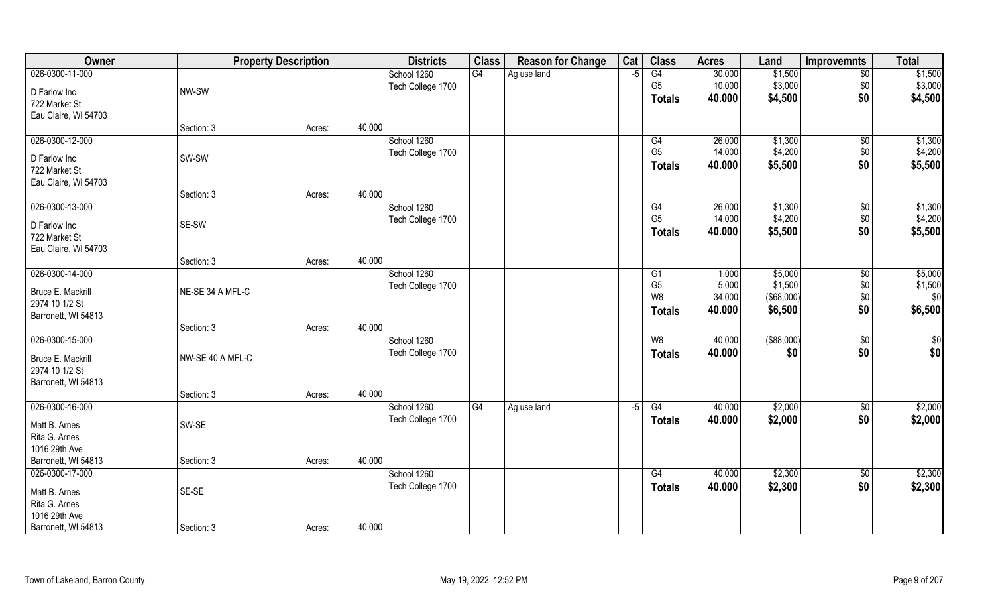| Owner                | <b>Property Description</b> |        |        | <b>Districts</b>  | <b>Class</b> | <b>Reason for Change</b> | Cat  | <b>Class</b>   | <b>Acres</b> | Land          | <b>Improvemnts</b> | <b>Total</b> |
|----------------------|-----------------------------|--------|--------|-------------------|--------------|--------------------------|------|----------------|--------------|---------------|--------------------|--------------|
| 026-0300-11-000      |                             |        |        | School 1260       | G4           | Ag use land              | $-5$ | G4             | 30.000       | \$1,500       | $\overline{50}$    | \$1,500      |
| D Farlow Inc         | NW-SW                       |        |        | Tech College 1700 |              |                          |      | G <sub>5</sub> | 10.000       | \$3,000       | \$0                | \$3,000      |
| 722 Market St        |                             |        |        |                   |              |                          |      | <b>Totals</b>  | 40.000       | \$4,500       | \$0                | \$4,500      |
| Eau Claire, WI 54703 |                             |        |        |                   |              |                          |      |                |              |               |                    |              |
|                      | Section: 3                  | Acres: | 40.000 |                   |              |                          |      |                |              |               |                    |              |
| 026-0300-12-000      |                             |        |        | School 1260       |              |                          |      | G4             | 26.000       | \$1,300       | $\sqrt{$0}$        | \$1,300      |
| D Farlow Inc         | SW-SW                       |        |        | Tech College 1700 |              |                          |      | G <sub>5</sub> | 14.000       | \$4,200       | \$0                | \$4,200      |
| 722 Market St        |                             |        |        |                   |              |                          |      | <b>Totals</b>  | 40.000       | \$5,500       | \$0                | \$5,500      |
| Eau Claire, WI 54703 |                             |        |        |                   |              |                          |      |                |              |               |                    |              |
|                      | Section: 3                  | Acres: | 40.000 |                   |              |                          |      |                |              |               |                    |              |
| 026-0300-13-000      |                             |        |        | School 1260       |              |                          |      | G4             | 26.000       | \$1,300       | $\sqrt[6]{3}$      | \$1,300      |
| D Farlow Inc         | SE-SW                       |        |        | Tech College 1700 |              |                          |      | G <sub>5</sub> | 14.000       | \$4,200       | \$0                | \$4,200      |
| 722 Market St        |                             |        |        |                   |              |                          |      | Totals         | 40.000       | \$5,500       | \$0                | \$5,500      |
| Eau Claire, WI 54703 |                             |        |        |                   |              |                          |      |                |              |               |                    |              |
|                      | Section: 3                  | Acres: | 40.000 |                   |              |                          |      |                |              |               |                    |              |
| 026-0300-14-000      |                             |        |        | School 1260       |              |                          |      | G <sub>1</sub> | 1.000        | \$5,000       | \$0                | \$5,000      |
| Bruce E. Mackrill    | NE-SE 34 A MFL-C            |        |        | Tech College 1700 |              |                          |      | G <sub>5</sub> | 5.000        | \$1,500       | \$0                | \$1,500      |
| 2974 10 1/2 St       |                             |        |        |                   |              |                          |      | W8             | 34.000       | (\$68,000)    | \$0                | \$0          |
| Barronett, WI 54813  |                             |        |        |                   |              |                          |      | <b>Totals</b>  | 40.000       | \$6,500       | \$0                | \$6,500      |
|                      | Section: 3                  | Acres: | 40.000 |                   |              |                          |      |                |              |               |                    |              |
| 026-0300-15-000      |                             |        |        | School 1260       |              |                          |      | W8             | 40.000       | $($ \$88,000) | $\overline{50}$    | $\sqrt{50}$  |
| Bruce E. Mackrill    | NW-SE 40 A MFL-C            |        |        | Tech College 1700 |              |                          |      | <b>Totals</b>  | 40.000       | \$0           | \$0                | \$0          |
| 2974 10 1/2 St       |                             |        |        |                   |              |                          |      |                |              |               |                    |              |
| Barronett, WI 54813  |                             |        |        |                   |              |                          |      |                |              |               |                    |              |
|                      | Section: 3                  | Acres: | 40.000 |                   |              |                          |      |                |              |               |                    |              |
| 026-0300-16-000      |                             |        |        | School 1260       | G4           | Ag use land              | $-5$ | G4             | 40.000       | \$2,000       | \$0                | \$2,000      |
| Matt B. Arnes        | SW-SE                       |        |        | Tech College 1700 |              |                          |      | <b>Totals</b>  | 40.000       | \$2,000       | \$0                | \$2,000      |
| Rita G. Arnes        |                             |        |        |                   |              |                          |      |                |              |               |                    |              |
| 1016 29th Ave        |                             |        |        |                   |              |                          |      |                |              |               |                    |              |
| Barronett, WI 54813  | Section: 3                  | Acres: | 40.000 |                   |              |                          |      |                |              |               |                    |              |
| 026-0300-17-000      |                             |        |        | School 1260       |              |                          |      | G4             | 40.000       | \$2,300       | $\sqrt{$0}$        | \$2,300      |
| Matt B. Arnes        | SE-SE                       |        |        | Tech College 1700 |              |                          |      | <b>Totals</b>  | 40.000       | \$2,300       | \$0                | \$2,300      |
| Rita G. Arnes        |                             |        |        |                   |              |                          |      |                |              |               |                    |              |
| 1016 29th Ave        |                             |        |        |                   |              |                          |      |                |              |               |                    |              |
| Barronett, WI 54813  | Section: 3                  | Acres: | 40.000 |                   |              |                          |      |                |              |               |                    |              |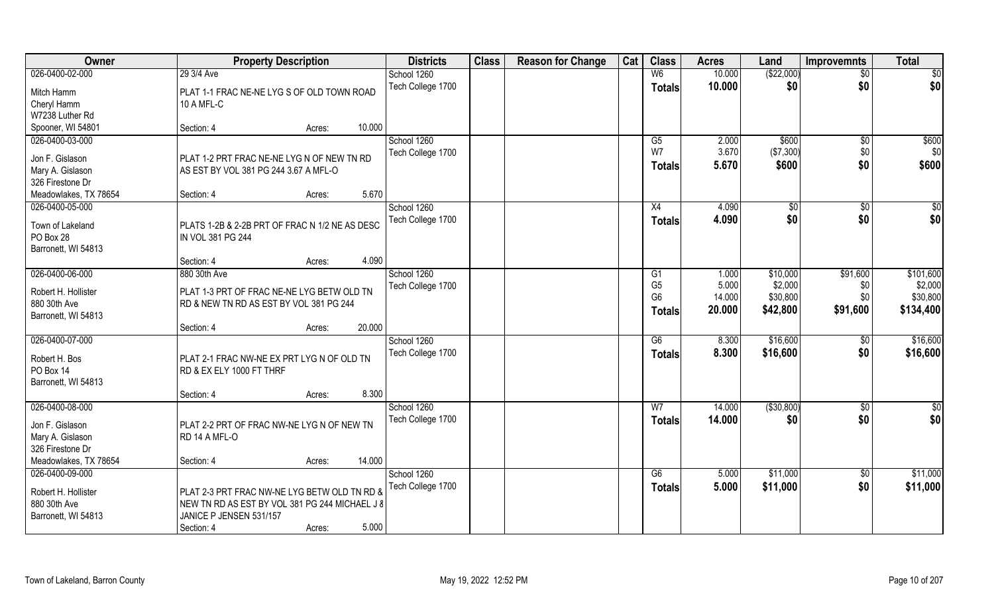| <b>Class</b><br>Owner<br>Cat<br><b>Class</b><br><b>Districts</b><br><b>Reason for Change</b><br><b>Acres</b><br><b>Improvemnts</b><br><b>Property Description</b><br>Land | <b>Total</b>           |
|---------------------------------------------------------------------------------------------------------------------------------------------------------------------------|------------------------|
| (\$22,000)<br>10.000<br>026-0400-02-000<br>29 3/4 Ave<br>School 1260<br>W <sub>6</sub>                                                                                    | \$0<br>$\overline{50}$ |
| Tech College 1700<br>10.000<br>\$0<br><b>Totals</b><br>Mitch Hamm<br>PLAT 1-1 FRAC NE-NE LYG S OF OLD TOWN ROAD                                                           | \$0<br>\$0             |
| Cheryl Hamm<br>10 A MFL-C                                                                                                                                                 |                        |
| W7238 Luther Rd                                                                                                                                                           |                        |
| 10.000<br>Spooner, WI 54801<br>Section: 4<br>Acres:                                                                                                                       |                        |
| 026-0400-03-000<br>School 1260<br>\$600<br>$\overline{G5}$<br>2.000                                                                                                       | \$600<br>\$0           |
| W7<br>3.670<br>(\$7,300)<br>Tech College 1700<br>Jon F. Gislason<br>PLAT 1-2 PRT FRAC NE-NE LYG N OF NEW TN RD                                                            | \$0<br>\$0             |
| 5.670<br>\$600<br><b>Totals</b><br>Mary A. Gislason<br>AS EST BY VOL 381 PG 244 3.67 A MFL-O                                                                              | \$0<br>\$600           |
| 326 Firestone Dr                                                                                                                                                          |                        |
| 5.670<br>Meadowlakes, TX 78654<br>Section: 4<br>Acres:                                                                                                                    |                        |
| School 1260<br>026-0400-05-000<br>4.090<br>$\sqrt[6]{}$<br>X4                                                                                                             | \$0<br>$\sqrt[6]{30}$  |
| \$0<br>4.090<br>Tech College 1700<br><b>Totals</b>                                                                                                                        | \$0<br>\$0             |
| Town of Lakeland<br>PLATS 1-2B & 2-2B PRT OF FRAC N 1/2 NE AS DESC                                                                                                        |                        |
| PO Box 28<br>IN VOL 381 PG 244                                                                                                                                            |                        |
| Barronett, WI 54813<br>4.090<br>Section: 4<br>Acres:                                                                                                                      |                        |
| 026-0400-06-000<br>880 30th Ave<br>School 1260<br>\$91,600<br>1.000<br>\$10,000<br>G <sub>1</sub>                                                                         | \$101,600              |
| G <sub>5</sub><br>5.000<br>\$2,000<br>Tech College 1700                                                                                                                   | \$2,000<br>\$0         |
| Robert H. Hollister<br>PLAT 1-3 PRT OF FRAC NE-NE LYG BETW OLD TN<br>G <sub>6</sub><br>14.000<br>\$30,800                                                                 | \$0\$<br>\$30,800      |
| 880 30th Ave<br>RD & NEW TN RD AS EST BY VOL 381 PG 244<br>\$91,600<br>20.000<br>\$42,800<br><b>Totals</b>                                                                | \$134,400              |
| Barronett, WI 54813                                                                                                                                                       |                        |
| 20.000<br>Section: 4<br>Acres:                                                                                                                                            |                        |
| 026-0400-07-000<br>\$16,600<br>School 1260<br>$\overline{G6}$<br>8.300                                                                                                    | \$16,600<br>\$0        |
| \$16,600<br>Tech College 1700<br>8.300<br><b>Totals</b><br>Robert H. Bos<br>PLAT 2-1 FRAC NW-NE EX PRT LYG N OF OLD TN                                                    | \$0<br>\$16,600        |
| PO Box 14<br>RD & EX ELY 1000 FT THRF                                                                                                                                     |                        |
| Barronett, WI 54813                                                                                                                                                       |                        |
| 8.300<br>Section: 4<br>Acres:                                                                                                                                             |                        |
| 026-0400-08-000<br>( \$30, 800)<br>School 1260<br>W <sub>7</sub><br>14.000                                                                                                | $\overline{30}$<br>\$0 |
| Tech College 1700<br>14.000<br>\$0<br><b>Totals</b><br>Jon F. Gislason<br>PLAT 2-2 PRT OF FRAC NW-NE LYG N OF NEW TN                                                      | \$0<br>\$0             |
| Mary A. Gislason<br>RD 14 A MFL-O                                                                                                                                         |                        |
| 326 Firestone Dr                                                                                                                                                          |                        |
| 14.000<br>Meadowlakes, TX 78654<br>Section: 4<br>Acres:                                                                                                                   |                        |
| School 1260<br>\$11,000<br>026-0400-09-000<br>5.000<br>G6                                                                                                                 | \$11,000<br>\$0        |
| 5.000<br>Tech College 1700<br>\$11,000<br><b>Totals</b><br>Robert H. Hollister<br>PLAT 2-3 PRT FRAC NW-NE LYG BETW OLD TN RD &                                            | \$0<br>\$11,000        |
| 880 30th Ave<br>NEW TN RD AS EST BY VOL 381 PG 244 MICHAEL J 8                                                                                                            |                        |
| JANICE P JENSEN 531/157<br>Barronett, WI 54813                                                                                                                            |                        |
| 5.000<br>Section: 4<br>Acres:                                                                                                                                             |                        |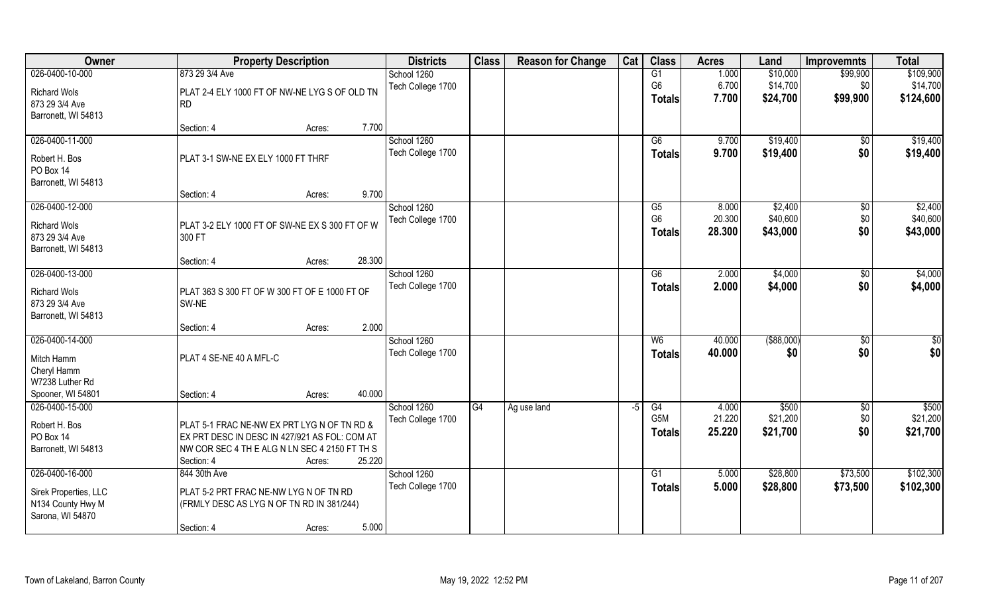| Owner                 | <b>Property Description</b>                                                                  | <b>Districts</b>  | <b>Class</b> | <b>Reason for Change</b> | Cat | <b>Class</b>   | <b>Acres</b> | Land          | <b>Improvemnts</b> | <b>Total</b>    |
|-----------------------|----------------------------------------------------------------------------------------------|-------------------|--------------|--------------------------|-----|----------------|--------------|---------------|--------------------|-----------------|
| 026-0400-10-000       | 873 29 3/4 Ave                                                                               | School 1260       |              |                          |     | G1             | 1.000        | \$10,000      | \$99,900           | \$109,900       |
| <b>Richard Wols</b>   | PLAT 2-4 ELY 1000 FT OF NW-NE LYG S OF OLD TN                                                | Tech College 1700 |              |                          |     | G <sub>6</sub> | 6.700        | \$14,700      | \$0                | \$14,700        |
| 873 29 3/4 Ave        | <b>RD</b>                                                                                    |                   |              |                          |     | <b>Totals</b>  | 7.700        | \$24,700      | \$99,900           | \$124,600       |
| Barronett, WI 54813   |                                                                                              |                   |              |                          |     |                |              |               |                    |                 |
|                       | 7.700<br>Section: 4<br>Acres:                                                                |                   |              |                          |     |                |              |               |                    |                 |
| 026-0400-11-000       |                                                                                              | School 1260       |              |                          |     | G6             | 9.700        | \$19,400      | \$0                | \$19,400        |
| Robert H. Bos         | PLAT 3-1 SW-NE EX ELY 1000 FT THRF                                                           | Tech College 1700 |              |                          |     | <b>Totals</b>  | 9.700        | \$19,400      | \$0                | \$19,400        |
| PO Box 14             |                                                                                              |                   |              |                          |     |                |              |               |                    |                 |
| Barronett, WI 54813   |                                                                                              |                   |              |                          |     |                |              |               |                    |                 |
|                       | 9.700<br>Section: 4<br>Acres:                                                                |                   |              |                          |     |                |              |               |                    |                 |
| 026-0400-12-000       |                                                                                              | School 1260       |              |                          |     | G5             | 8.000        | \$2,400       | $\sqrt[6]{3}$      | \$2,400         |
| <b>Richard Wols</b>   | PLAT 3-2 ELY 1000 FT OF SW-NE EX S 300 FT OF W                                               | Tech College 1700 |              |                          |     | G <sub>6</sub> | 20.300       | \$40,600      | \$0                | \$40,600        |
| 873 29 3/4 Ave        | 300 FT                                                                                       |                   |              |                          |     | <b>Totals</b>  | 28.300       | \$43,000      | \$0                | \$43,000        |
| Barronett, WI 54813   |                                                                                              |                   |              |                          |     |                |              |               |                    |                 |
|                       | 28.300<br>Section: 4<br>Acres:                                                               |                   |              |                          |     |                |              |               |                    |                 |
| 026-0400-13-000       |                                                                                              | School 1260       |              |                          |     | G6             | 2.000        | \$4,000       | $\sqrt[6]{3}$      | \$4,000         |
| <b>Richard Wols</b>   | PLAT 363 S 300 FT OF W 300 FT OF E 1000 FT OF                                                | Tech College 1700 |              |                          |     | <b>Totals</b>  | 2.000        | \$4,000       | \$0                | \$4,000         |
| 873 29 3/4 Ave        | SW-NE                                                                                        |                   |              |                          |     |                |              |               |                    |                 |
| Barronett, WI 54813   |                                                                                              |                   |              |                          |     |                |              |               |                    |                 |
|                       | 2.000<br>Section: 4<br>Acres:                                                                |                   |              |                          |     |                |              |               |                    |                 |
| 026-0400-14-000       |                                                                                              | School 1260       |              |                          |     | W6             | 40.000       | $($ \$88,000) | \$0                | $\overline{50}$ |
| Mitch Hamm            | PLAT 4 SE-NE 40 A MFL-C                                                                      | Tech College 1700 |              |                          |     | <b>Totals</b>  | 40.000       | \$0           | \$0                | \$0             |
| Cheryl Hamm           |                                                                                              |                   |              |                          |     |                |              |               |                    |                 |
| W7238 Luther Rd       |                                                                                              |                   |              |                          |     |                |              |               |                    |                 |
| Spooner, WI 54801     | 40.000<br>Section: 4<br>Acres:                                                               |                   |              |                          |     |                |              |               |                    |                 |
| 026-0400-15-000       |                                                                                              | School 1260       | G4           | Ag use land              | -5  | G4             | 4.000        | \$500         | \$0                | \$500           |
| Robert H. Bos         |                                                                                              | Tech College 1700 |              |                          |     | G5M            | 21.220       | \$21,200      | \$0                | \$21,200        |
| PO Box 14             | PLAT 5-1 FRAC NE-NW EX PRT LYG N OF TN RD &<br>EX PRT DESC IN DESC IN 427/921 AS FOL: COM AT |                   |              |                          |     | <b>Totals</b>  | 25.220       | \$21,700      | \$0                | \$21,700        |
| Barronett, WI 54813   | NW COR SEC 4 TH E ALG N LN SEC 4 2150 FT TH S                                                |                   |              |                          |     |                |              |               |                    |                 |
|                       | 25.220<br>Section: 4<br>Acres:                                                               |                   |              |                          |     |                |              |               |                    |                 |
| 026-0400-16-000       | 844 30th Ave                                                                                 | School 1260       |              |                          |     | G <sub>1</sub> | 5.000        | \$28,800      | \$73,500           | \$102,300       |
|                       |                                                                                              | Tech College 1700 |              |                          |     | Totals         | 5.000        | \$28,800      | \$73,500           | \$102,300       |
| Sirek Properties, LLC | PLAT 5-2 PRT FRAC NE-NW LYG N OF TN RD                                                       |                   |              |                          |     |                |              |               |                    |                 |
| N134 County Hwy M     | (FRMLY DESC AS LYG N OF TN RD IN 381/244)                                                    |                   |              |                          |     |                |              |               |                    |                 |
| Sarona, WI 54870      | 5.000<br>Section: 4<br>Acres:                                                                |                   |              |                          |     |                |              |               |                    |                 |
|                       |                                                                                              |                   |              |                          |     |                |              |               |                    |                 |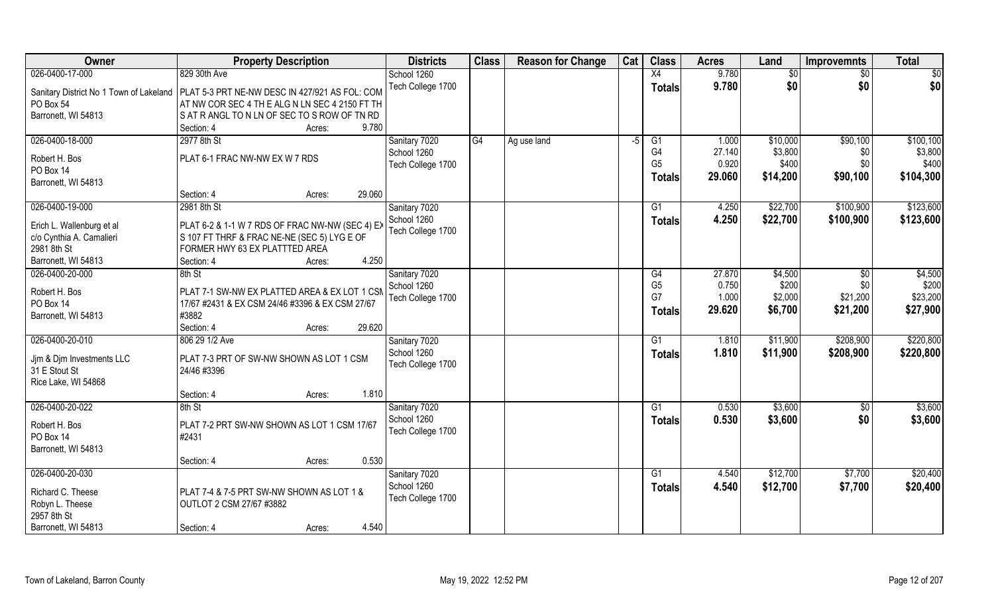| Owner                     | <b>Property Description</b>                                                              | <b>Districts</b>  | <b>Class</b> | <b>Reason for Change</b> | Cat  | <b>Class</b>   | <b>Acres</b> | Land     | <b>Improvemnts</b> | <b>Total</b> |
|---------------------------|------------------------------------------------------------------------------------------|-------------------|--------------|--------------------------|------|----------------|--------------|----------|--------------------|--------------|
| 026-0400-17-000           | 829 30th Ave                                                                             | School 1260       |              |                          |      | X4             | 9.780        | \$0      | $\sqrt{$0}$        | $\sqrt{50}$  |
|                           | Sanitary District No 1 Town of Lakeland   PLAT 5-3 PRT NE-NW DESC IN 427/921 AS FOL: COM | Tech College 1700 |              |                          |      | <b>Totals</b>  | 9.780        | \$0      | \$0                | \$0          |
| PO Box 54                 | AT NW COR SEC 4 TH E ALG N LN SEC 4 2150 FT TH                                           |                   |              |                          |      |                |              |          |                    |              |
| Barronett, WI 54813       | SAT RANGL TO N LN OF SEC TO S ROW OF TN RD                                               |                   |              |                          |      |                |              |          |                    |              |
|                           | 9.780<br>Section: 4<br>Acres:                                                            |                   |              |                          |      |                |              |          |                    |              |
| 026-0400-18-000           | 2977 8th St                                                                              | Sanitary 7020     | G4           | Ag use land              | $-5$ | G1             | 1.000        | \$10,000 | \$90,100           | \$100, 100   |
|                           |                                                                                          | School 1260       |              |                          |      | G4             | 27.140       | \$3,800  | \$0                | \$3,800      |
| Robert H. Bos             | PLAT 6-1 FRAC NW-NW EX W 7 RDS                                                           | Tech College 1700 |              |                          |      | G <sub>5</sub> | 0.920        | \$400    | \$0                | \$400        |
| PO Box 14                 |                                                                                          |                   |              |                          |      | <b>Totals</b>  | 29.060       | \$14,200 | \$90,100           | \$104,300    |
| Barronett, WI 54813       | 29.060<br>Section: 4                                                                     |                   |              |                          |      |                |              |          |                    |              |
|                           | Acres:                                                                                   |                   |              |                          |      |                |              |          |                    |              |
| 026-0400-19-000           | 2981 8th St                                                                              | Sanitary 7020     |              |                          |      | G1             | 4.250        | \$22,700 | \$100,900          | \$123,600    |
| Erich L. Wallenburg et al | PLAT 6-2 & 1-1 W 7 RDS OF FRAC NW-NW (SEC 4) EX                                          | School 1260       |              |                          |      | <b>Totals</b>  | 4.250        | \$22,700 | \$100,900          | \$123,600    |
| c/o Cynthia A. Camalieri  | S 107 FT THRF & FRAC NE-NE (SEC 5) LYG E OF                                              | Tech College 1700 |              |                          |      |                |              |          |                    |              |
| 2981 8th St               | FORMER HWY 63 EX PLATTTED AREA                                                           |                   |              |                          |      |                |              |          |                    |              |
| Barronett, WI 54813       | 4.250<br>Section: 4<br>Acres:                                                            |                   |              |                          |      |                |              |          |                    |              |
| 026-0400-20-000           | 8th St                                                                                   | Sanitary 7020     |              |                          |      | G4             | 27.870       | \$4,500  | \$0                | \$4,500      |
| Robert H. Bos             | PLAT 7-1 SW-NW EX PLATTED AREA & EX LOT 1 CSM                                            | School 1260       |              |                          |      | G <sub>5</sub> | 0.750        | \$200    | \$0                | \$200        |
| PO Box 14                 | 17/67 #2431 & EX CSM 24/46 #3396 & EX CSM 27/67                                          | Tech College 1700 |              |                          |      | G7             | 1.000        | \$2,000  | \$21,200           | \$23,200     |
| Barronett, WI 54813       | #3882                                                                                    |                   |              |                          |      | <b>Totals</b>  | 29.620       | \$6,700  | \$21,200           | \$27,900     |
|                           | 29.620<br>Section: 4<br>Acres:                                                           |                   |              |                          |      |                |              |          |                    |              |
| 026-0400-20-010           | 806 29 1/2 Ave                                                                           | Sanitary 7020     |              |                          |      | G1             | 1.810        | \$11,900 | \$208,900          | \$220,800    |
|                           |                                                                                          | School 1260       |              |                          |      |                | 1.810        | \$11,900 | \$208,900          | \$220,800    |
| Jjm & Djm Investments LLC | PLAT 7-3 PRT OF SW-NW SHOWN AS LOT 1 CSM                                                 | Tech College 1700 |              |                          |      | <b>Totals</b>  |              |          |                    |              |
| 31 E Stout St             | 24/46 #3396                                                                              |                   |              |                          |      |                |              |          |                    |              |
| Rice Lake, WI 54868       |                                                                                          |                   |              |                          |      |                |              |          |                    |              |
|                           | 1.810<br>Section: 4<br>Acres:                                                            |                   |              |                          |      |                |              |          |                    |              |
| 026-0400-20-022           | 8th St                                                                                   | Sanitary 7020     |              |                          |      | G1             | 0.530        | \$3,600  | \$0                | \$3,600      |
| Robert H. Bos             | PLAT 7-2 PRT SW-NW SHOWN AS LOT 1 CSM 17/67                                              | School 1260       |              |                          |      | <b>Totals</b>  | 0.530        | \$3,600  | \$0                | \$3,600      |
| PO Box 14                 | #2431                                                                                    | Tech College 1700 |              |                          |      |                |              |          |                    |              |
| Barronett, WI 54813       |                                                                                          |                   |              |                          |      |                |              |          |                    |              |
|                           | 0.530<br>Section: 4<br>Acres:                                                            |                   |              |                          |      |                |              |          |                    |              |
| 026-0400-20-030           |                                                                                          | Sanitary 7020     |              |                          |      | G1             | 4.540        | \$12,700 | \$7,700            | \$20,400     |
|                           |                                                                                          | School 1260       |              |                          |      | <b>Totals</b>  | 4.540        | \$12,700 | \$7,700            | \$20,400     |
| Richard C. Theese         | PLAT 7-4 & 7-5 PRT SW-NW SHOWN AS LOT 1 &                                                | Tech College 1700 |              |                          |      |                |              |          |                    |              |
| Robyn L. Theese           | OUTLOT 2 CSM 27/67 #3882                                                                 |                   |              |                          |      |                |              |          |                    |              |
| 2957 8th St               |                                                                                          |                   |              |                          |      |                |              |          |                    |              |
| Barronett, WI 54813       | 4.540<br>Section: 4<br>Acres:                                                            |                   |              |                          |      |                |              |          |                    |              |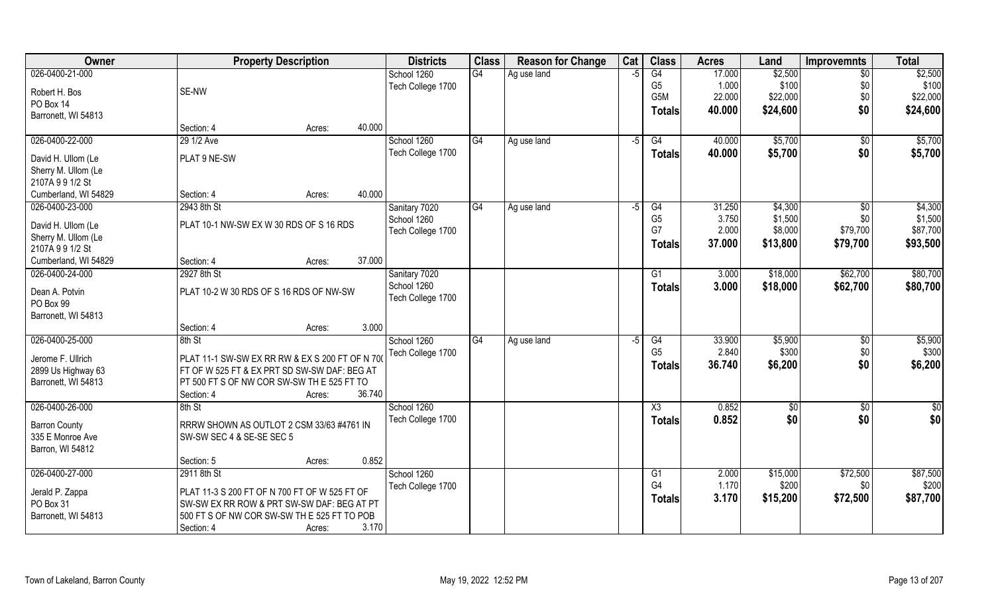| Owner                | <b>Property Description</b>                    |                  | <b>Districts</b>  | <b>Class</b> | <b>Reason for Change</b> | Cat  | <b>Class</b>    | <b>Acres</b> | Land     | <b>Improvemnts</b> | <b>Total</b> |
|----------------------|------------------------------------------------|------------------|-------------------|--------------|--------------------------|------|-----------------|--------------|----------|--------------------|--------------|
| 026-0400-21-000      |                                                |                  | School 1260       | G4           | Ag use land              | $-5$ | G4              | 17.000       | \$2,500  | $\sqrt{$0}$        | \$2,500      |
| Robert H. Bos        | SE-NW                                          |                  | Tech College 1700 |              |                          |      | G <sub>5</sub>  | 1.000        | \$100    | \$0                | \$100        |
| PO Box 14            |                                                |                  |                   |              |                          |      | G5M             | 22.000       | \$22,000 | \$0                | \$22,000     |
| Barronett, WI 54813  |                                                |                  |                   |              |                          |      | <b>Totals</b>   | 40.000       | \$24,600 | \$0                | \$24,600     |
|                      | Section: 4                                     | 40.000<br>Acres: |                   |              |                          |      |                 |              |          |                    |              |
| 026-0400-22-000      | 29 1/2 Ave                                     |                  | School 1260       | G4           | Ag use land              | $-5$ | G4              | 40.000       | \$5,700  | $\sqrt{$0}$        | \$5,700      |
| David H. Ullom (Le   | PLAT 9 NE-SW                                   |                  | Tech College 1700 |              |                          |      | <b>Totals</b>   | 40.000       | \$5,700  | \$0                | \$5,700      |
| Sherry M. Ullom (Le  |                                                |                  |                   |              |                          |      |                 |              |          |                    |              |
| 2107A 991/2 St       |                                                |                  |                   |              |                          |      |                 |              |          |                    |              |
| Cumberland, WI 54829 | Section: 4                                     | 40.000<br>Acres: |                   |              |                          |      |                 |              |          |                    |              |
| 026-0400-23-000      | 2943 8th St                                    |                  | Sanitary 7020     | G4           | Ag use land              | -5   | G4              | 31.250       | \$4,300  | $\sqrt[6]{30}$     | \$4,300      |
|                      |                                                |                  | School 1260       |              |                          |      | G <sub>5</sub>  | 3.750        | \$1,500  | \$0                | \$1,500      |
| David H. Ullom (Le   | PLAT 10-1 NW-SW EX W 30 RDS OF S 16 RDS        |                  | Tech College 1700 |              |                          |      | G7              | 2.000        | \$8,000  | \$79,700           | \$87,700     |
| Sherry M. Ullom (Le  |                                                |                  |                   |              |                          |      | Totals          | 37.000       | \$13,800 | \$79,700           | \$93,500     |
| 2107A 991/2 St       |                                                |                  |                   |              |                          |      |                 |              |          |                    |              |
| Cumberland, WI 54829 | Section: 4                                     | 37.000<br>Acres: |                   |              |                          |      |                 |              |          |                    |              |
| 026-0400-24-000      | 2927 8th St                                    |                  | Sanitary 7020     |              |                          |      | G1              | 3.000        | \$18,000 | \$62,700           | \$80,700     |
| Dean A. Potvin       | PLAT 10-2 W 30 RDS OF S 16 RDS OF NW-SW        |                  | School 1260       |              |                          |      | <b>Totals</b>   | 3.000        | \$18,000 | \$62,700           | \$80,700     |
| PO Box 99            |                                                |                  | Tech College 1700 |              |                          |      |                 |              |          |                    |              |
| Barronett, WI 54813  |                                                |                  |                   |              |                          |      |                 |              |          |                    |              |
|                      | Section: 4                                     | 3.000<br>Acres:  |                   |              |                          |      |                 |              |          |                    |              |
| 026-0400-25-000      | 8th St                                         |                  | School 1260       | G4           | Ag use land              | -5   | $\overline{G4}$ | 33.900       | \$5,900  | \$0                | \$5,900      |
|                      |                                                |                  | Tech College 1700 |              |                          |      | G <sub>5</sub>  | 2.840        | \$300    | \$0                | \$300        |
| Jerome F. Ullrich    | PLAT 11-1 SW-SW EX RR RW & EX S 200 FT OF N 70 |                  |                   |              |                          |      | <b>Totals</b>   | 36.740       | \$6,200  | \$0                | \$6,200      |
| 2899 Us Highway 63   | FT OF W 525 FT & EX PRT SD SW-SW DAF: BEG AT   |                  |                   |              |                          |      |                 |              |          |                    |              |
| Barronett, WI 54813  | PT 500 FT S OF NW COR SW-SW TH E 525 FT TO     |                  |                   |              |                          |      |                 |              |          |                    |              |
|                      | Section: 4                                     | 36.740<br>Acres: |                   |              |                          |      |                 |              |          |                    |              |
| 026-0400-26-000      | 8th St                                         |                  | School 1260       |              |                          |      | X3              | 0.852        | \$0      | $\overline{30}$    | \$0          |
| <b>Barron County</b> | RRRW SHOWN AS OUTLOT 2 CSM 33/63 #4761 IN      |                  | Tech College 1700 |              |                          |      | <b>Totals</b>   | 0.852        | \$0      | \$0                | \$0          |
| 335 E Monroe Ave     | SW-SW SEC 4 & SE-SE SEC 5                      |                  |                   |              |                          |      |                 |              |          |                    |              |
| Barron, WI 54812     |                                                |                  |                   |              |                          |      |                 |              |          |                    |              |
|                      | Section: 5                                     | 0.852<br>Acres:  |                   |              |                          |      |                 |              |          |                    |              |
| 026-0400-27-000      | 2911 8th St                                    |                  | School 1260       |              |                          |      | G1              | 2.000        | \$15,000 | \$72,500           | \$87,500     |
| Jerald P. Zappa      | PLAT 11-3 S 200 FT OF N 700 FT OF W 525 FT OF  |                  | Tech College 1700 |              |                          |      | G4              | 1.170        | \$200    | \$0                | \$200        |
| PO Box 31            | SW-SW EX RR ROW & PRT SW-SW DAF: BEG AT PT     |                  |                   |              |                          |      | <b>Totals</b>   | 3.170        | \$15,200 | \$72,500           | \$87,700     |
| Barronett, WI 54813  | 500 FT S OF NW COR SW-SW TH E 525 FT TO POB    |                  |                   |              |                          |      |                 |              |          |                    |              |
|                      | Section: 4                                     | 3.170<br>Acres:  |                   |              |                          |      |                 |              |          |                    |              |
|                      |                                                |                  |                   |              |                          |      |                 |              |          |                    |              |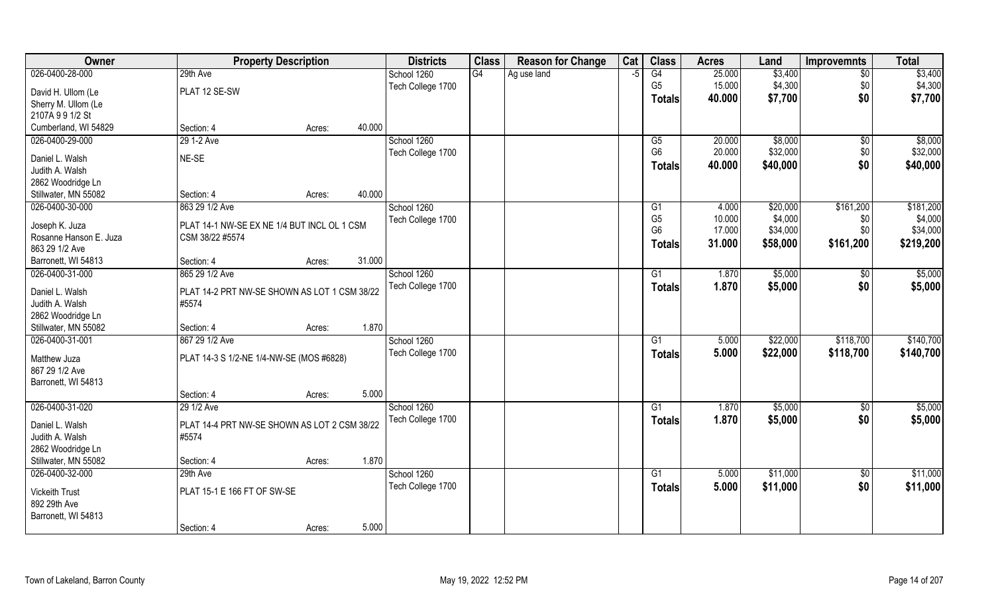| Owner                                 |                                              | <b>Property Description</b> |        | <b>Districts</b>  | <b>Class</b> | <b>Reason for Change</b> | Cat  | <b>Class</b>                     | <b>Acres</b>    | Land                | <b>Improvemnts</b> | <b>Total</b>         |
|---------------------------------------|----------------------------------------------|-----------------------------|--------|-------------------|--------------|--------------------------|------|----------------------------------|-----------------|---------------------|--------------------|----------------------|
| 026-0400-28-000                       | 29th Ave                                     |                             |        | School 1260       | G4           | Ag use land              | $-5$ | G4                               | 25.000          | \$3,400             | $\overline{50}$    | \$3,400              |
| David H. Ullom (Le                    | PLAT 12 SE-SW                                |                             |        | Tech College 1700 |              |                          |      | G <sub>5</sub>                   | 15.000          | \$4,300             | \$0                | \$4,300              |
| Sherry M. Ullom (Le                   |                                              |                             |        |                   |              |                          |      | <b>Totals</b>                    | 40.000          | \$7,700             | \$0                | \$7,700              |
| 2107A 991/2 St                        |                                              |                             |        |                   |              |                          |      |                                  |                 |                     |                    |                      |
| Cumberland, WI 54829                  | Section: 4                                   | Acres:                      | 40.000 |                   |              |                          |      |                                  |                 |                     |                    |                      |
| 026-0400-29-000                       | 29 1-2 Ave                                   |                             |        | School 1260       |              |                          |      | G5                               | 20.000          | \$8,000             | \$0                | \$8,000              |
|                                       |                                              |                             |        | Tech College 1700 |              |                          |      | G <sub>6</sub>                   | 20.000          | \$32,000            | \$0                | \$32,000             |
| Daniel L. Walsh                       | NE-SE                                        |                             |        |                   |              |                          |      | <b>Totals</b>                    | 40.000          | \$40,000            | \$0                | \$40,000             |
| Judith A. Walsh                       |                                              |                             |        |                   |              |                          |      |                                  |                 |                     |                    |                      |
| 2862 Woodridge Ln                     | Section: 4                                   |                             | 40.000 |                   |              |                          |      |                                  |                 |                     |                    |                      |
| Stillwater, MN 55082                  |                                              | Acres:                      |        |                   |              |                          |      |                                  |                 |                     |                    |                      |
| 026-0400-30-000                       | 863 29 1/2 Ave                               |                             |        | School 1260       |              |                          |      | G <sub>1</sub><br>G <sub>5</sub> | 4.000<br>10.000 | \$20,000<br>\$4,000 | \$161,200          | \$181,200<br>\$4,000 |
| Joseph K. Juza                        | PLAT 14-1 NW-SE EX NE 1/4 BUT INCL OL 1 CSM  |                             |        | Tech College 1700 |              |                          |      | G <sub>6</sub>                   | 17.000          | \$34,000            | \$0<br>\$0         | \$34,000             |
| Rosanne Hanson E. Juza                | CSM 38/22 #5574                              |                             |        |                   |              |                          |      |                                  | 31.000          | \$58,000            | \$161,200          | \$219,200            |
| 863 29 1/2 Ave                        |                                              |                             |        |                   |              |                          |      | <b>Totals</b>                    |                 |                     |                    |                      |
| Barronett, WI 54813                   | Section: 4                                   | Acres:                      | 31.000 |                   |              |                          |      |                                  |                 |                     |                    |                      |
| 026-0400-31-000                       | 865 29 1/2 Ave                               |                             |        | School 1260       |              |                          |      | G <sub>1</sub>                   | 1.870           | \$5,000             | \$0                | \$5,000              |
| Daniel L. Walsh                       | PLAT 14-2 PRT NW-SE SHOWN AS LOT 1 CSM 38/22 |                             |        | Tech College 1700 |              |                          |      | <b>Totals</b>                    | 1.870           | \$5,000             | \$0                | \$5,000              |
| Judith A. Walsh                       | #5574                                        |                             |        |                   |              |                          |      |                                  |                 |                     |                    |                      |
| 2862 Woodridge Ln                     |                                              |                             |        |                   |              |                          |      |                                  |                 |                     |                    |                      |
| Stillwater, MN 55082                  | Section: 4                                   | Acres:                      | 1.870  |                   |              |                          |      |                                  |                 |                     |                    |                      |
| 026-0400-31-001                       | 867 29 1/2 Ave                               |                             |        | School 1260       |              |                          |      | G <sub>1</sub>                   | 5.000           | \$22,000            | \$118,700          | \$140,700            |
|                                       |                                              |                             |        | Tech College 1700 |              |                          |      | <b>Totals</b>                    | 5.000           | \$22,000            | \$118,700          | \$140,700            |
| Matthew Juza                          | PLAT 14-3 S 1/2-NE 1/4-NW-SE (MOS #6828)     |                             |        |                   |              |                          |      |                                  |                 |                     |                    |                      |
| 867 29 1/2 Ave                        |                                              |                             |        |                   |              |                          |      |                                  |                 |                     |                    |                      |
| Barronett, WI 54813                   |                                              |                             |        |                   |              |                          |      |                                  |                 |                     |                    |                      |
|                                       | Section: 4                                   | Acres:                      | 5.000  |                   |              |                          |      |                                  |                 |                     |                    |                      |
| 026-0400-31-020                       | 29 1/2 Ave                                   |                             |        | School 1260       |              |                          |      | G1                               | 1.870           | \$5,000             | \$0                | \$5,000              |
| Daniel L. Walsh                       | PLAT 14-4 PRT NW-SE SHOWN AS LOT 2 CSM 38/22 |                             |        | Tech College 1700 |              |                          |      | <b>Totals</b>                    | 1.870           | \$5,000             | \$0                | \$5,000              |
| Judith A. Walsh                       | #5574                                        |                             |        |                   |              |                          |      |                                  |                 |                     |                    |                      |
| 2862 Woodridge Ln                     |                                              |                             |        |                   |              |                          |      |                                  |                 |                     |                    |                      |
| Stillwater, MN 55082                  | Section: 4                                   | Acres:                      | 1.870  |                   |              |                          |      |                                  |                 |                     |                    |                      |
| 026-0400-32-000                       | 29th Ave                                     |                             |        | School 1260       |              |                          |      | G1                               | 5.000           | \$11,000            | $\sqrt{$0}$        | \$11,000             |
|                                       |                                              |                             |        | Tech College 1700 |              |                          |      | <b>Totals</b>                    | 5.000           | \$11,000            | \$0                | \$11,000             |
| <b>Vickeith Trust</b><br>892 29th Ave | PLAT 15-1 E 166 FT OF SW-SE                  |                             |        |                   |              |                          |      |                                  |                 |                     |                    |                      |
|                                       |                                              |                             |        |                   |              |                          |      |                                  |                 |                     |                    |                      |
| Barronett, WI 54813                   |                                              |                             | 5.000  |                   |              |                          |      |                                  |                 |                     |                    |                      |
|                                       | Section: 4                                   | Acres:                      |        |                   |              |                          |      |                                  |                 |                     |                    |                      |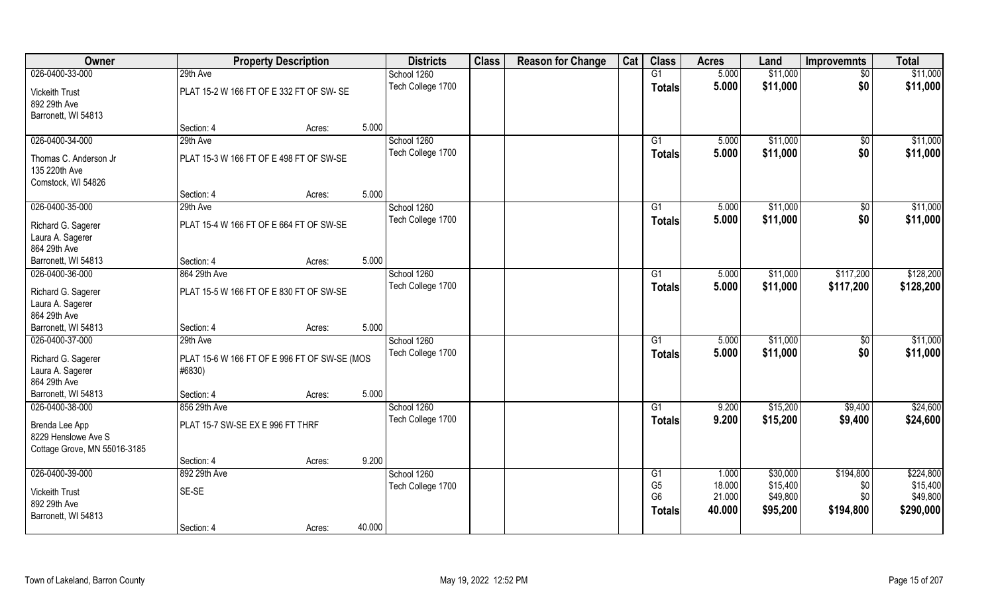| Owner                                 |                                  | <b>Property Description</b>                  |        | <b>Districts</b>  | <b>Class</b> | <b>Reason for Change</b> | Cat | <b>Class</b>    | <b>Acres</b> | Land     | <b>Improvemnts</b> | <b>Total</b> |
|---------------------------------------|----------------------------------|----------------------------------------------|--------|-------------------|--------------|--------------------------|-----|-----------------|--------------|----------|--------------------|--------------|
| 026-0400-33-000                       | 29th Ave                         |                                              |        | School 1260       |              |                          |     | G1              | 5.000        | \$11,000 | $\sqrt{$0}$        | \$11,000     |
| <b>Vickeith Trust</b><br>892 29th Ave |                                  | PLAT 15-2 W 166 FT OF E 332 FT OF SW-SE      |        | Tech College 1700 |              |                          |     | <b>Totals</b>   | 5.000        | \$11,000 | \$0                | \$11,000     |
| Barronett, WI 54813                   |                                  |                                              |        |                   |              |                          |     |                 |              |          |                    |              |
|                                       | Section: 4                       | Acres:                                       | 5.000  |                   |              |                          |     |                 |              |          |                    |              |
| 026-0400-34-000                       | 29th Ave                         |                                              |        | School 1260       |              |                          |     | $\overline{G1}$ | 5.000        | \$11,000 | \$0                | \$11,000     |
| Thomas C. Anderson Jr                 |                                  | PLAT 15-3 W 166 FT OF E 498 FT OF SW-SE      |        | Tech College 1700 |              |                          |     | Totals          | 5.000        | \$11,000 | \$0                | \$11,000     |
| 135 220th Ave                         |                                  |                                              |        |                   |              |                          |     |                 |              |          |                    |              |
| Comstock, WI 54826                    |                                  |                                              |        |                   |              |                          |     |                 |              |          |                    |              |
|                                       | Section: 4                       | Acres:                                       | 5.000  |                   |              |                          |     |                 |              |          |                    |              |
| 026-0400-35-000                       | 29th Ave                         |                                              |        | School 1260       |              |                          |     | G1              | 5.000        | \$11,000 | \$0                | \$11,000     |
| Richard G. Sagerer                    |                                  | PLAT 15-4 W 166 FT OF E 664 FT OF SW-SE      |        | Tech College 1700 |              |                          |     | <b>Totals</b>   | 5.000        | \$11,000 | \$0                | \$11,000     |
| Laura A. Sagerer                      |                                  |                                              |        |                   |              |                          |     |                 |              |          |                    |              |
| 864 29th Ave                          |                                  |                                              |        |                   |              |                          |     |                 |              |          |                    |              |
| Barronett, WI 54813                   | Section: 4                       | Acres:                                       | 5.000  |                   |              |                          |     |                 |              |          |                    |              |
| 026-0400-36-000                       | 864 29th Ave                     |                                              |        | School 1260       |              |                          |     | G1              | 5.000        | \$11,000 | \$117,200          | \$128,200    |
| Richard G. Sagerer                    |                                  | PLAT 15-5 W 166 FT OF E 830 FT OF SW-SE      |        | Tech College 1700 |              |                          |     | <b>Totals</b>   | 5.000        | \$11,000 | \$117,200          | \$128,200    |
| Laura A. Sagerer                      |                                  |                                              |        |                   |              |                          |     |                 |              |          |                    |              |
| 864 29th Ave                          |                                  |                                              |        |                   |              |                          |     |                 |              |          |                    |              |
| Barronett, WI 54813                   | Section: 4                       | Acres:                                       | 5.000  |                   |              |                          |     |                 |              |          |                    |              |
| 026-0400-37-000                       | 29th Ave                         |                                              |        | School 1260       |              |                          |     | $\overline{G1}$ | 5.000        | \$11,000 | \$0                | \$11,000     |
| Richard G. Sagerer                    |                                  | PLAT 15-6 W 166 FT OF E 996 FT OF SW-SE (MOS |        | Tech College 1700 |              |                          |     | <b>Totals</b>   | 5.000        | \$11,000 | \$0                | \$11,000     |
| Laura A. Sagerer                      | #6830)                           |                                              |        |                   |              |                          |     |                 |              |          |                    |              |
| 864 29th Ave                          |                                  |                                              |        |                   |              |                          |     |                 |              |          |                    |              |
| Barronett, WI 54813                   | Section: 4                       | Acres:                                       | 5.000  |                   |              |                          |     |                 |              |          |                    |              |
| 026-0400-38-000                       | 856 29th Ave                     |                                              |        | School 1260       |              |                          |     | G1              | 9.200        | \$15,200 | \$9,400            | \$24,600     |
| Brenda Lee App                        | PLAT 15-7 SW-SE EX E 996 FT THRF |                                              |        | Tech College 1700 |              |                          |     | <b>Totals</b>   | 9.200        | \$15,200 | \$9,400            | \$24,600     |
| 8229 Henslowe Ave S                   |                                  |                                              |        |                   |              |                          |     |                 |              |          |                    |              |
| Cottage Grove, MN 55016-3185          |                                  |                                              |        |                   |              |                          |     |                 |              |          |                    |              |
|                                       | Section: 4                       | Acres:                                       | 9.200  |                   |              |                          |     |                 |              |          |                    |              |
| 026-0400-39-000                       | 892 29th Ave                     |                                              |        | School 1260       |              |                          |     | $\overline{G1}$ | 1.000        | \$30,000 | \$194,800          | \$224,800    |
|                                       |                                  |                                              |        | Tech College 1700 |              |                          |     | G <sub>5</sub>  | 18.000       | \$15,400 | \$0                | \$15,400     |
| <b>Vickeith Trust</b>                 | SE-SE                            |                                              |        |                   |              |                          |     | G <sub>6</sub>  | 21.000       | \$49,800 | \$0                | \$49,800     |
| 892 29th Ave<br>Barronett, WI 54813   |                                  |                                              |        |                   |              |                          |     | <b>Totals</b>   | 40.000       | \$95,200 | \$194,800          | \$290,000    |
|                                       | Section: 4                       | Acres:                                       | 40.000 |                   |              |                          |     |                 |              |          |                    |              |
|                                       |                                  |                                              |        |                   |              |                          |     |                 |              |          |                    |              |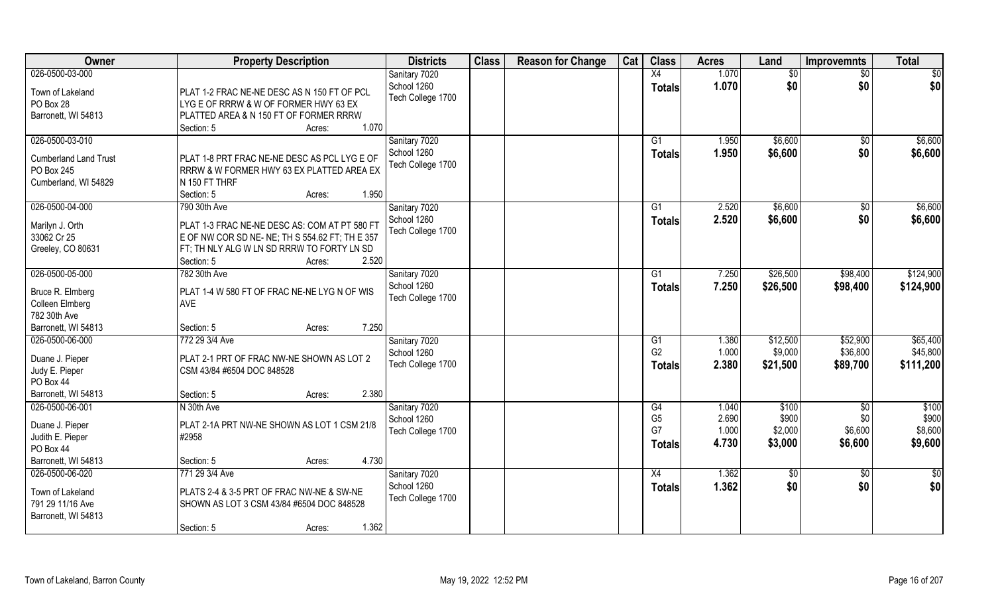| Owner                           | <b>Property Description</b>                                 | <b>Districts</b>  | <b>Class</b> | <b>Reason for Change</b> | Cat | <b>Class</b>   | <b>Acres</b> | Land     | <b>Improvemnts</b> | <b>Total</b> |
|---------------------------------|-------------------------------------------------------------|-------------------|--------------|--------------------------|-----|----------------|--------------|----------|--------------------|--------------|
| 026-0500-03-000                 |                                                             | Sanitary 7020     |              |                          |     | X4             | 1.070        | \$0      | \$0                | \$0          |
| Town of Lakeland                | PLAT 1-2 FRAC NE-NE DESC AS N 150 FT OF PCL                 | School 1260       |              |                          |     | <b>Totals</b>  | 1.070        | \$0      | \$0                | \$0          |
| PO Box 28                       | LYG E OF RRRW & W OF FORMER HWY 63 EX                       | Tech College 1700 |              |                          |     |                |              |          |                    |              |
| Barronett, WI 54813             | PLATTED AREA & N 150 FT OF FORMER RRRW                      |                   |              |                          |     |                |              |          |                    |              |
|                                 | 1.070<br>Section: 5<br>Acres:                               |                   |              |                          |     |                |              |          |                    |              |
| 026-0500-03-010                 |                                                             | Sanitary 7020     |              |                          |     | G1             | 1.950        | \$6,600  | \$0                | \$6,600      |
| <b>Cumberland Land Trust</b>    | PLAT 1-8 PRT FRAC NE-NE DESC AS PCL LYG E OF                | School 1260       |              |                          |     | Totals         | 1.950        | \$6,600  | \$0                | \$6,600      |
| PO Box 245                      | RRRW & W FORMER HWY 63 EX PLATTED AREA EX                   | Tech College 1700 |              |                          |     |                |              |          |                    |              |
| Cumberland, WI 54829            | N 150 FT THRF                                               |                   |              |                          |     |                |              |          |                    |              |
|                                 | 1.950<br>Section: 5<br>Acres:                               |                   |              |                          |     |                |              |          |                    |              |
| 026-0500-04-000                 | 790 30th Ave                                                | Sanitary 7020     |              |                          |     | G1             | 2.520        | \$6,600  | \$0                | \$6,600      |
| Marilyn J. Orth                 | PLAT 1-3 FRAC NE-NE DESC AS: COM AT PT 580 FT               | School 1260       |              |                          |     | <b>Totals</b>  | 2.520        | \$6,600  | \$0                | \$6,600      |
| 33062 Cr 25                     | $\overline{E}$ OF NW COR SD NE-NE; TH S 554.62 FT; TH E 357 | Tech College 1700 |              |                          |     |                |              |          |                    |              |
| Greeley, CO 80631               | FT: TH NLY ALG W LN SD RRRW TO FORTY LN SD                  |                   |              |                          |     |                |              |          |                    |              |
|                                 | 2.520<br>Section: 5<br>Acres:                               |                   |              |                          |     |                |              |          |                    |              |
| 026-0500-05-000                 | 782 30th Ave                                                | Sanitary 7020     |              |                          |     | G1             | 7.250        | \$26,500 | \$98,400           | \$124,900    |
|                                 |                                                             | School 1260       |              |                          |     | <b>Totals</b>  | 7.250        | \$26,500 | \$98,400           | \$124,900    |
| Bruce R. Elmberg                | PLAT 1-4 W 580 FT OF FRAC NE-NE LYG N OF WIS<br>AVE         | Tech College 1700 |              |                          |     |                |              |          |                    |              |
| Colleen Elmberg<br>782 30th Ave |                                                             |                   |              |                          |     |                |              |          |                    |              |
| Barronett, WI 54813             | 7.250<br>Section: 5<br>Acres:                               |                   |              |                          |     |                |              |          |                    |              |
| 026-0500-06-000                 | 772 29 3/4 Ave                                              | Sanitary 7020     |              |                          |     | G1             | 1.380        | \$12,500 | \$52,900           | \$65,400     |
|                                 |                                                             | School 1260       |              |                          |     | G <sub>2</sub> | 1.000        | \$9,000  | \$36,800           | \$45,800     |
| Duane J. Pieper                 | PLAT 2-1 PRT OF FRAC NW-NE SHOWN AS LOT 2                   | Tech College 1700 |              |                          |     | <b>Totals</b>  | 2.380        | \$21,500 | \$89,700           | \$111,200    |
| Judy E. Pieper                  | CSM 43/84 #6504 DOC 848528                                  |                   |              |                          |     |                |              |          |                    |              |
| PO Box 44                       |                                                             |                   |              |                          |     |                |              |          |                    |              |
| Barronett, WI 54813             | 2.380<br>Section: 5<br>Acres:                               |                   |              |                          |     |                |              |          |                    |              |
| 026-0500-06-001                 | N 30th Ave                                                  | Sanitary 7020     |              |                          |     | G4             | 1.040        | \$100    | $\overline{50}$    | \$100        |
| Duane J. Pieper                 | PLAT 2-1A PRT NW-NE SHOWN AS LOT 1 CSM 21/8                 | School 1260       |              |                          |     | G <sub>5</sub> | 2.690        | \$900    | \$0                | \$900        |
| Judith E. Pieper                | #2958                                                       | Tech College 1700 |              |                          |     | G7             | 1.000        | \$2,000  | \$6,600            | \$8,600      |
| PO Box 44                       |                                                             |                   |              |                          |     | <b>Totals</b>  | 4.730        | \$3,000  | \$6,600            | \$9,600      |
| Barronett, WI 54813             | 4.730<br>Section: 5<br>Acres:                               |                   |              |                          |     |                |              |          |                    |              |
| 026-0500-06-020                 | 771 29 3/4 Ave                                              | Sanitary 7020     |              |                          |     | X4             | 1.362        | \$0      | $\overline{60}$    | \$0          |
| Town of Lakeland                | PLATS 2-4 & 3-5 PRT OF FRAC NW-NE & SW-NE                   | School 1260       |              |                          |     | Totals         | 1.362        | \$0      | \$0                | \$0          |
| 791 29 11/16 Ave                | SHOWN AS LOT 3 CSM 43/84 #6504 DOC 848528                   | Tech College 1700 |              |                          |     |                |              |          |                    |              |
| Barronett, WI 54813             |                                                             |                   |              |                          |     |                |              |          |                    |              |
|                                 | 1.362<br>Section: 5<br>Acres:                               |                   |              |                          |     |                |              |          |                    |              |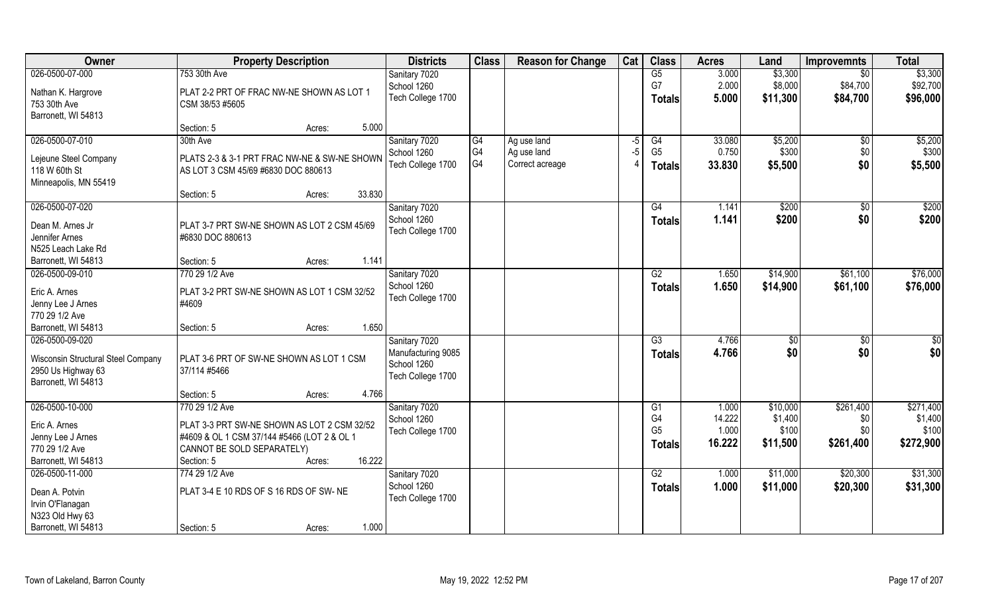| Owner                                                                                              | <b>Property Description</b>                                                                                                                                                  | <b>Districts</b>                                                        | <b>Class</b>                | <b>Reason for Change</b>                      | Cat          | <b>Class</b>                                            | <b>Acres</b>                       | Land                                     | <b>Improvemnts</b>                      | <b>Total</b>                               |
|----------------------------------------------------------------------------------------------------|------------------------------------------------------------------------------------------------------------------------------------------------------------------------------|-------------------------------------------------------------------------|-----------------------------|-----------------------------------------------|--------------|---------------------------------------------------------|------------------------------------|------------------------------------------|-----------------------------------------|--------------------------------------------|
| 026-0500-07-000<br>Nathan K. Hargrove<br>753 30th Ave<br>Barronett, WI 54813                       | 753 30th Ave<br>PLAT 2-2 PRT OF FRAC NW-NE SHOWN AS LOT 1<br>CSM 38/53 #5605                                                                                                 | Sanitary 7020<br>School 1260<br>Tech College 1700                       |                             |                                               |              | G5<br>G7<br><b>Totals</b>                               | 3.000<br>2.000<br>5.000            | \$3,300<br>\$8,000<br>\$11,300           | $\overline{50}$<br>\$84,700<br>\$84,700 | \$3,300<br>\$92,700<br>\$96,000            |
|                                                                                                    | 5.000<br>Section: 5<br>Acres:                                                                                                                                                |                                                                         |                             |                                               |              |                                                         |                                    |                                          |                                         |                                            |
| 026-0500-07-010<br>Lejeune Steel Company<br>118 W 60th St<br>Minneapolis, MN 55419                 | 30th Ave<br>PLATS 2-3 & 3-1 PRT FRAC NW-NE & SW-NE SHOWN<br>AS LOT 3 CSM 45/69 #6830 DOC 880613                                                                              | Sanitary 7020<br>School 1260<br>Tech College 1700                       | $\overline{G4}$<br>G4<br>G4 | Ag use land<br>Ag use land<br>Correct acreage | $-5$<br>$-5$ | G4<br>G <sub>5</sub><br><b>Totals</b>                   | 33.080<br>0.750<br>33.830          | \$5,200<br>\$300<br>\$5,500              | \$0<br>\$0<br>\$0                       | \$5,200<br>\$300<br>\$5,500                |
| 026-0500-07-020                                                                                    | 33.830<br>Section: 5<br>Acres:                                                                                                                                               | Sanitary 7020                                                           |                             |                                               |              | G4                                                      | 1.141                              | \$200                                    | \$0                                     | \$200                                      |
| Dean M. Arnes Jr<br>Jennifer Arnes<br>N525 Leach Lake Rd                                           | PLAT 3-7 PRT SW-NE SHOWN AS LOT 2 CSM 45/69<br>#6830 DOC 880613                                                                                                              | School 1260<br>Tech College 1700                                        |                             |                                               |              | <b>Totals</b>                                           | 1.141                              | \$200                                    | \$0                                     | \$200                                      |
| Barronett, WI 54813                                                                                | 1.141<br>Section: 5<br>Acres:                                                                                                                                                |                                                                         |                             |                                               |              |                                                         |                                    |                                          |                                         |                                            |
| 026-0500-09-010<br>Eric A. Arnes<br>Jenny Lee J Arnes<br>770 29 1/2 Ave                            | 770 29 1/2 Ave<br>PLAT 3-2 PRT SW-NE SHOWN AS LOT 1 CSM 32/52<br>#4609                                                                                                       | Sanitary 7020<br>School 1260<br>Tech College 1700                       |                             |                                               |              | G2<br>Totals                                            | 1.650<br>1.650                     | \$14,900<br>\$14,900                     | \$61,100<br>\$61,100                    | \$76,000<br>\$76,000                       |
| Barronett, WI 54813                                                                                | 1.650<br>Section: 5<br>Acres:                                                                                                                                                |                                                                         |                             |                                               |              |                                                         |                                    |                                          |                                         |                                            |
| 026-0500-09-020<br>Wisconsin Structural Steel Company<br>2950 Us Highway 63<br>Barronett, WI 54813 | PLAT 3-6 PRT OF SW-NE SHOWN AS LOT 1 CSM<br>37/114 #5466                                                                                                                     | Sanitary 7020<br>Manufacturing 9085<br>School 1260<br>Tech College 1700 |                             |                                               |              | $\overline{G3}$<br><b>Totals</b>                        | 4.766<br>4.766                     | \$0<br>\$0                               | \$0<br>\$0                              | $\overline{50}$<br>\$0                     |
|                                                                                                    | 4.766<br>Section: 5<br>Acres:                                                                                                                                                |                                                                         |                             |                                               |              |                                                         |                                    |                                          |                                         |                                            |
| 026-0500-10-000<br>Eric A. Arnes<br>Jenny Lee J Arnes<br>770 29 1/2 Ave<br>Barronett, WI 54813     | 770 29 1/2 Ave<br>PLAT 3-3 PRT SW-NE SHOWN AS LOT 2 CSM 32/52<br>#4609 & OL 1 CSM 37/144 #5466 (LOT 2 & OL 1<br>CANNOT BE SOLD SEPARATELY)<br>16.222<br>Section: 5<br>Acres: | Sanitary 7020<br>School 1260<br>Tech College 1700                       |                             |                                               |              | G1<br>G <sub>4</sub><br>G <sub>5</sub><br><b>Totals</b> | 1.000<br>14.222<br>1.000<br>16.222 | \$10,000<br>\$1,400<br>\$100<br>\$11,500 | \$261,400<br>\$0<br>\$0<br>\$261,400    | \$271,400<br>\$1,400<br>\$100<br>\$272,900 |
| 026-0500-11-000<br>Dean A. Potvin<br>Irvin O'Flanagan<br>N323 Old Hwy 63<br>Barronett, WI 54813    | 774 29 1/2 Ave<br>PLAT 3-4 E 10 RDS OF S 16 RDS OF SW-NE<br>1.000<br>Section: 5<br>Acres:                                                                                    | Sanitary 7020<br>School 1260<br>Tech College 1700                       |                             |                                               |              | G2<br><b>Totals</b>                                     | 1.000<br>1.000                     | \$11,000<br>\$11,000                     | \$20,300<br>\$20,300                    | \$31,300<br>\$31,300                       |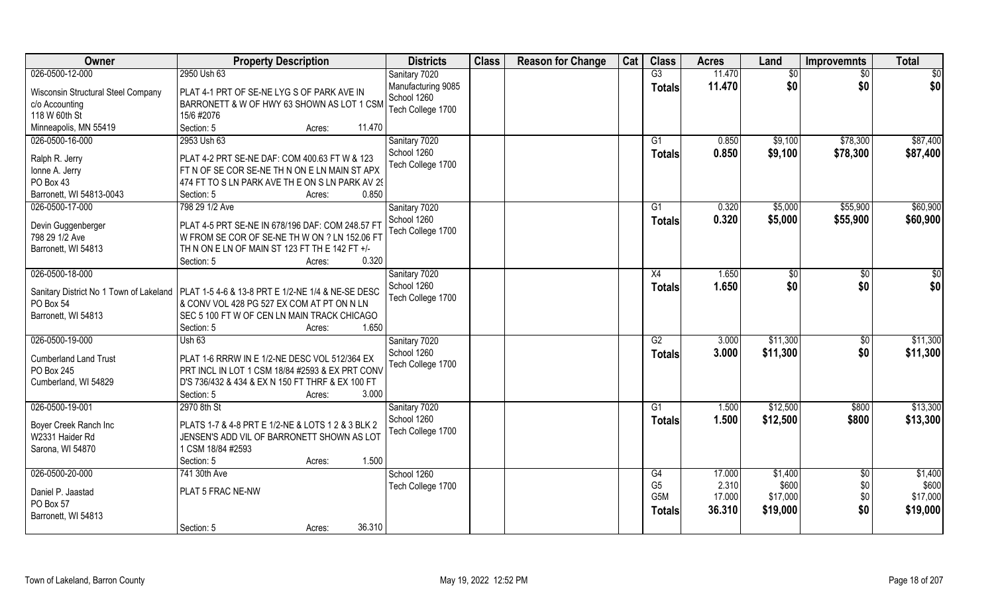| Owner                                | <b>Property Description</b>                                                                       | <b>Districts</b>                  | <b>Class</b> | <b>Reason for Change</b> | Cat | <b>Class</b>     | <b>Acres</b> | Land     | <b>Improvemnts</b> | <b>Total</b>      |
|--------------------------------------|---------------------------------------------------------------------------------------------------|-----------------------------------|--------------|--------------------------|-----|------------------|--------------|----------|--------------------|-------------------|
| 026-0500-12-000                      | 2950 Ush 63                                                                                       | Sanitary 7020                     |              |                          |     | $\overline{G3}$  | 11.470       | \$0      | $\sqrt{6}$         | \$0               |
| Wisconsin Structural Steel Company   | PLAT 4-1 PRT OF SE-NE LYG S OF PARK AVE IN                                                        | Manufacturing 9085<br>School 1260 |              |                          |     | <b>Totals</b>    | 11.470       | \$0      | \$0                | \$0               |
| c/o Accounting                       | BARRONETT & W OF HWY 63 SHOWN AS LOT 1 CSM                                                        | Tech College 1700                 |              |                          |     |                  |              |          |                    |                   |
| 118 W 60th St                        | 15/6 #2076                                                                                        |                                   |              |                          |     |                  |              |          |                    |                   |
| Minneapolis, MN 55419                | Section: 5<br>11.470<br>Acres:                                                                    |                                   |              |                          |     |                  |              |          |                    |                   |
| 026-0500-16-000                      | 2953 Ush 63                                                                                       | Sanitary 7020                     |              |                          |     | G1               | 0.850        | \$9,100  | \$78,300           | \$87,400          |
| Ralph R. Jerry                       | PLAT 4-2 PRT SE-NE DAF: COM 400.63 FT W & 123                                                     | School 1260                       |              |                          |     | <b>Totals</b>    | 0.850        | \$9,100  | \$78,300           | \$87,400          |
| Ionne A. Jerry                       | FT N OF SE COR SE-NE TH N ON E LN MAIN ST APX                                                     | Tech College 1700                 |              |                          |     |                  |              |          |                    |                   |
| PO Box 43                            | 474 FT TO S LN PARK AVE TH E ON S LN PARK AV 29                                                   |                                   |              |                          |     |                  |              |          |                    |                   |
| Barronett, WI 54813-0043             | 0.850<br>Section: 5<br>Acres:                                                                     |                                   |              |                          |     |                  |              |          |                    |                   |
| 026-0500-17-000                      | 798 29 1/2 Ave                                                                                    | Sanitary 7020                     |              |                          |     | G1               | 0.320        | \$5,000  | \$55,900           | \$60,900          |
|                                      |                                                                                                   | School 1260                       |              |                          |     | <b>Totals</b>    | 0.320        | \$5,000  | \$55,900           | \$60,900          |
| Devin Guggenberger<br>798 29 1/2 Ave | PLAT 4-5 PRT SE-NE IN 678/196 DAF: COM 248.57 FT<br>W FROM SE COR OF SE-NE TH W ON ? LN 152.06 FT | Tech College 1700                 |              |                          |     |                  |              |          |                    |                   |
| Barronett, WI 54813                  | TH N ON E LN OF MAIN ST 123 FT TH E 142 FT +/-                                                    |                                   |              |                          |     |                  |              |          |                    |                   |
|                                      | 0.320<br>Section: 5<br>Acres:                                                                     |                                   |              |                          |     |                  |              |          |                    |                   |
| 026-0500-18-000                      |                                                                                                   | Sanitary 7020                     |              |                          |     | X4               | 1.650        | \$0      | $\sqrt{50}$        | \$0               |
|                                      |                                                                                                   | School 1260                       |              |                          |     |                  | 1.650        | \$0      | \$0                | \$0               |
|                                      | Sanitary District No 1 Town of Lakeland   PLAT 1-5 4-6 & 13-8 PRT E 1/2-NE 1/4 & NE-SE DESC       | Tech College 1700                 |              |                          |     | <b>Totals</b>    |              |          |                    |                   |
| PO Box 54                            | & CONV VOL 428 PG 527 EX COM AT PT ON N LN                                                        |                                   |              |                          |     |                  |              |          |                    |                   |
| Barronett, WI 54813                  | SEC 5 100 FT W OF CEN LN MAIN TRACK CHICAGO                                                       |                                   |              |                          |     |                  |              |          |                    |                   |
|                                      | 1.650<br>Section: 5<br>Acres:                                                                     |                                   |              |                          |     |                  |              |          |                    |                   |
| 026-0500-19-000                      | <b>Ush 63</b>                                                                                     | Sanitary 7020                     |              |                          |     | $\overline{G2}$  | 3.000        | \$11,300 | \$0                | \$11,300          |
| <b>Cumberland Land Trust</b>         | PLAT 1-6 RRRW IN E 1/2-NE DESC VOL 512/364 EX                                                     | School 1260                       |              |                          |     | <b>Totals</b>    | 3.000        | \$11,300 | \$0                | \$11,300          |
| PO Box 245                           | PRT INCL IN LOT 1 CSM 18/84 #2593 & EX PRT CONV                                                   | Tech College 1700                 |              |                          |     |                  |              |          |                    |                   |
| Cumberland, WI 54829                 | D'S 736/432 & 434 & EX N 150 FT THRF & EX 100 FT                                                  |                                   |              |                          |     |                  |              |          |                    |                   |
|                                      | 3.000<br>Section: 5<br>Acres:                                                                     |                                   |              |                          |     |                  |              |          |                    |                   |
| 026-0500-19-001                      | 2970 8th St                                                                                       | Sanitary 7020                     |              |                          |     | G1               | 1.500        | \$12,500 | \$800              | \$13,300          |
|                                      |                                                                                                   | School 1260                       |              |                          |     | <b>Totals</b>    | 1.500        | \$12,500 | \$800              | \$13,300          |
| Boyer Creek Ranch Inc                | PLATS 1-7 & 4-8 PRT E 1/2-NE & LOTS 1 2 & 3 BLK 2                                                 | Tech College 1700                 |              |                          |     |                  |              |          |                    |                   |
| W2331 Haider Rd                      | JENSEN'S ADD VIL OF BARRONETT SHOWN AS LOT                                                        |                                   |              |                          |     |                  |              |          |                    |                   |
| Sarona, WI 54870                     | 1 CSM 18/84 #2593                                                                                 |                                   |              |                          |     |                  |              |          |                    |                   |
|                                      | 1.500<br>Section: 5<br>Acres:                                                                     |                                   |              |                          |     |                  |              |          |                    |                   |
| 026-0500-20-000                      | 741 30th Ave                                                                                      | School 1260                       |              |                          |     | G4               | 17.000       | \$1,400  | $\overline{50}$    | \$1,400           |
| Daniel P. Jaastad                    | PLAT 5 FRAC NE-NW                                                                                 | Tech College 1700                 |              |                          |     | G <sub>5</sub>   | 2.310        | \$600    | \$0                | \$600<br>\$17,000 |
| PO Box 57                            |                                                                                                   |                                   |              |                          |     | G <sub>5</sub> M | 17.000       | \$17,000 | \$0                |                   |
| Barronett, WI 54813                  |                                                                                                   |                                   |              |                          |     | <b>Totals</b>    | 36.310       | \$19,000 | \$0                | \$19,000          |
|                                      | 36.310<br>Section: 5<br>Acres:                                                                    |                                   |              |                          |     |                  |              |          |                    |                   |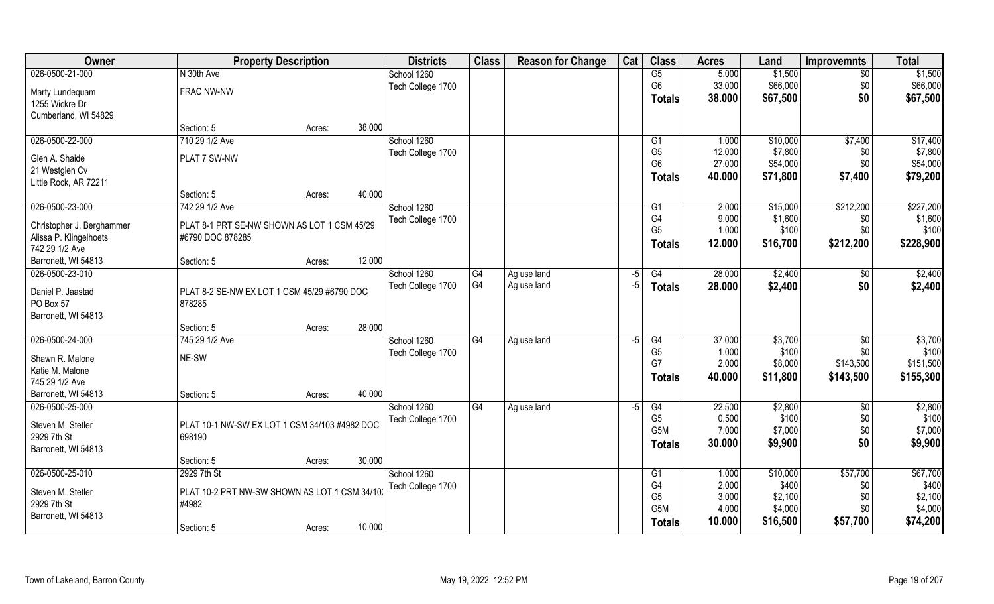| <b>Owner</b>                     | <b>Property Description</b>                   |        |        | <b>Districts</b>  | <b>Class</b> | <b>Reason for Change</b> | Cat  | <b>Class</b>     | <b>Acres</b> | Land     | <b>Improvemnts</b> | <b>Total</b> |
|----------------------------------|-----------------------------------------------|--------|--------|-------------------|--------------|--------------------------|------|------------------|--------------|----------|--------------------|--------------|
| 026-0500-21-000                  | N 30th Ave                                    |        |        | School 1260       |              |                          |      | G5               | 5.000        | \$1,500  | $\overline{50}$    | \$1,500      |
| Marty Lundequam                  | FRAC NW-NW                                    |        |        | Tech College 1700 |              |                          |      | G <sub>6</sub>   | 33.000       | \$66,000 | \$0                | \$66,000     |
| 1255 Wickre Dr                   |                                               |        |        |                   |              |                          |      | <b>Totals</b>    | 38.000       | \$67,500 | \$0                | \$67,500     |
| Cumberland, WI 54829             |                                               |        |        |                   |              |                          |      |                  |              |          |                    |              |
|                                  | Section: 5                                    | Acres: | 38.000 |                   |              |                          |      |                  |              |          |                    |              |
| 026-0500-22-000                  | 710 29 1/2 Ave                                |        |        | School 1260       |              |                          |      | G1               | 1.000        | \$10,000 | \$7,400            | \$17,400     |
| Glen A. Shaide                   | PLAT 7 SW-NW                                  |        |        | Tech College 1700 |              |                          |      | G <sub>5</sub>   | 12.000       | \$7,800  | \$0                | \$7,800      |
| 21 Westglen Cv                   |                                               |        |        |                   |              |                          |      | G <sub>6</sub>   | 27.000       | \$54,000 | \$0                | \$54,000     |
| Little Rock, AR 72211            |                                               |        |        |                   |              |                          |      | <b>Totals</b>    | 40.000       | \$71,800 | \$7,400            | \$79,200     |
|                                  | Section: 5                                    | Acres: | 40.000 |                   |              |                          |      |                  |              |          |                    |              |
| 026-0500-23-000                  | 742 29 1/2 Ave                                |        |        | School 1260       |              |                          |      | G <sub>1</sub>   | 2.000        | \$15,000 | \$212,200          | \$227,200    |
| Christopher J. Berghammer        | PLAT 8-1 PRT SE-NW SHOWN AS LOT 1 CSM 45/29   |        |        | Tech College 1700 |              |                          |      | G <sub>4</sub>   | 9.000        | \$1,600  | \$0                | \$1,600      |
| Alissa P. Klingelhoets           | #6790 DOC 878285                              |        |        |                   |              |                          |      | G <sub>5</sub>   | 1.000        | \$100    | \$0                | \$100        |
| 742 29 1/2 Ave                   |                                               |        |        |                   |              |                          |      | <b>Totals</b>    | 12.000       | \$16,700 | \$212,200          | \$228,900    |
| Barronett, WI 54813              | Section: 5                                    | Acres: | 12.000 |                   |              |                          |      |                  |              |          |                    |              |
| 026-0500-23-010                  |                                               |        |        | School 1260       | G4           | Ag use land              | -5   | G4               | 28.000       | \$2,400  | \$0                | \$2,400      |
|                                  |                                               |        |        | Tech College 1700 | G4           | Ag use land              | $-5$ | <b>Totals</b>    | 28.000       | \$2,400  | \$0                | \$2,400      |
| Daniel P. Jaastad                | PLAT 8-2 SE-NW EX LOT 1 CSM 45/29 #6790 DOC   |        |        |                   |              |                          |      |                  |              |          |                    |              |
| PO Box 57<br>Barronett, WI 54813 | 878285                                        |        |        |                   |              |                          |      |                  |              |          |                    |              |
|                                  | Section: 5                                    | Acres: | 28.000 |                   |              |                          |      |                  |              |          |                    |              |
| 026-0500-24-000                  | 745 29 1/2 Ave                                |        |        | School 1260       | G4           | Ag use land              | $-5$ | G4               | 37.000       | \$3,700  | \$0                | \$3,700      |
|                                  |                                               |        |        | Tech College 1700 |              |                          |      | G <sub>5</sub>   | 1.000        | \$100    | \$0                | \$100        |
| Shawn R. Malone                  | NE-SW                                         |        |        |                   |              |                          |      | G7               | 2.000        | \$8,000  | \$143,500          | \$151,500    |
| Katie M. Malone                  |                                               |        |        |                   |              |                          |      | <b>Totals</b>    | 40.000       | \$11,800 | \$143,500          | \$155,300    |
| 745 29 1/2 Ave                   |                                               |        |        |                   |              |                          |      |                  |              |          |                    |              |
| Barronett, WI 54813              | Section: 5                                    | Acres: | 40.000 |                   |              |                          |      |                  |              |          |                    |              |
| 026-0500-25-000                  |                                               |        |        | School 1260       | G4           | Ag use land              | $-5$ | G4               | 22.500       | \$2,800  | \$0                | \$2,800      |
| Steven M. Stetler                | PLAT 10-1 NW-SW EX LOT 1 CSM 34/103 #4982 DOC |        |        | Tech College 1700 |              |                          |      | G <sub>5</sub>   | 0.500        | \$100    | \$0                | \$100        |
| 2929 7th St                      | 698190                                        |        |        |                   |              |                          |      | G <sub>5</sub> M | 7.000        | \$7,000  | \$0                | \$7,000      |
| Barronett, WI 54813              |                                               |        |        |                   |              |                          |      | <b>Totals</b>    | 30.000       | \$9,900  | \$0                | \$9,900      |
|                                  | Section: 5                                    | Acres: | 30.000 |                   |              |                          |      |                  |              |          |                    |              |
| 026-0500-25-010                  | 2929 7th St                                   |        |        | School 1260       |              |                          |      | G1               | 1.000        | \$10,000 | \$57,700           | \$67,700     |
| Steven M. Stetler                | PLAT 10-2 PRT NW-SW SHOWN AS LOT 1 CSM 34/10  |        |        | Tech College 1700 |              |                          |      | G4               | 2.000        | \$400    | \$0                | \$400        |
| 2929 7th St                      | #4982                                         |        |        |                   |              |                          |      | G <sub>5</sub>   | 3.000        | \$2,100  | \$0                | \$2,100      |
| Barronett, WI 54813              |                                               |        |        |                   |              |                          |      | G5M              | 4.000        | \$4,000  | \$0                | \$4,000      |
|                                  | Section: 5                                    | Acres: | 10.000 |                   |              |                          |      | <b>Totals</b>    | 10.000       | \$16,500 | \$57,700           | \$74,200     |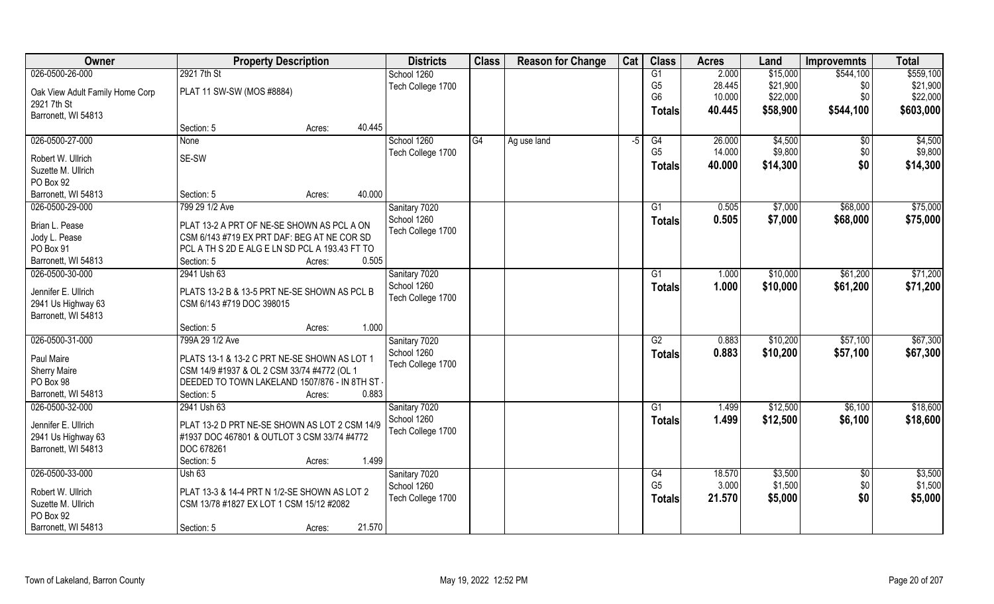| Owner                           | <b>Property Description</b>                    | <b>Districts</b>  | <b>Class</b> | <b>Reason for Change</b> | Cat  | <b>Class</b>    | <b>Acres</b> | Land     | <b>Improvemnts</b> | <b>Total</b> |
|---------------------------------|------------------------------------------------|-------------------|--------------|--------------------------|------|-----------------|--------------|----------|--------------------|--------------|
| 026-0500-26-000                 | 2921 7th St                                    | School 1260       |              |                          |      | G1              | 2.000        | \$15,000 | \$544,100          | \$559,100    |
| Oak View Adult Family Home Corp | PLAT 11 SW-SW (MOS #8884)                      | Tech College 1700 |              |                          |      | G <sub>5</sub>  | 28.445       | \$21,900 | \$0                | \$21,900     |
| 2921 7th St                     |                                                |                   |              |                          |      | G <sub>6</sub>  | 10.000       | \$22,000 | \$0                | \$22,000     |
| Barronett, WI 54813             |                                                |                   |              |                          |      | <b>Totals</b>   | 40.445       | \$58,900 | \$544,100          | \$603,000    |
|                                 | 40.445<br>Section: 5<br>Acres:                 |                   |              |                          |      |                 |              |          |                    |              |
| 026-0500-27-000                 | <b>None</b>                                    | School 1260       | G4           | Ag use land              | $-5$ | G4              | 26.000       | \$4,500  | $\sqrt[6]{}$       | \$4,500      |
|                                 |                                                | Tech College 1700 |              |                          |      | G <sub>5</sub>  | 14.000       | \$9,800  | \$0                | \$9,800      |
| Robert W. Ullrich               | SE-SW                                          |                   |              |                          |      | <b>Totals</b>   | 40.000       | \$14,300 | \$0                | \$14,300     |
| Suzette M. Ullrich              |                                                |                   |              |                          |      |                 |              |          |                    |              |
| PO Box 92                       |                                                |                   |              |                          |      |                 |              |          |                    |              |
| Barronett, WI 54813             | 40.000<br>Section: 5<br>Acres:                 |                   |              |                          |      |                 |              |          |                    |              |
| 026-0500-29-000                 | 799 29 1/2 Ave                                 | Sanitary 7020     |              |                          |      | G1              | 0.505        | \$7,000  | \$68,000           | \$75,000     |
| Brian L. Pease                  | PLAT 13-2 A PRT OF NE-SE SHOWN AS PCL A ON     | School 1260       |              |                          |      | <b>Totals</b>   | 0.505        | \$7,000  | \$68,000           | \$75,000     |
| Jody L. Pease                   | CSM 6/143 #719 EX PRT DAF: BEG AT NE COR SD    | Tech College 1700 |              |                          |      |                 |              |          |                    |              |
| PO Box 91                       | PCL A TH S 2D E ALG E LN SD PCL A 193.43 FT TO |                   |              |                          |      |                 |              |          |                    |              |
| Barronett, WI 54813             | 0.505<br>Section: 5<br>Acres:                  |                   |              |                          |      |                 |              |          |                    |              |
| 026-0500-30-000                 | 2941 Ush 63                                    | Sanitary 7020     |              |                          |      | G1              | 1.000        | \$10,000 | \$61,200           | \$71,200     |
|                                 |                                                | School 1260       |              |                          |      | <b>Totals</b>   | 1.000        | \$10,000 | \$61,200           | \$71,200     |
| Jennifer E. Ullrich             | PLATS 13-2 B & 13-5 PRT NE-SE SHOWN AS PCL B   | Tech College 1700 |              |                          |      |                 |              |          |                    |              |
| 2941 Us Highway 63              | CSM 6/143 #719 DOC 398015                      |                   |              |                          |      |                 |              |          |                    |              |
| Barronett, WI 54813             |                                                |                   |              |                          |      |                 |              |          |                    |              |
|                                 | 1.000<br>Section: 5<br>Acres:                  |                   |              |                          |      |                 |              |          |                    |              |
| 026-0500-31-000                 | 799A 29 1/2 Ave                                | Sanitary 7020     |              |                          |      | $\overline{G2}$ | 0.883        | \$10,200 | \$57,100           | \$67,300     |
| Paul Maire                      | PLATS 13-1 & 13-2 C PRT NE-SE SHOWN AS LOT 1   | School 1260       |              |                          |      | <b>Totals</b>   | 0.883        | \$10,200 | \$57,100           | \$67,300     |
| <b>Sherry Maire</b>             | CSM 14/9 #1937 & OL 2 CSM 33/74 #4772 (OL 1    | Tech College 1700 |              |                          |      |                 |              |          |                    |              |
| PO Box 98                       | DEEDED TO TOWN LAKELAND 1507/876 - IN 8TH ST - |                   |              |                          |      |                 |              |          |                    |              |
| Barronett, WI 54813             | Section: 5<br>0.883<br>Acres:                  |                   |              |                          |      |                 |              |          |                    |              |
| 026-0500-32-000                 | 2941 Ush 63                                    | Sanitary 7020     |              |                          |      | G1              | 1.499        | \$12,500 | \$6,100            | \$18,600     |
|                                 |                                                | School 1260       |              |                          |      | <b>Totals</b>   | 1.499        | \$12,500 | \$6,100            | \$18,600     |
| Jennifer E. Ullrich             | PLAT 13-2 D PRT NE-SE SHOWN AS LOT 2 CSM 14/9  | Tech College 1700 |              |                          |      |                 |              |          |                    |              |
| 2941 Us Highway 63              | #1937 DOC 467801 & OUTLOT 3 CSM 33/74 #4772    |                   |              |                          |      |                 |              |          |                    |              |
| Barronett, WI 54813             | DOC 678261                                     |                   |              |                          |      |                 |              |          |                    |              |
|                                 | 1.499<br>Section: 5<br>Acres:                  |                   |              |                          |      |                 |              |          |                    |              |
| 026-0500-33-000                 | Ush 63                                         | Sanitary 7020     |              |                          |      | G4              | 18.570       | \$3,500  | $\sqrt[6]{30}$     | \$3,500      |
| Robert W. Ullrich               | PLAT 13-3 & 14-4 PRT N 1/2-SE SHOWN AS LOT 2   | School 1260       |              |                          |      | G <sub>5</sub>  | 3.000        | \$1,500  | \$0                | \$1,500      |
| Suzette M. Ullrich              | CSM 13/78 #1827 EX LOT 1 CSM 15/12 #2082       | Tech College 1700 |              |                          |      | <b>Totals</b>   | 21.570       | \$5,000  | \$0                | \$5,000      |
| PO Box 92                       |                                                |                   |              |                          |      |                 |              |          |                    |              |
| Barronett, WI 54813             | 21.570<br>Section: 5<br>Acres:                 |                   |              |                          |      |                 |              |          |                    |              |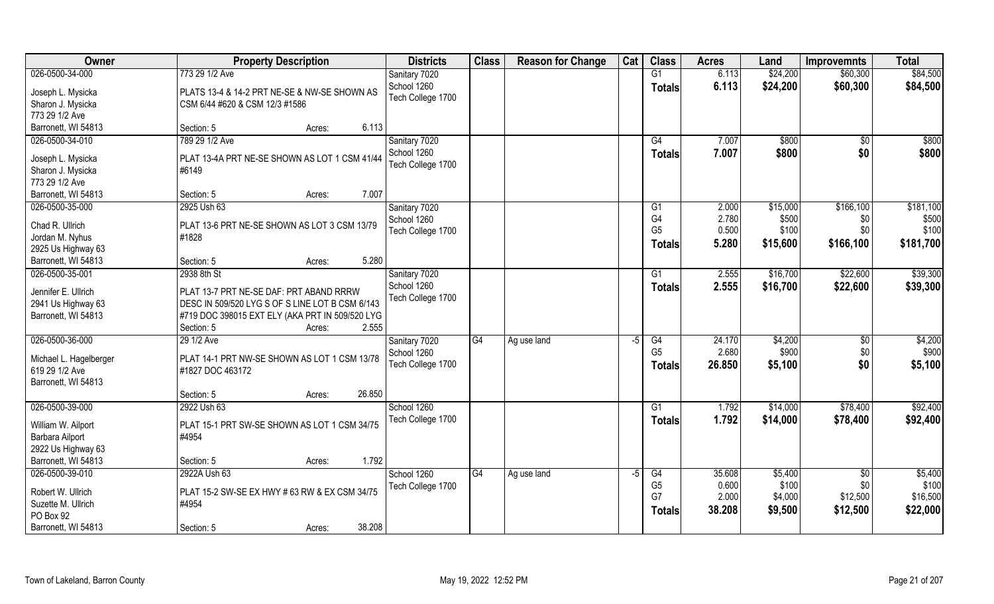| Owner                  | <b>Property Description</b>                     | <b>Districts</b>  | <b>Class</b>    | <b>Reason for Change</b> | Cat  | <b>Class</b>                     | <b>Acres</b>    | Land             | <b>Improvemnts</b>     | <b>Total</b>      |
|------------------------|-------------------------------------------------|-------------------|-----------------|--------------------------|------|----------------------------------|-----------------|------------------|------------------------|-------------------|
| 026-0500-34-000        | 773 29 1/2 Ave                                  | Sanitary 7020     |                 |                          |      | G1                               | 6.113           | \$24,200         | \$60,300               | \$84,500          |
| Joseph L. Mysicka      | PLATS 13-4 & 14-2 PRT NE-SE & NW-SE SHOWN AS    | School 1260       |                 |                          |      | <b>Totals</b>                    | 6.113           | \$24,200         | \$60,300               | \$84,500          |
| Sharon J. Mysicka      | CSM 6/44 #620 & CSM 12/3 #1586                  | Tech College 1700 |                 |                          |      |                                  |                 |                  |                        |                   |
| 773 29 1/2 Ave         |                                                 |                   |                 |                          |      |                                  |                 |                  |                        |                   |
| Barronett, WI 54813    | 6.113<br>Section: 5<br>Acres:                   |                   |                 |                          |      |                                  |                 |                  |                        |                   |
| 026-0500-34-010        | 789 29 1/2 Ave                                  | Sanitary 7020     |                 |                          |      | G4                               | 7.007           | \$800            | \$0                    | \$800             |
|                        |                                                 | School 1260       |                 |                          |      | Totals                           | 7.007           | \$800            | \$0                    | \$800             |
| Joseph L. Mysicka      | PLAT 13-4A PRT NE-SE SHOWN AS LOT 1 CSM 41/44   | Tech College 1700 |                 |                          |      |                                  |                 |                  |                        |                   |
| Sharon J. Mysicka      | #6149                                           |                   |                 |                          |      |                                  |                 |                  |                        |                   |
| 773 29 1/2 Ave         |                                                 |                   |                 |                          |      |                                  |                 |                  |                        |                   |
| Barronett, WI 54813    | 7.007<br>Section: 5<br>Acres:                   |                   |                 |                          |      |                                  |                 |                  |                        |                   |
| 026-0500-35-000        | 2925 Ush 63                                     | Sanitary 7020     |                 |                          |      | G1                               | 2.000           | \$15,000         | \$166,100              | \$181,100         |
| Chad R. Ullrich        | PLAT 13-6 PRT NE-SE SHOWN AS LOT 3 CSM 13/79    | School 1260       |                 |                          |      | G <sub>4</sub><br>G <sub>5</sub> | 2.780           | \$500            | \$0                    | \$500             |
| Jordan M. Nyhus        | #1828                                           | Tech College 1700 |                 |                          |      |                                  | 0.500           | \$100            | \$0                    | \$100             |
| 2925 Us Highway 63     |                                                 |                   |                 |                          |      | Totals                           | 5.280           | \$15,600         | \$166,100              | \$181,700         |
| Barronett, WI 54813    | 5.280<br>Section: 5<br>Acres:                   |                   |                 |                          |      |                                  |                 |                  |                        |                   |
| 026-0500-35-001        | 2938 8th St                                     | Sanitary 7020     |                 |                          |      | G1                               | 2.555           | \$16,700         | \$22,600               | \$39,300          |
|                        |                                                 | School 1260       |                 |                          |      | <b>Totals</b>                    | 2.555           | \$16,700         | \$22,600               | \$39,300          |
| Jennifer E. Ullrich    | PLAT 13-7 PRT NE-SE DAF: PRT ABAND RRRW         | Tech College 1700 |                 |                          |      |                                  |                 |                  |                        |                   |
| 2941 Us Highway 63     | DESC IN 509/520 LYG S OF S LINE LOT B CSM 6/143 |                   |                 |                          |      |                                  |                 |                  |                        |                   |
| Barronett, WI 54813    | #719 DOC 398015 EXT ELY (AKA PRT IN 509/520 LYG |                   |                 |                          |      |                                  |                 |                  |                        |                   |
|                        | 2.555<br>Section: 5<br>Acres:                   |                   |                 |                          |      |                                  |                 |                  |                        |                   |
| 026-0500-36-000        | 29 1/2 Ave                                      | Sanitary 7020     | $\overline{G4}$ | Ag use land              | $-5$ | G4                               | 24.170          | \$4,200          | \$0                    | \$4,200           |
| Michael L. Hagelberger | PLAT 14-1 PRT NW-SE SHOWN AS LOT 1 CSM 13/78    | School 1260       |                 |                          |      | G <sub>5</sub>                   | 2.680           | \$900            | \$0                    | \$900             |
| 619 29 1/2 Ave         | #1827 DOC 463172                                | Tech College 1700 |                 |                          |      | Totals                           | 26.850          | \$5,100          | \$0                    | \$5,100           |
| Barronett, WI 54813    |                                                 |                   |                 |                          |      |                                  |                 |                  |                        |                   |
|                        | 26.850<br>Section: 5<br>Acres:                  |                   |                 |                          |      |                                  |                 |                  |                        |                   |
| 026-0500-39-000        | 2922 Ush 63                                     | School 1260       |                 |                          |      | G1                               | 1.792           | \$14,000         | \$78,400               | \$92,400          |
|                        | PLAT 15-1 PRT SW-SE SHOWN AS LOT 1 CSM 34/75    | Tech College 1700 |                 |                          |      | <b>Totals</b>                    | 1.792           | \$14,000         | \$78,400               | \$92,400          |
| William W. Ailport     |                                                 |                   |                 |                          |      |                                  |                 |                  |                        |                   |
| Barbara Ailport        | #4954                                           |                   |                 |                          |      |                                  |                 |                  |                        |                   |
| 2922 Us Highway 63     |                                                 |                   |                 |                          |      |                                  |                 |                  |                        |                   |
| Barronett, WI 54813    | 1.792<br>Section: 5<br>Acres:                   |                   |                 |                          |      |                                  |                 |                  |                        |                   |
| 026-0500-39-010        | 2922A Ush 63                                    | School 1260       | G4              | Ag use land              | $-5$ | G4<br>G <sub>5</sub>             | 35.608<br>0.600 | \$5,400<br>\$100 | $\overline{50}$<br>\$0 | \$5,400           |
| Robert W. Ullrich      | PLAT 15-2 SW-SE EX HWY # 63 RW & EX CSM 34/75   | Tech College 1700 |                 |                          |      | G7                               | 2.000           |                  | \$12,500               | \$100<br>\$16,500 |
| Suzette M. Ullrich     | #4954                                           |                   |                 |                          |      |                                  |                 | \$4,000          |                        |                   |
| PO Box 92              |                                                 |                   |                 |                          |      | <b>Totals</b>                    | 38.208          | \$9,500          | \$12,500               | \$22,000          |
| Barronett, WI 54813    | 38.208<br>Section: 5<br>Acres:                  |                   |                 |                          |      |                                  |                 |                  |                        |                   |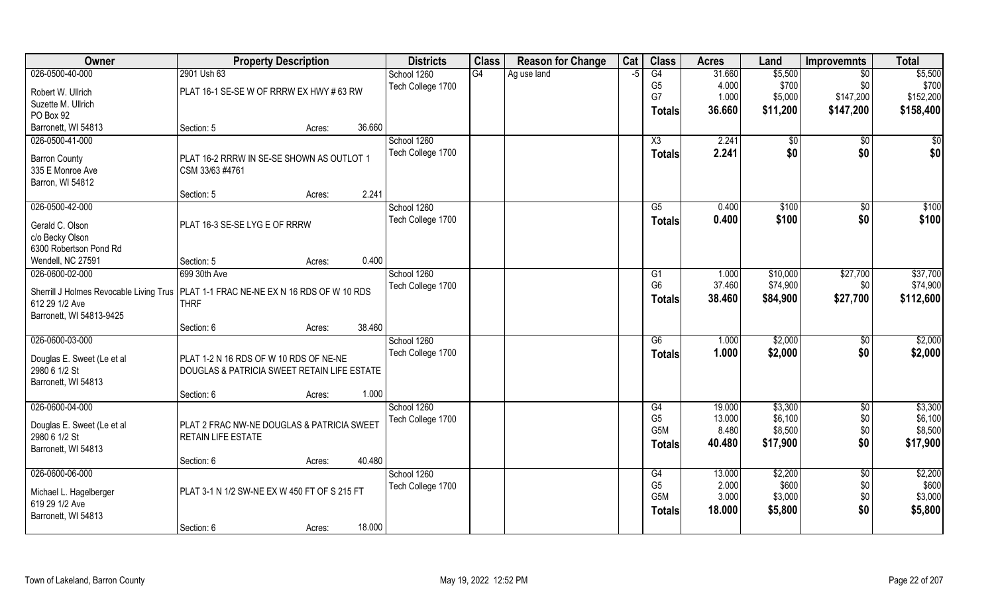| G4<br>026-0500-40-000<br>2901 Ush 63<br>G4<br>31.660<br>\$5,500<br>School 1260<br>Ag use land<br>$\overline{50}$<br>-5<br>G <sub>5</sub><br>4.000<br>\$700<br>\$700<br>\$0<br>Tech College 1700<br>PLAT 16-1 SE-SE W OF RRRW EX HWY # 63 RW<br>Robert W. Ullrich<br>G7<br>1.000<br>\$147,200<br>\$5,000<br>Suzette M. Ullrich<br>36.660<br>\$11,200<br>\$147,200<br>\$158,400<br>Totals<br>PO Box 92<br>Barronett, WI 54813<br>36.660<br>Section: 5<br>Acres:<br>026-0500-41-000<br>School 1260<br>2.241<br>\$0<br>X3<br>$\sqrt{50}$<br>Tech College 1700<br>2.241<br>\$0<br>\$0<br>Totals<br><b>Barron County</b><br>PLAT 16-2 RRRW IN SE-SE SHOWN AS OUTLOT 1<br>335 E Monroe Ave<br>CSM 33/63 #4761<br>Barron, WI 54812<br>2.241<br>Section: 5<br>Acres:<br>026-0500-42-000<br>School 1260<br>$\overline{\text{G5}}$<br>\$100<br>\$0<br>0.400<br>\$0<br>Tech College 1700<br>0.400<br>\$100<br><b>Totals</b><br>Gerald C. Olson<br>PLAT 16-3 SE-SE LYG E OF RRRW<br>c/o Becky Olson | Owner                  | <b>Property Description</b> | <b>Districts</b> | <b>Class</b> | <b>Reason for Change</b> | Cat | <b>Class</b> | <b>Acres</b> | Land | <b>Improvemnts</b> | <b>Total</b> |
|----------------------------------------------------------------------------------------------------------------------------------------------------------------------------------------------------------------------------------------------------------------------------------------------------------------------------------------------------------------------------------------------------------------------------------------------------------------------------------------------------------------------------------------------------------------------------------------------------------------------------------------------------------------------------------------------------------------------------------------------------------------------------------------------------------------------------------------------------------------------------------------------------------------------------------------------------------------------------------------|------------------------|-----------------------------|------------------|--------------|--------------------------|-----|--------------|--------------|------|--------------------|--------------|
| \$152,200<br>$\sqrt{50}$<br>\$0 <br>\$100<br>\$100                                                                                                                                                                                                                                                                                                                                                                                                                                                                                                                                                                                                                                                                                                                                                                                                                                                                                                                                     |                        |                             |                  |              |                          |     |              |              |      |                    | \$5,500      |
|                                                                                                                                                                                                                                                                                                                                                                                                                                                                                                                                                                                                                                                                                                                                                                                                                                                                                                                                                                                        |                        |                             |                  |              |                          |     |              |              |      |                    |              |
|                                                                                                                                                                                                                                                                                                                                                                                                                                                                                                                                                                                                                                                                                                                                                                                                                                                                                                                                                                                        |                        |                             |                  |              |                          |     |              |              |      |                    |              |
|                                                                                                                                                                                                                                                                                                                                                                                                                                                                                                                                                                                                                                                                                                                                                                                                                                                                                                                                                                                        |                        |                             |                  |              |                          |     |              |              |      |                    |              |
|                                                                                                                                                                                                                                                                                                                                                                                                                                                                                                                                                                                                                                                                                                                                                                                                                                                                                                                                                                                        |                        |                             |                  |              |                          |     |              |              |      |                    |              |
|                                                                                                                                                                                                                                                                                                                                                                                                                                                                                                                                                                                                                                                                                                                                                                                                                                                                                                                                                                                        |                        |                             |                  |              |                          |     |              |              |      |                    |              |
|                                                                                                                                                                                                                                                                                                                                                                                                                                                                                                                                                                                                                                                                                                                                                                                                                                                                                                                                                                                        |                        |                             |                  |              |                          |     |              |              |      |                    |              |
|                                                                                                                                                                                                                                                                                                                                                                                                                                                                                                                                                                                                                                                                                                                                                                                                                                                                                                                                                                                        |                        |                             |                  |              |                          |     |              |              |      |                    |              |
|                                                                                                                                                                                                                                                                                                                                                                                                                                                                                                                                                                                                                                                                                                                                                                                                                                                                                                                                                                                        |                        |                             |                  |              |                          |     |              |              |      |                    |              |
|                                                                                                                                                                                                                                                                                                                                                                                                                                                                                                                                                                                                                                                                                                                                                                                                                                                                                                                                                                                        |                        |                             |                  |              |                          |     |              |              |      |                    |              |
|                                                                                                                                                                                                                                                                                                                                                                                                                                                                                                                                                                                                                                                                                                                                                                                                                                                                                                                                                                                        |                        |                             |                  |              |                          |     |              |              |      |                    |              |
|                                                                                                                                                                                                                                                                                                                                                                                                                                                                                                                                                                                                                                                                                                                                                                                                                                                                                                                                                                                        |                        |                             |                  |              |                          |     |              |              |      |                    |              |
|                                                                                                                                                                                                                                                                                                                                                                                                                                                                                                                                                                                                                                                                                                                                                                                                                                                                                                                                                                                        |                        |                             |                  |              |                          |     |              |              |      |                    |              |
|                                                                                                                                                                                                                                                                                                                                                                                                                                                                                                                                                                                                                                                                                                                                                                                                                                                                                                                                                                                        |                        |                             |                  |              |                          |     |              |              |      |                    |              |
|                                                                                                                                                                                                                                                                                                                                                                                                                                                                                                                                                                                                                                                                                                                                                                                                                                                                                                                                                                                        | 6300 Robertson Pond Rd |                             |                  |              |                          |     |              |              |      |                    |              |
| 0.400<br>Wendell, NC 27591<br>Section: 5<br>Acres:                                                                                                                                                                                                                                                                                                                                                                                                                                                                                                                                                                                                                                                                                                                                                                                                                                                                                                                                     |                        |                             |                  |              |                          |     |              |              |      |                    |              |
| \$37,700<br>026-0600-02-000<br>699 30th Ave<br>School 1260<br>\$10,000<br>\$27,700<br>1.000<br>G1                                                                                                                                                                                                                                                                                                                                                                                                                                                                                                                                                                                                                                                                                                                                                                                                                                                                                      |                        |                             |                  |              |                          |     |              |              |      |                    |              |
| G <sub>6</sub><br>37.460<br>\$74,900<br>\$74,900<br>Tech College 1700<br>\$0                                                                                                                                                                                                                                                                                                                                                                                                                                                                                                                                                                                                                                                                                                                                                                                                                                                                                                           |                        |                             |                  |              |                          |     |              |              |      |                    |              |
| Sherrill J Holmes Revocable Living Trus   PLAT 1-1 FRAC NE-NE EX N 16 RDS OF W 10 RDS<br>38.460<br>\$84,900<br>\$27,700<br>\$112,600<br>Totals<br>612 29 1/2 Ave<br><b>THRF</b>                                                                                                                                                                                                                                                                                                                                                                                                                                                                                                                                                                                                                                                                                                                                                                                                        |                        |                             |                  |              |                          |     |              |              |      |                    |              |
| Barronett, WI 54813-9425                                                                                                                                                                                                                                                                                                                                                                                                                                                                                                                                                                                                                                                                                                                                                                                                                                                                                                                                                               |                        |                             |                  |              |                          |     |              |              |      |                    |              |
| 38.460<br>Section: 6<br>Acres:                                                                                                                                                                                                                                                                                                                                                                                                                                                                                                                                                                                                                                                                                                                                                                                                                                                                                                                                                         |                        |                             |                  |              |                          |     |              |              |      |                    |              |
| 026-0600-03-000<br>$\overline{G6}$<br>1.000<br>\$2,000<br>\$2,000<br>School 1260<br>$\sqrt[6]{30}$                                                                                                                                                                                                                                                                                                                                                                                                                                                                                                                                                                                                                                                                                                                                                                                                                                                                                     |                        |                             |                  |              |                          |     |              |              |      |                    |              |
| 1.000<br>\$2,000<br>\$2,000<br>Tech College 1700<br>\$0<br>Totals                                                                                                                                                                                                                                                                                                                                                                                                                                                                                                                                                                                                                                                                                                                                                                                                                                                                                                                      |                        |                             |                  |              |                          |     |              |              |      |                    |              |
| Douglas E. Sweet (Le et al<br>PLAT 1-2 N 16 RDS OF W 10 RDS OF NE-NE                                                                                                                                                                                                                                                                                                                                                                                                                                                                                                                                                                                                                                                                                                                                                                                                                                                                                                                   |                        |                             |                  |              |                          |     |              |              |      |                    |              |
| 2980 6 1/2 St<br>DOUGLAS & PATRICIA SWEET RETAIN LIFE ESTATE                                                                                                                                                                                                                                                                                                                                                                                                                                                                                                                                                                                                                                                                                                                                                                                                                                                                                                                           |                        |                             |                  |              |                          |     |              |              |      |                    |              |
| Barronett, WI 54813                                                                                                                                                                                                                                                                                                                                                                                                                                                                                                                                                                                                                                                                                                                                                                                                                                                                                                                                                                    |                        |                             |                  |              |                          |     |              |              |      |                    |              |
| 1.000<br>Section: 6<br>Acres:                                                                                                                                                                                                                                                                                                                                                                                                                                                                                                                                                                                                                                                                                                                                                                                                                                                                                                                                                          |                        |                             |                  |              |                          |     |              |              |      |                    |              |
| 026-0600-04-000<br>G4<br>19.000<br>\$3,300<br>$\sqrt{$0}$<br>\$3,300<br>School 1260                                                                                                                                                                                                                                                                                                                                                                                                                                                                                                                                                                                                                                                                                                                                                                                                                                                                                                    |                        |                             |                  |              |                          |     |              |              |      |                    |              |
| \$6,100<br>G <sub>5</sub><br>13.000<br>\$6,100<br>\$0<br>Tech College 1700<br>Douglas E. Sweet (Le et al<br>PLAT 2 FRAC NW-NE DOUGLAS & PATRICIA SWEET                                                                                                                                                                                                                                                                                                                                                                                                                                                                                                                                                                                                                                                                                                                                                                                                                                 |                        |                             |                  |              |                          |     |              |              |      |                    |              |
| G <sub>5</sub> M<br>8.480<br>\$8,500<br>\$0<br>\$8,500<br>2980 6 1/2 St<br>RETAIN LIFE ESTATE                                                                                                                                                                                                                                                                                                                                                                                                                                                                                                                                                                                                                                                                                                                                                                                                                                                                                          |                        |                             |                  |              |                          |     |              |              |      |                    |              |
| \$17,900<br>40.480<br>\$17,900<br>\$0<br>Totals<br>Barronett, WI 54813                                                                                                                                                                                                                                                                                                                                                                                                                                                                                                                                                                                                                                                                                                                                                                                                                                                                                                                 |                        |                             |                  |              |                          |     |              |              |      |                    |              |
| 40.480<br>Section: 6<br>Acres:                                                                                                                                                                                                                                                                                                                                                                                                                                                                                                                                                                                                                                                                                                                                                                                                                                                                                                                                                         |                        |                             |                  |              |                          |     |              |              |      |                    |              |
| 026-0600-06-000<br>\$2,200<br>\$2,200<br>School 1260<br>G4<br>13.000<br>$\sqrt{6}$                                                                                                                                                                                                                                                                                                                                                                                                                                                                                                                                                                                                                                                                                                                                                                                                                                                                                                     |                        |                             |                  |              |                          |     |              |              |      |                    |              |
| G <sub>5</sub><br>\$600<br>\$600<br>2.000<br>\$0<br>Tech College 1700<br>PLAT 3-1 N 1/2 SW-NE EX W 450 FT OF S 215 FT                                                                                                                                                                                                                                                                                                                                                                                                                                                                                                                                                                                                                                                                                                                                                                                                                                                                  |                        |                             |                  |              |                          |     |              |              |      |                    |              |
| Michael L. Hagelberger<br>\$3,000<br>G5M<br>3.000<br>\$3,000<br>\$0<br>619 29 1/2 Ave                                                                                                                                                                                                                                                                                                                                                                                                                                                                                                                                                                                                                                                                                                                                                                                                                                                                                                  |                        |                             |                  |              |                          |     |              |              |      |                    |              |
| \$0<br>18.000<br>\$5,800<br>\$5,800<br><b>Totals</b><br>Barronett, WI 54813                                                                                                                                                                                                                                                                                                                                                                                                                                                                                                                                                                                                                                                                                                                                                                                                                                                                                                            |                        |                             |                  |              |                          |     |              |              |      |                    |              |
| 18.000<br>Section: 6<br>Acres:                                                                                                                                                                                                                                                                                                                                                                                                                                                                                                                                                                                                                                                                                                                                                                                                                                                                                                                                                         |                        |                             |                  |              |                          |     |              |              |      |                    |              |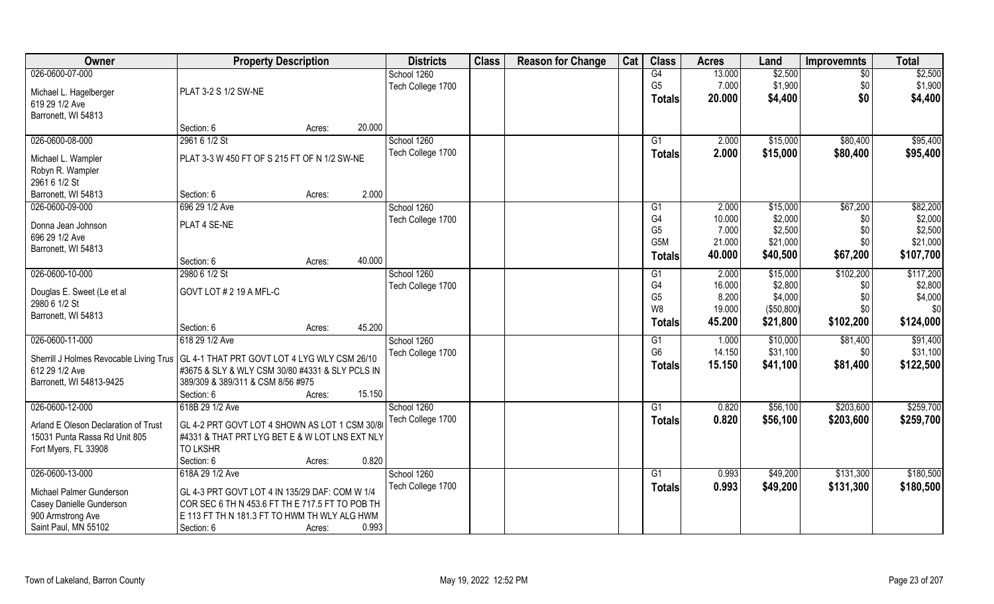| Owner                                                                                  | <b>Property Description</b>                     |        | <b>Districts</b>  | <b>Class</b> | <b>Reason for Change</b> | Cat | <b>Class</b>         | <b>Acres</b>    | Land               | <b>Improvemnts</b> | <b>Total</b>       |
|----------------------------------------------------------------------------------------|-------------------------------------------------|--------|-------------------|--------------|--------------------------|-----|----------------------|-----------------|--------------------|--------------------|--------------------|
| 026-0600-07-000                                                                        |                                                 |        | School 1260       |              |                          |     | G4                   | 13.000          | \$2,500            | $\sqrt{6}$         | \$2,500            |
| Michael L. Hagelberger                                                                 | PLAT 3-2 S 1/2 SW-NE                            |        | Tech College 1700 |              |                          |     | G <sub>5</sub>       | 7.000           | \$1,900            | \$0                | \$1,900            |
| 619 29 1/2 Ave                                                                         |                                                 |        |                   |              |                          |     | Totals               | 20.000          | \$4,400            | \$0                | \$4,400            |
| Barronett, WI 54813                                                                    |                                                 |        |                   |              |                          |     |                      |                 |                    |                    |                    |
|                                                                                        | Section: 6                                      | Acres: | 20.000            |              |                          |     |                      |                 |                    |                    |                    |
| 026-0600-08-000                                                                        | 2961 6 1/2 St                                   |        | School 1260       |              |                          |     | $\overline{G1}$      | 2.000           | \$15,000           | \$80,400           | \$95,400           |
|                                                                                        |                                                 |        | Tech College 1700 |              |                          |     | Totals               | 2.000           | \$15,000           | \$80,400           | \$95,400           |
| Michael L. Wampler                                                                     | PLAT 3-3 W 450 FT OF S 215 FT OF N 1/2 SW-NE    |        |                   |              |                          |     |                      |                 |                    |                    |                    |
| Robyn R. Wampler                                                                       |                                                 |        |                   |              |                          |     |                      |                 |                    |                    |                    |
| 2961 6 1/2 St                                                                          |                                                 |        |                   |              |                          |     |                      |                 |                    |                    |                    |
| Barronett, WI 54813                                                                    | Section: 6                                      | Acres: | 2.000             |              |                          |     |                      |                 |                    |                    |                    |
| 026-0600-09-000                                                                        | 696 29 1/2 Ave                                  |        | School 1260       |              |                          |     | G1                   | 2.000           | \$15,000           | \$67,200           | \$82,200           |
| Donna Jean Johnson                                                                     | PLAT 4 SE-NE                                    |        | Tech College 1700 |              |                          |     | G4<br>G <sub>5</sub> | 10.000<br>7.000 | \$2,000<br>\$2,500 | \$0                | \$2,000<br>\$2,500 |
| 696 29 1/2 Ave                                                                         |                                                 |        |                   |              |                          |     | G <sub>5</sub> M     | 21.000          | \$21,000           | \$0<br>\$0         | \$21,000           |
| Barronett, WI 54813                                                                    |                                                 |        |                   |              |                          |     |                      |                 |                    |                    |                    |
|                                                                                        | Section: 6                                      | Acres: | 40.000            |              |                          |     | <b>Totals</b>        | 40.000          | \$40,500           | \$67,200           | \$107,700          |
| 026-0600-10-000                                                                        | 2980 6 1/2 St                                   |        | School 1260       |              |                          |     | G1                   | 2.000           | \$15,000           | \$102,200          | \$117,200          |
|                                                                                        |                                                 |        | Tech College 1700 |              |                          |     | G4                   | 16.000          | \$2,800            | \$0                | \$2,800            |
| Douglas E. Sweet (Le et al                                                             | GOVT LOT # 2 19 A MFL-C                         |        |                   |              |                          |     | G <sub>5</sub>       | 8.200           | \$4,000            | \$0\$              | \$4,000            |
| 2980 6 1/2 St                                                                          |                                                 |        |                   |              |                          |     | W <sub>8</sub>       | 19.000          | (\$50,800)         | \$0                | \$0                |
| Barronett, WI 54813                                                                    | Section: 6                                      |        | 45.200            |              |                          |     | <b>Totals</b>        | 45.200          | \$21,800           | \$102,200          | \$124,000          |
| 026-0600-11-000                                                                        | 618 29 1/2 Ave                                  | Acres: | School 1260       |              |                          |     | G1                   | 1.000           | \$10,000           | \$81,400           | \$91,400           |
|                                                                                        |                                                 |        |                   |              |                          |     | G <sub>6</sub>       | 14.150          | \$31,100           | \$0                | \$31,100           |
| Sherrill J Holmes Revocable Living Trus   GL 4-1 THAT PRT GOVT LOT 4 LYG WLY CSM 26/10 |                                                 |        | Tech College 1700 |              |                          |     |                      | 15.150          | \$41,100           | \$81,400           | \$122,500          |
| 612 29 1/2 Ave                                                                         | #3675 & SLY & WLY CSM 30/80 #4331 & SLY PCLS IN |        |                   |              |                          |     | <b>Totals</b>        |                 |                    |                    |                    |
| Barronett, WI 54813-9425                                                               | 389/309 & 389/311 & CSM 8/56 #975               |        |                   |              |                          |     |                      |                 |                    |                    |                    |
|                                                                                        | Section: 6                                      | Acres: | 15.150            |              |                          |     |                      |                 |                    |                    |                    |
| 026-0600-12-000                                                                        | 618B 29 1/2 Ave                                 |        | School 1260       |              |                          |     | G1                   | 0.820           | \$56,100           | \$203,600          | \$259,700          |
| Arland E Oleson Declaration of Trust                                                   | GL 4-2 PRT GOVT LOT 4 SHOWN AS LOT 1 CSM 30/8   |        | Tech College 1700 |              |                          |     | <b>Totals</b>        | 0.820           | \$56,100           | \$203,600          | \$259,700          |
| 15031 Punta Rassa Rd Unit 805                                                          | #4331 & THAT PRT LYG BET E & W LOT LNS EXT NLY  |        |                   |              |                          |     |                      |                 |                    |                    |                    |
| Fort Myers, FL 33908                                                                   | <b>TO LKSHR</b>                                 |        |                   |              |                          |     |                      |                 |                    |                    |                    |
|                                                                                        | Section: 6                                      | Acres: | 0.820             |              |                          |     |                      |                 |                    |                    |                    |
| 026-0600-13-000                                                                        | 618A 29 1/2 Ave                                 |        | School 1260       |              |                          |     | G1                   | 0.993           | \$49,200           | \$131,300          | \$180,500          |
|                                                                                        |                                                 |        | Tech College 1700 |              |                          |     | Totals               | 0.993           | \$49,200           | \$131,300          | \$180,500          |
| Michael Palmer Gunderson                                                               | GL 4-3 PRT GOVT LOT 4 IN 135/29 DAF: COM W 1/4  |        |                   |              |                          |     |                      |                 |                    |                    |                    |
| Casey Danielle Gunderson                                                               | COR SEC 6 TH N 453.6 FT TH E 717.5 FT TO POB TH |        |                   |              |                          |     |                      |                 |                    |                    |                    |
| 900 Armstrong Ave                                                                      | E 113 FT TH N 181.3 FT TO HWM TH WLY ALG HWM    |        |                   |              |                          |     |                      |                 |                    |                    |                    |
| Saint Paul, MN 55102                                                                   | Section: 6                                      | Acres: | 0.993             |              |                          |     |                      |                 |                    |                    |                    |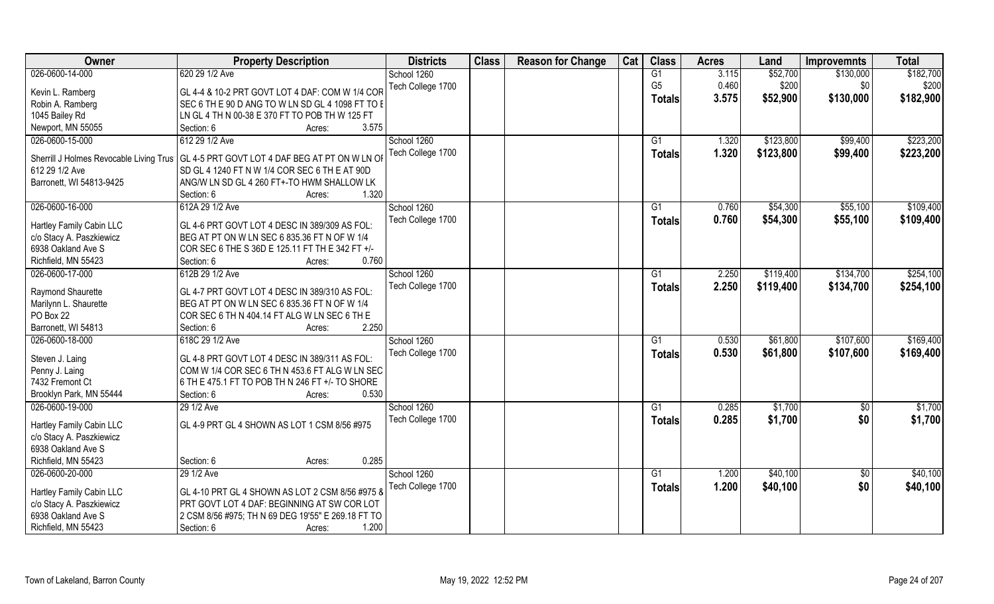| Owner                    | <b>Property Description</b>                                                              | <b>Districts</b>  | <b>Class</b> | <b>Reason for Change</b> | Cat | <b>Class</b>    | <b>Acres</b> | Land      | <b>Improvemnts</b> | <b>Total</b> |
|--------------------------|------------------------------------------------------------------------------------------|-------------------|--------------|--------------------------|-----|-----------------|--------------|-----------|--------------------|--------------|
| 026-0600-14-000          | 620 29 1/2 Ave                                                                           | School 1260       |              |                          |     | G1              | 3.115        | \$52,700  | \$130,000          | \$182,700    |
| Kevin L. Ramberg         | GL 4-4 & 10-2 PRT GOVT LOT 4 DAF: COM W 1/4 COR                                          | Tech College 1700 |              |                          |     | G <sub>5</sub>  | 0.460        | \$200     | \$0                | \$200        |
| Robin A. Ramberg         | SEC 6 TH E 90 D ANG TO W LN SD GL 4 1098 FT TO E                                         |                   |              |                          |     | <b>Totals</b>   | 3.575        | \$52,900  | \$130,000          | \$182,900    |
| 1045 Bailey Rd           | LN GL 4 TH N 00-38 E 370 FT TO POB TH W 125 FT                                           |                   |              |                          |     |                 |              |           |                    |              |
| Newport, MN 55055        | 3.575<br>Section: 6<br>Acres:                                                            |                   |              |                          |     |                 |              |           |                    |              |
| 026-0600-15-000          | 612 29 1/2 Ave                                                                           | School 1260       |              |                          |     | G1              | 1.320        | \$123,800 | \$99,400           | \$223,200    |
|                          |                                                                                          | Tech College 1700 |              |                          |     |                 |              |           |                    |              |
|                          | Sherrill J Holmes Revocable Living Trus   GL 4-5 PRT GOVT LOT 4 DAF BEG AT PT ON W LN OI |                   |              |                          |     | <b>Totals</b>   | 1.320        | \$123,800 | \$99,400           | \$223,200    |
| 612 29 1/2 Ave           | SD GL 4 1240 FT N W 1/4 COR SEC 6 TH E AT 90D                                            |                   |              |                          |     |                 |              |           |                    |              |
| Barronett, WI 54813-9425 | ANG/W LN SD GL 4 260 FT+-TO HWM SHALLOW LK                                               |                   |              |                          |     |                 |              |           |                    |              |
|                          | 1.320<br>Section: 6<br>Acres:                                                            |                   |              |                          |     |                 |              |           |                    |              |
| 026-0600-16-000          | 612A 29 1/2 Ave                                                                          | School 1260       |              |                          |     | G1              | 0.760        | \$54,300  | \$55,100           | \$109,400    |
|                          |                                                                                          | Tech College 1700 |              |                          |     | <b>Totals</b>   | 0.760        | \$54,300  | \$55,100           | \$109,400    |
| Hartley Family Cabin LLC | GL 4-6 PRT GOVT LOT 4 DESC IN 389/309 AS FOL:                                            |                   |              |                          |     |                 |              |           |                    |              |
| c/o Stacy A. Paszkiewicz | BEG AT PT ON W LN SEC 6 835.36 FT N OF W 1/4                                             |                   |              |                          |     |                 |              |           |                    |              |
| 6938 Oakland Ave S       | COR SEC 6 THE S 36D E 125.11 FT TH E 342 FT +/-<br>0.760                                 |                   |              |                          |     |                 |              |           |                    |              |
| Richfield, MN 55423      | Section: 6<br>Acres:                                                                     |                   |              |                          |     |                 |              |           |                    |              |
| 026-0600-17-000          | 612B 29 1/2 Ave                                                                          | School 1260       |              |                          |     | G1              | 2.250        | \$119,400 | \$134,700          | \$254,100    |
| Raymond Shaurette        | GL 4-7 PRT GOVT LOT 4 DESC IN 389/310 AS FOL:                                            | Tech College 1700 |              |                          |     | <b>Totals</b>   | 2.250        | \$119,400 | \$134,700          | \$254,100    |
| Marilynn L. Shaurette    | BEG AT PT ON W LN SEC 6 835.36 FT N OF W 1/4                                             |                   |              |                          |     |                 |              |           |                    |              |
| PO Box 22                | COR SEC 6 TH N 404.14 FT ALG W LN SEC 6 TH E                                             |                   |              |                          |     |                 |              |           |                    |              |
| Barronett, WI 54813      | 2.250<br>Section: 6<br>Acres:                                                            |                   |              |                          |     |                 |              |           |                    |              |
| 026-0600-18-000          | 618C 29 1/2 Ave                                                                          | School 1260       |              |                          |     | $\overline{G1}$ | 0.530        | \$61,800  | \$107,600          | \$169,400    |
|                          |                                                                                          | Tech College 1700 |              |                          |     | <b>Totals</b>   | 0.530        | \$61,800  | \$107,600          | \$169,400    |
| Steven J. Laing          | GL 4-8 PRT GOVT LOT 4 DESC IN 389/311 AS FOL:                                            |                   |              |                          |     |                 |              |           |                    |              |
| Penny J. Laing           | COM W 1/4 COR SEC 6 TH N 453.6 FT ALG W LN SEC                                           |                   |              |                          |     |                 |              |           |                    |              |
| 7432 Fremont Ct          | 6 TH E 475.1 FT TO POB TH N 246 FT +/- TO SHORE                                          |                   |              |                          |     |                 |              |           |                    |              |
| Brooklyn Park, MN 55444  | 0.530<br>Section: 6<br>Acres:                                                            |                   |              |                          |     |                 |              |           |                    |              |
| 026-0600-19-000          | 29 1/2 Ave                                                                               | School 1260       |              |                          |     | G1              | 0.285        | \$1,700   | $\sqrt{6}$         | \$1,700      |
| Hartley Family Cabin LLC | GL 4-9 PRT GL 4 SHOWN AS LOT 1 CSM 8/56 #975                                             | Tech College 1700 |              |                          |     | <b>Totals</b>   | 0.285        | \$1,700   | \$0                | \$1,700      |
| c/o Stacy A. Paszkiewicz |                                                                                          |                   |              |                          |     |                 |              |           |                    |              |
| 6938 Oakland Ave S       |                                                                                          |                   |              |                          |     |                 |              |           |                    |              |
| Richfield, MN 55423      | 0.285<br>Section: 6<br>Acres:                                                            |                   |              |                          |     |                 |              |           |                    |              |
| 026-0600-20-000          | 29 1/2 Ave                                                                               | School 1260       |              |                          |     | G1              | 1.200        | \$40,100  | $\sqrt{6}$         | \$40,100     |
|                          |                                                                                          | Tech College 1700 |              |                          |     | <b>Totals</b>   | 1.200        | \$40,100  | \$0                | \$40,100     |
| Hartley Family Cabin LLC | GL 4-10 PRT GL 4 SHOWN AS LOT 2 CSM 8/56 #975 &                                          |                   |              |                          |     |                 |              |           |                    |              |
| c/o Stacy A. Paszkiewicz | PRT GOVT LOT 4 DAF: BEGINNING AT SW COR LOT                                              |                   |              |                          |     |                 |              |           |                    |              |
| 6938 Oakland Ave S       | 2 CSM 8/56 #975; TH N 69 DEG 19'55" E 269.18 FT TO                                       |                   |              |                          |     |                 |              |           |                    |              |
| Richfield, MN 55423      | 1.200<br>Section: 6<br>Acres:                                                            |                   |              |                          |     |                 |              |           |                    |              |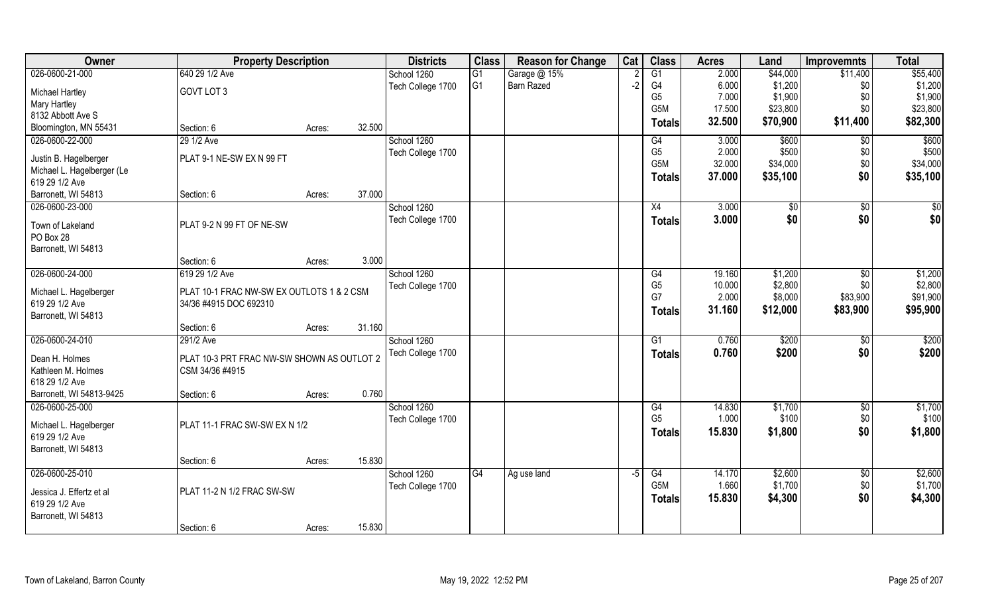| Owner                         | <b>Property Description</b>                |        |        | <b>Districts</b>  | <b>Class</b>   | <b>Reason for Change</b> | Cat  | <b>Class</b>     | <b>Acres</b> | Land     | <b>Improvemnts</b> | <b>Total</b>      |
|-------------------------------|--------------------------------------------|--------|--------|-------------------|----------------|--------------------------|------|------------------|--------------|----------|--------------------|-------------------|
| 026-0600-21-000               | 640 29 1/2 Ave                             |        |        | School 1260       | G1             | Garage @ 15%             |      | G1               | 2.000        | \$44,000 | \$11,400           | \$55,400          |
| <b>Michael Hartley</b>        | GOVT LOT 3                                 |        |        | Tech College 1700 | G <sub>1</sub> | Barn Razed               | $-2$ | G4               | 6.000        | \$1,200  | \$0                | \$1,200           |
| <b>Mary Hartley</b>           |                                            |        |        |                   |                |                          |      | G <sub>5</sub>   | 7.000        | \$1,900  | \$0                | \$1,900           |
| 8132 Abbott Ave S             |                                            |        |        |                   |                |                          |      | G <sub>5</sub> M | 17.500       | \$23,800 | \$0                | \$23,800          |
| Bloomington, MN 55431         | Section: 6                                 | Acres: | 32.500 |                   |                |                          |      | <b>Totals</b>    | 32.500       | \$70,900 | \$11,400           | \$82,300          |
| 026-0600-22-000               | 29 1/2 Ave                                 |        |        | School 1260       |                |                          |      | G4               | 3.000        | \$600    | $\sqrt[6]{}$       | \$600             |
| Justin B. Hagelberger         | PLAT 9-1 NE-SW EX N 99 FT                  |        |        | Tech College 1700 |                |                          |      | G <sub>5</sub>   | 2.000        | \$500    | \$0                | \$500             |
| Michael L. Hagelberger (Le    |                                            |        |        |                   |                |                          |      | G5M              | 32.000       | \$34,000 | \$0                | \$34,000          |
| 619 29 1/2 Ave                |                                            |        |        |                   |                |                          |      | <b>Totals</b>    | 37.000       | \$35,100 | \$0                | \$35,100          |
| Barronett, WI 54813           | Section: 6                                 | Acres: | 37.000 |                   |                |                          |      |                  |              |          |                    |                   |
| 026-0600-23-000               |                                            |        |        | School 1260       |                |                          |      | X4               | 3.000        | \$0      | \$0                | \$0               |
|                               |                                            |        |        | Tech College 1700 |                |                          |      | <b>Totals</b>    | 3.000        | \$0      | \$0                | \$0               |
| Town of Lakeland<br>PO Box 28 | PLAT 9-2 N 99 FT OF NE-SW                  |        |        |                   |                |                          |      |                  |              |          |                    |                   |
| Barronett, WI 54813           |                                            |        |        |                   |                |                          |      |                  |              |          |                    |                   |
|                               | Section: 6                                 | Acres: | 3.000  |                   |                |                          |      |                  |              |          |                    |                   |
| 026-0600-24-000               | 619 29 1/2 Ave                             |        |        | School 1260       |                |                          |      | G4               | 19.160       | \$1,200  | \$0                | \$1,200           |
|                               |                                            |        |        | Tech College 1700 |                |                          |      | G <sub>5</sub>   | 10.000       | \$2,800  | \$0                | \$2,800           |
| Michael L. Hagelberger        | PLAT 10-1 FRAC NW-SW EX OUTLOTS 1 & 2 CSM  |        |        |                   |                |                          |      | G7               | 2.000        | \$8,000  | \$83,900           | \$91,900          |
| 619 29 1/2 Ave                | 34/36 #4915 DOC 692310                     |        |        |                   |                |                          |      | <b>Totals</b>    | 31.160       | \$12,000 | \$83,900           | \$95,900          |
| Barronett, WI 54813           | Section: 6                                 |        | 31.160 |                   |                |                          |      |                  |              |          |                    |                   |
| 026-0600-24-010               | 291/2 Ave                                  | Acres: |        | School 1260       |                |                          |      | $\overline{G1}$  | 0.760        | \$200    | $\overline{60}$    | $\overline{$200}$ |
|                               |                                            |        |        | Tech College 1700 |                |                          |      |                  | 0.760        | \$200    | \$0                | \$200             |
| Dean H. Holmes                | PLAT 10-3 PRT FRAC NW-SW SHOWN AS OUTLOT 2 |        |        |                   |                |                          |      | <b>Totals</b>    |              |          |                    |                   |
| Kathleen M. Holmes            | CSM 34/36 #4915                            |        |        |                   |                |                          |      |                  |              |          |                    |                   |
| 618 29 1/2 Ave                |                                            |        |        |                   |                |                          |      |                  |              |          |                    |                   |
| Barronett, WI 54813-9425      | Section: 6                                 | Acres: | 0.760  |                   |                |                          |      |                  |              |          |                    |                   |
| 026-0600-25-000               |                                            |        |        | School 1260       |                |                          |      | G4               | 14.830       | \$1,700  | $\sqrt{$0}$        | \$1,700           |
| Michael L. Hagelberger        | PLAT 11-1 FRAC SW-SW EX N 1/2              |        |        | Tech College 1700 |                |                          |      | G <sub>5</sub>   | 1.000        | \$100    | \$0                | \$100             |
| 619 29 1/2 Ave                |                                            |        |        |                   |                |                          |      | <b>Totals</b>    | 15.830       | \$1,800  | \$0                | \$1,800           |
| Barronett, WI 54813           |                                            |        |        |                   |                |                          |      |                  |              |          |                    |                   |
|                               | Section: 6                                 | Acres: | 15.830 |                   |                |                          |      |                  |              |          |                    |                   |
| 026-0600-25-010               |                                            |        |        | School 1260       | G4             | Ag use land              | $-5$ | G4               | 14.170       | \$2,600  | $\sqrt{$0}$        | \$2,600           |
| Jessica J. Effertz et al      | PLAT 11-2 N 1/2 FRAC SW-SW                 |        |        | Tech College 1700 |                |                          |      | G <sub>5</sub> M | 1.660        | \$1,700  | \$0                | \$1,700           |
| 619 29 1/2 Ave                |                                            |        |        |                   |                |                          |      | <b>Totals</b>    | 15.830       | \$4,300  | \$0                | \$4,300           |
| Barronett, WI 54813           |                                            |        |        |                   |                |                          |      |                  |              |          |                    |                   |
|                               | Section: 6                                 | Acres: | 15.830 |                   |                |                          |      |                  |              |          |                    |                   |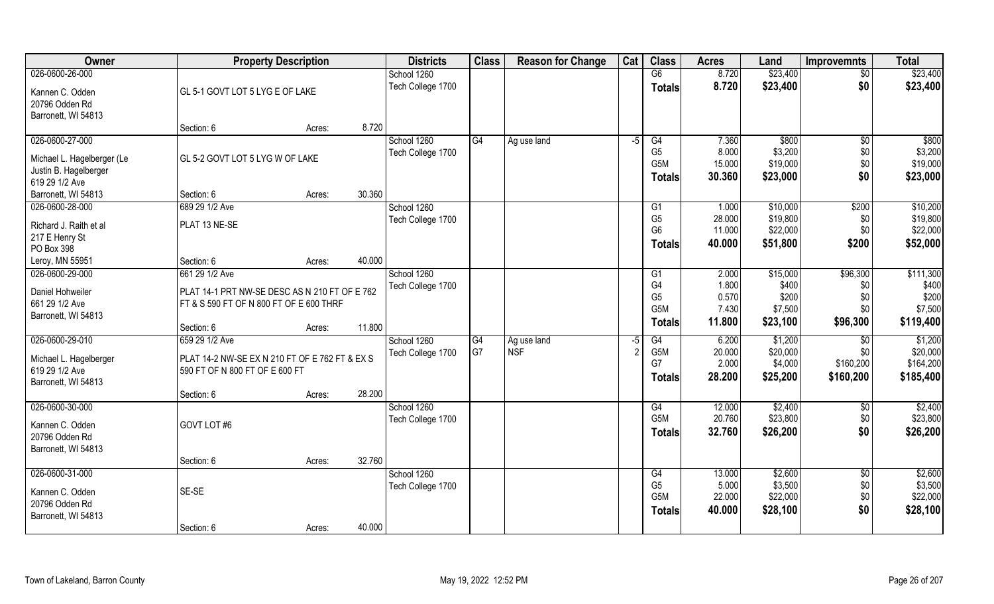| Owner                                    |                                                | <b>Property Description</b> |        |                   | <b>Class</b> | <b>Reason for Change</b> | Cat  | <b>Class</b>     | <b>Acres</b> | Land     | <b>Improvemnts</b> | <b>Total</b> |
|------------------------------------------|------------------------------------------------|-----------------------------|--------|-------------------|--------------|--------------------------|------|------------------|--------------|----------|--------------------|--------------|
| 026-0600-26-000                          |                                                |                             |        | School 1260       |              |                          |      | $\overline{G6}$  | 8.720        | \$23,400 | $\sqrt{$0}$        | \$23,400     |
| Kannen C. Odden<br>20796 Odden Rd        | GL 5-1 GOVT LOT 5 LYG E OF LAKE                |                             |        | Tech College 1700 |              |                          |      | <b>Totals</b>    | 8.720        | \$23,400 | \$0                | \$23,400     |
| Barronett, WI 54813                      |                                                |                             | 8.720  |                   |              |                          |      |                  |              |          |                    |              |
| 026-0600-27-000                          | Section: 6                                     | Acres:                      |        | School 1260       | G4           |                          | $-5$ | G4               | 7.360        | \$800    |                    | \$800        |
|                                          |                                                |                             |        | Tech College 1700 |              | Ag use land              |      | G <sub>5</sub>   | 8.000        | \$3,200  | \$0<br>\$0         | \$3,200      |
| Michael L. Hagelberger (Le               | GL 5-2 GOVT LOT 5 LYG W OF LAKE                |                             |        |                   |              |                          |      | G5M              | 15.000       | \$19,000 | \$0                | \$19,000     |
| Justin B. Hagelberger                    |                                                |                             |        |                   |              |                          |      | <b>Totals</b>    | 30.360       | \$23,000 | \$0                | \$23,000     |
| 619 29 1/2 Ave                           |                                                |                             |        |                   |              |                          |      |                  |              |          |                    |              |
| Barronett, WI 54813                      | Section: 6                                     | Acres:                      | 30.360 |                   |              |                          |      |                  |              |          |                    |              |
| 026-0600-28-000                          | 689 29 1/2 Ave                                 |                             |        | School 1260       |              |                          |      | G1               | 1.000        | \$10,000 | \$200              | \$10,200     |
| Richard J. Raith et al                   | PLAT 13 NE-SE                                  |                             |        | Tech College 1700 |              |                          |      | G <sub>5</sub>   | 28.000       | \$19,800 | \$0                | \$19,800     |
| 217 E Henry St                           |                                                |                             |        |                   |              |                          |      | G <sub>6</sub>   | 11.000       | \$22,000 | \$0                | \$22,000     |
| PO Box 398                               |                                                |                             |        |                   |              |                          |      | Totals           | 40.000       | \$51,800 | \$200              | \$52,000     |
| Leroy, MN 55951                          | Section: 6                                     | Acres:                      | 40.000 |                   |              |                          |      |                  |              |          |                    |              |
| 026-0600-29-000                          | 661 29 1/2 Ave                                 |                             |        | School 1260       |              |                          |      | G <sub>1</sub>   | 2.000        | \$15,000 | \$96,300           | \$111,300    |
| Daniel Hohweiler                         | PLAT 14-1 PRT NW-SE DESC AS N 210 FT OF E 762  |                             |        | Tech College 1700 |              |                          |      | G <sub>4</sub>   | 1.800        | \$400    | \$0                | \$400        |
| 661 29 1/2 Ave                           | FT & S 590 FT OF N 800 FT OF E 600 THRF        |                             |        |                   |              |                          |      | G <sub>5</sub>   | 0.570        | \$200    | \$0                | \$200        |
| Barronett, WI 54813                      |                                                |                             |        |                   |              |                          |      | G <sub>5</sub> M | 7.430        | \$7,500  | \$0\$              | \$7,500      |
|                                          | Section: 6                                     | Acres:                      | 11.800 |                   |              |                          |      | Totals           | 11.800       | \$23,100 | \$96,300           | \$119,400    |
| 026-0600-29-010                          | 659 29 1/2 Ave                                 |                             |        | School 1260       | G4           | Ag use land              | -5   | G4               | 6.200        | \$1,200  | $\overline{60}$    | \$1,200      |
|                                          | PLAT 14-2 NW-SE EX N 210 FT OF E 762 FT & EX S |                             |        | Tech College 1700 | G7           | <b>NSF</b>               |      | G <sub>5</sub> M | 20.000       | \$20,000 | \$0                | \$20,000     |
| Michael L. Hagelberger<br>619 29 1/2 Ave | 590 FT OF N 800 FT OF E 600 FT                 |                             |        |                   |              |                          |      | G7               | 2.000        | \$4,000  | \$160,200          | \$164,200    |
| Barronett, WI 54813                      |                                                |                             |        |                   |              |                          |      | <b>Totals</b>    | 28.200       | \$25,200 | \$160,200          | \$185,400    |
|                                          | Section: 6                                     | Acres:                      | 28.200 |                   |              |                          |      |                  |              |          |                    |              |
| 026-0600-30-000                          |                                                |                             |        | School 1260       |              |                          |      | G4               | 12.000       | \$2,400  | \$0                | \$2,400      |
|                                          |                                                |                             |        | Tech College 1700 |              |                          |      | G <sub>5</sub> M | 20.760       | \$23,800 | \$0                | \$23,800     |
| Kannen C. Odden                          | GOVT LOT #6                                    |                             |        |                   |              |                          |      | <b>Totals</b>    | 32.760       | \$26,200 | \$0                | \$26,200     |
| 20796 Odden Rd                           |                                                |                             |        |                   |              |                          |      |                  |              |          |                    |              |
| Barronett, WI 54813                      |                                                |                             | 32.760 |                   |              |                          |      |                  |              |          |                    |              |
| 026-0600-31-000                          | Section: 6                                     | Acres:                      |        | School 1260       |              |                          |      | G4               | 13.000       | \$2,600  | $\sqrt{$0}$        | \$2,600      |
|                                          |                                                |                             |        | Tech College 1700 |              |                          |      | G <sub>5</sub>   | 5.000        | \$3,500  | \$0                | \$3,500      |
| Kannen C. Odden                          | SE-SE                                          |                             |        |                   |              |                          |      | G <sub>5</sub> M | 22.000       | \$22,000 | \$0                | \$22,000     |
| 20796 Odden Rd                           |                                                |                             |        |                   |              |                          |      | <b>Totals</b>    | 40.000       | \$28,100 | \$0                | \$28,100     |
| Barronett, WI 54813                      |                                                |                             |        |                   |              |                          |      |                  |              |          |                    |              |
|                                          | Section: 6                                     | Acres:                      | 40.000 |                   |              |                          |      |                  |              |          |                    |              |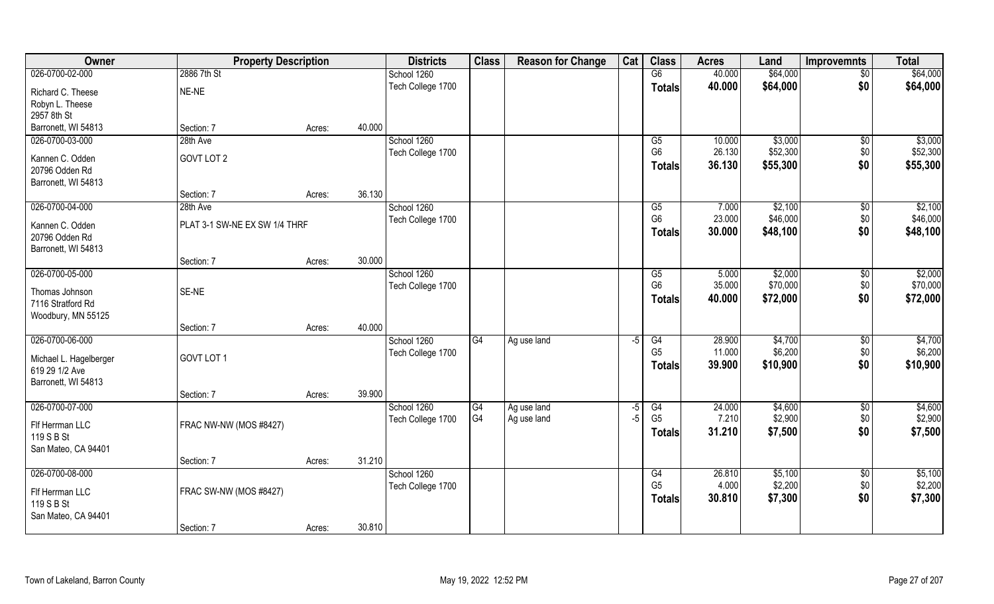| Owner                  | <b>Property Description</b>   |        | <b>Districts</b>  | <b>Class</b> | <b>Reason for Change</b> | Cat  | <b>Class</b>   | <b>Acres</b> | Land     | <b>Improvemnts</b> | <b>Total</b> |
|------------------------|-------------------------------|--------|-------------------|--------------|--------------------------|------|----------------|--------------|----------|--------------------|--------------|
| 026-0700-02-000        | 2886 7th St                   |        | School 1260       |              |                          |      | G6             | 40.000       | \$64,000 | $\overline{50}$    | \$64,000     |
| Richard C. Theese      | NE-NE                         |        | Tech College 1700 |              |                          |      | <b>Totals</b>  | 40.000       | \$64,000 | \$0                | \$64,000     |
| Robyn L. Theese        |                               |        |                   |              |                          |      |                |              |          |                    |              |
| 2957 8th St            |                               |        |                   |              |                          |      |                |              |          |                    |              |
| Barronett, WI 54813    | Section: 7                    | Acres: | 40.000            |              |                          |      |                |              |          |                    |              |
| 026-0700-03-000        | 28th Ave                      |        | School 1260       |              |                          |      | G5             | 10.000       | \$3,000  | $\sqrt{$0}$        | \$3,000      |
| Kannen C. Odden        | GOVT LOT 2                    |        | Tech College 1700 |              |                          |      | G <sub>6</sub> | 26.130       | \$52,300 | \$0                | \$52,300     |
| 20796 Odden Rd         |                               |        |                   |              |                          |      | <b>Totals</b>  | 36.130       | \$55,300 | \$0                | \$55,300     |
| Barronett, WI 54813    |                               |        |                   |              |                          |      |                |              |          |                    |              |
|                        | Section: 7                    | Acres: | 36.130            |              |                          |      |                |              |          |                    |              |
| 026-0700-04-000        | 28th Ave                      |        | School 1260       |              |                          |      | G5             | 7.000        | \$2,100  | $\sqrt[6]{30}$     | \$2,100      |
| Kannen C. Odden        | PLAT 3-1 SW-NE EX SW 1/4 THRF |        | Tech College 1700 |              |                          |      | G <sub>6</sub> | 23.000       | \$46,000 | \$0                | \$46,000     |
| 20796 Odden Rd         |                               |        |                   |              |                          |      | <b>Totals</b>  | 30.000       | \$48,100 | \$0                | \$48,100     |
| Barronett, WI 54813    |                               |        |                   |              |                          |      |                |              |          |                    |              |
|                        | Section: 7                    | Acres: | 30.000            |              |                          |      |                |              |          |                    |              |
| 026-0700-05-000        |                               |        | School 1260       |              |                          |      | G5             | 5.000        | \$2,000  | \$0                | \$2,000      |
| Thomas Johnson         | SE-NE                         |        | Tech College 1700 |              |                          |      | G <sub>6</sub> | 35.000       | \$70,000 | \$0                | \$70,000     |
| 7116 Stratford Rd      |                               |        |                   |              |                          |      | <b>Totals</b>  | 40.000       | \$72,000 | \$0                | \$72,000     |
| Woodbury, MN 55125     |                               |        |                   |              |                          |      |                |              |          |                    |              |
|                        | Section: 7                    | Acres: | 40.000            |              |                          |      |                |              |          |                    |              |
| 026-0700-06-000        |                               |        | School 1260       | G4           | Ag use land              | -5   | G4             | 28.900       | \$4,700  | $\sqrt[6]{3}$      | \$4,700      |
| Michael L. Hagelberger | GOVT LOT 1                    |        | Tech College 1700 |              |                          |      | G <sub>5</sub> | 11.000       | \$6,200  | \$0                | \$6,200      |
| 619 29 1/2 Ave         |                               |        |                   |              |                          |      | Totals         | 39.900       | \$10,900 | \$0                | \$10,900     |
| Barronett, WI 54813    |                               |        |                   |              |                          |      |                |              |          |                    |              |
|                        | Section: 7                    | Acres: | 39.900            |              |                          |      |                |              |          |                    |              |
| 026-0700-07-000        |                               |        | School 1260       | G4           | Ag use land              | $-5$ | G4             | 24.000       | \$4,600  | \$0                | \$4,600      |
| Flf Herrman LLC        | FRAC NW-NW (MOS #8427)        |        | Tech College 1700 | G4           | Ag use land              | $-5$ | G <sub>5</sub> | 7.210        | \$2,900  | \$0                | \$2,900      |
| 119 S B St             |                               |        |                   |              |                          |      | Totals         | 31.210       | \$7,500  | \$0                | \$7,500      |
| San Mateo, CA 94401    |                               |        |                   |              |                          |      |                |              |          |                    |              |
|                        | Section: 7                    | Acres: | 31.210            |              |                          |      |                |              |          |                    |              |
| 026-0700-08-000        |                               |        | School 1260       |              |                          |      | G4             | 26.810       | \$5,100  | $\overline{50}$    | \$5,100      |
| Flf Herrman LLC        | FRAC SW-NW (MOS #8427)        |        | Tech College 1700 |              |                          |      | G <sub>5</sub> | 4.000        | \$2,200  | \$0                | \$2,200      |
| 119 S B St             |                               |        |                   |              |                          |      | <b>Totals</b>  | 30.810       | \$7,300  | \$0                | \$7,300      |
| San Mateo, CA 94401    |                               |        |                   |              |                          |      |                |              |          |                    |              |
|                        | Section: 7                    | Acres: | 30.810            |              |                          |      |                |              |          |                    |              |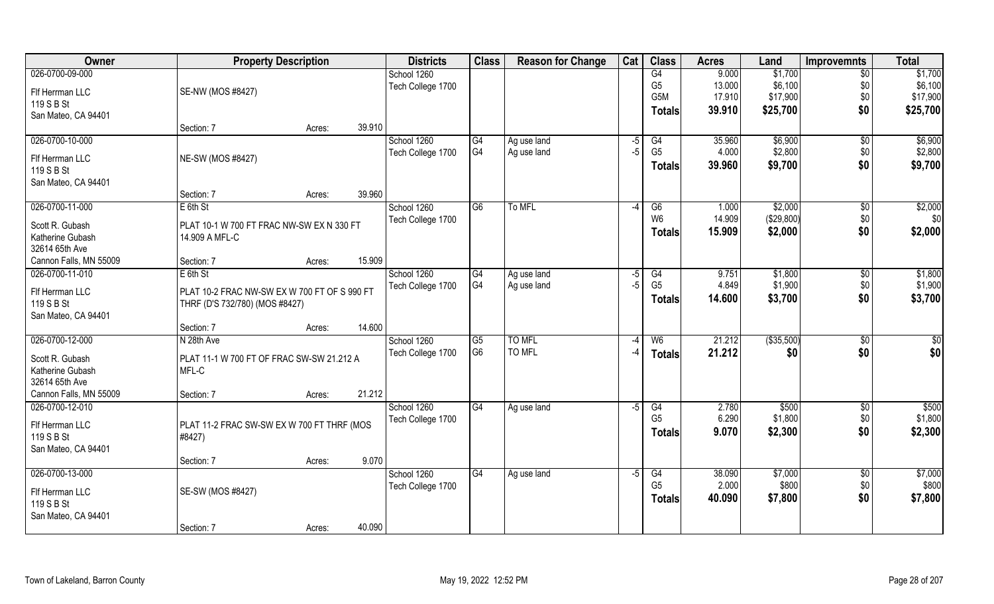| Owner                  | <b>Property Description</b>                          |        |        | <b>Districts</b>  | <b>Class</b>    | <b>Reason for Change</b> | Cat             | <b>Class</b>   | <b>Acres</b> | Land       | <b>Improvemnts</b> | <b>Total</b>    |
|------------------------|------------------------------------------------------|--------|--------|-------------------|-----------------|--------------------------|-----------------|----------------|--------------|------------|--------------------|-----------------|
| 026-0700-09-000        |                                                      |        |        | School 1260       |                 |                          |                 | G4             | 9.000        | \$1,700    | $\overline{50}$    | \$1,700         |
| Flf Herrman LLC        | SE-NW (MOS #8427)                                    |        |        | Tech College 1700 |                 |                          |                 | G <sub>5</sub> | 13.000       | \$6,100    | \$0                | \$6,100         |
| 119 S B St             |                                                      |        |        |                   |                 |                          |                 | G5M            | 17.910       | \$17,900   | \$0                | \$17,900        |
| San Mateo, CA 94401    |                                                      |        |        |                   |                 |                          |                 | Totals         | 39.910       | \$25,700   | \$0                | \$25,700        |
|                        | Section: 7                                           | Acres: | 39.910 |                   |                 |                          |                 |                |              |            |                    |                 |
| 026-0700-10-000        |                                                      |        |        | School 1260       | G4              | Ag use land              | $\overline{-5}$ | G4             | 35.960       | \$6,900    | \$0                | \$6,900         |
| Flf Herrman LLC        | NE-SW (MOS #8427)                                    |        |        | Tech College 1700 | G4              | Ag use land              | $-5$            | G <sub>5</sub> | 4.000        | \$2,800    | \$0                | \$2,800         |
| 119 S B St             |                                                      |        |        |                   |                 |                          |                 | <b>Totals</b>  | 39.960       | \$9,700    | \$0                | \$9,700         |
| San Mateo, CA 94401    |                                                      |        |        |                   |                 |                          |                 |                |              |            |                    |                 |
|                        | Section: 7                                           | Acres: | 39.960 |                   |                 |                          |                 |                |              |            |                    |                 |
| 026-0700-11-000        | $E$ 6th St                                           |        |        | School 1260       | G6              | To MFL                   | $-4$            | G6             | 1.000        | \$2,000    | $\sqrt[6]{3}$      | \$2,000         |
| Scott R. Gubash        | PLAT 10-1 W 700 FT FRAC NW-SW EX N 330 FT            |        |        | Tech College 1700 |                 |                          |                 | W <sub>6</sub> | 14.909       | (\$29,800) | \$0                | \$0             |
| Katherine Gubash       | 14.909 A MFL-C                                       |        |        |                   |                 |                          |                 | <b>Totals</b>  | 15.909       | \$2,000    | \$0                | \$2,000         |
| 32614 65th Ave         |                                                      |        |        |                   |                 |                          |                 |                |              |            |                    |                 |
| Cannon Falls, MN 55009 | Section: 7                                           | Acres: | 15.909 |                   |                 |                          |                 |                |              |            |                    |                 |
| 026-0700-11-010        | $E$ 6th St                                           |        |        | School 1260       | G4              | Ag use land              | -5              | G4             | 9.751        | \$1,800    | \$0                | \$1,800         |
| Flf Herrman LLC        | PLAT 10-2 FRAC NW-SW EX W 700 FT OF S 990 FT         |        |        | Tech College 1700 | G4              | Ag use land              | $-5$            | G <sub>5</sub> | 4.849        | \$1,900    | \$0                | \$1,900         |
| 119 S B St             | THRF (D'S 732/780) (MOS #8427)                       |        |        |                   |                 |                          |                 | <b>Totals</b>  | 14.600       | \$3,700    | \$0                | \$3,700         |
| San Mateo, CA 94401    |                                                      |        |        |                   |                 |                          |                 |                |              |            |                    |                 |
|                        | Section: 7                                           | Acres: | 14.600 |                   |                 |                          |                 |                |              |            |                    |                 |
| 026-0700-12-000        | N 28th Ave                                           |        |        | School 1260       | G5              | <b>TO MFL</b>            | $-4$            | W6             | 21.212       | (\$35,500) | \$0                | $\overline{50}$ |
| Scott R. Gubash        | PLAT 11-1 W 700 FT OF FRAC SW-SW 21.212 A            |        |        | Tech College 1700 | G <sub>6</sub>  | TO MFL                   | -4              | <b>Totals</b>  | 21.212       | \$0        | \$0                | \$0             |
| Katherine Gubash       | MFL-C                                                |        |        |                   |                 |                          |                 |                |              |            |                    |                 |
| 32614 65th Ave         |                                                      |        |        |                   |                 |                          |                 |                |              |            |                    |                 |
| Cannon Falls, MN 55009 | Section: 7                                           | Acres: | 21.212 |                   |                 |                          |                 |                |              |            |                    |                 |
| 026-0700-12-010        |                                                      |        |        | School 1260       | G4              | Ag use land              | $-5$            | G4             | 2.780        | \$500      | \$0                | \$500           |
| Flf Herrman LLC        |                                                      |        |        | Tech College 1700 |                 |                          |                 | G <sub>5</sub> | 6.290        | \$1,800    | \$0                | \$1,800         |
| 119 S B St             | PLAT 11-2 FRAC SW-SW EX W 700 FT THRF (MOS<br>#8427) |        |        |                   |                 |                          |                 | <b>Totals</b>  | 9.070        | \$2,300    | \$0                | \$2,300         |
| San Mateo, CA 94401    |                                                      |        |        |                   |                 |                          |                 |                |              |            |                    |                 |
|                        | Section: 7                                           | Acres: | 9.070  |                   |                 |                          |                 |                |              |            |                    |                 |
| 026-0700-13-000        |                                                      |        |        | School 1260       | $\overline{G4}$ | Ag use land              | $-5$            | G4             | 38.090       | \$7,000    | $\sqrt{$0}$        | \$7,000         |
| Flf Herrman LLC        | SE-SW (MOS #8427)                                    |        |        | Tech College 1700 |                 |                          |                 | G <sub>5</sub> | 2.000        | \$800      | \$0                | \$800           |
| 119 S B St             |                                                      |        |        |                   |                 |                          |                 | <b>Totals</b>  | 40.090       | \$7,800    | \$0                | \$7,800         |
| San Mateo, CA 94401    |                                                      |        |        |                   |                 |                          |                 |                |              |            |                    |                 |
|                        | Section: 7                                           | Acres: | 40.090 |                   |                 |                          |                 |                |              |            |                    |                 |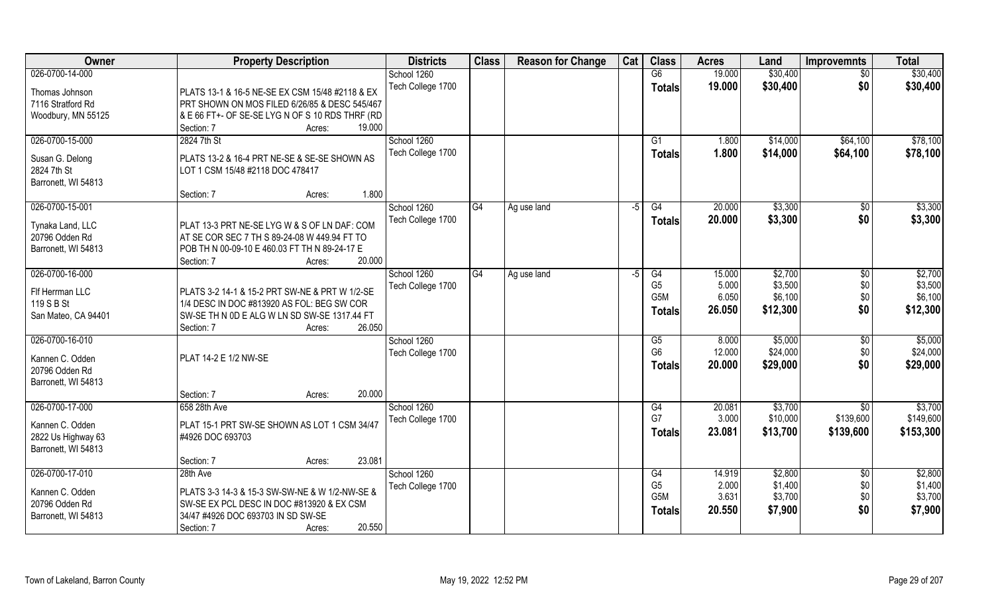| Owner               | <b>Property Description</b>                            | <b>Districts</b>  | <b>Class</b> | <b>Reason for Change</b> | Cat  | <b>Class</b>   | <b>Acres</b> | Land     | <b>Improvemnts</b>    | <b>Total</b> |
|---------------------|--------------------------------------------------------|-------------------|--------------|--------------------------|------|----------------|--------------|----------|-----------------------|--------------|
| 026-0700-14-000     |                                                        | School 1260       |              |                          |      | G6             | 19.000       | \$30,400 | $\overline{50}$       | \$30,400     |
| Thomas Johnson      | PLATS 13-1 & 16-5 NE-SE EX CSM 15/48 #2118 & EX        | Tech College 1700 |              |                          |      | <b>Totals</b>  | 19.000       | \$30,400 | \$0                   | \$30,400     |
| 7116 Stratford Rd   | PRT SHOWN ON MOS FILED 6/26/85 & DESC 545/467          |                   |              |                          |      |                |              |          |                       |              |
| Woodbury, MN 55125  | & E 66 FT+- OF SE-SE LYG N OF S 10 RDS THRF (RD        |                   |              |                          |      |                |              |          |                       |              |
|                     | 19.000<br>Section: 7<br>Acres:                         |                   |              |                          |      |                |              |          |                       |              |
| 026-0700-15-000     | 2824 7th St                                            | School 1260       |              |                          |      | G <sub>1</sub> | 1.800        | \$14,000 | \$64,100              | \$78,100     |
|                     |                                                        | Tech College 1700 |              |                          |      | Totals         | 1.800        | \$14,000 | \$64,100              | \$78,100     |
| Susan G. Delong     | PLATS 13-2 & 16-4 PRT NE-SE & SE-SE SHOWN AS           |                   |              |                          |      |                |              |          |                       |              |
| 2824 7th St         | LOT 1 CSM 15/48 #2118 DOC 478417                       |                   |              |                          |      |                |              |          |                       |              |
| Barronett, WI 54813 |                                                        |                   |              |                          |      |                |              |          |                       |              |
|                     | 1.800<br>Section: 7<br>Acres:                          |                   |              |                          |      |                |              |          |                       |              |
| 026-0700-15-001     |                                                        | School 1260       | G4           | Ag use land              | $-5$ | G4             | 20.000       | \$3,300  | $\sqrt[6]{30}$        | \$3,300      |
| Tynaka Land, LLC    | PLAT 13-3 PRT NE-SE LYG W & S OF LN DAF: COM           | Tech College 1700 |              |                          |      | Totals         | 20.000       | \$3,300  | \$0                   | \$3,300      |
| 20796 Odden Rd      | AT SE COR SEC 7 TH S 89-24-08 W 449.94 FT TO           |                   |              |                          |      |                |              |          |                       |              |
| Barronett, WI 54813 | POB TH N 00-09-10 E 460.03 FT TH N 89-24-17 E          |                   |              |                          |      |                |              |          |                       |              |
|                     | 20.000<br>Section: 7<br>Acres:                         |                   |              |                          |      |                |              |          |                       |              |
| 026-0700-16-000     |                                                        | School 1260       | G4           | Ag use land              | $-5$ | G4             | 15.000       | \$2,700  | \$0                   | \$2,700      |
|                     |                                                        | Tech College 1700 |              |                          |      | G <sub>5</sub> | 5.000        | \$3,500  | \$0                   | \$3,500      |
| Flf Herrman LLC     | PLATS 3-2 14-1 & 15-2 PRT SW-NE & PRT W 1/2-SE         |                   |              |                          |      | G5M            | 6.050        | \$6,100  | \$0                   | \$6,100      |
| 119 S B St          | 1/4 DESC IN DOC #813920 AS FOL: BEG SW COR             |                   |              |                          |      | <b>Totals</b>  | 26.050       | \$12,300 | \$0                   | \$12,300     |
| San Mateo, CA 94401 | SW-SE TH N OD E ALG W LN SD SW-SE 1317.44 FT<br>26.050 |                   |              |                          |      |                |              |          |                       |              |
| 026-0700-16-010     | Section: 7<br>Acres:                                   | School 1260       |              |                          |      | G5             | 8.000        | \$5,000  |                       | \$5,000      |
|                     |                                                        |                   |              |                          |      | G <sub>6</sub> | 12.000       | \$24,000 | $\sqrt[6]{30}$<br>\$0 | \$24,000     |
| Kannen C. Odden     | PLAT 14-2 E 1/2 NW-SE                                  | Tech College 1700 |              |                          |      |                | 20.000       | \$29,000 | \$0                   | \$29,000     |
| 20796 Odden Rd      |                                                        |                   |              |                          |      | <b>Totals</b>  |              |          |                       |              |
| Barronett, WI 54813 |                                                        |                   |              |                          |      |                |              |          |                       |              |
|                     | 20.000<br>Section: 7<br>Acres:                         |                   |              |                          |      |                |              |          |                       |              |
| 026-0700-17-000     | 658 28th Ave                                           | School 1260       |              |                          |      | G4             | 20.081       | \$3,700  | \$0                   | \$3,700      |
| Kannen C. Odden     | PLAT 15-1 PRT SW-SE SHOWN AS LOT 1 CSM 34/47           | Tech College 1700 |              |                          |      | G7             | 3.000        | \$10,000 | \$139,600             | \$149,600    |
| 2822 Us Highway 63  | #4926 DOC 693703                                       |                   |              |                          |      | <b>Totals</b>  | 23.081       | \$13,700 | \$139,600             | \$153,300    |
| Barronett, WI 54813 |                                                        |                   |              |                          |      |                |              |          |                       |              |
|                     | 23.081<br>Section: 7<br>Acres:                         |                   |              |                          |      |                |              |          |                       |              |
| 026-0700-17-010     | 28th Ave                                               | School 1260       |              |                          |      | G4             | 14.919       | \$2,800  | $\sqrt{6}$            | \$2,800      |
|                     |                                                        | Tech College 1700 |              |                          |      | G <sub>5</sub> | 2.000        | \$1,400  | \$0                   | \$1,400      |
| Kannen C. Odden     | PLATS 3-3 14-3 & 15-3 SW-SW-NE & W 1/2-NW-SE &         |                   |              |                          |      | G5M            | 3.631        | \$3,700  | \$0                   | \$3,700      |
| 20796 Odden Rd      | SW-SE EX PCL DESC IN DOC #813920 & EX CSM              |                   |              |                          |      | <b>Totals</b>  | 20.550       | \$7,900  | \$0                   | \$7,900      |
| Barronett, WI 54813 | 34/47 #4926 DOC 693703 IN SD SW-SE                     |                   |              |                          |      |                |              |          |                       |              |
|                     | 20.550<br>Section: 7<br>Acres:                         |                   |              |                          |      |                |              |          |                       |              |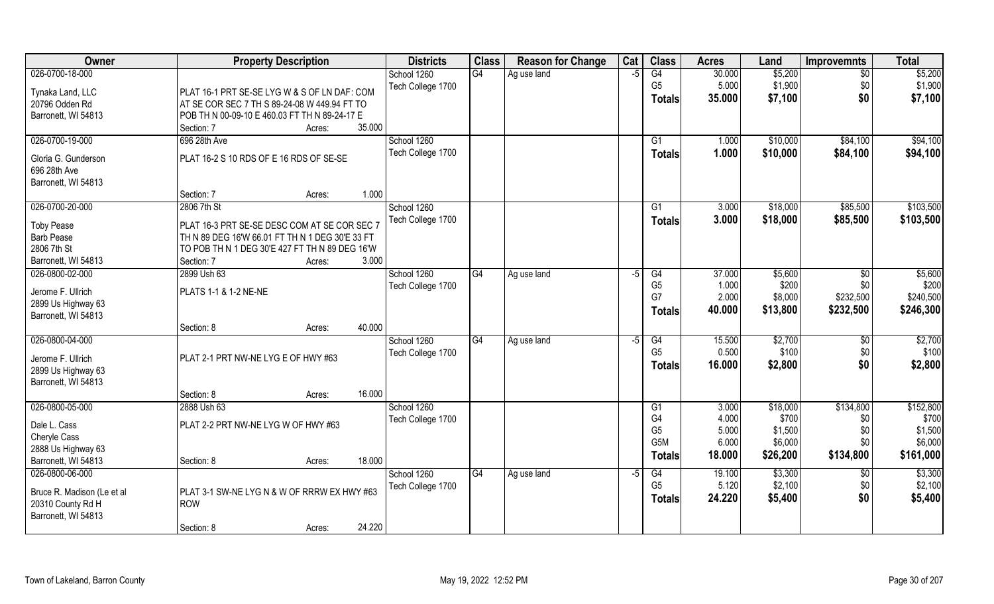| Owner                      | <b>Property Description</b>                     | <b>Districts</b>  | <b>Class</b>    | <b>Reason for Change</b> | Cat  | <b>Class</b>         | <b>Acres</b>    | Land             | <b>Improvemnts</b> | <b>Total</b>     |
|----------------------------|-------------------------------------------------|-------------------|-----------------|--------------------------|------|----------------------|-----------------|------------------|--------------------|------------------|
| 026-0700-18-000            |                                                 | School 1260       | G4              | Ag use land              | $-5$ | G4                   | 30.000          | \$5,200          | $\overline{30}$    | \$5,200          |
| Tynaka Land, LLC           | PLAT 16-1 PRT SE-SE LYG W & S OF LN DAF: COM    | Tech College 1700 |                 |                          |      | G <sub>5</sub>       | 5.000           | \$1,900          | \$0                | \$1,900          |
| 20796 Odden Rd             | AT SE COR SEC 7 TH S 89-24-08 W 449.94 FT TO    |                   |                 |                          |      | <b>Totals</b>        | 35.000          | \$7,100          | \$0                | \$7,100          |
| Barronett, WI 54813        | POB TH N 00-09-10 E 460.03 FT TH N 89-24-17 E   |                   |                 |                          |      |                      |                 |                  |                    |                  |
|                            | 35.000<br>Section: 7<br>Acres:                  |                   |                 |                          |      |                      |                 |                  |                    |                  |
| 026-0700-19-000            | 696 28th Ave                                    | School 1260       |                 |                          |      | G <sub>1</sub>       | 1.000           | \$10,000         | \$84,100           | \$94,100         |
| Gloria G. Gunderson        | PLAT 16-2 S 10 RDS OF E 16 RDS OF SE-SE         | Tech College 1700 |                 |                          |      | <b>Totals</b>        | 1.000           | \$10,000         | \$84,100           | \$94,100         |
| 696 28th Ave               |                                                 |                   |                 |                          |      |                      |                 |                  |                    |                  |
| Barronett, WI 54813        |                                                 |                   |                 |                          |      |                      |                 |                  |                    |                  |
|                            | 1.000<br>Section: 7<br>Acres:                   |                   |                 |                          |      |                      |                 |                  |                    |                  |
| 026-0700-20-000            | 2806 7th St                                     | School 1260       |                 |                          |      | G1                   | 3.000           | \$18,000         | \$85,500           | \$103,500        |
|                            |                                                 | Tech College 1700 |                 |                          |      | <b>Totals</b>        | 3.000           | \$18,000         | \$85,500           | \$103,500        |
| <b>Toby Pease</b>          | PLAT 16-3 PRT SE-SE DESC COM AT SE COR SEC 7    |                   |                 |                          |      |                      |                 |                  |                    |                  |
| <b>Barb Pease</b>          | TH N 89 DEG 16'W 66.01 FT TH N 1 DEG 30'E 33 FT |                   |                 |                          |      |                      |                 |                  |                    |                  |
| 2806 7th St                | TO POB TH N 1 DEG 30'E 427 FT TH N 89 DEG 16'W  |                   |                 |                          |      |                      |                 |                  |                    |                  |
| Barronett, WI 54813        | 3.000<br>Section: 7<br>Acres:                   |                   |                 |                          |      |                      |                 |                  |                    |                  |
| 026-0800-02-000            | 2899 Ush 63                                     | School 1260       | G4              | Ag use land              | -5   | G4<br>G <sub>5</sub> | 37.000<br>1.000 | \$5,600<br>\$200 | \$0<br>\$0         | \$5,600<br>\$200 |
| Jerome F. Ullrich          | PLATS 1-1 & 1-2 NE-NE                           | Tech College 1700 |                 |                          |      | G7                   | 2.000           | \$8,000          | \$232,500          | \$240,500        |
| 2899 Us Highway 63         |                                                 |                   |                 |                          |      |                      | 40.000          | \$13,800         | \$232,500          | \$246,300        |
| Barronett, WI 54813        |                                                 |                   |                 |                          |      | <b>Totals</b>        |                 |                  |                    |                  |
|                            | 40.000<br>Section: 8<br>Acres:                  |                   |                 |                          |      |                      |                 |                  |                    |                  |
| 026-0800-04-000            |                                                 | School 1260       | $\overline{G4}$ | Ag use land              | $-5$ | G4                   | 15.500          | \$2,700          | \$0                | \$2,700          |
| Jerome F. Ullrich          | PLAT 2-1 PRT NW-NE LYG E OF HWY #63             | Tech College 1700 |                 |                          |      | G <sub>5</sub>       | 0.500           | \$100            | \$0                | \$100            |
| 2899 Us Highway 63         |                                                 |                   |                 |                          |      | Totals               | 16.000          | \$2,800          | \$0                | \$2,800          |
| Barronett, WI 54813        |                                                 |                   |                 |                          |      |                      |                 |                  |                    |                  |
|                            | 16.000<br>Section: 8<br>Acres:                  |                   |                 |                          |      |                      |                 |                  |                    |                  |
| 026-0800-05-000            | 2888 Ush 63                                     | School 1260       |                 |                          |      | G <sub>1</sub>       | 3.000           | \$18,000         | \$134,800          | \$152,800        |
| Dale L. Cass               | PLAT 2-2 PRT NW-NE LYG W OF HWY #63             | Tech College 1700 |                 |                          |      | G4                   | 4.000           | \$700            | \$0                | \$700            |
| Cheryle Cass               |                                                 |                   |                 |                          |      | G <sub>5</sub>       | 5.000           | \$1,500          | \$0                | \$1,500          |
| 2888 Us Highway 63         |                                                 |                   |                 |                          |      | G5M                  | 6.000           | \$6,000          | \$0                | \$6,000          |
| Barronett, WI 54813        | 18.000<br>Section: 8<br>Acres:                  |                   |                 |                          |      | <b>Totals</b>        | 18.000          | \$26,200         | \$134,800          | \$161,000        |
| 026-0800-06-000            |                                                 | School 1260       | G4              | Ag use land              | $-5$ | G4                   | 19.100          | \$3,300          | $\overline{50}$    | \$3,300          |
|                            |                                                 | Tech College 1700 |                 |                          |      | G <sub>5</sub>       | 5.120           | \$2,100          | \$0                | \$2,100          |
| Bruce R. Madison (Le et al | PLAT 3-1 SW-NE LYG N & W OF RRRW EX HWY #63     |                   |                 |                          |      | <b>Totals</b>        | 24.220          | \$5,400          | \$0                | \$5,400          |
| 20310 County Rd H          | ROW                                             |                   |                 |                          |      |                      |                 |                  |                    |                  |
| Barronett, WI 54813        |                                                 |                   |                 |                          |      |                      |                 |                  |                    |                  |
|                            | 24.220<br>Section: 8<br>Acres:                  |                   |                 |                          |      |                      |                 |                  |                    |                  |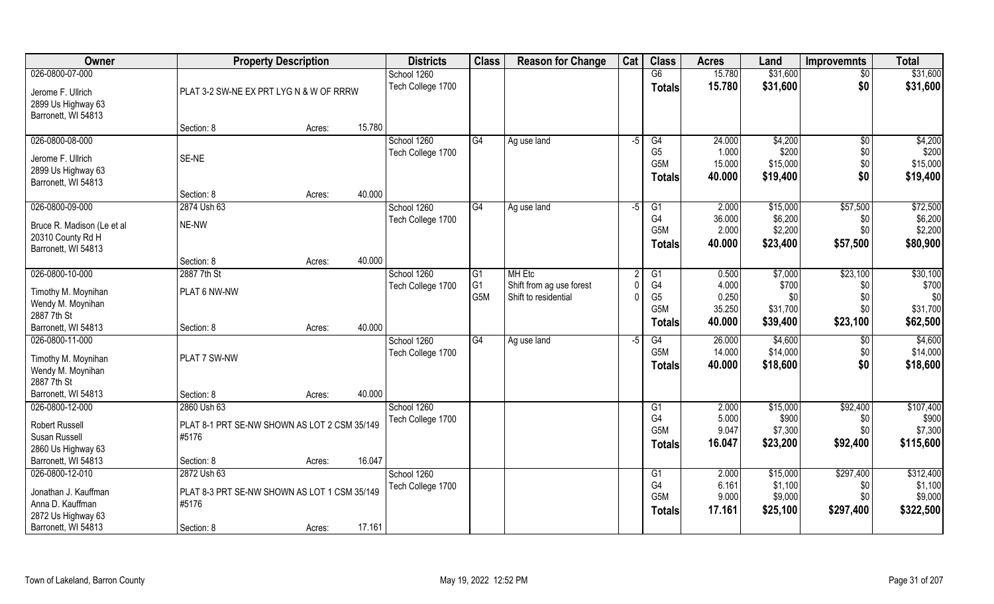| Owner                      |                                              | <b>Property Description</b> |        |                   |                | <b>Reason for Change</b> | Cat  | <b>Class</b>     | <b>Acres</b> | Land     | <b>Improvemnts</b> | <b>Total</b> |
|----------------------------|----------------------------------------------|-----------------------------|--------|-------------------|----------------|--------------------------|------|------------------|--------------|----------|--------------------|--------------|
| 026-0800-07-000            |                                              |                             |        | School 1260       |                |                          |      | G6               | 15.780       | \$31,600 | $\overline{50}$    | \$31,600     |
| Jerome F. Ullrich          | PLAT 3-2 SW-NE EX PRT LYG N & W OF RRRW      |                             |        | Tech College 1700 |                |                          |      | <b>Totals</b>    | 15.780       | \$31,600 | \$0                | \$31,600     |
| 2899 Us Highway 63         |                                              |                             |        |                   |                |                          |      |                  |              |          |                    |              |
| Barronett, WI 54813        |                                              |                             |        |                   |                |                          |      |                  |              |          |                    |              |
|                            | Section: 8                                   | Acres:                      | 15.780 |                   |                |                          |      |                  |              |          |                    |              |
| 026-0800-08-000            |                                              |                             |        | School 1260       | G4             | Ag use land              | $-5$ | G4               | 24.000       | \$4,200  | $\overline{50}$    | \$4,200      |
| Jerome F. Ullrich          | SE-NE                                        |                             |        | Tech College 1700 |                |                          |      | G <sub>5</sub>   | 1.000        | \$200    | \$0                | \$200        |
| 2899 Us Highway 63         |                                              |                             |        |                   |                |                          |      | G <sub>5</sub> M | 15.000       | \$15,000 | \$0                | \$15,000     |
| Barronett, WI 54813        |                                              |                             |        |                   |                |                          |      | <b>Totals</b>    | 40.000       | \$19,400 | \$0                | \$19,400     |
|                            | Section: 8                                   | Acres:                      | 40.000 |                   |                |                          |      |                  |              |          |                    |              |
| 026-0800-09-000            | 2874 Ush 63                                  |                             |        | School 1260       | G4             | Ag use land              | -5   | G <sub>1</sub>   | 2.000        | \$15,000 | \$57,500           | \$72,500     |
| Bruce R. Madison (Le et al | NE-NW                                        |                             |        | Tech College 1700 |                |                          |      | G <sub>4</sub>   | 36.000       | \$6,200  | \$0                | \$6,200      |
| 20310 County Rd H          |                                              |                             |        |                   |                |                          |      | G <sub>5</sub> M | 2.000        | \$2,200  | \$0                | \$2,200      |
| Barronett, WI 54813        |                                              |                             |        |                   |                |                          |      | <b>Totals</b>    | 40.000       | \$23,400 | \$57,500           | \$80,900     |
|                            | Section: 8                                   | Acres:                      | 40.000 |                   |                |                          |      |                  |              |          |                    |              |
| 026-0800-10-000            | 2887 7th St                                  |                             |        | School 1260       | G1             | <b>MH Etc</b>            |      | G1               | 0.500        | \$7,000  | \$23,100           | \$30,100     |
| Timothy M. Moynihan        | PLAT 6 NW-NW                                 |                             |        | Tech College 1700 | G <sub>1</sub> | Shift from ag use forest |      | G4               | 4.000        | \$700    | \$0                | \$700        |
| Wendy M. Moynihan          |                                              |                             |        |                   | G5M            | Shift to residential     |      | G <sub>5</sub>   | 0.250        | \$0      | \$0                | \$0          |
| 2887 7th St                |                                              |                             |        |                   |                |                          |      | G <sub>5</sub> M | 35.250       | \$31,700 | \$0                | \$31,700     |
| Barronett, WI 54813        | Section: 8                                   | Acres:                      | 40.000 |                   |                |                          |      | <b>Totals</b>    | 40.000       | \$39,400 | \$23,100           | \$62,500     |
| 026-0800-11-000            |                                              |                             |        | School 1260       | G4             | Ag use land              | -5   | G4               | 26.000       | \$4,600  | \$0                | \$4,600      |
| Timothy M. Moynihan        | PLAT 7 SW-NW                                 |                             |        | Tech College 1700 |                |                          |      | G <sub>5</sub> M | 14.000       | \$14,000 | \$0                | \$14,000     |
| Wendy M. Moynihan          |                                              |                             |        |                   |                |                          |      | <b>Totals</b>    | 40.000       | \$18,600 | \$0                | \$18,600     |
| 2887 7th St                |                                              |                             |        |                   |                |                          |      |                  |              |          |                    |              |
| Barronett, WI 54813        | Section: 8                                   | Acres:                      | 40.000 |                   |                |                          |      |                  |              |          |                    |              |
| 026-0800-12-000            | 2860 Ush 63                                  |                             |        | School 1260       |                |                          |      | G1               | 2.000        | \$15,000 | \$92,400           | \$107,400    |
| <b>Robert Russell</b>      | PLAT 8-1 PRT SE-NW SHOWN AS LOT 2 CSM 35/149 |                             |        | Tech College 1700 |                |                          |      | G <sub>4</sub>   | 5.000        | \$900    | \$0                | \$900        |
| Susan Russell              | #5176                                        |                             |        |                   |                |                          |      | G <sub>5</sub> M | 9.047        | \$7,300  | \$0                | \$7,300      |
| 2860 Us Highway 63         |                                              |                             |        |                   |                |                          |      | <b>Totals</b>    | 16.047       | \$23,200 | \$92,400           | \$115,600    |
| Barronett, WI 54813        | Section: 8                                   | Acres:                      | 16.047 |                   |                |                          |      |                  |              |          |                    |              |
| 026-0800-12-010            | 2872 Ush 63                                  |                             |        | School 1260       |                |                          |      | G1               | 2.000        | \$15,000 | \$297,400          | \$312,400    |
| Jonathan J. Kauffman       | PLAT 8-3 PRT SE-NW SHOWN AS LOT 1 CSM 35/149 |                             |        | Tech College 1700 |                |                          |      | G4               | 6.161        | \$1,100  | \$0                | \$1,100      |
| Anna D. Kauffman           | #5176                                        |                             |        |                   |                |                          |      | G <sub>5</sub> M | 9.000        | \$9,000  | \$0                | \$9,000      |
| 2872 Us Highway 63         |                                              |                             |        |                   |                |                          |      | <b>Totals</b>    | 17.161       | \$25,100 | \$297,400          | \$322,500    |
| Barronett, WI 54813        | Section: 8                                   | Acres:                      | 17.161 |                   |                |                          |      |                  |              |          |                    |              |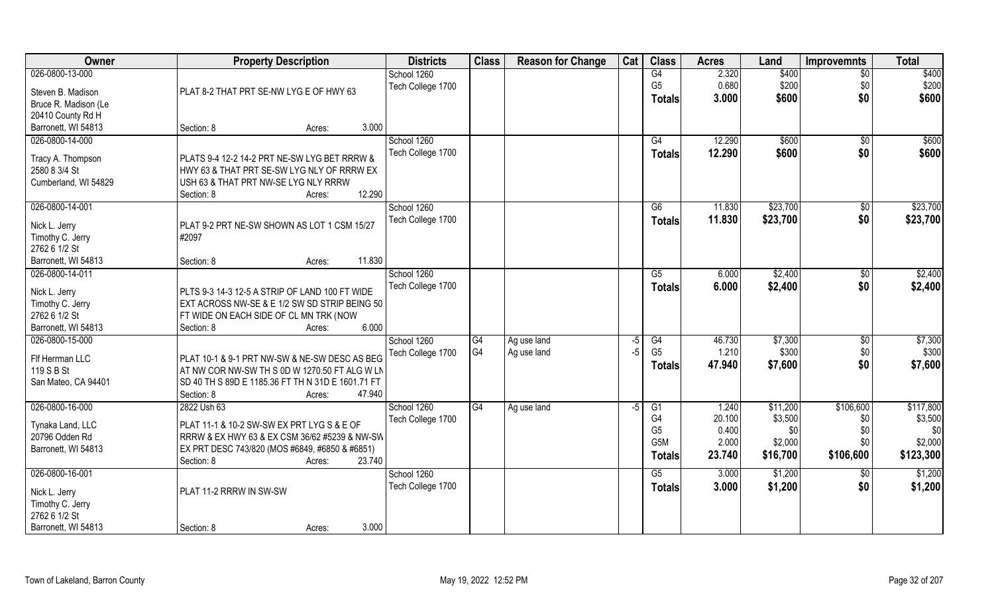| Owner                |                                                   | <b>Property Description</b> |        |                   | <b>Class</b>   | <b>Reason for Change</b> | Cat  | <b>Class</b>     | <b>Acres</b> | Land     | <b>Improvemnts</b> | <b>Total</b> |
|----------------------|---------------------------------------------------|-----------------------------|--------|-------------------|----------------|--------------------------|------|------------------|--------------|----------|--------------------|--------------|
| 026-0800-13-000      |                                                   |                             |        | School 1260       |                |                          |      | G4               | 2.320        | \$400    | $\overline{50}$    | \$400        |
| Steven B. Madison    | PLAT 8-2 THAT PRT SE-NW LYG E OF HWY 63           |                             |        | Tech College 1700 |                |                          |      | G <sub>5</sub>   | 0.680        | \$200    | \$0                | \$200        |
| Bruce R. Madison (Le |                                                   |                             |        |                   |                |                          |      | <b>Totals</b>    | 3.000        | \$600    | \$0                | \$600        |
| 20410 County Rd H    |                                                   |                             |        |                   |                |                          |      |                  |              |          |                    |              |
| Barronett, WI 54813  | Section: 8                                        | Acres:                      | 3.000  |                   |                |                          |      |                  |              |          |                    |              |
| 026-0800-14-000      |                                                   |                             |        | School 1260       |                |                          |      | G4               | 12.290       | \$600    | \$0                | \$600        |
|                      |                                                   |                             |        | Tech College 1700 |                |                          |      |                  | 12.290       |          |                    |              |
| Tracy A. Thompson    | PLATS 9-4 12-2 14-2 PRT NE-SW LYG BET RRRW &      |                             |        |                   |                |                          |      | Totals           |              | \$600    | \$0                | \$600        |
| 2580 8 3/4 St        | HWY 63 & THAT PRT SE-SW LYG NLY OF RRRW EX        |                             |        |                   |                |                          |      |                  |              |          |                    |              |
| Cumberland, WI 54829 | USH 63 & THAT PRT NW-SE LYG NLY RRRW              |                             |        |                   |                |                          |      |                  |              |          |                    |              |
|                      | Section: 8                                        | Acres:                      | 12.290 |                   |                |                          |      |                  |              |          |                    |              |
| 026-0800-14-001      |                                                   |                             |        | School 1260       |                |                          |      | G6               | 11.830       | \$23,700 | \$0                | \$23,700     |
|                      |                                                   |                             |        | Tech College 1700 |                |                          |      | <b>Totals</b>    | 11.830       | \$23,700 | \$0                | \$23,700     |
| Nick L. Jerry        | PLAT 9-2 PRT NE-SW SHOWN AS LOT 1 CSM 15/27       |                             |        |                   |                |                          |      |                  |              |          |                    |              |
| Timothy C. Jerry     | #2097                                             |                             |        |                   |                |                          |      |                  |              |          |                    |              |
| 2762 6 1/2 St        |                                                   |                             | 11.830 |                   |                |                          |      |                  |              |          |                    |              |
| Barronett, WI 54813  | Section: 8                                        | Acres:                      |        |                   |                |                          |      |                  |              |          |                    |              |
| 026-0800-14-011      |                                                   |                             |        | School 1260       |                |                          |      | G5               | 6.000        | \$2,400  | $\sqrt[6]{3}$      | \$2,400      |
| Nick L. Jerry        | PLTS 9-3 14-3 12-5 A STRIP OF LAND 100 FT WIDE    |                             |        | Tech College 1700 |                |                          |      | <b>Totals</b>    | 6.000        | \$2,400  | \$0                | \$2,400      |
| Timothy C. Jerry     | EXT ACROSS NW-SE & E 1/2 SW SD STRIP BEING 50     |                             |        |                   |                |                          |      |                  |              |          |                    |              |
| 2762 6 1/2 St        | FT WIDE ON EACH SIDE OF CL MN TRK (NOW            |                             |        |                   |                |                          |      |                  |              |          |                    |              |
| Barronett, WI 54813  | Section: 8                                        | Acres:                      | 6.000  |                   |                |                          |      |                  |              |          |                    |              |
| 026-0800-15-000      |                                                   |                             |        | School 1260       | G4             | Ag use land              | -5   | G4               | 46.730       | \$7,300  | $\overline{50}$    | \$7,300      |
|                      |                                                   |                             |        | Tech College 1700 | G <sub>4</sub> | Ag use land              | -5   | G <sub>5</sub>   | 1.210        | \$300    | \$0                | \$300        |
| Flf Herrman LLC      | PLAT 10-1 & 9-1 PRT NW-SW & NE-SW DESC AS BEG     |                             |        |                   |                |                          |      | Totals           | 47.940       | \$7,600  | \$0                | \$7,600      |
| 119 S B St           | AT NW COR NW-SW TH S 0D W 1270.50 FT ALG W LN     |                             |        |                   |                |                          |      |                  |              |          |                    |              |
| San Mateo, CA 94401  | SD 40 TH S 89D E 1185.36 FT TH N 31D E 1601.71 FT |                             |        |                   |                |                          |      |                  |              |          |                    |              |
|                      | Section: 8                                        | Acres:                      | 47.940 |                   |                |                          |      |                  |              |          |                    |              |
| 026-0800-16-000      | 2822 Ush 63                                       |                             |        | School 1260       | G4             | Ag use land              | $-5$ | G1               | 1.240        | \$11,200 | \$106,600          | \$117,800    |
| Tynaka Land, LLC     | PLAT 11-1 & 10-2 SW-SW EX PRT LYG S & E OF        |                             |        | Tech College 1700 |                |                          |      | G4               | 20.100       | \$3,500  | \$0                | \$3,500      |
| 20796 Odden Rd       | RRRW & EX HWY 63 & EX CSM 36/62 #5239 & NW-SW     |                             |        |                   |                |                          |      | G <sub>5</sub>   | 0.400        | \$0      | \$0                | \$0          |
| Barronett, WI 54813  | EX PRT DESC 743/820 (MOS #6849, #6850 & #6851)    |                             |        |                   |                |                          |      | G <sub>5</sub> M | 2.000        | \$2,000  | \$0                | \$2,000      |
|                      | Section: 8                                        | Acres:                      | 23.740 |                   |                |                          |      | <b>Totals</b>    | 23.740       | \$16,700 | \$106,600          | \$123,300    |
| 026-0800-16-001      |                                                   |                             |        | School 1260       |                |                          |      | G5               | 3.000        | \$1,200  | $\sqrt{$0}$        | \$1,200      |
|                      |                                                   |                             |        | Tech College 1700 |                |                          |      | <b>Totals</b>    | 3.000        | \$1,200  | \$0                | \$1,200      |
| Nick L. Jerry        | PLAT 11-2 RRRW IN SW-SW                           |                             |        |                   |                |                          |      |                  |              |          |                    |              |
| Timothy C. Jerry     |                                                   |                             |        |                   |                |                          |      |                  |              |          |                    |              |
| 2762 6 1/2 St        |                                                   |                             |        |                   |                |                          |      |                  |              |          |                    |              |
| Barronett, WI 54813  | Section: 8                                        | Acres:                      | 3.000  |                   |                |                          |      |                  |              |          |                    |              |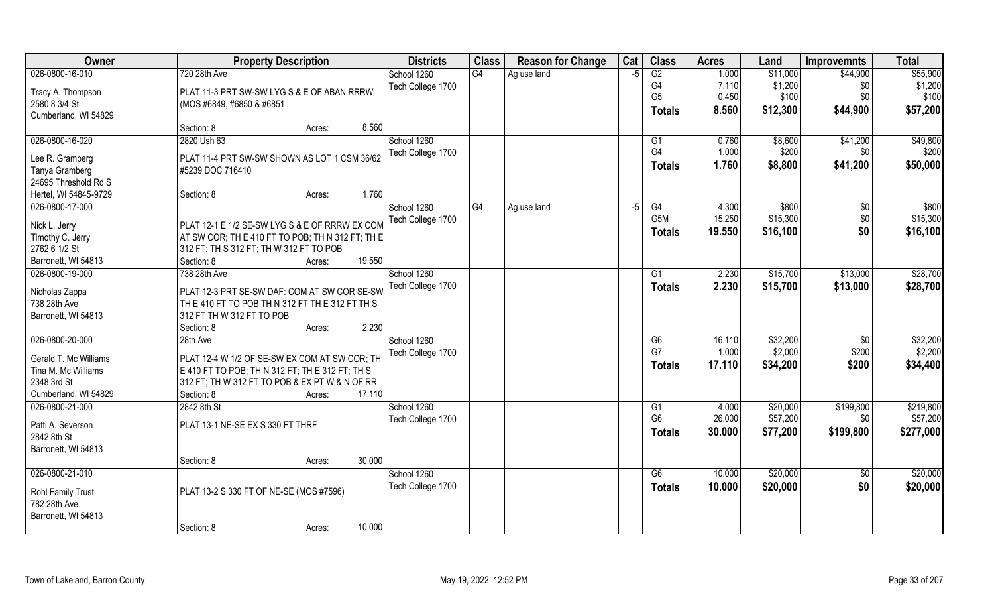| Owner                             | <b>Property Description</b>                             | <b>Districts</b>  | <b>Class</b> | <b>Reason for Change</b> | Cat  | <b>Class</b>          | <b>Acres</b> | Land     | <b>Improvemnts</b> | <b>Total</b> |
|-----------------------------------|---------------------------------------------------------|-------------------|--------------|--------------------------|------|-----------------------|--------------|----------|--------------------|--------------|
| 026-0800-16-010                   | 720 28th Ave                                            | School 1260       | G4           | Ag use land              | -F   | G2                    | 1.000        | \$11,000 | \$44,900           | \$55,900     |
| Tracy A. Thompson                 | PLAT 11-3 PRT SW-SW LYG S & E OF ABAN RRRW              | Tech College 1700 |              |                          |      | G4                    | 7.110        | \$1,200  | \$0                | \$1,200      |
| 2580 8 3/4 St                     | (MOS #6849, #6850 & #6851                               |                   |              |                          |      | G <sub>5</sub>        | 0.450        | \$100    | \$0                | \$100        |
| Cumberland, WI 54829              |                                                         |                   |              |                          |      | Totals                | 8.560        | \$12,300 | \$44,900           | \$57,200     |
|                                   | 8.560<br>Section: 8<br>Acres:                           |                   |              |                          |      |                       |              |          |                    |              |
| 026-0800-16-020                   | 2820 Ush 63                                             | School 1260       |              |                          |      | G1                    | 0.760        | \$8,600  | \$41,200           | \$49,800     |
| Lee R. Gramberg                   | PLAT 11-4 PRT SW-SW SHOWN AS LOT 1 CSM 36/62            | Tech College 1700 |              |                          |      | G4                    | 1.000        | \$200    | \$0                | \$200        |
| Tanya Gramberg                    | #5239 DOC 716410                                        |                   |              |                          |      | <b>Totals</b>         | 1.760        | \$8,800  | \$41,200           | \$50,000     |
| 24695 Threshold Rd S              |                                                         |                   |              |                          |      |                       |              |          |                    |              |
| Hertel, WI 54845-9729             | 1.760<br>Section: 8<br>Acres:                           |                   |              |                          |      |                       |              |          |                    |              |
| 026-0800-17-000                   |                                                         | School 1260       | G4           | Ag use land              | $-5$ | G4                    | 4.300        | \$800    | \$0                | \$800        |
|                                   | PLAT 12-1 E 1/2 SE-SW LYG S & E OF RRRW EX COM          | Tech College 1700 |              |                          |      | G5M                   | 15.250       | \$15,300 | \$0                | \$15,300     |
| Nick L. Jerry<br>Timothy C. Jerry | $AT$ SW COR; TH E 410 FT TO POB; TH N 312 FT; TH E      |                   |              |                          |      | <b>Totals</b>         | 19.550       | \$16,100 | \$0                | \$16,100     |
| 2762 6 1/2 St                     | $312$ FT; TH S 312 FT; TH W 312 FT TO POB               |                   |              |                          |      |                       |              |          |                    |              |
| Barronett, WI 54813               | 19.550<br>Section: 8<br>Acres:                          |                   |              |                          |      |                       |              |          |                    |              |
| 026-0800-19-000                   | 738 28th Ave                                            | School 1260       |              |                          |      | G1                    | 2.230        | \$15,700 | \$13,000           | \$28,700     |
|                                   |                                                         | Tech College 1700 |              |                          |      | Totals                | 2.230        | \$15,700 | \$13,000           | \$28,700     |
| Nicholas Zappa                    | PLAT 12-3 PRT SE-SW DAF: COM AT SW COR SE-SW            |                   |              |                          |      |                       |              |          |                    |              |
| 738 28th Ave                      | THE 410 FT TO POB THN 312 FT THE 312 FT THS             |                   |              |                          |      |                       |              |          |                    |              |
| Barronett, WI 54813               | 312 FT TH W 312 FT TO POB                               |                   |              |                          |      |                       |              |          |                    |              |
|                                   | 2.230<br>Section: 8<br>Acres:                           |                   |              |                          |      |                       |              |          |                    |              |
| 026-0800-20-000                   | 28th Ave                                                | School 1260       |              |                          |      | $\overline{G6}$<br>G7 | 16.110       | \$32,200 | $\overline{50}$    | \$32,200     |
| Gerald T. Mc Williams             | PLAT 12-4 W 1/2 OF SE-SW EX COM AT SW COR; TH           | Tech College 1700 |              |                          |      |                       | 1.000        | \$2,000  | \$200              | \$2,200      |
| Tina M. Mc Williams               | $\vert$ E 410 FT TO POB; TH N 312 FT; TH E 312 FT; TH S |                   |              |                          |      | Totals                | 17.110       | \$34,200 | \$200              | \$34,400     |
| 2348 3rd St                       | 312 FT; TH W 312 FT TO POB & EX PT W & N OF RR          |                   |              |                          |      |                       |              |          |                    |              |
| Cumberland, WI 54829              | 17.110<br>Section: 8<br>Acres:                          |                   |              |                          |      |                       |              |          |                    |              |
| 026-0800-21-000                   | 2842 8th St                                             | School 1260       |              |                          |      | G1                    | 4.000        | \$20,000 | \$199,800          | \$219,800    |
| Patti A. Severson                 | PLAT 13-1 NE-SE EX S 330 FT THRF                        | Tech College 1700 |              |                          |      | G <sub>6</sub>        | 26.000       | \$57,200 | \$0                | \$57,200     |
| 2842 8th St                       |                                                         |                   |              |                          |      | <b>Totals</b>         | 30.000       | \$77,200 | \$199,800          | \$277,000    |
| Barronett, WI 54813               |                                                         |                   |              |                          |      |                       |              |          |                    |              |
|                                   | 30.000<br>Section: 8<br>Acres:                          |                   |              |                          |      |                       |              |          |                    |              |
| 026-0800-21-010                   |                                                         | School 1260       |              |                          |      | G6                    | 10.000       | \$20,000 | \$0                | \$20,000     |
| Rohl Family Trust                 | PLAT 13-2 S 330 FT OF NE-SE (MOS #7596)                 | Tech College 1700 |              |                          |      | <b>Totals</b>         | 10.000       | \$20,000 | \$0                | \$20,000     |
| 782 28th Ave                      |                                                         |                   |              |                          |      |                       |              |          |                    |              |
| Barronett, WI 54813               |                                                         |                   |              |                          |      |                       |              |          |                    |              |
|                                   | 10.000<br>Section: 8<br>Acres:                          |                   |              |                          |      |                       |              |          |                    |              |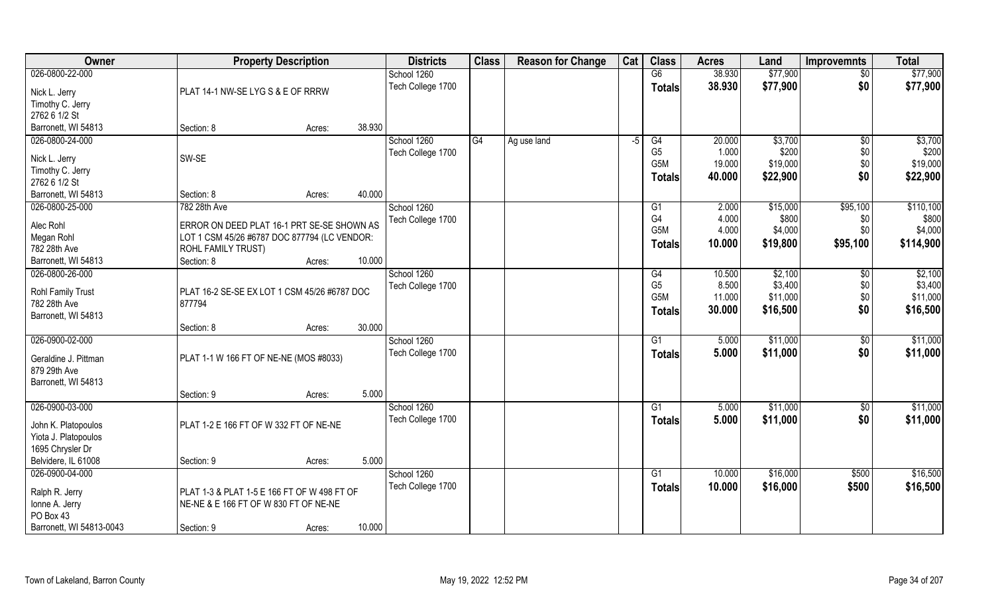| Owner                                                   | <b>Property Description</b>                         |        |        | <b>Districts</b>  | <b>Class</b> | <b>Reason for Change</b> | Cat  | <b>Class</b>                     | <b>Acres</b>   | Land              | <b>Improvemnts</b> | <b>Total</b>       |
|---------------------------------------------------------|-----------------------------------------------------|--------|--------|-------------------|--------------|--------------------------|------|----------------------------------|----------------|-------------------|--------------------|--------------------|
| 026-0800-22-000                                         |                                                     |        |        | School 1260       |              |                          |      | G6                               | 38.930         | \$77,900          | $\overline{50}$    | \$77,900           |
| Nick L. Jerry                                           | PLAT 14-1 NW-SE LYG S & E OF RRRW                   |        |        | Tech College 1700 |              |                          |      | <b>Totals</b>                    | 38.930         | \$77,900          | \$0                | \$77,900           |
| Timothy C. Jerry                                        |                                                     |        |        |                   |              |                          |      |                                  |                |                   |                    |                    |
| 2762 6 1/2 St                                           |                                                     |        |        |                   |              |                          |      |                                  |                |                   |                    |                    |
| Barronett, WI 54813                                     | Section: 8                                          | Acres: | 38.930 |                   |              |                          |      |                                  |                |                   |                    |                    |
| 026-0800-24-000                                         |                                                     |        |        | School 1260       | G4           | Ag use land              | $-5$ | G4                               | 20.000         | \$3,700           | \$0                | \$3,700            |
|                                                         |                                                     |        |        | Tech College 1700 |              |                          |      | G <sub>5</sub>                   | 1.000          | \$200             | \$0                | \$200              |
| Nick L. Jerry                                           | SW-SE                                               |        |        |                   |              |                          |      | G5M                              | 19.000         | \$19,000          | \$0                | \$19,000           |
| Timothy C. Jerry                                        |                                                     |        |        |                   |              |                          |      | <b>Totals</b>                    | 40.000         | \$22,900          | \$0                | \$22,900           |
| 2762 6 1/2 St                                           |                                                     |        | 40.000 |                   |              |                          |      |                                  |                |                   |                    |                    |
| Barronett, WI 54813                                     | Section: 8                                          | Acres: |        |                   |              |                          |      |                                  |                |                   |                    |                    |
| 026-0800-25-000                                         | 782 28th Ave                                        |        |        | School 1260       |              |                          |      | G <sub>1</sub><br>G <sub>4</sub> | 2.000<br>4.000 | \$15,000<br>\$800 | \$95,100           | \$110,100<br>\$800 |
| Alec Rohl                                               | ERROR ON DEED PLAT 16-1 PRT SE-SE SHOWN AS          |        |        | Tech College 1700 |              |                          |      | G <sub>5</sub> M                 | 4.000          | \$4,000           | \$0<br>\$0         | \$4,000            |
| Megan Rohl                                              | LOT 1 CSM 45/26 #6787 DOC 877794 (LC VENDOR:        |        |        |                   |              |                          |      |                                  |                |                   |                    |                    |
| 782 28th Ave                                            | ROHL FAMILY TRUST)                                  |        |        |                   |              |                          |      | <b>Totals</b>                    | 10.000         | \$19,800          | \$95,100           | \$114,900          |
| Barronett, WI 54813                                     | Section: 8                                          | Acres: | 10.000 |                   |              |                          |      |                                  |                |                   |                    |                    |
| 026-0800-26-000                                         |                                                     |        |        | School 1260       |              |                          |      | G4                               | 10.500         | \$2,100           | \$0                | \$2,100            |
| <b>Rohl Family Trust</b>                                | PLAT 16-2 SE-SE EX LOT 1 CSM 45/26 #6787 DOC        |        |        | Tech College 1700 |              |                          |      | G <sub>5</sub>                   | 8.500          | \$3,400           | \$0                | \$3,400            |
| 782 28th Ave                                            | 877794                                              |        |        |                   |              |                          |      | G5M                              | 11.000         | \$11,000          | \$0                | \$11,000           |
| Barronett, WI 54813                                     |                                                     |        |        |                   |              |                          |      | <b>Totals</b>                    | 30.000         | \$16,500          | \$0                | \$16,500           |
|                                                         | Section: 8                                          | Acres: | 30.000 |                   |              |                          |      |                                  |                |                   |                    |                    |
| 026-0900-02-000                                         |                                                     |        |        | School 1260       |              |                          |      | $\overline{G1}$                  | 5.000          | \$11,000          | $\overline{50}$    | \$11,000           |
|                                                         |                                                     |        |        | Tech College 1700 |              |                          |      | <b>Totals</b>                    | 5.000          | \$11,000          | \$0                | \$11,000           |
| Geraldine J. Pittman                                    | PLAT 1-1 W 166 FT OF NE-NE (MOS #8033)              |        |        |                   |              |                          |      |                                  |                |                   |                    |                    |
| 879 29th Ave                                            |                                                     |        |        |                   |              |                          |      |                                  |                |                   |                    |                    |
| Barronett, WI 54813                                     |                                                     |        |        |                   |              |                          |      |                                  |                |                   |                    |                    |
|                                                         | Section: 9                                          | Acres: | 5.000  |                   |              |                          |      |                                  |                |                   |                    |                    |
| 026-0900-03-000                                         |                                                     |        |        | School 1260       |              |                          |      | G1                               | 5.000          | \$11,000          | \$0                | \$11,000           |
| John K. Platopoulos                                     | PLAT 1-2 E 166 FT OF W 332 FT OF NE-NE              |        |        | Tech College 1700 |              |                          |      | <b>Totals</b>                    | 5.000          | \$11,000          | \$0                | \$11,000           |
| Yiota J. Platopoulos                                    |                                                     |        |        |                   |              |                          |      |                                  |                |                   |                    |                    |
| 1695 Chrysler Dr                                        |                                                     |        |        |                   |              |                          |      |                                  |                |                   |                    |                    |
| Belvidere, IL 61008                                     | Section: 9                                          | Acres: | 5.000  |                   |              |                          |      |                                  |                |                   |                    |                    |
| 026-0900-04-000                                         |                                                     |        |        | School 1260       |              |                          |      | G1                               | 10.000         | \$16,000          | \$500              | \$16,500           |
|                                                         |                                                     |        |        | Tech College 1700 |              |                          |      | <b>Totals</b>                    | 10.000         | \$16,000          | \$500              | \$16,500           |
| Ralph R. Jerry                                          | PLAT 1-3 & PLAT 1-5 E 166 FT OF W 498 FT OF         |        |        |                   |              |                          |      |                                  |                |                   |                    |                    |
|                                                         |                                                     |        |        |                   |              |                          |      |                                  |                |                   |                    |                    |
|                                                         |                                                     |        |        |                   |              |                          |      |                                  |                |                   |                    |                    |
| Ionne A. Jerry<br>PO Box 43<br>Barronett, WI 54813-0043 | NE-NE & E 166 FT OF W 830 FT OF NE-NE<br>Section: 9 | Acres: | 10.000 |                   |              |                          |      |                                  |                |                   |                    |                    |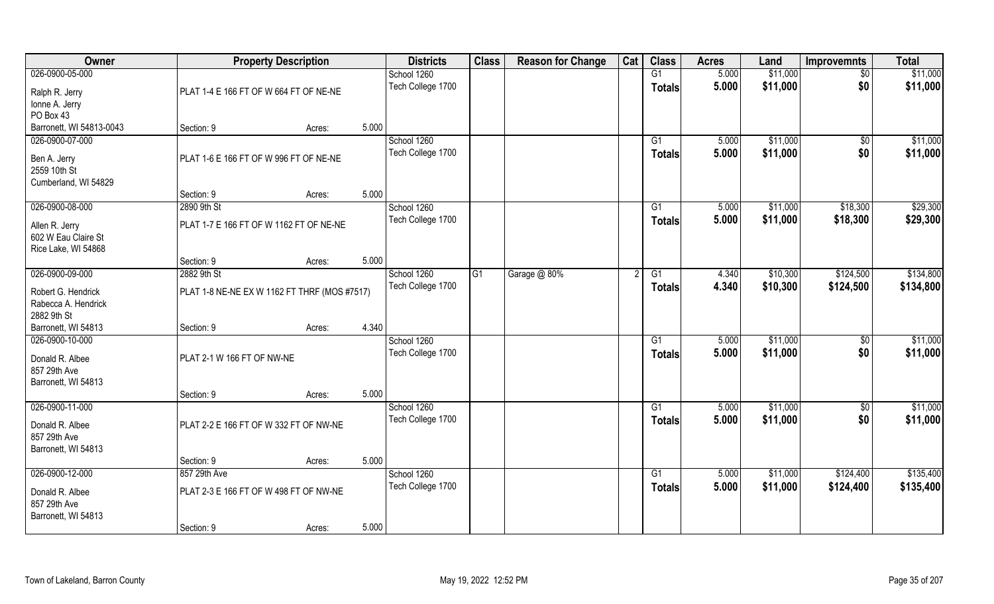| Owner                    |                                              | <b>Property Description</b> |       | <b>Districts</b>  | <b>Class</b>   | <b>Reason for Change</b> | Cat | <b>Class</b>    | <b>Acres</b> | Land     | <b>Improvemnts</b> | <b>Total</b> |
|--------------------------|----------------------------------------------|-----------------------------|-------|-------------------|----------------|--------------------------|-----|-----------------|--------------|----------|--------------------|--------------|
| 026-0900-05-000          |                                              |                             |       | School 1260       |                |                          |     | G1              | 5.000        | \$11,000 | $\overline{50}$    | \$11,000     |
| Ralph R. Jerry           | PLAT 1-4 E 166 FT OF W 664 FT OF NE-NE       |                             |       | Tech College 1700 |                |                          |     | <b>Totals</b>   | 5.000        | \$11,000 | \$0                | \$11,000     |
| Ionne A. Jerry           |                                              |                             |       |                   |                |                          |     |                 |              |          |                    |              |
| PO Box 43                |                                              |                             |       |                   |                |                          |     |                 |              |          |                    |              |
| Barronett, WI 54813-0043 | Section: 9                                   | Acres:                      | 5.000 |                   |                |                          |     |                 |              |          |                    |              |
| 026-0900-07-000          |                                              |                             |       | School 1260       |                |                          |     | G1              | 5.000        | \$11,000 | $\frac{1}{2}$      | \$11,000     |
| Ben A. Jerry             | PLAT 1-6 E 166 FT OF W 996 FT OF NE-NE       |                             |       | Tech College 1700 |                |                          |     | <b>Totals</b>   | 5.000        | \$11,000 | \$0                | \$11,000     |
| 2559 10th St             |                                              |                             |       |                   |                |                          |     |                 |              |          |                    |              |
| Cumberland, WI 54829     |                                              |                             |       |                   |                |                          |     |                 |              |          |                    |              |
|                          | Section: 9                                   | Acres:                      | 5.000 |                   |                |                          |     |                 |              |          |                    |              |
| 026-0900-08-000          | 2890 9th St                                  |                             |       | School 1260       |                |                          |     | G1              | 5.000        | \$11,000 | \$18,300           | \$29,300     |
| Allen R. Jerry           | PLAT 1-7 E 166 FT OF W 1162 FT OF NE-NE      |                             |       | Tech College 1700 |                |                          |     | <b>Totals</b>   | 5.000        | \$11,000 | \$18,300           | \$29,300     |
| 602 W Eau Claire St      |                                              |                             |       |                   |                |                          |     |                 |              |          |                    |              |
| Rice Lake, WI 54868      |                                              |                             |       |                   |                |                          |     |                 |              |          |                    |              |
|                          | Section: 9                                   | Acres:                      | 5.000 |                   |                |                          |     |                 |              |          |                    |              |
| 026-0900-09-000          | 2882 9th St                                  |                             |       | School 1260       | G <sub>1</sub> | Garage @ 80%             |     | G1              | 4.340        | \$10,300 | \$124,500          | \$134,800    |
| Robert G. Hendrick       | PLAT 1-8 NE-NE EX W 1162 FT THRF (MOS #7517) |                             |       | Tech College 1700 |                |                          |     | <b>Totals</b>   | 4.340        | \$10,300 | \$124,500          | \$134,800    |
| Rabecca A. Hendrick      |                                              |                             |       |                   |                |                          |     |                 |              |          |                    |              |
| 2882 9th St              |                                              |                             |       |                   |                |                          |     |                 |              |          |                    |              |
| Barronett, WI 54813      | Section: 9                                   | Acres:                      | 4.340 |                   |                |                          |     |                 |              |          |                    |              |
| 026-0900-10-000          |                                              |                             |       | School 1260       |                |                          |     | G1              | 5.000        | \$11,000 | $\overline{50}$    | \$11,000     |
| Donald R. Albee          | PLAT 2-1 W 166 FT OF NW-NE                   |                             |       | Tech College 1700 |                |                          |     | <b>Totals</b>   | 5.000        | \$11,000 | \$0                | \$11,000     |
| 857 29th Ave             |                                              |                             |       |                   |                |                          |     |                 |              |          |                    |              |
| Barronett, WI 54813      |                                              |                             |       |                   |                |                          |     |                 |              |          |                    |              |
|                          | Section: 9                                   | Acres:                      | 5.000 |                   |                |                          |     |                 |              |          |                    |              |
| 026-0900-11-000          |                                              |                             |       | School 1260       |                |                          |     | G1              | 5.000        | \$11,000 | $\frac{1}{3}$      | \$11,000     |
| Donald R. Albee          | PLAT 2-2 E 166 FT OF W 332 FT OF NW-NE       |                             |       | Tech College 1700 |                |                          |     | <b>Totals</b>   | 5.000        | \$11,000 | \$0                | \$11,000     |
| 857 29th Ave             |                                              |                             |       |                   |                |                          |     |                 |              |          |                    |              |
| Barronett, WI 54813      |                                              |                             |       |                   |                |                          |     |                 |              |          |                    |              |
|                          | Section: 9                                   | Acres:                      | 5.000 |                   |                |                          |     |                 |              |          |                    |              |
| 026-0900-12-000          | 857 29th Ave                                 |                             |       | School 1260       |                |                          |     | $\overline{G1}$ | 5.000        | \$11,000 | \$124,400          | \$135,400    |
| Donald R. Albee          | PLAT 2-3 E 166 FT OF W 498 FT OF NW-NE       |                             |       | Tech College 1700 |                |                          |     | <b>Totals</b>   | 5.000        | \$11,000 | \$124,400          | \$135,400    |
| 857 29th Ave             |                                              |                             |       |                   |                |                          |     |                 |              |          |                    |              |
| Barronett, WI 54813      |                                              |                             |       |                   |                |                          |     |                 |              |          |                    |              |
|                          | Section: 9                                   | Acres:                      | 5.000 |                   |                |                          |     |                 |              |          |                    |              |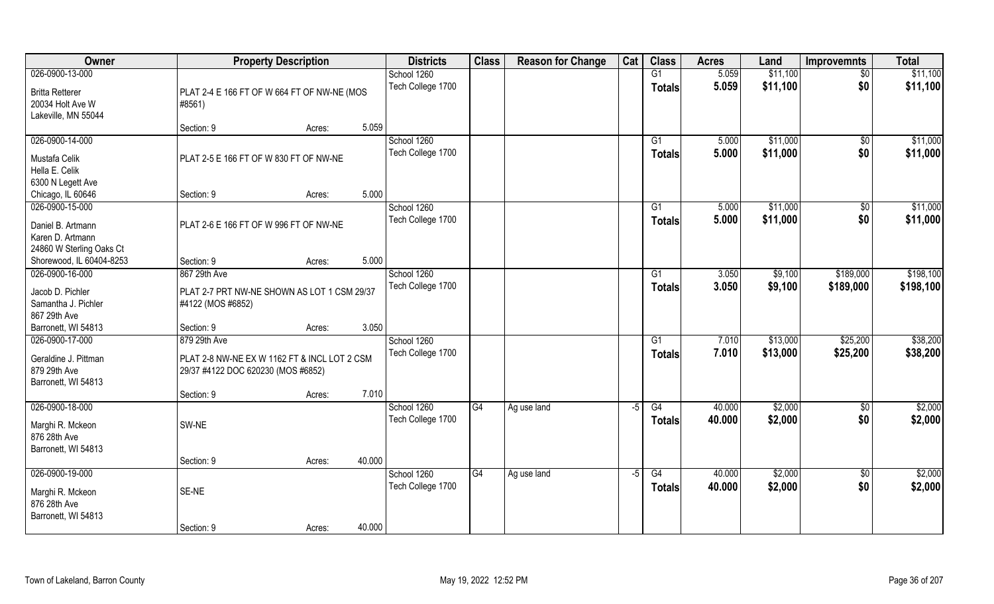| Owner                                                                      |                                                                                    | <b>Property Description</b> |        | <b>Districts</b>                 | <b>Class</b> | <b>Reason for Change</b> | Cat | <b>Class</b>        | <b>Acres</b>     | Land               | <b>Improvemnts</b> | <b>Total</b>       |
|----------------------------------------------------------------------------|------------------------------------------------------------------------------------|-----------------------------|--------|----------------------------------|--------------|--------------------------|-----|---------------------|------------------|--------------------|--------------------|--------------------|
| 026-0900-13-000                                                            |                                                                                    |                             |        | School 1260                      |              |                          |     | G1                  | 5.059            | \$11,100           | $\sqrt{$0}$        | \$11,100           |
| <b>Britta Retterer</b><br>20034 Holt Ave W<br>Lakeville, MN 55044          | PLAT 2-4 E 166 FT OF W 664 FT OF NW-NE (MOS<br>#8561)                              |                             |        | Tech College 1700                |              |                          |     | <b>Totals</b>       | 5.059            | \$11,100           | \$0                | \$11,100           |
|                                                                            | Section: 9                                                                         | Acres:                      | 5.059  |                                  |              |                          |     |                     |                  |                    |                    |                    |
| 026-0900-14-000                                                            |                                                                                    |                             |        | School 1260                      |              |                          |     | G1                  | 5.000            | \$11,000           | $\sqrt[6]{}$       | \$11,000           |
| Mustafa Celik<br>Hella E. Celik<br>6300 N Legett Ave                       | PLAT 2-5 E 166 FT OF W 830 FT OF NW-NE                                             |                             |        | Tech College 1700                |              |                          |     | Totals              | 5.000            | \$11,000           | \$0                | \$11,000           |
| Chicago, IL 60646                                                          | Section: 9                                                                         | Acres:                      | 5.000  |                                  |              |                          |     |                     |                  |                    |                    |                    |
| 026-0900-15-000                                                            |                                                                                    |                             |        | School 1260                      |              |                          |     | G1                  | 5.000            | \$11,000           | \$0                | \$11,000           |
| Daniel B. Artmann<br>Karen D. Artmann<br>24860 W Sterling Oaks Ct          | PLAT 2-6 E 166 FT OF W 996 FT OF NW-NE                                             |                             |        | Tech College 1700                |              |                          |     | <b>Totals</b>       | 5.000            | \$11,000           | \$0                | \$11,000           |
| Shorewood, IL 60404-8253                                                   | Section: 9                                                                         | Acres:                      | 5.000  |                                  |              |                          |     |                     |                  |                    |                    |                    |
| 026-0900-16-000                                                            | 867 29th Ave                                                                       |                             |        | School 1260                      |              |                          |     | G1                  | 3.050            | \$9,100            | \$189,000          | \$198,100          |
| Jacob D. Pichler<br>Samantha J. Pichler<br>867 29th Ave                    | PLAT 2-7 PRT NW-NE SHOWN AS LOT 1 CSM 29/37<br>#4122 (MOS #6852)                   |                             |        | Tech College 1700                |              |                          |     | Totals              | 3.050            | \$9,100            | \$189,000          | \$198,100          |
| Barronett, WI 54813                                                        | Section: 9                                                                         | Acres:                      | 3.050  |                                  |              |                          |     |                     |                  |                    |                    |                    |
| 026-0900-17-000                                                            | 879 29th Ave                                                                       |                             |        | School 1260                      |              |                          |     | $\overline{G1}$     | 7.010            | \$13,000           | \$25,200           | \$38,200           |
| Geraldine J. Pittman<br>879 29th Ave<br>Barronett, WI 54813                | PLAT 2-8 NW-NE EX W 1162 FT & INCL LOT 2 CSM<br>29/37 #4122 DOC 620230 (MOS #6852) |                             |        | Tech College 1700                |              |                          |     | <b>Totals</b>       | 7.010            | \$13,000           | \$25,200           | \$38,200           |
|                                                                            | Section: 9                                                                         | Acres:                      | 7.010  |                                  |              |                          |     |                     |                  |                    |                    |                    |
| 026-0900-18-000<br>Marghi R. Mckeon<br>876 28th Ave<br>Barronett, WI 54813 | SW-NE                                                                              |                             |        | School 1260<br>Tech College 1700 | G4           | Ag use land              | -5  | G4<br><b>Totals</b> | 40.000<br>40.000 | \$2,000<br>\$2,000 | $\sqrt{$0}$<br>\$0 | \$2,000<br>\$2,000 |
|                                                                            | Section: 9                                                                         | Acres:                      | 40.000 |                                  |              |                          |     |                     |                  |                    |                    |                    |
| 026-0900-19-000                                                            |                                                                                    |                             |        | School 1260                      | G4           | Ag use land              | -5  | G4                  | 40.000           | \$2,000            | $\sqrt{$0}$        | \$2,000            |
| Marghi R. Mckeon<br>876 28th Ave<br>Barronett, WI 54813                    | SE-NE                                                                              |                             |        | Tech College 1700                |              |                          |     | <b>Totals</b>       | 40.000           | \$2,000            | \$0                | \$2,000            |
|                                                                            | Section: 9                                                                         | Acres:                      | 40.000 |                                  |              |                          |     |                     |                  |                    |                    |                    |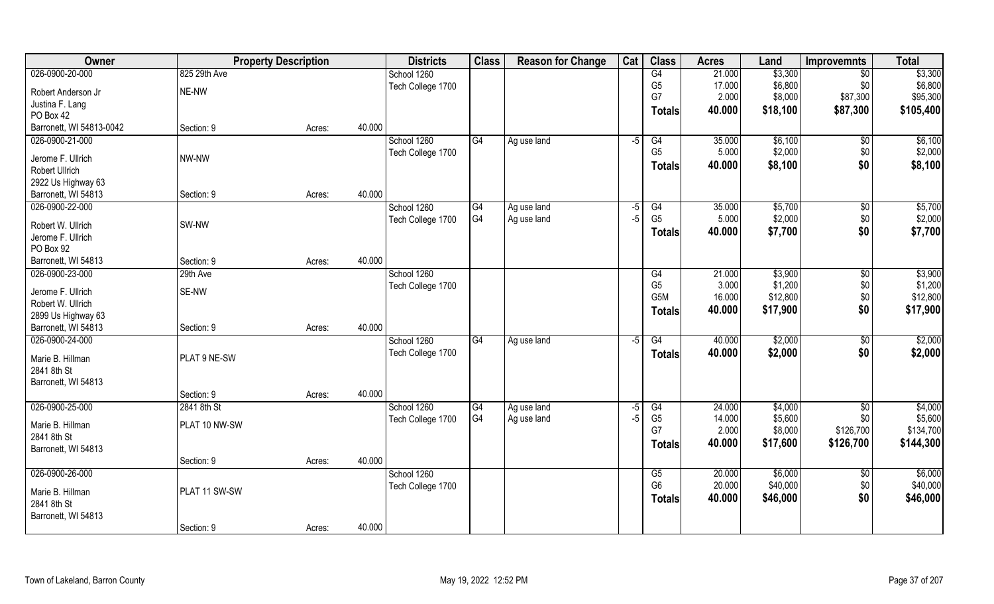| Owner                                      |               | <b>Property Description</b> |        | <b>Districts</b>  | <b>Class</b>   | <b>Reason for Change</b> | Cat  | <b>Class</b>   | <b>Acres</b> | Land     | <b>Improvemnts</b> | <b>Total</b> |
|--------------------------------------------|---------------|-----------------------------|--------|-------------------|----------------|--------------------------|------|----------------|--------------|----------|--------------------|--------------|
| 026-0900-20-000                            | 825 29th Ave  |                             |        | School 1260       |                |                          |      | G4             | 21.000       | \$3,300  | $\sqrt{$0}$        | \$3,300      |
| Robert Anderson Jr                         | NE-NW         |                             |        | Tech College 1700 |                |                          |      | G <sub>5</sub> | 17.000       | \$6,800  | \$0                | \$6,800      |
| Justina F. Lang                            |               |                             |        |                   |                |                          |      | G7             | 2.000        | \$8,000  | \$87,300           | \$95,300     |
| PO Box 42                                  |               |                             |        |                   |                |                          |      | Totals         | 40.000       | \$18,100 | \$87,300           | \$105,400    |
| Barronett, WI 54813-0042                   | Section: 9    | Acres:                      | 40.000 |                   |                |                          |      |                |              |          |                    |              |
| 026-0900-21-000                            |               |                             |        | School 1260       | G4             | Ag use land              | -5   | G4             | 35.000       | \$6,100  | \$0                | \$6,100      |
|                                            | NW-NW         |                             |        | Tech College 1700 |                |                          |      | G <sub>5</sub> | 5.000        | \$2,000  | \$0                | \$2,000      |
| Jerome F. Ullrich<br><b>Robert Ullrich</b> |               |                             |        |                   |                |                          |      | <b>Totals</b>  | 40.000       | \$8,100  | \$0                | \$8,100      |
| 2922 Us Highway 63                         |               |                             |        |                   |                |                          |      |                |              |          |                    |              |
| Barronett, WI 54813                        | Section: 9    | Acres:                      | 40.000 |                   |                |                          |      |                |              |          |                    |              |
| 026-0900-22-000                            |               |                             |        | School 1260       | G4             | Ag use land              | $-5$ | G4             | 35.000       | \$5,700  | \$0                | \$5,700      |
|                                            |               |                             |        | Tech College 1700 | G <sub>4</sub> | Ag use land              | $-5$ | G <sub>5</sub> | 5.000        | \$2,000  | \$0                | \$2,000      |
| Robert W. Ullrich                          | SW-NW         |                             |        |                   |                |                          |      | <b>Totals</b>  | 40.000       | \$7,700  | \$0                | \$7,700      |
| Jerome F. Ullrich                          |               |                             |        |                   |                |                          |      |                |              |          |                    |              |
| PO Box 92                                  |               |                             |        |                   |                |                          |      |                |              |          |                    |              |
| Barronett, WI 54813                        | Section: 9    | Acres:                      | 40.000 |                   |                |                          |      |                |              |          |                    |              |
| 026-0900-23-000                            | 29th Ave      |                             |        | School 1260       |                |                          |      | G4             | 21.000       | \$3,900  | $\sqrt[6]{3}$      | \$3,900      |
| Jerome F. Ullrich                          | SE-NW         |                             |        | Tech College 1700 |                |                          |      | G <sub>5</sub> | 3.000        | \$1,200  | \$0                | \$1,200      |
| Robert W. Ullrich                          |               |                             |        |                   |                |                          |      | G5M            | 16.000       | \$12,800 | \$0                | \$12,800     |
| 2899 Us Highway 63                         |               |                             |        |                   |                |                          |      | <b>Totals</b>  | 40.000       | \$17,900 | \$0                | \$17,900     |
| Barronett, WI 54813                        | Section: 9    | Acres:                      | 40.000 |                   |                |                          |      |                |              |          |                    |              |
| 026-0900-24-000                            |               |                             |        | School 1260       | G4             | Ag use land              | -5   | G4             | 40.000       | \$2,000  | $\overline{50}$    | \$2,000      |
| Marie B. Hillman                           | PLAT 9 NE-SW  |                             |        | Tech College 1700 |                |                          |      | <b>Totals</b>  | 40.000       | \$2,000  | \$0                | \$2,000      |
| 2841 8th St                                |               |                             |        |                   |                |                          |      |                |              |          |                    |              |
| Barronett, WI 54813                        |               |                             |        |                   |                |                          |      |                |              |          |                    |              |
|                                            | Section: 9    | Acres:                      | 40.000 |                   |                |                          |      |                |              |          |                    |              |
| 026-0900-25-000                            | 2841 8th St   |                             |        | School 1260       | G4             | Ag use land              | -5   | G4             | 24.000       | \$4,000  | $\overline{50}$    | \$4,000      |
|                                            |               |                             |        | Tech College 1700 | G4             | Ag use land              | $-5$ | G <sub>5</sub> | 14.000       | \$5,600  | \$0\$              | \$5,600      |
| Marie B. Hillman                           | PLAT 10 NW-SW |                             |        |                   |                |                          |      | G7             | 2.000        | \$8,000  | \$126,700          | \$134,700    |
| 2841 8th St                                |               |                             |        |                   |                |                          |      | <b>Totals</b>  | 40.000       | \$17,600 | \$126,700          | \$144,300    |
| Barronett, WI 54813                        |               |                             | 40.000 |                   |                |                          |      |                |              |          |                    |              |
| 026-0900-26-000                            | Section: 9    | Acres:                      |        | School 1260       |                |                          |      | G5             | 20.000       | \$6,000  |                    | \$6,000      |
|                                            |               |                             |        | Tech College 1700 |                |                          |      | G <sub>6</sub> | 20.000       | \$40,000 | $\sqrt{$0}$<br>\$0 | \$40,000     |
| Marie B. Hillman                           | PLAT 11 SW-SW |                             |        |                   |                |                          |      |                | 40.000       | \$46,000 | \$0                | \$46,000     |
| 2841 8th St                                |               |                             |        |                   |                |                          |      | <b>Totals</b>  |              |          |                    |              |
| Barronett, WI 54813                        |               |                             |        |                   |                |                          |      |                |              |          |                    |              |
|                                            | Section: 9    | Acres:                      | 40.000 |                   |                |                          |      |                |              |          |                    |              |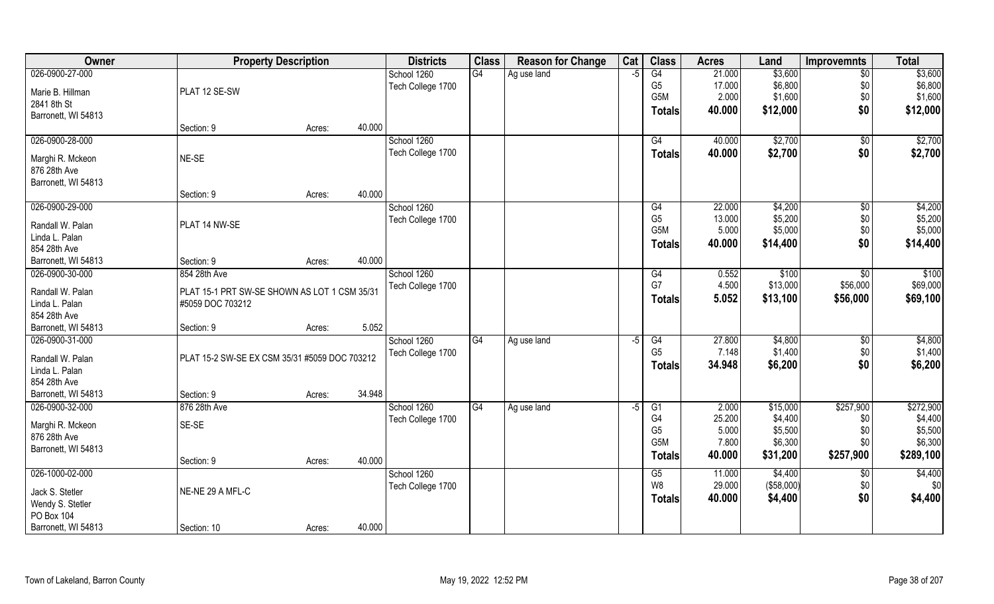| Owner               | <b>Property Description</b>                   |        |        | <b>Districts</b>  | <b>Class</b>    | <b>Reason for Change</b> | Cat  | <b>Class</b>    | <b>Acres</b> | Land       | <b>Improvemnts</b> | <b>Total</b> |
|---------------------|-----------------------------------------------|--------|--------|-------------------|-----------------|--------------------------|------|-----------------|--------------|------------|--------------------|--------------|
| 026-0900-27-000     |                                               |        |        | School 1260       | $\overline{G4}$ | Ag use land              | -5   | G4              | 21.000       | \$3,600    | $\overline{50}$    | \$3,600      |
| Marie B. Hillman    | PLAT 12 SE-SW                                 |        |        | Tech College 1700 |                 |                          |      | G <sub>5</sub>  | 17.000       | \$6,800    | \$0                | \$6,800      |
| 2841 8th St         |                                               |        |        |                   |                 |                          |      | G5M             | 2.000        | \$1,600    | \$0                | \$1,600      |
| Barronett, WI 54813 |                                               |        |        |                   |                 |                          |      | <b>Totals</b>   | 40.000       | \$12,000   | \$0                | \$12,000     |
|                     | Section: 9                                    | Acres: | 40.000 |                   |                 |                          |      |                 |              |            |                    |              |
| 026-0900-28-000     |                                               |        |        | School 1260       |                 |                          |      | G4              | 40.000       | \$2,700    | \$0                | \$2,700      |
| Marghi R. Mckeon    | NE-SE                                         |        |        | Tech College 1700 |                 |                          |      | <b>Totals</b>   | 40.000       | \$2,700    | \$0                | \$2,700      |
| 876 28th Ave        |                                               |        |        |                   |                 |                          |      |                 |              |            |                    |              |
| Barronett, WI 54813 |                                               |        |        |                   |                 |                          |      |                 |              |            |                    |              |
|                     | Section: 9                                    | Acres: | 40.000 |                   |                 |                          |      |                 |              |            |                    |              |
| 026-0900-29-000     |                                               |        |        | School 1260       |                 |                          |      | G4              | 22.000       | \$4,200    | \$0                | \$4,200      |
| Randall W. Palan    | PLAT 14 NW-SE                                 |        |        | Tech College 1700 |                 |                          |      | G <sub>5</sub>  | 13.000       | \$5,200    | \$0                | \$5,200      |
| Linda L. Palan      |                                               |        |        |                   |                 |                          |      | G5M             | 5.000        | \$5,000    | \$0                | \$5,000      |
| 854 28th Ave        |                                               |        |        |                   |                 |                          |      | <b>Totals</b>   | 40.000       | \$14,400   | \$0                | \$14,400     |
| Barronett, WI 54813 | Section: 9                                    | Acres: | 40.000 |                   |                 |                          |      |                 |              |            |                    |              |
| 026-0900-30-000     | 854 28th Ave                                  |        |        | School 1260       |                 |                          |      | G4              | 0.552        | \$100      | \$0                | \$100        |
| Randall W. Palan    | PLAT 15-1 PRT SW-SE SHOWN AS LOT 1 CSM 35/31  |        |        | Tech College 1700 |                 |                          |      | G7              | 4.500        | \$13,000   | \$56,000           | \$69,000     |
| Linda L. Palan      | #5059 DOC 703212                              |        |        |                   |                 |                          |      | <b>Totals</b>   | 5.052        | \$13,100   | \$56,000           | \$69,100     |
| 854 28th Ave        |                                               |        |        |                   |                 |                          |      |                 |              |            |                    |              |
| Barronett, WI 54813 | Section: 9                                    | Acres: | 5.052  |                   |                 |                          |      |                 |              |            |                    |              |
| 026-0900-31-000     |                                               |        |        | School 1260       | $\overline{G4}$ | Ag use land              | -5   | $\overline{G4}$ | 27.800       | \$4,800    | \$0                | \$4,800      |
| Randall W. Palan    | PLAT 15-2 SW-SE EX CSM 35/31 #5059 DOC 703212 |        |        | Tech College 1700 |                 |                          |      | G <sub>5</sub>  | 7.148        | \$1,400    | \$0                | \$1,400      |
| Linda L. Palan      |                                               |        |        |                   |                 |                          |      | <b>Totals</b>   | 34.948       | \$6,200    | \$0                | \$6,200      |
| 854 28th Ave        |                                               |        |        |                   |                 |                          |      |                 |              |            |                    |              |
| Barronett, WI 54813 | Section: 9                                    | Acres: | 34.948 |                   |                 |                          |      |                 |              |            |                    |              |
| 026-0900-32-000     | 876 28th Ave                                  |        |        | School 1260       | G4              | Ag use land              | $-5$ | G1              | 2.000        | \$15,000   | \$257,900          | \$272,900    |
| Marghi R. Mckeon    | SE-SE                                         |        |        | Tech College 1700 |                 |                          |      | G4              | 25.200       | \$4,400    | \$0                | \$4,400      |
| 876 28th Ave        |                                               |        |        |                   |                 |                          |      | G <sub>5</sub>  | 5.000        | \$5,500    | \$0                | \$5,500      |
| Barronett, WI 54813 |                                               |        |        |                   |                 |                          |      | G5M             | 7.800        | \$6,300    | \$0                | \$6,300      |
|                     | Section: 9                                    | Acres: | 40.000 |                   |                 |                          |      | <b>Totals</b>   | 40.000       | \$31,200   | \$257,900          | \$289,100    |
| 026-1000-02-000     |                                               |        |        | School 1260       |                 |                          |      | G5              | 11.000       | \$4,400    | $\sqrt{$0}$        | \$4,400      |
| Jack S. Stetler     | NE-NE 29 A MFL-C                              |        |        | Tech College 1700 |                 |                          |      | W8              | 29.000       | (\$58,000) | \$0                | \$0          |
| Wendy S. Stetler    |                                               |        |        |                   |                 |                          |      | <b>Totals</b>   | 40.000       | \$4,400    | \$0                | \$4,400      |
| PO Box 104          |                                               |        |        |                   |                 |                          |      |                 |              |            |                    |              |
| Barronett, WI 54813 | Section: 10                                   | Acres: | 40.000 |                   |                 |                          |      |                 |              |            |                    |              |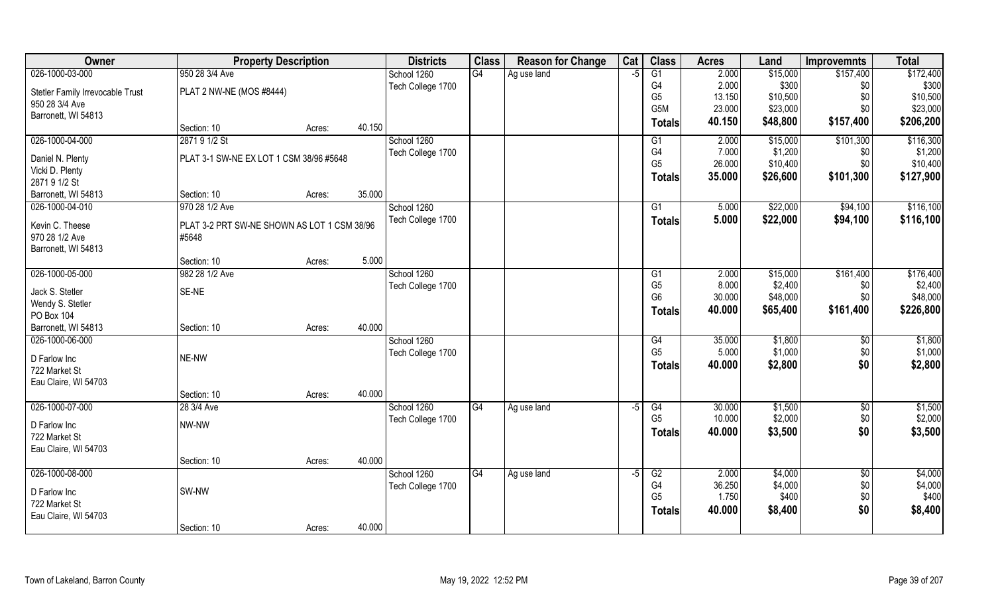| Owner                                 | <b>Property Description</b>                 | <b>Districts</b> | <b>Class</b>      | <b>Reason for Change</b> | Cat         | <b>Class</b> | <b>Acres</b>     | Land            | <b>Improvemnts</b> | <b>Total</b>        |                    |
|---------------------------------------|---------------------------------------------|------------------|-------------------|--------------------------|-------------|--------------|------------------|-----------------|--------------------|---------------------|--------------------|
| 026-1000-03-000                       | 950 28 3/4 Ave                              |                  | School 1260       | G4                       | Ag use land | $-5$         | $\overline{G1}$  | 2.000           | \$15,000           | \$157,400           | \$172,400          |
| Stetler Family Irrevocable Trust      | PLAT 2 NW-NE (MOS #8444)                    |                  | Tech College 1700 |                          |             |              | G4               | 2.000           | \$300              | \$0                 | \$300              |
| 950 28 3/4 Ave                        |                                             |                  |                   |                          |             |              | G <sub>5</sub>   | 13.150          | \$10,500           | \$0                 | \$10,500           |
| Barronett, WI 54813                   |                                             |                  |                   |                          |             |              | G <sub>5</sub> M | 23.000          | \$23,000           | \$0                 | \$23,000           |
|                                       | Section: 10<br>Acres:                       | 40.150           |                   |                          |             |              | <b>Totals</b>    | 40.150          | \$48,800           | \$157,400           | \$206,200          |
| 026-1000-04-000                       | 2871 9 1/2 St                               |                  | School 1260       |                          |             |              | G1               | 2.000           | \$15,000           | \$101,300           | \$116,300          |
| Daniel N. Plenty                      | PLAT 3-1 SW-NE EX LOT 1 CSM 38/96 #5648     |                  | Tech College 1700 |                          |             |              | G4               | 7.000           | \$1,200            | \$0                 | \$1,200            |
| Vicki D. Plenty                       |                                             |                  |                   |                          |             |              | G <sub>5</sub>   | 26.000          | \$10,400           | \$0                 | \$10,400           |
| 2871 9 1/2 St                         |                                             |                  |                   |                          |             |              | <b>Totals</b>    | 35.000          | \$26,600           | \$101,300           | \$127,900          |
| Barronett, WI 54813                   | Section: 10<br>Acres:                       | 35.000           |                   |                          |             |              |                  |                 |                    |                     |                    |
| 026-1000-04-010                       | 970 28 1/2 Ave                              |                  | School 1260       |                          |             |              | G <sub>1</sub>   | 5.000           | \$22,000           | \$94,100            | \$116,100          |
| Kevin C. Theese                       | PLAT 3-2 PRT SW-NE SHOWN AS LOT 1 CSM 38/96 |                  | Tech College 1700 |                          |             |              | <b>Totals</b>    | 5.000           | \$22,000           | \$94,100            | \$116,100          |
| 970 28 1/2 Ave                        | #5648                                       |                  |                   |                          |             |              |                  |                 |                    |                     |                    |
| Barronett, WI 54813                   |                                             |                  |                   |                          |             |              |                  |                 |                    |                     |                    |
|                                       | Section: 10<br>Acres:                       | 5.000            |                   |                          |             |              |                  |                 |                    |                     |                    |
| 026-1000-05-000                       | 982 28 1/2 Ave                              |                  | School 1260       |                          |             |              | G <sub>1</sub>   | 2.000           | \$15,000           | \$161,400           | \$176,400          |
| Jack S. Stetler                       | SE-NE                                       |                  | Tech College 1700 |                          |             |              | G <sub>5</sub>   | 8.000           | \$2,400            | \$0                 | \$2,400            |
| Wendy S. Stetler                      |                                             |                  |                   |                          |             |              | G <sub>6</sub>   | 30.000          | \$48,000           | \$0                 | \$48,000           |
| PO Box 104                            |                                             |                  |                   |                          |             |              | <b>Totals</b>    | 40.000          | \$65,400           | \$161,400           | \$226,800          |
| Barronett, WI 54813                   | Section: 10<br>Acres:                       | 40.000           |                   |                          |             |              |                  |                 |                    |                     |                    |
| 026-1000-06-000                       |                                             |                  | School 1260       |                          |             |              | G4               | 35.000          | \$1,800            | $\sqrt[6]{30}$      | \$1,800            |
|                                       |                                             |                  | Tech College 1700 |                          |             |              | G <sub>5</sub>   | 5.000           | \$1,000            | \$0                 | \$1,000            |
| D Farlow Inc                          | NE-NW                                       |                  |                   |                          |             |              | <b>Totals</b>    | 40.000          | \$2,800            | \$0                 | \$2,800            |
| 722 Market St<br>Eau Claire, WI 54703 |                                             |                  |                   |                          |             |              |                  |                 |                    |                     |                    |
|                                       | Section: 10<br>Acres:                       | 40.000           |                   |                          |             |              |                  |                 |                    |                     |                    |
| 026-1000-07-000                       | 28 3/4 Ave                                  |                  | School 1260       | G4                       | Ag use land | -5           | G4               | 30.000          | \$1,500            | \$0                 | \$1,500            |
|                                       |                                             |                  | Tech College 1700 |                          |             |              | G <sub>5</sub>   | 10.000          | \$2,000            | \$0                 | \$2,000            |
| D Farlow Inc                          | NW-NW                                       |                  |                   |                          |             |              | <b>Totals</b>    | 40.000          | \$3,500            | \$0                 | \$3,500            |
| 722 Market St                         |                                             |                  |                   |                          |             |              |                  |                 |                    |                     |                    |
| Eau Claire, WI 54703                  |                                             |                  |                   |                          |             |              |                  |                 |                    |                     |                    |
|                                       | Section: 10<br>Acres:                       | 40.000           |                   |                          |             |              |                  |                 |                    |                     |                    |
| 026-1000-08-000                       |                                             |                  | School 1260       | G4                       | Ag use land | $-5$         | G2<br>G4         | 2.000<br>36.250 | \$4,000<br>\$4,000 | $\sqrt[6]{}$<br>\$0 | \$4,000<br>\$4,000 |
| D Farlow Inc                          | SW-NW                                       |                  | Tech College 1700 |                          |             |              | G <sub>5</sub>   | 1.750           | \$400              | \$0                 | \$400              |
| 722 Market St                         |                                             |                  |                   |                          |             |              | Totals           | 40.000          | \$8,400            | \$0                 | \$8,400            |
| Eau Claire, WI 54703                  |                                             |                  |                   |                          |             |              |                  |                 |                    |                     |                    |
|                                       | Section: 10<br>Acres:                       | 40.000           |                   |                          |             |              |                  |                 |                    |                     |                    |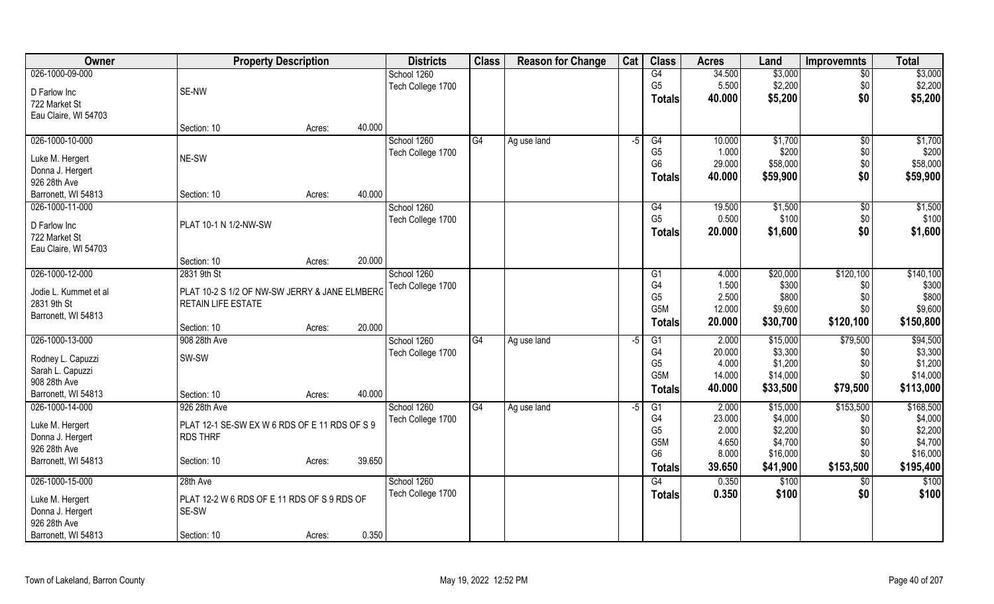| Owner                 | <b>Property Description</b>                   |        | <b>Districts</b> | <b>Class</b>      | <b>Reason for Change</b> | Cat         | <b>Class</b> | <b>Acres</b>         | Land   | <b>Improvemnts</b> | <b>Total</b>    |           |
|-----------------------|-----------------------------------------------|--------|------------------|-------------------|--------------------------|-------------|--------------|----------------------|--------|--------------------|-----------------|-----------|
| 026-1000-09-000       |                                               |        |                  | School 1260       |                          |             |              | G4                   | 34.500 | \$3,000            | $\overline{50}$ | \$3,000   |
| D Farlow Inc          | SE-NW                                         |        |                  | Tech College 1700 |                          |             |              | G <sub>5</sub>       | 5.500  | \$2,200            | \$0             | \$2,200   |
| 722 Market St         |                                               |        |                  |                   |                          |             |              | <b>Totals</b>        | 40.000 | \$5,200            | \$0             | \$5,200   |
| Eau Claire, WI 54703  |                                               |        |                  |                   |                          |             |              |                      |        |                    |                 |           |
|                       | Section: 10                                   | Acres: | 40.000           |                   |                          |             |              |                      |        |                    |                 |           |
| 026-1000-10-000       |                                               |        |                  | School 1260       | G4                       | Ag use land | $-5$         | G4                   | 10.000 | \$1,700            | $\sqrt{6}$      | \$1,700   |
|                       |                                               |        |                  | Tech College 1700 |                          |             |              | G <sub>5</sub>       | 1.000  | \$200              | \$0             | \$200     |
| Luke M. Hergert       | NE-SW                                         |        |                  |                   |                          |             |              | G <sub>6</sub>       | 29.000 | \$58,000           | \$0             | \$58,000  |
| Donna J. Hergert      |                                               |        |                  |                   |                          |             |              | <b>Totals</b>        | 40.000 | \$59,900           | \$0             | \$59,900  |
| 926 28th Ave          |                                               |        |                  |                   |                          |             |              |                      |        |                    |                 |           |
| Barronett, WI 54813   | Section: 10                                   | Acres: | 40.000           |                   |                          |             |              |                      |        |                    |                 |           |
| 026-1000-11-000       |                                               |        |                  | School 1260       |                          |             |              | G4                   | 19.500 | \$1,500            | \$0             | \$1,500   |
| D Farlow Inc          | PLAT 10-1 N 1/2-NW-SW                         |        |                  | Tech College 1700 |                          |             |              | G <sub>5</sub>       | 0.500  | \$100              | \$0             | \$100     |
| 722 Market St         |                                               |        |                  |                   |                          |             |              | <b>Totals</b>        | 20.000 | \$1,600            | \$0             | \$1,600   |
| Eau Claire, WI 54703  |                                               |        |                  |                   |                          |             |              |                      |        |                    |                 |           |
|                       | Section: 10                                   | Acres: | 20.000           |                   |                          |             |              |                      |        |                    |                 |           |
| 026-1000-12-000       | 2831 9th St                                   |        |                  | School 1260       |                          |             |              | G1                   | 4.000  | \$20,000           | \$120,100       | \$140,100 |
|                       |                                               |        |                  | Tech College 1700 |                          |             |              | G4                   | 1.500  | \$300              | \$0             | \$300     |
| Jodie L. Kummet et al | PLAT 10-2 S 1/2 OF NW-SW JERRY & JANE ELMBERG |        |                  |                   |                          |             |              | G <sub>5</sub>       | 2.500  | \$800              | \$0             | \$800     |
| 2831 9th St           | RETAIN LIFE ESTATE                            |        |                  |                   |                          |             |              | G <sub>5</sub> M     | 12.000 | \$9,600            | \$0             | \$9,600   |
| Barronett, WI 54813   |                                               |        |                  |                   |                          |             |              |                      | 20.000 |                    |                 | \$150,800 |
|                       | Section: 10                                   | Acres: | 20.000           |                   |                          |             |              | <b>Totals</b>        |        | \$30,700           | \$120,100       |           |
| 026-1000-13-000       | 908 28th Ave                                  |        |                  | School 1260       | G4                       | Ag use land | -5           | G1                   | 2.000  | \$15,000           | \$79,500        | \$94,500  |
| Rodney L. Capuzzi     | SW-SW                                         |        |                  | Tech College 1700 |                          |             |              | G4                   | 20.000 | \$3,300            | \$0             | \$3,300   |
| Sarah L. Capuzzi      |                                               |        |                  |                   |                          |             |              | G <sub>5</sub>       | 4.000  | \$1,200            | \$0             | \$1,200   |
| 908 28th Ave          |                                               |        |                  |                   |                          |             |              | G <sub>5</sub> M     | 14.000 | \$14,000           | \$0             | \$14,000  |
| Barronett, WI 54813   | Section: 10                                   | Acres: | 40.000           |                   |                          |             |              | <b>Totals</b>        | 40.000 | \$33,500           | \$79,500        | \$113,000 |
| 026-1000-14-000       | 926 28th Ave                                  |        |                  | School 1260       | G4                       |             | $-5$         |                      | 2.000  | \$15,000           | \$153,500       | \$168,500 |
|                       |                                               |        |                  |                   |                          | Ag use land |              | G1<br>G <sub>4</sub> | 23.000 | \$4,000            |                 | \$4,000   |
| Luke M. Hergert       | PLAT 12-1 SE-SW EX W 6 RDS OF E 11 RDS OF S 9 |        |                  | Tech College 1700 |                          |             |              | G <sub>5</sub>       | 2.000  | \$2,200            | \$0<br>\$0      | \$2,200   |
| Donna J. Hergert      | <b>RDS THRF</b>                               |        |                  |                   |                          |             |              | G <sub>5</sub> M     | 4.650  | \$4,700            | \$0             | \$4,700   |
| 926 28th Ave          |                                               |        |                  |                   |                          |             |              | G <sub>6</sub>       | 8.000  | \$16,000           | \$0             | \$16,000  |
| Barronett, WI 54813   | Section: 10                                   | Acres: | 39.650           |                   |                          |             |              |                      |        |                    |                 |           |
|                       |                                               |        |                  |                   |                          |             |              | <b>Totals</b>        | 39.650 | \$41,900           | \$153,500       | \$195,400 |
| 026-1000-15-000       | 28th Ave                                      |        |                  | School 1260       |                          |             |              | G4                   | 0.350  | \$100              | \$0             | \$100     |
| Luke M. Hergert       | PLAT 12-2 W 6 RDS OF E 11 RDS OF S 9 RDS OF   |        |                  | Tech College 1700 |                          |             |              | <b>Totals</b>        | 0.350  | \$100              | \$0             | \$100     |
| Donna J. Hergert      | SE-SW                                         |        |                  |                   |                          |             |              |                      |        |                    |                 |           |
| 926 28th Ave          |                                               |        |                  |                   |                          |             |              |                      |        |                    |                 |           |
| Barronett, WI 54813   | Section: 10                                   | Acres: | 0.350            |                   |                          |             |              |                      |        |                    |                 |           |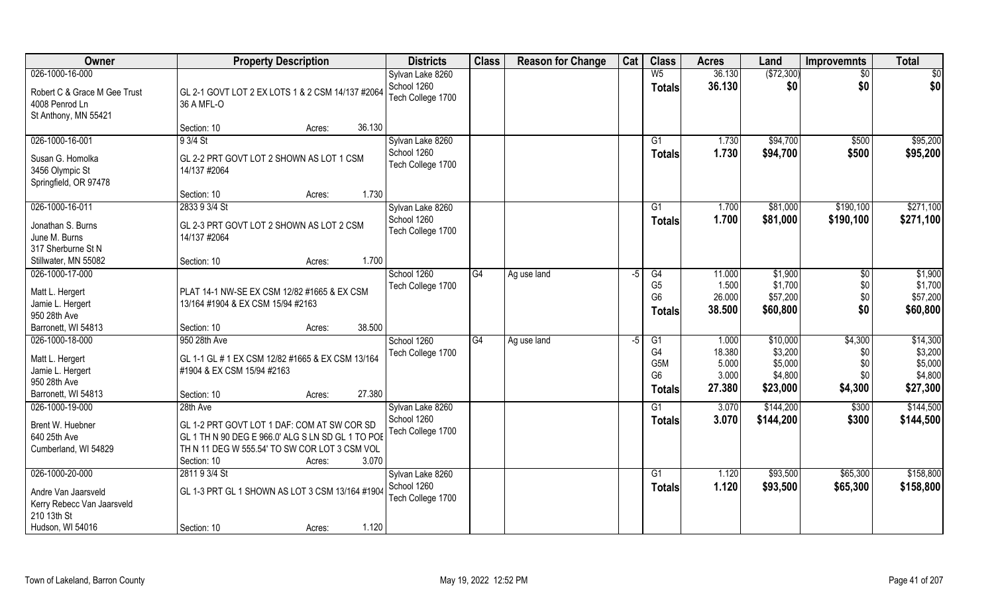| Owner                                                                      | <b>Property Description</b>                                                                                                                                                         | <b>Districts</b>                 | <b>Class</b>    | <b>Reason for Change</b> | Cat | <b>Class</b>                                              | <b>Acres</b>                       | Land                                      | <b>Improvemnts</b>             | <b>Total</b>                              |
|----------------------------------------------------------------------------|-------------------------------------------------------------------------------------------------------------------------------------------------------------------------------------|----------------------------------|-----------------|--------------------------|-----|-----------------------------------------------------------|------------------------------------|-------------------------------------------|--------------------------------|-------------------------------------------|
| 026-1000-16-000                                                            |                                                                                                                                                                                     | Sylvan Lake 8260                 |                 |                          |     | W <sub>5</sub>                                            | 36.130                             | (\$72,300)                                | $\sqrt{$0}$                    | $\overline{50}$                           |
| Robert C & Grace M Gee Trust<br>4008 Penrod Ln<br>St Anthony, MN 55421     | GL 2-1 GOVT LOT 2 EX LOTS 1 & 2 CSM 14/137 #2064<br>36 A MFL-O                                                                                                                      | School 1260<br>Tech College 1700 |                 |                          |     | <b>Totals</b>                                             | 36.130                             | \$0                                       | \$0                            | \$0                                       |
|                                                                            | 36.130<br>Section: 10<br>Acres:                                                                                                                                                     |                                  |                 |                          |     |                                                           |                                    |                                           |                                |                                           |
| 026-1000-16-001                                                            | 9 3/4 St                                                                                                                                                                            | Sylvan Lake 8260                 |                 |                          |     | $\overline{G1}$                                           | 1.730                              | \$94,700                                  | \$500                          | \$95,200                                  |
| Susan G. Homolka<br>3456 Olympic St<br>Springfield, OR 97478               | GL 2-2 PRT GOVT LOT 2 SHOWN AS LOT 1 CSM<br>14/137 #2064                                                                                                                            | School 1260<br>Tech College 1700 |                 |                          |     | Totals                                                    | 1.730                              | \$94,700                                  | \$500                          | \$95,200                                  |
|                                                                            | 1.730<br>Section: 10<br>Acres:                                                                                                                                                      |                                  |                 |                          |     |                                                           |                                    |                                           |                                |                                           |
| 026-1000-16-011                                                            | 2833 9 3/4 St                                                                                                                                                                       | Sylvan Lake 8260                 |                 |                          |     | G1                                                        | 1.700                              | \$81,000                                  | \$190,100                      | \$271,100                                 |
| Jonathan S. Burns<br>June M. Burns<br>317 Sherburne St N                   | GL 2-3 PRT GOVT LOT 2 SHOWN AS LOT 2 CSM<br>14/137 #2064                                                                                                                            | School 1260<br>Tech College 1700 |                 |                          |     | <b>Totals</b>                                             | 1.700                              | \$81,000                                  | \$190,100                      | \$271,100                                 |
| Stillwater, MN 55082                                                       | 1.700<br>Section: 10<br>Acres:                                                                                                                                                      |                                  |                 |                          |     |                                                           |                                    |                                           |                                |                                           |
| 026-1000-17-000                                                            |                                                                                                                                                                                     | School 1260                      | G4              | Ag use land              | -5  | G4                                                        | 11.000                             | \$1,900                                   | $\sqrt[6]{30}$                 | \$1,900                                   |
| Matt L. Hergert<br>Jamie L. Hergert<br>950 28th Ave                        | PLAT 14-1 NW-SE EX CSM 12/82 #1665 & EX CSM<br>13/164 #1904 & EX CSM 15/94 #2163                                                                                                    | Tech College 1700                |                 |                          |     | G <sub>5</sub><br>G <sub>6</sub><br><b>Totals</b>         | 1.500<br>26.000<br>38.500          | \$1,700<br>\$57,200<br>\$60,800           | \$0<br>\$0<br>\$0              | \$1,700<br>\$57,200<br>\$60,800           |
| Barronett, WI 54813                                                        | 38.500<br>Section: 10<br>Acres:                                                                                                                                                     |                                  |                 |                          |     |                                                           |                                    |                                           |                                |                                           |
| 026-1000-18-000                                                            | 950 28th Ave                                                                                                                                                                        | School 1260                      | $\overline{G4}$ | Ag use land              | -5  | $\overline{G1}$                                           | 1.000                              | \$10,000                                  | \$4,300                        | \$14,300                                  |
| Matt L. Hergert<br>Jamie L. Hergert<br>950 28th Ave<br>Barronett, WI 54813 | GL 1-1 GL # 1 EX CSM 12/82 #1665 & EX CSM 13/164<br>#1904 & EX CSM 15/94 #2163<br>27.380<br>Section: 10<br>Acres:                                                                   | Tech College 1700                |                 |                          |     | G4<br>G <sub>5</sub> M<br>G <sub>6</sub><br><b>Totals</b> | 18.380<br>5.000<br>3.000<br>27.380 | \$3,200<br>\$5,000<br>\$4,800<br>\$23,000 | \$0<br>\$0<br>\$0\$<br>\$4,300 | \$3,200<br>\$5,000<br>\$4,800<br>\$27,300 |
| 026-1000-19-000                                                            | 28th Ave                                                                                                                                                                            | Sylvan Lake 8260                 |                 |                          |     | G1                                                        | 3.070                              | \$144,200                                 | \$300                          | \$144,500                                 |
| Brent W. Huebner<br>640 25th Ave<br>Cumberland, WI 54829                   | GL 1-2 PRT GOVT LOT 1 DAF: COM AT SW COR SD<br>GL 1 TH N 90 DEG E 966.0' ALG S LN SD GL 1 TO POE<br>TH N 11 DEG W 555.54' TO SW COR LOT 3 CSM VOL<br>3.070<br>Section: 10<br>Acres: | School 1260<br>Tech College 1700 |                 |                          |     | <b>Totals</b>                                             | 3.070                              | \$144,200                                 | \$300                          | \$144,500                                 |
| 026-1000-20-000                                                            | 2811 9 3/4 St                                                                                                                                                                       | Sylvan Lake 8260                 |                 |                          |     | G1                                                        | 1.120                              | \$93,500                                  | \$65,300                       | \$158,800                                 |
| Andre Van Jaarsveld<br>Kerry Rebecc Van Jaarsveld<br>210 13th St           | GL 1-3 PRT GL 1 SHOWN AS LOT 3 CSM 13/164 #1904                                                                                                                                     | School 1260<br>Tech College 1700 |                 |                          |     | <b>Totals</b>                                             | 1.120                              | \$93,500                                  | \$65,300                       | \$158,800                                 |
| Hudson, WI 54016                                                           | 1.120<br>Section: 10<br>Acres:                                                                                                                                                      |                                  |                 |                          |     |                                                           |                                    |                                           |                                |                                           |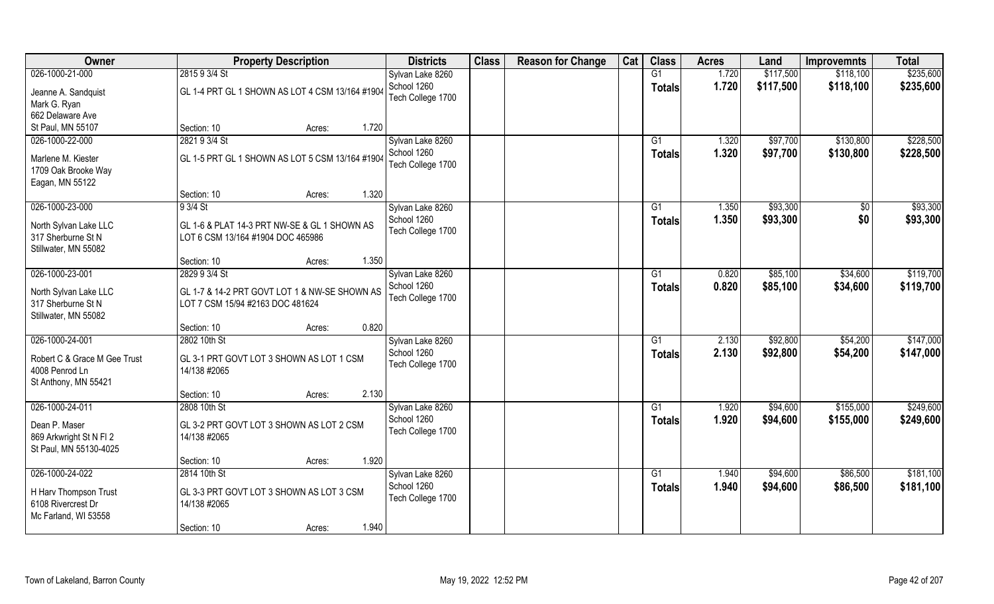| Owner                                       | <b>Property Description</b>                                                       | <b>Districts</b>  | <b>Class</b> | <b>Reason for Change</b> | Cat | <b>Class</b>  | <b>Acres</b> | Land      | <b>Improvemnts</b> | <b>Total</b> |
|---------------------------------------------|-----------------------------------------------------------------------------------|-------------------|--------------|--------------------------|-----|---------------|--------------|-----------|--------------------|--------------|
| 026-1000-21-000                             | 2815 9 3/4 St                                                                     | Sylvan Lake 8260  |              |                          |     | G1            | 1.720        | \$117,500 | \$118,100          | \$235,600    |
| Jeanne A. Sandquist                         | GL 1-4 PRT GL 1 SHOWN AS LOT 4 CSM 13/164 #1904                                   | School 1260       |              |                          |     | <b>Totals</b> | 1.720        | \$117,500 | \$118,100          | \$235,600    |
| Mark G. Ryan                                |                                                                                   | Tech College 1700 |              |                          |     |               |              |           |                    |              |
| 662 Delaware Ave                            |                                                                                   |                   |              |                          |     |               |              |           |                    |              |
| St Paul, MN 55107                           | 1.720<br>Section: 10<br>Acres:                                                    |                   |              |                          |     |               |              |           |                    |              |
| 026-1000-22-000                             | 2821 9 3/4 St                                                                     | Sylvan Lake 8260  |              |                          |     | G1            | 1.320        | \$97,700  | \$130,800          | \$228,500    |
|                                             |                                                                                   | School 1260       |              |                          |     | <b>Totals</b> | 1.320        | \$97,700  | \$130,800          | \$228,500    |
| Marlene M. Kiester                          | GL 1-5 PRT GL 1 SHOWN AS LOT 5 CSM 13/164 #1904                                   | Tech College 1700 |              |                          |     |               |              |           |                    |              |
| 1709 Oak Brooke Way                         |                                                                                   |                   |              |                          |     |               |              |           |                    |              |
| Eagan, MN 55122                             |                                                                                   |                   |              |                          |     |               |              |           |                    |              |
|                                             | 1.320<br>Section: 10<br>Acres:                                                    |                   |              |                          |     |               |              |           |                    |              |
| 026-1000-23-000                             | $93/4$ St                                                                         | Sylvan Lake 8260  |              |                          |     | G1            | 1.350        | \$93,300  | \$0                | \$93,300     |
| North Sylvan Lake LLC                       | GL 1-6 & PLAT 14-3 PRT NW-SE & GL 1 SHOWN AS                                      | School 1260       |              |                          |     | <b>Totals</b> | 1.350        | \$93,300  | \$0                | \$93,300     |
| 317 Sherburne St N                          | LOT 6 CSM 13/164 #1904 DOC 465986                                                 | Tech College 1700 |              |                          |     |               |              |           |                    |              |
| Stillwater, MN 55082                        |                                                                                   |                   |              |                          |     |               |              |           |                    |              |
|                                             | 1.350<br>Section: 10<br>Acres:                                                    |                   |              |                          |     |               |              |           |                    |              |
| 026-1000-23-001                             | 2829 9 3/4 St                                                                     | Sylvan Lake 8260  |              |                          |     | G1            | 0.820        | \$85,100  | \$34,600           | \$119,700    |
|                                             |                                                                                   | School 1260       |              |                          |     | <b>Totals</b> | 0.820        | \$85,100  | \$34,600           | \$119,700    |
| North Sylvan Lake LLC<br>317 Sherburne St N | GL 1-7 & 14-2 PRT GOVT LOT 1 & NW-SE SHOWN AS<br>LOT 7 CSM 15/94 #2163 DOC 481624 | Tech College 1700 |              |                          |     |               |              |           |                    |              |
| Stillwater, MN 55082                        |                                                                                   |                   |              |                          |     |               |              |           |                    |              |
|                                             | 0.820<br>Section: 10<br>Acres:                                                    |                   |              |                          |     |               |              |           |                    |              |
| 026-1000-24-001                             | 2802 10th St                                                                      | Sylvan Lake 8260  |              |                          |     | G1            | 2.130        | \$92,800  | \$54,200           | \$147,000    |
|                                             |                                                                                   | School 1260       |              |                          |     |               | 2.130        | \$92,800  | \$54,200           |              |
| Robert C & Grace M Gee Trust                | GL 3-1 PRT GOVT LOT 3 SHOWN AS LOT 1 CSM                                          | Tech College 1700 |              |                          |     | <b>Totals</b> |              |           |                    | \$147,000    |
| 4008 Penrod Ln                              | 14/138 #2065                                                                      |                   |              |                          |     |               |              |           |                    |              |
| St Anthony, MN 55421                        |                                                                                   |                   |              |                          |     |               |              |           |                    |              |
|                                             | 2.130<br>Section: 10<br>Acres:                                                    |                   |              |                          |     |               |              |           |                    |              |
| 026-1000-24-011                             | 2808 10th St                                                                      | Sylvan Lake 8260  |              |                          |     | G1            | 1.920        | \$94,600  | \$155,000          | \$249,600    |
| Dean P. Maser                               | GL 3-2 PRT GOVT LOT 3 SHOWN AS LOT 2 CSM                                          | School 1260       |              |                          |     | <b>Totals</b> | 1.920        | \$94,600  | \$155,000          | \$249,600    |
| 869 Arkwright St N FI 2                     | 14/138 #2065                                                                      | Tech College 1700 |              |                          |     |               |              |           |                    |              |
| St Paul, MN 55130-4025                      |                                                                                   |                   |              |                          |     |               |              |           |                    |              |
|                                             | 1.920<br>Section: 10<br>Acres:                                                    |                   |              |                          |     |               |              |           |                    |              |
| 026-1000-24-022                             | 2814 10th St                                                                      | Sylvan Lake 8260  |              |                          |     | G1            | 1.940        | \$94,600  | \$86,500           | \$181,100    |
|                                             |                                                                                   | School 1260       |              |                          |     | Totals        | 1.940        | \$94,600  | \$86,500           | \$181,100    |
| H Harv Thompson Trust                       | GL 3-3 PRT GOVT LOT 3 SHOWN AS LOT 3 CSM                                          | Tech College 1700 |              |                          |     |               |              |           |                    |              |
| 6108 Rivercrest Dr                          | 14/138 #2065                                                                      |                   |              |                          |     |               |              |           |                    |              |
| Mc Farland, WI 53558                        |                                                                                   |                   |              |                          |     |               |              |           |                    |              |
|                                             | 1.940<br>Section: 10<br>Acres:                                                    |                   |              |                          |     |               |              |           |                    |              |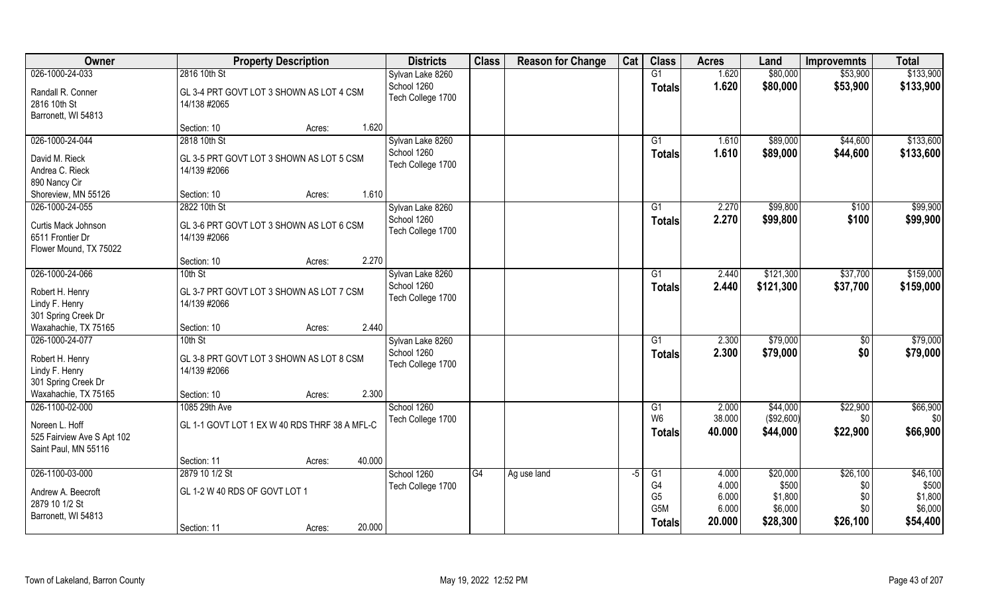| Owner                                                                | <b>Property Description</b>                              | <b>Districts</b>                 | <b>Class</b> | <b>Reason for Change</b> | Cat  | <b>Class</b>                                              | <b>Acres</b>                      | Land                                    | <b>Improvemnts</b>            | <b>Total</b>                            |
|----------------------------------------------------------------------|----------------------------------------------------------|----------------------------------|--------------|--------------------------|------|-----------------------------------------------------------|-----------------------------------|-----------------------------------------|-------------------------------|-----------------------------------------|
| 026-1000-24-033                                                      | 2816 10th St                                             | Sylvan Lake 8260                 |              |                          |      | G1                                                        | 1.620                             | \$80,000                                | \$53,900                      | \$133,900                               |
| Randall R. Conner<br>2816 10th St<br>Barronett, WI 54813             | GL 3-4 PRT GOVT LOT 3 SHOWN AS LOT 4 CSM<br>14/138 #2065 | School 1260<br>Tech College 1700 |              |                          |      | <b>Totals</b>                                             | 1.620                             | \$80,000                                | \$53,900                      | \$133,900                               |
|                                                                      | 1.620<br>Section: 10<br>Acres:                           |                                  |              |                          |      |                                                           |                                   |                                         |                               |                                         |
| 026-1000-24-044                                                      | 2818 10th St                                             | Sylvan Lake 8260<br>School 1260  |              |                          |      | $\overline{G1}$                                           | 1.610                             | \$89,000                                | \$44,600                      | \$133,600                               |
| David M. Rieck<br>Andrea C. Rieck<br>890 Nancy Cir                   | GL 3-5 PRT GOVT LOT 3 SHOWN AS LOT 5 CSM<br>14/139 #2066 | Tech College 1700                |              |                          |      | Totals                                                    | 1.610                             | \$89,000                                | \$44,600                      | \$133,600                               |
| Shoreview, MN 55126                                                  | 1.610<br>Section: 10<br>Acres:                           |                                  |              |                          |      |                                                           |                                   |                                         |                               |                                         |
| 026-1000-24-055                                                      | 2822 10th St                                             | Sylvan Lake 8260                 |              |                          |      | G1                                                        | 2.270                             | \$99,800                                | \$100                         | \$99,900                                |
| Curtis Mack Johnson<br>6511 Frontier Dr<br>Flower Mound, TX 75022    | GL 3-6 PRT GOVT LOT 3 SHOWN AS LOT 6 CSM<br>14/139 #2066 | School 1260<br>Tech College 1700 |              |                          |      | <b>Totals</b>                                             | 2.270                             | \$99,800                                | \$100                         | \$99,900                                |
|                                                                      | 2.270<br>Section: 10<br>Acres:                           |                                  |              |                          |      |                                                           |                                   |                                         |                               |                                         |
| 026-1000-24-066                                                      | 10th St                                                  | Sylvan Lake 8260                 |              |                          |      | G1                                                        | 2.440                             | \$121,300                               | \$37,700                      | \$159,000                               |
| Robert H. Henry<br>Lindy F. Henry<br>301 Spring Creek Dr             | GL 3-7 PRT GOVT LOT 3 SHOWN AS LOT 7 CSM<br>14/139 #2066 | School 1260<br>Tech College 1700 |              |                          |      | <b>Totals</b>                                             | 2.440                             | \$121,300                               | \$37,700                      | \$159,000                               |
| Waxahachie, TX 75165                                                 | 2.440<br>Section: 10<br>Acres:                           |                                  |              |                          |      |                                                           |                                   |                                         |                               |                                         |
| 026-1000-24-077                                                      | 10th St                                                  | Sylvan Lake 8260                 |              |                          |      | $\overline{G1}$                                           | 2.300                             | \$79,000                                | $\sqrt[6]{30}$                | \$79,000                                |
| Robert H. Henry<br>Lindy F. Henry<br>301 Spring Creek Dr             | GL 3-8 PRT GOVT LOT 3 SHOWN AS LOT 8 CSM<br>14/139 #2066 | School 1260<br>Tech College 1700 |              |                          |      | Totals                                                    | 2.300                             | \$79,000                                | \$0                           | \$79,000                                |
| Waxahachie, TX 75165                                                 | 2.300<br>Section: 10<br>Acres:                           |                                  |              |                          |      |                                                           |                                   |                                         |                               |                                         |
| 026-1100-02-000                                                      | 1085 29th Ave                                            | School 1260                      |              |                          |      | G1                                                        | 2.000                             | \$44,000                                | \$22,900                      | \$66,900                                |
| Noreen L. Hoff<br>525 Fairview Ave S Apt 102<br>Saint Paul, MN 55116 | GL 1-1 GOVT LOT 1 EX W 40 RDS THRF 38 A MFL-C            | Tech College 1700                |              |                          |      | W <sub>6</sub><br><b>Totals</b>                           | 38.000<br>40.000                  | (\$92,600)<br>\$44,000                  | \$0<br>\$22,900               | \$0<br>\$66,900                         |
|                                                                      | 40.000<br>Section: 11<br>Acres:                          |                                  |              |                          |      |                                                           |                                   |                                         |                               |                                         |
| 026-1100-03-000                                                      | 2879 10 1/2 St                                           | School 1260                      | G4           | Ag use land              | $-5$ | G1                                                        | 4.000                             | \$20,000                                | \$26,100                      | \$46,100                                |
| Andrew A. Beecroft<br>2879 10 1/2 St<br>Barronett, WI 54813          | GL 1-2 W 40 RDS OF GOVT LOT 1                            | Tech College 1700                |              |                          |      | G4<br>G <sub>5</sub><br>G <sub>5</sub> M<br><b>Totals</b> | 4.000<br>6.000<br>6.000<br>20.000 | \$500<br>\$1,800<br>\$6,000<br>\$28,300 | \$0<br>\$0<br>\$0<br>\$26,100 | \$500<br>\$1,800<br>\$6,000<br>\$54,400 |
|                                                                      | 20.000<br>Section: 11<br>Acres:                          |                                  |              |                          |      |                                                           |                                   |                                         |                               |                                         |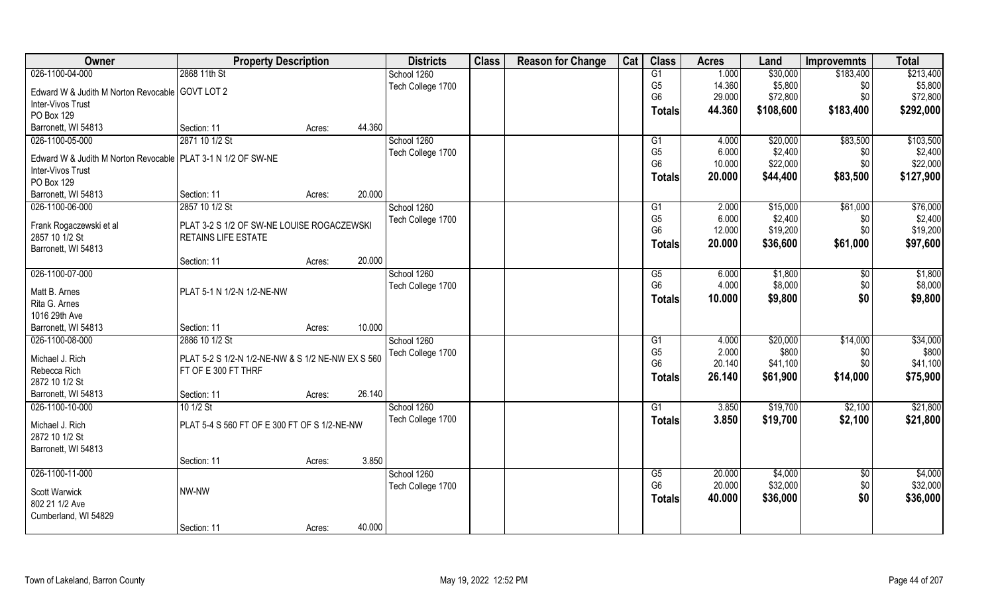| Owner                                                          | <b>Property Description</b>                       |        |        | <b>Districts</b>  | <b>Class</b> | <b>Reason for Change</b> | Cat | <b>Class</b>   | <b>Acres</b> | Land      | <b>Improvemnts</b> | <b>Total</b> |
|----------------------------------------------------------------|---------------------------------------------------|--------|--------|-------------------|--------------|--------------------------|-----|----------------|--------------|-----------|--------------------|--------------|
| 026-1100-04-000                                                | 2868 11th St                                      |        |        | School 1260       |              |                          |     | G1             | 1.000        | \$30,000  | \$183,400          | \$213,400    |
| Edward W & Judith M Norton Revocable GOVT LOT 2                |                                                   |        |        | Tech College 1700 |              |                          |     | G <sub>5</sub> | 14.360       | \$5,800   | \$0                | \$5,800      |
| Inter-Vivos Trust                                              |                                                   |        |        |                   |              |                          |     | G <sub>6</sub> | 29.000       | \$72,800  | \$0                | \$72,800     |
| PO Box 129                                                     |                                                   |        |        |                   |              |                          |     | <b>Totals</b>  | 44.360       | \$108,600 | \$183,400          | \$292,000    |
| Barronett, WI 54813                                            | Section: 11                                       | Acres: | 44.360 |                   |              |                          |     |                |              |           |                    |              |
| 026-1100-05-000                                                | 2871 10 1/2 St                                    |        |        | School 1260       |              |                          |     | G1             | 4.000        | \$20,000  | \$83,500           | \$103,500    |
|                                                                |                                                   |        |        | Tech College 1700 |              |                          |     | G <sub>5</sub> | 6.000        | \$2,400   | \$0                | \$2,400      |
| Edward W & Judith M Norton Revocable   PLAT 3-1 N 1/2 OF SW-NE |                                                   |        |        |                   |              |                          |     | G <sub>6</sub> | 10.000       | \$22,000  | \$0                | \$22,000     |
| Inter-Vivos Trust                                              |                                                   |        |        |                   |              |                          |     | <b>Totals</b>  | 20.000       | \$44,400  | \$83,500           | \$127,900    |
| PO Box 129                                                     |                                                   |        |        |                   |              |                          |     |                |              |           |                    |              |
| Barronett, WI 54813                                            | Section: 11                                       | Acres: | 20.000 |                   |              |                          |     |                |              |           |                    |              |
| 026-1100-06-000                                                | 2857 10 1/2 St                                    |        |        | School 1260       |              |                          |     | G1             | 2.000        | \$15,000  | \$61,000           | \$76,000     |
| Frank Rogaczewski et al                                        | PLAT 3-2 S 1/2 OF SW-NE LOUISE ROGACZEWSKI        |        |        | Tech College 1700 |              |                          |     | G <sub>5</sub> | 6.000        | \$2,400   | \$0                | \$2,400      |
| 2857 10 1/2 St                                                 | RETAINS LIFE ESTATE                               |        |        |                   |              |                          |     | G <sub>6</sub> | 12.000       | \$19,200  | \$0                | \$19,200     |
| Barronett, WI 54813                                            |                                                   |        |        |                   |              |                          |     | Totals         | 20.000       | \$36,600  | \$61,000           | \$97,600     |
|                                                                | Section: 11                                       | Acres: | 20.000 |                   |              |                          |     |                |              |           |                    |              |
| 026-1100-07-000                                                |                                                   |        |        | School 1260       |              |                          |     | G5             | 6.000        | \$1,800   | \$0                | \$1,800      |
|                                                                |                                                   |        |        | Tech College 1700 |              |                          |     | G <sub>6</sub> | 4.000        | \$8,000   | \$0                | \$8,000      |
| Matt B. Arnes                                                  | PLAT 5-1 N 1/2-N 1/2-NE-NW                        |        |        |                   |              |                          |     | <b>Totals</b>  | 10.000       | \$9,800   | \$0                | \$9,800      |
| Rita G. Arnes                                                  |                                                   |        |        |                   |              |                          |     |                |              |           |                    |              |
| 1016 29th Ave                                                  |                                                   |        |        |                   |              |                          |     |                |              |           |                    |              |
| Barronett, WI 54813                                            | Section: 11                                       | Acres: | 10.000 |                   |              |                          |     |                |              |           |                    |              |
| 026-1100-08-000                                                | 2886 10 1/2 St                                    |        |        | School 1260       |              |                          |     | G1             | 4.000        | \$20,000  | \$14,000           | \$34,000     |
| Michael J. Rich                                                | PLAT 5-2 S 1/2-N 1/2-NE-NW & S 1/2 NE-NW EX S 560 |        |        | Tech College 1700 |              |                          |     | G <sub>5</sub> | 2.000        | \$800     | \$0                | \$800        |
| Rebecca Rich                                                   | FT OF E 300 FT THRF                               |        |        |                   |              |                          |     | G <sub>6</sub> | 20.140       | \$41,100  | \$0                | \$41,100     |
| 2872 10 1/2 St                                                 |                                                   |        |        |                   |              |                          |     | <b>Totals</b>  | 26.140       | \$61,900  | \$14,000           | \$75,900     |
| Barronett, WI 54813                                            | Section: 11                                       | Acres: | 26.140 |                   |              |                          |     |                |              |           |                    |              |
| 026-1100-10-000                                                | 10 1/2 St                                         |        |        | School 1260       |              |                          |     | G1             | 3.850        | \$19,700  | \$2,100            | \$21,800     |
|                                                                |                                                   |        |        | Tech College 1700 |              |                          |     | <b>Totals</b>  | 3.850        | \$19,700  | \$2,100            | \$21,800     |
| Michael J. Rich                                                | PLAT 5-4 S 560 FT OF E 300 FT OF S 1/2-NE-NW      |        |        |                   |              |                          |     |                |              |           |                    |              |
| 2872 10 1/2 St                                                 |                                                   |        |        |                   |              |                          |     |                |              |           |                    |              |
| Barronett, WI 54813                                            |                                                   |        |        |                   |              |                          |     |                |              |           |                    |              |
|                                                                | Section: 11                                       | Acres: | 3.850  |                   |              |                          |     |                |              |           |                    |              |
| 026-1100-11-000                                                |                                                   |        |        | School 1260       |              |                          |     | G5             | 20.000       | \$4,000   | $\sqrt{$0}$        | \$4,000      |
| Scott Warwick                                                  | NW-NW                                             |        |        | Tech College 1700 |              |                          |     | G <sub>6</sub> | 20.000       | \$32,000  | \$0                | \$32,000     |
| 802 21 1/2 Ave                                                 |                                                   |        |        |                   |              |                          |     | <b>Totals</b>  | 40.000       | \$36,000  | \$0                | \$36,000     |
| Cumberland, WI 54829                                           |                                                   |        |        |                   |              |                          |     |                |              |           |                    |              |
|                                                                | Section: 11                                       | Acres: | 40.000 |                   |              |                          |     |                |              |           |                    |              |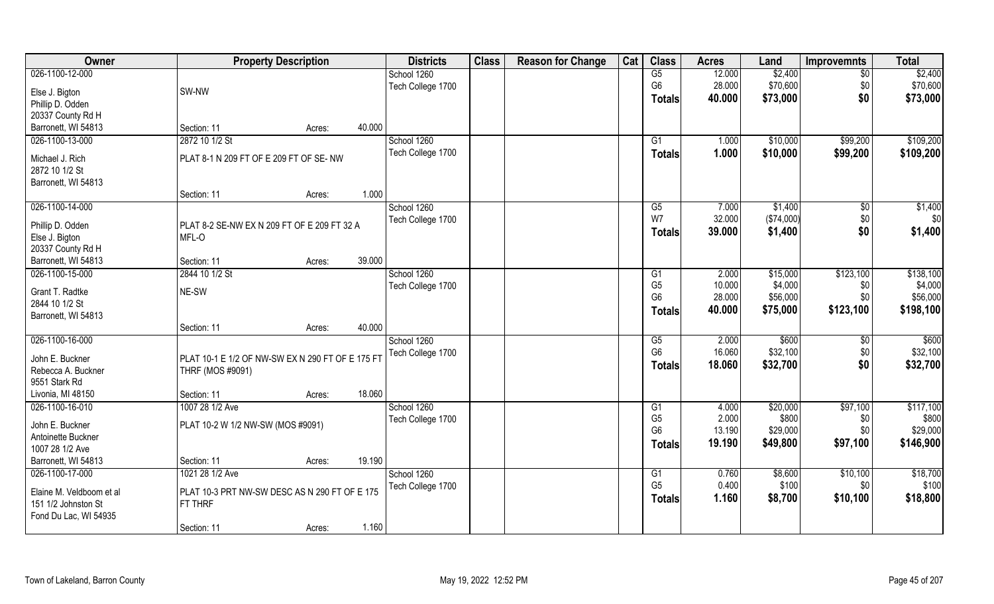| Owner                    |                                                  | <b>Property Description</b> |        | <b>Districts</b>  | <b>Class</b> | <b>Reason for Change</b> | Cat | <b>Class</b>           | <b>Acres</b> | Land       | <b>Improvemnts</b> | <b>Total</b> |
|--------------------------|--------------------------------------------------|-----------------------------|--------|-------------------|--------------|--------------------------|-----|------------------------|--------------|------------|--------------------|--------------|
| 026-1100-12-000          |                                                  |                             |        | School 1260       |              |                          |     | G5                     | 12.000       | \$2,400    | $\sqrt{6}$         | \$2,400      |
| Else J. Bigton           | SW-NW                                            |                             |        | Tech College 1700 |              |                          |     | G <sub>6</sub>         | 28.000       | \$70,600   | \$0                | \$70,600     |
| Phillip D. Odden         |                                                  |                             |        |                   |              |                          |     | Totals                 | 40.000       | \$73,000   | \$0                | \$73,000     |
| 20337 County Rd H        |                                                  |                             |        |                   |              |                          |     |                        |              |            |                    |              |
| Barronett, WI 54813      | Section: 11                                      | Acres:                      | 40.000 |                   |              |                          |     |                        |              |            |                    |              |
| 026-1100-13-000          | 2872 10 1/2 St                                   |                             |        | School 1260       |              |                          |     | $\overline{G1}$        | 1.000        | \$10,000   | \$99,200           | \$109,200    |
|                          |                                                  |                             |        | Tech College 1700 |              |                          |     |                        | 1.000        | \$10,000   | \$99,200           | \$109,200    |
| Michael J. Rich          | PLAT 8-1 N 209 FT OF E 209 FT OF SE-NW           |                             |        |                   |              |                          |     | Totals                 |              |            |                    |              |
| 2872 10 1/2 St           |                                                  |                             |        |                   |              |                          |     |                        |              |            |                    |              |
| Barronett, WI 54813      |                                                  |                             |        |                   |              |                          |     |                        |              |            |                    |              |
|                          | Section: 11                                      | Acres:                      | 1.000  |                   |              |                          |     |                        |              |            |                    |              |
| 026-1100-14-000          |                                                  |                             |        | School 1260       |              |                          |     | $\overline{G5}$        | 7.000        | \$1,400    | \$0                | \$1,400      |
| Phillip D. Odden         | PLAT 8-2 SE-NW EX N 209 FT OF E 209 FT 32 A      |                             |        | Tech College 1700 |              |                          |     | W7                     | 32.000       | (\$74,000) | \$0                | \$0          |
| Else J. Bigton           | MFL-O                                            |                             |        |                   |              |                          |     | Totals                 | 39.000       | \$1,400    | \$0                | \$1,400      |
| 20337 County Rd H        |                                                  |                             |        |                   |              |                          |     |                        |              |            |                    |              |
| Barronett, WI 54813      | Section: 11                                      | Acres:                      | 39.000 |                   |              |                          |     |                        |              |            |                    |              |
| 026-1100-15-000          | 2844 10 1/2 St                                   |                             |        | School 1260       |              |                          |     | G1                     | 2.000        | \$15,000   | \$123,100          | \$138,100    |
|                          |                                                  |                             |        | Tech College 1700 |              |                          |     | G <sub>5</sub>         | 10.000       | \$4,000    | \$0                | \$4,000      |
| Grant T. Radtke          | NE-SW                                            |                             |        |                   |              |                          |     | G <sub>6</sub>         | 28.000       | \$56,000   | \$0                | \$56,000     |
| 2844 10 1/2 St           |                                                  |                             |        |                   |              |                          |     |                        | 40.000       |            |                    |              |
| Barronett, WI 54813      |                                                  |                             |        |                   |              |                          |     | <b>Totals</b>          |              | \$75,000   | \$123,100          | \$198,100    |
|                          | Section: 11                                      | Acres:                      | 40.000 |                   |              |                          |     |                        |              |            |                    |              |
| 026-1100-16-000          |                                                  |                             |        | School 1260       |              |                          |     | $\overline{\text{G5}}$ | 2.000        | \$600      | \$0                | \$600        |
| John E. Buckner          | PLAT 10-1 E 1/2 OF NW-SW EX N 290 FT OF E 175 FT |                             |        | Tech College 1700 |              |                          |     | G <sub>6</sub>         | 16.060       | \$32,100   | \$0                | \$32,100     |
| Rebecca A. Buckner       | THRF (MOS #9091)                                 |                             |        |                   |              |                          |     | Totals                 | 18.060       | \$32,700   | \$0                | \$32,700     |
| 9551 Stark Rd            |                                                  |                             |        |                   |              |                          |     |                        |              |            |                    |              |
| Livonia, MI 48150        | Section: 11                                      | Acres:                      | 18.060 |                   |              |                          |     |                        |              |            |                    |              |
| 026-1100-16-010          | 1007 28 1/2 Ave                                  |                             |        | School 1260       |              |                          |     | G1                     | 4.000        | \$20,000   | \$97,100           | \$117,100    |
|                          |                                                  |                             |        |                   |              |                          |     | G <sub>5</sub>         | 2.000        | \$800      | \$0                | \$800        |
| John E. Buckner          | PLAT 10-2 W 1/2 NW-SW (MOS #9091)                |                             |        | Tech College 1700 |              |                          |     | G <sub>6</sub>         | 13.190       | \$29,000   | \$0                | \$29,000     |
| Antoinette Buckner       |                                                  |                             |        |                   |              |                          |     |                        | 19.190       |            |                    |              |
| 1007 28 1/2 Ave          |                                                  |                             |        |                   |              |                          |     | Totals                 |              | \$49,800   | \$97,100           | \$146,900    |
| Barronett, WI 54813      | Section: 11                                      | Acres:                      | 19.190 |                   |              |                          |     |                        |              |            |                    |              |
| 026-1100-17-000          | 1021 28 1/2 Ave                                  |                             |        | School 1260       |              |                          |     | G1                     | 0.760        | \$8,600    | \$10,100           | \$18,700     |
|                          |                                                  |                             |        | Tech College 1700 |              |                          |     | G <sub>5</sub>         | 0.400        | \$100      | \$0                | \$100        |
| Elaine M. Veldboom et al | PLAT 10-3 PRT NW-SW DESC AS N 290 FT OF E 175    |                             |        |                   |              |                          |     | <b>Totals</b>          | 1.160        | \$8,700    | \$10,100           | \$18,800     |
| 151 1/2 Johnston St      | FT THRF                                          |                             |        |                   |              |                          |     |                        |              |            |                    |              |
| Fond Du Lac, WI 54935    |                                                  |                             |        |                   |              |                          |     |                        |              |            |                    |              |
|                          | Section: 11                                      | Acres:                      | 1.160  |                   |              |                          |     |                        |              |            |                    |              |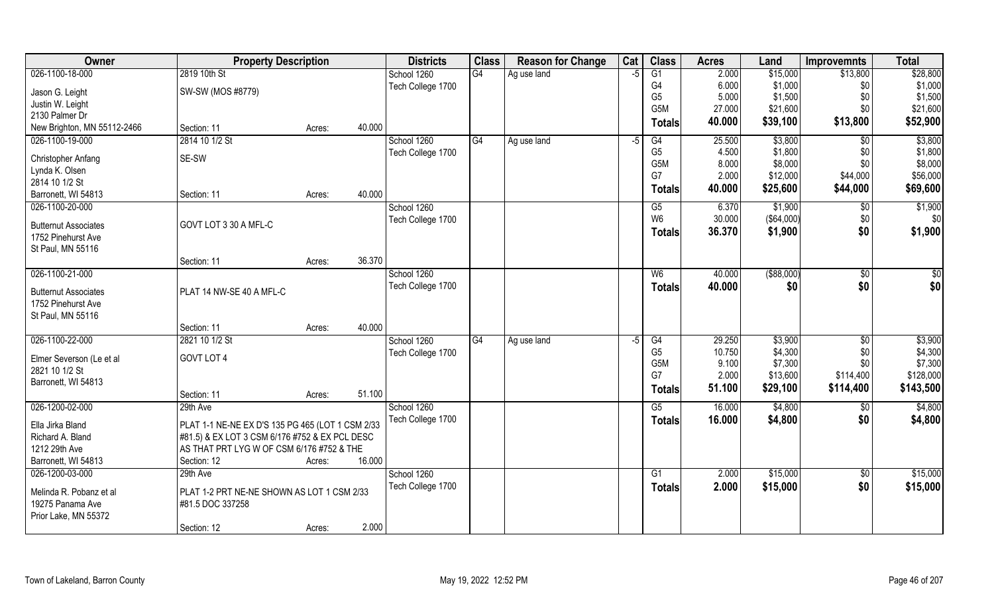| Owner                       | <b>Property Description</b>                      |        |        | <b>Districts</b>  | <b>Class</b> | <b>Reason for Change</b> | Cat  | <b>Class</b>     | <b>Acres</b> | Land          | <b>Improvemnts</b> | <b>Total</b> |
|-----------------------------|--------------------------------------------------|--------|--------|-------------------|--------------|--------------------------|------|------------------|--------------|---------------|--------------------|--------------|
| 026-1100-18-000             | 2819 10th St                                     |        |        | School 1260       | G4           | Ag use land              | -5   | $\overline{G1}$  | 2.000        | \$15,000      | \$13,800           | \$28,800     |
| Jason G. Leight             | SW-SW (MOS #8779)                                |        |        | Tech College 1700 |              |                          |      | G4               | 6.000        | \$1,000       | \$0                | \$1,000      |
| Justin W. Leight            |                                                  |        |        |                   |              |                          |      | G <sub>5</sub>   | 5.000        | \$1,500       | \$0                | \$1,500      |
| 2130 Palmer Dr              |                                                  |        |        |                   |              |                          |      | G5M              | 27.000       | \$21,600      | \$0                | \$21,600     |
| New Brighton, MN 55112-2466 | Section: 11                                      | Acres: | 40.000 |                   |              |                          |      | <b>Totals</b>    | 40.000       | \$39,100      | \$13,800           | \$52,900     |
| 026-1100-19-000             | 2814 10 1/2 St                                   |        |        | School 1260       | G4           | Ag use land              | $-5$ | G4               | 25.500       | \$3,800       | $\overline{50}$    | \$3,800      |
|                             |                                                  |        |        | Tech College 1700 |              |                          |      | G <sub>5</sub>   | 4.500        | \$1,800       | \$0                | \$1,800      |
| Christopher Anfang          | SE-SW                                            |        |        |                   |              |                          |      | G <sub>5</sub> M | 8.000        | \$8,000       | \$0                | \$8,000      |
| Lynda K. Olsen              |                                                  |        |        |                   |              |                          |      | G7               | 2.000        | \$12,000      | \$44,000           | \$56,000     |
| 2814 10 1/2 St              |                                                  |        |        |                   |              |                          |      | <b>Totals</b>    | 40.000       | \$25,600      | \$44,000           | \$69,600     |
| Barronett, WI 54813         | Section: 11                                      | Acres: | 40.000 |                   |              |                          |      |                  |              |               |                    |              |
| 026-1100-20-000             |                                                  |        |        | School 1260       |              |                          |      | G5               | 6.370        | \$1,900       | \$0                | \$1,900      |
| <b>Butternut Associates</b> | GOVT LOT 3 30 A MFL-C                            |        |        | Tech College 1700 |              |                          |      | W <sub>6</sub>   | 30.000       | (\$64,000)    | \$0                | \$0          |
| 1752 Pinehurst Ave          |                                                  |        |        |                   |              |                          |      | <b>Totals</b>    | 36.370       | \$1,900       | \$0                | \$1,900      |
| St Paul, MN 55116           |                                                  |        |        |                   |              |                          |      |                  |              |               |                    |              |
|                             | Section: 11                                      | Acres: | 36.370 |                   |              |                          |      |                  |              |               |                    |              |
| 026-1100-21-000             |                                                  |        |        | School 1260       |              |                          |      | W <sub>6</sub>   | 40.000       | $($ \$88,000) | \$0                | \$0          |
|                             |                                                  |        |        | Tech College 1700 |              |                          |      | <b>Totals</b>    | 40.000       | \$0           | \$0                | \$0          |
| <b>Butternut Associates</b> | PLAT 14 NW-SE 40 A MFL-C                         |        |        |                   |              |                          |      |                  |              |               |                    |              |
| 1752 Pinehurst Ave          |                                                  |        |        |                   |              |                          |      |                  |              |               |                    |              |
| St Paul, MN 55116           |                                                  |        |        |                   |              |                          |      |                  |              |               |                    |              |
|                             | Section: 11                                      | Acres: | 40.000 |                   |              |                          |      |                  |              |               |                    |              |
| 026-1100-22-000             | 2821 10 1/2 St                                   |        |        | School 1260       | G4           | Ag use land              | -5   | $\overline{G4}$  | 29.250       | \$3,900       | $\overline{50}$    | \$3,900      |
| Elmer Severson (Le et al    | GOVT LOT 4                                       |        |        | Tech College 1700 |              |                          |      | G <sub>5</sub>   | 10.750       | \$4,300       | \$0                | \$4,300      |
| 2821 10 1/2 St              |                                                  |        |        |                   |              |                          |      | G <sub>5</sub> M | 9.100        | \$7,300       | \$0                | \$7,300      |
| Barronett, WI 54813         |                                                  |        |        |                   |              |                          |      | G7               | 2.000        | \$13,600      | \$114,400          | \$128,000    |
|                             | Section: 11                                      | Acres: | 51.100 |                   |              |                          |      | <b>Totals</b>    | 51.100       | \$29,100      | \$114,400          | \$143,500    |
| 026-1200-02-000             | 29th Ave                                         |        |        | School 1260       |              |                          |      | G5               | 16.000       | \$4,800       | \$0                | \$4,800      |
| Ella Jirka Bland            | PLAT 1-1 NE-NE EX D'S 135 PG 465 (LOT 1 CSM 2/33 |        |        | Tech College 1700 |              |                          |      | <b>Totals</b>    | 16.000       | \$4,800       | \$0                | \$4,800      |
| Richard A. Bland            | #81.5) & EX LOT 3 CSM 6/176 #752 & EX PCL DESC   |        |        |                   |              |                          |      |                  |              |               |                    |              |
| 1212 29th Ave               | AS THAT PRT LYG W OF CSM 6/176 #752 & THE        |        |        |                   |              |                          |      |                  |              |               |                    |              |
| Barronett, WI 54813         | Section: 12                                      |        | 16.000 |                   |              |                          |      |                  |              |               |                    |              |
|                             |                                                  | Acres: |        |                   |              |                          |      |                  |              |               |                    |              |
| 026-1200-03-000             | 29th Ave                                         |        |        | School 1260       |              |                          |      | G <sub>1</sub>   | 2.000        | \$15,000      | \$0                | \$15,000     |
| Melinda R. Pobanz et al     | PLAT 1-2 PRT NE-NE SHOWN AS LOT 1 CSM 2/33       |        |        | Tech College 1700 |              |                          |      | <b>Totals</b>    | 2.000        | \$15,000      | \$0                | \$15,000     |
| 19275 Panama Ave            | #81.5 DOC 337258                                 |        |        |                   |              |                          |      |                  |              |               |                    |              |
| Prior Lake, MN 55372        |                                                  |        |        |                   |              |                          |      |                  |              |               |                    |              |
|                             | Section: 12                                      | Acres: | 2.000  |                   |              |                          |      |                  |              |               |                    |              |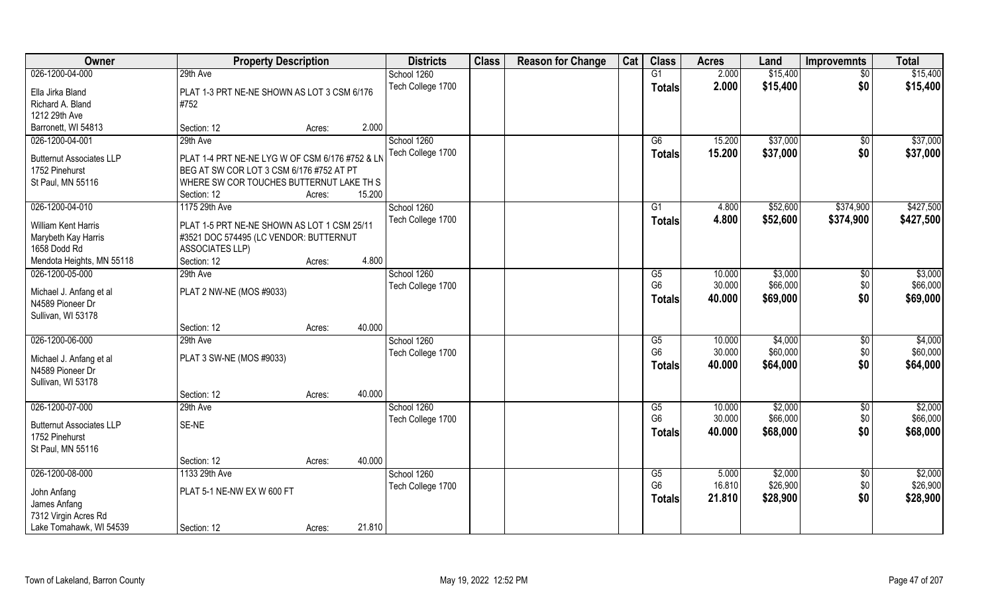| Owner                           | <b>Property Description</b>                     |        |        | <b>Districts</b>  | <b>Class</b> | <b>Reason for Change</b> | Cat | <b>Class</b>    | <b>Acres</b> | Land     | <b>Improvemnts</b> | <b>Total</b> |
|---------------------------------|-------------------------------------------------|--------|--------|-------------------|--------------|--------------------------|-----|-----------------|--------------|----------|--------------------|--------------|
| 026-1200-04-000                 | 29th Ave                                        |        |        | School 1260       |              |                          |     | G1              | 2.000        | \$15,400 | $\overline{50}$    | \$15,400     |
| Ella Jirka Bland                | PLAT 1-3 PRT NE-NE SHOWN AS LOT 3 CSM 6/176     |        |        | Tech College 1700 |              |                          |     | <b>Totals</b>   | 2.000        | \$15,400 | \$0                | \$15,400     |
| Richard A. Bland                | #752                                            |        |        |                   |              |                          |     |                 |              |          |                    |              |
| 1212 29th Ave                   |                                                 |        |        |                   |              |                          |     |                 |              |          |                    |              |
| Barronett, WI 54813             | Section: 12                                     | Acres: | 2.000  |                   |              |                          |     |                 |              |          |                    |              |
| 026-1200-04-001                 | 29th Ave                                        |        |        | School 1260       |              |                          |     | G6              | 15.200       | \$37,000 | \$0                | \$37,000     |
| <b>Butternut Associates LLP</b> | PLAT 1-4 PRT NE-NE LYG W OF CSM 6/176 #752 & LN |        |        | Tech College 1700 |              |                          |     | <b>Totals</b>   | 15.200       | \$37,000 | \$0                | \$37,000     |
| 1752 Pinehurst                  | BEG AT SW COR LOT 3 CSM 6/176 #752 AT PT        |        |        |                   |              |                          |     |                 |              |          |                    |              |
| St Paul, MN 55116               | WHERE SW COR TOUCHES BUTTERNUT LAKE TH S        |        |        |                   |              |                          |     |                 |              |          |                    |              |
|                                 | Section: 12                                     | Acres: | 15.200 |                   |              |                          |     |                 |              |          |                    |              |
| 026-1200-04-010                 | 1175 29th Ave                                   |        |        | School 1260       |              |                          |     | G1              | 4.800        | \$52,600 | \$374,900          | \$427,500    |
| William Kent Harris             | PLAT 1-5 PRT NE-NE SHOWN AS LOT 1 CSM 25/11     |        |        | Tech College 1700 |              |                          |     | <b>Totals</b>   | 4.800        | \$52,600 | \$374,900          | \$427,500    |
| Marybeth Kay Harris             | #3521 DOC 574495 (LC VENDOR: BUTTERNUT          |        |        |                   |              |                          |     |                 |              |          |                    |              |
| 1658 Dodd Rd                    | <b>ASSOCIATES LLP)</b>                          |        |        |                   |              |                          |     |                 |              |          |                    |              |
| Mendota Heights, MN 55118       | Section: 12                                     | Acres: | 4.800  |                   |              |                          |     |                 |              |          |                    |              |
| 026-1200-05-000                 | 29th Ave                                        |        |        | School 1260       |              |                          |     | G5              | 10.000       | \$3,000  | \$0                | \$3,000      |
| Michael J. Anfang et al         | PLAT 2 NW-NE (MOS #9033)                        |        |        | Tech College 1700 |              |                          |     | G <sub>6</sub>  | 30.000       | \$66,000 | \$0                | \$66,000     |
| N4589 Pioneer Dr                |                                                 |        |        |                   |              |                          |     | <b>Totals</b>   | 40.000       | \$69,000 | \$0                | \$69,000     |
| Sullivan, WI 53178              |                                                 |        |        |                   |              |                          |     |                 |              |          |                    |              |
|                                 | Section: 12                                     | Acres: | 40.000 |                   |              |                          |     |                 |              |          |                    |              |
| 026-1200-06-000                 | 29th Ave                                        |        |        | School 1260       |              |                          |     | G5              | 10.000       | \$4,000  | $\sqrt[6]{3}$      | \$4,000      |
| Michael J. Anfang et al         | PLAT 3 SW-NE (MOS #9033)                        |        |        | Tech College 1700 |              |                          |     | G <sub>6</sub>  | 30.000       | \$60,000 | \$0                | \$60,000     |
| N4589 Pioneer Dr                |                                                 |        |        |                   |              |                          |     | <b>Totals</b>   | 40.000       | \$64,000 | \$0                | \$64,000     |
| Sullivan, WI 53178              |                                                 |        |        |                   |              |                          |     |                 |              |          |                    |              |
|                                 | Section: 12                                     | Acres: | 40.000 |                   |              |                          |     |                 |              |          |                    |              |
| 026-1200-07-000                 | 29th Ave                                        |        |        | School 1260       |              |                          |     | G5              | 10.000       | \$2,000  | \$0                | \$2,000      |
| <b>Butternut Associates LLP</b> | SE-NE                                           |        |        | Tech College 1700 |              |                          |     | G <sub>6</sub>  | 30.000       | \$66,000 | \$0                | \$66,000     |
| 1752 Pinehurst                  |                                                 |        |        |                   |              |                          |     | <b>Totals</b>   | 40.000       | \$68,000 | \$0                | \$68,000     |
| St Paul, MN 55116               |                                                 |        |        |                   |              |                          |     |                 |              |          |                    |              |
|                                 | Section: 12                                     | Acres: | 40.000 |                   |              |                          |     |                 |              |          |                    |              |
| 026-1200-08-000                 | 1133 29th Ave                                   |        |        | School 1260       |              |                          |     | $\overline{G5}$ | 5.000        | \$2,000  | $\overline{50}$    | \$2,000      |
| John Anfang                     | PLAT 5-1 NE-NW EX W 600 FT                      |        |        | Tech College 1700 |              |                          |     | G <sub>6</sub>  | 16.810       | \$26,900 | \$0                | \$26,900     |
| James Anfang                    |                                                 |        |        |                   |              |                          |     | Totals          | 21.810       | \$28,900 | \$0                | \$28,900     |
| 7312 Virgin Acres Rd            |                                                 |        |        |                   |              |                          |     |                 |              |          |                    |              |
| Lake Tomahawk, WI 54539         | Section: 12                                     | Acres: | 21.810 |                   |              |                          |     |                 |              |          |                    |              |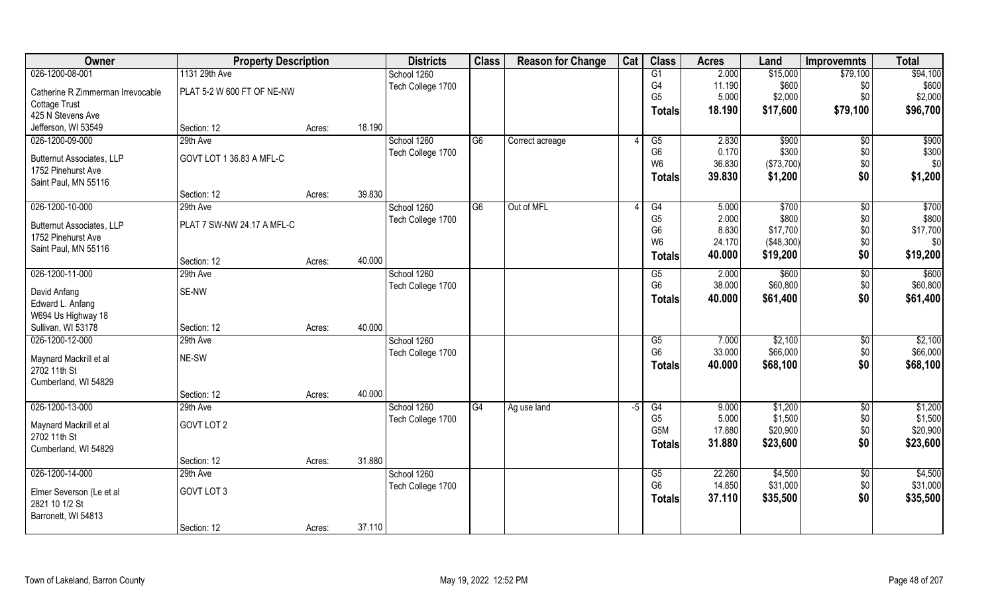| Owner                                                  | <b>Property Description</b> |                  | <b>Districts</b>  | <b>Class</b>   | <b>Reason for Change</b> | Cat  | <b>Class</b>     | <b>Acres</b> | Land       | <b>Improvemnts</b> | <b>Total</b> |
|--------------------------------------------------------|-----------------------------|------------------|-------------------|----------------|--------------------------|------|------------------|--------------|------------|--------------------|--------------|
| 026-1200-08-001                                        | 1131 29th Ave               |                  | School 1260       |                |                          |      | G1               | 2.000        | \$15,000   | \$79,100           | \$94,100     |
| Catherine R Zimmerman Irrevocable                      | PLAT 5-2 W 600 FT OF NE-NW  |                  | Tech College 1700 |                |                          |      | G <sub>4</sub>   | 11.190       | \$600      | \$0                | \$600        |
| <b>Cottage Trust</b>                                   |                             |                  |                   |                |                          |      | G <sub>5</sub>   | 5.000        | \$2,000    | \$0                | \$2,000      |
| 425 N Stevens Ave                                      |                             |                  |                   |                |                          |      | Totals           | 18.190       | \$17,600   | \$79,100           | \$96,700     |
| Jefferson, WI 53549                                    | Section: 12                 | 18.190<br>Acres: |                   |                |                          |      |                  |              |            |                    |              |
| 026-1200-09-000                                        | 29th Ave                    |                  | School 1260       | G6             | Correct acreage          |      | G5               | 2.830        | \$900      | $\sqrt[6]{}$       | \$900        |
|                                                        | GOVT LOT 1 36.83 A MFL-C    |                  | Tech College 1700 |                |                          |      | G <sub>6</sub>   | 0.170        | \$300      | \$0\$              | \$300        |
| <b>Butternut Associates, LLP</b><br>1752 Pinehurst Ave |                             |                  |                   |                |                          |      | W <sub>6</sub>   | 36.830       | (\$73,700) | $$0$$              | \$0          |
| Saint Paul, MN 55116                                   |                             |                  |                   |                |                          |      | Totals           | 39.830       | \$1,200    | \$0                | \$1,200      |
|                                                        | Section: 12                 | 39.830<br>Acres: |                   |                |                          |      |                  |              |            |                    |              |
| 026-1200-10-000                                        | 29th Ave                    |                  | School 1260       | G <sub>6</sub> | Out of MFL               |      | G4               | 5.000        | \$700      | $\sqrt{6}$         | \$700        |
|                                                        |                             |                  | Tech College 1700 |                |                          |      | G <sub>5</sub>   | 2.000        | \$800      | \$0\$              | \$800        |
| <b>Butternut Associates, LLP</b>                       | PLAT 7 SW-NW 24.17 A MFL-C  |                  |                   |                |                          |      | G <sub>6</sub>   | 8.830        | \$17,700   | \$0                | \$17,700     |
| 1752 Pinehurst Ave                                     |                             |                  |                   |                |                          |      | W <sub>6</sub>   | 24.170       | (\$48,300) | \$0                | \$0          |
| Saint Paul, MN 55116                                   |                             |                  |                   |                |                          |      | Totals           | 40.000       | \$19,200   | \$0                | \$19,200     |
|                                                        | Section: 12                 | 40.000<br>Acres: |                   |                |                          |      |                  |              |            |                    |              |
| 026-1200-11-000                                        | 29th Ave                    |                  | School 1260       |                |                          |      | G5               | 2.000        | \$600      | $\sqrt[6]{3}$      | \$600        |
| David Anfang                                           | SE-NW                       |                  | Tech College 1700 |                |                          |      | G <sub>6</sub>   | 38.000       | \$60,800   | \$0                | \$60,800     |
| Edward L. Anfang                                       |                             |                  |                   |                |                          |      | <b>Totals</b>    | 40.000       | \$61,400   | \$0                | \$61,400     |
| W694 Us Highway 18                                     |                             |                  |                   |                |                          |      |                  |              |            |                    |              |
| Sullivan, WI 53178                                     | Section: 12                 | 40.000<br>Acres: |                   |                |                          |      |                  |              |            |                    |              |
| 026-1200-12-000                                        | 29th Ave                    |                  | School 1260       |                |                          |      | G5               | 7.000        | \$2,100    | \$0                | \$2,100      |
| Maynard Mackrill et al                                 | NE-SW                       |                  | Tech College 1700 |                |                          |      | G <sub>6</sub>   | 33.000       | \$66,000   | \$0                | \$66,000     |
| 2702 11th St                                           |                             |                  |                   |                |                          |      | <b>Totals</b>    | 40.000       | \$68,100   | \$0                | \$68,100     |
| Cumberland, WI 54829                                   |                             |                  |                   |                |                          |      |                  |              |            |                    |              |
|                                                        | Section: 12                 | 40.000<br>Acres: |                   |                |                          |      |                  |              |            |                    |              |
| 026-1200-13-000                                        | 29th Ave                    |                  | School 1260       | G4             | Ag use land              | $-5$ | G4               | 9.000        | \$1,200    | $\sqrt{6}$         | \$1,200      |
|                                                        | GOVT LOT 2                  |                  | Tech College 1700 |                |                          |      | G <sub>5</sub>   | 5.000        | \$1,500    | \$0\$              | \$1,500      |
| Maynard Mackrill et al<br>2702 11th St                 |                             |                  |                   |                |                          |      | G <sub>5</sub> M | 17.880       | \$20,900   | \$0                | \$20,900     |
| Cumberland, WI 54829                                   |                             |                  |                   |                |                          |      | <b>Totals</b>    | 31.880       | \$23,600   | \$0                | \$23,600     |
|                                                        | Section: 12                 | 31.880<br>Acres: |                   |                |                          |      |                  |              |            |                    |              |
| 026-1200-14-000                                        | 29th Ave                    |                  | School 1260       |                |                          |      | G5               | 22.260       | \$4,500    | $\sqrt[6]{}$       | \$4,500      |
|                                                        |                             |                  | Tech College 1700 |                |                          |      | G <sub>6</sub>   | 14.850       | \$31,000   | \$0                | \$31,000     |
| Elmer Severson (Le et al                               | GOVT LOT 3                  |                  |                   |                |                          |      | Totals           | 37.110       | \$35,500   | \$0                | \$35,500     |
| 2821 10 1/2 St                                         |                             |                  |                   |                |                          |      |                  |              |            |                    |              |
| Barronett, WI 54813                                    |                             |                  |                   |                |                          |      |                  |              |            |                    |              |
|                                                        | Section: 12                 | 37.110<br>Acres: |                   |                |                          |      |                  |              |            |                    |              |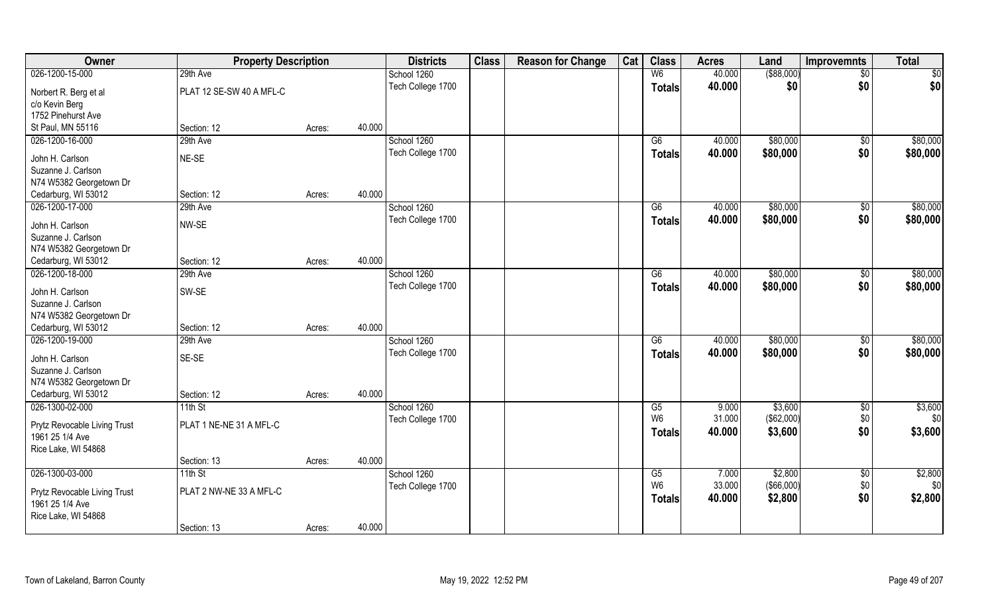| Owner                                         | <b>Property Description</b> |        |        | <b>Districts</b>  | <b>Class</b> | <b>Reason for Change</b> | Cat | <b>Class</b>    | <b>Acres</b> | Land        | <b>Improvemnts</b> | <b>Total</b> |
|-----------------------------------------------|-----------------------------|--------|--------|-------------------|--------------|--------------------------|-----|-----------------|--------------|-------------|--------------------|--------------|
| 026-1200-15-000                               | 29th Ave                    |        |        | School 1260       |              |                          |     | W <sub>6</sub>  | 40.000       | ( \$88,000) | $\sqrt{6}$         | \$0          |
| Norbert R. Berg et al                         | PLAT 12 SE-SW 40 A MFL-C    |        |        | Tech College 1700 |              |                          |     | <b>Totals</b>   | 40.000       | \$0         | \$0                | \$0          |
| c/o Kevin Berg                                |                             |        |        |                   |              |                          |     |                 |              |             |                    |              |
| 1752 Pinehurst Ave                            |                             |        |        |                   |              |                          |     |                 |              |             |                    |              |
| St Paul, MN 55116                             | Section: 12                 | Acres: | 40.000 |                   |              |                          |     |                 |              |             |                    |              |
| 026-1200-16-000                               | 29th Ave                    |        |        | School 1260       |              |                          |     | $\overline{G6}$ | 40.000       | \$80,000    | \$0                | \$80,000     |
| John H. Carlson                               | NE-SE                       |        |        | Tech College 1700 |              |                          |     | <b>Totals</b>   | 40.000       | \$80,000    | \$0                | \$80,000     |
| Suzanne J. Carlson                            |                             |        |        |                   |              |                          |     |                 |              |             |                    |              |
| N74 W5382 Georgetown Dr                       |                             |        |        |                   |              |                          |     |                 |              |             |                    |              |
| Cedarburg, WI 53012                           | Section: 12                 | Acres: | 40.000 |                   |              |                          |     |                 |              |             |                    |              |
| 026-1200-17-000                               | 29th Ave                    |        |        | School 1260       |              |                          |     | G6              | 40.000       | \$80,000    | \$0                | \$80,000     |
| John H. Carlson                               | NW-SE                       |        |        | Tech College 1700 |              |                          |     | <b>Totals</b>   | 40.000       | \$80,000    | \$0                | \$80,000     |
| Suzanne J. Carlson                            |                             |        |        |                   |              |                          |     |                 |              |             |                    |              |
| N74 W5382 Georgetown Dr                       |                             |        |        |                   |              |                          |     |                 |              |             |                    |              |
| Cedarburg, WI 53012                           | Section: 12                 | Acres: | 40.000 |                   |              |                          |     |                 |              |             |                    |              |
| 026-1200-18-000                               | 29th Ave                    |        |        | School 1260       |              |                          |     | G6              | 40.000       | \$80,000    | $\sqrt{50}$        | \$80,000     |
|                                               |                             |        |        | Tech College 1700 |              |                          |     | <b>Totals</b>   | 40.000       | \$80,000    | \$0                | \$80,000     |
| John H. Carlson<br>Suzanne J. Carlson         | SW-SE                       |        |        |                   |              |                          |     |                 |              |             |                    |              |
| N74 W5382 Georgetown Dr                       |                             |        |        |                   |              |                          |     |                 |              |             |                    |              |
| Cedarburg, WI 53012                           | Section: 12                 | Acres: | 40.000 |                   |              |                          |     |                 |              |             |                    |              |
| 026-1200-19-000                               | 29th Ave                    |        |        | School 1260       |              |                          |     | $\overline{G6}$ | 40.000       | \$80,000    | $\overline{50}$    | \$80,000     |
|                                               |                             |        |        | Tech College 1700 |              |                          |     | <b>Totals</b>   | 40.000       | \$80,000    | \$0                | \$80,000     |
| John H. Carlson                               | SE-SE                       |        |        |                   |              |                          |     |                 |              |             |                    |              |
| Suzanne J. Carlson<br>N74 W5382 Georgetown Dr |                             |        |        |                   |              |                          |     |                 |              |             |                    |              |
| Cedarburg, WI 53012                           | Section: 12                 | Acres: | 40.000 |                   |              |                          |     |                 |              |             |                    |              |
| 026-1300-02-000                               | $11th$ St                   |        |        | School 1260       |              |                          |     | G5              | 9.000        | \$3,600     | $\sqrt{6}$         | \$3,600      |
|                                               |                             |        |        | Tech College 1700 |              |                          |     | W <sub>6</sub>  | 31.000       | (\$62,000)  | $$0$$              | \$0          |
| Prytz Revocable Living Trust                  | PLAT 1 NE-NE 31 A MFL-C     |        |        |                   |              |                          |     | <b>Totals</b>   | 40.000       | \$3,600     | \$0                | \$3,600      |
| 1961 25 1/4 Ave                               |                             |        |        |                   |              |                          |     |                 |              |             |                    |              |
| Rice Lake, WI 54868                           | Section: 13                 | Acres: | 40.000 |                   |              |                          |     |                 |              |             |                    |              |
| 026-1300-03-000                               | $11th$ St                   |        |        | School 1260       |              |                          |     | G5              | 7.000        | \$2,800     | $\overline{50}$    | \$2,800      |
|                                               |                             |        |        | Tech College 1700 |              |                          |     | W <sub>6</sub>  | 33.000       | (\$66,000)  | \$0                | \$0          |
| Prytz Revocable Living Trust                  | PLAT 2 NW-NE 33 A MFL-C     |        |        |                   |              |                          |     | <b>Totals</b>   | 40.000       | \$2,800     | \$0                | \$2,800      |
| 1961 25 1/4 Ave                               |                             |        |        |                   |              |                          |     |                 |              |             |                    |              |
| Rice Lake, WI 54868                           | Section: 13                 |        | 40.000 |                   |              |                          |     |                 |              |             |                    |              |
|                                               |                             | Acres: |        |                   |              |                          |     |                 |              |             |                    |              |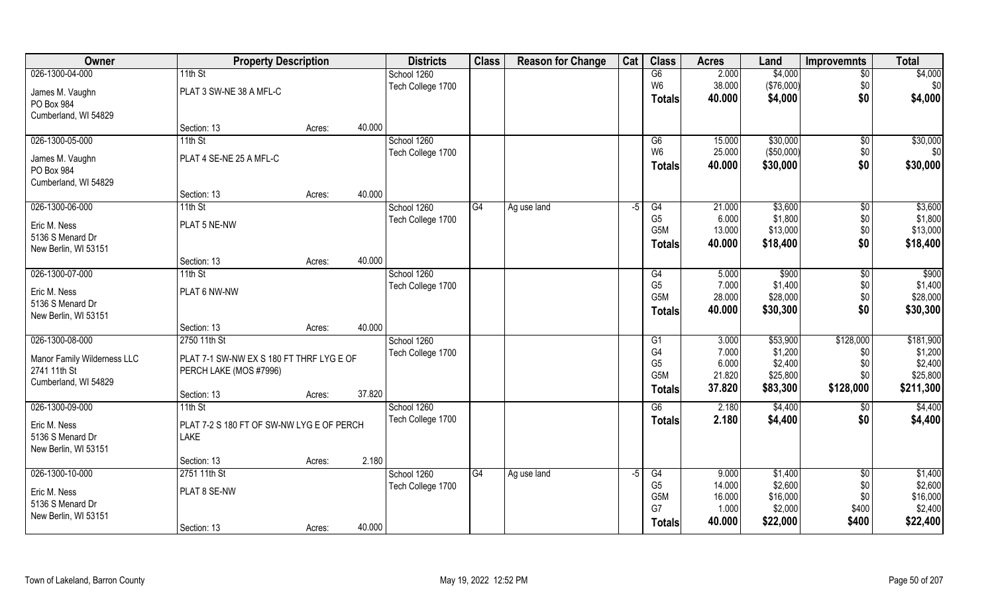| Owner                       | <b>Property Description</b>               |                  | <b>Districts</b>  | <b>Class</b> | <b>Reason for Change</b> | Cat  | <b>Class</b>     | <b>Acres</b> | Land       | <b>Improvemnts</b> | <b>Total</b>      |
|-----------------------------|-------------------------------------------|------------------|-------------------|--------------|--------------------------|------|------------------|--------------|------------|--------------------|-------------------|
| 026-1300-04-000             | 11th St                                   |                  | School 1260       |              |                          |      | G6               | 2.000        | \$4,000    | $\overline{50}$    | \$4,000           |
| James M. Vaughn             | PLAT 3 SW-NE 38 A MFL-C                   |                  | Tech College 1700 |              |                          |      | W <sub>6</sub>   | 38.000       | (\$76,000) | \$0                | \$0               |
| PO Box 984                  |                                           |                  |                   |              |                          |      | Totals           | 40.000       | \$4,000    | \$0                | \$4,000           |
| Cumberland, WI 54829        |                                           |                  |                   |              |                          |      |                  |              |            |                    |                   |
|                             | Section: 13                               | 40.000<br>Acres: |                   |              |                          |      |                  |              |            |                    |                   |
| 026-1300-05-000             | $11th$ St                                 |                  | School 1260       |              |                          |      | G6               | 15.000       | \$30,000   | \$0                | \$30,000          |
| James M. Vaughn             | PLAT 4 SE-NE 25 A MFL-C                   |                  | Tech College 1700 |              |                          |      | W <sub>6</sub>   | 25.000       | (\$50,000) | \$0                | \$0               |
| PO Box 984                  |                                           |                  |                   |              |                          |      | Totals           | 40.000       | \$30,000   | \$0                | \$30,000          |
| Cumberland, WI 54829        |                                           |                  |                   |              |                          |      |                  |              |            |                    |                   |
|                             | Section: 13                               | 40.000<br>Acres: |                   |              |                          |      |                  |              |            |                    |                   |
| 026-1300-06-000             | 11th St                                   |                  | School 1260       | G4           | Ag use land              | $-5$ | G4               | 21.000       | \$3,600    | \$0                | \$3,600           |
| Eric M. Ness                | PLAT 5 NE-NW                              |                  | Tech College 1700 |              |                          |      | G <sub>5</sub>   | 6.000        | \$1,800    | \$0                | \$1,800           |
| 5136 S Menard Dr            |                                           |                  |                   |              |                          |      | G <sub>5</sub> M | 13.000       | \$13,000   | \$0                | \$13,000          |
| New Berlin, WI 53151        |                                           |                  |                   |              |                          |      | Totals           | 40.000       | \$18,400   | \$0                | \$18,400          |
|                             | Section: 13                               | 40.000<br>Acres: |                   |              |                          |      |                  |              |            |                    |                   |
| 026-1300-07-000             | 11th St                                   |                  | School 1260       |              |                          |      | G4               | 5.000        | \$900      | $\sqrt[6]{3}$      | $\overline{$900}$ |
| Eric M. Ness                | PLAT 6 NW-NW                              |                  | Tech College 1700 |              |                          |      | G <sub>5</sub>   | 7.000        | \$1,400    | \$0                | \$1,400           |
| 5136 S Menard Dr            |                                           |                  |                   |              |                          |      | G <sub>5</sub> M | 28.000       | \$28,000   | \$0                | \$28,000          |
| New Berlin, WI 53151        |                                           |                  |                   |              |                          |      | <b>Totals</b>    | 40.000       | \$30,300   | \$0                | \$30,300          |
|                             | Section: 13                               | 40.000<br>Acres: |                   |              |                          |      |                  |              |            |                    |                   |
| 026-1300-08-000             | 2750 11th St                              |                  | School 1260       |              |                          |      | $\overline{G1}$  | 3.000        | \$53,900   | \$128,000          | \$181,900         |
| Manor Family Wilderness LLC | PLAT 7-1 SW-NW EX S 180 FT THRF LYG E OF  |                  | Tech College 1700 |              |                          |      | G4               | 7.000        | \$1,200    | \$0                | \$1,200           |
| 2741 11th St                | PERCH LAKE (MOS #7996)                    |                  |                   |              |                          |      | G <sub>5</sub>   | 6.000        | \$2,400    | \$0                | \$2,400           |
| Cumberland, WI 54829        |                                           |                  |                   |              |                          |      | G <sub>5</sub> M | 21.820       | \$25,800   | \$0\$              | \$25,800          |
|                             | Section: 13                               | 37.820<br>Acres: |                   |              |                          |      | <b>Totals</b>    | 37.820       | \$83,300   | \$128,000          | \$211,300         |
| 026-1300-09-000             | $11th$ St                                 |                  | School 1260       |              |                          |      | G6               | 2.180        | \$4,400    | \$0                | \$4,400           |
| Eric M. Ness                | PLAT 7-2 S 180 FT OF SW-NW LYG E OF PERCH |                  | Tech College 1700 |              |                          |      | <b>Totals</b>    | 2.180        | \$4,400    | \$0                | \$4,400           |
| 5136 S Menard Dr            | <b>LAKE</b>                               |                  |                   |              |                          |      |                  |              |            |                    |                   |
| New Berlin, WI 53151        |                                           |                  |                   |              |                          |      |                  |              |            |                    |                   |
|                             | Section: 13                               | 2.180<br>Acres:  |                   |              |                          |      |                  |              |            |                    |                   |
| 026-1300-10-000             | 2751 11th St                              |                  | School 1260       | G4           | Ag use land              | $-5$ | G4               | 9.000        | \$1,400    | $\sqrt{6}$         | \$1,400           |
| Eric M. Ness                | PLAT 8 SE-NW                              |                  | Tech College 1700 |              |                          |      | G <sub>5</sub>   | 14.000       | \$2,600    | \$0                | \$2,600           |
| 5136 S Menard Dr            |                                           |                  |                   |              |                          |      | G5M              | 16.000       | \$16,000   | \$0                | \$16,000          |
| New Berlin, WI 53151        |                                           |                  |                   |              |                          |      | G7               | 1.000        | \$2,000    | \$400              | \$2,400           |
|                             | Section: 13                               | 40.000<br>Acres: |                   |              |                          |      | Totals           | 40.000       | \$22,000   | \$400              | \$22,400          |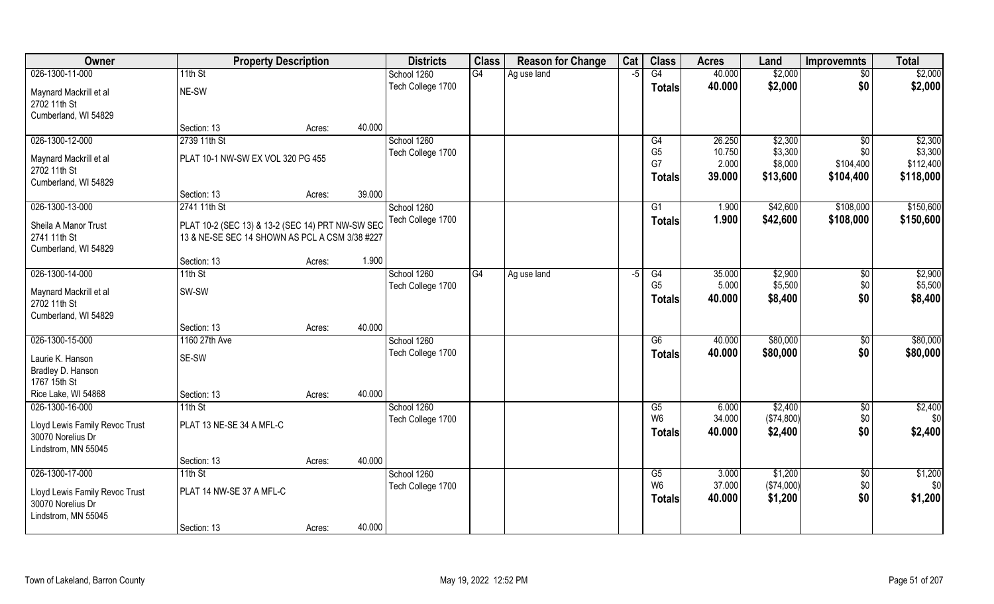| <b>Owner</b>                                                                                  | <b>Property Description</b>                                                                        |                  | <b>Districts</b>                 | <b>Class</b> | <b>Reason for Change</b> | Cat  | <b>Class</b>                          | <b>Acres</b>              | Land                             | <b>Improvemnts</b>     | <b>Total</b>              |
|-----------------------------------------------------------------------------------------------|----------------------------------------------------------------------------------------------------|------------------|----------------------------------|--------------|--------------------------|------|---------------------------------------|---------------------------|----------------------------------|------------------------|---------------------------|
| 026-1300-11-000                                                                               | 11th St                                                                                            |                  | School 1260                      | G4           | Ag use land              | $-5$ | G4                                    | 40.000                    | \$2,000                          | $\overline{50}$        | \$2,000                   |
| Maynard Mackrill et al<br>2702 11th St<br>Cumberland, WI 54829                                | NE-SW                                                                                              |                  | Tech College 1700                |              |                          |      | <b>Totals</b>                         | 40.000                    | \$2,000                          | \$0                    | \$2,000                   |
|                                                                                               | Section: 13                                                                                        | 40.000<br>Acres: |                                  |              |                          |      |                                       |                           |                                  |                        |                           |
| 026-1300-12-000                                                                               | 2739 11th St                                                                                       |                  | School 1260<br>Tech College 1700 |              |                          |      | G4<br>G <sub>5</sub>                  | 26.250<br>10.750          | \$2,300<br>\$3,300               | \$0<br>\$0             | \$2,300<br>\$3,300        |
| Maynard Mackrill et al<br>2702 11th St<br>Cumberland, WI 54829                                | PLAT 10-1 NW-SW EX VOL 320 PG 455                                                                  |                  |                                  |              |                          |      | G7<br><b>Totals</b>                   | 2.000<br>39.000           | \$8,000<br>\$13,600              | \$104,400<br>\$104,400 | \$112,400<br>\$118,000    |
|                                                                                               | Section: 13                                                                                        | 39.000<br>Acres: |                                  |              |                          |      |                                       |                           |                                  |                        |                           |
| 026-1300-13-000                                                                               | 2741 11th St                                                                                       |                  | School 1260                      |              |                          |      | G1                                    | 1.900                     | \$42,600                         | \$108,000              | \$150,600                 |
| Sheila A Manor Trust<br>2741 11th St<br>Cumberland, WI 54829                                  | PLAT 10-2 (SEC 13) & 13-2 (SEC 14) PRT NW-SW SEC<br>13 & NE-SE SEC 14 SHOWN AS PCL A CSM 3/38 #227 |                  | Tech College 1700                |              |                          |      | <b>Totals</b>                         | 1.900                     | \$42,600                         | \$108,000              | \$150,600                 |
|                                                                                               | Section: 13                                                                                        | 1.900<br>Acres:  |                                  |              |                          |      |                                       |                           |                                  |                        |                           |
| 026-1300-14-000                                                                               | 11th St                                                                                            |                  | School 1260                      | G4           | Ag use land              | -5   | G4                                    | 35.000                    | \$2,900                          | \$0                    | \$2,900                   |
| Maynard Mackrill et al<br>2702 11th St<br>Cumberland, WI 54829                                | SW-SW                                                                                              |                  | Tech College 1700                |              |                          |      | G <sub>5</sub><br><b>Totals</b>       | 5.000<br>40.000           | \$5,500<br>\$8,400               | \$0<br>\$0             | \$5,500<br>\$8,400        |
|                                                                                               | Section: 13                                                                                        | 40.000<br>Acres: |                                  |              |                          |      |                                       |                           |                                  |                        |                           |
| 026-1300-15-000                                                                               | 1160 27th Ave                                                                                      |                  | School 1260<br>Tech College 1700 |              |                          |      | G6                                    | 40.000<br>40.000          | \$80,000<br>\$80,000             | $\sqrt[6]{30}$<br>\$0  | \$80,000                  |
| Laurie K. Hanson<br>Bradley D. Hanson<br>1767 15th St                                         | SE-SW                                                                                              |                  |                                  |              |                          |      | <b>Totals</b>                         |                           |                                  |                        | \$80,000                  |
| Rice Lake, WI 54868                                                                           | Section: 13                                                                                        | 40.000<br>Acres: |                                  |              |                          |      |                                       |                           |                                  |                        |                           |
| 026-1300-16-000                                                                               | $11th$ St                                                                                          |                  | School 1260                      |              |                          |      | G5                                    | 6.000                     | \$2,400                          | $\sqrt{$0}$            | \$2,400                   |
| Lloyd Lewis Family Revoc Trust<br>30070 Norelius Dr<br>Lindstrom, MN 55045                    | PLAT 13 NE-SE 34 A MFL-C                                                                           |                  | Tech College 1700                |              |                          |      | W <sub>6</sub><br><b>Totals</b>       | 34.000<br>40.000          | (\$74,800)<br>\$2,400            | \$0<br>\$0             | \$0<br>\$2,400            |
|                                                                                               | Section: 13                                                                                        | 40.000<br>Acres: |                                  |              |                          |      |                                       |                           |                                  |                        |                           |
| 026-1300-17-000<br>Lloyd Lewis Family Revoc Trust<br>30070 Norelius Dr<br>Lindstrom, MN 55045 | $11th$ St<br>PLAT 14 NW-SE 37 A MFL-C                                                              |                  | School 1260<br>Tech College 1700 |              |                          |      | G5<br>W <sub>6</sub><br><b>Totals</b> | 3.000<br>37.000<br>40.000 | \$1,200<br>(\$74,000)<br>\$1,200 | \$0<br>\$0<br>\$0      | \$1,200<br>\$0<br>\$1,200 |
|                                                                                               | Section: 13                                                                                        | 40.000<br>Acres: |                                  |              |                          |      |                                       |                           |                                  |                        |                           |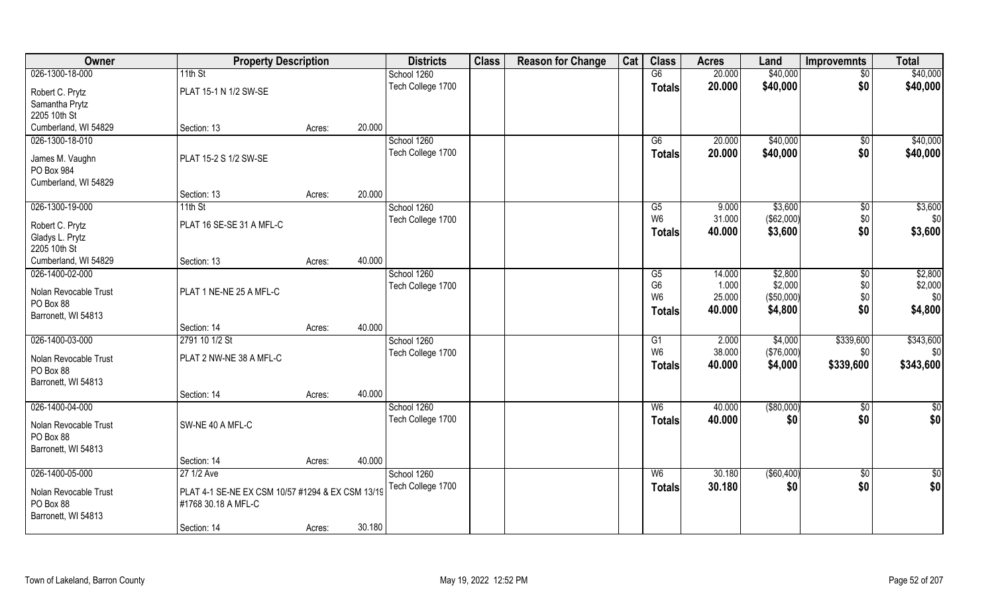| Owner                 | <b>Property Description</b>                      |        |                   | <b>Districts</b>  | <b>Class</b> | <b>Reason for Change</b> | Cat           | <b>Class</b>   | <b>Acres</b> | Land        | <b>Improvemnts</b> | <b>Total</b>  |
|-----------------------|--------------------------------------------------|--------|-------------------|-------------------|--------------|--------------------------|---------------|----------------|--------------|-------------|--------------------|---------------|
| 026-1300-18-000       | 11th St                                          |        |                   | School 1260       |              |                          |               | G6             | 20.000       | \$40,000    | $\sqrt{50}$        | \$40,000      |
| Robert C. Prytz       | PLAT 15-1 N 1/2 SW-SE                            |        |                   | Tech College 1700 |              |                          |               | <b>Totals</b>  | 20.000       | \$40,000    | \$0                | \$40,000      |
| Samantha Prytz        |                                                  |        |                   |                   |              |                          |               |                |              |             |                    |               |
| 2205 10th St          |                                                  |        |                   |                   |              |                          |               |                |              |             |                    |               |
| Cumberland, WI 54829  | Section: 13                                      | Acres: | 20.000            |                   |              |                          |               |                |              |             |                    |               |
| 026-1300-18-010       |                                                  |        |                   | School 1260       |              |                          |               | G6             | 20.000       | \$40,000    | $\overline{50}$    | \$40,000      |
| James M. Vaughn       | PLAT 15-2 S 1/2 SW-SE                            |        |                   | Tech College 1700 |              |                          |               | Totals         | 20.000       | \$40,000    | \$0                | \$40,000      |
| PO Box 984            |                                                  |        |                   |                   |              |                          |               |                |              |             |                    |               |
| Cumberland, WI 54829  |                                                  |        |                   |                   |              |                          |               |                |              |             |                    |               |
|                       | Section: 13                                      | Acres: | 20.000            |                   |              |                          |               |                |              |             |                    |               |
| 026-1300-19-000       | 11th St                                          |        |                   | School 1260       |              |                          |               | G5             | 9.000        | \$3,600     | \$0                | \$3,600       |
| Robert C. Prytz       | PLAT 16 SE-SE 31 A MFL-C                         |        |                   | Tech College 1700 |              |                          |               | W <sub>6</sub> | 31.000       | (\$62,000)  | \$0                | \$0           |
| Gladys L. Prytz       |                                                  |        |                   |                   |              |                          |               | <b>Totals</b>  | 40.000       | \$3,600     | \$0                | \$3,600       |
| 2205 10th St          |                                                  |        |                   |                   |              |                          |               |                |              |             |                    |               |
| Cumberland, WI 54829  | Section: 13                                      | Acres: | 40.000            |                   |              |                          |               |                |              |             |                    |               |
| 026-1400-02-000       |                                                  |        |                   | School 1260       |              |                          |               | G5             | 14.000       | \$2,800     | $\sqrt[6]{3}$      | \$2,800       |
| Nolan Revocable Trust | PLAT 1 NE-NE 25 A MFL-C                          |        |                   | Tech College 1700 |              |                          |               | G <sub>6</sub> | 1.000        | \$2,000     | \$0                | \$2,000       |
| PO Box 88             |                                                  |        |                   |                   |              |                          |               | W <sub>6</sub> | 25.000       | (\$50,000)  | \$0                | \$0           |
| Barronett, WI 54813   |                                                  |        |                   |                   |              |                          |               | <b>Totals</b>  | 40.000       | \$4,800     | \$0                | \$4,800       |
|                       | Section: 14                                      | Acres: | 40.000            |                   |              |                          |               |                |              |             |                    |               |
| 026-1400-03-000       | 2791 10 1/2 St                                   |        |                   | School 1260       |              |                          |               | G1             | 2.000        | \$4,000     | \$339,600          | \$343,600     |
| Nolan Revocable Trust | PLAT 2 NW-NE 38 A MFL-C                          |        |                   | Tech College 1700 |              |                          |               | W <sub>6</sub> | 38.000       | (\$76,000)  | \$0                | \$0           |
| PO Box 88             |                                                  |        |                   |                   |              |                          |               | <b>Totals</b>  | 40.000       | \$4,000     | \$339,600          | \$343,600     |
| Barronett, WI 54813   |                                                  |        |                   |                   |              |                          |               |                |              |             |                    |               |
|                       | Section: 14                                      | Acres: | 40.000            |                   |              |                          |               |                |              |             |                    |               |
| 026-1400-04-000       |                                                  |        |                   | School 1260       |              |                          |               | W6             | 40.000       | ( \$80,000) | \$0                | \$0           |
| Nolan Revocable Trust | SW-NE 40 A MFL-C                                 |        |                   | Tech College 1700 |              |                          |               | <b>Totals</b>  | 40.000       | \$0         | \$0                | \$0           |
| PO Box 88             |                                                  |        |                   |                   |              |                          |               |                |              |             |                    |               |
| Barronett, WI 54813   |                                                  |        |                   |                   |              |                          |               |                |              |             |                    |               |
|                       | Section: 14                                      | Acres: | 40.000            |                   |              |                          |               |                |              |             |                    |               |
| 026-1400-05-000       | 27 1/2 Ave                                       |        |                   | School 1260       |              |                          |               | W <sub>6</sub> | 30.180       | ( \$60,400) | $\frac{1}{6}$      | $\frac{1}{2}$ |
| Nolan Revocable Trust | PLAT 4-1 SE-NE EX CSM 10/57 #1294 & EX CSM 13/19 |        | Tech College 1700 |                   |              |                          | <b>Totals</b> | 30.180         | \$0          | \$0         | \$0                |               |
| PO Box 88             | #1768 30.18 A MFL-C                              |        |                   |                   |              |                          |               |                |              |             |                    |               |
| Barronett, WI 54813   |                                                  |        |                   |                   |              |                          |               |                |              |             |                    |               |
|                       | Section: 14                                      | Acres: | 30.180            |                   |              |                          |               |                |              |             |                    |               |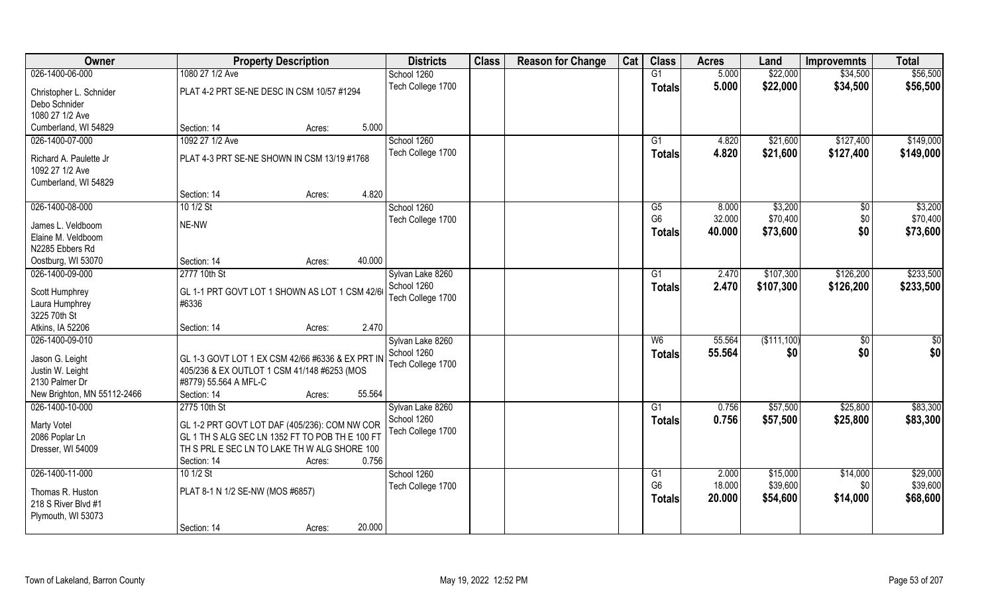| \$22,000<br>\$56,500<br>1080 27 1/2 Ave<br>G1<br>5.000<br>\$34,500<br>School 1260<br>Tech College 1700<br>5.000<br>\$22,000<br>\$34,500<br>\$56,500<br><b>Totals</b><br>PLAT 4-2 PRT SE-NE DESC IN CSM 10/57 #1294<br>Christopher L. Schnider<br>Debo Schnider<br>1080 27 1/2 Ave<br>Cumberland, WI 54829<br>5.000<br>Section: 14<br>Acres:<br>1092 27 1/2 Ave<br>\$149,000<br>026-1400-07-000<br>School 1260<br>4.820<br>\$21,600<br>\$127,400<br>G1<br>Tech College 1700<br>4.820<br>\$21,600<br>\$127,400<br>Totals<br>PLAT 4-3 PRT SE-NE SHOWN IN CSM 13/19 #1768<br>Richard A. Paulette Jr<br>1092 27 1/2 Ave<br>Cumberland, WI 54829<br>4.820<br>Section: 14<br>Acres:<br>026-1400-08-000<br>\$3,200<br>10 1/2 St<br>School 1260<br>G5<br>8.000<br>\$0<br>G <sub>6</sub><br>\$0<br>32.000<br>\$70,400<br>Tech College 1700<br>NE-NW<br>James L. Veldboom<br>\$0<br>40.000<br>\$73,600<br><b>Totals</b><br>Elaine M. Veldboom<br>N2285 Ebbers Rd<br>40.000<br>Section: 14<br>Oostburg, WI 53070<br>Acres:<br>026-1400-09-000<br>\$107,300<br>2777 10th St<br>Sylvan Lake 8260<br>\$126,200<br>G1<br>2.470<br>School 1260<br>2.470<br>\$107,300<br>\$126,200<br>Totals<br>GL 1-1 PRT GOVT LOT 1 SHOWN AS LOT 1 CSM 42/66<br>Scott Humphrey<br>Tech College 1700<br>Laura Humphrey<br>#6336<br>3225 70th St<br>2.470<br>Atkins, IA 52206<br>Section: 14<br>Acres:<br>(\$111,100)<br>026-1400-09-010<br>W6<br>55.564<br>$\overline{50}$<br>Sylvan Lake 8260<br>School 1260<br>55.564<br>\$0<br>\$0<br><b>Totals</b><br>Jason G. Leight<br>GL 1-3 GOVT LOT 1 EX CSM 42/66 #6336 & EX PRT IN<br>Tech College 1700<br>Justin W. Leight<br>405/236 & EX OUTLOT 1 CSM 41/148 #6253 (MOS<br>2130 Palmer Dr<br>#8779) 55.564 A MFL-C<br>55.564<br>New Brighton, MN 55112-2466<br>Section: 14<br>Acres:<br>\$57,500<br>026-1400-10-000<br>2775 10th St<br>\$25,800<br>Sylvan Lake 8260<br>G1<br>0.756<br>School 1260<br>\$57,500<br>0.756<br>\$25,800<br><b>Totals</b><br><b>Marty Votel</b><br>GL 1-2 PRT GOVT LOT DAF (405/236): COM NW COR<br>Tech College 1700<br>GL 1 TH S ALG SEC LN 1352 FT TO POB TH E 100 FT<br>2086 Poplar Ln<br>TH S PRL E SEC LN TO LAKE TH W ALG SHORE 100<br>Dresser, WI 54009<br>0.756<br>Section: 14<br>Acres:<br>\$14,000<br>10 1/2 St<br>School 1260<br>2.000<br>\$15,000<br>G1<br>G <sub>6</sub><br>\$39,600<br>18.000<br>\$0<br>Tech College 1700<br>PLAT 8-1 N 1/2 SE-NW (MOS #6857)<br>Thomas R. Huston<br>20.000<br>\$54,600<br>\$14,000<br><b>Totals</b><br>218 S River Blvd #1<br>Plymouth, WI 53073<br>20.000 | Owner           | <b>Property Description</b> | <b>Districts</b> | <b>Class</b> | <b>Reason for Change</b> | Cat | <b>Class</b> | <b>Acres</b> | Land | <b>Improvemnts</b> | <b>Total</b> |
|---------------------------------------------------------------------------------------------------------------------------------------------------------------------------------------------------------------------------------------------------------------------------------------------------------------------------------------------------------------------------------------------------------------------------------------------------------------------------------------------------------------------------------------------------------------------------------------------------------------------------------------------------------------------------------------------------------------------------------------------------------------------------------------------------------------------------------------------------------------------------------------------------------------------------------------------------------------------------------------------------------------------------------------------------------------------------------------------------------------------------------------------------------------------------------------------------------------------------------------------------------------------------------------------------------------------------------------------------------------------------------------------------------------------------------------------------------------------------------------------------------------------------------------------------------------------------------------------------------------------------------------------------------------------------------------------------------------------------------------------------------------------------------------------------------------------------------------------------------------------------------------------------------------------------------------------------------------------------------------------------------------------------------------------------------------------------------------------------------------------------------------------------------------------------------------------------------------------------------------------------------------------------------------------------------------------------------------------------------------------------------------------------------------------------------------------------------------------------------------------------------------------------------------------------|-----------------|-----------------------------|------------------|--------------|--------------------------|-----|--------------|--------------|------|--------------------|--------------|
|                                                                                                                                                                                                                                                                                                                                                                                                                                                                                                                                                                                                                                                                                                                                                                                                                                                                                                                                                                                                                                                                                                                                                                                                                                                                                                                                                                                                                                                                                                                                                                                                                                                                                                                                                                                                                                                                                                                                                                                                                                                                                                                                                                                                                                                                                                                                                                                                                                                                                                                                                   | 026-1400-06-000 |                             |                  |              |                          |     |              |              |      |                    |              |
|                                                                                                                                                                                                                                                                                                                                                                                                                                                                                                                                                                                                                                                                                                                                                                                                                                                                                                                                                                                                                                                                                                                                                                                                                                                                                                                                                                                                                                                                                                                                                                                                                                                                                                                                                                                                                                                                                                                                                                                                                                                                                                                                                                                                                                                                                                                                                                                                                                                                                                                                                   |                 |                             |                  |              |                          |     |              |              |      |                    |              |
|                                                                                                                                                                                                                                                                                                                                                                                                                                                                                                                                                                                                                                                                                                                                                                                                                                                                                                                                                                                                                                                                                                                                                                                                                                                                                                                                                                                                                                                                                                                                                                                                                                                                                                                                                                                                                                                                                                                                                                                                                                                                                                                                                                                                                                                                                                                                                                                                                                                                                                                                                   |                 |                             |                  |              |                          |     |              |              |      |                    |              |
|                                                                                                                                                                                                                                                                                                                                                                                                                                                                                                                                                                                                                                                                                                                                                                                                                                                                                                                                                                                                                                                                                                                                                                                                                                                                                                                                                                                                                                                                                                                                                                                                                                                                                                                                                                                                                                                                                                                                                                                                                                                                                                                                                                                                                                                                                                                                                                                                                                                                                                                                                   |                 |                             |                  |              |                          |     |              |              |      |                    |              |
|                                                                                                                                                                                                                                                                                                                                                                                                                                                                                                                                                                                                                                                                                                                                                                                                                                                                                                                                                                                                                                                                                                                                                                                                                                                                                                                                                                                                                                                                                                                                                                                                                                                                                                                                                                                                                                                                                                                                                                                                                                                                                                                                                                                                                                                                                                                                                                                                                                                                                                                                                   |                 |                             |                  |              |                          |     |              |              |      |                    |              |
| \$149,000<br>\$3,200<br>\$70,400<br>\$73,600<br>\$233,500<br>\$233,500<br>\$0<br>\$0<br>\$83,300<br>\$83,300<br>\$29,000<br>\$39,600<br>\$68,600                                                                                                                                                                                                                                                                                                                                                                                                                                                                                                                                                                                                                                                                                                                                                                                                                                                                                                                                                                                                                                                                                                                                                                                                                                                                                                                                                                                                                                                                                                                                                                                                                                                                                                                                                                                                                                                                                                                                                                                                                                                                                                                                                                                                                                                                                                                                                                                                  |                 |                             |                  |              |                          |     |              |              |      |                    |              |
|                                                                                                                                                                                                                                                                                                                                                                                                                                                                                                                                                                                                                                                                                                                                                                                                                                                                                                                                                                                                                                                                                                                                                                                                                                                                                                                                                                                                                                                                                                                                                                                                                                                                                                                                                                                                                                                                                                                                                                                                                                                                                                                                                                                                                                                                                                                                                                                                                                                                                                                                                   |                 |                             |                  |              |                          |     |              |              |      |                    |              |
|                                                                                                                                                                                                                                                                                                                                                                                                                                                                                                                                                                                                                                                                                                                                                                                                                                                                                                                                                                                                                                                                                                                                                                                                                                                                                                                                                                                                                                                                                                                                                                                                                                                                                                                                                                                                                                                                                                                                                                                                                                                                                                                                                                                                                                                                                                                                                                                                                                                                                                                                                   |                 |                             |                  |              |                          |     |              |              |      |                    |              |
|                                                                                                                                                                                                                                                                                                                                                                                                                                                                                                                                                                                                                                                                                                                                                                                                                                                                                                                                                                                                                                                                                                                                                                                                                                                                                                                                                                                                                                                                                                                                                                                                                                                                                                                                                                                                                                                                                                                                                                                                                                                                                                                                                                                                                                                                                                                                                                                                                                                                                                                                                   |                 |                             |                  |              |                          |     |              |              |      |                    |              |
|                                                                                                                                                                                                                                                                                                                                                                                                                                                                                                                                                                                                                                                                                                                                                                                                                                                                                                                                                                                                                                                                                                                                                                                                                                                                                                                                                                                                                                                                                                                                                                                                                                                                                                                                                                                                                                                                                                                                                                                                                                                                                                                                                                                                                                                                                                                                                                                                                                                                                                                                                   |                 |                             |                  |              |                          |     |              |              |      |                    |              |
|                                                                                                                                                                                                                                                                                                                                                                                                                                                                                                                                                                                                                                                                                                                                                                                                                                                                                                                                                                                                                                                                                                                                                                                                                                                                                                                                                                                                                                                                                                                                                                                                                                                                                                                                                                                                                                                                                                                                                                                                                                                                                                                                                                                                                                                                                                                                                                                                                                                                                                                                                   |                 |                             |                  |              |                          |     |              |              |      |                    |              |
|                                                                                                                                                                                                                                                                                                                                                                                                                                                                                                                                                                                                                                                                                                                                                                                                                                                                                                                                                                                                                                                                                                                                                                                                                                                                                                                                                                                                                                                                                                                                                                                                                                                                                                                                                                                                                                                                                                                                                                                                                                                                                                                                                                                                                                                                                                                                                                                                                                                                                                                                                   |                 |                             |                  |              |                          |     |              |              |      |                    |              |
|                                                                                                                                                                                                                                                                                                                                                                                                                                                                                                                                                                                                                                                                                                                                                                                                                                                                                                                                                                                                                                                                                                                                                                                                                                                                                                                                                                                                                                                                                                                                                                                                                                                                                                                                                                                                                                                                                                                                                                                                                                                                                                                                                                                                                                                                                                                                                                                                                                                                                                                                                   |                 |                             |                  |              |                          |     |              |              |      |                    |              |
|                                                                                                                                                                                                                                                                                                                                                                                                                                                                                                                                                                                                                                                                                                                                                                                                                                                                                                                                                                                                                                                                                                                                                                                                                                                                                                                                                                                                                                                                                                                                                                                                                                                                                                                                                                                                                                                                                                                                                                                                                                                                                                                                                                                                                                                                                                                                                                                                                                                                                                                                                   |                 |                             |                  |              |                          |     |              |              |      |                    |              |
|                                                                                                                                                                                                                                                                                                                                                                                                                                                                                                                                                                                                                                                                                                                                                                                                                                                                                                                                                                                                                                                                                                                                                                                                                                                                                                                                                                                                                                                                                                                                                                                                                                                                                                                                                                                                                                                                                                                                                                                                                                                                                                                                                                                                                                                                                                                                                                                                                                                                                                                                                   |                 |                             |                  |              |                          |     |              |              |      |                    |              |
|                                                                                                                                                                                                                                                                                                                                                                                                                                                                                                                                                                                                                                                                                                                                                                                                                                                                                                                                                                                                                                                                                                                                                                                                                                                                                                                                                                                                                                                                                                                                                                                                                                                                                                                                                                                                                                                                                                                                                                                                                                                                                                                                                                                                                                                                                                                                                                                                                                                                                                                                                   |                 |                             |                  |              |                          |     |              |              |      |                    |              |
|                                                                                                                                                                                                                                                                                                                                                                                                                                                                                                                                                                                                                                                                                                                                                                                                                                                                                                                                                                                                                                                                                                                                                                                                                                                                                                                                                                                                                                                                                                                                                                                                                                                                                                                                                                                                                                                                                                                                                                                                                                                                                                                                                                                                                                                                                                                                                                                                                                                                                                                                                   |                 |                             |                  |              |                          |     |              |              |      |                    |              |
|                                                                                                                                                                                                                                                                                                                                                                                                                                                                                                                                                                                                                                                                                                                                                                                                                                                                                                                                                                                                                                                                                                                                                                                                                                                                                                                                                                                                                                                                                                                                                                                                                                                                                                                                                                                                                                                                                                                                                                                                                                                                                                                                                                                                                                                                                                                                                                                                                                                                                                                                                   |                 |                             |                  |              |                          |     |              |              |      |                    |              |
|                                                                                                                                                                                                                                                                                                                                                                                                                                                                                                                                                                                                                                                                                                                                                                                                                                                                                                                                                                                                                                                                                                                                                                                                                                                                                                                                                                                                                                                                                                                                                                                                                                                                                                                                                                                                                                                                                                                                                                                                                                                                                                                                                                                                                                                                                                                                                                                                                                                                                                                                                   |                 |                             |                  |              |                          |     |              |              |      |                    |              |
|                                                                                                                                                                                                                                                                                                                                                                                                                                                                                                                                                                                                                                                                                                                                                                                                                                                                                                                                                                                                                                                                                                                                                                                                                                                                                                                                                                                                                                                                                                                                                                                                                                                                                                                                                                                                                                                                                                                                                                                                                                                                                                                                                                                                                                                                                                                                                                                                                                                                                                                                                   |                 |                             |                  |              |                          |     |              |              |      |                    |              |
|                                                                                                                                                                                                                                                                                                                                                                                                                                                                                                                                                                                                                                                                                                                                                                                                                                                                                                                                                                                                                                                                                                                                                                                                                                                                                                                                                                                                                                                                                                                                                                                                                                                                                                                                                                                                                                                                                                                                                                                                                                                                                                                                                                                                                                                                                                                                                                                                                                                                                                                                                   |                 |                             |                  |              |                          |     |              |              |      |                    |              |
|                                                                                                                                                                                                                                                                                                                                                                                                                                                                                                                                                                                                                                                                                                                                                                                                                                                                                                                                                                                                                                                                                                                                                                                                                                                                                                                                                                                                                                                                                                                                                                                                                                                                                                                                                                                                                                                                                                                                                                                                                                                                                                                                                                                                                                                                                                                                                                                                                                                                                                                                                   |                 |                             |                  |              |                          |     |              |              |      |                    |              |
|                                                                                                                                                                                                                                                                                                                                                                                                                                                                                                                                                                                                                                                                                                                                                                                                                                                                                                                                                                                                                                                                                                                                                                                                                                                                                                                                                                                                                                                                                                                                                                                                                                                                                                                                                                                                                                                                                                                                                                                                                                                                                                                                                                                                                                                                                                                                                                                                                                                                                                                                                   |                 |                             |                  |              |                          |     |              |              |      |                    |              |
|                                                                                                                                                                                                                                                                                                                                                                                                                                                                                                                                                                                                                                                                                                                                                                                                                                                                                                                                                                                                                                                                                                                                                                                                                                                                                                                                                                                                                                                                                                                                                                                                                                                                                                                                                                                                                                                                                                                                                                                                                                                                                                                                                                                                                                                                                                                                                                                                                                                                                                                                                   |                 |                             |                  |              |                          |     |              |              |      |                    |              |
|                                                                                                                                                                                                                                                                                                                                                                                                                                                                                                                                                                                                                                                                                                                                                                                                                                                                                                                                                                                                                                                                                                                                                                                                                                                                                                                                                                                                                                                                                                                                                                                                                                                                                                                                                                                                                                                                                                                                                                                                                                                                                                                                                                                                                                                                                                                                                                                                                                                                                                                                                   |                 |                             |                  |              |                          |     |              |              |      |                    |              |
|                                                                                                                                                                                                                                                                                                                                                                                                                                                                                                                                                                                                                                                                                                                                                                                                                                                                                                                                                                                                                                                                                                                                                                                                                                                                                                                                                                                                                                                                                                                                                                                                                                                                                                                                                                                                                                                                                                                                                                                                                                                                                                                                                                                                                                                                                                                                                                                                                                                                                                                                                   |                 |                             |                  |              |                          |     |              |              |      |                    |              |
|                                                                                                                                                                                                                                                                                                                                                                                                                                                                                                                                                                                                                                                                                                                                                                                                                                                                                                                                                                                                                                                                                                                                                                                                                                                                                                                                                                                                                                                                                                                                                                                                                                                                                                                                                                                                                                                                                                                                                                                                                                                                                                                                                                                                                                                                                                                                                                                                                                                                                                                                                   |                 |                             |                  |              |                          |     |              |              |      |                    |              |
|                                                                                                                                                                                                                                                                                                                                                                                                                                                                                                                                                                                                                                                                                                                                                                                                                                                                                                                                                                                                                                                                                                                                                                                                                                                                                                                                                                                                                                                                                                                                                                                                                                                                                                                                                                                                                                                                                                                                                                                                                                                                                                                                                                                                                                                                                                                                                                                                                                                                                                                                                   |                 |                             |                  |              |                          |     |              |              |      |                    |              |
|                                                                                                                                                                                                                                                                                                                                                                                                                                                                                                                                                                                                                                                                                                                                                                                                                                                                                                                                                                                                                                                                                                                                                                                                                                                                                                                                                                                                                                                                                                                                                                                                                                                                                                                                                                                                                                                                                                                                                                                                                                                                                                                                                                                                                                                                                                                                                                                                                                                                                                                                                   |                 |                             |                  |              |                          |     |              |              |      |                    |              |
|                                                                                                                                                                                                                                                                                                                                                                                                                                                                                                                                                                                                                                                                                                                                                                                                                                                                                                                                                                                                                                                                                                                                                                                                                                                                                                                                                                                                                                                                                                                                                                                                                                                                                                                                                                                                                                                                                                                                                                                                                                                                                                                                                                                                                                                                                                                                                                                                                                                                                                                                                   |                 |                             |                  |              |                          |     |              |              |      |                    |              |
|                                                                                                                                                                                                                                                                                                                                                                                                                                                                                                                                                                                                                                                                                                                                                                                                                                                                                                                                                                                                                                                                                                                                                                                                                                                                                                                                                                                                                                                                                                                                                                                                                                                                                                                                                                                                                                                                                                                                                                                                                                                                                                                                                                                                                                                                                                                                                                                                                                                                                                                                                   |                 |                             |                  |              |                          |     |              |              |      |                    |              |
|                                                                                                                                                                                                                                                                                                                                                                                                                                                                                                                                                                                                                                                                                                                                                                                                                                                                                                                                                                                                                                                                                                                                                                                                                                                                                                                                                                                                                                                                                                                                                                                                                                                                                                                                                                                                                                                                                                                                                                                                                                                                                                                                                                                                                                                                                                                                                                                                                                                                                                                                                   |                 |                             |                  |              |                          |     |              |              |      |                    |              |
|                                                                                                                                                                                                                                                                                                                                                                                                                                                                                                                                                                                                                                                                                                                                                                                                                                                                                                                                                                                                                                                                                                                                                                                                                                                                                                                                                                                                                                                                                                                                                                                                                                                                                                                                                                                                                                                                                                                                                                                                                                                                                                                                                                                                                                                                                                                                                                                                                                                                                                                                                   | 026-1400-11-000 |                             |                  |              |                          |     |              |              |      |                    |              |
|                                                                                                                                                                                                                                                                                                                                                                                                                                                                                                                                                                                                                                                                                                                                                                                                                                                                                                                                                                                                                                                                                                                                                                                                                                                                                                                                                                                                                                                                                                                                                                                                                                                                                                                                                                                                                                                                                                                                                                                                                                                                                                                                                                                                                                                                                                                                                                                                                                                                                                                                                   |                 |                             |                  |              |                          |     |              |              |      |                    |              |
|                                                                                                                                                                                                                                                                                                                                                                                                                                                                                                                                                                                                                                                                                                                                                                                                                                                                                                                                                                                                                                                                                                                                                                                                                                                                                                                                                                                                                                                                                                                                                                                                                                                                                                                                                                                                                                                                                                                                                                                                                                                                                                                                                                                                                                                                                                                                                                                                                                                                                                                                                   |                 |                             |                  |              |                          |     |              |              |      |                    |              |
|                                                                                                                                                                                                                                                                                                                                                                                                                                                                                                                                                                                                                                                                                                                                                                                                                                                                                                                                                                                                                                                                                                                                                                                                                                                                                                                                                                                                                                                                                                                                                                                                                                                                                                                                                                                                                                                                                                                                                                                                                                                                                                                                                                                                                                                                                                                                                                                                                                                                                                                                                   |                 |                             |                  |              |                          |     |              |              |      |                    |              |
|                                                                                                                                                                                                                                                                                                                                                                                                                                                                                                                                                                                                                                                                                                                                                                                                                                                                                                                                                                                                                                                                                                                                                                                                                                                                                                                                                                                                                                                                                                                                                                                                                                                                                                                                                                                                                                                                                                                                                                                                                                                                                                                                                                                                                                                                                                                                                                                                                                                                                                                                                   |                 | Section: 14<br>Acres:       |                  |              |                          |     |              |              |      |                    |              |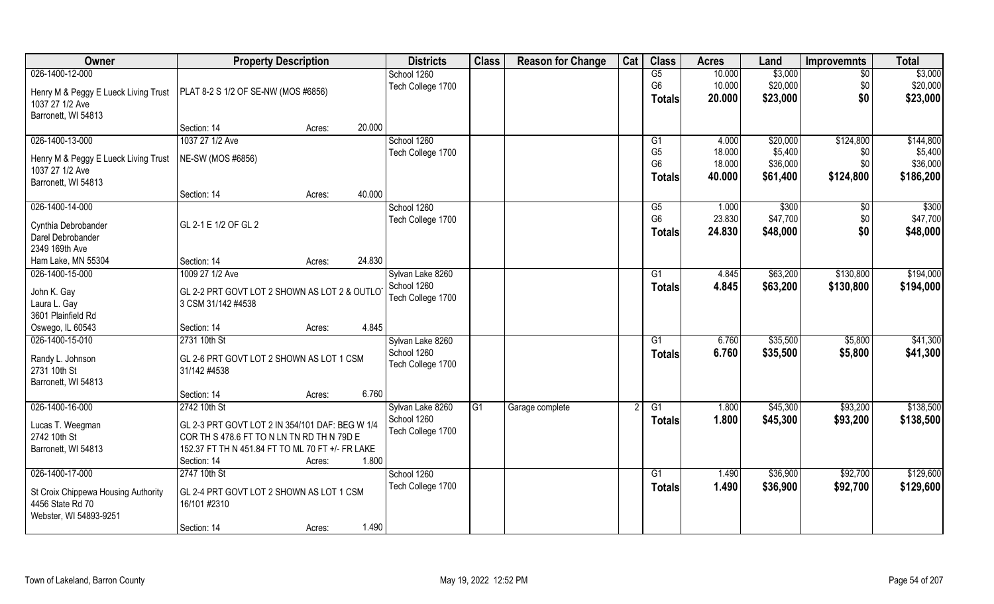| Owner                                                                      | <b>Property Description</b>                                         |        | <b>Districts</b> | <b>Class</b>                    | <b>Reason for Change</b> | Cat             | <b>Class</b> | <b>Acres</b>   | Land           | <b>Improvemnts</b> | <b>Total</b> |           |
|----------------------------------------------------------------------------|---------------------------------------------------------------------|--------|------------------|---------------------------------|--------------------------|-----------------|--------------|----------------|----------------|--------------------|--------------|-----------|
| 026-1400-12-000                                                            |                                                                     |        |                  | School 1260                     |                          |                 |              | G5             | 10.000         | \$3,000            | $\sqrt{6}$   | \$3,000   |
| Henry M & Peggy E Lueck Living Trust   PLAT 8-2 S 1/2 OF SE-NW (MOS #6856) |                                                                     |        |                  | Tech College 1700               |                          |                 |              | G <sub>6</sub> | 10.000         | \$20,000           | \$0          | \$20,000  |
| 1037 27 1/2 Ave                                                            |                                                                     |        |                  |                                 |                          |                 |              | <b>Totals</b>  | 20.000         | \$23,000           | \$0          | \$23,000  |
| Barronett, WI 54813                                                        |                                                                     |        |                  |                                 |                          |                 |              |                |                |                    |              |           |
|                                                                            | Section: 14                                                         | Acres: | 20.000           |                                 |                          |                 |              |                |                |                    |              |           |
| 026-1400-13-000                                                            | 1037 27 1/2 Ave                                                     |        |                  | School 1260                     |                          |                 |              | G1             | 4.000          | \$20,000           | \$124,800    | \$144,800 |
| Henry M & Peggy E Lueck Living Trust                                       | NE-SW (MOS #6856)                                                   |        |                  | Tech College 1700               |                          |                 |              | G <sub>5</sub> | 18.000         | \$5,400            | \$0          | \$5,400   |
| 1037 27 1/2 Ave                                                            |                                                                     |        |                  |                                 |                          |                 |              | G <sub>6</sub> | 18.000         | \$36,000           | \$0          | \$36,000  |
| Barronett, WI 54813                                                        |                                                                     |        |                  |                                 |                          |                 |              | <b>Totals</b>  | 40.000         | \$61,400           | \$124,800    | \$186,200 |
|                                                                            | Section: 14                                                         | Acres: | 40.000           |                                 |                          |                 |              |                |                |                    |              |           |
| 026-1400-14-000                                                            |                                                                     |        |                  | School 1260                     |                          |                 |              | G5             | 1.000          | \$300              | \$0          | \$300     |
| Cynthia Debrobander                                                        | GL 2-1 E 1/2 OF GL 2                                                |        |                  | Tech College 1700               |                          |                 |              | G <sub>6</sub> | 23.830         | \$47,700           | \$0          | \$47,700  |
| Darel Debrobander                                                          |                                                                     |        |                  |                                 |                          |                 |              | <b>Totals</b>  | 24.830         | \$48,000           | \$0          | \$48,000  |
| 2349 169th Ave                                                             |                                                                     |        |                  |                                 |                          |                 |              |                |                |                    |              |           |
| Ham Lake, MN 55304                                                         | Section: 14                                                         | Acres: | 24.830           |                                 |                          |                 |              |                |                |                    |              |           |
| 026-1400-15-000                                                            | 1009 27 1/2 Ave                                                     |        |                  | Sylvan Lake 8260                |                          |                 |              | G1             | 4.845          | \$63,200           | \$130,800    | \$194,000 |
|                                                                            |                                                                     |        |                  | School 1260                     |                          |                 |              | <b>Totals</b>  | 4.845          | \$63,200           | \$130,800    | \$194,000 |
| John K. Gay<br>Laura L. Gay                                                | GL 2-2 PRT GOVT LOT 2 SHOWN AS LOT 2 & OUTLOT<br>3 CSM 31/142 #4538 |        |                  | Tech College 1700               |                          |                 |              |                |                |                    |              |           |
| 3601 Plainfield Rd                                                         |                                                                     |        |                  |                                 |                          |                 |              |                |                |                    |              |           |
| Oswego, IL 60543                                                           | Section: 14                                                         | Acres: | 4.845            |                                 |                          |                 |              |                |                |                    |              |           |
| 026-1400-15-010                                                            | 2731 10th St                                                        |        |                  | Sylvan Lake 8260                |                          |                 |              | G1             | 6.760          | \$35,500           | \$5,800      | \$41,300  |
|                                                                            |                                                                     |        |                  | School 1260                     |                          |                 |              | <b>Totals</b>  | 6.760          | \$35,500           | \$5,800      | \$41,300  |
| Randy L. Johnson                                                           | GL 2-6 PRT GOVT LOT 2 SHOWN AS LOT 1 CSM                            |        |                  | Tech College 1700               |                          |                 |              |                |                |                    |              |           |
| 2731 10th St                                                               | 31/142 #4538                                                        |        |                  |                                 |                          |                 |              |                |                |                    |              |           |
| Barronett, WI 54813                                                        |                                                                     |        | 6.760            |                                 |                          |                 |              |                |                |                    |              |           |
|                                                                            | Section: 14                                                         | Acres: |                  |                                 |                          |                 |              |                |                |                    |              | \$138,500 |
| 026-1400-16-000                                                            | 2742 10th St                                                        |        |                  | Sylvan Lake 8260<br>School 1260 | G1                       | Garage complete |              | G1             | 1.800<br>1.800 | \$45,300           | \$93,200     |           |
| Lucas T. Weegman                                                           | GL 2-3 PRT GOVT LOT 2 IN 354/101 DAF: BEG W 1/4                     |        |                  | Tech College 1700               |                          |                 |              | <b>Totals</b>  |                | \$45,300           | \$93,200     | \$138,500 |
| 2742 10th St                                                               | COR TH S 478.6 FT TO N LN TN RD TH N 79D E                          |        |                  |                                 |                          |                 |              |                |                |                    |              |           |
| Barronett, WI 54813                                                        | 152.37 FT TH N 451.84 FT TO ML 70 FT +/- FR LAKE                    |        |                  |                                 |                          |                 |              |                |                |                    |              |           |
|                                                                            | Section: 14                                                         | Acres: | 1.800            |                                 |                          |                 |              |                |                |                    |              |           |
| 026-1400-17-000                                                            | 2747 10th St                                                        |        |                  | School 1260                     |                          |                 |              | G1             | 1.490          | \$36,900           | \$92,700     | \$129,600 |
| St Croix Chippewa Housing Authority<br>4456 State Rd 70                    | GL 2-4 PRT GOVT LOT 2 SHOWN AS LOT 1 CSM<br>16/101 #2310            |        |                  | Tech College 1700               |                          |                 |              | <b>Totals</b>  | 1.490          | \$36,900           | \$92,700     | \$129,600 |
| Webster, WI 54893-9251                                                     |                                                                     |        |                  |                                 |                          |                 |              |                |                |                    |              |           |
|                                                                            | Section: 14                                                         | Acres: | 1.490            |                                 |                          |                 |              |                |                |                    |              |           |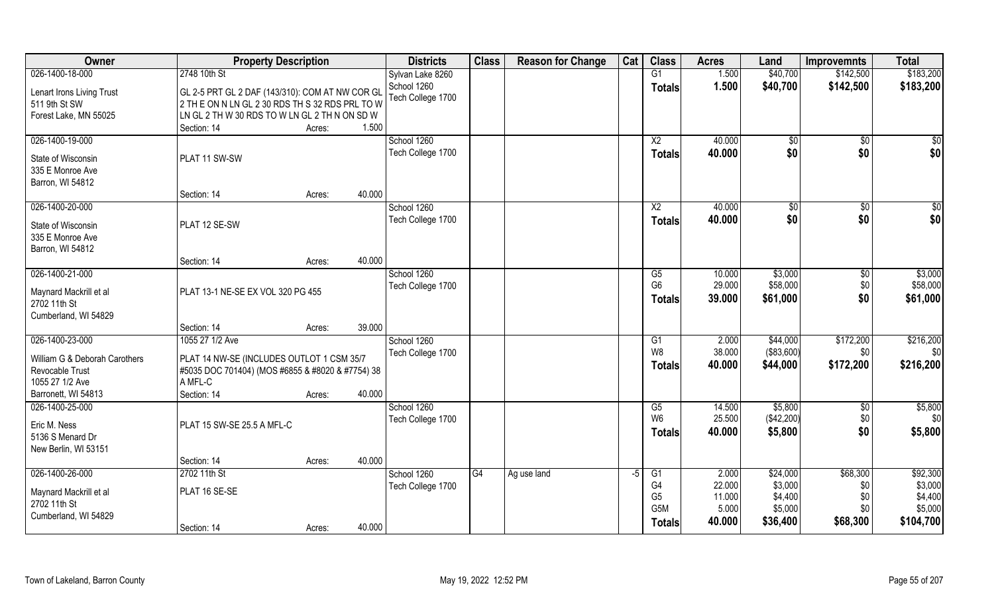| Owner                                  | <b>Property Description</b>                      |                  | <b>Districts</b>  | <b>Class</b> | <b>Reason for Change</b> | Cat  | <b>Class</b>           | <b>Acres</b> | Land          | <b>Improvemnts</b> | <b>Total</b>     |
|----------------------------------------|--------------------------------------------------|------------------|-------------------|--------------|--------------------------|------|------------------------|--------------|---------------|--------------------|------------------|
| 026-1400-18-000                        | 2748 10th St                                     |                  | Sylvan Lake 8260  |              |                          |      | G1                     | 1.500        | \$40,700      | \$142,500          | \$183,200        |
| Lenart Irons Living Trust              | GL 2-5 PRT GL 2 DAF (143/310): COM AT NW COR GL  |                  | School 1260       |              |                          |      | <b>Totals</b>          | 1.500        | \$40,700      | \$142,500          | \$183,200        |
| 511 9th St SW                          | 2 TH E ON N LN GL 2 30 RDS TH S 32 RDS PRL TO W  |                  | Tech College 1700 |              |                          |      |                        |              |               |                    |                  |
| Forest Lake, MN 55025                  | LN GL 2 TH W 30 RDS TO W LN GL 2 TH N ON SD W    |                  |                   |              |                          |      |                        |              |               |                    |                  |
|                                        | Section: 14                                      | 1.500<br>Acres:  |                   |              |                          |      |                        |              |               |                    |                  |
| 026-1400-19-000                        |                                                  |                  | School 1260       |              |                          |      | $\overline{\text{X2}}$ | 40.000       | $\sqrt[6]{}$  | $\overline{50}$    | $\overline{\$0}$ |
| State of Wisconsin                     | PLAT 11 SW-SW                                    |                  | Tech College 1700 |              |                          |      | <b>Totals</b>          | 40.000       | \$0           | \$0                | \$0              |
| 335 E Monroe Ave                       |                                                  |                  |                   |              |                          |      |                        |              |               |                    |                  |
| Barron, WI 54812                       |                                                  |                  |                   |              |                          |      |                        |              |               |                    |                  |
|                                        | Section: 14                                      | 40.000<br>Acres: |                   |              |                          |      |                        |              |               |                    |                  |
| 026-1400-20-000                        |                                                  |                  | School 1260       |              |                          |      | X <sub>2</sub>         | 40.000       | $\sqrt[6]{3}$ | \$0                | \$0              |
|                                        | PLAT 12 SE-SW                                    |                  | Tech College 1700 |              |                          |      | <b>Totals</b>          | 40.000       | \$0           | \$0                | \$0              |
| State of Wisconsin<br>335 E Monroe Ave |                                                  |                  |                   |              |                          |      |                        |              |               |                    |                  |
| Barron, WI 54812                       |                                                  |                  |                   |              |                          |      |                        |              |               |                    |                  |
|                                        | Section: 14                                      | 40.000<br>Acres: |                   |              |                          |      |                        |              |               |                    |                  |
| 026-1400-21-000                        |                                                  |                  | School 1260       |              |                          |      | G5                     | 10.000       | \$3,000       | \$0                | \$3,000          |
|                                        |                                                  |                  | Tech College 1700 |              |                          |      | G <sub>6</sub>         | 29.000       | \$58,000      | \$0                | \$58,000         |
| Maynard Mackrill et al                 | PLAT 13-1 NE-SE EX VOL 320 PG 455                |                  |                   |              |                          |      | <b>Totals</b>          | 39.000       | \$61,000      | \$0                | \$61,000         |
| 2702 11th St                           |                                                  |                  |                   |              |                          |      |                        |              |               |                    |                  |
| Cumberland, WI 54829                   |                                                  | 39.000           |                   |              |                          |      |                        |              |               |                    |                  |
| 026-1400-23-000                        | Section: 14<br>1055 27 1/2 Ave                   | Acres:           | School 1260       |              |                          |      | G1                     | 2.000        | \$44,000      | \$172,200          | \$216,200        |
|                                        |                                                  |                  | Tech College 1700 |              |                          |      | W8                     | 38.000       | (\$83,600)    | \$0                | \$0              |
| William G & Deborah Carothers          | PLAT 14 NW-SE (INCLUDES OUTLOT 1 CSM 35/7        |                  |                   |              |                          |      |                        | 40.000       | \$44,000      | \$172,200          | \$216,200        |
| Revocable Trust                        | #5035 DOC 701404) (MOS #6855 & #8020 & #7754) 38 |                  |                   |              |                          |      | Totals                 |              |               |                    |                  |
| 1055 27 1/2 Ave                        | A MFL-C                                          |                  |                   |              |                          |      |                        |              |               |                    |                  |
| Barronett, WI 54813                    | Section: 14                                      | 40.000<br>Acres: |                   |              |                          |      |                        |              |               |                    |                  |
| 026-1400-25-000                        |                                                  |                  | School 1260       |              |                          |      | G5                     | 14.500       | \$5,800       | \$0                | \$5,800          |
| Eric M. Ness                           | PLAT 15 SW-SE 25.5 A MFL-C                       |                  | Tech College 1700 |              |                          |      | W <sub>6</sub>         | 25.500       | (\$42,200)    | \$0                | \$0              |
| 5136 S Menard Dr                       |                                                  |                  |                   |              |                          |      | <b>Totals</b>          | 40.000       | \$5,800       | \$0                | \$5,800          |
| New Berlin, WI 53151                   |                                                  |                  |                   |              |                          |      |                        |              |               |                    |                  |
|                                        | Section: 14                                      | 40.000<br>Acres: |                   |              |                          |      |                        |              |               |                    |                  |
| 026-1400-26-000                        | 2702 11th St                                     |                  | School 1260       | G4           | Ag use land              | $-5$ | G1                     | 2.000        | \$24,000      | \$68,300           | \$92,300         |
| Maynard Mackrill et al                 | PLAT 16 SE-SE                                    |                  | Tech College 1700 |              |                          |      | G4                     | 22.000       | \$3,000       | \$0                | \$3,000          |
| 2702 11th St                           |                                                  |                  |                   |              |                          |      | G <sub>5</sub>         | 11.000       | \$4,400       | \$0                | \$4,400          |
| Cumberland, WI 54829                   |                                                  |                  |                   |              |                          |      | G <sub>5</sub> M       | 5.000        | \$5,000       | \$0                | \$5,000          |
|                                        | Section: 14                                      | 40.000<br>Acres: |                   |              |                          |      | <b>Totals</b>          | 40.000       | \$36,400      | \$68,300           | \$104,700        |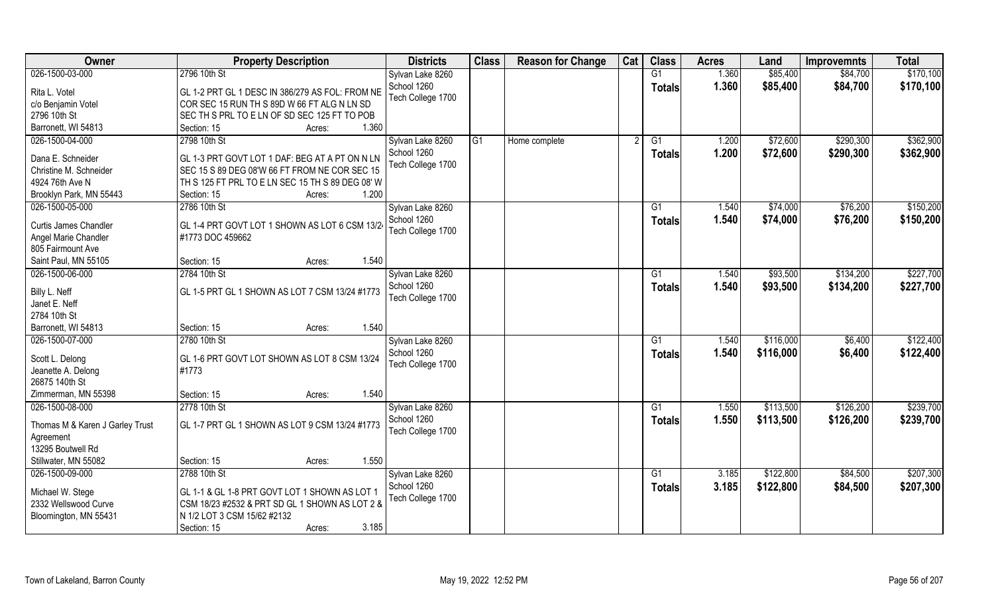| \$85,400<br>2796 10th St<br>G1<br>1.360<br>\$84,700<br>Sylvan Lake 8260<br>School 1260<br>1.360<br>\$85,400<br>\$84,700<br><b>Totals</b><br>Rita L. Votel<br>GL 1-2 PRT GL 1 DESC IN 386/279 AS FOL: FROM NE<br>Tech College 1700<br>c/o Benjamin Votel<br>COR SEC 15 RUN TH S 89D W 66 FT ALG N LN SD<br>2796 10th St<br>SEC TH S PRL TO E LN OF SD SEC 125 FT TO POB<br>Barronett, WI 54813<br>1.360<br>Section: 15<br>Acres:<br>026-1500-04-000<br>\$72,600<br>\$290,300<br>2798 10th St<br>Sylvan Lake 8260<br>$\overline{G1}$<br>$\overline{G1}$<br>1.200<br>Home complete<br>School 1260<br>1.200<br>\$72,600<br>\$290,300<br><b>Totals</b><br>Dana E. Schneider<br>GL 1-3 PRT GOVT LOT 1 DAF: BEG AT A PT ON N LN<br>Tech College 1700<br>Christine M. Schneider<br>SEC 15 S 89 DEG 08'W 66 FT FROM NE COR SEC 15<br>4924 76th Ave N<br>TH S 125 FT PRL TO E LN SEC 15 TH S 89 DEG 08' W<br>1.200<br>Brooklyn Park, MN 55443<br>Section: 15<br>Acres:<br>026-1500-05-000<br>Sylvan Lake 8260<br>\$76,200<br>2786 10th St<br>1.540<br>\$74,000<br>G1<br>School 1260<br>1.540<br>\$74,000<br>\$76,200<br>Totals<br>GL 1-4 PRT GOVT LOT 1 SHOWN AS LOT 6 CSM 13/2<br><b>Curtis James Chandler</b><br>Tech College 1700<br>Angel Marie Chandler<br>#1773 DOC 459662<br>805 Fairmount Ave<br>1.540<br>Saint Paul, MN 55105<br>Section: 15<br>Acres:<br>026-1500-06-000<br>2784 10th St<br>\$93,500<br>\$134,200<br>Sylvan Lake 8260<br>G1<br>1.540<br>School 1260<br>1.540<br>\$93,500<br>\$134,200<br><b>Totals</b><br>Billy L. Neff<br>GL 1-5 PRT GL 1 SHOWN AS LOT 7 CSM 13/24 #1773<br>Tech College 1700<br>Janet E. Neff<br>2784 10th St<br>1.540<br>Barronett, WI 54813<br>Section: 15<br>Acres:<br>026-1500-07-000<br>2780 10th St<br>\$116,000<br>\$6,400<br>G1<br>1.540<br>Sylvan Lake 8260<br>School 1260<br>1.540<br>\$116,000<br>\$6,400<br><b>Totals</b><br>Scott L. Delong<br>GL 1-6 PRT GOVT LOT SHOWN AS LOT 8 CSM 13/24<br>Tech College 1700<br>#1773<br>Jeanette A. Delong<br>26875 140th St<br>Zimmerman, MN 55398<br>1.540<br>Section: 15<br>Acres:<br>\$126,200<br>026-1500-08-000<br>2778 10th St<br>G1<br>1.550<br>\$113,500<br>Sylvan Lake 8260<br>School 1260<br>1.550<br>\$113,500<br>\$126,200<br><b>Totals</b><br>  GL 1-7 PRT GL 1 SHOWN AS LOT 9 CSM 13/24 #1773<br>Thomas M & Karen J Garley Trust<br>Tech College 1700 | Owner           | <b>Property Description</b> | <b>Districts</b> | <b>Class</b> | <b>Reason for Change</b> | Cat | <b>Class</b> | <b>Acres</b> | Land | <b>Improvemnts</b> | <b>Total</b> |
|----------------------------------------------------------------------------------------------------------------------------------------------------------------------------------------------------------------------------------------------------------------------------------------------------------------------------------------------------------------------------------------------------------------------------------------------------------------------------------------------------------------------------------------------------------------------------------------------------------------------------------------------------------------------------------------------------------------------------------------------------------------------------------------------------------------------------------------------------------------------------------------------------------------------------------------------------------------------------------------------------------------------------------------------------------------------------------------------------------------------------------------------------------------------------------------------------------------------------------------------------------------------------------------------------------------------------------------------------------------------------------------------------------------------------------------------------------------------------------------------------------------------------------------------------------------------------------------------------------------------------------------------------------------------------------------------------------------------------------------------------------------------------------------------------------------------------------------------------------------------------------------------------------------------------------------------------------------------------------------------------------------------------------------------------------------------------------------------------------------------------------------------------------------------------------------------------------------------------------------------------------------------------------------------------------------------------------------------------------|-----------------|-----------------------------|------------------|--------------|--------------------------|-----|--------------|--------------|------|--------------------|--------------|
|                                                                                                                                                                                                                                                                                                                                                                                                                                                                                                                                                                                                                                                                                                                                                                                                                                                                                                                                                                                                                                                                                                                                                                                                                                                                                                                                                                                                                                                                                                                                                                                                                                                                                                                                                                                                                                                                                                                                                                                                                                                                                                                                                                                                                                                                                                                                                          | 026-1500-03-000 |                             |                  |              |                          |     |              |              |      |                    | \$170,100    |
| \$362,900<br>\$362,900<br>\$150,200<br>\$150,200<br>\$227,700<br>\$227,700<br>\$122,400<br>\$122,400<br>\$239,700<br>\$239,700                                                                                                                                                                                                                                                                                                                                                                                                                                                                                                                                                                                                                                                                                                                                                                                                                                                                                                                                                                                                                                                                                                                                                                                                                                                                                                                                                                                                                                                                                                                                                                                                                                                                                                                                                                                                                                                                                                                                                                                                                                                                                                                                                                                                                           |                 |                             |                  |              |                          |     |              |              |      |                    | \$170,100    |
|                                                                                                                                                                                                                                                                                                                                                                                                                                                                                                                                                                                                                                                                                                                                                                                                                                                                                                                                                                                                                                                                                                                                                                                                                                                                                                                                                                                                                                                                                                                                                                                                                                                                                                                                                                                                                                                                                                                                                                                                                                                                                                                                                                                                                                                                                                                                                          |                 |                             |                  |              |                          |     |              |              |      |                    |              |
|                                                                                                                                                                                                                                                                                                                                                                                                                                                                                                                                                                                                                                                                                                                                                                                                                                                                                                                                                                                                                                                                                                                                                                                                                                                                                                                                                                                                                                                                                                                                                                                                                                                                                                                                                                                                                                                                                                                                                                                                                                                                                                                                                                                                                                                                                                                                                          |                 |                             |                  |              |                          |     |              |              |      |                    |              |
|                                                                                                                                                                                                                                                                                                                                                                                                                                                                                                                                                                                                                                                                                                                                                                                                                                                                                                                                                                                                                                                                                                                                                                                                                                                                                                                                                                                                                                                                                                                                                                                                                                                                                                                                                                                                                                                                                                                                                                                                                                                                                                                                                                                                                                                                                                                                                          |                 |                             |                  |              |                          |     |              |              |      |                    |              |
|                                                                                                                                                                                                                                                                                                                                                                                                                                                                                                                                                                                                                                                                                                                                                                                                                                                                                                                                                                                                                                                                                                                                                                                                                                                                                                                                                                                                                                                                                                                                                                                                                                                                                                                                                                                                                                                                                                                                                                                                                                                                                                                                                                                                                                                                                                                                                          |                 |                             |                  |              |                          |     |              |              |      |                    |              |
|                                                                                                                                                                                                                                                                                                                                                                                                                                                                                                                                                                                                                                                                                                                                                                                                                                                                                                                                                                                                                                                                                                                                                                                                                                                                                                                                                                                                                                                                                                                                                                                                                                                                                                                                                                                                                                                                                                                                                                                                                                                                                                                                                                                                                                                                                                                                                          |                 |                             |                  |              |                          |     |              |              |      |                    |              |
|                                                                                                                                                                                                                                                                                                                                                                                                                                                                                                                                                                                                                                                                                                                                                                                                                                                                                                                                                                                                                                                                                                                                                                                                                                                                                                                                                                                                                                                                                                                                                                                                                                                                                                                                                                                                                                                                                                                                                                                                                                                                                                                                                                                                                                                                                                                                                          |                 |                             |                  |              |                          |     |              |              |      |                    |              |
|                                                                                                                                                                                                                                                                                                                                                                                                                                                                                                                                                                                                                                                                                                                                                                                                                                                                                                                                                                                                                                                                                                                                                                                                                                                                                                                                                                                                                                                                                                                                                                                                                                                                                                                                                                                                                                                                                                                                                                                                                                                                                                                                                                                                                                                                                                                                                          |                 |                             |                  |              |                          |     |              |              |      |                    |              |
|                                                                                                                                                                                                                                                                                                                                                                                                                                                                                                                                                                                                                                                                                                                                                                                                                                                                                                                                                                                                                                                                                                                                                                                                                                                                                                                                                                                                                                                                                                                                                                                                                                                                                                                                                                                                                                                                                                                                                                                                                                                                                                                                                                                                                                                                                                                                                          |                 |                             |                  |              |                          |     |              |              |      |                    |              |
|                                                                                                                                                                                                                                                                                                                                                                                                                                                                                                                                                                                                                                                                                                                                                                                                                                                                                                                                                                                                                                                                                                                                                                                                                                                                                                                                                                                                                                                                                                                                                                                                                                                                                                                                                                                                                                                                                                                                                                                                                                                                                                                                                                                                                                                                                                                                                          |                 |                             |                  |              |                          |     |              |              |      |                    |              |
|                                                                                                                                                                                                                                                                                                                                                                                                                                                                                                                                                                                                                                                                                                                                                                                                                                                                                                                                                                                                                                                                                                                                                                                                                                                                                                                                                                                                                                                                                                                                                                                                                                                                                                                                                                                                                                                                                                                                                                                                                                                                                                                                                                                                                                                                                                                                                          |                 |                             |                  |              |                          |     |              |              |      |                    |              |
|                                                                                                                                                                                                                                                                                                                                                                                                                                                                                                                                                                                                                                                                                                                                                                                                                                                                                                                                                                                                                                                                                                                                                                                                                                                                                                                                                                                                                                                                                                                                                                                                                                                                                                                                                                                                                                                                                                                                                                                                                                                                                                                                                                                                                                                                                                                                                          |                 |                             |                  |              |                          |     |              |              |      |                    |              |
|                                                                                                                                                                                                                                                                                                                                                                                                                                                                                                                                                                                                                                                                                                                                                                                                                                                                                                                                                                                                                                                                                                                                                                                                                                                                                                                                                                                                                                                                                                                                                                                                                                                                                                                                                                                                                                                                                                                                                                                                                                                                                                                                                                                                                                                                                                                                                          |                 |                             |                  |              |                          |     |              |              |      |                    |              |
|                                                                                                                                                                                                                                                                                                                                                                                                                                                                                                                                                                                                                                                                                                                                                                                                                                                                                                                                                                                                                                                                                                                                                                                                                                                                                                                                                                                                                                                                                                                                                                                                                                                                                                                                                                                                                                                                                                                                                                                                                                                                                                                                                                                                                                                                                                                                                          |                 |                             |                  |              |                          |     |              |              |      |                    |              |
|                                                                                                                                                                                                                                                                                                                                                                                                                                                                                                                                                                                                                                                                                                                                                                                                                                                                                                                                                                                                                                                                                                                                                                                                                                                                                                                                                                                                                                                                                                                                                                                                                                                                                                                                                                                                                                                                                                                                                                                                                                                                                                                                                                                                                                                                                                                                                          |                 |                             |                  |              |                          |     |              |              |      |                    |              |
|                                                                                                                                                                                                                                                                                                                                                                                                                                                                                                                                                                                                                                                                                                                                                                                                                                                                                                                                                                                                                                                                                                                                                                                                                                                                                                                                                                                                                                                                                                                                                                                                                                                                                                                                                                                                                                                                                                                                                                                                                                                                                                                                                                                                                                                                                                                                                          |                 |                             |                  |              |                          |     |              |              |      |                    |              |
|                                                                                                                                                                                                                                                                                                                                                                                                                                                                                                                                                                                                                                                                                                                                                                                                                                                                                                                                                                                                                                                                                                                                                                                                                                                                                                                                                                                                                                                                                                                                                                                                                                                                                                                                                                                                                                                                                                                                                                                                                                                                                                                                                                                                                                                                                                                                                          |                 |                             |                  |              |                          |     |              |              |      |                    |              |
|                                                                                                                                                                                                                                                                                                                                                                                                                                                                                                                                                                                                                                                                                                                                                                                                                                                                                                                                                                                                                                                                                                                                                                                                                                                                                                                                                                                                                                                                                                                                                                                                                                                                                                                                                                                                                                                                                                                                                                                                                                                                                                                                                                                                                                                                                                                                                          |                 |                             |                  |              |                          |     |              |              |      |                    |              |
|                                                                                                                                                                                                                                                                                                                                                                                                                                                                                                                                                                                                                                                                                                                                                                                                                                                                                                                                                                                                                                                                                                                                                                                                                                                                                                                                                                                                                                                                                                                                                                                                                                                                                                                                                                                                                                                                                                                                                                                                                                                                                                                                                                                                                                                                                                                                                          |                 |                             |                  |              |                          |     |              |              |      |                    |              |
|                                                                                                                                                                                                                                                                                                                                                                                                                                                                                                                                                                                                                                                                                                                                                                                                                                                                                                                                                                                                                                                                                                                                                                                                                                                                                                                                                                                                                                                                                                                                                                                                                                                                                                                                                                                                                                                                                                                                                                                                                                                                                                                                                                                                                                                                                                                                                          |                 |                             |                  |              |                          |     |              |              |      |                    |              |
|                                                                                                                                                                                                                                                                                                                                                                                                                                                                                                                                                                                                                                                                                                                                                                                                                                                                                                                                                                                                                                                                                                                                                                                                                                                                                                                                                                                                                                                                                                                                                                                                                                                                                                                                                                                                                                                                                                                                                                                                                                                                                                                                                                                                                                                                                                                                                          |                 |                             |                  |              |                          |     |              |              |      |                    |              |
|                                                                                                                                                                                                                                                                                                                                                                                                                                                                                                                                                                                                                                                                                                                                                                                                                                                                                                                                                                                                                                                                                                                                                                                                                                                                                                                                                                                                                                                                                                                                                                                                                                                                                                                                                                                                                                                                                                                                                                                                                                                                                                                                                                                                                                                                                                                                                          |                 |                             |                  |              |                          |     |              |              |      |                    |              |
|                                                                                                                                                                                                                                                                                                                                                                                                                                                                                                                                                                                                                                                                                                                                                                                                                                                                                                                                                                                                                                                                                                                                                                                                                                                                                                                                                                                                                                                                                                                                                                                                                                                                                                                                                                                                                                                                                                                                                                                                                                                                                                                                                                                                                                                                                                                                                          |                 |                             |                  |              |                          |     |              |              |      |                    |              |
|                                                                                                                                                                                                                                                                                                                                                                                                                                                                                                                                                                                                                                                                                                                                                                                                                                                                                                                                                                                                                                                                                                                                                                                                                                                                                                                                                                                                                                                                                                                                                                                                                                                                                                                                                                                                                                                                                                                                                                                                                                                                                                                                                                                                                                                                                                                                                          |                 |                             |                  |              |                          |     |              |              |      |                    |              |
|                                                                                                                                                                                                                                                                                                                                                                                                                                                                                                                                                                                                                                                                                                                                                                                                                                                                                                                                                                                                                                                                                                                                                                                                                                                                                                                                                                                                                                                                                                                                                                                                                                                                                                                                                                                                                                                                                                                                                                                                                                                                                                                                                                                                                                                                                                                                                          |                 |                             |                  |              |                          |     |              |              |      |                    |              |
|                                                                                                                                                                                                                                                                                                                                                                                                                                                                                                                                                                                                                                                                                                                                                                                                                                                                                                                                                                                                                                                                                                                                                                                                                                                                                                                                                                                                                                                                                                                                                                                                                                                                                                                                                                                                                                                                                                                                                                                                                                                                                                                                                                                                                                                                                                                                                          |                 |                             |                  |              |                          |     |              |              |      |                    |              |
|                                                                                                                                                                                                                                                                                                                                                                                                                                                                                                                                                                                                                                                                                                                                                                                                                                                                                                                                                                                                                                                                                                                                                                                                                                                                                                                                                                                                                                                                                                                                                                                                                                                                                                                                                                                                                                                                                                                                                                                                                                                                                                                                                                                                                                                                                                                                                          |                 |                             |                  |              |                          |     |              |              |      |                    |              |
|                                                                                                                                                                                                                                                                                                                                                                                                                                                                                                                                                                                                                                                                                                                                                                                                                                                                                                                                                                                                                                                                                                                                                                                                                                                                                                                                                                                                                                                                                                                                                                                                                                                                                                                                                                                                                                                                                                                                                                                                                                                                                                                                                                                                                                                                                                                                                          |                 |                             |                  |              |                          |     |              |              |      |                    |              |
|                                                                                                                                                                                                                                                                                                                                                                                                                                                                                                                                                                                                                                                                                                                                                                                                                                                                                                                                                                                                                                                                                                                                                                                                                                                                                                                                                                                                                                                                                                                                                                                                                                                                                                                                                                                                                                                                                                                                                                                                                                                                                                                                                                                                                                                                                                                                                          |                 |                             |                  |              |                          |     |              |              |      |                    |              |
|                                                                                                                                                                                                                                                                                                                                                                                                                                                                                                                                                                                                                                                                                                                                                                                                                                                                                                                                                                                                                                                                                                                                                                                                                                                                                                                                                                                                                                                                                                                                                                                                                                                                                                                                                                                                                                                                                                                                                                                                                                                                                                                                                                                                                                                                                                                                                          | Agreement       |                             |                  |              |                          |     |              |              |      |                    |              |
| 13295 Boutwell Rd                                                                                                                                                                                                                                                                                                                                                                                                                                                                                                                                                                                                                                                                                                                                                                                                                                                                                                                                                                                                                                                                                                                                                                                                                                                                                                                                                                                                                                                                                                                                                                                                                                                                                                                                                                                                                                                                                                                                                                                                                                                                                                                                                                                                                                                                                                                                        |                 |                             |                  |              |                          |     |              |              |      |                    |              |
| 1.550<br>Stillwater, MN 55082<br>Section: 15<br>Acres:                                                                                                                                                                                                                                                                                                                                                                                                                                                                                                                                                                                                                                                                                                                                                                                                                                                                                                                                                                                                                                                                                                                                                                                                                                                                                                                                                                                                                                                                                                                                                                                                                                                                                                                                                                                                                                                                                                                                                                                                                                                                                                                                                                                                                                                                                                   |                 |                             |                  |              |                          |     |              |              |      |                    |              |
| \$122,800<br>\$84,500<br>\$207,300<br>026-1500-09-000<br>2788 10th St<br>Sylvan Lake 8260<br>G1<br>3.185                                                                                                                                                                                                                                                                                                                                                                                                                                                                                                                                                                                                                                                                                                                                                                                                                                                                                                                                                                                                                                                                                                                                                                                                                                                                                                                                                                                                                                                                                                                                                                                                                                                                                                                                                                                                                                                                                                                                                                                                                                                                                                                                                                                                                                                 |                 |                             |                  |              |                          |     |              |              |      |                    |              |
| School 1260<br>3.185<br>\$122,800<br>\$84,500<br>\$207,300<br><b>Totals</b><br>GL 1-1 & GL 1-8 PRT GOVT LOT 1 SHOWN AS LOT 1<br>Michael W. Stege                                                                                                                                                                                                                                                                                                                                                                                                                                                                                                                                                                                                                                                                                                                                                                                                                                                                                                                                                                                                                                                                                                                                                                                                                                                                                                                                                                                                                                                                                                                                                                                                                                                                                                                                                                                                                                                                                                                                                                                                                                                                                                                                                                                                         |                 |                             |                  |              |                          |     |              |              |      |                    |              |
| Tech College 1700<br>2332 Wellswood Curve<br>CSM 18/23 #2532 & PRT SD GL 1 SHOWN AS LOT 2 &                                                                                                                                                                                                                                                                                                                                                                                                                                                                                                                                                                                                                                                                                                                                                                                                                                                                                                                                                                                                                                                                                                                                                                                                                                                                                                                                                                                                                                                                                                                                                                                                                                                                                                                                                                                                                                                                                                                                                                                                                                                                                                                                                                                                                                                              |                 |                             |                  |              |                          |     |              |              |      |                    |              |
| N 1/2 LOT 3 CSM 15/62 #2132<br>Bloomington, MN 55431                                                                                                                                                                                                                                                                                                                                                                                                                                                                                                                                                                                                                                                                                                                                                                                                                                                                                                                                                                                                                                                                                                                                                                                                                                                                                                                                                                                                                                                                                                                                                                                                                                                                                                                                                                                                                                                                                                                                                                                                                                                                                                                                                                                                                                                                                                     |                 |                             |                  |              |                          |     |              |              |      |                    |              |
| 3.185<br>Section: 15<br>Acres:                                                                                                                                                                                                                                                                                                                                                                                                                                                                                                                                                                                                                                                                                                                                                                                                                                                                                                                                                                                                                                                                                                                                                                                                                                                                                                                                                                                                                                                                                                                                                                                                                                                                                                                                                                                                                                                                                                                                                                                                                                                                                                                                                                                                                                                                                                                           |                 |                             |                  |              |                          |     |              |              |      |                    |              |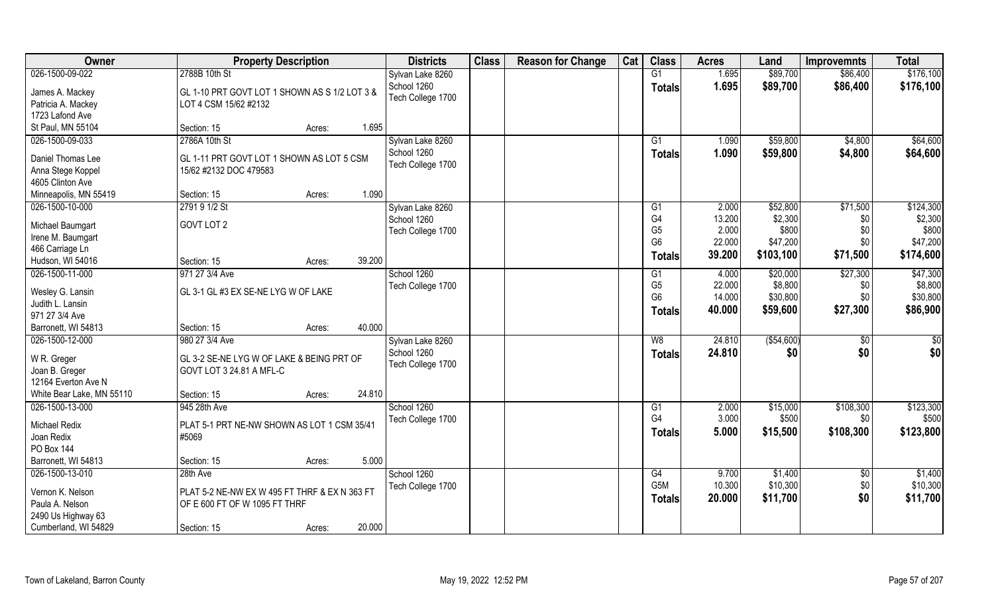| Owner                     | <b>Property Description</b>                   | <b>Districts</b>  | <b>Class</b> | <b>Reason for Change</b> | Cat | <b>Class</b>    | <b>Acres</b> | Land       | <b>Improvemnts</b> | <b>Total</b>    |
|---------------------------|-----------------------------------------------|-------------------|--------------|--------------------------|-----|-----------------|--------------|------------|--------------------|-----------------|
| 026-1500-09-022           | 2788B 10th St                                 | Sylvan Lake 8260  |              |                          |     | G1              | 1.695        | \$89,700   | \$86,400           | \$176,100       |
| James A. Mackey           | GL 1-10 PRT GOVT LOT 1 SHOWN AS S 1/2 LOT 3 & | School 1260       |              |                          |     | <b>Totals</b>   | 1.695        | \$89,700   | \$86,400           | \$176,100       |
| Patricia A. Mackey        | LOT 4 CSM 15/62 #2132                         | Tech College 1700 |              |                          |     |                 |              |            |                    |                 |
| 1723 Lafond Ave           |                                               |                   |              |                          |     |                 |              |            |                    |                 |
| St Paul, MN 55104         | Section: 15<br>Acres:                         | 1.695             |              |                          |     |                 |              |            |                    |                 |
| 026-1500-09-033           | 2786A 10th St                                 | Sylvan Lake 8260  |              |                          |     | $\overline{G1}$ | 1.090        | \$59,800   | \$4,800            | \$64,600        |
|                           |                                               | School 1260       |              |                          |     | Totals          | 1.090        | \$59,800   | \$4,800            | \$64,600        |
| Daniel Thomas Lee         | GL 1-11 PRT GOVT LOT 1 SHOWN AS LOT 5 CSM     | Tech College 1700 |              |                          |     |                 |              |            |                    |                 |
| Anna Stege Koppel         | 15/62 #2132 DOC 479583                        |                   |              |                          |     |                 |              |            |                    |                 |
| 4605 Clinton Ave          |                                               |                   |              |                          |     |                 |              |            |                    |                 |
| Minneapolis, MN 55419     | Section: 15<br>Acres:                         | 1.090             |              |                          |     |                 |              |            |                    |                 |
| 026-1500-10-000           | 2791 9 1/2 St                                 | Sylvan Lake 8260  |              |                          |     | G1              | 2.000        | \$52,800   | \$71,500           | \$124,300       |
| Michael Baumgart          | GOVT LOT 2                                    | School 1260       |              |                          |     | G4              | 13.200       | \$2,300    | \$0                | \$2,300         |
| Irene M. Baumgart         |                                               | Tech College 1700 |              |                          |     | G <sub>5</sub>  | 2.000        | \$800      | \$0                | \$800           |
| 466 Carriage Ln           |                                               |                   |              |                          |     | G <sub>6</sub>  | 22.000       | \$47,200   | \$0                | \$47,200        |
| Hudson, WI 54016          | Section: 15<br>Acres:                         | 39.200            |              |                          |     | Totals          | 39.200       | \$103,100  | \$71,500           | \$174,600       |
| 026-1500-11-000           | 971 27 3/4 Ave                                | School 1260       |              |                          |     | G1              | 4.000        | \$20,000   | \$27,300           | \$47,300        |
|                           |                                               | Tech College 1700 |              |                          |     | G <sub>5</sub>  | 22.000       | \$8,800    | \$0                | \$8,800         |
| Wesley G. Lansin          | GL 3-1 GL #3 EX SE-NE LYG W OF LAKE           |                   |              |                          |     | G <sub>6</sub>  | 14.000       | \$30,800   | \$0                | \$30,800        |
| Judith L. Lansin          |                                               |                   |              |                          |     | <b>Totals</b>   | 40.000       | \$59,600   | \$27,300           | \$86,900        |
| 971 27 3/4 Ave            |                                               |                   |              |                          |     |                 |              |            |                    |                 |
| Barronett, WI 54813       | Section: 15<br>Acres:                         | 40.000            |              |                          |     |                 |              |            |                    |                 |
| 026-1500-12-000           | 980 27 3/4 Ave                                | Sylvan Lake 8260  |              |                          |     | W8              | 24.810       | (\$54,600) | \$0                | $\overline{50}$ |
| W R. Greger               | GL 3-2 SE-NE LYG W OF LAKE & BEING PRT OF     | School 1260       |              |                          |     | Totals          | 24.810       | \$0        | \$0                | \$0             |
| Joan B. Greger            | GOVT LOT 3 24.81 A MFL-C                      | Tech College 1700 |              |                          |     |                 |              |            |                    |                 |
| 12164 Everton Ave N       |                                               |                   |              |                          |     |                 |              |            |                    |                 |
| White Bear Lake, MN 55110 | Section: 15<br>Acres:                         | 24.810            |              |                          |     |                 |              |            |                    |                 |
| 026-1500-13-000           | 945 28th Ave                                  | School 1260       |              |                          |     | G1              | 2.000        | \$15,000   | \$108,300          | \$123,300       |
|                           |                                               | Tech College 1700 |              |                          |     | G4              | 3.000        | \$500      | \$0                | \$500           |
| Michael Redix             | PLAT 5-1 PRT NE-NW SHOWN AS LOT 1 CSM 35/41   |                   |              |                          |     | <b>Totals</b>   | 5.000        | \$15,500   | \$108,300          | \$123,800       |
| Joan Redix                | #5069                                         |                   |              |                          |     |                 |              |            |                    |                 |
| PO Box 144                |                                               |                   |              |                          |     |                 |              |            |                    |                 |
| Barronett, WI 54813       | Section: 15<br>Acres:                         | 5.000             |              |                          |     |                 |              |            |                    |                 |
| 026-1500-13-010           | 28th Ave                                      | School 1260       |              |                          |     | G4              | 9.700        | \$1,400    | $\sqrt{$0}$        | \$1,400         |
| Vernon K. Nelson          | PLAT 5-2 NE-NW EX W 495 FT THRF & EX N 363 FT | Tech College 1700 |              |                          |     | G5M             | 10.300       | \$10,300   | \$0                | \$10,300        |
| Paula A. Nelson           | OF E 600 FT OF W 1095 FT THRF                 |                   |              |                          |     | <b>Totals</b>   | 20.000       | \$11,700   | \$0                | \$11,700        |
| 2490 Us Highway 63        |                                               |                   |              |                          |     |                 |              |            |                    |                 |
| Cumberland, WI 54829      | Section: 15<br>Acres:                         | 20.000            |              |                          |     |                 |              |            |                    |                 |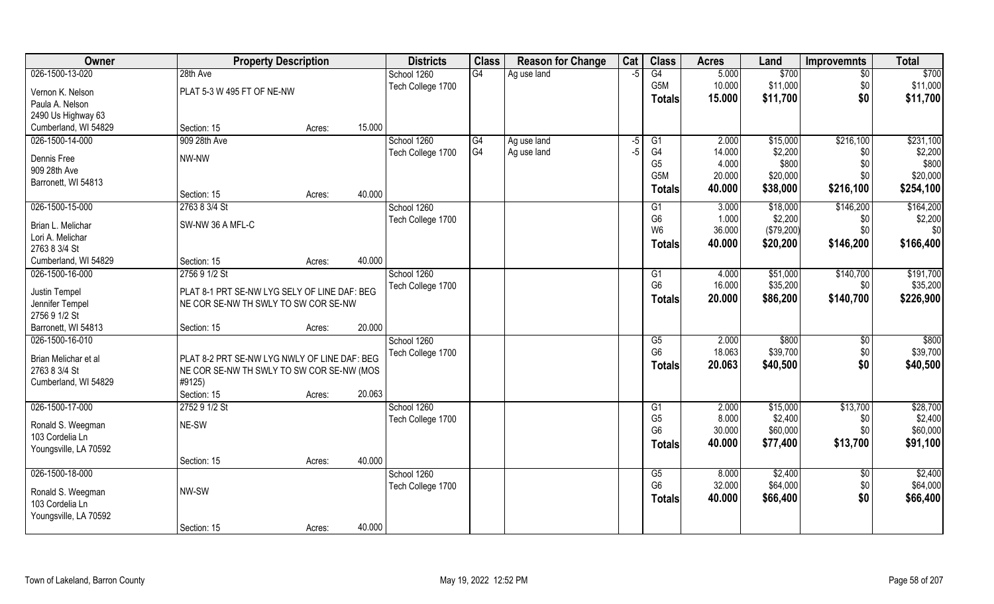| Owner                             | <b>Property Description</b>                  |        |        | <b>Districts</b>  | <b>Class</b>   | <b>Reason for Change</b> | Cat  | <b>Class</b>         | <b>Acres</b> | Land       | <b>Improvemnts</b> | <b>Total</b> |
|-----------------------------------|----------------------------------------------|--------|--------|-------------------|----------------|--------------------------|------|----------------------|--------------|------------|--------------------|--------------|
| 026-1500-13-020                   | 28th Ave                                     |        |        | School 1260       | G4             | Ag use land              | $-5$ | G4                   | 5.000        | \$700      | \$0                | \$700        |
| Vernon K. Nelson                  | PLAT 5-3 W 495 FT OF NE-NW                   |        |        | Tech College 1700 |                |                          |      | G5M                  | 10.000       | \$11,000   | \$0                | \$11,000     |
| Paula A. Nelson                   |                                              |        |        |                   |                |                          |      | <b>Totals</b>        | 15.000       | \$11,700   | \$0                | \$11,700     |
| 2490 Us Highway 63                |                                              |        |        |                   |                |                          |      |                      |              |            |                    |              |
| Cumberland, WI 54829              | Section: 15                                  | Acres: | 15.000 |                   |                |                          |      |                      |              |            |                    |              |
| 026-1500-14-000                   | 909 28th Ave                                 |        |        | School 1260       | G4             | Ag use land              | -5   | G1                   | 2.000        | \$15,000   | \$216,100          | \$231,100    |
| Dennis Free                       | NW-NW                                        |        |        | Tech College 1700 | G <sub>4</sub> | Ag use land              | -5   | G4                   | 14.000       | \$2,200    | \$0                | \$2,200      |
| 909 28th Ave                      |                                              |        |        |                   |                |                          |      | G <sub>5</sub>       | 4.000        | \$800      | \$0                | \$800        |
| Barronett, WI 54813               |                                              |        |        |                   |                |                          |      | G <sub>5</sub> M     | 20.000       | \$20,000   | \$0                | \$20,000     |
|                                   | Section: 15                                  | Acres: | 40.000 |                   |                |                          |      | <b>Totals</b>        | 40.000       | \$38,000   | \$216,100          | \$254,100    |
| 026-1500-15-000                   | 2763 8 3/4 St                                |        |        | School 1260       |                |                          |      | G1                   | 3.000        | \$18,000   | \$146,200          | \$164,200    |
|                                   |                                              |        |        | Tech College 1700 |                |                          |      | G <sub>6</sub>       | 1.000        | \$2,200    | \$0                | \$2,200      |
| Brian L. Melichar                 | SW-NW 36 A MFL-C                             |        |        |                   |                |                          |      | W <sub>6</sub>       | 36.000       | (\$79,200) | \$0                | \$0          |
| Lori A. Melichar<br>2763 8 3/4 St |                                              |        |        |                   |                |                          |      | Totals               | 40.000       | \$20,200   | \$146,200          | \$166,400    |
| Cumberland, WI 54829              | Section: 15                                  | Acres: | 40.000 |                   |                |                          |      |                      |              |            |                    |              |
| 026-1500-16-000                   | 2756 9 1/2 St                                |        |        | School 1260       |                |                          |      | G1                   | 4.000        | \$51,000   | \$140,700          | \$191,700    |
|                                   |                                              |        |        | Tech College 1700 |                |                          |      | G <sub>6</sub>       | 16.000       | \$35,200   | \$0                | \$35,200     |
| Justin Tempel                     | PLAT 8-1 PRT SE-NW LYG SELY OF LINE DAF: BEG |        |        |                   |                |                          |      | <b>Totals</b>        | 20.000       | \$86,200   | \$140,700          | \$226,900    |
| Jennifer Tempel                   | NE COR SE-NW TH SWLY TO SW COR SE-NW         |        |        |                   |                |                          |      |                      |              |            |                    |              |
| 2756 9 1/2 St                     |                                              |        |        |                   |                |                          |      |                      |              |            |                    |              |
| Barronett, WI 54813               | Section: 15                                  | Acres: | 20.000 |                   |                |                          |      |                      |              |            |                    |              |
| 026-1500-16-010                   |                                              |        |        | School 1260       |                |                          |      | G5<br>G <sub>6</sub> | 2.000        | \$800      | $\sqrt[6]{3}$      | \$800        |
| Brian Melichar et al              | PLAT 8-2 PRT SE-NW LYG NWLY OF LINE DAF: BEG |        |        | Tech College 1700 |                |                          |      |                      | 18.063       | \$39,700   | \$0                | \$39,700     |
| 2763 8 3/4 St                     | NE COR SE-NW TH SWLY TO SW COR SE-NW (MOS    |        |        |                   |                |                          |      | Totals               | 20.063       | \$40,500   | \$0                | \$40,500     |
| Cumberland, WI 54829              | #9125)                                       |        |        |                   |                |                          |      |                      |              |            |                    |              |
|                                   | Section: 15                                  | Acres: | 20.063 |                   |                |                          |      |                      |              |            |                    |              |
| 026-1500-17-000                   | 2752 9 1/2 St                                |        |        | School 1260       |                |                          |      | G1                   | 2.000        | \$15,000   | \$13,700           | \$28,700     |
| Ronald S. Weegman                 | NE-SW                                        |        |        | Tech College 1700 |                |                          |      | G <sub>5</sub>       | 8.000        | \$2,400    | \$0                | \$2,400      |
| 103 Cordelia Ln                   |                                              |        |        |                   |                |                          |      | G <sub>6</sub>       | 30.000       | \$60,000   | \$0\$              | \$60,000     |
| Youngsville, LA 70592             |                                              |        |        |                   |                |                          |      | <b>Totals</b>        | 40.000       | \$77,400   | \$13,700           | \$91,100     |
|                                   | Section: 15                                  | Acres: | 40.000 |                   |                |                          |      |                      |              |            |                    |              |
| 026-1500-18-000                   |                                              |        |        | School 1260       |                |                          |      | G5                   | 8.000        | \$2,400    | $\sqrt[6]{}$       | \$2,400      |
| Ronald S. Weegman                 | NW-SW                                        |        |        | Tech College 1700 |                |                          |      | G <sub>6</sub>       | 32.000       | \$64,000   | \$0                | \$64,000     |
| 103 Cordelia Ln                   |                                              |        |        |                   |                |                          |      | <b>Totals</b>        | 40.000       | \$66,400   | \$0                | \$66,400     |
| Youngsville, LA 70592             |                                              |        |        |                   |                |                          |      |                      |              |            |                    |              |
|                                   | Section: 15                                  | Acres: | 40.000 |                   |                |                          |      |                      |              |            |                    |              |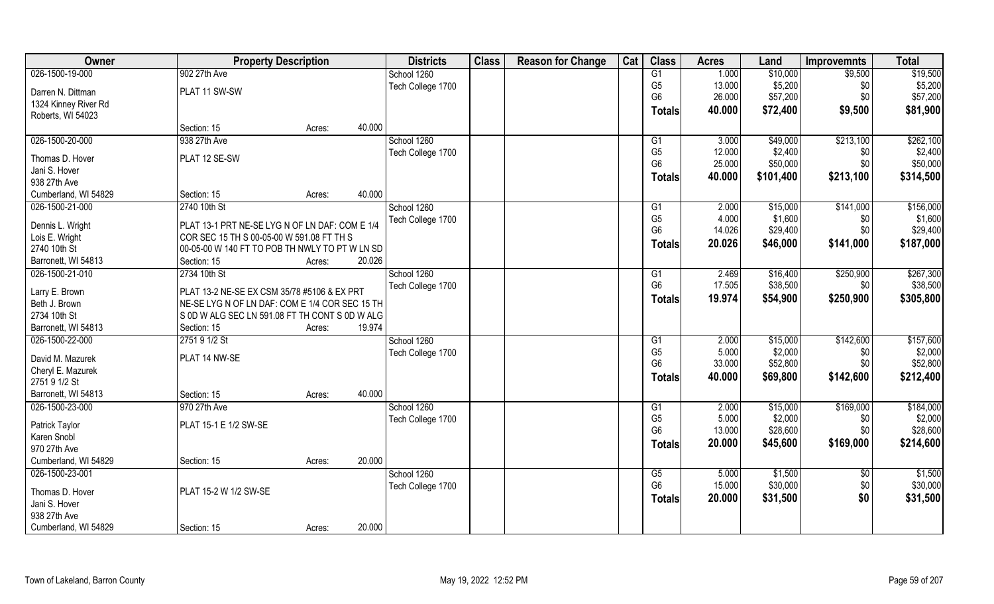| Owner                | <b>Property Description</b>                    |        |        | <b>Districts</b>  | <b>Class</b> | <b>Reason for Change</b> | Cat | <b>Class</b>   | <b>Acres</b> | Land      | <b>Improvemnts</b> | <b>Total</b> |
|----------------------|------------------------------------------------|--------|--------|-------------------|--------------|--------------------------|-----|----------------|--------------|-----------|--------------------|--------------|
| 026-1500-19-000      | 902 27th Ave                                   |        |        | School 1260       |              |                          |     | G1             | 1.000        | \$10,000  | \$9,500            | \$19,500     |
| Darren N. Dittman    | PLAT 11 SW-SW                                  |        |        | Tech College 1700 |              |                          |     | G <sub>5</sub> | 13.000       | \$5,200   | \$0                | \$5,200      |
| 1324 Kinney River Rd |                                                |        |        |                   |              |                          |     | G <sub>6</sub> | 26.000       | \$57,200  | \$0                | \$57,200     |
| Roberts, WI 54023    |                                                |        |        |                   |              |                          |     | Totals         | 40.000       | \$72,400  | \$9,500            | \$81,900     |
|                      | Section: 15                                    | Acres: | 40.000 |                   |              |                          |     |                |              |           |                    |              |
| 026-1500-20-000      | 938 27th Ave                                   |        |        | School 1260       |              |                          |     | G1             | 3.000        | \$49,000  | \$213,100          | \$262,100    |
| Thomas D. Hover      | PLAT 12 SE-SW                                  |        |        | Tech College 1700 |              |                          |     | G <sub>5</sub> | 12.000       | \$2,400   | \$0                | \$2,400      |
| Jani S. Hover        |                                                |        |        |                   |              |                          |     | G <sub>6</sub> | 25.000       | \$50,000  | \$0                | \$50,000     |
| 938 27th Ave         |                                                |        |        |                   |              |                          |     | Totals         | 40.000       | \$101,400 | \$213,100          | \$314,500    |
| Cumberland, WI 54829 | Section: 15                                    | Acres: | 40.000 |                   |              |                          |     |                |              |           |                    |              |
| 026-1500-21-000      | 2740 10th St                                   |        |        | School 1260       |              |                          |     | G1             | 2.000        | \$15,000  | \$141,000          | \$156,000    |
|                      |                                                |        |        | Tech College 1700 |              |                          |     | G <sub>5</sub> | 4.000        | \$1,600   | \$0                | \$1,600      |
| Dennis L. Wright     | PLAT 13-1 PRT NE-SE LYG N OF LN DAF: COM E 1/4 |        |        |                   |              |                          |     | G <sub>6</sub> | 14.026       | \$29,400  | \$0                | \$29,400     |
| Lois E. Wright       | COR SEC 15 TH S 00-05-00 W 591.08 FT TH S      |        |        |                   |              |                          |     | Totals         | 20.026       | \$46,000  | \$141,000          | \$187,000    |
| 2740 10th St         | 00-05-00 W 140 FT TO POB TH NWLY TO PT W LN SD |        |        |                   |              |                          |     |                |              |           |                    |              |
| Barronett, WI 54813  | Section: 15                                    | Acres: | 20.026 |                   |              |                          |     |                |              |           |                    |              |
| 026-1500-21-010      | 2734 10th St                                   |        |        | School 1260       |              |                          |     | G <sub>1</sub> | 2.469        | \$16,400  | \$250,900          | \$267,300    |
| Larry E. Brown       | PLAT 13-2 NE-SE EX CSM 35/78 #5106 & EX PRT    |        |        | Tech College 1700 |              |                          |     | G <sub>6</sub> | 17.505       | \$38,500  | \$0                | \$38,500     |
| Beth J. Brown        | NE-SE LYG N OF LN DAF: COM E 1/4 COR SEC 15 TH |        |        |                   |              |                          |     | <b>Totals</b>  | 19.974       | \$54,900  | \$250,900          | \$305,800    |
| 2734 10th St         | S 0D W ALG SEC LN 591.08 FT TH CONT S 0D W ALG |        |        |                   |              |                          |     |                |              |           |                    |              |
| Barronett, WI 54813  | Section: 15                                    | Acres: | 19.974 |                   |              |                          |     |                |              |           |                    |              |
| 026-1500-22-000      | 2751 9 1/2 St                                  |        |        | School 1260       |              |                          |     | G1             | 2.000        | \$15,000  | \$142,600          | \$157,600    |
| David M. Mazurek     | PLAT 14 NW-SE                                  |        |        | Tech College 1700 |              |                          |     | G <sub>5</sub> | 5.000        | \$2,000   | \$0                | \$2,000      |
| Cheryl E. Mazurek    |                                                |        |        |                   |              |                          |     | G <sub>6</sub> | 33.000       | \$52,800  | \$0                | \$52,800     |
| 2751 9 1/2 St        |                                                |        |        |                   |              |                          |     | <b>Totals</b>  | 40.000       | \$69,800  | \$142,600          | \$212,400    |
| Barronett, WI 54813  | Section: 15                                    | Acres: | 40.000 |                   |              |                          |     |                |              |           |                    |              |
| 026-1500-23-000      | 970 27th Ave                                   |        |        | School 1260       |              |                          |     | G1             | 2.000        | \$15,000  | \$169,000          | \$184,000    |
|                      |                                                |        |        | Tech College 1700 |              |                          |     | G <sub>5</sub> | 5.000        | \$2,000   | \$0                | \$2,000      |
| Patrick Taylor       | PLAT 15-1 E 1/2 SW-SE                          |        |        |                   |              |                          |     | G <sub>6</sub> | 13.000       | \$28,600  | \$0                | \$28,600     |
| Karen Snobl          |                                                |        |        |                   |              |                          |     | <b>Totals</b>  | 20.000       | \$45,600  | \$169,000          | \$214,600    |
| 970 27th Ave         |                                                |        |        |                   |              |                          |     |                |              |           |                    |              |
| Cumberland, WI 54829 | Section: 15                                    | Acres: | 20.000 |                   |              |                          |     |                |              |           |                    |              |
| 026-1500-23-001      |                                                |        |        | School 1260       |              |                          |     | G5             | 5.000        | \$1,500   | $\sqrt{$0}$        | \$1,500      |
| Thomas D. Hover      | PLAT 15-2 W 1/2 SW-SE                          |        |        | Tech College 1700 |              |                          |     | G <sub>6</sub> | 15.000       | \$30,000  | \$0                | \$30,000     |
| Jani S. Hover        |                                                |        |        |                   |              |                          |     | <b>Totals</b>  | 20.000       | \$31,500  | \$0                | \$31,500     |
| 938 27th Ave         |                                                |        |        |                   |              |                          |     |                |              |           |                    |              |
| Cumberland, WI 54829 | Section: 15                                    | Acres: | 20.000 |                   |              |                          |     |                |              |           |                    |              |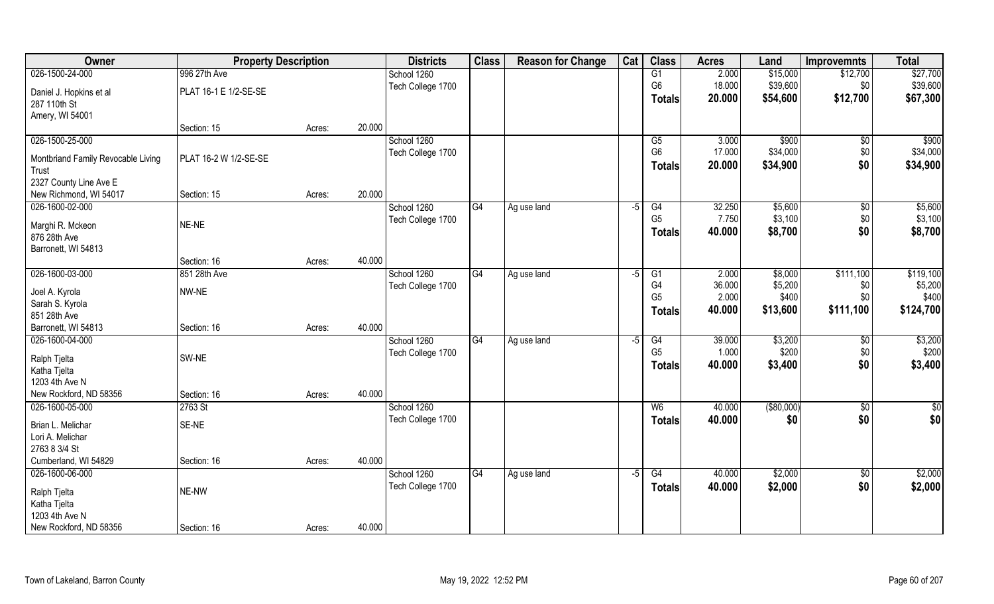| Owner                              | <b>Property Description</b> |        |        | <b>Districts</b>  | <b>Class</b>    | <b>Reason for Change</b> | Cat  | <b>Class</b>   | <b>Acres</b> | Land        | <b>Improvemnts</b> | <b>Total</b>  |
|------------------------------------|-----------------------------|--------|--------|-------------------|-----------------|--------------------------|------|----------------|--------------|-------------|--------------------|---------------|
| 026-1500-24-000                    | 996 27th Ave                |        |        | School 1260       |                 |                          |      | G1             | 2.000        | \$15,000    | \$12,700           | \$27,700      |
| Daniel J. Hopkins et al            | PLAT 16-1 E 1/2-SE-SE       |        |        | Tech College 1700 |                 |                          |      | G <sub>6</sub> | 18.000       | \$39,600    | \$0                | \$39,600      |
| 287 110th St                       |                             |        |        |                   |                 |                          |      | <b>Totals</b>  | 20.000       | \$54,600    | \$12,700           | \$67,300      |
| Amery, WI 54001                    |                             |        |        |                   |                 |                          |      |                |              |             |                    |               |
|                                    | Section: 15                 | Acres: | 20.000 |                   |                 |                          |      |                |              |             |                    |               |
| 026-1500-25-000                    |                             |        |        | School 1260       |                 |                          |      | G5             | 3.000        | \$900       | $\sqrt{$0}$        | \$900         |
| Montbriand Family Revocable Living | PLAT 16-2 W 1/2-SE-SE       |        |        | Tech College 1700 |                 |                          |      | G <sub>6</sub> | 17.000       | \$34,000    | \$0                | \$34,000      |
| Trust                              |                             |        |        |                   |                 |                          |      | <b>Totals</b>  | 20.000       | \$34,900    | \$0                | \$34,900      |
| 2327 County Line Ave E             |                             |        |        |                   |                 |                          |      |                |              |             |                    |               |
| New Richmond, WI 54017             | Section: 15                 | Acres: | 20.000 |                   |                 |                          |      |                |              |             |                    |               |
| 026-1600-02-000                    |                             |        |        | School 1260       | G4              | Ag use land              | $-5$ | G4             | 32.250       | \$5,600     | \$0                | \$5,600       |
| Marghi R. Mckeon                   | NE-NE                       |        |        | Tech College 1700 |                 |                          |      | G <sub>5</sub> | 7.750        | \$3,100     | \$0                | \$3,100       |
| 876 28th Ave                       |                             |        |        |                   |                 |                          |      | <b>Totals</b>  | 40.000       | \$8,700     | \$0                | \$8,700       |
| Barronett, WI 54813                |                             |        |        |                   |                 |                          |      |                |              |             |                    |               |
|                                    | Section: 16                 | Acres: | 40.000 |                   |                 |                          |      |                |              |             |                    |               |
| 026-1600-03-000                    | 851 28th Ave                |        |        | School 1260       | G4              | Ag use land              | $-5$ | G1             | 2.000        | \$8,000     | \$111,100          | \$119,100     |
|                                    | NW-NE                       |        |        | Tech College 1700 |                 |                          |      | G <sub>4</sub> | 36.000       | \$5,200     | \$0                | \$5,200       |
| Joel A. Kyrola<br>Sarah S. Kyrola  |                             |        |        |                   |                 |                          |      | G <sub>5</sub> | 2.000        | \$400       | \$0                | \$400         |
| 851 28th Ave                       |                             |        |        |                   |                 |                          |      | <b>Totals</b>  | 40.000       | \$13,600    | \$111,100          | \$124,700     |
| Barronett, WI 54813                | Section: 16                 | Acres: | 40.000 |                   |                 |                          |      |                |              |             |                    |               |
| 026-1600-04-000                    |                             |        |        | School 1260       | G4              | Ag use land              | $-5$ | G4             | 39.000       | \$3,200     | $\sqrt[6]{30}$     | \$3,200       |
|                                    |                             |        |        | Tech College 1700 |                 |                          |      | G <sub>5</sub> | 1.000        | \$200       | \$0                | \$200         |
| Ralph Tjelta                       | SW-NE                       |        |        |                   |                 |                          |      | <b>Totals</b>  | 40.000       | \$3,400     | \$0                | \$3,400       |
| Katha Tjelta<br>1203 4th Ave N     |                             |        |        |                   |                 |                          |      |                |              |             |                    |               |
| New Rockford, ND 58356             | Section: 16                 | Acres: | 40.000 |                   |                 |                          |      |                |              |             |                    |               |
| 026-1600-05-000                    | 2763 St                     |        |        | School 1260       |                 |                          |      | W <sub>6</sub> | 40.000       | ( \$80,000) | \$0                | $\frac{6}{3}$ |
|                                    |                             |        |        | Tech College 1700 |                 |                          |      | <b>Totals</b>  | 40.000       | \$0         | \$0                | \$0           |
| Brian L. Melichar                  | SE-NE                       |        |        |                   |                 |                          |      |                |              |             |                    |               |
| Lori A. Melichar                   |                             |        |        |                   |                 |                          |      |                |              |             |                    |               |
| 2763 8 3/4 St                      |                             |        |        |                   |                 |                          |      |                |              |             |                    |               |
| Cumberland, WI 54829               | Section: 16                 | Acres: | 40.000 |                   |                 |                          |      |                |              |             |                    |               |
| 026-1600-06-000                    |                             |        |        | School 1260       | $\overline{G4}$ | Ag use land              | $-5$ | G4             | 40.000       | \$2,000     | $\sqrt{$0}$        | \$2,000       |
| Ralph Tjelta                       | NE-NW                       |        |        | Tech College 1700 |                 |                          |      | <b>Totals</b>  | 40.000       | \$2,000     | \$0                | \$2,000       |
| Katha Tjelta                       |                             |        |        |                   |                 |                          |      |                |              |             |                    |               |
| 1203 4th Ave N                     |                             |        |        |                   |                 |                          |      |                |              |             |                    |               |
| New Rockford, ND 58356             | Section: 16                 | Acres: | 40.000 |                   |                 |                          |      |                |              |             |                    |               |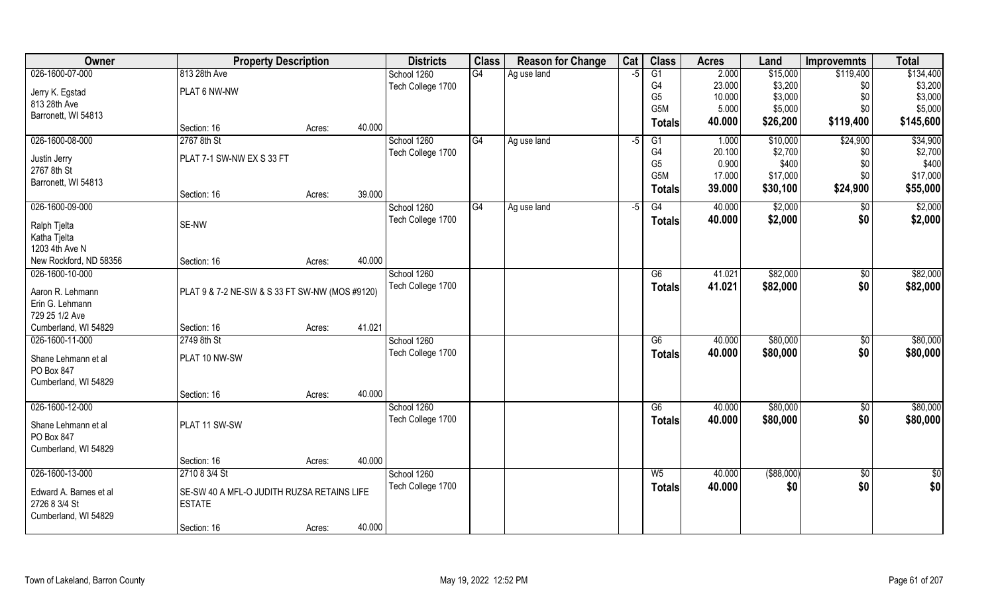| Owner                             | <b>Property Description</b>                    |        |        | <b>Districts</b>  | <b>Class</b> | <b>Reason for Change</b> | Cat | <b>Class</b>     | <b>Acres</b> | Land        | <b>Improvemnts</b> | <b>Total</b> |
|-----------------------------------|------------------------------------------------|--------|--------|-------------------|--------------|--------------------------|-----|------------------|--------------|-------------|--------------------|--------------|
| 026-1600-07-000                   | 813 28th Ave                                   |        |        | School 1260       | G4           | Ag use land              | -5  | G1               | 2.000        | \$15,000    | \$119,400          | \$134,400    |
| Jerry K. Egstad                   | PLAT 6 NW-NW                                   |        |        | Tech College 1700 |              |                          |     | G4               | 23.000       | \$3,200     | \$0                | \$3,200      |
| 813 28th Ave                      |                                                |        |        |                   |              |                          |     | G <sub>5</sub>   | 10.000       | \$3,000     | \$0                | \$3,000      |
| Barronett, WI 54813               |                                                |        |        |                   |              |                          |     | G <sub>5</sub> M | 5.000        | \$5,000     | \$0                | \$5,000      |
|                                   | Section: 16                                    | Acres: | 40.000 |                   |              |                          |     | <b>Totals</b>    | 40.000       | \$26,200    | \$119,400          | \$145,600    |
| 026-1600-08-000                   | 2767 8th St                                    |        |        | School 1260       | G4           | Ag use land              | -5  | G1               | 1.000        | \$10,000    | \$24,900           | \$34,900     |
|                                   | PLAT 7-1 SW-NW EX S 33 FT                      |        |        | Tech College 1700 |              |                          |     | G4               | 20.100       | \$2,700     | \$0                | \$2,700      |
| Justin Jerry<br>2767 8th St       |                                                |        |        |                   |              |                          |     | G <sub>5</sub>   | 0.900        | \$400       | \$0                | \$400        |
| Barronett, WI 54813               |                                                |        |        |                   |              |                          |     | G <sub>5</sub> M | 17.000       | \$17,000    | \$0                | \$17,000     |
|                                   | Section: 16                                    | Acres: | 39.000 |                   |              |                          |     | Totals           | 39.000       | \$30,100    | \$24,900           | \$55,000     |
| 026-1600-09-000                   |                                                |        |        | School 1260       | G4           | Ag use land              | -5  | G4               | 40.000       | \$2,000     | \$0                | \$2,000      |
| Ralph Tjelta                      | SE-NW                                          |        |        | Tech College 1700 |              |                          |     | <b>Totals</b>    | 40.000       | \$2,000     | \$0                | \$2,000      |
| Katha Tjelta                      |                                                |        |        |                   |              |                          |     |                  |              |             |                    |              |
| 1203 4th Ave N                    |                                                |        |        |                   |              |                          |     |                  |              |             |                    |              |
| New Rockford, ND 58356            | Section: 16                                    | Acres: | 40.000 |                   |              |                          |     |                  |              |             |                    |              |
| 026-1600-10-000                   |                                                |        |        | School 1260       |              |                          |     | G6               | 41.021       | \$82,000    | \$0                | \$82,000     |
|                                   |                                                |        |        | Tech College 1700 |              |                          |     | <b>Totals</b>    | 41.021       | \$82,000    | \$0                | \$82,000     |
| Aaron R. Lehmann                  | PLAT 9 & 7-2 NE-SW & S 33 FT SW-NW (MOS #9120) |        |        |                   |              |                          |     |                  |              |             |                    |              |
| Erin G. Lehmann<br>729 25 1/2 Ave |                                                |        |        |                   |              |                          |     |                  |              |             |                    |              |
| Cumberland, WI 54829              | Section: 16                                    | Acres: | 41.021 |                   |              |                          |     |                  |              |             |                    |              |
| 026-1600-11-000                   | 2749 8th St                                    |        |        | School 1260       |              |                          |     | $\overline{G6}$  | 40.000       | \$80,000    | $\overline{50}$    | \$80,000     |
|                                   |                                                |        |        | Tech College 1700 |              |                          |     |                  | 40.000       | \$80,000    | \$0                | \$80,000     |
| Shane Lehmann et al               | PLAT 10 NW-SW                                  |        |        |                   |              |                          |     | <b>Totals</b>    |              |             |                    |              |
| PO Box 847                        |                                                |        |        |                   |              |                          |     |                  |              |             |                    |              |
| Cumberland, WI 54829              |                                                |        |        |                   |              |                          |     |                  |              |             |                    |              |
|                                   | Section: 16                                    | Acres: | 40.000 |                   |              |                          |     |                  |              |             |                    |              |
| 026-1600-12-000                   |                                                |        |        | School 1260       |              |                          |     | G6               | 40.000       | \$80,000    | $\overline{50}$    | \$80,000     |
| Shane Lehmann et al               | PLAT 11 SW-SW                                  |        |        | Tech College 1700 |              |                          |     | <b>Totals</b>    | 40.000       | \$80,000    | \$0                | \$80,000     |
| PO Box 847                        |                                                |        |        |                   |              |                          |     |                  |              |             |                    |              |
| Cumberland, WI 54829              |                                                |        |        |                   |              |                          |     |                  |              |             |                    |              |
|                                   | Section: 16                                    | Acres: | 40.000 |                   |              |                          |     |                  |              |             |                    |              |
| 026-1600-13-000                   | 2710 8 3/4 St                                  |        |        | School 1260       |              |                          |     | W <sub>5</sub>   | 40.000       | ( \$88,000) | $\sqrt{6}$         | \$0          |
| Edward A. Barnes et al            | SE-SW 40 A MFL-O JUDITH RUZSA RETAINS LIFE     |        |        | Tech College 1700 |              |                          |     | Totals           | 40.000       | \$0         | \$0                | \$0          |
| 2726 8 3/4 St                     | <b>ESTATE</b>                                  |        |        |                   |              |                          |     |                  |              |             |                    |              |
| Cumberland, WI 54829              |                                                |        |        |                   |              |                          |     |                  |              |             |                    |              |
|                                   | Section: 16                                    | Acres: | 40.000 |                   |              |                          |     |                  |              |             |                    |              |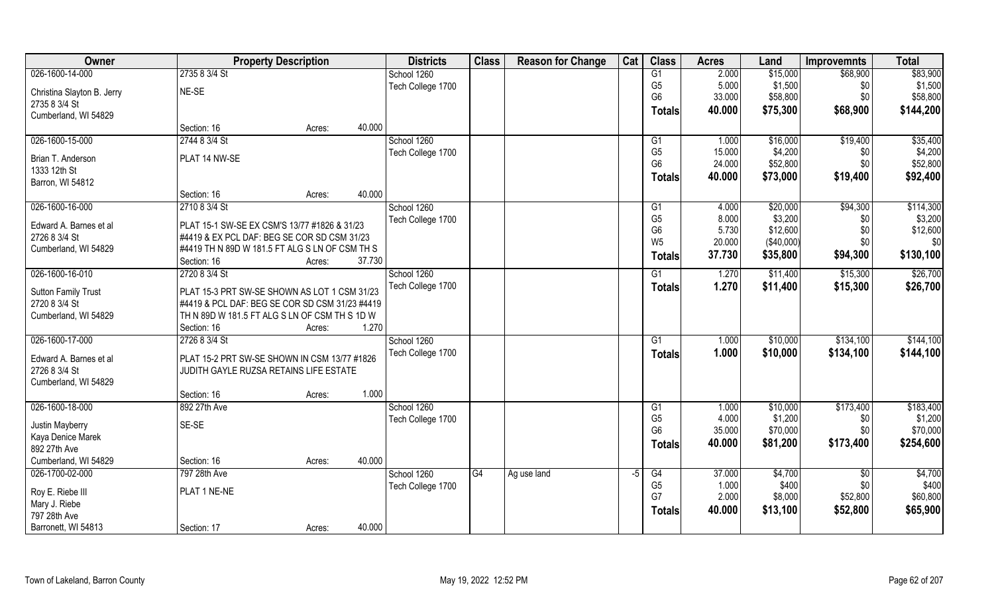| Owner                            | <b>Property Description</b>                    | <b>Districts</b>  | <b>Class</b> | <b>Reason for Change</b> | Cat  | <b>Class</b>                     | <b>Acres</b>   | Land                | <b>Improvemnts</b> | <b>Total</b>        |
|----------------------------------|------------------------------------------------|-------------------|--------------|--------------------------|------|----------------------------------|----------------|---------------------|--------------------|---------------------|
| 026-1600-14-000                  | 2735 8 3/4 St                                  | School 1260       |              |                          |      | G1                               | 2.000          | \$15,000            | \$68,900           | \$83,900            |
| Christina Slayton B. Jerry       | NE-SE                                          | Tech College 1700 |              |                          |      | G <sub>5</sub>                   | 5.000          | \$1,500             | \$0                | \$1,500             |
| 2735 8 3/4 St                    |                                                |                   |              |                          |      | G <sub>6</sub>                   | 33.000         | \$58,800            | \$0                | \$58,800            |
| Cumberland, WI 54829             |                                                |                   |              |                          |      | <b>Totals</b>                    | 40.000         | \$75,300            | \$68,900           | \$144,200           |
|                                  | 40.000<br>Section: 16<br>Acres:                |                   |              |                          |      |                                  |                |                     |                    |                     |
| 026-1600-15-000                  | 2744 8 3/4 St                                  | School 1260       |              |                          |      | G1                               | 1.000          | \$16,000            | \$19,400           | \$35,400            |
|                                  |                                                | Tech College 1700 |              |                          |      | G <sub>5</sub>                   | 15.000         | \$4,200             | \$0                | \$4,200             |
| Brian T. Anderson                | PLAT 14 NW-SE                                  |                   |              |                          |      | G <sub>6</sub>                   | 24.000         | \$52,800            | \$0                | \$52,800            |
| 1333 12th St<br>Barron, WI 54812 |                                                |                   |              |                          |      | <b>Totals</b>                    | 40.000         | \$73,000            | \$19,400           | \$92,400            |
|                                  | 40.000<br>Section: 16<br>Acres:                |                   |              |                          |      |                                  |                |                     |                    |                     |
| 026-1600-16-000                  | 2710 8 3/4 St                                  | School 1260       |              |                          |      | G1                               | 4.000          | \$20,000            | \$94,300           | \$114,300           |
|                                  |                                                | Tech College 1700 |              |                          |      | G <sub>5</sub>                   | 8.000          | \$3,200             | \$0                | \$3,200             |
| Edward A. Barnes et al           | PLAT 15-1 SW-SE EX CSM'S 13/77 #1826 & 31/23   |                   |              |                          |      | G <sub>6</sub>                   | 5.730          | \$12,600            | \$0                | \$12,600            |
| 2726 8 3/4 St                    | #4419 & EX PCL DAF: BEG SE COR SD CSM 31/23    |                   |              |                          |      | W <sub>5</sub>                   | 20.000         | (\$40,000)          | \$0                | \$0                 |
| Cumberland, WI 54829             | #4419 TH N 89D W 181.5 FT ALG S LN OF CSM TH S |                   |              |                          |      | <b>Totals</b>                    | 37.730         | \$35,800            | \$94,300           | \$130,100           |
|                                  | Section: 16<br>37.730<br>Acres:                |                   |              |                          |      |                                  |                |                     |                    |                     |
| 026-1600-16-010                  | 2720 8 3/4 St                                  | School 1260       |              |                          |      | G1                               | 1.270          | \$11,400            | \$15,300           | \$26,700            |
| Sutton Family Trust              | PLAT 15-3 PRT SW-SE SHOWN AS LOT 1 CSM 31/23   | Tech College 1700 |              |                          |      | <b>Totals</b>                    | 1.270          | \$11,400            | \$15,300           | \$26,700            |
| 2720 8 3/4 St                    | #4419 & PCL DAF: BEG SE COR SD CSM 31/23 #4419 |                   |              |                          |      |                                  |                |                     |                    |                     |
| Cumberland, WI 54829             | TH N 89D W 181.5 FT ALG S LN OF CSM TH S 1D W  |                   |              |                          |      |                                  |                |                     |                    |                     |
|                                  | 1.270<br>Section: 16<br>Acres:                 |                   |              |                          |      |                                  |                |                     |                    |                     |
| 026-1600-17-000                  | 2726 8 3/4 St                                  | School 1260       |              |                          |      | $\overline{G1}$                  | 1.000          | \$10,000            | \$134,100          | \$144,100           |
|                                  |                                                | Tech College 1700 |              |                          |      | <b>Totals</b>                    | 1.000          | \$10,000            | \$134,100          | \$144,100           |
| Edward A. Barnes et al           | PLAT 15-2 PRT SW-SE SHOWN IN CSM 13/77 #1826   |                   |              |                          |      |                                  |                |                     |                    |                     |
| 2726 8 3/4 St                    | JUDITH GAYLE RUZSA RETAINS LIFE ESTATE         |                   |              |                          |      |                                  |                |                     |                    |                     |
| Cumberland, WI 54829             |                                                |                   |              |                          |      |                                  |                |                     |                    |                     |
|                                  | 1.000<br>Section: 16<br>Acres:                 |                   |              |                          |      |                                  |                |                     |                    |                     |
| 026-1600-18-000                  | 892 27th Ave                                   | School 1260       |              |                          |      | G1                               | 1.000<br>4.000 | \$10,000<br>\$1,200 | \$173,400          | \$183,400           |
| Justin Mayberry                  | SE-SE                                          | Tech College 1700 |              |                          |      | G <sub>5</sub><br>G <sub>6</sub> | 35.000         | \$70,000            | \$0<br>\$0\$       | \$1,200<br>\$70,000 |
| Kaya Denice Marek                |                                                |                   |              |                          |      |                                  |                |                     |                    |                     |
| 892 27th Ave                     |                                                |                   |              |                          |      | <b>Totals</b>                    | 40.000         | \$81,200            | \$173,400          | \$254,600           |
| Cumberland, WI 54829             | 40.000<br>Section: 16<br>Acres:                |                   |              |                          |      |                                  |                |                     |                    |                     |
| 026-1700-02-000                  | 797 28th Ave                                   | School 1260       | G4           | Ag use land              | $-5$ | G4                               | 37.000         | \$4,700             | $\overline{60}$    | \$4,700             |
| Roy E. Riebe III                 | PLAT 1 NE-NE                                   | Tech College 1700 |              |                          |      | G <sub>5</sub>                   | 1.000          | \$400               | \$0                | \$400               |
| Mary J. Riebe                    |                                                |                   |              |                          |      | G7                               | 2.000          | \$8,000             | \$52,800           | \$60,800            |
| 797 28th Ave                     |                                                |                   |              |                          |      | <b>Totals</b>                    | 40.000         | \$13,100            | \$52,800           | \$65,900            |
| Barronett, WI 54813              | 40.000<br>Section: 17<br>Acres:                |                   |              |                          |      |                                  |                |                     |                    |                     |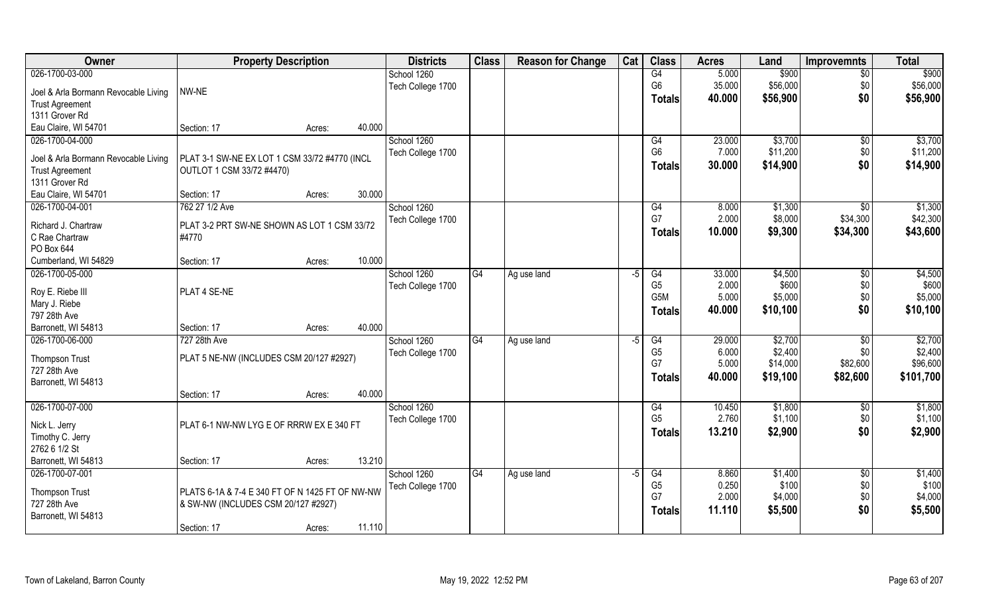| Owner                                | <b>Property Description</b>                     |        |        | <b>Districts</b>  | <b>Class</b> | <b>Reason for Change</b> | Cat  | <b>Class</b>     | <b>Acres</b> | Land     | <b>Improvemnts</b> | <b>Total</b> |
|--------------------------------------|-------------------------------------------------|--------|--------|-------------------|--------------|--------------------------|------|------------------|--------------|----------|--------------------|--------------|
| 026-1700-03-000                      |                                                 |        |        | School 1260       |              |                          |      | G4               | 5.000        | \$900    | $\overline{50}$    | \$900        |
| Joel & Arla Bormann Revocable Living | NW-NE                                           |        |        | Tech College 1700 |              |                          |      | G <sub>6</sub>   | 35.000       | \$56,000 | \$0                | \$56,000     |
| <b>Trust Agreement</b>               |                                                 |        |        |                   |              |                          |      | <b>Totals</b>    | 40.000       | \$56,900 | \$0                | \$56,900     |
| 1311 Grover Rd                       |                                                 |        |        |                   |              |                          |      |                  |              |          |                    |              |
| Eau Claire, WI 54701                 | Section: 17                                     | Acres: | 40.000 |                   |              |                          |      |                  |              |          |                    |              |
| 026-1700-04-000                      |                                                 |        |        | School 1260       |              |                          |      | G4               | 23.000       | \$3,700  | \$0                | \$3,700      |
|                                      |                                                 |        |        | Tech College 1700 |              |                          |      | G <sub>6</sub>   | 7.000        | \$11,200 | \$0                | \$11,200     |
| Joel & Arla Bormann Revocable Living | PLAT 3-1 SW-NE EX LOT 1 CSM 33/72 #4770 (INCL   |        |        |                   |              |                          |      | Totals           | 30.000       | \$14,900 | \$0                | \$14,900     |
| <b>Trust Agreement</b>               | OUTLOT 1 CSM 33/72 #4470)                       |        |        |                   |              |                          |      |                  |              |          |                    |              |
| 1311 Grover Rd                       |                                                 |        |        |                   |              |                          |      |                  |              |          |                    |              |
| Eau Claire, WI 54701                 | Section: 17                                     | Acres: | 30.000 |                   |              |                          |      |                  |              |          |                    |              |
| 026-1700-04-001                      | 762 27 1/2 Ave                                  |        |        | School 1260       |              |                          |      | G4               | 8.000        | \$1,300  | \$0                | \$1,300      |
| Richard J. Chartraw                  | PLAT 3-2 PRT SW-NE SHOWN AS LOT 1 CSM 33/72     |        |        | Tech College 1700 |              |                          |      | G7               | 2.000        | \$8,000  | \$34,300           | \$42,300     |
| C Rae Chartraw                       | #4770                                           |        |        |                   |              |                          |      | Totals           | 10.000       | \$9,300  | \$34,300           | \$43,600     |
| PO Box 644                           |                                                 |        |        |                   |              |                          |      |                  |              |          |                    |              |
| Cumberland, WI 54829                 | Section: 17                                     | Acres: | 10.000 |                   |              |                          |      |                  |              |          |                    |              |
| 026-1700-05-000                      |                                                 |        |        | School 1260       | G4           | Ag use land              | -5   | G4               | 33.000       | \$4,500  | $\sqrt[6]{3}$      | \$4,500      |
|                                      |                                                 |        |        | Tech College 1700 |              |                          |      | G <sub>5</sub>   | 2.000        | \$600    | \$0                | \$600        |
| Roy E. Riebe III                     | PLAT 4 SE-NE                                    |        |        |                   |              |                          |      | G <sub>5</sub> M | 5.000        | \$5,000  | \$0                | \$5,000      |
| Mary J. Riebe                        |                                                 |        |        |                   |              |                          |      | <b>Totals</b>    | 40.000       | \$10,100 | \$0                | \$10,100     |
| 797 28th Ave                         |                                                 |        |        |                   |              |                          |      |                  |              |          |                    |              |
| Barronett, WI 54813                  | Section: 17                                     | Acres: | 40.000 |                   |              |                          |      |                  |              |          |                    |              |
| 026-1700-06-000                      | 727 28th Ave                                    |        |        | School 1260       | G4           | Ag use land              | -5   | G4               | 29.000       | \$2,700  | $\overline{50}$    | \$2,700      |
| Thompson Trust                       | PLAT 5 NE-NW (INCLUDES CSM 20/127 #2927)        |        |        | Tech College 1700 |              |                          |      | G <sub>5</sub>   | 6.000        | \$2,400  | \$0                | \$2,400      |
| 727 28th Ave                         |                                                 |        |        |                   |              |                          |      | G7               | 5.000        | \$14,000 | \$82,600           | \$96,600     |
| Barronett, WI 54813                  |                                                 |        |        |                   |              |                          |      | <b>Totals</b>    | 40.000       | \$19,100 | \$82,600           | \$101,700    |
|                                      | Section: 17                                     | Acres: | 40.000 |                   |              |                          |      |                  |              |          |                    |              |
| 026-1700-07-000                      |                                                 |        |        | School 1260       |              |                          |      | G4               | 10.450       | \$1,800  | $\overline{50}$    | \$1,800      |
|                                      |                                                 |        |        | Tech College 1700 |              |                          |      | G <sub>5</sub>   | 2.760        | \$1,100  | \$0                | \$1,100      |
| Nick L. Jerry                        | PLAT 6-1 NW-NW LYG E OF RRRW EX E 340 FT        |        |        |                   |              |                          |      | <b>Totals</b>    | 13.210       | \$2,900  | \$0                | \$2,900      |
| Timothy C. Jerry                     |                                                 |        |        |                   |              |                          |      |                  |              |          |                    |              |
| 2762 6 1/2 St                        |                                                 |        |        |                   |              |                          |      |                  |              |          |                    |              |
| Barronett, WI 54813                  | Section: 17                                     | Acres: | 13.210 |                   |              |                          |      |                  |              |          |                    |              |
| 026-1700-07-001                      |                                                 |        |        | School 1260       | G4           | Ag use land              | $-5$ | G4               | 8.860        | \$1,400  | $\sqrt{6}$         | \$1,400      |
| <b>Thompson Trust</b>                | PLATS 6-1A & 7-4 E 340 FT OF N 1425 FT OF NW-NW |        |        | Tech College 1700 |              |                          |      | G <sub>5</sub>   | 0.250        | \$100    | \$0                | \$100        |
| 727 28th Ave                         | & SW-NW (INCLUDES CSM 20/127 #2927)             |        |        |                   |              |                          |      | G7               | 2.000        | \$4,000  | \$0                | \$4,000      |
| Barronett, WI 54813                  |                                                 |        |        |                   |              |                          |      | <b>Totals</b>    | 11.110       | \$5,500  | \$0                | \$5,500      |
|                                      | Section: 17                                     | Acres: | 11.110 |                   |              |                          |      |                  |              |          |                    |              |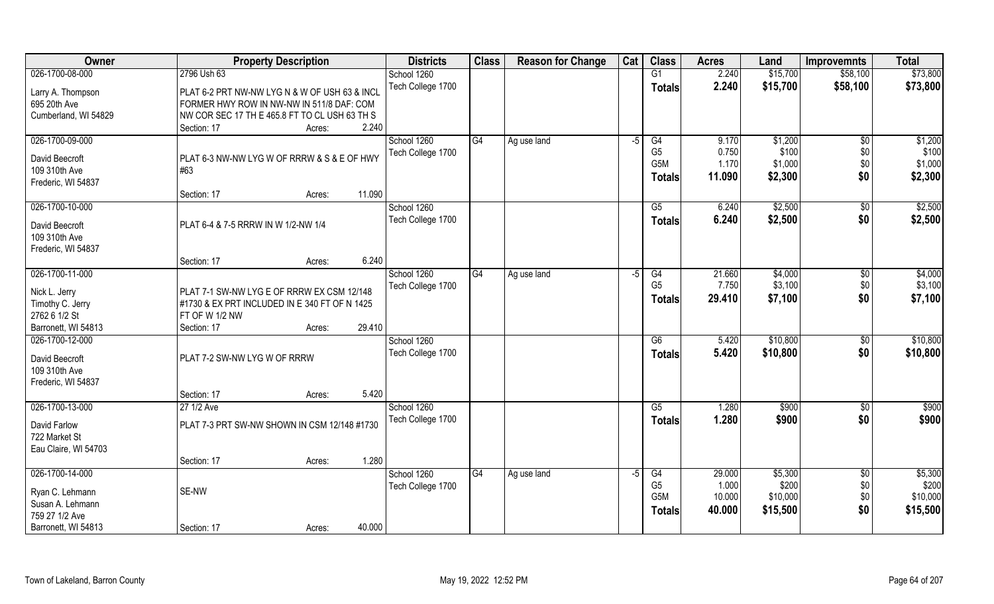| Owner                                                                    | <b>Property Description</b>                                                                                                                                                   | <b>Districts</b>                 | <b>Class</b>    | <b>Reason for Change</b> | Cat  | <b>Class</b>                                 | <b>Acres</b>                        | Land                                     | <b>Improvemnts</b>                   | <b>Total</b>                             |
|--------------------------------------------------------------------------|-------------------------------------------------------------------------------------------------------------------------------------------------------------------------------|----------------------------------|-----------------|--------------------------|------|----------------------------------------------|-------------------------------------|------------------------------------------|--------------------------------------|------------------------------------------|
| 026-1700-08-000                                                          | 2796 Ush 63                                                                                                                                                                   | School 1260                      |                 |                          |      | G1                                           | 2.240                               | \$15,700                                 | \$58,100                             | \$73,800                                 |
| Larry A. Thompson<br>695 20th Ave<br>Cumberland, WI 54829                | PLAT 6-2 PRT NW-NW LYG N & W OF USH 63 & INCL<br>FORMER HWY ROW IN NW-NW IN 511/8 DAF: COM<br>NW COR SEC 17 TH E 465.8 FT TO CL USH 63 TH S<br>2.240<br>Section: 17<br>Acres: | Tech College 1700                |                 |                          |      | <b>Totals</b>                                | 2.240                               | \$15,700                                 | \$58,100                             | \$73,800                                 |
| 026-1700-09-000                                                          |                                                                                                                                                                               | School 1260                      | G4              | Ag use land              | $-5$ | G4                                           | 9.170                               | \$1,200                                  | $\overline{50}$                      | \$1,200                                  |
| David Beecroft<br>109 310th Ave<br>Frederic, WI 54837                    | PLAT 6-3 NW-NW LYG W OF RRRW & S & E OF HWY<br>#63<br>11.090<br>Section: 17<br>Acres:                                                                                         | Tech College 1700                |                 |                          |      | G <sub>5</sub><br>G5M<br><b>Totals</b>       | 0.750<br>1.170<br>11.090            | \$100<br>\$1,000<br>\$2,300              | \$0<br>\$0<br>\$0                    | \$100<br>\$1,000<br>\$2,300              |
| 026-1700-10-000                                                          |                                                                                                                                                                               | School 1260                      |                 |                          |      | G5                                           | 6.240                               | \$2,500                                  | $\sqrt[6]{30}$                       | \$2,500                                  |
| David Beecroft<br>109 310th Ave<br>Frederic, WI 54837                    | PLAT 6-4 & 7-5 RRRW IN W 1/2-NW 1/4                                                                                                                                           | Tech College 1700                |                 |                          |      | <b>Totals</b>                                | 6.240                               | \$2,500                                  | \$0                                  | \$2,500                                  |
|                                                                          | 6.240<br>Section: 17<br>Acres:                                                                                                                                                |                                  |                 |                          |      |                                              |                                     |                                          |                                      |                                          |
| 026-1700-11-000<br>Nick L. Jerry<br>Timothy C. Jerry<br>2762 6 1/2 St    | PLAT 7-1 SW-NW LYG E OF RRRW EX CSM 12/148<br>#1730 & EX PRT INCLUDED IN E 340 FT OF N 1425<br>FT OF W 1/2 NW                                                                 | School 1260<br>Tech College 1700 | G4              | Ag use land              | -5   | G4<br>G <sub>5</sub><br><b>Totals</b>        | 21.660<br>7.750<br>29.410           | \$4,000<br>\$3,100<br>\$7,100            | \$0<br>\$0<br>\$0                    | \$4,000<br>\$3,100<br>\$7,100            |
| Barronett, WI 54813<br>026-1700-12-000                                   | 29.410<br>Section: 17<br>Acres:                                                                                                                                               | School 1260                      |                 |                          |      | $\overline{G6}$                              | 5.420                               | \$10,800                                 | $\sqrt[6]{3}$                        | \$10,800                                 |
| David Beecroft<br>109 310th Ave<br>Frederic, WI 54837                    | PLAT 7-2 SW-NW LYG W OF RRRW                                                                                                                                                  | Tech College 1700                |                 |                          |      | <b>Totals</b>                                | 5.420                               | \$10,800                                 | \$0                                  | \$10,800                                 |
|                                                                          | 5.420<br>Section: 17<br>Acres:                                                                                                                                                |                                  |                 |                          |      |                                              |                                     |                                          |                                      |                                          |
| 026-1700-13-000<br>David Farlow<br>722 Market St<br>Eau Claire, WI 54703 | 27 1/2 Ave<br>PLAT 7-3 PRT SW-NW SHOWN IN CSM 12/148 #1730                                                                                                                    | School 1260<br>Tech College 1700 |                 |                          |      | G5<br><b>Totals</b>                          | 1.280<br>1.280                      | \$900<br>\$900                           | \$0<br>\$0                           | \$900<br>\$900                           |
|                                                                          | 1.280<br>Section: 17<br>Acres:                                                                                                                                                |                                  |                 |                          |      |                                              |                                     |                                          |                                      |                                          |
| 026-1700-14-000<br>Ryan C. Lehmann<br>Susan A. Lehmann<br>759 27 1/2 Ave | SE-NW                                                                                                                                                                         | School 1260<br>Tech College 1700 | $\overline{G4}$ | Ag use land              | $-5$ | G4<br>G <sub>5</sub><br>G5M<br><b>Totals</b> | 29.000<br>1.000<br>10.000<br>40.000 | \$5,300<br>\$200<br>\$10,000<br>\$15,500 | $\overline{50}$<br>\$0<br>\$0<br>\$0 | \$5,300<br>\$200<br>\$10,000<br>\$15,500 |
| Barronett, WI 54813                                                      | 40.000<br>Section: 17<br>Acres:                                                                                                                                               |                                  |                 |                          |      |                                              |                                     |                                          |                                      |                                          |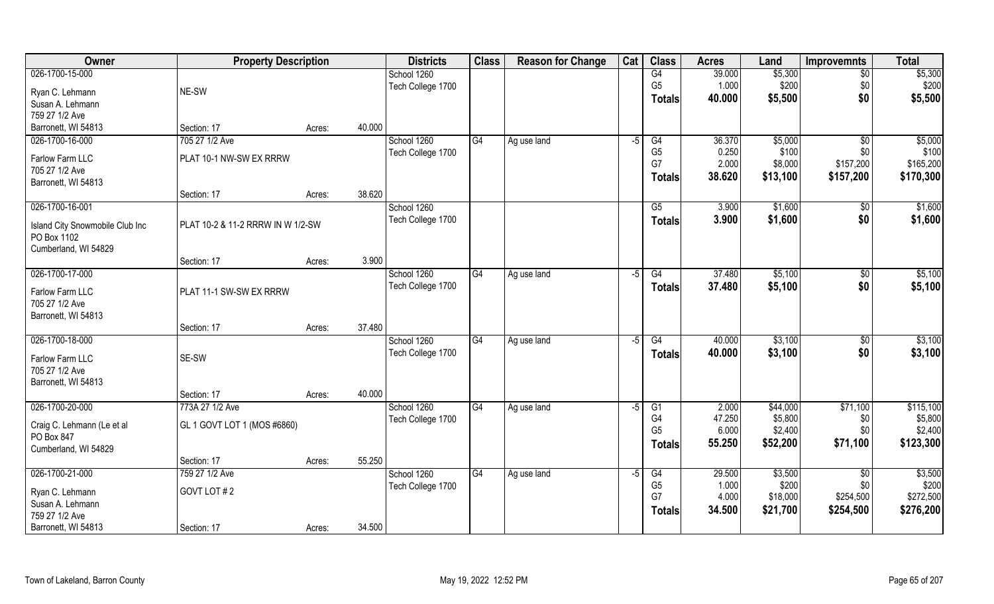| Owner                           | <b>Property Description</b>       |        | <b>Districts</b>                 | <b>Class</b> | <b>Reason for Change</b> | Cat  | <b>Class</b>   | <b>Acres</b> | Land     | <b>Improvemnts</b> | <b>Total</b> |
|---------------------------------|-----------------------------------|--------|----------------------------------|--------------|--------------------------|------|----------------|--------------|----------|--------------------|--------------|
| 026-1700-15-000                 |                                   |        | School 1260                      |              |                          |      | G4             | 39.000       | \$5,300  | $\sqrt{6}$         | \$5,300      |
| Ryan C. Lehmann                 | NE-SW                             |        | Tech College 1700                |              |                          |      | G <sub>5</sub> | 1.000        | \$200    | \$0                | \$200        |
| Susan A. Lehmann                |                                   |        |                                  |              |                          |      | <b>Totals</b>  | 40.000       | \$5,500  | \$0                | \$5,500      |
| 759 27 1/2 Ave                  |                                   |        |                                  |              |                          |      |                |              |          |                    |              |
| Barronett, WI 54813             | Section: 17                       | Acres: | 40.000                           |              |                          |      |                |              |          |                    |              |
| 026-1700-16-000                 | 705 27 1/2 Ave                    |        | School 1260                      | G4           | Ag use land              | -5   | G4             | 36.370       | \$5,000  | \$0                | \$5,000      |
|                                 |                                   |        | Tech College 1700                |              |                          |      | G <sub>5</sub> | 0.250        | \$100    | \$0                | \$100        |
| Farlow Farm LLC                 | PLAT 10-1 NW-SW EX RRRW           |        |                                  |              |                          |      | G7             | 2.000        | \$8,000  | \$157,200          | \$165,200    |
| 705 27 1/2 Ave                  |                                   |        |                                  |              |                          |      | <b>Totals</b>  | 38.620       | \$13,100 | \$157,200          | \$170,300    |
| Barronett, WI 54813             |                                   |        | 38.620                           |              |                          |      |                |              |          |                    |              |
| 026-1700-16-001                 | Section: 17                       | Acres: |                                  |              |                          |      | G5             | 3.900        |          |                    | \$1,600      |
|                                 |                                   |        | School 1260<br>Tech College 1700 |              |                          |      |                |              | \$1,600  | \$0                |              |
| Island City Snowmobile Club Inc | PLAT 10-2 & 11-2 RRRW IN W 1/2-SW |        |                                  |              |                          |      | <b>Totals</b>  | 3.900        | \$1,600  | \$0                | \$1,600      |
| PO Box 1102                     |                                   |        |                                  |              |                          |      |                |              |          |                    |              |
| Cumberland, WI 54829            |                                   |        |                                  |              |                          |      |                |              |          |                    |              |
|                                 | Section: 17                       | Acres: | 3.900                            |              |                          |      |                |              |          |                    |              |
| 026-1700-17-000                 |                                   |        | School 1260                      | G4           | Ag use land              | -5   | G4             | 37.480       | \$5,100  | $\sqrt[6]{3}$      | \$5,100      |
| Farlow Farm LLC                 | PLAT 11-1 SW-SW EX RRRW           |        | Tech College 1700                |              |                          |      | <b>Totals</b>  | 37.480       | \$5,100  | \$0                | \$5,100      |
| 705 27 1/2 Ave                  |                                   |        |                                  |              |                          |      |                |              |          |                    |              |
| Barronett, WI 54813             |                                   |        |                                  |              |                          |      |                |              |          |                    |              |
|                                 | Section: 17                       | Acres: | 37.480                           |              |                          |      |                |              |          |                    |              |
| 026-1700-18-000                 |                                   |        | School 1260                      | G4           | Ag use land              | $-5$ | G4             | 40.000       | \$3,100  | \$0                | \$3,100      |
|                                 |                                   |        | Tech College 1700                |              |                          |      | <b>Totals</b>  | 40.000       | \$3,100  | \$0                | \$3,100      |
| Farlow Farm LLC                 | SE-SW                             |        |                                  |              |                          |      |                |              |          |                    |              |
| 705 27 1/2 Ave                  |                                   |        |                                  |              |                          |      |                |              |          |                    |              |
| Barronett, WI 54813             | Section: 17                       | Acres: | 40.000                           |              |                          |      |                |              |          |                    |              |
| 026-1700-20-000                 | 773A 27 1/2 Ave                   |        | School 1260                      | G4           | Ag use land              | -5   | G1             | 2.000        | \$44,000 | \$71,100           | \$115,100    |
|                                 |                                   |        | Tech College 1700                |              |                          |      | G4             | 47.250       | \$5,800  | \$0                | \$5,800      |
| Craig C. Lehmann (Le et al      | GL 1 GOVT LOT 1 (MOS #6860)       |        |                                  |              |                          |      | G <sub>5</sub> | 6.000        | \$2,400  | \$0\$              | \$2,400      |
| PO Box 847                      |                                   |        |                                  |              |                          |      | <b>Totals</b>  | 55.250       | \$52,200 | \$71,100           | \$123,300    |
| Cumberland, WI 54829            |                                   |        |                                  |              |                          |      |                |              |          |                    |              |
|                                 | Section: 17                       | Acres: | 55.250                           |              |                          |      |                |              |          |                    |              |
| 026-1700-21-000                 | 759 27 1/2 Ave                    |        | School 1260                      | G4           | Ag use land              | $-5$ | G4             | 29.500       | \$3,500  | $\overline{50}$    | \$3,500      |
| Ryan C. Lehmann                 | GOVT LOT#2                        |        | Tech College 1700                |              |                          |      | G <sub>5</sub> | 1.000        | \$200    | \$0                | \$200        |
| Susan A. Lehmann                |                                   |        |                                  |              |                          |      | G7             | 4.000        | \$18,000 | \$254,500          | \$272,500    |
| 759 27 1/2 Ave                  |                                   |        |                                  |              |                          |      | Totals         | 34.500       | \$21,700 | \$254,500          | \$276,200    |
| Barronett, WI 54813             | Section: 17                       | Acres: | 34.500                           |              |                          |      |                |              |          |                    |              |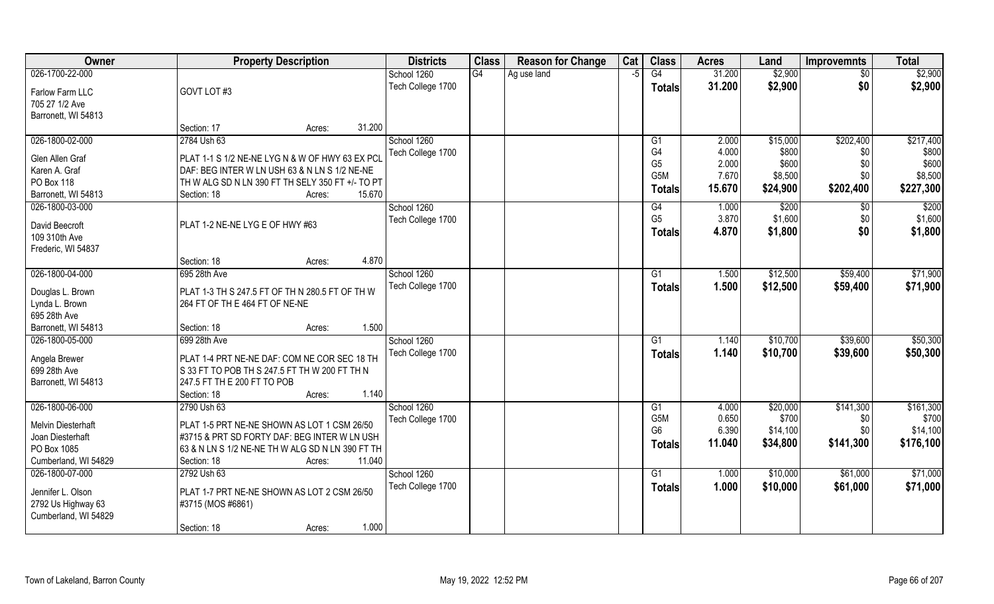| <b>Owner</b>                       | <b>Property Description</b>                                                       | <b>Districts</b>  | <b>Class</b> | <b>Reason for Change</b> | Cat  | <b>Class</b>   | <b>Acres</b> | Land     | <b>Improvemnts</b> | <b>Total</b> |
|------------------------------------|-----------------------------------------------------------------------------------|-------------------|--------------|--------------------------|------|----------------|--------------|----------|--------------------|--------------|
| 026-1700-22-000                    |                                                                                   | School 1260       | G4           | Ag use land              | $-5$ | G4             | 31.200       | \$2,900  | $\overline{50}$    | \$2,900      |
| Farlow Farm LLC                    | GOVT LOT#3                                                                        | Tech College 1700 |              |                          |      | <b>Totals</b>  | 31.200       | \$2,900  | \$0                | \$2,900      |
| 705 27 1/2 Ave                     |                                                                                   |                   |              |                          |      |                |              |          |                    |              |
| Barronett, WI 54813                |                                                                                   |                   |              |                          |      |                |              |          |                    |              |
|                                    | 31.200<br>Section: 17<br>Acres:                                                   |                   |              |                          |      |                |              |          |                    |              |
| 026-1800-02-000                    | 2784 Ush 63                                                                       | School 1260       |              |                          |      | G <sub>1</sub> | 2.000        | \$15,000 | \$202,400          | \$217,400    |
| Glen Allen Graf                    | PLAT 1-1 S 1/2 NE-NE LYG N & W OF HWY 63 EX PCI                                   | Tech College 1700 |              |                          |      | G4             | 4.000        | \$800    | \$0                | \$800        |
| Karen A. Graf                      | DAF: BEG INTER W LN USH 63 & N LN S 1/2 NE-NE                                     |                   |              |                          |      | G <sub>5</sub> | 2.000        | \$600    | \$0                | \$600        |
| PO Box 118                         | TH W ALG SD N LN 390 FT TH SELY 350 FT +/- TO PT                                  |                   |              |                          |      | G5M            | 7.670        | \$8,500  | \$0                | \$8,500      |
| Barronett, WI 54813                | 15.670<br>Section: 18<br>Acres:                                                   |                   |              |                          |      | <b>Totals</b>  | 15.670       | \$24,900 | \$202,400          | \$227,300    |
| 026-1800-03-000                    |                                                                                   | School 1260       |              |                          |      | G4             | 1.000        | \$200    | \$0                | \$200        |
| David Beecroft                     | PLAT 1-2 NE-NE LYG E OF HWY #63                                                   | Tech College 1700 |              |                          |      | G <sub>5</sub> | 3.870        | \$1,600  | \$0                | \$1,600      |
| 109 310th Ave                      |                                                                                   |                   |              |                          |      | <b>Totals</b>  | 4.870        | \$1,800  | \$0                | \$1,800      |
| Frederic, WI 54837                 |                                                                                   |                   |              |                          |      |                |              |          |                    |              |
|                                    | 4.870<br>Section: 18<br>Acres:                                                    |                   |              |                          |      |                |              |          |                    |              |
| 026-1800-04-000                    | 695 28th Ave                                                                      | School 1260       |              |                          |      | G1             | 1.500        | \$12,500 | \$59,400           | \$71,900     |
|                                    |                                                                                   | Tech College 1700 |              |                          |      | <b>Totals</b>  | 1.500        | \$12,500 | \$59,400           | \$71,900     |
| Douglas L. Brown<br>Lynda L. Brown | PLAT 1-3 TH S 247.5 FT OF TH N 280.5 FT OF TH W<br>264 FT OF TH E 464 FT OF NE-NE |                   |              |                          |      |                |              |          |                    |              |
| 695 28th Ave                       |                                                                                   |                   |              |                          |      |                |              |          |                    |              |
| Barronett, WI 54813                | 1.500<br>Section: 18<br>Acres:                                                    |                   |              |                          |      |                |              |          |                    |              |
| 026-1800-05-000                    | 699 28th Ave                                                                      | School 1260       |              |                          |      | G1             | 1.140        | \$10,700 | \$39,600           | \$50,300     |
|                                    |                                                                                   | Tech College 1700 |              |                          |      | <b>Totals</b>  | 1.140        | \$10,700 | \$39,600           | \$50,300     |
| Angela Brewer                      | PLAT 1-4 PRT NE-NE DAF: COM NE COR SEC 18 TH                                      |                   |              |                          |      |                |              |          |                    |              |
| 699 28th Ave                       | $\vert$ S 33 FT TO POB TH S 247.5 FT TH W 200 FT TH N                             |                   |              |                          |      |                |              |          |                    |              |
| Barronett, WI 54813                | 247.5 FT TH E 200 FT TO POB<br>1.140<br>Section: 18                               |                   |              |                          |      |                |              |          |                    |              |
| 026-1800-06-000                    | Acres:<br>2790 Ush 63                                                             | School 1260       |              |                          |      | G1             | 4.000        | \$20,000 | \$141,300          | \$161,300    |
|                                    |                                                                                   | Tech College 1700 |              |                          |      | G5M            | 0.650        | \$700    | \$0                | \$700        |
| Melvin Diesterhaft                 | PLAT 1-5 PRT NE-NE SHOWN AS LOT 1 CSM 26/50                                       |                   |              |                          |      | G <sub>6</sub> | 6.390        | \$14,100 | \$0                | \$14,100     |
| Joan Diesterhaft                   | #3715 & PRT SD FORTY DAF: BEG INTER W LN USH                                      |                   |              |                          |      | Totals         | 11.040       | \$34,800 | \$141,300          | \$176,100    |
| PO Box 1085                        | 63 & N LN S 1/2 NE-NE TH W ALG SD N LN 390 FT TH                                  |                   |              |                          |      |                |              |          |                    |              |
| Cumberland, WI 54829               | 11.040<br>Section: 18<br>Acres:                                                   |                   |              |                          |      |                |              |          |                    |              |
| 026-1800-07-000                    | 2792 Ush 63                                                                       | School 1260       |              |                          |      | G1             | 1.000        | \$10,000 | \$61,000           | \$71,000     |
| Jennifer L. Olson                  | PLAT 1-7 PRT NE-NE SHOWN AS LOT 2 CSM 26/50                                       | Tech College 1700 |              |                          |      | <b>Totals</b>  | 1.000        | \$10,000 | \$61,000           | \$71,000     |
| 2792 Us Highway 63                 | #3715 (MOS #6861)                                                                 |                   |              |                          |      |                |              |          |                    |              |
| Cumberland, WI 54829               |                                                                                   |                   |              |                          |      |                |              |          |                    |              |
|                                    | 1.000<br>Section: 18<br>Acres:                                                    |                   |              |                          |      |                |              |          |                    |              |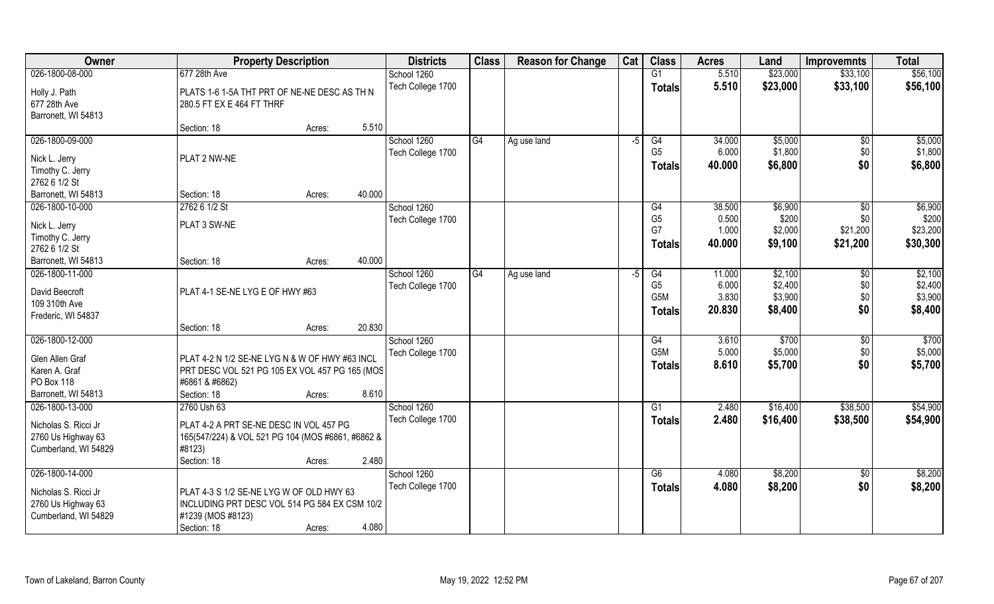| Owner                                                              | <b>Property Description</b>                                                                                                              | <b>Districts</b>  | <b>Class</b> | <b>Reason for Change</b> | Cat  | <b>Class</b>         | <b>Acres</b>    | Land               | <b>Improvemnts</b> | <b>Total</b>       |
|--------------------------------------------------------------------|------------------------------------------------------------------------------------------------------------------------------------------|-------------------|--------------|--------------------------|------|----------------------|-----------------|--------------------|--------------------|--------------------|
| 026-1800-08-000                                                    | 677 28th Ave                                                                                                                             | School 1260       |              |                          |      | G1                   | 5.510           | \$23,000           | \$33,100           | \$56,100           |
| Holly J. Path<br>677 28th Ave                                      | PLATS 1-6 1-5A THT PRT OF NE-NE DESC AS TH N<br>280.5 FT EX E 464 FT THRF                                                                | Tech College 1700 |              |                          |      | <b>Totals</b>        | 5.510           | \$23,000           | \$33,100           | \$56,100           |
| Barronett, WI 54813                                                |                                                                                                                                          |                   |              |                          |      |                      |                 |                    |                    |                    |
|                                                                    | 5.510<br>Section: 18<br>Acres:                                                                                                           |                   |              |                          |      |                      |                 |                    |                    |                    |
| 026-1800-09-000                                                    |                                                                                                                                          | School 1260       | G4           | Ag use land              | $-5$ | G4<br>G <sub>5</sub> | 34.000<br>6.000 | \$5,000<br>\$1,800 | $\sqrt{$0}$        | \$5,000<br>\$1,800 |
| Nick L. Jerry                                                      | PLAT 2 NW-NE                                                                                                                             | Tech College 1700 |              |                          |      |                      | 40.000          | \$6,800            | \$0<br>\$0         | \$6,800            |
| Timothy C. Jerry                                                   |                                                                                                                                          |                   |              |                          |      | <b>Totals</b>        |                 |                    |                    |                    |
| 2762 6 1/2 St                                                      |                                                                                                                                          |                   |              |                          |      |                      |                 |                    |                    |                    |
| Barronett, WI 54813                                                | 40.000<br>Section: 18<br>Acres:                                                                                                          |                   |              |                          |      |                      |                 |                    |                    |                    |
| 026-1800-10-000                                                    | 2762 6 1/2 St                                                                                                                            | School 1260       |              |                          |      | G4                   | 38.500          | \$6,900            | \$0                | \$6,900            |
| Nick L. Jerry                                                      | PLAT 3 SW-NE                                                                                                                             | Tech College 1700 |              |                          |      | G <sub>5</sub><br>G7 | 0.500<br>1.000  | \$200<br>\$2,000   | \$0<br>\$21,200    | \$200<br>\$23,200  |
| Timothy C. Jerry                                                   |                                                                                                                                          |                   |              |                          |      | <b>Totals</b>        | 40.000          | \$9,100            | \$21,200           | \$30,300           |
| 2762 6 1/2 St                                                      |                                                                                                                                          |                   |              |                          |      |                      |                 |                    |                    |                    |
| Barronett, WI 54813                                                | 40.000<br>Section: 18<br>Acres:                                                                                                          |                   |              |                          |      |                      |                 |                    |                    |                    |
| 026-1800-11-000                                                    |                                                                                                                                          | School 1260       | G4           | Ag use land              | -5   | G4                   | 11.000          | \$2,100            | \$0                | \$2,100            |
| David Beecroft                                                     | PLAT 4-1 SE-NE LYG E OF HWY #63                                                                                                          | Tech College 1700 |              |                          |      | G <sub>5</sub>       | 6.000           | \$2,400            | \$0                | \$2,400            |
| 109 310th Ave                                                      |                                                                                                                                          |                   |              |                          |      | G5M                  | 3.830           | \$3,900            | \$0<br>\$0         | \$3,900            |
| Frederic, WI 54837                                                 |                                                                                                                                          |                   |              |                          |      | <b>Totals</b>        | 20.830          | \$8,400            |                    | \$8,400            |
|                                                                    | 20.830<br>Section: 18<br>Acres:                                                                                                          |                   |              |                          |      |                      |                 |                    |                    |                    |
| 026-1800-12-000                                                    |                                                                                                                                          | School 1260       |              |                          |      | G4                   | 3.610           | \$700              | \$0                | \$700              |
| Glen Allen Graf                                                    | PLAT 4-2 N 1/2 SE-NE LYG N & W OF HWY #63 INCL                                                                                           | Tech College 1700 |              |                          |      | G <sub>5</sub> M     | 5.000           | \$5,000            | \$0                | \$5,000            |
| Karen A. Graf                                                      | PRT DESC VOL 521 PG 105 EX VOL 457 PG 165 (MOS                                                                                           |                   |              |                          |      | <b>Totals</b>        | 8.610           | \$5,700            | \$0                | \$5,700            |
| PO Box 118                                                         | #6861 & #6862)                                                                                                                           |                   |              |                          |      |                      |                 |                    |                    |                    |
| Barronett, WI 54813                                                | 8.610<br>Section: 18<br>Acres:                                                                                                           |                   |              |                          |      |                      |                 |                    |                    |                    |
| 026-1800-13-000                                                    | 2760 Ush 63                                                                                                                              | School 1260       |              |                          |      | G1                   | 2.480           | \$16,400           | \$38,500           | \$54,900           |
| Nicholas S. Ricci Jr<br>2760 Us Highway 63<br>Cumberland, WI 54829 | PLAT 4-2 A PRT SE-NE DESC IN VOL 457 PG<br>165(547/224) & VOL 521 PG 104 (MOS #6861, #6862 &<br>#8123)<br>2.480<br>Section: 18<br>Acres: | Tech College 1700 |              |                          |      | <b>Totals</b>        | 2.480           | \$16,400           | \$38,500           | \$54,900           |
| 026-1800-14-000                                                    |                                                                                                                                          | School 1260       |              |                          |      | G6                   | 4.080           | \$8,200            | $\sqrt{$0}$        | \$8,200            |
| Nicholas S. Ricci Jr<br>2760 Us Highway 63<br>Cumberland, WI 54829 | PLAT 4-3 S 1/2 SE-NE LYG W OF OLD HWY 63<br>INCLUDING PRT DESC VOL 514 PG 584 EX CSM 10/2<br>#1239 (MOS #8123)                           | Tech College 1700 |              |                          |      | <b>Totals</b>        | 4.080           | \$8,200            | \$0                | \$8,200            |
|                                                                    | 4.080<br>Section: 18<br>Acres:                                                                                                           |                   |              |                          |      |                      |                 |                    |                    |                    |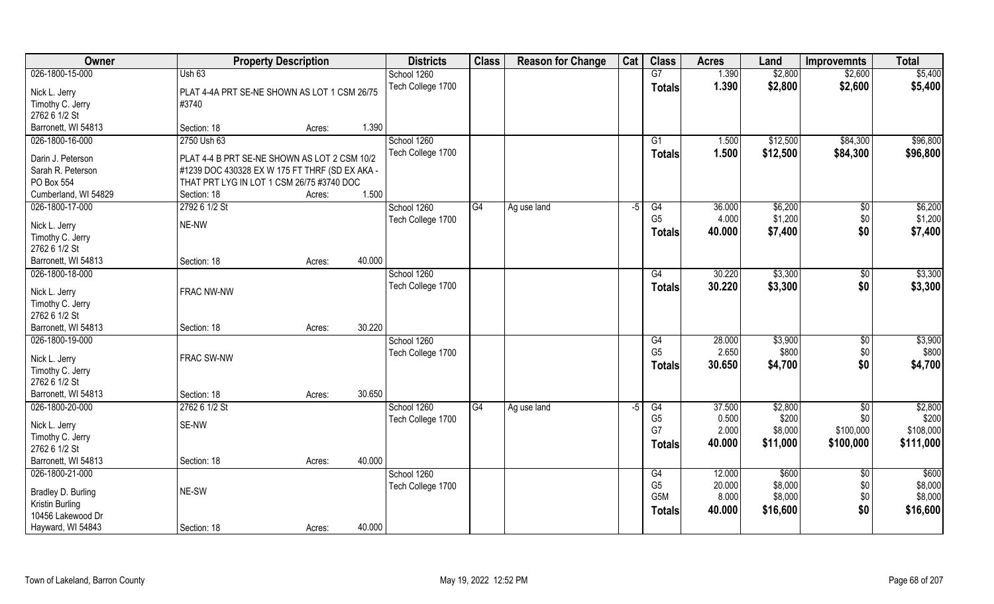| Owner                             | <b>Property Description</b>                    |        |        | <b>Districts</b>  | <b>Class</b> | <b>Reason for Change</b> | Cat  | <b>Class</b>   | <b>Acres</b> | Land     | <b>Improvemnts</b> | <b>Total</b> |
|-----------------------------------|------------------------------------------------|--------|--------|-------------------|--------------|--------------------------|------|----------------|--------------|----------|--------------------|--------------|
| 026-1800-15-000                   | Ush 63                                         |        |        | School 1260       |              |                          |      | G7             | 1.390        | \$2,800  | \$2,600            | \$5,400      |
| Nick L. Jerry                     | PLAT 4-4A PRT SE-NE SHOWN AS LOT 1 CSM 26/75   |        |        | Tech College 1700 |              |                          |      | <b>Totals</b>  | 1.390        | \$2,800  | \$2,600            | \$5,400      |
| Timothy C. Jerry                  | #3740                                          |        |        |                   |              |                          |      |                |              |          |                    |              |
| 2762 6 1/2 St                     |                                                |        |        |                   |              |                          |      |                |              |          |                    |              |
| Barronett, WI 54813               | Section: 18                                    | Acres: | 1.390  |                   |              |                          |      |                |              |          |                    |              |
| 026-1800-16-000                   | 2750 Ush 63                                    |        |        | School 1260       |              |                          |      | G1             | 1.500        | \$12,500 | \$84,300           | \$96,800     |
| Darin J. Peterson                 | PLAT 4-4 B PRT SE-NE SHOWN AS LOT 2 CSM 10/2   |        |        | Tech College 1700 |              |                          |      | <b>Totals</b>  | 1.500        | \$12,500 | \$84,300           | \$96,800     |
| Sarah R. Peterson                 | #1239 DOC 430328 EX W 175 FT THRF (SD EX AKA - |        |        |                   |              |                          |      |                |              |          |                    |              |
| PO Box 554                        | THAT PRT LYG IN LOT 1 CSM 26/75 #3740 DOC      |        |        |                   |              |                          |      |                |              |          |                    |              |
| Cumberland, WI 54829              | Section: 18                                    | Acres: | 1.500  |                   |              |                          |      |                |              |          |                    |              |
| 026-1800-17-000                   | 2792 6 1/2 St                                  |        |        | School 1260       | G4           | Ag use land              | $-5$ | G4             | 36.000       | \$6,200  | $\sqrt{6}$         | \$6,200      |
|                                   |                                                |        |        | Tech College 1700 |              |                          |      | G <sub>5</sub> | 4.000        | \$1,200  | \$0                | \$1,200      |
| Nick L. Jerry                     | NE-NW                                          |        |        |                   |              |                          |      | <b>Totals</b>  | 40.000       | \$7,400  | \$0                | \$7,400      |
| Timothy C. Jerry                  |                                                |        |        |                   |              |                          |      |                |              |          |                    |              |
| 2762 6 1/2 St                     |                                                |        |        |                   |              |                          |      |                |              |          |                    |              |
| Barronett, WI 54813               | Section: 18                                    | Acres: | 40.000 |                   |              |                          |      |                |              |          |                    |              |
| 026-1800-18-000                   |                                                |        |        | School 1260       |              |                          |      | G4             | 30.220       | \$3,300  | \$0                | \$3,300      |
| Nick L. Jerry                     | FRAC NW-NW                                     |        |        | Tech College 1700 |              |                          |      | Totals         | 30.220       | \$3,300  | \$0                | \$3,300      |
| Timothy C. Jerry                  |                                                |        |        |                   |              |                          |      |                |              |          |                    |              |
| 2762 6 1/2 St                     |                                                |        |        |                   |              |                          |      |                |              |          |                    |              |
| Barronett, WI 54813               | Section: 18                                    | Acres: | 30.220 |                   |              |                          |      |                |              |          |                    |              |
| 026-1800-19-000                   |                                                |        |        | School 1260       |              |                          |      | G4             | 28.000       | \$3,900  | \$0                | \$3,900      |
|                                   | FRAC SW-NW                                     |        |        | Tech College 1700 |              |                          |      | G <sub>5</sub> | 2.650        | \$800    | \$0                | \$800        |
| Nick L. Jerry<br>Timothy C. Jerry |                                                |        |        |                   |              |                          |      | Totals         | 30.650       | \$4,700  | \$0                | \$4,700      |
| 2762 6 1/2 St                     |                                                |        |        |                   |              |                          |      |                |              |          |                    |              |
| Barronett, WI 54813               | Section: 18                                    | Acres: | 30.650 |                   |              |                          |      |                |              |          |                    |              |
| 026-1800-20-000                   | 2762 6 1/2 St                                  |        |        | School 1260       | G4           | Ag use land              | $-5$ | G4             | 37.500       | \$2,800  | \$0                | \$2,800      |
|                                   |                                                |        |        | Tech College 1700 |              |                          |      | G <sub>5</sub> | 0.500        | \$200    | \$0                | \$200        |
| Nick L. Jerry                     | SE-NW                                          |        |        |                   |              |                          |      | G7             | 2.000        | \$8,000  | \$100,000          | \$108,000    |
| Timothy C. Jerry                  |                                                |        |        |                   |              |                          |      | <b>Totals</b>  | 40.000       | \$11,000 | \$100,000          | \$111,000    |
| 2762 6 1/2 St                     |                                                |        |        |                   |              |                          |      |                |              |          |                    |              |
| Barronett, WI 54813               | Section: 18                                    | Acres: | 40.000 |                   |              |                          |      |                |              |          |                    |              |
| 026-1800-21-000                   |                                                |        |        | School 1260       |              |                          |      | G4             | 12.000       | \$600    | $\sqrt{$0}$        | \$600        |
| Bradley D. Burling                | NE-SW                                          |        |        | Tech College 1700 |              |                          |      | G <sub>5</sub> | 20.000       | \$8,000  | \$0                | \$8,000      |
| Kristin Burling                   |                                                |        |        |                   |              |                          |      | G5M            | 8.000        | \$8,000  | \$0                | \$8,000      |
| 10456 Lakewood Dr                 |                                                |        |        |                   |              |                          |      | <b>Totals</b>  | 40.000       | \$16,600 | \$0                | \$16,600     |
| Hayward, WI 54843                 | Section: 18                                    | Acres: | 40.000 |                   |              |                          |      |                |              |          |                    |              |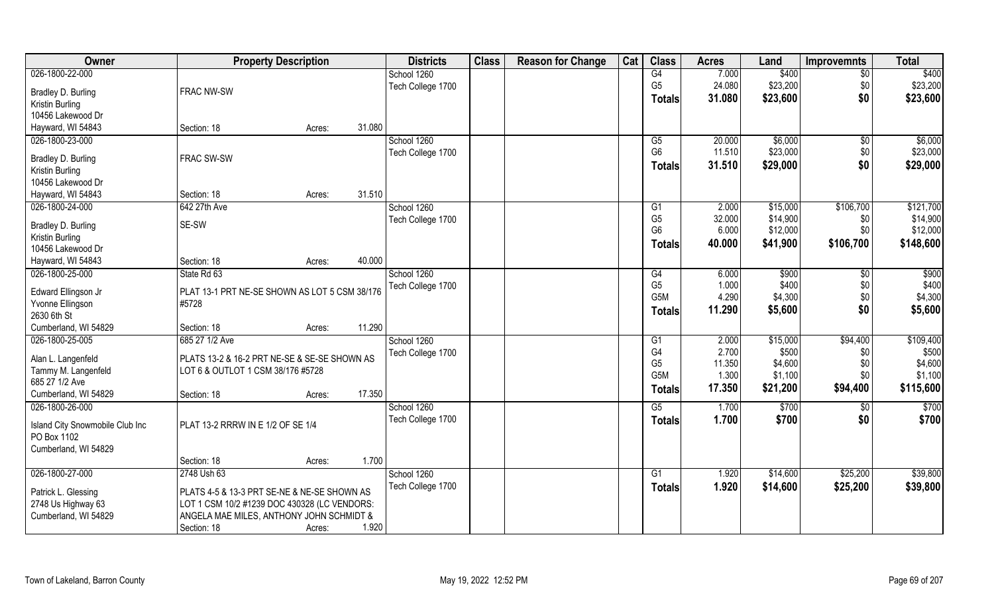| Owner                           | <b>Property Description</b>                   |        |        | <b>Districts</b>  | <b>Class</b> | <b>Reason for Change</b> | Cat | <b>Class</b>    | <b>Acres</b> | Land     | <b>Improvemnts</b> | <b>Total</b>      |
|---------------------------------|-----------------------------------------------|--------|--------|-------------------|--------------|--------------------------|-----|-----------------|--------------|----------|--------------------|-------------------|
| 026-1800-22-000                 |                                               |        |        | School 1260       |              |                          |     | G4              | 7.000        | \$400    | $\overline{50}$    | \$400             |
| Bradley D. Burling              | <b>FRAC NW-SW</b>                             |        |        | Tech College 1700 |              |                          |     | G <sub>5</sub>  | 24.080       | \$23,200 | \$0                | \$23,200          |
| Kristin Burling                 |                                               |        |        |                   |              |                          |     | <b>Totals</b>   | 31.080       | \$23,600 | \$0                | \$23,600          |
| 10456 Lakewood Dr               |                                               |        |        |                   |              |                          |     |                 |              |          |                    |                   |
| Hayward, WI 54843               | Section: 18                                   | Acres: | 31.080 |                   |              |                          |     |                 |              |          |                    |                   |
| 026-1800-23-000                 |                                               |        |        | School 1260       |              |                          |     | $\overline{G5}$ | 20.000       | \$6,000  | \$0                | \$6,000           |
|                                 |                                               |        |        | Tech College 1700 |              |                          |     | G <sub>6</sub>  | 11.510       | \$23,000 | \$0                | \$23,000          |
| Bradley D. Burling              | FRAC SW-SW                                    |        |        |                   |              |                          |     | <b>Totals</b>   | 31.510       | \$29,000 | \$0                | \$29,000          |
| Kristin Burling                 |                                               |        |        |                   |              |                          |     |                 |              |          |                    |                   |
| 10456 Lakewood Dr               |                                               |        |        |                   |              |                          |     |                 |              |          |                    |                   |
| Hayward, WI 54843               | Section: 18                                   | Acres: | 31.510 |                   |              |                          |     |                 |              |          |                    |                   |
| 026-1800-24-000                 | 642 27th Ave                                  |        |        | School 1260       |              |                          |     | G1              | 2.000        | \$15,000 | \$106,700          | \$121,700         |
| Bradley D. Burling              | SE-SW                                         |        |        | Tech College 1700 |              |                          |     | G <sub>5</sub>  | 32.000       | \$14,900 | \$0                | \$14,900          |
| Kristin Burling                 |                                               |        |        |                   |              |                          |     | G <sub>6</sub>  | 6.000        | \$12,000 | \$0                | \$12,000          |
| 10456 Lakewood Dr               |                                               |        |        |                   |              |                          |     | Totals          | 40.000       | \$41,900 | \$106,700          | \$148,600         |
| Hayward, WI 54843               | Section: 18                                   | Acres: | 40.000 |                   |              |                          |     |                 |              |          |                    |                   |
| 026-1800-25-000                 | State Rd 63                                   |        |        | School 1260       |              |                          |     | G4              | 6.000        | \$900    | $\sqrt[6]{}$       | \$900             |
|                                 |                                               |        |        | Tech College 1700 |              |                          |     | G <sub>5</sub>  | 1.000        | \$400    | \$0                | \$400             |
| Edward Ellingson Jr             | PLAT 13-1 PRT NE-SE SHOWN AS LOT 5 CSM 38/176 |        |        |                   |              |                          |     | G5M             | 4.290        | \$4,300  | \$0                | \$4,300           |
| Yvonne Ellingson                | #5728                                         |        |        |                   |              |                          |     | <b>Totals</b>   | 11.290       | \$5,600  | \$0                | \$5,600           |
| 2630 6th St                     |                                               |        |        |                   |              |                          |     |                 |              |          |                    |                   |
| Cumberland, WI 54829            | Section: 18                                   | Acres: | 11.290 |                   |              |                          |     |                 |              |          |                    |                   |
| 026-1800-25-005                 | 685 27 1/2 Ave                                |        |        | School 1260       |              |                          |     | G1              | 2.000        | \$15,000 | \$94,400           | \$109,400         |
| Alan L. Langenfeld              | PLATS 13-2 & 16-2 PRT NE-SE & SE-SE SHOWN AS  |        |        | Tech College 1700 |              |                          |     | G4              | 2.700        | \$500    | \$0                | \$500             |
| Tammy M. Langenfeld             | LOT 6 & OUTLOT 1 CSM 38/176 #5728             |        |        |                   |              |                          |     | G <sub>5</sub>  | 11.350       | \$4,600  | \$0                | \$4,600           |
| 685 27 1/2 Ave                  |                                               |        |        |                   |              |                          |     | G5M             | 1.300        | \$1,100  | \$0                | \$1,100           |
| Cumberland, WI 54829            | Section: 18                                   | Acres: | 17.350 |                   |              |                          |     | <b>Totals</b>   | 17.350       | \$21,200 | \$94,400           | \$115,600         |
| 026-1800-26-000                 |                                               |        |        | School 1260       |              |                          |     | G5              | 1.700        | \$700    | \$0                | $\overline{$700}$ |
|                                 |                                               |        |        | Tech College 1700 |              |                          |     | <b>Totals</b>   | 1.700        | \$700    | \$0                | \$700             |
| Island City Snowmobile Club Inc | PLAT 13-2 RRRW IN E 1/2 OF SE 1/4             |        |        |                   |              |                          |     |                 |              |          |                    |                   |
| PO Box 1102                     |                                               |        |        |                   |              |                          |     |                 |              |          |                    |                   |
| Cumberland, WI 54829            |                                               |        |        |                   |              |                          |     |                 |              |          |                    |                   |
|                                 | Section: 18                                   | Acres: | 1.700  |                   |              |                          |     |                 |              |          |                    |                   |
| 026-1800-27-000                 | 2748 Ush 63                                   |        |        | School 1260       |              |                          |     | G1              | 1.920        | \$14,600 | \$25,200           | \$39,800          |
| Patrick L. Glessing             | PLATS 4-5 & 13-3 PRT SE-NE & NE-SE SHOWN AS   |        |        | Tech College 1700 |              |                          |     | <b>Totals</b>   | 1.920        | \$14,600 | \$25,200           | \$39,800          |
| 2748 Us Highway 63              | LOT 1 CSM 10/2 #1239 DOC 430328 (LC VENDORS:  |        |        |                   |              |                          |     |                 |              |          |                    |                   |
| Cumberland, WI 54829            | ANGELA MAE MILES, ANTHONY JOHN SCHMIDT &      |        |        |                   |              |                          |     |                 |              |          |                    |                   |
|                                 | Section: 18                                   | Acres: | 1.920  |                   |              |                          |     |                 |              |          |                    |                   |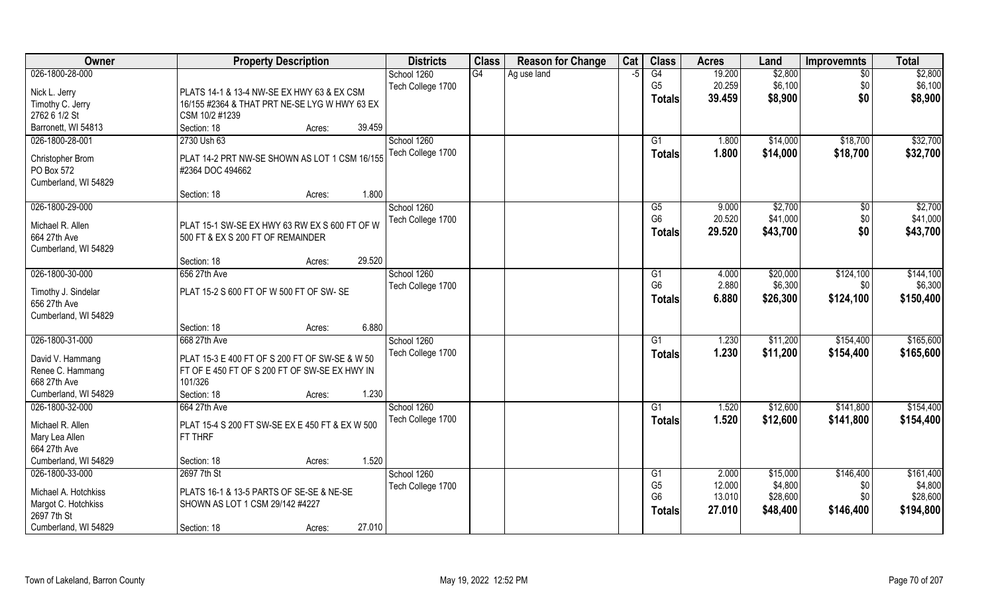| Owner                                | <b>Property Description</b>                     | <b>Districts</b>  | <b>Class</b>    | <b>Reason for Change</b> | Cat  | <b>Class</b>    | <b>Acres</b> | Land     | <b>Improvemnts</b> | <b>Total</b> |
|--------------------------------------|-------------------------------------------------|-------------------|-----------------|--------------------------|------|-----------------|--------------|----------|--------------------|--------------|
| 026-1800-28-000                      |                                                 | School 1260       | $\overline{G4}$ | Ag use land              | $-5$ | G4              | 19.200       | \$2,800  | $\overline{50}$    | \$2,800      |
| Nick L. Jerry                        | PLATS 14-1 & 13-4 NW-SE EX HWY 63 & EX CSM      | Tech College 1700 |                 |                          |      | G <sub>5</sub>  | 20.259       | \$6,100  | \$0                | \$6,100      |
| Timothy C. Jerry                     | 16/155 #2364 & THAT PRT NE-SE LYG W HWY 63 EX   |                   |                 |                          |      | <b>Totals</b>   | 39.459       | \$8,900  | \$0                | \$8,900      |
| 2762 6 1/2 St                        | CSM 10/2 #1239                                  |                   |                 |                          |      |                 |              |          |                    |              |
| Barronett, WI 54813                  | Section: 18<br>39.459<br>Acres:                 |                   |                 |                          |      |                 |              |          |                    |              |
| 026-1800-28-001                      | 2730 Ush 63                                     | School 1260       |                 |                          |      | G1              | 1.800        | \$14,000 | \$18,700           | \$32,700     |
|                                      | PLAT 14-2 PRT NW-SE SHOWN AS LOT 1 CSM 16/155   | Tech College 1700 |                 |                          |      | <b>Totals</b>   | 1.800        | \$14,000 | \$18,700           | \$32,700     |
| Christopher Brom<br>PO Box 572       | #2364 DOC 494662                                |                   |                 |                          |      |                 |              |          |                    |              |
| Cumberland, WI 54829                 |                                                 |                   |                 |                          |      |                 |              |          |                    |              |
|                                      | 1.800<br>Section: 18<br>Acres:                  |                   |                 |                          |      |                 |              |          |                    |              |
| 026-1800-29-000                      |                                                 | School 1260       |                 |                          |      | G5              | 9.000        | \$2,700  | $\sqrt[6]{30}$     | \$2,700      |
|                                      |                                                 | Tech College 1700 |                 |                          |      | G <sub>6</sub>  | 20.520       | \$41,000 | \$0                | \$41,000     |
| Michael R. Allen                     | PLAT 15-1 SW-SE EX HWY 63 RW EX S 600 FT OF W   |                   |                 |                          |      | <b>Totals</b>   | 29.520       | \$43,700 | \$0                | \$43,700     |
| 664 27th Ave<br>Cumberland, WI 54829 | 500 FT & EX S 200 FT OF REMAINDER               |                   |                 |                          |      |                 |              |          |                    |              |
|                                      | 29.520<br>Section: 18<br>Acres:                 |                   |                 |                          |      |                 |              |          |                    |              |
| 026-1800-30-000                      | 656 27th Ave                                    | School 1260       |                 |                          |      | G1              | 4.000        | \$20,000 | \$124,100          | \$144,100    |
|                                      |                                                 | Tech College 1700 |                 |                          |      | G <sub>6</sub>  | 2.880        | \$6,300  | \$0                | \$6,300      |
| Timothy J. Sindelar                  | PLAT 15-2 S 600 FT OF W 500 FT OF SW- SE        |                   |                 |                          |      | <b>Totals</b>   | 6.880        | \$26,300 | \$124,100          | \$150,400    |
| 656 27th Ave                         |                                                 |                   |                 |                          |      |                 |              |          |                    |              |
| Cumberland, WI 54829                 |                                                 |                   |                 |                          |      |                 |              |          |                    |              |
| 026-1800-31-000                      | 6.880<br>Section: 18<br>Acres:<br>668 27th Ave  | School 1260       |                 |                          |      | $\overline{G1}$ | 1.230        | \$11,200 | \$154,400          | \$165,600    |
|                                      |                                                 |                   |                 |                          |      |                 |              |          |                    |              |
| David V. Hammang                     | PLAT 15-3 E 400 FT OF S 200 FT OF SW-SE & W 50  | Tech College 1700 |                 |                          |      | <b>Totals</b>   | 1.230        | \$11,200 | \$154,400          | \$165,600    |
| Renee C. Hammang                     | FT OF E 450 FT OF S 200 FT OF SW-SE EX HWY IN   |                   |                 |                          |      |                 |              |          |                    |              |
| 668 27th Ave                         | 101/326                                         |                   |                 |                          |      |                 |              |          |                    |              |
| Cumberland, WI 54829                 | Section: 18<br>1.230<br>Acres:                  |                   |                 |                          |      |                 |              |          |                    |              |
| 026-1800-32-000                      | 664 27th Ave                                    | School 1260       |                 |                          |      | G1              | 1.520        | \$12,600 | \$141,800          | \$154,400    |
| Michael R. Allen                     | PLAT 15-4 S 200 FT SW-SE EX E 450 FT & EX W 500 | Tech College 1700 |                 |                          |      | <b>Totals</b>   | 1.520        | \$12,600 | \$141,800          | \$154,400    |
| Mary Lea Allen                       | FT THRF                                         |                   |                 |                          |      |                 |              |          |                    |              |
| 664 27th Ave                         |                                                 |                   |                 |                          |      |                 |              |          |                    |              |
| Cumberland, WI 54829                 | 1.520<br>Section: 18<br>Acres:                  |                   |                 |                          |      |                 |              |          |                    |              |
| 026-1800-33-000                      | 2697 7th St                                     | School 1260       |                 |                          |      | G1              | 2.000        | \$15,000 | \$146,400          | \$161,400    |
| Michael A. Hotchkiss                 | PLATS 16-1 & 13-5 PARTS OF SE-SE & NE-SE        | Tech College 1700 |                 |                          |      | G <sub>5</sub>  | 12.000       | \$4,800  | \$0                | \$4,800      |
| Margot C. Hotchkiss                  | SHOWN AS LOT 1 CSM 29/142 #4227                 |                   |                 |                          |      | G <sub>6</sub>  | 13.010       | \$28,600 | \$0                | \$28,600     |
| 2697 7th St                          |                                                 |                   |                 |                          |      | <b>Totals</b>   | 27.010       | \$48,400 | \$146,400          | \$194,800    |
| Cumberland, WI 54829                 | 27.010<br>Section: 18<br>Acres:                 |                   |                 |                          |      |                 |              |          |                    |              |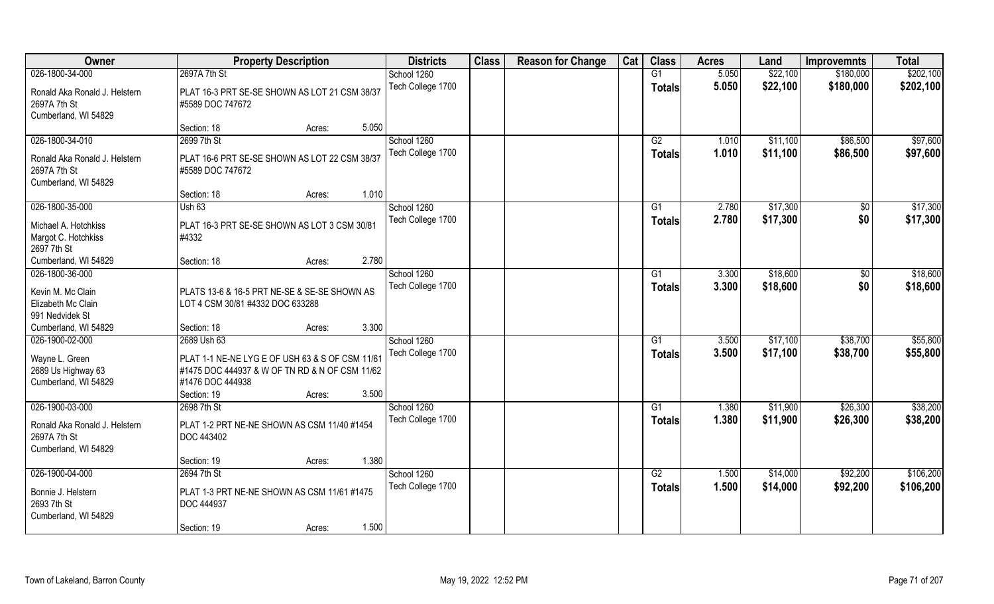| Owner                                                                                    | <b>Property Description</b>                                                                                           |       | <b>Districts</b>                 | <b>Class</b> | <b>Reason for Change</b> | Cat | <b>Class</b>        | <b>Acres</b>   | Land                 | <b>Improvemnts</b>   | <b>Total</b>         |
|------------------------------------------------------------------------------------------|-----------------------------------------------------------------------------------------------------------------------|-------|----------------------------------|--------------|--------------------------|-----|---------------------|----------------|----------------------|----------------------|----------------------|
| 026-1800-34-000                                                                          | 2697A 7th St                                                                                                          |       | School 1260                      |              |                          |     | G1                  | 5.050          | \$22,100             | \$180,000            | \$202,100            |
| Ronald Aka Ronald J. Helstern<br>2697A 7th St<br>Cumberland, WI 54829                    | PLAT 16-3 PRT SE-SE SHOWN AS LOT 21 CSM 38/37<br>#5589 DOC 747672                                                     |       | Tech College 1700                |              |                          |     | <b>Totals</b>       | 5.050          | \$22,100             | \$180,000            | \$202,100            |
|                                                                                          | Section: 18<br>Acres:                                                                                                 | 5.050 |                                  |              |                          |     |                     |                |                      |                      |                      |
| 026-1800-34-010                                                                          | 2699 7th St                                                                                                           |       | School 1260<br>Tech College 1700 |              |                          |     | G2<br>Totals        | 1.010<br>1.010 | \$11,100<br>\$11,100 | \$86,500<br>\$86,500 | \$97,600<br>\$97,600 |
| Ronald Aka Ronald J. Helstern<br>2697A 7th St<br>Cumberland, WI 54829                    | PLAT 16-6 PRT SE-SE SHOWN AS LOT 22 CSM 38/37<br>#5589 DOC 747672                                                     |       |                                  |              |                          |     |                     |                |                      |                      |                      |
|                                                                                          | Section: 18<br>Acres:                                                                                                 | 1.010 |                                  |              |                          |     |                     |                |                      |                      |                      |
| 026-1800-35-000                                                                          | Ush63                                                                                                                 |       | School 1260                      |              |                          |     | G1                  | 2.780          | \$17,300             | \$0                  | \$17,300             |
| Michael A. Hotchkiss<br>Margot C. Hotchkiss<br>2697 7th St                               | PLAT 16-3 PRT SE-SE SHOWN AS LOT 3 CSM 30/81<br>#4332                                                                 |       | Tech College 1700                |              |                          |     | <b>Totals</b>       | 2.780          | \$17,300             | \$0                  | \$17,300             |
| Cumberland, WI 54829                                                                     | Section: 18<br>Acres:                                                                                                 | 2.780 |                                  |              |                          |     |                     |                |                      |                      |                      |
| 026-1800-36-000                                                                          |                                                                                                                       |       | School 1260<br>Tech College 1700 |              |                          |     | G1                  | 3.300<br>3.300 | \$18,600<br>\$18,600 | $\sqrt[6]{3}$<br>\$0 | \$18,600<br>\$18,600 |
| Kevin M. Mc Clain<br>Elizabeth Mc Clain<br>991 Nedvidek St                               | PLATS 13-6 & 16-5 PRT NE-SE & SE-SE SHOWN AS<br>LOT 4 CSM 30/81 #4332 DOC 633288                                      |       |                                  |              |                          |     | <b>Totals</b>       |                |                      |                      |                      |
| Cumberland, WI 54829                                                                     | Section: 18<br>Acres:                                                                                                 | 3.300 |                                  |              |                          |     |                     |                |                      |                      |                      |
| 026-1900-02-000                                                                          | 2689 Ush 63                                                                                                           |       | School 1260<br>Tech College 1700 |              |                          |     | $\overline{G1}$     | 3.500<br>3.500 | \$17,100<br>\$17,100 | \$38,700<br>\$38,700 | \$55,800<br>\$55,800 |
| Wayne L. Green<br>2689 Us Highway 63<br>Cumberland, WI 54829                             | PLAT 1-1 NE-NE LYG E OF USH 63 & S OF CSM 11/61<br>#1475 DOC 444937 & W OF TN RD & N OF CSM 11/62<br>#1476 DOC 444938 |       |                                  |              |                          |     | Totals              |                |                      |                      |                      |
|                                                                                          | Section: 19<br>Acres:                                                                                                 | 3.500 |                                  |              |                          |     |                     |                |                      |                      |                      |
| 026-1900-03-000<br>Ronald Aka Ronald J. Helstern<br>2697A 7th St<br>Cumberland, WI 54829 | 2698 7th St<br>PLAT 1-2 PRT NE-NE SHOWN AS CSM 11/40 #1454<br>DOC 443402                                              |       | School 1260<br>Tech College 1700 |              |                          |     | G1<br><b>Totals</b> | 1.380<br>1.380 | \$11,900<br>\$11,900 | \$26,300<br>\$26,300 | \$38,200<br>\$38,200 |
|                                                                                          | Section: 19<br>Acres:                                                                                                 | 1.380 |                                  |              |                          |     |                     |                |                      |                      |                      |
| 026-1900-04-000                                                                          | 2694 7th St                                                                                                           |       | School 1260                      |              |                          |     | G2                  | 1.500          | \$14,000             | \$92,200             | \$106,200            |
| Bonnie J. Helstern<br>2693 7th St<br>Cumberland, WI 54829                                | PLAT 1-3 PRT NE-NE SHOWN AS CSM 11/61 #1475<br>DOC 444937                                                             |       | Tech College 1700                |              |                          |     | <b>Totals</b>       | 1.500          | \$14,000             | \$92,200             | \$106,200            |
|                                                                                          | Section: 19<br>Acres:                                                                                                 | 1.500 |                                  |              |                          |     |                     |                |                      |                      |                      |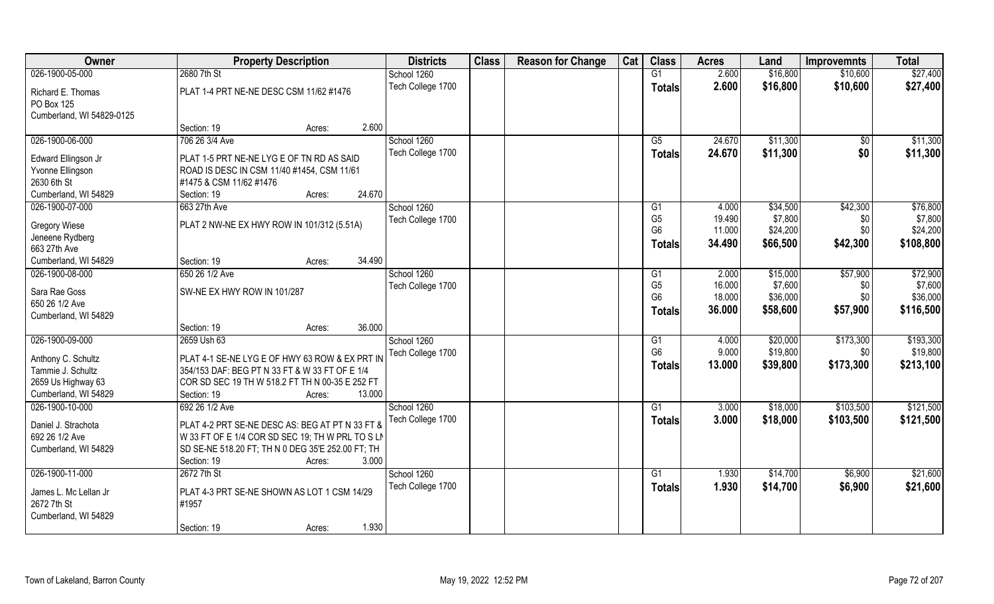| Owner                     | <b>Property Description</b>                       | <b>Districts</b>  | <b>Class</b> | <b>Reason for Change</b> | Cat | <b>Class</b>    | <b>Acres</b> | Land     | <b>Improvemnts</b> | <b>Total</b> |
|---------------------------|---------------------------------------------------|-------------------|--------------|--------------------------|-----|-----------------|--------------|----------|--------------------|--------------|
| 026-1900-05-000           | 2680 7th St                                       | School 1260       |              |                          |     | G1              | 2.600        | \$16,800 | \$10,600           | \$27,400     |
| Richard E. Thomas         | PLAT 1-4 PRT NE-NE DESC CSM 11/62 #1476           | Tech College 1700 |              |                          |     | <b>Totals</b>   | 2.600        | \$16,800 | \$10,600           | \$27,400     |
| PO Box 125                |                                                   |                   |              |                          |     |                 |              |          |                    |              |
| Cumberland, WI 54829-0125 |                                                   |                   |              |                          |     |                 |              |          |                    |              |
|                           | 2.600<br>Section: 19<br>Acres:                    |                   |              |                          |     |                 |              |          |                    |              |
| 026-1900-06-000           | 706 26 3/4 Ave                                    | School 1260       |              |                          |     | G5              | 24.670       | \$11,300 | $\frac{1}{2}$      | \$11,300     |
| Edward Ellingson Jr       | PLAT 1-5 PRT NE-NE LYG E OF TN RD AS SAID         | Tech College 1700 |              |                          |     | <b>Totals</b>   | 24.670       | \$11,300 | \$0                | \$11,300     |
| Yvonne Ellingson          | ROAD IS DESC IN CSM 11/40 #1454, CSM 11/61        |                   |              |                          |     |                 |              |          |                    |              |
| 2630 6th St               | #1475 & CSM 11/62 #1476                           |                   |              |                          |     |                 |              |          |                    |              |
| Cumberland, WI 54829      | 24.670<br>Section: 19<br>Acres:                   |                   |              |                          |     |                 |              |          |                    |              |
| 026-1900-07-000           | 663 27th Ave                                      | School 1260       |              |                          |     | G1              | 4.000        | \$34,500 | \$42,300           | \$76,800     |
|                           |                                                   | Tech College 1700 |              |                          |     | G <sub>5</sub>  | 19.490       | \$7,800  | \$0                | \$7,800      |
| <b>Gregory Wiese</b>      | PLAT 2 NW-NE EX HWY ROW IN 101/312 (5.51A)        |                   |              |                          |     | G <sub>6</sub>  | 11.000       | \$24,200 | \$0                | \$24,200     |
| Jeneene Rydberg           |                                                   |                   |              |                          |     | Totals          | 34.490       | \$66,500 | \$42,300           | \$108,800    |
| 663 27th Ave              |                                                   |                   |              |                          |     |                 |              |          |                    |              |
| Cumberland, WI 54829      | 34.490<br>Section: 19<br>Acres:                   |                   |              |                          |     |                 |              |          |                    |              |
| 026-1900-08-000           | 650 26 1/2 Ave                                    | School 1260       |              |                          |     | G <sub>1</sub>  | 2.000        | \$15,000 | \$57,900           | \$72,900     |
| Sara Rae Goss             | SW-NE EX HWY ROW IN 101/287                       | Tech College 1700 |              |                          |     | G <sub>5</sub>  | 16.000       | \$7,600  | \$0                | \$7,600      |
| 650 26 1/2 Ave            |                                                   |                   |              |                          |     | G <sub>6</sub>  | 18.000       | \$36,000 | \$0                | \$36,000     |
| Cumberland, WI 54829      |                                                   |                   |              |                          |     | <b>Totals</b>   | 36.000       | \$58,600 | \$57,900           | \$116,500    |
|                           | 36.000<br>Section: 19<br>Acres:                   |                   |              |                          |     |                 |              |          |                    |              |
| 026-1900-09-000           | 2659 Ush 63                                       | School 1260       |              |                          |     | $\overline{G1}$ | 4.000        | \$20,000 | \$173,300          | \$193,300    |
| Anthony C. Schultz        | PLAT 4-1 SE-NE LYG E OF HWY 63 ROW & EX PRT IN    | Tech College 1700 |              |                          |     | G <sub>6</sub>  | 9.000        | \$19,800 | \$0                | \$19,800     |
| Tammie J. Schultz         | 354/153 DAF: BEG PT N 33 FT & W 33 FT OF E 1/4    |                   |              |                          |     | <b>Totals</b>   | 13.000       | \$39,800 | \$173,300          | \$213,100    |
| 2659 Us Highway 63        | COR SD SEC 19 TH W 518.2 FT TH N 00-35 E 252 FT   |                   |              |                          |     |                 |              |          |                    |              |
| Cumberland, WI 54829      | Section: 19<br>13.000<br>Acres:                   |                   |              |                          |     |                 |              |          |                    |              |
| 026-1900-10-000           | 692 26 1/2 Ave                                    | School 1260       |              |                          |     | G1              | 3.000        | \$18,000 | \$103,500          | \$121,500    |
|                           |                                                   | Tech College 1700 |              |                          |     | <b>Totals</b>   | 3.000        | \$18,000 | \$103,500          | \$121,500    |
| Daniel J. Strachota       | PLAT 4-2 PRT SE-NE DESC AS: BEG AT PT N 33 FT &   |                   |              |                          |     |                 |              |          |                    |              |
| 692 26 1/2 Ave            | W 33 FT OF E 1/4 COR SD SEC 19; TH W PRL TO S LN  |                   |              |                          |     |                 |              |          |                    |              |
| Cumberland, WI 54829      | SD SE-NE 518.20 FT; TH N 0 DEG 35'E 252.00 FT; TH |                   |              |                          |     |                 |              |          |                    |              |
|                           | 3.000<br>Section: 19<br>Acres:                    |                   |              |                          |     |                 |              |          |                    |              |
| 026-1900-11-000           | 2672 7th St                                       | School 1260       |              |                          |     | G1              | 1.930        | \$14,700 | \$6,900            | \$21,600     |
| James L. Mc Lellan Jr     | PLAT 4-3 PRT SE-NE SHOWN AS LOT 1 CSM 14/29       | Tech College 1700 |              |                          |     | <b>Totals</b>   | 1.930        | \$14,700 | \$6,900            | \$21,600     |
| 2672 7th St               | #1957                                             |                   |              |                          |     |                 |              |          |                    |              |
| Cumberland, WI 54829      |                                                   |                   |              |                          |     |                 |              |          |                    |              |
|                           | 1.930<br>Section: 19<br>Acres:                    |                   |              |                          |     |                 |              |          |                    |              |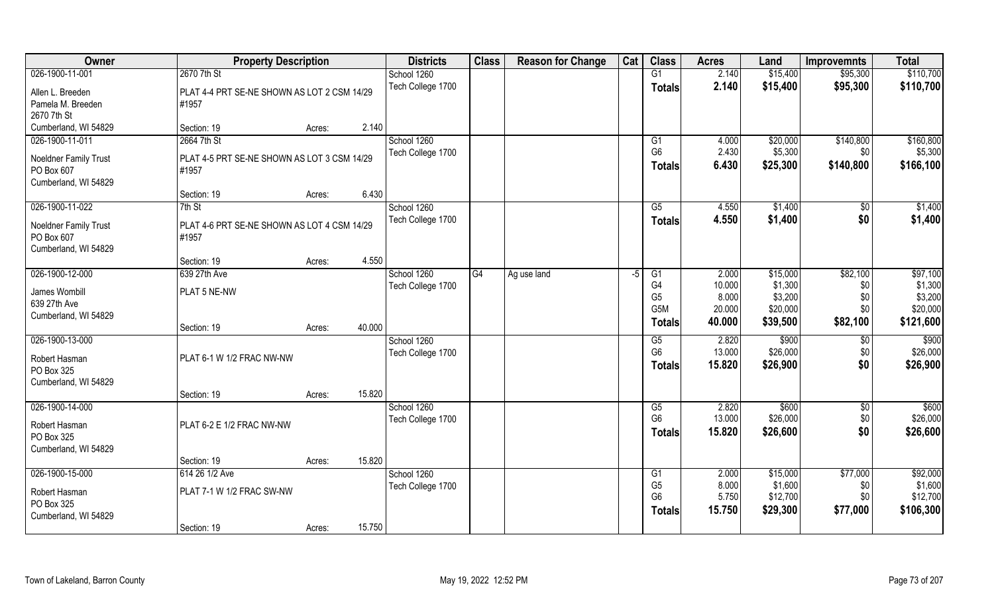| Owner                        | <b>Property Description</b>                 |        |        | <b>Districts</b>  | <b>Class</b> | <b>Reason for Change</b> | Cat | <b>Class</b>    | <b>Acres</b> | Land     | <b>Improvemnts</b> | <b>Total</b> |
|------------------------------|---------------------------------------------|--------|--------|-------------------|--------------|--------------------------|-----|-----------------|--------------|----------|--------------------|--------------|
| 026-1900-11-001              | 2670 7th St                                 |        |        | School 1260       |              |                          |     | G1              | 2.140        | \$15,400 | \$95,300           | \$110,700    |
| Allen L. Breeden             | PLAT 4-4 PRT SE-NE SHOWN AS LOT 2 CSM 14/29 |        |        | Tech College 1700 |              |                          |     | <b>Totals</b>   | 2.140        | \$15,400 | \$95,300           | \$110,700    |
| Pamela M. Breeden            | #1957                                       |        |        |                   |              |                          |     |                 |              |          |                    |              |
| 2670 7th St                  |                                             |        |        |                   |              |                          |     |                 |              |          |                    |              |
| Cumberland, WI 54829         | Section: 19                                 | Acres: | 2.140  |                   |              |                          |     |                 |              |          |                    |              |
| 026-1900-11-011              | 2664 7th St                                 |        |        | School 1260       |              |                          |     | G1              | 4.000        | \$20,000 | \$140,800          | \$160,800    |
| Noeldner Family Trust        | PLAT 4-5 PRT SE-NE SHOWN AS LOT 3 CSM 14/29 |        |        | Tech College 1700 |              |                          |     | G <sub>6</sub>  | 2.430        | \$5,300  | \$0                | \$5,300      |
| PO Box 607                   | #1957                                       |        |        |                   |              |                          |     | <b>Totals</b>   | 6.430        | \$25,300 | \$140,800          | \$166,100    |
| Cumberland, WI 54829         |                                             |        |        |                   |              |                          |     |                 |              |          |                    |              |
|                              | Section: 19                                 | Acres: | 6.430  |                   |              |                          |     |                 |              |          |                    |              |
| 026-1900-11-022              | 7th St                                      |        |        | School 1260       |              |                          |     | G5              | 4.550        | \$1,400  | \$0                | \$1,400      |
| <b>Noeldner Family Trust</b> | PLAT 4-6 PRT SE-NE SHOWN AS LOT 4 CSM 14/29 |        |        | Tech College 1700 |              |                          |     | <b>Totals</b>   | 4.550        | \$1,400  | \$0                | \$1,400      |
| PO Box 607                   | #1957                                       |        |        |                   |              |                          |     |                 |              |          |                    |              |
| Cumberland, WI 54829         |                                             |        |        |                   |              |                          |     |                 |              |          |                    |              |
|                              | Section: 19                                 | Acres: | 4.550  |                   |              |                          |     |                 |              |          |                    |              |
| 026-1900-12-000              | 639 27th Ave                                |        |        | School 1260       | G4           | Ag use land              | -5  | G1              | 2.000        | \$15,000 | \$82,100           | \$97,100     |
| James Wombill                | PLAT 5 NE-NW                                |        |        | Tech College 1700 |              |                          |     | G <sub>4</sub>  | 10.000       | \$1,300  | \$0                | \$1,300      |
| 639 27th Ave                 |                                             |        |        |                   |              |                          |     | G <sub>5</sub>  | 8.000        | \$3,200  | \$0                | \$3,200      |
| Cumberland, WI 54829         |                                             |        |        |                   |              |                          |     | G5M             | 20.000       | \$20,000 | \$0                | \$20,000     |
|                              | Section: 19                                 | Acres: | 40.000 |                   |              |                          |     | <b>Totals</b>   | 40.000       | \$39,500 | \$82,100           | \$121,600    |
| 026-1900-13-000              |                                             |        |        | School 1260       |              |                          |     | G5              | 2.820        | \$900    | \$0                | \$900        |
| Robert Hasman                | PLAT 6-1 W 1/2 FRAC NW-NW                   |        |        | Tech College 1700 |              |                          |     | G <sub>6</sub>  | 13.000       | \$26,000 | \$0                | \$26,000     |
| PO Box 325                   |                                             |        |        |                   |              |                          |     | <b>Totals</b>   | 15.820       | \$26,900 | \$0                | \$26,900     |
| Cumberland, WI 54829         |                                             |        |        |                   |              |                          |     |                 |              |          |                    |              |
|                              | Section: 19                                 | Acres: | 15.820 |                   |              |                          |     |                 |              |          |                    |              |
| 026-1900-14-000              |                                             |        |        | School 1260       |              |                          |     | G5              | 2.820        | \$600    | \$0                | \$600        |
|                              |                                             |        |        | Tech College 1700 |              |                          |     | G <sub>6</sub>  | 13.000       | \$26,000 | \$0                | \$26,000     |
| Robert Hasman<br>PO Box 325  | PLAT 6-2 E 1/2 FRAC NW-NW                   |        |        |                   |              |                          |     | <b>Totals</b>   | 15.820       | \$26,600 | \$0                | \$26,600     |
| Cumberland, WI 54829         |                                             |        |        |                   |              |                          |     |                 |              |          |                    |              |
|                              | Section: 19                                 | Acres: | 15.820 |                   |              |                          |     |                 |              |          |                    |              |
| 026-1900-15-000              | 614 26 1/2 Ave                              |        |        | School 1260       |              |                          |     | $\overline{G1}$ | 2.000        | \$15,000 | \$77,000           | \$92,000     |
|                              |                                             |        |        | Tech College 1700 |              |                          |     | G <sub>5</sub>  | 8.000        | \$1,600  | \$0                | \$1,600      |
| Robert Hasman                | PLAT 7-1 W 1/2 FRAC SW-NW                   |        |        |                   |              |                          |     | G <sub>6</sub>  | 5.750        | \$12,700 | \$0                | \$12,700     |
| PO Box 325                   |                                             |        |        |                   |              |                          |     | <b>Totals</b>   | 15.750       | \$29,300 | \$77,000           | \$106,300    |
| Cumberland, WI 54829         | Section: 19                                 |        | 15.750 |                   |              |                          |     |                 |              |          |                    |              |
|                              |                                             | Acres: |        |                   |              |                          |     |                 |              |          |                    |              |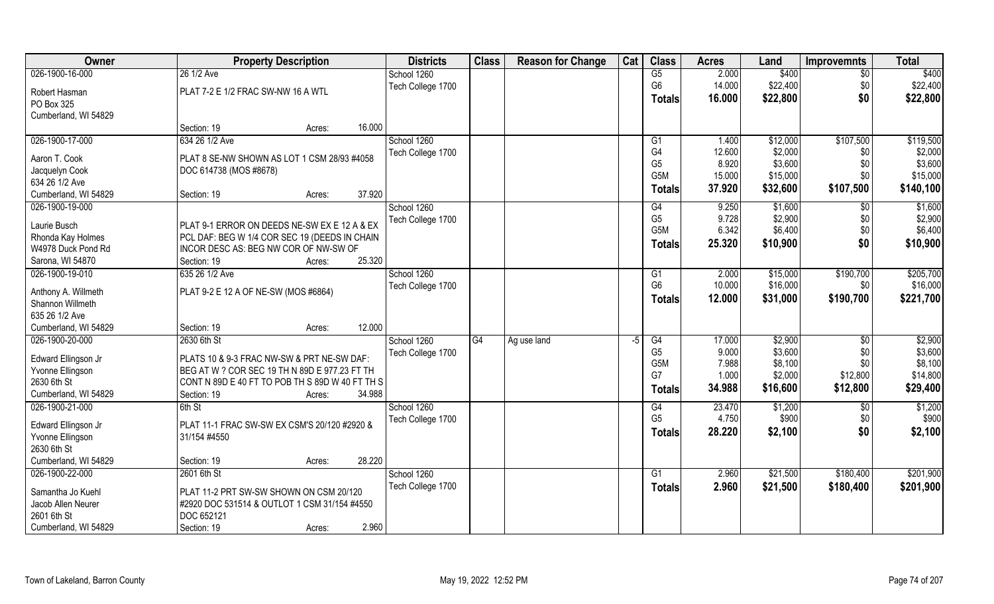| Owner                                  | <b>Property Description</b>                     |        | <b>Districts</b>  | <b>Class</b> | <b>Reason for Change</b> | Cat | <b>Class</b>     | <b>Acres</b> | Land     | <b>Improvemnts</b> | <b>Total</b> |
|----------------------------------------|-------------------------------------------------|--------|-------------------|--------------|--------------------------|-----|------------------|--------------|----------|--------------------|--------------|
| 026-1900-16-000                        | 26 1/2 Ave                                      |        | School 1260       |              |                          |     | G5               | 2.000        | \$400    | $\overline{30}$    | \$400        |
| Robert Hasman                          | PLAT 7-2 E 1/2 FRAC SW-NW 16 A WTL              |        | Tech College 1700 |              |                          |     | G <sub>6</sub>   | 14.000       | \$22,400 | \$0                | \$22,400     |
| PO Box 325                             |                                                 |        |                   |              |                          |     | <b>Totals</b>    | 16.000       | \$22,800 | \$0                | \$22,800     |
| Cumberland, WI 54829                   |                                                 |        |                   |              |                          |     |                  |              |          |                    |              |
|                                        | Section: 19<br>Acres:                           | 16.000 |                   |              |                          |     |                  |              |          |                    |              |
| 026-1900-17-000                        | 634 26 1/2 Ave                                  |        | School 1260       |              |                          |     | G1               | 1.400        | \$12,000 | \$107,500          | \$119,500    |
| Aaron T. Cook                          | PLAT 8 SE-NW SHOWN AS LOT 1 CSM 28/93 #4058     |        | Tech College 1700 |              |                          |     | G4               | 12.600       | \$2,000  | \$0                | \$2,000      |
| Jacquelyn Cook                         | DOC 614738 (MOS #8678)                          |        |                   |              |                          |     | G <sub>5</sub>   | 8.920        | \$3,600  | \$0                | \$3,600      |
| 634 26 1/2 Ave                         |                                                 |        |                   |              |                          |     | G5M              | 15.000       | \$15,000 | \$0                | \$15,000     |
| Cumberland, WI 54829                   | Section: 19<br>Acres:                           | 37.920 |                   |              |                          |     | <b>Totals</b>    | 37.920       | \$32,600 | \$107,500          | \$140,100    |
| 026-1900-19-000                        |                                                 |        | School 1260       |              |                          |     | G4               | 9.250        | \$1,600  | \$0                | \$1,600      |
| Laurie Busch                           | PLAT 9-1 ERROR ON DEEDS NE-SW EX E 12 A & EX    |        | Tech College 1700 |              |                          |     | G <sub>5</sub>   | 9.728        | \$2,900  | \$0                | \$2,900      |
| Rhonda Kay Holmes                      | PCL DAF: BEG W 1/4 COR SEC 19 (DEEDS IN CHAIN   |        |                   |              |                          |     | G <sub>5</sub> M | 6.342        | \$6,400  | \$0                | \$6,400      |
| W4978 Duck Pond Rd                     | INCOR DESC AS: BEG NW COR OF NW-SW OF           |        |                   |              |                          |     | <b>Totals</b>    | 25.320       | \$10,900 | \$0                | \$10,900     |
| Sarona, WI 54870                       | Section: 19<br>Acres:                           | 25.320 |                   |              |                          |     |                  |              |          |                    |              |
| 026-1900-19-010                        | 635 26 1/2 Ave                                  |        | School 1260       |              |                          |     | G1               | 2.000        | \$15,000 | \$190,700          | \$205,700    |
|                                        |                                                 |        | Tech College 1700 |              |                          |     | G <sub>6</sub>   | 10.000       | \$16,000 | \$0                | \$16,000     |
| Anthony A. Willmeth                    | PLAT 9-2 E 12 A OF NE-SW (MOS #6864)            |        |                   |              |                          |     | <b>Totals</b>    | 12.000       | \$31,000 | \$190,700          | \$221,700    |
| Shannon Willmeth                       |                                                 |        |                   |              |                          |     |                  |              |          |                    |              |
| 635 26 1/2 Ave<br>Cumberland, WI 54829 | Section: 19                                     | 12.000 |                   |              |                          |     |                  |              |          |                    |              |
| 026-1900-20-000                        | Acres:<br>2630 6th St                           |        | School 1260       | G4           |                          |     | $\overline{G4}$  | 17.000       | \$2,900  | \$0                | \$2,900      |
|                                        |                                                 |        | Tech College 1700 |              | Ag use land              | -5  | G <sub>5</sub>   | 9.000        | \$3,600  | \$0                | \$3,600      |
| Edward Ellingson Jr                    | PLATS 10 & 9-3 FRAC NW-SW & PRT NE-SW DAF:      |        |                   |              |                          |     | G5M              | 7.988        | \$8,100  | \$0                | \$8,100      |
| Yvonne Ellingson                       | BEG AT W ? COR SEC 19 TH N 89D E 977.23 FT TH   |        |                   |              |                          |     | G7               | 1.000        | \$2,000  | \$12,800           | \$14,800     |
| 2630 6th St                            | CONT N 89D E 40 FT TO POB TH S 89D W 40 FT TH S |        |                   |              |                          |     | <b>Totals</b>    | 34.988       | \$16,600 | \$12,800           | \$29,400     |
| Cumberland, WI 54829                   | Section: 19<br>Acres:                           | 34.988 |                   |              |                          |     |                  |              |          |                    |              |
| 026-1900-21-000                        | 6th St                                          |        | School 1260       |              |                          |     | G4               | 23.470       | \$1,200  | \$0                | \$1,200      |
| Edward Ellingson Jr                    | PLAT 11-1 FRAC SW-SW EX CSM'S 20/120 #2920 &    |        | Tech College 1700 |              |                          |     | G <sub>5</sub>   | 4.750        | \$900    | \$0                | \$900        |
| Yvonne Ellingson                       | 31/154 #4550                                    |        |                   |              |                          |     | <b>Totals</b>    | 28.220       | \$2,100  | \$0                | \$2,100      |
| 2630 6th St                            |                                                 |        |                   |              |                          |     |                  |              |          |                    |              |
| Cumberland, WI 54829                   | Section: 19<br>Acres:                           | 28.220 |                   |              |                          |     |                  |              |          |                    |              |
| 026-1900-22-000                        | 2601 6th St                                     |        | School 1260       |              |                          |     | G1               | 2.960        | \$21,500 | \$180,400          | \$201,900    |
| Samantha Jo Kuehl                      | PLAT 11-2 PRT SW-SW SHOWN ON CSM 20/120         |        | Tech College 1700 |              |                          |     | <b>Totals</b>    | 2.960        | \$21,500 | \$180,400          | \$201,900    |
| Jacob Allen Neurer                     | #2920 DOC 531514 & OUTLOT 1 CSM 31/154 #4550    |        |                   |              |                          |     |                  |              |          |                    |              |
| 2601 6th St                            | DOC 652121                                      |        |                   |              |                          |     |                  |              |          |                    |              |
| Cumberland, WI 54829                   | Section: 19<br>Acres:                           | 2.960  |                   |              |                          |     |                  |              |          |                    |              |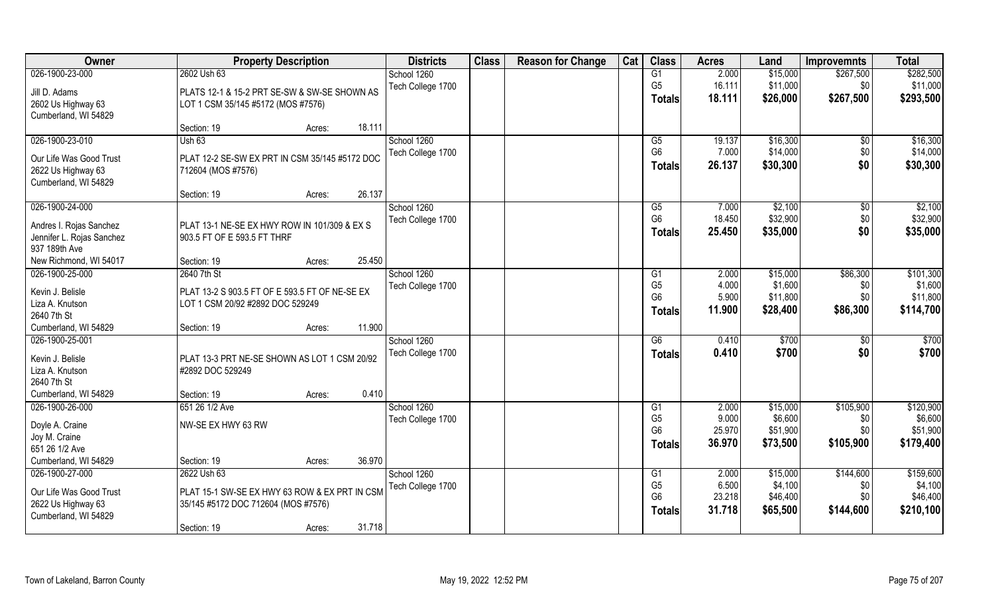| Owner                     | <b>Property Description</b>                    |        |        | <b>Districts</b>  | <b>Class</b> | <b>Reason for Change</b> | Cat | <b>Class</b>    | <b>Acres</b> | Land     | <b>Improvemnts</b> | <b>Total</b> |
|---------------------------|------------------------------------------------|--------|--------|-------------------|--------------|--------------------------|-----|-----------------|--------------|----------|--------------------|--------------|
| 026-1900-23-000           | 2602 Ush 63                                    |        |        | School 1260       |              |                          |     | G1              | 2.000        | \$15,000 | \$267,500          | \$282,500    |
| Jill D. Adams             | PLATS 12-1 & 15-2 PRT SE-SW & SW-SE SHOWN AS   |        |        | Tech College 1700 |              |                          |     | G <sub>5</sub>  | 16.111       | \$11,000 | \$0                | \$11,000     |
| 2602 Us Highway 63        | LOT 1 CSM 35/145 #5172 (MOS #7576)             |        |        |                   |              |                          |     | <b>Totals</b>   | 18.111       | \$26,000 | \$267,500          | \$293,500    |
| Cumberland, WI 54829      |                                                |        |        |                   |              |                          |     |                 |              |          |                    |              |
|                           | Section: 19                                    | Acres: | 18.111 |                   |              |                          |     |                 |              |          |                    |              |
| 026-1900-23-010           | Ush63                                          |        |        | School 1260       |              |                          |     | $\overline{G5}$ | 19.137       | \$16,300 | \$0                | \$16,300     |
| Our Life Was Good Trust   | PLAT 12-2 SE-SW EX PRT IN CSM 35/145 #5172 DOC |        |        | Tech College 1700 |              |                          |     | G <sub>6</sub>  | 7.000        | \$14,000 | \$0                | \$14,000     |
| 2622 Us Highway 63        | 712604 (MOS #7576)                             |        |        |                   |              |                          |     | <b>Totals</b>   | 26.137       | \$30,300 | \$0                | \$30,300     |
| Cumberland, WI 54829      |                                                |        |        |                   |              |                          |     |                 |              |          |                    |              |
|                           | Section: 19                                    | Acres: | 26.137 |                   |              |                          |     |                 |              |          |                    |              |
| 026-1900-24-000           |                                                |        |        | School 1260       |              |                          |     | G5              | 7.000        | \$2,100  | $\sqrt[6]{30}$     | \$2,100      |
| Andres I. Rojas Sanchez   | PLAT 13-1 NE-SE EX HWY ROW IN 101/309 & EX S   |        |        | Tech College 1700 |              |                          |     | G <sub>6</sub>  | 18.450       | \$32,900 | \$0                | \$32,900     |
| Jennifer L. Rojas Sanchez | 903.5 FT OF E 593.5 FT THRF                    |        |        |                   |              |                          |     | <b>Totals</b>   | 25.450       | \$35,000 | \$0                | \$35,000     |
| 937 189th Ave             |                                                |        |        |                   |              |                          |     |                 |              |          |                    |              |
| New Richmond, WI 54017    | Section: 19                                    | Acres: | 25.450 |                   |              |                          |     |                 |              |          |                    |              |
| 026-1900-25-000           | 2640 7th St                                    |        |        | School 1260       |              |                          |     | G1              | 2.000        | \$15,000 | \$86,300           | \$101,300    |
| Kevin J. Belisle          | PLAT 13-2 S 903.5 FT OF E 593.5 FT OF NE-SE EX |        |        | Tech College 1700 |              |                          |     | G <sub>5</sub>  | 4.000        | \$1,600  | \$0                | \$1,600      |
| Liza A. Knutson           | LOT 1 CSM 20/92 #2892 DOC 529249               |        |        |                   |              |                          |     | G <sub>6</sub>  | 5.900        | \$11,800 | \$0                | \$11,800     |
| 2640 7th St               |                                                |        |        |                   |              |                          |     | <b>Totals</b>   | 11.900       | \$28,400 | \$86,300           | \$114,700    |
| Cumberland, WI 54829      | Section: 19                                    | Acres: | 11.900 |                   |              |                          |     |                 |              |          |                    |              |
| 026-1900-25-001           |                                                |        |        | School 1260       |              |                          |     | $\overline{G6}$ | 0.410        | \$700    | \$0                | \$700        |
| Kevin J. Belisle          | PLAT 13-3 PRT NE-SE SHOWN AS LOT 1 CSM 20/92   |        |        | Tech College 1700 |              |                          |     | <b>Totals</b>   | 0.410        | \$700    | \$0                | \$700        |
| Liza A. Knutson           | #2892 DOC 529249                               |        |        |                   |              |                          |     |                 |              |          |                    |              |
| 2640 7th St               |                                                |        |        |                   |              |                          |     |                 |              |          |                    |              |
| Cumberland, WI 54829      | Section: 19                                    | Acres: | 0.410  |                   |              |                          |     |                 |              |          |                    |              |
| 026-1900-26-000           | 651 26 1/2 Ave                                 |        |        | School 1260       |              |                          |     | G1              | 2.000        | \$15,000 | \$105,900          | \$120,900    |
| Doyle A. Craine           | NW-SE EX HWY 63 RW                             |        |        | Tech College 1700 |              |                          |     | G <sub>5</sub>  | 9.000        | \$6,600  | \$0                | \$6,600      |
| Joy M. Craine             |                                                |        |        |                   |              |                          |     | G <sub>6</sub>  | 25.970       | \$51,900 | \$0                | \$51,900     |
| 651 26 1/2 Ave            |                                                |        |        |                   |              |                          |     | <b>Totals</b>   | 36.970       | \$73,500 | \$105,900          | \$179,400    |
| Cumberland, WI 54829      | Section: 19                                    | Acres: | 36.970 |                   |              |                          |     |                 |              |          |                    |              |
| 026-1900-27-000           | 2622 Ush 63                                    |        |        | School 1260       |              |                          |     | G1              | 2.000        | \$15,000 | \$144,600          | \$159,600    |
| Our Life Was Good Trust   | PLAT 15-1 SW-SE EX HWY 63 ROW & EX PRT IN CSM  |        |        | Tech College 1700 |              |                          |     | G <sub>5</sub>  | 6.500        | \$4,100  | \$0                | \$4,100      |
| 2622 Us Highway 63        | 35/145 #5172 DOC 712604 (MOS #7576)            |        |        |                   |              |                          |     | G <sub>6</sub>  | 23.218       | \$46,400 | \$0                | \$46,400     |
| Cumberland, WI 54829      |                                                |        |        |                   |              |                          |     | <b>Totals</b>   | 31.718       | \$65,500 | \$144,600          | \$210,100    |
|                           | Section: 19                                    | Acres: | 31.718 |                   |              |                          |     |                 |              |          |                    |              |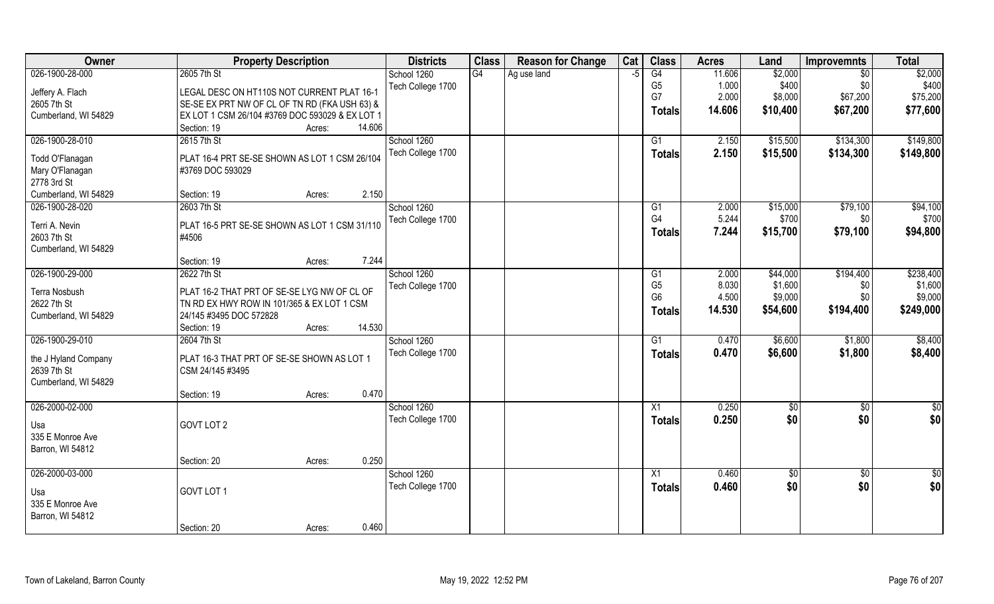| G4<br>\$2,000<br>026-1900-28-000<br>2605 7th St<br>G4<br>11.606<br>\$2,000<br>School 1260<br>Ag use land<br>$\sqrt{$0}$<br>-5<br>G <sub>5</sub><br>\$400<br>1.000<br>\$400<br>\$0<br>Tech College 1700<br>Jeffery A. Flach<br>LEGAL DESC ON HT110S NOT CURRENT PLAT 16-1<br>G7<br>2.000<br>\$67,200<br>\$75,200<br>\$8,000<br>SE-SE EX PRT NW OF CL OF TN RD (FKA USH 63) &<br>2605 7th St<br>\$67,200<br>14.606<br>\$10,400<br>\$77,600<br>Totals<br>Cumberland, WI 54829<br>EX LOT 1 CSM 26/104 #3769 DOC 593029 & EX LOT 1<br>14.606<br>Section: 19<br>Acres:<br>026-1900-28-010<br>\$134,300<br>2615 7th St<br>School 1260<br>2.150<br>\$15,500<br>G1<br>Tech College 1700<br>2.150<br>\$15,500<br>\$134,300<br>\$149,800<br>Totals<br>Todd O'Flanagan<br>PLAT 16-4 PRT SE-SE SHOWN AS LOT 1 CSM 26/104<br>Mary O'Flanagan<br>#3769 DOC 593029<br>2778 3rd St<br>2.150<br>Cumberland, WI 54829<br>Section: 19<br>Acres:<br>026-1900-28-020<br>2603 7th St<br>School 1260<br>\$15,000<br>\$79,100<br>G1<br>2.000<br>G <sub>4</sub><br>5.244<br>\$700<br>\$0<br>Tech College 1700<br>Terri A. Nevin<br>PLAT 16-5 PRT SE-SE SHOWN AS LOT 1 CSM 31/110<br>7.244<br>\$79,100<br>\$15,700<br><b>Totals</b><br>2603 7th St<br>#4506<br>Cumberland, WI 54829<br>7.244<br>Section: 19<br>Acres:<br>026-1900-29-000<br>School 1260<br>2622 7th St<br>\$44,000<br>\$194,400<br>2.000<br>G1<br>G <sub>5</sub><br>8.030<br>\$1,600<br>Tech College 1700<br>\$0<br>Terra Nosbush<br>PLAT 16-2 THAT PRT OF SE-SE LYG NW OF CL OF<br>G <sub>6</sub><br>4.500<br>\$9,000<br>\$0<br>2622 7th St<br>TN RD EX HWY ROW IN 101/365 & EX LOT 1 CSM<br>14.530<br>\$54,600<br>\$194,400<br><b>Totals</b><br>Cumberland, WI 54829<br>24/145 #3495 DOC 572828<br>14.530<br>Section: 19<br>Acres:<br>026-1900-29-010<br>2604 7th St<br>School 1260<br>$\overline{G1}$<br>0.470<br>\$6,600<br>\$1,800<br>Tech College 1700<br>0.470<br>\$6,600<br>\$1,800<br><b>Totals</b><br>the J Hyland Company<br>PLAT 16-3 THAT PRT OF SE-SE SHOWN AS LOT 1<br>2639 7th St<br>CSM 24/145 #3495<br>Cumberland, WI 54829<br>0.470<br>Section: 19<br>Acres:<br>026-2000-02-000<br>School 1260<br>0.250<br>X1<br>\$0<br>\$0<br>\$0<br>0.250<br>\$0<br>Tech College 1700<br><b>Totals</b><br>GOVT LOT 2<br>Usa<br>335 E Monroe Ave<br>Barron, WI 54812<br>0.250<br>Section: 20<br>Acres:<br>026-2000-03-000<br>School 1260<br>$\overline{X1}$<br>0.460<br>$\sqrt{6}$<br>$\sqrt{$0}$<br>0.460<br>\$0<br>\$0<br>Tech College 1700<br><b>Totals</b><br>GOVT LOT 1<br>Usa<br>335 E Monroe Ave<br>Barron, WI 54812 | Owner |             | <b>Property Description</b> |       | <b>Districts</b> | <b>Class</b> | <b>Reason for Change</b> | Cat | <b>Class</b> | <b>Acres</b> | Land | <b>Improvemnts</b> | <b>Total</b> |
|----------------------------------------------------------------------------------------------------------------------------------------------------------------------------------------------------------------------------------------------------------------------------------------------------------------------------------------------------------------------------------------------------------------------------------------------------------------------------------------------------------------------------------------------------------------------------------------------------------------------------------------------------------------------------------------------------------------------------------------------------------------------------------------------------------------------------------------------------------------------------------------------------------------------------------------------------------------------------------------------------------------------------------------------------------------------------------------------------------------------------------------------------------------------------------------------------------------------------------------------------------------------------------------------------------------------------------------------------------------------------------------------------------------------------------------------------------------------------------------------------------------------------------------------------------------------------------------------------------------------------------------------------------------------------------------------------------------------------------------------------------------------------------------------------------------------------------------------------------------------------------------------------------------------------------------------------------------------------------------------------------------------------------------------------------------------------------------------------------------------------------------------------------------------------------------------------------------------------------------------------------------------------------------------------------------------------------------------------------------------------------------------------------------------------------------------------------------------------------------------------------------------------------------------------------------------|-------|-------------|-----------------------------|-------|------------------|--------------|--------------------------|-----|--------------|--------------|------|--------------------|--------------|
|                                                                                                                                                                                                                                                                                                                                                                                                                                                                                                                                                                                                                                                                                                                                                                                                                                                                                                                                                                                                                                                                                                                                                                                                                                                                                                                                                                                                                                                                                                                                                                                                                                                                                                                                                                                                                                                                                                                                                                                                                                                                                                                                                                                                                                                                                                                                                                                                                                                                                                                                                                      |       |             |                             |       |                  |              |                          |     |              |              |      |                    |              |
| \$149,800                                                                                                                                                                                                                                                                                                                                                                                                                                                                                                                                                                                                                                                                                                                                                                                                                                                                                                                                                                                                                                                                                                                                                                                                                                                                                                                                                                                                                                                                                                                                                                                                                                                                                                                                                                                                                                                                                                                                                                                                                                                                                                                                                                                                                                                                                                                                                                                                                                                                                                                                                            |       |             |                             |       |                  |              |                          |     |              |              |      |                    |              |
|                                                                                                                                                                                                                                                                                                                                                                                                                                                                                                                                                                                                                                                                                                                                                                                                                                                                                                                                                                                                                                                                                                                                                                                                                                                                                                                                                                                                                                                                                                                                                                                                                                                                                                                                                                                                                                                                                                                                                                                                                                                                                                                                                                                                                                                                                                                                                                                                                                                                                                                                                                      |       |             |                             |       |                  |              |                          |     |              |              |      |                    |              |
|                                                                                                                                                                                                                                                                                                                                                                                                                                                                                                                                                                                                                                                                                                                                                                                                                                                                                                                                                                                                                                                                                                                                                                                                                                                                                                                                                                                                                                                                                                                                                                                                                                                                                                                                                                                                                                                                                                                                                                                                                                                                                                                                                                                                                                                                                                                                                                                                                                                                                                                                                                      |       |             |                             |       |                  |              |                          |     |              |              |      |                    |              |
|                                                                                                                                                                                                                                                                                                                                                                                                                                                                                                                                                                                                                                                                                                                                                                                                                                                                                                                                                                                                                                                                                                                                                                                                                                                                                                                                                                                                                                                                                                                                                                                                                                                                                                                                                                                                                                                                                                                                                                                                                                                                                                                                                                                                                                                                                                                                                                                                                                                                                                                                                                      |       |             |                             |       |                  |              |                          |     |              |              |      |                    |              |
|                                                                                                                                                                                                                                                                                                                                                                                                                                                                                                                                                                                                                                                                                                                                                                                                                                                                                                                                                                                                                                                                                                                                                                                                                                                                                                                                                                                                                                                                                                                                                                                                                                                                                                                                                                                                                                                                                                                                                                                                                                                                                                                                                                                                                                                                                                                                                                                                                                                                                                                                                                      |       |             |                             |       |                  |              |                          |     |              |              |      |                    |              |
|                                                                                                                                                                                                                                                                                                                                                                                                                                                                                                                                                                                                                                                                                                                                                                                                                                                                                                                                                                                                                                                                                                                                                                                                                                                                                                                                                                                                                                                                                                                                                                                                                                                                                                                                                                                                                                                                                                                                                                                                                                                                                                                                                                                                                                                                                                                                                                                                                                                                                                                                                                      |       |             |                             |       |                  |              |                          |     |              |              |      |                    |              |
| \$94,100<br>\$700<br>\$94,800<br>\$238,400<br>\$1,600<br>\$9,000<br>\$249,000<br>\$8,400<br>\$8,400<br>\$0<br>\$0 <br>$\overline{50}$<br>\$0                                                                                                                                                                                                                                                                                                                                                                                                                                                                                                                                                                                                                                                                                                                                                                                                                                                                                                                                                                                                                                                                                                                                                                                                                                                                                                                                                                                                                                                                                                                                                                                                                                                                                                                                                                                                                                                                                                                                                                                                                                                                                                                                                                                                                                                                                                                                                                                                                         |       |             |                             |       |                  |              |                          |     |              |              |      |                    |              |
|                                                                                                                                                                                                                                                                                                                                                                                                                                                                                                                                                                                                                                                                                                                                                                                                                                                                                                                                                                                                                                                                                                                                                                                                                                                                                                                                                                                                                                                                                                                                                                                                                                                                                                                                                                                                                                                                                                                                                                                                                                                                                                                                                                                                                                                                                                                                                                                                                                                                                                                                                                      |       |             |                             |       |                  |              |                          |     |              |              |      |                    |              |
|                                                                                                                                                                                                                                                                                                                                                                                                                                                                                                                                                                                                                                                                                                                                                                                                                                                                                                                                                                                                                                                                                                                                                                                                                                                                                                                                                                                                                                                                                                                                                                                                                                                                                                                                                                                                                                                                                                                                                                                                                                                                                                                                                                                                                                                                                                                                                                                                                                                                                                                                                                      |       |             |                             |       |                  |              |                          |     |              |              |      |                    |              |
|                                                                                                                                                                                                                                                                                                                                                                                                                                                                                                                                                                                                                                                                                                                                                                                                                                                                                                                                                                                                                                                                                                                                                                                                                                                                                                                                                                                                                                                                                                                                                                                                                                                                                                                                                                                                                                                                                                                                                                                                                                                                                                                                                                                                                                                                                                                                                                                                                                                                                                                                                                      |       |             |                             |       |                  |              |                          |     |              |              |      |                    |              |
|                                                                                                                                                                                                                                                                                                                                                                                                                                                                                                                                                                                                                                                                                                                                                                                                                                                                                                                                                                                                                                                                                                                                                                                                                                                                                                                                                                                                                                                                                                                                                                                                                                                                                                                                                                                                                                                                                                                                                                                                                                                                                                                                                                                                                                                                                                                                                                                                                                                                                                                                                                      |       |             |                             |       |                  |              |                          |     |              |              |      |                    |              |
|                                                                                                                                                                                                                                                                                                                                                                                                                                                                                                                                                                                                                                                                                                                                                                                                                                                                                                                                                                                                                                                                                                                                                                                                                                                                                                                                                                                                                                                                                                                                                                                                                                                                                                                                                                                                                                                                                                                                                                                                                                                                                                                                                                                                                                                                                                                                                                                                                                                                                                                                                                      |       |             |                             |       |                  |              |                          |     |              |              |      |                    |              |
|                                                                                                                                                                                                                                                                                                                                                                                                                                                                                                                                                                                                                                                                                                                                                                                                                                                                                                                                                                                                                                                                                                                                                                                                                                                                                                                                                                                                                                                                                                                                                                                                                                                                                                                                                                                                                                                                                                                                                                                                                                                                                                                                                                                                                                                                                                                                                                                                                                                                                                                                                                      |       |             |                             |       |                  |              |                          |     |              |              |      |                    |              |
|                                                                                                                                                                                                                                                                                                                                                                                                                                                                                                                                                                                                                                                                                                                                                                                                                                                                                                                                                                                                                                                                                                                                                                                                                                                                                                                                                                                                                                                                                                                                                                                                                                                                                                                                                                                                                                                                                                                                                                                                                                                                                                                                                                                                                                                                                                                                                                                                                                                                                                                                                                      |       |             |                             |       |                  |              |                          |     |              |              |      |                    |              |
|                                                                                                                                                                                                                                                                                                                                                                                                                                                                                                                                                                                                                                                                                                                                                                                                                                                                                                                                                                                                                                                                                                                                                                                                                                                                                                                                                                                                                                                                                                                                                                                                                                                                                                                                                                                                                                                                                                                                                                                                                                                                                                                                                                                                                                                                                                                                                                                                                                                                                                                                                                      |       |             |                             |       |                  |              |                          |     |              |              |      |                    |              |
|                                                                                                                                                                                                                                                                                                                                                                                                                                                                                                                                                                                                                                                                                                                                                                                                                                                                                                                                                                                                                                                                                                                                                                                                                                                                                                                                                                                                                                                                                                                                                                                                                                                                                                                                                                                                                                                                                                                                                                                                                                                                                                                                                                                                                                                                                                                                                                                                                                                                                                                                                                      |       |             |                             |       |                  |              |                          |     |              |              |      |                    |              |
|                                                                                                                                                                                                                                                                                                                                                                                                                                                                                                                                                                                                                                                                                                                                                                                                                                                                                                                                                                                                                                                                                                                                                                                                                                                                                                                                                                                                                                                                                                                                                                                                                                                                                                                                                                                                                                                                                                                                                                                                                                                                                                                                                                                                                                                                                                                                                                                                                                                                                                                                                                      |       |             |                             |       |                  |              |                          |     |              |              |      |                    |              |
|                                                                                                                                                                                                                                                                                                                                                                                                                                                                                                                                                                                                                                                                                                                                                                                                                                                                                                                                                                                                                                                                                                                                                                                                                                                                                                                                                                                                                                                                                                                                                                                                                                                                                                                                                                                                                                                                                                                                                                                                                                                                                                                                                                                                                                                                                                                                                                                                                                                                                                                                                                      |       |             |                             |       |                  |              |                          |     |              |              |      |                    |              |
|                                                                                                                                                                                                                                                                                                                                                                                                                                                                                                                                                                                                                                                                                                                                                                                                                                                                                                                                                                                                                                                                                                                                                                                                                                                                                                                                                                                                                                                                                                                                                                                                                                                                                                                                                                                                                                                                                                                                                                                                                                                                                                                                                                                                                                                                                                                                                                                                                                                                                                                                                                      |       |             |                             |       |                  |              |                          |     |              |              |      |                    |              |
|                                                                                                                                                                                                                                                                                                                                                                                                                                                                                                                                                                                                                                                                                                                                                                                                                                                                                                                                                                                                                                                                                                                                                                                                                                                                                                                                                                                                                                                                                                                                                                                                                                                                                                                                                                                                                                                                                                                                                                                                                                                                                                                                                                                                                                                                                                                                                                                                                                                                                                                                                                      |       |             |                             |       |                  |              |                          |     |              |              |      |                    |              |
|                                                                                                                                                                                                                                                                                                                                                                                                                                                                                                                                                                                                                                                                                                                                                                                                                                                                                                                                                                                                                                                                                                                                                                                                                                                                                                                                                                                                                                                                                                                                                                                                                                                                                                                                                                                                                                                                                                                                                                                                                                                                                                                                                                                                                                                                                                                                                                                                                                                                                                                                                                      |       |             |                             |       |                  |              |                          |     |              |              |      |                    |              |
|                                                                                                                                                                                                                                                                                                                                                                                                                                                                                                                                                                                                                                                                                                                                                                                                                                                                                                                                                                                                                                                                                                                                                                                                                                                                                                                                                                                                                                                                                                                                                                                                                                                                                                                                                                                                                                                                                                                                                                                                                                                                                                                                                                                                                                                                                                                                                                                                                                                                                                                                                                      |       |             |                             |       |                  |              |                          |     |              |              |      |                    |              |
|                                                                                                                                                                                                                                                                                                                                                                                                                                                                                                                                                                                                                                                                                                                                                                                                                                                                                                                                                                                                                                                                                                                                                                                                                                                                                                                                                                                                                                                                                                                                                                                                                                                                                                                                                                                                                                                                                                                                                                                                                                                                                                                                                                                                                                                                                                                                                                                                                                                                                                                                                                      |       |             |                             |       |                  |              |                          |     |              |              |      |                    |              |
|                                                                                                                                                                                                                                                                                                                                                                                                                                                                                                                                                                                                                                                                                                                                                                                                                                                                                                                                                                                                                                                                                                                                                                                                                                                                                                                                                                                                                                                                                                                                                                                                                                                                                                                                                                                                                                                                                                                                                                                                                                                                                                                                                                                                                                                                                                                                                                                                                                                                                                                                                                      |       |             |                             |       |                  |              |                          |     |              |              |      |                    |              |
|                                                                                                                                                                                                                                                                                                                                                                                                                                                                                                                                                                                                                                                                                                                                                                                                                                                                                                                                                                                                                                                                                                                                                                                                                                                                                                                                                                                                                                                                                                                                                                                                                                                                                                                                                                                                                                                                                                                                                                                                                                                                                                                                                                                                                                                                                                                                                                                                                                                                                                                                                                      |       |             |                             |       |                  |              |                          |     |              |              |      |                    |              |
|                                                                                                                                                                                                                                                                                                                                                                                                                                                                                                                                                                                                                                                                                                                                                                                                                                                                                                                                                                                                                                                                                                                                                                                                                                                                                                                                                                                                                                                                                                                                                                                                                                                                                                                                                                                                                                                                                                                                                                                                                                                                                                                                                                                                                                                                                                                                                                                                                                                                                                                                                                      |       |             |                             |       |                  |              |                          |     |              |              |      |                    |              |
|                                                                                                                                                                                                                                                                                                                                                                                                                                                                                                                                                                                                                                                                                                                                                                                                                                                                                                                                                                                                                                                                                                                                                                                                                                                                                                                                                                                                                                                                                                                                                                                                                                                                                                                                                                                                                                                                                                                                                                                                                                                                                                                                                                                                                                                                                                                                                                                                                                                                                                                                                                      |       |             |                             |       |                  |              |                          |     |              |              |      |                    |              |
|                                                                                                                                                                                                                                                                                                                                                                                                                                                                                                                                                                                                                                                                                                                                                                                                                                                                                                                                                                                                                                                                                                                                                                                                                                                                                                                                                                                                                                                                                                                                                                                                                                                                                                                                                                                                                                                                                                                                                                                                                                                                                                                                                                                                                                                                                                                                                                                                                                                                                                                                                                      |       |             |                             |       |                  |              |                          |     |              |              |      |                    |              |
|                                                                                                                                                                                                                                                                                                                                                                                                                                                                                                                                                                                                                                                                                                                                                                                                                                                                                                                                                                                                                                                                                                                                                                                                                                                                                                                                                                                                                                                                                                                                                                                                                                                                                                                                                                                                                                                                                                                                                                                                                                                                                                                                                                                                                                                                                                                                                                                                                                                                                                                                                                      |       |             |                             |       |                  |              |                          |     |              |              |      |                    |              |
|                                                                                                                                                                                                                                                                                                                                                                                                                                                                                                                                                                                                                                                                                                                                                                                                                                                                                                                                                                                                                                                                                                                                                                                                                                                                                                                                                                                                                                                                                                                                                                                                                                                                                                                                                                                                                                                                                                                                                                                                                                                                                                                                                                                                                                                                                                                                                                                                                                                                                                                                                                      |       |             |                             |       |                  |              |                          |     |              |              |      |                    |              |
|                                                                                                                                                                                                                                                                                                                                                                                                                                                                                                                                                                                                                                                                                                                                                                                                                                                                                                                                                                                                                                                                                                                                                                                                                                                                                                                                                                                                                                                                                                                                                                                                                                                                                                                                                                                                                                                                                                                                                                                                                                                                                                                                                                                                                                                                                                                                                                                                                                                                                                                                                                      |       |             |                             |       |                  |              |                          |     |              |              |      |                    |              |
|                                                                                                                                                                                                                                                                                                                                                                                                                                                                                                                                                                                                                                                                                                                                                                                                                                                                                                                                                                                                                                                                                                                                                                                                                                                                                                                                                                                                                                                                                                                                                                                                                                                                                                                                                                                                                                                                                                                                                                                                                                                                                                                                                                                                                                                                                                                                                                                                                                                                                                                                                                      |       |             |                             |       |                  |              |                          |     |              |              |      |                    |              |
|                                                                                                                                                                                                                                                                                                                                                                                                                                                                                                                                                                                                                                                                                                                                                                                                                                                                                                                                                                                                                                                                                                                                                                                                                                                                                                                                                                                                                                                                                                                                                                                                                                                                                                                                                                                                                                                                                                                                                                                                                                                                                                                                                                                                                                                                                                                                                                                                                                                                                                                                                                      |       |             |                             |       |                  |              |                          |     |              |              |      |                    |              |
|                                                                                                                                                                                                                                                                                                                                                                                                                                                                                                                                                                                                                                                                                                                                                                                                                                                                                                                                                                                                                                                                                                                                                                                                                                                                                                                                                                                                                                                                                                                                                                                                                                                                                                                                                                                                                                                                                                                                                                                                                                                                                                                                                                                                                                                                                                                                                                                                                                                                                                                                                                      |       |             |                             |       |                  |              |                          |     |              |              |      |                    |              |
|                                                                                                                                                                                                                                                                                                                                                                                                                                                                                                                                                                                                                                                                                                                                                                                                                                                                                                                                                                                                                                                                                                                                                                                                                                                                                                                                                                                                                                                                                                                                                                                                                                                                                                                                                                                                                                                                                                                                                                                                                                                                                                                                                                                                                                                                                                                                                                                                                                                                                                                                                                      |       | Section: 20 | Acres:                      | 0.460 |                  |              |                          |     |              |              |      |                    |              |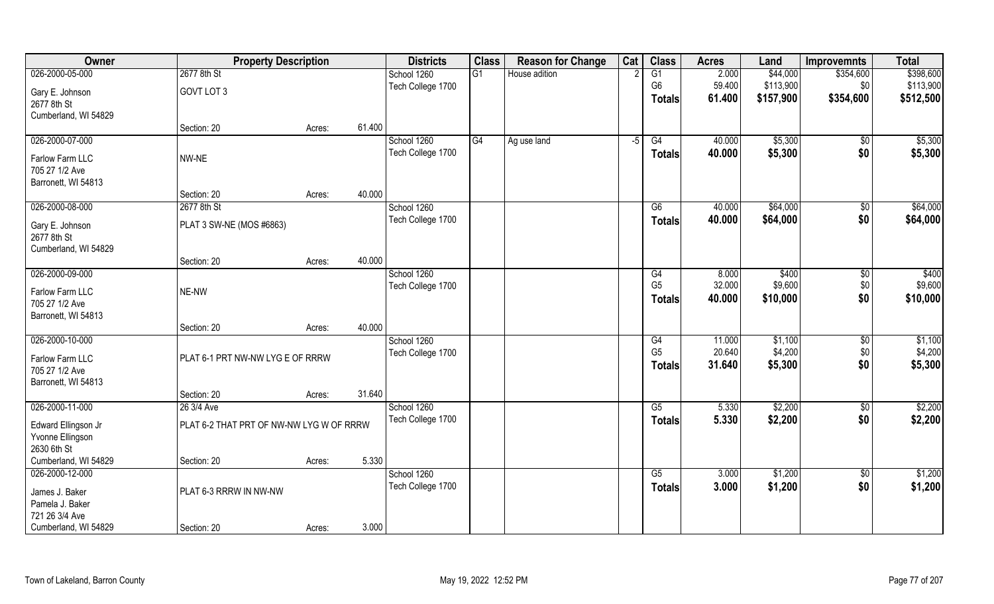| Owner                | <b>Property Description</b>              |        |        | <b>Districts</b>  | <b>Class</b> | <b>Reason for Change</b> | Cat  | <b>Class</b>   | <b>Acres</b> | Land      | <b>Improvemnts</b> | <b>Total</b> |
|----------------------|------------------------------------------|--------|--------|-------------------|--------------|--------------------------|------|----------------|--------------|-----------|--------------------|--------------|
| 026-2000-05-000      | 2677 8th St                              |        |        | School 1260       | G1           | House adition            |      | G1             | 2.000        | \$44,000  | \$354,600          | \$398,600    |
| Gary E. Johnson      | GOVT LOT 3                               |        |        | Tech College 1700 |              |                          |      | G <sub>6</sub> | 59.400       | \$113,900 | \$0                | \$113,900    |
| 2677 8th St          |                                          |        |        |                   |              |                          |      | <b>Totals</b>  | 61.400       | \$157,900 | \$354,600          | \$512,500    |
| Cumberland, WI 54829 |                                          |        |        |                   |              |                          |      |                |              |           |                    |              |
|                      | Section: 20                              | Acres: | 61.400 |                   |              |                          |      |                |              |           |                    |              |
| 026-2000-07-000      |                                          |        |        | School 1260       | G4           | Ag use land              | $-5$ | G4             | 40.000       | \$5,300   | \$0                | \$5,300      |
| Farlow Farm LLC      | NW-NE                                    |        |        | Tech College 1700 |              |                          |      | Totals         | 40.000       | \$5,300   | \$0                | \$5,300      |
| 705 27 1/2 Ave       |                                          |        |        |                   |              |                          |      |                |              |           |                    |              |
| Barronett, WI 54813  |                                          |        |        |                   |              |                          |      |                |              |           |                    |              |
|                      | Section: 20                              | Acres: | 40.000 |                   |              |                          |      |                |              |           |                    |              |
| 026-2000-08-000      | 2677 8th St                              |        |        | School 1260       |              |                          |      | G6             | 40.000       | \$64,000  | \$0                | \$64,000     |
| Gary E. Johnson      | PLAT 3 SW-NE (MOS #6863)                 |        |        | Tech College 1700 |              |                          |      | <b>Totals</b>  | 40.000       | \$64,000  | \$0                | \$64,000     |
| 2677 8th St          |                                          |        |        |                   |              |                          |      |                |              |           |                    |              |
| Cumberland, WI 54829 |                                          |        |        |                   |              |                          |      |                |              |           |                    |              |
|                      | Section: 20                              | Acres: | 40.000 |                   |              |                          |      |                |              |           |                    |              |
| 026-2000-09-000      |                                          |        |        | School 1260       |              |                          |      | G4             | 8.000        | \$400     | \$0                | \$400        |
| Farlow Farm LLC      | NE-NW                                    |        |        | Tech College 1700 |              |                          |      | G <sub>5</sub> | 32.000       | \$9,600   | \$0                | \$9,600      |
| 705 27 1/2 Ave       |                                          |        |        |                   |              |                          |      | Totals         | 40.000       | \$10,000  | \$0                | \$10,000     |
| Barronett, WI 54813  |                                          |        |        |                   |              |                          |      |                |              |           |                    |              |
|                      | Section: 20                              | Acres: | 40.000 |                   |              |                          |      |                |              |           |                    |              |
| 026-2000-10-000      |                                          |        |        | School 1260       |              |                          |      | G4             | 11.000       | \$1,100   | $\overline{50}$    | \$1,100      |
| Farlow Farm LLC      | PLAT 6-1 PRT NW-NW LYG E OF RRRW         |        |        | Tech College 1700 |              |                          |      | G <sub>5</sub> | 20.640       | \$4,200   | \$0                | \$4,200      |
| 705 27 1/2 Ave       |                                          |        |        |                   |              |                          |      | <b>Totals</b>  | 31.640       | \$5,300   | \$0                | \$5,300      |
| Barronett, WI 54813  |                                          |        |        |                   |              |                          |      |                |              |           |                    |              |
|                      | Section: 20                              | Acres: | 31.640 |                   |              |                          |      |                |              |           |                    |              |
| 026-2000-11-000      | 26 3/4 Ave                               |        |        | School 1260       |              |                          |      | G5             | 5.330        | \$2,200   | \$0                | \$2,200      |
| Edward Ellingson Jr  | PLAT 6-2 THAT PRT OF NW-NW LYG W OF RRRW |        |        | Tech College 1700 |              |                          |      | <b>Totals</b>  | 5.330        | \$2,200   | \$0                | \$2,200      |
| Yvonne Ellingson     |                                          |        |        |                   |              |                          |      |                |              |           |                    |              |
| 2630 6th St          |                                          |        |        |                   |              |                          |      |                |              |           |                    |              |
| Cumberland, WI 54829 | Section: 20                              | Acres: | 5.330  |                   |              |                          |      |                |              |           |                    |              |
| 026-2000-12-000      |                                          |        |        | School 1260       |              |                          |      | G5             | 3.000        | \$1,200   | $\sqrt{$0}$        | \$1,200      |
| James J. Baker       | PLAT 6-3 RRRW IN NW-NW                   |        |        | Tech College 1700 |              |                          |      | <b>Totals</b>  | 3.000        | \$1,200   | \$0                | \$1,200      |
| Pamela J. Baker      |                                          |        |        |                   |              |                          |      |                |              |           |                    |              |
| 721 26 3/4 Ave       |                                          |        |        |                   |              |                          |      |                |              |           |                    |              |
| Cumberland, WI 54829 | Section: 20                              | Acres: | 3.000  |                   |              |                          |      |                |              |           |                    |              |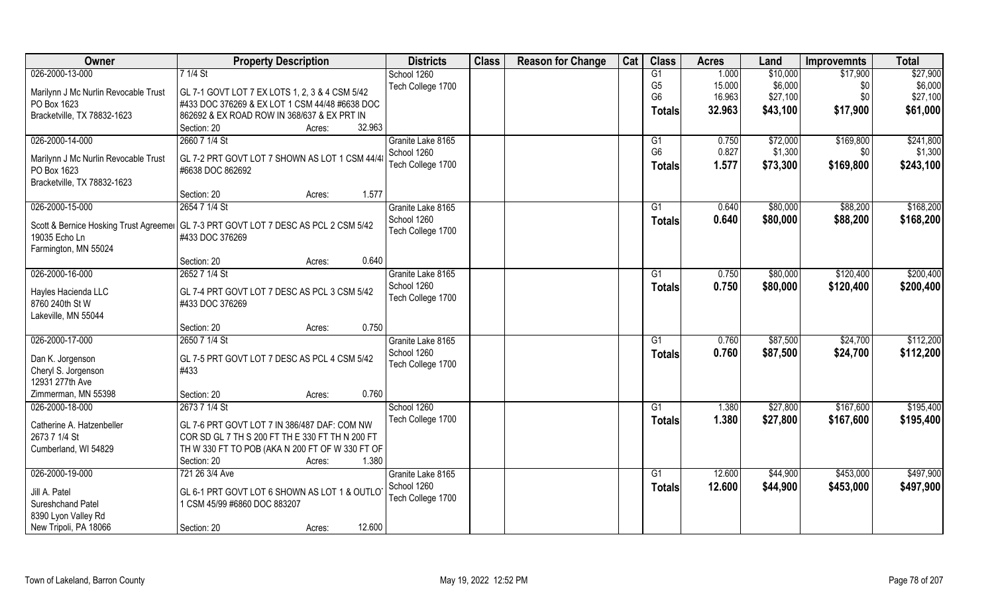| Owner                                  | <b>Property Description</b>                     | <b>Districts</b>  | <b>Class</b> | <b>Reason for Change</b> | Cat | <b>Class</b>   | <b>Acres</b> | Land     | <b>Improvemnts</b> | <b>Total</b> |
|----------------------------------------|-------------------------------------------------|-------------------|--------------|--------------------------|-----|----------------|--------------|----------|--------------------|--------------|
| 026-2000-13-000                        | 7 1/4 St                                        | School 1260       |              |                          |     | G1             | 1.000        | \$10,000 | \$17,900           | \$27,900     |
| Marilynn J Mc Nurlin Revocable Trust   | GL 7-1 GOVT LOT 7 EX LOTS 1, 2, 3 & 4 CSM 5/42  | Tech College 1700 |              |                          |     | G <sub>5</sub> | 15.000       | \$6,000  | \$0                | \$6,000      |
| PO Box 1623                            | #433 DOC 376269 & EX LOT 1 CSM 44/48 #6638 DOC  |                   |              |                          |     | G <sub>6</sub> | 16.963       | \$27,100 | \$0\$              | \$27,100     |
| Bracketville, TX 78832-1623            | 862692 & EX ROAD ROW IN 368/637 & EX PRT IN     |                   |              |                          |     | <b>Totals</b>  | 32.963       | \$43,100 | \$17,900           | \$61,000     |
|                                        | Section: 20<br>32.963<br>Acres:                 |                   |              |                          |     |                |              |          |                    |              |
| 026-2000-14-000                        | 2660 7 1/4 St                                   | Granite Lake 8165 |              |                          |     | G1             | 0.750        | \$72,000 | \$169,800          | \$241,800    |
|                                        |                                                 | School 1260       |              |                          |     | G <sub>6</sub> | 0.827        | \$1,300  |                    | \$1,300      |
| Marilynn J Mc Nurlin Revocable Trust   | GL 7-2 PRT GOVT LOT 7 SHOWN AS LOT 1 CSM 44/4   |                   |              |                          |     |                |              |          | \$0                |              |
| PO Box 1623                            | #6638 DOC 862692                                | Tech College 1700 |              |                          |     | <b>Totals</b>  | 1.577        | \$73,300 | \$169,800          | \$243,100    |
| Bracketville, TX 78832-1623            |                                                 |                   |              |                          |     |                |              |          |                    |              |
|                                        | Section: 20<br>1.577<br>Acres:                  |                   |              |                          |     |                |              |          |                    |              |
| 026-2000-15-000                        | 2654 7 1/4 St                                   | Granite Lake 8165 |              |                          |     | G1             | 0.640        | \$80,000 | \$88,200           | \$168,200    |
|                                        |                                                 | School 1260       |              |                          |     | <b>Totals</b>  | 0.640        | \$80,000 | \$88,200           | \$168,200    |
| Scott & Bernice Hosking Trust Agreemer | GL 7-3 PRT GOVT LOT 7 DESC AS PCL 2 CSM 5/42    | Tech College 1700 |              |                          |     |                |              |          |                    |              |
| 19035 Echo Ln                          | #433 DOC 376269                                 |                   |              |                          |     |                |              |          |                    |              |
| Farmington, MN 55024                   | 0.640                                           |                   |              |                          |     |                |              |          |                    |              |
|                                        | Section: 20<br>Acres:                           |                   |              |                          |     |                |              |          |                    |              |
| 026-2000-16-000                        | 2652 7 1/4 St                                   | Granite Lake 8165 |              |                          |     | G1             | 0.750        | \$80,000 | \$120,400          | \$200,400    |
| Hayles Hacienda LLC                    | GL 7-4 PRT GOVT LOT 7 DESC AS PCL 3 CSM 5/42    | School 1260       |              |                          |     | <b>Totals</b>  | 0.750        | \$80,000 | \$120,400          | \$200,400    |
| 8760 240th St W                        | #433 DOC 376269                                 | Tech College 1700 |              |                          |     |                |              |          |                    |              |
| Lakeville, MN 55044                    |                                                 |                   |              |                          |     |                |              |          |                    |              |
|                                        | 0.750<br>Section: 20<br>Acres:                  |                   |              |                          |     |                |              |          |                    |              |
| 026-2000-17-000                        | 2650 7 1/4 St                                   | Granite Lake 8165 |              |                          |     | G1             | 0.760        | \$87,500 | \$24,700           | \$112,200    |
|                                        |                                                 | School 1260       |              |                          |     | <b>Totals</b>  | 0.760        | \$87,500 | \$24,700           | \$112,200    |
| Dan K. Jorgenson                       | GL 7-5 PRT GOVT LOT 7 DESC AS PCL 4 CSM 5/42    | Tech College 1700 |              |                          |     |                |              |          |                    |              |
| Cheryl S. Jorgenson                    | #433                                            |                   |              |                          |     |                |              |          |                    |              |
| 12931 277th Ave                        |                                                 |                   |              |                          |     |                |              |          |                    |              |
| Zimmerman, MN 55398                    | 0.760<br>Section: 20<br>Acres:                  |                   |              |                          |     |                |              |          |                    |              |
| 026-2000-18-000                        | 2673 7 1/4 St                                   | School 1260       |              |                          |     | G1             | 1.380        | \$27,800 | \$167,600          | \$195,400    |
| Catherine A. Hatzenbeller              | GL 7-6 PRT GOVT LOT 7 IN 386/487 DAF: COM NW    | Tech College 1700 |              |                          |     | <b>Totals</b>  | 1.380        | \$27,800 | \$167,600          | \$195,400    |
| 2673 7 1/4 St                          | COR SD GL 7 TH S 200 FT TH E 330 FT TH N 200 FT |                   |              |                          |     |                |              |          |                    |              |
| Cumberland, WI 54829                   | TH W 330 FT TO POB (AKA N 200 FT OF W 330 FT OF |                   |              |                          |     |                |              |          |                    |              |
|                                        | 1.380<br>Section: 20<br>Acres:                  |                   |              |                          |     |                |              |          |                    |              |
| 026-2000-19-000                        | 721 26 3/4 Ave                                  | Granite Lake 8165 |              |                          |     | G1             | 12,600       | \$44,900 | \$453,000          | \$497,900    |
|                                        |                                                 | School 1260       |              |                          |     | Totals         | 12.600       | \$44,900 | \$453,000          | \$497,900    |
| Jill A. Patel                          | GL 6-1 PRT GOVT LOT 6 SHOWN AS LOT 1 & OUTLOT   | Tech College 1700 |              |                          |     |                |              |          |                    |              |
| Sureshchand Patel                      | 1 CSM 45/99 #6860 DOC 883207                    |                   |              |                          |     |                |              |          |                    |              |
| 8390 Lyon Valley Rd                    |                                                 |                   |              |                          |     |                |              |          |                    |              |
| New Tripoli, PA 18066                  | 12.600<br>Section: 20<br>Acres:                 |                   |              |                          |     |                |              |          |                    |              |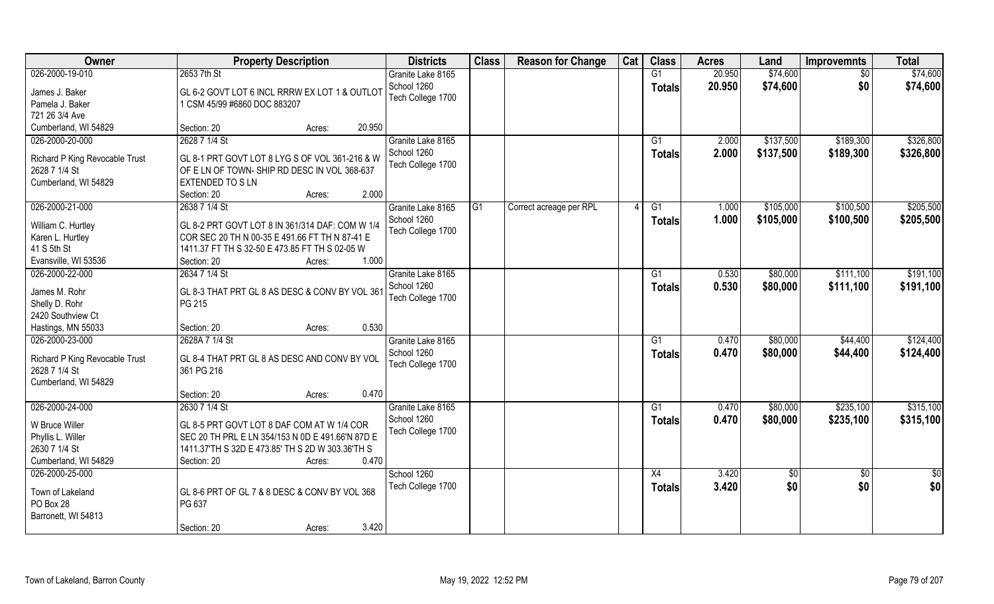| Owner                          | <b>Property Description</b>                       | <b>Districts</b>  | <b>Class</b> | <b>Reason for Change</b> | Cat | <b>Class</b>  | <b>Acres</b> | Land      | <b>Improvemnts</b> | <b>Total</b> |
|--------------------------------|---------------------------------------------------|-------------------|--------------|--------------------------|-----|---------------|--------------|-----------|--------------------|--------------|
| 026-2000-19-010                | 2653 7th St                                       | Granite Lake 8165 |              |                          |     | G1            | 20.950       | \$74,600  | $\sqrt{6}$         | \$74,600     |
| James J. Baker                 | GL 6-2 GOVT LOT 6 INCL RRRW EX LOT 1 & OUTLOT     | School 1260       |              |                          |     | <b>Totals</b> | 20.950       | \$74,600  | \$0                | \$74,600     |
| Pamela J. Baker                | 1 CSM 45/99 #6860 DOC 883207                      | Tech College 1700 |              |                          |     |               |              |           |                    |              |
| 721 26 3/4 Ave                 |                                                   |                   |              |                          |     |               |              |           |                    |              |
| Cumberland, WI 54829           | 20.950<br>Section: 20<br>Acres:                   |                   |              |                          |     |               |              |           |                    |              |
| 026-2000-20-000                | 2628 7 1/4 St                                     | Granite Lake 8165 |              |                          |     | G1            | 2.000        | \$137,500 | \$189,300          | \$326,800    |
|                                |                                                   | School 1260       |              |                          |     | Totals        | 2.000        | \$137,500 | \$189,300          | \$326,800    |
| Richard P King Revocable Trust | GL 8-1 PRT GOVT LOT 8 LYG S OF VOL 361-216 & W    | Tech College 1700 |              |                          |     |               |              |           |                    |              |
| 2628 7 1/4 St                  | OF E LN OF TOWN-SHIP RD DESC IN VOL 368-637       |                   |              |                          |     |               |              |           |                    |              |
| Cumberland, WI 54829           | EXTENDED TO SLN<br>2.000<br>Section: 20<br>Acres: |                   |              |                          |     |               |              |           |                    |              |
| 026-2000-21-000                | 2638 7 1/4 St                                     | Granite Lake 8165 | G1           | Correct acreage per RPL  |     | G1            | 1.000        | \$105,000 | \$100,500          | \$205,500    |
|                                |                                                   | School 1260       |              |                          |     |               |              |           |                    |              |
| William C. Hurtley             | GL 8-2 PRT GOVT LOT 8 IN 361/314 DAF: COM W 1/4   | Tech College 1700 |              |                          |     | <b>Totals</b> | 1.000        | \$105,000 | \$100,500          | \$205,500    |
| Karen L. Hurtley               | COR SEC 20 TH N 00-35 E 491.66 FT TH N 87-41 E    |                   |              |                          |     |               |              |           |                    |              |
| 41 S 5th St                    | 1411.37 FT TH S 32-50 E 473.85 FT TH S 02-05 W    |                   |              |                          |     |               |              |           |                    |              |
| Evansville, WI 53536           | 1.000<br>Section: 20<br>Acres:                    |                   |              |                          |     |               |              |           |                    |              |
| 026-2000-22-000                | 2634 7 1/4 St                                     | Granite Lake 8165 |              |                          |     | G1            | 0.530        | \$80,000  | \$111,100          | \$191,100    |
| James M. Rohr                  | GL 8-3 THAT PRT GL 8 AS DESC & CONV BY VOL 361    | School 1260       |              |                          |     | <b>Totals</b> | 0.530        | \$80,000  | \$111,100          | \$191,100    |
| Shelly D. Rohr                 | PG 215                                            | Tech College 1700 |              |                          |     |               |              |           |                    |              |
| 2420 Southview Ct              |                                                   |                   |              |                          |     |               |              |           |                    |              |
| Hastings, MN 55033             | 0.530<br>Section: 20<br>Acres:                    |                   |              |                          |     |               |              |           |                    |              |
| 026-2000-23-000                | 2628A 7 1/4 St                                    | Granite Lake 8165 |              |                          |     | G1            | 0.470        | \$80,000  | \$44,400           | \$124,400    |
|                                |                                                   | School 1260       |              |                          |     | <b>Totals</b> | 0.470        | \$80,000  | \$44,400           | \$124,400    |
| Richard P King Revocable Trust | GL 8-4 THAT PRT GL 8 AS DESC AND CONV BY VOL      | Tech College 1700 |              |                          |     |               |              |           |                    |              |
| 2628 7 1/4 St                  | 361 PG 216                                        |                   |              |                          |     |               |              |           |                    |              |
| Cumberland, WI 54829           |                                                   |                   |              |                          |     |               |              |           |                    |              |
|                                | 0.470<br>Section: 20<br>Acres:                    |                   |              |                          |     |               |              |           |                    |              |
| 026-2000-24-000                | 2630 7 1/4 St                                     | Granite Lake 8165 |              |                          |     | G1            | 0.470        | \$80,000  | \$235,100          | \$315,100    |
| W Bruce Willer                 | GL 8-5 PRT GOVT LOT 8 DAF COM AT W 1/4 COR        | School 1260       |              |                          |     | <b>Totals</b> | 0.470        | \$80,000  | \$235,100          | \$315,100    |
| Phyllis L. Willer              | SEC 20 TH PRL E LN 354/153 N 0D E 491.66'N 87D E  | Tech College 1700 |              |                          |     |               |              |           |                    |              |
| 2630 7 1/4 St                  | 1411.37'TH S 32D E 473.85' TH S 2D W 303.36'TH S  |                   |              |                          |     |               |              |           |                    |              |
| Cumberland, WI 54829           | 0.470<br>Section: 20<br>Acres:                    |                   |              |                          |     |               |              |           |                    |              |
| 026-2000-25-000                |                                                   | School 1260       |              |                          |     | X4            | 3.420        | \$0       | $\sqrt[6]{}$       | \$0          |
|                                |                                                   | Tech College 1700 |              |                          |     | <b>Totals</b> | 3.420        | \$0       | \$0                | \$0          |
| Town of Lakeland               | GL 8-6 PRT OF GL 7 & 8 DESC & CONV BY VOL 368     |                   |              |                          |     |               |              |           |                    |              |
| PO Box 28                      | PG 637                                            |                   |              |                          |     |               |              |           |                    |              |
| Barronett, WI 54813            | 3.420                                             |                   |              |                          |     |               |              |           |                    |              |
|                                | Section: 20<br>Acres:                             |                   |              |                          |     |               |              |           |                    |              |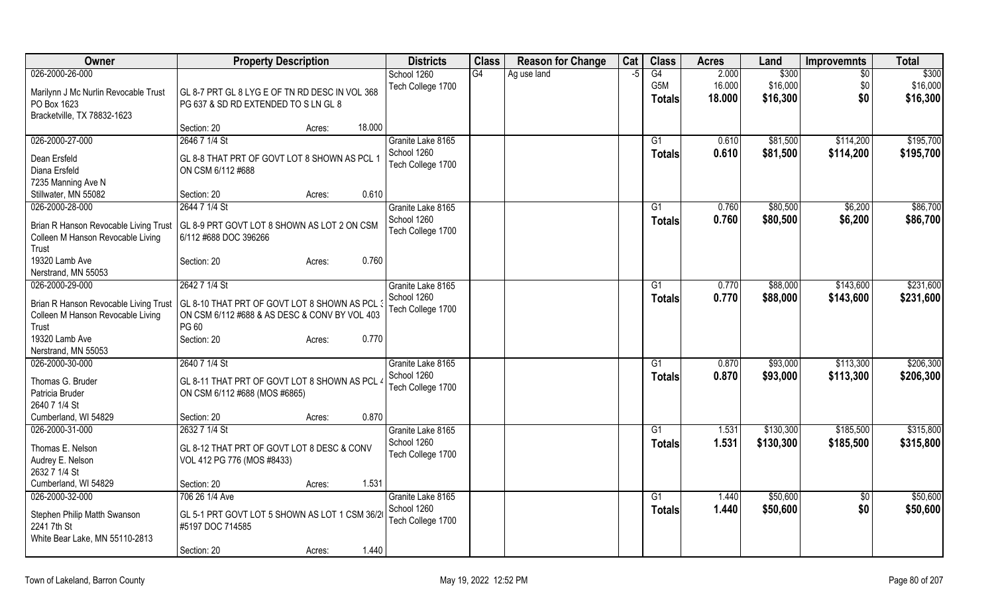| Owner                                 | <b>Property Description</b>                    | <b>Districts</b>  | <b>Class</b> | <b>Reason for Change</b> | Cat  | <b>Class</b>  | <b>Acres</b>   | Land      | <b>Improvemnts</b> | <b>Total</b> |
|---------------------------------------|------------------------------------------------|-------------------|--------------|--------------------------|------|---------------|----------------|-----------|--------------------|--------------|
| 026-2000-26-000                       |                                                | School 1260       | G4           | Ag use land              | $-5$ | G4            | 2.000          | \$300     | $\sqrt{$0}$        | \$300        |
| Marilynn J Mc Nurlin Revocable Trust  | GL 8-7 PRT GL 8 LYG E OF TN RD DESC IN VOL 368 | Tech College 1700 |              |                          |      | G5M           | 16.000         | \$16,000  | \$0                | \$16,000     |
| PO Box 1623                           | PG 637 & SD RD EXTENDED TO S LN GL 8           |                   |              |                          |      | <b>Totals</b> | 18.000         | \$16,300  | \$0                | \$16,300     |
| Bracketville, TX 78832-1623           |                                                |                   |              |                          |      |               |                |           |                    |              |
|                                       | 18.000<br>Section: 20<br>Acres:                |                   |              |                          |      |               |                |           |                    |              |
| 026-2000-27-000                       | 2646 7 1/4 St                                  | Granite Lake 8165 |              |                          |      | G1            | 0.610          | \$81,500  | \$114,200          | \$195,700    |
| Dean Ersfeld                          | GL 8-8 THAT PRT OF GOVT LOT 8 SHOWN AS PCL 1   | School 1260       |              |                          |      | <b>Totals</b> | 0.610          | \$81,500  | \$114,200          | \$195,700    |
| Diana Ersfeld                         | ON CSM 6/112 #688                              | Tech College 1700 |              |                          |      |               |                |           |                    |              |
| 7235 Manning Ave N                    |                                                |                   |              |                          |      |               |                |           |                    |              |
| Stillwater, MN 55082                  | 0.610<br>Section: 20<br>Acres:                 |                   |              |                          |      |               |                |           |                    |              |
| 026-2000-28-000                       | 2644 7 1/4 St                                  | Granite Lake 8165 |              |                          |      | G1            | 0.760          | \$80,500  | \$6,200            | \$86,700     |
|                                       |                                                | School 1260       |              |                          |      | <b>Totals</b> | 0.760          | \$80,500  | \$6,200            | \$86,700     |
| Brian R Hanson Revocable Living Trust | GL 8-9 PRT GOVT LOT 8 SHOWN AS LOT 2 ON CSM    | Tech College 1700 |              |                          |      |               |                |           |                    |              |
| Colleen M Hanson Revocable Living     | 6/112 #688 DOC 396266                          |                   |              |                          |      |               |                |           |                    |              |
| Trust                                 |                                                |                   |              |                          |      |               |                |           |                    |              |
| 19320 Lamb Ave                        | 0.760<br>Section: 20<br>Acres:                 |                   |              |                          |      |               |                |           |                    |              |
| Nerstrand, MN 55053                   |                                                |                   |              |                          |      |               |                |           |                    |              |
| 026-2000-29-000                       | 2642 7 1/4 St                                  | Granite Lake 8165 |              |                          |      | G1            | 0.770          | \$88,000  | \$143,600          | \$231,600    |
| Brian R Hanson Revocable Living Trust | GL 8-10 THAT PRT OF GOVT LOT 8 SHOWN AS PCL    | School 1260       |              |                          |      | <b>Totals</b> | 0.770          | \$88,000  | \$143,600          | \$231,600    |
| Colleen M Hanson Revocable Living     | ON CSM 6/112 #688 & AS DESC & CONV BY VOL 403  | Tech College 1700 |              |                          |      |               |                |           |                    |              |
| Trust                                 | PG60                                           |                   |              |                          |      |               |                |           |                    |              |
| 19320 Lamb Ave                        | 0.770<br>Section: 20<br>Acres:                 |                   |              |                          |      |               |                |           |                    |              |
| Nerstrand, MN 55053                   |                                                |                   |              |                          |      |               |                |           |                    |              |
| 026-2000-30-000                       | 2640 7 1/4 St                                  | Granite Lake 8165 |              |                          |      | G1            | 0.870          | \$93,000  | \$113,300          | \$206,300    |
| Thomas G. Bruder                      | GL 8-11 THAT PRT OF GOVT LOT 8 SHOWN AS PCL    | School 1260       |              |                          |      | <b>Totals</b> | 0.870          | \$93,000  | \$113,300          | \$206,300    |
| Patricia Bruder                       | ON CSM 6/112 #688 (MOS #6865)                  | Tech College 1700 |              |                          |      |               |                |           |                    |              |
| 2640 7 1/4 St                         |                                                |                   |              |                          |      |               |                |           |                    |              |
| Cumberland, WI 54829                  | 0.870<br>Section: 20<br>Acres:                 |                   |              |                          |      |               |                |           |                    |              |
| 026-2000-31-000                       | 2632 7 1/4 St                                  | Granite Lake 8165 |              |                          |      | G1            | 1.531          | \$130,300 | \$185,500          | \$315,800    |
|                                       |                                                | School 1260       |              |                          |      | Totals        | 1.531          | \$130,300 | \$185,500          | \$315,800    |
| Thomas E. Nelson                      | GL 8-12 THAT PRT OF GOVT LOT 8 DESC & CONV     | Tech College 1700 |              |                          |      |               |                |           |                    |              |
| Audrey E. Nelson<br>2632 7 1/4 St     | VOL 412 PG 776 (MOS #8433)                     |                   |              |                          |      |               |                |           |                    |              |
| Cumberland, WI 54829                  | 1.531<br>Section: 20                           |                   |              |                          |      |               |                |           |                    |              |
| 026-2000-32-000                       | Acres:<br>706 26 1/4 Ave                       | Granite Lake 8165 |              |                          |      | G1            |                |           |                    | \$50,600     |
|                                       |                                                | School 1260       |              |                          |      |               | 1.440<br>1.440 | \$50,600  | $\overline{30}$    |              |
| Stephen Philip Matth Swanson          | GL 5-1 PRT GOVT LOT 5 SHOWN AS LOT 1 CSM 36/20 | Tech College 1700 |              |                          |      | <b>Totals</b> |                | \$50,600  | \$0                | \$50,600     |
| 2241 7th St                           | #5197 DOC 714585                               |                   |              |                          |      |               |                |           |                    |              |
| White Bear Lake, MN 55110-2813        |                                                |                   |              |                          |      |               |                |           |                    |              |
|                                       | 1.440<br>Section: 20<br>Acres:                 |                   |              |                          |      |               |                |           |                    |              |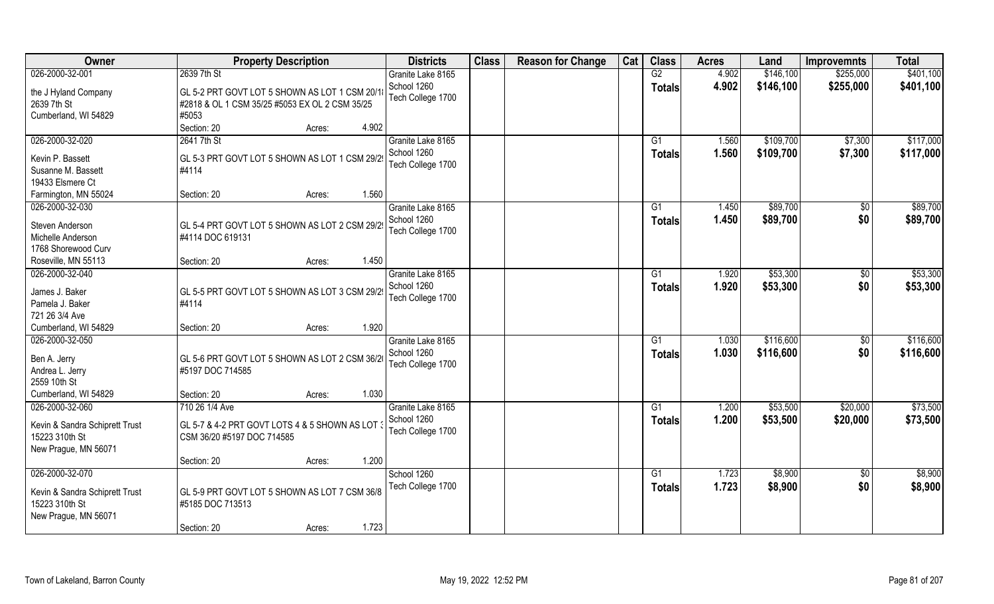| Owner                                                                                       | <b>Property Description</b>                                                                     | <b>Districts</b>                 | <b>Class</b> | <b>Reason for Change</b> | Cat | <b>Class</b>        | <b>Acres</b>   | Land               | <b>Improvemnts</b>    | <b>Total</b>       |
|---------------------------------------------------------------------------------------------|-------------------------------------------------------------------------------------------------|----------------------------------|--------------|--------------------------|-----|---------------------|----------------|--------------------|-----------------------|--------------------|
| 026-2000-32-001                                                                             | 2639 7th St                                                                                     | Granite Lake 8165                |              |                          |     | G2                  | 4.902          | \$146,100          | \$255,000             | \$401,100          |
| the J Hyland Company<br>2639 7th St                                                         | GL 5-2 PRT GOVT LOT 5 SHOWN AS LOT 1 CSM 20/1<br>#2818 & OL 1 CSM 35/25 #5053 EX OL 2 CSM 35/25 | School 1260<br>Tech College 1700 |              |                          |     | <b>Totals</b>       | 4.902          | \$146,100          | \$255,000             | \$401,100          |
| Cumberland, WI 54829                                                                        | #5053                                                                                           |                                  |              |                          |     |                     |                |                    |                       |                    |
|                                                                                             | 4.902<br>Section: 20<br>Acres:                                                                  |                                  |              |                          |     |                     |                |                    |                       |                    |
| 026-2000-32-020                                                                             | 2641 7th St                                                                                     | Granite Lake 8165<br>School 1260 |              |                          |     | G1                  | 1.560          | \$109,700          | \$7,300               | \$117,000          |
| Kevin P. Bassett                                                                            | GL 5-3 PRT GOVT LOT 5 SHOWN AS LOT 1 CSM 29/29                                                  |                                  |              |                          |     | <b>Totals</b>       | 1.560          | \$109,700          | \$7,300               | \$117,000          |
| Susanne M. Bassett                                                                          | #4114                                                                                           | Tech College 1700                |              |                          |     |                     |                |                    |                       |                    |
| 19433 Elsmere Ct                                                                            |                                                                                                 |                                  |              |                          |     |                     |                |                    |                       |                    |
| Farmington, MN 55024                                                                        | 1.560<br>Section: 20<br>Acres:                                                                  |                                  |              |                          |     |                     |                |                    |                       |                    |
| 026-2000-32-030                                                                             |                                                                                                 | Granite Lake 8165                |              |                          |     | G1                  | 1.450          | \$89,700           | \$0                   | \$89,700           |
| Steven Anderson                                                                             | GL 5-4 PRT GOVT LOT 5 SHOWN AS LOT 2 CSM 29/29                                                  | School 1260                      |              |                          |     | <b>Totals</b>       | 1.450          | \$89,700           | \$0                   | \$89,700           |
| Michelle Anderson                                                                           | #4114 DOC 619131                                                                                | Tech College 1700                |              |                          |     |                     |                |                    |                       |                    |
| 1768 Shorewood Curv                                                                         |                                                                                                 |                                  |              |                          |     |                     |                |                    |                       |                    |
| Roseville, MN 55113                                                                         | 1.450<br>Section: 20<br>Acres:                                                                  |                                  |              |                          |     |                     |                |                    |                       |                    |
| 026-2000-32-040                                                                             |                                                                                                 | Granite Lake 8165                |              |                          |     | G1                  | 1.920          | \$53,300           | $\sqrt[6]{3}$         | \$53,300           |
| James J. Baker<br>Pamela J. Baker<br>721 26 3/4 Ave                                         | GL 5-5 PRT GOVT LOT 5 SHOWN AS LOT 3 CSM 29/29<br>#4114                                         | School 1260<br>Tech College 1700 |              |                          |     | <b>Totals</b>       | 1.920          | \$53,300           | \$0                   | \$53,300           |
| Cumberland, WI 54829                                                                        | 1.920<br>Section: 20                                                                            |                                  |              |                          |     |                     |                |                    |                       |                    |
| 026-2000-32-050                                                                             | Acres:                                                                                          | Granite Lake 8165                |              |                          |     | G <sub>1</sub>      | 1.030          | \$116,600          |                       | \$116,600          |
| Ben A. Jerry<br>Andrea L. Jerry<br>2559 10th St                                             | GL 5-6 PRT GOVT LOT 5 SHOWN AS LOT 2 CSM 36/20<br>#5197 DOC 714585                              | School 1260<br>Tech College 1700 |              |                          |     | Totals              | 1.030          | \$116,600          | $\sqrt[6]{30}$<br>\$0 | \$116,600          |
| Cumberland, WI 54829                                                                        | 1.030<br>Section: 20<br>Acres:                                                                  |                                  |              |                          |     |                     |                |                    |                       |                    |
| 026-2000-32-060                                                                             | 710 26 1/4 Ave                                                                                  | Granite Lake 8165                |              |                          |     | G1                  | 1.200          | \$53,500           | \$20,000              | \$73,500           |
| Kevin & Sandra Schiprett Trust<br>15223 310th St<br>New Prague, MN 56071                    | GL 5-7 & 4-2 PRT GOVT LOTS 4 & 5 SHOWN AS LOT<br>CSM 36/20 #5197 DOC 714585                     | School 1260<br>Tech College 1700 |              |                          |     | <b>Totals</b>       | 1.200          | \$53,500           | \$20,000              | \$73,500           |
|                                                                                             | 1.200<br>Section: 20<br>Acres:                                                                  |                                  |              |                          |     |                     |                |                    |                       |                    |
| 026-2000-32-070<br>Kevin & Sandra Schiprett Trust<br>15223 310th St<br>New Prague, MN 56071 | GL 5-9 PRT GOVT LOT 5 SHOWN AS LOT 7 CSM 36/8<br>#5185 DOC 713513                               | School 1260<br>Tech College 1700 |              |                          |     | G1<br><b>Totals</b> | 1.723<br>1.723 | \$8,900<br>\$8,900 | $\sqrt{$0}$<br>\$0    | \$8,900<br>\$8,900 |
|                                                                                             | 1.723<br>Section: 20<br>Acres:                                                                  |                                  |              |                          |     |                     |                |                    |                       |                    |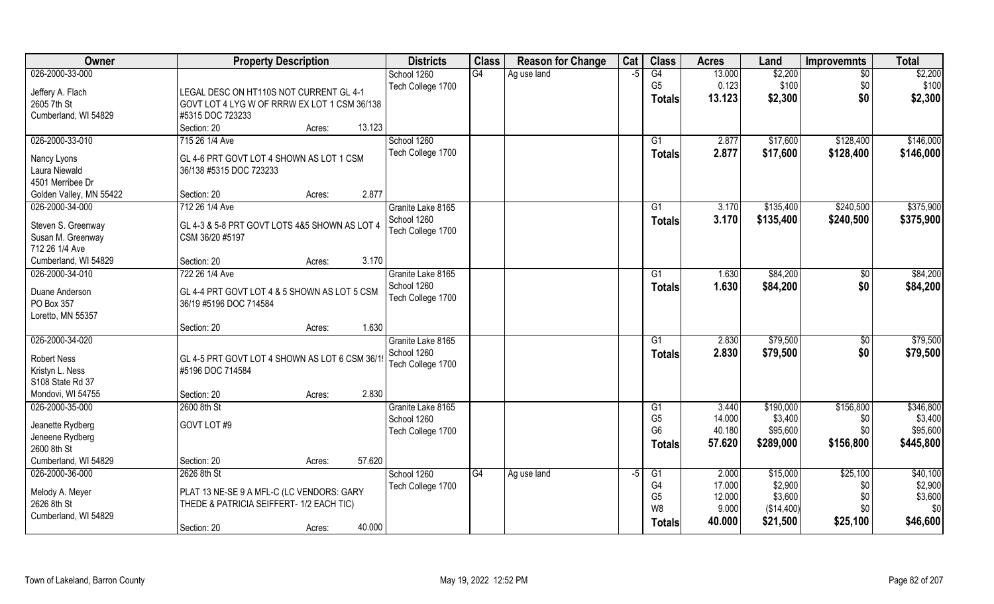| G4<br>\$2,200<br>026-2000-33-000<br>$\overline{G4}$<br>13.000<br>School 1260<br>Ag use land<br>$-5$<br>$\overline{50}$                 |           |
|----------------------------------------------------------------------------------------------------------------------------------------|-----------|
|                                                                                                                                        | \$2,200   |
| G <sub>5</sub><br>0.123<br>\$100<br>\$0<br>Tech College 1700<br>Jeffery A. Flach<br>LEGAL DESC ON HT110S NOT CURRENT GL 4-1            | \$100     |
| \$0<br>13.123<br>\$2,300<br><b>Totals</b><br>2605 7th St<br>GOVT LOT 4 LYG W OF RRRW EX LOT 1 CSM 36/138                               | \$2,300   |
| Cumberland, WI 54829<br>#5315 DOC 723233                                                                                               |           |
| 13.123<br>Section: 20<br>Acres:                                                                                                        |           |
| 026-2000-33-010<br>715 26 1/4 Ave<br>School 1260<br>\$17,600<br>\$128,400<br>$\overline{G1}$<br>2.877                                  | \$146,000 |
| Tech College 1700<br>2.877<br>\$17,600<br>\$128,400<br><b>Totals</b>                                                                   | \$146,000 |
| GL 4-6 PRT GOVT LOT 4 SHOWN AS LOT 1 CSM<br>Nancy Lyons                                                                                |           |
| Laura Niewald<br>36/138 #5315 DOC 723233                                                                                               |           |
| 4501 Merribee Dr                                                                                                                       |           |
| Section: 20<br>2.877<br>Golden Valley, MN 55422<br>Acres:                                                                              |           |
| 026-2000-34-000<br>712 26 1/4 Ave<br>\$135,400<br>\$240,500<br>Granite Lake 8165<br>3.170<br>G <sub>1</sub>                            | \$375,900 |
| School 1260<br>3.170<br>\$240,500<br>\$135,400<br><b>Totals</b><br>GL 4-3 & 5-8 PRT GOVT LOTS 4&5 SHOWN AS LOT 4<br>Steven S. Greenway | \$375,900 |
| Tech College 1700<br>Susan M. Greenway<br>CSM 36/20 #5197                                                                              |           |
| 712 26 1/4 Ave                                                                                                                         |           |
| 3.170<br>Cumberland. WI 54829<br>Section: 20<br>Acres:                                                                                 |           |
| 026-2000-34-010<br>722 26 1/4 Ave<br>Granite Lake 8165<br>\$84,200<br>G1<br>1.630<br>\$0                                               | \$84,200  |
| School 1260<br>\$0<br>1.630<br>\$84,200<br><b>Totals</b>                                                                               | \$84,200  |
| Duane Anderson<br>GL 4-4 PRT GOVT LOT 4 & 5 SHOWN AS LOT 5 CSM<br>Tech College 1700                                                    |           |
| PO Box 357<br>36/19 #5196 DOC 714584                                                                                                   |           |
| Loretto, MN 55357                                                                                                                      |           |
| 1.630<br>Section: 20<br>Acres:                                                                                                         |           |
| 026-2000-34-020<br>\$79,500<br>G1<br>2.830<br>\$0<br>Granite Lake 8165                                                                 | \$79,500  |
| School 1260<br>2.830<br>\$79,500<br>\$0<br><b>Totals</b><br><b>Robert Ness</b><br>GL 4-5 PRT GOVT LOT 4 SHOWN AS LOT 6 CSM 36/19       | \$79,500  |
| Tech College 1700<br>Kristyn L. Ness<br>#5196 DOC 714584                                                                               |           |
| S108 State Rd 37                                                                                                                       |           |
| 2.830<br>Mondovi, WI 54755<br>Section: 20<br>Acres:                                                                                    |           |
| \$190,000<br>\$156,800<br>026-2000-35-000<br>2600 8th St<br>Granite Lake 8165<br>G1<br>3.440                                           | \$346,800 |
| G <sub>5</sub><br>14.000<br>\$3,400<br>School 1260<br>\$0                                                                              | \$3,400   |
| GOVT LOT #9<br>Jeanette Rydberg<br>G <sub>6</sub><br>40.180<br>\$95,600<br>\$0<br>Tech College 1700                                    | \$95,600  |
| Jeneene Rydberg<br>\$156,800<br>57.620<br>\$289,000<br><b>Totals</b>                                                                   | \$445,800 |
| 2600 8th St                                                                                                                            |           |
| Cumberland, WI 54829<br>57.620<br>Section: 20<br>Acres:                                                                                |           |
| \$25,100<br>026-2000-36-000<br>2626 8th St<br>School 1260<br>G4<br>\$15,000<br>G1<br>2.000<br>Ag use land<br>-5                        | \$40,100  |
| \$2,900<br>G4<br>17.000<br>\$0<br>Tech College 1700<br>Melody A. Meyer<br>PLAT 13 NE-SE 9 A MFL-C (LC VENDORS: GARY                    | \$2,900   |
| \$3,600<br>G <sub>5</sub><br>12.000<br>\$0<br>2626 8th St<br>THEDE & PATRICIA SEIFFERT- 1/2 EACH TIC)                                  | \$3,600   |
| W <sub>8</sub><br>9.000<br>\$0<br>(\$14,400)<br>Cumberland, WI 54829                                                                   | \$0       |
| 40.000<br>\$21,500<br>\$25,100<br><b>Totals</b><br>40.000<br>Section: 20<br>Acres:                                                     | \$46,600  |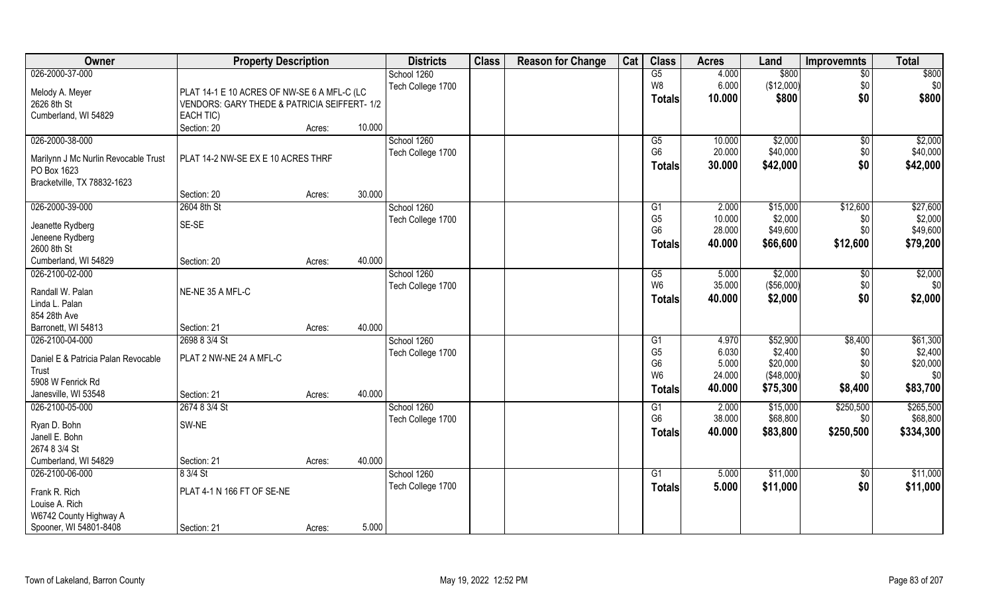| Owner                                               | <b>Property Description</b>                 |        |        | <b>Districts</b>  | <b>Class</b> | <b>Reason for Change</b> | Cat | <b>Class</b>         | <b>Acres</b>   | Land                | <b>Improvemnts</b> | <b>Total</b>        |
|-----------------------------------------------------|---------------------------------------------|--------|--------|-------------------|--------------|--------------------------|-----|----------------------|----------------|---------------------|--------------------|---------------------|
| 026-2000-37-000                                     |                                             |        |        | School 1260       |              |                          |     | G5                   | 4.000          | \$800               | $\overline{50}$    | \$800               |
| Melody A. Meyer                                     | PLAT 14-1 E 10 ACRES OF NW-SE 6 A MFL-C (LC |        |        | Tech College 1700 |              |                          |     | W8                   | 6.000          | (\$12,000)          | \$0                | \$0                 |
| 2626 8th St                                         | VENDORS: GARY THEDE & PATRICIA SEIFFERT-1/2 |        |        |                   |              |                          |     | <b>Totals</b>        | 10.000         | \$800               | \$0                | \$800               |
| Cumberland, WI 54829                                | EACH TIC)                                   |        |        |                   |              |                          |     |                      |                |                     |                    |                     |
|                                                     | Section: 20                                 | Acres: | 10.000 |                   |              |                          |     |                      |                |                     |                    |                     |
| 026-2000-38-000                                     |                                             |        |        | School 1260       |              |                          |     | G5                   | 10.000         | \$2,000             | $\sqrt{6}$         | \$2,000             |
|                                                     | PLAT 14-2 NW-SE EX E 10 ACRES THRF          |        |        | Tech College 1700 |              |                          |     | G <sub>6</sub>       | 20.000         | \$40,000            | \$0                | \$40,000            |
| Marilynn J Mc Nurlin Revocable Trust<br>PO Box 1623 |                                             |        |        |                   |              |                          |     | <b>Totals</b>        | 30.000         | \$42,000            | \$0                | \$42,000            |
| Bracketville, TX 78832-1623                         |                                             |        |        |                   |              |                          |     |                      |                |                     |                    |                     |
|                                                     | Section: 20                                 | Acres: | 30.000 |                   |              |                          |     |                      |                |                     |                    |                     |
| 026-2000-39-000                                     | 2604 8th St                                 |        |        | School 1260       |              |                          |     | G <sub>1</sub>       | 2.000          | \$15,000            | \$12,600           | \$27,600            |
|                                                     |                                             |        |        | Tech College 1700 |              |                          |     | G <sub>5</sub>       | 10.000         | \$2,000             | \$0                | \$2,000             |
| Jeanette Rydberg                                    | SE-SE                                       |        |        |                   |              |                          |     | G <sub>6</sub>       | 28.000         | \$49,600            | \$0                | \$49,600            |
| Jeneene Rydberg<br>2600 8th St                      |                                             |        |        |                   |              |                          |     | <b>Totals</b>        | 40.000         | \$66,600            | \$12,600           | \$79,200            |
| Cumberland, WI 54829                                | Section: 20                                 | Acres: | 40.000 |                   |              |                          |     |                      |                |                     |                    |                     |
| 026-2100-02-000                                     |                                             |        |        | School 1260       |              |                          |     | G5                   | 5.000          | \$2,000             | $\sqrt[6]{3}$      | \$2,000             |
|                                                     |                                             |        |        | Tech College 1700 |              |                          |     | W <sub>6</sub>       | 35.000         | (\$56,000)          | \$0                | \$0                 |
| Randall W. Palan                                    | NE-NE 35 A MFL-C                            |        |        |                   |              |                          |     | <b>Totals</b>        | 40.000         | \$2,000             | \$0                | \$2,000             |
| Linda L. Palan                                      |                                             |        |        |                   |              |                          |     |                      |                |                     |                    |                     |
| 854 28th Ave                                        |                                             |        |        |                   |              |                          |     |                      |                |                     |                    |                     |
| Barronett, WI 54813<br>026-2100-04-000              | Section: 21                                 | Acres: | 40.000 |                   |              |                          |     |                      |                |                     |                    |                     |
|                                                     | 2698 8 3/4 St                               |        |        | School 1260       |              |                          |     | G1<br>G <sub>5</sub> | 4.970<br>6.030 | \$52,900<br>\$2,400 | \$8,400<br>\$0     | \$61,300<br>\$2,400 |
| Daniel E & Patricia Palan Revocable                 | PLAT 2 NW-NE 24 A MFL-C                     |        |        | Tech College 1700 |              |                          |     | G <sub>6</sub>       | 5.000          | \$20,000            | \$0                | \$20,000            |
| Trust                                               |                                             |        |        |                   |              |                          |     | W <sub>6</sub>       | 24.000         | (\$48,000)          | \$0                | \$0                 |
| 5908 W Fenrick Rd                                   |                                             |        |        |                   |              |                          |     | <b>Totals</b>        | 40.000         | \$75,300            | \$8,400            | \$83,700            |
| Janesville, WI 53548                                | Section: 21                                 | Acres: | 40.000 |                   |              |                          |     |                      |                |                     |                    |                     |
| 026-2100-05-000                                     | 2674 8 3/4 St                               |        |        | School 1260       |              |                          |     | G1                   | 2.000          | \$15,000            | \$250,500          | \$265,500           |
| Ryan D. Bohn                                        | SW-NE                                       |        |        | Tech College 1700 |              |                          |     | G <sub>6</sub>       | 38.000         | \$68,800            | \$0                | \$68,800            |
| Janell E. Bohn                                      |                                             |        |        |                   |              |                          |     | <b>Totals</b>        | 40.000         | \$83,800            | \$250,500          | \$334,300           |
| 2674 8 3/4 St                                       |                                             |        |        |                   |              |                          |     |                      |                |                     |                    |                     |
| Cumberland, WI 54829                                | Section: 21                                 | Acres: | 40.000 |                   |              |                          |     |                      |                |                     |                    |                     |
| 026-2100-06-000                                     | 8 3/4 St                                    |        |        | School 1260       |              |                          |     | G1                   | 5.000          | \$11,000            | $\sqrt{$0}$        | \$11,000            |
| Frank R. Rich                                       | PLAT 4-1 N 166 FT OF SE-NE                  |        |        | Tech College 1700 |              |                          |     | <b>Totals</b>        | 5.000          | \$11,000            | \$0                | \$11,000            |
| Louise A. Rich                                      |                                             |        |        |                   |              |                          |     |                      |                |                     |                    |                     |
| W6742 County Highway A                              |                                             |        |        |                   |              |                          |     |                      |                |                     |                    |                     |
| Spooner, WI 54801-8408                              | Section: 21                                 | Acres: | 5.000  |                   |              |                          |     |                      |                |                     |                    |                     |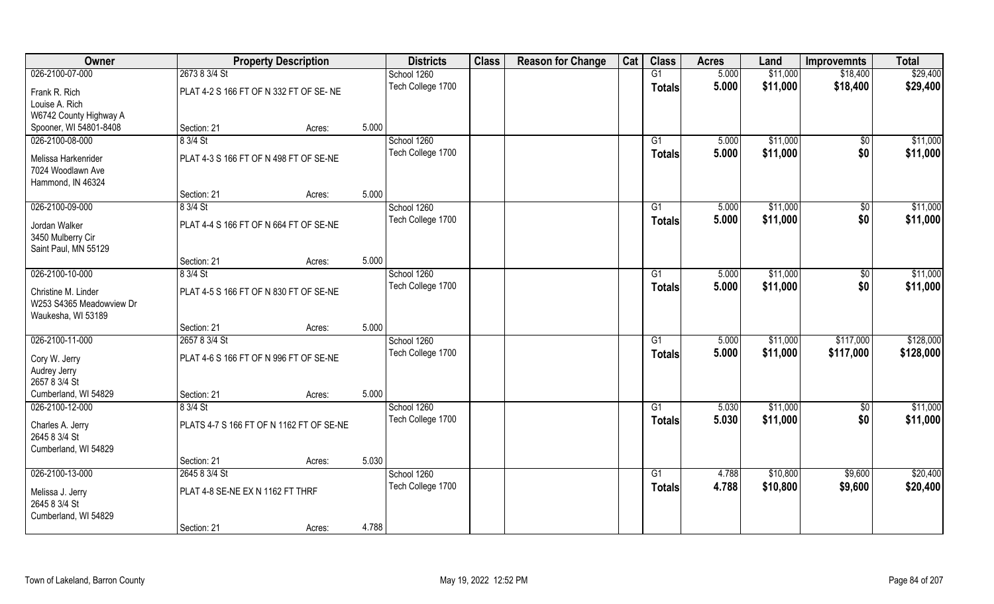| Owner                                                                 |                                        | <b>Property Description</b>              |       | <b>Districts</b>  | <b>Class</b> | <b>Reason for Change</b> | Cat | <b>Class</b>    | <b>Acres</b> | Land     | <b>Improvemnts</b> | <b>Total</b> |
|-----------------------------------------------------------------------|----------------------------------------|------------------------------------------|-------|-------------------|--------------|--------------------------|-----|-----------------|--------------|----------|--------------------|--------------|
| 026-2100-07-000                                                       | 2673 8 3/4 St                          |                                          |       | School 1260       |              |                          |     | G1              | 5.000        | \$11,000 | \$18,400           | \$29,400     |
| Frank R. Rich                                                         | PLAT 4-2 S 166 FT OF N 332 FT OF SE-NE |                                          |       | Tech College 1700 |              |                          |     | <b>Totals</b>   | 5.000        | \$11,000 | \$18,400           | \$29,400     |
| Louise A. Rich<br>W6742 County Highway A                              |                                        |                                          |       |                   |              |                          |     |                 |              |          |                    |              |
| Spooner, WI 54801-8408                                                | Section: 21                            | Acres:                                   | 5.000 |                   |              |                          |     |                 |              |          |                    |              |
| 026-2100-08-000                                                       | 8 3/4 St                               |                                          |       | School 1260       |              |                          |     | G1              | 5.000        | \$11,000 | $\overline{50}$    | \$11,000     |
|                                                                       |                                        |                                          |       |                   |              |                          |     |                 |              |          |                    |              |
| Melissa Harkenrider                                                   | PLAT 4-3 S 166 FT OF N 498 FT OF SE-NE |                                          |       | Tech College 1700 |              |                          |     | Totals          | 5.000        | \$11,000 | \$0                | \$11,000     |
| 7024 Woodlawn Ave                                                     |                                        |                                          |       |                   |              |                          |     |                 |              |          |                    |              |
| Hammond, IN 46324                                                     |                                        |                                          |       |                   |              |                          |     |                 |              |          |                    |              |
|                                                                       | Section: 21                            | Acres:                                   | 5.000 |                   |              |                          |     |                 |              |          |                    |              |
| 026-2100-09-000                                                       | 8 3/4 St                               |                                          |       | School 1260       |              |                          |     | G1              | 5.000        | \$11,000 | \$0                | \$11,000     |
| Jordan Walker                                                         | PLAT 4-4 S 166 FT OF N 664 FT OF SE-NE |                                          |       | Tech College 1700 |              |                          |     | <b>Totals</b>   | 5.000        | \$11,000 | \$0                | \$11,000     |
| 3450 Mulberry Cir                                                     |                                        |                                          |       |                   |              |                          |     |                 |              |          |                    |              |
| Saint Paul, MN 55129                                                  |                                        |                                          |       |                   |              |                          |     |                 |              |          |                    |              |
|                                                                       | Section: 21                            | Acres:                                   | 5.000 |                   |              |                          |     |                 |              |          |                    |              |
| 026-2100-10-000                                                       | 8 3/4 St                               |                                          |       | School 1260       |              |                          |     | G1              | 5.000        | \$11,000 | $\sqrt{50}$        | \$11,000     |
|                                                                       |                                        |                                          |       | Tech College 1700 |              |                          |     |                 | 5.000        | \$11,000 | \$0                | \$11,000     |
| Christine M. Linder<br>W253 S4365 Meadowview Dr<br>Waukesha, WI 53189 | PLAT 4-5 S 166 FT OF N 830 FT OF SE-NE |                                          |       |                   |              |                          |     | <b>Totals</b>   |              |          |                    |              |
|                                                                       | Section: 21                            | Acres:                                   | 5.000 |                   |              |                          |     |                 |              |          |                    |              |
| 026-2100-11-000                                                       | 2657 8 3/4 St                          |                                          |       | School 1260       |              |                          |     | $\overline{G1}$ | 5.000        | \$11,000 | \$117,000          | \$128,000    |
|                                                                       |                                        |                                          |       | Tech College 1700 |              |                          |     | Totals          | 5.000        | \$11,000 | \$117,000          | \$128,000    |
| Cory W. Jerry                                                         | PLAT 4-6 S 166 FT OF N 996 FT OF SE-NE |                                          |       |                   |              |                          |     |                 |              |          |                    |              |
| Audrey Jerry                                                          |                                        |                                          |       |                   |              |                          |     |                 |              |          |                    |              |
| 2657 8 3/4 St                                                         |                                        |                                          |       |                   |              |                          |     |                 |              |          |                    |              |
| Cumberland, WI 54829                                                  | Section: 21                            | Acres:                                   | 5.000 |                   |              |                          |     |                 |              |          |                    |              |
| 026-2100-12-000                                                       | 8 3/4 St                               |                                          |       | School 1260       |              |                          |     | G1              | 5.030        | \$11,000 | $\overline{50}$    | \$11,000     |
| Charles A. Jerry                                                      |                                        | PLATS 4-7 S 166 FT OF N 1162 FT OF SE-NE |       | Tech College 1700 |              |                          |     | <b>Totals</b>   | 5.030        | \$11,000 | \$0                | \$11,000     |
| 2645 8 3/4 St                                                         |                                        |                                          |       |                   |              |                          |     |                 |              |          |                    |              |
| Cumberland, WI 54829                                                  |                                        |                                          |       |                   |              |                          |     |                 |              |          |                    |              |
|                                                                       | Section: 21                            | Acres:                                   | 5.030 |                   |              |                          |     |                 |              |          |                    |              |
| 026-2100-13-000                                                       | 2645 8 3/4 St                          |                                          |       | School 1260       |              |                          |     | $\overline{G1}$ | 4.788        | \$10,800 | \$9,600            | \$20,400     |
|                                                                       |                                        |                                          |       | Tech College 1700 |              |                          |     | Totals          | 4.788        | \$10,800 | \$9,600            | \$20,400     |
| Melissa J. Jerry                                                      | PLAT 4-8 SE-NE EX N 1162 FT THRF       |                                          |       |                   |              |                          |     |                 |              |          |                    |              |
| 2645 8 3/4 St                                                         |                                        |                                          |       |                   |              |                          |     |                 |              |          |                    |              |
| Cumberland, WI 54829                                                  |                                        |                                          |       |                   |              |                          |     |                 |              |          |                    |              |
|                                                                       | Section: 21                            | Acres:                                   | 4.788 |                   |              |                          |     |                 |              |          |                    |              |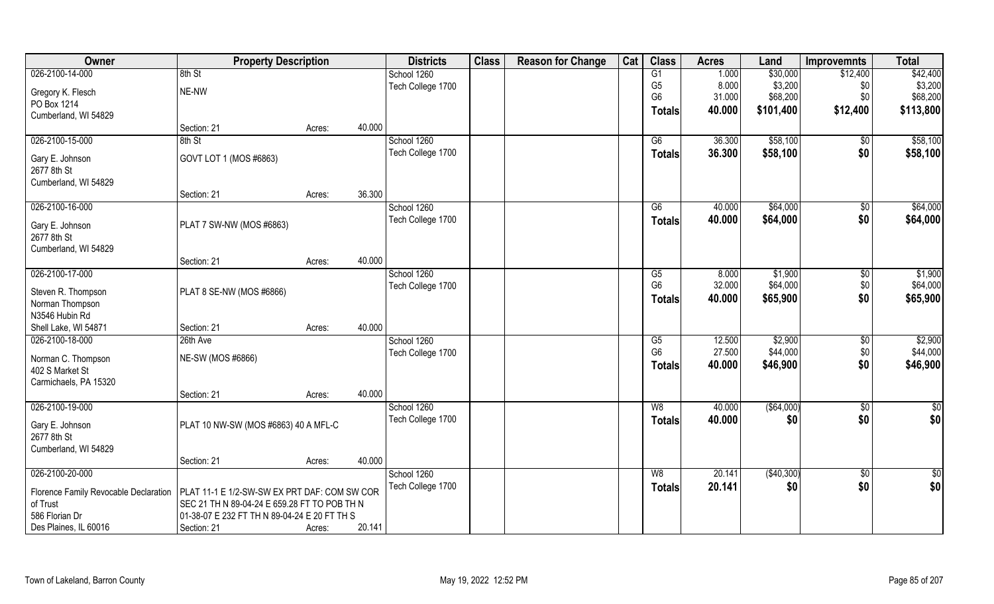| Owner                                 | <b>Property Description</b>                  |        |        | <b>Districts</b>  | <b>Class</b> | <b>Reason for Change</b> | Cat | <b>Class</b>   | <b>Acres</b> | Land         | <b>Improvemnts</b> | <b>Total</b>    |
|---------------------------------------|----------------------------------------------|--------|--------|-------------------|--------------|--------------------------|-----|----------------|--------------|--------------|--------------------|-----------------|
| 026-2100-14-000                       | 8th St                                       |        |        | School 1260       |              |                          |     | G1             | 1.000        | \$30,000     | \$12,400           | \$42,400        |
| Gregory K. Flesch                     | NE-NW                                        |        |        | Tech College 1700 |              |                          |     | G <sub>5</sub> | 8.000        | \$3,200      | \$0                | \$3,200         |
| PO Box 1214                           |                                              |        |        |                   |              |                          |     | G <sub>6</sub> | 31.000       | \$68,200     | \$0                | \$68,200        |
| Cumberland, WI 54829                  |                                              |        |        |                   |              |                          |     | Totals         | 40.000       | \$101,400    | \$12,400           | \$113,800       |
|                                       | Section: 21                                  | Acres: | 40.000 |                   |              |                          |     |                |              |              |                    |                 |
| 026-2100-15-000                       | 8th St                                       |        |        | School 1260       |              |                          |     | G6             | 36.300       | \$58,100     | \$0                | \$58,100        |
|                                       |                                              |        |        | Tech College 1700 |              |                          |     | Totals         | 36.300       | \$58,100     | \$0                | \$58,100        |
| Gary E. Johnson                       | GOVT LOT 1 (MOS #6863)                       |        |        |                   |              |                          |     |                |              |              |                    |                 |
| 2677 8th St                           |                                              |        |        |                   |              |                          |     |                |              |              |                    |                 |
| Cumberland, WI 54829                  |                                              |        | 36.300 |                   |              |                          |     |                |              |              |                    |                 |
| 026-2100-16-000                       | Section: 21                                  | Acres: |        |                   |              |                          |     |                |              |              |                    | \$64,000        |
|                                       |                                              |        |        | School 1260       |              |                          |     | G6             | 40.000       | \$64,000     | \$0                |                 |
| Gary E. Johnson                       | PLAT 7 SW-NW (MOS #6863)                     |        |        | Tech College 1700 |              |                          |     | <b>Totals</b>  | 40.000       | \$64,000     | \$0                | \$64,000        |
| 2677 8th St                           |                                              |        |        |                   |              |                          |     |                |              |              |                    |                 |
| Cumberland, WI 54829                  |                                              |        |        |                   |              |                          |     |                |              |              |                    |                 |
|                                       | Section: 21                                  | Acres: | 40.000 |                   |              |                          |     |                |              |              |                    |                 |
| 026-2100-17-000                       |                                              |        |        | School 1260       |              |                          |     | G5             | 8.000        | \$1,900      | \$0                | \$1,900         |
| Steven R. Thompson                    | PLAT 8 SE-NW (MOS #6866)                     |        |        | Tech College 1700 |              |                          |     | G <sub>6</sub> | 32.000       | \$64,000     | \$0                | \$64,000        |
| Norman Thompson                       |                                              |        |        |                   |              |                          |     | <b>Totals</b>  | 40.000       | \$65,900     | \$0                | \$65,900        |
| N3546 Hubin Rd                        |                                              |        |        |                   |              |                          |     |                |              |              |                    |                 |
| Shell Lake, WI 54871                  | Section: 21                                  | Acres: | 40.000 |                   |              |                          |     |                |              |              |                    |                 |
| 026-2100-18-000                       | 26th Ave                                     |        |        | School 1260       |              |                          |     | G5             | 12.500       | \$2,900      | \$0                | \$2,900         |
|                                       |                                              |        |        | Tech College 1700 |              |                          |     | G <sub>6</sub> | 27.500       | \$44,000     | \$0                | \$44,000        |
| Norman C. Thompson                    | NE-SW (MOS #6866)                            |        |        |                   |              |                          |     | <b>Totals</b>  | 40.000       | \$46,900     | \$0                | \$46,900        |
| 402 S Market St                       |                                              |        |        |                   |              |                          |     |                |              |              |                    |                 |
| Carmichaels, PA 15320                 |                                              |        |        |                   |              |                          |     |                |              |              |                    |                 |
|                                       | Section: 21                                  | Acres: | 40.000 |                   |              |                          |     |                |              |              |                    |                 |
| 026-2100-19-000                       |                                              |        |        | School 1260       |              |                          |     | W8             | 40.000       | ( \$64,000)  | $\overline{60}$    | $\overline{50}$ |
| Gary E. Johnson                       | PLAT 10 NW-SW (MOS #6863) 40 A MFL-C         |        |        | Tech College 1700 |              |                          |     | <b>Totals</b>  | 40.000       | \$0          | \$0                | \$0             |
| 2677 8th St                           |                                              |        |        |                   |              |                          |     |                |              |              |                    |                 |
| Cumberland, WI 54829                  |                                              |        |        |                   |              |                          |     |                |              |              |                    |                 |
|                                       | Section: 21                                  | Acres: | 40.000 |                   |              |                          |     |                |              |              |                    |                 |
| 026-2100-20-000                       |                                              |        |        | School 1260       |              |                          |     | W8             | 20.141       | ( \$40, 300) | $\sqrt{$0}$        | \$0             |
|                                       |                                              |        |        | Tech College 1700 |              |                          |     | <b>Totals</b>  | 20.141       | \$0          | \$0                | \$0             |
| Florence Family Revocable Declaration | PLAT 11-1 E 1/2-SW-SW EX PRT DAF: COM SW COR |        |        |                   |              |                          |     |                |              |              |                    |                 |
| of Trust                              | SEC 21 TH N 89-04-24 E 659.28 FT TO POB TH N |        |        |                   |              |                          |     |                |              |              |                    |                 |
| 586 Florian Dr                        | 01-38-07 E 232 FT TH N 89-04-24 E 20 FT TH S |        |        |                   |              |                          |     |                |              |              |                    |                 |
| Des Plaines, IL 60016                 | Section: 21                                  | Acres: | 20.141 |                   |              |                          |     |                |              |              |                    |                 |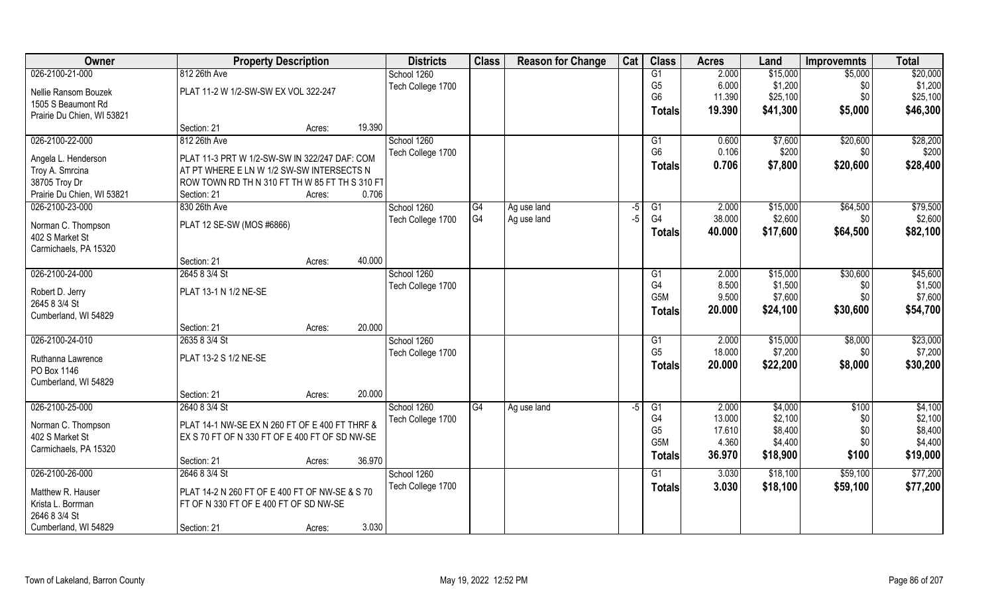| 026-2100-21-000<br>812 26th Ave<br>G1<br>2.000<br>\$15,000<br>\$5,000<br>\$20,000<br>School 1260<br>G <sub>5</sub><br>6.000<br>\$1,200<br>\$1,200<br>\$0<br>Tech College 1700<br>PLAT 11-2 W 1/2-SW-SW EX VOL 322-247<br>Nellie Ransom Bouzek<br>G <sub>6</sub><br>11.390<br>\$0<br>\$25,100<br>\$25,100<br>1505 S Beaumont Rd<br>\$41,300<br>\$5,000<br>\$46,300<br>19.390<br><b>Totals</b><br>Prairie Du Chien, WI 53821<br>19.390<br>Section: 21<br>Acres:<br>026-2100-22-000<br>812 26th Ave<br>School 1260<br>0.600<br>\$7,600<br>\$20,600<br>\$28,200<br>G1<br>G <sub>6</sub><br>\$200<br>0.106<br>\$200<br>Tech College 1700<br>\$0<br>Angela L. Henderson<br>PLAT 11-3 PRT W 1/2-SW-SW IN 322/247 DAF: COM<br>\$28,400<br>0.706<br>\$7,800<br>\$20,600<br><b>Totals</b><br>AT PT WHERE E LN W 1/2 SW-SW INTERSECTS N<br>Troy A. Smrcina<br>38705 Troy Dr<br>ROW TOWN RD TH N 310 FT TH W 85 FT TH S 310 FT<br>0.706<br>Prairie Du Chien, WI 53821<br>Section: 21<br>Acres:<br>\$79,500<br>026-2100-23-000<br>830 26th Ave<br>School 1260<br>\$64,500<br>G4<br>Ag use land<br>G1<br>2.000<br>\$15,000<br>-5<br>G4<br>G <sub>4</sub><br>38.000<br>\$2,600<br>\$2,600<br>Tech College 1700<br>Ag use land<br>$-5$<br>\$0<br>PLAT 12 SE-SW (MOS #6866)<br>Norman C. Thompson<br>\$64,500<br>40.000<br>\$17,600<br>\$82,100<br><b>Totals</b><br>402 S Market St<br>Carmichaels, PA 15320<br>40.000<br>Section: 21<br>Acres:<br>026-2100-24-000<br>\$45,600<br>2645 8 3/4 St<br>School 1260<br>\$30,600<br>2.000<br>\$15,000<br>G1<br>G4<br>8.500<br>\$1,500<br>\$1,500<br>Tech College 1700<br>\$0<br>PLAT 13-1 N 1/2 NE-SE<br>Robert D. Jerry<br>\$7,600<br>\$0<br>\$7,600<br>G <sub>5</sub> M<br>9.500 | Owner         | <b>Property Description</b> | <b>Districts</b> | <b>Class</b> | <b>Reason for Change</b> | Cat | <b>Class</b> | <b>Acres</b> | Land | <b>Improvemnts</b> | <b>Total</b> |
|-------------------------------------------------------------------------------------------------------------------------------------------------------------------------------------------------------------------------------------------------------------------------------------------------------------------------------------------------------------------------------------------------------------------------------------------------------------------------------------------------------------------------------------------------------------------------------------------------------------------------------------------------------------------------------------------------------------------------------------------------------------------------------------------------------------------------------------------------------------------------------------------------------------------------------------------------------------------------------------------------------------------------------------------------------------------------------------------------------------------------------------------------------------------------------------------------------------------------------------------------------------------------------------------------------------------------------------------------------------------------------------------------------------------------------------------------------------------------------------------------------------------------------------------------------------------------------------------------------------------------------------------------------------------------------------------------------------|---------------|-----------------------------|------------------|--------------|--------------------------|-----|--------------|--------------|------|--------------------|--------------|
|                                                                                                                                                                                                                                                                                                                                                                                                                                                                                                                                                                                                                                                                                                                                                                                                                                                                                                                                                                                                                                                                                                                                                                                                                                                                                                                                                                                                                                                                                                                                                                                                                                                                                                             |               |                             |                  |              |                          |     |              |              |      |                    |              |
|                                                                                                                                                                                                                                                                                                                                                                                                                                                                                                                                                                                                                                                                                                                                                                                                                                                                                                                                                                                                                                                                                                                                                                                                                                                                                                                                                                                                                                                                                                                                                                                                                                                                                                             |               |                             |                  |              |                          |     |              |              |      |                    |              |
|                                                                                                                                                                                                                                                                                                                                                                                                                                                                                                                                                                                                                                                                                                                                                                                                                                                                                                                                                                                                                                                                                                                                                                                                                                                                                                                                                                                                                                                                                                                                                                                                                                                                                                             |               |                             |                  |              |                          |     |              |              |      |                    |              |
|                                                                                                                                                                                                                                                                                                                                                                                                                                                                                                                                                                                                                                                                                                                                                                                                                                                                                                                                                                                                                                                                                                                                                                                                                                                                                                                                                                                                                                                                                                                                                                                                                                                                                                             |               |                             |                  |              |                          |     |              |              |      |                    |              |
|                                                                                                                                                                                                                                                                                                                                                                                                                                                                                                                                                                                                                                                                                                                                                                                                                                                                                                                                                                                                                                                                                                                                                                                                                                                                                                                                                                                                                                                                                                                                                                                                                                                                                                             |               |                             |                  |              |                          |     |              |              |      |                    |              |
|                                                                                                                                                                                                                                                                                                                                                                                                                                                                                                                                                                                                                                                                                                                                                                                                                                                                                                                                                                                                                                                                                                                                                                                                                                                                                                                                                                                                                                                                                                                                                                                                                                                                                                             |               |                             |                  |              |                          |     |              |              |      |                    |              |
|                                                                                                                                                                                                                                                                                                                                                                                                                                                                                                                                                                                                                                                                                                                                                                                                                                                                                                                                                                                                                                                                                                                                                                                                                                                                                                                                                                                                                                                                                                                                                                                                                                                                                                             |               |                             |                  |              |                          |     |              |              |      |                    |              |
|                                                                                                                                                                                                                                                                                                                                                                                                                                                                                                                                                                                                                                                                                                                                                                                                                                                                                                                                                                                                                                                                                                                                                                                                                                                                                                                                                                                                                                                                                                                                                                                                                                                                                                             |               |                             |                  |              |                          |     |              |              |      |                    |              |
|                                                                                                                                                                                                                                                                                                                                                                                                                                                                                                                                                                                                                                                                                                                                                                                                                                                                                                                                                                                                                                                                                                                                                                                                                                                                                                                                                                                                                                                                                                                                                                                                                                                                                                             |               |                             |                  |              |                          |     |              |              |      |                    |              |
|                                                                                                                                                                                                                                                                                                                                                                                                                                                                                                                                                                                                                                                                                                                                                                                                                                                                                                                                                                                                                                                                                                                                                                                                                                                                                                                                                                                                                                                                                                                                                                                                                                                                                                             |               |                             |                  |              |                          |     |              |              |      |                    |              |
|                                                                                                                                                                                                                                                                                                                                                                                                                                                                                                                                                                                                                                                                                                                                                                                                                                                                                                                                                                                                                                                                                                                                                                                                                                                                                                                                                                                                                                                                                                                                                                                                                                                                                                             |               |                             |                  |              |                          |     |              |              |      |                    |              |
|                                                                                                                                                                                                                                                                                                                                                                                                                                                                                                                                                                                                                                                                                                                                                                                                                                                                                                                                                                                                                                                                                                                                                                                                                                                                                                                                                                                                                                                                                                                                                                                                                                                                                                             |               |                             |                  |              |                          |     |              |              |      |                    |              |
|                                                                                                                                                                                                                                                                                                                                                                                                                                                                                                                                                                                                                                                                                                                                                                                                                                                                                                                                                                                                                                                                                                                                                                                                                                                                                                                                                                                                                                                                                                                                                                                                                                                                                                             |               |                             |                  |              |                          |     |              |              |      |                    |              |
|                                                                                                                                                                                                                                                                                                                                                                                                                                                                                                                                                                                                                                                                                                                                                                                                                                                                                                                                                                                                                                                                                                                                                                                                                                                                                                                                                                                                                                                                                                                                                                                                                                                                                                             |               |                             |                  |              |                          |     |              |              |      |                    |              |
|                                                                                                                                                                                                                                                                                                                                                                                                                                                                                                                                                                                                                                                                                                                                                                                                                                                                                                                                                                                                                                                                                                                                                                                                                                                                                                                                                                                                                                                                                                                                                                                                                                                                                                             |               |                             |                  |              |                          |     |              |              |      |                    |              |
|                                                                                                                                                                                                                                                                                                                                                                                                                                                                                                                                                                                                                                                                                                                                                                                                                                                                                                                                                                                                                                                                                                                                                                                                                                                                                                                                                                                                                                                                                                                                                                                                                                                                                                             |               |                             |                  |              |                          |     |              |              |      |                    |              |
|                                                                                                                                                                                                                                                                                                                                                                                                                                                                                                                                                                                                                                                                                                                                                                                                                                                                                                                                                                                                                                                                                                                                                                                                                                                                                                                                                                                                                                                                                                                                                                                                                                                                                                             |               |                             |                  |              |                          |     |              |              |      |                    |              |
|                                                                                                                                                                                                                                                                                                                                                                                                                                                                                                                                                                                                                                                                                                                                                                                                                                                                                                                                                                                                                                                                                                                                                                                                                                                                                                                                                                                                                                                                                                                                                                                                                                                                                                             |               |                             |                  |              |                          |     |              |              |      |                    |              |
| \$24,100<br>\$30,600<br>\$54,700<br>20.000<br><b>Totals</b>                                                                                                                                                                                                                                                                                                                                                                                                                                                                                                                                                                                                                                                                                                                                                                                                                                                                                                                                                                                                                                                                                                                                                                                                                                                                                                                                                                                                                                                                                                                                                                                                                                                 | 2645 8 3/4 St |                             |                  |              |                          |     |              |              |      |                    |              |
| Cumberland, WI 54829                                                                                                                                                                                                                                                                                                                                                                                                                                                                                                                                                                                                                                                                                                                                                                                                                                                                                                                                                                                                                                                                                                                                                                                                                                                                                                                                                                                                                                                                                                                                                                                                                                                                                        |               |                             |                  |              |                          |     |              |              |      |                    |              |
| 20.000<br>Section: 21<br>Acres:                                                                                                                                                                                                                                                                                                                                                                                                                                                                                                                                                                                                                                                                                                                                                                                                                                                                                                                                                                                                                                                                                                                                                                                                                                                                                                                                                                                                                                                                                                                                                                                                                                                                             |               |                             |                  |              |                          |     |              |              |      |                    |              |
| 026-2100-24-010<br>\$23,000<br>2635 8 3/4 St<br>School 1260<br>2.000<br>\$15,000<br>\$8,000<br>G1                                                                                                                                                                                                                                                                                                                                                                                                                                                                                                                                                                                                                                                                                                                                                                                                                                                                                                                                                                                                                                                                                                                                                                                                                                                                                                                                                                                                                                                                                                                                                                                                           |               |                             |                  |              |                          |     |              |              |      |                    |              |
| G <sub>5</sub><br>18.000<br>\$7,200<br>\$7,200<br>\$0<br>Tech College 1700<br>PLAT 13-2 S 1/2 NE-SE<br>Ruthanna Lawrence                                                                                                                                                                                                                                                                                                                                                                                                                                                                                                                                                                                                                                                                                                                                                                                                                                                                                                                                                                                                                                                                                                                                                                                                                                                                                                                                                                                                                                                                                                                                                                                    |               |                             |                  |              |                          |     |              |              |      |                    |              |
| \$8,000<br>20.000<br>\$22,200<br>\$30,200<br><b>Totals</b><br>PO Box 1146                                                                                                                                                                                                                                                                                                                                                                                                                                                                                                                                                                                                                                                                                                                                                                                                                                                                                                                                                                                                                                                                                                                                                                                                                                                                                                                                                                                                                                                                                                                                                                                                                                   |               |                             |                  |              |                          |     |              |              |      |                    |              |
| Cumberland, WI 54829                                                                                                                                                                                                                                                                                                                                                                                                                                                                                                                                                                                                                                                                                                                                                                                                                                                                                                                                                                                                                                                                                                                                                                                                                                                                                                                                                                                                                                                                                                                                                                                                                                                                                        |               |                             |                  |              |                          |     |              |              |      |                    |              |
| 20.000<br>Section: 21<br>Acres:                                                                                                                                                                                                                                                                                                                                                                                                                                                                                                                                                                                                                                                                                                                                                                                                                                                                                                                                                                                                                                                                                                                                                                                                                                                                                                                                                                                                                                                                                                                                                                                                                                                                             |               |                             |                  |              |                          |     |              |              |      |                    |              |
| 026-2100-25-000<br>G4<br>\$4,000<br>\$100<br>2640 8 3/4 St<br>School 1260<br>G1<br>2.000<br>\$4,100<br>$-5$<br>Ag use land                                                                                                                                                                                                                                                                                                                                                                                                                                                                                                                                                                                                                                                                                                                                                                                                                                                                                                                                                                                                                                                                                                                                                                                                                                                                                                                                                                                                                                                                                                                                                                                  |               |                             |                  |              |                          |     |              |              |      |                    |              |
| \$2,100<br>\$2,100<br>G <sub>4</sub><br>13.000<br>\$0<br>Tech College 1700<br>Norman C. Thompson<br>PLAT 14-1 NW-SE EX N 260 FT OF E 400 FT THRF &                                                                                                                                                                                                                                                                                                                                                                                                                                                                                                                                                                                                                                                                                                                                                                                                                                                                                                                                                                                                                                                                                                                                                                                                                                                                                                                                                                                                                                                                                                                                                          |               |                             |                  |              |                          |     |              |              |      |                    |              |
| \$8,400<br>G <sub>5</sub><br>\$0<br>17.610<br>\$8,400<br>402 S Market St<br>EX S 70 FT OF N 330 FT OF E 400 FT OF SD NW-SE                                                                                                                                                                                                                                                                                                                                                                                                                                                                                                                                                                                                                                                                                                                                                                                                                                                                                                                                                                                                                                                                                                                                                                                                                                                                                                                                                                                                                                                                                                                                                                                  |               |                             |                  |              |                          |     |              |              |      |                    |              |
| G <sub>5</sub> M<br>4.360<br>\$0<br>\$4,400<br>\$4,400<br>Carmichaels, PA 15320                                                                                                                                                                                                                                                                                                                                                                                                                                                                                                                                                                                                                                                                                                                                                                                                                                                                                                                                                                                                                                                                                                                                                                                                                                                                                                                                                                                                                                                                                                                                                                                                                             |               |                             |                  |              |                          |     |              |              |      |                    |              |
| \$100<br>36.970<br>\$18,900<br>\$19,000<br><b>Totals</b><br>36.970<br>Section: 21<br>Acres:                                                                                                                                                                                                                                                                                                                                                                                                                                                                                                                                                                                                                                                                                                                                                                                                                                                                                                                                                                                                                                                                                                                                                                                                                                                                                                                                                                                                                                                                                                                                                                                                                 |               |                             |                  |              |                          |     |              |              |      |                    |              |
| \$77,200<br>026-2100-26-000<br>2646 8 3/4 St<br>\$18,100<br>\$59,100<br>School 1260<br>G1<br>3.030                                                                                                                                                                                                                                                                                                                                                                                                                                                                                                                                                                                                                                                                                                                                                                                                                                                                                                                                                                                                                                                                                                                                                                                                                                                                                                                                                                                                                                                                                                                                                                                                          |               |                             |                  |              |                          |     |              |              |      |                    |              |
| Tech College 1700<br>3.030<br>\$18,100<br>\$59,100<br>\$77,200<br><b>Totals</b>                                                                                                                                                                                                                                                                                                                                                                                                                                                                                                                                                                                                                                                                                                                                                                                                                                                                                                                                                                                                                                                                                                                                                                                                                                                                                                                                                                                                                                                                                                                                                                                                                             |               |                             |                  |              |                          |     |              |              |      |                    |              |
| Matthew R. Hauser<br>PLAT 14-2 N 260 FT OF E 400 FT OF NW-SE & S 70<br>Krista L. Borrman<br>FT OF N 330 FT OF E 400 FT OF SD NW-SE                                                                                                                                                                                                                                                                                                                                                                                                                                                                                                                                                                                                                                                                                                                                                                                                                                                                                                                                                                                                                                                                                                                                                                                                                                                                                                                                                                                                                                                                                                                                                                          |               |                             |                  |              |                          |     |              |              |      |                    |              |
| 2646 8 3/4 St                                                                                                                                                                                                                                                                                                                                                                                                                                                                                                                                                                                                                                                                                                                                                                                                                                                                                                                                                                                                                                                                                                                                                                                                                                                                                                                                                                                                                                                                                                                                                                                                                                                                                               |               |                             |                  |              |                          |     |              |              |      |                    |              |
| 3.030<br>Cumberland, WI 54829<br>Section: 21<br>Acres:                                                                                                                                                                                                                                                                                                                                                                                                                                                                                                                                                                                                                                                                                                                                                                                                                                                                                                                                                                                                                                                                                                                                                                                                                                                                                                                                                                                                                                                                                                                                                                                                                                                      |               |                             |                  |              |                          |     |              |              |      |                    |              |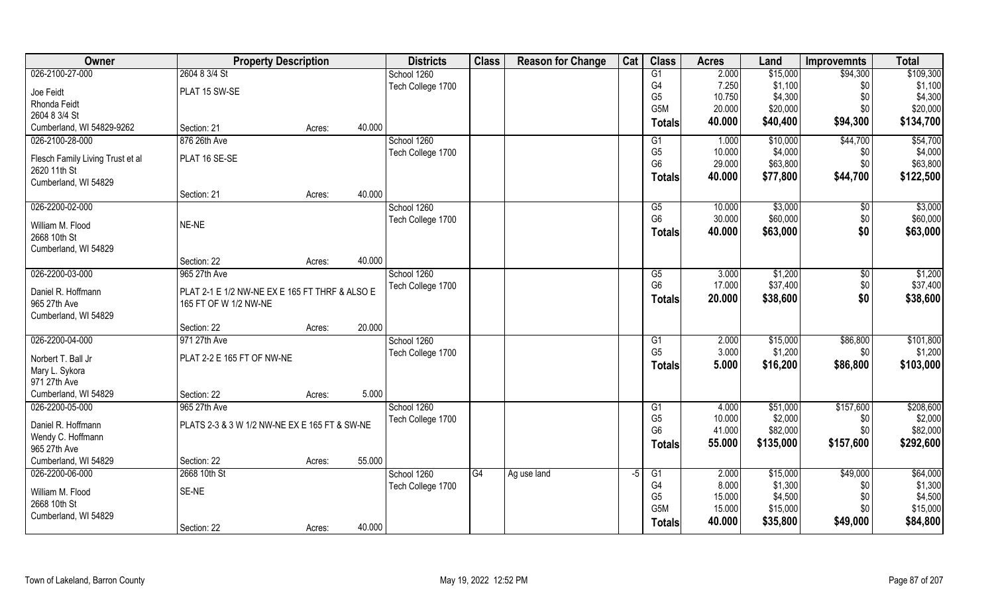| <b>Owner</b>                     | <b>Property Description</b>                    |        |        | <b>Districts</b>  | <b>Class</b> | <b>Reason for Change</b> | Cat  | <b>Class</b>     | <b>Acres</b>   | Land                | <b>Improvemnts</b> | <b>Total</b>        |
|----------------------------------|------------------------------------------------|--------|--------|-------------------|--------------|--------------------------|------|------------------|----------------|---------------------|--------------------|---------------------|
| 026-2100-27-000                  | 2604 8 3/4 St                                  |        |        | School 1260       |              |                          |      | G1               | 2.000          | \$15,000            | \$94,300           | \$109,300           |
| Joe Feidt                        | PLAT 15 SW-SE                                  |        |        | Tech College 1700 |              |                          |      | G4               | 7.250          | \$1,100             | \$0                | \$1,100             |
| Rhonda Feidt                     |                                                |        |        |                   |              |                          |      | G <sub>5</sub>   | 10.750         | \$4,300             | \$0                | \$4,300             |
| 2604 8 3/4 St                    |                                                |        |        |                   |              |                          |      | G <sub>5</sub> M | 20.000         | \$20,000            | \$0                | \$20,000            |
| Cumberland, WI 54829-9262        | Section: 21                                    | Acres: | 40.000 |                   |              |                          |      | Totals           | 40.000         | \$40,400            | \$94,300           | \$134,700           |
| 026-2100-28-000                  | 876 26th Ave                                   |        |        | School 1260       |              |                          |      | G1               | 1.000          | \$10,000            | \$44,700           | \$54,700            |
| Flesch Family Living Trust et al | PLAT 16 SE-SE                                  |        |        | Tech College 1700 |              |                          |      | G <sub>5</sub>   | 10.000         | \$4,000             | \$0                | \$4,000             |
| 2620 11th St                     |                                                |        |        |                   |              |                          |      | G <sub>6</sub>   | 29.000         | \$63,800            | \$0                | \$63,800            |
| Cumberland, WI 54829             |                                                |        |        |                   |              |                          |      | <b>Totals</b>    | 40.000         | \$77,800            | \$44,700           | \$122,500           |
|                                  | Section: 21                                    | Acres: | 40.000 |                   |              |                          |      |                  |                |                     |                    |                     |
| 026-2200-02-000                  |                                                |        |        | School 1260       |              |                          |      | G5               | 10.000         | \$3,000             | $\sqrt[6]{}$       | \$3,000             |
| William M. Flood                 | NE-NE                                          |        |        | Tech College 1700 |              |                          |      | G <sub>6</sub>   | 30.000         | \$60,000            | \$0                | \$60,000            |
| 2668 10th St                     |                                                |        |        |                   |              |                          |      | Totals           | 40.000         | \$63,000            | \$0                | \$63,000            |
| Cumberland, WI 54829             |                                                |        |        |                   |              |                          |      |                  |                |                     |                    |                     |
|                                  | Section: 22                                    | Acres: | 40.000 |                   |              |                          |      |                  |                |                     |                    |                     |
| 026-2200-03-000                  | 965 27th Ave                                   |        |        | School 1260       |              |                          |      | G5               | 3.000          | \$1,200             | $\sqrt[6]{3}$      | \$1,200             |
| Daniel R. Hoffmann               | PLAT 2-1 E 1/2 NW-NE EX E 165 FT THRF & ALSO E |        |        | Tech College 1700 |              |                          |      | G <sub>6</sub>   | 17.000         | \$37,400            | \$0                | \$37,400            |
| 965 27th Ave                     | 165 FT OF W 1/2 NW-NE                          |        |        |                   |              |                          |      | <b>Totals</b>    | 20.000         | \$38,600            | \$0                | \$38,600            |
| Cumberland, WI 54829             |                                                |        |        |                   |              |                          |      |                  |                |                     |                    |                     |
|                                  | Section: 22                                    | Acres: | 20.000 |                   |              |                          |      |                  |                |                     |                    |                     |
| 026-2200-04-000                  | 971 27th Ave                                   |        |        | School 1260       |              |                          |      | G1               | 2.000          | \$15,000            | \$86,800           | \$101,800           |
| Norbert T. Ball Jr               | PLAT 2-2 E 165 FT OF NW-NE                     |        |        | Tech College 1700 |              |                          |      | G <sub>5</sub>   | 3.000          | \$1,200             | \$0                | \$1,200             |
| Mary L. Sykora                   |                                                |        |        |                   |              |                          |      | Totals           | 5.000          | \$16,200            | \$86,800           | \$103,000           |
| 971 27th Ave                     |                                                |        |        |                   |              |                          |      |                  |                |                     |                    |                     |
| Cumberland, WI 54829             | Section: 22                                    | Acres: | 5.000  |                   |              |                          |      |                  |                |                     |                    |                     |
| 026-2200-05-000                  | 965 27th Ave                                   |        |        | School 1260       |              |                          |      | G1               | 4.000          | \$51,000            | \$157,600          | \$208,600           |
|                                  |                                                |        |        | Tech College 1700 |              |                          |      | G <sub>5</sub>   | 10.000         | \$2,000             | \$0                | \$2,000             |
| Daniel R. Hoffmann               | PLATS 2-3 & 3 W 1/2 NW-NE EX E 165 FT & SW-NE  |        |        |                   |              |                          |      | G <sub>6</sub>   | 41.000         | \$82,000            | \$0                | \$82,000            |
| Wendy C. Hoffmann                |                                                |        |        |                   |              |                          |      | <b>Totals</b>    | 55.000         | \$135,000           | \$157,600          | \$292,600           |
| 965 27th Ave                     |                                                |        |        |                   |              |                          |      |                  |                |                     |                    |                     |
| Cumberland, WI 54829             | Section: 22                                    | Acres: | 55.000 |                   |              |                          |      |                  |                |                     |                    |                     |
| 026-2200-06-000                  | 2668 10th St                                   |        |        | School 1260       | G4           | Ag use land              | $-5$ | G1<br>G4         | 2.000<br>8.000 | \$15,000<br>\$1,300 | \$49,000           | \$64,000<br>\$1,300 |
| William M. Flood                 | SE-NE                                          |        |        | Tech College 1700 |              |                          |      | G <sub>5</sub>   | 15.000         | \$4,500             | \$0<br>\$0         | \$4,500             |
| 2668 10th St                     |                                                |        |        |                   |              |                          |      | G <sub>5</sub> M | 15.000         | \$15,000            | \$0\$              | \$15,000            |
| Cumberland, WI 54829             |                                                |        |        |                   |              |                          |      | Totals           | 40.000         | \$35,800            | \$49,000           | \$84,800            |
|                                  | Section: 22                                    | Acres: | 40.000 |                   |              |                          |      |                  |                |                     |                    |                     |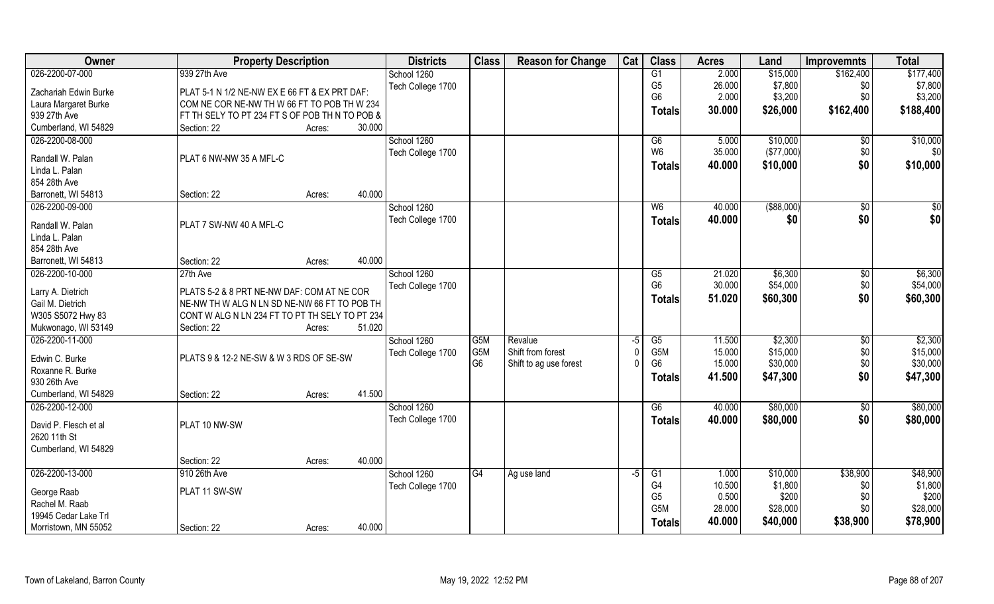| Owner                 | <b>Property Description</b>                    | <b>Districts</b>  | <b>Class</b>   | <b>Reason for Change</b> | Cat  | <b>Class</b>    | <b>Acres</b> | Land        | <b>Improvemnts</b> | <b>Total</b> |
|-----------------------|------------------------------------------------|-------------------|----------------|--------------------------|------|-----------------|--------------|-------------|--------------------|--------------|
| 026-2200-07-000       | 939 27th Ave                                   | School 1260       |                |                          |      | G1              | 2.000        | \$15,000    | \$162,400          | \$177,400    |
| Zachariah Edwin Burke | PLAT 5-1 N 1/2 NE-NW EX E 66 FT & EX PRT DAF:  | Tech College 1700 |                |                          |      | G <sub>5</sub>  | 26.000       | \$7,800     | \$0                | \$7,800      |
| Laura Margaret Burke  | COM NE COR NE-NW TH W 66 FT TO POB TH W 234    |                   |                |                          |      | G <sub>6</sub>  | 2.000        | \$3,200     | \$0                | \$3,200      |
| 939 27th Ave          | FT TH SELY TO PT 234 FT S OF POB TH N TO POB & |                   |                |                          |      | <b>Totals</b>   | 30.000       | \$26,000    | \$162,400          | \$188,400    |
| Cumberland, WI 54829  | 30.000<br>Section: 22<br>Acres:                |                   |                |                          |      |                 |              |             |                    |              |
| 026-2200-08-000       |                                                | School 1260       |                |                          |      | G6              | 5.000        | \$10,000    | $\overline{50}$    | \$10,000     |
|                       |                                                | Tech College 1700 |                |                          |      | W <sub>6</sub>  | 35.000       | (\$77,000)  | \$0                | \$0          |
| Randall W. Palan      | PLAT 6 NW-NW 35 A MFL-C                        |                   |                |                          |      | <b>Totals</b>   | 40.000       | \$10,000    | \$0                | \$10,000     |
| Linda L. Palan        |                                                |                   |                |                          |      |                 |              |             |                    |              |
| 854 28th Ave          |                                                |                   |                |                          |      |                 |              |             |                    |              |
| Barronett, WI 54813   | 40.000<br>Section: 22<br>Acres:                |                   |                |                          |      |                 |              |             |                    |              |
| 026-2200-09-000       |                                                | School 1260       |                |                          |      | W <sub>6</sub>  | 40.000       | ( \$88,000) | \$0                | \$0          |
| Randall W. Palan      | PLAT 7 SW-NW 40 A MFL-C                        | Tech College 1700 |                |                          |      | <b>Totals</b>   | 40.000       | \$0         | \$0                | \$0          |
| Linda L. Palan        |                                                |                   |                |                          |      |                 |              |             |                    |              |
| 854 28th Ave          |                                                |                   |                |                          |      |                 |              |             |                    |              |
| Barronett, WI 54813   | 40.000<br>Section: 22<br>Acres:                |                   |                |                          |      |                 |              |             |                    |              |
| 026-2200-10-000       | 27th Ave                                       | School 1260       |                |                          |      | G5              | 21.020       | \$6,300     | $\sqrt[6]{3}$      | \$6,300      |
|                       |                                                | Tech College 1700 |                |                          |      | G <sub>6</sub>  | 30.000       | \$54,000    | \$0                | \$54,000     |
| Larry A. Dietrich     | PLATS 5-2 & 8 PRT NE-NW DAF: COM AT NE COR     |                   |                |                          |      | <b>Totals</b>   | 51.020       | \$60,300    | \$0                | \$60,300     |
| Gail M. Dietrich      | NE-NW TH W ALG N LN SD NE-NW 66 FT TO POB TH   |                   |                |                          |      |                 |              |             |                    |              |
| W305 S5072 Hwy 83     | CONT W ALG N LN 234 FT TO PT TH SELY TO PT 234 |                   |                |                          |      |                 |              |             |                    |              |
| Mukwonago, WI 53149   | 51.020<br>Section: 22<br>Acres:                |                   |                |                          |      |                 |              |             |                    |              |
| 026-2200-11-000       |                                                | School 1260       | G5M            | Revalue                  | $-5$ | $\overline{G5}$ | 11.500       | \$2,300     | \$0                | \$2,300      |
| Edwin C. Burke        | PLATS 9 & 12-2 NE-SW & W 3 RDS OF SE-SW        | Tech College 1700 | G5M            | Shift from forest        |      | G5M             | 15.000       | \$15,000    | \$0                | \$15,000     |
| Roxanne R. Burke      |                                                |                   | G <sub>6</sub> | Shift to ag use forest   |      | G <sub>6</sub>  | 15.000       | \$30,000    | \$0                | \$30,000     |
| 930 26th Ave          |                                                |                   |                |                          |      | Totals          | 41.500       | \$47,300    | \$0                | \$47,300     |
| Cumberland, WI 54829  | 41.500<br>Section: 22<br>Acres:                |                   |                |                          |      |                 |              |             |                    |              |
| 026-2200-12-000       |                                                | School 1260       |                |                          |      | G6              | 40.000       | \$80,000    | \$0                | \$80,000     |
|                       |                                                | Tech College 1700 |                |                          |      | <b>Totals</b>   | 40.000       | \$80,000    | \$0                | \$80,000     |
| David P. Flesch et al | PLAT 10 NW-SW                                  |                   |                |                          |      |                 |              |             |                    |              |
| 2620 11th St          |                                                |                   |                |                          |      |                 |              |             |                    |              |
| Cumberland, WI 54829  |                                                |                   |                |                          |      |                 |              |             |                    |              |
|                       | 40.000<br>Section: 22<br>Acres:                |                   |                |                          |      |                 |              |             |                    |              |
| 026-2200-13-000       | 910 26th Ave                                   | School 1260       | G4             | Ag use land              | $-5$ | G1              | 1.000        | \$10,000    | \$38,900           | \$48,900     |
| George Raab           | PLAT 11 SW-SW                                  | Tech College 1700 |                |                          |      | G <sub>4</sub>  | 10.500       | \$1,800     | \$0                | \$1,800      |
| Rachel M. Raab        |                                                |                   |                |                          |      | G <sub>5</sub>  | 0.500        | \$200       | \$0                | \$200        |
| 19945 Cedar Lake Trl  |                                                |                   |                |                          |      | G5M             | 28.000       | \$28,000    | \$0                | \$28,000     |
| Morristown, MN 55052  | 40.000<br>Section: 22<br>Acres:                |                   |                |                          |      | <b>Totals</b>   | 40.000       | \$40,000    | \$38,900           | \$78,900     |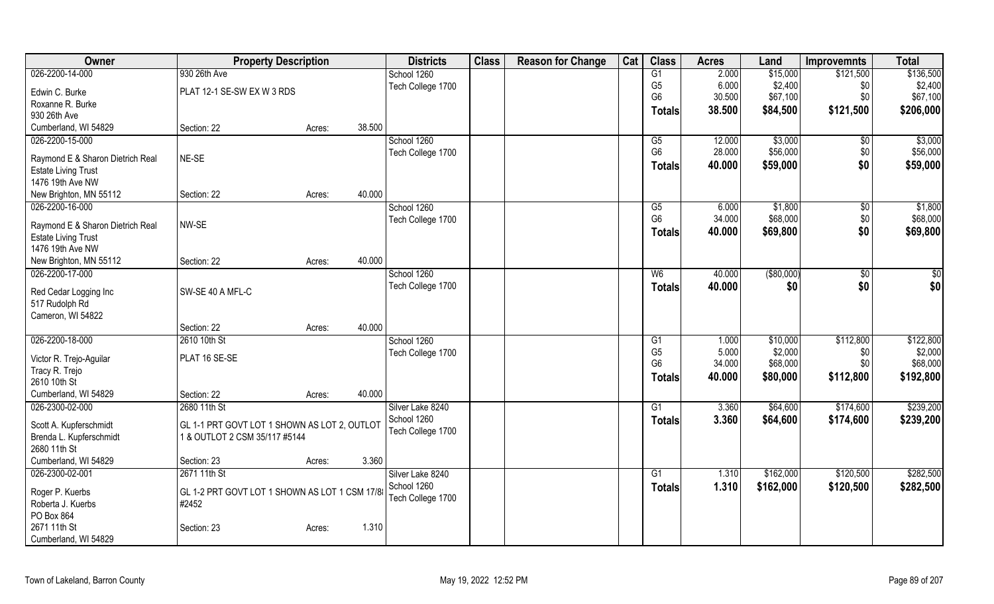| Owner<br><b>Class</b><br><b>Class</b><br><b>Districts</b><br><b>Reason for Change</b><br>Cat<br><b>Property Description</b><br><b>Acres</b><br>Land<br><b>Improvemnts</b> | <b>Total</b>             |
|---------------------------------------------------------------------------------------------------------------------------------------------------------------------------|--------------------------|
| 026-2200-14-000<br>930 26th Ave<br>G1<br>2.000<br>\$121,500<br>School 1260<br>\$15,000                                                                                    | \$136,500                |
| G <sub>5</sub><br>6.000<br>\$2,400<br>Tech College 1700<br>PLAT 12-1 SE-SW EX W 3 RDS<br>Edwin C. Burke                                                                   | \$2,400<br>\$0           |
| G <sub>6</sub><br>30.500<br>\$67,100<br>Roxanne R. Burke                                                                                                                  | \$0<br>\$67,100          |
| \$84,500<br>38.500<br>\$121,500<br>Totals<br>930 26th Ave                                                                                                                 | \$206,000                |
| Cumberland, WI 54829<br>38.500<br>Section: 22<br>Acres:                                                                                                                   |                          |
| 026-2200-15-000<br>\$3,000<br>School 1260<br>12.000<br>G5                                                                                                                 | \$3,000<br>\$0           |
| G <sub>6</sub><br>28.000<br>\$56,000<br>Tech College 1700<br>NE-SE<br>Raymond E & Sharon Dietrich Real                                                                    | \$56,000<br>\$0          |
| 40.000<br>\$59,000<br>Totals<br><b>Estate Living Trust</b>                                                                                                                | \$0<br>\$59,000          |
| 1476 19th Ave NW                                                                                                                                                          |                          |
| 40.000<br>New Brighton, MN 55112<br>Section: 22<br>Acres:                                                                                                                 |                          |
| 026-2200-16-000<br>School 1260<br>\$1,800<br>G5<br>6.000                                                                                                                  | \$1,800<br>$\sqrt[6]{3}$ |
| G <sub>6</sub><br>34.000<br>\$68,000<br>Tech College 1700                                                                                                                 | \$68,000<br>\$0          |
| NW-SE<br>Raymond E & Sharon Dietrich Real<br>\$0<br>40.000<br>\$69,800<br>Totals                                                                                          | \$69,800                 |
| <b>Estate Living Trust</b>                                                                                                                                                |                          |
| 1476 19th Ave NW                                                                                                                                                          |                          |
| 40.000<br>New Brighton, MN 55112<br>Section: 22<br>Acres:<br>026-2200-17-000                                                                                              |                          |
| ( \$80,000)<br>School 1260<br>W6<br>40.000                                                                                                                                | \$0<br>$\overline{50}$   |
| Tech College 1700<br>40.000<br>\$0<br><b>Totals</b><br>SW-SE 40 A MFL-C<br>Red Cedar Logging Inc                                                                          | \$0<br>\$0               |
| 517 Rudolph Rd                                                                                                                                                            |                          |
| Cameron, WI 54822                                                                                                                                                         |                          |
| 40.000<br>Section: 22<br>Acres:                                                                                                                                           |                          |
| 026-2200-18-000<br>\$112,800<br>2610 10th St<br>\$10,000<br>School 1260<br>G1<br>1.000                                                                                    | \$122,800                |
| G <sub>5</sub><br>5.000<br>\$2,000<br>Tech College 1700<br>Victor R. Trejo-Aguilar<br>PLAT 16 SE-SE                                                                       | \$2,000<br>\$0           |
| G <sub>6</sub><br>34.000<br>\$68,000<br>Tracy R. Trejo                                                                                                                    | \$68,000<br>\$0          |
| \$112,800<br>40.000<br>\$80,000<br><b>Totals</b><br>2610 10th St                                                                                                          | \$192,800                |
| 40.000<br>Cumberland, WI 54829<br>Section: 22<br>Acres:                                                                                                                   |                          |
| 026-2300-02-000<br>2680 11th St<br>Silver Lake 8240<br>3.360<br>\$64,600<br>\$174,600<br>G1                                                                               | \$239,200                |
| School 1260<br>3.360<br>\$64,600<br>\$174,600<br>Totals<br>GL 1-1 PRT GOVT LOT 1 SHOWN AS LOT 2, OUTLOT<br>Scott A. Kupferschmidt                                         | \$239,200                |
| Tech College 1700<br>Brenda L. Kupferschmidt<br>1 & OUTLOT 2 CSM 35/117 #5144                                                                                             |                          |
| 2680 11th St                                                                                                                                                              |                          |
| 3.360<br>Cumberland, WI 54829<br>Section: 23<br>Acres:                                                                                                                    |                          |
| 026-2300-02-001<br>Silver Lake 8240<br>\$162,000<br>\$120,500<br>2671 11th St<br>G1<br>1.310                                                                              | \$282,500                |
| School 1260<br>1.310<br>\$162,000<br>\$120,500<br><b>Totals</b>                                                                                                           | \$282,500                |
| Roger P. Kuerbs<br>GL 1-2 PRT GOVT LOT 1 SHOWN AS LOT 1 CSM 17/8<br>Tech College 1700                                                                                     |                          |
| Roberta J. Kuerbs<br>#2452                                                                                                                                                |                          |
| PO Box 864<br>2671 11th St<br>1.310<br>Section: 23                                                                                                                        |                          |
| Acres:<br>Cumberland, WI 54829                                                                                                                                            |                          |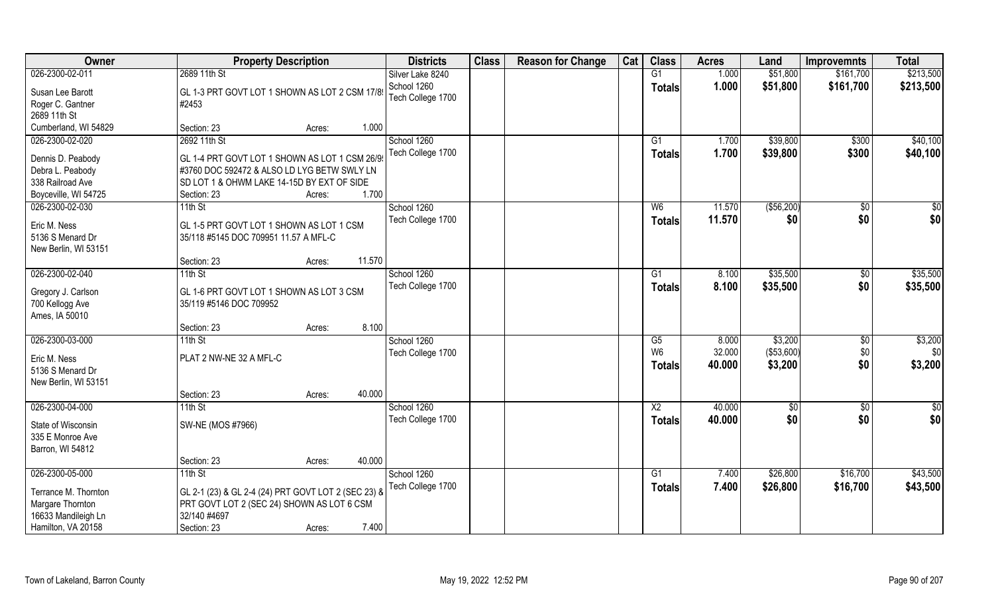| Owner                | <b>Property Description</b>                         |                  | <b>Districts</b>  | <b>Class</b> | <b>Reason for Change</b> | Cat | <b>Class</b>           | <b>Acres</b> | Land        | <b>Improvemnts</b> | <b>Total</b> |
|----------------------|-----------------------------------------------------|------------------|-------------------|--------------|--------------------------|-----|------------------------|--------------|-------------|--------------------|--------------|
| 026-2300-02-011      | 2689 11th St                                        |                  | Silver Lake 8240  |              |                          |     | G1                     | 1.000        | \$51,800    | \$161,700          | \$213,500    |
| Susan Lee Barott     | GL 1-3 PRT GOVT LOT 1 SHOWN AS LOT 2 CSM 17/89      |                  | School 1260       |              |                          |     | <b>Totals</b>          | 1.000        | \$51,800    | \$161,700          | \$213,500    |
| Roger C. Gantner     | #2453                                               |                  | Tech College 1700 |              |                          |     |                        |              |             |                    |              |
| 2689 11th St         |                                                     |                  |                   |              |                          |     |                        |              |             |                    |              |
| Cumberland, WI 54829 | Section: 23                                         | 1.000<br>Acres:  |                   |              |                          |     |                        |              |             |                    |              |
| 026-2300-02-020      | 2692 11th St                                        |                  | School 1260       |              |                          |     | $\overline{G1}$        | 1.700        | \$39,800    | \$300              | \$40,100     |
|                      |                                                     |                  | Tech College 1700 |              |                          |     | Totals                 | 1.700        | \$39,800    | \$300              | \$40,100     |
| Dennis D. Peabody    | GL 1-4 PRT GOVT LOT 1 SHOWN AS LOT 1 CSM 26/9       |                  |                   |              |                          |     |                        |              |             |                    |              |
| Debra L. Peabody     | #3760 DOC 592472 & ALSO LD LYG BETW SWLY LN         |                  |                   |              |                          |     |                        |              |             |                    |              |
| 338 Railroad Ave     | SD LOT 1 & OHWM LAKE 14-15D BY EXT OF SIDE          |                  |                   |              |                          |     |                        |              |             |                    |              |
| Boyceville, WI 54725 | Section: 23                                         | 1.700<br>Acres:  |                   |              |                          |     |                        |              |             |                    |              |
| 026-2300-02-030      | 11th St                                             |                  | School 1260       |              |                          |     | W <sub>6</sub>         | 11.570       | ( \$56,200) | \$0                | $\sqrt{50}$  |
| Eric M. Ness         | GL 1-5 PRT GOVT LOT 1 SHOWN AS LOT 1 CSM            |                  | Tech College 1700 |              |                          |     | <b>Totals</b>          | 11.570       | \$0         | \$0                | \$0          |
| 5136 S Menard Dr     | 35/118 #5145 DOC 709951 11.57 A MFL-C               |                  |                   |              |                          |     |                        |              |             |                    |              |
| New Berlin, WI 53151 |                                                     |                  |                   |              |                          |     |                        |              |             |                    |              |
|                      | Section: 23                                         | 11.570<br>Acres: |                   |              |                          |     |                        |              |             |                    |              |
| 026-2300-02-040      | $11th$ St                                           |                  | School 1260       |              |                          |     | G1                     | 8.100        | \$35,500    | \$0                | \$35,500     |
|                      |                                                     |                  | Tech College 1700 |              |                          |     | <b>Totals</b>          | 8.100        | \$35,500    | \$0                | \$35,500     |
| Gregory J. Carlson   | GL 1-6 PRT GOVT LOT 1 SHOWN AS LOT 3 CSM            |                  |                   |              |                          |     |                        |              |             |                    |              |
| 700 Kellogg Ave      | 35/119 #5146 DOC 709952                             |                  |                   |              |                          |     |                        |              |             |                    |              |
| Ames, IA 50010       |                                                     |                  |                   |              |                          |     |                        |              |             |                    |              |
|                      | Section: 23                                         | 8.100<br>Acres:  |                   |              |                          |     |                        |              |             |                    |              |
| 026-2300-03-000      | $11th$ St                                           |                  | School 1260       |              |                          |     | $\overline{\text{G5}}$ | 8.000        | \$3,200     | $\overline{50}$    | \$3,200      |
| Eric M. Ness         | PLAT 2 NW-NE 32 A MFL-C                             |                  | Tech College 1700 |              |                          |     | W <sub>6</sub>         | 32.000       | (\$53,600)  | \$0                | \$0          |
| 5136 S Menard Dr     |                                                     |                  |                   |              |                          |     | <b>Totals</b>          | 40.000       | \$3,200     | \$0                | \$3,200      |
| New Berlin, WI 53151 |                                                     |                  |                   |              |                          |     |                        |              |             |                    |              |
|                      | Section: 23                                         | 40.000<br>Acres: |                   |              |                          |     |                        |              |             |                    |              |
| 026-2300-04-000      | 11th St                                             |                  | School 1260       |              |                          |     | $\overline{X2}$        | 40.000       | \$0         | $\sqrt{6}$         | \$0          |
|                      |                                                     |                  | Tech College 1700 |              |                          |     | <b>Totals</b>          | 40.000       | \$0         | \$0                | \$0          |
| State of Wisconsin   | SW-NE (MOS #7966)                                   |                  |                   |              |                          |     |                        |              |             |                    |              |
| 335 E Monroe Ave     |                                                     |                  |                   |              |                          |     |                        |              |             |                    |              |
| Barron, WI 54812     |                                                     |                  |                   |              |                          |     |                        |              |             |                    |              |
|                      | Section: 23                                         | 40.000<br>Acres: |                   |              |                          |     |                        |              |             |                    |              |
| 026-2300-05-000      | $11th$ St                                           |                  | School 1260       |              |                          |     | G1                     | 7.400        | \$26,800    | \$16,700           | \$43,500     |
| Terrance M. Thornton | GL 2-1 (23) & GL 2-4 (24) PRT GOVT LOT 2 (SEC 23) & |                  | Tech College 1700 |              |                          |     | <b>Totals</b>          | 7.400        | \$26,800    | \$16,700           | \$43,500     |
| Margare Thornton     | PRT GOVT LOT 2 (SEC 24) SHOWN AS LOT 6 CSM          |                  |                   |              |                          |     |                        |              |             |                    |              |
| 16633 Mandileigh Ln  | 32/140 #4697                                        |                  |                   |              |                          |     |                        |              |             |                    |              |
| Hamilton, VA 20158   | Section: 23                                         | 7.400<br>Acres:  |                   |              |                          |     |                        |              |             |                    |              |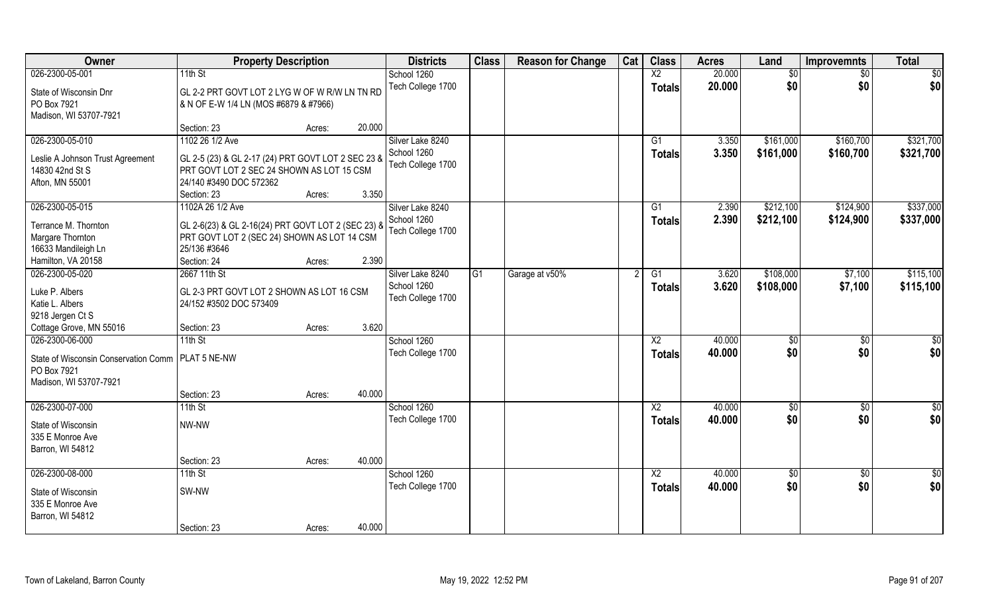| Owner                                               | <b>Property Description</b>                                                                       |        |        | <b>Districts</b>  | <b>Class</b>    | <b>Reason for Change</b> | Cat | <b>Class</b>           | <b>Acres</b> | Land       | <b>Improvemnts</b> | <b>Total</b>  |
|-----------------------------------------------------|---------------------------------------------------------------------------------------------------|--------|--------|-------------------|-----------------|--------------------------|-----|------------------------|--------------|------------|--------------------|---------------|
| 026-2300-05-001                                     | $11th$ St                                                                                         |        |        | School 1260       |                 |                          |     | $\overline{X2}$        | 20.000       | \$0        | \$0                | \$0           |
| State of Wisconsin Dnr                              | GL 2-2 PRT GOVT LOT 2 LYG W OF W R/W LN TN RD                                                     |        |        | Tech College 1700 |                 |                          |     | <b>Totals</b>          | 20.000       | \$0        | \$0                | \$0           |
| PO Box 7921                                         | & N OF E-W 1/4 LN (MOS #6879 & #7966)                                                             |        |        |                   |                 |                          |     |                        |              |            |                    |               |
| Madison, WI 53707-7921                              |                                                                                                   |        |        |                   |                 |                          |     |                        |              |            |                    |               |
|                                                     | Section: 23                                                                                       | Acres: | 20.000 |                   |                 |                          |     |                        |              |            |                    |               |
| 026-2300-05-010                                     | 1102 26 1/2 Ave                                                                                   |        |        | Silver Lake 8240  |                 |                          |     | G1                     | 3.350        | \$161,000  | \$160,700          | \$321,700     |
| Leslie A Johnson Trust Agreement                    | GL 2-5 (23) & GL 2-17 (24) PRT GOVT LOT 2 SEC 23 &                                                |        |        | School 1260       |                 |                          |     | <b>Totals</b>          | 3.350        | \$161,000  | \$160,700          | \$321,700     |
| 14830 42nd St S                                     | PRT GOVT LOT 2 SEC 24 SHOWN AS LOT 15 CSM                                                         |        |        | Tech College 1700 |                 |                          |     |                        |              |            |                    |               |
| Afton, MN 55001                                     | 24/140 #3490 DOC 572362                                                                           |        |        |                   |                 |                          |     |                        |              |            |                    |               |
|                                                     | Section: 23                                                                                       | Acres: | 3.350  |                   |                 |                          |     |                        |              |            |                    |               |
| 026-2300-05-015                                     | 1102A 26 1/2 Ave                                                                                  |        |        | Silver Lake 8240  |                 |                          |     | G1                     | 2.390        | \$212,100  | \$124,900          | \$337,000     |
|                                                     |                                                                                                   |        |        | School 1260       |                 |                          |     | <b>Totals</b>          | 2.390        | \$212,100  | \$124,900          | \$337,000     |
| Terrance M. Thornton                                | GL 2-6(23) & GL 2-16(24) PRT GOVT LOT 2 (SEC 23) &<br>PRT GOVT LOT 2 (SEC 24) SHOWN AS LOT 14 CSM |        |        | Tech College 1700 |                 |                          |     |                        |              |            |                    |               |
| Margare Thornton<br>16633 Mandileigh Ln             | 25/136 #3646                                                                                      |        |        |                   |                 |                          |     |                        |              |            |                    |               |
| Hamilton, VA 20158                                  | Section: 24                                                                                       | Acres: | 2.390  |                   |                 |                          |     |                        |              |            |                    |               |
| 026-2300-05-020                                     | 2667 11th St                                                                                      |        |        | Silver Lake 8240  | $\overline{G1}$ | Garage at v50%           |     | G1                     | 3.620        | \$108,000  | \$7,100            | \$115,100     |
|                                                     |                                                                                                   |        |        | School 1260       |                 |                          |     |                        |              |            |                    |               |
| Luke P. Albers                                      | GL 2-3 PRT GOVT LOT 2 SHOWN AS LOT 16 CSM                                                         |        |        | Tech College 1700 |                 |                          |     | <b>Totals</b>          | 3.620        | \$108,000  | \$7,100            | \$115,100     |
| Katie L. Albers                                     | 24/152 #3502 DOC 573409                                                                           |        |        |                   |                 |                          |     |                        |              |            |                    |               |
| 9218 Jergen Ct S                                    |                                                                                                   |        |        |                   |                 |                          |     |                        |              |            |                    |               |
| Cottage Grove, MN 55016                             | Section: 23                                                                                       | Acres: | 3.620  |                   |                 |                          |     |                        |              |            |                    |               |
| 026-2300-06-000                                     | $11th$ St                                                                                         |        |        | School 1260       |                 |                          |     | $\overline{\text{X2}}$ | 40.000       | \$0        | \$0                | \$0           |
| State of Wisconsin Conservation Comm   PLAT 5 NE-NW |                                                                                                   |        |        | Tech College 1700 |                 |                          |     | <b>Totals</b>          | 40.000       | \$0        | \$0                | \$0           |
| PO Box 7921                                         |                                                                                                   |        |        |                   |                 |                          |     |                        |              |            |                    |               |
| Madison, WI 53707-7921                              |                                                                                                   |        |        |                   |                 |                          |     |                        |              |            |                    |               |
|                                                     | Section: 23                                                                                       | Acres: | 40.000 |                   |                 |                          |     |                        |              |            |                    |               |
| 026-2300-07-000                                     | $11th$ St                                                                                         |        |        | School 1260       |                 |                          |     | $\overline{X2}$        | 40.000       | \$0        | \$0                | $\frac{1}{2}$ |
|                                                     |                                                                                                   |        |        | Tech College 1700 |                 |                          |     | <b>Totals</b>          | 40.000       | \$0        | \$0                | \$0           |
| State of Wisconsin                                  | NW-NW                                                                                             |        |        |                   |                 |                          |     |                        |              |            |                    |               |
| 335 E Monroe Ave                                    |                                                                                                   |        |        |                   |                 |                          |     |                        |              |            |                    |               |
| Barron, WI 54812                                    |                                                                                                   |        |        |                   |                 |                          |     |                        |              |            |                    |               |
|                                                     | Section: 23                                                                                       | Acres: | 40.000 |                   |                 |                          |     |                        |              |            |                    |               |
| 026-2300-08-000                                     | 11th St                                                                                           |        |        | School 1260       |                 |                          |     | $\overline{X2}$        | 40.000       | $\sqrt{6}$ | $\overline{50}$    | $rac{1}{2}$   |
| State of Wisconsin                                  | SW-NW                                                                                             |        |        | Tech College 1700 |                 |                          |     | <b>Totals</b>          | 40.000       | \$0        | \$0                | \$0           |
| 335 E Monroe Ave                                    |                                                                                                   |        |        |                   |                 |                          |     |                        |              |            |                    |               |
| Barron, WI 54812                                    |                                                                                                   |        |        |                   |                 |                          |     |                        |              |            |                    |               |
|                                                     | Section: 23                                                                                       | Acres: | 40.000 |                   |                 |                          |     |                        |              |            |                    |               |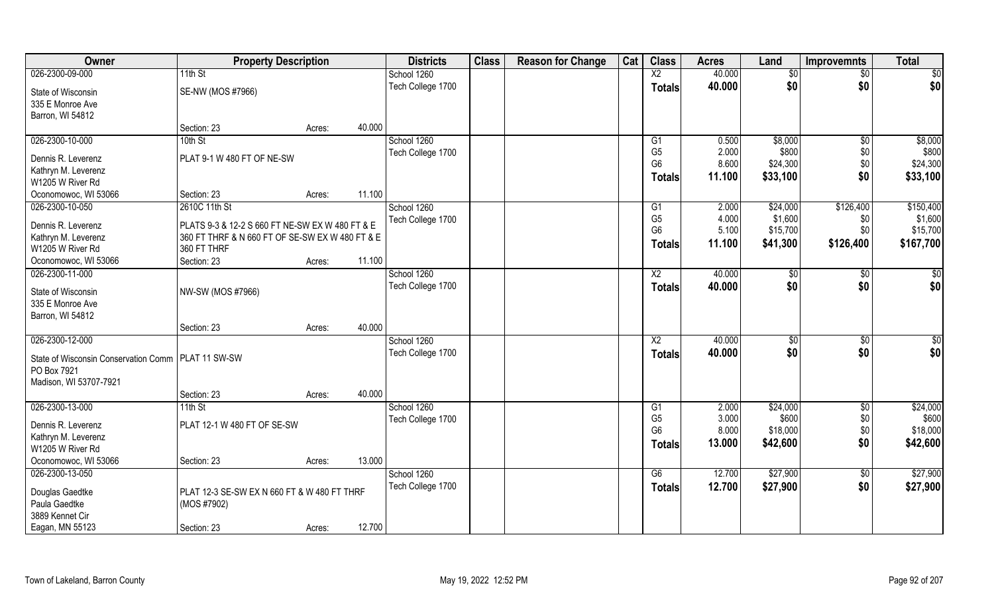| <b>Owner</b>                                         | <b>Property Description</b>                                    |                  | <b>Districts</b>  | <b>Class</b> | <b>Reason for Change</b> | Cat | <b>Class</b>    | <b>Acres</b> | Land           | <b>Improvemnts</b> | <b>Total</b>    |
|------------------------------------------------------|----------------------------------------------------------------|------------------|-------------------|--------------|--------------------------|-----|-----------------|--------------|----------------|--------------------|-----------------|
| 026-2300-09-000                                      | 11th St                                                        |                  | School 1260       |              |                          |     | $\overline{X2}$ | 40.000       | \$0            | $\overline{50}$    | $\overline{50}$ |
| State of Wisconsin<br>335 E Monroe Ave               | SE-NW (MOS #7966)                                              |                  | Tech College 1700 |              |                          |     | <b>Totals</b>   | 40.000       | \$0            | \$0                | \$0             |
| Barron, WI 54812                                     |                                                                |                  |                   |              |                          |     |                 |              |                |                    |                 |
|                                                      | Section: 23                                                    | 40.000<br>Acres: |                   |              |                          |     |                 |              |                |                    |                 |
| 026-2300-10-000                                      | 10th St                                                        |                  | School 1260       |              |                          |     | G1              | 0.500        | \$8,000        | \$0                | \$8,000         |
| Dennis R. Leverenz                                   | PLAT 9-1 W 480 FT OF NE-SW                                     |                  | Tech College 1700 |              |                          |     | G <sub>5</sub>  | 2.000        | \$800          | \$0                | \$800           |
| Kathryn M. Leverenz                                  |                                                                |                  |                   |              |                          |     | G <sub>6</sub>  | 8.600        | \$24,300       | \$0                | \$24,300        |
| W1205 W River Rd                                     |                                                                |                  |                   |              |                          |     | <b>Totals</b>   | 11.100       | \$33,100       | \$0                | \$33,100        |
| Oconomowoc, WI 53066                                 | Section: 23                                                    | 11.100<br>Acres: |                   |              |                          |     |                 |              |                |                    |                 |
| 026-2300-10-050                                      | 2610C 11th St                                                  |                  | School 1260       |              |                          |     | G1              | 2.000        | \$24,000       | \$126,400          | \$150,400       |
|                                                      |                                                                |                  | Tech College 1700 |              |                          |     | G <sub>5</sub>  | 4.000        | \$1,600        | \$0                | \$1,600         |
| Dennis R. Leverenz                                   | PLATS 9-3 & 12-2 S 660 FT NE-SW EX W 480 FT & E                |                  |                   |              |                          |     | G <sub>6</sub>  | 5.100        | \$15,700       | \$0                | \$15,700        |
| Kathryn M. Leverenz<br>W1205 W River Rd              | 360 FT THRF & N 660 FT OF SE-SW EX W 480 FT & E<br>360 FT THRF |                  |                   |              |                          |     | <b>Totals</b>   | 11.100       | \$41,300       | \$126,400          | \$167,700       |
| Oconomowoc, WI 53066                                 | Section: 23                                                    | 11.100<br>Acres: |                   |              |                          |     |                 |              |                |                    |                 |
| 026-2300-11-000                                      |                                                                |                  | School 1260       |              |                          |     | X <sub>2</sub>  | 40.000       | $\sqrt[6]{30}$ |                    | \$              |
|                                                      |                                                                |                  | Tech College 1700 |              |                          |     |                 | 40.000       | \$0            | \$0<br>\$0         | \$0             |
| State of Wisconsin                                   | NW-SW (MOS #7966)                                              |                  |                   |              |                          |     | <b>Totals</b>   |              |                |                    |                 |
| 335 E Monroe Ave                                     |                                                                |                  |                   |              |                          |     |                 |              |                |                    |                 |
| Barron, WI 54812                                     |                                                                |                  |                   |              |                          |     |                 |              |                |                    |                 |
|                                                      | Section: 23                                                    | 40.000<br>Acres: |                   |              |                          |     |                 |              |                |                    |                 |
| 026-2300-12-000                                      |                                                                |                  | School 1260       |              |                          |     | X2              | 40.000       | $\sqrt[6]{3}$  | \$0                | \$0             |
| State of Wisconsin Conservation Comm   PLAT 11 SW-SW |                                                                |                  | Tech College 1700 |              |                          |     | <b>Totals</b>   | 40.000       | \$0            | \$0                | \$0             |
| PO Box 7921                                          |                                                                |                  |                   |              |                          |     |                 |              |                |                    |                 |
| Madison, WI 53707-7921                               |                                                                |                  |                   |              |                          |     |                 |              |                |                    |                 |
|                                                      | Section: 23                                                    | 40.000<br>Acres: |                   |              |                          |     |                 |              |                |                    |                 |
| 026-2300-13-000                                      | $11th$ St                                                      |                  | School 1260       |              |                          |     | G <sub>1</sub>  | 2.000        | \$24,000       | $\overline{50}$    | \$24,000        |
| Dennis R. Leverenz                                   | PLAT 12-1 W 480 FT OF SE-SW                                    |                  | Tech College 1700 |              |                          |     | G <sub>5</sub>  | 3.000        | \$600          | \$0                | \$600           |
| Kathryn M. Leverenz                                  |                                                                |                  |                   |              |                          |     | G <sub>6</sub>  | 8.000        | \$18,000       | \$0                | \$18,000        |
| W1205 W River Rd                                     |                                                                |                  |                   |              |                          |     | <b>Totals</b>   | 13.000       | \$42,600       | \$0                | \$42,600        |
| Oconomowoc, WI 53066                                 | Section: 23                                                    | 13.000<br>Acres: |                   |              |                          |     |                 |              |                |                    |                 |
| 026-2300-13-050                                      |                                                                |                  | School 1260       |              |                          |     | G6              | 12.700       | \$27,900       | $\overline{50}$    | \$27,900        |
|                                                      |                                                                |                  | Tech College 1700 |              |                          |     | <b>Totals</b>   | 12.700       | \$27,900       | \$0                | \$27,900        |
| Douglas Gaedtke<br>Paula Gaedtke                     | PLAT 12-3 SE-SW EX N 660 FT & W 480 FT THRF                    |                  |                   |              |                          |     |                 |              |                |                    |                 |
| 3889 Kennet Cir                                      | (MOS #7902)                                                    |                  |                   |              |                          |     |                 |              |                |                    |                 |
|                                                      |                                                                | 12.700           |                   |              |                          |     |                 |              |                |                    |                 |
| Eagan, MN 55123                                      | Section: 23                                                    | Acres:           |                   |              |                          |     |                 |              |                |                    |                 |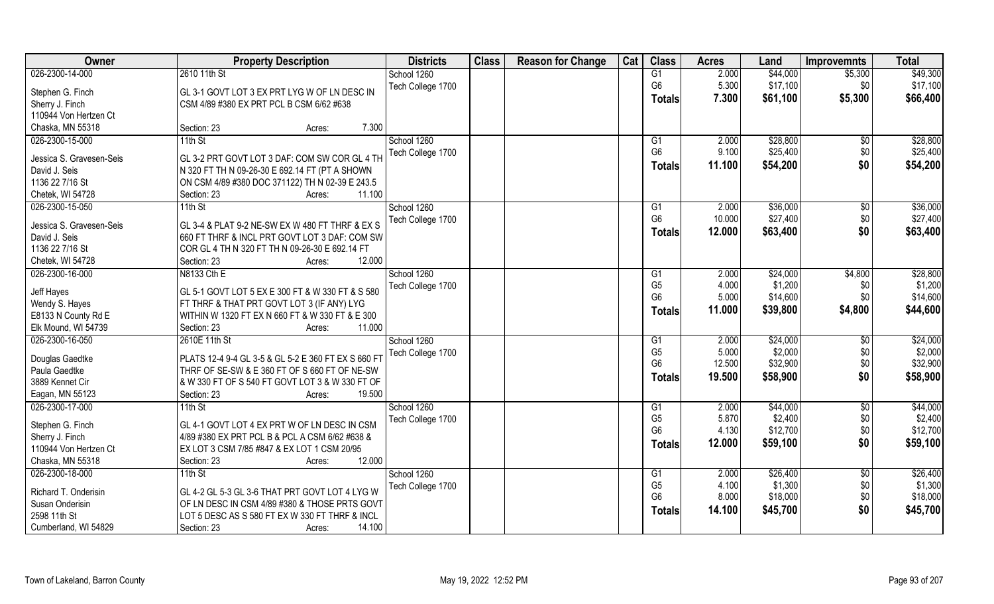| Owner                    | <b>Property Description</b>                         | <b>Districts</b>  | <b>Class</b> | <b>Reason for Change</b> | Cat | <b>Class</b>    | <b>Acres</b> | Land     | <b>Improvemnts</b> | <b>Total</b> |
|--------------------------|-----------------------------------------------------|-------------------|--------------|--------------------------|-----|-----------------|--------------|----------|--------------------|--------------|
| 026-2300-14-000          | 2610 11th St                                        | School 1260       |              |                          |     | G1              | 2.000        | \$44,000 | \$5,300            | \$49,300     |
| Stephen G. Finch         | GL 3-1 GOVT LOT 3 EX PRT LYG W OF LN DESC IN        | Tech College 1700 |              |                          |     | G <sub>6</sub>  | 5.300        | \$17,100 | \$0                | \$17,100     |
| Sherry J. Finch          | CSM 4/89 #380 EX PRT PCL B CSM 6/62 #638            |                   |              |                          |     | <b>Totals</b>   | 7.300        | \$61,100 | \$5,300            | \$66,400     |
| 110944 Von Hertzen Ct    |                                                     |                   |              |                          |     |                 |              |          |                    |              |
| Chaska, MN 55318         | 7.300<br>Section: 23<br>Acres:                      |                   |              |                          |     |                 |              |          |                    |              |
| 026-2300-15-000          | $11th$ St                                           | School 1260       |              |                          |     | G1              | 2.000        | \$28,800 | $\overline{50}$    | \$28,800     |
|                          |                                                     | Tech College 1700 |              |                          |     | G <sub>6</sub>  | 9.100        | \$25,400 | \$0                | \$25,400     |
| Jessica S. Gravesen-Seis | GL 3-2 PRT GOVT LOT 3 DAF: COM SW COR GL 4 TH       |                   |              |                          |     | <b>Totals</b>   | 11.100       | \$54,200 | \$0                | \$54,200     |
| David J. Seis            | N 320 FT TH N 09-26-30 E 692.14 FT (PT A SHOWN      |                   |              |                          |     |                 |              |          |                    |              |
| 1136 22 7/16 St          | ON CSM 4/89 #380 DOC 371122) TH N 02-39 E 243.5     |                   |              |                          |     |                 |              |          |                    |              |
| Chetek, WI 54728         | 11.100<br>Section: 23<br>Acres:                     |                   |              |                          |     |                 |              |          |                    |              |
| 026-2300-15-050          | $11th$ St                                           | School 1260       |              |                          |     | G <sub>1</sub>  | 2.000        | \$36,000 | \$0                | \$36,000     |
| Jessica S. Gravesen-Seis | GL 3-4 & PLAT 9-2 NE-SW EX W 480 FT THRF & EX S     | Tech College 1700 |              |                          |     | G <sub>6</sub>  | 10.000       | \$27,400 | \$0                | \$27,400     |
| David J. Seis            | 660 FT THRF & INCL PRT GOVT LOT 3 DAF: COM SW       |                   |              |                          |     | <b>Totals</b>   | 12.000       | \$63,400 | \$0                | \$63,400     |
| 1136 22 7/16 St          | COR GL 4 TH N 320 FT TH N 09-26-30 E 692.14 FT      |                   |              |                          |     |                 |              |          |                    |              |
| Chetek, WI 54728         | 12.000<br>Section: 23<br>Acres:                     |                   |              |                          |     |                 |              |          |                    |              |
| 026-2300-16-000          | N8133 Cth E                                         | School 1260       |              |                          |     | G <sub>1</sub>  | 2.000        | \$24,000 | \$4,800            | \$28,800     |
|                          |                                                     | Tech College 1700 |              |                          |     | G <sub>5</sub>  | 4.000        | \$1,200  | \$0                | \$1,200      |
| Jeff Hayes               | GL 5-1 GOVT LOT 5 EX E 300 FT & W 330 FT & S 580    |                   |              |                          |     | G <sub>6</sub>  | 5.000        | \$14,600 | \$0                | \$14,600     |
| Wendy S. Hayes           | FT THRF & THAT PRT GOVT LOT 3 (IF ANY) LYG          |                   |              |                          |     | <b>Totals</b>   | 11.000       | \$39,800 | \$4,800            | \$44,600     |
| E8133 N County Rd E      | WITHIN W 1320 FT EX N 660 FT & W 330 FT & E 300     |                   |              |                          |     |                 |              |          |                    |              |
| Elk Mound, WI 54739      | 11.000<br>Section: 23<br>Acres:                     |                   |              |                          |     |                 |              |          |                    |              |
| 026-2300-16-050          | 2610E 11th St                                       | School 1260       |              |                          |     | G1              | 2.000        | \$24,000 | \$0                | \$24,000     |
| Douglas Gaedtke          | PLATS 12-4 9-4 GL 3-5 & GL 5-2 E 360 FT EX S 660 FT | Tech College 1700 |              |                          |     | G <sub>5</sub>  | 5.000        | \$2,000  | \$0                | \$2,000      |
| Paula Gaedtke            | THRF OF SE-SW & E 360 FT OF S 660 FT OF NE-SW       |                   |              |                          |     | G <sub>6</sub>  | 12.500       | \$32,900 | \$0                | \$32,900     |
| 3889 Kennet Cir          | & W 330 FT OF S 540 FT GOVT LOT 3 & W 330 FT OF     |                   |              |                          |     | <b>Totals</b>   | 19.500       | \$58,900 | \$0                | \$58,900     |
| Eagan, MN 55123          | 19.500<br>Section: 23<br>Acres:                     |                   |              |                          |     |                 |              |          |                    |              |
| 026-2300-17-000          | $11th$ St                                           | School 1260       |              |                          |     | $\overline{G1}$ | 2.000        | \$44,000 | $\sqrt{$0}$        | \$44,000     |
|                          |                                                     | Tech College 1700 |              |                          |     | G <sub>5</sub>  | 5.870        | \$2,400  | \$0                | \$2,400      |
| Stephen G. Finch         | GL 4-1 GOVT LOT 4 EX PRT W OF LN DESC IN CSM        |                   |              |                          |     | G <sub>6</sub>  | 4.130        | \$12,700 | \$0                | \$12,700     |
| Sherry J. Finch          | 4/89 #380 EX PRT PCL B & PCL A CSM 6/62 #638 &      |                   |              |                          |     | <b>Totals</b>   | 12.000       | \$59,100 | \$0                | \$59,100     |
| 110944 Von Hertzen Ct    | EX LOT 3 CSM 7/85 #847 & EX LOT 1 CSM 20/95         |                   |              |                          |     |                 |              |          |                    |              |
| Chaska, MN 55318         | 12.000<br>Section: 23<br>Acres:                     |                   |              |                          |     |                 |              |          |                    |              |
| 026-2300-18-000          | $11th$ St                                           | School 1260       |              |                          |     | G <sub>1</sub>  | 2.000        | \$26,400 | $\overline{50}$    | \$26,400     |
| Richard T. Onderisin     | GL 4-2 GL 5-3 GL 3-6 THAT PRT GOVT LOT 4 LYG W      | Tech College 1700 |              |                          |     | G <sub>5</sub>  | 4.100        | \$1,300  | \$0                | \$1,300      |
| Susan Onderisin          | OF LN DESC IN CSM 4/89 #380 & THOSE PRTS GOVT       |                   |              |                          |     | G <sub>6</sub>  | 8.000        | \$18,000 | $$0$$              | \$18,000     |
| 2598 11th St             | LOT 5 DESC AS S 580 FT EX W 330 FT THRF & INCL      |                   |              |                          |     | <b>Totals</b>   | 14.100       | \$45,700 | \$0                | \$45,700     |
| Cumberland, WI 54829     | 14.100<br>Section: 23<br>Acres:                     |                   |              |                          |     |                 |              |          |                    |              |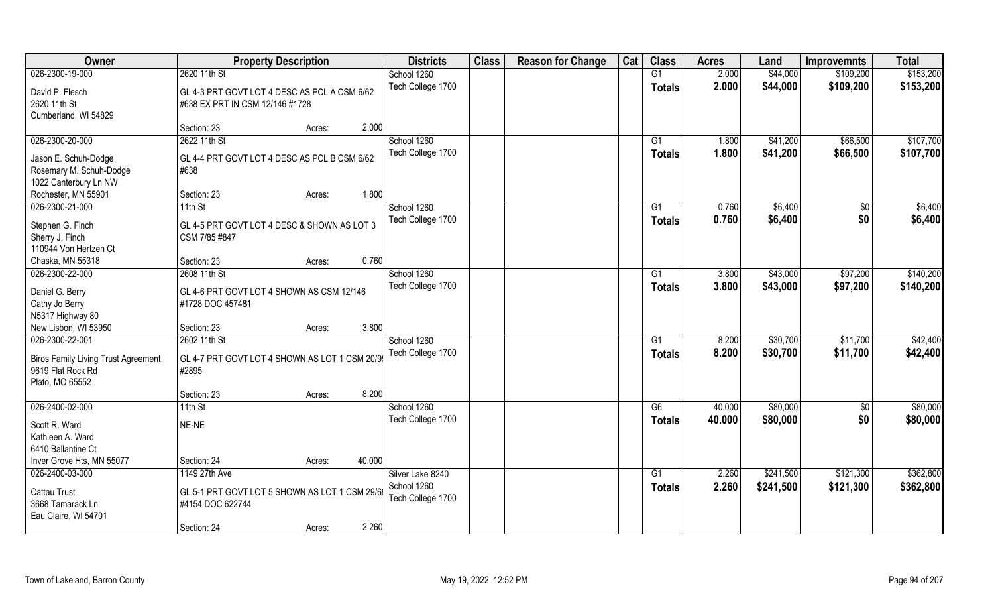| Owner                                      | <b>Property Description</b>                    |        | <b>Districts</b>  | <b>Class</b> | <b>Reason for Change</b> | Cat | <b>Class</b>    | <b>Acres</b> | Land      | <b>Improvemnts</b> | <b>Total</b> |
|--------------------------------------------|------------------------------------------------|--------|-------------------|--------------|--------------------------|-----|-----------------|--------------|-----------|--------------------|--------------|
| 026-2300-19-000                            | 2620 11th St                                   |        | School 1260       |              |                          |     | G1              | 2.000        | \$44,000  | \$109,200          | \$153,200    |
| David P. Flesch                            | GL 4-3 PRT GOVT LOT 4 DESC AS PCL A CSM 6/62   |        | Tech College 1700 |              |                          |     | <b>Totals</b>   | 2.000        | \$44,000  | \$109,200          | \$153,200    |
| 2620 11th St                               | #638 EX PRT IN CSM 12/146 #1728                |        |                   |              |                          |     |                 |              |           |                    |              |
| Cumberland, WI 54829                       |                                                |        |                   |              |                          |     |                 |              |           |                    |              |
|                                            | Section: 23<br>Acres:                          | 2.000  |                   |              |                          |     |                 |              |           |                    |              |
| 026-2300-20-000                            | 2622 11th St                                   |        | School 1260       |              |                          |     | $\overline{G1}$ | 1.800        | \$41,200  | \$66,500           | \$107,700    |
| Jason E. Schuh-Dodge                       | GL 4-4 PRT GOVT LOT 4 DESC AS PCL B CSM 6/62   |        | Tech College 1700 |              |                          |     | <b>Totals</b>   | 1.800        | \$41,200  | \$66,500           | \$107,700    |
| Rosemary M. Schuh-Dodge                    | #638                                           |        |                   |              |                          |     |                 |              |           |                    |              |
| 1022 Canterbury Ln NW                      |                                                |        |                   |              |                          |     |                 |              |           |                    |              |
| Rochester, MN 55901                        | Section: 23<br>Acres:                          | 1.800  |                   |              |                          |     |                 |              |           |                    |              |
| 026-2300-21-000                            | 11th St                                        |        | School 1260       |              |                          |     | G1              | 0.760        | \$6,400   | \$0                | \$6,400      |
| Stephen G. Finch                           | GL 4-5 PRT GOVT LOT 4 DESC & SHOWN AS LOT 3    |        | Tech College 1700 |              |                          |     | <b>Totals</b>   | 0.760        | \$6,400   | \$0                | \$6,400      |
| Sherry J. Finch                            | CSM 7/85 #847                                  |        |                   |              |                          |     |                 |              |           |                    |              |
| 110944 Von Hertzen Ct                      |                                                |        |                   |              |                          |     |                 |              |           |                    |              |
| Chaska, MN 55318                           | Section: 23<br>Acres:                          | 0.760  |                   |              |                          |     |                 |              |           |                    |              |
| 026-2300-22-000                            | 2608 11th St                                   |        | School 1260       |              |                          |     | G1              | 3.800        | \$43,000  | \$97,200           | \$140,200    |
|                                            |                                                |        | Tech College 1700 |              |                          |     | <b>Totals</b>   | 3.800        | \$43,000  | \$97,200           | \$140,200    |
| Daniel G. Berry                            | GL 4-6 PRT GOVT LOT 4 SHOWN AS CSM 12/146      |        |                   |              |                          |     |                 |              |           |                    |              |
| Cathy Jo Berry                             | #1728 DOC 457481                               |        |                   |              |                          |     |                 |              |           |                    |              |
| N5317 Highway 80<br>New Lisbon, WI 53950   | Section: 23                                    | 3.800  |                   |              |                          |     |                 |              |           |                    |              |
| 026-2300-22-001                            | Acres:<br>2602 11th St                         |        | School 1260       |              |                          |     | G <sub>1</sub>  | 8.200        | \$30,700  | \$11,700           | \$42,400     |
|                                            |                                                |        | Tech College 1700 |              |                          |     |                 | 8.200        | \$30,700  | \$11,700           | \$42,400     |
| <b>Biros Family Living Trust Agreement</b> | GL 4-7 PRT GOVT LOT 4 SHOWN AS LOT 1 CSM 20/9  |        |                   |              |                          |     | Totals          |              |           |                    |              |
| 9619 Flat Rock Rd                          | #2895                                          |        |                   |              |                          |     |                 |              |           |                    |              |
| Plato, MO 65552                            |                                                |        |                   |              |                          |     |                 |              |           |                    |              |
|                                            | Section: 23<br>Acres:                          | 8.200  |                   |              |                          |     |                 |              |           |                    |              |
| 026-2400-02-000                            | $11th$ St                                      |        | School 1260       |              |                          |     | G6              | 40.000       | \$80,000  | $\sqrt{6}$         | \$80,000     |
| Scott R. Ward                              | NE-NE                                          |        | Tech College 1700 |              |                          |     | <b>Totals</b>   | 40.000       | \$80,000  | \$0                | \$80,000     |
| Kathleen A. Ward                           |                                                |        |                   |              |                          |     |                 |              |           |                    |              |
| 6410 Ballantine Ct                         |                                                |        |                   |              |                          |     |                 |              |           |                    |              |
| Inver Grove Hts, MN 55077                  | Section: 24<br>Acres:                          | 40.000 |                   |              |                          |     |                 |              |           |                    |              |
| 026-2400-03-000                            | 1149 27th Ave                                  |        | Silver Lake 8240  |              |                          |     | G1              | 2.260        | \$241,500 | \$121,300          | \$362,800    |
| <b>Cattau Trust</b>                        | GL 5-1 PRT GOVT LOT 5 SHOWN AS LOT 1 CSM 29/6! |        | School 1260       |              |                          |     | <b>Totals</b>   | 2.260        | \$241,500 | \$121,300          | \$362,800    |
| 3668 Tamarack Ln                           | #4154 DOC 622744                               |        | Tech College 1700 |              |                          |     |                 |              |           |                    |              |
| Eau Claire, WI 54701                       |                                                |        |                   |              |                          |     |                 |              |           |                    |              |
|                                            | Section: 24<br>Acres:                          | 2.260  |                   |              |                          |     |                 |              |           |                    |              |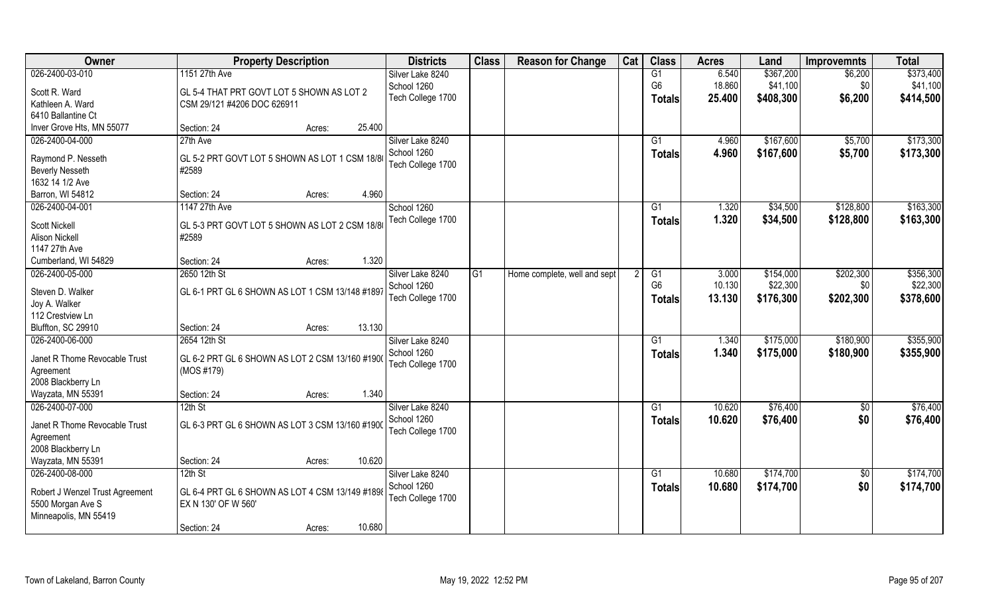| Owner                           | <b>Property Description</b>                             | <b>Districts</b>  | <b>Class</b> | <b>Reason for Change</b>     | Cat | <b>Class</b>   | <b>Acres</b> | Land      | <b>Improvemnts</b> | <b>Total</b> |
|---------------------------------|---------------------------------------------------------|-------------------|--------------|------------------------------|-----|----------------|--------------|-----------|--------------------|--------------|
| 026-2400-03-010                 | 1151 27th Ave                                           | Silver Lake 8240  |              |                              |     | G1             | 6.540        | \$367,200 | \$6,200            | \$373,400    |
| Scott R. Ward                   | GL 5-4 THAT PRT GOVT LOT 5 SHOWN AS LOT 2               | School 1260       |              |                              |     | G <sub>6</sub> | 18.860       | \$41,100  | \$0                | \$41,100     |
| Kathleen A. Ward                | CSM 29/121 #4206 DOC 626911                             | Tech College 1700 |              |                              |     | <b>Totals</b>  | 25.400       | \$408,300 | \$6,200            | \$414,500    |
| 6410 Ballantine Ct              |                                                         |                   |              |                              |     |                |              |           |                    |              |
| Inver Grove Hts, MN 55077       | Section: 24<br>25.400<br>Acres:                         |                   |              |                              |     |                |              |           |                    |              |
| 026-2400-04-000                 | 27th Ave                                                | Silver Lake 8240  |              |                              |     | G <sub>1</sub> | 4.960        | \$167,600 | \$5,700            | \$173,300    |
|                                 |                                                         | School 1260       |              |                              |     | Totals         | 4.960        | \$167,600 | \$5,700            | \$173,300    |
| Raymond P. Nesseth              | GL 5-2 PRT GOVT LOT 5 SHOWN AS LOT 1 CSM 18/8           | Tech College 1700 |              |                              |     |                |              |           |                    |              |
| <b>Beverly Nesseth</b>          | #2589                                                   |                   |              |                              |     |                |              |           |                    |              |
| 1632 14 1/2 Ave                 |                                                         |                   |              |                              |     |                |              |           |                    |              |
| Barron, WI 54812                | 4.960<br>Section: 24<br>Acres:                          |                   |              |                              |     |                |              |           |                    |              |
| 026-2400-04-001                 | 1147 27th Ave                                           | School 1260       |              |                              |     | G1             | 1.320        | \$34,500  | \$128,800          | \$163,300    |
| <b>Scott Nickell</b>            | GL 5-3 PRT GOVT LOT 5 SHOWN AS LOT 2 CSM 18/8           | Tech College 1700 |              |                              |     | <b>Totals</b>  | 1.320        | \$34,500  | \$128,800          | \$163,300    |
| <b>Alison Nickell</b>           | #2589                                                   |                   |              |                              |     |                |              |           |                    |              |
| 1147 27th Ave                   |                                                         |                   |              |                              |     |                |              |           |                    |              |
| Cumberland, WI 54829            | 1.320<br>Section: 24<br>Acres:                          |                   |              |                              |     |                |              |           |                    |              |
| 026-2400-05-000                 | 2650 12th St                                            | Silver Lake 8240  | G1           | Home complete, well and sept | 2   | G1             | 3.000        | \$154,000 | \$202,300          | \$356,300    |
| Steven D. Walker                | GL 6-1 PRT GL 6 SHOWN AS LOT 1 CSM 13/148 #1897         | School 1260       |              |                              |     | G <sub>6</sub> | 10.130       | \$22,300  | \$0                | \$22,300     |
| Joy A. Walker                   |                                                         | Tech College 1700 |              |                              |     | <b>Totals</b>  | 13.130       | \$176,300 | \$202,300          | \$378,600    |
| 112 Crestview Ln                |                                                         |                   |              |                              |     |                |              |           |                    |              |
| Bluffton, SC 29910              | 13.130<br>Section: 24<br>Acres:                         |                   |              |                              |     |                |              |           |                    |              |
| 026-2400-06-000                 | 2654 12th St                                            | Silver Lake 8240  |              |                              |     | G1             | 1.340        | \$175,000 | \$180,900          | \$355,900    |
|                                 |                                                         | School 1260       |              |                              |     | <b>Totals</b>  | 1.340        | \$175,000 | \$180,900          | \$355,900    |
| Janet R Thome Revocable Trust   | GL 6-2 PRT GL 6 SHOWN AS LOT 2 CSM 13/160 #1900         | Tech College 1700 |              |                              |     |                |              |           |                    |              |
| Agreement                       | (MOS #179)                                              |                   |              |                              |     |                |              |           |                    |              |
| 2008 Blackberry Ln              |                                                         |                   |              |                              |     |                |              |           |                    |              |
| Wayzata, MN 55391               | 1.340<br>Section: 24<br>Acres:                          |                   |              |                              |     |                |              |           |                    |              |
| 026-2400-07-000                 | $12th$ St                                               | Silver Lake 8240  |              |                              |     | G1             | 10.620       | \$76,400  | \$0                | \$76,400     |
| Janet R Thome Revocable Trust   | $\vert$ GL 6-3 PRT GL 6 SHOWN AS LOT 3 CSM 13/160 #1900 | School 1260       |              |                              |     | <b>Totals</b>  | 10.620       | \$76,400  | \$0                | \$76,400     |
| Agreement                       |                                                         | Tech College 1700 |              |                              |     |                |              |           |                    |              |
| 2008 Blackberry Ln              |                                                         |                   |              |                              |     |                |              |           |                    |              |
| Wayzata, MN 55391               | 10.620<br>Section: 24<br>Acres:                         |                   |              |                              |     |                |              |           |                    |              |
| 026-2400-08-000                 | $12th$ St                                               | Silver Lake 8240  |              |                              |     | G <sub>1</sub> | 10.680       | \$174,700 | \$0                | \$174,700    |
|                                 |                                                         | School 1260       |              |                              |     | <b>Totals</b>  | 10.680       | \$174,700 | \$0                | \$174,700    |
| Robert J Wenzel Trust Agreement | GL 6-4 PRT GL 6 SHOWN AS LOT 4 CSM 13/149 #1898         | Tech College 1700 |              |                              |     |                |              |           |                    |              |
| 5500 Morgan Ave S               | EX N 130' OF W 560'                                     |                   |              |                              |     |                |              |           |                    |              |
| Minneapolis, MN 55419           | 10.680<br>Section: 24                                   |                   |              |                              |     |                |              |           |                    |              |
|                                 | Acres:                                                  |                   |              |                              |     |                |              |           |                    |              |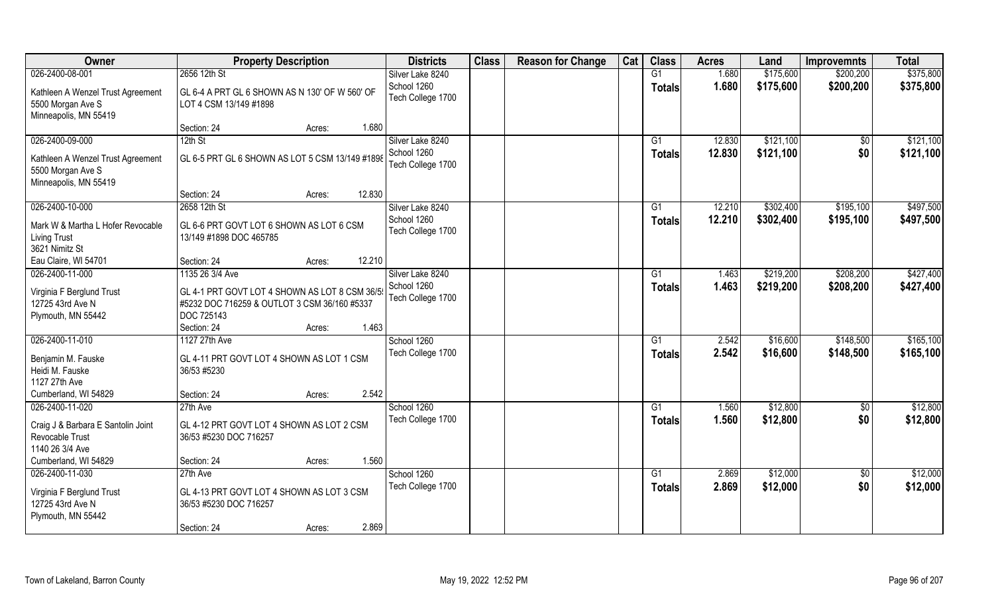| Owner                              | <b>Property Description</b>                     | <b>Districts</b>  | <b>Class</b> | <b>Reason for Change</b> | Cat | <b>Class</b>   | <b>Acres</b> | Land      | <b>Improvemnts</b> | <b>Total</b> |
|------------------------------------|-------------------------------------------------|-------------------|--------------|--------------------------|-----|----------------|--------------|-----------|--------------------|--------------|
| 026-2400-08-001                    | 2656 12th St                                    | Silver Lake 8240  |              |                          |     | G1             | 1.680        | \$175,600 | \$200,200          | \$375,800    |
| Kathleen A Wenzel Trust Agreement  | GL 6-4 A PRT GL 6 SHOWN AS N 130' OF W 560' OF  | School 1260       |              |                          |     | <b>Totals</b>  | 1.680        | \$175,600 | \$200,200          | \$375,800    |
| 5500 Morgan Ave S                  | LOT 4 CSM 13/149 #1898                          | Tech College 1700 |              |                          |     |                |              |           |                    |              |
| Minneapolis, MN 55419              |                                                 |                   |              |                          |     |                |              |           |                    |              |
|                                    | 1.680<br>Section: 24<br>Acres:                  |                   |              |                          |     |                |              |           |                    |              |
| 026-2400-09-000                    | $12th$ St                                       | Silver Lake 8240  |              |                          |     | G1             | 12.830       | \$121,100 | $\overline{50}$    | \$121,100    |
| Kathleen A Wenzel Trust Agreement  | GL 6-5 PRT GL 6 SHOWN AS LOT 5 CSM 13/149 #1898 | School 1260       |              |                          |     | Totals         | 12.830       | \$121,100 | \$0                | \$121,100    |
| 5500 Morgan Ave S                  |                                                 | Tech College 1700 |              |                          |     |                |              |           |                    |              |
| Minneapolis, MN 55419              |                                                 |                   |              |                          |     |                |              |           |                    |              |
|                                    | 12.830<br>Section: 24<br>Acres:                 |                   |              |                          |     |                |              |           |                    |              |
| 026-2400-10-000                    | 2658 12th St                                    | Silver Lake 8240  |              |                          |     | G1             | 12.210       | \$302,400 | \$195,100          | \$497,500    |
| Mark W & Martha L Hofer Revocable  | GL 6-6 PRT GOVT LOT 6 SHOWN AS LOT 6 CSM        | School 1260       |              |                          |     | <b>Totals</b>  | 12.210       | \$302,400 | \$195,100          | \$497,500    |
| <b>Living Trust</b>                | 13/149 #1898 DOC 465785                         | Tech College 1700 |              |                          |     |                |              |           |                    |              |
| 3621 Nimitz St                     |                                                 |                   |              |                          |     |                |              |           |                    |              |
| Eau Claire, WI 54701               | 12.210<br>Section: 24<br>Acres:                 |                   |              |                          |     |                |              |           |                    |              |
| 026-2400-11-000                    | 1135 26 3/4 Ave                                 | Silver Lake 8240  |              |                          |     | G1             | 1.463        | \$219,200 | \$208,200          | \$427,400    |
| Virginia F Berglund Trust          | GL 4-1 PRT GOVT LOT 4 SHOWN AS LOT 8 CSM 36/5!  | School 1260       |              |                          |     | <b>Totals</b>  | 1.463        | \$219,200 | \$208,200          | \$427,400    |
| 12725 43rd Ave N                   | #5232 DOC 716259 & OUTLOT 3 CSM 36/160 #5337    | Tech College 1700 |              |                          |     |                |              |           |                    |              |
| Plymouth, MN 55442                 | DOC 725143                                      |                   |              |                          |     |                |              |           |                    |              |
|                                    | 1.463<br>Section: 24<br>Acres:                  |                   |              |                          |     |                |              |           |                    |              |
| 026-2400-11-010                    | 1127 27th Ave                                   | School 1260       |              |                          |     | G1             | 2.542        | \$16,600  | \$148,500          | \$165,100    |
| Benjamin M. Fauske                 | GL 4-11 PRT GOVT LOT 4 SHOWN AS LOT 1 CSM       | Tech College 1700 |              |                          |     | <b>Totals</b>  | 2.542        | \$16,600  | \$148,500          | \$165,100    |
| Heidi M. Fauske                    | 36/53 #5230                                     |                   |              |                          |     |                |              |           |                    |              |
| 1127 27th Ave                      |                                                 |                   |              |                          |     |                |              |           |                    |              |
| Cumberland, WI 54829               | 2.542<br>Section: 24<br>Acres:                  |                   |              |                          |     |                |              |           |                    |              |
| 026-2400-11-020                    | 27th Ave                                        | School 1260       |              |                          |     | G1             | 1.560        | \$12,800  | \$0                | \$12,800     |
| Craig J & Barbara E Santolin Joint | GL 4-12 PRT GOVT LOT 4 SHOWN AS LOT 2 CSM       | Tech College 1700 |              |                          |     | <b>Totals</b>  | 1.560        | \$12,800  | \$0                | \$12,800     |
| Revocable Trust                    | 36/53 #5230 DOC 716257                          |                   |              |                          |     |                |              |           |                    |              |
| 1140 26 3/4 Ave                    |                                                 |                   |              |                          |     |                |              |           |                    |              |
| Cumberland, WI 54829               | 1.560<br>Section: 24<br>Acres:                  |                   |              |                          |     |                |              |           |                    |              |
| 026-2400-11-030                    | 27th Ave                                        | School 1260       |              |                          |     | G <sub>1</sub> | 2.869        | \$12,000  | $\sqrt{$0}$        | \$12,000     |
| Virginia F Berglund Trust          | GL 4-13 PRT GOVT LOT 4 SHOWN AS LOT 3 CSM       | Tech College 1700 |              |                          |     | <b>Totals</b>  | 2.869        | \$12,000  | \$0                | \$12,000     |
| 12725 43rd Ave N                   | 36/53 #5230 DOC 716257                          |                   |              |                          |     |                |              |           |                    |              |
| Plymouth, MN 55442                 |                                                 |                   |              |                          |     |                |              |           |                    |              |
|                                    | 2.869<br>Section: 24<br>Acres:                  |                   |              |                          |     |                |              |           |                    |              |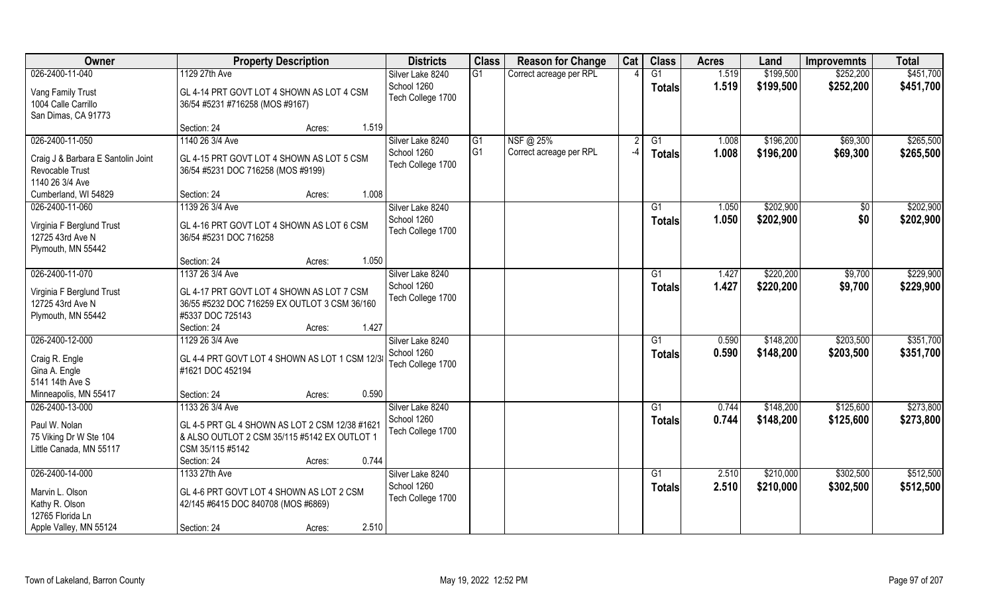| <b>Owner</b>                                                             | <b>Property Description</b>                                                                                                                          | <b>Districts</b>                 | <b>Class</b>   | <b>Reason for Change</b> | Cat  | <b>Class</b>    | <b>Acres</b> | Land      | <b>Improvemnts</b> | <b>Total</b> |
|--------------------------------------------------------------------------|------------------------------------------------------------------------------------------------------------------------------------------------------|----------------------------------|----------------|--------------------------|------|-----------------|--------------|-----------|--------------------|--------------|
| 026-2400-11-040                                                          | 1129 27th Ave                                                                                                                                        | Silver Lake 8240                 | G1             | Correct acreage per RPL  |      | G1              | 1.519        | \$199,500 | \$252,200          | \$451,700    |
| Vang Family Trust<br>1004 Calle Carrillo<br>San Dimas, CA 91773          | GL 4-14 PRT GOVT LOT 4 SHOWN AS LOT 4 CSM<br>36/54 #5231 #716258 (MOS #9167)                                                                         | School 1260<br>Tech College 1700 |                |                          |      | <b>Totals</b>   | 1.519        | \$199,500 | \$252,200          | \$451,700    |
|                                                                          | Section: 24<br>1.519<br>Acres:                                                                                                                       |                                  |                |                          |      |                 |              |           |                    |              |
| 026-2400-11-050                                                          | 1140 26 3/4 Ave                                                                                                                                      | Silver Lake 8240                 | G1             | NSF@ 25%                 |      | G1              | 1.008        | \$196,200 | \$69,300           | \$265,500    |
| Craig J & Barbara E Santolin Joint<br>Revocable Trust<br>1140 26 3/4 Ave | GL 4-15 PRT GOVT LOT 4 SHOWN AS LOT 5 CSM<br>36/54 #5231 DOC 716258 (MOS #9199)                                                                      | School 1260<br>Tech College 1700 | G <sub>1</sub> | Correct acreage per RPL  | $-4$ | <b>Totals</b>   | 1.008        | \$196,200 | \$69,300           | \$265,500    |
| Cumberland, WI 54829                                                     | Section: 24<br>1.008<br>Acres:                                                                                                                       |                                  |                |                          |      |                 |              |           |                    |              |
| 026-2400-11-060                                                          | 1139 26 3/4 Ave                                                                                                                                      | Silver Lake 8240                 |                |                          |      | G1              | 1.050        | \$202,900 | \$0                | \$202,900    |
| Virginia F Berglund Trust<br>12725 43rd Ave N<br>Plymouth, MN 55442      | GL 4-16 PRT GOVT LOT 4 SHOWN AS LOT 6 CSM<br>36/54 #5231 DOC 716258                                                                                  | School 1260<br>Tech College 1700 |                |                          |      | <b>Totals</b>   | 1.050        | \$202,900 | \$0                | \$202,900    |
|                                                                          | 1.050<br>Section: 24<br>Acres:                                                                                                                       |                                  |                |                          |      |                 |              |           |                    |              |
| 026-2400-11-070                                                          | 1137 26 3/4 Ave                                                                                                                                      | Silver Lake 8240                 |                |                          |      | G1              | 1.427        | \$220,200 | \$9,700            | \$229,900    |
| Virginia F Berglund Trust<br>12725 43rd Ave N<br>Plymouth, MN 55442      | GL 4-17 PRT GOVT LOT 4 SHOWN AS LOT 7 CSM<br>36/55 #5232 DOC 716259 EX OUTLOT 3 CSM 36/160<br>#5337 DOC 725143                                       | School 1260<br>Tech College 1700 |                |                          |      | <b>Totals</b>   | 1.427        | \$220,200 | \$9,700            | \$229,900    |
|                                                                          | 1.427<br>Section: 24<br>Acres:                                                                                                                       |                                  |                |                          |      |                 |              |           |                    |              |
| 026-2400-12-000                                                          | 1129 26 3/4 Ave                                                                                                                                      | Silver Lake 8240                 |                |                          |      | $\overline{G1}$ | 0.590        | \$148,200 | \$203,500          | \$351,700    |
| Craig R. Engle<br>Gina A. Engle<br>5141 14th Ave S                       | GL 4-4 PRT GOVT LOT 4 SHOWN AS LOT 1 CSM 12/3<br>#1621 DOC 452194                                                                                    | School 1260<br>Tech College 1700 |                |                          |      | <b>Totals</b>   | 0.590        | \$148,200 | \$203,500          | \$351,700    |
| Minneapolis, MN 55417                                                    | 0.590<br>Section: 24<br>Acres:                                                                                                                       |                                  |                |                          |      |                 |              |           |                    |              |
| 026-2400-13-000                                                          | 1133 26 3/4 Ave                                                                                                                                      | Silver Lake 8240                 |                |                          |      | G1              | 0.744        | \$148,200 | \$125,600          | \$273,800    |
| Paul W. Nolan<br>75 Viking Dr W Ste 104<br>Little Canada, MN 55117       | GL 4-5 PRT GL 4 SHOWN AS LOT 2 CSM 12/38 #1621<br>& ALSO OUTLOT 2 CSM 35/115 #5142 EX OUTLOT 1<br>CSM 35/115 #5142<br>0.744<br>Section: 24<br>Acres: | School 1260<br>Tech College 1700 |                |                          |      | <b>Totals</b>   | 0.744        | \$148,200 | \$125,600          | \$273,800    |
| 026-2400-14-000                                                          | 1133 27th Ave                                                                                                                                        | Silver Lake 8240                 |                |                          |      | $\overline{G1}$ | 2.510        | \$210,000 | \$302,500          | \$512,500    |
| Marvin L. Olson<br>Kathy R. Olson<br>12765 Florida Ln                    | GL 4-6 PRT GOVT LOT 4 SHOWN AS LOT 2 CSM<br>42/145 #6415 DOC 840708 (MOS #6869)                                                                      | School 1260<br>Tech College 1700 |                |                          |      | <b>Totals</b>   | 2.510        | \$210,000 | \$302,500          | \$512,500    |
| Apple Valley, MN 55124                                                   | 2.510<br>Section: 24<br>Acres:                                                                                                                       |                                  |                |                          |      |                 |              |           |                    |              |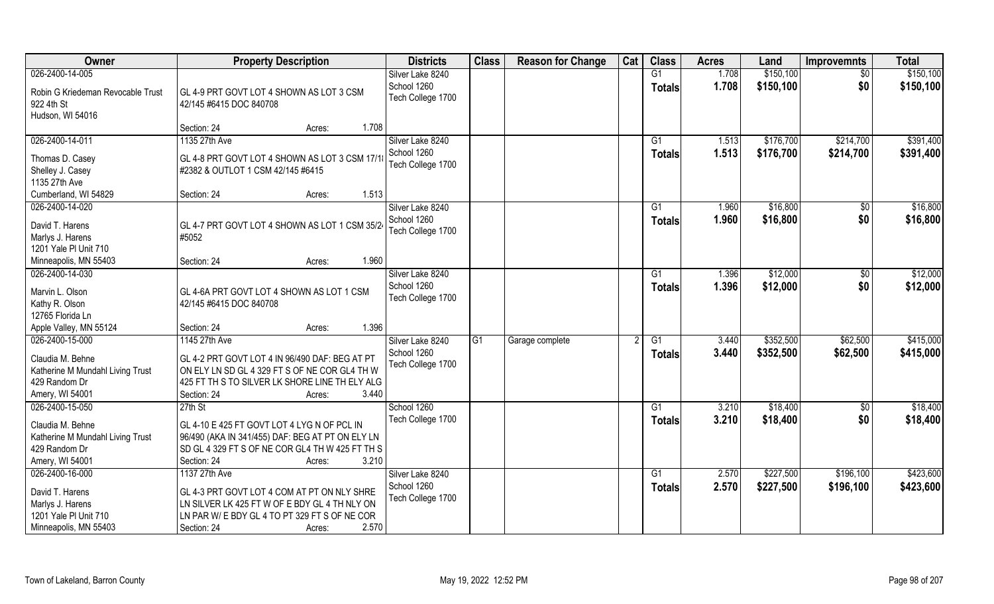| <b>Owner</b>                              | <b>Property Description</b>                                                                    | <b>Districts</b>  | <b>Class</b> | <b>Reason for Change</b> | Cat | <b>Class</b>   | <b>Acres</b> | Land      | <b>Improvemnts</b> | <b>Total</b> |
|-------------------------------------------|------------------------------------------------------------------------------------------------|-------------------|--------------|--------------------------|-----|----------------|--------------|-----------|--------------------|--------------|
| 026-2400-14-005                           |                                                                                                | Silver Lake 8240  |              |                          |     | G1             | 1.708        | \$150,100 | $\overline{30}$    | \$150, 100   |
| Robin G Kriedeman Revocable Trust         | GL 4-9 PRT GOVT LOT 4 SHOWN AS LOT 3 CSM                                                       | School 1260       |              |                          |     | <b>Totals</b>  | 1.708        | \$150,100 | \$0                | \$150,100    |
| 922 4th St                                | 42/145 #6415 DOC 840708                                                                        | Tech College 1700 |              |                          |     |                |              |           |                    |              |
| Hudson, WI 54016                          |                                                                                                |                   |              |                          |     |                |              |           |                    |              |
|                                           | 1.708<br>Section: 24<br>Acres:                                                                 |                   |              |                          |     |                |              |           |                    |              |
| 026-2400-14-011                           | 1135 27th Ave                                                                                  | Silver Lake 8240  |              |                          |     | G <sub>1</sub> | 1.513        | \$176,700 | \$214,700          | \$391,400    |
| Thomas D. Casey                           | GL 4-8 PRT GOVT LOT 4 SHOWN AS LOT 3 CSM 17/1                                                  | School 1260       |              |                          |     | <b>Totals</b>  | 1.513        | \$176,700 | \$214,700          | \$391,400    |
| Shelley J. Casey                          | #2382 & OUTLOT 1 CSM 42/145 #6415                                                              | Tech College 1700 |              |                          |     |                |              |           |                    |              |
| 1135 27th Ave                             |                                                                                                |                   |              |                          |     |                |              |           |                    |              |
| Cumberland, WI 54829                      | 1.513<br>Section: 24<br>Acres:                                                                 |                   |              |                          |     |                |              |           |                    |              |
| 026-2400-14-020                           |                                                                                                | Silver Lake 8240  |              |                          |     | G1             | 1.960        | \$16,800  | $\sqrt[6]{30}$     | \$16,800     |
| David T. Harens                           | GL 4-7 PRT GOVT LOT 4 SHOWN AS LOT 1 CSM 35/24                                                 | School 1260       |              |                          |     | <b>Totals</b>  | 1.960        | \$16,800  | \$0                | \$16,800     |
| Marlys J. Harens                          | #5052                                                                                          | Tech College 1700 |              |                          |     |                |              |           |                    |              |
| 1201 Yale PI Unit 710                     |                                                                                                |                   |              |                          |     |                |              |           |                    |              |
| Minneapolis, MN 55403                     | 1.960<br>Section: 24<br>Acres:                                                                 |                   |              |                          |     |                |              |           |                    |              |
| 026-2400-14-030                           |                                                                                                | Silver Lake 8240  |              |                          |     | G1             | 1.396        | \$12,000  | \$0                | \$12,000     |
| Marvin L. Olson                           | GL 4-6A PRT GOVT LOT 4 SHOWN AS LOT 1 CSM                                                      | School 1260       |              |                          |     | <b>Totals</b>  | 1.396        | \$12,000  | \$0                | \$12,000     |
| Kathy R. Olson                            | 42/145 #6415 DOC 840708                                                                        | Tech College 1700 |              |                          |     |                |              |           |                    |              |
| 12765 Florida Ln                          |                                                                                                |                   |              |                          |     |                |              |           |                    |              |
| Apple Valley, MN 55124                    | 1.396<br>Section: 24<br>Acres:                                                                 |                   |              |                          |     |                |              |           |                    |              |
| 026-2400-15-000                           | 1145 27th Ave                                                                                  | Silver Lake 8240  | G1           | Garage complete          |     | G1             | 3.440        | \$352,500 | \$62,500           | \$415,000    |
| Claudia M. Behne                          | GL 4-2 PRT GOVT LOT 4 IN 96/490 DAF: BEG AT PT                                                 | School 1260       |              |                          |     | <b>Totals</b>  | 3.440        | \$352,500 | \$62,500           | \$415,000    |
| Katherine M Mundahl Living Trust          | ON ELY LN SD GL 4 329 FT S OF NE COR GL4 TH W                                                  | Tech College 1700 |              |                          |     |                |              |           |                    |              |
| 429 Random Dr                             | 425 FT TH S TO SILVER LK SHORE LINE TH ELY ALG                                                 |                   |              |                          |     |                |              |           |                    |              |
| Amery, WI 54001                           | 3.440<br>Section: 24<br>Acres:                                                                 |                   |              |                          |     |                |              |           |                    |              |
| 026-2400-15-050                           | $27th$ St                                                                                      | School 1260       |              |                          |     | G1             | 3.210        | \$18,400  | \$0                | \$18,400     |
| Claudia M. Behne                          | GL 4-10 E 425 FT GOVT LOT 4 LYG N OF PCL IN                                                    | Tech College 1700 |              |                          |     | <b>Totals</b>  | 3.210        | \$18,400  | \$0                | \$18,400     |
| Katherine M Mundahl Living Trust          | 96/490 (AKA IN 341/455) DAF: BEG AT PT ON ELY LN                                               |                   |              |                          |     |                |              |           |                    |              |
| 429 Random Dr                             | SD GL 4 329 FT S OF NE COR GL4 TH W 425 FT TH S                                                |                   |              |                          |     |                |              |           |                    |              |
| Amery, WI 54001                           | Section: 24<br>3.210<br>Acres:                                                                 |                   |              |                          |     |                |              |           |                    |              |
| 026-2400-16-000                           | 1137 27th Ave                                                                                  | Silver Lake 8240  |              |                          |     | G1             | 2.570        | \$227,500 | \$196,100          | \$423,600    |
|                                           |                                                                                                | School 1260       |              |                          |     | <b>Totals</b>  | 2.570        | \$227,500 | \$196,100          | \$423,600    |
| David T. Harens                           | GL 4-3 PRT GOVT LOT 4 COM AT PT ON NLY SHRE                                                    | Tech College 1700 |              |                          |     |                |              |           |                    |              |
| Marlys J. Harens<br>1201 Yale PI Unit 710 | LN SILVER LK 425 FT W OF E BDY GL 4 TH NLY ON<br>LN PAR W/ E BDY GL 4 TO PT 329 FT S OF NE COR |                   |              |                          |     |                |              |           |                    |              |
| Minneapolis, MN 55403                     | 2.570<br>Section: 24<br>Acres:                                                                 |                   |              |                          |     |                |              |           |                    |              |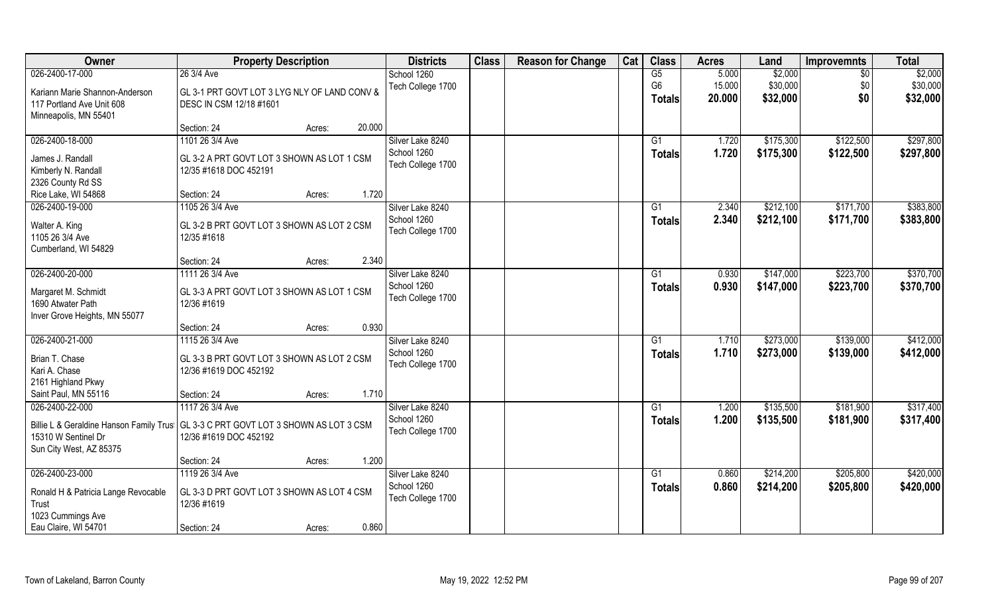| Owner                                   | <b>Property Description</b>                  | <b>Districts</b>  | <b>Class</b> | <b>Reason for Change</b> | Cat | <b>Class</b>    | <b>Acres</b> | Land      | <b>Improvemnts</b> | <b>Total</b> |
|-----------------------------------------|----------------------------------------------|-------------------|--------------|--------------------------|-----|-----------------|--------------|-----------|--------------------|--------------|
| 026-2400-17-000                         | 26 3/4 Ave                                   | School 1260       |              |                          |     | G5              | 5.000        | \$2,000   | $\sqrt{6}$         | \$2,000      |
| Kariann Marie Shannon-Anderson          | GL 3-1 PRT GOVT LOT 3 LYG NLY OF LAND CONV & | Tech College 1700 |              |                          |     | G <sub>6</sub>  | 15.000       | \$30,000  | \$0                | \$30,000     |
| 117 Portland Ave Unit 608               | DESC IN CSM 12/18 #1601                      |                   |              |                          |     | Totals          | 20.000       | \$32,000  | \$0                | \$32,000     |
| Minneapolis, MN 55401                   |                                              |                   |              |                          |     |                 |              |           |                    |              |
|                                         | 20.000<br>Section: 24<br>Acres:              |                   |              |                          |     |                 |              |           |                    |              |
| 026-2400-18-000                         | 1101 26 3/4 Ave                              | Silver Lake 8240  |              |                          |     | $\overline{G1}$ | 1.720        | \$175,300 | \$122,500          | \$297,800    |
| James J. Randall                        | GL 3-2 A PRT GOVT LOT 3 SHOWN AS LOT 1 CSM   | School 1260       |              |                          |     | Totals          | 1.720        | \$175,300 | \$122,500          | \$297,800    |
| Kimberly N. Randall                     | 12/35 #1618 DOC 452191                       | Tech College 1700 |              |                          |     |                 |              |           |                    |              |
| 2326 County Rd SS                       |                                              |                   |              |                          |     |                 |              |           |                    |              |
| Rice Lake, WI 54868                     | Section: 24<br>1.720<br>Acres:               |                   |              |                          |     |                 |              |           |                    |              |
| 026-2400-19-000                         | 1105 26 3/4 Ave                              | Silver Lake 8240  |              |                          |     | G1              | 2.340        | \$212,100 | \$171,700          | \$383,800    |
|                                         |                                              | School 1260       |              |                          |     | <b>Totals</b>   | 2.340        | \$212,100 | \$171,700          | \$383,800    |
| Walter A. King                          | GL 3-2 B PRT GOVT LOT 3 SHOWN AS LOT 2 CSM   | Tech College 1700 |              |                          |     |                 |              |           |                    |              |
| 1105 26 3/4 Ave                         | 12/35 #1618                                  |                   |              |                          |     |                 |              |           |                    |              |
| Cumberland, WI 54829                    |                                              |                   |              |                          |     |                 |              |           |                    |              |
|                                         | 2.340<br>Section: 24<br>Acres:               |                   |              |                          |     |                 |              |           |                    |              |
| 026-2400-20-000                         | 1111 26 3/4 Ave                              | Silver Lake 8240  |              |                          |     | G1              | 0.930        | \$147,000 | \$223,700          | \$370,700    |
| Margaret M. Schmidt                     | GL 3-3 A PRT GOVT LOT 3 SHOWN AS LOT 1 CSM   | School 1260       |              |                          |     | <b>Totals</b>   | 0.930        | \$147,000 | \$223,700          | \$370,700    |
| 1690 Atwater Path                       | 12/36 #1619                                  | Tech College 1700 |              |                          |     |                 |              |           |                    |              |
| Inver Grove Heights, MN 55077           |                                              |                   |              |                          |     |                 |              |           |                    |              |
|                                         | 0.930<br>Section: 24<br>Acres:               |                   |              |                          |     |                 |              |           |                    |              |
| 026-2400-21-000                         | 1115 26 3/4 Ave                              | Silver Lake 8240  |              |                          |     | G1              | 1.710        | \$273,000 | \$139,000          | \$412,000    |
| Brian T. Chase                          | GL 3-3 B PRT GOVT LOT 3 SHOWN AS LOT 2 CSM   | School 1260       |              |                          |     | <b>Totals</b>   | 1.710        | \$273,000 | \$139,000          | \$412,000    |
| Kari A. Chase                           | 12/36 #1619 DOC 452192                       | Tech College 1700 |              |                          |     |                 |              |           |                    |              |
| 2161 Highland Pkwy                      |                                              |                   |              |                          |     |                 |              |           |                    |              |
| Saint Paul, MN 55116                    | 1.710<br>Section: 24<br>Acres:               |                   |              |                          |     |                 |              |           |                    |              |
| 026-2400-22-000                         | 1117 26 3/4 Ave                              | Silver Lake 8240  |              |                          |     | G1              | 1.200        | \$135,500 | \$181,900          | \$317,400    |
|                                         |                                              | School 1260       |              |                          |     | <b>Totals</b>   | 1.200        | \$135,500 | \$181,900          | \$317,400    |
| Billie L & Geraldine Hanson Family Trus | GL 3-3 C PRT GOVT LOT 3 SHOWN AS LOT 3 CSM   | Tech College 1700 |              |                          |     |                 |              |           |                    |              |
| 15310 W Sentinel Dr                     | 12/36 #1619 DOC 452192                       |                   |              |                          |     |                 |              |           |                    |              |
| Sun City West, AZ 85375                 |                                              |                   |              |                          |     |                 |              |           |                    |              |
|                                         | 1.200<br>Section: 24<br>Acres:               |                   |              |                          |     |                 |              |           |                    |              |
| 026-2400-23-000                         | 1119 26 3/4 Ave                              | Silver Lake 8240  |              |                          |     | G1              | 0.860        | \$214,200 | \$205,800          | \$420,000    |
| Ronald H & Patricia Lange Revocable     | GL 3-3 D PRT GOVT LOT 3 SHOWN AS LOT 4 CSM   | School 1260       |              |                          |     | <b>Totals</b>   | 0.860        | \$214,200 | \$205,800          | \$420,000    |
| Trust                                   | 12/36 #1619                                  | Tech College 1700 |              |                          |     |                 |              |           |                    |              |
| 1023 Cummings Ave                       |                                              |                   |              |                          |     |                 |              |           |                    |              |
| Eau Claire, WI 54701                    | 0.860<br>Section: 24<br>Acres:               |                   |              |                          |     |                 |              |           |                    |              |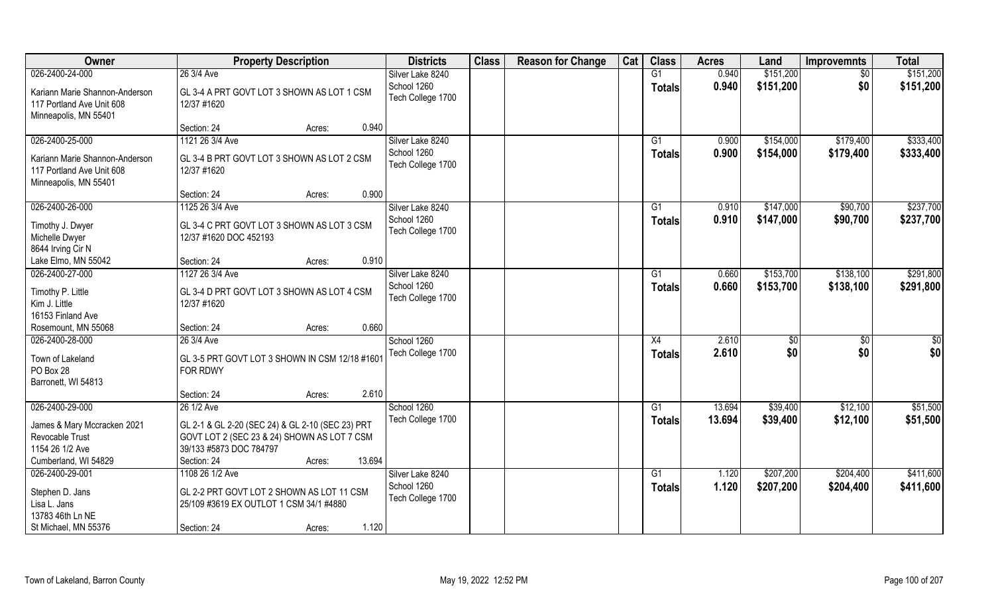| 026-2400-24-000<br>0.940<br>\$151,200<br>\$151,200<br>26 3/4 Ave<br>Silver Lake 8240<br>G1<br>$\overline{30}$<br>School 1260<br>\$151,200<br>\$0<br>0.940<br>\$151,200<br><b>Totals</b><br>Kariann Marie Shannon-Anderson<br>GL 3-4 A PRT GOVT LOT 3 SHOWN AS LOT 1 CSM<br>Tech College 1700<br>117 Portland Ave Unit 608<br>12/37 #1620<br>Minneapolis, MN 55401<br>0.940<br>Section: 24<br>Acres:<br>026-2400-25-000<br>1121 26 3/4 Ave<br>\$154,000<br>\$333,400<br>Silver Lake 8240<br>0.900<br>\$179,400<br>G1<br>School 1260<br>0.900<br>\$154,000<br>\$179,400<br>\$333,400<br><b>Totals</b><br>Kariann Marie Shannon-Anderson<br>GL 3-4 B PRT GOVT LOT 3 SHOWN AS LOT 2 CSM<br>Tech College 1700<br>117 Portland Ave Unit 608<br>12/37 #1620<br>Minneapolis, MN 55401<br>0.900<br>Section: 24<br>Acres:<br>\$237,700<br>026-2400-26-000<br>1125 26 3/4 Ave<br>\$147,000<br>Silver Lake 8240<br>G1<br>0.910<br>\$90,700<br>School 1260<br>0.910<br>\$147,000<br>\$90,700<br>\$237,700<br><b>Totals</b><br>GL 3-4 C PRT GOVT LOT 3 SHOWN AS LOT 3 CSM<br>Timothy J. Dwyer<br>Tech College 1700<br>Michelle Dwyer<br>12/37 #1620 DOC 452193<br>8644 Irving Cir N<br>0.910<br>Lake Elmo, MN 55042<br>Section: 24<br>Acres:<br>026-2400-27-000<br>\$153,700<br>\$138,100<br>1127 26 3/4 Ave<br>Silver Lake 8240<br>0.660<br>G1<br>School 1260<br>0.660<br>\$153,700<br>\$138,100<br>\$291,800<br><b>Totals</b><br>Timothy P. Little<br>GL 3-4 D PRT GOVT LOT 3 SHOWN AS LOT 4 CSM<br>Tech College 1700<br>Kim J. Little<br>12/37 #1620<br>16153 Finland Ave<br>0.660<br>Rosemount, MN 55068<br>Section: 24<br>Acres:<br>026-2400-28-000<br>2.610<br>26 3/4 Ave<br>School 1260<br>X4<br>$\sqrt[6]{3}$<br>\$0<br>\$0<br>\$0<br>2.610<br>Tech College 1700<br>\$0<br>\$0<br><b>Totals</b><br>Town of Lakeland<br>GL 3-5 PRT GOVT LOT 3 SHOWN IN CSM 12/18 #160<br>PO Box 28<br>FOR RDWY<br>Barronett, WI 54813<br>2.610<br>Section: 24<br>Acres:<br>026-2400-29-000<br>School 1260<br>\$39,400<br>\$51,500<br>26 1/2 Ave<br>G1<br>13.694<br>\$12,100<br>Tech College 1700<br>13.694<br>\$39,400<br>\$12,100<br>\$51,500<br><b>Totals</b><br>James & Mary Mccracken 2021<br>GL 2-1 & GL 2-20 (SEC 24) & GL 2-10 (SEC 23) PRT<br>Revocable Trust<br>GOVT LOT 2 (SEC 23 & 24) SHOWN AS LOT 7 CSM<br>1154 26 1/2 Ave<br>39/133 #5873 DOC 784797<br>13.694<br>Cumberland, WI 54829<br>Section: 24<br>Acres:<br>026-2400-29-001<br>\$207,200<br>\$411,600<br>1108 26 1/2 Ave<br>Silver Lake 8240<br>G1<br>1.120<br>\$204,400<br>School 1260<br>1.120<br>\$207,200<br>\$411,600<br>\$204,400<br><b>Totals</b><br>GL 2-2 PRT GOVT LOT 2 SHOWN AS LOT 11 CSM | Owner           | <b>Property Description</b> | <b>Districts</b> | <b>Class</b> | <b>Reason for Change</b> | Cat | <b>Class</b> | <b>Acres</b> | Land | <b>Improvemnts</b> | <b>Total</b> |
|-----------------------------------------------------------------------------------------------------------------------------------------------------------------------------------------------------------------------------------------------------------------------------------------------------------------------------------------------------------------------------------------------------------------------------------------------------------------------------------------------------------------------------------------------------------------------------------------------------------------------------------------------------------------------------------------------------------------------------------------------------------------------------------------------------------------------------------------------------------------------------------------------------------------------------------------------------------------------------------------------------------------------------------------------------------------------------------------------------------------------------------------------------------------------------------------------------------------------------------------------------------------------------------------------------------------------------------------------------------------------------------------------------------------------------------------------------------------------------------------------------------------------------------------------------------------------------------------------------------------------------------------------------------------------------------------------------------------------------------------------------------------------------------------------------------------------------------------------------------------------------------------------------------------------------------------------------------------------------------------------------------------------------------------------------------------------------------------------------------------------------------------------------------------------------------------------------------------------------------------------------------------------------------------------------------------------------------------------------------------------------------------------------------------------------------------------------------------------------------------------------------------------------------------------------------------------------------------------------------------------------------------------------|-----------------|-----------------------------|------------------|--------------|--------------------------|-----|--------------|--------------|------|--------------------|--------------|
|                                                                                                                                                                                                                                                                                                                                                                                                                                                                                                                                                                                                                                                                                                                                                                                                                                                                                                                                                                                                                                                                                                                                                                                                                                                                                                                                                                                                                                                                                                                                                                                                                                                                                                                                                                                                                                                                                                                                                                                                                                                                                                                                                                                                                                                                                                                                                                                                                                                                                                                                                                                                                                                     |                 |                             |                  |              |                          |     |              |              |      |                    |              |
|                                                                                                                                                                                                                                                                                                                                                                                                                                                                                                                                                                                                                                                                                                                                                                                                                                                                                                                                                                                                                                                                                                                                                                                                                                                                                                                                                                                                                                                                                                                                                                                                                                                                                                                                                                                                                                                                                                                                                                                                                                                                                                                                                                                                                                                                                                                                                                                                                                                                                                                                                                                                                                                     |                 |                             |                  |              |                          |     |              |              |      |                    |              |
|                                                                                                                                                                                                                                                                                                                                                                                                                                                                                                                                                                                                                                                                                                                                                                                                                                                                                                                                                                                                                                                                                                                                                                                                                                                                                                                                                                                                                                                                                                                                                                                                                                                                                                                                                                                                                                                                                                                                                                                                                                                                                                                                                                                                                                                                                                                                                                                                                                                                                                                                                                                                                                                     |                 |                             |                  |              |                          |     |              |              |      |                    |              |
| \$291,800                                                                                                                                                                                                                                                                                                                                                                                                                                                                                                                                                                                                                                                                                                                                                                                                                                                                                                                                                                                                                                                                                                                                                                                                                                                                                                                                                                                                                                                                                                                                                                                                                                                                                                                                                                                                                                                                                                                                                                                                                                                                                                                                                                                                                                                                                                                                                                                                                                                                                                                                                                                                                                           |                 |                             |                  |              |                          |     |              |              |      |                    |              |
|                                                                                                                                                                                                                                                                                                                                                                                                                                                                                                                                                                                                                                                                                                                                                                                                                                                                                                                                                                                                                                                                                                                                                                                                                                                                                                                                                                                                                                                                                                                                                                                                                                                                                                                                                                                                                                                                                                                                                                                                                                                                                                                                                                                                                                                                                                                                                                                                                                                                                                                                                                                                                                                     |                 |                             |                  |              |                          |     |              |              |      |                    |              |
|                                                                                                                                                                                                                                                                                                                                                                                                                                                                                                                                                                                                                                                                                                                                                                                                                                                                                                                                                                                                                                                                                                                                                                                                                                                                                                                                                                                                                                                                                                                                                                                                                                                                                                                                                                                                                                                                                                                                                                                                                                                                                                                                                                                                                                                                                                                                                                                                                                                                                                                                                                                                                                                     |                 |                             |                  |              |                          |     |              |              |      |                    |              |
|                                                                                                                                                                                                                                                                                                                                                                                                                                                                                                                                                                                                                                                                                                                                                                                                                                                                                                                                                                                                                                                                                                                                                                                                                                                                                                                                                                                                                                                                                                                                                                                                                                                                                                                                                                                                                                                                                                                                                                                                                                                                                                                                                                                                                                                                                                                                                                                                                                                                                                                                                                                                                                                     |                 |                             |                  |              |                          |     |              |              |      |                    |              |
|                                                                                                                                                                                                                                                                                                                                                                                                                                                                                                                                                                                                                                                                                                                                                                                                                                                                                                                                                                                                                                                                                                                                                                                                                                                                                                                                                                                                                                                                                                                                                                                                                                                                                                                                                                                                                                                                                                                                                                                                                                                                                                                                                                                                                                                                                                                                                                                                                                                                                                                                                                                                                                                     |                 |                             |                  |              |                          |     |              |              |      |                    |              |
|                                                                                                                                                                                                                                                                                                                                                                                                                                                                                                                                                                                                                                                                                                                                                                                                                                                                                                                                                                                                                                                                                                                                                                                                                                                                                                                                                                                                                                                                                                                                                                                                                                                                                                                                                                                                                                                                                                                                                                                                                                                                                                                                                                                                                                                                                                                                                                                                                                                                                                                                                                                                                                                     |                 |                             |                  |              |                          |     |              |              |      |                    |              |
|                                                                                                                                                                                                                                                                                                                                                                                                                                                                                                                                                                                                                                                                                                                                                                                                                                                                                                                                                                                                                                                                                                                                                                                                                                                                                                                                                                                                                                                                                                                                                                                                                                                                                                                                                                                                                                                                                                                                                                                                                                                                                                                                                                                                                                                                                                                                                                                                                                                                                                                                                                                                                                                     |                 |                             |                  |              |                          |     |              |              |      |                    |              |
|                                                                                                                                                                                                                                                                                                                                                                                                                                                                                                                                                                                                                                                                                                                                                                                                                                                                                                                                                                                                                                                                                                                                                                                                                                                                                                                                                                                                                                                                                                                                                                                                                                                                                                                                                                                                                                                                                                                                                                                                                                                                                                                                                                                                                                                                                                                                                                                                                                                                                                                                                                                                                                                     |                 |                             |                  |              |                          |     |              |              |      |                    |              |
|                                                                                                                                                                                                                                                                                                                                                                                                                                                                                                                                                                                                                                                                                                                                                                                                                                                                                                                                                                                                                                                                                                                                                                                                                                                                                                                                                                                                                                                                                                                                                                                                                                                                                                                                                                                                                                                                                                                                                                                                                                                                                                                                                                                                                                                                                                                                                                                                                                                                                                                                                                                                                                                     |                 |                             |                  |              |                          |     |              |              |      |                    |              |
|                                                                                                                                                                                                                                                                                                                                                                                                                                                                                                                                                                                                                                                                                                                                                                                                                                                                                                                                                                                                                                                                                                                                                                                                                                                                                                                                                                                                                                                                                                                                                                                                                                                                                                                                                                                                                                                                                                                                                                                                                                                                                                                                                                                                                                                                                                                                                                                                                                                                                                                                                                                                                                                     |                 |                             |                  |              |                          |     |              |              |      |                    |              |
|                                                                                                                                                                                                                                                                                                                                                                                                                                                                                                                                                                                                                                                                                                                                                                                                                                                                                                                                                                                                                                                                                                                                                                                                                                                                                                                                                                                                                                                                                                                                                                                                                                                                                                                                                                                                                                                                                                                                                                                                                                                                                                                                                                                                                                                                                                                                                                                                                                                                                                                                                                                                                                                     |                 |                             |                  |              |                          |     |              |              |      |                    |              |
|                                                                                                                                                                                                                                                                                                                                                                                                                                                                                                                                                                                                                                                                                                                                                                                                                                                                                                                                                                                                                                                                                                                                                                                                                                                                                                                                                                                                                                                                                                                                                                                                                                                                                                                                                                                                                                                                                                                                                                                                                                                                                                                                                                                                                                                                                                                                                                                                                                                                                                                                                                                                                                                     |                 |                             |                  |              |                          |     |              |              |      |                    |              |
|                                                                                                                                                                                                                                                                                                                                                                                                                                                                                                                                                                                                                                                                                                                                                                                                                                                                                                                                                                                                                                                                                                                                                                                                                                                                                                                                                                                                                                                                                                                                                                                                                                                                                                                                                                                                                                                                                                                                                                                                                                                                                                                                                                                                                                                                                                                                                                                                                                                                                                                                                                                                                                                     |                 |                             |                  |              |                          |     |              |              |      |                    |              |
|                                                                                                                                                                                                                                                                                                                                                                                                                                                                                                                                                                                                                                                                                                                                                                                                                                                                                                                                                                                                                                                                                                                                                                                                                                                                                                                                                                                                                                                                                                                                                                                                                                                                                                                                                                                                                                                                                                                                                                                                                                                                                                                                                                                                                                                                                                                                                                                                                                                                                                                                                                                                                                                     |                 |                             |                  |              |                          |     |              |              |      |                    |              |
|                                                                                                                                                                                                                                                                                                                                                                                                                                                                                                                                                                                                                                                                                                                                                                                                                                                                                                                                                                                                                                                                                                                                                                                                                                                                                                                                                                                                                                                                                                                                                                                                                                                                                                                                                                                                                                                                                                                                                                                                                                                                                                                                                                                                                                                                                                                                                                                                                                                                                                                                                                                                                                                     |                 |                             |                  |              |                          |     |              |              |      |                    |              |
|                                                                                                                                                                                                                                                                                                                                                                                                                                                                                                                                                                                                                                                                                                                                                                                                                                                                                                                                                                                                                                                                                                                                                                                                                                                                                                                                                                                                                                                                                                                                                                                                                                                                                                                                                                                                                                                                                                                                                                                                                                                                                                                                                                                                                                                                                                                                                                                                                                                                                                                                                                                                                                                     |                 |                             |                  |              |                          |     |              |              |      |                    |              |
|                                                                                                                                                                                                                                                                                                                                                                                                                                                                                                                                                                                                                                                                                                                                                                                                                                                                                                                                                                                                                                                                                                                                                                                                                                                                                                                                                                                                                                                                                                                                                                                                                                                                                                                                                                                                                                                                                                                                                                                                                                                                                                                                                                                                                                                                                                                                                                                                                                                                                                                                                                                                                                                     |                 |                             |                  |              |                          |     |              |              |      |                    |              |
|                                                                                                                                                                                                                                                                                                                                                                                                                                                                                                                                                                                                                                                                                                                                                                                                                                                                                                                                                                                                                                                                                                                                                                                                                                                                                                                                                                                                                                                                                                                                                                                                                                                                                                                                                                                                                                                                                                                                                                                                                                                                                                                                                                                                                                                                                                                                                                                                                                                                                                                                                                                                                                                     |                 |                             |                  |              |                          |     |              |              |      |                    |              |
|                                                                                                                                                                                                                                                                                                                                                                                                                                                                                                                                                                                                                                                                                                                                                                                                                                                                                                                                                                                                                                                                                                                                                                                                                                                                                                                                                                                                                                                                                                                                                                                                                                                                                                                                                                                                                                                                                                                                                                                                                                                                                                                                                                                                                                                                                                                                                                                                                                                                                                                                                                                                                                                     |                 |                             |                  |              |                          |     |              |              |      |                    |              |
|                                                                                                                                                                                                                                                                                                                                                                                                                                                                                                                                                                                                                                                                                                                                                                                                                                                                                                                                                                                                                                                                                                                                                                                                                                                                                                                                                                                                                                                                                                                                                                                                                                                                                                                                                                                                                                                                                                                                                                                                                                                                                                                                                                                                                                                                                                                                                                                                                                                                                                                                                                                                                                                     |                 |                             |                  |              |                          |     |              |              |      |                    |              |
|                                                                                                                                                                                                                                                                                                                                                                                                                                                                                                                                                                                                                                                                                                                                                                                                                                                                                                                                                                                                                                                                                                                                                                                                                                                                                                                                                                                                                                                                                                                                                                                                                                                                                                                                                                                                                                                                                                                                                                                                                                                                                                                                                                                                                                                                                                                                                                                                                                                                                                                                                                                                                                                     |                 |                             |                  |              |                          |     |              |              |      |                    |              |
|                                                                                                                                                                                                                                                                                                                                                                                                                                                                                                                                                                                                                                                                                                                                                                                                                                                                                                                                                                                                                                                                                                                                                                                                                                                                                                                                                                                                                                                                                                                                                                                                                                                                                                                                                                                                                                                                                                                                                                                                                                                                                                                                                                                                                                                                                                                                                                                                                                                                                                                                                                                                                                                     |                 |                             |                  |              |                          |     |              |              |      |                    |              |
|                                                                                                                                                                                                                                                                                                                                                                                                                                                                                                                                                                                                                                                                                                                                                                                                                                                                                                                                                                                                                                                                                                                                                                                                                                                                                                                                                                                                                                                                                                                                                                                                                                                                                                                                                                                                                                                                                                                                                                                                                                                                                                                                                                                                                                                                                                                                                                                                                                                                                                                                                                                                                                                     |                 |                             |                  |              |                          |     |              |              |      |                    |              |
|                                                                                                                                                                                                                                                                                                                                                                                                                                                                                                                                                                                                                                                                                                                                                                                                                                                                                                                                                                                                                                                                                                                                                                                                                                                                                                                                                                                                                                                                                                                                                                                                                                                                                                                                                                                                                                                                                                                                                                                                                                                                                                                                                                                                                                                                                                                                                                                                                                                                                                                                                                                                                                                     |                 |                             |                  |              |                          |     |              |              |      |                    |              |
|                                                                                                                                                                                                                                                                                                                                                                                                                                                                                                                                                                                                                                                                                                                                                                                                                                                                                                                                                                                                                                                                                                                                                                                                                                                                                                                                                                                                                                                                                                                                                                                                                                                                                                                                                                                                                                                                                                                                                                                                                                                                                                                                                                                                                                                                                                                                                                                                                                                                                                                                                                                                                                                     |                 |                             |                  |              |                          |     |              |              |      |                    |              |
|                                                                                                                                                                                                                                                                                                                                                                                                                                                                                                                                                                                                                                                                                                                                                                                                                                                                                                                                                                                                                                                                                                                                                                                                                                                                                                                                                                                                                                                                                                                                                                                                                                                                                                                                                                                                                                                                                                                                                                                                                                                                                                                                                                                                                                                                                                                                                                                                                                                                                                                                                                                                                                                     |                 |                             |                  |              |                          |     |              |              |      |                    |              |
|                                                                                                                                                                                                                                                                                                                                                                                                                                                                                                                                                                                                                                                                                                                                                                                                                                                                                                                                                                                                                                                                                                                                                                                                                                                                                                                                                                                                                                                                                                                                                                                                                                                                                                                                                                                                                                                                                                                                                                                                                                                                                                                                                                                                                                                                                                                                                                                                                                                                                                                                                                                                                                                     |                 |                             |                  |              |                          |     |              |              |      |                    |              |
|                                                                                                                                                                                                                                                                                                                                                                                                                                                                                                                                                                                                                                                                                                                                                                                                                                                                                                                                                                                                                                                                                                                                                                                                                                                                                                                                                                                                                                                                                                                                                                                                                                                                                                                                                                                                                                                                                                                                                                                                                                                                                                                                                                                                                                                                                                                                                                                                                                                                                                                                                                                                                                                     |                 |                             |                  |              |                          |     |              |              |      |                    |              |
|                                                                                                                                                                                                                                                                                                                                                                                                                                                                                                                                                                                                                                                                                                                                                                                                                                                                                                                                                                                                                                                                                                                                                                                                                                                                                                                                                                                                                                                                                                                                                                                                                                                                                                                                                                                                                                                                                                                                                                                                                                                                                                                                                                                                                                                                                                                                                                                                                                                                                                                                                                                                                                                     |                 |                             |                  |              |                          |     |              |              |      |                    |              |
| Tech College 1700                                                                                                                                                                                                                                                                                                                                                                                                                                                                                                                                                                                                                                                                                                                                                                                                                                                                                                                                                                                                                                                                                                                                                                                                                                                                                                                                                                                                                                                                                                                                                                                                                                                                                                                                                                                                                                                                                                                                                                                                                                                                                                                                                                                                                                                                                                                                                                                                                                                                                                                                                                                                                                   | Stephen D. Jans |                             |                  |              |                          |     |              |              |      |                    |              |
| Lisa L. Jans<br>25/109 #3619 EX OUTLOT 1 CSM 34/1 #4880                                                                                                                                                                                                                                                                                                                                                                                                                                                                                                                                                                                                                                                                                                                                                                                                                                                                                                                                                                                                                                                                                                                                                                                                                                                                                                                                                                                                                                                                                                                                                                                                                                                                                                                                                                                                                                                                                                                                                                                                                                                                                                                                                                                                                                                                                                                                                                                                                                                                                                                                                                                             |                 |                             |                  |              |                          |     |              |              |      |                    |              |
| 13783 46th Ln NE<br>1.120<br>St Michael, MN 55376<br>Section: 24<br>Acres:                                                                                                                                                                                                                                                                                                                                                                                                                                                                                                                                                                                                                                                                                                                                                                                                                                                                                                                                                                                                                                                                                                                                                                                                                                                                                                                                                                                                                                                                                                                                                                                                                                                                                                                                                                                                                                                                                                                                                                                                                                                                                                                                                                                                                                                                                                                                                                                                                                                                                                                                                                          |                 |                             |                  |              |                          |     |              |              |      |                    |              |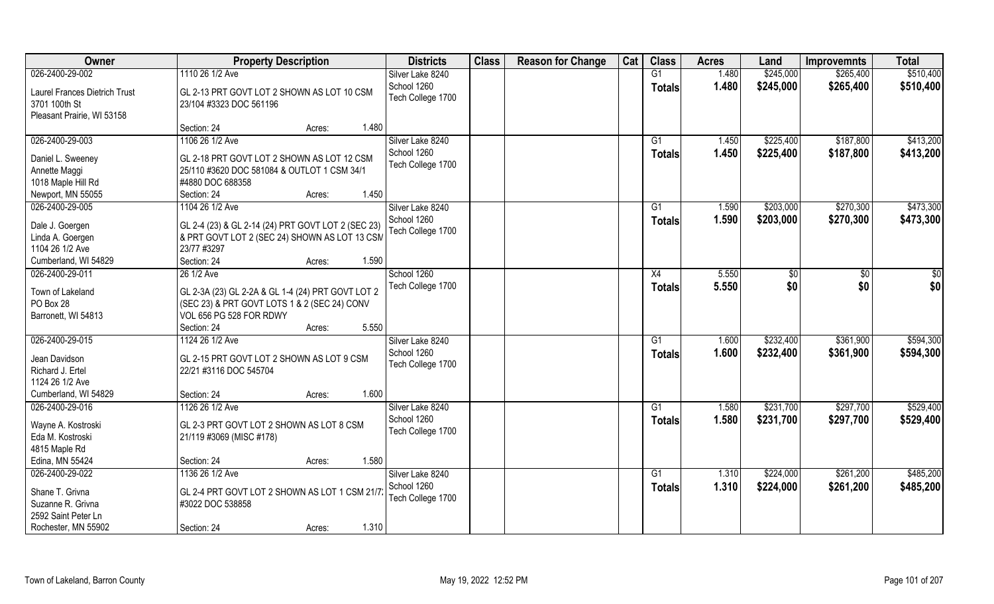| Owner                                | <b>Property Description</b>                                     | <b>Districts</b>  | <b>Class</b> | <b>Reason for Change</b> | Cat | <b>Class</b>  | <b>Acres</b> | Land      | <b>Improvemnts</b> | <b>Total</b>  |
|--------------------------------------|-----------------------------------------------------------------|-------------------|--------------|--------------------------|-----|---------------|--------------|-----------|--------------------|---------------|
| 026-2400-29-002                      | 1110 26 1/2 Ave                                                 | Silver Lake 8240  |              |                          |     | G1            | 1.480        | \$245,000 | \$265,400          | \$510,400     |
| <b>Laurel Frances Dietrich Trust</b> | GL 2-13 PRT GOVT LOT 2 SHOWN AS LOT 10 CSM                      | School 1260       |              |                          |     | <b>Totals</b> | 1.480        | \$245,000 | \$265,400          | \$510,400     |
| 3701 100th St                        | 23/104 #3323 DOC 561196                                         | Tech College 1700 |              |                          |     |               |              |           |                    |               |
| Pleasant Prairie, WI 53158           |                                                                 |                   |              |                          |     |               |              |           |                    |               |
|                                      | 1.480<br>Section: 24<br>Acres:                                  |                   |              |                          |     |               |              |           |                    |               |
| 026-2400-29-003                      | 1106 26 1/2 Ave                                                 | Silver Lake 8240  |              |                          |     | G1            | 1.450        | \$225,400 | \$187,800          | \$413,200     |
|                                      |                                                                 | School 1260       |              |                          |     | Totals        | 1.450        | \$225,400 | \$187,800          | \$413,200     |
| Daniel L. Sweeney                    | GL 2-18 PRT GOVT LOT 2 SHOWN AS LOT 12 CSM                      | Tech College 1700 |              |                          |     |               |              |           |                    |               |
| Annette Maggi<br>1018 Maple Hill Rd  | 25/110 #3620 DOC 581084 & OUTLOT 1 CSM 34/1<br>#4880 DOC 688358 |                   |              |                          |     |               |              |           |                    |               |
| Newport, MN 55055                    | Section: 24<br>1.450<br>Acres:                                  |                   |              |                          |     |               |              |           |                    |               |
| 026-2400-29-005                      | 1104 26 1/2 Ave                                                 | Silver Lake 8240  |              |                          |     | G1            | 1.590        | \$203,000 | \$270,300          | \$473,300     |
|                                      |                                                                 | School 1260       |              |                          |     |               |              |           |                    |               |
| Dale J. Goergen                      | GL 2-4 (23) & GL 2-14 (24) PRT GOVT LOT 2 (SEC 23)              | Tech College 1700 |              |                          |     | <b>Totals</b> | 1.590        | \$203,000 | \$270,300          | \$473,300     |
| Linda A. Goergen                     | & PRT GOVT LOT 2 (SEC 24) SHOWN AS LOT 13 CSM                   |                   |              |                          |     |               |              |           |                    |               |
| 1104 26 1/2 Ave                      | 23/77 #3297                                                     |                   |              |                          |     |               |              |           |                    |               |
| Cumberland, WI 54829                 | 1.590<br>Section: 24<br>Acres:                                  |                   |              |                          |     |               |              |           |                    |               |
| 026-2400-29-011                      | 26 1/2 Ave                                                      | School 1260       |              |                          |     | X4            | 5.550        | \$0       | \$                 | $\frac{6}{3}$ |
| Town of Lakeland                     | GL 2-3A (23) GL 2-2A & GL 1-4 (24) PRT GOVT LOT 2               | Tech College 1700 |              |                          |     | <b>Totals</b> | 5.550        | \$0       | \$0                | \$0           |
| PO Box 28                            | (SEC 23) & PRT GOVT LOTS 1 & 2 (SEC 24) CONV                    |                   |              |                          |     |               |              |           |                    |               |
| Barronett, WI 54813                  | VOL 656 PG 528 FOR RDWY                                         |                   |              |                          |     |               |              |           |                    |               |
|                                      | 5.550<br>Section: 24<br>Acres:                                  |                   |              |                          |     |               |              |           |                    |               |
| 026-2400-29-015                      | 1124 26 1/2 Ave                                                 | Silver Lake 8240  |              |                          |     | G1            | 1.600        | \$232,400 | \$361,900          | \$594,300     |
|                                      |                                                                 | School 1260       |              |                          |     | <b>Totals</b> | 1.600        | \$232,400 | \$361,900          | \$594,300     |
| Jean Davidson                        | GL 2-15 PRT GOVT LOT 2 SHOWN AS LOT 9 CSM                       | Tech College 1700 |              |                          |     |               |              |           |                    |               |
| Richard J. Ertel                     | 22/21 #3116 DOC 545704                                          |                   |              |                          |     |               |              |           |                    |               |
| 1124 26 1/2 Ave                      |                                                                 |                   |              |                          |     |               |              |           |                    |               |
| Cumberland, WI 54829                 | 1.600<br>Section: 24<br>Acres:                                  |                   |              |                          |     |               |              |           |                    |               |
| 026-2400-29-016                      | 1126 26 1/2 Ave                                                 | Silver Lake 8240  |              |                          |     | G1            | 1.580        | \$231,700 | \$297,700          | \$529,400     |
| Wayne A. Kostroski                   | GL 2-3 PRT GOVT LOT 2 SHOWN AS LOT 8 CSM                        | School 1260       |              |                          |     | <b>Totals</b> | 1.580        | \$231,700 | \$297,700          | \$529,400     |
| Eda M. Kostroski                     | 21/119 #3069 (MISC #178)                                        | Tech College 1700 |              |                          |     |               |              |           |                    |               |
| 4815 Maple Rd                        |                                                                 |                   |              |                          |     |               |              |           |                    |               |
| Edina, MN 55424                      | 1.580<br>Section: 24<br>Acres:                                  |                   |              |                          |     |               |              |           |                    |               |
| 026-2400-29-022                      | 1136 26 1/2 Ave                                                 | Silver Lake 8240  |              |                          |     | G1            | 1.310        | \$224,000 | \$261,200          | \$485,200     |
|                                      |                                                                 | School 1260       |              |                          |     | Totals        | 1.310        | \$224,000 | \$261,200          | \$485,200     |
| Shane T. Grivna                      | GL 2-4 PRT GOVT LOT 2 SHOWN AS LOT 1 CSM 21/7                   | Tech College 1700 |              |                          |     |               |              |           |                    |               |
| Suzanne R. Grivna                    | #3022 DOC 538858                                                |                   |              |                          |     |               |              |           |                    |               |
| 2592 Saint Peter Ln                  |                                                                 |                   |              |                          |     |               |              |           |                    |               |
| Rochester, MN 55902                  | 1.310<br>Section: 24<br>Acres:                                  |                   |              |                          |     |               |              |           |                    |               |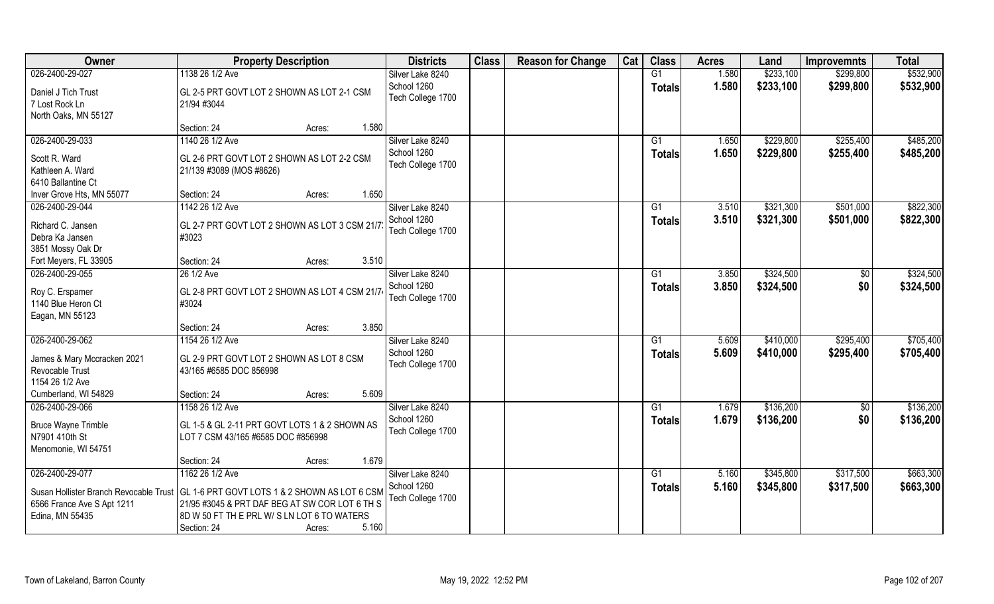| <b>Owner</b>                                                                            | <b>Property Description</b>                                                                                                                                                      | <b>Districts</b>                 | <b>Class</b> | <b>Reason for Change</b> | Cat | <b>Class</b>              | <b>Acres</b>   | Land                   | <b>Improvemnts</b>     | <b>Total</b>           |
|-----------------------------------------------------------------------------------------|----------------------------------------------------------------------------------------------------------------------------------------------------------------------------------|----------------------------------|--------------|--------------------------|-----|---------------------------|----------------|------------------------|------------------------|------------------------|
| 026-2400-29-027                                                                         | 1138 26 1/2 Ave                                                                                                                                                                  | Silver Lake 8240                 |              |                          |     | G1                        | 1.580          | \$233,100              | \$299,800              | \$532,900              |
| Daniel J Tich Trust<br>7 Lost Rock Ln<br>North Oaks, MN 55127                           | GL 2-5 PRT GOVT LOT 2 SHOWN AS LOT 2-1 CSM<br>21/94 #3044                                                                                                                        | School 1260<br>Tech College 1700 |              |                          |     | <b>Totals</b>             | 1.580          | \$233,100              | \$299,800              | \$532,900              |
|                                                                                         | 1.580<br>Section: 24<br>Acres:                                                                                                                                                   |                                  |              |                          |     |                           |                |                        |                        |                        |
| 026-2400-29-033                                                                         | 1140 26 1/2 Ave                                                                                                                                                                  | Silver Lake 8240                 |              |                          |     | $\overline{G1}$           | 1.650          | \$229,800              | \$255,400              | \$485,200              |
| Scott R. Ward<br>Kathleen A. Ward<br>6410 Ballantine Ct                                 | GL 2-6 PRT GOVT LOT 2 SHOWN AS LOT 2-2 CSM<br>21/139 #3089 (MOS #8626)                                                                                                           | School 1260<br>Tech College 1700 |              |                          |     | Totals                    | 1.650          | \$229,800              | \$255,400              | \$485,200              |
| Inver Grove Hts, MN 55077                                                               | 1.650<br>Section: 24<br>Acres:                                                                                                                                                   |                                  |              |                          |     |                           |                |                        |                        |                        |
| 026-2400-29-044                                                                         | 1142 26 1/2 Ave                                                                                                                                                                  | Silver Lake 8240                 |              |                          |     | G1                        | 3.510          | \$321,300              | \$501,000              | \$822,300              |
| Richard C. Jansen<br>Debra Ka Jansen<br>3851 Mossy Oak Dr                               | GL 2-7 PRT GOVT LOT 2 SHOWN AS LOT 3 CSM 21/7<br>#3023                                                                                                                           | School 1260<br>Tech College 1700 |              |                          |     | <b>Totals</b>             | 3.510          | \$321,300              | \$501,000              | \$822,300              |
| Fort Meyers, FL 33905                                                                   | 3.510<br>Section: 24<br>Acres:                                                                                                                                                   |                                  |              |                          |     |                           |                |                        |                        |                        |
| 026-2400-29-055                                                                         | 26 1/2 Ave                                                                                                                                                                       | Silver Lake 8240                 |              |                          |     | G1                        | 3.850          | \$324,500              | $\sqrt[6]{3}$          | \$324,500              |
| Roy C. Erspamer<br>1140 Blue Heron Ct<br>Eagan, MN 55123                                | GL 2-8 PRT GOVT LOT 2 SHOWN AS LOT 4 CSM 21/74<br>#3024                                                                                                                          | School 1260<br>Tech College 1700 |              |                          |     | <b>Totals</b>             | 3.850          | \$324,500              | \$0                    | \$324,500              |
|                                                                                         | 3.850<br>Section: 24<br>Acres:                                                                                                                                                   |                                  |              |                          |     |                           |                |                        |                        |                        |
| 026-2400-29-062<br>James & Mary Mccracken 2021                                          | 1154 26 1/2 Ave<br>GL 2-9 PRT GOVT LOT 2 SHOWN AS LOT 8 CSM                                                                                                                      | Silver Lake 8240<br>School 1260  |              |                          |     | $\overline{G1}$<br>Totals | 5.609<br>5.609 | \$410,000<br>\$410,000 | \$295,400<br>\$295,400 | \$705,400<br>\$705,400 |
| Revocable Trust<br>1154 26 1/2 Ave                                                      | 43/165 #6585 DOC 856998                                                                                                                                                          | Tech College 1700                |              |                          |     |                           |                |                        |                        |                        |
| Cumberland, WI 54829                                                                    | 5.609<br>Section: 24<br>Acres:                                                                                                                                                   |                                  |              |                          |     |                           |                |                        |                        |                        |
| 026-2400-29-066                                                                         | 1158 26 1/2 Ave                                                                                                                                                                  | Silver Lake 8240                 |              |                          |     | G1                        | 1.679          | \$136,200              | $\overline{30}$        | \$136,200              |
| <b>Bruce Wayne Trimble</b><br>N7901 410th St<br>Menomonie, WI 54751                     | GL 1-5 & GL 2-11 PRT GOVT LOTS 1 & 2 SHOWN AS<br>LOT 7 CSM 43/165 #6585 DOC #856998                                                                                              | School 1260<br>Tech College 1700 |              |                          |     | <b>Totals</b>             | 1.679          | \$136,200              | \$0                    | \$136,200              |
|                                                                                         | 1.679<br>Section: 24<br>Acres:                                                                                                                                                   |                                  |              |                          |     |                           |                |                        |                        |                        |
| 026-2400-29-077                                                                         | 1162 26 1/2 Ave                                                                                                                                                                  | Silver Lake 8240                 |              |                          |     | G1                        | 5.160          | \$345,800              | \$317,500              | \$663,300              |
| Susan Hollister Branch Revocable Trust<br>6566 France Ave S Apt 1211<br>Edina, MN 55435 | GL 1-6 PRT GOVT LOTS 1 & 2 SHOWN AS LOT 6 CSM<br>21/95 #3045 & PRT DAF BEG AT SW COR LOT 6 TH S<br>8D W 50 FT TH E PRL W/ S LN LOT 6 TO WATERS<br>5.160<br>Section: 24<br>Acres: | School 1260<br>Tech College 1700 |              |                          |     | <b>Totals</b>             | 5.160          | \$345,800              | \$317,500              | \$663,300              |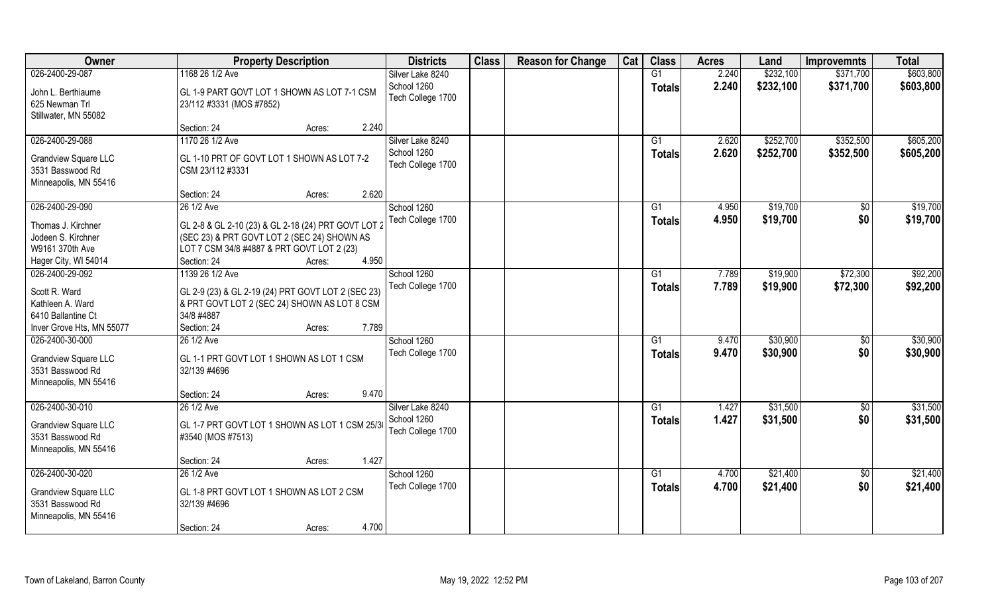| <b>Owner</b>                                                                                | <b>Property Description</b>                                                                                                                      | <b>Districts</b>                 | <b>Class</b> | <b>Reason for Change</b> | Cat | <b>Class</b>                     | <b>Acres</b>   | Land                 | <b>Improvemnts</b>     | <b>Total</b>         |
|---------------------------------------------------------------------------------------------|--------------------------------------------------------------------------------------------------------------------------------------------------|----------------------------------|--------------|--------------------------|-----|----------------------------------|----------------|----------------------|------------------------|----------------------|
| 026-2400-29-087                                                                             | 1168 26 1/2 Ave                                                                                                                                  | Silver Lake 8240                 |              |                          |     | G1                               | 2.240          | \$232,100            | \$371,700              | \$603,800            |
| John L. Berthiaume<br>625 Newman Trl<br>Stillwater, MN 55082                                | GL 1-9 PART GOVT LOT 1 SHOWN AS LOT 7-1 CSM<br>23/112 #3331 (MOS #7852)                                                                          | School 1260<br>Tech College 1700 |              |                          |     | <b>Totals</b>                    | 2.240          | \$232,100            | \$371,700              | \$603,800            |
|                                                                                             | 2.240<br>Section: 24<br>Acres:                                                                                                                   |                                  |              |                          |     |                                  |                |                      |                        |                      |
| 026-2400-29-088                                                                             | 1170 26 1/2 Ave                                                                                                                                  | Silver Lake 8240<br>School 1260  |              |                          |     | G1                               | 2.620          | \$252,700            | \$352,500              | \$605,200            |
| <b>Grandview Square LLC</b><br>3531 Basswood Rd                                             | GL 1-10 PRT OF GOVT LOT 1 SHOWN AS LOT 7-2<br>CSM 23/112 #3331                                                                                   | Tech College 1700                |              |                          |     | Totals                           | 2.620          | \$252,700            | \$352,500              | \$605,200            |
| Minneapolis, MN 55416                                                                       | 2.620<br>Section: 24<br>Acres:                                                                                                                   |                                  |              |                          |     |                                  |                |                      |                        |                      |
| 026-2400-29-090                                                                             | 26 1/2 Ave                                                                                                                                       | School 1260                      |              |                          |     | G1                               | 4.950          | \$19,700             | \$0                    | \$19,700             |
| Thomas J. Kirchner<br>Jodeen S. Kirchner<br>W9161 370th Ave                                 | GL 2-8 & GL 2-10 (23) & GL 2-18 (24) PRT GOVT LOT 2<br>(SEC 23) & PRT GOVT LOT 2 (SEC 24) SHOWN AS<br>LOT 7 CSM 34/8 #4887 & PRT GOVT LOT 2 (23) | Tech College 1700                |              |                          |     | <b>Totals</b>                    | 4.950          | \$19,700             | \$0                    | \$19,700             |
| Hager City, WI 54014                                                                        | 4.950<br>Section: 24<br>Acres:                                                                                                                   |                                  |              |                          |     |                                  |                |                      |                        |                      |
| 026-2400-29-092<br>Scott R. Ward<br>Kathleen A. Ward<br>6410 Ballantine Ct                  | 1139 26 1/2 Ave<br>GL 2-9 (23) & GL 2-19 (24) PRT GOVT LOT 2 (SEC 23)<br>& PRT GOVT LOT 2 (SEC 24) SHOWN AS LOT 8 CSM<br>34/8 #4887              | School 1260<br>Tech College 1700 |              |                          |     | G1<br><b>Totals</b>              | 7.789<br>7.789 | \$19,900<br>\$19,900 | \$72,300<br>\$72,300   | \$92,200<br>\$92,200 |
| Inver Grove Hts, MN 55077                                                                   | 7.789<br>Section: 24<br>Acres:                                                                                                                   |                                  |              |                          |     |                                  |                |                      |                        |                      |
| 026-2400-30-000<br><b>Grandview Square LLC</b><br>3531 Basswood Rd<br>Minneapolis, MN 55416 | 26 1/2 Ave<br>GL 1-1 PRT GOVT LOT 1 SHOWN AS LOT 1 CSM<br>32/139 #4696                                                                           | School 1260<br>Tech College 1700 |              |                          |     | $\overline{G1}$<br><b>Totals</b> | 9.470<br>9.470 | \$30,900<br>\$30,900 | $\overline{50}$<br>\$0 | \$30,900<br>\$30,900 |
|                                                                                             | 9.470<br>Section: 24<br>Acres:                                                                                                                   |                                  |              |                          |     |                                  |                |                      |                        |                      |
| 026-2400-30-010                                                                             | 26 1/2 Ave                                                                                                                                       | Silver Lake 8240                 |              |                          |     | G1                               | 1.427          | \$31,500             | $\overline{60}$        | \$31,500             |
| <b>Grandview Square LLC</b><br>3531 Basswood Rd<br>Minneapolis, MN 55416                    | GL 1-7 PRT GOVT LOT 1 SHOWN AS LOT 1 CSM 25/30<br>#3540 (MOS #7513)                                                                              | School 1260<br>Tech College 1700 |              |                          |     | <b>Totals</b>                    | 1.427          | \$31,500             | \$0                    | \$31,500             |
|                                                                                             | 1.427<br>Section: 24<br>Acres:                                                                                                                   |                                  |              |                          |     |                                  |                |                      |                        |                      |
| 026-2400-30-020                                                                             | 26 1/2 Ave                                                                                                                                       | School 1260                      |              |                          |     | G1                               | 4.700          | \$21,400             | $\sqrt{6}$             | \$21,400             |
| <b>Grandview Square LLC</b><br>3531 Basswood Rd<br>Minneapolis, MN 55416                    | GL 1-8 PRT GOVT LOT 1 SHOWN AS LOT 2 CSM<br>32/139 #4696                                                                                         | Tech College 1700                |              |                          |     | Totals                           | 4.700          | \$21,400             | \$0                    | \$21,400             |
|                                                                                             | 4.700<br>Section: 24<br>Acres:                                                                                                                   |                                  |              |                          |     |                                  |                |                      |                        |                      |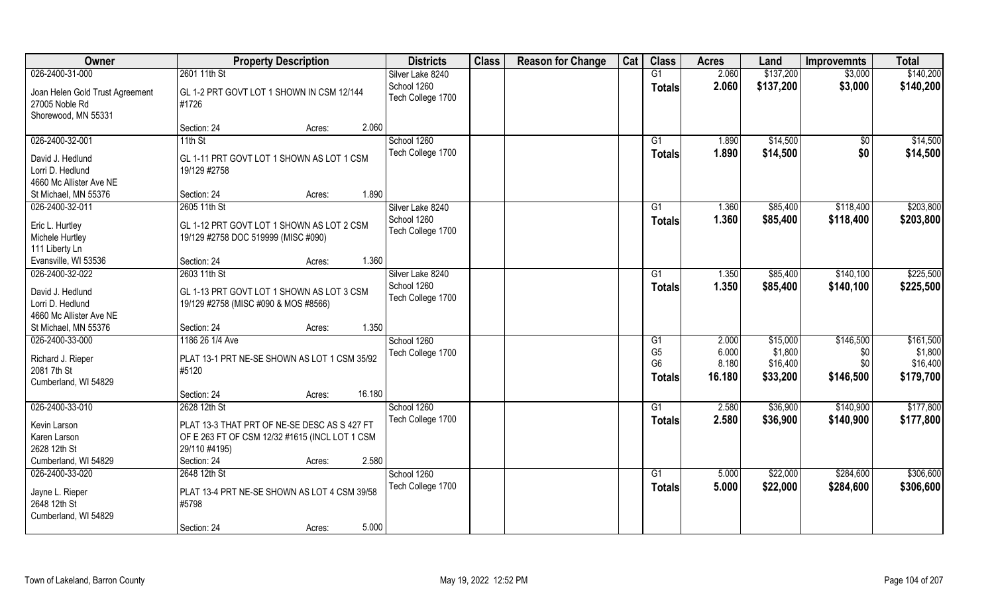| Owner                           | <b>Property Description</b>                    | <b>Districts</b>  | <b>Class</b> | <b>Reason for Change</b> | Cat | <b>Class</b>   | <b>Acres</b> | Land      | <b>Improvemnts</b> | <b>Total</b> |
|---------------------------------|------------------------------------------------|-------------------|--------------|--------------------------|-----|----------------|--------------|-----------|--------------------|--------------|
| 026-2400-31-000                 | 2601 11th St                                   | Silver Lake 8240  |              |                          |     | G1             | 2.060        | \$137,200 | \$3,000            | \$140,200    |
| Joan Helen Gold Trust Agreement | GL 1-2 PRT GOVT LOT 1 SHOWN IN CSM 12/144      | School 1260       |              |                          |     | Totals         | 2.060        | \$137,200 | \$3,000            | \$140,200    |
| 27005 Noble Rd                  | #1726                                          | Tech College 1700 |              |                          |     |                |              |           |                    |              |
| Shorewood, MN 55331             |                                                |                   |              |                          |     |                |              |           |                    |              |
|                                 | 2.060<br>Section: 24<br>Acres:                 |                   |              |                          |     |                |              |           |                    |              |
| 026-2400-32-001                 | $11th$ St                                      | School 1260       |              |                          |     | G1             | 1.890        | \$14,500  | $\sqrt{$0}$        | \$14,500     |
|                                 |                                                | Tech College 1700 |              |                          |     | <b>Totals</b>  | 1.890        | \$14,500  | \$0                | \$14,500     |
| David J. Hedlund                | GL 1-11 PRT GOVT LOT 1 SHOWN AS LOT 1 CSM      |                   |              |                          |     |                |              |           |                    |              |
| Lorri D. Hedlund                | 19/129 #2758                                   |                   |              |                          |     |                |              |           |                    |              |
| 4660 Mc Allister Ave NE         |                                                |                   |              |                          |     |                |              |           |                    |              |
| St Michael, MN 55376            | 1.890<br>Section: 24<br>Acres:                 |                   |              |                          |     |                |              |           |                    |              |
| 026-2400-32-011                 | 2605 11th St                                   | Silver Lake 8240  |              |                          |     | G1             | 1.360        | \$85,400  | \$118,400          | \$203,800    |
| Eric L. Hurtley                 | GL 1-12 PRT GOVT LOT 1 SHOWN AS LOT 2 CSM      | School 1260       |              |                          |     | Totals         | 1.360        | \$85,400  | \$118,400          | \$203,800    |
| Michele Hurtley                 | 19/129 #2758 DOC 519999 (MISC #090)            | Tech College 1700 |              |                          |     |                |              |           |                    |              |
| 111 Liberty Ln                  |                                                |                   |              |                          |     |                |              |           |                    |              |
| Evansville, WI 53536            | 1.360<br>Section: 24<br>Acres:                 |                   |              |                          |     |                |              |           |                    |              |
| 026-2400-32-022                 | 2603 11th St                                   | Silver Lake 8240  |              |                          |     | G1             | 1.350        | \$85,400  | \$140,100          | \$225,500    |
|                                 |                                                | School 1260       |              |                          |     | <b>Totals</b>  | 1.350        | \$85,400  | \$140,100          | \$225,500    |
| David J. Hedlund                | GL 1-13 PRT GOVT LOT 1 SHOWN AS LOT 3 CSM      | Tech College 1700 |              |                          |     |                |              |           |                    |              |
| Lorri D. Hedlund                | 19/129 #2758 (MISC #090 & MOS #8566)           |                   |              |                          |     |                |              |           |                    |              |
| 4660 Mc Allister Ave NE         |                                                |                   |              |                          |     |                |              |           |                    |              |
| St Michael, MN 55376            | 1.350<br>Section: 24<br>Acres:                 |                   |              |                          |     |                |              |           |                    |              |
| 026-2400-33-000                 | 1186 26 1/4 Ave                                | School 1260       |              |                          |     | G1             | 2.000        | \$15,000  | \$146,500          | \$161,500    |
| Richard J. Rieper               | PLAT 13-1 PRT NE-SE SHOWN AS LOT 1 CSM 35/92   | Tech College 1700 |              |                          |     | G <sub>5</sub> | 6.000        | \$1,800   | \$0                | \$1,800      |
| 2081 7th St                     | #5120                                          |                   |              |                          |     | G <sub>6</sub> | 8.180        | \$16,400  | \$0                | \$16,400     |
| Cumberland, WI 54829            |                                                |                   |              |                          |     | <b>Totals</b>  | 16.180       | \$33,200  | \$146,500          | \$179,700    |
|                                 | 16.180<br>Section: 24<br>Acres:                |                   |              |                          |     |                |              |           |                    |              |
| 026-2400-33-010                 | 2628 12th St                                   | School 1260       |              |                          |     | G1             | 2.580        | \$36,900  | \$140,900          | \$177,800    |
|                                 |                                                |                   |              |                          |     |                |              |           |                    |              |
| Kevin Larson                    | PLAT 13-3 THAT PRT OF NE-SE DESC AS S 427 FT   | Tech College 1700 |              |                          |     | <b>Totals</b>  | 2.580        | \$36,900  | \$140,900          | \$177,800    |
| Karen Larson                    | OF E 263 FT OF CSM 12/32 #1615 (INCL LOT 1 CSM |                   |              |                          |     |                |              |           |                    |              |
| 2628 12th St                    | 29/110 #4195)                                  |                   |              |                          |     |                |              |           |                    |              |
| Cumberland, WI 54829            | 2.580<br>Section: 24<br>Acres:                 |                   |              |                          |     |                |              |           |                    |              |
| 026-2400-33-020                 | 2648 12th St                                   | School 1260       |              |                          |     | G1             | 5.000        | \$22,000  | \$284,600          | \$306,600    |
|                                 |                                                | Tech College 1700 |              |                          |     | <b>Totals</b>  | 5.000        | \$22,000  | \$284,600          | \$306,600    |
| Jayne L. Rieper                 | PLAT 13-4 PRT NE-SE SHOWN AS LOT 4 CSM 39/58   |                   |              |                          |     |                |              |           |                    |              |
| 2648 12th St                    | #5798                                          |                   |              |                          |     |                |              |           |                    |              |
| Cumberland, WI 54829            |                                                |                   |              |                          |     |                |              |           |                    |              |
|                                 | 5.000<br>Section: 24<br>Acres:                 |                   |              |                          |     |                |              |           |                    |              |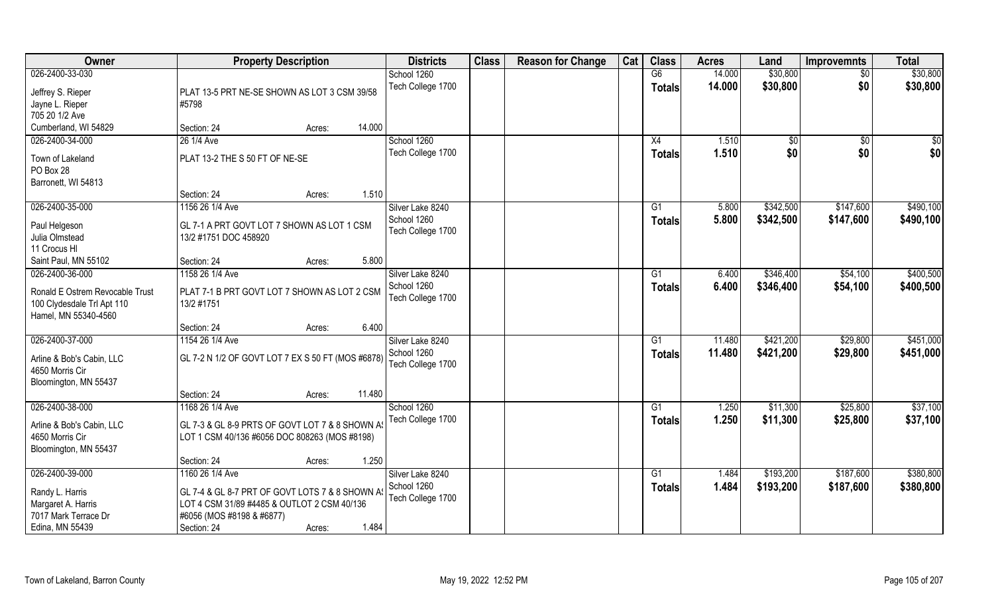| Owner                           | <b>Property Description</b>                       |        | <b>Districts</b>  | <b>Class</b> | <b>Reason for Change</b> | Cat | <b>Class</b>  | <b>Acres</b> | Land            | <b>Improvemnts</b> | <b>Total</b> |
|---------------------------------|---------------------------------------------------|--------|-------------------|--------------|--------------------------|-----|---------------|--------------|-----------------|--------------------|--------------|
| 026-2400-33-030                 |                                                   |        | School 1260       |              |                          |     | G6            | 14.000       | \$30,800        | $\overline{50}$    | \$30,800     |
| Jeffrey S. Rieper               | PLAT 13-5 PRT NE-SE SHOWN AS LOT 3 CSM 39/58      |        | Tech College 1700 |              |                          |     | <b>Totals</b> | 14.000       | \$30,800        | \$0                | \$30,800     |
| Jayne L. Rieper                 | #5798                                             |        |                   |              |                          |     |               |              |                 |                    |              |
| 705 20 1/2 Ave                  |                                                   |        |                   |              |                          |     |               |              |                 |                    |              |
| Cumberland, WI 54829            | Section: 24<br>Acres:                             | 14.000 |                   |              |                          |     |               |              |                 |                    |              |
| 026-2400-34-000                 | 26 1/4 Ave                                        |        | School 1260       |              |                          |     | X4            | 1.510        | $\overline{50}$ | \$0                | \$0          |
| Town of Lakeland                | PLAT 13-2 THE S 50 FT OF NE-SE                    |        | Tech College 1700 |              |                          |     | Totals        | 1.510        | \$0             | \$0                | \$0          |
| PO Box 28                       |                                                   |        |                   |              |                          |     |               |              |                 |                    |              |
| Barronett, WI 54813             |                                                   |        |                   |              |                          |     |               |              |                 |                    |              |
|                                 | Section: 24<br>Acres:                             | 1.510  |                   |              |                          |     |               |              |                 |                    |              |
| 026-2400-35-000                 | 1156 26 1/4 Ave                                   |        | Silver Lake 8240  |              |                          |     | G1            | 5.800        | \$342,500       | \$147,600          | \$490,100    |
|                                 |                                                   |        | School 1260       |              |                          |     | <b>Totals</b> | 5.800        | \$342,500       | \$147,600          | \$490,100    |
| Paul Helgeson                   | GL 7-1 A PRT GOVT LOT 7 SHOWN AS LOT 1 CSM        |        | Tech College 1700 |              |                          |     |               |              |                 |                    |              |
| Julia Olmstead<br>11 Crocus HI  | 13/2 #1751 DOC 458920                             |        |                   |              |                          |     |               |              |                 |                    |              |
| Saint Paul, MN 55102            | Section: 24                                       | 5.800  |                   |              |                          |     |               |              |                 |                    |              |
| 026-2400-36-000                 | Acres:<br>1158 26 1/4 Ave                         |        | Silver Lake 8240  |              |                          |     |               | 6.400        | \$346,400       |                    | \$400,500    |
|                                 |                                                   |        | School 1260       |              |                          |     | G1            |              |                 | \$54,100           |              |
| Ronald E Ostrem Revocable Trust | PLAT 7-1 B PRT GOVT LOT 7 SHOWN AS LOT 2 CSM      |        |                   |              |                          |     | <b>Totals</b> | 6.400        | \$346,400       | \$54,100           | \$400,500    |
| 100 Clydesdale Trl Apt 110      | 13/2 #1751                                        |        | Tech College 1700 |              |                          |     |               |              |                 |                    |              |
| Hamel, MN 55340-4560            |                                                   |        |                   |              |                          |     |               |              |                 |                    |              |
|                                 | Section: 24<br>Acres:                             | 6.400  |                   |              |                          |     |               |              |                 |                    |              |
| 026-2400-37-000                 | 1154 26 1/4 Ave                                   |        | Silver Lake 8240  |              |                          |     | G1            | 11.480       | \$421,200       | \$29,800           | \$451,000    |
| Arline & Bob's Cabin, LLC       | GL 7-2 N 1/2 OF GOVT LOT 7 EX S 50 FT (MOS #6878) |        | School 1260       |              |                          |     | <b>Totals</b> | 11.480       | \$421,200       | \$29,800           | \$451,000    |
| 4650 Morris Cir                 |                                                   |        | Tech College 1700 |              |                          |     |               |              |                 |                    |              |
| Bloomington, MN 55437           |                                                   |        |                   |              |                          |     |               |              |                 |                    |              |
|                                 | Section: 24<br>Acres:                             | 11.480 |                   |              |                          |     |               |              |                 |                    |              |
| 026-2400-38-000                 | 1168 26 1/4 Ave                                   |        | School 1260       |              |                          |     | G1            | 1.250        | \$11,300        | \$25,800           | \$37,100     |
|                                 |                                                   |        | Tech College 1700 |              |                          |     | <b>Totals</b> | 1.250        | \$11,300        | \$25,800           | \$37,100     |
| Arline & Bob's Cabin, LLC       | GL 7-3 & GL 8-9 PRTS OF GOVT LOT 7 & 8 SHOWN AS   |        |                   |              |                          |     |               |              |                 |                    |              |
| 4650 Morris Cir                 | LOT 1 CSM 40/136 #6056 DOC 808263 (MOS #8198)     |        |                   |              |                          |     |               |              |                 |                    |              |
| Bloomington, MN 55437           |                                                   |        |                   |              |                          |     |               |              |                 |                    |              |
|                                 | Section: 24<br>Acres:                             | 1.250  |                   |              |                          |     |               |              |                 |                    |              |
| 026-2400-39-000                 | 1160 26 1/4 Ave                                   |        | Silver Lake 8240  |              |                          |     | G1            | 1.484        | \$193,200       | \$187,600          | \$380,800    |
| Randy L. Harris                 | GL 7-4 & GL 8-7 PRT OF GOVT LOTS 7 & 8 SHOWN AS   |        | School 1260       |              |                          |     | <b>Totals</b> | 1.484        | \$193,200       | \$187,600          | \$380,800    |
| Margaret A. Harris              | LOT 4 CSM 31/89 #4485 & OUTLOT 2 CSM 40/136       |        | Tech College 1700 |              |                          |     |               |              |                 |                    |              |
| 7017 Mark Terrace Dr            | #6056 (MOS #8198 & #6877)                         |        |                   |              |                          |     |               |              |                 |                    |              |
| Edina, MN 55439                 | Section: 24<br>Acres:                             | 1.484  |                   |              |                          |     |               |              |                 |                    |              |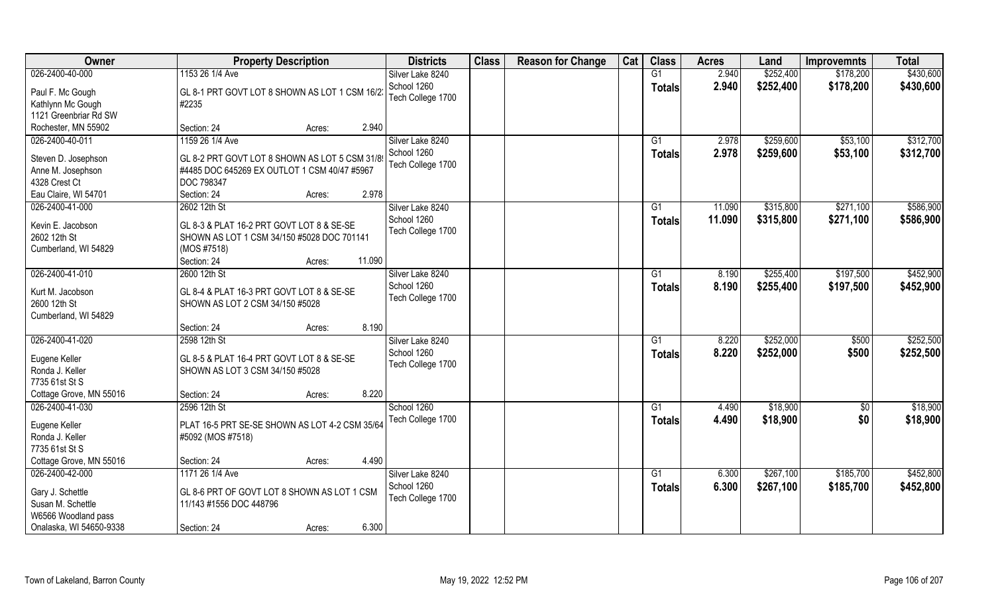| Owner                   | <b>Property Description</b>                    | <b>Districts</b>  | <b>Class</b> | <b>Reason for Change</b> | Cat | <b>Class</b>  | <b>Acres</b> | Land      | <b>Improvemnts</b> | <b>Total</b> |
|-------------------------|------------------------------------------------|-------------------|--------------|--------------------------|-----|---------------|--------------|-----------|--------------------|--------------|
| 026-2400-40-000         | 1153 26 1/4 Ave                                | Silver Lake 8240  |              |                          |     | G1            | 2.940        | \$252,400 | \$178,200          | \$430,600    |
| Paul F. Mc Gough        | GL 8-1 PRT GOVT LOT 8 SHOWN AS LOT 1 CSM 16/2. | School 1260       |              |                          |     | <b>Totals</b> | 2.940        | \$252,400 | \$178,200          | \$430,600    |
| Kathlynn Mc Gough       | #2235                                          | Tech College 1700 |              |                          |     |               |              |           |                    |              |
| 1121 Greenbriar Rd SW   |                                                |                   |              |                          |     |               |              |           |                    |              |
| Rochester, MN 55902     | 2.940<br>Section: 24<br>Acres:                 |                   |              |                          |     |               |              |           |                    |              |
| 026-2400-40-011         | 1159 26 1/4 Ave                                | Silver Lake 8240  |              |                          |     | G1            | 2.978        | \$259,600 | \$53,100           | \$312,700    |
|                         |                                                | School 1260       |              |                          |     | <b>Totals</b> | 2.978        | \$259,600 | \$53,100           | \$312,700    |
| Steven D. Josephson     | GL 8-2 PRT GOVT LOT 8 SHOWN AS LOT 5 CSM 31/89 | Tech College 1700 |              |                          |     |               |              |           |                    |              |
| Anne M. Josephson       | #4485 DOC 645269 EX OUTLOT 1 CSM 40/47 #5967   |                   |              |                          |     |               |              |           |                    |              |
| 4328 Crest Ct           | <b>DOC 798347</b>                              |                   |              |                          |     |               |              |           |                    |              |
| Eau Claire, WI 54701    | Section: 24<br>2.978<br>Acres:                 |                   |              |                          |     |               |              |           |                    |              |
| 026-2400-41-000         | 2602 12th St                                   | Silver Lake 8240  |              |                          |     | G1            | 11.090       | \$315,800 | \$271,100          | \$586,900    |
| Kevin E. Jacobson       | GL 8-3 & PLAT 16-2 PRT GOVT LOT 8 & SE-SE      | School 1260       |              |                          |     | <b>Totals</b> | 11.090       | \$315,800 | \$271,100          | \$586,900    |
| 2602 12th St            | SHOWN AS LOT 1 CSM 34/150 #5028 DOC 701141     | Tech College 1700 |              |                          |     |               |              |           |                    |              |
| Cumberland, WI 54829    | (MOS #7518)                                    |                   |              |                          |     |               |              |           |                    |              |
|                         | 11.090<br>Section: 24<br>Acres:                |                   |              |                          |     |               |              |           |                    |              |
| 026-2400-41-010         | 2600 12th St                                   | Silver Lake 8240  |              |                          |     | G1            | 8.190        | \$255,400 | \$197,500          | \$452,900    |
| Kurt M. Jacobson        | GL 8-4 & PLAT 16-3 PRT GOVT LOT 8 & SE-SE      | School 1260       |              |                          |     | <b>Totals</b> | 8.190        | \$255,400 | \$197,500          | \$452,900    |
| 2600 12th St            | SHOWN AS LOT 2 CSM 34/150 #5028                | Tech College 1700 |              |                          |     |               |              |           |                    |              |
| Cumberland, WI 54829    |                                                |                   |              |                          |     |               |              |           |                    |              |
|                         | 8.190<br>Section: 24<br>Acres:                 |                   |              |                          |     |               |              |           |                    |              |
| 026-2400-41-020         | 2598 12th St                                   | Silver Lake 8240  |              |                          |     | G1            | 8.220        | \$252,000 | \$500              | \$252,500    |
|                         |                                                | School 1260       |              |                          |     | <b>Totals</b> | 8.220        | \$252,000 | \$500              | \$252,500    |
| Eugene Keller           | GL 8-5 & PLAT 16-4 PRT GOVT LOT 8 & SE-SE      | Tech College 1700 |              |                          |     |               |              |           |                    |              |
| Ronda J. Keller         | SHOWN AS LOT 3 CSM 34/150 #5028                |                   |              |                          |     |               |              |           |                    |              |
| 7735 61st St S          |                                                |                   |              |                          |     |               |              |           |                    |              |
| Cottage Grove, MN 55016 | 8.220<br>Section: 24<br>Acres:                 |                   |              |                          |     |               |              |           |                    |              |
| 026-2400-41-030         | 2596 12th St                                   | School 1260       |              |                          |     | G1            | 4.490        | \$18,900  | \$0                | \$18,900     |
| Eugene Keller           | PLAT 16-5 PRT SE-SE SHOWN AS LOT 4-2 CSM 35/64 | Tech College 1700 |              |                          |     | <b>Totals</b> | 4.490        | \$18,900  | \$0                | \$18,900     |
| Ronda J. Keller         | #5092 (MOS #7518)                              |                   |              |                          |     |               |              |           |                    |              |
| 7735 61st St S          |                                                |                   |              |                          |     |               |              |           |                    |              |
| Cottage Grove, MN 55016 | 4.490<br>Section: 24<br>Acres:                 |                   |              |                          |     |               |              |           |                    |              |
| 026-2400-42-000         | 1171 26 1/4 Ave                                | Silver Lake 8240  |              |                          |     | G1            | 6.300        | \$267,100 | \$185,700          | \$452,800    |
|                         |                                                | School 1260       |              |                          |     | <b>Totals</b> | 6.300        | \$267,100 | \$185,700          | \$452,800    |
| Gary J. Schettle        | GL 8-6 PRT OF GOVT LOT 8 SHOWN AS LOT 1 CSM    | Tech College 1700 |              |                          |     |               |              |           |                    |              |
| Susan M. Schettle       | 11/143 #1556 DOC 448796                        |                   |              |                          |     |               |              |           |                    |              |
| W6566 Woodland pass     |                                                |                   |              |                          |     |               |              |           |                    |              |
| Onalaska, WI 54650-9338 | 6.300<br>Section: 24<br>Acres:                 |                   |              |                          |     |               |              |           |                    |              |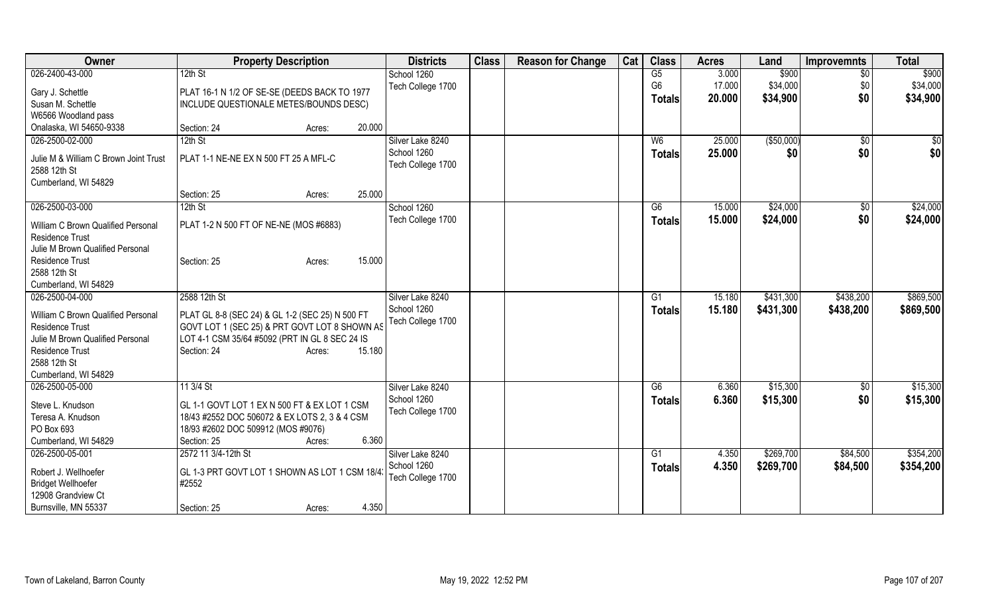| Owner                                                                         | <b>Property Description</b>                     | <b>Districts</b>                 | <b>Class</b> | <b>Reason for Change</b> | Cat | <b>Class</b>   | <b>Acres</b> | Land        | <b>Improvemnts</b> | <b>Total</b>  |
|-------------------------------------------------------------------------------|-------------------------------------------------|----------------------------------|--------------|--------------------------|-----|----------------|--------------|-------------|--------------------|---------------|
| 026-2400-43-000                                                               | 12th St                                         | School 1260                      |              |                          |     | G5             | 3.000        | \$900       | $\overline{50}$    | \$900         |
| Gary J. Schettle                                                              | PLAT 16-1 N 1/2 OF SE-SE (DEEDS BACK TO 1977    | Tech College 1700                |              |                          |     | G <sub>6</sub> | 17.000       | \$34,000    | \$0                | \$34,000      |
| Susan M. Schettle                                                             | INCLUDE QUESTIONALE METES/BOUNDS DESC)          |                                  |              |                          |     | <b>Totals</b>  | 20.000       | \$34,900    | \$0                | \$34,900      |
| W6566 Woodland pass                                                           |                                                 |                                  |              |                          |     |                |              |             |                    |               |
| Onalaska, WI 54650-9338                                                       | Section: 24<br>20.000<br>Acres:                 |                                  |              |                          |     |                |              |             |                    |               |
| 026-2500-02-000                                                               | 12th St                                         | Silver Lake 8240                 |              |                          |     | W <sub>6</sub> | 25.000       | ( \$50,000) | $\overline{50}$    | $\frac{1}{6}$ |
| Julie M & William C Brown Joint Trust<br>2588 12th St<br>Cumberland, WI 54829 | PLAT 1-1 NE-NE EX N 500 FT 25 A MFL-C           | School 1260<br>Tech College 1700 |              |                          |     | <b>Totals</b>  | 25.000       | \$0         | \$0                | \$0           |
|                                                                               | 25.000<br>Section: 25<br>Acres:                 |                                  |              |                          |     |                |              |             |                    |               |
| 026-2500-03-000                                                               | $12th$ St                                       | School 1260                      |              |                          |     | G6             | 15.000       | \$24,000    | \$0                | \$24,000      |
| William C Brown Qualified Personal<br><b>Residence Trust</b>                  | PLAT 1-2 N 500 FT OF NE-NE (MOS #6883)          | Tech College 1700                |              |                          |     | <b>Totals</b>  | 15.000       | \$24,000    | \$0                | \$24,000      |
| Julie M Brown Qualified Personal                                              |                                                 |                                  |              |                          |     |                |              |             |                    |               |
| Residence Trust                                                               | 15.000<br>Section: 25<br>Acres:                 |                                  |              |                          |     |                |              |             |                    |               |
| 2588 12th St<br>Cumberland, WI 54829                                          |                                                 |                                  |              |                          |     |                |              |             |                    |               |
| 026-2500-04-000                                                               | 2588 12th St                                    | Silver Lake 8240                 |              |                          |     | G1             | 15.180       | \$431,300   | \$438,200          | \$869,500     |
|                                                                               |                                                 | School 1260                      |              |                          |     | <b>Totals</b>  | 15.180       | \$431,300   | \$438,200          | \$869,500     |
| William C Brown Qualified Personal                                            | PLAT GL 8-8 (SEC 24) & GL 1-2 (SEC 25) N 500 FT | Tech College 1700                |              |                          |     |                |              |             |                    |               |
| <b>Residence Trust</b>                                                        | GOVT LOT 1 (SEC 25) & PRT GOVT LOT 8 SHOWN AS   |                                  |              |                          |     |                |              |             |                    |               |
| Julie M Brown Qualified Personal                                              | LOT 4-1 CSM 35/64 #5092 (PRT IN GL 8 SEC 24 IS  |                                  |              |                          |     |                |              |             |                    |               |
| <b>Residence Trust</b><br>2588 12th St                                        | 15.180<br>Section: 24<br>Acres:                 |                                  |              |                          |     |                |              |             |                    |               |
| Cumberland, WI 54829                                                          |                                                 |                                  |              |                          |     |                |              |             |                    |               |
| 026-2500-05-000                                                               | 11 3/4 St                                       | Silver Lake 8240                 |              |                          |     | G6             | 6.360        | \$15,300    | \$0                | \$15,300      |
|                                                                               |                                                 | School 1260                      |              |                          |     | <b>Totals</b>  | 6.360        | \$15,300    | \$0                | \$15,300      |
| Steve L. Knudson                                                              | GL 1-1 GOVT LOT 1 EX N 500 FT & EX LOT 1 CSM    | Tech College 1700                |              |                          |     |                |              |             |                    |               |
| Teresa A. Knudson                                                             | 18/43 #2552 DOC 506072 & EX LOTS 2, 3 & 4 CSM   |                                  |              |                          |     |                |              |             |                    |               |
| PO Box 693                                                                    | 18/93 #2602 DOC 509912 (MOS #9076)              |                                  |              |                          |     |                |              |             |                    |               |
| Cumberland, WI 54829                                                          | 6.360<br>Section: 25<br>Acres:                  |                                  |              |                          |     |                |              |             |                    |               |
| 026-2500-05-001                                                               | 2572 11 3/4-12th St                             | Silver Lake 8240                 |              |                          |     | G <sub>1</sub> | 4.350        | \$269,700   | \$84,500           | \$354,200     |
| Robert J. Wellhoefer                                                          | GL 1-3 PRT GOVT LOT 1 SHOWN AS LOT 1 CSM 18/4   | School 1260                      |              |                          |     | <b>Totals</b>  | 4.350        | \$269,700   | \$84,500           | \$354,200     |
| <b>Bridget Wellhoefer</b>                                                     | #2552                                           | Tech College 1700                |              |                          |     |                |              |             |                    |               |
| 12908 Grandview Ct                                                            |                                                 |                                  |              |                          |     |                |              |             |                    |               |
| Burnsville, MN 55337                                                          | 4.350<br>Section: 25<br>Acres:                  |                                  |              |                          |     |                |              |             |                    |               |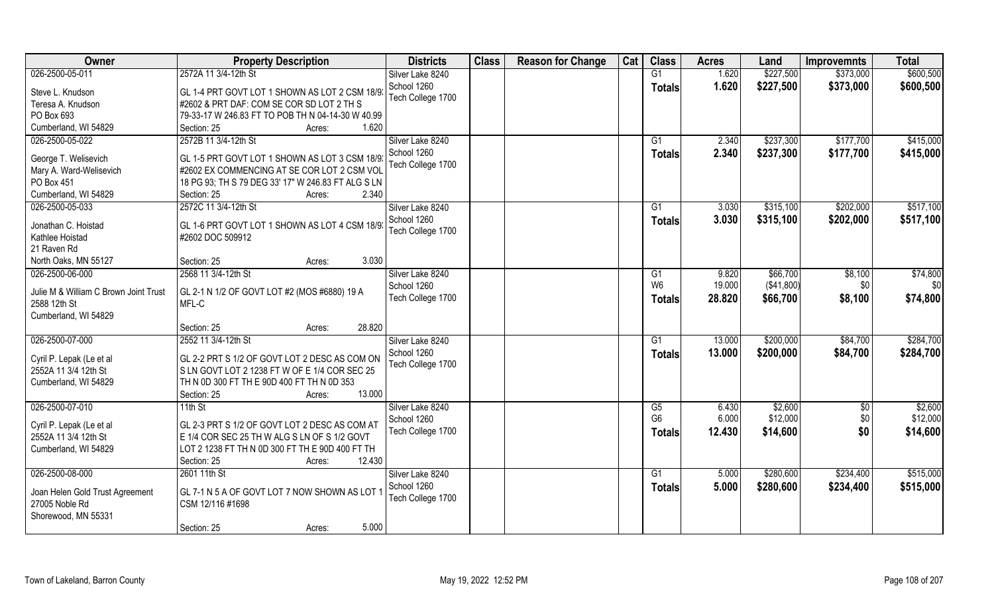| Owner                                 | <b>Property Description</b>                        | <b>Districts</b>  | <b>Class</b> | <b>Reason for Change</b> | Cat | <b>Class</b>    | <b>Acres</b> | Land       | <b>Improvemnts</b> | <b>Total</b> |
|---------------------------------------|----------------------------------------------------|-------------------|--------------|--------------------------|-----|-----------------|--------------|------------|--------------------|--------------|
| 026-2500-05-011                       | 2572A 11 3/4-12th St                               | Silver Lake 8240  |              |                          |     | G1              | 1.620        | \$227,500  | \$373,000          | \$600,500    |
| Steve L. Knudson                      | GL 1-4 PRT GOVT LOT 1 SHOWN AS LOT 2 CSM 18/9:     | School 1260       |              |                          |     | <b>Totals</b>   | 1.620        | \$227,500  | \$373,000          | \$600,500    |
| Teresa A. Knudson                     | #2602 & PRT DAF: COM SE COR SD LOT 2 TH S          | Tech College 1700 |              |                          |     |                 |              |            |                    |              |
| PO Box 693                            | 79-33-17 W 246.83 FT TO POB TH N 04-14-30 W 40.99  |                   |              |                          |     |                 |              |            |                    |              |
| Cumberland, WI 54829                  | 1.620<br>Section: 25<br>Acres:                     |                   |              |                          |     |                 |              |            |                    |              |
| 026-2500-05-022                       | 2572B 11 3/4-12th St                               | Silver Lake 8240  |              |                          |     | $\overline{G1}$ | 2.340        | \$237,300  | \$177,700          | \$415,000    |
|                                       |                                                    | School 1260       |              |                          |     | Totals          | 2.340        | \$237,300  | \$177,700          | \$415,000    |
| George T. Welisevich                  | GL 1-5 PRT GOVT LOT 1 SHOWN AS LOT 3 CSM 18/9      | Tech College 1700 |              |                          |     |                 |              |            |                    |              |
| Mary A. Ward-Welisevich               | #2602 EX COMMENCING AT SE COR LOT 2 CSM VOL        |                   |              |                          |     |                 |              |            |                    |              |
| PO Box 451                            | 18 PG 93; TH S 79 DEG 33' 17" W 246.83 FT ALG S LN |                   |              |                          |     |                 |              |            |                    |              |
| Cumberland, WI 54829                  | 2.340<br>Section: 25<br>Acres:                     |                   |              |                          |     |                 |              |            |                    |              |
| 026-2500-05-033                       | 2572C 11 3/4-12th St                               | Silver Lake 8240  |              |                          |     | G1              | 3.030        | \$315,100  | \$202,000          | \$517,100    |
| Jonathan C. Hoistad                   | GL 1-6 PRT GOVT LOT 1 SHOWN AS LOT 4 CSM 18/9      | School 1260       |              |                          |     | <b>Totals</b>   | 3.030        | \$315,100  | \$202,000          | \$517,100    |
| Kathlee Hoistad                       | #2602 DOC 509912                                   | Tech College 1700 |              |                          |     |                 |              |            |                    |              |
| 21 Raven Rd                           |                                                    |                   |              |                          |     |                 |              |            |                    |              |
| North Oaks, MN 55127                  | 3.030<br>Section: 25<br>Acres:                     |                   |              |                          |     |                 |              |            |                    |              |
| 026-2500-06-000                       | 2568 11 3/4-12th St                                | Silver Lake 8240  |              |                          |     | G1              | 9.820        | \$66,700   | \$8,100            | \$74,800     |
|                                       |                                                    | School 1260       |              |                          |     | W <sub>6</sub>  | 19.000       | (\$41,800) | \$0                | \$0          |
| Julie M & William C Brown Joint Trust | GL 2-1 N 1/2 OF GOVT LOT #2 (MOS #6880) 19 A       | Tech College 1700 |              |                          |     | Totals          | 28.820       | \$66,700   | \$8,100            | \$74,800     |
| 2588 12th St                          | MFL-C                                              |                   |              |                          |     |                 |              |            |                    |              |
| Cumberland, WI 54829                  |                                                    |                   |              |                          |     |                 |              |            |                    |              |
|                                       | 28.820<br>Section: 25<br>Acres:                    |                   |              |                          |     |                 |              |            |                    |              |
| 026-2500-07-000                       | 2552 11 3/4-12th St                                | Silver Lake 8240  |              |                          |     | $\overline{G1}$ | 13.000       | \$200,000  | \$84,700           | \$284,700    |
| Cyril P. Lepak (Le et al              | GL 2-2 PRT S 1/2 OF GOVT LOT 2 DESC AS COM ON      | School 1260       |              |                          |     | Totals          | 13.000       | \$200,000  | \$84,700           | \$284,700    |
| 2552A 11 3/4 12th St                  | S LN GOVT LOT 2 1238 FT W OF E 1/4 COR SEC 25      | Tech College 1700 |              |                          |     |                 |              |            |                    |              |
| Cumberland, WI 54829                  | TH N 0D 300 FT TH E 90D 400 FT TH N 0D 353         |                   |              |                          |     |                 |              |            |                    |              |
|                                       | 13.000<br>Section: 25<br>Acres:                    |                   |              |                          |     |                 |              |            |                    |              |
| 026-2500-07-010                       | 11th St                                            | Silver Lake 8240  |              |                          |     | G5              | 6.430        | \$2,600    | \$0                | \$2,600      |
|                                       |                                                    | School 1260       |              |                          |     | G <sub>6</sub>  | 6.000        | \$12,000   | \$0                | \$12,000     |
| Cyril P. Lepak (Le et al              | GL 2-3 PRT S 1/2 OF GOVT LOT 2 DESC AS COM AT      | Tech College 1700 |              |                          |     | <b>Totals</b>   | 12.430       | \$14,600   | \$0                | \$14,600     |
| 2552A 11 3/4 12th St                  | E 1/4 COR SEC 25 TH W ALG S LN OF S 1/2 GOVT       |                   |              |                          |     |                 |              |            |                    |              |
| Cumberland, WI 54829                  | LOT 2 1238 FT TH N 0D 300 FT TH E 90D 400 FT TH    |                   |              |                          |     |                 |              |            |                    |              |
|                                       | 12.430<br>Section: 25<br>Acres:                    |                   |              |                          |     |                 |              |            |                    |              |
| 026-2500-08-000                       | 2601 11th St                                       | Silver Lake 8240  |              |                          |     | G1              | 5.000        | \$280,600  | \$234,400          | \$515,000    |
| Joan Helen Gold Trust Agreement       | GL 7-1 N 5 A OF GOVT LOT 7 NOW SHOWN AS LOT 1      | School 1260       |              |                          |     | <b>Totals</b>   | 5.000        | \$280,600  | \$234,400          | \$515,000    |
| 27005 Noble Rd                        | CSM 12/116 #1698                                   | Tech College 1700 |              |                          |     |                 |              |            |                    |              |
| Shorewood, MN 55331                   |                                                    |                   |              |                          |     |                 |              |            |                    |              |
|                                       | 5.000<br>Section: 25<br>Acres:                     |                   |              |                          |     |                 |              |            |                    |              |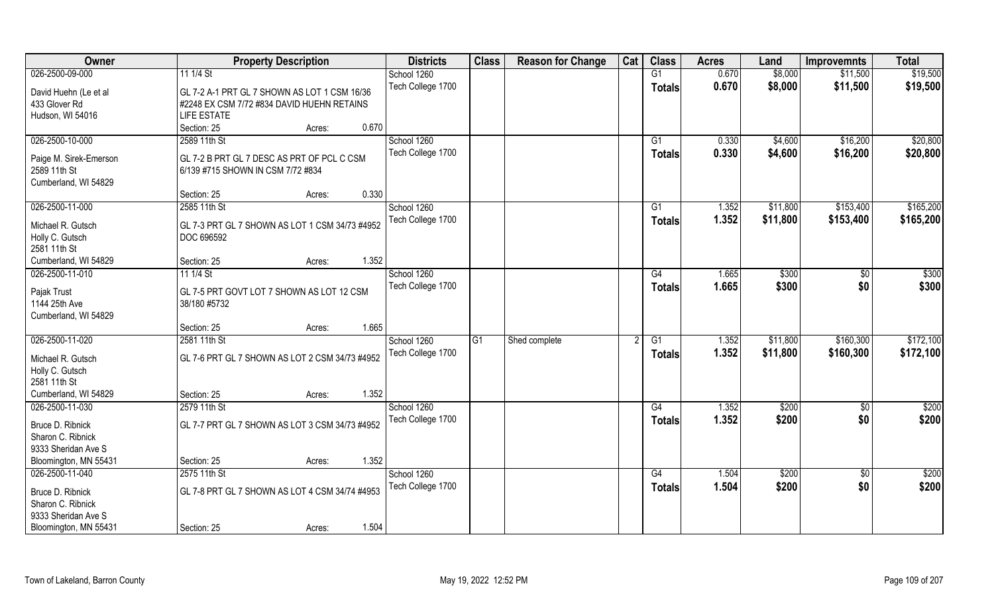| Owner                                 | <b>Property Description</b>                               | <b>Districts</b>  | <b>Class</b>   | <b>Reason for Change</b> | Cat | <b>Class</b>    | <b>Acres</b> | Land     | <b>Improvemnts</b> | <b>Total</b> |
|---------------------------------------|-----------------------------------------------------------|-------------------|----------------|--------------------------|-----|-----------------|--------------|----------|--------------------|--------------|
| 026-2500-09-000                       | 11 1/4 St                                                 | School 1260       |                |                          |     | G1              | 0.670        | \$8,000  | \$11,500           | \$19,500     |
| David Huehn (Le et al                 | GL 7-2 A-1 PRT GL 7 SHOWN AS LOT 1 CSM 16/36              | Tech College 1700 |                |                          |     | <b>Totals</b>   | 0.670        | \$8,000  | \$11,500           | \$19,500     |
| 433 Glover Rd                         | #2248 EX CSM 7/72 #834 DAVID HUEHN RETAINS                |                   |                |                          |     |                 |              |          |                    |              |
| Hudson, WI 54016                      | <b>LIFE ESTATE</b>                                        |                   |                |                          |     |                 |              |          |                    |              |
|                                       | 0.670<br>Section: 25<br>Acres:                            |                   |                |                          |     |                 |              |          |                    |              |
| 026-2500-10-000                       | 2589 11th St                                              | School 1260       |                |                          |     | G1              | 0.330        | \$4,600  | \$16,200           | \$20,800     |
| Paige M. Sirek-Emerson                | GL 7-2 B PRT GL 7 DESC AS PRT OF PCL C CSM                | Tech College 1700 |                |                          |     | <b>Totals</b>   | 0.330        | \$4,600  | \$16,200           | \$20,800     |
| 2589 11th St                          | 6/139 #715 SHOWN IN CSM 7/72 #834                         |                   |                |                          |     |                 |              |          |                    |              |
| Cumberland, WI 54829                  |                                                           |                   |                |                          |     |                 |              |          |                    |              |
|                                       | 0.330<br>Section: 25<br>Acres:                            |                   |                |                          |     |                 |              |          |                    |              |
| 026-2500-11-000                       | 2585 11th St                                              | School 1260       |                |                          |     | G1              | 1.352        | \$11,800 | \$153,400          | \$165,200    |
| Michael R. Gutsch                     | GL 7-3 PRT GL 7 SHOWN AS LOT 1 CSM 34/73 #4952            | Tech College 1700 |                |                          |     | <b>Totals</b>   | 1.352        | \$11,800 | \$153,400          | \$165,200    |
| Holly C. Gutsch                       | DOC 696592                                                |                   |                |                          |     |                 |              |          |                    |              |
| 2581 11th St                          |                                                           |                   |                |                          |     |                 |              |          |                    |              |
| Cumberland, WI 54829                  | 1.352<br>Section: 25<br>Acres:                            |                   |                |                          |     |                 |              |          |                    |              |
| 026-2500-11-010                       | 11 1/4 St                                                 | School 1260       |                |                          |     | G4              | 1.665        | \$300    | \$0                | \$300        |
|                                       |                                                           | Tech College 1700 |                |                          |     | <b>Totals</b>   | 1.665        | \$300    | \$0                | \$300        |
| Pajak Trust<br>1144 25th Ave          | GL 7-5 PRT GOVT LOT 7 SHOWN AS LOT 12 CSM<br>38/180 #5732 |                   |                |                          |     |                 |              |          |                    |              |
| Cumberland, WI 54829                  |                                                           |                   |                |                          |     |                 |              |          |                    |              |
|                                       | 1.665<br>Section: 25<br>Acres:                            |                   |                |                          |     |                 |              |          |                    |              |
| 026-2500-11-020                       | 2581 11th St                                              | School 1260       | G <sub>1</sub> | Shed complete            |     | $\overline{G1}$ | 1.352        | \$11,800 | \$160,300          | \$172,100    |
|                                       |                                                           | Tech College 1700 |                |                          |     | <b>Totals</b>   | 1.352        | \$11,800 | \$160,300          | \$172,100    |
| Michael R. Gutsch<br>Holly C. Gutsch  | GL 7-6 PRT GL 7 SHOWN AS LOT 2 CSM 34/73 #4952            |                   |                |                          |     |                 |              |          |                    |              |
| 2581 11th St                          |                                                           |                   |                |                          |     |                 |              |          |                    |              |
| Cumberland, WI 54829                  | 1.352<br>Section: 25<br>Acres:                            |                   |                |                          |     |                 |              |          |                    |              |
| 026-2500-11-030                       | 2579 11th St                                              | School 1260       |                |                          |     | G4              | 1.352        | \$200    | \$0                | \$200        |
|                                       |                                                           | Tech College 1700 |                |                          |     | <b>Totals</b>   | 1.352        | \$200    | \$0                | \$200        |
| Bruce D. Ribnick<br>Sharon C. Ribnick | GL 7-7 PRT GL 7 SHOWN AS LOT 3 CSM 34/73 #4952            |                   |                |                          |     |                 |              |          |                    |              |
| 9333 Sheridan Ave S                   |                                                           |                   |                |                          |     |                 |              |          |                    |              |
| Bloomington, MN 55431                 | 1.352<br>Section: 25<br>Acres:                            |                   |                |                          |     |                 |              |          |                    |              |
| 026-2500-11-040                       | 2575 11th St                                              | School 1260       |                |                          |     | G4              | 1.504        | \$200    | $\overline{50}$    | \$200        |
|                                       |                                                           | Tech College 1700 |                |                          |     | <b>Totals</b>   | 1.504        | \$200    | \$0                | \$200        |
| Bruce D. Ribnick                      | GL 7-8 PRT GL 7 SHOWN AS LOT 4 CSM 34/74 #4953            |                   |                |                          |     |                 |              |          |                    |              |
| Sharon C. Ribnick                     |                                                           |                   |                |                          |     |                 |              |          |                    |              |
| 9333 Sheridan Ave S                   | 1.504                                                     |                   |                |                          |     |                 |              |          |                    |              |
| Bloomington, MN 55431                 | Section: 25<br>Acres:                                     |                   |                |                          |     |                 |              |          |                    |              |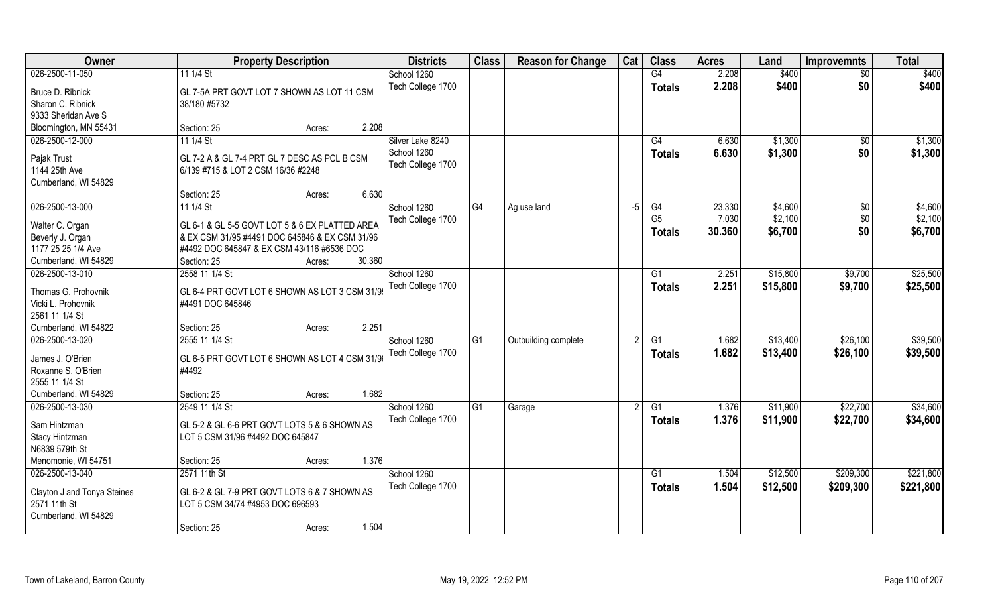| Owner                                 | <b>Property Description</b>                                                        | <b>Districts</b>  | <b>Class</b> | <b>Reason for Change</b> | Cat | <b>Class</b>   | <b>Acres</b> | Land     | <b>Improvemnts</b> | <b>Total</b> |
|---------------------------------------|------------------------------------------------------------------------------------|-------------------|--------------|--------------------------|-----|----------------|--------------|----------|--------------------|--------------|
| 026-2500-11-050                       | 11 1/4 St                                                                          | School 1260       |              |                          |     | G4             | 2.208        | \$400    | $\overline{30}$    | \$400        |
| Bruce D. Ribnick<br>Sharon C. Ribnick | GL 7-5A PRT GOVT LOT 7 SHOWN AS LOT 11 CSM<br>38/180 #5732                         | Tech College 1700 |              |                          |     | <b>Totals</b>  | 2.208        | \$400    | \$0                | \$400        |
| 9333 Sheridan Ave S                   |                                                                                    |                   |              |                          |     |                |              |          |                    |              |
| Bloomington, MN 55431                 | 2.208<br>Section: 25<br>Acres:                                                     |                   |              |                          |     |                |              |          |                    |              |
| 026-2500-12-000                       | 11 1/4 St                                                                          | Silver Lake 8240  |              |                          |     | G4             | 6.630        | \$1,300  | \$0                | \$1,300      |
|                                       |                                                                                    | School 1260       |              |                          |     | <b>Totals</b>  | 6.630        | \$1,300  | \$0                | \$1,300      |
| Pajak Trust<br>1144 25th Ave          | GL 7-2 A & GL 7-4 PRT GL 7 DESC AS PCL B CSM<br>6/139 #715 & LOT 2 CSM 16/36 #2248 | Tech College 1700 |              |                          |     |                |              |          |                    |              |
| Cumberland, WI 54829                  |                                                                                    |                   |              |                          |     |                |              |          |                    |              |
|                                       | 6.630<br>Section: 25<br>Acres:                                                     |                   |              |                          |     |                |              |          |                    |              |
| 026-2500-13-000                       | 11 1/4 St                                                                          | School 1260       | G4           | Ag use land              | -5  | G4             | 23.330       | \$4,600  | $\sqrt[6]{30}$     | \$4,600      |
|                                       |                                                                                    | Tech College 1700 |              |                          |     | G <sub>5</sub> | 7.030        | \$2,100  | \$0                | \$2,100      |
| Walter C. Organ                       | $\mid$ GL 6-1 & GL 5-5 GOVT LOT 5 & 6 EX PLATTED AREA                              |                   |              |                          |     | <b>Totals</b>  | 30.360       | \$6,700  | \$0                | \$6,700      |
| Beverly J. Organ                      | & EX CSM 31/95 #4491 DOC 645846 & EX CSM 31/96                                     |                   |              |                          |     |                |              |          |                    |              |
| 1177 25 25 1/4 Ave                    | #4492 DOC 645847 & EX CSM 43/116 #6536 DOC                                         |                   |              |                          |     |                |              |          |                    |              |
| Cumberland, WI 54829                  | 30.360<br>Section: 25<br>Acres:                                                    |                   |              |                          |     |                |              |          |                    |              |
| 026-2500-13-010                       | 2558 11 1/4 St                                                                     | School 1260       |              |                          |     | G <sub>1</sub> | 2.251        | \$15,800 | \$9,700            | \$25,500     |
| Thomas G. Prohovnik                   | GL 6-4 PRT GOVT LOT 6 SHOWN AS LOT 3 CSM 31/9                                      | Tech College 1700 |              |                          |     | <b>Totals</b>  | 2.251        | \$15,800 | \$9,700            | \$25,500     |
| Vicki L. Prohovnik                    | #4491 DOC 645846                                                                   |                   |              |                          |     |                |              |          |                    |              |
| 2561 11 1/4 St                        |                                                                                    |                   |              |                          |     |                |              |          |                    |              |
| Cumberland, WI 54822                  | 2.251<br>Section: 25<br>Acres:                                                     |                   |              |                          |     |                |              |          |                    |              |
| 026-2500-13-020                       | 2555 11 1/4 St                                                                     | School 1260       | G1           | Outbuilding complete     |     | G1             | 1.682        | \$13,400 | \$26,100           | \$39,500     |
| James J. O'Brien                      | GL 6-5 PRT GOVT LOT 6 SHOWN AS LOT 4 CSM 31/9                                      | Tech College 1700 |              |                          |     | <b>Totals</b>  | 1.682        | \$13,400 | \$26,100           | \$39,500     |
| Roxanne S. O'Brien                    | #4492                                                                              |                   |              |                          |     |                |              |          |                    |              |
| 2555 11 1/4 St                        |                                                                                    |                   |              |                          |     |                |              |          |                    |              |
| Cumberland, WI 54829                  | 1.682<br>Section: 25<br>Acres:                                                     |                   |              |                          |     |                |              |          |                    |              |
| 026-2500-13-030                       | 2549 11 1/4 St                                                                     | School 1260       | G1           | Garage                   | 2   | G1             | 1.376        | \$11,900 | \$22,700           | \$34,600     |
| Sam Hintzman                          | GL 5-2 & GL 6-6 PRT GOVT LOTS 5 & 6 SHOWN AS                                       | Tech College 1700 |              |                          |     | <b>Totals</b>  | 1.376        | \$11,900 | \$22,700           | \$34,600     |
| Stacy Hintzman                        | LOT 5 CSM 31/96 #4492 DOC 645847                                                   |                   |              |                          |     |                |              |          |                    |              |
| N6839 579th St                        |                                                                                    |                   |              |                          |     |                |              |          |                    |              |
| Menomonie, WI 54751                   | 1.376<br>Section: 25<br>Acres:                                                     |                   |              |                          |     |                |              |          |                    |              |
| 026-2500-13-040                       | 2571 11th St                                                                       | School 1260       |              |                          |     | G1             | 1.504        | \$12,500 | \$209,300          | \$221,800    |
|                                       |                                                                                    | Tech College 1700 |              |                          |     | <b>Totals</b>  | 1.504        | \$12,500 | \$209,300          | \$221,800    |
| Clayton J and Tonya Steines           | GL 6-2 & GL 7-9 PRT GOVT LOTS 6 & 7 SHOWN AS                                       |                   |              |                          |     |                |              |          |                    |              |
| 2571 11th St                          | LOT 5 CSM 34/74 #4953 DOC 696593                                                   |                   |              |                          |     |                |              |          |                    |              |
| Cumberland, WI 54829                  | 1.504                                                                              |                   |              |                          |     |                |              |          |                    |              |
|                                       | Section: 25<br>Acres:                                                              |                   |              |                          |     |                |              |          |                    |              |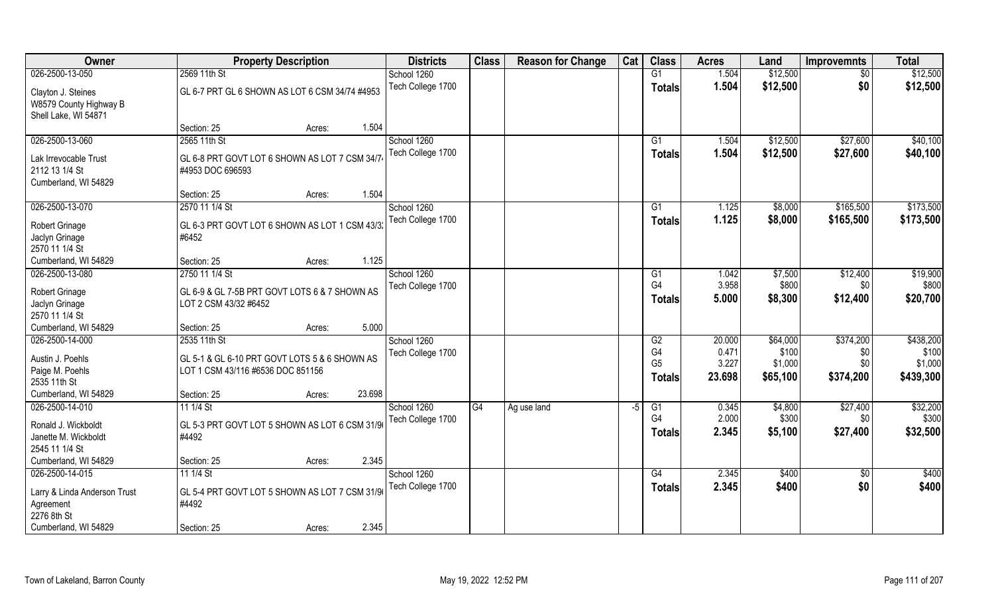| Owner                                                                |                                                                                    | <b>Property Description</b> |        | <b>Districts</b>                 | <b>Class</b> | <b>Reason for Change</b> | Cat  | <b>Class</b>                          | <b>Acres</b>             | Land                         | <b>Improvemnts</b>      | <b>Total</b>                  |
|----------------------------------------------------------------------|------------------------------------------------------------------------------------|-----------------------------|--------|----------------------------------|--------------|--------------------------|------|---------------------------------------|--------------------------|------------------------------|-------------------------|-------------------------------|
| 026-2500-13-050                                                      | 2569 11th St                                                                       |                             |        | School 1260                      |              |                          |      | G1                                    | 1.504                    | \$12,500                     | $\sqrt{50}$             | \$12,500                      |
| Clayton J. Steines<br>W8579 County Highway B<br>Shell Lake, WI 54871 | GL 6-7 PRT GL 6 SHOWN AS LOT 6 CSM 34/74 #4953                                     |                             |        | Tech College 1700                |              |                          |      | <b>Totals</b>                         | 1.504                    | \$12,500                     | \$0                     | \$12,500                      |
|                                                                      | Section: 25                                                                        | Acres:                      | 1.504  |                                  |              |                          |      |                                       |                          |                              |                         |                               |
| 026-2500-13-060                                                      | 2565 11th St                                                                       |                             |        | School 1260<br>Tech College 1700 |              |                          |      | G1<br>Totals                          | 1.504<br>1.504           | \$12,500<br>\$12,500         | \$27,600<br>\$27,600    | \$40,100<br>\$40,100          |
| Lak Irrevocable Trust<br>2112 13 1/4 St<br>Cumberland, WI 54829      | GL 6-8 PRT GOVT LOT 6 SHOWN AS LOT 7 CSM 34/74<br>#4953 DOC 696593                 |                             |        |                                  |              |                          |      |                                       |                          |                              |                         |                               |
|                                                                      | Section: 25                                                                        | Acres:                      | 1.504  |                                  |              |                          |      |                                       |                          |                              |                         |                               |
| 026-2500-13-070                                                      | 2570 11 1/4 St                                                                     |                             |        | School 1260                      |              |                          |      | G1                                    | 1.125                    | \$8,000                      | \$165,500               | \$173,500                     |
| <b>Robert Grinage</b><br>Jaclyn Grinage<br>2570 11 1/4 St            | GL 6-3 PRT GOVT LOT 6 SHOWN AS LOT 1 CSM 43/3:<br>#6452                            |                             |        | Tech College 1700                |              |                          |      | <b>Totals</b>                         | 1.125                    | \$8,000                      | \$165,500               | \$173,500                     |
| Cumberland, WI 54829                                                 | Section: 25                                                                        | Acres:                      | 1.125  |                                  |              |                          |      |                                       |                          |                              |                         |                               |
| 026-2500-13-080                                                      | 2750 11 1/4 St                                                                     |                             |        | School 1260                      |              |                          |      | G1                                    | 1.042                    | \$7,500                      | \$12,400                | \$19,900                      |
| Robert Grinage<br>Jaclyn Grinage<br>2570 11 1/4 St                   | GL 6-9 & GL 7-5B PRT GOVT LOTS 6 & 7 SHOWN AS<br>LOT 2 CSM 43/32 #6452             |                             |        | Tech College 1700                |              |                          |      | G <sub>4</sub><br><b>Totals</b>       | 3.958<br>5.000           | \$800<br>\$8,300             | \$0<br>\$12,400         | \$800<br>\$20,700             |
| Cumberland, WI 54829                                                 | Section: 25                                                                        | Acres:                      | 5.000  |                                  |              |                          |      |                                       |                          |                              |                         |                               |
| 026-2500-14-000                                                      | 2535 11th St                                                                       |                             |        | School 1260                      |              |                          |      | G2                                    | 20.000                   | \$64,000                     | \$374,200               | \$438,200                     |
| Austin J. Poehls<br>Paige M. Poehls<br>2535 11th St                  | GL 5-1 & GL 6-10 PRT GOVT LOTS 5 & 6 SHOWN AS<br>LOT 1 CSM 43/116 #6536 DOC 851156 |                             |        | Tech College 1700                |              |                          |      | G4<br>G <sub>5</sub><br><b>Totals</b> | 0.471<br>3.227<br>23.698 | \$100<br>\$1,000<br>\$65,100 | \$0<br>\$0<br>\$374,200 | \$100<br>\$1,000<br>\$439,300 |
| Cumberland, WI 54829                                                 | Section: 25                                                                        | Acres:                      | 23.698 |                                  |              |                          |      |                                       |                          |                              |                         |                               |
| 026-2500-14-010                                                      | 11 1/4 St                                                                          |                             |        | School 1260                      | G4           | Ag use land              | $-5$ | G1                                    | 0.345                    | \$4,800                      | \$27,400                | \$32,200                      |
| Ronald J. Wickboldt<br>Janette M. Wickboldt<br>2545 11 1/4 St        | GL 5-3 PRT GOVT LOT 5 SHOWN AS LOT 6 CSM 31/96<br>#4492                            |                             |        | Tech College 1700                |              |                          |      | G4<br><b>Totals</b>                   | 2.000<br>2.345           | \$300<br>\$5,100             | \$0<br>\$27,400         | \$300<br>\$32,500             |
| Cumberland, WI 54829                                                 | Section: 25                                                                        | Acres:                      | 2.345  |                                  |              |                          |      |                                       |                          |                              |                         |                               |
| 026-2500-14-015                                                      | 11 1/4 St                                                                          |                             |        | School 1260                      |              |                          |      | G4                                    | 2.345                    | \$400                        | $\overline{50}$         | \$400                         |
| Larry & Linda Anderson Trust<br>Agreement<br>2276 8th St             | GL 5-4 PRT GOVT LOT 5 SHOWN AS LOT 7 CSM 31/9<br>#4492                             |                             |        | Tech College 1700                |              |                          |      | Totals                                | 2.345                    | \$400                        | \$0                     | \$400                         |
| Cumberland, WI 54829                                                 | Section: 25                                                                        | Acres:                      | 2.345  |                                  |              |                          |      |                                       |                          |                              |                         |                               |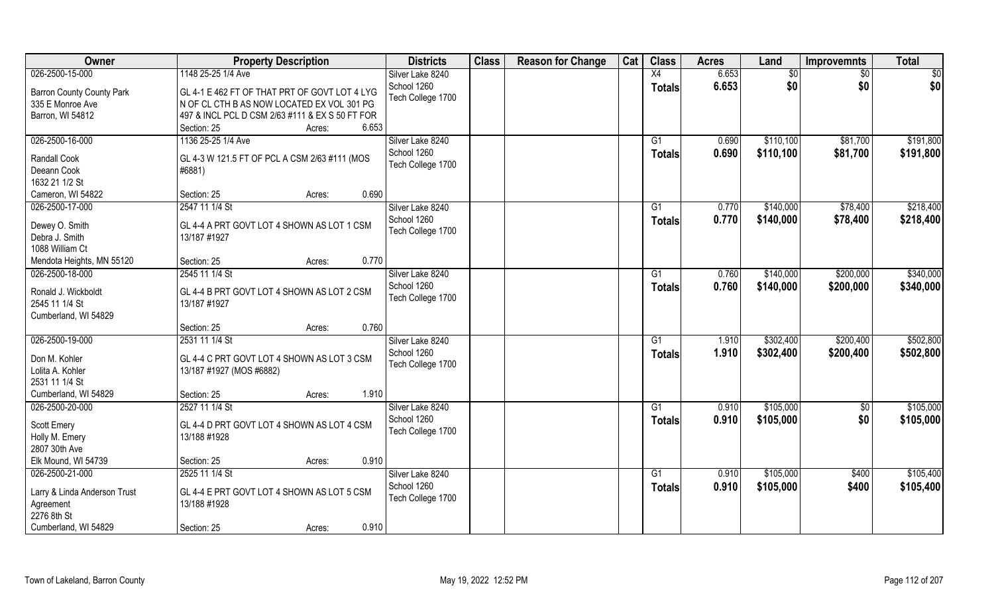| Owner                                                                    | <b>Property Description</b>                                                                                                                                                      | <b>Districts</b>                 | <b>Class</b> | <b>Reason for Change</b> | Cat | <b>Class</b>  | <b>Acres</b> | Land      | <b>Improvemnts</b> | <b>Total</b> |
|--------------------------------------------------------------------------|----------------------------------------------------------------------------------------------------------------------------------------------------------------------------------|----------------------------------|--------------|--------------------------|-----|---------------|--------------|-----------|--------------------|--------------|
| 026-2500-15-000                                                          | 1148 25-25 1/4 Ave                                                                                                                                                               | Silver Lake 8240                 |              |                          |     | X4            | 6.653        | \$0       | \$0                | \$0          |
| <b>Barron County County Park</b><br>335 E Monroe Ave<br>Barron, WI 54812 | GL 4-1 E 462 FT OF THAT PRT OF GOVT LOT 4 LYG<br>N OF CL CTH B AS NOW LOCATED EX VOL 301 PG<br>497 & INCL PCL D CSM 2/63 #111 & EX S 50 FT FOR<br>6.653<br>Section: 25<br>Acres: | School 1260<br>Tech College 1700 |              |                          |     | Totals        | 6.653        | \$0       | \$0                | \$0          |
| 026-2500-16-000                                                          | 1136 25-25 1/4 Ave                                                                                                                                                               | Silver Lake 8240                 |              |                          |     | G1            | 0.690        | \$110,100 | \$81,700           | \$191,800    |
| <b>Randall Cook</b><br>Deeann Cook<br>1632 21 1/2 St                     | GL 4-3 W 121.5 FT OF PCL A CSM 2/63 #111 (MOS<br>#6881)                                                                                                                          | School 1260<br>Tech College 1700 |              |                          |     | Totals        | 0.690        | \$110,100 | \$81,700           | \$191,800    |
| Cameron, WI 54822                                                        | 0.690<br>Section: 25<br>Acres:                                                                                                                                                   |                                  |              |                          |     |               |              |           |                    |              |
| 026-2500-17-000                                                          | 2547 11 1/4 St                                                                                                                                                                   | Silver Lake 8240                 |              |                          |     | G1            | 0.770        | \$140,000 | \$78,400           | \$218,400    |
| Dewey O. Smith<br>Debra J. Smith<br>1088 William Ct                      | GL 4-4 A PRT GOVT LOT 4 SHOWN AS LOT 1 CSM<br>13/187 #1927                                                                                                                       | School 1260<br>Tech College 1700 |              |                          |     | <b>Totals</b> | 0.770        | \$140,000 | \$78,400           | \$218,400    |
| Mendota Heights, MN 55120                                                | 0.770<br>Section: 25<br>Acres:                                                                                                                                                   |                                  |              |                          |     |               |              |           |                    |              |
| 026-2500-18-000                                                          | 2545 11 1/4 St                                                                                                                                                                   | Silver Lake 8240                 |              |                          |     | G1            | 0.760        | \$140,000 | \$200,000          | \$340,000    |
| Ronald J. Wickboldt<br>2545 11 1/4 St<br>Cumberland, WI 54829            | GL 4-4 B PRT GOVT LOT 4 SHOWN AS LOT 2 CSM<br>13/187 #1927                                                                                                                       | School 1260<br>Tech College 1700 |              |                          |     | <b>Totals</b> | 0.760        | \$140,000 | \$200,000          | \$340,000    |
|                                                                          | 0.760<br>Section: 25<br>Acres:                                                                                                                                                   |                                  |              |                          |     |               |              |           |                    |              |
| 026-2500-19-000                                                          | 2531 11 1/4 St                                                                                                                                                                   | Silver Lake 8240                 |              |                          |     | G1            | 1.910        | \$302,400 | \$200,400          | \$502,800    |
| Don M. Kohler<br>Lolita A. Kohler<br>2531 11 1/4 St                      | GL 4-4 C PRT GOVT LOT 4 SHOWN AS LOT 3 CSM<br>13/187 #1927 (MOS #6882)                                                                                                           | School 1260<br>Tech College 1700 |              |                          |     | <b>Totals</b> | 1.910        | \$302,400 | \$200,400          | \$502,800    |
| Cumberland, WI 54829                                                     | Section: 25<br>1.910<br>Acres:                                                                                                                                                   |                                  |              |                          |     |               |              |           |                    |              |
| 026-2500-20-000                                                          | 2527 11 1/4 St                                                                                                                                                                   | Silver Lake 8240                 |              |                          |     | G1            | 0.910        | \$105,000 | $\overline{50}$    | \$105,000    |
| Scott Emery<br>Holly M. Emery<br>2807 30th Ave                           | GL 4-4 D PRT GOVT LOT 4 SHOWN AS LOT 4 CSM<br>13/188 #1928                                                                                                                       | School 1260<br>Tech College 1700 |              |                          |     | <b>Totals</b> | 0.910        | \$105,000 | \$0                | \$105,000    |
| Elk Mound, WI 54739                                                      | 0.910<br>Section: 25<br>Acres:                                                                                                                                                   |                                  |              |                          |     |               |              |           |                    |              |
| 026-2500-21-000                                                          | 2525 11 1/4 St                                                                                                                                                                   | Silver Lake 8240                 |              |                          |     | G1            | 0.910        | \$105,000 | \$400              | \$105,400    |
| Larry & Linda Anderson Trust<br>Agreement<br>2276 8th St                 | GL 4-4 E PRT GOVT LOT 4 SHOWN AS LOT 5 CSM<br>13/188 #1928                                                                                                                       | School 1260<br>Tech College 1700 |              |                          |     | Totals        | 0.910        | \$105,000 | \$400              | \$105,400    |
| Cumberland, WI 54829                                                     | 0.910<br>Section: 25<br>Acres:                                                                                                                                                   |                                  |              |                          |     |               |              |           |                    |              |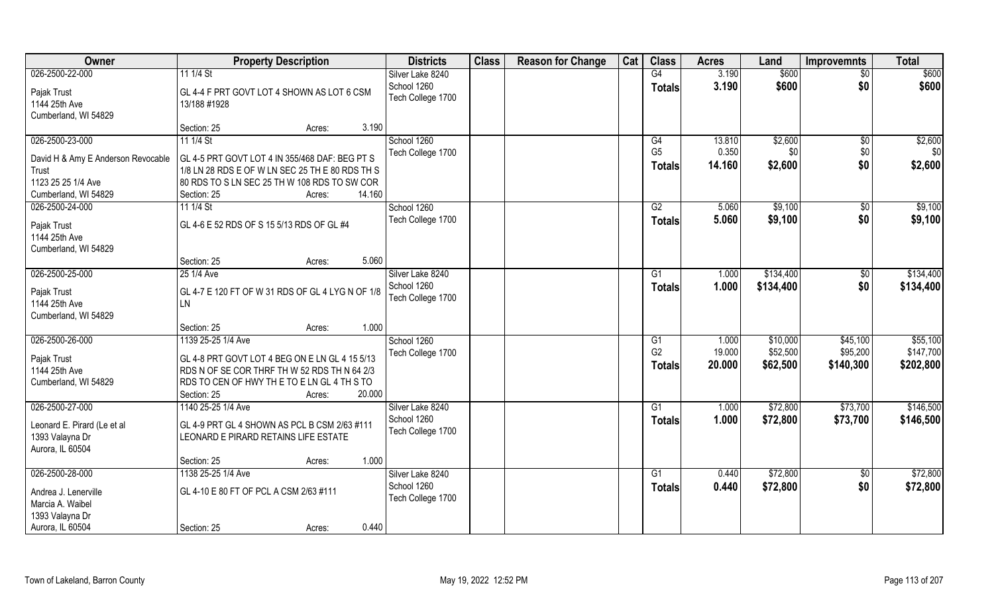| Owner                              | <b>Property Description</b>                            | <b>Districts</b>                | <b>Class</b> | <b>Reason for Change</b> | Cat | <b>Class</b>    | <b>Acres</b> | Land      | <b>Improvemnts</b> | <b>Total</b> |
|------------------------------------|--------------------------------------------------------|---------------------------------|--------------|--------------------------|-----|-----------------|--------------|-----------|--------------------|--------------|
| 026-2500-22-000                    | 11 1/4 St                                              | Silver Lake 8240                |              |                          |     | G4              | 3.190        | \$600     | $\sqrt{$0}$        | \$600        |
| Pajak Trust                        | GL 4-4 F PRT GOVT LOT 4 SHOWN AS LOT 6 CSM             | School 1260                     |              |                          |     | <b>Totals</b>   | 3.190        | \$600     | \$0                | \$600        |
| 1144 25th Ave                      | 13/188 #1928                                           | Tech College 1700               |              |                          |     |                 |              |           |                    |              |
| Cumberland, WI 54829               |                                                        |                                 |              |                          |     |                 |              |           |                    |              |
|                                    | 3.190<br>Section: 25<br>Acres:                         |                                 |              |                          |     |                 |              |           |                    |              |
| 026-2500-23-000                    | $111/4$ St                                             | School 1260                     |              |                          |     | G4              | 13.810       | \$2,600   | \$0                | \$2,600      |
| David H & Amy E Anderson Revocable | GL 4-5 PRT GOVT LOT 4 IN 355/468 DAF: BEG PT S         | Tech College 1700               |              |                          |     | G <sub>5</sub>  | 0.350        | \$0       | \$0                | \$0          |
| Trust                              | 1/8 LN 28 RDS E OF W LN SEC 25 TH E 80 RDS TH S        |                                 |              |                          |     | <b>Totals</b>   | 14.160       | \$2,600   | \$0                | \$2,600      |
| 1123 25 25 1/4 Ave                 | 80 RDS TO S LN SEC 25 TH W 108 RDS TO SW COR           |                                 |              |                          |     |                 |              |           |                    |              |
| Cumberland, WI 54829               | 14.160<br>Section: 25<br>Acres:                        |                                 |              |                          |     |                 |              |           |                    |              |
| 026-2500-24-000                    | 11 1/4 St                                              | School 1260                     |              |                          |     | G2              | 5.060        | \$9,100   | $\sqrt[6]{3}$      | \$9,100      |
| Pajak Trust                        | GL 4-6 E 52 RDS OF S 15 5/13 RDS OF GL #4              | Tech College 1700               |              |                          |     | <b>Totals</b>   | 5.060        | \$9,100   | \$0                | \$9,100      |
| 1144 25th Ave                      |                                                        |                                 |              |                          |     |                 |              |           |                    |              |
| Cumberland, WI 54829               |                                                        |                                 |              |                          |     |                 |              |           |                    |              |
|                                    | 5.060<br>Section: 25<br>Acres:                         |                                 |              |                          |     |                 |              |           |                    |              |
| 026-2500-25-000                    | 25 1/4 Ave                                             | Silver Lake 8240                |              |                          |     | G1              | 1.000        | \$134,400 | \$0                | \$134,400    |
|                                    |                                                        | School 1260                     |              |                          |     | <b>Totals</b>   | 1.000        | \$134,400 | \$0                | \$134,400    |
| Pajak Trust<br>1144 25th Ave       | GL 4-7 E 120 FT OF W 31 RDS OF GL 4 LYG N OF 1/8<br>LN | Tech College 1700               |              |                          |     |                 |              |           |                    |              |
| Cumberland, WI 54829               |                                                        |                                 |              |                          |     |                 |              |           |                    |              |
|                                    | 1.000<br>Section: 25<br>Acres:                         |                                 |              |                          |     |                 |              |           |                    |              |
| 026-2500-26-000                    | 1139 25-25 1/4 Ave                                     | School 1260                     |              |                          |     | $\overline{G1}$ | 1.000        | \$10,000  | \$45,100           | \$55,100     |
|                                    |                                                        | Tech College 1700               |              |                          |     | G <sub>2</sub>  | 19.000       | \$52,500  | \$95,200           | \$147,700    |
| Pajak Trust                        | GL 4-8 PRT GOVT LOT 4 BEG ON E LN GL 4 15 5/13         |                                 |              |                          |     | Totals          | 20.000       | \$62,500  | \$140,300          | \$202,800    |
| 1144 25th Ave                      | RDS N OF SE COR THRF TH W 52 RDS TH N 64 2/3           |                                 |              |                          |     |                 |              |           |                    |              |
| Cumberland, WI 54829               | RDS TO CEN OF HWY THE TO ELN GL 4 TH S TO              |                                 |              |                          |     |                 |              |           |                    |              |
| 026-2500-27-000                    | 20.000<br>Section: 25<br>Acres:                        |                                 |              |                          |     |                 |              |           |                    |              |
|                                    | 1140 25-25 1/4 Ave                                     | Silver Lake 8240<br>School 1260 |              |                          |     | G1              | 1.000        | \$72,800  | \$73,700           | \$146,500    |
| Leonard E. Pirard (Le et al        | GL 4-9 PRT GL 4 SHOWN AS PCL B CSM 2/63 #111           | Tech College 1700               |              |                          |     | <b>Totals</b>   | 1.000        | \$72,800  | \$73,700           | \$146,500    |
| 1393 Valayna Dr                    | LEONARD E PIRARD RETAINS LIFE ESTATE                   |                                 |              |                          |     |                 |              |           |                    |              |
| Aurora, IL 60504                   |                                                        |                                 |              |                          |     |                 |              |           |                    |              |
|                                    | 1.000<br>Section: 25<br>Acres:                         |                                 |              |                          |     |                 |              |           |                    |              |
| 026-2500-28-000                    | 1138 25-25 1/4 Ave                                     | Silver Lake 8240                |              |                          |     | $\overline{G1}$ | 0.440        | \$72,800  | $\sqrt{$0}$        | \$72,800     |
| Andrea J. Lenerville               | GL 4-10 E 80 FT OF PCL A CSM 2/63 #111                 | School 1260                     |              |                          |     | <b>Totals</b>   | 0.440        | \$72,800  | \$0                | \$72,800     |
| Marcia A. Waibel                   |                                                        | Tech College 1700               |              |                          |     |                 |              |           |                    |              |
| 1393 Valayna Dr                    |                                                        |                                 |              |                          |     |                 |              |           |                    |              |
| Aurora, IL 60504                   | 0.440<br>Section: 25<br>Acres:                         |                                 |              |                          |     |                 |              |           |                    |              |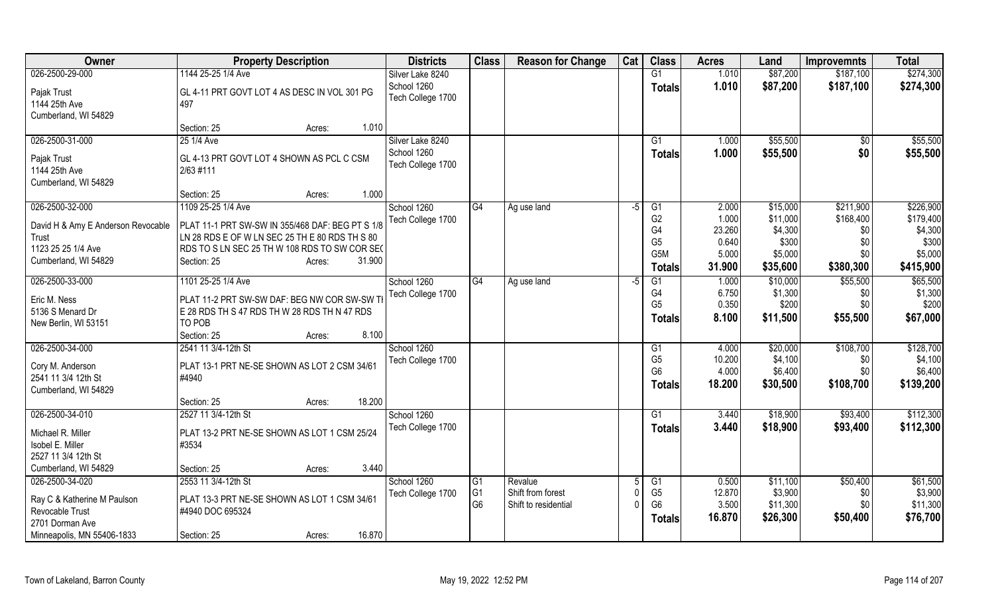| Owner                                                             | <b>Property Description</b>                                                                            | <b>Districts</b>                 | <b>Class</b>                     | <b>Reason for Change</b>                  | Cat  | <b>Class</b>                                       | <b>Acres</b>              | Land                            | <b>Improvemnts</b>      | <b>Total</b>                    |
|-------------------------------------------------------------------|--------------------------------------------------------------------------------------------------------|----------------------------------|----------------------------------|-------------------------------------------|------|----------------------------------------------------|---------------------------|---------------------------------|-------------------------|---------------------------------|
| 026-2500-29-000                                                   | 1144 25-25 1/4 Ave                                                                                     | Silver Lake 8240                 |                                  |                                           |      | $\overline{G1}$                                    | 1.010                     | \$87,200                        | \$187,100               | \$274,300                       |
| Pajak Trust<br>1144 25th Ave<br>Cumberland, WI 54829              | GL 4-11 PRT GOVT LOT 4 AS DESC IN VOL 301 PG<br>497                                                    | School 1260<br>Tech College 1700 |                                  |                                           |      | <b>Totals</b>                                      | 1.010                     | \$87,200                        | \$187,100               | \$274,300                       |
|                                                                   | 1.010<br>Section: 25<br>Acres:                                                                         |                                  |                                  |                                           |      |                                                    |                           |                                 |                         |                                 |
| 026-2500-31-000                                                   | 25 1/4 Ave                                                                                             | Silver Lake 8240                 |                                  |                                           |      | G1                                                 | 1.000                     | \$55,500                        | \$0                     | \$55,500                        |
| Pajak Trust<br>1144 25th Ave<br>Cumberland, WI 54829              | GL 4-13 PRT GOVT LOT 4 SHOWN AS PCL C CSM<br>2/63 #111                                                 | School 1260<br>Tech College 1700 |                                  |                                           |      | <b>Totals</b>                                      | 1.000                     | \$55,500                        | \$0                     | \$55,500                        |
|                                                                   | 1.000<br>Section: 25<br>Acres:                                                                         |                                  |                                  |                                           |      |                                                    |                           |                                 |                         |                                 |
| 026-2500-32-000                                                   | 1109 25-25 1/4 Ave                                                                                     | School 1260                      | G4                               | Ag use land                               | $-5$ | G1                                                 | 2.000                     | \$15,000                        | \$211,900               | \$226,900                       |
| David H & Amy E Anderson Revocable<br>Trust                       | PLAT 11-1 PRT SW-SW IN 355/468 DAF: BEG PT S 1/8<br>LN 28 RDS E OF W LN SEC 25 TH E 80 RDS TH S 80     | Tech College 1700                |                                  |                                           |      | G <sub>2</sub><br>G <sub>4</sub><br>G <sub>5</sub> | 1.000<br>23.260<br>0.640  | \$11,000<br>\$4,300<br>\$300    | \$168,400<br>\$0<br>\$0 | \$179,400<br>\$4,300<br>\$300   |
| 1123 25 25 1/4 Ave                                                | RDS TO S LN SEC 25 TH W 108 RDS TO SW COR SEC                                                          |                                  |                                  |                                           |      | G <sub>5</sub> M                                   | 5.000                     | \$5,000                         | \$0                     | \$5,000                         |
| Cumberland, WI 54829                                              | 31.900<br>Section: 25<br>Acres:                                                                        |                                  |                                  |                                           |      | <b>Totals</b>                                      | 31.900                    | \$35,600                        | \$380,300               | \$415,900                       |
| 026-2500-33-000                                                   | 1101 25-25 1/4 Ave                                                                                     | School 1260                      | G4                               | Ag use land                               | -5   | G1                                                 | 1.000                     | \$10,000                        | \$55,500                | \$65,500                        |
| Eric M. Ness<br>5136 S Menard Dr<br>New Berlin, WI 53151          | PLAT 11-2 PRT SW-SW DAF: BEG NW COR SW-SW TI<br>E 28 RDS TH S 47 RDS TH W 28 RDS TH N 47 RDS<br>TO POB | Tech College 1700                |                                  |                                           |      | G4<br>G <sub>5</sub><br><b>Totals</b>              | 6.750<br>0.350<br>8.100   | \$1,300<br>\$200<br>\$11,500    | \$0<br>\$0<br>\$55,500  | \$1,300<br>\$200<br>\$67,000    |
|                                                                   | Section: 25<br>8.100<br>Acres:                                                                         |                                  |                                  |                                           |      |                                                    |                           |                                 |                         |                                 |
| 026-2500-34-000                                                   | 2541 11 3/4-12th St                                                                                    | School 1260                      |                                  |                                           |      | G1                                                 | 4.000                     | \$20,000                        | \$108,700               | \$128,700                       |
| Cory M. Anderson<br>2541 11 3/4 12th St<br>Cumberland, WI 54829   | PLAT 13-1 PRT NE-SE SHOWN AS LOT 2 CSM 34/61<br>#4940                                                  | Tech College 1700                |                                  |                                           |      | G <sub>5</sub><br>G <sub>6</sub><br><b>Totals</b>  | 10.200<br>4.000<br>18.200 | \$4,100<br>\$6,400<br>\$30,500  | \$0<br>\$0<br>\$108,700 | \$4,100<br>\$6,400<br>\$139,200 |
|                                                                   | 18.200<br>Section: 25<br>Acres:                                                                        |                                  |                                  |                                           |      |                                                    |                           |                                 |                         |                                 |
| 026-2500-34-010                                                   | 2527 11 3/4-12th St                                                                                    | School 1260                      |                                  |                                           |      | G1                                                 | 3.440                     | \$18,900                        | \$93,400                | \$112,300                       |
| Michael R. Miller<br>Isobel E. Miller<br>2527 11 3/4 12th St      | PLAT 13-2 PRT NE-SE SHOWN AS LOT 1 CSM 25/24<br>#3534                                                  | Tech College 1700                |                                  |                                           |      | <b>Totals</b>                                      | 3.440                     | \$18,900                        | \$93,400                | \$112,300                       |
| Cumberland, WI 54829                                              | 3.440<br>Section: 25<br>Acres:                                                                         |                                  |                                  |                                           |      |                                                    |                           |                                 |                         |                                 |
| 026-2500-34-020                                                   | 2553 11 3/4-12th St                                                                                    | School 1260                      | G <sub>1</sub>                   | Revalue                                   |      | G1                                                 | 0.500                     | \$11,100                        | \$50,400                | \$61,500                        |
| Ray C & Katherine M Paulson<br>Revocable Trust<br>2701 Dorman Ave | PLAT 13-3 PRT NE-SE SHOWN AS LOT 1 CSM 34/61<br>#4940 DOC 695324                                       | Tech College 1700                | G <sub>1</sub><br>G <sub>6</sub> | Shift from forest<br>Shift to residential |      | G <sub>5</sub><br>G <sub>6</sub><br><b>Totals</b>  | 12.870<br>3.500<br>16.870 | \$3,900<br>\$11,300<br>\$26,300 | \$0<br>\$0<br>\$50,400  | \$3,900<br>\$11,300<br>\$76,700 |
| Minneapolis, MN 55406-1833                                        | 16.870<br>Section: 25<br>Acres:                                                                        |                                  |                                  |                                           |      |                                                    |                           |                                 |                         |                                 |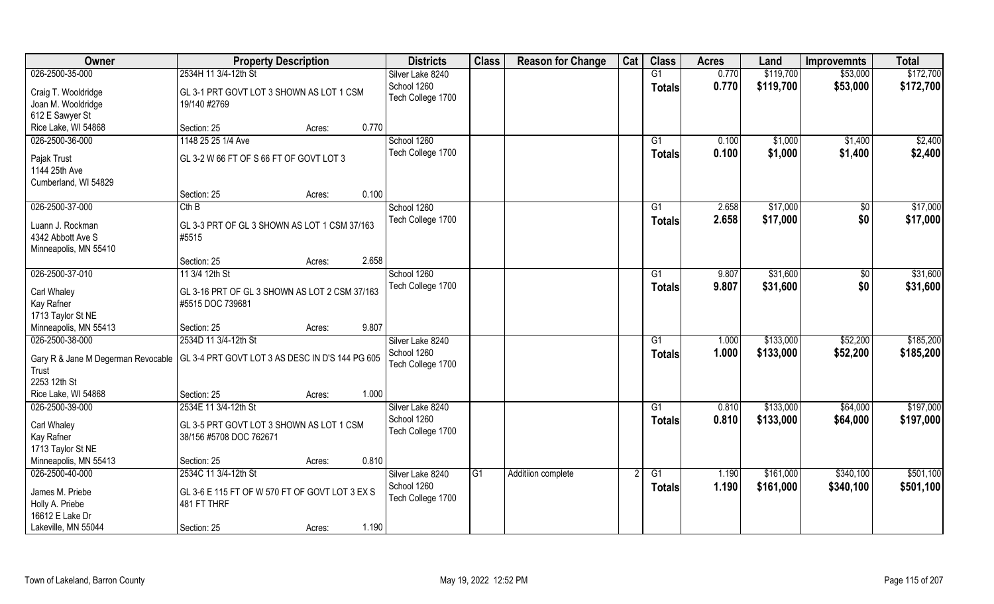| Owner                 | <b>Property Description</b>                                                          | <b>Districts</b>  | <b>Class</b> | <b>Reason for Change</b> | Cat | <b>Class</b>   | <b>Acres</b> | Land      | <b>Improvemnts</b> | <b>Total</b> |
|-----------------------|--------------------------------------------------------------------------------------|-------------------|--------------|--------------------------|-----|----------------|--------------|-----------|--------------------|--------------|
| 026-2500-35-000       | 2534H 11 3/4-12th St                                                                 | Silver Lake 8240  |              |                          |     | G1             | 0.770        | \$119,700 | \$53,000           | \$172,700    |
| Craig T. Wooldridge   | GL 3-1 PRT GOVT LOT 3 SHOWN AS LOT 1 CSM                                             | School 1260       |              |                          |     | <b>Totals</b>  | 0.770        | \$119,700 | \$53,000           | \$172,700    |
| Joan M. Wooldridge    | 19/140 #2769                                                                         | Tech College 1700 |              |                          |     |                |              |           |                    |              |
| 612 E Sawyer St       |                                                                                      |                   |              |                          |     |                |              |           |                    |              |
| Rice Lake, WI 54868   | 0.770<br>Section: 25<br>Acres:                                                       |                   |              |                          |     |                |              |           |                    |              |
| 026-2500-36-000       | 1148 25 25 1/4 Ave                                                                   | School 1260       |              |                          |     | G1             | 0.100        | \$1,000   | \$1,400            | \$2,400      |
|                       |                                                                                      | Tech College 1700 |              |                          |     | Totals         | 0.100        | \$1,000   | \$1,400            | \$2,400      |
| Pajak Trust           | GL 3-2 W 66 FT OF S 66 FT OF GOVT LOT 3                                              |                   |              |                          |     |                |              |           |                    |              |
| 1144 25th Ave         |                                                                                      |                   |              |                          |     |                |              |           |                    |              |
| Cumberland, WI 54829  | 0.100                                                                                |                   |              |                          |     |                |              |           |                    |              |
|                       | Section: 25<br>Acres:                                                                |                   |              |                          |     |                |              |           |                    |              |
| 026-2500-37-000       | Cth B                                                                                | School 1260       |              |                          |     | G1             | 2.658        | \$17,000  | $\sqrt[6]{3}$      | \$17,000     |
| Luann J. Rockman      | GL 3-3 PRT OF GL 3 SHOWN AS LOT 1 CSM 37/163                                         | Tech College 1700 |              |                          |     | <b>Totals</b>  | 2.658        | \$17,000  | \$0                | \$17,000     |
| 4342 Abbott Ave S     | #5515                                                                                |                   |              |                          |     |                |              |           |                    |              |
| Minneapolis, MN 55410 |                                                                                      |                   |              |                          |     |                |              |           |                    |              |
|                       | 2.658<br>Section: 25<br>Acres:                                                       |                   |              |                          |     |                |              |           |                    |              |
| 026-2500-37-010       | 11 3/4 12th St                                                                       | School 1260       |              |                          |     | G <sub>1</sub> | 9.807        | \$31,600  | \$0                | \$31,600     |
| Carl Whaley           | GL 3-16 PRT OF GL 3 SHOWN AS LOT 2 CSM 37/163                                        | Tech College 1700 |              |                          |     | <b>Totals</b>  | 9.807        | \$31,600  | \$0                | \$31,600     |
| Kay Rafner            | #5515 DOC 739681                                                                     |                   |              |                          |     |                |              |           |                    |              |
| 1713 Taylor St NE     |                                                                                      |                   |              |                          |     |                |              |           |                    |              |
| Minneapolis, MN 55413 | 9.807<br>Section: 25<br>Acres:                                                       |                   |              |                          |     |                |              |           |                    |              |
| 026-2500-38-000       | 2534D 11 3/4-12th St                                                                 | Silver Lake 8240  |              |                          |     | G1             | 1.000        | \$133,000 | \$52,200           | \$185,200    |
|                       |                                                                                      | School 1260       |              |                          |     | <b>Totals</b>  | 1.000        | \$133,000 | \$52,200           | \$185,200    |
|                       | Gary R & Jane M Degerman Revocable   GL 3-4 PRT GOVT LOT 3 AS DESC IN D'S 144 PG 605 | Tech College 1700 |              |                          |     |                |              |           |                    |              |
| Trust                 |                                                                                      |                   |              |                          |     |                |              |           |                    |              |
| 2253 12th St          |                                                                                      |                   |              |                          |     |                |              |           |                    |              |
| Rice Lake, WI 54868   | 1.000<br>Section: 25<br>Acres:                                                       |                   |              |                          |     |                |              |           |                    |              |
| 026-2500-39-000       | 2534E 11 3/4-12th St                                                                 | Silver Lake 8240  |              |                          |     | G1             | 0.810        | \$133,000 | \$64,000           | \$197,000    |
| Carl Whaley           | GL 3-5 PRT GOVT LOT 3 SHOWN AS LOT 1 CSM                                             | School 1260       |              |                          |     | <b>Totals</b>  | 0.810        | \$133,000 | \$64,000           | \$197,000    |
| Kay Rafner            | 38/156 #5708 DOC 762671                                                              | Tech College 1700 |              |                          |     |                |              |           |                    |              |
| 1713 Taylor St NE     |                                                                                      |                   |              |                          |     |                |              |           |                    |              |
| Minneapolis, MN 55413 | 0.810<br>Section: 25<br>Acres:                                                       |                   |              |                          |     |                |              |           |                    |              |
| 026-2500-40-000       | 2534C 11 3/4-12th St                                                                 | Silver Lake 8240  | G1           | Additiion complete       |     | G1             | 1.190        | \$161,000 | \$340,100          | \$501,100    |
| James M. Priebe       | GL 3-6 E 115 FT OF W 570 FT OF GOVT LOT 3 EX S                                       | School 1260       |              |                          |     | <b>Totals</b>  | 1.190        | \$161,000 | \$340,100          | \$501,100    |
| Holly A. Priebe       | 481 FT THRF                                                                          | Tech College 1700 |              |                          |     |                |              |           |                    |              |
| 16612 E Lake Dr       |                                                                                      |                   |              |                          |     |                |              |           |                    |              |
| Lakeville, MN 55044   | 1.190<br>Section: 25<br>Acres:                                                       |                   |              |                          |     |                |              |           |                    |              |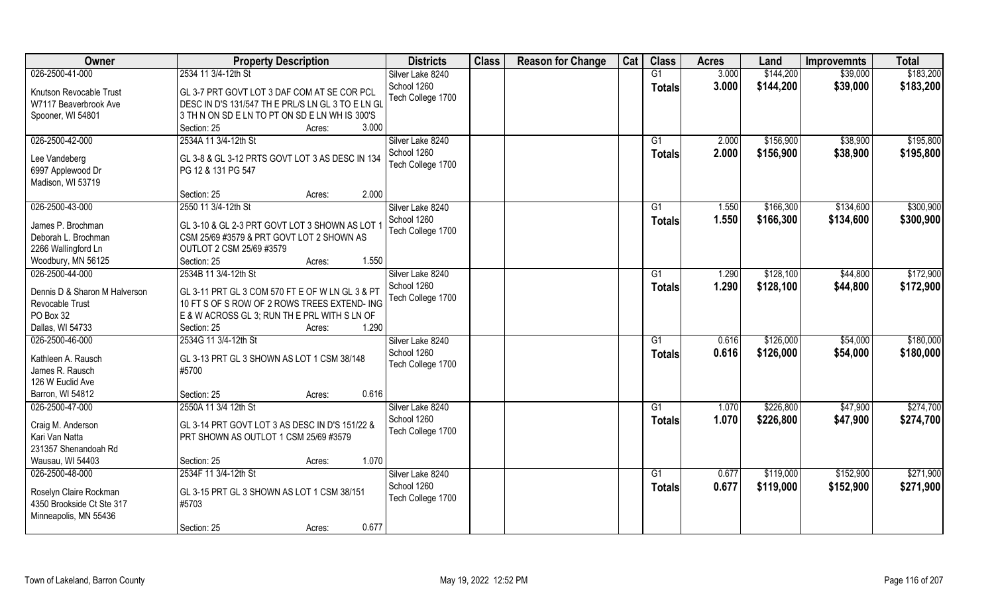| Owner                         | <b>Property Description</b>                       | <b>Districts</b>  | <b>Class</b> | <b>Reason for Change</b> | Cat | <b>Class</b>    | <b>Acres</b> | Land      | <b>Improvemnts</b> | <b>Total</b> |
|-------------------------------|---------------------------------------------------|-------------------|--------------|--------------------------|-----|-----------------|--------------|-----------|--------------------|--------------|
| 026-2500-41-000               | 2534 11 3/4-12th St                               | Silver Lake 8240  |              |                          |     | G1              | 3.000        | \$144,200 | \$39,000           | \$183,200    |
| Knutson Revocable Trust       | GL 3-7 PRT GOVT LOT 3 DAF COM AT SE COR PCL       | School 1260       |              |                          |     | <b>Totals</b>   | 3.000        | \$144,200 | \$39,000           | \$183,200    |
| W7117 Beaverbrook Ave         | DESC IN D'S 131/547 TH E PRL/S LN GL 3 TO E LN GL | Tech College 1700 |              |                          |     |                 |              |           |                    |              |
| Spooner, WI 54801             | 3 TH N ON SD E LN TO PT ON SD E LN WH IS 300'S    |                   |              |                          |     |                 |              |           |                    |              |
|                               | 3.000<br>Section: 25<br>Acres:                    |                   |              |                          |     |                 |              |           |                    |              |
| 026-2500-42-000               | 2534A 11 3/4-12th St                              | Silver Lake 8240  |              |                          |     | G1              | 2.000        | \$156,900 | \$38,900           | \$195,800    |
|                               |                                                   | School 1260       |              |                          |     |                 | 2.000        | \$156,900 | \$38,900           | \$195,800    |
| Lee Vandeberg                 | GL 3-8 & GL 3-12 PRTS GOVT LOT 3 AS DESC IN 134   | Tech College 1700 |              |                          |     | Totals          |              |           |                    |              |
| 6997 Applewood Dr             | PG 12 & 131 PG 547                                |                   |              |                          |     |                 |              |           |                    |              |
| Madison, WI 53719             |                                                   |                   |              |                          |     |                 |              |           |                    |              |
|                               | 2.000<br>Section: 25<br>Acres:                    |                   |              |                          |     |                 |              |           |                    |              |
| 026-2500-43-000               | 2550 11 3/4-12th St                               | Silver Lake 8240  |              |                          |     | G1              | 1.550        | \$166,300 | \$134,600          | \$300,900    |
| James P. Brochman             | GL 3-10 & GL 2-3 PRT GOVT LOT 3 SHOWN AS LOT      | School 1260       |              |                          |     | <b>Totals</b>   | 1.550        | \$166,300 | \$134,600          | \$300,900    |
|                               | CSM 25/69 #3579 & PRT GOVT LOT 2 SHOWN AS         | Tech College 1700 |              |                          |     |                 |              |           |                    |              |
| Deborah L. Brochman           | OUTLOT 2 CSM 25/69 #3579                          |                   |              |                          |     |                 |              |           |                    |              |
| 2266 Wallingford Ln           | 1.550<br>Section: 25                              |                   |              |                          |     |                 |              |           |                    |              |
| Woodbury, MN 56125            | Acres:                                            |                   |              |                          |     |                 |              |           |                    | \$172,900    |
| 026-2500-44-000               | 2534B 11 3/4-12th St                              | Silver Lake 8240  |              |                          |     | G1              | 1.290        | \$128,100 | \$44,800           |              |
| Dennis D & Sharon M Halverson | GL 3-11 PRT GL 3 COM 570 FT E OF W LN GL 3 & PT   | School 1260       |              |                          |     | <b>Totals</b>   | 1.290        | \$128,100 | \$44,800           | \$172,900    |
| Revocable Trust               | 10 FT S OF S ROW OF 2 ROWS TREES EXTEND- ING      | Tech College 1700 |              |                          |     |                 |              |           |                    |              |
| PO Box 32                     | E & W ACROSS GL 3; RUN TH E PRL WITH S LN OF      |                   |              |                          |     |                 |              |           |                    |              |
| Dallas, WI 54733              | 1.290<br>Section: 25<br>Acres:                    |                   |              |                          |     |                 |              |           |                    |              |
| 026-2500-46-000               | 2534G 11 3/4-12th St                              | Silver Lake 8240  |              |                          |     | $\overline{G1}$ | 0.616        | \$126,000 | \$54,000           | \$180,000    |
|                               |                                                   | School 1260       |              |                          |     | Totals          | 0.616        | \$126,000 | \$54,000           | \$180,000    |
| Kathleen A. Rausch            | GL 3-13 PRT GL 3 SHOWN AS LOT 1 CSM 38/148        | Tech College 1700 |              |                          |     |                 |              |           |                    |              |
| James R. Rausch               | #5700                                             |                   |              |                          |     |                 |              |           |                    |              |
| 126 W Euclid Ave              |                                                   |                   |              |                          |     |                 |              |           |                    |              |
| Barron, WI 54812              | 0.616<br>Section: 25<br>Acres:                    |                   |              |                          |     |                 |              |           |                    |              |
| 026-2500-47-000               | 2550A 11 3/4 12th St                              | Silver Lake 8240  |              |                          |     | G1              | 1.070        | \$226,800 | \$47,900           | \$274,700    |
| Craig M. Anderson             | GL 3-14 PRT GOVT LOT 3 AS DESC IN D'S 151/22 &    | School 1260       |              |                          |     | <b>Totals</b>   | 1.070        | \$226,800 | \$47,900           | \$274,700    |
| Kari Van Natta                | PRT SHOWN AS OUTLOT 1 CSM 25/69 #3579             | Tech College 1700 |              |                          |     |                 |              |           |                    |              |
| 231357 Shenandoah Rd          |                                                   |                   |              |                          |     |                 |              |           |                    |              |
| Wausau, WI 54403              | 1.070<br>Section: 25<br>Acres:                    |                   |              |                          |     |                 |              |           |                    |              |
| 026-2500-48-000               | 2534F 11 3/4-12th St                              | Silver Lake 8240  |              |                          |     | $\overline{G1}$ | 0.677        | \$119,000 | \$152,900          | \$271,900    |
|                               |                                                   | School 1260       |              |                          |     | Totals          | 0.677        | \$119,000 | \$152,900          | \$271,900    |
| Roselyn Claire Rockman        | GL 3-15 PRT GL 3 SHOWN AS LOT 1 CSM 38/151        | Tech College 1700 |              |                          |     |                 |              |           |                    |              |
| 4350 Brookside Ct Ste 317     | #5703                                             |                   |              |                          |     |                 |              |           |                    |              |
| Minneapolis, MN 55436         |                                                   |                   |              |                          |     |                 |              |           |                    |              |
|                               | 0.677<br>Section: 25<br>Acres:                    |                   |              |                          |     |                 |              |           |                    |              |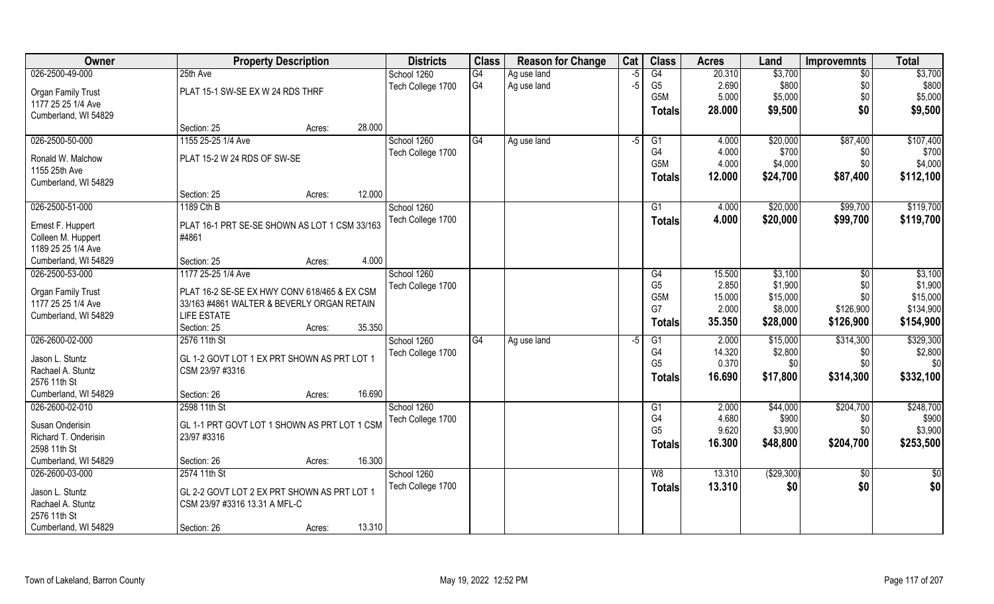| 026-2500-49-000<br>G4<br>\$3,700<br>25th Ave<br>G4<br>20.310<br>$\sqrt{6}$<br>\$3,700<br>School 1260<br>Ag use land<br>-5<br>G <sub>4</sub><br>\$800<br>\$800<br>Ag use land<br>$-5$<br>G <sub>5</sub><br>2.690<br>\$0<br>Tech College 1700<br>PLAT 15-1 SW-SE EX W 24 RDS THRF<br><b>Organ Family Trust</b><br>G <sub>5</sub> M<br>5.000<br>\$5,000<br>\$0<br>\$5,000<br>1177 25 25 1/4 Ave<br>\$0<br>28.000<br>\$9,500<br>\$9,500<br><b>Totals</b><br>Cumberland, WI 54829<br>28.000<br>Section: 25<br>Acres:<br>026-2500-50-000<br>1155 25-25 1/4 Ave<br>G4<br>\$87,400<br>School 1260<br>4.000<br>\$20,000<br>Ag use land<br>$-5$<br>G1<br>G <sub>4</sub><br>4.000<br>\$700<br>Tech College 1700<br>\$0<br>PLAT 15-2 W 24 RDS OF SW-SE<br>Ronald W. Malchow<br>G <sub>5</sub> M<br>4.000<br>\$4,000<br>\$0<br>1155 25th Ave<br>12.000<br>\$24,700<br>\$87,400<br><b>Totals</b><br>Cumberland, WI 54829<br>12.000<br>Section: 25<br>Acres:<br>026-2500-51-000<br>1189 Cth B<br>School 1260<br>\$20,000<br>\$99,700<br>G1<br>4.000<br>Tech College 1700<br>\$20,000<br>4.000<br>\$99,700<br><b>Totals</b><br>PLAT 16-1 PRT SE-SE SHOWN AS LOT 1 CSM 33/163<br>Ernest F. Huppert<br>#4861<br>Colleen M. Huppert<br>1189 25 25 1/4 Ave<br>4.000<br>Cumberland, WI 54829<br>Section: 25<br>Acres:<br>026-2500-53-000<br>1177 25-25 1/4 Ave<br>School 1260<br>15.500<br>\$3,100<br>G4<br>\$0<br>2.850<br>\$1,900<br>G <sub>5</sub><br>\$0<br>Tech College 1700<br>PLAT 16-2 SE-SE EX HWY CONV 618/465 & EX CSM<br>Organ Family Trust<br>15.000<br>\$15,000<br>\$0<br>G <sub>5</sub> M<br>1177 25 25 1/4 Ave<br>33/163 #4861 WALTER & BEVERLY ORGAN RETAIN<br>G7<br>2.000<br>\$8,000<br>\$126,900<br><b>LIFE ESTATE</b><br>Cumberland, WI 54829<br>\$126,900<br>35.350<br>\$28,000<br><b>Totals</b><br>35.350<br>Section: 25<br>Acres:<br>\$314,300<br>026-2600-02-000<br>2576 11th St<br>G4<br>2.000<br>\$15,000<br>School 1260<br>G1<br>Ag use land<br>-5<br>G4<br>14.320<br>\$2,800<br>\$0<br>Tech College 1700<br>Jason L. Stuntz<br>GL 1-2 GOVT LOT 1 EX PRT SHOWN AS PRT LOT 1<br>G <sub>5</sub><br>0.370<br>\$0<br>\$0<br>Rachael A. Stuntz<br>CSM 23/97 #3316<br>16.690<br>\$314,300<br>\$17,800<br><b>Totals</b><br>2576 11th St<br>Cumberland, WI 54829<br>16.690<br>Section: 26<br>Acres:<br>026-2600-02-010<br>School 1260<br>\$44,000<br>\$204,700<br>2598 11th St<br>G1<br>2.000<br>G4<br>4.680<br>\$900<br>Tech College 1700<br>\$0<br>GL 1-1 PRT GOVT LOT 1 SHOWN AS PRT LOT 1 CSM<br>Susan Onderisin<br>G <sub>5</sub><br>9.620<br>\$3,900<br>\$0<br>23/97 #3316<br>Richard T. Onderisin<br>16.300<br>\$48,800<br>\$204,700<br>Totals<br>2598 11th St<br>16.300 | Owner                | <b>Property Description</b> | <b>Districts</b> | <b>Class</b> | <b>Reason for Change</b> | Cat | <b>Class</b> | <b>Acres</b> | Land | <b>Improvemnts</b> | <b>Total</b> |
|-------------------------------------------------------------------------------------------------------------------------------------------------------------------------------------------------------------------------------------------------------------------------------------------------------------------------------------------------------------------------------------------------------------------------------------------------------------------------------------------------------------------------------------------------------------------------------------------------------------------------------------------------------------------------------------------------------------------------------------------------------------------------------------------------------------------------------------------------------------------------------------------------------------------------------------------------------------------------------------------------------------------------------------------------------------------------------------------------------------------------------------------------------------------------------------------------------------------------------------------------------------------------------------------------------------------------------------------------------------------------------------------------------------------------------------------------------------------------------------------------------------------------------------------------------------------------------------------------------------------------------------------------------------------------------------------------------------------------------------------------------------------------------------------------------------------------------------------------------------------------------------------------------------------------------------------------------------------------------------------------------------------------------------------------------------------------------------------------------------------------------------------------------------------------------------------------------------------------------------------------------------------------------------------------------------------------------------------------------------------------------------------------------------------------------------------------------------------------------------------------------------------------------------------------------------------------------------------------------------------------------------------------------------------------------|----------------------|-----------------------------|------------------|--------------|--------------------------|-----|--------------|--------------|------|--------------------|--------------|
|                                                                                                                                                                                                                                                                                                                                                                                                                                                                                                                                                                                                                                                                                                                                                                                                                                                                                                                                                                                                                                                                                                                                                                                                                                                                                                                                                                                                                                                                                                                                                                                                                                                                                                                                                                                                                                                                                                                                                                                                                                                                                                                                                                                                                                                                                                                                                                                                                                                                                                                                                                                                                                                                               |                      |                             |                  |              |                          |     |              |              |      |                    |              |
|                                                                                                                                                                                                                                                                                                                                                                                                                                                                                                                                                                                                                                                                                                                                                                                                                                                                                                                                                                                                                                                                                                                                                                                                                                                                                                                                                                                                                                                                                                                                                                                                                                                                                                                                                                                                                                                                                                                                                                                                                                                                                                                                                                                                                                                                                                                                                                                                                                                                                                                                                                                                                                                                               |                      |                             |                  |              |                          |     |              |              |      |                    |              |
|                                                                                                                                                                                                                                                                                                                                                                                                                                                                                                                                                                                                                                                                                                                                                                                                                                                                                                                                                                                                                                                                                                                                                                                                                                                                                                                                                                                                                                                                                                                                                                                                                                                                                                                                                                                                                                                                                                                                                                                                                                                                                                                                                                                                                                                                                                                                                                                                                                                                                                                                                                                                                                                                               |                      |                             |                  |              |                          |     |              |              |      |                    |              |
| \$107,400<br>\$700<br>\$4,000<br>\$112,100<br>\$119,700<br>\$119,700<br>\$3,100<br>\$1,900<br>\$15,000<br>\$134,900<br>\$154,900<br>\$329,300<br>\$2,800<br>\$0<br>\$332,100<br>\$248,700<br>\$900<br>\$3,900<br>\$253,500                                                                                                                                                                                                                                                                                                                                                                                                                                                                                                                                                                                                                                                                                                                                                                                                                                                                                                                                                                                                                                                                                                                                                                                                                                                                                                                                                                                                                                                                                                                                                                                                                                                                                                                                                                                                                                                                                                                                                                                                                                                                                                                                                                                                                                                                                                                                                                                                                                                    |                      |                             |                  |              |                          |     |              |              |      |                    |              |
|                                                                                                                                                                                                                                                                                                                                                                                                                                                                                                                                                                                                                                                                                                                                                                                                                                                                                                                                                                                                                                                                                                                                                                                                                                                                                                                                                                                                                                                                                                                                                                                                                                                                                                                                                                                                                                                                                                                                                                                                                                                                                                                                                                                                                                                                                                                                                                                                                                                                                                                                                                                                                                                                               |                      |                             |                  |              |                          |     |              |              |      |                    |              |
|                                                                                                                                                                                                                                                                                                                                                                                                                                                                                                                                                                                                                                                                                                                                                                                                                                                                                                                                                                                                                                                                                                                                                                                                                                                                                                                                                                                                                                                                                                                                                                                                                                                                                                                                                                                                                                                                                                                                                                                                                                                                                                                                                                                                                                                                                                                                                                                                                                                                                                                                                                                                                                                                               |                      |                             |                  |              |                          |     |              |              |      |                    |              |
|                                                                                                                                                                                                                                                                                                                                                                                                                                                                                                                                                                                                                                                                                                                                                                                                                                                                                                                                                                                                                                                                                                                                                                                                                                                                                                                                                                                                                                                                                                                                                                                                                                                                                                                                                                                                                                                                                                                                                                                                                                                                                                                                                                                                                                                                                                                                                                                                                                                                                                                                                                                                                                                                               |                      |                             |                  |              |                          |     |              |              |      |                    |              |
|                                                                                                                                                                                                                                                                                                                                                                                                                                                                                                                                                                                                                                                                                                                                                                                                                                                                                                                                                                                                                                                                                                                                                                                                                                                                                                                                                                                                                                                                                                                                                                                                                                                                                                                                                                                                                                                                                                                                                                                                                                                                                                                                                                                                                                                                                                                                                                                                                                                                                                                                                                                                                                                                               |                      |                             |                  |              |                          |     |              |              |      |                    |              |
|                                                                                                                                                                                                                                                                                                                                                                                                                                                                                                                                                                                                                                                                                                                                                                                                                                                                                                                                                                                                                                                                                                                                                                                                                                                                                                                                                                                                                                                                                                                                                                                                                                                                                                                                                                                                                                                                                                                                                                                                                                                                                                                                                                                                                                                                                                                                                                                                                                                                                                                                                                                                                                                                               |                      |                             |                  |              |                          |     |              |              |      |                    |              |
|                                                                                                                                                                                                                                                                                                                                                                                                                                                                                                                                                                                                                                                                                                                                                                                                                                                                                                                                                                                                                                                                                                                                                                                                                                                                                                                                                                                                                                                                                                                                                                                                                                                                                                                                                                                                                                                                                                                                                                                                                                                                                                                                                                                                                                                                                                                                                                                                                                                                                                                                                                                                                                                                               |                      |                             |                  |              |                          |     |              |              |      |                    |              |
|                                                                                                                                                                                                                                                                                                                                                                                                                                                                                                                                                                                                                                                                                                                                                                                                                                                                                                                                                                                                                                                                                                                                                                                                                                                                                                                                                                                                                                                                                                                                                                                                                                                                                                                                                                                                                                                                                                                                                                                                                                                                                                                                                                                                                                                                                                                                                                                                                                                                                                                                                                                                                                                                               |                      |                             |                  |              |                          |     |              |              |      |                    |              |
|                                                                                                                                                                                                                                                                                                                                                                                                                                                                                                                                                                                                                                                                                                                                                                                                                                                                                                                                                                                                                                                                                                                                                                                                                                                                                                                                                                                                                                                                                                                                                                                                                                                                                                                                                                                                                                                                                                                                                                                                                                                                                                                                                                                                                                                                                                                                                                                                                                                                                                                                                                                                                                                                               |                      |                             |                  |              |                          |     |              |              |      |                    |              |
|                                                                                                                                                                                                                                                                                                                                                                                                                                                                                                                                                                                                                                                                                                                                                                                                                                                                                                                                                                                                                                                                                                                                                                                                                                                                                                                                                                                                                                                                                                                                                                                                                                                                                                                                                                                                                                                                                                                                                                                                                                                                                                                                                                                                                                                                                                                                                                                                                                                                                                                                                                                                                                                                               |                      |                             |                  |              |                          |     |              |              |      |                    |              |
|                                                                                                                                                                                                                                                                                                                                                                                                                                                                                                                                                                                                                                                                                                                                                                                                                                                                                                                                                                                                                                                                                                                                                                                                                                                                                                                                                                                                                                                                                                                                                                                                                                                                                                                                                                                                                                                                                                                                                                                                                                                                                                                                                                                                                                                                                                                                                                                                                                                                                                                                                                                                                                                                               |                      |                             |                  |              |                          |     |              |              |      |                    |              |
|                                                                                                                                                                                                                                                                                                                                                                                                                                                                                                                                                                                                                                                                                                                                                                                                                                                                                                                                                                                                                                                                                                                                                                                                                                                                                                                                                                                                                                                                                                                                                                                                                                                                                                                                                                                                                                                                                                                                                                                                                                                                                                                                                                                                                                                                                                                                                                                                                                                                                                                                                                                                                                                                               |                      |                             |                  |              |                          |     |              |              |      |                    |              |
|                                                                                                                                                                                                                                                                                                                                                                                                                                                                                                                                                                                                                                                                                                                                                                                                                                                                                                                                                                                                                                                                                                                                                                                                                                                                                                                                                                                                                                                                                                                                                                                                                                                                                                                                                                                                                                                                                                                                                                                                                                                                                                                                                                                                                                                                                                                                                                                                                                                                                                                                                                                                                                                                               |                      |                             |                  |              |                          |     |              |              |      |                    |              |
|                                                                                                                                                                                                                                                                                                                                                                                                                                                                                                                                                                                                                                                                                                                                                                                                                                                                                                                                                                                                                                                                                                                                                                                                                                                                                                                                                                                                                                                                                                                                                                                                                                                                                                                                                                                                                                                                                                                                                                                                                                                                                                                                                                                                                                                                                                                                                                                                                                                                                                                                                                                                                                                                               |                      |                             |                  |              |                          |     |              |              |      |                    |              |
|                                                                                                                                                                                                                                                                                                                                                                                                                                                                                                                                                                                                                                                                                                                                                                                                                                                                                                                                                                                                                                                                                                                                                                                                                                                                                                                                                                                                                                                                                                                                                                                                                                                                                                                                                                                                                                                                                                                                                                                                                                                                                                                                                                                                                                                                                                                                                                                                                                                                                                                                                                                                                                                                               |                      |                             |                  |              |                          |     |              |              |      |                    |              |
|                                                                                                                                                                                                                                                                                                                                                                                                                                                                                                                                                                                                                                                                                                                                                                                                                                                                                                                                                                                                                                                                                                                                                                                                                                                                                                                                                                                                                                                                                                                                                                                                                                                                                                                                                                                                                                                                                                                                                                                                                                                                                                                                                                                                                                                                                                                                                                                                                                                                                                                                                                                                                                                                               |                      |                             |                  |              |                          |     |              |              |      |                    |              |
|                                                                                                                                                                                                                                                                                                                                                                                                                                                                                                                                                                                                                                                                                                                                                                                                                                                                                                                                                                                                                                                                                                                                                                                                                                                                                                                                                                                                                                                                                                                                                                                                                                                                                                                                                                                                                                                                                                                                                                                                                                                                                                                                                                                                                                                                                                                                                                                                                                                                                                                                                                                                                                                                               |                      |                             |                  |              |                          |     |              |              |      |                    |              |
|                                                                                                                                                                                                                                                                                                                                                                                                                                                                                                                                                                                                                                                                                                                                                                                                                                                                                                                                                                                                                                                                                                                                                                                                                                                                                                                                                                                                                                                                                                                                                                                                                                                                                                                                                                                                                                                                                                                                                                                                                                                                                                                                                                                                                                                                                                                                                                                                                                                                                                                                                                                                                                                                               |                      |                             |                  |              |                          |     |              |              |      |                    |              |
|                                                                                                                                                                                                                                                                                                                                                                                                                                                                                                                                                                                                                                                                                                                                                                                                                                                                                                                                                                                                                                                                                                                                                                                                                                                                                                                                                                                                                                                                                                                                                                                                                                                                                                                                                                                                                                                                                                                                                                                                                                                                                                                                                                                                                                                                                                                                                                                                                                                                                                                                                                                                                                                                               |                      |                             |                  |              |                          |     |              |              |      |                    |              |
|                                                                                                                                                                                                                                                                                                                                                                                                                                                                                                                                                                                                                                                                                                                                                                                                                                                                                                                                                                                                                                                                                                                                                                                                                                                                                                                                                                                                                                                                                                                                                                                                                                                                                                                                                                                                                                                                                                                                                                                                                                                                                                                                                                                                                                                                                                                                                                                                                                                                                                                                                                                                                                                                               |                      |                             |                  |              |                          |     |              |              |      |                    |              |
|                                                                                                                                                                                                                                                                                                                                                                                                                                                                                                                                                                                                                                                                                                                                                                                                                                                                                                                                                                                                                                                                                                                                                                                                                                                                                                                                                                                                                                                                                                                                                                                                                                                                                                                                                                                                                                                                                                                                                                                                                                                                                                                                                                                                                                                                                                                                                                                                                                                                                                                                                                                                                                                                               |                      |                             |                  |              |                          |     |              |              |      |                    |              |
|                                                                                                                                                                                                                                                                                                                                                                                                                                                                                                                                                                                                                                                                                                                                                                                                                                                                                                                                                                                                                                                                                                                                                                                                                                                                                                                                                                                                                                                                                                                                                                                                                                                                                                                                                                                                                                                                                                                                                                                                                                                                                                                                                                                                                                                                                                                                                                                                                                                                                                                                                                                                                                                                               |                      |                             |                  |              |                          |     |              |              |      |                    |              |
|                                                                                                                                                                                                                                                                                                                                                                                                                                                                                                                                                                                                                                                                                                                                                                                                                                                                                                                                                                                                                                                                                                                                                                                                                                                                                                                                                                                                                                                                                                                                                                                                                                                                                                                                                                                                                                                                                                                                                                                                                                                                                                                                                                                                                                                                                                                                                                                                                                                                                                                                                                                                                                                                               |                      |                             |                  |              |                          |     |              |              |      |                    |              |
|                                                                                                                                                                                                                                                                                                                                                                                                                                                                                                                                                                                                                                                                                                                                                                                                                                                                                                                                                                                                                                                                                                                                                                                                                                                                                                                                                                                                                                                                                                                                                                                                                                                                                                                                                                                                                                                                                                                                                                                                                                                                                                                                                                                                                                                                                                                                                                                                                                                                                                                                                                                                                                                                               |                      |                             |                  |              |                          |     |              |              |      |                    |              |
|                                                                                                                                                                                                                                                                                                                                                                                                                                                                                                                                                                                                                                                                                                                                                                                                                                                                                                                                                                                                                                                                                                                                                                                                                                                                                                                                                                                                                                                                                                                                                                                                                                                                                                                                                                                                                                                                                                                                                                                                                                                                                                                                                                                                                                                                                                                                                                                                                                                                                                                                                                                                                                                                               |                      |                             |                  |              |                          |     |              |              |      |                    |              |
|                                                                                                                                                                                                                                                                                                                                                                                                                                                                                                                                                                                                                                                                                                                                                                                                                                                                                                                                                                                                                                                                                                                                                                                                                                                                                                                                                                                                                                                                                                                                                                                                                                                                                                                                                                                                                                                                                                                                                                                                                                                                                                                                                                                                                                                                                                                                                                                                                                                                                                                                                                                                                                                                               |                      |                             |                  |              |                          |     |              |              |      |                    |              |
|                                                                                                                                                                                                                                                                                                                                                                                                                                                                                                                                                                                                                                                                                                                                                                                                                                                                                                                                                                                                                                                                                                                                                                                                                                                                                                                                                                                                                                                                                                                                                                                                                                                                                                                                                                                                                                                                                                                                                                                                                                                                                                                                                                                                                                                                                                                                                                                                                                                                                                                                                                                                                                                                               |                      |                             |                  |              |                          |     |              |              |      |                    |              |
|                                                                                                                                                                                                                                                                                                                                                                                                                                                                                                                                                                                                                                                                                                                                                                                                                                                                                                                                                                                                                                                                                                                                                                                                                                                                                                                                                                                                                                                                                                                                                                                                                                                                                                                                                                                                                                                                                                                                                                                                                                                                                                                                                                                                                                                                                                                                                                                                                                                                                                                                                                                                                                                                               | Cumberland, WI 54829 | Section: 26<br>Acres:       |                  |              |                          |     |              |              |      |                    |              |
| 026-2600-03-000<br>2574 11th St<br>(\$29,300)<br>School 1260<br>W8<br>13.310<br>$\sqrt[6]{}$<br>$\frac{1}{2}$                                                                                                                                                                                                                                                                                                                                                                                                                                                                                                                                                                                                                                                                                                                                                                                                                                                                                                                                                                                                                                                                                                                                                                                                                                                                                                                                                                                                                                                                                                                                                                                                                                                                                                                                                                                                                                                                                                                                                                                                                                                                                                                                                                                                                                                                                                                                                                                                                                                                                                                                                                 |                      |                             |                  |              |                          |     |              |              |      |                    |              |
| \$0<br>\$0<br>Tech College 1700<br>13.310<br>\$0<br><b>Totals</b>                                                                                                                                                                                                                                                                                                                                                                                                                                                                                                                                                                                                                                                                                                                                                                                                                                                                                                                                                                                                                                                                                                                                                                                                                                                                                                                                                                                                                                                                                                                                                                                                                                                                                                                                                                                                                                                                                                                                                                                                                                                                                                                                                                                                                                                                                                                                                                                                                                                                                                                                                                                                             |                      |                             |                  |              |                          |     |              |              |      |                    |              |
| Jason L. Stuntz<br>GL 2-2 GOVT LOT 2 EX PRT SHOWN AS PRT LOT 1                                                                                                                                                                                                                                                                                                                                                                                                                                                                                                                                                                                                                                                                                                                                                                                                                                                                                                                                                                                                                                                                                                                                                                                                                                                                                                                                                                                                                                                                                                                                                                                                                                                                                                                                                                                                                                                                                                                                                                                                                                                                                                                                                                                                                                                                                                                                                                                                                                                                                                                                                                                                                |                      |                             |                  |              |                          |     |              |              |      |                    |              |
| Rachael A. Stuntz<br>CSM 23/97 #3316 13.31 A MFL-C<br>2576 11th St                                                                                                                                                                                                                                                                                                                                                                                                                                                                                                                                                                                                                                                                                                                                                                                                                                                                                                                                                                                                                                                                                                                                                                                                                                                                                                                                                                                                                                                                                                                                                                                                                                                                                                                                                                                                                                                                                                                                                                                                                                                                                                                                                                                                                                                                                                                                                                                                                                                                                                                                                                                                            |                      |                             |                  |              |                          |     |              |              |      |                    |              |
| Cumberland, WI 54829<br>13.310<br>Section: 26<br>Acres:                                                                                                                                                                                                                                                                                                                                                                                                                                                                                                                                                                                                                                                                                                                                                                                                                                                                                                                                                                                                                                                                                                                                                                                                                                                                                                                                                                                                                                                                                                                                                                                                                                                                                                                                                                                                                                                                                                                                                                                                                                                                                                                                                                                                                                                                                                                                                                                                                                                                                                                                                                                                                       |                      |                             |                  |              |                          |     |              |              |      |                    |              |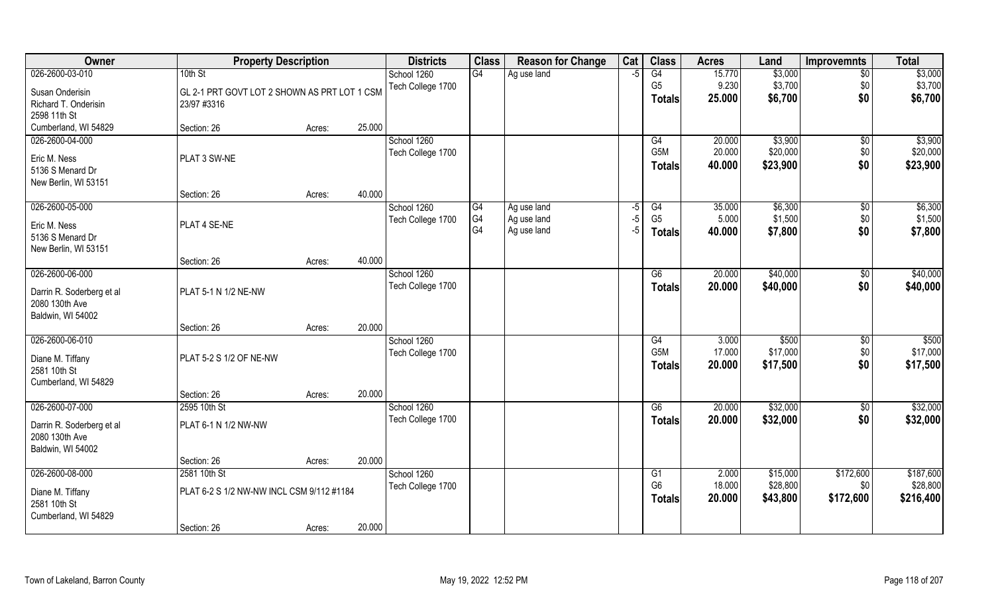| Owner                     | <b>Property Description</b>                  |        |        | <b>Districts</b>  | <b>Class</b> | <b>Reason for Change</b> | Cat  | <b>Class</b>     | <b>Acres</b> | Land     | Improvemnts     | <b>Total</b> |
|---------------------------|----------------------------------------------|--------|--------|-------------------|--------------|--------------------------|------|------------------|--------------|----------|-----------------|--------------|
| 026-2600-03-010           | 10th St                                      |        |        | School 1260       | G4           | Ag use land              | $-5$ | G4               | 15.770       | \$3,000  | $\overline{50}$ | \$3,000      |
| Susan Onderisin           | GL 2-1 PRT GOVT LOT 2 SHOWN AS PRT LOT 1 CSM |        |        | Tech College 1700 |              |                          |      | G <sub>5</sub>   | 9.230        | \$3,700  | \$0             | \$3,700      |
| Richard T. Onderisin      | 23/97 #3316                                  |        |        |                   |              |                          |      | <b>Totals</b>    | 25.000       | \$6,700  | \$0             | \$6,700      |
| 2598 11th St              |                                              |        |        |                   |              |                          |      |                  |              |          |                 |              |
| Cumberland, WI 54829      | Section: 26                                  | Acres: | 25.000 |                   |              |                          |      |                  |              |          |                 |              |
| 026-2600-04-000           |                                              |        |        | School 1260       |              |                          |      | G4               | 20.000       | \$3,900  | $\sqrt{$0}$     | \$3,900      |
| Eric M. Ness              | PLAT 3 SW-NE                                 |        |        | Tech College 1700 |              |                          |      | G5M              | 20.000       | \$20,000 | \$0             | \$20,000     |
| 5136 S Menard Dr          |                                              |        |        |                   |              |                          |      | <b>Totals</b>    | 40.000       | \$23,900 | \$0             | \$23,900     |
| New Berlin, WI 53151      |                                              |        |        |                   |              |                          |      |                  |              |          |                 |              |
|                           | Section: 26                                  | Acres: | 40.000 |                   |              |                          |      |                  |              |          |                 |              |
| 026-2600-05-000           |                                              |        |        | School 1260       | G4           | Ag use land              | $-5$ | G4               | 35.000       | \$6,300  | $\sqrt[6]{30}$  | \$6,300      |
| Eric M. Ness              | PLAT 4 SE-NE                                 |        |        | Tech College 1700 | G4           | Ag use land              | $-5$ | G <sub>5</sub>   | 5.000        | \$1,500  | \$0             | \$1,500      |
| 5136 S Menard Dr          |                                              |        |        |                   | G4           | Ag use land              | $-5$ | <b>Totals</b>    | 40.000       | \$7,800  | \$0             | \$7,800      |
| New Berlin, WI 53151      |                                              |        |        |                   |              |                          |      |                  |              |          |                 |              |
|                           | Section: 26                                  | Acres: | 40.000 |                   |              |                          |      |                  |              |          |                 |              |
| 026-2600-06-000           |                                              |        |        | School 1260       |              |                          |      | G6               | 20.000       | \$40,000 | \$0             | \$40,000     |
| Darrin R. Soderberg et al | PLAT 5-1 N 1/2 NE-NW                         |        |        | Tech College 1700 |              |                          |      | <b>Totals</b>    | 20.000       | \$40,000 | \$0             | \$40,000     |
| 2080 130th Ave            |                                              |        |        |                   |              |                          |      |                  |              |          |                 |              |
| Baldwin, WI 54002         |                                              |        |        |                   |              |                          |      |                  |              |          |                 |              |
|                           | Section: 26                                  | Acres: | 20.000 |                   |              |                          |      |                  |              |          |                 |              |
| 026-2600-06-010           |                                              |        |        | School 1260       |              |                          |      | G4               | 3.000        | \$500    | $\sqrt[6]{30}$  | \$500        |
| Diane M. Tiffany          | PLAT 5-2 S 1/2 OF NE-NW                      |        |        | Tech College 1700 |              |                          |      | G <sub>5</sub> M | 17.000       | \$17,000 | \$0             | \$17,000     |
| 2581 10th St              |                                              |        |        |                   |              |                          |      | Totals           | 20.000       | \$17,500 | \$0             | \$17,500     |
| Cumberland, WI 54829      |                                              |        |        |                   |              |                          |      |                  |              |          |                 |              |
|                           | Section: 26                                  | Acres: | 20.000 |                   |              |                          |      |                  |              |          |                 |              |
| 026-2600-07-000           | 2595 10th St                                 |        |        | School 1260       |              |                          |      | G6               | 20.000       | \$32,000 | \$0             | \$32,000     |
| Darrin R. Soderberg et al | PLAT 6-1 N 1/2 NW-NW                         |        |        | Tech College 1700 |              |                          |      | <b>Totals</b>    | 20.000       | \$32,000 | \$0             | \$32,000     |
| 2080 130th Ave            |                                              |        |        |                   |              |                          |      |                  |              |          |                 |              |
| Baldwin, WI 54002         |                                              |        |        |                   |              |                          |      |                  |              |          |                 |              |
|                           | Section: 26                                  | Acres: | 20.000 |                   |              |                          |      |                  |              |          |                 |              |
| 026-2600-08-000           | 2581 10th St                                 |        |        | School 1260       |              |                          |      | $\overline{G1}$  | 2.000        | \$15,000 | \$172,600       | \$187,600    |
| Diane M. Tiffany          | PLAT 6-2 S 1/2 NW-NW INCL CSM 9/112 #1184    |        |        | Tech College 1700 |              |                          |      | G <sub>6</sub>   | 18.000       | \$28,800 | \$0             | \$28,800     |
| 2581 10th St              |                                              |        |        |                   |              |                          |      | <b>Totals</b>    | 20.000       | \$43,800 | \$172,600       | \$216,400    |
| Cumberland, WI 54829      |                                              |        |        |                   |              |                          |      |                  |              |          |                 |              |
|                           | Section: 26                                  | Acres: | 20.000 |                   |              |                          |      |                  |              |          |                 |              |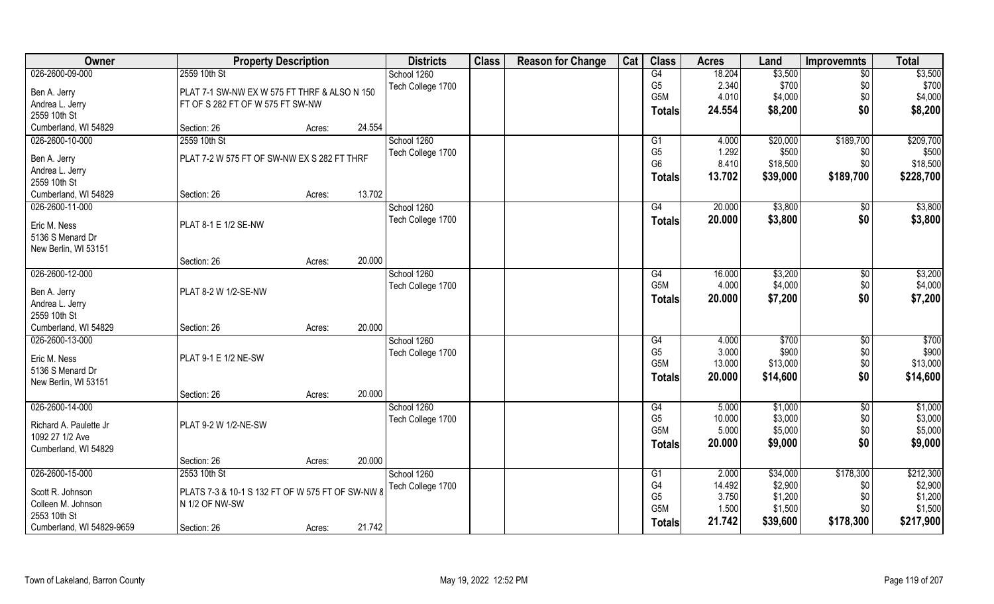| Owner                                   | <b>Property Description</b>                      |        |        | <b>Districts</b>  | <b>Class</b> | <b>Reason for Change</b> | Cat | <b>Class</b>                       | <b>Acres</b>    | Land               | Improvemnts     | <b>Total</b> |
|-----------------------------------------|--------------------------------------------------|--------|--------|-------------------|--------------|--------------------------|-----|------------------------------------|-----------------|--------------------|-----------------|--------------|
| 026-2600-09-000                         | 2559 10th St                                     |        |        | School 1260       |              |                          |     | G4                                 | 18.204          | \$3,500            | $\overline{50}$ | \$3,500      |
| Ben A. Jerry                            | PLAT 7-1 SW-NW EX W 575 FT THRF & ALSO N 150     |        |        | Tech College 1700 |              |                          |     | G <sub>5</sub>                     | 2.340           | \$700              | \$0             | \$700        |
| Andrea L. Jerry                         | FT OF S 282 FT OF W 575 FT SW-NW                 |        |        |                   |              |                          |     | G5M                                | 4.010           | \$4,000            | \$0             | \$4,000      |
| 2559 10th St                            |                                                  |        |        |                   |              |                          |     | <b>Totals</b>                      | 24.554          | \$8,200            | \$0             | \$8,200      |
| Cumberland, WI 54829                    | Section: 26                                      | Acres: | 24.554 |                   |              |                          |     |                                    |                 |                    |                 |              |
| 026-2600-10-000                         | 2559 10th St                                     |        |        | School 1260       |              |                          |     | G1                                 | 4.000           | \$20,000           | \$189,700       | \$209,700    |
|                                         |                                                  |        |        | Tech College 1700 |              |                          |     | G <sub>5</sub>                     | 1.292           | \$500              | \$0             | \$500        |
| Ben A. Jerry                            | PLAT 7-2 W 575 FT OF SW-NW EX S 282 FT THRF      |        |        |                   |              |                          |     | G <sub>6</sub>                     | 8.410           | \$18,500           | \$0             | \$18,500     |
| Andrea L. Jerry                         |                                                  |        |        |                   |              |                          |     | <b>Totals</b>                      | 13.702          | \$39,000           | \$189,700       | \$228,700    |
| 2559 10th St                            |                                                  |        | 13.702 |                   |              |                          |     |                                    |                 |                    |                 |              |
| Cumberland, WI 54829<br>026-2600-11-000 | Section: 26                                      | Acres: |        | School 1260       |              |                          |     |                                    | 20.000          | \$3,800            |                 | \$3,800      |
|                                         |                                                  |        |        |                   |              |                          |     | G4                                 |                 |                    | $\sqrt[6]{30}$  |              |
| Eric M. Ness                            | PLAT 8-1 E 1/2 SE-NW                             |        |        | Tech College 1700 |              |                          |     | <b>Totals</b>                      | 20.000          | \$3,800            | \$0             | \$3,800      |
| 5136 S Menard Dr                        |                                                  |        |        |                   |              |                          |     |                                    |                 |                    |                 |              |
| New Berlin, WI 53151                    |                                                  |        |        |                   |              |                          |     |                                    |                 |                    |                 |              |
|                                         | Section: 26                                      | Acres: | 20.000 |                   |              |                          |     |                                    |                 |                    |                 |              |
| 026-2600-12-000                         |                                                  |        |        | School 1260       |              |                          |     | G4                                 | 16.000          | \$3,200            | $\sqrt[6]{3}$   | \$3,200      |
| Ben A. Jerry                            | PLAT 8-2 W 1/2-SE-NW                             |        |        | Tech College 1700 |              |                          |     | G5M                                | 4.000           | \$4,000            | \$0             | \$4,000      |
| Andrea L. Jerry                         |                                                  |        |        |                   |              |                          |     | <b>Totals</b>                      | 20.000          | \$7,200            | \$0             | \$7,200      |
| 2559 10th St                            |                                                  |        |        |                   |              |                          |     |                                    |                 |                    |                 |              |
| Cumberland, WI 54829                    | Section: 26                                      | Acres: | 20.000 |                   |              |                          |     |                                    |                 |                    |                 |              |
| 026-2600-13-000                         |                                                  |        |        | School 1260       |              |                          |     | G4                                 | 4.000           | \$700              | \$0             | \$700        |
|                                         |                                                  |        |        | Tech College 1700 |              |                          |     | G <sub>5</sub>                     | 3.000           | \$900              | \$0             | \$900        |
| Eric M. Ness                            | <b>PLAT 9-1 E 1/2 NE-SW</b>                      |        |        |                   |              |                          |     | G5M                                | 13.000          | \$13,000           | \$0             | \$13,000     |
| 5136 S Menard Dr                        |                                                  |        |        |                   |              |                          |     | <b>Totals</b>                      | 20.000          | \$14,600           | \$0             | \$14,600     |
| New Berlin, WI 53151                    |                                                  |        |        |                   |              |                          |     |                                    |                 |                    |                 |              |
|                                         | Section: 26                                      | Acres: | 20.000 |                   |              |                          |     |                                    |                 |                    |                 |              |
| 026-2600-14-000                         |                                                  |        |        | School 1260       |              |                          |     | G4                                 | 5.000           | \$1,000            | $\overline{50}$ | \$1,000      |
| Richard A. Paulette Jr                  | PLAT 9-2 W 1/2-NE-SW                             |        |        | Tech College 1700 |              |                          |     | G <sub>5</sub><br>G <sub>5</sub> M | 10.000<br>5.000 | \$3,000<br>\$5,000 | \$0             | \$3,000      |
| 1092 27 1/2 Ave                         |                                                  |        |        |                   |              |                          |     |                                    |                 |                    | \$0             | \$5,000      |
| Cumberland, WI 54829                    |                                                  |        |        |                   |              |                          |     | <b>Totals</b>                      | 20.000          | \$9,000            | \$0             | \$9,000      |
|                                         | Section: 26                                      | Acres: | 20.000 |                   |              |                          |     |                                    |                 |                    |                 |              |
| 026-2600-15-000                         | 2553 10th St                                     |        |        | School 1260       |              |                          |     | G1                                 | 2.000           | \$34,000           | \$178,300       | \$212,300    |
| Scott R. Johnson                        | PLATS 7-3 & 10-1 S 132 FT OF W 575 FT OF SW-NW 8 |        |        | Tech College 1700 |              |                          |     | G4                                 | 14.492          | \$2,900            | \$0             | \$2,900      |
| Colleen M. Johnson                      | N 1/2 OF NW-SW                                   |        |        |                   |              |                          |     | G <sub>5</sub>                     | 3.750           | \$1,200            | \$0             | \$1,200      |
| 2553 10th St                            |                                                  |        |        |                   |              |                          |     | G5M                                | 1.500           | \$1,500            | \$0             | \$1,500      |
| Cumberland, WI 54829-9659               | Section: 26                                      | Acres: | 21.742 |                   |              |                          |     | <b>Totals</b>                      | 21.742          | \$39,600           | \$178,300       | \$217,900    |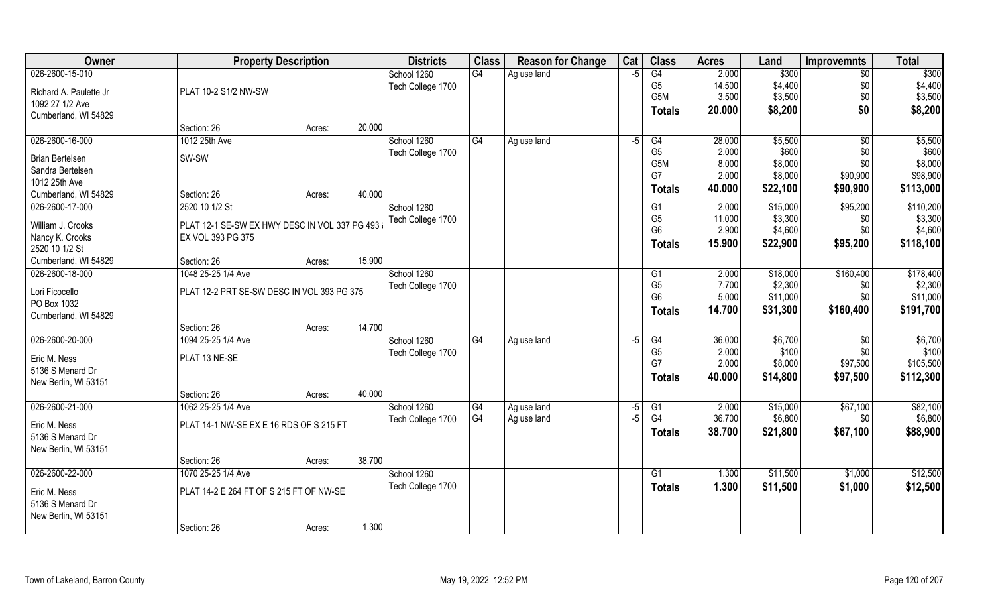| Owner                  |                                               | <b>Property Description</b> |        | <b>Districts</b>  | <b>Class</b>   | <b>Reason for Change</b> | Cat  | <b>Class</b>    | <b>Acres</b>   | Land     | <b>Improvemnts</b> | <b>Total</b> |
|------------------------|-----------------------------------------------|-----------------------------|--------|-------------------|----------------|--------------------------|------|-----------------|----------------|----------|--------------------|--------------|
| 026-2600-15-010        |                                               |                             |        | School 1260       | G4             | Ag use land              | -5   | G4              | 2.000          | \$300    | $\overline{50}$    | \$300        |
| Richard A. Paulette Jr | PLAT 10-2 S1/2 NW-SW                          |                             |        | Tech College 1700 |                |                          |      | G <sub>5</sub>  | 14.500         | \$4,400  | \$0                | \$4,400      |
| 1092 27 1/2 Ave        |                                               |                             |        |                   |                |                          |      | G5M             | 3.500          | \$3,500  | \$0                | \$3,500      |
| Cumberland, WI 54829   |                                               |                             |        |                   |                |                          |      | <b>Totals</b>   | 20.000         | \$8,200  | \$0                | \$8,200      |
|                        | Section: 26                                   | Acres:                      | 20.000 |                   |                |                          |      |                 |                |          |                    |              |
| 026-2600-16-000        | 1012 25th Ave                                 |                             |        | School 1260       | G4             | Ag use land              | $-5$ | G4              | 28.000         | \$5,500  | \$0                | \$5,500      |
| <b>Brian Bertelsen</b> | SW-SW                                         |                             |        | Tech College 1700 |                |                          |      | G <sub>5</sub>  | 2.000          | \$600    | \$0                | \$600        |
| Sandra Bertelsen       |                                               |                             |        |                   |                |                          |      | G5M             | 8.000          | \$8,000  | \$0                | \$8,000      |
| 1012 25th Ave          |                                               |                             |        |                   |                |                          |      | G7              | 2.000          | \$8,000  | \$90,900           | \$98,900     |
| Cumberland, WI 54829   | Section: 26                                   | Acres:                      | 40.000 |                   |                |                          |      | Totals          | 40.000         | \$22,100 | \$90,900           | \$113,000    |
| 026-2600-17-000        | 2520 10 1/2 St                                |                             |        | School 1260       |                |                          |      | G1              | 2.000          | \$15,000 | \$95,200           | \$110,200    |
| William J. Crooks      | PLAT 12-1 SE-SW EX HWY DESC IN VOL 337 PG 493 |                             |        | Tech College 1700 |                |                          |      | G <sub>5</sub>  | 11.000         | \$3,300  | \$0                | \$3,300      |
| Nancy K. Crooks        | EX VOL 393 PG 375                             |                             |        |                   |                |                          |      | G <sub>6</sub>  | 2.900          | \$4,600  | \$0                | \$4,600      |
| 2520 10 1/2 St         |                                               |                             |        |                   |                |                          |      | Totals          | 15.900         | \$22,900 | \$95,200           | \$118,100    |
| Cumberland, WI 54829   | Section: 26                                   | Acres:                      | 15.900 |                   |                |                          |      |                 |                |          |                    |              |
| 026-2600-18-000        | 1048 25-25 1/4 Ave                            |                             |        | School 1260       |                |                          |      | G1              | 2.000          | \$18,000 | \$160,400          | \$178,400    |
|                        |                                               |                             |        | Tech College 1700 |                |                          |      | G <sub>5</sub>  | 7.700          | \$2,300  | \$0                | \$2,300      |
| Lori Ficocello         | PLAT 12-2 PRT SE-SW DESC IN VOL 393 PG 375    |                             |        |                   |                |                          |      | G <sub>6</sub>  | 5.000          | \$11,000 | \$0                | \$11,000     |
| PO Box 1032            |                                               |                             |        |                   |                |                          |      | Totals          | 14.700         | \$31,300 | \$160,400          | \$191,700    |
| Cumberland, WI 54829   |                                               |                             |        |                   |                |                          |      |                 |                |          |                    |              |
|                        | Section: 26                                   | Acres:                      | 14.700 |                   |                |                          |      |                 |                |          |                    |              |
| 026-2600-20-000        | 1094 25-25 1/4 Ave                            |                             |        | School 1260       | G4             | Ag use land              | -5   | G4              | 36.000         | \$6,700  | $\overline{60}$    | \$6,700      |
| Eric M. Ness           | PLAT 13 NE-SE                                 |                             |        | Tech College 1700 |                |                          |      | G <sub>5</sub>  | 2.000<br>2.000 | \$100    | \$0                | \$100        |
| 5136 S Menard Dr       |                                               |                             |        |                   |                |                          |      | G7              |                | \$8,000  | \$97,500           | \$105,500    |
| New Berlin, WI 53151   |                                               |                             |        |                   |                |                          |      | <b>Totals</b>   | 40.000         | \$14,800 | \$97,500           | \$112,300    |
|                        | Section: 26                                   | Acres:                      | 40.000 |                   |                |                          |      |                 |                |          |                    |              |
| 026-2600-21-000        | 1062 25-25 1/4 Ave                            |                             |        | School 1260       | G4             | Ag use land              | -5   | G1              | 2.000          | \$15,000 | \$67,100           | \$82,100     |
| Eric M. Ness           | PLAT 14-1 NW-SE EX E 16 RDS OF S 215 FT       |                             |        | Tech College 1700 | G <sub>4</sub> | Ag use land              | $-5$ | G4              | 36.700         | \$6,800  | \$0                | \$6,800      |
| 5136 S Menard Dr       |                                               |                             |        |                   |                |                          |      | <b>Totals</b>   | 38.700         | \$21,800 | \$67,100           | \$88,900     |
| New Berlin, WI 53151   |                                               |                             |        |                   |                |                          |      |                 |                |          |                    |              |
|                        | Section: 26                                   | Acres:                      | 38.700 |                   |                |                          |      |                 |                |          |                    |              |
| 026-2600-22-000        | 1070 25-25 1/4 Ave                            |                             |        | School 1260       |                |                          |      | $\overline{G1}$ | 1.300          | \$11,500 | \$1,000            | \$12,500     |
| Eric M. Ness           | PLAT 14-2 E 264 FT OF S 215 FT OF NW-SE       |                             |        | Tech College 1700 |                |                          |      | <b>Totals</b>   | 1.300          | \$11,500 | \$1,000            | \$12,500     |
| 5136 S Menard Dr       |                                               |                             |        |                   |                |                          |      |                 |                |          |                    |              |
| New Berlin, WI 53151   |                                               |                             |        |                   |                |                          |      |                 |                |          |                    |              |
|                        | Section: 26                                   | Acres:                      | 1.300  |                   |                |                          |      |                 |                |          |                    |              |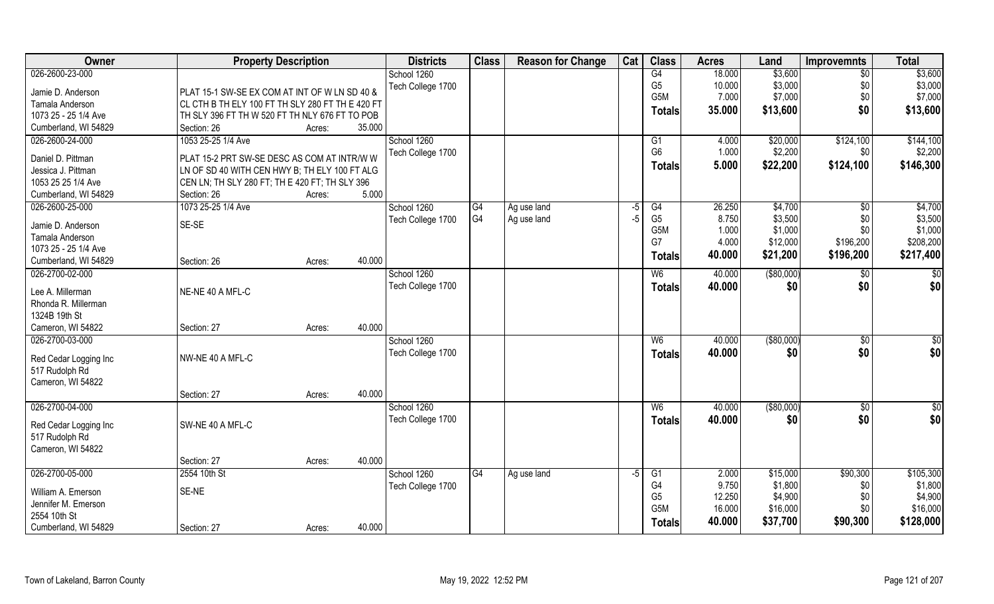| Owner                 | <b>Property Description</b>                      |                  | <b>Districts</b>  | <b>Class</b> | <b>Reason for Change</b> | Cat  | <b>Class</b>     | <b>Acres</b> | Land          | <b>Improvemnts</b> | <b>Total</b>     |
|-----------------------|--------------------------------------------------|------------------|-------------------|--------------|--------------------------|------|------------------|--------------|---------------|--------------------|------------------|
| 026-2600-23-000       |                                                  |                  | School 1260       |              |                          |      | G4               | 18.000       | \$3,600       | $\overline{50}$    | \$3,600          |
| Jamie D. Anderson     | PLAT 15-1 SW-SE EX COM AT INT OF W LN SD 40 &    |                  | Tech College 1700 |              |                          |      | G <sub>5</sub>   | 10.000       | \$3,000       | \$0                | \$3,000          |
| Tamala Anderson       | CL CTH B TH ELY 100 FT TH SLY 280 FT TH E 420 FT |                  |                   |              |                          |      | G5M              | 7.000        | \$7,000       | \$0                | \$7,000          |
| 1073 25 - 25 1/4 Ave  | TH SLY 396 FT TH W 520 FT TH NLY 676 FT TO POB   |                  |                   |              |                          |      | <b>Totals</b>    | 35.000       | \$13,600      | \$0                | \$13,600         |
| Cumberland, WI 54829  | Section: 26                                      | 35.000<br>Acres: |                   |              |                          |      |                  |              |               |                    |                  |
| 026-2600-24-000       | 1053 25-25 1/4 Ave                               |                  | School 1260       |              |                          |      | G1               | 4.000        | \$20,000      | \$124,100          | \$144,100        |
|                       |                                                  |                  | Tech College 1700 |              |                          |      | G <sub>6</sub>   | 1.000        | \$2,200       | \$0                | \$2,200          |
| Daniel D. Pittman     | PLAT 15-2 PRT SW-SE DESC AS COM AT INTR/W W      |                  |                   |              |                          |      | <b>Totals</b>    | 5.000        | \$22,200      | \$124,100          | \$146,300        |
| Jessica J. Pittman    | LN OF SD 40 WITH CEN HWY B; TH ELY 100 FT ALG    |                  |                   |              |                          |      |                  |              |               |                    |                  |
| 1053 25 25 1/4 Ave    | CEN LN; TH SLY 280 FT; TH E 420 FT; TH SLY 396   |                  |                   |              |                          |      |                  |              |               |                    |                  |
| Cumberland, WI 54829  | Section: 26                                      | 5.000<br>Acres:  |                   |              |                          |      |                  |              |               |                    |                  |
| 026-2600-25-000       | 1073 25-25 1/4 Ave                               |                  | School 1260       | G4           | Ag use land              | $-5$ | G4               | 26.250       | \$4,700       | $\sqrt{6}$         | \$4,700          |
| Jamie D. Anderson     | SE-SE                                            |                  | Tech College 1700 | G4           | Ag use land              | $-5$ | G <sub>5</sub>   | 8.750        | \$3,500       | \$0                | \$3,500          |
| Tamala Anderson       |                                                  |                  |                   |              |                          |      | G <sub>5</sub> M | 1.000        | \$1,000       | \$0                | \$1,000          |
| 1073 25 - 25 1/4 Ave  |                                                  |                  |                   |              |                          |      | G7               | 4.000        | \$12,000      | \$196,200          | \$208,200        |
| Cumberland, WI 54829  | Section: 26                                      | 40.000<br>Acres: |                   |              |                          |      | <b>Totals</b>    | 40.000       | \$21,200      | \$196,200          | \$217,400        |
| 026-2700-02-000       |                                                  |                  | School 1260       |              |                          |      | W <sub>6</sub>   | 40.000       | ( \$80,000)   | \$0                | $\overline{\$0}$ |
|                       |                                                  |                  | Tech College 1700 |              |                          |      | <b>Totals</b>    | 40.000       | \$0           | \$0                | \$0              |
| Lee A. Millerman      | NE-NE 40 A MFL-C                                 |                  |                   |              |                          |      |                  |              |               |                    |                  |
| Rhonda R. Millerman   |                                                  |                  |                   |              |                          |      |                  |              |               |                    |                  |
| 1324B 19th St         |                                                  |                  |                   |              |                          |      |                  |              |               |                    |                  |
| Cameron, WI 54822     | Section: 27                                      | 40.000<br>Acres: |                   |              |                          |      |                  |              |               |                    |                  |
| 026-2700-03-000       |                                                  |                  | School 1260       |              |                          |      | $W_6$            | 40.000       | $($ \$80,000) | \$0                | $\overline{50}$  |
| Red Cedar Logging Inc | NW-NE 40 A MFL-C                                 |                  | Tech College 1700 |              |                          |      | <b>Totals</b>    | 40.000       | \$0           | \$0                | \$0              |
| 517 Rudolph Rd        |                                                  |                  |                   |              |                          |      |                  |              |               |                    |                  |
| Cameron, WI 54822     |                                                  |                  |                   |              |                          |      |                  |              |               |                    |                  |
|                       | Section: 27                                      | 40.000<br>Acres: |                   |              |                          |      |                  |              |               |                    |                  |
| 026-2700-04-000       |                                                  |                  | School 1260       |              |                          |      | W6               | 40.000       | (\$80,000)    | \$0                | $\frac{6}{3}$    |
|                       |                                                  |                  | Tech College 1700 |              |                          |      | <b>Totals</b>    | 40.000       | \$0           | \$0                | \$0              |
| Red Cedar Logging Inc | SW-NE 40 A MFL-C                                 |                  |                   |              |                          |      |                  |              |               |                    |                  |
| 517 Rudolph Rd        |                                                  |                  |                   |              |                          |      |                  |              |               |                    |                  |
| Cameron, WI 54822     |                                                  |                  |                   |              |                          |      |                  |              |               |                    |                  |
|                       | Section: 27                                      | 40.000<br>Acres: |                   |              |                          |      |                  |              |               |                    |                  |
| 026-2700-05-000       | 2554 10th St                                     |                  | School 1260       | G4           | Ag use land              | $-5$ | G1               | 2.000        | \$15,000      | \$90,300           | \$105,300        |
| William A. Emerson    | SE-NE                                            |                  | Tech College 1700 |              |                          |      | G4               | 9.750        | \$1,800       | \$0                | \$1,800          |
| Jennifer M. Emerson   |                                                  |                  |                   |              |                          |      | G <sub>5</sub>   | 12.250       | \$4,900       | \$0                | \$4,900          |
| 2554 10th St          |                                                  |                  |                   |              |                          |      | G5M              | 16.000       | \$16,000      | \$0                | \$16,000         |
| Cumberland, WI 54829  | Section: 27                                      | 40.000<br>Acres: |                   |              |                          |      | <b>Totals</b>    | 40.000       | \$37,700      | \$90,300           | \$128,000        |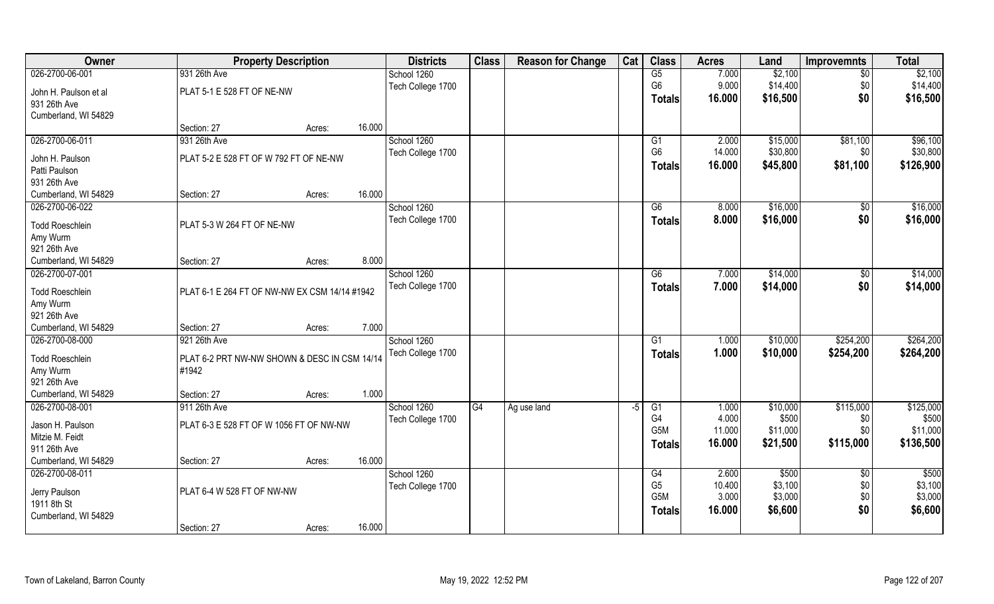| Owner                  | <b>Property Description</b>                   |        |        | <b>Districts</b>  | <b>Class</b> | <b>Reason for Change</b> | Cat  | <b>Class</b>     | <b>Acres</b> | Land     | <b>Improvemnts</b> | <b>Total</b> |
|------------------------|-----------------------------------------------|--------|--------|-------------------|--------------|--------------------------|------|------------------|--------------|----------|--------------------|--------------|
| 026-2700-06-001        | 931 26th Ave                                  |        |        | School 1260       |              |                          |      | G5               | 7.000        | \$2,100  | \$0                | \$2,100      |
| John H. Paulson et al  | PLAT 5-1 E 528 FT OF NE-NW                    |        |        | Tech College 1700 |              |                          |      | G <sub>6</sub>   | 9.000        | \$14,400 | \$0                | \$14,400     |
| 931 26th Ave           |                                               |        |        |                   |              |                          |      | Totals           | 16.000       | \$16,500 | \$0                | \$16,500     |
| Cumberland, WI 54829   |                                               |        |        |                   |              |                          |      |                  |              |          |                    |              |
|                        | Section: 27                                   | Acres: | 16.000 |                   |              |                          |      |                  |              |          |                    |              |
| 026-2700-06-011        | 931 26th Ave                                  |        |        | School 1260       |              |                          |      | G1               | 2.000        | \$15,000 | \$81,100           | \$96,100     |
| John H. Paulson        | PLAT 5-2 E 528 FT OF W 792 FT OF NE-NW        |        |        | Tech College 1700 |              |                          |      | G <sub>6</sub>   | 14.000       | \$30,800 | \$0                | \$30,800     |
| Patti Paulson          |                                               |        |        |                   |              |                          |      | <b>Totals</b>    | 16.000       | \$45,800 | \$81,100           | \$126,900    |
| 931 26th Ave           |                                               |        |        |                   |              |                          |      |                  |              |          |                    |              |
| Cumberland, WI 54829   | Section: 27                                   | Acres: | 16.000 |                   |              |                          |      |                  |              |          |                    |              |
| 026-2700-06-022        |                                               |        |        | School 1260       |              |                          |      | G6               | 8.000        | \$16,000 | \$0                | \$16,000     |
| <b>Todd Roeschlein</b> | PLAT 5-3 W 264 FT OF NE-NW                    |        |        | Tech College 1700 |              |                          |      | <b>Totals</b>    | 8.000        | \$16,000 | \$0                | \$16,000     |
| Amy Wurm               |                                               |        |        |                   |              |                          |      |                  |              |          |                    |              |
| 921 26th Ave           |                                               |        |        |                   |              |                          |      |                  |              |          |                    |              |
| Cumberland, WI 54829   | Section: 27                                   | Acres: | 8.000  |                   |              |                          |      |                  |              |          |                    |              |
| 026-2700-07-001        |                                               |        |        | School 1260       |              |                          |      | G6               | 7.000        | \$14,000 | \$                 | \$14,000     |
| <b>Todd Roeschlein</b> | PLAT 6-1 E 264 FT OF NW-NW EX CSM 14/14 #1942 |        |        | Tech College 1700 |              |                          |      | <b>Totals</b>    | 7.000        | \$14,000 | \$0                | \$14,000     |
| Amy Wurm               |                                               |        |        |                   |              |                          |      |                  |              |          |                    |              |
| 921 26th Ave           |                                               |        |        |                   |              |                          |      |                  |              |          |                    |              |
| Cumberland, WI 54829   | Section: 27                                   | Acres: | 7.000  |                   |              |                          |      |                  |              |          |                    |              |
| 026-2700-08-000        | 921 26th Ave                                  |        |        | School 1260       |              |                          |      | $\overline{G1}$  | 1.000        | \$10,000 | \$254,200          | \$264,200    |
| <b>Todd Roeschlein</b> | PLAT 6-2 PRT NW-NW SHOWN & DESC IN CSM 14/14  |        |        | Tech College 1700 |              |                          |      | <b>Totals</b>    | 1.000        | \$10,000 | \$254,200          | \$264,200    |
| Amy Wurm               | #1942                                         |        |        |                   |              |                          |      |                  |              |          |                    |              |
| 921 26th Ave           |                                               |        |        |                   |              |                          |      |                  |              |          |                    |              |
| Cumberland, WI 54829   | Section: 27                                   | Acres: | 1.000  |                   |              |                          |      |                  |              |          |                    |              |
| 026-2700-08-001        | 911 26th Ave                                  |        |        | School 1260       | G4           | Ag use land              | $-5$ | G1               | 1.000        | \$10,000 | \$115,000          | \$125,000    |
| Jason H. Paulson       | PLAT 6-3 E 528 FT OF W 1056 FT OF NW-NW       |        |        | Tech College 1700 |              |                          |      | G4               | 4.000        | \$500    | \$0                | \$500        |
| Mitzie M. Feidt        |                                               |        |        |                   |              |                          |      | G <sub>5</sub> M | 11.000       | \$11,000 | \$0                | \$11,000     |
| 911 26th Ave           |                                               |        |        |                   |              |                          |      | <b>Totals</b>    | 16.000       | \$21,500 | \$115,000          | \$136,500    |
| Cumberland, WI 54829   | Section: 27                                   | Acres: | 16.000 |                   |              |                          |      |                  |              |          |                    |              |
| 026-2700-08-011        |                                               |        |        | School 1260       |              |                          |      | G4               | 2.600        | \$500    | $\overline{60}$    | \$500        |
| Jerry Paulson          | PLAT 6-4 W 528 FT OF NW-NW                    |        |        | Tech College 1700 |              |                          |      | G <sub>5</sub>   | 10.400       | \$3,100  | \$0                | \$3,100      |
| 1911 8th St            |                                               |        |        |                   |              |                          |      | G <sub>5</sub> M | 3.000        | \$3,000  | \$0                | \$3,000      |
| Cumberland, WI 54829   |                                               |        |        |                   |              |                          |      | <b>Totals</b>    | 16.000       | \$6,600  | \$0                | \$6,600      |
|                        | Section: 27                                   | Acres: | 16.000 |                   |              |                          |      |                  |              |          |                    |              |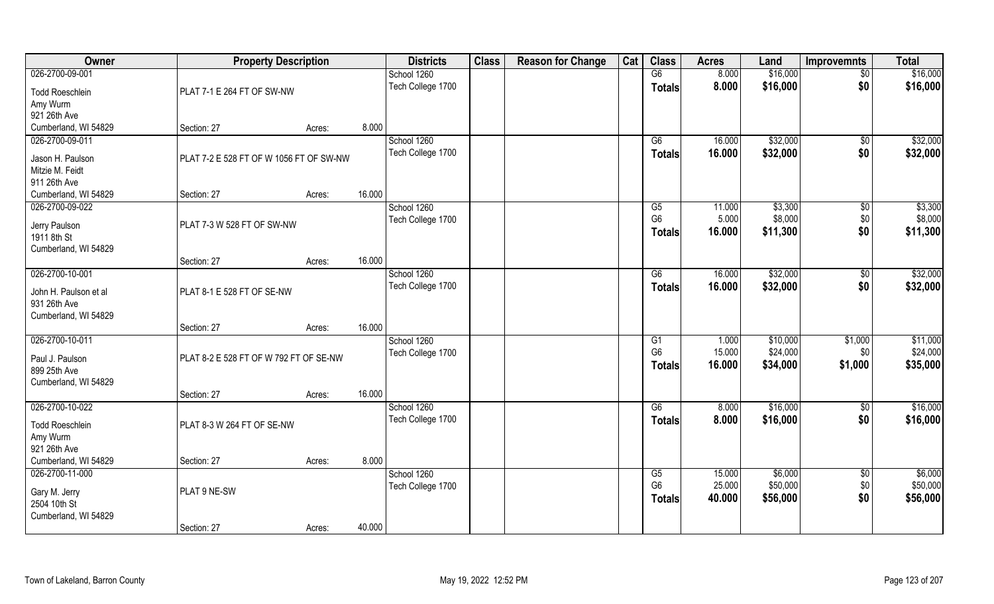| Owner                                | <b>Property Description</b>             |        |        | <b>Districts</b>  | <b>Class</b> | <b>Reason for Change</b> | Cat | <b>Class</b>         | <b>Acres</b>     | Land                | <b>Improvemnts</b> | <b>Total</b>        |
|--------------------------------------|-----------------------------------------|--------|--------|-------------------|--------------|--------------------------|-----|----------------------|------------------|---------------------|--------------------|---------------------|
| 026-2700-09-001                      |                                         |        |        | School 1260       |              |                          |     | G6                   | 8.000            | \$16,000            | $\sqrt{$0}$        | \$16,000            |
| <b>Todd Roeschlein</b>               | PLAT 7-1 E 264 FT OF SW-NW              |        |        | Tech College 1700 |              |                          |     | <b>Totals</b>        | 8.000            | \$16,000            | \$0                | \$16,000            |
| Amy Wurm                             |                                         |        |        |                   |              |                          |     |                      |                  |                     |                    |                     |
| 921 26th Ave                         |                                         |        |        |                   |              |                          |     |                      |                  |                     |                    |                     |
| Cumberland, WI 54829                 | Section: 27                             | Acres: | 8.000  |                   |              |                          |     |                      |                  |                     |                    |                     |
| 026-2700-09-011                      |                                         |        |        | School 1260       |              |                          |     | G6                   | 16.000           | \$32,000            | $\sqrt{$0}$        | \$32,000            |
| Jason H. Paulson                     | PLAT 7-2 E 528 FT OF W 1056 FT OF SW-NW |        |        | Tech College 1700 |              |                          |     | <b>Totals</b>        | 16.000           | \$32,000            | \$0                | \$32,000            |
| Mitzie M. Feidt                      |                                         |        |        |                   |              |                          |     |                      |                  |                     |                    |                     |
| 911 26th Ave                         |                                         |        |        |                   |              |                          |     |                      |                  |                     |                    |                     |
| Cumberland, WI 54829                 | Section: 27                             | Acres: | 16.000 |                   |              |                          |     |                      |                  |                     |                    |                     |
| 026-2700-09-022                      |                                         |        |        | School 1260       |              |                          |     | G5                   | 11.000           | \$3,300             | \$0                | \$3,300             |
|                                      | PLAT 7-3 W 528 FT OF SW-NW              |        |        | Tech College 1700 |              |                          |     | G <sub>6</sub>       | 5.000            | \$8,000             | \$0                | \$8,000             |
| Jerry Paulson<br>1911 8th St         |                                         |        |        |                   |              |                          |     | <b>Totals</b>        | 16.000           | \$11,300            | \$0                | \$11,300            |
| Cumberland, WI 54829                 |                                         |        |        |                   |              |                          |     |                      |                  |                     |                    |                     |
|                                      | Section: 27                             | Acres: | 16.000 |                   |              |                          |     |                      |                  |                     |                    |                     |
| 026-2700-10-001                      |                                         |        |        | School 1260       |              |                          |     | G6                   | 16.000           | \$32,000            | $\sqrt[6]{3}$      | \$32,000            |
|                                      |                                         |        |        | Tech College 1700 |              |                          |     | <b>Totals</b>        | 16.000           | \$32,000            | \$0                | \$32,000            |
| John H. Paulson et al                | PLAT 8-1 E 528 FT OF SE-NW              |        |        |                   |              |                          |     |                      |                  |                     |                    |                     |
| 931 26th Ave                         |                                         |        |        |                   |              |                          |     |                      |                  |                     |                    |                     |
| Cumberland, WI 54829                 |                                         |        |        |                   |              |                          |     |                      |                  |                     |                    |                     |
|                                      | Section: 27                             | Acres: | 16.000 |                   |              |                          |     |                      |                  |                     |                    |                     |
| 026-2700-10-011                      |                                         |        |        | School 1260       |              |                          |     | G1                   | 1.000            | \$10,000            | \$1,000            | \$11,000            |
| Paul J. Paulson                      | PLAT 8-2 E 528 FT OF W 792 FT OF SE-NW  |        |        | Tech College 1700 |              |                          |     | G <sub>6</sub>       | 15.000           | \$24,000            | \$0                | \$24,000            |
| 899 25th Ave                         |                                         |        |        |                   |              |                          |     | Totals               | 16.000           | \$34,000            | \$1,000            | \$35,000            |
| Cumberland, WI 54829                 |                                         |        |        |                   |              |                          |     |                      |                  |                     |                    |                     |
|                                      | Section: 27                             | Acres: | 16.000 |                   |              |                          |     |                      |                  |                     |                    |                     |
| 026-2700-10-022                      |                                         |        |        | School 1260       |              |                          |     | G6                   | 8.000            | \$16,000            | $\overline{60}$    | \$16,000            |
|                                      |                                         |        |        | Tech College 1700 |              |                          |     | <b>Totals</b>        | 8.000            | \$16,000            | \$0                | \$16,000            |
| <b>Todd Roeschlein</b>               | PLAT 8-3 W 264 FT OF SE-NW              |        |        |                   |              |                          |     |                      |                  |                     |                    |                     |
| Amy Wurm                             |                                         |        |        |                   |              |                          |     |                      |                  |                     |                    |                     |
| 921 26th Ave<br>Cumberland, WI 54829 |                                         |        | 8.000  |                   |              |                          |     |                      |                  |                     |                    |                     |
|                                      | Section: 27                             | Acres: |        |                   |              |                          |     |                      |                  |                     |                    |                     |
| 026-2700-11-000                      |                                         |        |        | School 1260       |              |                          |     | G5<br>G <sub>6</sub> | 15.000<br>25.000 | \$6,000<br>\$50,000 | $\sqrt{$0}$<br>\$0 | \$6,000<br>\$50,000 |
| Gary M. Jerry                        | PLAT 9 NE-SW                            |        |        | Tech College 1700 |              |                          |     |                      |                  |                     |                    |                     |
| 2504 10th St                         |                                         |        |        |                   |              |                          |     | <b>Totals</b>        | 40.000           | \$56,000            | \$0                | \$56,000            |
| Cumberland, WI 54829                 |                                         |        |        |                   |              |                          |     |                      |                  |                     |                    |                     |
|                                      | Section: 27                             | Acres: | 40.000 |                   |              |                          |     |                      |                  |                     |                    |                     |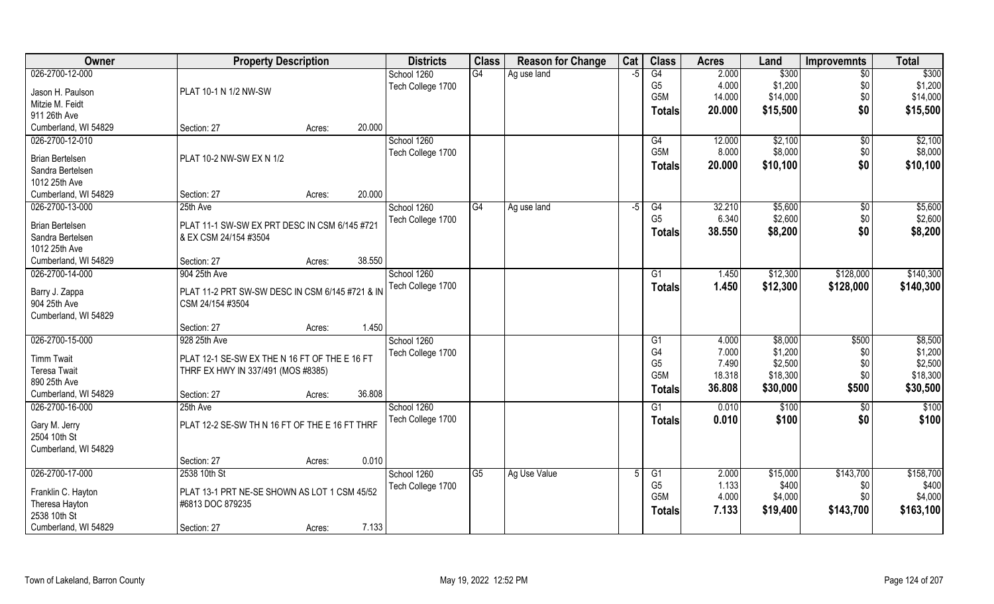| 026-2700-12-000<br>G4<br>G4<br>\$300<br>\$300<br>School 1260<br>2.000<br>$\sqrt{6}$<br>Ag use land<br>$-5$<br>G <sub>5</sub><br>\$1,200<br>\$1,200<br>4.000<br>\$0<br>Tech College 1700<br>Jason H. Paulson<br>PLAT 10-1 N 1/2 NW-SW<br>G5M<br>14.000<br>\$14,000<br>\$0<br>\$14,000<br>Mitzie M. Feidt<br>\$15,500<br>\$0<br>\$15,500<br>20.000<br><b>Totals</b><br>911 26th Ave<br>Cumberland, WI 54829<br>20.000<br>Section: 27<br>Acres:<br>026-2700-12-010<br>School 1260<br>\$2,100<br>\$2,100<br>G4<br>12.000<br>$\sqrt{$0}$<br>G5M<br>\$8,000<br>\$8,000<br>8.000<br>\$0<br>Tech College 1700<br>PLAT 10-2 NW-SW EX N 1/2<br><b>Brian Bertelsen</b><br>\$0<br>20.000<br>\$10,100<br>\$10,100<br><b>Totals</b><br>Sandra Bertelsen<br>1012 25th Ave<br>20.000<br>Cumberland, WI 54829<br>Section: 27<br>Acres:<br>School 1260<br>\$5,600<br>\$5,600<br>026-2700-13-000<br>25th Ave<br>G4<br>32.210<br>$\sqrt[6]{30}$<br>Ag use land<br>-5<br>G4<br>G <sub>5</sub><br>\$2,600<br>\$2,600<br>6.340<br>\$0<br>Tech College 1700<br><b>Brian Bertelsen</b><br>PLAT 11-1 SW-SW EX PRT DESC IN CSM 6/145 #721<br>38.550<br>\$8,200<br>\$0<br>\$8,200<br><b>Totals</b><br>& EX CSM 24/154 #3504<br>Sandra Bertelsen<br>1012 25th Ave<br>38.550<br>Cumberland, WI 54829<br>Section: 27<br>Acres:<br>\$140,300<br>026-2700-14-000<br>904 25th Ave<br>\$12,300<br>\$128,000<br>School 1260<br>1.450<br>G1<br>Tech College 1700<br>1.450<br>\$12,300<br>\$128,000<br>\$140,300<br><b>Totals</b><br>PLAT 11-2 PRT SW-SW DESC IN CSM 6/145 #721 & IN<br>Barry J. Zappa<br>904 25th Ave<br>CSM 24/154 #3504<br>Cumberland, WI 54829<br>1.450<br>Section: 27<br>Acres:<br>026-2700-15-000<br>928 25th Ave<br>4.000<br>\$8,000<br>\$500<br>\$8,500<br>School 1260<br>G1<br>G <sub>4</sub><br>\$1,200<br>7.000<br>\$1,200<br>\$0<br>Tech College 1700<br><b>Timm Twait</b><br>PLAT 12-1 SE-SW EX THE N 16 FT OF THE E 16 FT<br>G <sub>5</sub><br>7.490<br>\$2,500<br>\$0<br>\$2,500<br><b>Teresa Twait</b><br>THRF EX HWY IN 337/491 (MOS #8385)<br>G <sub>5</sub> M<br>\$18,300<br>18.318<br>\$18,300<br>\$0<br>890 25th Ave<br>\$30,000<br>\$500<br>\$30,500<br>36.808<br>Totals<br>Cumberland, WI 54829<br>36.808<br>Section: 27<br>Acres:<br>\$100 | <b>Owner</b>    | <b>Property Description</b> | <b>Districts</b> | <b>Class</b> | <b>Reason for Change</b> | Cat | <b>Class</b> | <b>Acres</b> | Land  | <b>Improvemnts</b> | <b>Total</b> |
|----------------------------------------------------------------------------------------------------------------------------------------------------------------------------------------------------------------------------------------------------------------------------------------------------------------------------------------------------------------------------------------------------------------------------------------------------------------------------------------------------------------------------------------------------------------------------------------------------------------------------------------------------------------------------------------------------------------------------------------------------------------------------------------------------------------------------------------------------------------------------------------------------------------------------------------------------------------------------------------------------------------------------------------------------------------------------------------------------------------------------------------------------------------------------------------------------------------------------------------------------------------------------------------------------------------------------------------------------------------------------------------------------------------------------------------------------------------------------------------------------------------------------------------------------------------------------------------------------------------------------------------------------------------------------------------------------------------------------------------------------------------------------------------------------------------------------------------------------------------------------------------------------------------------------------------------------------------------------------------------------------------------------------------------------------------------------------------------------------------------------------------------------------------------------------------------------------------------------------------------|-----------------|-----------------------------|------------------|--------------|--------------------------|-----|--------------|--------------|-------|--------------------|--------------|
|                                                                                                                                                                                                                                                                                                                                                                                                                                                                                                                                                                                                                                                                                                                                                                                                                                                                                                                                                                                                                                                                                                                                                                                                                                                                                                                                                                                                                                                                                                                                                                                                                                                                                                                                                                                                                                                                                                                                                                                                                                                                                                                                                                                                                                              |                 |                             |                  |              |                          |     |              |              |       |                    |              |
|                                                                                                                                                                                                                                                                                                                                                                                                                                                                                                                                                                                                                                                                                                                                                                                                                                                                                                                                                                                                                                                                                                                                                                                                                                                                                                                                                                                                                                                                                                                                                                                                                                                                                                                                                                                                                                                                                                                                                                                                                                                                                                                                                                                                                                              |                 |                             |                  |              |                          |     |              |              |       |                    |              |
|                                                                                                                                                                                                                                                                                                                                                                                                                                                                                                                                                                                                                                                                                                                                                                                                                                                                                                                                                                                                                                                                                                                                                                                                                                                                                                                                                                                                                                                                                                                                                                                                                                                                                                                                                                                                                                                                                                                                                                                                                                                                                                                                                                                                                                              |                 |                             |                  |              |                          |     |              |              |       |                    |              |
|                                                                                                                                                                                                                                                                                                                                                                                                                                                                                                                                                                                                                                                                                                                                                                                                                                                                                                                                                                                                                                                                                                                                                                                                                                                                                                                                                                                                                                                                                                                                                                                                                                                                                                                                                                                                                                                                                                                                                                                                                                                                                                                                                                                                                                              |                 |                             |                  |              |                          |     |              |              |       |                    |              |
|                                                                                                                                                                                                                                                                                                                                                                                                                                                                                                                                                                                                                                                                                                                                                                                                                                                                                                                                                                                                                                                                                                                                                                                                                                                                                                                                                                                                                                                                                                                                                                                                                                                                                                                                                                                                                                                                                                                                                                                                                                                                                                                                                                                                                                              |                 |                             |                  |              |                          |     |              |              |       |                    |              |
|                                                                                                                                                                                                                                                                                                                                                                                                                                                                                                                                                                                                                                                                                                                                                                                                                                                                                                                                                                                                                                                                                                                                                                                                                                                                                                                                                                                                                                                                                                                                                                                                                                                                                                                                                                                                                                                                                                                                                                                                                                                                                                                                                                                                                                              |                 |                             |                  |              |                          |     |              |              |       |                    |              |
|                                                                                                                                                                                                                                                                                                                                                                                                                                                                                                                                                                                                                                                                                                                                                                                                                                                                                                                                                                                                                                                                                                                                                                                                                                                                                                                                                                                                                                                                                                                                                                                                                                                                                                                                                                                                                                                                                                                                                                                                                                                                                                                                                                                                                                              |                 |                             |                  |              |                          |     |              |              |       |                    |              |
|                                                                                                                                                                                                                                                                                                                                                                                                                                                                                                                                                                                                                                                                                                                                                                                                                                                                                                                                                                                                                                                                                                                                                                                                                                                                                                                                                                                                                                                                                                                                                                                                                                                                                                                                                                                                                                                                                                                                                                                                                                                                                                                                                                                                                                              |                 |                             |                  |              |                          |     |              |              |       |                    |              |
|                                                                                                                                                                                                                                                                                                                                                                                                                                                                                                                                                                                                                                                                                                                                                                                                                                                                                                                                                                                                                                                                                                                                                                                                                                                                                                                                                                                                                                                                                                                                                                                                                                                                                                                                                                                                                                                                                                                                                                                                                                                                                                                                                                                                                                              |                 |                             |                  |              |                          |     |              |              |       |                    |              |
|                                                                                                                                                                                                                                                                                                                                                                                                                                                                                                                                                                                                                                                                                                                                                                                                                                                                                                                                                                                                                                                                                                                                                                                                                                                                                                                                                                                                                                                                                                                                                                                                                                                                                                                                                                                                                                                                                                                                                                                                                                                                                                                                                                                                                                              |                 |                             |                  |              |                          |     |              |              |       |                    |              |
|                                                                                                                                                                                                                                                                                                                                                                                                                                                                                                                                                                                                                                                                                                                                                                                                                                                                                                                                                                                                                                                                                                                                                                                                                                                                                                                                                                                                                                                                                                                                                                                                                                                                                                                                                                                                                                                                                                                                                                                                                                                                                                                                                                                                                                              |                 |                             |                  |              |                          |     |              |              |       |                    |              |
|                                                                                                                                                                                                                                                                                                                                                                                                                                                                                                                                                                                                                                                                                                                                                                                                                                                                                                                                                                                                                                                                                                                                                                                                                                                                                                                                                                                                                                                                                                                                                                                                                                                                                                                                                                                                                                                                                                                                                                                                                                                                                                                                                                                                                                              |                 |                             |                  |              |                          |     |              |              |       |                    |              |
|                                                                                                                                                                                                                                                                                                                                                                                                                                                                                                                                                                                                                                                                                                                                                                                                                                                                                                                                                                                                                                                                                                                                                                                                                                                                                                                                                                                                                                                                                                                                                                                                                                                                                                                                                                                                                                                                                                                                                                                                                                                                                                                                                                                                                                              |                 |                             |                  |              |                          |     |              |              |       |                    |              |
|                                                                                                                                                                                                                                                                                                                                                                                                                                                                                                                                                                                                                                                                                                                                                                                                                                                                                                                                                                                                                                                                                                                                                                                                                                                                                                                                                                                                                                                                                                                                                                                                                                                                                                                                                                                                                                                                                                                                                                                                                                                                                                                                                                                                                                              |                 |                             |                  |              |                          |     |              |              |       |                    |              |
|                                                                                                                                                                                                                                                                                                                                                                                                                                                                                                                                                                                                                                                                                                                                                                                                                                                                                                                                                                                                                                                                                                                                                                                                                                                                                                                                                                                                                                                                                                                                                                                                                                                                                                                                                                                                                                                                                                                                                                                                                                                                                                                                                                                                                                              |                 |                             |                  |              |                          |     |              |              |       |                    |              |
|                                                                                                                                                                                                                                                                                                                                                                                                                                                                                                                                                                                                                                                                                                                                                                                                                                                                                                                                                                                                                                                                                                                                                                                                                                                                                                                                                                                                                                                                                                                                                                                                                                                                                                                                                                                                                                                                                                                                                                                                                                                                                                                                                                                                                                              |                 |                             |                  |              |                          |     |              |              |       |                    |              |
|                                                                                                                                                                                                                                                                                                                                                                                                                                                                                                                                                                                                                                                                                                                                                                                                                                                                                                                                                                                                                                                                                                                                                                                                                                                                                                                                                                                                                                                                                                                                                                                                                                                                                                                                                                                                                                                                                                                                                                                                                                                                                                                                                                                                                                              |                 |                             |                  |              |                          |     |              |              |       |                    |              |
|                                                                                                                                                                                                                                                                                                                                                                                                                                                                                                                                                                                                                                                                                                                                                                                                                                                                                                                                                                                                                                                                                                                                                                                                                                                                                                                                                                                                                                                                                                                                                                                                                                                                                                                                                                                                                                                                                                                                                                                                                                                                                                                                                                                                                                              |                 |                             |                  |              |                          |     |              |              |       |                    |              |
|                                                                                                                                                                                                                                                                                                                                                                                                                                                                                                                                                                                                                                                                                                                                                                                                                                                                                                                                                                                                                                                                                                                                                                                                                                                                                                                                                                                                                                                                                                                                                                                                                                                                                                                                                                                                                                                                                                                                                                                                                                                                                                                                                                                                                                              |                 |                             |                  |              |                          |     |              |              |       |                    |              |
|                                                                                                                                                                                                                                                                                                                                                                                                                                                                                                                                                                                                                                                                                                                                                                                                                                                                                                                                                                                                                                                                                                                                                                                                                                                                                                                                                                                                                                                                                                                                                                                                                                                                                                                                                                                                                                                                                                                                                                                                                                                                                                                                                                                                                                              |                 |                             |                  |              |                          |     |              |              |       |                    |              |
|                                                                                                                                                                                                                                                                                                                                                                                                                                                                                                                                                                                                                                                                                                                                                                                                                                                                                                                                                                                                                                                                                                                                                                                                                                                                                                                                                                                                                                                                                                                                                                                                                                                                                                                                                                                                                                                                                                                                                                                                                                                                                                                                                                                                                                              |                 |                             |                  |              |                          |     |              |              |       |                    |              |
|                                                                                                                                                                                                                                                                                                                                                                                                                                                                                                                                                                                                                                                                                                                                                                                                                                                                                                                                                                                                                                                                                                                                                                                                                                                                                                                                                                                                                                                                                                                                                                                                                                                                                                                                                                                                                                                                                                                                                                                                                                                                                                                                                                                                                                              |                 |                             |                  |              |                          |     |              |              |       |                    |              |
|                                                                                                                                                                                                                                                                                                                                                                                                                                                                                                                                                                                                                                                                                                                                                                                                                                                                                                                                                                                                                                                                                                                                                                                                                                                                                                                                                                                                                                                                                                                                                                                                                                                                                                                                                                                                                                                                                                                                                                                                                                                                                                                                                                                                                                              |                 |                             |                  |              |                          |     |              |              |       |                    |              |
|                                                                                                                                                                                                                                                                                                                                                                                                                                                                                                                                                                                                                                                                                                                                                                                                                                                                                                                                                                                                                                                                                                                                                                                                                                                                                                                                                                                                                                                                                                                                                                                                                                                                                                                                                                                                                                                                                                                                                                                                                                                                                                                                                                                                                                              |                 |                             |                  |              |                          |     |              |              |       |                    |              |
|                                                                                                                                                                                                                                                                                                                                                                                                                                                                                                                                                                                                                                                                                                                                                                                                                                                                                                                                                                                                                                                                                                                                                                                                                                                                                                                                                                                                                                                                                                                                                                                                                                                                                                                                                                                                                                                                                                                                                                                                                                                                                                                                                                                                                                              |                 |                             |                  |              |                          |     |              |              |       |                    |              |
|                                                                                                                                                                                                                                                                                                                                                                                                                                                                                                                                                                                                                                                                                                                                                                                                                                                                                                                                                                                                                                                                                                                                                                                                                                                                                                                                                                                                                                                                                                                                                                                                                                                                                                                                                                                                                                                                                                                                                                                                                                                                                                                                                                                                                                              |                 |                             |                  |              |                          |     |              |              |       |                    |              |
|                                                                                                                                                                                                                                                                                                                                                                                                                                                                                                                                                                                                                                                                                                                                                                                                                                                                                                                                                                                                                                                                                                                                                                                                                                                                                                                                                                                                                                                                                                                                                                                                                                                                                                                                                                                                                                                                                                                                                                                                                                                                                                                                                                                                                                              |                 |                             |                  |              |                          |     |              |              |       |                    |              |
|                                                                                                                                                                                                                                                                                                                                                                                                                                                                                                                                                                                                                                                                                                                                                                                                                                                                                                                                                                                                                                                                                                                                                                                                                                                                                                                                                                                                                                                                                                                                                                                                                                                                                                                                                                                                                                                                                                                                                                                                                                                                                                                                                                                                                                              | 026-2700-16-000 | 25th Ave                    | School 1260      |              |                          |     | G1           | 0.010        | \$100 | $\overline{60}$    |              |
| \$100<br>Tech College 1700<br>0.010<br>\$100<br>\$0<br><b>Totals</b><br>Gary M. Jerry<br>PLAT 12-2 SE-SW TH N 16 FT OF THE E 16 FT THRF                                                                                                                                                                                                                                                                                                                                                                                                                                                                                                                                                                                                                                                                                                                                                                                                                                                                                                                                                                                                                                                                                                                                                                                                                                                                                                                                                                                                                                                                                                                                                                                                                                                                                                                                                                                                                                                                                                                                                                                                                                                                                                      |                 |                             |                  |              |                          |     |              |              |       |                    |              |
| 2504 10th St                                                                                                                                                                                                                                                                                                                                                                                                                                                                                                                                                                                                                                                                                                                                                                                                                                                                                                                                                                                                                                                                                                                                                                                                                                                                                                                                                                                                                                                                                                                                                                                                                                                                                                                                                                                                                                                                                                                                                                                                                                                                                                                                                                                                                                 |                 |                             |                  |              |                          |     |              |              |       |                    |              |
| Cumberland, WI 54829                                                                                                                                                                                                                                                                                                                                                                                                                                                                                                                                                                                                                                                                                                                                                                                                                                                                                                                                                                                                                                                                                                                                                                                                                                                                                                                                                                                                                                                                                                                                                                                                                                                                                                                                                                                                                                                                                                                                                                                                                                                                                                                                                                                                                         |                 |                             |                  |              |                          |     |              |              |       |                    |              |
| 0.010<br>Section: 27<br>Acres:                                                                                                                                                                                                                                                                                                                                                                                                                                                                                                                                                                                                                                                                                                                                                                                                                                                                                                                                                                                                                                                                                                                                                                                                                                                                                                                                                                                                                                                                                                                                                                                                                                                                                                                                                                                                                                                                                                                                                                                                                                                                                                                                                                                                               |                 |                             |                  |              |                          |     |              |              |       |                    |              |
| 026-2700-17-000<br>2538 10th St<br>School 1260<br>$\overline{G5}$<br>\$15,000<br>\$143,700<br>\$158,700<br>Ag Use Value<br>G1<br>2.000                                                                                                                                                                                                                                                                                                                                                                                                                                                                                                                                                                                                                                                                                                                                                                                                                                                                                                                                                                                                                                                                                                                                                                                                                                                                                                                                                                                                                                                                                                                                                                                                                                                                                                                                                                                                                                                                                                                                                                                                                                                                                                       |                 |                             |                  |              |                          |     |              |              |       |                    |              |
| G <sub>5</sub><br>1.133<br>\$400<br>\$400<br>\$0<br>Tech College 1700<br>PLAT 13-1 PRT NE-SE SHOWN AS LOT 1 CSM 45/52<br>Franklin C. Hayton                                                                                                                                                                                                                                                                                                                                                                                                                                                                                                                                                                                                                                                                                                                                                                                                                                                                                                                                                                                                                                                                                                                                                                                                                                                                                                                                                                                                                                                                                                                                                                                                                                                                                                                                                                                                                                                                                                                                                                                                                                                                                                  |                 |                             |                  |              |                          |     |              |              |       |                    |              |
| G5M<br>4.000<br>\$4,000<br>\$4,000<br>\$0<br>Theresa Hayton<br>#6813 DOC 879235                                                                                                                                                                                                                                                                                                                                                                                                                                                                                                                                                                                                                                                                                                                                                                                                                                                                                                                                                                                                                                                                                                                                                                                                                                                                                                                                                                                                                                                                                                                                                                                                                                                                                                                                                                                                                                                                                                                                                                                                                                                                                                                                                              |                 |                             |                  |              |                          |     |              |              |       |                    |              |
| 7.133<br>\$143,700<br>\$163,100<br>\$19,400<br>Totals<br>2538 10th St                                                                                                                                                                                                                                                                                                                                                                                                                                                                                                                                                                                                                                                                                                                                                                                                                                                                                                                                                                                                                                                                                                                                                                                                                                                                                                                                                                                                                                                                                                                                                                                                                                                                                                                                                                                                                                                                                                                                                                                                                                                                                                                                                                        |                 |                             |                  |              |                          |     |              |              |       |                    |              |
| 7.133<br>Cumberland, WI 54829<br>Section: 27<br>Acres:                                                                                                                                                                                                                                                                                                                                                                                                                                                                                                                                                                                                                                                                                                                                                                                                                                                                                                                                                                                                                                                                                                                                                                                                                                                                                                                                                                                                                                                                                                                                                                                                                                                                                                                                                                                                                                                                                                                                                                                                                                                                                                                                                                                       |                 |                             |                  |              |                          |     |              |              |       |                    |              |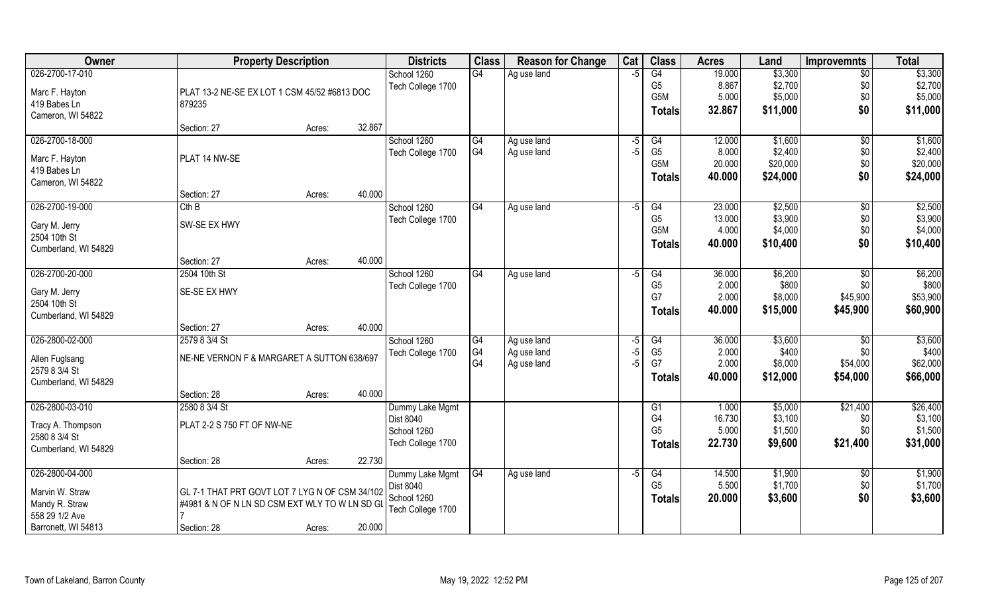| Owner                              | <b>Property Description</b>                    |        | <b>Districts</b>  | <b>Class</b>    | <b>Reason for Change</b> | Cat  | <b>Class</b>    | <b>Acres</b> | Land     | <b>Improvemnts</b> | <b>Total</b> |
|------------------------------------|------------------------------------------------|--------|-------------------|-----------------|--------------------------|------|-----------------|--------------|----------|--------------------|--------------|
| 026-2700-17-010                    |                                                |        | School 1260       | G4              | Ag use land              | $-5$ | G4              | 19.000       | \$3,300  | \$0                | \$3,300      |
| Marc F. Hayton                     | PLAT 13-2 NE-SE EX LOT 1 CSM 45/52 #6813 DOC   |        | Tech College 1700 |                 |                          |      | G <sub>5</sub>  | 8.867        | \$2,700  | \$0                | \$2,700      |
| 419 Babes Ln                       | 879235                                         |        |                   |                 |                          |      | G5M             | 5.000        | \$5,000  | \$0                | \$5,000      |
| Cameron, WI 54822                  |                                                |        |                   |                 |                          |      | <b>Totals</b>   | 32.867       | \$11,000 | \$0                | \$11,000     |
|                                    | Section: 27                                    | Acres: | 32.867            |                 |                          |      |                 |              |          |                    |              |
| 026-2700-18-000                    |                                                |        | School 1260       | $\overline{G4}$ | Ag use land              | $-5$ | G4              | 12.000       | \$1,600  | $\sqrt{$0}$        | \$1,600      |
| Marc F. Hayton                     | PLAT 14 NW-SE                                  |        | Tech College 1700 | G4              | Ag use land              | $-5$ | G <sub>5</sub>  | 8.000        | \$2,400  | \$0                | \$2,400      |
| 419 Babes Ln                       |                                                |        |                   |                 |                          |      | G5M             | 20.000       | \$20,000 | \$0                | \$20,000     |
| Cameron, WI 54822                  |                                                |        |                   |                 |                          |      | <b>Totals</b>   | 40.000       | \$24,000 | \$0                | \$24,000     |
|                                    | Section: 27                                    | Acres: | 40.000            |                 |                          |      |                 |              |          |                    |              |
| 026-2700-19-000                    | Cth B                                          |        | School 1260       | G4              | Ag use land              | -5   | G4              | 23.000       | \$2,500  | $\sqrt[6]{3}$      | \$2,500      |
|                                    | SW-SE EX HWY                                   |        | Tech College 1700 |                 |                          |      | G <sub>5</sub>  | 13.000       | \$3,900  | \$0                | \$3,900      |
| Gary M. Jerry<br>2504 10th St      |                                                |        |                   |                 |                          |      | G5M             | 4.000        | \$4,000  | \$0                | \$4,000      |
| Cumberland, WI 54829               |                                                |        |                   |                 |                          |      | <b>Totals</b>   | 40.000       | \$10,400 | \$0                | \$10,400     |
|                                    | Section: 27                                    | Acres: | 40.000            |                 |                          |      |                 |              |          |                    |              |
| 026-2700-20-000                    | 2504 10th St                                   |        | School 1260       | G4              | Ag use land              | -5   | G4              | 36.000       | \$6,200  | \$0                | \$6,200      |
|                                    |                                                |        | Tech College 1700 |                 |                          |      | G <sub>5</sub>  | 2.000        | \$800    | \$0                | \$800        |
| Gary M. Jerry<br>2504 10th St      | SE-SE EX HWY                                   |        |                   |                 |                          |      | G7              | 2.000        | \$8,000  | \$45,900           | \$53,900     |
| Cumberland, WI 54829               |                                                |        |                   |                 |                          |      | <b>Totals</b>   | 40.000       | \$15,000 | \$45,900           | \$60,900     |
|                                    | Section: 27                                    | Acres: | 40.000            |                 |                          |      |                 |              |          |                    |              |
| 026-2800-02-000                    | 2579 8 3/4 St                                  |        | School 1260       | G4              | Ag use land              | $-5$ | $\overline{G4}$ | 36.000       | \$3,600  | $\sqrt{50}$        | \$3,600      |
|                                    |                                                |        | Tech College 1700 | G4              | Ag use land              | $-5$ | G <sub>5</sub>  | 2.000        | \$400    | \$0                | \$400        |
| Allen Fuglsang<br>2579 8 3/4 St    | NE-NE VERNON F & MARGARET A SUTTON 638/697     |        |                   | G4              | Ag use land              | $-5$ | G7              | 2.000        | \$8,000  | \$54,000           | \$62,000     |
| Cumberland, WI 54829               |                                                |        |                   |                 |                          |      | <b>Totals</b>   | 40.000       | \$12,000 | \$54,000           | \$66,000     |
|                                    | Section: 28                                    | Acres: | 40.000            |                 |                          |      |                 |              |          |                    |              |
| 026-2800-03-010                    | 2580 8 3/4 St                                  |        | Dummy Lake Mgmt   |                 |                          |      | G1              | 1.000        | \$5,000  | \$21,400           | \$26,400     |
|                                    |                                                |        | <b>Dist 8040</b>  |                 |                          |      | G4              | 16.730       | \$3,100  | \$0                | \$3,100      |
| Tracy A. Thompson<br>2580 8 3/4 St | PLAT 2-2 S 750 FT OF NW-NE                     |        | School 1260       |                 |                          |      | G <sub>5</sub>  | 5.000        | \$1,500  | \$0                | \$1,500      |
| Cumberland, WI 54829               |                                                |        | Tech College 1700 |                 |                          |      | <b>Totals</b>   | 22.730       | \$9,600  | \$21,400           | \$31,000     |
|                                    | Section: 28                                    | Acres: | 22.730            |                 |                          |      |                 |              |          |                    |              |
| 026-2800-04-000                    |                                                |        | Dummy Lake Mgmt   | G4              | Ag use land              | $-5$ | G4              | 14.500       | \$1,900  | $\overline{50}$    | \$1,900      |
|                                    |                                                |        | Dist 8040         |                 |                          |      | G <sub>5</sub>  | 5.500        | \$1,700  | \$0                | \$1,700      |
| Marvin W. Straw                    | GL 7-1 THAT PRT GOVT LOT 7 LYG N OF CSM 34/102 |        | School 1260       |                 |                          |      | <b>Totals</b>   | 20.000       | \$3,600  | \$0                | \$3,600      |
| Mandy R. Straw<br>558 29 1/2 Ave   | #4981 & N OF N LN SD CSM EXT WLY TO W LN SD GL |        | Tech College 1700 |                 |                          |      |                 |              |          |                    |              |
| Barronett, WI 54813                | Section: 28                                    |        | 20.000            |                 |                          |      |                 |              |          |                    |              |
|                                    |                                                | Acres: |                   |                 |                          |      |                 |              |          |                    |              |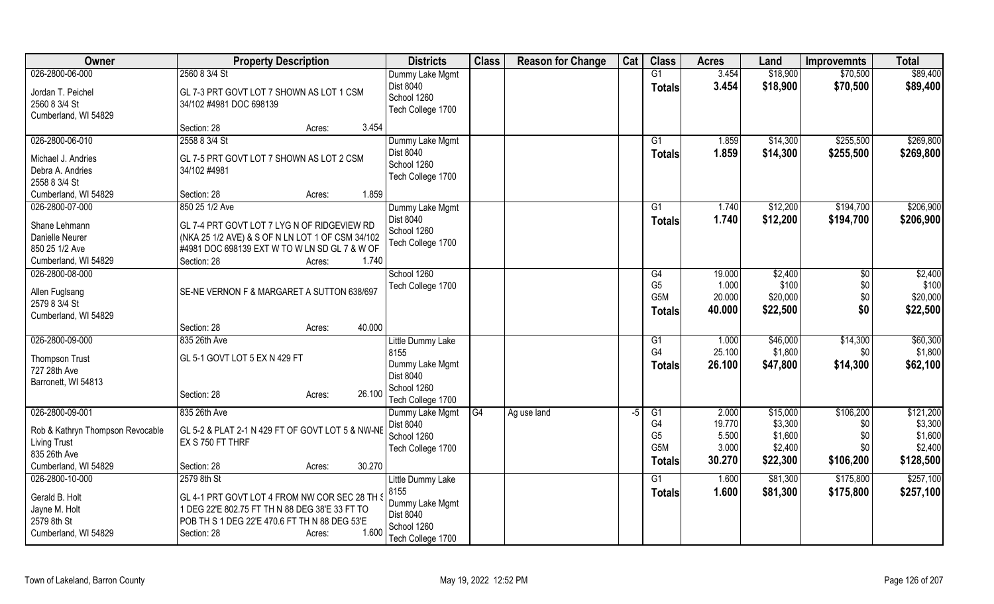| Owner                            | <b>Property Description</b>                            | <b>Districts</b>  | <b>Class</b> | <b>Reason for Change</b> | Cat  | <b>Class</b>     | <b>Acres</b> | Land     | <b>Improvemnts</b> | <b>Total</b> |
|----------------------------------|--------------------------------------------------------|-------------------|--------------|--------------------------|------|------------------|--------------|----------|--------------------|--------------|
| 026-2800-06-000                  | 2560 8 3/4 St                                          | Dummy Lake Mgmt   |              |                          |      | G1               | 3.454        | \$18,900 | \$70,500           | \$89,400     |
| Jordan T. Peichel                | GL 7-3 PRT GOVT LOT 7 SHOWN AS LOT 1 CSM               | Dist 8040         |              |                          |      | <b>Totals</b>    | 3.454        | \$18,900 | \$70,500           | \$89,400     |
| 2560 8 3/4 St                    | 34/102 #4981 DOC 698139                                | School 1260       |              |                          |      |                  |              |          |                    |              |
| Cumberland, WI 54829             |                                                        | Tech College 1700 |              |                          |      |                  |              |          |                    |              |
|                                  | 3.454<br>Section: 28<br>Acres:                         |                   |              |                          |      |                  |              |          |                    |              |
| 026-2800-06-010                  | 2558 8 3/4 St                                          | Dummy Lake Mgmt   |              |                          |      | G1               | 1.859        | \$14,300 | \$255,500          | \$269,800    |
| Michael J. Andries               | GL 7-5 PRT GOVT LOT 7 SHOWN AS LOT 2 CSM               | Dist 8040         |              |                          |      | <b>Totals</b>    | 1.859        | \$14,300 | \$255,500          | \$269,800    |
| Debra A. Andries                 | 34/102 #4981                                           | School 1260       |              |                          |      |                  |              |          |                    |              |
| 2558 8 3/4 St                    |                                                        | Tech College 1700 |              |                          |      |                  |              |          |                    |              |
| Cumberland, WI 54829             | 1.859<br>Section: 28<br>Acres:                         |                   |              |                          |      |                  |              |          |                    |              |
| 026-2800-07-000                  | 850 25 1/2 Ave                                         | Dummy Lake Mgmt   |              |                          |      | G1               | 1.740        | \$12,200 | \$194,700          | \$206,900    |
|                                  |                                                        | Dist 8040         |              |                          |      | <b>Totals</b>    | 1.740        | \$12,200 | \$194,700          | \$206,900    |
| Shane Lehmann                    | GL 7-4 PRT GOVT LOT 7 LYG N OF RIDGEVIEW RD            | School 1260       |              |                          |      |                  |              |          |                    |              |
| Danielle Neurer                  | (NKA 25 1/2 AVE) & S OF N LN LOT 1 OF CSM 34/102       | Tech College 1700 |              |                          |      |                  |              |          |                    |              |
| 850 25 1/2 Ave                   | #4981 DOC 698139 EXT W TO W LN SD GL 7 & W OF          |                   |              |                          |      |                  |              |          |                    |              |
| Cumberland, WI 54829             | Section: 28<br>1.740<br>Acres:                         |                   |              |                          |      |                  |              |          |                    |              |
| 026-2800-08-000                  |                                                        | School 1260       |              |                          |      | G4               | 19.000       | \$2,400  | $\sqrt[6]{3}$      | \$2,400      |
| Allen Fuglsang                   | SE-NE VERNON F & MARGARET A SUTTON 638/697             | Tech College 1700 |              |                          |      | G <sub>5</sub>   | 1.000        | \$100    | \$0                | \$100        |
| 2579 8 3/4 St                    |                                                        |                   |              |                          |      | G <sub>5</sub> M | 20.000       | \$20,000 | \$0                | \$20,000     |
| Cumberland, WI 54829             |                                                        |                   |              |                          |      | Totals           | 40.000       | \$22,500 | \$0                | \$22,500     |
|                                  | 40.000<br>Section: 28<br>Acres:                        |                   |              |                          |      |                  |              |          |                    |              |
| 026-2800-09-000                  | 835 26th Ave                                           | Little Dummy Lake |              |                          |      | G1               | 1.000        | \$46,000 | \$14,300           | \$60,300     |
| <b>Thompson Trust</b>            | GL 5-1 GOVT LOT 5 EX N 429 FT                          | 8155              |              |                          |      | G4               | 25.100       | \$1,800  | \$0                | \$1,800      |
| 727 28th Ave                     |                                                        | Dummy Lake Mgmt   |              |                          |      | <b>Totals</b>    | 26.100       | \$47,800 | \$14,300           | \$62,100     |
| Barronett, WI 54813              |                                                        | <b>Dist 8040</b>  |              |                          |      |                  |              |          |                    |              |
|                                  | 26.100<br>Section: 28<br>Acres:                        | School 1260       |              |                          |      |                  |              |          |                    |              |
|                                  |                                                        | Tech College 1700 |              |                          |      |                  |              |          |                    |              |
| 026-2800-09-001                  | 835 26th Ave                                           | Dummy Lake Mgmt   | G4           | Ag use land              | $-5$ | $\overline{G1}$  | 2.000        | \$15,000 | \$106,200          | \$121,200    |
| Rob & Kathryn Thompson Revocable | GL 5-2 & PLAT 2-1 N 429 FT OF GOVT LOT 5 & NW-NE       | <b>Dist 8040</b>  |              |                          |      | G4               | 19.770       | \$3,300  | \$0                | \$3,300      |
| <b>Living Trust</b>              | EX S 750 FT THRF                                       | School 1260       |              |                          |      | G <sub>5</sub>   | 5.500        | \$1,600  | \$0                | \$1,600      |
| 835 26th Ave                     |                                                        | Tech College 1700 |              |                          |      | G <sub>5</sub> M | 3.000        | \$2,400  | \$0                | \$2,400      |
| Cumberland, WI 54829             | 30.270<br>Section: 28<br>Acres:                        |                   |              |                          |      | <b>Totals</b>    | 30.270       | \$22,300 | \$106,200          | \$128,500    |
| 026-2800-10-000                  | 2579 8th St                                            | Little Dummy Lake |              |                          |      | G1               | 1.600        | \$81,300 | \$175,800          | \$257,100    |
|                                  |                                                        | 8155              |              |                          |      | <b>Totals</b>    | 1.600        | \$81,300 | \$175,800          | \$257,100    |
| Gerald B. Holt                   | GL 4-1 PRT GOVT LOT 4 FROM NW COR SEC 28 TH 3          | Dummy Lake Mgmt   |              |                          |      |                  |              |          |                    |              |
| Jayne M. Holt                    | 1 DEG 22'E 802.75 FT TH N 88 DEG 38'E 33 FT TO         | Dist 8040         |              |                          |      |                  |              |          |                    |              |
| 2579 8th St                      | POB TH S 1 DEG 22'E 470.6 FT TH N 88 DEG 53'E<br>1.600 | School 1260       |              |                          |      |                  |              |          |                    |              |
| Cumberland, WI 54829             | Section: 28<br>Acres:                                  | Tech College 1700 |              |                          |      |                  |              |          |                    |              |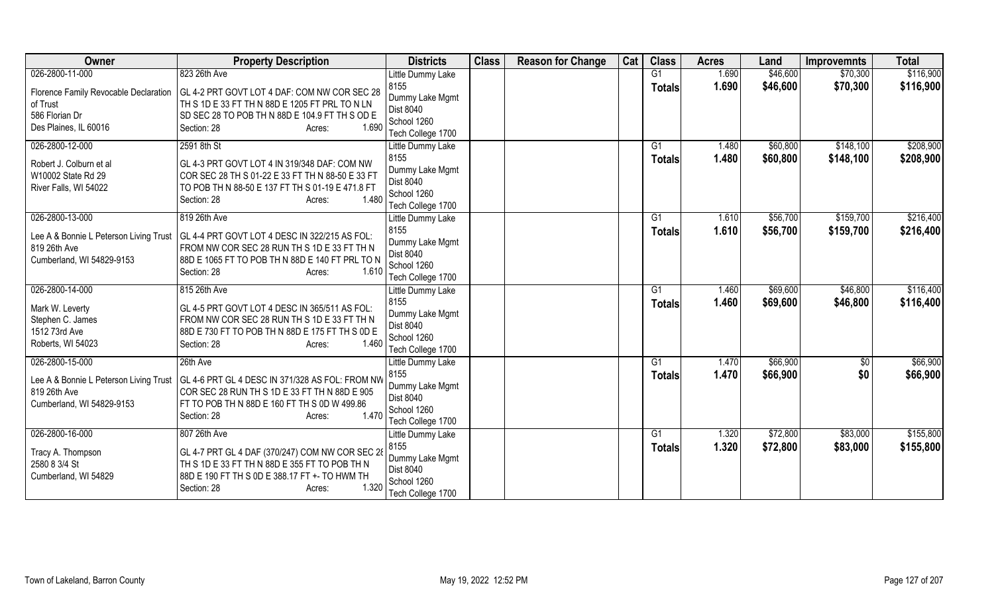| Owner                                                                                                  | <b>Property Description</b>                                                                                                                                                                           | <b>Districts</b>                                                                                     | <b>Class</b> | <b>Reason for Change</b> | Cat | <b>Class</b>                    | <b>Acres</b>   | Land                 | <b>Improvemnts</b>     | <b>Total</b>           |
|--------------------------------------------------------------------------------------------------------|-------------------------------------------------------------------------------------------------------------------------------------------------------------------------------------------------------|------------------------------------------------------------------------------------------------------|--------------|--------------------------|-----|---------------------------------|----------------|----------------------|------------------------|------------------------|
| 026-2800-11-000                                                                                        | 823 26th Ave                                                                                                                                                                                          | Little Dummy Lake                                                                                    |              |                          |     | G <sub>1</sub>                  | 1.690          | \$46,600             | \$70,300               | \$116,900              |
| Florence Family Revocable Declaration<br>of Trust<br>586 Florian Dr<br>Des Plaines, IL 60016           | GL 4-2 PRT GOVT LOT 4 DAF: COM NW COR SEC 28<br>TH S 1D E 33 FT TH N 88D E 1205 FT PRL TO N LN<br>SD SEC 28 TO POB TH N 88D E 104.9 FT TH S OD E<br>Section: 28<br>1.690<br>Acres:                    | 8155<br>Dummy Lake Mgmt<br>Dist 8040<br>School 1260<br>Tech College 1700                             |              |                          |     | <b>Totals</b>                   | 1.690          | \$46,600             | \$70,300               | \$116,900              |
| 026-2800-12-000<br>Robert J. Colburn et al<br>W10002 State Rd 29<br>River Falls, WI 54022              | 2591 8th St<br>GL 4-3 PRT GOVT LOT 4 IN 319/348 DAF: COM NW<br>COR SEC 28 TH S 01-22 E 33 FT TH N 88-50 E 33 FT<br>TO POB TH N 88-50 E 137 FT TH S 01-19 E 471.8 FT<br>Section: 28<br>1.480<br>Acres: | Little Dummy Lake<br>8155<br>Dummy Lake Mgmt<br>Dist 8040<br>School 1260<br>Tech College 1700        |              |                          |     | G <sub>1</sub><br><b>Totals</b> | 1.480<br>1.480 | \$60,800<br>\$60,800 | \$148,100<br>\$148,100 | \$208,900<br>\$208,900 |
| 026-2800-13-000<br>Lee A & Bonnie L Peterson Living Trust<br>819 26th Ave<br>Cumberland, WI 54829-9153 | 819 26th Ave<br>GL 4-4 PRT GOVT LOT 4 DESC IN 322/215 AS FOL:<br>FROM NW COR SEC 28 RUN TH S 1D E 33 FT TH N<br>88D E 1065 FT TO POB TH N 88D E 140 FT PRL TO N<br>1.610<br>Section: 28<br>Acres:     | Little Dummy Lake<br>8155<br>Dummy Lake Mgmt<br>Dist 8040<br>School 1260<br>Tech College 1700        |              |                          |     | G <sub>1</sub><br><b>Totals</b> | 1.610<br>1.610 | \$56,700<br>\$56,700 | \$159,700<br>\$159,700 | \$216,400<br>\$216,400 |
| 026-2800-14-000<br>Mark W. Leverty<br>Stephen C. James<br>1512 73rd Ave<br>Roberts, WI 54023           | 815 26th Ave<br>GL 4-5 PRT GOVT LOT 4 DESC IN 365/511 AS FOL:<br>FROM NW COR SEC 28 RUN TH S 1D E 33 FT TH N<br>88D E 730 FT TO POB TH N 88D E 175 FT TH S 0D E<br>1.460<br>Section: 28<br>Acres:     | Little Dummy Lake<br>8155<br>Dummy Lake Mgmt<br>Dist 8040<br>School 1260<br>Tech College 1700        |              |                          |     | G <sub>1</sub><br><b>Totals</b> | 1.460<br>1.460 | \$69,600<br>\$69,600 | \$46,800<br>\$46,800   | \$116,400<br>\$116,400 |
| 026-2800-15-000<br>Lee A & Bonnie L Peterson Living Trust<br>819 26th Ave<br>Cumberland, WI 54829-9153 | 26th Ave<br>GL 4-6 PRT GL 4 DESC IN 371/328 AS FOL: FROM NW<br>COR SEC 28 RUN TH S 1D E 33 FT TH N 88D E 905<br>FT TO POB TH N 88D E 160 FT TH S 0D W 499.86<br>1.470<br>Section: 28<br>Acres:        | Little Dummy Lake<br>8155<br>Dummy Lake Mgmt<br><b>Dist 8040</b><br>School 1260<br>Tech College 1700 |              |                          |     | G1<br><b>Totals</b>             | 1.470<br>1.470 | \$66,900<br>\$66,900 | \$0<br>\$0             | \$66,900<br>\$66,900   |
| 026-2800-16-000<br>Tracy A. Thompson<br>2580 8 3/4 St<br>Cumberland, WI 54829                          | 807 26th Ave<br>GL 4-7 PRT GL 4 DAF (370/247) COM NW COR SEC 28<br>TH S 1D E 33 FT TH N 88D E 355 FT TO POB TH N<br>88D E 190 FT TH S 0D E 388.17 FT +- TO HWM TH<br>1.320<br>Section: 28<br>Acres:   | Little Dummy Lake<br>8155<br>Dummy Lake Mgmt<br>Dist 8040<br>School 1260<br>Tech College 1700        |              |                          |     | G1<br><b>Totals</b>             | 1.320<br>1.320 | \$72,800<br>\$72,800 | \$83,000<br>\$83,000   | \$155,800<br>\$155,800 |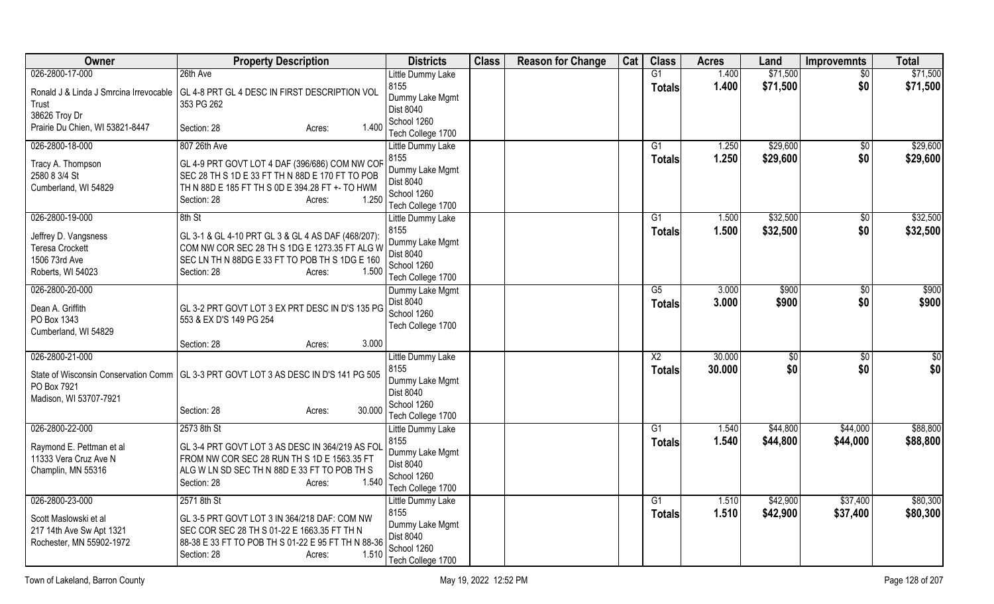| Owner                                                                                                   | <b>Property Description</b>                                                                                                                                                                            | <b>Districts</b>                                                                                     | <b>Class</b> | <b>Reason for Change</b> | Cat | <b>Class</b>                            | <b>Acres</b>     | Land                 | <b>Improvemnts</b>     | <b>Total</b>         |
|---------------------------------------------------------------------------------------------------------|--------------------------------------------------------------------------------------------------------------------------------------------------------------------------------------------------------|------------------------------------------------------------------------------------------------------|--------------|--------------------------|-----|-----------------------------------------|------------------|----------------------|------------------------|----------------------|
| 026-2800-17-000                                                                                         | 26th Ave                                                                                                                                                                                               | Little Dummy Lake                                                                                    |              |                          |     | G1                                      | 1.400            | \$71,500             | \$0                    | \$71,500             |
| Ronald J & Linda J Smrcina Irrevocable<br>Trust                                                         | GL 4-8 PRT GL 4 DESC IN FIRST DESCRIPTION VOL<br>353 PG 262                                                                                                                                            | 8155<br>Dummy Lake Mgmt<br><b>Dist 8040</b>                                                          |              |                          |     | <b>Totals</b>                           | 1.400            | \$71,500             | \$0                    | \$71,500             |
| 38626 Troy Dr<br>Prairie Du Chien, WI 53821-8447                                                        | 1.400<br>Section: 28<br>Acres:                                                                                                                                                                         | School 1260<br>Tech College 1700                                                                     |              |                          |     |                                         |                  |                      |                        |                      |
| 026-2800-18-000<br>Tracy A. Thompson<br>2580 8 3/4 St<br>Cumberland, WI 54829                           | 807 26th Ave<br>GL 4-9 PRT GOVT LOT 4 DAF (396/686) COM NW COF<br>SEC 28 TH S 1D E 33 FT TH N 88D E 170 FT TO POB<br>TH N 88D E 185 FT TH S 0D E 394.28 FT +- TO HWM<br>1.250<br>Section: 28<br>Acres: | Little Dummy Lake<br>8155<br>Dummy Lake Mgmt<br>Dist 8040<br>School 1260<br>Tech College 1700        |              |                          |     | G1<br><b>Totals</b>                     | 1.250<br>1.250   | \$29,600<br>\$29,600 | \$0<br>\$0             | \$29,600<br>\$29,600 |
| 026-2800-19-000<br>Jeffrey D. Vangsness<br><b>Teresa Crockett</b><br>1506 73rd Ave<br>Roberts, WI 54023 | 8th St<br>GL 3-1 & GL 4-10 PRT GL 3 & GL 4 AS DAF (468/207):<br>COM NW COR SEC 28 TH S 1DG E 1273.35 FT ALG W<br>SEC LN TH N 88DG E 33 FT TO POB TH S 1DG E 160<br>1.500<br>Section: 28<br>Acres:      | Little Dummy Lake<br>8155<br>Dummy Lake Mgmt<br>Dist 8040<br>School 1260<br>Tech College 1700        |              |                          |     | G1<br><b>Totals</b>                     | 1.500<br>1.500   | \$32,500<br>\$32,500 | \$0<br>\$0             | \$32,500<br>\$32,500 |
| 026-2800-20-000<br>Dean A. Griffith<br>PO Box 1343<br>Cumberland, WI 54829                              | GL 3-2 PRT GOVT LOT 3 EX PRT DESC IN D'S 135 PG<br>553 & EX D'S 149 PG 254<br>3.000                                                                                                                    | Dummy Lake Mgmt<br><b>Dist 8040</b><br>School 1260<br>Tech College 1700                              |              |                          |     | $\overline{G5}$<br><b>Totals</b>        | 3.000<br>3.000   | \$900<br>\$900       | $\overline{50}$<br>\$0 | \$900<br>\$900       |
| 026-2800-21-000<br>PO Box 7921<br>Madison, WI 53707-7921                                                | Section: 28<br>Acres:<br>State of Wisconsin Conservation Comm   GL 3-3 PRT GOVT LOT 3 AS DESC IN D'S 141 PG 505<br>30.000<br>Section: 28<br>Acres:                                                     | Little Dummy Lake<br>8155<br>Dummy Lake Mgmt<br><b>Dist 8040</b><br>School 1260<br>Tech College 1700 |              |                          |     | $\overline{\text{X2}}$<br><b>Totals</b> | 30.000<br>30.000 | \$0<br>\$0           | $\sqrt{6}$<br>\$0      | \$0<br>\$0           |
| 026-2800-22-000<br>Raymond E. Pettman et al<br>11333 Vera Cruz Ave N<br>Champlin, MN 55316              | 2573 8th St<br>GL 3-4 PRT GOVT LOT 3 AS DESC IN 364/219 AS FOL<br>FROM NW COR SEC 28 RUN TH S 1D E 1563.35 FT<br>ALG W LN SD SEC TH N 88D E 33 FT TO POB TH S<br>1.540<br>Section: 28<br>Acres:        | Little Dummy Lake<br>8155<br>Dummy Lake Mgmt<br>Dist 8040<br>School 1260<br>Tech College 1700        |              |                          |     | G1<br><b>Totals</b>                     | 1.540<br>1.540   | \$44,800<br>\$44,800 | \$44,000<br>\$44,000   | \$88,800<br>\$88,800 |
| 026-2800-23-000<br>Scott Maslowski et al<br>217 14th Ave Sw Apt 1321<br>Rochester, MN 55902-1972        | 2571 8th St<br>GL 3-5 PRT GOVT LOT 3 IN 364/218 DAF: COM NW<br>SEC COR SEC 28 TH S 01-22 E 1663.35 FT TH N<br>88-38 E 33 FT TO POB TH S 01-22 E 95 FT TH N 88-36<br>Section: 28<br>1.510<br>Acres:     | Little Dummy Lake<br>8155<br>Dummy Lake Mgmt<br>Dist 8040<br>School 1260<br>Tech College 1700        |              |                          |     | G1<br><b>Totals</b>                     | 1.510<br>1.510   | \$42,900<br>\$42,900 | \$37,400<br>\$37,400   | \$80,300<br>\$80,300 |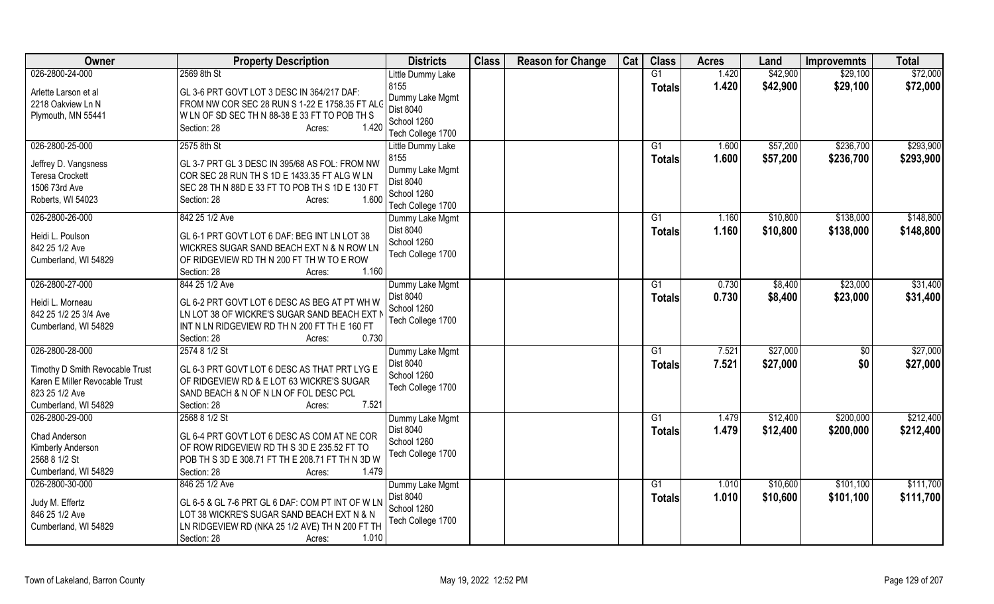| Owner                                     | <b>Property Description</b>                                                                  | <b>Districts</b>  | <b>Class</b> | <b>Reason for Change</b> | Cat | <b>Class</b>  | <b>Acres</b> | Land     | <b>Improvemnts</b> | <b>Total</b> |
|-------------------------------------------|----------------------------------------------------------------------------------------------|-------------------|--------------|--------------------------|-----|---------------|--------------|----------|--------------------|--------------|
| 026-2800-24-000                           | 2569 8th St                                                                                  | Little Dummy Lake |              |                          |     | G1            | 1.420        | \$42,900 | \$29,100           | \$72,000     |
| Arlette Larson et al                      | GL 3-6 PRT GOVT LOT 3 DESC IN 364/217 DAF:                                                   | 8155              |              |                          |     | <b>Totals</b> | 1.420        | \$42,900 | \$29,100           | \$72,000     |
| 2218 Oakview Ln N                         | FROM NW COR SEC 28 RUN S 1-22 E 1758.35 FT ALC                                               | Dummy Lake Mgmt   |              |                          |     |               |              |          |                    |              |
| Plymouth, MN 55441                        | WLN OF SD SEC TH N 88-38 E 33 FT TO POB TH S                                                 | Dist 8040         |              |                          |     |               |              |          |                    |              |
|                                           | 1.420<br>Section: 28<br>Acres:                                                               | School 1260       |              |                          |     |               |              |          |                    |              |
|                                           |                                                                                              | Tech College 1700 |              |                          |     |               |              |          |                    |              |
| 026-2800-25-000                           | 2575 8th St                                                                                  | Little Dummy Lake |              |                          |     | G1            | 1.600        | \$57,200 | \$236,700          | \$293,900    |
| Jeffrey D. Vangsness                      | GL 3-7 PRT GL 3 DESC IN 395/68 AS FOL: FROM NW                                               | 8155              |              |                          |     | <b>Totals</b> | 1.600        | \$57,200 | \$236,700          | \$293,900    |
| <b>Teresa Crockett</b>                    | COR SEC 28 RUN TH S 1D E 1433.35 FT ALG W LN                                                 | Dummy Lake Mgmt   |              |                          |     |               |              |          |                    |              |
| 1506 73rd Ave                             | SEC 28 TH N 88D E 33 FT TO POB TH S 1D E 130 FT                                              | Dist 8040         |              |                          |     |               |              |          |                    |              |
| Roberts, WI 54023                         | 1.600<br>Section: 28<br>Acres:                                                               | School 1260       |              |                          |     |               |              |          |                    |              |
|                                           |                                                                                              | Tech College 1700 |              |                          |     |               |              |          |                    |              |
| 026-2800-26-000                           | 842 25 1/2 Ave                                                                               | Dummy Lake Mgmt   |              |                          |     | G1            | 1.160        | \$10,800 | \$138,000          | \$148,800    |
| Heidi L. Poulson                          | GL 6-1 PRT GOVT LOT 6 DAF: BEG INT LN LOT 38                                                 | <b>Dist 8040</b>  |              |                          |     | <b>Totals</b> | 1.160        | \$10,800 | \$138,000          | \$148,800    |
| 842 25 1/2 Ave                            | WICKRES SUGAR SAND BEACH EXT N & N ROW LN                                                    | School 1260       |              |                          |     |               |              |          |                    |              |
| Cumberland, WI 54829                      | OF RIDGEVIEW RD TH N 200 FT TH W TO E ROW                                                    | Tech College 1700 |              |                          |     |               |              |          |                    |              |
|                                           | 1.160<br>Section: 28<br>Acres:                                                               |                   |              |                          |     |               |              |          |                    |              |
| 026-2800-27-000                           | 844 25 1/2 Ave                                                                               | Dummy Lake Mgmt   |              |                          |     | G1            | 0.730        | \$8,400  | \$23,000           | \$31,400     |
|                                           |                                                                                              | <b>Dist 8040</b>  |              |                          |     | <b>Totals</b> | 0.730        | \$8,400  | \$23,000           | \$31,400     |
| Heidi L. Morneau<br>842 25 1/2 25 3/4 Ave | GL 6-2 PRT GOVT LOT 6 DESC AS BEG AT PT WH W<br>LN LOT 38 OF WICKRE'S SUGAR SAND BEACH EXT N | School 1260       |              |                          |     |               |              |          |                    |              |
| Cumberland, WI 54829                      | INT N LN RIDGEVIEW RD TH N 200 FT TH E 160 FT                                                | Tech College 1700 |              |                          |     |               |              |          |                    |              |
|                                           | Section: 28<br>0.730<br>Acres:                                                               |                   |              |                          |     |               |              |          |                    |              |
| 026-2800-28-000                           | 2574 8 1/2 St                                                                                | Dummy Lake Mgmt   |              |                          |     | G1            | 7.521        | \$27,000 | \$0                | \$27,000     |
|                                           |                                                                                              | Dist 8040         |              |                          |     |               |              |          |                    |              |
| Timothy D Smith Revocable Trust           | GL 6-3 PRT GOVT LOT 6 DESC AS THAT PRT LYG E                                                 | School 1260       |              |                          |     | <b>Totals</b> | 7.521        | \$27,000 | \$0                | \$27,000     |
| Karen E Miller Revocable Trust            | OF RIDGEVIEW RD & E LOT 63 WICKRE'S SUGAR                                                    | Tech College 1700 |              |                          |     |               |              |          |                    |              |
| 823 25 1/2 Ave                            | SAND BEACH & N OF N LN OF FOL DESC PCL                                                       |                   |              |                          |     |               |              |          |                    |              |
| Cumberland, WI 54829                      | Section: 28<br>7.521<br>Acres:                                                               |                   |              |                          |     |               |              |          |                    |              |
| 026-2800-29-000                           | 2568 8 1/2 St                                                                                | Dummy Lake Mgmt   |              |                          |     | G1            | 1.479        | \$12,400 | \$200,000          | \$212,400    |
| Chad Anderson                             | GL 6-4 PRT GOVT LOT 6 DESC AS COM AT NE COR                                                  | Dist 8040         |              |                          |     | <b>Totals</b> | 1.479        | \$12,400 | \$200,000          | \$212,400    |
| Kimberly Anderson                         | OF ROW RIDGEVIEW RD TH S 3D E 235.52 FT TO                                                   | School 1260       |              |                          |     |               |              |          |                    |              |
| 2568 8 1/2 St                             | POB TH S 3D E 308.71 FT TH E 208.71 FT TH N 3D W                                             | Tech College 1700 |              |                          |     |               |              |          |                    |              |
| Cumberland, WI 54829                      | 1.479<br>Section: 28<br>Acres:                                                               |                   |              |                          |     |               |              |          |                    |              |
| 026-2800-30-000                           | 846 25 1/2 Ave                                                                               | Dummy Lake Mgmt   |              |                          |     | G1            | 1.010        | \$10,600 | \$101,100          | \$111,700    |
|                                           |                                                                                              | Dist 8040         |              |                          |     | <b>Totals</b> | 1.010        | \$10,600 | \$101,100          | \$111,700    |
| Judy M. Effertz                           | GL 6-5 & GL 7-6 PRT GL 6 DAF: COM PT INT OF W LN                                             | School 1260       |              |                          |     |               |              |          |                    |              |
| 846 25 1/2 Ave                            | LOT 38 WICKRE'S SUGAR SAND BEACH EXT N & N                                                   | Tech College 1700 |              |                          |     |               |              |          |                    |              |
| Cumberland, WI 54829                      | LN RIDGEVIEW RD (NKA 25 1/2 AVE) TH N 200 FT TH                                              |                   |              |                          |     |               |              |          |                    |              |
|                                           | 1.010<br>Section: 28<br>Acres:                                                               |                   |              |                          |     |               |              |          |                    |              |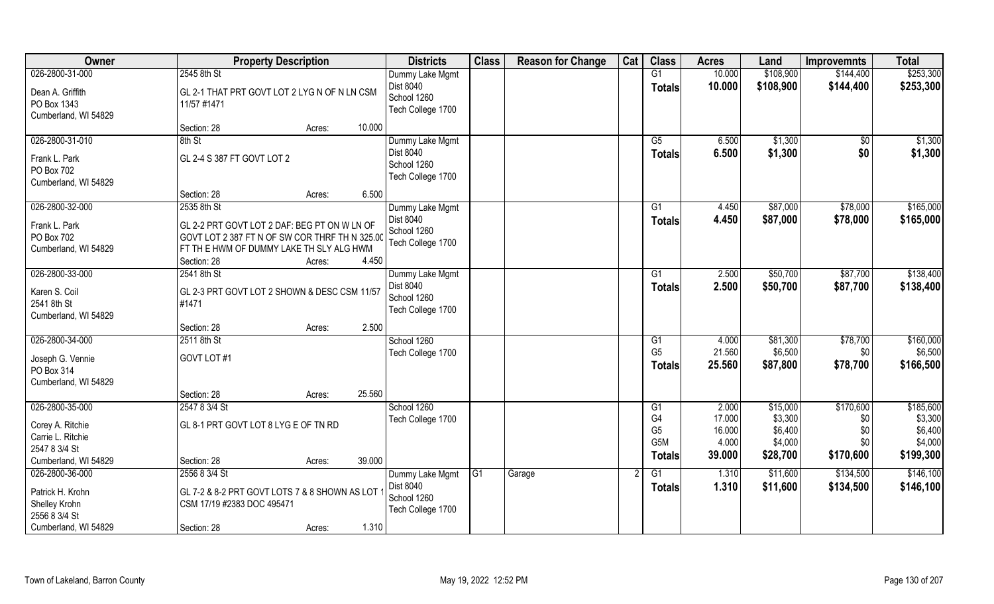| Owner                |                                                | <b>Property Description</b> | <b>Districts</b>  | <b>Class</b>   | <b>Reason for Change</b> | Cat | <b>Class</b>                       | <b>Acres</b>    | Land               | <b>Improvemnts</b> | <b>Total</b>       |
|----------------------|------------------------------------------------|-----------------------------|-------------------|----------------|--------------------------|-----|------------------------------------|-----------------|--------------------|--------------------|--------------------|
| 026-2800-31-000      | 2545 8th St                                    |                             | Dummy Lake Mgmt   |                |                          |     | G1                                 | 10.000          | \$108,900          | \$144,400          | \$253,300          |
| Dean A. Griffith     | GL 2-1 THAT PRT GOVT LOT 2 LYG N OF N LN CSM   |                             | Dist 8040         |                |                          |     | <b>Totals</b>                      | 10.000          | \$108,900          | \$144,400          | \$253,300          |
| PO Box 1343          | 11/57 #1471                                    |                             | School 1260       |                |                          |     |                                    |                 |                    |                    |                    |
| Cumberland, WI 54829 |                                                |                             | Tech College 1700 |                |                          |     |                                    |                 |                    |                    |                    |
|                      | Section: 28                                    | Acres:                      | 10.000            |                |                          |     |                                    |                 |                    |                    |                    |
| 026-2800-31-010      | 8th St                                         |                             | Dummy Lake Mgmt   |                |                          |     | G5                                 | 6.500           | \$1,300            | $\sqrt{6}$         | \$1,300            |
| Frank L. Park        | GL 2-4 S 387 FT GOVT LOT 2                     |                             | Dist 8040         |                |                          |     | <b>Totals</b>                      | 6.500           | \$1,300            | \$0                | \$1,300            |
| PO Box 702           |                                                |                             | School 1260       |                |                          |     |                                    |                 |                    |                    |                    |
| Cumberland, WI 54829 |                                                |                             | Tech College 1700 |                |                          |     |                                    |                 |                    |                    |                    |
|                      | Section: 28                                    | Acres:                      | 6.500             |                |                          |     |                                    |                 |                    |                    |                    |
| 026-2800-32-000      | 2535 8th St                                    |                             | Dummy Lake Mgmt   |                |                          |     | G1                                 | 4.450           | \$87,000           | \$78,000           | \$165,000          |
| Frank L. Park        | GL 2-2 PRT GOVT LOT 2 DAF: BEG PT ON W LN OF   |                             | <b>Dist 8040</b>  |                |                          |     | <b>Totals</b>                      | 4.450           | \$87,000           | \$78,000           | \$165,000          |
| PO Box 702           | GOVT LOT 2 387 FT N OF SW COR THRF TH N 325.00 |                             | School 1260       |                |                          |     |                                    |                 |                    |                    |                    |
| Cumberland, WI 54829 | FT TH E HWM OF DUMMY LAKE TH SLY ALG HWM       |                             | Tech College 1700 |                |                          |     |                                    |                 |                    |                    |                    |
|                      | Section: 28                                    | Acres:                      | 4.450             |                |                          |     |                                    |                 |                    |                    |                    |
| 026-2800-33-000      | 2541 8th St                                    |                             | Dummy Lake Mgmt   |                |                          |     | G1                                 | 2.500           | \$50,700           | \$87,700           | \$138,400          |
| Karen S. Coil        | GL 2-3 PRT GOVT LOT 2 SHOWN & DESC CSM 11/57   |                             | Dist 8040         |                |                          |     | <b>Totals</b>                      | 2.500           | \$50,700           | \$87,700           | \$138,400          |
| 2541 8th St          | #1471                                          |                             | School 1260       |                |                          |     |                                    |                 |                    |                    |                    |
| Cumberland, WI 54829 |                                                |                             | Tech College 1700 |                |                          |     |                                    |                 |                    |                    |                    |
|                      | Section: 28                                    | Acres:                      | 2.500             |                |                          |     |                                    |                 |                    |                    |                    |
| 026-2800-34-000      | 2511 8th St                                    |                             | School 1260       |                |                          |     | G1                                 | 4.000           | \$81,300           | \$78,700           | \$160,000          |
| Joseph G. Vennie     | GOVT LOT #1                                    |                             | Tech College 1700 |                |                          |     | G <sub>5</sub>                     | 21.560          | \$6,500            | \$0                | \$6,500            |
| PO Box 314           |                                                |                             |                   |                |                          |     | <b>Totals</b>                      | 25.560          | \$87,800           | \$78,700           | \$166,500          |
| Cumberland, WI 54829 |                                                |                             |                   |                |                          |     |                                    |                 |                    |                    |                    |
|                      | Section: 28                                    | Acres:                      | 25.560            |                |                          |     |                                    |                 |                    |                    |                    |
| 026-2800-35-000      | 2547 8 3/4 St                                  |                             | School 1260       |                |                          |     | G1                                 | 2.000           | \$15,000           | \$170,600          | \$185,600          |
| Corey A. Ritchie     | GL 8-1 PRT GOVT LOT 8 LYG E OF TN RD           |                             | Tech College 1700 |                |                          |     | G4                                 | 17.000          | \$3,300            | \$0                | \$3,300            |
| Carrie L. Ritchie    |                                                |                             |                   |                |                          |     | G <sub>5</sub><br>G <sub>5</sub> M | 16.000<br>4.000 | \$6,400<br>\$4,000 | \$0                | \$6,400<br>\$4,000 |
| 2547 8 3/4 St        |                                                |                             |                   |                |                          |     |                                    |                 |                    | \$0                |                    |
| Cumberland, WI 54829 | Section: 28                                    | Acres:                      | 39.000            |                |                          |     | <b>Totals</b>                      | 39.000          | \$28,700           | \$170,600          | \$199,300          |
| 026-2800-36-000      | 2556 8 3/4 St                                  |                             | Dummy Lake Mgmt   | G <sub>1</sub> | Garage                   |     | G1                                 | 1.310           | \$11,600           | \$134,500          | \$146,100          |
| Patrick H. Krohn     | GL 7-2 & 8-2 PRT GOVT LOTS 7 & 8 SHOWN AS LOT  |                             | Dist 8040         |                |                          |     | <b>Totals</b>                      | 1.310           | \$11,600           | \$134,500          | \$146,100          |
| Shelley Krohn        | CSM 17/19 #2383 DOC 495471                     |                             | School 1260       |                |                          |     |                                    |                 |                    |                    |                    |
| 2556 8 3/4 St        |                                                |                             | Tech College 1700 |                |                          |     |                                    |                 |                    |                    |                    |
| Cumberland, WI 54829 | Section: 28                                    | Acres:                      | 1.310             |                |                          |     |                                    |                 |                    |                    |                    |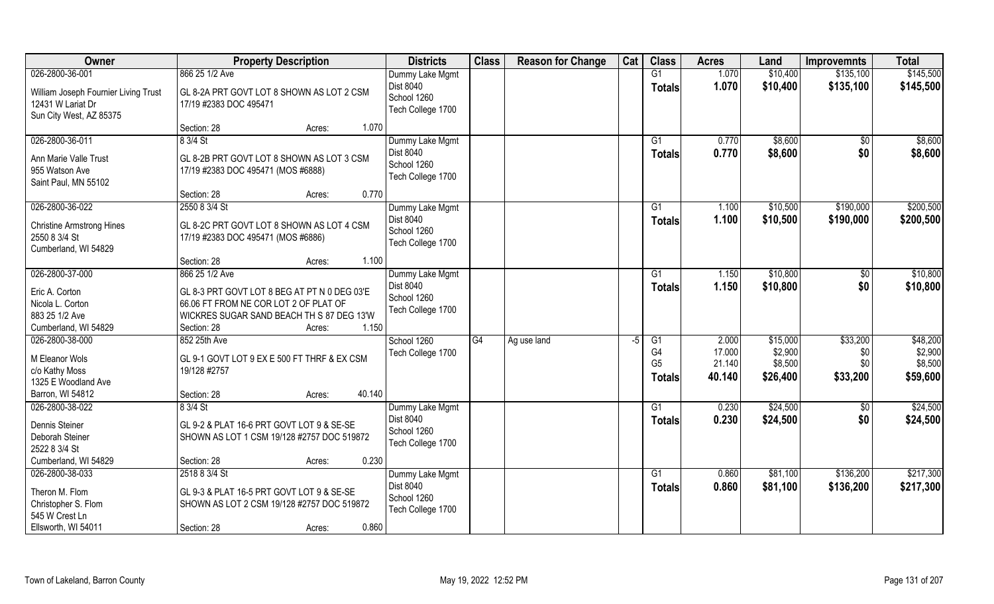| Owner                                 | <b>Property Description</b>                  | <b>Districts</b>  | <b>Class</b>    | <b>Reason for Change</b> | Cat | <b>Class</b>   | <b>Acres</b> | Land     | <b>Improvemnts</b> | <b>Total</b> |
|---------------------------------------|----------------------------------------------|-------------------|-----------------|--------------------------|-----|----------------|--------------|----------|--------------------|--------------|
| 026-2800-36-001                       | 866 25 1/2 Ave                               | Dummy Lake Mgmt   |                 |                          |     | G1             | 1.070        | \$10,400 | \$135,100          | \$145,500    |
| William Joseph Fournier Living Trust  | GL 8-2A PRT GOVT LOT 8 SHOWN AS LOT 2 CSM    | Dist 8040         |                 |                          |     | <b>Totals</b>  | 1.070        | \$10,400 | \$135,100          | \$145,500    |
| 12431 W Lariat Dr                     | 17/19 #2383 DOC 495471                       | School 1260       |                 |                          |     |                |              |          |                    |              |
| Sun City West, AZ 85375               |                                              | Tech College 1700 |                 |                          |     |                |              |          |                    |              |
|                                       | 1.070<br>Section: 28<br>Acres:               |                   |                 |                          |     |                |              |          |                    |              |
| 026-2800-36-011                       | 8 3/4 St                                     | Dummy Lake Mgmt   |                 |                          |     | G1             | 0.770        | \$8,600  | $\sqrt{$0}$        | \$8,600      |
| Ann Marie Valle Trust                 | GL 8-2B PRT GOVT LOT 8 SHOWN AS LOT 3 CSM    | Dist 8040         |                 |                          |     | <b>Totals</b>  | 0.770        | \$8,600  | \$0                | \$8,600      |
| 955 Watson Ave                        | 17/19 #2383 DOC 495471 (MOS #6888)           | School 1260       |                 |                          |     |                |              |          |                    |              |
| Saint Paul, MN 55102                  |                                              | Tech College 1700 |                 |                          |     |                |              |          |                    |              |
|                                       | Section: 28<br>0.770<br>Acres:               |                   |                 |                          |     |                |              |          |                    |              |
| 026-2800-36-022                       | 2550 8 3/4 St                                | Dummy Lake Mgmt   |                 |                          |     | G <sub>1</sub> | 1.100        | \$10,500 | \$190,000          | \$200,500    |
| <b>Christine Armstrong Hines</b>      | GL 8-2C PRT GOVT LOT 8 SHOWN AS LOT 4 CSM    | Dist 8040         |                 |                          |     | <b>Totals</b>  | 1.100        | \$10,500 | \$190,000          | \$200,500    |
| 2550 8 3/4 St                         | 17/19 #2383 DOC 495471 (MOS #6886)           | School 1260       |                 |                          |     |                |              |          |                    |              |
| Cumberland, WI 54829                  |                                              | Tech College 1700 |                 |                          |     |                |              |          |                    |              |
|                                       | 1.100<br>Section: 28<br>Acres:               |                   |                 |                          |     |                |              |          |                    |              |
| 026-2800-37-000                       | 866 25 1/2 Ave                               | Dummy Lake Mgmt   |                 |                          |     | G1             | 1.150        | \$10,800 | \$0                | \$10,800     |
| Eric A. Corton                        | GL 8-3 PRT GOVT LOT 8 BEG AT PT N 0 DEG 03'E | Dist 8040         |                 |                          |     | <b>Totals</b>  | 1.150        | \$10,800 | \$0                | \$10,800     |
| Nicola L. Corton                      | 66.06 FT FROM NE COR LOT 2 OF PLAT OF        | School 1260       |                 |                          |     |                |              |          |                    |              |
| 883 25 1/2 Ave                        | WICKRES SUGAR SAND BEACH TH S 87 DEG 13'W    | Tech College 1700 |                 |                          |     |                |              |          |                    |              |
| Cumberland, WI 54829                  | Section: 28<br>1.150<br>Acres:               |                   |                 |                          |     |                |              |          |                    |              |
| 026-2800-38-000                       | 852 25th Ave                                 | School 1260       | $\overline{G4}$ | Ag use land              | -5  | G1             | 2.000        | \$15,000 | \$33,200           | \$48,200     |
|                                       |                                              | Tech College 1700 |                 |                          |     | G <sub>4</sub> | 17.000       | \$2,900  | \$0                | \$2,900      |
| M Eleanor Wols                        | GL 9-1 GOVT LOT 9 EX E 500 FT THRF & EX CSM  |                   |                 |                          |     | G <sub>5</sub> | 21.140       | \$8,500  | \$0                | \$8,500      |
| c/o Kathy Moss<br>1325 E Woodland Ave | 19/128 #2757                                 |                   |                 |                          |     | <b>Totals</b>  | 40.140       | \$26,400 | \$33,200           | \$59,600     |
| Barron, WI 54812                      | 40.140<br>Section: 28                        |                   |                 |                          |     |                |              |          |                    |              |
| 026-2800-38-022                       | Acres:<br>8 3/4 St                           | Dummy Lake Mgmt   |                 |                          |     | G1             | 0.230        | \$24,500 | \$0                | \$24,500     |
|                                       |                                              | Dist 8040         |                 |                          |     | <b>Totals</b>  | 0.230        | \$24,500 | \$0                | \$24,500     |
| Dennis Steiner                        | GL 9-2 & PLAT 16-6 PRT GOVT LOT 9 & SE-SE    | School 1260       |                 |                          |     |                |              |          |                    |              |
| Deborah Steiner                       | SHOWN AS LOT 1 CSM 19/128 #2757 DOC 519872   | Tech College 1700 |                 |                          |     |                |              |          |                    |              |
| 2522 8 3/4 St                         |                                              |                   |                 |                          |     |                |              |          |                    |              |
| Cumberland, WI 54829                  | 0.230<br>Section: 28<br>Acres:               |                   |                 |                          |     |                |              |          |                    |              |
| 026-2800-38-033                       | 2518 8 3/4 St                                | Dummy Lake Mgmt   |                 |                          |     | G1             | 0.860        | \$81,100 | \$136,200          | \$217,300    |
| Theron M. Flom                        | GL 9-3 & PLAT 16-5 PRT GOVT LOT 9 & SE-SE    | Dist 8040         |                 |                          |     | <b>Totals</b>  | 0.860        | \$81,100 | \$136,200          | \$217,300    |
| Christopher S. Flom                   | SHOWN AS LOT 2 CSM 19/128 #2757 DOC 519872   | School 1260       |                 |                          |     |                |              |          |                    |              |
| 545 W Crest Ln                        |                                              | Tech College 1700 |                 |                          |     |                |              |          |                    |              |
| Ellsworth, WI 54011                   | 0.860<br>Section: 28<br>Acres:               |                   |                 |                          |     |                |              |          |                    |              |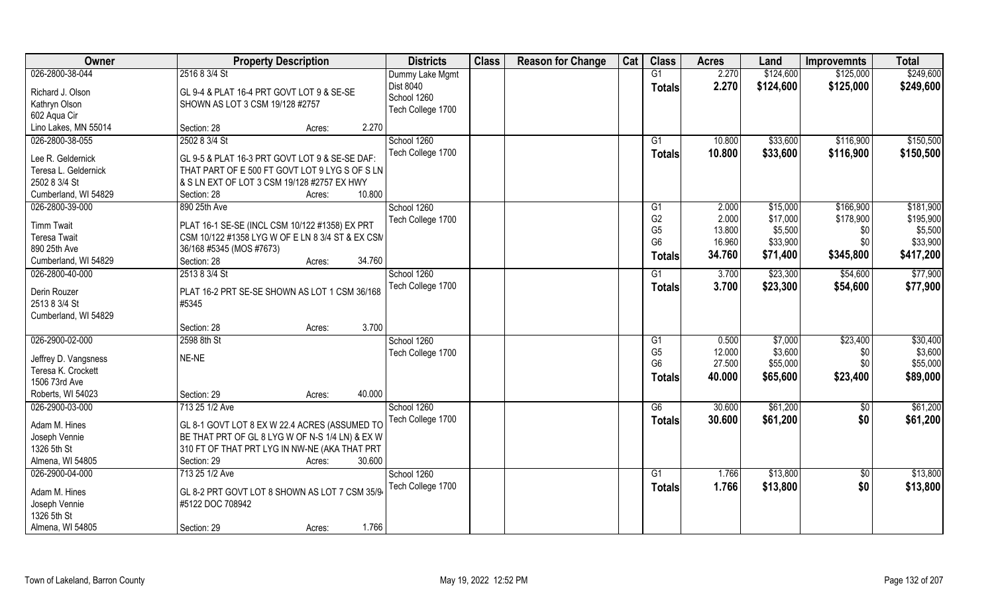| Owner                               | <b>Property Description</b>                      | <b>Districts</b>  | <b>Class</b> | <b>Reason for Change</b> | Cat | <b>Class</b>    | <b>Acres</b> | Land      | <b>Improvemnts</b> | <b>Total</b> |
|-------------------------------------|--------------------------------------------------|-------------------|--------------|--------------------------|-----|-----------------|--------------|-----------|--------------------|--------------|
| 026-2800-38-044                     | 2516 8 3/4 St                                    | Dummy Lake Mgmt   |              |                          |     | G1              | 2.270        | \$124,600 | \$125,000          | \$249,600    |
| Richard J. Olson                    | GL 9-4 & PLAT 16-4 PRT GOVT LOT 9 & SE-SE        | Dist 8040         |              |                          |     | <b>Totals</b>   | 2.270        | \$124,600 | \$125,000          | \$249,600    |
| Kathryn Olson                       | SHOWN AS LOT 3 CSM 19/128 #2757                  | School 1260       |              |                          |     |                 |              |           |                    |              |
| 602 Aqua Cir                        |                                                  | Tech College 1700 |              |                          |     |                 |              |           |                    |              |
| Lino Lakes, MN 55014                | 2.270<br>Section: 28<br>Acres:                   |                   |              |                          |     |                 |              |           |                    |              |
| 026-2800-38-055                     | 2502 8 3/4 St                                    | School 1260       |              |                          |     | $\overline{G1}$ | 10.800       | \$33,600  | \$116,900          | \$150,500    |
|                                     |                                                  | Tech College 1700 |              |                          |     |                 | 10.800       | \$33,600  | \$116,900          | \$150,500    |
| Lee R. Geldernick                   | GL 9-5 & PLAT 16-3 PRT GOVT LOT 9 & SE-SE DAF:   |                   |              |                          |     | Totals          |              |           |                    |              |
| Teresa L. Geldernick                | THAT PART OF E 500 FT GOVT LOT 9 LYG S OF S LN   |                   |              |                          |     |                 |              |           |                    |              |
| 2502 8 3/4 St                       | & S LN EXT OF LOT 3 CSM 19/128 #2757 EX HWY      |                   |              |                          |     |                 |              |           |                    |              |
| Cumberland, WI 54829                | 10.800<br>Section: 28<br>Acres:                  |                   |              |                          |     |                 |              |           |                    |              |
| 026-2800-39-000                     | 890 25th Ave                                     | School 1260       |              |                          |     | G1              | 2.000        | \$15,000  | \$166,900          | \$181,900    |
|                                     |                                                  | Tech College 1700 |              |                          |     | G <sub>2</sub>  | 2.000        | \$17,000  | \$178,900          | \$195,900    |
| <b>Timm Twait</b>                   | PLAT 16-1 SE-SE (INCL CSM 10/122 #1358) EX PRT   |                   |              |                          |     | G <sub>5</sub>  | 13.800       | \$5,500   | \$0                | \$5,500      |
| <b>Teresa Twait</b><br>890 25th Ave | CSM 10/122 #1358 LYG W OF E LN 8 3/4 ST & EX CSM |                   |              |                          |     | G <sub>6</sub>  | 16.960       | \$33,900  | \$0                | \$33,900     |
|                                     | 36/168 #5345 (MOS #7673)<br>34.760               |                   |              |                          |     | <b>Totals</b>   | 34.760       | \$71,400  | \$345,800          | \$417,200    |
| Cumberland, WI 54829                | Section: 28<br>Acres:                            |                   |              |                          |     |                 |              |           |                    |              |
| 026-2800-40-000                     | 2513 8 3/4 St                                    | School 1260       |              |                          |     | $\overline{G1}$ | 3.700        | \$23,300  | \$54,600           | \$77,900     |
| Derin Rouzer                        | PLAT 16-2 PRT SE-SE SHOWN AS LOT 1 CSM 36/168    | Tech College 1700 |              |                          |     | <b>Totals</b>   | 3.700        | \$23,300  | \$54,600           | \$77,900     |
| 2513 8 3/4 St                       | #5345                                            |                   |              |                          |     |                 |              |           |                    |              |
| Cumberland, WI 54829                |                                                  |                   |              |                          |     |                 |              |           |                    |              |
|                                     | 3.700<br>Section: 28<br>Acres:                   |                   |              |                          |     |                 |              |           |                    |              |
| 026-2900-02-000                     | 2598 8th St                                      | School 1260       |              |                          |     | G1              | 0.500        | \$7,000   | \$23,400           | \$30,400     |
|                                     |                                                  | Tech College 1700 |              |                          |     | G <sub>5</sub>  | 12.000       | \$3,600   | \$0                | \$3,600      |
| Jeffrey D. Vangsness                | NE-NE                                            |                   |              |                          |     | G <sub>6</sub>  | 27.500       | \$55,000  | \$0                | \$55,000     |
| Teresa K. Crockett                  |                                                  |                   |              |                          |     | Totals          | 40.000       | \$65,600  | \$23,400           | \$89,000     |
| 1506 73rd Ave                       |                                                  |                   |              |                          |     |                 |              |           |                    |              |
| Roberts, WI 54023                   | 40.000<br>Section: 29<br>Acres:                  |                   |              |                          |     |                 |              |           |                    |              |
| 026-2900-03-000                     | 713 25 1/2 Ave                                   | School 1260       |              |                          |     | G6              | 30.600       | \$61,200  | \$0                | \$61,200     |
| Adam M. Hines                       | GL 8-1 GOVT LOT 8 EX W 22.4 ACRES (ASSUMED TO    | Tech College 1700 |              |                          |     | <b>Totals</b>   | 30.600       | \$61,200  | \$0                | \$61,200     |
| Joseph Vennie                       | BE THAT PRT OF GL 8 LYG W OF N-S 1/4 LN) & EX W  |                   |              |                          |     |                 |              |           |                    |              |
| 1326 5th St                         | 310 FT OF THAT PRT LYG IN NW-NE (AKA THAT PRT    |                   |              |                          |     |                 |              |           |                    |              |
| Almena, WI 54805                    | 30.600<br>Section: 29<br>Acres:                  |                   |              |                          |     |                 |              |           |                    |              |
| 026-2900-04-000                     | 713 25 1/2 Ave                                   | School 1260       |              |                          |     | G1              | 1.766        | \$13,800  | $\sqrt{6}$         | \$13,800     |
|                                     |                                                  | Tech College 1700 |              |                          |     | <b>Totals</b>   | 1.766        | \$13,800  | \$0                | \$13,800     |
| Adam M. Hines                       | GL 8-2 PRT GOVT LOT 8 SHOWN AS LOT 7 CSM 35/94   |                   |              |                          |     |                 |              |           |                    |              |
| Joseph Vennie                       | #5122 DOC 708942                                 |                   |              |                          |     |                 |              |           |                    |              |
| 1326 5th St                         |                                                  |                   |              |                          |     |                 |              |           |                    |              |
| Almena, WI 54805                    | 1.766<br>Section: 29<br>Acres:                   |                   |              |                          |     |                 |              |           |                    |              |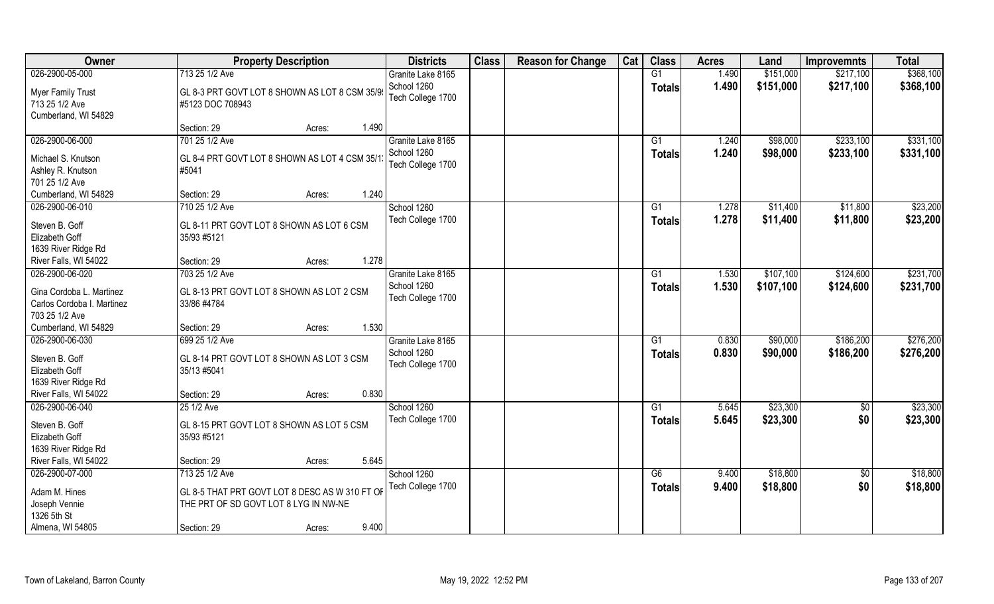| \$151,000<br>026-2900-05-000<br>713 25 1/2 Ave<br>G1<br>1.490<br>\$217,100<br>Granite Lake 8165<br>School 1260<br>1.490<br>\$151,000<br>\$217,100<br><b>Totals</b><br><b>Myer Family Trust</b><br>GL 8-3 PRT GOVT LOT 8 SHOWN AS LOT 8 CSM 35/9<br>Tech College 1700<br>713 25 1/2 Ave<br>#5123 DOC 708943<br>Cumberland, WI 54829<br>1.490<br>Section: 29<br>Acres:<br>026-2900-06-000<br>701 25 1/2 Ave<br>\$233,100<br>$\overline{G1}$<br>1.240<br>\$98,000<br>Granite Lake 8165<br>School 1260<br>\$98,000<br>1.240<br>\$233,100<br><b>Totals</b><br>Michael S. Knutson<br>GL 8-4 PRT GOVT LOT 8 SHOWN AS LOT 4 CSM 35/1<br>Tech College 1700<br>Ashley R. Knutson<br>#5041<br>701 25 1/2 Ave<br>1.240<br>Cumberland, WI 54829<br>Section: 29<br>Acres: | Owner           | <b>Property Description</b> | <b>Districts</b> | <b>Class</b> | <b>Reason for Change</b> | Cat | <b>Class</b> | <b>Acres</b> | Land     | <b>Improvemnts</b> | <b>Total</b>           |
|-------------------------------------------------------------------------------------------------------------------------------------------------------------------------------------------------------------------------------------------------------------------------------------------------------------------------------------------------------------------------------------------------------------------------------------------------------------------------------------------------------------------------------------------------------------------------------------------------------------------------------------------------------------------------------------------------------------------------------------------------------------|-----------------|-----------------------------|------------------|--------------|--------------------------|-----|--------------|--------------|----------|--------------------|------------------------|
|                                                                                                                                                                                                                                                                                                                                                                                                                                                                                                                                                                                                                                                                                                                                                             |                 |                             |                  |              |                          |     |              |              |          |                    | \$368,100              |
|                                                                                                                                                                                                                                                                                                                                                                                                                                                                                                                                                                                                                                                                                                                                                             |                 |                             |                  |              |                          |     |              |              |          |                    | \$368,100              |
|                                                                                                                                                                                                                                                                                                                                                                                                                                                                                                                                                                                                                                                                                                                                                             |                 |                             |                  |              |                          |     |              |              |          |                    |                        |
|                                                                                                                                                                                                                                                                                                                                                                                                                                                                                                                                                                                                                                                                                                                                                             |                 |                             |                  |              |                          |     |              |              |          |                    | \$331,100              |
|                                                                                                                                                                                                                                                                                                                                                                                                                                                                                                                                                                                                                                                                                                                                                             |                 |                             |                  |              |                          |     |              |              |          |                    | \$331,100              |
|                                                                                                                                                                                                                                                                                                                                                                                                                                                                                                                                                                                                                                                                                                                                                             |                 |                             |                  |              |                          |     |              |              |          |                    |                        |
|                                                                                                                                                                                                                                                                                                                                                                                                                                                                                                                                                                                                                                                                                                                                                             | 026-2900-06-010 | 710 25 1/2 Ave              | School 1260      |              |                          |     | G1           | 1.278        | \$11,400 | \$11,800           | \$23,200               |
| Tech College 1700<br>1.278<br>\$11,400<br>\$11,800<br>Totals<br>Steven B. Goff<br>GL 8-11 PRT GOVT LOT 8 SHOWN AS LOT 6 CSM<br>Elizabeth Goff<br>35/93 #5121<br>1639 River Ridge Rd                                                                                                                                                                                                                                                                                                                                                                                                                                                                                                                                                                         |                 |                             |                  |              |                          |     |              |              |          |                    | \$23,200               |
| 1.278<br>River Falls, WI 54022<br>Section: 29<br>Acres:                                                                                                                                                                                                                                                                                                                                                                                                                                                                                                                                                                                                                                                                                                     |                 |                             |                  |              |                          |     |              |              |          |                    |                        |
| 026-2900-06-020<br>\$107,100<br>703 25 1/2 Ave<br>Granite Lake 8165<br>\$124,600<br>G1<br>1.530                                                                                                                                                                                                                                                                                                                                                                                                                                                                                                                                                                                                                                                             |                 |                             |                  |              |                          |     |              |              |          |                    | \$231,700              |
| School 1260<br>1.530<br>\$124,600<br>\$107,100<br><b>Totals</b><br>Gina Cordoba L. Martinez<br>GL 8-13 PRT GOVT LOT 8 SHOWN AS LOT 2 CSM<br>Tech College 1700<br>Carlos Cordoba I. Martinez<br>33/86 #4784<br>703 25 1/2 Ave                                                                                                                                                                                                                                                                                                                                                                                                                                                                                                                                |                 |                             |                  |              |                          |     |              |              |          |                    | \$231,700              |
| 1.530<br>Cumberland, WI 54829<br>Section: 29<br>Acres:                                                                                                                                                                                                                                                                                                                                                                                                                                                                                                                                                                                                                                                                                                      |                 |                             |                  |              |                          |     |              |              |          |                    |                        |
| 026-2900-06-030<br>699 25 1/2 Ave<br>0.830<br>\$90,000<br>\$186,200<br>$\overline{G1}$<br>Granite Lake 8165<br>\$90,000<br>School 1260<br>0.830<br>\$186,200<br>Totals<br>Steven B. Goff<br>GL 8-14 PRT GOVT LOT 8 SHOWN AS LOT 3 CSM<br>Tech College 1700<br>Elizabeth Goff<br>35/13 #5041<br>1639 River Ridge Rd                                                                                                                                                                                                                                                                                                                                                                                                                                          |                 |                             |                  |              |                          |     |              |              |          |                    | \$276,200<br>\$276,200 |
| 0.830<br>River Falls, WI 54022<br>Section: 29<br>Acres:                                                                                                                                                                                                                                                                                                                                                                                                                                                                                                                                                                                                                                                                                                     |                 |                             |                  |              |                          |     |              |              |          |                    |                        |
| 026-2900-06-040<br>School 1260<br>\$23,300<br>\$0<br>25 1/2 Ave<br>G1<br>5.645                                                                                                                                                                                                                                                                                                                                                                                                                                                                                                                                                                                                                                                                              |                 |                             |                  |              |                          |     |              |              |          |                    | \$23,300               |
| \$0<br>Tech College 1700<br>5.645<br>\$23,300<br><b>Totals</b><br>Steven B. Goff<br>GL 8-15 PRT GOVT LOT 8 SHOWN AS LOT 5 CSM<br>Elizabeth Goff<br>35/93 #5121<br>1639 River Ridge Rd                                                                                                                                                                                                                                                                                                                                                                                                                                                                                                                                                                       |                 |                             |                  |              |                          |     |              |              |          |                    | \$23,300               |
| River Falls, WI 54022<br>5.645<br>Section: 29<br>Acres:                                                                                                                                                                                                                                                                                                                                                                                                                                                                                                                                                                                                                                                                                                     |                 |                             |                  |              |                          |     |              |              |          |                    |                        |
| 026-2900-07-000<br>713 25 1/2 Ave<br>\$18,800<br>School 1260<br>G6<br>9.400<br>$\sqrt{6}$<br>\$0<br>Tech College 1700<br>9.400<br>\$18,800<br>Totals<br>Adam M. Hines<br>GL 8-5 THAT PRT GOVT LOT 8 DESC AS W 310 FT OF                                                                                                                                                                                                                                                                                                                                                                                                                                                                                                                                     |                 |                             |                  |              |                          |     |              |              |          |                    | \$18,800<br>\$18,800   |
| Joseph Vennie<br>THE PRT OF SD GOVT LOT 8 LYG IN NW-NE                                                                                                                                                                                                                                                                                                                                                                                                                                                                                                                                                                                                                                                                                                      |                 |                             |                  |              |                          |     |              |              |          |                    |                        |
| 1326 5th St<br>9.400<br>Almena, WI 54805<br>Section: 29<br>Acres:                                                                                                                                                                                                                                                                                                                                                                                                                                                                                                                                                                                                                                                                                           |                 |                             |                  |              |                          |     |              |              |          |                    |                        |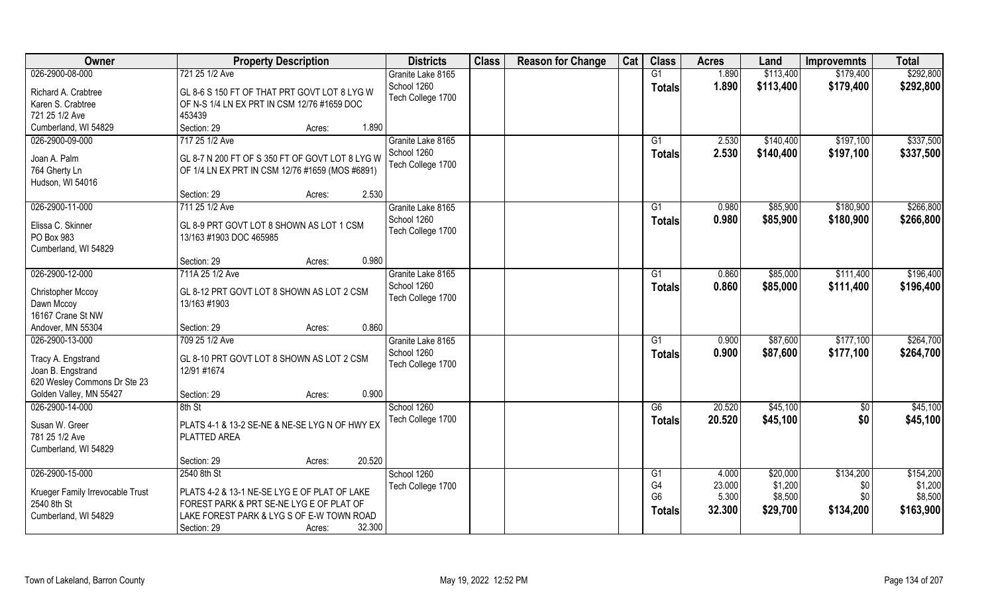| Owner                               | <b>Property Description</b>                                         | <b>Districts</b>                 | <b>Class</b> | <b>Reason for Change</b> | Cat | <b>Class</b>    | <b>Acres</b>    | Land                | <b>Improvemnts</b> | <b>Total</b>         |
|-------------------------------------|---------------------------------------------------------------------|----------------------------------|--------------|--------------------------|-----|-----------------|-----------------|---------------------|--------------------|----------------------|
| 026-2900-08-000                     | 721 25 1/2 Ave                                                      | Granite Lake 8165                |              |                          |     | G1              | 1.890           | \$113,400           | \$179,400          | \$292,800            |
| Richard A. Crabtree                 | GL 8-6 S 150 FT OF THAT PRT GOVT LOT 8 LYG W                        | School 1260<br>Tech College 1700 |              |                          |     | <b>Totals</b>   | 1.890           | \$113,400           | \$179,400          | \$292,800            |
| Karen S. Crabtree<br>721 25 1/2 Ave | OF N-S 1/4 LN EX PRT IN CSM 12/76 #1659 DOC<br>453439               |                                  |              |                          |     |                 |                 |                     |                    |                      |
| Cumberland, WI 54829                | 1.890<br>Section: 29                                                |                                  |              |                          |     |                 |                 |                     |                    |                      |
|                                     | Acres:                                                              |                                  |              |                          |     |                 |                 |                     |                    |                      |
| 026-2900-09-000                     | 717 25 1/2 Ave                                                      | Granite Lake 8165<br>School 1260 |              |                          |     | G1              | 2.530           | \$140,400           | \$197,100          | \$337,500            |
| Joan A. Palm                        | GL 8-7 N 200 FT OF S 350 FT OF GOVT LOT 8 LYG W                     | Tech College 1700                |              |                          |     | <b>Totals</b>   | 2.530           | \$140,400           | \$197,100          | \$337,500            |
| 764 Gherty Ln<br>Hudson, WI 54016   | OF 1/4 LN EX PRT IN CSM 12/76 #1659 (MOS #6891)                     |                                  |              |                          |     |                 |                 |                     |                    |                      |
|                                     | 2.530<br>Section: 29<br>Acres:                                      |                                  |              |                          |     |                 |                 |                     |                    |                      |
| 026-2900-11-000                     | 711 25 1/2 Ave                                                      | Granite Lake 8165                |              |                          |     | G1              | 0.980           | \$85,900            | \$180,900          | \$266,800            |
| Elissa C. Skinner<br>PO Box 983     | GL 8-9 PRT GOVT LOT 8 SHOWN AS LOT 1 CSM<br>13/163 #1903 DOC 465985 | School 1260<br>Tech College 1700 |              |                          |     | <b>Totals</b>   | 0.980           | \$85,900            | \$180,900          | \$266,800            |
| Cumberland, WI 54829                |                                                                     |                                  |              |                          |     |                 |                 |                     |                    |                      |
|                                     | 0.980<br>Section: 29<br>Acres:                                      |                                  |              |                          |     |                 |                 |                     |                    |                      |
| 026-2900-12-000                     | 711A 25 1/2 Ave                                                     | Granite Lake 8165                |              |                          |     | G1              | 0.860           | \$85,000            | \$111,400          | \$196,400            |
| <b>Christopher Mccoy</b>            | GL 8-12 PRT GOVT LOT 8 SHOWN AS LOT 2 CSM                           | School 1260<br>Tech College 1700 |              |                          |     | <b>Totals</b>   | 0.860           | \$85,000            | \$111,400          | \$196,400            |
| Dawn Mccoy                          | 13/163 #1903                                                        |                                  |              |                          |     |                 |                 |                     |                    |                      |
| 16167 Crane St NW                   |                                                                     |                                  |              |                          |     |                 |                 |                     |                    |                      |
| Andover, MN 55304                   | 0.860<br>Section: 29<br>Acres:                                      |                                  |              |                          |     |                 |                 |                     |                    |                      |
| 026-2900-13-000                     | 709 25 1/2 Ave                                                      | Granite Lake 8165                |              |                          |     | $\overline{G1}$ | 0.900           | \$87,600            | \$177,100          | \$264,700            |
| Tracy A. Engstrand                  | GL 8-10 PRT GOVT LOT 8 SHOWN AS LOT 2 CSM                           | School 1260                      |              |                          |     | Totals          | 0.900           | \$87,600            | \$177,100          | \$264,700            |
| Joan B. Engstrand                   | 12/91 #1674                                                         | Tech College 1700                |              |                          |     |                 |                 |                     |                    |                      |
| 620 Wesley Commons Dr Ste 23        |                                                                     |                                  |              |                          |     |                 |                 |                     |                    |                      |
| Golden Valley, MN 55427             | 0.900<br>Section: 29<br>Acres:                                      |                                  |              |                          |     |                 |                 |                     |                    |                      |
| 026-2900-14-000                     | 8th St                                                              | School 1260                      |              |                          |     | G6              | 20.520          | \$45,100            | $\sqrt{6}$         | \$45,100             |
| Susan W. Greer<br>781 25 1/2 Ave    | PLATS 4-1 & 13-2 SE-NE & NE-SE LYG N OF HWY EX<br>PLATTED AREA      | Tech College 1700                |              |                          |     | <b>Totals</b>   | 20.520          | \$45,100            | \$0                | \$45,100             |
| Cumberland, WI 54829                |                                                                     |                                  |              |                          |     |                 |                 |                     |                    |                      |
|                                     | 20.520<br>Section: 29<br>Acres:                                     |                                  |              |                          |     |                 |                 |                     |                    |                      |
| 026-2900-15-000                     | 2540 8th St                                                         | School 1260                      |              |                          |     | G1<br>G4        | 4.000<br>23.000 | \$20,000<br>\$1,200 | \$134,200          | \$154,200<br>\$1,200 |
| Krueger Family Irrevocable Trust    | PLATS 4-2 & 13-1 NE-SE LYG E OF PLAT OF LAKE                        | Tech College 1700                |              |                          |     | G <sub>6</sub>  | 5.300           | \$8,500             | \$0<br>\$0         | \$8,500              |
| 2540 8th St                         | FOREST PARK & PRT SE-NE LYG E OF PLAT OF                            |                                  |              |                          |     |                 | 32.300          | \$29,700            | \$134,200          | \$163,900            |
| Cumberland, WI 54829                | LAKE FOREST PARK & LYG S OF E-W TOWN ROAD                           |                                  |              |                          |     | Totals          |                 |                     |                    |                      |
|                                     | 32.300<br>Section: 29<br>Acres:                                     |                                  |              |                          |     |                 |                 |                     |                    |                      |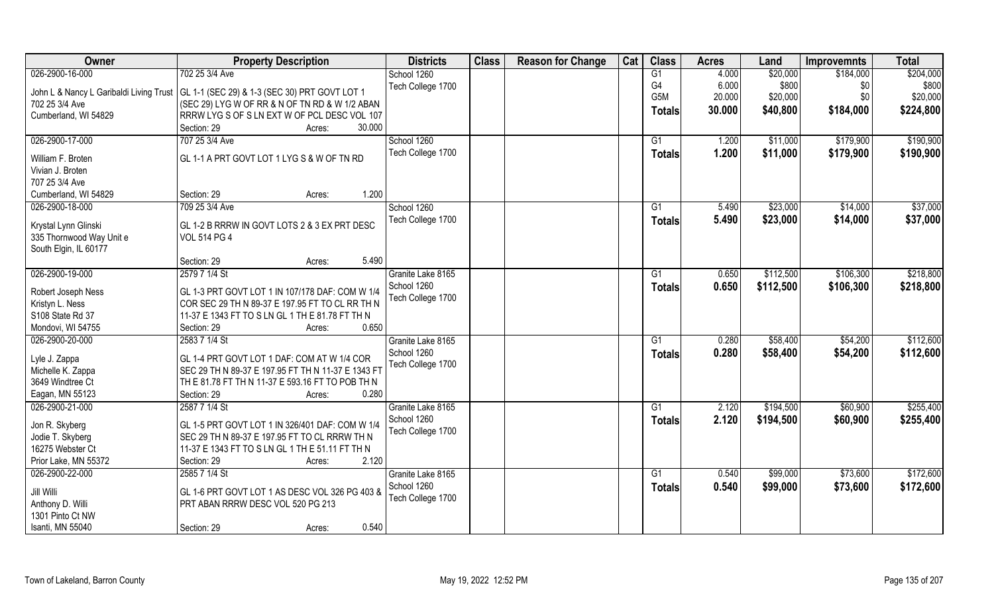| Owner                                   | <b>Property Description</b>                        | <b>Districts</b>                 | <b>Class</b> | <b>Reason for Change</b> | Cat | <b>Class</b>   | <b>Acres</b> | Land      | <b>Improvemnts</b> | <b>Total</b> |
|-----------------------------------------|----------------------------------------------------|----------------------------------|--------------|--------------------------|-----|----------------|--------------|-----------|--------------------|--------------|
| 026-2900-16-000                         | 702 25 3/4 Ave                                     | School 1260                      |              |                          |     | G1             | 4.000        | \$20,000  | \$184,000          | \$204,000    |
| John L & Nancy L Garibaldi Living Trust | GL 1-1 (SEC 29) & 1-3 (SEC 30) PRT GOVT LOT 1      | Tech College 1700                |              |                          |     | G <sub>4</sub> | 6.000        | \$800     | \$0                | \$800        |
| 702 25 3/4 Ave                          | (SEC 29) LYG W OF RR & N OF TN RD & W 1/2 ABAN     |                                  |              |                          |     | G5M            | 20.000       | \$20,000  | \$0                | \$20,000     |
| Cumberland, WI 54829                    | RRRW LYG S OF S LN EXT W OF PCL DESC VOL 107       |                                  |              |                          |     | <b>Totals</b>  | 30.000       | \$40,800  | \$184,000          | \$224,800    |
|                                         | 30.000<br>Section: 29<br>Acres:                    |                                  |              |                          |     |                |              |           |                    |              |
| 026-2900-17-000                         | 707 25 3/4 Ave                                     | School 1260                      |              |                          |     | G1             | 1.200        | \$11,000  | \$179,900          | \$190,900    |
|                                         |                                                    | Tech College 1700                |              |                          |     | Totals         | 1.200        | \$11,000  | \$179,900          | \$190,900    |
| William F. Broten                       | GL 1-1 A PRT GOVT LOT 1 LYG S & W OF TN RD         |                                  |              |                          |     |                |              |           |                    |              |
| Vivian J. Broten                        |                                                    |                                  |              |                          |     |                |              |           |                    |              |
| 707 25 3/4 Ave                          |                                                    |                                  |              |                          |     |                |              |           |                    |              |
| Cumberland, WI 54829                    | 1.200<br>Section: 29<br>Acres:                     |                                  |              |                          |     |                |              |           |                    |              |
| 026-2900-18-000                         | 709 25 3/4 Ave                                     | School 1260                      |              |                          |     | G1             | 5.490        | \$23,000  | \$14,000           | \$37,000     |
| Krystal Lynn Glinski                    | GL 1-2 B RRRW IN GOVT LOTS 2 & 3 EX PRT DESC       | Tech College 1700                |              |                          |     | <b>Totals</b>  | 5.490        | \$23,000  | \$14,000           | \$37,000     |
| 335 Thornwood Way Unit e                | <b>VOL 514 PG 4</b>                                |                                  |              |                          |     |                |              |           |                    |              |
| South Elgin, IL 60177                   |                                                    |                                  |              |                          |     |                |              |           |                    |              |
|                                         | 5.490<br>Section: 29<br>Acres:                     |                                  |              |                          |     |                |              |           |                    |              |
| 026-2900-19-000                         | 2579 7 1/4 St                                      | Granite Lake 8165                |              |                          |     | G1             | 0.650        | \$112,500 | \$106,300          | \$218,800    |
|                                         |                                                    | School 1260                      |              |                          |     |                | 0.650        | \$112,500 | \$106,300          | \$218,800    |
| Robert Joseph Ness                      | GL 1-3 PRT GOVT LOT 1 IN 107/178 DAF: COM W 1/4    | Tech College 1700                |              |                          |     | <b>Totals</b>  |              |           |                    |              |
| Kristyn L. Ness                         | COR SEC 29 TH N 89-37 E 197.95 FT TO CL RR TH N    |                                  |              |                          |     |                |              |           |                    |              |
| S108 State Rd 37                        | 11-37 E 1343 FT TO S LN GL 1 TH E 81.78 FT TH N    |                                  |              |                          |     |                |              |           |                    |              |
| Mondovi, WI 54755                       | 0.650<br>Section: 29<br>Acres:                     |                                  |              |                          |     |                |              |           |                    |              |
| 026-2900-20-000                         | 2583 7 1/4 St                                      | Granite Lake 8165                |              |                          |     | G1             | 0.280        | \$58,400  | \$54,200           | \$112,600    |
| Lyle J. Zappa                           | GL 1-4 PRT GOVT LOT 1 DAF: COM AT W 1/4 COR        | School 1260                      |              |                          |     | Totals         | 0.280        | \$58,400  | \$54,200           | \$112,600    |
| Michelle K. Zappa                       | SEC 29 TH N 89-37 E 197.95 FT TH N 11-37 E 1343 FT | Tech College 1700                |              |                          |     |                |              |           |                    |              |
| 3649 Windtree Ct                        | TH E 81.78 FT TH N 11-37 E 593.16 FT TO POB TH N   |                                  |              |                          |     |                |              |           |                    |              |
| Eagan, MN 55123                         | Section: 29<br>0.280<br>Acres:                     |                                  |              |                          |     |                |              |           |                    |              |
| 026-2900-21-000                         | 2587 7 1/4 St                                      |                                  |              |                          |     | G1             | 2.120        | \$194,500 | \$60,900           | \$255,400    |
|                                         |                                                    | Granite Lake 8165<br>School 1260 |              |                          |     |                |              |           |                    |              |
| Jon R. Skyberg                          | GL 1-5 PRT GOVT LOT 1 IN 326/401 DAF: COM W 1/4    |                                  |              |                          |     | <b>Totals</b>  | 2.120        | \$194,500 | \$60,900           | \$255,400    |
| Jodie T. Skyberg                        | SEC 29 TH N 89-37 E 197.95 FT TO CL RRRW TH N      | Tech College 1700                |              |                          |     |                |              |           |                    |              |
| 16275 Webster Ct                        | 11-37 E 1343 FT TO S LN GL 1 TH E 51.11 FT TH N    |                                  |              |                          |     |                |              |           |                    |              |
| Prior Lake, MN 55372                    | 2.120<br>Section: 29<br>Acres:                     |                                  |              |                          |     |                |              |           |                    |              |
| 026-2900-22-000                         | 2585 7 1/4 St                                      | Granite Lake 8165                |              |                          |     | G1             | 0.540        | \$99,000  | \$73,600           | \$172,600    |
|                                         |                                                    | School 1260                      |              |                          |     | <b>Totals</b>  | 0.540        | \$99,000  | \$73,600           | \$172,600    |
| Jill Willi                              | GL 1-6 PRT GOVT LOT 1 AS DESC VOL 326 PG 403 &     | Tech College 1700                |              |                          |     |                |              |           |                    |              |
| Anthony D. Willi                        | PRT ABAN RRRW DESC VOL 520 PG 213                  |                                  |              |                          |     |                |              |           |                    |              |
| 1301 Pinto Ct NW                        |                                                    |                                  |              |                          |     |                |              |           |                    |              |
| Isanti, MN 55040                        | 0.540<br>Section: 29<br>Acres:                     |                                  |              |                          |     |                |              |           |                    |              |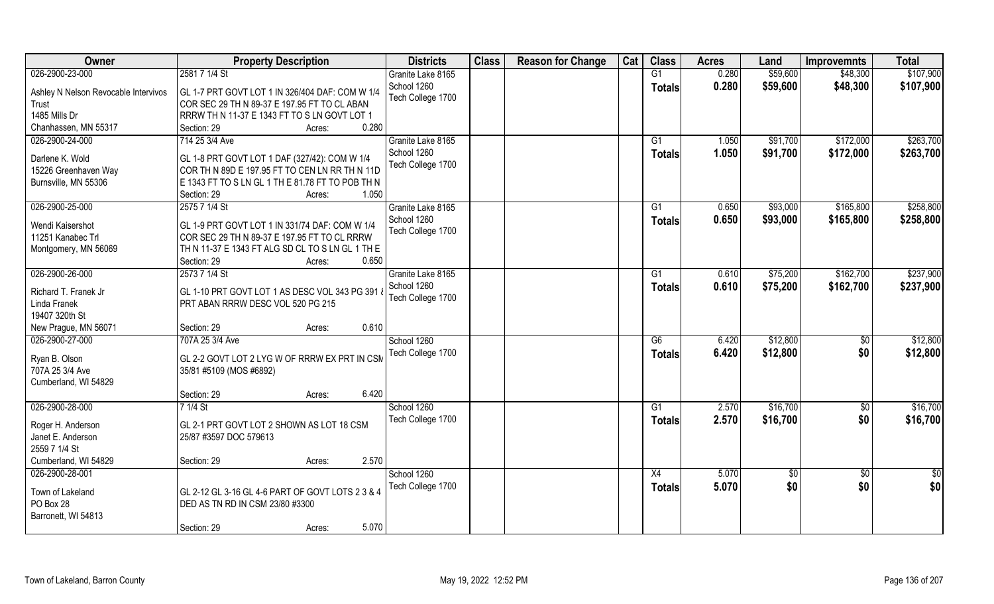| Owner                                | <b>Property Description</b>                               | <b>Districts</b>  | <b>Class</b> | <b>Reason for Change</b> | Cat | <b>Class</b>    | <b>Acres</b> | Land       | <b>Improvemnts</b> | <b>Total</b>  |
|--------------------------------------|-----------------------------------------------------------|-------------------|--------------|--------------------------|-----|-----------------|--------------|------------|--------------------|---------------|
| 026-2900-23-000                      | 2581 7 1/4 St                                             | Granite Lake 8165 |              |                          |     | G1              | 0.280        | \$59,600   | \$48,300           | \$107,900     |
| Ashley N Nelson Revocable Intervivos | GL 1-7 PRT GOVT LOT 1 IN 326/404 DAF: COM W 1/4           | School 1260       |              |                          |     | <b>Totals</b>   | 0.280        | \$59,600   | \$48,300           | \$107,900     |
| Trust                                | COR SEC 29 TH N 89-37 E 197.95 FT TO CL ABAN              | Tech College 1700 |              |                          |     |                 |              |            |                    |               |
| 1485 Mills Dr                        | RRRW TH N 11-37 E 1343 FT TO S LN GOVT LOT 1              |                   |              |                          |     |                 |              |            |                    |               |
| Chanhassen, MN 55317                 | 0.280<br>Section: 29<br>Acres:                            |                   |              |                          |     |                 |              |            |                    |               |
| 026-2900-24-000                      | 714 25 3/4 Ave                                            | Granite Lake 8165 |              |                          |     | G1              | 1.050        | \$91,700   | \$172,000          | \$263,700     |
|                                      |                                                           | School 1260       |              |                          |     |                 | 1.050        | \$91,700   | \$172,000          | \$263,700     |
| Darlene K. Wold                      | GL 1-8 PRT GOVT LOT 1 DAF (327/42): COM W 1/4             | Tech College 1700 |              |                          |     | Totals          |              |            |                    |               |
| 15226 Greenhaven Way                 | COR TH N 89D E 197.95 FT TO CEN LN RR TH N 11D            |                   |              |                          |     |                 |              |            |                    |               |
| Burnsville, MN 55306                 | E 1343 FT TO S LN GL 1 TH E 81.78 FT TO POB TH N          |                   |              |                          |     |                 |              |            |                    |               |
|                                      | 1.050<br>Section: 29<br>Acres:                            |                   |              |                          |     |                 |              |            |                    |               |
| 026-2900-25-000                      | 2575 7 1/4 St                                             | Granite Lake 8165 |              |                          |     | G1              | 0.650        | \$93,000   | \$165,800          | \$258,800     |
|                                      | GL 1-9 PRT GOVT LOT 1 IN 331/74 DAF: COM W 1/4            | School 1260       |              |                          |     | <b>Totals</b>   | 0.650        | \$93,000   | \$165,800          | \$258,800     |
| Wendi Kaisershot                     |                                                           | Tech College 1700 |              |                          |     |                 |              |            |                    |               |
| 11251 Kanabec Trl                    | COR SEC 29 TH N 89-37 E 197.95 FT TO CL RRRW              |                   |              |                          |     |                 |              |            |                    |               |
| Montgomery, MN 56069                 | TH N 11-37 E 1343 FT ALG SD CL TO S LN GL 1 TH E<br>0.650 |                   |              |                          |     |                 |              |            |                    |               |
|                                      | Section: 29<br>Acres:                                     |                   |              |                          |     |                 |              |            |                    |               |
| 026-2900-26-000                      | 2573 7 1/4 St                                             | Granite Lake 8165 |              |                          |     | G1              | 0.610        | \$75,200   | \$162,700          | \$237,900     |
| Richard T. Franek Jr                 | GL 1-10 PRT GOVT LOT 1 AS DESC VOL 343 PG 391             | School 1260       |              |                          |     | <b>Totals</b>   | 0.610        | \$75,200   | \$162,700          | \$237,900     |
| Linda Franek                         | PRT ABAN RRRW DESC VOL 520 PG 215                         | Tech College 1700 |              |                          |     |                 |              |            |                    |               |
| 19407 320th St                       |                                                           |                   |              |                          |     |                 |              |            |                    |               |
| New Prague, MN 56071                 | 0.610<br>Section: 29<br>Acres:                            |                   |              |                          |     |                 |              |            |                    |               |
| 026-2900-27-000                      | 707A 25 3/4 Ave                                           | School 1260       |              |                          |     | $\overline{G6}$ | 6.420        | \$12,800   | \$0                | \$12,800      |
|                                      |                                                           | Tech College 1700 |              |                          |     | <b>Totals</b>   | 6.420        | \$12,800   | \$0                | \$12,800      |
| Ryan B. Olson                        | GL 2-2 GOVT LOT 2 LYG W OF RRRW EX PRT IN CSM             |                   |              |                          |     |                 |              |            |                    |               |
| 707A 25 3/4 Ave                      | 35/81 #5109 (MOS #6892)                                   |                   |              |                          |     |                 |              |            |                    |               |
| Cumberland, WI 54829                 |                                                           |                   |              |                          |     |                 |              |            |                    |               |
|                                      | 6.420<br>Section: 29<br>Acres:                            |                   |              |                          |     |                 |              |            |                    |               |
| 026-2900-28-000                      | 7 1/4 St                                                  | School 1260       |              |                          |     | G1              | 2.570        | \$16,700   | \$0                | \$16,700      |
| Roger H. Anderson                    | GL 2-1 PRT GOVT LOT 2 SHOWN AS LOT 18 CSM                 | Tech College 1700 |              |                          |     | <b>Totals</b>   | 2.570        | \$16,700   | \$0                | \$16,700      |
| Janet E. Anderson                    | 25/87 #3597 DOC 579613                                    |                   |              |                          |     |                 |              |            |                    |               |
| 2559 7 1/4 St                        |                                                           |                   |              |                          |     |                 |              |            |                    |               |
| Cumberland, WI 54829                 | 2.570<br>Section: 29<br>Acres:                            |                   |              |                          |     |                 |              |            |                    |               |
| 026-2900-28-001                      |                                                           | School 1260       |              |                          |     | X4              | 5.070        | $\sqrt{6}$ | $\overline{50}$    | $\frac{1}{2}$ |
|                                      |                                                           | Tech College 1700 |              |                          |     | <b>Totals</b>   | 5.070        | \$0        | \$0                | \$0           |
| Town of Lakeland                     | GL 2-12 GL 3-16 GL 4-6 PART OF GOVT LOTS 2 3 & 4          |                   |              |                          |     |                 |              |            |                    |               |
| PO Box 28                            | DED AS TN RD IN CSM 23/80 #3300                           |                   |              |                          |     |                 |              |            |                    |               |
| Barronett, WI 54813                  |                                                           |                   |              |                          |     |                 |              |            |                    |               |
|                                      | 5.070<br>Section: 29<br>Acres:                            |                   |              |                          |     |                 |              |            |                    |               |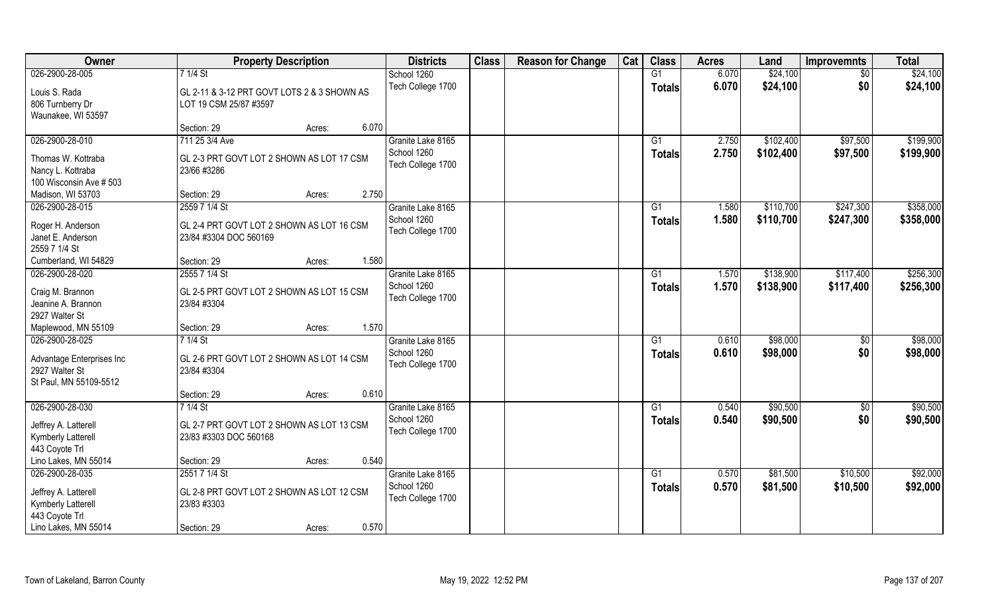| Owner                     | <b>Property Description</b>                 | <b>Districts</b>  | <b>Class</b> | <b>Reason for Change</b> | Cat | <b>Class</b>    | <b>Acres</b> | Land      | <b>Improvemnts</b> | <b>Total</b> |
|---------------------------|---------------------------------------------|-------------------|--------------|--------------------------|-----|-----------------|--------------|-----------|--------------------|--------------|
| 026-2900-28-005           | 7 1/4 St                                    | School 1260       |              |                          |     | G1              | 6.070        | \$24,100  | $\sqrt{6}$         | \$24,100     |
| Louis S. Rada             | GL 2-11 & 3-12 PRT GOVT LOTS 2 & 3 SHOWN AS | Tech College 1700 |              |                          |     | <b>Totals</b>   | 6.070        | \$24,100  | \$0                | \$24,100     |
| 806 Turnberry Dr          | LOT 19 CSM 25/87 #3597                      |                   |              |                          |     |                 |              |           |                    |              |
| Waunakee, WI 53597        |                                             |                   |              |                          |     |                 |              |           |                    |              |
|                           | 6.070<br>Section: 29<br>Acres:              |                   |              |                          |     |                 |              |           |                    |              |
| 026-2900-28-010           | 711 25 3/4 Ave                              | Granite Lake 8165 |              |                          |     | G1              | 2.750        | \$102,400 | \$97,500           | \$199,900    |
| Thomas W. Kottraba        | GL 2-3 PRT GOVT LOT 2 SHOWN AS LOT 17 CSM   | School 1260       |              |                          |     | Totals          | 2.750        | \$102,400 | \$97,500           | \$199,900    |
| Nancy L. Kottraba         | 23/66 #3286                                 | Tech College 1700 |              |                          |     |                 |              |           |                    |              |
| 100 Wisconsin Ave # 503   |                                             |                   |              |                          |     |                 |              |           |                    |              |
| Madison, WI 53703         | Section: 29<br>2.750<br>Acres:              |                   |              |                          |     |                 |              |           |                    |              |
| 026-2900-28-015           | 2559 7 1/4 St                               | Granite Lake 8165 |              |                          |     | G1              | 1.580        | \$110,700 | \$247,300          | \$358,000    |
| Roger H. Anderson         | GL 2-4 PRT GOVT LOT 2 SHOWN AS LOT 16 CSM   | School 1260       |              |                          |     | <b>Totals</b>   | 1.580        | \$110,700 | \$247,300          | \$358,000    |
| Janet E. Anderson         | 23/84 #3304 DOC 560169                      | Tech College 1700 |              |                          |     |                 |              |           |                    |              |
| 2559 7 1/4 St             |                                             |                   |              |                          |     |                 |              |           |                    |              |
| Cumberland, WI 54829      | 1.580<br>Section: 29<br>Acres:              |                   |              |                          |     |                 |              |           |                    |              |
| 026-2900-28-020           | 2555 7 1/4 St                               | Granite Lake 8165 |              |                          |     | G1              | 1.570        | \$138,900 | \$117,400          | \$256,300    |
| Craig M. Brannon          | GL 2-5 PRT GOVT LOT 2 SHOWN AS LOT 15 CSM   | School 1260       |              |                          |     | <b>Totals</b>   | 1.570        | \$138,900 | \$117,400          | \$256,300    |
| Jeanine A. Brannon        | 23/84 #3304                                 | Tech College 1700 |              |                          |     |                 |              |           |                    |              |
| 2927 Walter St            |                                             |                   |              |                          |     |                 |              |           |                    |              |
| Maplewood, MN 55109       | 1.570<br>Section: 29<br>Acres:              |                   |              |                          |     |                 |              |           |                    |              |
| 026-2900-28-025           | $71/4$ St                                   | Granite Lake 8165 |              |                          |     | $\overline{G1}$ | 0.610        | \$98,000  | $\overline{50}$    | \$98,000     |
| Advantage Enterprises Inc | GL 2-6 PRT GOVT LOT 2 SHOWN AS LOT 14 CSM   | School 1260       |              |                          |     | <b>Totals</b>   | 0.610        | \$98,000  | \$0                | \$98,000     |
| 2927 Walter St            | 23/84 #3304                                 | Tech College 1700 |              |                          |     |                 |              |           |                    |              |
| St Paul, MN 55109-5512    |                                             |                   |              |                          |     |                 |              |           |                    |              |
|                           | 0.610<br>Section: 29<br>Acres:              |                   |              |                          |     |                 |              |           |                    |              |
| 026-2900-28-030           | 7 1/4 St                                    | Granite Lake 8165 |              |                          |     | G1              | 0.540        | \$90,500  | \$0                | \$90,500     |
| Jeffrey A. Latterell      | GL 2-7 PRT GOVT LOT 2 SHOWN AS LOT 13 CSM   | School 1260       |              |                          |     | <b>Totals</b>   | 0.540        | \$90,500  | \$0                | \$90,500     |
| Kymberly Latterell        | 23/83 #3303 DOC 560168                      | Tech College 1700 |              |                          |     |                 |              |           |                    |              |
| 443 Coyote Trl            |                                             |                   |              |                          |     |                 |              |           |                    |              |
| Lino Lakes, MN 55014      | 0.540<br>Section: 29<br>Acres:              |                   |              |                          |     |                 |              |           |                    |              |
| 026-2900-28-035           | 2551 7 1/4 St                               | Granite Lake 8165 |              |                          |     | $\overline{G1}$ | 0.570        | \$81,500  | \$10,500           | \$92,000     |
| Jeffrey A. Latterell      | GL 2-8 PRT GOVT LOT 2 SHOWN AS LOT 12 CSM   | School 1260       |              |                          |     | Totals          | 0.570        | \$81,500  | \$10,500           | \$92,000     |
| <b>Kymberly Latterell</b> | 23/83 #3303                                 | Tech College 1700 |              |                          |     |                 |              |           |                    |              |
| 443 Coyote Trl            |                                             |                   |              |                          |     |                 |              |           |                    |              |
| Lino Lakes, MN 55014      | 0.570<br>Section: 29<br>Acres:              |                   |              |                          |     |                 |              |           |                    |              |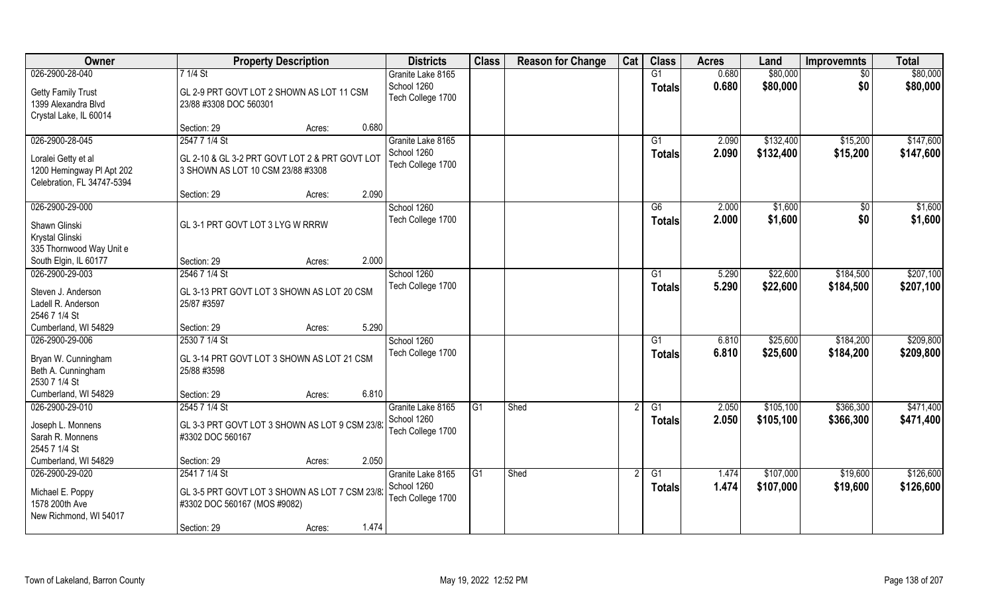| Owner                                                                          | <b>Property Description</b>                                                         | <b>Districts</b>                 | <b>Class</b> | <b>Reason for Change</b> | Cat | <b>Class</b>        | <b>Acres</b>   | Land                   | <b>Improvemnts</b>     | <b>Total</b>           |
|--------------------------------------------------------------------------------|-------------------------------------------------------------------------------------|----------------------------------|--------------|--------------------------|-----|---------------------|----------------|------------------------|------------------------|------------------------|
| 026-2900-28-040                                                                | 7 1/4 St                                                                            | Granite Lake 8165                |              |                          |     | G1                  | 0.680          | \$80,000               | $\overline{50}$        | \$80,000               |
| <b>Getty Family Trust</b><br>1399 Alexandra Blvd<br>Crystal Lake, IL 60014     | GL 2-9 PRT GOVT LOT 2 SHOWN AS LOT 11 CSM<br>23/88 #3308 DOC 560301                 | School 1260<br>Tech College 1700 |              |                          |     | <b>Totals</b>       | 0.680          | \$80,000               | \$0                    | \$80,000               |
|                                                                                | 0.680<br>Section: 29<br>Acres:                                                      |                                  |              |                          |     |                     |                |                        |                        |                        |
| 026-2900-28-045                                                                | 2547 7 1/4 St                                                                       | Granite Lake 8165<br>School 1260 |              |                          |     | G1<br><b>Totals</b> | 2.090<br>2.090 | \$132,400<br>\$132,400 | \$15,200<br>\$15,200   | \$147,600<br>\$147,600 |
| Loralei Getty et al<br>1200 Hemingway PI Apt 202<br>Celebration, FL 34747-5394 | GL 2-10 & GL 3-2 PRT GOVT LOT 2 & PRT GOVT LOT<br>3 SHOWN AS LOT 10 CSM 23/88 #3308 | Tech College 1700                |              |                          |     |                     |                |                        |                        |                        |
|                                                                                | 2.090<br>Section: 29<br>Acres:                                                      |                                  |              |                          |     |                     |                |                        |                        |                        |
| 026-2900-29-000<br>Shawn Glinski                                               | GL 3-1 PRT GOVT LOT 3 LYG W RRRW                                                    | School 1260<br>Tech College 1700 |              |                          |     | G6<br><b>Totals</b> | 2.000<br>2.000 | \$1,600<br>\$1,600     | \$0<br>\$0             | \$1,600<br>\$1,600     |
| Krystal Glinski<br>335 Thornwood Way Unit e                                    |                                                                                     |                                  |              |                          |     |                     |                |                        |                        |                        |
| South Elgin, IL 60177                                                          | 2.000<br>Section: 29<br>Acres:                                                      |                                  |              |                          |     |                     |                |                        |                        |                        |
| 026-2900-29-003<br>Steven J. Anderson<br>Ladell R. Anderson<br>2546 7 1/4 St   | 2546 7 1/4 St<br>GL 3-13 PRT GOVT LOT 3 SHOWN AS LOT 20 CSM<br>25/87 #3597          | School 1260<br>Tech College 1700 |              |                          |     | G1<br>Totals        | 5.290<br>5.290 | \$22,600<br>\$22,600   | \$184,500<br>\$184,500 | \$207,100<br>\$207,100 |
| Cumberland, WI 54829                                                           | 5.290<br>Section: 29<br>Acres:                                                      |                                  |              |                          |     |                     |                |                        |                        |                        |
| 026-2900-29-006<br>Bryan W. Cunningham<br>Beth A. Cunningham<br>2530 7 1/4 St  | 2530 7 1/4 St<br>GL 3-14 PRT GOVT LOT 3 SHOWN AS LOT 21 CSM<br>25/88 #3598          | School 1260<br>Tech College 1700 |              |                          |     | G1<br><b>Totals</b> | 6.810<br>6.810 | \$25,600<br>\$25,600   | \$184,200<br>\$184,200 | \$209,800<br>\$209,800 |
| Cumberland, WI 54829                                                           | 6.810<br>Section: 29<br>Acres:                                                      |                                  |              |                          |     |                     |                |                        |                        |                        |
| 026-2900-29-010                                                                | 2545 7 1/4 St                                                                       | Granite Lake 8165                | G1           | Shed                     |     | G1                  | 2.050          | \$105,100              | \$366,300              | \$471,400              |
| Joseph L. Monnens<br>Sarah R. Monnens<br>2545 7 1/4 St                         | GL 3-3 PRT GOVT LOT 3 SHOWN AS LOT 9 CSM 23/82<br>#3302 DOC 560167                  | School 1260<br>Tech College 1700 |              |                          |     | <b>Totals</b>       | 2.050          | \$105,100              | \$366,300              | \$471,400              |
| Cumberland, WI 54829                                                           | 2.050<br>Section: 29<br>Acres:                                                      |                                  |              |                          |     |                     |                |                        |                        |                        |
| 026-2900-29-020                                                                | 2541 7 1/4 St                                                                       | Granite Lake 8165                | G1           | Shed                     |     | $\overline{G1}$     | 1.474          | \$107,000              | \$19,600               | \$126,600              |
| Michael E. Poppy<br>1578 200th Ave<br>New Richmond, WI 54017                   | GL 3-5 PRT GOVT LOT 3 SHOWN AS LOT 7 CSM 23/82<br>#3302 DOC 560167 (MOS #9082)      | School 1260<br>Tech College 1700 |              |                          |     | <b>Totals</b>       | 1.474          | \$107,000              | \$19,600               | \$126,600              |
|                                                                                | 1.474<br>Section: 29<br>Acres:                                                      |                                  |              |                          |     |                     |                |                        |                        |                        |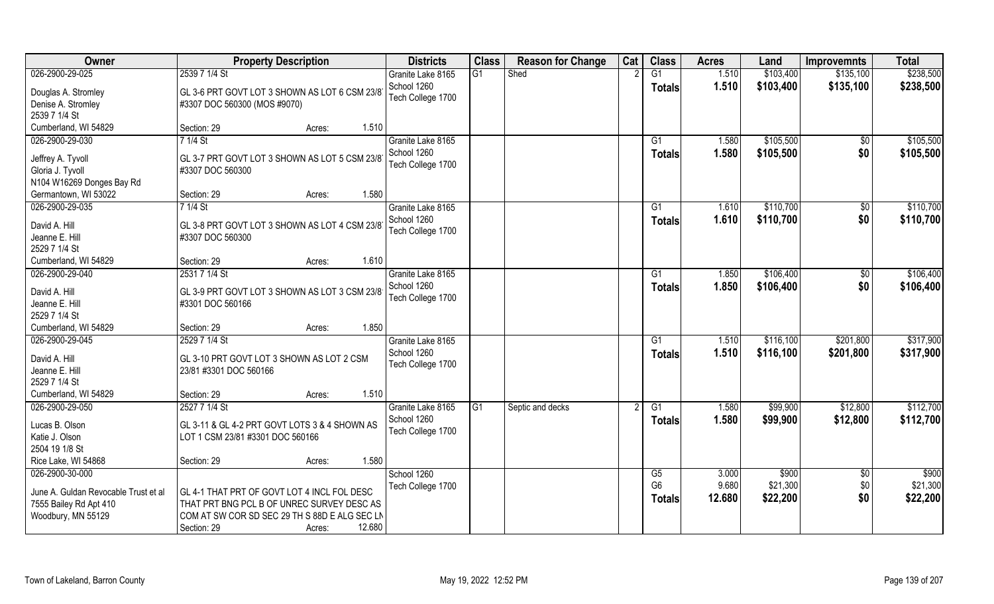| Owner                                                      | <b>Property Description</b>                                                               | <b>Districts</b>                 | <b>Class</b>    | <b>Reason for Change</b> | Cat | <b>Class</b>    | <b>Acres</b> | Land      | <b>Improvemnts</b> | <b>Total</b> |
|------------------------------------------------------------|-------------------------------------------------------------------------------------------|----------------------------------|-----------------|--------------------------|-----|-----------------|--------------|-----------|--------------------|--------------|
| 026-2900-29-025                                            | 2539 7 1/4 St                                                                             | Granite Lake 8165                | $\overline{G1}$ | Shed                     |     | $\overline{G1}$ | 1.510        | \$103,400 | \$135,100          | \$238,500    |
| Douglas A. Stromley<br>Denise A. Stromley<br>2539 7 1/4 St | GL 3-6 PRT GOVT LOT 3 SHOWN AS LOT 6 CSM 23/81<br>#3307 DOC 560300 (MOS #9070)            | School 1260<br>Tech College 1700 |                 |                          |     | <b>Totals</b>   | 1.510        | \$103,400 | \$135,100          | \$238,500    |
| Cumberland, WI 54829                                       | 1.510<br>Section: 29<br>Acres:                                                            |                                  |                 |                          |     |                 |              |           |                    |              |
| 026-2900-29-030                                            | $71/4$ St                                                                                 | Granite Lake 8165                |                 |                          |     | G1              | 1.580        | \$105,500 | \$0                | \$105,500    |
|                                                            |                                                                                           | School 1260                      |                 |                          |     |                 | 1.580        | \$105,500 | \$0                | \$105,500    |
| Jeffrey A. Tyvoll                                          | GL 3-7 PRT GOVT LOT 3 SHOWN AS LOT 5 CSM 23/81                                            | Tech College 1700                |                 |                          |     | <b>Totals</b>   |              |           |                    |              |
| Gloria J. Tyvoll                                           | #3307 DOC 560300                                                                          |                                  |                 |                          |     |                 |              |           |                    |              |
| N104 W16269 Donges Bay Rd                                  |                                                                                           |                                  |                 |                          |     |                 |              |           |                    |              |
| Germantown, WI 53022                                       | Section: 29<br>1.580<br>Acres:                                                            |                                  |                 |                          |     |                 |              |           |                    |              |
| 026-2900-29-035                                            | 7 1/4 St                                                                                  | Granite Lake 8165                |                 |                          |     | G1              | 1.610        | \$110,700 | \$0                | \$110,700    |
| David A. Hill                                              | GL 3-8 PRT GOVT LOT 3 SHOWN AS LOT 4 CSM 23/8                                             | School 1260                      |                 |                          |     | <b>Totals</b>   | 1.610        | \$110,700 | \$0                | \$110,700    |
| Jeanne E. Hill                                             | #3307 DOC 560300                                                                          | Tech College 1700                |                 |                          |     |                 |              |           |                    |              |
| 2529 7 1/4 St                                              |                                                                                           |                                  |                 |                          |     |                 |              |           |                    |              |
| Cumberland, WI 54829                                       | 1.610<br>Section: 29<br>Acres:                                                            |                                  |                 |                          |     |                 |              |           |                    |              |
| 026-2900-29-040                                            | 2531 7 1/4 St                                                                             | Granite Lake 8165                |                 |                          |     | G <sub>1</sub>  | 1.850        | \$106,400 | \$0                | \$106,400    |
|                                                            |                                                                                           | School 1260                      |                 |                          |     | <b>Totals</b>   | 1.850        | \$106,400 | \$0                | \$106,400    |
| David A. Hill                                              | GL 3-9 PRT GOVT LOT 3 SHOWN AS LOT 3 CSM 23/8                                             | Tech College 1700                |                 |                          |     |                 |              |           |                    |              |
| Jeanne E. Hill<br>2529 7 1/4 St                            | #3301 DOC 560166                                                                          |                                  |                 |                          |     |                 |              |           |                    |              |
| Cumberland, WI 54829                                       | 1.850<br>Section: 29                                                                      |                                  |                 |                          |     |                 |              |           |                    |              |
| 026-2900-29-045                                            | Acres:<br>2529 7 1/4 St                                                                   | Granite Lake 8165                |                 |                          |     | G1              | 1.510        | \$116,100 | \$201,800          | \$317,900    |
|                                                            |                                                                                           | School 1260                      |                 |                          |     |                 |              |           |                    |              |
| David A. Hill                                              | GL 3-10 PRT GOVT LOT 3 SHOWN AS LOT 2 CSM                                                 | Tech College 1700                |                 |                          |     | <b>Totals</b>   | 1.510        | \$116,100 | \$201,800          | \$317,900    |
| Jeanne E. Hill                                             | 23/81 #3301 DOC 560166                                                                    |                                  |                 |                          |     |                 |              |           |                    |              |
| 2529 7 1/4 St                                              |                                                                                           |                                  |                 |                          |     |                 |              |           |                    |              |
| Cumberland, WI 54829                                       | 1.510<br>Section: 29<br>Acres:                                                            |                                  |                 |                          |     |                 |              |           |                    |              |
| 026-2900-29-050                                            | 2527 7 1/4 St                                                                             | Granite Lake 8165                | G1              | Septic and decks         | 2   | G1              | 1.580        | \$99,900  | \$12,800           | \$112,700    |
| Lucas B. Olson                                             | GL 3-11 & GL 4-2 PRT GOVT LOTS 3 & 4 SHOWN AS                                             | School 1260                      |                 |                          |     | <b>Totals</b>   | 1.580        | \$99,900  | \$12,800           | \$112,700    |
| Katie J. Olson                                             | LOT 1 CSM 23/81 #3301 DOC 560166                                                          | Tech College 1700                |                 |                          |     |                 |              |           |                    |              |
| 2504 19 1/8 St                                             |                                                                                           |                                  |                 |                          |     |                 |              |           |                    |              |
| Rice Lake, WI 54868                                        | 1.580<br>Section: 29<br>Acres:                                                            |                                  |                 |                          |     |                 |              |           |                    |              |
| 026-2900-30-000                                            |                                                                                           | School 1260                      |                 |                          |     | G5              | 3.000        | \$900     | \$0                | \$900        |
|                                                            |                                                                                           | Tech College 1700                |                 |                          |     | G <sub>6</sub>  | 9.680        | \$21,300  | \$0                | \$21,300     |
| June A. Guldan Revocable Trust et al                       | GL 4-1 THAT PRT OF GOVT LOT 4 INCL FOL DESC<br>THAT PRT BNG PCL B OF UNREC SURVEY DESC AS |                                  |                 |                          |     | <b>Totals</b>   | 12.680       | \$22,200  | \$0                | \$22,200     |
| 7555 Bailey Rd Apt 410<br>Woodbury, MN 55129               | COM AT SW COR SD SEC 29 TH S 88D E ALG SEC LN                                             |                                  |                 |                          |     |                 |              |           |                    |              |
|                                                            | 12.680<br>Section: 29                                                                     |                                  |                 |                          |     |                 |              |           |                    |              |
|                                                            | Acres:                                                                                    |                                  |                 |                          |     |                 |              |           |                    |              |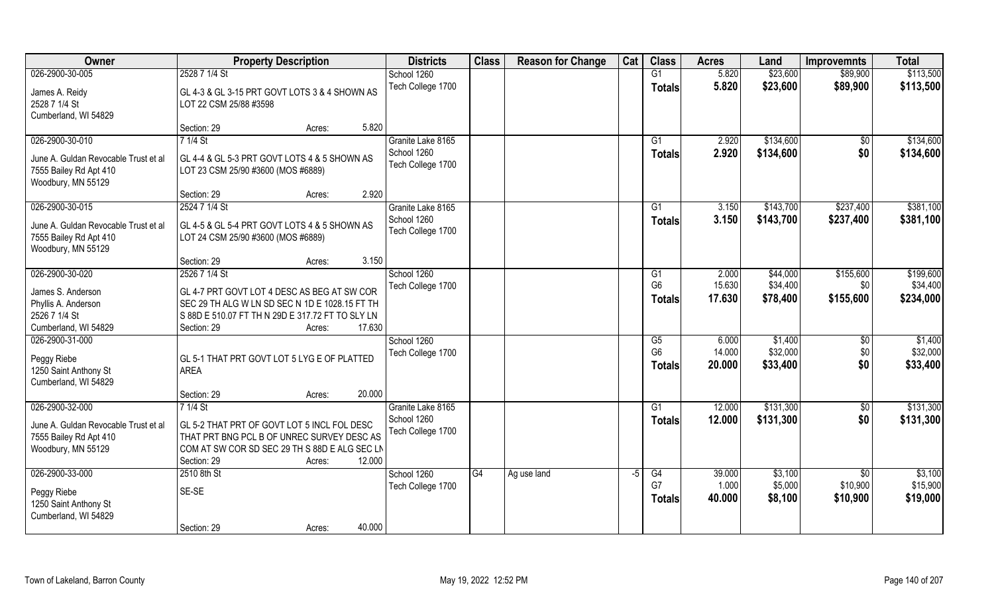| Owner                                | <b>Property Description</b>                      | <b>Districts</b>  | <b>Class</b> | <b>Reason for Change</b> | Cat  | <b>Class</b>           | <b>Acres</b>    | Land      | <b>Improvemnts</b> | <b>Total</b> |
|--------------------------------------|--------------------------------------------------|-------------------|--------------|--------------------------|------|------------------------|-----------------|-----------|--------------------|--------------|
| 026-2900-30-005                      | 2528 7 1/4 St                                    | School 1260       |              |                          |      | G1                     | 5.820           | \$23,600  | \$89,900           | \$113,500    |
| James A. Reidy                       | GL 4-3 & GL 3-15 PRT GOVT LOTS 3 & 4 SHOWN AS    | Tech College 1700 |              |                          |      | <b>Totals</b>          | 5.820           | \$23,600  | \$89,900           | \$113,500    |
| 2528 7 1/4 St                        | LOT 22 CSM 25/88 #3598                           |                   |              |                          |      |                        |                 |           |                    |              |
| Cumberland, WI 54829                 |                                                  |                   |              |                          |      |                        |                 |           |                    |              |
|                                      | 5.820<br>Section: 29<br>Acres:                   |                   |              |                          |      |                        |                 |           |                    |              |
| 026-2900-30-010                      | $71/4$ St                                        | Granite Lake 8165 |              |                          |      | G1                     | 2.920           | \$134,600 | $\overline{50}$    | \$134,600    |
|                                      |                                                  | School 1260       |              |                          |      | <b>Totals</b>          | 2.920           | \$134,600 | \$0                | \$134,600    |
| June A. Guldan Revocable Trust et al | GL 4-4 & GL 5-3 PRT GOVT LOTS 4 & 5 SHOWN AS     | Tech College 1700 |              |                          |      |                        |                 |           |                    |              |
| 7555 Bailey Rd Apt 410               | LOT 23 CSM 25/90 #3600 (MOS #6889)               |                   |              |                          |      |                        |                 |           |                    |              |
| Woodbury, MN 55129                   | 2.920<br>Section: 29<br>Acres:                   |                   |              |                          |      |                        |                 |           |                    |              |
| 026-2900-30-015                      | 2524 7 1/4 St                                    | Granite Lake 8165 |              |                          |      | G1                     | 3.150           | \$143,700 | \$237,400          | \$381,100    |
|                                      |                                                  | School 1260       |              |                          |      |                        | 3.150           | \$143,700 | \$237,400          | \$381,100    |
| June A. Guldan Revocable Trust et al | GL 4-5 & GL 5-4 PRT GOVT LOTS 4 & 5 SHOWN AS     | Tech College 1700 |              |                          |      | <b>Totals</b>          |                 |           |                    |              |
| 7555 Bailey Rd Apt 410               | LOT 24 CSM 25/90 #3600 (MOS #6889)               |                   |              |                          |      |                        |                 |           |                    |              |
| Woodbury, MN 55129                   |                                                  |                   |              |                          |      |                        |                 |           |                    |              |
|                                      | 3.150<br>Section: 29<br>Acres:                   |                   |              |                          |      |                        |                 |           |                    |              |
| 026-2900-30-020                      | 2526 7 1/4 St                                    | School 1260       |              |                          |      | G1                     | 2.000           | \$44,000  | \$155,600          | \$199,600    |
| James S. Anderson                    | GL 4-7 PRT GOVT LOT 4 DESC AS BEG AT SW COR      | Tech College 1700 |              |                          |      | G <sub>6</sub>         | 15.630          | \$34,400  | \$0                | \$34,400     |
| Phyllis A. Anderson                  | SEC 29 TH ALG W LN SD SEC N 1D E 1028.15 FT TH   |                   |              |                          |      | <b>Totals</b>          | 17.630          | \$78,400  | \$155,600          | \$234,000    |
| 2526 7 1/4 St                        | S 88D E 510.07 FT TH N 29D E 317.72 FT TO SLY LN |                   |              |                          |      |                        |                 |           |                    |              |
| Cumberland, WI 54829                 | 17.630<br>Section: 29<br>Acres:                  |                   |              |                          |      |                        |                 |           |                    |              |
| 026-2900-31-000                      |                                                  | School 1260       |              |                          |      | $\overline{\text{G5}}$ | 6.000           | \$1,400   | $\overline{60}$    | \$1,400      |
|                                      | GL 5-1 THAT PRT GOVT LOT 5 LYG E OF PLATTED      | Tech College 1700 |              |                          |      | G <sub>6</sub>         | 14.000          | \$32,000  | \$0                | \$32,000     |
| Peggy Riebe<br>1250 Saint Anthony St | <b>AREA</b>                                      |                   |              |                          |      | Totals                 | 20.000          | \$33,400  | \$0                | \$33,400     |
| Cumberland, WI 54829                 |                                                  |                   |              |                          |      |                        |                 |           |                    |              |
|                                      | 20.000<br>Section: 29<br>Acres:                  |                   |              |                          |      |                        |                 |           |                    |              |
| 026-2900-32-000                      | 7 1/4 St                                         | Granite Lake 8165 |              |                          |      | G1                     | 12.000          | \$131,300 | \$0                | \$131,300    |
|                                      |                                                  | School 1260       |              |                          |      | <b>Totals</b>          | 12.000          | \$131,300 | \$0                | \$131,300    |
| June A. Guldan Revocable Trust et al | GL 5-2 THAT PRT OF GOVT LOT 5 INCL FOL DESC      | Tech College 1700 |              |                          |      |                        |                 |           |                    |              |
| 7555 Bailey Rd Apt 410               | THAT PRT BNG PCL B OF UNREC SURVEY DESC AS       |                   |              |                          |      |                        |                 |           |                    |              |
| Woodbury, MN 55129                   | COM AT SW COR SD SEC 29 TH S 88D E ALG SEC LN    |                   |              |                          |      |                        |                 |           |                    |              |
|                                      | 12.000<br>Section: 29<br>Acres:                  |                   |              |                          |      |                        |                 |           |                    |              |
| 026-2900-33-000                      | 2510 8th St                                      | School 1260       | G4           | Ag use land              | $-5$ | G4<br>G7               | 39.000<br>1.000 | \$3,100   | \$0                | \$3,100      |
| Peggy Riebe                          | SE-SE                                            | Tech College 1700 |              |                          |      |                        |                 | \$5,000   | \$10,900           | \$15,900     |
| 1250 Saint Anthony St                |                                                  |                   |              |                          |      | Totals                 | 40.000          | \$8,100   | \$10,900           | \$19,000     |
| Cumberland, WI 54829                 |                                                  |                   |              |                          |      |                        |                 |           |                    |              |
|                                      | 40.000<br>Section: 29<br>Acres:                  |                   |              |                          |      |                        |                 |           |                    |              |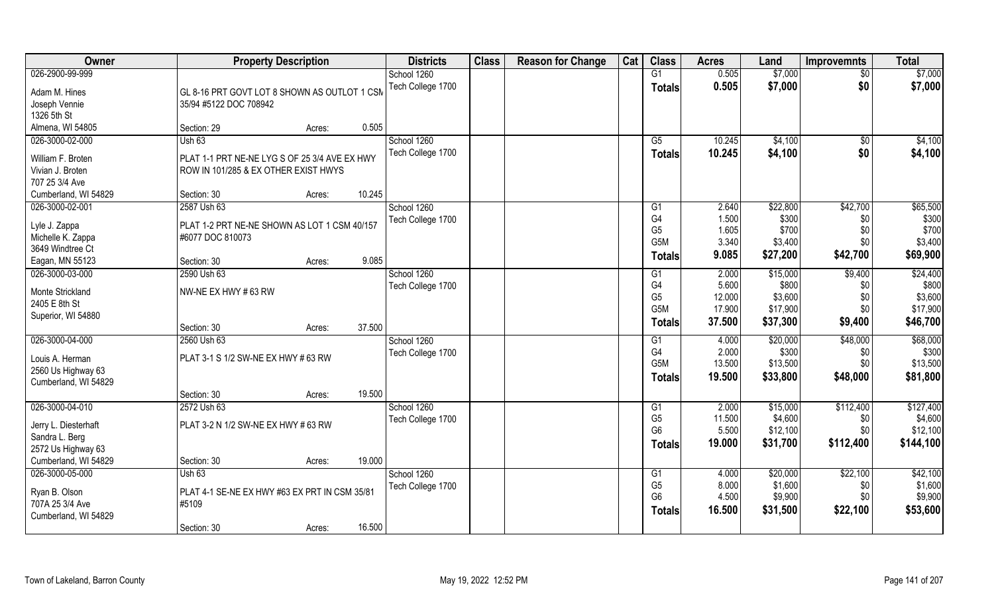| <b>Owner</b>                      | <b>Property Description</b>                   | <b>Districts</b>  | <b>Class</b> | <b>Reason for Change</b> | Cat | <b>Class</b>          | <b>Acres</b>   | Land     | <b>Improvemnts</b> | <b>Total</b> |
|-----------------------------------|-----------------------------------------------|-------------------|--------------|--------------------------|-----|-----------------------|----------------|----------|--------------------|--------------|
| 026-2900-99-999                   |                                               | School 1260       |              |                          |     | G1                    | 0.505          | \$7,000  | $\overline{50}$    | \$7,000      |
| Adam M. Hines                     | GL 8-16 PRT GOVT LOT 8 SHOWN AS OUTLOT 1 CSM  | Tech College 1700 |              |                          |     | <b>Totals</b>         | 0.505          | \$7,000  | \$0                | \$7,000      |
| Joseph Vennie                     | 35/94 #5122 DOC 708942                        |                   |              |                          |     |                       |                |          |                    |              |
| 1326 5th St                       |                                               |                   |              |                          |     |                       |                |          |                    |              |
| Almena, WI 54805                  | 0.505<br>Section: 29<br>Acres:                |                   |              |                          |     |                       |                |          |                    |              |
| 026-3000-02-000                   | Ush63                                         | School 1260       |              |                          |     | $\overline{G5}$       | 10.245         | \$4,100  | \$0                | \$4,100      |
|                                   |                                               | Tech College 1700 |              |                          |     | Totals                | 10.245         | \$4,100  | \$0                | \$4,100      |
| William F. Broten                 | PLAT 1-1 PRT NE-NE LYG S OF 25 3/4 AVE EX HWY |                   |              |                          |     |                       |                |          |                    |              |
| Vivian J. Broten                  | ROW IN 101/285 & EX OTHER EXIST HWYS          |                   |              |                          |     |                       |                |          |                    |              |
| 707 25 3/4 Ave                    |                                               |                   |              |                          |     |                       |                |          |                    |              |
| Cumberland, WI 54829              | 10.245<br>Section: 30<br>Acres:               |                   |              |                          |     |                       |                |          |                    |              |
| 026-3000-02-001                   | 2587 Ush 63                                   | School 1260       |              |                          |     | G1                    | 2.640          | \$22,800 | \$42,700           | \$65,500     |
| Lyle J. Zappa                     | PLAT 1-2 PRT NE-NE SHOWN AS LOT 1 CSM 40/157  | Tech College 1700 |              |                          |     | G <sub>4</sub>        | 1.500          | \$300    | \$0                | \$300        |
| Michelle K. Zappa                 | #6077 DOC 810073                              |                   |              |                          |     | G <sub>5</sub><br>G5M | 1.605<br>3.340 | \$700    | \$0<br>\$0         | \$700        |
| 3649 Windtree Ct                  |                                               |                   |              |                          |     |                       |                | \$3,400  |                    | \$3,400      |
| Eagan, MN 55123                   | 9.085<br>Section: 30<br>Acres:                |                   |              |                          |     | Totals                | 9.085          | \$27,200 | \$42,700           | \$69,900     |
| 026-3000-03-000                   | 2590 Ush 63                                   | School 1260       |              |                          |     | G1                    | 2.000          | \$15,000 | \$9,400            | \$24,400     |
|                                   | NW-NE EX HWY #63 RW                           | Tech College 1700 |              |                          |     | G4                    | 5.600          | \$800    | \$0                | \$800        |
| Monte Strickland<br>2405 E 8th St |                                               |                   |              |                          |     | G <sub>5</sub>        | 12.000         | \$3,600  | \$0                | \$3,600      |
| Superior, WI 54880                |                                               |                   |              |                          |     | G <sub>5</sub> M      | 17.900         | \$17,900 | \$0                | \$17,900     |
|                                   | 37.500<br>Section: 30<br>Acres:               |                   |              |                          |     | <b>Totals</b>         | 37.500         | \$37,300 | \$9,400            | \$46,700     |
| 026-3000-04-000                   | 2560 Ush 63                                   | School 1260       |              |                          |     | $\overline{G1}$       | 4.000          | \$20,000 | \$48,000           | \$68,000     |
|                                   |                                               | Tech College 1700 |              |                          |     | G4                    | 2.000          | \$300    | \$0                | \$300        |
| Louis A. Herman                   | PLAT 3-1 S 1/2 SW-NE EX HWY # 63 RW           |                   |              |                          |     | G5M                   | 13.500         | \$13,500 | \$0                | \$13,500     |
| 2560 Us Highway 63                |                                               |                   |              |                          |     | <b>Totals</b>         | 19.500         | \$33,800 | \$48,000           | \$81,800     |
| Cumberland, WI 54829              |                                               |                   |              |                          |     |                       |                |          |                    |              |
|                                   | 19.500<br>Section: 30<br>Acres:               |                   |              |                          |     |                       |                |          |                    |              |
| 026-3000-04-010                   | 2572 Ush 63                                   | School 1260       |              |                          |     | G1                    | 2.000          | \$15,000 | \$112,400          | \$127,400    |
| Jerry L. Diesterhaft              | PLAT 3-2 N 1/2 SW-NE EX HWY # 63 RW           | Tech College 1700 |              |                          |     | G <sub>5</sub>        | 11.500         | \$4,600  | \$0                | \$4,600      |
| Sandra L. Berg                    |                                               |                   |              |                          |     | G <sub>6</sub>        | 5.500          | \$12,100 | \$0                | \$12,100     |
| 2572 Us Highway 63                |                                               |                   |              |                          |     | <b>Totals</b>         | 19.000         | \$31,700 | \$112,400          | \$144,100    |
| Cumberland, WI 54829              | 19.000<br>Section: 30<br>Acres:               |                   |              |                          |     |                       |                |          |                    |              |
| 026-3000-05-000                   | Ush63                                         | School 1260       |              |                          |     | G1                    | 4.000          | \$20,000 | \$22,100           | \$42,100     |
|                                   |                                               | Tech College 1700 |              |                          |     | G <sub>5</sub>        | 8.000          | \$1,600  | \$0                | \$1,600      |
| Ryan B. Olson                     | PLAT 4-1 SE-NE EX HWY #63 EX PRT IN CSM 35/81 |                   |              |                          |     | G <sub>6</sub>        | 4.500          | \$9,900  | \$0                | \$9,900      |
| 707A 25 3/4 Ave                   | #5109                                         |                   |              |                          |     | <b>Totals</b>         | 16.500         | \$31,500 | \$22,100           | \$53,600     |
| Cumberland, WI 54829              | 16.500                                        |                   |              |                          |     |                       |                |          |                    |              |
|                                   | Section: 30<br>Acres:                         |                   |              |                          |     |                       |                |          |                    |              |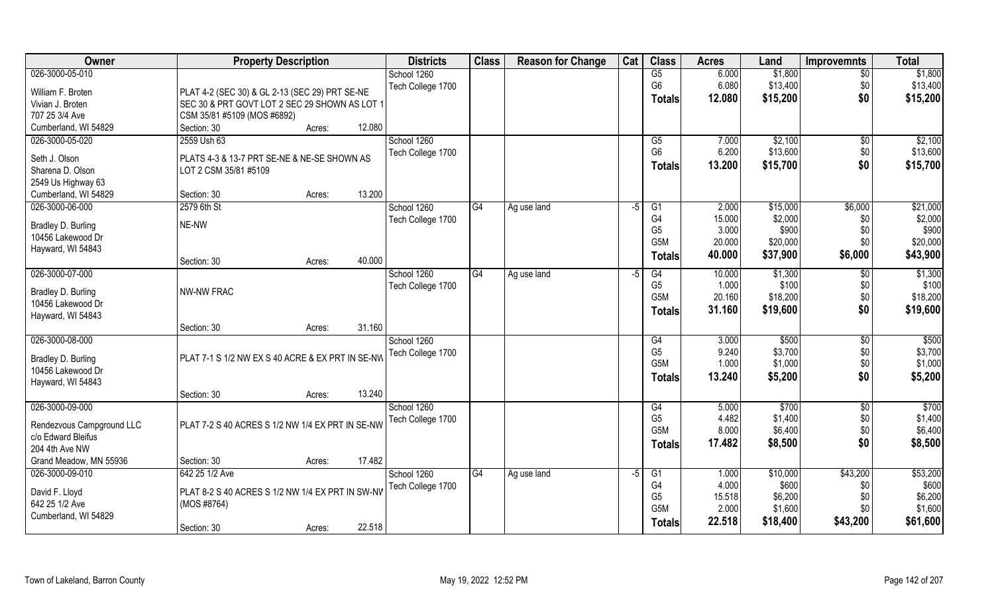| <b>Owner</b>              | <b>Property Description</b>                      | <b>Districts</b>  | <b>Class</b> | <b>Reason for Change</b> | Cat  | <b>Class</b>     | <b>Acres</b> | Land     | <b>Improvemnts</b> | <b>Total</b>      |
|---------------------------|--------------------------------------------------|-------------------|--------------|--------------------------|------|------------------|--------------|----------|--------------------|-------------------|
| 026-3000-05-010           |                                                  | School 1260       |              |                          |      | G5               | 6.000        | \$1,800  | $\overline{50}$    | \$1,800           |
| William F. Broten         | PLAT 4-2 (SEC 30) & GL 2-13 (SEC 29) PRT SE-NE   | Tech College 1700 |              |                          |      | G <sub>6</sub>   | 6.080        | \$13,400 | \$0                | \$13,400          |
| Vivian J. Broten          | SEC 30 & PRT GOVT LOT 2 SEC 29 SHOWN AS LOT 1    |                   |              |                          |      | <b>Totals</b>    | 12.080       | \$15,200 | \$0                | \$15,200          |
| 707 25 3/4 Ave            | CSM 35/81 #5109 (MOS #6892)                      |                   |              |                          |      |                  |              |          |                    |                   |
| Cumberland, WI 54829      | 12.080<br>Section: 30<br>Acres:                  |                   |              |                          |      |                  |              |          |                    |                   |
| 026-3000-05-020           | 2559 Ush 63                                      | School 1260       |              |                          |      | G5               | 7.000        | \$2,100  | \$0                | \$2,100           |
| Seth J. Olson             | PLATS 4-3 & 13-7 PRT SE-NE & NE-SE SHOWN AS      | Tech College 1700 |              |                          |      | G <sub>6</sub>   | 6.200        | \$13,600 | \$0                | \$13,600          |
| Sharena D. Olson          | LOT 2 CSM 35/81 #5109                            |                   |              |                          |      | <b>Totals</b>    | 13.200       | \$15,700 | \$0                | \$15,700          |
| 2549 Us Highway 63        |                                                  |                   |              |                          |      |                  |              |          |                    |                   |
| Cumberland, WI 54829      | 13.200<br>Section: 30<br>Acres:                  |                   |              |                          |      |                  |              |          |                    |                   |
| 026-3000-06-000           | 2579 6th St                                      | School 1260       | G4           | Ag use land              | $-5$ | G1               | 2.000        | \$15,000 | \$6,000            | \$21,000          |
|                           |                                                  | Tech College 1700 |              |                          |      | G <sub>4</sub>   | 15.000       | \$2,000  | \$0                | \$2,000           |
| Bradley D. Burling        | NE-NW                                            |                   |              |                          |      | G <sub>5</sub>   | 3.000        | \$900    | \$0                | \$900             |
| 10456 Lakewood Dr         |                                                  |                   |              |                          |      | G5M              | 20.000       | \$20,000 | \$0                | \$20,000          |
| Hayward, WI 54843         | 40.000<br>Section: 30<br>Acres:                  |                   |              |                          |      | <b>Totals</b>    | 40.000       | \$37,900 | \$6,000            | \$43,900          |
| 026-3000-07-000           |                                                  | School 1260       | G4           | Ag use land              | -5   | G4               | 10.000       | \$1,300  | \$0                | \$1,300           |
|                           |                                                  | Tech College 1700 |              |                          |      | G <sub>5</sub>   | 1.000        | \$100    | \$0                | \$100             |
| Bradley D. Burling        | <b>NW-NW FRAC</b>                                |                   |              |                          |      | G5M              | 20.160       | \$18,200 | \$0                | \$18,200          |
| 10456 Lakewood Dr         |                                                  |                   |              |                          |      | <b>Totals</b>    | 31.160       | \$19,600 | \$0                | \$19,600          |
| Hayward, WI 54843         | 31.160                                           |                   |              |                          |      |                  |              |          |                    |                   |
| 026-3000-08-000           | Section: 30<br>Acres:                            | School 1260       |              |                          |      | G4               | 3.000        | \$500    | $\overline{60}$    | \$500             |
|                           |                                                  | Tech College 1700 |              |                          |      | G <sub>5</sub>   | 9.240        | \$3,700  | \$0                | \$3,700           |
| Bradley D. Burling        | PLAT 7-1 S 1/2 NW EX S 40 ACRE & EX PRT IN SE-NW |                   |              |                          |      | G5M              | 1.000        | \$1,000  | \$0                | \$1,000           |
| 10456 Lakewood Dr         |                                                  |                   |              |                          |      | <b>Totals</b>    | 13.240       | \$5,200  | \$0                | \$5,200           |
| Hayward, WI 54843         |                                                  |                   |              |                          |      |                  |              |          |                    |                   |
|                           | 13.240<br>Section: 30<br>Acres:                  |                   |              |                          |      |                  |              |          |                    |                   |
| 026-3000-09-000           |                                                  | School 1260       |              |                          |      | G4               | 5.000        | \$700    | $\overline{50}$    | $\overline{$700}$ |
| Rendezvous Campground LLC | PLAT 7-2 S 40 ACRES S 1/2 NW 1/4 EX PRT IN SE-NW | Tech College 1700 |              |                          |      | G <sub>5</sub>   | 4.482        | \$1,400  | \$0                | \$1,400           |
| c/o Edward Bleifus        |                                                  |                   |              |                          |      | G <sub>5</sub> M | 8.000        | \$6,400  | \$0                | \$6,400           |
| 204 4th Ave NW            |                                                  |                   |              |                          |      | <b>Totals</b>    | 17.482       | \$8,500  | \$0                | \$8,500           |
| Grand Meadow, MN 55936    | 17.482<br>Section: 30<br>Acres:                  |                   |              |                          |      |                  |              |          |                    |                   |
| 026-3000-09-010           | 642 25 1/2 Ave                                   | School 1260       | G4           | Ag use land              | $-5$ | G1               | 1.000        | \$10,000 | \$43,200           | \$53,200          |
| David F. Lloyd            | PLAT 8-2 S 40 ACRES S 1/2 NW 1/4 EX PRT IN SW-NV | Tech College 1700 |              |                          |      | G <sub>4</sub>   | 4.000        | \$600    | \$0                | \$600             |
| 642 25 1/2 Ave            | (MOS #8764)                                      |                   |              |                          |      | G <sub>5</sub>   | 15.518       | \$6,200  | \$0                | \$6,200           |
| Cumberland, WI 54829      |                                                  |                   |              |                          |      | G5M              | 2.000        | \$1,600  | \$0                | \$1,600           |
|                           | 22.518<br>Section: 30<br>Acres:                  |                   |              |                          |      | <b>Totals</b>    | 22.518       | \$18,400 | \$43,200           | \$61,600          |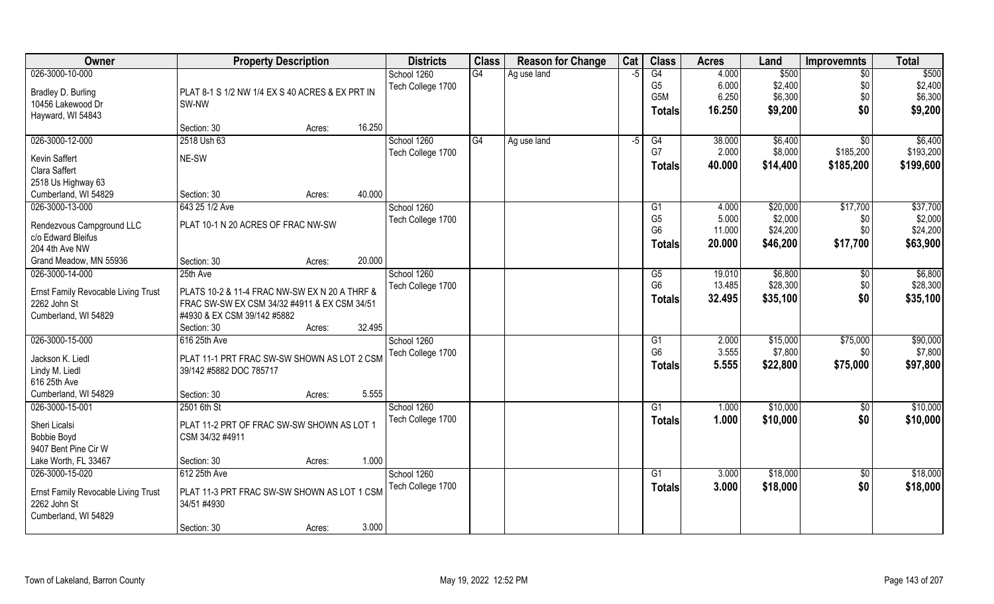| Owner                               | <b>Property Description</b>                     |                  | <b>Districts</b>  | <b>Class</b> | <b>Reason for Change</b> | Cat | <b>Class</b>   | <b>Acres</b> | Land     | <b>Improvemnts</b> | <b>Total</b> |
|-------------------------------------|-------------------------------------------------|------------------|-------------------|--------------|--------------------------|-----|----------------|--------------|----------|--------------------|--------------|
| 026-3000-10-000                     |                                                 |                  | School 1260       | G4           | Ag use land              | -5  | G4             | 4.000        | \$500    | $\sqrt{$0}$        | \$500        |
| Bradley D. Burling                  | PLAT 8-1 S 1/2 NW 1/4 EX S 40 ACRES & EX PRT IN |                  | Tech College 1700 |              |                          |     | G <sub>5</sub> | 6.000        | \$2,400  | \$0                | \$2,400      |
| 10456 Lakewood Dr                   | SW-NW                                           |                  |                   |              |                          |     | G5M            | 6.250        | \$6,300  | \$0                | \$6,300      |
| Hayward, WI 54843                   |                                                 |                  |                   |              |                          |     | <b>Totals</b>  | 16.250       | \$9,200  | \$0                | \$9,200      |
|                                     | Section: 30                                     | 16.250<br>Acres: |                   |              |                          |     |                |              |          |                    |              |
| 026-3000-12-000                     | 2518 Ush 63                                     |                  | School 1260       | G4           | Ag use land              | -5  | G4             | 38.000       | \$6,400  | $\overline{50}$    | \$6,400      |
| Kevin Saffert                       | NE-SW                                           |                  | Tech College 1700 |              |                          |     | G7             | 2.000        | \$8,000  | \$185,200          | \$193,200    |
| Clara Saffert                       |                                                 |                  |                   |              |                          |     | <b>Totals</b>  | 40.000       | \$14,400 | \$185,200          | \$199,600    |
| 2518 Us Highway 63                  |                                                 |                  |                   |              |                          |     |                |              |          |                    |              |
| Cumberland, WI 54829                | Section: 30                                     | 40.000<br>Acres: |                   |              |                          |     |                |              |          |                    |              |
| 026-3000-13-000                     | 643 25 1/2 Ave                                  |                  | School 1260       |              |                          |     | G1             | 4.000        | \$20,000 | \$17,700           | \$37,700     |
| Rendezvous Campground LLC           | PLAT 10-1 N 20 ACRES OF FRAC NW-SW              |                  | Tech College 1700 |              |                          |     | G <sub>5</sub> | 5.000        | \$2,000  | \$0                | \$2,000      |
| c/o Edward Bleifus                  |                                                 |                  |                   |              |                          |     | G <sub>6</sub> | 11.000       | \$24,200 | \$0                | \$24,200     |
| 204 4th Ave NW                      |                                                 |                  |                   |              |                          |     | Totals         | 20.000       | \$46,200 | \$17,700           | \$63,900     |
| Grand Meadow, MN 55936              | Section: 30                                     | 20.000<br>Acres: |                   |              |                          |     |                |              |          |                    |              |
| 026-3000-14-000                     | 25th Ave                                        |                  | School 1260       |              |                          |     | G5             | 19.010       | \$6,800  | \$0                | \$6,800      |
| Ernst Family Revocable Living Trust | PLATS 10-2 & 11-4 FRAC NW-SW EX N 20 A THRF &   |                  | Tech College 1700 |              |                          |     | G <sub>6</sub> | 13.485       | \$28,300 | \$0                | \$28,300     |
| 2262 John St                        | FRAC SW-SW EX CSM 34/32 #4911 & EX CSM 34/51    |                  |                   |              |                          |     | Totals         | 32.495       | \$35,100 | \$0                | \$35,100     |
| Cumberland, WI 54829                | #4930 & EX CSM 39/142 #5882                     |                  |                   |              |                          |     |                |              |          |                    |              |
|                                     | Section: 30                                     | 32.495<br>Acres: |                   |              |                          |     |                |              |          |                    |              |
| 026-3000-15-000                     | 616 25th Ave                                    |                  | School 1260       |              |                          |     | G1             | 2.000        | \$15,000 | \$75,000           | \$90,000     |
|                                     |                                                 |                  | Tech College 1700 |              |                          |     | G <sub>6</sub> | 3.555        | \$7,800  | \$0                | \$7,800      |
| Jackson K. Liedl                    | PLAT 11-1 PRT FRAC SW-SW SHOWN AS LOT 2 CSM     |                  |                   |              |                          |     | <b>Totals</b>  | 5.555        | \$22,800 | \$75,000           | \$97,800     |
| Lindy M. Liedl                      | 39/142 #5882 DOC 785717                         |                  |                   |              |                          |     |                |              |          |                    |              |
| 616 25th Ave                        |                                                 |                  |                   |              |                          |     |                |              |          |                    |              |
| Cumberland, WI 54829                | Section: 30                                     | 5.555<br>Acres:  |                   |              |                          |     |                |              |          |                    |              |
| 026-3000-15-001                     | 2501 6th St                                     |                  | School 1260       |              |                          |     | G1             | 1.000        | \$10,000 | \$0                | \$10,000     |
| Sheri Licalsi                       | PLAT 11-2 PRT OF FRAC SW-SW SHOWN AS LOT 1      |                  | Tech College 1700 |              |                          |     | <b>Totals</b>  | 1.000        | \$10,000 | \$0                | \$10,000     |
| <b>Bobbie Boyd</b>                  | CSM 34/32 #4911                                 |                  |                   |              |                          |     |                |              |          |                    |              |
| 9407 Bent Pine Cir W                |                                                 |                  |                   |              |                          |     |                |              |          |                    |              |
| Lake Worth, FL 33467                | Section: 30                                     | 1.000<br>Acres:  |                   |              |                          |     |                |              |          |                    |              |
| 026-3000-15-020                     | 612 25th Ave                                    |                  | School 1260       |              |                          |     | G1             | 3.000        | \$18,000 | $\sqrt{$0}$        | \$18,000     |
| Ernst Family Revocable Living Trust | PLAT 11-3 PRT FRAC SW-SW SHOWN AS LOT 1 CSM     |                  | Tech College 1700 |              |                          |     | <b>Totals</b>  | 3.000        | \$18,000 | \$0                | \$18,000     |
| 2262 John St                        | 34/51 #4930                                     |                  |                   |              |                          |     |                |              |          |                    |              |
| Cumberland, WI 54829                |                                                 |                  |                   |              |                          |     |                |              |          |                    |              |
|                                     | Section: 30                                     | 3.000<br>Acres:  |                   |              |                          |     |                |              |          |                    |              |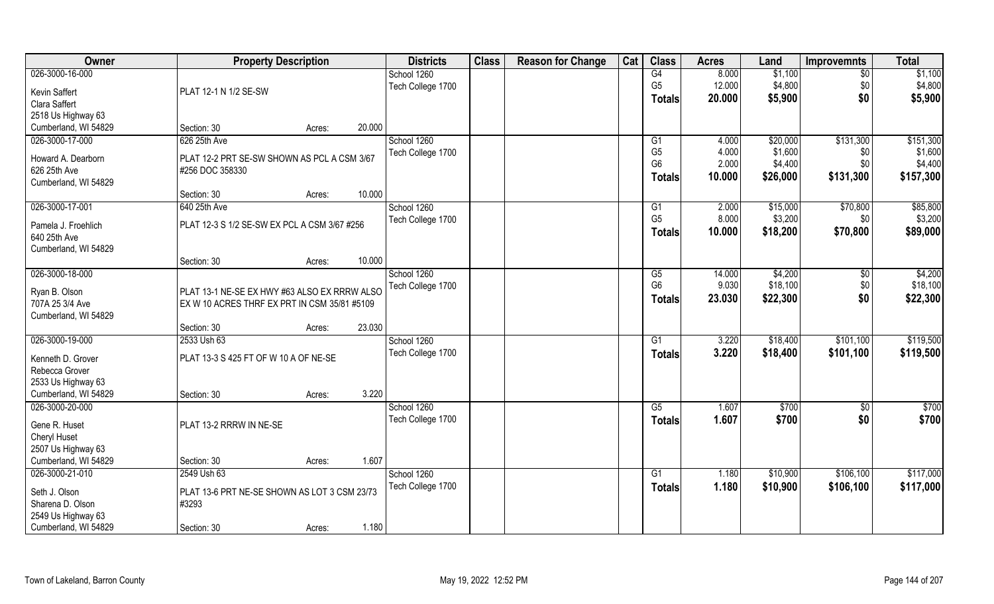| Owner                | <b>Property Description</b>                  | <b>Districts</b>  | <b>Class</b> | <b>Reason for Change</b> | Cat | <b>Class</b>                     | <b>Acres</b> | Land     | <b>Improvemnts</b> | <b>Total</b>      |
|----------------------|----------------------------------------------|-------------------|--------------|--------------------------|-----|----------------------------------|--------------|----------|--------------------|-------------------|
| 026-3000-16-000      |                                              | School 1260       |              |                          |     | G4                               | 8.000        | \$1,100  | $\overline{50}$    | \$1,100           |
| Kevin Saffert        | PLAT 12-1 N 1/2 SE-SW                        | Tech College 1700 |              |                          |     | G <sub>5</sub>                   | 12.000       | \$4,800  | \$0                | \$4,800           |
| Clara Saffert        |                                              |                   |              |                          |     | <b>Totals</b>                    | 20.000       | \$5,900  | \$0                | \$5,900           |
| 2518 Us Highway 63   |                                              |                   |              |                          |     |                                  |              |          |                    |                   |
| Cumberland, WI 54829 | 20.000<br>Section: 30<br>Acres:              |                   |              |                          |     |                                  |              |          |                    |                   |
| 026-3000-17-000      | 626 25th Ave                                 | School 1260       |              |                          |     | G <sub>1</sub>                   | 4.000        | \$20,000 | \$131,300          | \$151,300         |
|                      |                                              | Tech College 1700 |              |                          |     | G <sub>5</sub>                   | 4.000        | \$1,600  | \$0                | \$1,600           |
| Howard A. Dearborn   | PLAT 12-2 PRT SE-SW SHOWN AS PCL A CSM 3/67  |                   |              |                          |     | G <sub>6</sub>                   | 2.000        | \$4,400  | \$0                | \$4,400           |
| 626 25th Ave         | #256 DOC 358330                              |                   |              |                          |     | <b>Totals</b>                    | 10.000       | \$26,000 | \$131,300          | \$157,300         |
| Cumberland, WI 54829 |                                              |                   |              |                          |     |                                  |              |          |                    |                   |
|                      | 10.000<br>Section: 30<br>Acres:              |                   |              |                          |     |                                  |              |          |                    |                   |
| 026-3000-17-001      | 640 25th Ave                                 | School 1260       |              |                          |     | G <sub>1</sub><br>G <sub>5</sub> | 2.000        | \$15,000 | \$70,800           | \$85,800          |
| Pamela J. Froehlich  | PLAT 12-3 S 1/2 SE-SW EX PCL A CSM 3/67 #256 | Tech College 1700 |              |                          |     |                                  | 8.000        | \$3,200  | \$0                | \$3,200           |
| 640 25th Ave         |                                              |                   |              |                          |     | <b>Totals</b>                    | 10.000       | \$18,200 | \$70,800           | \$89,000          |
| Cumberland, WI 54829 |                                              |                   |              |                          |     |                                  |              |          |                    |                   |
|                      | 10.000<br>Section: 30<br>Acres:              |                   |              |                          |     |                                  |              |          |                    |                   |
| 026-3000-18-000      |                                              | School 1260       |              |                          |     | G5                               | 14.000       | \$4,200  | \$0                | \$4,200           |
| Ryan B. Olson        | PLAT 13-1 NE-SE EX HWY #63 ALSO EX RRRW ALSO | Tech College 1700 |              |                          |     | G <sub>6</sub>                   | 9.030        | \$18,100 | \$0                | \$18,100          |
| 707A 25 3/4 Ave      | EX W 10 ACRES THRF EX PRT IN CSM 35/81 #5109 |                   |              |                          |     | <b>Totals</b>                    | 23.030       | \$22,300 | \$0                | \$22,300          |
| Cumberland, WI 54829 |                                              |                   |              |                          |     |                                  |              |          |                    |                   |
|                      | 23.030<br>Section: 30<br>Acres:              |                   |              |                          |     |                                  |              |          |                    |                   |
| 026-3000-19-000      | 2533 Ush 63                                  | School 1260       |              |                          |     | G1                               | 3.220        | \$18,400 | \$101,100          | \$119,500         |
|                      |                                              | Tech College 1700 |              |                          |     | <b>Totals</b>                    | 3.220        | \$18,400 | \$101,100          | \$119,500         |
| Kenneth D. Grover    | PLAT 13-3 S 425 FT OF W 10 A OF NE-SE        |                   |              |                          |     |                                  |              |          |                    |                   |
| Rebecca Grover       |                                              |                   |              |                          |     |                                  |              |          |                    |                   |
| 2533 Us Highway 63   |                                              |                   |              |                          |     |                                  |              |          |                    |                   |
| Cumberland, WI 54829 | 3.220<br>Section: 30<br>Acres:               |                   |              |                          |     |                                  |              |          |                    |                   |
| 026-3000-20-000      |                                              | School 1260       |              |                          |     | G5                               | 1.607        | \$700    | \$0                | $\overline{$700}$ |
| Gene R. Huset        | PLAT 13-2 RRRW IN NE-SE                      | Tech College 1700 |              |                          |     | <b>Totals</b>                    | 1.607        | \$700    | \$0                | \$700             |
| Cheryl Huset         |                                              |                   |              |                          |     |                                  |              |          |                    |                   |
| 2507 Us Highway 63   |                                              |                   |              |                          |     |                                  |              |          |                    |                   |
| Cumberland, WI 54829 | 1.607<br>Section: 30<br>Acres:               |                   |              |                          |     |                                  |              |          |                    |                   |
| 026-3000-21-010      | 2549 Ush 63                                  | School 1260       |              |                          |     | G1                               | 1.180        | \$10,900 | \$106,100          | \$117,000         |
| Seth J. Olson        | PLAT 13-6 PRT NE-SE SHOWN AS LOT 3 CSM 23/73 | Tech College 1700 |              |                          |     | <b>Totals</b>                    | 1.180        | \$10,900 | \$106,100          | \$117,000         |
| Sharena D. Olson     | #3293                                        |                   |              |                          |     |                                  |              |          |                    |                   |
| 2549 Us Highway 63   |                                              |                   |              |                          |     |                                  |              |          |                    |                   |
| Cumberland, WI 54829 | 1.180<br>Section: 30<br>Acres:               |                   |              |                          |     |                                  |              |          |                    |                   |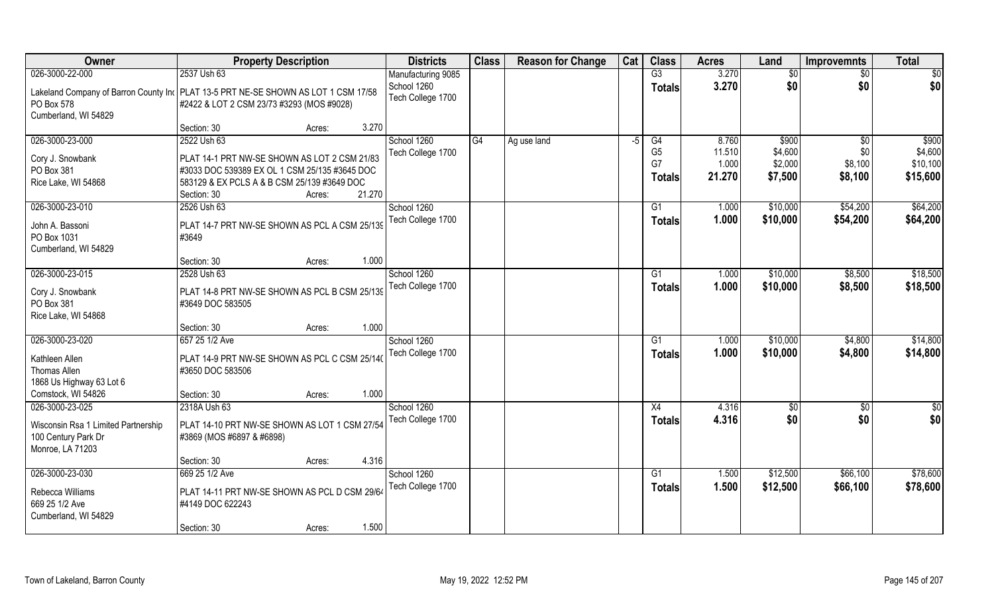| Owner                                                                                | <b>Property Description</b>                   |        | <b>Districts</b>   | <b>Class</b> | <b>Reason for Change</b> | Cat  | <b>Class</b>    | <b>Acres</b> | Land     | <b>Improvemnts</b> | <b>Total</b>  |
|--------------------------------------------------------------------------------------|-----------------------------------------------|--------|--------------------|--------------|--------------------------|------|-----------------|--------------|----------|--------------------|---------------|
| 026-3000-22-000                                                                      | 2537 Ush 63                                   |        | Manufacturing 9085 |              |                          |      | $\overline{G3}$ | 3.270        | \$0      | $\overline{50}$    | \$0           |
| Lakeland Company of Barron County Inc   PLAT 13-5 PRT NE-SE SHOWN AS LOT 1 CSM 17/58 |                                               |        | School 1260        |              |                          |      | <b>Totals</b>   | 3.270        | \$0      | \$0                | \$0           |
| PO Box 578                                                                           | #2422 & LOT 2 CSM 23/73 #3293 (MOS #9028)     |        | Tech College 1700  |              |                          |      |                 |              |          |                    |               |
| Cumberland, WI 54829                                                                 |                                               |        |                    |              |                          |      |                 |              |          |                    |               |
|                                                                                      | Section: 30                                   | Acres: | 3.270              |              |                          |      |                 |              |          |                    |               |
| 026-3000-23-000                                                                      | 2522 Ush 63                                   |        | School 1260        | G4           | Ag use land              | $-5$ | G4              | 8.760        | \$900    | $\sqrt[6]{}$       | \$900         |
| Cory J. Snowbank                                                                     | PLAT 14-1 PRT NW-SE SHOWN AS LOT 2 CSM 21/83  |        | Tech College 1700  |              |                          |      | G <sub>5</sub>  | 11.510       | \$4,600  | \$0                | \$4,600       |
| PO Box 381                                                                           | #3033 DOC 539389 EX OL 1 CSM 25/135 #3645 DOC |        |                    |              |                          |      | G7              | 1.000        | \$2,000  | \$8,100            | \$10,100      |
| Rice Lake, WI 54868                                                                  | 583129 & EX PCLS A & B CSM 25/139 #3649 DOC   |        |                    |              |                          |      | <b>Totals</b>   | 21.270       | \$7,500  | \$8,100            | \$15,600      |
|                                                                                      | Section: 30                                   | Acres: | 21.270             |              |                          |      |                 |              |          |                    |               |
| 026-3000-23-010                                                                      | 2526 Ush 63                                   |        | School 1260        |              |                          |      | G1              | 1.000        | \$10,000 | \$54,200           | \$64,200      |
| John A. Bassoni                                                                      | PLAT 14-7 PRT NW-SE SHOWN AS PCL A CSM 25/139 |        | Tech College 1700  |              |                          |      | <b>Totals</b>   | 1.000        | \$10,000 | \$54,200           | \$64,200      |
| PO Box 1031                                                                          | #3649                                         |        |                    |              |                          |      |                 |              |          |                    |               |
| Cumberland, WI 54829                                                                 |                                               |        |                    |              |                          |      |                 |              |          |                    |               |
|                                                                                      | Section: 30                                   | Acres: | 1.000              |              |                          |      |                 |              |          |                    |               |
| 026-3000-23-015                                                                      | 2528 Ush 63                                   |        | School 1260        |              |                          |      | G1              | 1.000        | \$10,000 | \$8,500            | \$18,500      |
| Cory J. Snowbank                                                                     | PLAT 14-8 PRT NW-SE SHOWN AS PCL B CSM 25/139 |        | Tech College 1700  |              |                          |      | <b>Totals</b>   | 1.000        | \$10,000 | \$8,500            | \$18,500      |
| PO Box 381                                                                           | #3649 DOC 583505                              |        |                    |              |                          |      |                 |              |          |                    |               |
| Rice Lake, WI 54868                                                                  |                                               |        |                    |              |                          |      |                 |              |          |                    |               |
|                                                                                      | Section: 30                                   | Acres: | 1.000              |              |                          |      |                 |              |          |                    |               |
| 026-3000-23-020                                                                      | 657 25 1/2 Ave                                |        | School 1260        |              |                          |      | G1              | 1.000        | \$10,000 | \$4,800            | \$14,800      |
| Kathleen Allen                                                                       | PLAT 14-9 PRT NW-SE SHOWN AS PCL C CSM 25/140 |        | Tech College 1700  |              |                          |      | <b>Totals</b>   | 1.000        | \$10,000 | \$4,800            | \$14,800      |
| Thomas Allen                                                                         | #3650 DOC 583506                              |        |                    |              |                          |      |                 |              |          |                    |               |
| 1868 Us Highway 63 Lot 6                                                             |                                               |        |                    |              |                          |      |                 |              |          |                    |               |
| Comstock, WI 54826                                                                   | Section: 30                                   | Acres: | 1.000              |              |                          |      |                 |              |          |                    |               |
| 026-3000-23-025                                                                      | 2318A Ush 63                                  |        | School 1260        |              |                          |      | X4              | 4.316        | \$0      | $\overline{50}$    | $\frac{6}{3}$ |
| Wisconsin Rsa 1 Limited Partnership                                                  | PLAT 14-10 PRT NW-SE SHOWN AS LOT 1 CSM 27/54 |        | Tech College 1700  |              |                          |      | <b>Totals</b>   | 4.316        | \$0      | \$0                | \$0           |
| 100 Century Park Dr                                                                  | #3869 (MOS #6897 & #6898)                     |        |                    |              |                          |      |                 |              |          |                    |               |
| Monroe, LA 71203                                                                     |                                               |        |                    |              |                          |      |                 |              |          |                    |               |
|                                                                                      | Section: 30                                   | Acres: | 4.316              |              |                          |      |                 |              |          |                    |               |
| 026-3000-23-030                                                                      | 669 25 1/2 Ave                                |        | School 1260        |              |                          |      | G1              | 1.500        | \$12,500 | \$66,100           | \$78,600      |
| Rebecca Williams                                                                     | PLAT 14-11 PRT NW-SE SHOWN AS PCL D CSM 29/64 |        | Tech College 1700  |              |                          |      | <b>Totals</b>   | 1.500        | \$12,500 | \$66,100           | \$78,600      |
| 669 25 1/2 Ave                                                                       | #4149 DOC 622243                              |        |                    |              |                          |      |                 |              |          |                    |               |
| Cumberland, WI 54829                                                                 |                                               |        |                    |              |                          |      |                 |              |          |                    |               |
|                                                                                      | Section: 30                                   | Acres: | 1.500              |              |                          |      |                 |              |          |                    |               |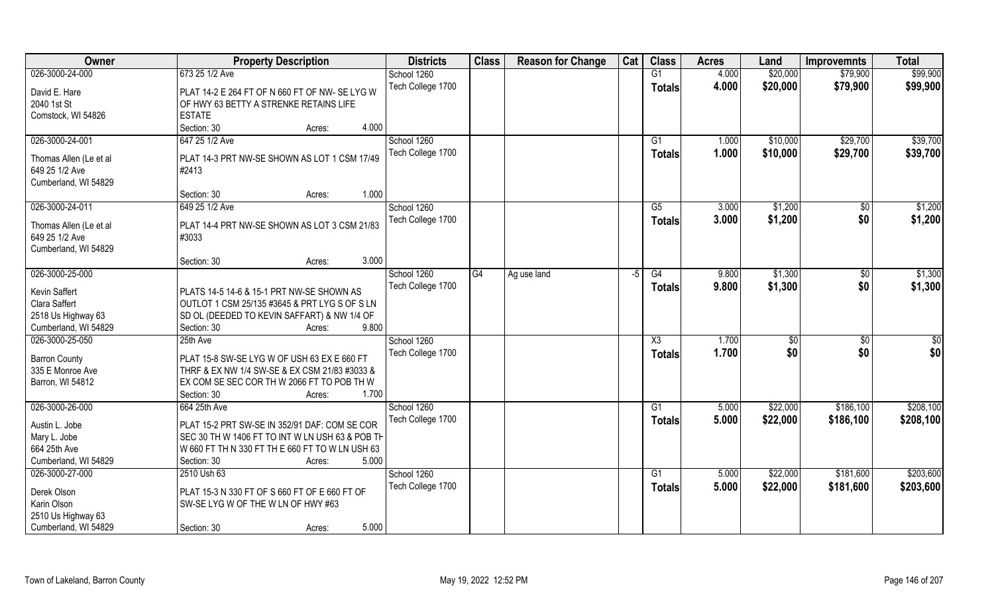| Owner                      | <b>Property Description</b>                     | <b>Districts</b>  | <b>Class</b> | <b>Reason for Change</b> | Cat | <b>Class</b>  | <b>Acres</b> | Land         | <b>Improvemnts</b> | <b>Total</b>    |
|----------------------------|-------------------------------------------------|-------------------|--------------|--------------------------|-----|---------------|--------------|--------------|--------------------|-----------------|
| 026-3000-24-000            | 673 25 1/2 Ave                                  | School 1260       |              |                          |     | G1            | 4.000        | \$20,000     | \$79,900           | \$99,900        |
| David E. Hare              | PLAT 14-2 E 264 FT OF N 660 FT OF NW- SE LYG W  | Tech College 1700 |              |                          |     | <b>Totals</b> | 4.000        | \$20,000     | \$79,900           | \$99,900        |
| 2040 1st St                | OF HWY 63 BETTY A STRENKE RETAINS LIFE          |                   |              |                          |     |               |              |              |                    |                 |
| Comstock, WI 54826         | <b>ESTATE</b>                                   |                   |              |                          |     |               |              |              |                    |                 |
|                            | 4.000<br>Section: 30<br>Acres:                  |                   |              |                          |     |               |              |              |                    |                 |
| 026-3000-24-001            | 647 25 1/2 Ave                                  | School 1260       |              |                          |     | G1            | 1.000        | \$10,000     | \$29,700           | \$39,700        |
|                            |                                                 | Tech College 1700 |              |                          |     | <b>Totals</b> | 1.000        | \$10,000     | \$29,700           | \$39,700        |
| Thomas Allen (Le et al     | PLAT 14-3 PRT NW-SE SHOWN AS LOT 1 CSM 17/49    |                   |              |                          |     |               |              |              |                    |                 |
| 649 25 1/2 Ave             | #2413                                           |                   |              |                          |     |               |              |              |                    |                 |
| Cumberland, WI 54829       |                                                 |                   |              |                          |     |               |              |              |                    |                 |
|                            | Section: 30<br>1.000<br>Acres:                  |                   |              |                          |     |               |              |              |                    |                 |
| 026-3000-24-011            | 649 25 1/2 Ave                                  | School 1260       |              |                          |     | G5            | 3.000        | \$1,200      | \$0                | \$1,200         |
| Thomas Allen (Le et al     | PLAT 14-4 PRT NW-SE SHOWN AS LOT 3 CSM 21/83    | Tech College 1700 |              |                          |     | <b>Totals</b> | 3.000        | \$1,200      | \$0                | \$1,200         |
| 649 25 1/2 Ave             | #3033                                           |                   |              |                          |     |               |              |              |                    |                 |
| Cumberland, WI 54829       |                                                 |                   |              |                          |     |               |              |              |                    |                 |
|                            | 3.000<br>Section: 30<br>Acres:                  |                   |              |                          |     |               |              |              |                    |                 |
| 026-3000-25-000            |                                                 | School 1260       | G4           | Ag use land              | -5  | G4            | 9.800        | \$1,300      | \$0                | \$1,300         |
| Kevin Saffert              | PLATS 14-5 14-6 & 15-1 PRT NW-SE SHOWN AS       | Tech College 1700 |              |                          |     | <b>Totals</b> | 9.800        | \$1,300      | \$0                | \$1,300         |
| Clara Saffert              | OUTLOT 1 CSM 25/135 #3645 & PRT LYG S OF S LN   |                   |              |                          |     |               |              |              |                    |                 |
| 2518 Us Highway 63         | SD OL (DEEDED TO KEVIN SAFFART) & NW 1/4 OF     |                   |              |                          |     |               |              |              |                    |                 |
| Cumberland, WI 54829       | 9.800<br>Section: 30<br>Acres:                  |                   |              |                          |     |               |              |              |                    |                 |
| 026-3000-25-050            | 25th Ave                                        | School 1260       |              |                          |     | X3            | 1.700        | $\sqrt[6]{}$ | \$0                | $\overline{50}$ |
|                            |                                                 | Tech College 1700 |              |                          |     | <b>Totals</b> | 1.700        | \$0          | \$0                | \$0             |
| <b>Barron County</b>       | PLAT 15-8 SW-SE LYG W OF USH 63 EX E 660 FT     |                   |              |                          |     |               |              |              |                    |                 |
| 335 E Monroe Ave           | THRF & EX NW 1/4 SW-SE & EX CSM 21/83 #3033 &   |                   |              |                          |     |               |              |              |                    |                 |
| Barron, WI 54812           | EX COM SE SEC COR TH W 2066 FT TO POB TH W      |                   |              |                          |     |               |              |              |                    |                 |
|                            | Section: 30<br>1.700<br>Acres:                  |                   |              |                          |     |               |              |              |                    |                 |
| 026-3000-26-000            | 664 25th Ave                                    | School 1260       |              |                          |     | G1            | 5.000        | \$22,000     | \$186,100          | \$208,100       |
| Austin L. Jobe             | PLAT 15-2 PRT SW-SE IN 352/91 DAF: COM SE COR   | Tech College 1700 |              |                          |     | <b>Totals</b> | 5.000        | \$22,000     | \$186,100          | \$208,100       |
| Mary L. Jobe               | SEC 30 TH W 1406 FT TO INT W LN USH 63 & POB TH |                   |              |                          |     |               |              |              |                    |                 |
| 664 25th Ave               | W 660 FT TH N 330 FT TH E 660 FT TO W LN USH 63 |                   |              |                          |     |               |              |              |                    |                 |
| Cumberland, WI 54829       | 5.000<br>Section: 30<br>Acres:                  |                   |              |                          |     |               |              |              |                    |                 |
| 026-3000-27-000            | 2510 Ush 63                                     | School 1260       |              |                          |     | G1            | 5.000        | \$22,000     | \$181,600          | \$203,600       |
|                            |                                                 | Tech College 1700 |              |                          |     | <b>Totals</b> | 5.000        | \$22,000     | \$181,600          | \$203,600       |
| Derek Olson<br>Karin Olson | PLAT 15-3 N 330 FT OF S 660 FT OF E 660 FT OF   |                   |              |                          |     |               |              |              |                    |                 |
|                            | SW-SE LYG W OF THE W LN OF HWY #63              |                   |              |                          |     |               |              |              |                    |                 |
| 2510 Us Highway 63         | 5.000                                           |                   |              |                          |     |               |              |              |                    |                 |
| Cumberland, WI 54829       | Section: 30<br>Acres:                           |                   |              |                          |     |               |              |              |                    |                 |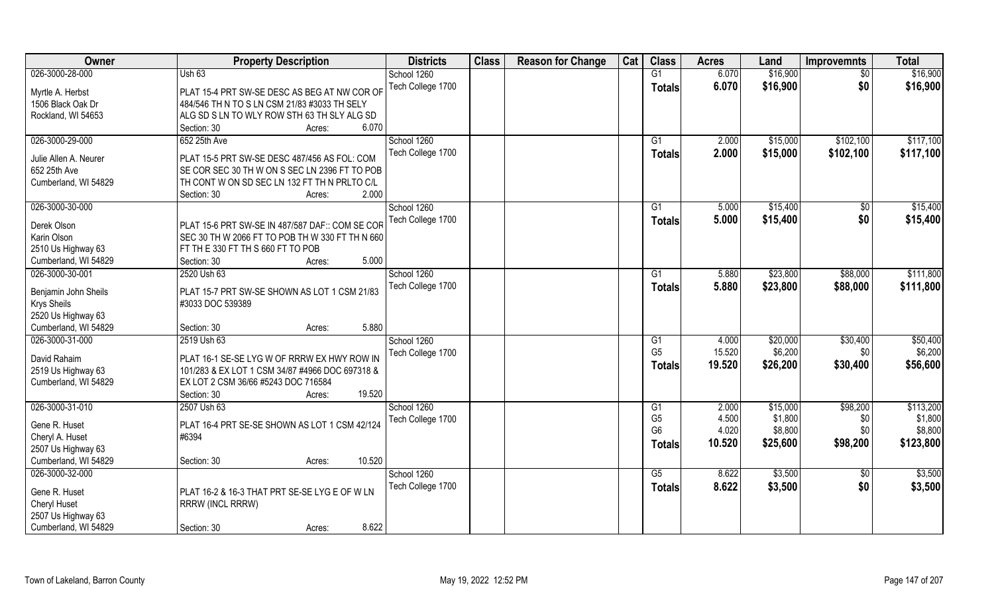| Owner                 | <b>Property Description</b>                     | <b>Districts</b>  | <b>Class</b> | <b>Reason for Change</b> | Cat | <b>Class</b>   | <b>Acres</b> | Land     | <b>Improvemnts</b> | <b>Total</b> |
|-----------------------|-------------------------------------------------|-------------------|--------------|--------------------------|-----|----------------|--------------|----------|--------------------|--------------|
| 026-3000-28-000       | Ush 63                                          | School 1260       |              |                          |     | G1             | 6.070        | \$16,900 | $\overline{50}$    | \$16,900     |
| Myrtle A. Herbst      | PLAT 15-4 PRT SW-SE DESC AS BEG AT NW COR OF    | Tech College 1700 |              |                          |     | <b>Totals</b>  | 6.070        | \$16,900 | \$0                | \$16,900     |
| 1506 Black Oak Dr     | 484/546 TH N TO S LN CSM 21/83 #3033 TH SELY    |                   |              |                          |     |                |              |          |                    |              |
| Rockland, WI 54653    | ALG SD S LN TO WLY ROW STH 63 TH SLY ALG SD     |                   |              |                          |     |                |              |          |                    |              |
|                       | 6.070<br>Section: 30<br>Acres:                  |                   |              |                          |     |                |              |          |                    |              |
| 026-3000-29-000       | 652 25th Ave                                    | School 1260       |              |                          |     | G1             | 2.000        | \$15,000 | \$102,100          | \$117,100    |
|                       |                                                 | Tech College 1700 |              |                          |     | <b>Totals</b>  | 2.000        | \$15,000 | \$102,100          | \$117,100    |
| Julie Allen A. Neurer | PLAT 15-5 PRT SW-SE DESC 487/456 AS FOL: COM    |                   |              |                          |     |                |              |          |                    |              |
| 652 25th Ave          | SE COR SEC 30 TH W ON S SEC LN 2396 FT TO POB   |                   |              |                          |     |                |              |          |                    |              |
| Cumberland, WI 54829  | TH CONT W ON SD SEC LN 132 FT TH N PRLTO C/L    |                   |              |                          |     |                |              |          |                    |              |
|                       | 2.000<br>Section: 30<br>Acres:                  |                   |              |                          |     |                |              |          |                    |              |
| 026-3000-30-000       |                                                 | School 1260       |              |                          |     | G1             | 5.000        | \$15,400 | \$0                | \$15,400     |
| Derek Olson           | PLAT 15-6 PRT SW-SE IN 487/587 DAF:: COM SE COR | Tech College 1700 |              |                          |     | <b>Totals</b>  | 5.000        | \$15,400 | \$0                | \$15,400     |
| Karin Olson           | SEC 30 TH W 2066 FT TO POB TH W 330 FT TH N 660 |                   |              |                          |     |                |              |          |                    |              |
| 2510 Us Highway 63    | FT TH E 330 FT TH S 660 FT TO POB               |                   |              |                          |     |                |              |          |                    |              |
| Cumberland, WI 54829  | 5.000<br>Section: 30<br>Acres:                  |                   |              |                          |     |                |              |          |                    |              |
| 026-3000-30-001       | 2520 Ush 63                                     | School 1260       |              |                          |     | G <sub>1</sub> | 5.880        | \$23,800 | \$88,000           | \$111,800    |
|                       |                                                 | Tech College 1700 |              |                          |     | Totals         | 5.880        | \$23,800 | \$88,000           | \$111,800    |
| Benjamin John Sheils  | PLAT 15-7 PRT SW-SE SHOWN AS LOT 1 CSM 21/83    |                   |              |                          |     |                |              |          |                    |              |
| Krys Sheils           | #3033 DOC 539389                                |                   |              |                          |     |                |              |          |                    |              |
| 2520 Us Highway 63    |                                                 |                   |              |                          |     |                |              |          |                    |              |
| Cumberland, WI 54829  | 5.880<br>Section: 30<br>Acres:                  |                   |              |                          |     |                |              |          |                    |              |
| 026-3000-31-000       | 2519 Ush 63                                     | School 1260       |              |                          |     | G1             | 4.000        | \$20,000 | \$30,400           | \$50,400     |
| David Rahaim          | PLAT 16-1 SE-SE LYG W OF RRRW EX HWY ROW IN     | Tech College 1700 |              |                          |     | G <sub>5</sub> | 15.520       | \$6,200  | \$0                | \$6,200      |
| 2519 Us Highway 63    | 101/283 & EX LOT 1 CSM 34/87 #4966 DOC 697318 & |                   |              |                          |     | Totals         | 19.520       | \$26,200 | \$30,400           | \$56,600     |
| Cumberland, WI 54829  | EX LOT 2 CSM 36/66 #5243 DOC 716584             |                   |              |                          |     |                |              |          |                    |              |
|                       | 19.520<br>Section: 30<br>Acres:                 |                   |              |                          |     |                |              |          |                    |              |
| 026-3000-31-010       | 2507 Ush 63                                     | School 1260       |              |                          |     | G1             | 2.000        | \$15,000 | \$98,200           | \$113,200    |
|                       |                                                 | Tech College 1700 |              |                          |     | G <sub>5</sub> | 4.500        | \$1,800  | \$0                | \$1,800      |
| Gene R. Huset         | PLAT 16-4 PRT SE-SE SHOWN AS LOT 1 CSM 42/124   |                   |              |                          |     | G <sub>6</sub> | 4.020        | \$8,800  | \$0                | \$8,800      |
| Cheryl A. Huset       | #6394                                           |                   |              |                          |     | <b>Totals</b>  | 10.520       | \$25,600 | \$98,200           | \$123,800    |
| 2507 Us Highway 63    |                                                 |                   |              |                          |     |                |              |          |                    |              |
| Cumberland, WI 54829  | 10.520<br>Section: 30<br>Acres:                 |                   |              |                          |     |                |              |          |                    |              |
| 026-3000-32-000       |                                                 | School 1260       |              |                          |     | G5             | 8.622        | \$3,500  | $\overline{50}$    | \$3,500      |
| Gene R. Huset         | PLAT 16-2 & 16-3 THAT PRT SE-SE LYG E OF W LN   | Tech College 1700 |              |                          |     | <b>Totals</b>  | 8.622        | \$3,500  | \$0                | \$3,500      |
| Cheryl Huset          | RRRW (INCL RRRW)                                |                   |              |                          |     |                |              |          |                    |              |
| 2507 Us Highway 63    |                                                 |                   |              |                          |     |                |              |          |                    |              |
| Cumberland, WI 54829  | 8.622<br>Section: 30<br>Acres:                  |                   |              |                          |     |                |              |          |                    |              |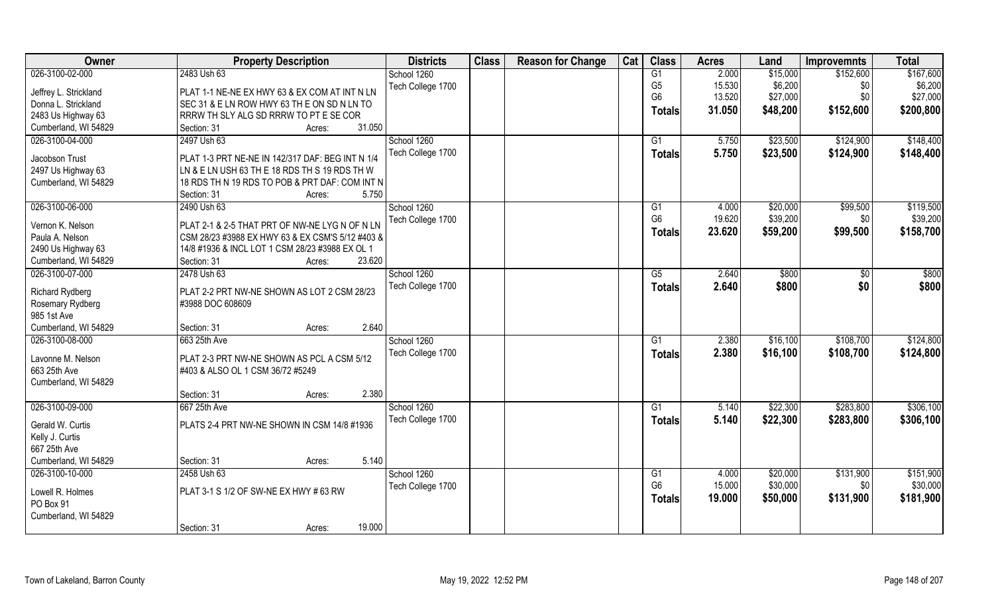| Owner                                | <b>Property Description</b>                      | <b>Districts</b>  | <b>Class</b> | <b>Reason for Change</b> | Cat | <b>Class</b>         | <b>Acres</b>    | Land                 | <b>Improvemnts</b> | <b>Total</b>          |
|--------------------------------------|--------------------------------------------------|-------------------|--------------|--------------------------|-----|----------------------|-----------------|----------------------|--------------------|-----------------------|
| 026-3100-02-000                      | 2483 Ush 63                                      | School 1260       |              |                          |     | G1                   | 2.000           | \$15,000             | \$152,600          | \$167,600             |
| Jeffrey L. Strickland                | PLAT 1-1 NE-NE EX HWY 63 & EX COM AT INT N LN    | Tech College 1700 |              |                          |     | G <sub>5</sub>       | 15.530          | \$6,200              | \$0                | \$6,200               |
| Donna L. Strickland                  | SEC 31 & E LN ROW HWY 63 TH E ON SD N LN TO      |                   |              |                          |     | G <sub>6</sub>       | 13.520          | \$27,000             | \$0                | \$27,000              |
| 2483 Us Highway 63                   | RRRW TH SLY ALG SD RRRW TO PT E SE COR           |                   |              |                          |     | <b>Totals</b>        | 31.050          | \$48,200             | \$152,600          | \$200,800             |
| Cumberland, WI 54829                 | 31.050<br>Section: 31<br>Acres:                  |                   |              |                          |     |                      |                 |                      |                    |                       |
| 026-3100-04-000                      | 2497 Ush 63                                      | School 1260       |              |                          |     | G1                   | 5.750           | \$23,500             | \$124,900          | \$148,400             |
|                                      |                                                  | Tech College 1700 |              |                          |     | <b>Totals</b>        | 5.750           | \$23,500             | \$124,900          | \$148,400             |
| Jacobson Trust                       | PLAT 1-3 PRT NE-NE IN 142/317 DAF: BEG INT N 1/4 |                   |              |                          |     |                      |                 |                      |                    |                       |
| 2497 Us Highway 63                   | LN & E LN USH 63 TH E 18 RDS TH S 19 RDS TH W    |                   |              |                          |     |                      |                 |                      |                    |                       |
| Cumberland, WI 54829                 | 18 RDS TH N 19 RDS TO POB & PRT DAF: COM INT N   |                   |              |                          |     |                      |                 |                      |                    |                       |
|                                      | 5.750<br>Section: 31<br>Acres:                   |                   |              |                          |     |                      |                 |                      |                    |                       |
| 026-3100-06-000                      | 2490 Ush 63                                      | School 1260       |              |                          |     | G1                   | 4.000           | \$20,000             | \$99,500           | \$119,500             |
| Vernon K. Nelson                     | PLAT 2-1 & 2-5 THAT PRT OF NW-NE LYG N OF N LN   | Tech College 1700 |              |                          |     | G <sub>6</sub>       | 19.620          | \$39,200             | \$0                | \$39,200              |
| Paula A. Nelson                      | CSM 28/23 #3988 EX HWY 63 & EX CSM'S 5/12 #403 & |                   |              |                          |     | Totals               | 23.620          | \$59,200             | \$99,500           | \$158,700             |
| 2490 Us Highway 63                   | 14/8 #1936 & INCL LOT 1 CSM 28/23 #3988 EX OL 1  |                   |              |                          |     |                      |                 |                      |                    |                       |
| Cumberland, WI 54829                 | 23.620<br>Section: 31<br>Acres:                  |                   |              |                          |     |                      |                 |                      |                    |                       |
| 026-3100-07-000                      | 2478 Ush 63                                      | School 1260       |              |                          |     | G5                   | 2.640           | \$800                | \$0                | \$800                 |
|                                      |                                                  | Tech College 1700 |              |                          |     | <b>Totals</b>        | 2.640           | \$800                | \$0                | \$800                 |
| <b>Richard Rydberg</b>               | PLAT 2-2 PRT NW-NE SHOWN AS LOT 2 CSM 28/23      |                   |              |                          |     |                      |                 |                      |                    |                       |
| Rosemary Rydberg                     | #3988 DOC 608609                                 |                   |              |                          |     |                      |                 |                      |                    |                       |
| 985 1st Ave                          |                                                  |                   |              |                          |     |                      |                 |                      |                    |                       |
| Cumberland, WI 54829                 | 2.640<br>Section: 31<br>Acres:                   |                   |              |                          |     |                      |                 |                      |                    |                       |
| 026-3100-08-000                      | 663 25th Ave                                     | School 1260       |              |                          |     | G1                   | 2.380           | \$16,100             | \$108,700          | \$124,800             |
| Lavonne M. Nelson                    | PLAT 2-3 PRT NW-NE SHOWN AS PCL A CSM 5/12       | Tech College 1700 |              |                          |     | <b>Totals</b>        | 2.380           | \$16,100             | \$108,700          | \$124,800             |
| 663 25th Ave                         | #403 & ALSO OL 1 CSM 36/72 #5249                 |                   |              |                          |     |                      |                 |                      |                    |                       |
| Cumberland, WI 54829                 |                                                  |                   |              |                          |     |                      |                 |                      |                    |                       |
|                                      | 2.380<br>Section: 31<br>Acres:                   |                   |              |                          |     |                      |                 |                      |                    |                       |
| 026-3100-09-000                      | 667 25th Ave                                     | School 1260       |              |                          |     | G1                   | 5.140           | \$22,300             | \$283,800          | \$306,100             |
|                                      |                                                  | Tech College 1700 |              |                          |     | <b>Totals</b>        | 5.140           | \$22,300             | \$283,800          | \$306,100             |
| Gerald W. Curtis                     | PLATS 2-4 PRT NW-NE SHOWN IN CSM 14/8 #1936      |                   |              |                          |     |                      |                 |                      |                    |                       |
| Kelly J. Curtis                      |                                                  |                   |              |                          |     |                      |                 |                      |                    |                       |
| 667 25th Ave<br>Cumberland, WI 54829 | 5.140                                            |                   |              |                          |     |                      |                 |                      |                    |                       |
|                                      | Section: 31<br>Acres:                            |                   |              |                          |     |                      |                 |                      |                    |                       |
| 026-3100-10-000                      | 2458 Ush 63                                      | School 1260       |              |                          |     | G1<br>G <sub>6</sub> | 4.000<br>15.000 | \$20,000<br>\$30,000 | \$131,900          | \$151,900<br>\$30,000 |
| Lowell R. Holmes                     | PLAT 3-1 S 1/2 OF SW-NE EX HWY # 63 RW           | Tech College 1700 |              |                          |     |                      |                 |                      | \$0                |                       |
| PO Box 91                            |                                                  |                   |              |                          |     | <b>Totals</b>        | 19.000          | \$50,000             | \$131,900          | \$181,900             |
| Cumberland, WI 54829                 |                                                  |                   |              |                          |     |                      |                 |                      |                    |                       |
|                                      | 19.000<br>Section: 31<br>Acres:                  |                   |              |                          |     |                      |                 |                      |                    |                       |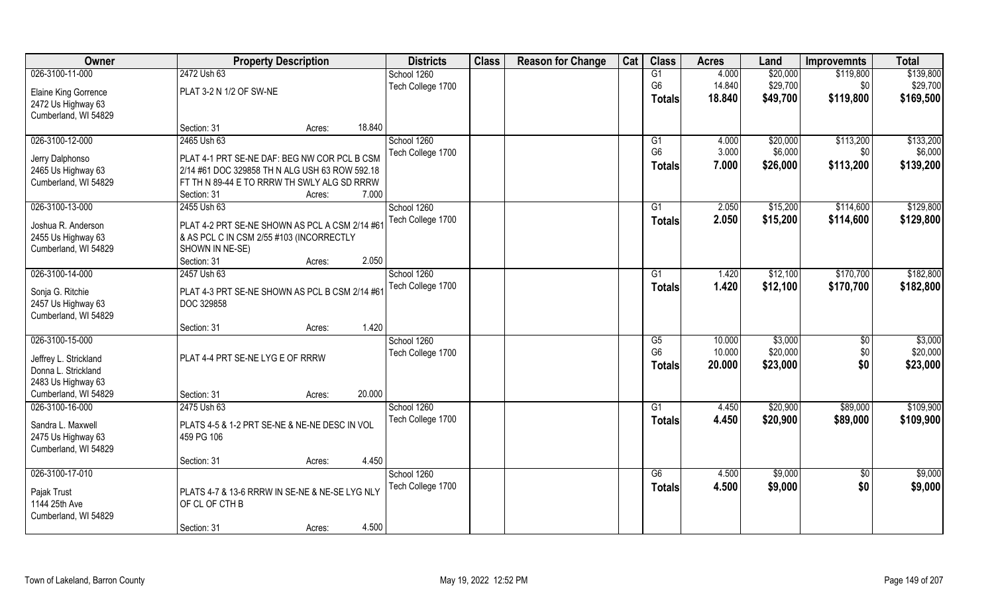| Owner                       |                                                | <b>Property Description</b> |        | <b>Districts</b>  | <b>Class</b> | <b>Reason for Change</b> | Cat | <b>Class</b>           | <b>Acres</b> | Land     | <b>Improvemnts</b> | <b>Total</b> |
|-----------------------------|------------------------------------------------|-----------------------------|--------|-------------------|--------------|--------------------------|-----|------------------------|--------------|----------|--------------------|--------------|
| 026-3100-11-000             | 2472 Ush 63                                    |                             |        | School 1260       |              |                          |     | G1                     | 4.000        | \$20,000 | \$119,800          | \$139,800    |
| <b>Elaine King Gorrence</b> | PLAT 3-2 N 1/2 OF SW-NE                        |                             |        | Tech College 1700 |              |                          |     | G <sub>6</sub>         | 14.840       | \$29,700 | \$0                | \$29,700     |
| 2472 Us Highway 63          |                                                |                             |        |                   |              |                          |     | <b>Totals</b>          | 18.840       | \$49,700 | \$119,800          | \$169,500    |
| Cumberland, WI 54829        |                                                |                             |        |                   |              |                          |     |                        |              |          |                    |              |
|                             | Section: 31                                    | Acres:                      | 18.840 |                   |              |                          |     |                        |              |          |                    |              |
| 026-3100-12-000             | 2465 Ush 63                                    |                             |        | School 1260       |              |                          |     | G1                     | 4.000        | \$20,000 | \$113,200          | \$133,200    |
| Jerry Dalphonso             | PLAT 4-1 PRT SE-NE DAF: BEG NW COR PCL B CSM   |                             |        | Tech College 1700 |              |                          |     | G <sub>6</sub>         | 3.000        | \$6,000  | \$0                | \$6,000      |
| 2465 Us Highway 63          | 2/14 #61 DOC 329858 TH N ALG USH 63 ROW 592.18 |                             |        |                   |              |                          |     | Totals                 | 7.000        | \$26,000 | \$113,200          | \$139,200    |
| Cumberland, WI 54829        | FT TH N 89-44 E TO RRRW TH SWLY ALG SD RRRW    |                             |        |                   |              |                          |     |                        |              |          |                    |              |
|                             | Section: 31                                    | Acres:                      | 7.000  |                   |              |                          |     |                        |              |          |                    |              |
| 026-3100-13-000             | 2455 Ush 63                                    |                             |        | School 1260       |              |                          |     | G1                     | 2.050        | \$15,200 | \$114,600          | \$129,800    |
| Joshua R. Anderson          | PLAT 4-2 PRT SE-NE SHOWN AS PCL A CSM 2/14 #61 |                             |        | Tech College 1700 |              |                          |     | <b>Totals</b>          | 2.050        | \$15,200 | \$114,600          | \$129,800    |
| 2455 Us Highway 63          | & AS PCL C IN CSM 2/55 #103 (INCORRECTLY       |                             |        |                   |              |                          |     |                        |              |          |                    |              |
| Cumberland, WI 54829        | SHOWN IN NE-SE)                                |                             |        |                   |              |                          |     |                        |              |          |                    |              |
|                             | Section: 31                                    | Acres:                      | 2.050  |                   |              |                          |     |                        |              |          |                    |              |
| 026-3100-14-000             | 2457 Ush 63                                    |                             |        | School 1260       |              |                          |     | G1                     | 1.420        | \$12,100 | \$170,700          | \$182,800    |
| Sonja G. Ritchie            | PLAT 4-3 PRT SE-NE SHOWN AS PCL B CSM 2/14 #61 |                             |        | Tech College 1700 |              |                          |     | <b>Totals</b>          | 1.420        | \$12,100 | \$170,700          | \$182,800    |
| 2457 Us Highway 63          | DOC 329858                                     |                             |        |                   |              |                          |     |                        |              |          |                    |              |
| Cumberland, WI 54829        |                                                |                             |        |                   |              |                          |     |                        |              |          |                    |              |
|                             | Section: 31                                    | Acres:                      | 1.420  |                   |              |                          |     |                        |              |          |                    |              |
| 026-3100-15-000             |                                                |                             |        | School 1260       |              |                          |     | $\overline{\text{G5}}$ | 10.000       | \$3,000  | $\sqrt[6]{}$       | \$3,000      |
| Jeffrey L. Strickland       | PLAT 4-4 PRT SE-NE LYG E OF RRRW               |                             |        | Tech College 1700 |              |                          |     | G <sub>6</sub>         | 10.000       | \$20,000 | \$0                | \$20,000     |
| Donna L. Strickland         |                                                |                             |        |                   |              |                          |     | Totals                 | 20.000       | \$23,000 | \$0                | \$23,000     |
| 2483 Us Highway 63          |                                                |                             |        |                   |              |                          |     |                        |              |          |                    |              |
| Cumberland, WI 54829        | Section: 31                                    | Acres:                      | 20.000 |                   |              |                          |     |                        |              |          |                    |              |
| 026-3100-16-000             | 2475 Ush 63                                    |                             |        | School 1260       |              |                          |     | G1                     | 4.450        | \$20,900 | \$89,000           | \$109,900    |
| Sandra L. Maxwell           | PLATS 4-5 & 1-2 PRT SE-NE & NE-NE DESC IN VOL  |                             |        | Tech College 1700 |              |                          |     | <b>Totals</b>          | 4.450        | \$20,900 | \$89,000           | \$109,900    |
| 2475 Us Highway 63          | 459 PG 106                                     |                             |        |                   |              |                          |     |                        |              |          |                    |              |
| Cumberland, WI 54829        |                                                |                             |        |                   |              |                          |     |                        |              |          |                    |              |
|                             | Section: 31                                    | Acres:                      | 4.450  |                   |              |                          |     |                        |              |          |                    |              |
| 026-3100-17-010             |                                                |                             |        | School 1260       |              |                          |     | G6                     | 4.500        | \$9,000  | $\sqrt{6}$         | \$9,000      |
| Pajak Trust                 | PLATS 4-7 & 13-6 RRRW IN SE-NE & NE-SE LYG NLY |                             |        | Tech College 1700 |              |                          |     | Totals                 | 4.500        | \$9,000  | \$0                | \$9,000      |
| 1144 25th Ave               | OF CL OF CTH B                                 |                             |        |                   |              |                          |     |                        |              |          |                    |              |
| Cumberland, WI 54829        |                                                |                             |        |                   |              |                          |     |                        |              |          |                    |              |
|                             | Section: 31                                    | Acres:                      | 4.500  |                   |              |                          |     |                        |              |          |                    |              |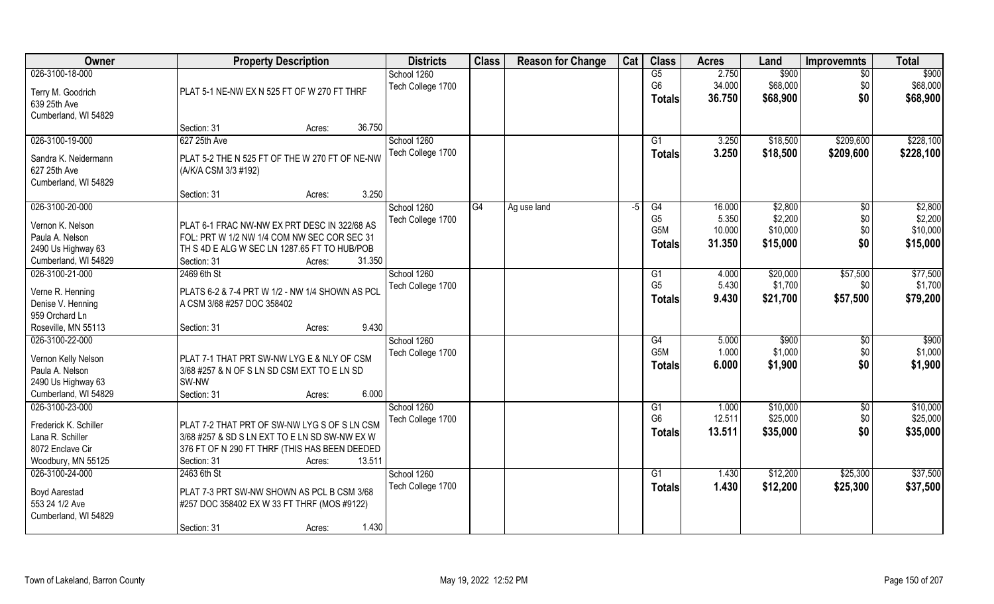| <b>Owner</b>                          | <b>Property Description</b>                     | <b>Districts</b>  | <b>Class</b> | <b>Reason for Change</b> | Cat | <b>Class</b>     | <b>Acres</b> | Land     | <b>Improvemnts</b> | <b>Total</b>      |
|---------------------------------------|-------------------------------------------------|-------------------|--------------|--------------------------|-----|------------------|--------------|----------|--------------------|-------------------|
| 026-3100-18-000                       |                                                 | School 1260       |              |                          |     | $\overline{G5}$  | 2.750        | \$900    | $\sqrt{$0}$        | \$900             |
| Terry M. Goodrich                     | PLAT 5-1 NE-NW EX N 525 FT OF W 270 FT THRF     | Tech College 1700 |              |                          |     | G <sub>6</sub>   | 34.000       | \$68,000 | \$0                | \$68,000          |
| 639 25th Ave                          |                                                 |                   |              |                          |     | <b>Totals</b>    | 36.750       | \$68,900 | \$0                | \$68,900          |
| Cumberland, WI 54829                  |                                                 |                   |              |                          |     |                  |              |          |                    |                   |
|                                       | 36.750<br>Section: 31<br>Acres:                 |                   |              |                          |     |                  |              |          |                    |                   |
| 026-3100-19-000                       | 627 25th Ave                                    | School 1260       |              |                          |     | G1               | 3.250        | \$18,500 | \$209,600          | \$228,100         |
| Sandra K. Neidermann                  | PLAT 5-2 THE N 525 FT OF THE W 270 FT OF NE-NW  | Tech College 1700 |              |                          |     | <b>Totals</b>    | 3.250        | \$18,500 | \$209,600          | \$228,100         |
| 627 25th Ave                          | (A/K/A CSM 3/3 #192)                            |                   |              |                          |     |                  |              |          |                    |                   |
| Cumberland, WI 54829                  |                                                 |                   |              |                          |     |                  |              |          |                    |                   |
|                                       | Section: 31<br>3.250<br>Acres:                  |                   |              |                          |     |                  |              |          |                    |                   |
| 026-3100-20-000                       |                                                 | School 1260       | G4           | Ag use land              | -5  | G4               | 16.000       | \$2,800  | $\sqrt[6]{30}$     | \$2,800           |
| Vernon K. Nelson                      | PLAT 6-1 FRAC NW-NW EX PRT DESC IN 322/68 AS    | Tech College 1700 |              |                          |     | G <sub>5</sub>   | 5.350        | \$2,200  | \$0                | \$2,200           |
| Paula A. Nelson                       | FOL: PRT W 1/2 NW 1/4 COM NW SEC COR SEC 31     |                   |              |                          |     | G <sub>5</sub> M | 10.000       | \$10,000 | \$0                | \$10,000          |
| 2490 Us Highway 63                    | TH S 4D E ALG W SEC LN 1287.65 FT TO HUB/POB    |                   |              |                          |     | <b>Totals</b>    | 31.350       | \$15,000 | \$0                | \$15,000          |
| Cumberland, WI 54829                  | 31.350<br>Section: 31<br>Acres:                 |                   |              |                          |     |                  |              |          |                    |                   |
| 026-3100-21-000                       | 2469 6th St                                     | School 1260       |              |                          |     | G1               | 4.000        | \$20,000 | \$57,500           | \$77,500          |
|                                       |                                                 | Tech College 1700 |              |                          |     | G <sub>5</sub>   | 5.430        | \$1,700  | \$0                | \$1,700           |
| Verne R. Henning                      | PLATS 6-2 & 7-4 PRT W 1/2 - NW 1/4 SHOWN AS PCL |                   |              |                          |     | <b>Totals</b>    | 9.430        | \$21,700 | \$57,500           | \$79,200          |
| Denise V. Henning                     | A CSM 3/68 #257 DOC 358402                      |                   |              |                          |     |                  |              |          |                    |                   |
| 959 Orchard Ln<br>Roseville, MN 55113 | 9.430<br>Section: 31                            |                   |              |                          |     |                  |              |          |                    |                   |
| 026-3100-22-000                       | Acres:                                          | School 1260       |              |                          |     | G4               | 5.000        | \$900    | $\sqrt[6]{30}$     | $\overline{$900}$ |
|                                       |                                                 | Tech College 1700 |              |                          |     | G <sub>5</sub> M | 1.000        | \$1,000  | \$0                | \$1,000           |
| Vernon Kelly Nelson                   | PLAT 7-1 THAT PRT SW-NW LYG E & NLY OF CSM      |                   |              |                          |     | Totals           | 6.000        | \$1,900  | \$0                | \$1,900           |
| Paula A. Nelson                       | 3/68 #257 & N OF S LN SD CSM EXT TO E LN SD     |                   |              |                          |     |                  |              |          |                    |                   |
| 2490 Us Highway 63                    | SW-NW                                           |                   |              |                          |     |                  |              |          |                    |                   |
| Cumberland, WI 54829                  | 6.000<br>Section: 31<br>Acres:                  |                   |              |                          |     |                  |              |          |                    |                   |
| 026-3100-23-000                       |                                                 | School 1260       |              |                          |     | G1               | 1.000        | \$10,000 | $\sqrt{$0}$        | \$10,000          |
| Frederick K. Schiller                 | PLAT 7-2 THAT PRT OF SW-NW LYG S OF S LN CSM    | Tech College 1700 |              |                          |     | G <sub>6</sub>   | 12.511       | \$25,000 | \$0                | \$25,000          |
| Lana R. Schiller                      | 3/68 #257 & SD S LN EXT TO E LN SD SW-NW EX W   |                   |              |                          |     | <b>Totals</b>    | 13.511       | \$35,000 | \$0                | \$35,000          |
| 8072 Enclave Cir                      | 376 FT OF N 290 FT THRF (THIS HAS BEEN DEEDED   |                   |              |                          |     |                  |              |          |                    |                   |
| Woodbury, MN 55125                    | 13.511<br>Section: 31<br>Acres:                 |                   |              |                          |     |                  |              |          |                    |                   |
| 026-3100-24-000                       | 2463 6th St                                     | School 1260       |              |                          |     | G1               | 1.430        | \$12,200 | \$25,300           | \$37,500          |
| <b>Boyd Aarestad</b>                  | PLAT 7-3 PRT SW-NW SHOWN AS PCL B CSM 3/68      | Tech College 1700 |              |                          |     | Totals           | 1.430        | \$12,200 | \$25,300           | \$37,500          |
| 553 24 1/2 Ave                        | #257 DOC 358402 EX W 33 FT THRF (MOS #9122)     |                   |              |                          |     |                  |              |          |                    |                   |
| Cumberland, WI 54829                  |                                                 |                   |              |                          |     |                  |              |          |                    |                   |
|                                       | 1.430<br>Section: 31<br>Acres:                  |                   |              |                          |     |                  |              |          |                    |                   |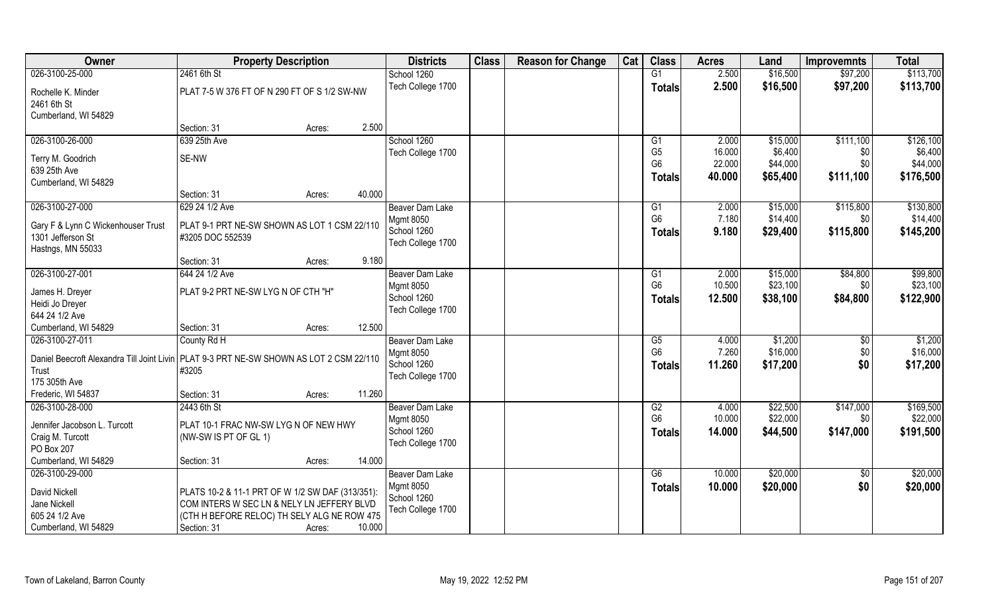| Owner                                   | <b>Property Description</b>                                                               |        | <b>Districts</b>                | <b>Class</b> | <b>Reason for Change</b> | Cat | <b>Class</b>                             | <b>Acres</b>     | Land                | <b>Improvemnts</b> | <b>Total</b>        |
|-----------------------------------------|-------------------------------------------------------------------------------------------|--------|---------------------------------|--------------|--------------------------|-----|------------------------------------------|------------------|---------------------|--------------------|---------------------|
| 026-3100-25-000                         | 2461 6th St                                                                               |        | School 1260                     |              |                          |     | G1                                       | 2.500            | \$16,500            | \$97,200           | \$113,700           |
| Rochelle K. Minder                      | PLAT 7-5 W 376 FT OF N 290 FT OF S 1/2 SW-NW                                              |        | Tech College 1700               |              |                          |     | <b>Totals</b>                            | 2.500            | \$16,500            | \$97,200           | \$113,700           |
| 2461 6th St                             |                                                                                           |        |                                 |              |                          |     |                                          |                  |                     |                    |                     |
| Cumberland, WI 54829                    |                                                                                           | 2.500  |                                 |              |                          |     |                                          |                  |                     |                    |                     |
|                                         | Section: 31<br>Acres:                                                                     |        |                                 |              |                          |     |                                          |                  |                     |                    |                     |
| 026-3100-26-000                         | 639 25th Ave                                                                              |        | School 1260                     |              |                          |     | G1                                       | 2.000            | \$15,000            | \$111,100          | \$126,100           |
| Terry M. Goodrich                       | SE-NW                                                                                     |        | Tech College 1700               |              |                          |     | G <sub>5</sub><br>G <sub>6</sub>         | 16.000<br>22.000 | \$6,400<br>\$44,000 | \$0<br>\$0         | \$6,400<br>\$44,000 |
| 639 25th Ave                            |                                                                                           |        |                                 |              |                          |     |                                          | 40.000           |                     |                    |                     |
| Cumberland, WI 54829                    |                                                                                           |        |                                 |              |                          |     | <b>Totals</b>                            |                  | \$65,400            | \$111,100          | \$176,500           |
|                                         | Section: 31<br>Acres:                                                                     | 40.000 |                                 |              |                          |     |                                          |                  |                     |                    |                     |
| 026-3100-27-000                         | 629 24 1/2 Ave                                                                            |        | Beaver Dam Lake                 |              |                          |     | G1                                       | 2.000            | \$15,000            | \$115,800          | \$130,800           |
| Gary F & Lynn C Wickenhouser Trust      | PLAT 9-1 PRT NE-SW SHOWN AS LOT 1 CSM 22/110                                              |        | <b>Mgmt 8050</b>                |              |                          |     | G <sub>6</sub>                           | 7.180            | \$14,400            | \$0                | \$14,400            |
| 1301 Jefferson St                       | #3205 DOC 552539                                                                          |        | School 1260                     |              |                          |     | <b>Totals</b>                            | 9.180            | \$29,400            | \$115,800          | \$145,200           |
| Hastngs, MN 55033                       |                                                                                           |        | Tech College 1700               |              |                          |     |                                          |                  |                     |                    |                     |
|                                         | Section: 31<br>Acres:                                                                     | 9.180  |                                 |              |                          |     |                                          |                  |                     |                    |                     |
| 026-3100-27-001                         | 644 24 1/2 Ave                                                                            |        | Beaver Dam Lake                 |              |                          |     | G1                                       | 2.000            | \$15,000            | \$84,800           | \$99,800            |
|                                         |                                                                                           |        | <b>Mgmt 8050</b>                |              |                          |     | G <sub>6</sub>                           | 10.500           | \$23,100            | \$0                | \$23,100            |
| James H. Dreyer                         | PLAT 9-2 PRT NE-SW LYG N OF CTH "H"                                                       |        | School 1260                     |              |                          |     | <b>Totals</b>                            | 12.500           | \$38,100            | \$84,800           | \$122,900           |
| Heidi Jo Dreyer                         |                                                                                           |        | Tech College 1700               |              |                          |     |                                          |                  |                     |                    |                     |
| 644 24 1/2 Ave                          |                                                                                           |        |                                 |              |                          |     |                                          |                  |                     |                    |                     |
| Cumberland, WI 54829<br>026-3100-27-011 | Section: 31<br>Acres:                                                                     | 12.500 |                                 |              |                          |     |                                          | 4.000            |                     |                    | \$1,200             |
|                                         | County Rd H                                                                               |        | Beaver Dam Lake                 |              |                          |     | $\overline{\text{G5}}$<br>G <sub>6</sub> | 7.260            | \$1,200<br>\$16,000 | \$0                | \$16,000            |
|                                         | Daniel Beecroft Alexandra Till Joint Livin   PLAT 9-3 PRT NE-SW SHOWN AS LOT 2 CSM 22/110 |        | <b>Mgmt 8050</b><br>School 1260 |              |                          |     |                                          |                  |                     | \$0                |                     |
| Trust                                   | #3205                                                                                     |        | Tech College 1700               |              |                          |     | <b>Totals</b>                            | 11.260           | \$17,200            | \$0                | \$17,200            |
| 175 305th Ave                           |                                                                                           |        |                                 |              |                          |     |                                          |                  |                     |                    |                     |
| Frederic, WI 54837                      | Section: 31<br>Acres:                                                                     | 11.260 |                                 |              |                          |     |                                          |                  |                     |                    |                     |
| 026-3100-28-000                         | 2443 6th St                                                                               |        | <b>Beaver Dam Lake</b>          |              |                          |     | G2                                       | 4.000            | \$22,500            | \$147,000          | \$169,500           |
| Jennifer Jacobson L. Turcott            | PLAT 10-1 FRAC NW-SW LYG N OF NEW HWY                                                     |        | <b>Mgmt 8050</b>                |              |                          |     | G <sub>6</sub>                           | 10.000           | \$22,000            | \$0                | \$22,000            |
| Craig M. Turcott                        | (NW-SW IS PT OF GL 1)                                                                     |        | School 1260                     |              |                          |     | <b>Totals</b>                            | 14.000           | \$44,500            | \$147,000          | \$191,500           |
| PO Box 207                              |                                                                                           |        | Tech College 1700               |              |                          |     |                                          |                  |                     |                    |                     |
| Cumberland, WI 54829                    | Section: 31<br>Acres:                                                                     | 14.000 |                                 |              |                          |     |                                          |                  |                     |                    |                     |
| 026-3100-29-000                         |                                                                                           |        | <b>Beaver Dam Lake</b>          |              |                          |     | G6                                       | 10.000           | \$20,000            | $\sqrt{$0}$        | \$20,000            |
|                                         |                                                                                           |        | <b>Mgmt 8050</b>                |              |                          |     | <b>Totals</b>                            | 10.000           | \$20,000            | \$0                | \$20,000            |
| David Nickell                           | PLATS 10-2 & 11-1 PRT OF W 1/2 SW DAF (313/351):                                          |        | School 1260                     |              |                          |     |                                          |                  |                     |                    |                     |
| Jane Nickell<br>605 24 1/2 Ave          | COM INTERS W SEC LN & NELY LN JEFFERY BLVD<br>(CTH H BEFORE RELOC) TH SELY ALG NE ROW 475 |        | Tech College 1700               |              |                          |     |                                          |                  |                     |                    |                     |
| Cumberland, WI 54829                    | Section: 31<br>Acres:                                                                     | 10.000 |                                 |              |                          |     |                                          |                  |                     |                    |                     |
|                                         |                                                                                           |        |                                 |              |                          |     |                                          |                  |                     |                    |                     |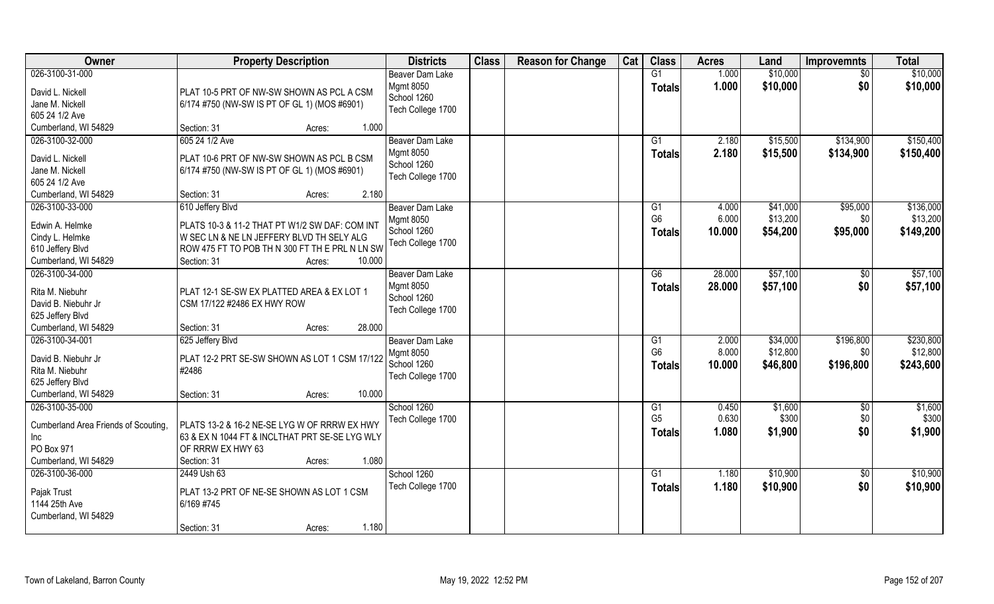| Owner                                   | <b>Property Description</b>                    | <b>Districts</b>                 | <b>Class</b> | <b>Reason for Change</b> | Cat | <b>Class</b>         | <b>Acres</b>   | Land             | <b>Improvemnts</b> | <b>Total</b>     |
|-----------------------------------------|------------------------------------------------|----------------------------------|--------------|--------------------------|-----|----------------------|----------------|------------------|--------------------|------------------|
| 026-3100-31-000                         |                                                | <b>Beaver Dam Lake</b>           |              |                          |     | G1                   | 1.000          | \$10,000         | $\overline{50}$    | \$10,000         |
| David L. Nickell                        | PLAT 10-5 PRT OF NW-SW SHOWN AS PCL A CSM      | <b>Mgmt 8050</b>                 |              |                          |     | <b>Totals</b>        | 1.000          | \$10,000         | \$0                | \$10,000         |
| Jane M. Nickell                         | 6/174 #750 (NW-SW IS PT OF GL 1) (MOS #6901)   | School 1260                      |              |                          |     |                      |                |                  |                    |                  |
| 605 24 1/2 Ave                          |                                                | Tech College 1700                |              |                          |     |                      |                |                  |                    |                  |
| Cumberland, WI 54829                    | Section: 31<br>1.000<br>Acres:                 |                                  |              |                          |     |                      |                |                  |                    |                  |
| 026-3100-32-000                         | 605 24 1/2 Ave                                 | <b>Beaver Dam Lake</b>           |              |                          |     | G1                   | 2.180          | \$15,500         | \$134,900          | \$150,400        |
| David L. Nickell                        | PLAT 10-6 PRT OF NW-SW SHOWN AS PCL B CSM      | <b>Mgmt 8050</b>                 |              |                          |     | <b>Totals</b>        | 2.180          | \$15,500         | \$134,900          | \$150,400        |
| Jane M. Nickell                         | 6/174 #750 (NW-SW IS PT OF GL 1) (MOS #6901)   | School 1260                      |              |                          |     |                      |                |                  |                    |                  |
| 605 24 1/2 Ave                          |                                                | Tech College 1700                |              |                          |     |                      |                |                  |                    |                  |
| Cumberland, WI 54829                    | 2.180<br>Section: 31<br>Acres:                 |                                  |              |                          |     |                      |                |                  |                    |                  |
| 026-3100-33-000                         | 610 Jeffery Blvd                               | Beaver Dam Lake                  |              |                          |     | G1                   | 4.000          | \$41,000         | \$95,000           | \$136,000        |
| Edwin A. Helmke                         | PLATS 10-3 & 11-2 THAT PT W1/2 SW DAF: COM INT | <b>Mgmt 8050</b>                 |              |                          |     | G <sub>6</sub>       | 6.000          | \$13,200         | \$0                | \$13,200         |
| Cindy L. Helmke                         | W SEC LN & NE LN JEFFERY BLVD TH SELY ALG      | School 1260                      |              |                          |     | <b>Totals</b>        | 10.000         | \$54,200         | \$95,000           | \$149,200        |
| 610 Jeffery Blvd                        | ROW 475 FT TO POB TH N 300 FT TH E PRL N LN SW | Tech College 1700                |              |                          |     |                      |                |                  |                    |                  |
| Cumberland, WI 54829                    | Section: 31<br>10.000<br>Acres:                |                                  |              |                          |     |                      |                |                  |                    |                  |
| 026-3100-34-000                         |                                                | <b>Beaver Dam Lake</b>           |              |                          |     | G6                   | 28.000         | \$57,100         | \$0                | \$57,100         |
|                                         |                                                | <b>Mgmt 8050</b>                 |              |                          |     | Totals               | 28.000         | \$57,100         | \$0                | \$57,100         |
| Rita M. Niebuhr                         | PLAT 12-1 SE-SW EX PLATTED AREA & EX LOT 1     | School 1260                      |              |                          |     |                      |                |                  |                    |                  |
| David B. Niebuhr Jr<br>625 Jeffery Blvd | CSM 17/122 #2486 EX HWY ROW                    | Tech College 1700                |              |                          |     |                      |                |                  |                    |                  |
| Cumberland, WI 54829                    | 28.000<br>Section: 31<br>Acres:                |                                  |              |                          |     |                      |                |                  |                    |                  |
| 026-3100-34-001                         | 625 Jeffery Blvd                               | Beaver Dam Lake                  |              |                          |     | G1                   | 2.000          | \$34,000         | \$196,800          | \$230,800        |
|                                         |                                                | <b>Mgmt 8050</b>                 |              |                          |     | G <sub>6</sub>       | 8.000          | \$12,800         | \$0                | \$12,800         |
| David B. Niebuhr Jr                     | PLAT 12-2 PRT SE-SW SHOWN AS LOT 1 CSM 17/122  | School 1260                      |              |                          |     | <b>Totals</b>        | 10.000         | \$46,800         | \$196,800          | \$243,600        |
| Rita M. Niebuhr                         | #2486                                          | Tech College 1700                |              |                          |     |                      |                |                  |                    |                  |
| 625 Jeffery Blvd                        |                                                |                                  |              |                          |     |                      |                |                  |                    |                  |
| Cumberland, WI 54829                    | 10.000<br>Section: 31<br>Acres:                |                                  |              |                          |     |                      |                |                  |                    |                  |
| 026-3100-35-000                         |                                                | School 1260<br>Tech College 1700 |              |                          |     | G1<br>G <sub>5</sub> | 0.450<br>0.630 | \$1,600<br>\$300 | \$0<br>\$0         | \$1,600<br>\$300 |
| Cumberland Area Friends of Scouting,    | PLATS 13-2 & 16-2 NE-SE LYG W OF RRRW EX HWY   |                                  |              |                          |     |                      | 1.080          | \$1,900          | \$0                | \$1,900          |
| Inc                                     | 63 & EX N 1044 FT & INCLTHAT PRT SE-SE LYG WLY |                                  |              |                          |     | <b>Totals</b>        |                |                  |                    |                  |
| PO Box 971                              | OF RRRW EX HWY 63                              |                                  |              |                          |     |                      |                |                  |                    |                  |
| Cumberland, WI 54829                    | 1.080<br>Section: 31<br>Acres:                 |                                  |              |                          |     |                      |                |                  |                    |                  |
| 026-3100-36-000                         | 2449 Ush 63                                    | School 1260                      |              |                          |     | $\overline{G1}$      | 1.180          | \$10,900         | $\overline{60}$    | \$10,900         |
| Pajak Trust                             | PLAT 13-2 PRT OF NE-SE SHOWN AS LOT 1 CSM      | Tech College 1700                |              |                          |     | <b>Totals</b>        | 1.180          | \$10,900         | \$0                | \$10,900         |
| 1144 25th Ave                           | 6/169 #745                                     |                                  |              |                          |     |                      |                |                  |                    |                  |
| Cumberland, WI 54829                    |                                                |                                  |              |                          |     |                      |                |                  |                    |                  |
|                                         | 1.180<br>Section: 31<br>Acres:                 |                                  |              |                          |     |                      |                |                  |                    |                  |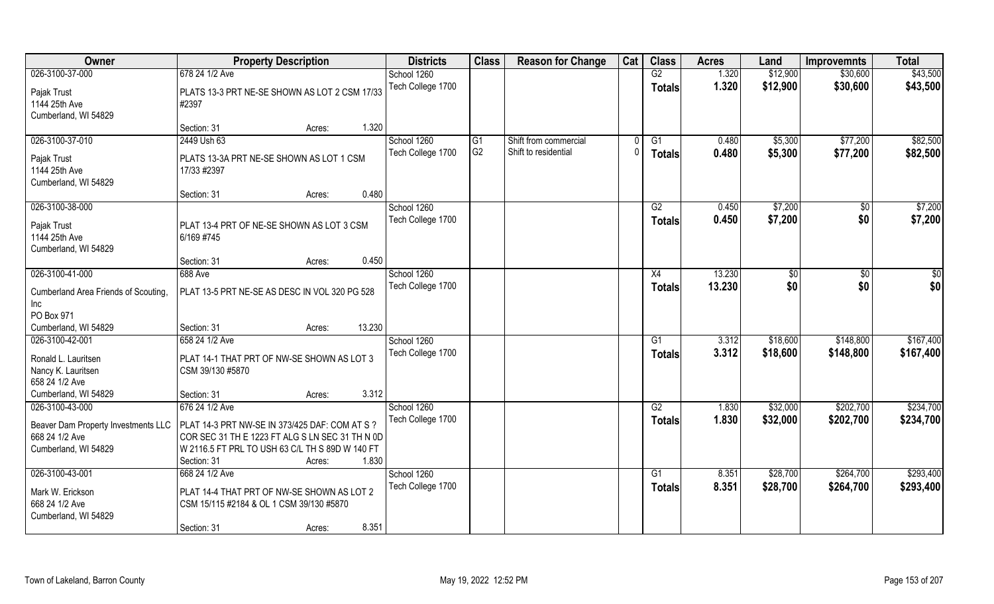| Owner                                                       | <b>Property Description</b>                                                                                                                                                                                                  | <b>Districts</b>  | <b>Class</b>   | <b>Reason for Change</b> | Cat | <b>Class</b>    | <b>Acres</b> | Land     | <b>Improvemnts</b> | <b>Total</b> |
|-------------------------------------------------------------|------------------------------------------------------------------------------------------------------------------------------------------------------------------------------------------------------------------------------|-------------------|----------------|--------------------------|-----|-----------------|--------------|----------|--------------------|--------------|
| 026-3100-37-000                                             | 678 24 1/2 Ave                                                                                                                                                                                                               | School 1260       |                |                          |     | G2              | 1.320        | \$12,900 | \$30,600           | \$43,500     |
| Pajak Trust<br>1144 25th Ave<br>Cumberland, WI 54829        | PLATS 13-3 PRT NE-SE SHOWN AS LOT 2 CSM 17/33<br>#2397                                                                                                                                                                       | Tech College 1700 |                |                          |     | <b>Totals</b>   | 1.320        | \$12,900 | \$30,600           | \$43,500     |
|                                                             | 1.320<br>Section: 31<br>Acres:                                                                                                                                                                                               |                   |                |                          |     |                 |              |          |                    |              |
| 026-3100-37-010                                             | 2449 Ush 63                                                                                                                                                                                                                  | School 1260       | G1             | Shift from commercial    |     | G1              | 0.480        | \$5,300  | \$77,200           | \$82,500     |
| Pajak Trust<br>1144 25th Ave<br>Cumberland, WI 54829        | PLATS 13-3A PRT NE-SE SHOWN AS LOT 1 CSM<br>17/33 #2397                                                                                                                                                                      | Tech College 1700 | G <sub>2</sub> | Shift to residential     |     | <b>Totals</b>   | 0.480        | \$5,300  | \$77,200           | \$82,500     |
|                                                             | 0.480<br>Section: 31<br>Acres:                                                                                                                                                                                               |                   |                |                          |     |                 |              |          |                    |              |
| 026-3100-38-000                                             |                                                                                                                                                                                                                              | School 1260       |                |                          |     | G2              | 0.450        | \$7,200  | \$0                | \$7,200      |
| Pajak Trust<br>1144 25th Ave<br>Cumberland, WI 54829        | PLAT 13-4 PRT OF NE-SE SHOWN AS LOT 3 CSM<br>6/169 #745                                                                                                                                                                      | Tech College 1700 |                |                          |     | <b>Totals</b>   | 0.450        | \$7,200  | \$0                | \$7,200      |
|                                                             | 0.450<br>Section: 31<br>Acres:                                                                                                                                                                                               |                   |                |                          |     |                 |              |          |                    |              |
| 026-3100-41-000                                             | <b>688 Ave</b>                                                                                                                                                                                                               | School 1260       |                |                          |     | X4              | 13.230       | \$0      | \$0                | \$0          |
| Cumberland Area Friends of Scouting,<br>Inc<br>PO Box 971   | PLAT 13-5 PRT NE-SE AS DESC IN VOL 320 PG 528                                                                                                                                                                                | Tech College 1700 |                |                          |     | <b>Totals</b>   | 13.230       | \$0      | \$0                | \$0          |
| Cumberland, WI 54829                                        | 13.230<br>Section: 31<br>Acres:                                                                                                                                                                                              |                   |                |                          |     |                 |              |          |                    |              |
| 026-3100-42-001                                             | 658 24 1/2 Ave                                                                                                                                                                                                               | School 1260       |                |                          |     | $\overline{G1}$ | 3.312        | \$18,600 | \$148,800          | \$167,400    |
| Ronald L. Lauritsen<br>Nancy K. Lauritsen<br>658 24 1/2 Ave | PLAT 14-1 THAT PRT OF NW-SE SHOWN AS LOT 3<br>CSM 39/130 #5870                                                                                                                                                               | Tech College 1700 |                |                          |     | Totals          | 3.312        | \$18,600 | \$148,800          | \$167,400    |
| Cumberland, WI 54829                                        | 3.312<br>Section: 31<br>Acres:                                                                                                                                                                                               |                   |                |                          |     |                 |              |          |                    |              |
| 026-3100-43-000                                             | 676 24 1/2 Ave                                                                                                                                                                                                               | School 1260       |                |                          |     | G2              | 1.830        | \$32,000 | \$202,700          | \$234,700    |
| 668 24 1/2 Ave<br>Cumberland, WI 54829                      | Beaver Dam Property Investments LLC   PLAT 14-3 PRT NW-SE IN 373/425 DAF: COM AT S ?<br>COR SEC 31 TH E 1223 FT ALG S LN SEC 31 TH N 0D<br>W 2116.5 FT PRL TO USH 63 C/L TH S 89D W 140 FT<br>1.830<br>Section: 31<br>Acres: | Tech College 1700 |                |                          |     | <b>Totals</b>   | 1.830        | \$32,000 | \$202,700          | \$234,700    |
| 026-3100-43-001                                             | 668 24 1/2 Ave                                                                                                                                                                                                               | School 1260       |                |                          |     | $\overline{G1}$ | 8.351        | \$28,700 | \$264,700          | \$293,400    |
| Mark W. Erickson<br>668 24 1/2 Ave<br>Cumberland, WI 54829  | PLAT 14-4 THAT PRT OF NW-SE SHOWN AS LOT 2<br>CSM 15/115 #2184 & OL 1 CSM 39/130 #5870                                                                                                                                       | Tech College 1700 |                |                          |     | Totals          | 8.351        | \$28,700 | \$264,700          | \$293,400    |
|                                                             | 8.351<br>Section: 31<br>Acres:                                                                                                                                                                                               |                   |                |                          |     |                 |              |          |                    |              |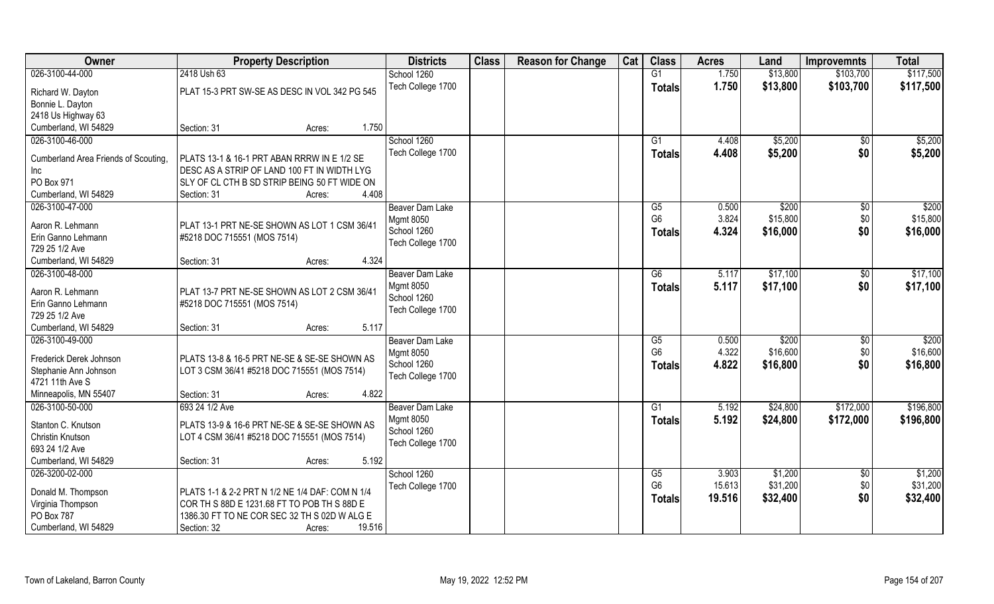| Owner<br><b>Property Description</b>                                                                                                      | <b>Class</b><br><b>Districts</b> | <b>Reason for Change</b><br>Cat | <b>Class</b>           | <b>Acres</b> | Land     | <b>Improvemnts</b> | <b>Total</b> |
|-------------------------------------------------------------------------------------------------------------------------------------------|----------------------------------|---------------------------------|------------------------|--------------|----------|--------------------|--------------|
| 026-3100-44-000<br>2418 Ush 63                                                                                                            | School 1260                      |                                 | G1                     | 1.750        | \$13,800 | \$103,700          | \$117,500    |
| PLAT 15-3 PRT SW-SE AS DESC IN VOL 342 PG 545<br>Richard W. Dayton                                                                        | Tech College 1700                |                                 | <b>Totals</b>          | 1.750        | \$13,800 | \$103,700          | \$117,500    |
| Bonnie L. Dayton                                                                                                                          |                                  |                                 |                        |              |          |                    |              |
| 2418 Us Highway 63                                                                                                                        |                                  |                                 |                        |              |          |                    |              |
| Cumberland, WI 54829<br>1.750<br>Section: 31<br>Acres:                                                                                    |                                  |                                 |                        |              |          |                    |              |
| 026-3100-46-000<br>School 1260                                                                                                            |                                  |                                 | $\overline{G1}$        | 4.408        | \$5,200  | $\overline{50}$    | \$5,200      |
| PLATS 13-1 & 16-1 PRT ABAN RRRW IN E 1/2 SE<br>Cumberland Area Friends of Scouting,                                                       | Tech College 1700                |                                 | <b>Totals</b>          | 4.408        | \$5,200  | \$0                | \$5,200      |
| DESC AS A STRIP OF LAND 100 FT IN WIDTH LYG<br>Inc                                                                                        |                                  |                                 |                        |              |          |                    |              |
| PO Box 971<br>SLY OF CL CTH B SD STRIP BEING 50 FT WIDE ON                                                                                |                                  |                                 |                        |              |          |                    |              |
| Cumberland, WI 54829<br>4.408<br>Section: 31<br>Acres:                                                                                    |                                  |                                 |                        |              |          |                    |              |
| 026-3100-47-000                                                                                                                           | Beaver Dam Lake                  |                                 | G5                     | 0.500        | \$200    | $\overline{50}$    | \$200        |
| <b>Mgmt 8050</b><br>Aaron R. Lehmann                                                                                                      |                                  |                                 | G <sub>6</sub>         | 3.824        | \$15,800 | \$0                | \$15,800     |
| PLAT 13-1 PRT NE-SE SHOWN AS LOT 1 CSM 36/41<br>School 1260<br>Erin Ganno Lehmann                                                         |                                  |                                 | <b>Totals</b>          | 4.324        | \$16,000 | \$0                | \$16,000     |
| #5218 DOC 715551 (MOS 7514)<br>729 25 1/2 Ave                                                                                             | Tech College 1700                |                                 |                        |              |          |                    |              |
| 4.324<br>Cumberland, WI 54829<br>Section: 31<br>Acres:                                                                                    |                                  |                                 |                        |              |          |                    |              |
| 026-3100-48-000                                                                                                                           | Beaver Dam Lake                  |                                 | $\overline{G6}$        | 5.117        | \$17,100 | $\sqrt[6]{30}$     | \$17,100     |
| <b>Mgmt 8050</b>                                                                                                                          |                                  |                                 | <b>Totals</b>          | 5.117        | \$17,100 | \$0                | \$17,100     |
| Aaron R. Lehmann<br>PLAT 13-7 PRT NE-SE SHOWN AS LOT 2 CSM 36/41<br>School 1260                                                           |                                  |                                 |                        |              |          |                    |              |
| Erin Ganno Lehmann<br>#5218 DOC 715551 (MOS 7514)                                                                                         | Tech College 1700                |                                 |                        |              |          |                    |              |
| 729 25 1/2 Ave                                                                                                                            |                                  |                                 |                        |              |          |                    |              |
| Cumberland, WI 54829<br>5.117<br>Section: 31<br>Acres:                                                                                    |                                  |                                 |                        |              |          |                    |              |
| 026-3100-49-000                                                                                                                           | Beaver Dam Lake                  |                                 | $\overline{\text{G5}}$ | 0.500        | \$200    | $\sqrt[6]{30}$     | \$200        |
| <b>Mgmt 8050</b><br>Frederick Derek Johnson<br>PLATS 13-8 & 16-5 PRT NE-SE & SE-SE SHOWN AS                                               |                                  |                                 | G <sub>6</sub>         | 4.322        | \$16,600 | \$0                | \$16,600     |
| School 1260<br>Stephanie Ann Johnson<br>LOT 3 CSM 36/41 #5218 DOC 715551 (MOS 7514)                                                       |                                  |                                 | Totals                 | 4.822        | \$16,800 | \$0                | \$16,800     |
| 4721 11th Ave S                                                                                                                           | Tech College 1700                |                                 |                        |              |          |                    |              |
| Minneapolis, MN 55407<br>4.822<br>Section: 31<br>Acres:                                                                                   |                                  |                                 |                        |              |          |                    |              |
| 026-3100-50-000<br>693 24 1/2 Ave                                                                                                         | <b>Beaver Dam Lake</b>           |                                 | G1                     | 5.192        | \$24,800 | \$172,000          | \$196,800    |
| <b>Mgmt 8050</b><br>Stanton C. Knutson<br>PLATS 13-9 & 16-6 PRT NE-SE & SE-SE SHOWN AS                                                    |                                  |                                 | <b>Totals</b>          | 5.192        | \$24,800 | \$172,000          | \$196,800    |
| School 1260<br>Christin Knutson<br>LOT 4 CSM 36/41 #5218 DOC 715551 (MOS 7514)                                                            |                                  |                                 |                        |              |          |                    |              |
| 693 24 1/2 Ave                                                                                                                            | Tech College 1700                |                                 |                        |              |          |                    |              |
| Cumberland, WI 54829<br>5.192<br>Section: 31<br>Acres:                                                                                    |                                  |                                 |                        |              |          |                    |              |
| 026-3200-02-000                                                                                                                           | School 1260                      |                                 | G5                     | 3.903        | \$1,200  | \$0                | \$1,200      |
|                                                                                                                                           | Tech College 1700                |                                 | G <sub>6</sub>         | 15.613       | \$31,200 | \$0                | \$31,200     |
| PLATS 1-1 & 2-2 PRT N 1/2 NE 1/4 DAF: COM N 1/4<br>Donald M. Thompson<br>Virginia Thompson<br>COR TH S 88D E 1231.68 FT TO POB TH S 88D E |                                  |                                 | <b>Totals</b>          | 19.516       | \$32,400 | \$0                | \$32,400     |
| PO Box 787<br>1386.30 FT TO NE COR SEC 32 TH S 02D W ALG E                                                                                |                                  |                                 |                        |              |          |                    |              |
| Cumberland, WI 54829<br>19.516<br>Section: 32<br>Acres:                                                                                   |                                  |                                 |                        |              |          |                    |              |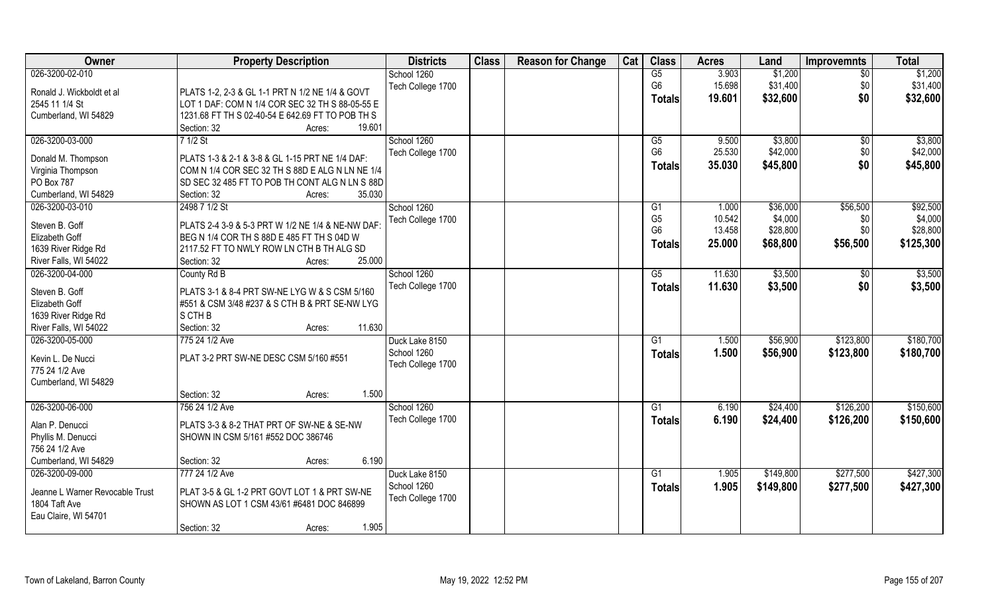| Owner                                   | <b>Property Description</b>                       | <b>Districts</b>  | <b>Class</b> | <b>Reason for Change</b> | Cat | <b>Class</b>   | <b>Acres</b> | Land      | <b>Improvemnts</b> | <b>Total</b> |
|-----------------------------------------|---------------------------------------------------|-------------------|--------------|--------------------------|-----|----------------|--------------|-----------|--------------------|--------------|
| 026-3200-02-010                         |                                                   | School 1260       |              |                          |     | G5             | 3.903        | \$1,200   | $\overline{50}$    | \$1,200      |
| Ronald J. Wickboldt et al               | PLATS 1-2, 2-3 & GL 1-1 PRT N 1/2 NE 1/4 & GOVT   | Tech College 1700 |              |                          |     | G <sub>6</sub> | 15.698       | \$31,400  | \$0                | \$31,400     |
| 2545 11 1/4 St                          | LOT 1 DAF: COM N 1/4 COR SEC 32 TH S 88-05-55 E   |                   |              |                          |     | <b>Totals</b>  | 19.601       | \$32,600  | \$0                | \$32,600     |
| Cumberland, WI 54829                    | 1231.68 FT TH S 02-40-54 E 642.69 FT TO POB TH S  |                   |              |                          |     |                |              |           |                    |              |
|                                         | 19.601<br>Section: 32<br>Acres:                   |                   |              |                          |     |                |              |           |                    |              |
| 026-3200-03-000                         | 7 1/2 St                                          | School 1260       |              |                          |     | G5             | 9.500        | \$3,800   | $\overline{50}$    | \$3,800      |
|                                         | PLATS 1-3 & 2-1 & 3-8 & GL 1-15 PRT NE 1/4 DAF:   | Tech College 1700 |              |                          |     | G <sub>6</sub> | 25.530       | \$42,000  | \$0                | \$42,000     |
| Donald M. Thompson<br>Virginia Thompson | COM N 1/4 COR SEC 32 TH S 88D E ALG N LN NE 1/4   |                   |              |                          |     | <b>Totals</b>  | 35.030       | \$45,800  | \$0                | \$45,800     |
| PO Box 787                              | SD SEC 32 485 FT TO POB TH CONT ALG N LN S 88D    |                   |              |                          |     |                |              |           |                    |              |
| Cumberland, WI 54829                    | 35.030<br>Section: 32<br>Acres:                   |                   |              |                          |     |                |              |           |                    |              |
| 026-3200-03-010                         | 2498 7 1/2 St                                     | School 1260       |              |                          |     | G1             | 1.000        | \$36,000  | \$56,500           | \$92,500     |
|                                         |                                                   | Tech College 1700 |              |                          |     | G <sub>5</sub> | 10.542       | \$4,000   | \$0                | \$4,000      |
| Steven B. Goff                          | PLATS 2-4 3-9 & 5-3 PRT W 1/2 NE 1/4 & NE-NW DAF: |                   |              |                          |     | G <sub>6</sub> | 13.458       | \$28,800  | \$0                | \$28,800     |
| Elizabeth Goff                          | BEG N 1/4 COR TH S 88D E 485 FT TH S 04D W        |                   |              |                          |     | <b>Totals</b>  | 25,000       | \$68,800  | \$56,500           | \$125,300    |
| 1639 River Ridge Rd                     | 2117.52 FT TO NWLY ROW LN CTH B TH ALG SD         |                   |              |                          |     |                |              |           |                    |              |
| River Falls, WI 54022                   | 25.000<br>Section: 32<br>Acres:                   |                   |              |                          |     |                |              |           |                    |              |
| 026-3200-04-000                         | County Rd B                                       | School 1260       |              |                          |     | G5             | 11.630       | \$3,500   | $\sqrt[6]{3}$      | \$3,500      |
| Steven B. Goff                          | PLATS 3-1 & 8-4 PRT SW-NE LYG W & S CSM 5/160     | Tech College 1700 |              |                          |     | <b>Totals</b>  | 11.630       | \$3,500   | \$0                | \$3,500      |
| Elizabeth Goff                          | #551 & CSM 3/48 #237 & S CTH B & PRT SE-NW LYG    |                   |              |                          |     |                |              |           |                    |              |
| 1639 River Ridge Rd                     | <b>SCTHB</b>                                      |                   |              |                          |     |                |              |           |                    |              |
| River Falls, WI 54022                   | 11.630<br>Section: 32<br>Acres:                   |                   |              |                          |     |                |              |           |                    |              |
| 026-3200-05-000                         | 775 24 1/2 Ave                                    | Duck Lake 8150    |              |                          |     | G1             | 1.500        | \$56,900  | \$123,800          | \$180,700    |
| Kevin L. De Nucci                       | PLAT 3-2 PRT SW-NE DESC CSM 5/160 #551            | School 1260       |              |                          |     | <b>Totals</b>  | 1.500        | \$56,900  | \$123,800          | \$180,700    |
| 775 24 1/2 Ave                          |                                                   | Tech College 1700 |              |                          |     |                |              |           |                    |              |
| Cumberland, WI 54829                    |                                                   |                   |              |                          |     |                |              |           |                    |              |
|                                         | 1.500<br>Section: 32<br>Acres:                    |                   |              |                          |     |                |              |           |                    |              |
| 026-3200-06-000                         | 756 24 1/2 Ave                                    | School 1260       |              |                          |     | G1             | 6.190        | \$24,400  | \$126,200          | \$150,600    |
|                                         |                                                   | Tech College 1700 |              |                          |     | <b>Totals</b>  | 6.190        | \$24,400  | \$126,200          | \$150,600    |
| Alan P. Denucci                         | PLATS 3-3 & 8-2 THAT PRT OF SW-NE & SE-NW         |                   |              |                          |     |                |              |           |                    |              |
| Phyllis M. Denucci<br>756 24 1/2 Ave    | SHOWN IN CSM 5/161 #552 DOC 386746                |                   |              |                          |     |                |              |           |                    |              |
| Cumberland, WI 54829                    | 6.190<br>Section: 32                              |                   |              |                          |     |                |              |           |                    |              |
| 026-3200-09-000                         | Acres:<br>777 24 1/2 Ave                          | Duck Lake 8150    |              |                          |     | G1             | 1.905        | \$149,800 | \$277,500          | \$427,300    |
|                                         |                                                   | School 1260       |              |                          |     |                | 1.905        | \$149,800 | \$277,500          | \$427,300    |
| Jeanne L Warner Revocable Trust         | PLAT 3-5 & GL 1-2 PRT GOVT LOT 1 & PRT SW-NE      | Tech College 1700 |              |                          |     | <b>Totals</b>  |              |           |                    |              |
| 1804 Taft Ave                           | SHOWN AS LOT 1 CSM 43/61 #6481 DOC 846899         |                   |              |                          |     |                |              |           |                    |              |
| Eau Claire, WI 54701                    |                                                   |                   |              |                          |     |                |              |           |                    |              |
|                                         | 1.905<br>Section: 32<br>Acres:                    |                   |              |                          |     |                |              |           |                    |              |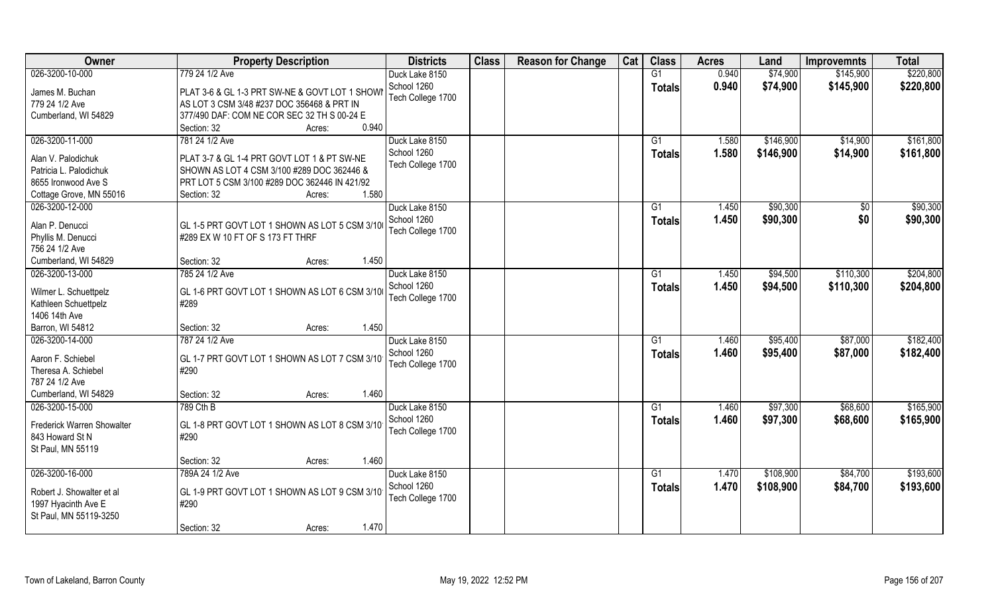| Owner                      | <b>Property Description</b>                    | <b>Districts</b>  | <b>Class</b> | <b>Reason for Change</b> | Cat | <b>Class</b>  | <b>Acres</b> | Land      | <b>Improvemnts</b> | <b>Total</b> |
|----------------------------|------------------------------------------------|-------------------|--------------|--------------------------|-----|---------------|--------------|-----------|--------------------|--------------|
| 026-3200-10-000            | 779 24 1/2 Ave                                 | Duck Lake 8150    |              |                          |     | G1            | 0.940        | \$74,900  | \$145,900          | \$220,800    |
| James M. Buchan            | PLAT 3-6 & GL 1-3 PRT SW-NE & GOVT LOT 1 SHOWI | School 1260       |              |                          |     | <b>Totals</b> | 0.940        | \$74,900  | \$145,900          | \$220,800    |
| 779 24 1/2 Ave             | AS LOT 3 CSM 3/48 #237 DOC 356468 & PRT IN     | Tech College 1700 |              |                          |     |               |              |           |                    |              |
| Cumberland, WI 54829       | 377/490 DAF: COM NE COR SEC 32 TH S 00-24 E    |                   |              |                          |     |               |              |           |                    |              |
|                            | 0.940<br>Section: 32<br>Acres:                 |                   |              |                          |     |               |              |           |                    |              |
| 026-3200-11-000            | 781 24 1/2 Ave                                 | Duck Lake 8150    |              |                          |     | G1            | 1.580        | \$146,900 | \$14,900           | \$161,800    |
|                            |                                                | School 1260       |              |                          |     | Totals        | 1.580        | \$146,900 | \$14,900           | \$161,800    |
| Alan V. Palodichuk         | PLAT 3-7 & GL 1-4 PRT GOVT LOT 1 & PT SW-NE    | Tech College 1700 |              |                          |     |               |              |           |                    |              |
| Patricia L. Palodichuk     | SHOWN AS LOT 4 CSM 3/100 #289 DOC 362446 &     |                   |              |                          |     |               |              |           |                    |              |
| 8655 Ironwood Ave S        | PRT LOT 5 CSM 3/100 #289 DOC 362446 IN 421/92  |                   |              |                          |     |               |              |           |                    |              |
| Cottage Grove, MN 55016    | 1.580<br>Section: 32<br>Acres:                 |                   |              |                          |     |               |              |           |                    |              |
| 026-3200-12-000            |                                                | Duck Lake 8150    |              |                          |     | G1            | 1.450        | \$90,300  | \$0                | \$90,300     |
| Alan P. Denucci            | GL 1-5 PRT GOVT LOT 1 SHOWN AS LOT 5 CSM 3/10  | School 1260       |              |                          |     | <b>Totals</b> | 1.450        | \$90,300  | \$0                | \$90,300     |
| Phyllis M. Denucci         | #289 EX W 10 FT OF S 173 FT THRF               | Tech College 1700 |              |                          |     |               |              |           |                    |              |
| 756 24 1/2 Ave             |                                                |                   |              |                          |     |               |              |           |                    |              |
| Cumberland, WI 54829       | 1.450<br>Section: 32<br>Acres:                 |                   |              |                          |     |               |              |           |                    |              |
| 026-3200-13-000            | 785 24 1/2 Ave                                 | Duck Lake 8150    |              |                          |     | G1            | 1.450        | \$94,500  | \$110,300          | \$204,800    |
|                            |                                                | School 1260       |              |                          |     | <b>Totals</b> | 1.450        | \$94,500  | \$110,300          | \$204,800    |
| Wilmer L. Schuettpelz      | GL 1-6 PRT GOVT LOT 1 SHOWN AS LOT 6 CSM 3/10  | Tech College 1700 |              |                          |     |               |              |           |                    |              |
| Kathleen Schuettpelz       | #289                                           |                   |              |                          |     |               |              |           |                    |              |
| 1406 14th Ave              |                                                |                   |              |                          |     |               |              |           |                    |              |
| Barron, WI 54812           | 1.450<br>Section: 32<br>Acres:                 |                   |              |                          |     |               |              |           |                    |              |
| 026-3200-14-000            | 787 24 1/2 Ave                                 | Duck Lake 8150    |              |                          |     | G1            | 1.460        | \$95,400  | \$87,000           | \$182,400    |
| Aaron F. Schiebel          | GL 1-7 PRT GOVT LOT 1 SHOWN AS LOT 7 CSM 3/10  | School 1260       |              |                          |     | <b>Totals</b> | 1.460        | \$95,400  | \$87,000           | \$182,400    |
| Theresa A. Schiebel        | #290                                           | Tech College 1700 |              |                          |     |               |              |           |                    |              |
| 787 24 1/2 Ave             |                                                |                   |              |                          |     |               |              |           |                    |              |
| Cumberland, WI 54829       | 1.460<br>Section: 32<br>Acres:                 |                   |              |                          |     |               |              |           |                    |              |
| 026-3200-15-000            | 789 Cth B                                      | Duck Lake 8150    |              |                          |     | G1            | 1.460        | \$97,300  | \$68,600           | \$165,900    |
| Frederick Warren Showalter | GL 1-8 PRT GOVT LOT 1 SHOWN AS LOT 8 CSM 3/10  | School 1260       |              |                          |     | <b>Totals</b> | 1.460        | \$97,300  | \$68,600           | \$165,900    |
| 843 Howard St N            | #290                                           | Tech College 1700 |              |                          |     |               |              |           |                    |              |
| St Paul, MN 55119          |                                                |                   |              |                          |     |               |              |           |                    |              |
|                            | 1.460<br>Section: 32                           |                   |              |                          |     |               |              |           |                    |              |
| 026-3200-16-000            | Acres:<br>789A 24 1/2 Ave                      | Duck Lake 8150    |              |                          |     | G1            | 1.470        | \$108,900 | \$84,700           | \$193,600    |
|                            |                                                | School 1260       |              |                          |     |               |              |           |                    |              |
| Robert J. Showalter et al  | GL 1-9 PRT GOVT LOT 1 SHOWN AS LOT 9 CSM 3/10  | Tech College 1700 |              |                          |     | Totals        | 1.470        | \$108,900 | \$84,700           | \$193,600    |
| 1997 Hyacinth Ave E        | #290                                           |                   |              |                          |     |               |              |           |                    |              |
| St Paul, MN 55119-3250     |                                                |                   |              |                          |     |               |              |           |                    |              |
|                            | 1.470<br>Section: 32<br>Acres:                 |                   |              |                          |     |               |              |           |                    |              |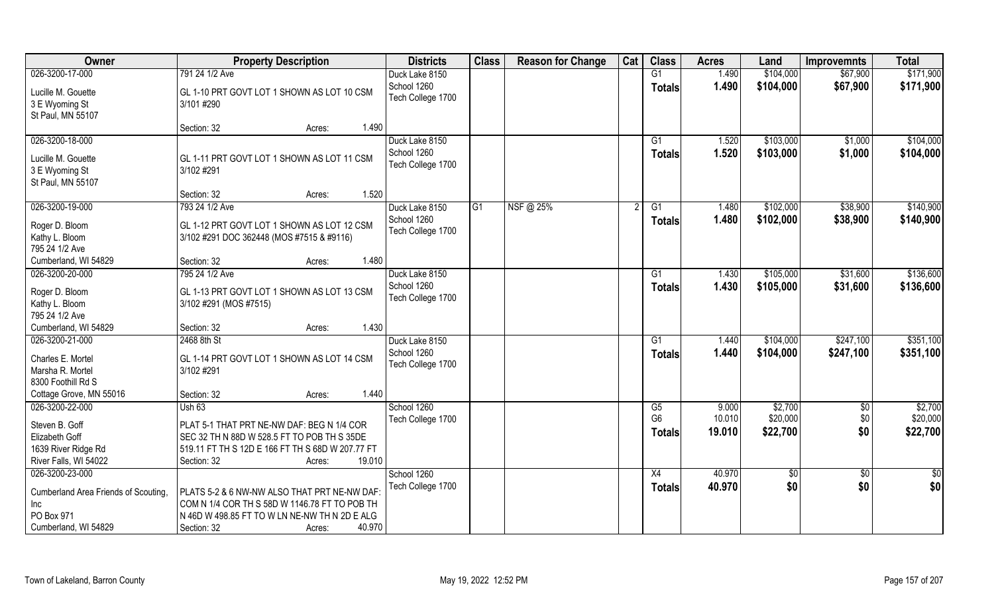| Owner                                | <b>Property Description</b>                      | <b>Districts</b>  | <b>Class</b>   | <b>Reason for Change</b> | Cat | <b>Class</b>    | <b>Acres</b> | Land      | <b>Improvemnts</b> | <b>Total</b>  |
|--------------------------------------|--------------------------------------------------|-------------------|----------------|--------------------------|-----|-----------------|--------------|-----------|--------------------|---------------|
| 026-3200-17-000                      | 791 24 1/2 Ave                                   | Duck Lake 8150    |                |                          |     | G1              | 1.490        | \$104,000 | \$67,900           | \$171,900     |
| Lucille M. Gouette                   | GL 1-10 PRT GOVT LOT 1 SHOWN AS LOT 10 CSM       | School 1260       |                |                          |     | <b>Totals</b>   | 1.490        | \$104,000 | \$67,900           | \$171,900     |
| 3 E Wyoming St                       | 3/101#290                                        | Tech College 1700 |                |                          |     |                 |              |           |                    |               |
| St Paul, MN 55107                    |                                                  |                   |                |                          |     |                 |              |           |                    |               |
|                                      | 1.490<br>Section: 32<br>Acres:                   |                   |                |                          |     |                 |              |           |                    |               |
| 026-3200-18-000                      |                                                  | Duck Lake 8150    |                |                          |     | G1              | 1.520        | \$103,000 | \$1,000            | \$104,000     |
| Lucille M. Gouette                   | GL 1-11 PRT GOVT LOT 1 SHOWN AS LOT 11 CSM       | School 1260       |                |                          |     | Totals          | 1.520        | \$103,000 | \$1,000            | \$104,000     |
| 3 E Wyoming St                       | 3/102 #291                                       | Tech College 1700 |                |                          |     |                 |              |           |                    |               |
| St Paul, MN 55107                    |                                                  |                   |                |                          |     |                 |              |           |                    |               |
|                                      | 1.520<br>Section: 32<br>Acres:                   |                   |                |                          |     |                 |              |           |                    |               |
| 026-3200-19-000                      | 793 24 1/2 Ave                                   | Duck Lake 8150    | G <sub>1</sub> | NSF@ 25%                 |     | G1              | 1.480        | \$102,000 | \$38,900           | \$140,900     |
| Roger D. Bloom                       | GL 1-12 PRT GOVT LOT 1 SHOWN AS LOT 12 CSM       | School 1260       |                |                          |     | <b>Totals</b>   | 1.480        | \$102,000 | \$38,900           | \$140,900     |
| Kathy L. Bloom                       | 3/102 #291 DOC 362448 (MOS #7515 & #9116)        | Tech College 1700 |                |                          |     |                 |              |           |                    |               |
| 795 24 1/2 Ave                       |                                                  |                   |                |                          |     |                 |              |           |                    |               |
| Cumberland, WI 54829                 | 1.480<br>Section: 32<br>Acres:                   |                   |                |                          |     |                 |              |           |                    |               |
| 026-3200-20-000                      | 795 24 1/2 Ave                                   | Duck Lake 8150    |                |                          |     | G1              | 1.430        | \$105,000 | \$31,600           | \$136,600     |
| Roger D. Bloom                       | GL 1-13 PRT GOVT LOT 1 SHOWN AS LOT 13 CSM       | School 1260       |                |                          |     | <b>Totals</b>   | 1.430        | \$105,000 | \$31,600           | \$136,600     |
| Kathy L. Bloom                       | 3/102 #291 (MOS #7515)                           | Tech College 1700 |                |                          |     |                 |              |           |                    |               |
| 795 24 1/2 Ave                       |                                                  |                   |                |                          |     |                 |              |           |                    |               |
| Cumberland, WI 54829                 | 1.430<br>Section: 32<br>Acres:                   |                   |                |                          |     |                 |              |           |                    |               |
| 026-3200-21-000                      | 2468 8th St                                      | Duck Lake 8150    |                |                          |     | $\overline{G1}$ | 1.440        | \$104,000 | \$247,100          | \$351,100     |
| Charles E. Mortel                    | GL 1-14 PRT GOVT LOT 1 SHOWN AS LOT 14 CSM       | School 1260       |                |                          |     | Totals          | 1.440        | \$104,000 | \$247,100          | \$351,100     |
| Marsha R. Mortel                     | 3/102 #291                                       | Tech College 1700 |                |                          |     |                 |              |           |                    |               |
| 8300 Foothill Rd S                   |                                                  |                   |                |                          |     |                 |              |           |                    |               |
| Cottage Grove, MN 55016              | 1.440<br>Section: 32<br>Acres:                   |                   |                |                          |     |                 |              |           |                    |               |
| 026-3200-22-000                      | Ush 63                                           | School 1260       |                |                          |     | G5              | 9.000        | \$2,700   | $\frac{6}{5}$      | \$2,700       |
| Steven B. Goff                       | PLAT 5-1 THAT PRT NE-NW DAF: BEG N 1/4 COR       | Tech College 1700 |                |                          |     | G <sub>6</sub>  | 10.010       | \$20,000  | \$0                | \$20,000      |
| Elizabeth Goff                       | SEC 32 TH N 88D W 528.5 FT TO POB TH S 35DE      |                   |                |                          |     | <b>Totals</b>   | 19.010       | \$22,700  | \$0                | \$22,700      |
| 1639 River Ridge Rd                  | 519.11 FT TH S 12D E 166 FT TH S 68D W 207.77 FT |                   |                |                          |     |                 |              |           |                    |               |
| River Falls, WI 54022                | 19.010<br>Section: 32<br>Acres:                  |                   |                |                          |     |                 |              |           |                    |               |
| 026-3200-23-000                      |                                                  | School 1260       |                |                          |     | X4              | 40.970       | \$0       | \$0                | $\frac{1}{6}$ |
| Cumberland Area Friends of Scouting, | PLATS 5-2 & 6 NW-NW ALSO THAT PRT NE-NW DAF      | Tech College 1700 |                |                          |     | <b>Totals</b>   | 40.970       | \$0       | \$0                | \$0           |
| Inc                                  | COM N 1/4 COR TH S 58D W 1146.78 FT TO POB TH    |                   |                |                          |     |                 |              |           |                    |               |
| PO Box 971                           | N 46D W 498.85 FT TO W LN NE-NW TH N 2D E ALG    |                   |                |                          |     |                 |              |           |                    |               |
| Cumberland, WI 54829                 | 40.970<br>Section: 32<br>Acres:                  |                   |                |                          |     |                 |              |           |                    |               |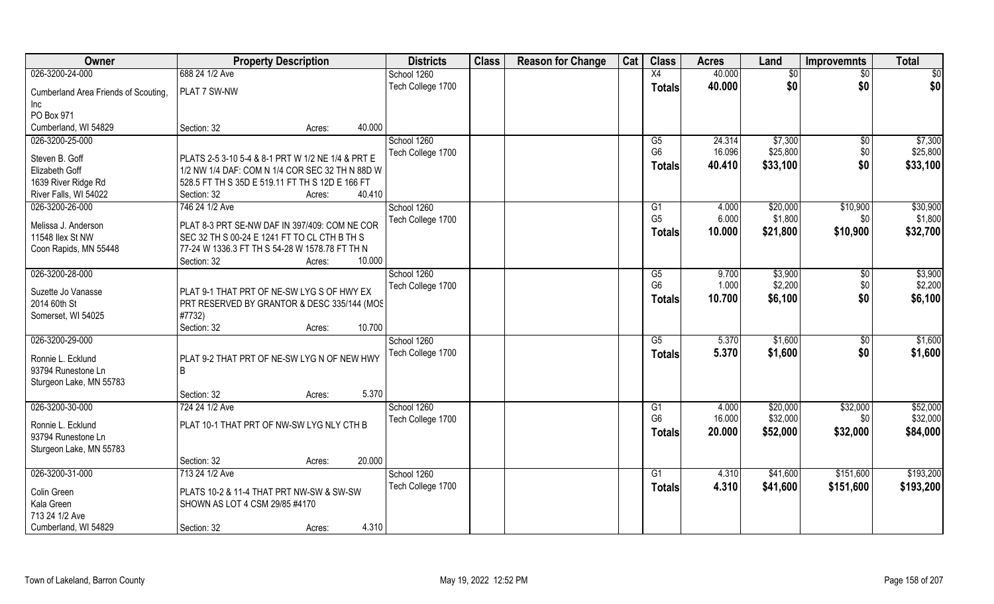| Owner                                   | <b>Property Description</b>                                                                   | <b>Districts</b>  | <b>Class</b> | <b>Reason for Change</b> | Cat | <b>Class</b>         | <b>Acres</b>    | Land                 | <b>Improvemnts</b> | <b>Total</b>         |
|-----------------------------------------|-----------------------------------------------------------------------------------------------|-------------------|--------------|--------------------------|-----|----------------------|-----------------|----------------------|--------------------|----------------------|
| 026-3200-24-000                         | 688 24 1/2 Ave                                                                                | School 1260       |              |                          |     | X4                   | 40.000          | \$0                  | $\sqrt{6}$         | $\sqrt{50}$          |
| Cumberland Area Friends of Scouting,    | PLAT 7 SW-NW                                                                                  | Tech College 1700 |              |                          |     | <b>Totals</b>        | 40.000          | \$0                  | \$0                | \$0                  |
| Inc                                     |                                                                                               |                   |              |                          |     |                      |                 |                      |                    |                      |
| PO Box 971                              |                                                                                               |                   |              |                          |     |                      |                 |                      |                    |                      |
| Cumberland, WI 54829                    | 40.000<br>Section: 32<br>Acres:                                                               |                   |              |                          |     |                      |                 |                      |                    |                      |
| 026-3200-25-000                         |                                                                                               | School 1260       |              |                          |     | G5                   | 24.314          | \$7,300              | \$0                | \$7,300              |
| Steven B. Goff                          | PLATS 2-5 3-10 5-4 & 8-1 PRT W 1/2 NE 1/4 & PRT E                                             | Tech College 1700 |              |                          |     | G <sub>6</sub>       | 16.096          | \$25,800             | \$0                | \$25,800             |
| Elizabeth Goff                          | 1/2 NW 1/4 DAF: COM N 1/4 COR SEC 32 TH N 88D W                                               |                   |              |                          |     | <b>Totals</b>        | 40.410          | \$33,100             | \$0                | \$33,100             |
| 1639 River Ridge Rd                     | 528.5 FT TH S 35D E 519.11 FT TH S 12D E 166 FT                                               |                   |              |                          |     |                      |                 |                      |                    |                      |
| River Falls, WI 54022                   | 40.410<br>Section: 32<br>Acres:                                                               |                   |              |                          |     |                      |                 |                      |                    |                      |
| 026-3200-26-000                         | 746 24 1/2 Ave                                                                                | School 1260       |              |                          |     | G1                   | 4.000           | \$20,000             | \$10,900           | \$30,900             |
|                                         |                                                                                               | Tech College 1700 |              |                          |     | G <sub>5</sub>       | 6.000           | \$1,800              | \$0                | \$1,800              |
| Melissa J. Anderson<br>11548 Ilex St NW | PLAT 8-3 PRT SE-NW DAF IN 397/409: COM NE COR<br>SEC 32 TH S 00-24 E 1241 FT TO CL CTH B TH S |                   |              |                          |     | <b>Totals</b>        | 10.000          | \$21,800             | \$10,900           | \$32,700             |
| Coon Rapids, MN 55448                   | 77-24 W 1336.3 FT TH S 54-28 W 1578.78 FT TH N                                                |                   |              |                          |     |                      |                 |                      |                    |                      |
|                                         | 10.000<br>Section: 32<br>Acres:                                                               |                   |              |                          |     |                      |                 |                      |                    |                      |
| 026-3200-28-000                         |                                                                                               | School 1260       |              |                          |     | G5                   | 9.700           | \$3,900              | \$0                | \$3,900              |
|                                         |                                                                                               | Tech College 1700 |              |                          |     | G <sub>6</sub>       | 1.000           | \$2,200              | \$0                | \$2,200              |
| Suzette Jo Vanasse                      | PLAT 9-1 THAT PRT OF NE-SW LYG S OF HWY EX                                                    |                   |              |                          |     | <b>Totals</b>        | 10.700          | \$6,100              | \$0                | \$6,100              |
| 2014 60th St                            | PRT RESERVED BY GRANTOR & DESC 335/144 (MOS                                                   |                   |              |                          |     |                      |                 |                      |                    |                      |
| Somerset, WI 54025                      | #7732)<br>10.700<br>Section: 32                                                               |                   |              |                          |     |                      |                 |                      |                    |                      |
| 026-3200-29-000                         | Acres:                                                                                        | School 1260       |              |                          |     | $\overline{G5}$      | 5.370           | \$1,600              | \$0                | \$1,600              |
|                                         |                                                                                               | Tech College 1700 |              |                          |     | <b>Totals</b>        | 5.370           | \$1,600              | \$0                | \$1,600              |
| Ronnie L. Ecklund                       | PLAT 9-2 THAT PRT OF NE-SW LYG N OF NEW HWY                                                   |                   |              |                          |     |                      |                 |                      |                    |                      |
| 93794 Runestone Ln                      | B                                                                                             |                   |              |                          |     |                      |                 |                      |                    |                      |
| Sturgeon Lake, MN 55783                 |                                                                                               |                   |              |                          |     |                      |                 |                      |                    |                      |
|                                         | 5.370<br>Section: 32<br>Acres:                                                                |                   |              |                          |     |                      |                 |                      |                    |                      |
| 026-3200-30-000                         | 724 24 1/2 Ave                                                                                | School 1260       |              |                          |     | G1<br>G <sub>6</sub> | 4.000<br>16.000 | \$20,000<br>\$32,000 | \$32,000<br>\$0    | \$52,000<br>\$32,000 |
| Ronnie L. Ecklund                       | PLAT 10-1 THAT PRT OF NW-SW LYG NLY CTH B                                                     | Tech College 1700 |              |                          |     |                      | 20,000          |                      | \$32,000           |                      |
| 93794 Runestone Ln                      |                                                                                               |                   |              |                          |     | <b>Totals</b>        |                 | \$52,000             |                    | \$84,000             |
| Sturgeon Lake, MN 55783                 |                                                                                               |                   |              |                          |     |                      |                 |                      |                    |                      |
|                                         | 20.000<br>Section: 32<br>Acres:                                                               |                   |              |                          |     |                      |                 |                      |                    |                      |
| 026-3200-31-000                         | 713 24 1/2 Ave                                                                                | School 1260       |              |                          |     | G1                   | 4.310           | \$41,600             | \$151,600          | \$193,200            |
| Colin Green                             | PLATS 10-2 & 11-4 THAT PRT NW-SW & SW-SW                                                      | Tech College 1700 |              |                          |     | Totals               | 4.310           | \$41,600             | \$151,600          | \$193,200            |
| Kala Green                              | SHOWN AS LOT 4 CSM 29/85 #4170                                                                |                   |              |                          |     |                      |                 |                      |                    |                      |
| 713 24 1/2 Ave                          |                                                                                               |                   |              |                          |     |                      |                 |                      |                    |                      |
| Cumberland, WI 54829                    | 4.310<br>Section: 32<br>Acres:                                                                |                   |              |                          |     |                      |                 |                      |                    |                      |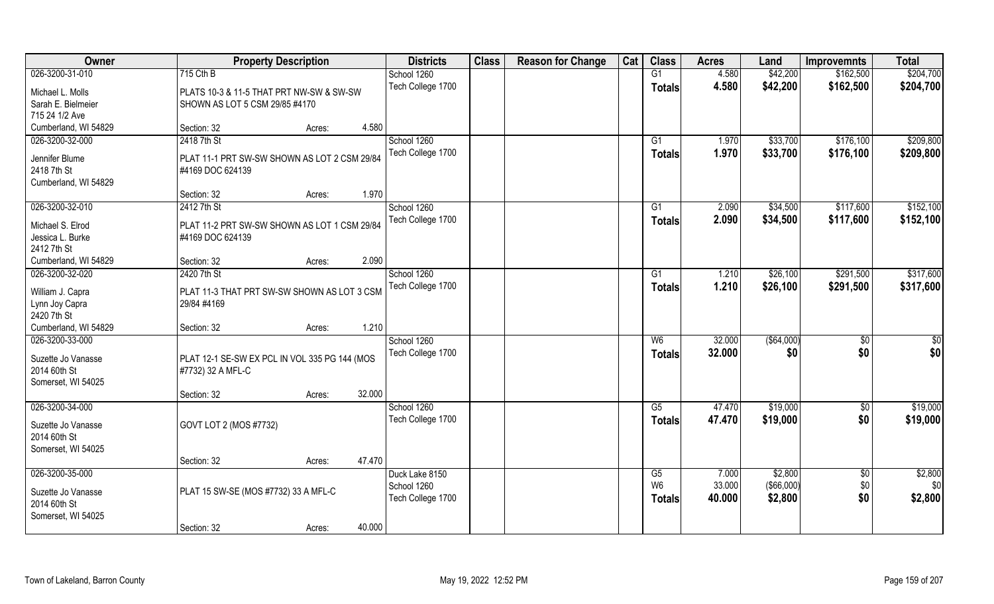| Owner                              | <b>Property Description</b>                   |        |        | <b>Districts</b>              | <b>Class</b> | <b>Reason for Change</b> | Cat | <b>Class</b>         | <b>Acres</b>    | Land                  | <b>Improvemnts</b> | <b>Total</b>    |
|------------------------------------|-----------------------------------------------|--------|--------|-------------------------------|--------------|--------------------------|-----|----------------------|-----------------|-----------------------|--------------------|-----------------|
| 026-3200-31-010                    | 715 Cth B                                     |        |        | School 1260                   |              |                          |     | G1                   | 4.580           | \$42,200              | \$162,500          | \$204,700       |
| Michael L. Molls                   | PLATS 10-3 & 11-5 THAT PRT NW-SW & SW-SW      |        |        | Tech College 1700             |              |                          |     | <b>Totals</b>        | 4.580           | \$42,200              | \$162,500          | \$204,700       |
| Sarah E. Bielmeier                 | SHOWN AS LOT 5 CSM 29/85 #4170                |        |        |                               |              |                          |     |                      |                 |                       |                    |                 |
| 715 24 1/2 Ave                     |                                               |        |        |                               |              |                          |     |                      |                 |                       |                    |                 |
| Cumberland, WI 54829               | Section: 32                                   | Acres: | 4.580  |                               |              |                          |     |                      |                 |                       |                    |                 |
| 026-3200-32-000                    | 2418 7th St                                   |        |        | School 1260                   |              |                          |     | $\overline{G1}$      | 1.970           | \$33,700              | \$176,100          | \$209,800       |
| Jennifer Blume                     | PLAT 11-1 PRT SW-SW SHOWN AS LOT 2 CSM 29/84  |        |        | Tech College 1700             |              |                          |     | Totals               | 1.970           | \$33,700              | \$176,100          | \$209,800       |
| 2418 7th St                        | #4169 DOC 624139                              |        |        |                               |              |                          |     |                      |                 |                       |                    |                 |
| Cumberland, WI 54829               |                                               |        |        |                               |              |                          |     |                      |                 |                       |                    |                 |
|                                    | Section: 32                                   | Acres: | 1.970  |                               |              |                          |     |                      |                 |                       |                    |                 |
| 026-3200-32-010                    | 2412 7th St                                   |        |        | School 1260                   |              |                          |     | G1                   | 2.090           | \$34,500              | \$117,600          | \$152,100       |
| Michael S. Elrod                   | PLAT 11-2 PRT SW-SW SHOWN AS LOT 1 CSM 29/84  |        |        | Tech College 1700             |              |                          |     | <b>Totals</b>        | 2.090           | \$34,500              | \$117,600          | \$152,100       |
| Jessica L. Burke                   | #4169 DOC 624139                              |        |        |                               |              |                          |     |                      |                 |                       |                    |                 |
| 2412 7th St                        |                                               |        |        |                               |              |                          |     |                      |                 |                       |                    |                 |
| Cumberland, WI 54829               | Section: 32                                   | Acres: | 2.090  |                               |              |                          |     |                      |                 |                       |                    |                 |
| 026-3200-32-020                    | 2420 7th St                                   |        |        | School 1260                   |              |                          |     | G1                   | 1.210           | \$26,100              | \$291,500          | \$317,600       |
| William J. Capra                   | PLAT 11-3 THAT PRT SW-SW SHOWN AS LOT 3 CSM   |        |        | Tech College 1700             |              |                          |     | <b>Totals</b>        | 1.210           | \$26,100              | \$291,500          | \$317,600       |
| Lynn Joy Capra                     | 29/84 #4169                                   |        |        |                               |              |                          |     |                      |                 |                       |                    |                 |
| 2420 7th St                        |                                               |        |        |                               |              |                          |     |                      |                 |                       |                    |                 |
| Cumberland, WI 54829               | Section: 32                                   | Acres: | 1.210  |                               |              |                          |     |                      |                 |                       |                    |                 |
| 026-3200-33-000                    |                                               |        |        | School 1260                   |              |                          |     | W6                   | 32.000          | ( \$64,000)           | \$0                | $\overline{50}$ |
|                                    |                                               |        |        | Tech College 1700             |              |                          |     | <b>Totals</b>        | 32.000          | \$0                   | \$0                | \$0             |
| Suzette Jo Vanasse                 | PLAT 12-1 SE-SW EX PCL IN VOL 335 PG 144 (MOS |        |        |                               |              |                          |     |                      |                 |                       |                    |                 |
| 2014 60th St<br>Somerset, WI 54025 | #7732) 32 A MFL-C                             |        |        |                               |              |                          |     |                      |                 |                       |                    |                 |
|                                    | Section: 32                                   | Acres: | 32.000 |                               |              |                          |     |                      |                 |                       |                    |                 |
| 026-3200-34-000                    |                                               |        |        | School 1260                   |              |                          |     | G5                   | 47.470          | \$19,000              | $\sqrt{$0}$        | \$19,000        |
|                                    |                                               |        |        | Tech College 1700             |              |                          |     | <b>Totals</b>        | 47.470          | \$19,000              | \$0                | \$19,000        |
| Suzette Jo Vanasse                 | GOVT LOT 2 (MOS #7732)                        |        |        |                               |              |                          |     |                      |                 |                       |                    |                 |
| 2014 60th St                       |                                               |        |        |                               |              |                          |     |                      |                 |                       |                    |                 |
| Somerset, WI 54025                 |                                               |        |        |                               |              |                          |     |                      |                 |                       |                    |                 |
|                                    | Section: 32                                   | Acres: | 47.470 |                               |              |                          |     |                      |                 |                       |                    |                 |
| 026-3200-35-000                    |                                               |        |        | Duck Lake 8150<br>School 1260 |              |                          |     | G5<br>W <sub>6</sub> | 7.000<br>33.000 | \$2,800<br>(\$66,000) | $\sqrt{$0}$<br>\$0 | \$2,800<br>\$0  |
| Suzette Jo Vanasse                 | PLAT 15 SW-SE (MOS #7732) 33 A MFL-C          |        |        | Tech College 1700             |              |                          |     |                      | 40.000          | \$2,800               | \$0                | \$2,800         |
| 2014 60th St                       |                                               |        |        |                               |              |                          |     | <b>Totals</b>        |                 |                       |                    |                 |
| Somerset, WI 54025                 |                                               |        |        |                               |              |                          |     |                      |                 |                       |                    |                 |
|                                    | Section: 32                                   | Acres: | 40.000 |                               |              |                          |     |                      |                 |                       |                    |                 |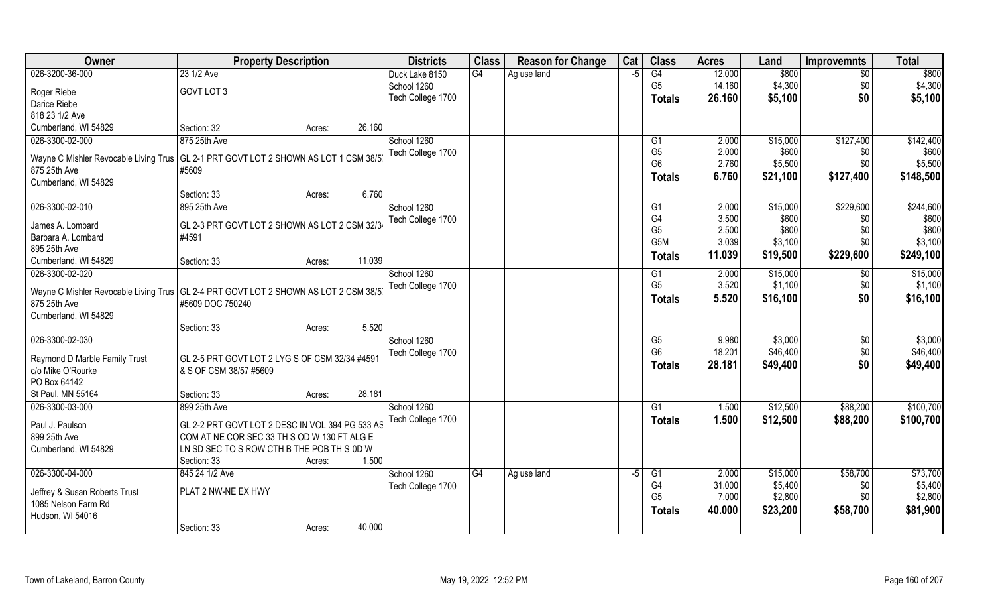| <b>Owner</b>                                         | <b>Property Description</b>                                                           |        | <b>Districts</b>  | <b>Class</b> | <b>Reason for Change</b> | Cat  | <b>Class</b>                     | <b>Acres</b>   | Land             | <b>Improvemnts</b> | <b>Total</b>   |
|------------------------------------------------------|---------------------------------------------------------------------------------------|--------|-------------------|--------------|--------------------------|------|----------------------------------|----------------|------------------|--------------------|----------------|
| 026-3200-36-000                                      | 23 1/2 Ave                                                                            |        | Duck Lake 8150    | G4           | Ag use land              | $-5$ | G4                               | 12.000         | \$800            | \$0                | \$800          |
| Roger Riebe                                          | GOVT LOT 3                                                                            |        | School 1260       |              |                          |      | G <sub>5</sub>                   | 14.160         | \$4,300          | \$0                | \$4,300        |
| Darice Riebe                                         |                                                                                       |        | Tech College 1700 |              |                          |      | <b>Totals</b>                    | 26.160         | \$5,100          | \$0                | \$5,100        |
| 818 23 1/2 Ave                                       |                                                                                       |        |                   |              |                          |      |                                  |                |                  |                    |                |
| Cumberland, WI 54829                                 | Section: 32<br>Acres:                                                                 | 26.160 |                   |              |                          |      |                                  |                |                  |                    |                |
| 026-3300-02-000                                      | 875 25th Ave                                                                          |        | School 1260       |              |                          |      | G <sub>1</sub>                   | 2.000          | \$15,000         | \$127,400          | \$142,400      |
|                                                      |                                                                                       |        | Tech College 1700 |              |                          |      | G <sub>5</sub>                   | 2.000          | \$600            | \$0                | \$600          |
|                                                      | Wayne C Mishler Revocable Living Trus   GL 2-1 PRT GOVT LOT 2 SHOWN AS LOT 1 CSM 38/5 |        |                   |              |                          |      | G <sub>6</sub>                   | 2.760          | \$5,500          | \$0                | \$5,500        |
| 875 25th Ave                                         | #5609                                                                                 |        |                   |              |                          |      | <b>Totals</b>                    | 6.760          | \$21,100         | \$127,400          | \$148,500      |
| Cumberland, WI 54829                                 |                                                                                       |        |                   |              |                          |      |                                  |                |                  |                    |                |
|                                                      | Section: 33<br>Acres:                                                                 | 6.760  |                   |              |                          |      |                                  |                |                  |                    |                |
| 026-3300-02-010                                      | 895 25th Ave                                                                          |        | School 1260       |              |                          |      | G1                               | 2.000          | \$15,000         | \$229,600          | \$244,600      |
| James A. Lombard                                     | GL 2-3 PRT GOVT LOT 2 SHOWN AS LOT 2 CSM 32/3                                         |        | Tech College 1700 |              |                          |      | G <sub>4</sub><br>G <sub>5</sub> | 3.500<br>2.500 | \$600            | \$0<br>\$0         | \$600<br>\$800 |
| Barbara A. Lombard                                   | #4591                                                                                 |        |                   |              |                          |      | G <sub>5</sub> M                 | 3.039          | \$800<br>\$3,100 | \$0                | \$3,100        |
| 895 25th Ave                                         |                                                                                       |        |                   |              |                          |      |                                  | 11.039         |                  |                    |                |
| Cumberland, WI 54829                                 | Section: 33<br>Acres:                                                                 | 11.039 |                   |              |                          |      | <b>Totals</b>                    |                | \$19,500         | \$229,600          | \$249,100      |
| 026-3300-02-020                                      |                                                                                       |        | School 1260       |              |                          |      | G <sub>1</sub>                   | 2.000          | \$15,000         | \$0                | \$15,000       |
|                                                      | Wayne C Mishler Revocable Living Trus   GL 2-4 PRT GOVT LOT 2 SHOWN AS LOT 2 CSM 38/5 |        | Tech College 1700 |              |                          |      | G <sub>5</sub>                   | 3.520          | \$1,100          | \$0                | \$1,100        |
| 875 25th Ave                                         | #5609 DOC 750240                                                                      |        |                   |              |                          |      | <b>Totals</b>                    | 5.520          | \$16,100         | \$0                | \$16,100       |
| Cumberland, WI 54829                                 |                                                                                       |        |                   |              |                          |      |                                  |                |                  |                    |                |
|                                                      | Section: 33<br>Acres:                                                                 | 5.520  |                   |              |                          |      |                                  |                |                  |                    |                |
| 026-3300-02-030                                      |                                                                                       |        | School 1260       |              |                          |      | G5                               | 9.980          | \$3,000          | $\sqrt[6]{30}$     | \$3,000        |
|                                                      |                                                                                       |        | Tech College 1700 |              |                          |      | G <sub>6</sub>                   | 18.201         | \$46,400         | \$0                | \$46,400       |
| Raymond D Marble Family Trust                        | GL 2-5 PRT GOVT LOT 2 LYG S OF CSM 32/34 #4591                                        |        |                   |              |                          |      | <b>Totals</b>                    | 28.181         | \$49,400         | \$0                | \$49,400       |
| c/o Mike O'Rourke                                    | & S OF CSM 38/57 #5609                                                                |        |                   |              |                          |      |                                  |                |                  |                    |                |
| PO Box 64142                                         |                                                                                       |        |                   |              |                          |      |                                  |                |                  |                    |                |
| St Paul, MN 55164                                    | Section: 33<br>Acres:                                                                 | 28.181 |                   |              |                          |      |                                  |                |                  |                    |                |
| 026-3300-03-000                                      | 899 25th Ave                                                                          |        | School 1260       |              |                          |      | G <sub>1</sub>                   | 1.500          | \$12,500         | \$88,200           | \$100,700      |
| Paul J. Paulson                                      | GL 2-2 PRT GOVT LOT 2 DESC IN VOL 394 PG 533 AS                                       |        | Tech College 1700 |              |                          |      | <b>Totals</b>                    | 1.500          | \$12,500         | \$88,200           | \$100,700      |
| 899 25th Ave                                         | COM AT NE COR SEC 33 TH S OD W 130 FT ALG E                                           |        |                   |              |                          |      |                                  |                |                  |                    |                |
| Cumberland, WI 54829                                 | LN SD SEC TO S ROW CTH B THE POB TH S OD W                                            |        |                   |              |                          |      |                                  |                |                  |                    |                |
|                                                      | Section: 33<br>Acres:                                                                 | 1.500  |                   |              |                          |      |                                  |                |                  |                    |                |
| 026-3300-04-000                                      | 845 24 1/2 Ave                                                                        |        | School 1260       | G4           | Ag use land              | $-5$ | G1                               | 2.000          | \$15,000         | \$58,700           | \$73,700       |
|                                                      |                                                                                       |        | Tech College 1700 |              |                          |      | G4                               | 31.000         | \$5,400          | \$0                | \$5,400        |
| Jeffrey & Susan Roberts Trust<br>1085 Nelson Farm Rd | PLAT 2 NW-NE EX HWY                                                                   |        |                   |              |                          |      | G <sub>5</sub>                   | 7.000          | \$2,800          | \$0                | \$2,800        |
| Hudson, WI 54016                                     |                                                                                       |        |                   |              |                          |      | <b>Totals</b>                    | 40.000         | \$23,200         | \$58,700           | \$81,900       |
|                                                      | Section: 33                                                                           | 40.000 |                   |              |                          |      |                                  |                |                  |                    |                |
|                                                      | Acres:                                                                                |        |                   |              |                          |      |                                  |                |                  |                    |                |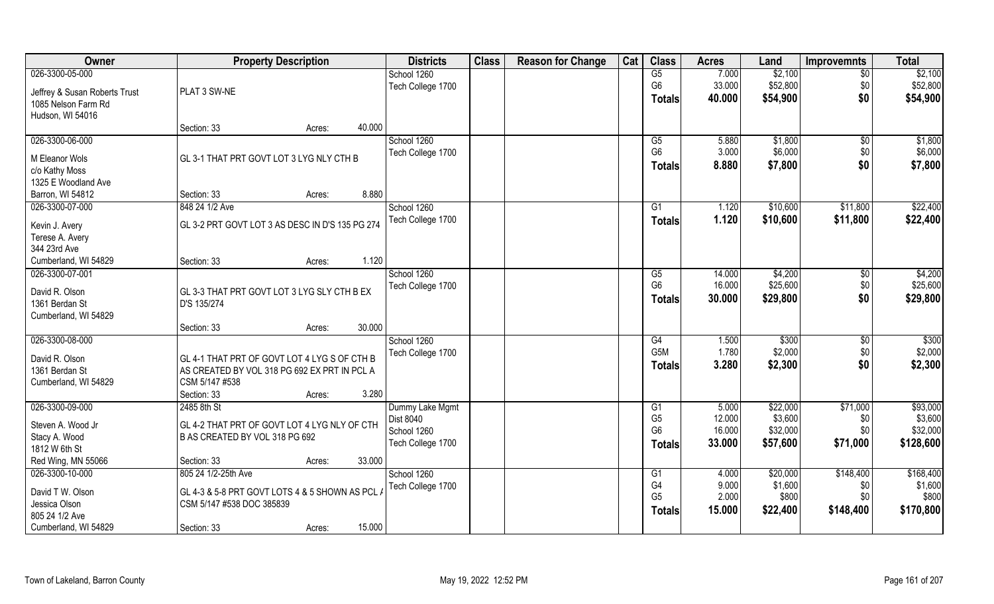| Owner                         | <b>Property Description</b>                     | <b>Districts</b>  | <b>Class</b> | <b>Reason for Change</b> | Cat | <b>Class</b>                     | <b>Acres</b> | Land     | <b>Improvemnts</b> | <b>Total</b>      |
|-------------------------------|-------------------------------------------------|-------------------|--------------|--------------------------|-----|----------------------------------|--------------|----------|--------------------|-------------------|
| 026-3300-05-000               |                                                 | School 1260       |              |                          |     | G5                               | 7.000        | \$2,100  | $\overline{50}$    | \$2,100           |
| Jeffrey & Susan Roberts Trust | PLAT 3 SW-NE                                    | Tech College 1700 |              |                          |     | G <sub>6</sub>                   | 33.000       | \$52,800 | \$0                | \$52,800          |
| 1085 Nelson Farm Rd           |                                                 |                   |              |                          |     | <b>Totals</b>                    | 40.000       | \$54,900 | \$0                | \$54,900          |
| Hudson, WI 54016              |                                                 |                   |              |                          |     |                                  |              |          |                    |                   |
|                               | Section: 33<br>Acres:                           | 40.000            |              |                          |     |                                  |              |          |                    |                   |
| 026-3300-06-000               |                                                 | School 1260       |              |                          |     | $\overline{G5}$                  | 5.880        | \$1,800  | $\overline{50}$    | \$1,800           |
| M Eleanor Wols                | GL 3-1 THAT PRT GOVT LOT 3 LYG NLY CTH B        | Tech College 1700 |              |                          |     | G <sub>6</sub>                   | 3.000        | \$6,000  | \$0                | \$6,000           |
| c/o Kathy Moss                |                                                 |                   |              |                          |     | Totals                           | 8.880        | \$7,800  | \$0                | \$7,800           |
| 1325 E Woodland Ave           |                                                 |                   |              |                          |     |                                  |              |          |                    |                   |
| Barron, WI 54812              | Section: 33<br>Acres:                           | 8.880             |              |                          |     |                                  |              |          |                    |                   |
| 026-3300-07-000               | 848 24 1/2 Ave                                  | School 1260       |              |                          |     | G1                               | 1.120        | \$10,600 | \$11,800           | \$22,400          |
|                               |                                                 | Tech College 1700 |              |                          |     | <b>Totals</b>                    | 1.120        | \$10,600 | \$11,800           | \$22,400          |
| Kevin J. Avery                | GL 3-2 PRT GOVT LOT 3 AS DESC IN D'S 135 PG 274 |                   |              |                          |     |                                  |              |          |                    |                   |
| Terese A. Avery               |                                                 |                   |              |                          |     |                                  |              |          |                    |                   |
| 344 23rd Ave                  |                                                 |                   |              |                          |     |                                  |              |          |                    |                   |
| Cumberland, WI 54829          | Section: 33<br>Acres:                           | 1.120             |              |                          |     |                                  |              |          |                    |                   |
| 026-3300-07-001               |                                                 | School 1260       |              |                          |     | G5                               | 14.000       | \$4,200  | $\sqrt[6]{}$       | \$4,200           |
| David R. Olson                | GL 3-3 THAT PRT GOVT LOT 3 LYG SLY CTH B EX     | Tech College 1700 |              |                          |     | G <sub>6</sub>                   | 16.000       | \$25,600 | \$0                | \$25,600          |
| 1361 Berdan St                | D'S 135/274                                     |                   |              |                          |     | <b>Totals</b>                    | 30.000       | \$29,800 | \$0                | \$29,800          |
| Cumberland, WI 54829          |                                                 |                   |              |                          |     |                                  |              |          |                    |                   |
|                               | Section: 33<br>Acres:                           | 30.000            |              |                          |     |                                  |              |          |                    |                   |
| 026-3300-08-000               |                                                 | School 1260       |              |                          |     | $\overline{G4}$                  | 1.500        | \$300    | \$0                | $\overline{$300}$ |
| David R. Olson                | GL 4-1 THAT PRT OF GOVT LOT 4 LYG S OF CTH B    | Tech College 1700 |              |                          |     | G <sub>5</sub> M                 | 1.780        | \$2,000  | \$0                | \$2,000           |
| 1361 Berdan St                | AS CREATED BY VOL 318 PG 692 EX PRT IN PCL A    |                   |              |                          |     | <b>Totals</b>                    | 3.280        | \$2,300  | \$0                | \$2,300           |
| Cumberland, WI 54829          | CSM 5/147 #538                                  |                   |              |                          |     |                                  |              |          |                    |                   |
|                               | Section: 33<br>Acres:                           | 3.280             |              |                          |     |                                  |              |          |                    |                   |
| 026-3300-09-000               | 2485 8th St                                     | Dummy Lake Mgmt   |              |                          |     | G1                               | 5.000        | \$22,000 | \$71,000           | \$93,000          |
|                               |                                                 | Dist 8040         |              |                          |     | G <sub>5</sub>                   | 12.000       | \$3,600  | \$0                | \$3,600           |
| Steven A. Wood Jr             | GL 4-2 THAT PRT OF GOVT LOT 4 LYG NLY OF CTH    | School 1260       |              |                          |     | G <sub>6</sub>                   | 16.000       | \$32,000 | \$0                | \$32,000          |
| Stacy A. Wood                 | B AS CREATED BY VOL 318 PG 692                  | Tech College 1700 |              |                          |     | Totals                           | 33.000       | \$57,600 | \$71,000           | \$128,600         |
| 1812 W 6th St                 |                                                 |                   |              |                          |     |                                  |              |          |                    |                   |
| Red Wing, MN 55066            | Section: 33<br>Acres:                           | 33.000            |              |                          |     |                                  |              |          |                    |                   |
| 026-3300-10-000               | 805 24 1/2-25th Ave                             | School 1260       |              |                          |     | G <sub>1</sub>                   | 4.000        | \$20,000 | \$148,400          | \$168,400         |
| David T W. Olson              | GL 4-3 & 5-8 PRT GOVT LOTS 4 & 5 SHOWN AS PCL.  | Tech College 1700 |              |                          |     | G <sub>4</sub><br>G <sub>5</sub> | 9.000        | \$1,600  | \$0<br>\$0         | \$1,600<br>\$800  |
| Jessica Olson                 | CSM 5/147 #538 DOC 385839                       |                   |              |                          |     |                                  | 2.000        | \$800    |                    |                   |
| 805 24 1/2 Ave                |                                                 |                   |              |                          |     | <b>Totals</b>                    | 15.000       | \$22,400 | \$148,400          | \$170,800         |
| Cumberland, WI 54829          | Section: 33<br>Acres:                           | 15.000            |              |                          |     |                                  |              |          |                    |                   |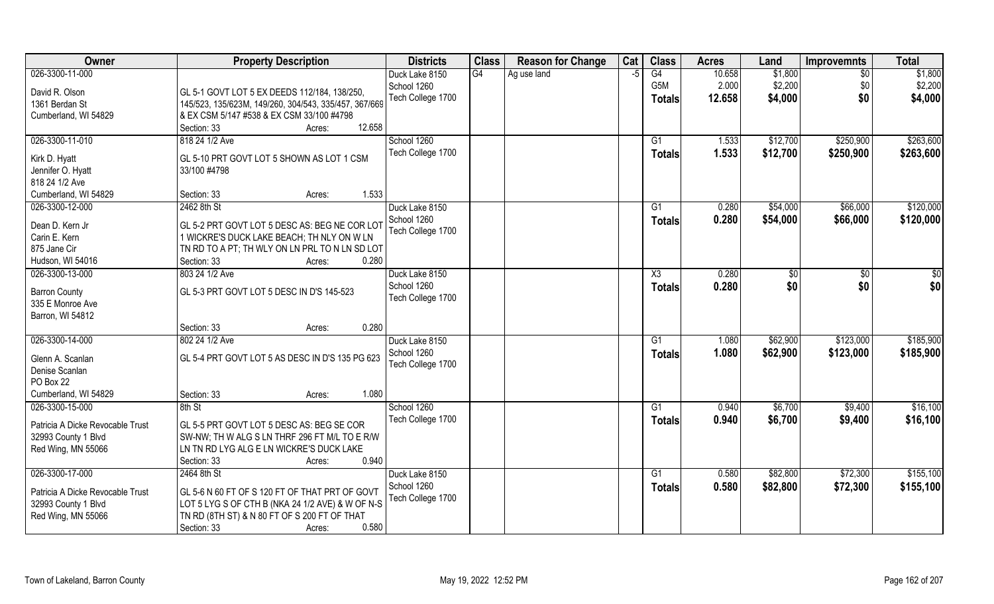| Owner                            | <b>Property Description</b>                           | <b>Districts</b>  | <b>Class</b> | <b>Reason for Change</b> | Cat | <b>Class</b>     | <b>Acres</b> | Land     | <b>Improvemnts</b> | <b>Total</b> |
|----------------------------------|-------------------------------------------------------|-------------------|--------------|--------------------------|-----|------------------|--------------|----------|--------------------|--------------|
| 026-3300-11-000                  |                                                       | Duck Lake 8150    | G4           | Ag use land              | -5  | G4               | 10.658       | \$1,800  | $\overline{50}$    | \$1,800      |
| David R. Olson                   | GL 5-1 GOVT LOT 5 EX DEEDS 112/184, 138/250,          | School 1260       |              |                          |     | G <sub>5</sub> M | 2.000        | \$2,200  | \$0                | \$2,200      |
| 1361 Berdan St                   | 145/523, 135/623M, 149/260, 304/543, 335/457, 367/669 | Tech College 1700 |              |                          |     | <b>Totals</b>    | 12.658       | \$4,000  | \$0                | \$4,000      |
| Cumberland, WI 54829             | & EX CSM 5/147 #538 & EX CSM 33/100 #4798             |                   |              |                          |     |                  |              |          |                    |              |
|                                  | 12.658<br>Section: 33<br>Acres:                       |                   |              |                          |     |                  |              |          |                    |              |
| 026-3300-11-010                  | 818 24 1/2 Ave                                        | School 1260       |              |                          |     | $\overline{G1}$  | 1.533        | \$12,700 | \$250,900          | \$263,600    |
|                                  |                                                       | Tech College 1700 |              |                          |     | Totals           | 1.533        | \$12,700 | \$250,900          | \$263,600    |
| Kirk D. Hyatt                    | GL 5-10 PRT GOVT LOT 5 SHOWN AS LOT 1 CSM             |                   |              |                          |     |                  |              |          |                    |              |
| Jennifer O. Hyatt                | 33/100 #4798                                          |                   |              |                          |     |                  |              |          |                    |              |
| 818 24 1/2 Ave                   |                                                       |                   |              |                          |     |                  |              |          |                    |              |
| Cumberland, WI 54829             | 1.533<br>Section: 33<br>Acres:                        |                   |              |                          |     |                  |              |          |                    |              |
| 026-3300-12-000                  | 2462 8th St                                           | Duck Lake 8150    |              |                          |     | G1               | 0.280        | \$54,000 | \$66,000           | \$120,000    |
| Dean D. Kern Jr                  | GL 5-2 PRT GOVT LOT 5 DESC AS: BEG NE COR LOT         | School 1260       |              |                          |     | <b>Totals</b>    | 0.280        | \$54,000 | \$66,000           | \$120,000    |
| Carin E. Kern                    | 1 WICKRE'S DUCK LAKE BEACH; TH NLY ON W LN            | Tech College 1700 |              |                          |     |                  |              |          |                    |              |
| 875 Jane Cir                     | TN RD TO A PT; TH WLY ON LN PRL TO N LN SD LOT        |                   |              |                          |     |                  |              |          |                    |              |
| Hudson, WI 54016                 | 0.280<br>Section: 33<br>Acres:                        |                   |              |                          |     |                  |              |          |                    |              |
| 026-3300-13-000                  | 803 24 1/2 Ave                                        | Duck Lake 8150    |              |                          |     | X3               | 0.280        | \$0      | $\sqrt[6]{3}$      | $\sqrt{50}$  |
| <b>Barron County</b>             | GL 5-3 PRT GOVT LOT 5 DESC IN D'S 145-523             | School 1260       |              |                          |     | <b>Totals</b>    | 0.280        | \$0      | \$0                | \$0          |
| 335 E Monroe Ave                 |                                                       | Tech College 1700 |              |                          |     |                  |              |          |                    |              |
| Barron, WI 54812                 |                                                       |                   |              |                          |     |                  |              |          |                    |              |
|                                  | 0.280<br>Section: 33<br>Acres:                        |                   |              |                          |     |                  |              |          |                    |              |
| 026-3300-14-000                  | 802 24 1/2 Ave                                        | Duck Lake 8150    |              |                          |     | $\overline{G1}$  | 1.080        | \$62,900 | \$123,000          | \$185,900    |
|                                  |                                                       | School 1260       |              |                          |     | Totals           | 1.080        | \$62,900 | \$123,000          | \$185,900    |
| Glenn A. Scanlan                 | GL 5-4 PRT GOVT LOT 5 AS DESC IN D'S 135 PG 623       | Tech College 1700 |              |                          |     |                  |              |          |                    |              |
| Denise Scanlan                   |                                                       |                   |              |                          |     |                  |              |          |                    |              |
| PO Box 22                        |                                                       |                   |              |                          |     |                  |              |          |                    |              |
| Cumberland, WI 54829             | 1.080<br>Section: 33<br>Acres:                        |                   |              |                          |     |                  |              |          |                    |              |
| 026-3300-15-000                  | 8th St                                                | School 1260       |              |                          |     | G1               | 0.940        | \$6,700  | \$9,400            | \$16,100     |
| Patricia A Dicke Revocable Trust | GL 5-5 PRT GOVT LOT 5 DESC AS: BEG SE COR             | Tech College 1700 |              |                          |     | <b>Totals</b>    | 0.940        | \$6,700  | \$9,400            | \$16,100     |
| 32993 County 1 Blvd              | SW-NW; TH W ALG S LN THRF 296 FT M/L TO E R/W         |                   |              |                          |     |                  |              |          |                    |              |
| Red Wing, MN 55066               | LN TN RD LYG ALG E LN WICKRE'S DUCK LAKE              |                   |              |                          |     |                  |              |          |                    |              |
|                                  | 0.940<br>Section: 33<br>Acres:                        |                   |              |                          |     |                  |              |          |                    |              |
| 026-3300-17-000                  | 2464 8th St                                           | Duck Lake 8150    |              |                          |     | G1               | 0.580        | \$82,800 | \$72,300           | \$155,100    |
|                                  |                                                       | School 1260       |              |                          |     | <b>Totals</b>    | 0.580        | \$82,800 | \$72,300           | \$155,100    |
| Patricia A Dicke Revocable Trust | GL 5-6 N 60 FT OF S 120 FT OF THAT PRT OF GOVT        | Tech College 1700 |              |                          |     |                  |              |          |                    |              |
| 32993 County 1 Blvd              | LOT 5 LYG S OF CTH B (NKA 24 1/2 AVE) & W OF N-S      |                   |              |                          |     |                  |              |          |                    |              |
| Red Wing, MN 55066               | TN RD (8TH ST) & N 80 FT OF S 200 FT OF THAT          |                   |              |                          |     |                  |              |          |                    |              |
|                                  | 0.580<br>Section: 33<br>Acres:                        |                   |              |                          |     |                  |              |          |                    |              |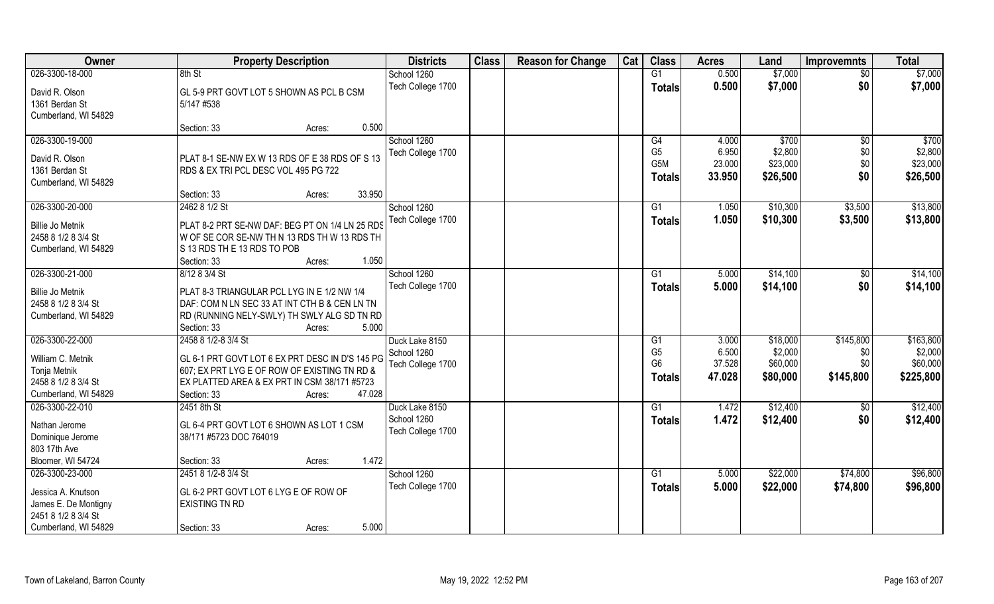| Owner                               | <b>Property Description</b>                                                                  | <b>Districts</b>  | <b>Class</b> | <b>Reason for Change</b> | Cat | <b>Class</b>   | <b>Acres</b> | Land     | <b>Improvemnts</b> | <b>Total</b> |
|-------------------------------------|----------------------------------------------------------------------------------------------|-------------------|--------------|--------------------------|-----|----------------|--------------|----------|--------------------|--------------|
| 026-3300-18-000                     | 8th St                                                                                       | School 1260       |              |                          |     | G1             | 0.500        | \$7,000  | $\overline{30}$    | \$7,000      |
| David R. Olson                      | GL 5-9 PRT GOVT LOT 5 SHOWN AS PCL B CSM                                                     | Tech College 1700 |              |                          |     | <b>Totals</b>  | 0.500        | \$7,000  | \$0                | \$7,000      |
| 1361 Berdan St                      | 5/147 #538                                                                                   |                   |              |                          |     |                |              |          |                    |              |
| Cumberland, WI 54829                |                                                                                              |                   |              |                          |     |                |              |          |                    |              |
|                                     | 0.500<br>Section: 33<br>Acres:                                                               |                   |              |                          |     |                |              |          |                    |              |
| 026-3300-19-000                     |                                                                                              | School 1260       |              |                          |     | G4             | 4.000        | \$700    | $\overline{50}$    | \$700        |
| David R. Olson                      | PLAT 8-1 SE-NW EX W 13 RDS OF E 38 RDS OF S 13                                               | Tech College 1700 |              |                          |     | G <sub>5</sub> | 6.950        | \$2,800  | \$0                | \$2,800      |
| 1361 Berdan St                      | RDS & EX TRI PCL DESC VOL 495 PG 722                                                         |                   |              |                          |     | G5M            | 23.000       | \$23,000 | \$0                | \$23,000     |
| Cumberland, WI 54829                |                                                                                              |                   |              |                          |     | <b>Totals</b>  | 33.950       | \$26,500 | \$0                | \$26,500     |
|                                     | 33.950<br>Section: 33<br>Acres:                                                              |                   |              |                          |     |                |              |          |                    |              |
| 026-3300-20-000                     | 2462 8 1/2 St                                                                                | School 1260       |              |                          |     | G1             | 1.050        | \$10,300 | \$3,500            | \$13,800     |
| <b>Billie Jo Metnik</b>             | PLAT 8-2 PRT SE-NW DAF: BEG PT ON 1/4 LN 25 RDS                                              | Tech College 1700 |              |                          |     | <b>Totals</b>  | 1.050        | \$10,300 | \$3,500            | \$13,800     |
| 2458 8 1/2 8 3/4 St                 | W OF SE COR SE-NW TH N 13 RDS TH W 13 RDS TH                                                 |                   |              |                          |     |                |              |          |                    |              |
| Cumberland, WI 54829                | S 13 RDS THE 13 RDS TO POB                                                                   |                   |              |                          |     |                |              |          |                    |              |
|                                     | 1.050<br>Section: 33<br>Acres:                                                               |                   |              |                          |     |                |              |          |                    |              |
| 026-3300-21-000                     | 8/12 8 3/4 St                                                                                | School 1260       |              |                          |     | G1             | 5.000        | \$14,100 | $\sqrt[6]{3}$      | \$14,100     |
| <b>Billie Jo Metnik</b>             | PLAT 8-3 TRIANGULAR PCL LYG IN E 1/2 NW 1/4                                                  | Tech College 1700 |              |                          |     | <b>Totals</b>  | 5.000        | \$14,100 | \$0                | \$14,100     |
| 2458 8 1/2 8 3/4 St                 | DAF: COM N LN SEC 33 AT INT CTH B & CEN LN TN                                                |                   |              |                          |     |                |              |          |                    |              |
| Cumberland, WI 54829                | RD (RUNNING NELY-SWLY) TH SWLY ALG SD TN RD                                                  |                   |              |                          |     |                |              |          |                    |              |
|                                     | Section: 33<br>5.000<br>Acres:                                                               |                   |              |                          |     |                |              |          |                    |              |
| 026-3300-22-000                     | 2458 8 1/2-8 3/4 St                                                                          | Duck Lake 8150    |              |                          |     | G1             | 3.000        | \$18,000 | \$145,800          | \$163,800    |
|                                     |                                                                                              | School 1260       |              |                          |     | G <sub>5</sub> | 6.500        | \$2,000  | \$0                | \$2,000      |
| William C. Metnik                   | GL 6-1 PRT GOVT LOT 6 EX PRT DESC IN D'S 145 PG                                              | Tech College 1700 |              |                          |     | G <sub>6</sub> | 37.528       | \$60,000 | \$0                | \$60,000     |
| Tonja Metnik<br>2458 8 1/2 8 3/4 St | 607; EX PRT LYG E OF ROW OF EXISTING TN RD &<br>EX PLATTED AREA & EX PRT IN CSM 38/171 #5723 |                   |              |                          |     | <b>Totals</b>  | 47.028       | \$80,000 | \$145,800          | \$225,800    |
| Cumberland, WI 54829                | 47.028<br>Section: 33<br>Acres:                                                              |                   |              |                          |     |                |              |          |                    |              |
| 026-3300-22-010                     | 2451 8th St                                                                                  | Duck Lake 8150    |              |                          |     | G <sub>1</sub> | 1.472        | \$12,400 | \$0                | \$12,400     |
|                                     |                                                                                              | School 1260       |              |                          |     | <b>Totals</b>  | 1.472        | \$12,400 | \$0                | \$12,400     |
| Nathan Jerome                       | GL 6-4 PRT GOVT LOT 6 SHOWN AS LOT 1 CSM                                                     | Tech College 1700 |              |                          |     |                |              |          |                    |              |
| Dominique Jerome                    | 38/171 #5723 DOC 764019                                                                      |                   |              |                          |     |                |              |          |                    |              |
| 803 17th Ave                        |                                                                                              |                   |              |                          |     |                |              |          |                    |              |
| Bloomer, WI 54724                   | 1.472<br>Section: 33<br>Acres:                                                               |                   |              |                          |     |                |              |          |                    |              |
| 026-3300-23-000                     | 2451 8 1/2-8 3/4 St                                                                          | School 1260       |              |                          |     | G <sub>1</sub> | 5.000        | \$22,000 | \$74,800           | \$96,800     |
| Jessica A. Knutson                  | GL 6-2 PRT GOVT LOT 6 LYG E OF ROW OF                                                        | Tech College 1700 |              |                          |     | <b>Totals</b>  | 5.000        | \$22,000 | \$74,800           | \$96,800     |
| James E. De Montigny                | <b>EXISTING TN RD</b>                                                                        |                   |              |                          |     |                |              |          |                    |              |
| 2451 8 1/2 8 3/4 St                 |                                                                                              |                   |              |                          |     |                |              |          |                    |              |
| Cumberland, WI 54829                | 5.000<br>Section: 33<br>Acres:                                                               |                   |              |                          |     |                |              |          |                    |              |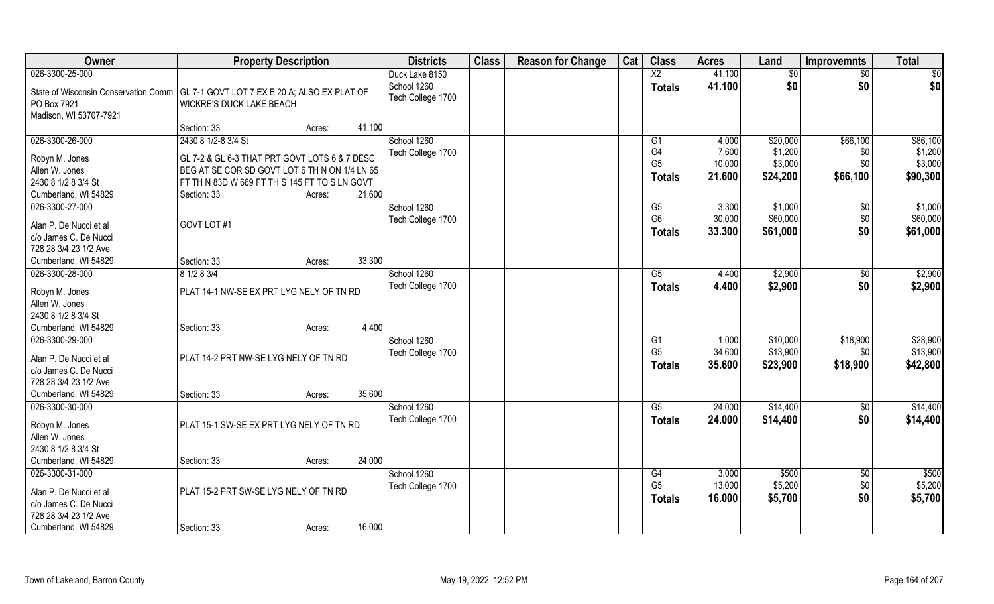| <b>Owner</b>                                                                        | <b>Property Description</b>                   |                  | <b>Districts</b>  | <b>Class</b> | <b>Reason for Change</b> | Cat | <b>Class</b>    | <b>Acres</b> | Land            | <b>Improvemnts</b> | <b>Total</b> |
|-------------------------------------------------------------------------------------|-----------------------------------------------|------------------|-------------------|--------------|--------------------------|-----|-----------------|--------------|-----------------|--------------------|--------------|
| 026-3300-25-000                                                                     |                                               |                  | Duck Lake 8150    |              |                          |     | $\overline{X2}$ | 41.100       | $\overline{50}$ | $\overline{30}$    | \$0          |
| State of Wisconsin Conservation Comm   GL 7-1 GOVT LOT 7 EX E 20 A; ALSO EX PLAT OF |                                               |                  | School 1260       |              |                          |     | <b>Totals</b>   | 41.100       | \$0             | \$0                | \$0          |
| PO Box 7921                                                                         | WICKRE'S DUCK LAKE BEACH                      |                  | Tech College 1700 |              |                          |     |                 |              |                 |                    |              |
| Madison, WI 53707-7921                                                              |                                               |                  |                   |              |                          |     |                 |              |                 |                    |              |
|                                                                                     | Section: 33                                   | 41.100<br>Acres: |                   |              |                          |     |                 |              |                 |                    |              |
| 026-3300-26-000                                                                     | 2430 8 1/2-8 3/4 St                           |                  | School 1260       |              |                          |     | G <sub>1</sub>  | 4.000        | \$20,000        | \$66,100           | \$86,100     |
| Robyn M. Jones                                                                      | GL 7-2 & GL 6-3 THAT PRT GOVT LOTS 6 & 7 DESC |                  | Tech College 1700 |              |                          |     | G4              | 7.600        | \$1,200         | \$0                | \$1,200      |
| Allen W. Jones                                                                      | BEG AT SE COR SD GOVT LOT 6 TH N ON 1/4 LN 65 |                  |                   |              |                          |     | G <sub>5</sub>  | 10.000       | \$3,000         | \$0                | \$3,000      |
| 2430 8 1/2 8 3/4 St                                                                 | FT TH N 83D W 669 FT TH S 145 FT TO S LN GOVT |                  |                   |              |                          |     | <b>Totals</b>   | 21.600       | \$24,200        | \$66,100           | \$90,300     |
| Cumberland, WI 54829                                                                | Section: 33                                   | 21.600<br>Acres: |                   |              |                          |     |                 |              |                 |                    |              |
| 026-3300-27-000                                                                     |                                               |                  | School 1260       |              |                          |     | G5              | 3.300        | \$1,000         | \$0                | \$1,000      |
| Alan P. De Nucci et al                                                              | GOVT LOT #1                                   |                  | Tech College 1700 |              |                          |     | G <sub>6</sub>  | 30.000       | \$60,000        | \$0                | \$60,000     |
| c/o James C. De Nucci                                                               |                                               |                  |                   |              |                          |     | <b>Totals</b>   | 33.300       | \$61,000        | \$0                | \$61,000     |
| 728 28 3/4 23 1/2 Ave                                                               |                                               |                  |                   |              |                          |     |                 |              |                 |                    |              |
| Cumberland, WI 54829                                                                | Section: 33                                   | 33.300<br>Acres: |                   |              |                          |     |                 |              |                 |                    |              |
| 026-3300-28-000                                                                     | 8 1/2 8 3/4                                   |                  | School 1260       |              |                          |     | G5              | 4.400        | \$2,900         | \$0                | \$2,900      |
|                                                                                     |                                               |                  | Tech College 1700 |              |                          |     | <b>Totals</b>   | 4.400        | \$2,900         | \$0                | \$2,900      |
| Robyn M. Jones<br>Allen W. Jones                                                    | PLAT 14-1 NW-SE EX PRT LYG NELY OF TN RD      |                  |                   |              |                          |     |                 |              |                 |                    |              |
| 2430 8 1/2 8 3/4 St                                                                 |                                               |                  |                   |              |                          |     |                 |              |                 |                    |              |
| Cumberland, WI 54829                                                                | Section: 33                                   | 4.400<br>Acres:  |                   |              |                          |     |                 |              |                 |                    |              |
| 026-3300-29-000                                                                     |                                               |                  | School 1260       |              |                          |     | G <sub>1</sub>  | 1.000        | \$10,000        | \$18,900           | \$28,900     |
|                                                                                     |                                               |                  | Tech College 1700 |              |                          |     | G <sub>5</sub>  | 34.600       | \$13,900        | \$0                | \$13,900     |
| Alan P. De Nucci et al                                                              | PLAT 14-2 PRT NW-SE LYG NELY OF TN RD         |                  |                   |              |                          |     | <b>Totals</b>   | 35.600       | \$23,900        | \$18,900           | \$42,800     |
| c/o James C. De Nucci                                                               |                                               |                  |                   |              |                          |     |                 |              |                 |                    |              |
| 728 28 3/4 23 1/2 Ave                                                               |                                               | 35.600           |                   |              |                          |     |                 |              |                 |                    |              |
| Cumberland, WI 54829<br>026-3300-30-000                                             | Section: 33                                   | Acres:           | School 1260       |              |                          |     | G5              | 24.000       | \$14,400        |                    | \$14,400     |
|                                                                                     |                                               |                  | Tech College 1700 |              |                          |     |                 | 24.000       | \$14,400        | \$0<br>\$0         | \$14,400     |
| Robyn M. Jones                                                                      | PLAT 15-1 SW-SE EX PRT LYG NELY OF TN RD      |                  |                   |              |                          |     | <b>Totals</b>   |              |                 |                    |              |
| Allen W. Jones                                                                      |                                               |                  |                   |              |                          |     |                 |              |                 |                    |              |
| 2430 8 1/2 8 3/4 St                                                                 |                                               |                  |                   |              |                          |     |                 |              |                 |                    |              |
| Cumberland, WI 54829                                                                | Section: 33                                   | 24.000<br>Acres: |                   |              |                          |     |                 |              |                 |                    |              |
| 026-3300-31-000                                                                     |                                               |                  | School 1260       |              |                          |     | G4              | 3.000        | \$500           | $\overline{50}$    | \$500        |
| Alan P. De Nucci et al                                                              | PLAT 15-2 PRT SW-SE LYG NELY OF TN RD         |                  | Tech College 1700 |              |                          |     | G <sub>5</sub>  | 13.000       | \$5,200         | \$0                | \$5,200      |
| c/o James C. De Nucci                                                               |                                               |                  |                   |              |                          |     | <b>Totals</b>   | 16.000       | \$5,700         | \$0                | \$5,700      |
| 728 28 3/4 23 1/2 Ave                                                               |                                               |                  |                   |              |                          |     |                 |              |                 |                    |              |
| Cumberland, WI 54829                                                                | Section: 33                                   | 16.000<br>Acres: |                   |              |                          |     |                 |              |                 |                    |              |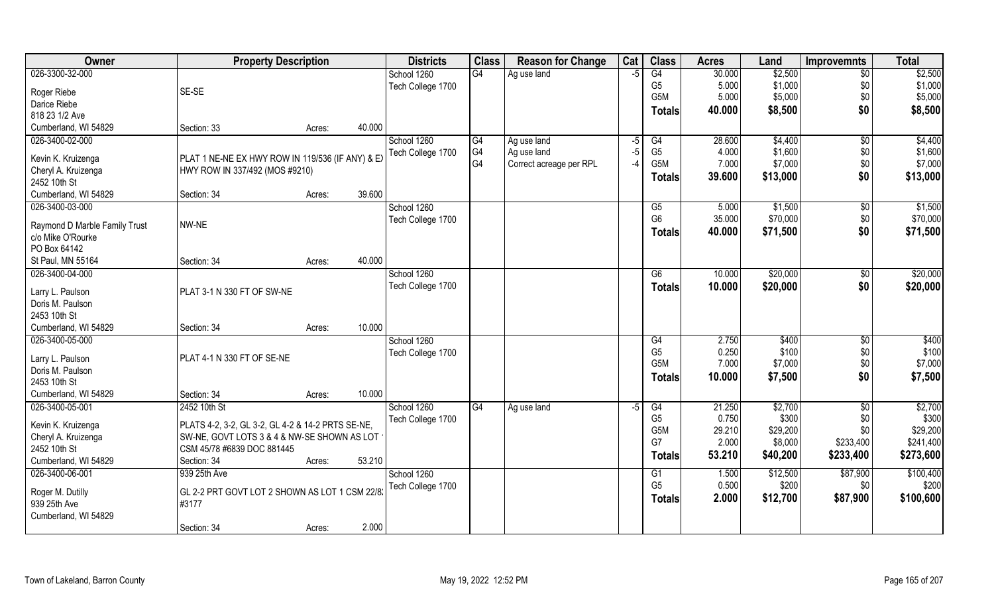| Owner                                              | <b>Property Description</b>                       | <b>Districts</b>  | <b>Class</b> | <b>Reason for Change</b> | Cat  | <b>Class</b>           | <b>Acres</b> | Land     | <b>Improvemnts</b> | <b>Total</b> |
|----------------------------------------------------|---------------------------------------------------|-------------------|--------------|--------------------------|------|------------------------|--------------|----------|--------------------|--------------|
| 026-3300-32-000                                    |                                                   | School 1260       | G4           | Ag use land              | $-5$ | G4                     | 30.000       | \$2,500  | $\sqrt{6}$         | \$2,500      |
| Roger Riebe                                        | SE-SE                                             | Tech College 1700 |              |                          |      | G <sub>5</sub>         | 5.000        | \$1,000  | \$0                | \$1,000      |
| Darice Riebe                                       |                                                   |                   |              |                          |      | G <sub>5</sub> M       | 5.000        | \$5,000  | \$0                | \$5,000      |
| 818 23 1/2 Ave                                     |                                                   |                   |              |                          |      | <b>Totals</b>          | 40.000       | \$8,500  | \$0                | \$8,500      |
| Cumberland, WI 54829                               | 40.000<br>Section: 33<br>Acres:                   |                   |              |                          |      |                        |              |          |                    |              |
| 026-3400-02-000                                    |                                                   | School 1260       | G4           | Ag use land              | -5   | G4                     | 28.600       | \$4,400  | $\sqrt[6]{}$       | \$4,400      |
|                                                    |                                                   | Tech College 1700 | G4           | Ag use land              | -5   | G <sub>5</sub>         | 4.000        | \$1,600  | \$0                | \$1,600      |
| Kevin K. Kruizenga                                 | PLAT 1 NE-NE EX HWY ROW IN 119/536 (IF ANY) & E)  |                   | G4           | Correct acreage per RPL  | -4   | G5M                    | 7.000        | \$7,000  | \$0                | \$7,000      |
| Cheryl A. Kruizenga                                | HWY ROW IN 337/492 (MOS #9210)                    |                   |              |                          |      |                        | 39.600       | \$13,000 | \$0                | \$13,000     |
| 2452 10th St                                       |                                                   |                   |              |                          |      | Totals                 |              |          |                    |              |
| Cumberland, WI 54829                               | Section: 34<br>39.600<br>Acres:                   |                   |              |                          |      |                        |              |          |                    |              |
| 026-3400-03-000                                    |                                                   | School 1260       |              |                          |      | G5                     | 5.000        | \$1,500  | \$0                | \$1,500      |
|                                                    | NW-NE                                             | Tech College 1700 |              |                          |      | G <sub>6</sub>         | 35.000       | \$70,000 | \$0                | \$70,000     |
| Raymond D Marble Family Trust<br>c/o Mike O'Rourke |                                                   |                   |              |                          |      | <b>Totals</b>          | 40.000       | \$71,500 | \$0                | \$71,500     |
| PO Box 64142                                       |                                                   |                   |              |                          |      |                        |              |          |                    |              |
| St Paul, MN 55164                                  | 40.000<br>Section: 34                             |                   |              |                          |      |                        |              |          |                    |              |
| 026-3400-04-000                                    | Acres:                                            |                   |              |                          |      |                        |              |          |                    |              |
|                                                    |                                                   | School 1260       |              |                          |      | G6                     | 10.000       | \$20,000 | \$0                | \$20,000     |
| Larry L. Paulson                                   | PLAT 3-1 N 330 FT OF SW-NE                        | Tech College 1700 |              |                          |      | <b>Totals</b>          | 10.000       | \$20,000 | \$0                | \$20,000     |
| Doris M. Paulson                                   |                                                   |                   |              |                          |      |                        |              |          |                    |              |
| 2453 10th St                                       |                                                   |                   |              |                          |      |                        |              |          |                    |              |
| Cumberland, WI 54829                               | 10.000<br>Section: 34<br>Acres:                   |                   |              |                          |      |                        |              |          |                    |              |
| 026-3400-05-000                                    |                                                   | School 1260       |              |                          |      | G4                     | 2.750        | \$400    | \$0                | \$400        |
|                                                    |                                                   | Tech College 1700 |              |                          |      | G <sub>5</sub>         | 0.250        | \$100    | \$0                | \$100        |
| Larry L. Paulson                                   | PLAT 4-1 N 330 FT OF SE-NE                        |                   |              |                          |      | G <sub>5</sub> M       | 7.000        | \$7,000  | \$0                | \$7,000      |
| Doris M. Paulson                                   |                                                   |                   |              |                          |      | <b>Totals</b>          | 10.000       | \$7,500  | \$0                | \$7,500      |
| 2453 10th St                                       |                                                   |                   |              |                          |      |                        |              |          |                    |              |
| Cumberland, WI 54829                               | 10.000<br>Section: 34<br>Acres:                   |                   |              |                          |      |                        |              |          |                    |              |
| 026-3400-05-001                                    | 2452 10th St                                      | School 1260       | G4           | Ag use land              | -5   | G4                     | 21.250       | \$2,700  | $\sqrt{6}$         | \$2,700      |
| Kevin K. Kruizenga                                 | PLATS 4-2, 3-2, GL 3-2, GL 4-2 & 14-2 PRTS SE-NE, | Tech College 1700 |              |                          |      | G <sub>5</sub>         | 0.750        | \$300    | \$0                | \$300        |
| Cheryl A. Kruizenga                                | SW-NE, GOVT LOTS 3 & 4 & NW-SE SHOWN AS LOT       |                   |              |                          |      | G <sub>5</sub> M<br>G7 | 29.210       | \$29,200 | \$0                | \$29,200     |
| 2452 10th St                                       | CSM 45/78 #6839 DOC 881445                        |                   |              |                          |      |                        | 2.000        | \$8,000  | \$233,400          | \$241,400    |
| Cumberland, WI 54829                               | 53.210<br>Section: 34<br>Acres:                   |                   |              |                          |      | <b>Totals</b>          | 53.210       | \$40,200 | \$233,400          | \$273,600    |
| 026-3400-06-001                                    | 939 25th Ave                                      | School 1260       |              |                          |      | G1                     | 1.500        | \$12,500 | \$87,900           | \$100,400    |
|                                                    |                                                   | Tech College 1700 |              |                          |      | G <sub>5</sub>         | 0.500        | \$200    | \$0                | \$200        |
| Roger M. Dutilly                                   | GL 2-2 PRT GOVT LOT 2 SHOWN AS LOT 1 CSM 22/8:    |                   |              |                          |      | <b>Totals</b>          | 2.000        | \$12,700 | \$87,900           | \$100,600    |
| 939 25th Ave                                       | #3177                                             |                   |              |                          |      |                        |              |          |                    |              |
| Cumberland, WI 54829                               |                                                   |                   |              |                          |      |                        |              |          |                    |              |
|                                                    | 2.000<br>Section: 34<br>Acres:                    |                   |              |                          |      |                        |              |          |                    |              |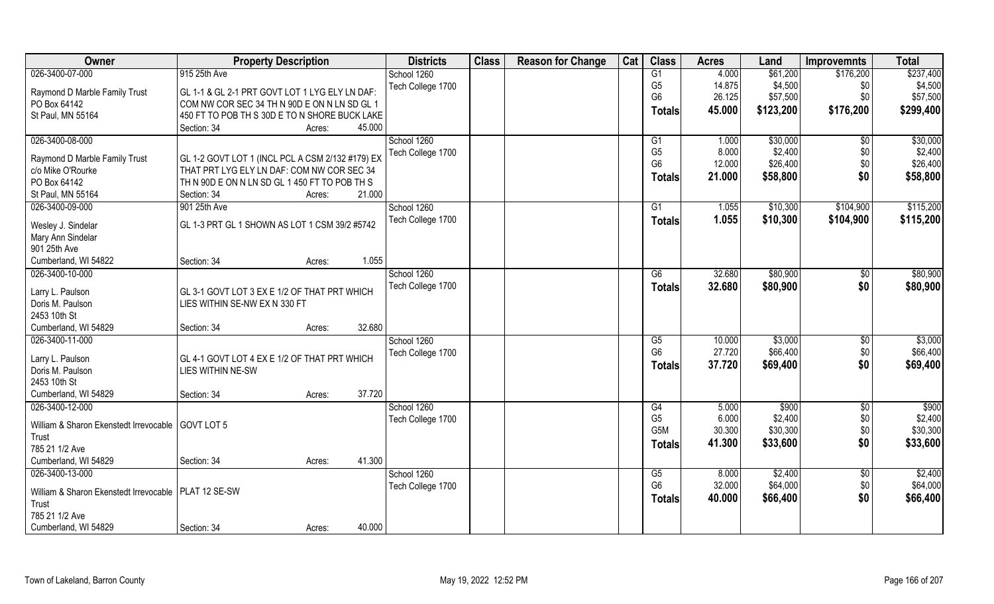| Owner                                                  | <b>Property Description</b>                      |        | <b>Districts</b>  | <b>Class</b> | <b>Reason for Change</b> | Cat | <b>Class</b>         | <b>Acres</b>   | Land             | <b>Improvemnts</b> | <b>Total</b> |
|--------------------------------------------------------|--------------------------------------------------|--------|-------------------|--------------|--------------------------|-----|----------------------|----------------|------------------|--------------------|--------------|
| 026-3400-07-000                                        | 915 25th Ave                                     |        | School 1260       |              |                          |     | G1                   | 4.000          | \$61,200         | \$176,200          | \$237,400    |
| Raymond D Marble Family Trust                          | GL 1-1 & GL 2-1 PRT GOVT LOT 1 LYG ELY LN DAF:   |        | Tech College 1700 |              |                          |     | G <sub>5</sub>       | 14.875         | \$4,500          | \$0                | \$4,500      |
| PO Box 64142                                           | COM NW COR SEC 34 TH N 90D E ON N LN SD GL 1     |        |                   |              |                          |     | G <sub>6</sub>       | 26.125         | \$57,500         | \$0                | \$57,500     |
| St Paul, MN 55164                                      | 450 FT TO POB TH S 30D E TO N SHORE BUCK LAKE    |        |                   |              |                          |     | <b>Totals</b>        | 45.000         | \$123,200        | \$176,200          | \$299,400    |
|                                                        | Section: 34<br>Acres:                            | 45.000 |                   |              |                          |     |                      |                |                  |                    |              |
| 026-3400-08-000                                        |                                                  |        | School 1260       |              |                          |     | G1                   | 1.000          | \$30,000         | $\overline{50}$    | \$30,000     |
|                                                        |                                                  |        | Tech College 1700 |              |                          |     | G <sub>5</sub>       | 8.000          | \$2,400          | \$0                | \$2,400      |
| Raymond D Marble Family Trust                          | GL 1-2 GOVT LOT 1 (INCL PCL A CSM 2/132 #179) EX |        |                   |              |                          |     | G <sub>6</sub>       | 12.000         | \$26,400         | \$0                | \$26,400     |
| c/o Mike O'Rourke                                      | THAT PRT LYG ELY LN DAF: COM NW COR SEC 34       |        |                   |              |                          |     | <b>Totals</b>        | 21.000         | \$58,800         | \$0                | \$58,800     |
| PO Box 64142                                           | TH N 90D E ON N LN SD GL 1 450 FT TO POB TH S    |        |                   |              |                          |     |                      |                |                  |                    |              |
| St Paul, MN 55164                                      | Section: 34<br>Acres:                            | 21.000 |                   |              |                          |     |                      |                |                  |                    |              |
| 026-3400-09-000                                        | 901 25th Ave                                     |        | School 1260       |              |                          |     | G1                   | 1.055          | \$10,300         | \$104,900          | \$115,200    |
| Wesley J. Sindelar                                     | GL 1-3 PRT GL 1 SHOWN AS LOT 1 CSM 39/2 #5742    |        | Tech College 1700 |              |                          |     | <b>Totals</b>        | 1.055          | \$10,300         | \$104,900          | \$115,200    |
| Mary Ann Sindelar                                      |                                                  |        |                   |              |                          |     |                      |                |                  |                    |              |
| 901 25th Ave                                           |                                                  |        |                   |              |                          |     |                      |                |                  |                    |              |
| Cumberland, WI 54822                                   | Section: 34<br>Acres:                            | 1.055  |                   |              |                          |     |                      |                |                  |                    |              |
| 026-3400-10-000                                        |                                                  |        | School 1260       |              |                          |     | G6                   | 32.680         | \$80,900         | $\sqrt[6]{3}$      | \$80,900     |
|                                                        |                                                  |        | Tech College 1700 |              |                          |     |                      | 32.680         | \$80,900         | \$0                | \$80,900     |
| Larry L. Paulson                                       | GL 3-1 GOVT LOT 3 EX E 1/2 OF THAT PRT WHICH     |        |                   |              |                          |     | <b>Totals</b>        |                |                  |                    |              |
| Doris M. Paulson                                       | LIES WITHIN SE-NW EX N 330 FT                    |        |                   |              |                          |     |                      |                |                  |                    |              |
| 2453 10th St                                           |                                                  |        |                   |              |                          |     |                      |                |                  |                    |              |
| Cumberland, WI 54829                                   | Section: 34<br>Acres:                            | 32.680 |                   |              |                          |     |                      |                |                  |                    |              |
| 026-3400-11-000                                        |                                                  |        | School 1260       |              |                          |     | G5                   | 10.000         | \$3,000          | \$0                | \$3,000      |
| Larry L. Paulson                                       | GL 4-1 GOVT LOT 4 EX E 1/2 OF THAT PRT WHICH     |        | Tech College 1700 |              |                          |     | G <sub>6</sub>       | 27.720         | \$66,400         | \$0                | \$66,400     |
| Doris M. Paulson                                       | LIES WITHIN NE-SW                                |        |                   |              |                          |     | <b>Totals</b>        | 37.720         | \$69,400         | \$0                | \$69,400     |
| 2453 10th St                                           |                                                  |        |                   |              |                          |     |                      |                |                  |                    |              |
| Cumberland, WI 54829                                   | Section: 34                                      | 37.720 |                   |              |                          |     |                      |                |                  |                    |              |
|                                                        | Acres:                                           |        |                   |              |                          |     |                      |                |                  |                    | \$900        |
| 026-3400-12-000                                        |                                                  |        | School 1260       |              |                          |     | G4<br>G <sub>5</sub> | 5.000<br>6.000 | \$900<br>\$2,400 | \$0<br>\$0         | \$2,400      |
| William & Sharon Ekenstedt Irrevocable   GOVT LOT 5    |                                                  |        | Tech College 1700 |              |                          |     | G <sub>5</sub> M     | 30.300         | \$30,300         | \$0                | \$30,300     |
| Trust                                                  |                                                  |        |                   |              |                          |     |                      |                |                  |                    |              |
| 785 21 1/2 Ave                                         |                                                  |        |                   |              |                          |     | <b>Totals</b>        | 41.300         | \$33,600         | \$0                | \$33,600     |
| Cumberland, WI 54829                                   | Section: 34<br>Acres:                            | 41.300 |                   |              |                          |     |                      |                |                  |                    |              |
| 026-3400-13-000                                        |                                                  |        | School 1260       |              |                          |     | G5                   | 8.000          | \$2,400          | $\sqrt{$0}$        | \$2,400      |
|                                                        |                                                  |        | Tech College 1700 |              |                          |     | G <sub>6</sub>       | 32.000         | \$64,000         | \$0                | \$64,000     |
| William & Sharon Ekenstedt Irrevocable   PLAT 12 SE-SW |                                                  |        |                   |              |                          |     | <b>Totals</b>        | 40.000         | \$66,400         | \$0                | \$66,400     |
| Trust                                                  |                                                  |        |                   |              |                          |     |                      |                |                  |                    |              |
| 785 21 1/2 Ave                                         |                                                  |        |                   |              |                          |     |                      |                |                  |                    |              |
| Cumberland, WI 54829                                   | Section: 34<br>Acres:                            | 40.000 |                   |              |                          |     |                      |                |                  |                    |              |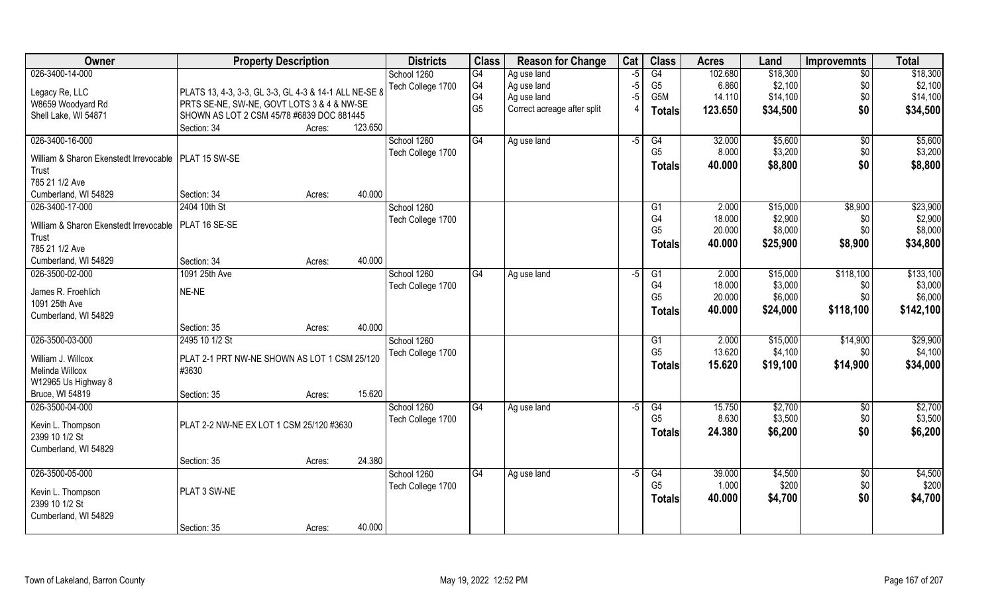| Owner                                                  | <b>Property Description</b>                           |        |         | <b>Districts</b>  | <b>Class</b>   | <b>Reason for Change</b>    | Cat  | <b>Class</b>   | <b>Acres</b> | Land     | <b>Improvemnts</b> | <b>Total</b> |
|--------------------------------------------------------|-------------------------------------------------------|--------|---------|-------------------|----------------|-----------------------------|------|----------------|--------------|----------|--------------------|--------------|
| 026-3400-14-000                                        |                                                       |        |         | School 1260       | G4             | Ag use land                 | $-5$ | G4             | 102.680      | \$18,300 | $\overline{30}$    | \$18,300     |
| Legacy Re, LLC                                         | PLATS 13, 4-3, 3-3, GL 3-3, GL 4-3 & 14-1 ALL NE-SE 8 |        |         | Tech College 1700 | G4             | Ag use land                 | $-5$ | G <sub>5</sub> | 6.860        | \$2,100  | \$0                | \$2,100      |
| W8659 Woodyard Rd                                      | PRTS SE-NE, SW-NE, GOVT LOTS 3 & 4 & NW-SE            |        |         |                   | G4             | Ag use land                 | $-5$ | G5M            | 14.110       | \$14,100 | \$0                | \$14,100     |
| Shell Lake, WI 54871                                   | SHOWN AS LOT 2 CSM 45/78 #6839 DOC 881445             |        |         |                   | G <sub>5</sub> | Correct acreage after split | 4    | <b>Totals</b>  | 123.650      | \$34,500 | \$0                | \$34,500     |
|                                                        | Section: 34                                           | Acres: | 123.650 |                   |                |                             |      |                |              |          |                    |              |
| 026-3400-16-000                                        |                                                       |        |         | School 1260       | G4             | Ag use land                 | $-5$ | G4             | 32.000       | \$5,600  | \$0                | \$5,600      |
|                                                        |                                                       |        |         | Tech College 1700 |                |                             |      | G <sub>5</sub> | 8.000        | \$3,200  | \$0                | \$3,200      |
| William & Sharon Ekenstedt Irrevocable   PLAT 15 SW-SE |                                                       |        |         |                   |                |                             |      | <b>Totals</b>  | 40.000       | \$8,800  | \$0                | \$8,800      |
| Trust<br>785 21 1/2 Ave                                |                                                       |        |         |                   |                |                             |      |                |              |          |                    |              |
| Cumberland, WI 54829                                   | Section: 34                                           | Acres: | 40.000  |                   |                |                             |      |                |              |          |                    |              |
| 026-3400-17-000                                        | 2404 10th St                                          |        |         | School 1260       |                |                             |      | G1             | 2.000        | \$15,000 | \$8,900            | \$23,900     |
|                                                        |                                                       |        |         | Tech College 1700 |                |                             |      | G4             | 18.000       | \$2,900  | \$0                | \$2,900      |
| William & Sharon Ekenstedt Irrevocable   PLAT 16 SE-SE |                                                       |        |         |                   |                |                             |      | G <sub>5</sub> | 20.000       | \$8,000  | \$0                | \$8,000      |
| Trust                                                  |                                                       |        |         |                   |                |                             |      | <b>Totals</b>  | 40.000       | \$25,900 | \$8,900            | \$34,800     |
| 785 21 1/2 Ave                                         |                                                       |        |         |                   |                |                             |      |                |              |          |                    |              |
| Cumberland, WI 54829                                   | Section: 34                                           | Acres: | 40.000  |                   |                |                             |      |                |              |          |                    |              |
| 026-3500-02-000                                        | 1091 25th Ave                                         |        |         | School 1260       | G <sub>4</sub> | Ag use land                 | -5   | G1             | 2.000        | \$15,000 | \$118,100          | \$133,100    |
| James R. Froehlich                                     | NE-NE                                                 |        |         | Tech College 1700 |                |                             |      | G <sub>4</sub> | 18.000       | \$3,000  | \$0                | \$3,000      |
| 1091 25th Ave                                          |                                                       |        |         |                   |                |                             |      | G <sub>5</sub> | 20.000       | \$6,000  | \$0                | \$6,000      |
| Cumberland, WI 54829                                   |                                                       |        |         |                   |                |                             |      | <b>Totals</b>  | 40.000       | \$24,000 | \$118,100          | \$142,100    |
|                                                        | Section: 35                                           | Acres: | 40.000  |                   |                |                             |      |                |              |          |                    |              |
| 026-3500-03-000                                        | 2495 10 1/2 St                                        |        |         | School 1260       |                |                             |      | G1             | 2.000        | \$15,000 | \$14,900           | \$29,900     |
|                                                        |                                                       |        |         | Tech College 1700 |                |                             |      | G <sub>5</sub> | 13.620       | \$4,100  | \$0                | \$4,100      |
| William J. Willcox                                     | PLAT 2-1 PRT NW-NE SHOWN AS LOT 1 CSM 25/120          |        |         |                   |                |                             |      | <b>Totals</b>  | 15.620       | \$19,100 | \$14,900           | \$34,000     |
| Melinda Willcox                                        | #3630                                                 |        |         |                   |                |                             |      |                |              |          |                    |              |
| W12965 Us Highway 8                                    |                                                       |        |         |                   |                |                             |      |                |              |          |                    |              |
| Bruce, WI 54819                                        | Section: 35                                           | Acres: | 15.620  |                   |                |                             |      |                |              |          |                    |              |
| 026-3500-04-000                                        |                                                       |        |         | School 1260       | G4             | Ag use land                 | $-5$ | G4             | 15.750       | \$2,700  | \$0                | \$2,700      |
| Kevin L. Thompson                                      | PLAT 2-2 NW-NE EX LOT 1 CSM 25/120 #3630              |        |         | Tech College 1700 |                |                             |      | G <sub>5</sub> | 8.630        | \$3,500  | \$0                | \$3,500      |
| 2399 10 1/2 St                                         |                                                       |        |         |                   |                |                             |      | <b>Totals</b>  | 24.380       | \$6,200  | \$0                | \$6,200      |
| Cumberland, WI 54829                                   |                                                       |        |         |                   |                |                             |      |                |              |          |                    |              |
|                                                        | Section: 35                                           | Acres: | 24.380  |                   |                |                             |      |                |              |          |                    |              |
| 026-3500-05-000                                        |                                                       |        |         | School 1260       | G4             | Ag use land                 | $-5$ | G4             | 39.000       | \$4,500  | $\sqrt{$0}$        | \$4,500      |
|                                                        |                                                       |        |         | Tech College 1700 |                |                             |      | G <sub>5</sub> | 1.000        | \$200    | \$0                | \$200        |
| Kevin L. Thompson                                      | PLAT 3 SW-NE                                          |        |         |                   |                |                             |      | <b>Totals</b>  | 40.000       | \$4,700  | \$0                | \$4,700      |
| 2399 10 1/2 St                                         |                                                       |        |         |                   |                |                             |      |                |              |          |                    |              |
| Cumberland, WI 54829                                   |                                                       |        | 40.000  |                   |                |                             |      |                |              |          |                    |              |
|                                                        | Section: 35                                           | Acres: |         |                   |                |                             |      |                |              |          |                    |              |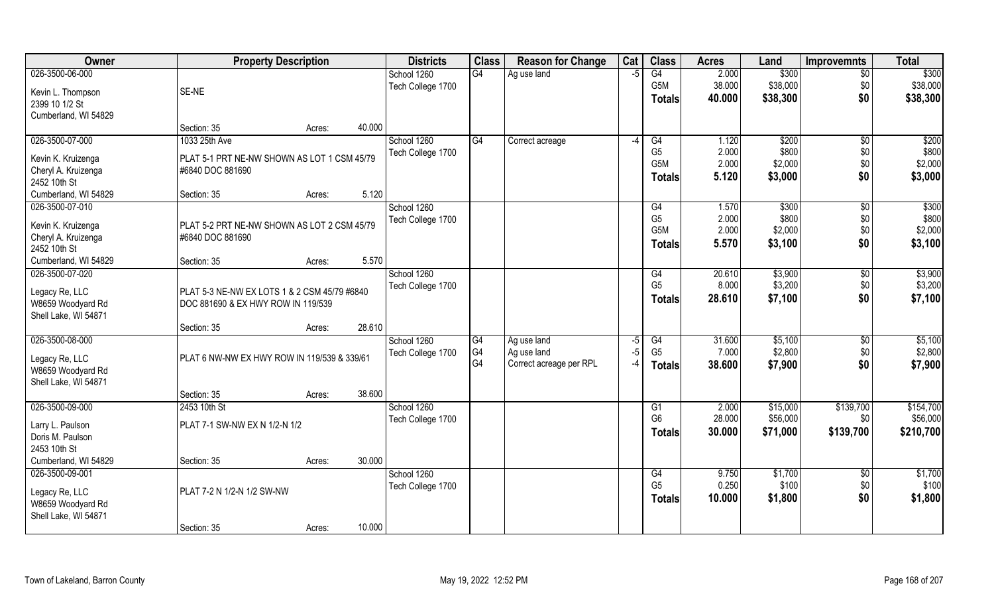| Owner                               | <b>Property Description</b>                  |        | <b>Districts</b>  | <b>Class</b> | <b>Reason for Change</b> | Cat  | <b>Class</b>     | <b>Acres</b> | Land     | <b>Improvemnts</b> | <b>Total</b> |
|-------------------------------------|----------------------------------------------|--------|-------------------|--------------|--------------------------|------|------------------|--------------|----------|--------------------|--------------|
| 026-3500-06-000                     |                                              |        | School 1260       | G4           | Ag use land              | $-5$ | G4               | 2.000        | \$300    | $\overline{30}$    | \$300        |
| Kevin L. Thompson                   | SE-NE                                        |        | Tech College 1700 |              |                          |      | G5M              | 38.000       | \$38,000 | \$0                | \$38,000     |
| 2399 10 1/2 St                      |                                              |        |                   |              |                          |      | <b>Totals</b>    | 40.000       | \$38,300 | \$0                | \$38,300     |
| Cumberland, WI 54829                |                                              |        |                   |              |                          |      |                  |              |          |                    |              |
|                                     | Section: 35<br>Acres:                        | 40.000 |                   |              |                          |      |                  |              |          |                    |              |
| 026-3500-07-000                     | 1033 25th Ave                                |        | School 1260       | G4           | Correct acreage          | $-4$ | G4               | 1.120        | \$200    | \$0                | \$200        |
| Kevin K. Kruizenga                  | PLAT 5-1 PRT NE-NW SHOWN AS LOT 1 CSM 45/79  |        | Tech College 1700 |              |                          |      | G <sub>5</sub>   | 2.000        | \$800    | \$0                | \$800        |
| Cheryl A. Kruizenga                 | #6840 DOC 881690                             |        |                   |              |                          |      | G5M              | 2.000        | \$2,000  | \$0                | \$2,000      |
| 2452 10th St                        |                                              |        |                   |              |                          |      | <b>Totals</b>    | 5.120        | \$3,000  | \$0                | \$3,000      |
| Cumberland, WI 54829                | Section: 35<br>Acres:                        | 5.120  |                   |              |                          |      |                  |              |          |                    |              |
| 026-3500-07-010                     |                                              |        | School 1260       |              |                          |      | G4               | 1.570        | \$300    | $\sqrt{6}$         | \$300        |
| Kevin K. Kruizenga                  | PLAT 5-2 PRT NE-NW SHOWN AS LOT 2 CSM 45/79  |        | Tech College 1700 |              |                          |      | G <sub>5</sub>   | 2.000        | \$800    | \$0                | \$800        |
| Cheryl A. Kruizenga                 | #6840 DOC 881690                             |        |                   |              |                          |      | G <sub>5</sub> M | 2.000        | \$2,000  | \$0                | \$2,000      |
| 2452 10th St                        |                                              |        |                   |              |                          |      | Totals           | 5.570        | \$3,100  | \$0                | \$3,100      |
| Cumberland, WI 54829                | Section: 35<br>Acres:                        | 5.570  |                   |              |                          |      |                  |              |          |                    |              |
| 026-3500-07-020                     |                                              |        | School 1260       |              |                          |      | G4               | 20.610       | \$3,900  | \$0                | \$3,900      |
|                                     | PLAT 5-3 NE-NW EX LOTS 1 & 2 CSM 45/79 #6840 |        | Tech College 1700 |              |                          |      | G <sub>5</sub>   | 8.000        | \$3,200  | \$0                | \$3,200      |
| Legacy Re, LLC<br>W8659 Woodyard Rd | DOC 881690 & EX HWY ROW IN 119/539           |        |                   |              |                          |      | <b>Totals</b>    | 28.610       | \$7,100  | \$0                | \$7,100      |
| Shell Lake, WI 54871                |                                              |        |                   |              |                          |      |                  |              |          |                    |              |
|                                     | Section: 35<br>Acres:                        | 28.610 |                   |              |                          |      |                  |              |          |                    |              |
| 026-3500-08-000                     |                                              |        | School 1260       | G4           | Ag use land              | -5   | G4               | 31.600       | \$5,100  | $\overline{60}$    | \$5,100      |
|                                     | PLAT 6 NW-NW EX HWY ROW IN 119/539 & 339/61  |        | Tech College 1700 | G4           | Ag use land              | $-5$ | G <sub>5</sub>   | 7.000        | \$2,800  | \$0                | \$2,800      |
| Legacy Re, LLC<br>W8659 Woodyard Rd |                                              |        |                   | G4           | Correct acreage per RPL  | -4   | Totals           | 38.600       | \$7,900  | \$0                | \$7,900      |
| Shell Lake, WI 54871                |                                              |        |                   |              |                          |      |                  |              |          |                    |              |
|                                     | Section: 35<br>Acres:                        | 38.600 |                   |              |                          |      |                  |              |          |                    |              |
| 026-3500-09-000                     | 2453 10th St                                 |        | School 1260       |              |                          |      | G1               | 2.000        | \$15,000 | \$139,700          | \$154,700    |
| Larry L. Paulson                    | PLAT 7-1 SW-NW EX N 1/2-N 1/2                |        | Tech College 1700 |              |                          |      | G <sub>6</sub>   | 28.000       | \$56,000 | \$0                | \$56,000     |
| Doris M. Paulson                    |                                              |        |                   |              |                          |      | <b>Totals</b>    | 30.000       | \$71,000 | \$139,700          | \$210,700    |
| 2453 10th St                        |                                              |        |                   |              |                          |      |                  |              |          |                    |              |
| Cumberland, WI 54829                | Section: 35<br>Acres:                        | 30.000 |                   |              |                          |      |                  |              |          |                    |              |
| 026-3500-09-001                     |                                              |        | School 1260       |              |                          |      | G4               | 9.750        | \$1,700  | $\overline{50}$    | \$1,700      |
|                                     | PLAT 7-2 N 1/2-N 1/2 SW-NW                   |        | Tech College 1700 |              |                          |      | G <sub>5</sub>   | 0.250        | \$100    | \$0                | \$100        |
| Legacy Re, LLC<br>W8659 Woodyard Rd |                                              |        |                   |              |                          |      | Totals           | 10.000       | \$1,800  | \$0                | \$1,800      |
| Shell Lake, WI 54871                |                                              |        |                   |              |                          |      |                  |              |          |                    |              |
|                                     | Section: 35<br>Acres:                        | 10.000 |                   |              |                          |      |                  |              |          |                    |              |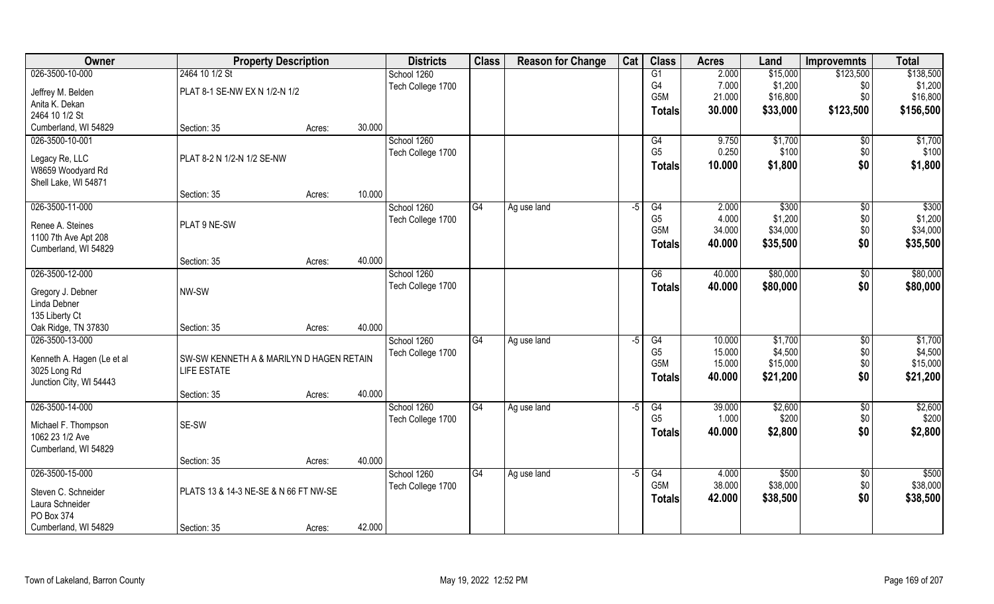| Owner                                   | <b>Property Description</b>              |        |        | <b>Districts</b>  | <b>Class</b> | <b>Reason for Change</b> | Cat  | <b>Class</b>         | <b>Acres</b>   | Land     | <b>Improvemnts</b>   | <b>Total</b> |
|-----------------------------------------|------------------------------------------|--------|--------|-------------------|--------------|--------------------------|------|----------------------|----------------|----------|----------------------|--------------|
| 026-3500-10-000                         | 2464 10 1/2 St                           |        |        | School 1260       |              |                          |      | G1                   | 2.000          | \$15,000 | \$123,500            | \$138,500    |
| Jeffrey M. Belden                       | PLAT 8-1 SE-NW EX N 1/2-N 1/2            |        |        | Tech College 1700 |              |                          |      | G4                   | 7.000          | \$1,200  | \$0                  | \$1,200      |
| Anita K. Dekan                          |                                          |        |        |                   |              |                          |      | G5M                  | 21.000         | \$16,800 | \$0                  | \$16,800     |
| 2464 10 1/2 St                          |                                          |        |        |                   |              |                          |      | Totals               | 30.000         | \$33,000 | \$123,500            | \$156,500    |
| Cumberland, WI 54829                    | Section: 35                              | Acres: | 30.000 |                   |              |                          |      |                      |                |          |                      |              |
| 026-3500-10-001                         |                                          |        |        | School 1260       |              |                          |      | G4                   | 9.750          | \$1,700  | $\sqrt{$0}$          | \$1,700      |
|                                         |                                          |        |        | Tech College 1700 |              |                          |      | G <sub>5</sub>       | 0.250          | \$100    | \$0                  | \$100        |
| Legacy Re, LLC                          | PLAT 8-2 N 1/2-N 1/2 SE-NW               |        |        |                   |              |                          |      | <b>Totals</b>        | 10.000         | \$1,800  | \$0                  | \$1,800      |
| W8659 Woodyard Rd                       |                                          |        |        |                   |              |                          |      |                      |                |          |                      |              |
| Shell Lake, WI 54871                    |                                          |        | 10.000 |                   |              |                          |      |                      |                |          |                      |              |
| 026-3500-11-000                         | Section: 35                              | Acres: |        | School 1260       | G4           |                          |      |                      |                | \$300    |                      | \$300        |
|                                         |                                          |        |        |                   |              | Ag use land              | $-5$ | G4<br>G <sub>5</sub> | 2.000<br>4.000 | \$1,200  | $\sqrt[6]{3}$<br>\$0 | \$1,200      |
| Renee A. Steines                        | PLAT 9 NE-SW                             |        |        | Tech College 1700 |              |                          |      | G <sub>5</sub> M     | 34.000         | \$34,000 | \$0                  | \$34,000     |
| 1100 7th Ave Apt 208                    |                                          |        |        |                   |              |                          |      |                      | 40.000         | \$35,500 | \$0                  | \$35,500     |
| Cumberland, WI 54829                    |                                          |        |        |                   |              |                          |      | Totals               |                |          |                      |              |
|                                         | Section: 35                              | Acres: | 40.000 |                   |              |                          |      |                      |                |          |                      |              |
| 026-3500-12-000                         |                                          |        |        | School 1260       |              |                          |      | G6                   | 40.000         | \$80,000 | \$0                  | \$80,000     |
| Gregory J. Debner                       | NW-SW                                    |        |        | Tech College 1700 |              |                          |      | <b>Totals</b>        | 40.000         | \$80,000 | \$0                  | \$80,000     |
| Linda Debner                            |                                          |        |        |                   |              |                          |      |                      |                |          |                      |              |
| 135 Liberty Ct                          |                                          |        |        |                   |              |                          |      |                      |                |          |                      |              |
| Oak Ridge, TN 37830                     | Section: 35                              | Acres: | 40.000 |                   |              |                          |      |                      |                |          |                      |              |
| 026-3500-13-000                         |                                          |        |        | School 1260       | G4           | Ag use land              | -5   | G4                   | 10.000         | \$1,700  | \$0                  | \$1,700      |
|                                         |                                          |        |        | Tech College 1700 |              |                          |      | G <sub>5</sub>       | 15.000         | \$4,500  | \$0                  | \$4,500      |
| Kenneth A. Hagen (Le et al              | SW-SW KENNETH A & MARILYN D HAGEN RETAIN |        |        |                   |              |                          |      | G5M                  | 15.000         | \$15,000 | \$0                  | \$15,000     |
| 3025 Long Rd<br>Junction City, WI 54443 | <b>LIFE ESTATE</b>                       |        |        |                   |              |                          |      | <b>Totals</b>        | 40.000         | \$21,200 | \$0                  | \$21,200     |
|                                         | Section: 35                              | Acres: | 40.000 |                   |              |                          |      |                      |                |          |                      |              |
| 026-3500-14-000                         |                                          |        |        | School 1260       | G4           | Ag use land              | $-5$ | G4                   | 39.000         | \$2,600  | $\sqrt{$0}$          | \$2,600      |
|                                         |                                          |        |        | Tech College 1700 |              |                          |      | G <sub>5</sub>       | 1.000          | \$200    | \$0                  | \$200        |
| Michael F. Thompson                     | SE-SW                                    |        |        |                   |              |                          |      | <b>Totals</b>        | 40.000         | \$2,800  | \$0                  | \$2,800      |
| 1062 23 1/2 Ave                         |                                          |        |        |                   |              |                          |      |                      |                |          |                      |              |
| Cumberland, WI 54829                    |                                          |        |        |                   |              |                          |      |                      |                |          |                      |              |
|                                         | Section: 35                              | Acres: | 40.000 |                   |              |                          |      |                      |                |          |                      |              |
| 026-3500-15-000                         |                                          |        |        | School 1260       | G4           | Ag use land              | $-5$ | G4                   | 4.000          | \$500    | $\sqrt{$0}$          | \$500        |
| Steven C. Schneider                     | PLATS 13 & 14-3 NE-SE & N 66 FT NW-SE    |        |        | Tech College 1700 |              |                          |      | G <sub>5</sub> M     | 38.000         | \$38,000 | \$0                  | \$38,000     |
| Laura Schneider                         |                                          |        |        |                   |              |                          |      | <b>Totals</b>        | 42.000         | \$38,500 | \$0                  | \$38,500     |
| PO Box 374                              |                                          |        |        |                   |              |                          |      |                      |                |          |                      |              |
| Cumberland, WI 54829                    | Section: 35                              | Acres: | 42.000 |                   |              |                          |      |                      |                |          |                      |              |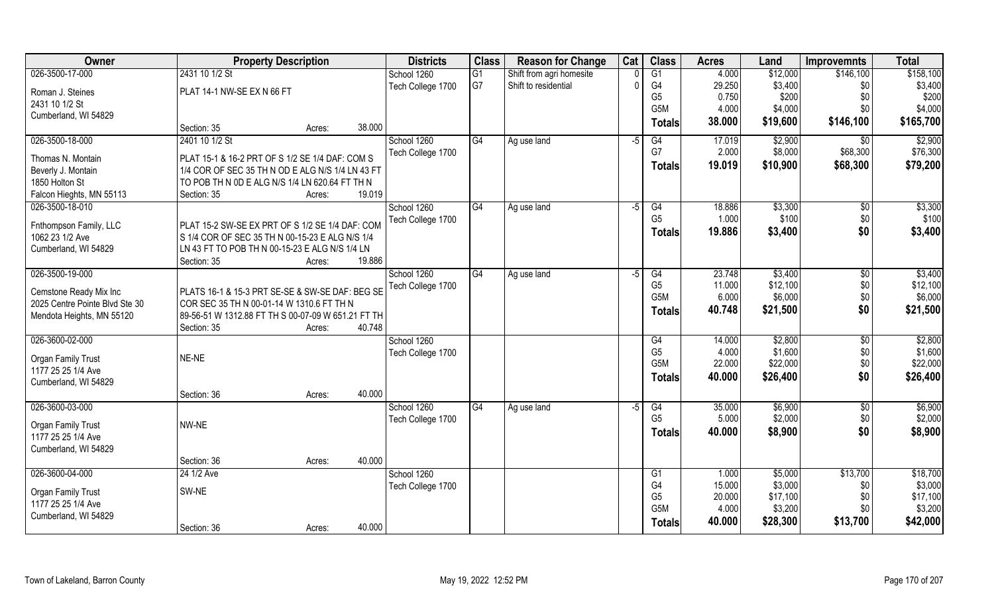| Owner                          | <b>Property Description</b>                                  | <b>Districts</b>  | <b>Class</b> | <b>Reason for Change</b> | Cat  | <b>Class</b>                       | <b>Acres</b>    | Land     | <b>Improvemnts</b>  | <b>Total</b> |
|--------------------------------|--------------------------------------------------------------|-------------------|--------------|--------------------------|------|------------------------------------|-----------------|----------|---------------------|--------------|
| 026-3500-17-000                | 2431 10 1/2 St                                               | School 1260       | G1           | Shift from agri homesite |      | $\overline{G1}$                    | 4.000           | \$12,000 | \$146,100           | \$158,100    |
| Roman J. Steines               | PLAT 14-1 NW-SE EX N 66 FT                                   | Tech College 1700 | G7           | Shift to residential     |      | G4                                 | 29.250          | \$3,400  | \$0                 | \$3,400      |
| 2431 10 1/2 St                 |                                                              |                   |              |                          |      | G <sub>5</sub>                     | 0.750           | \$200    | \$0                 | \$200        |
| Cumberland, WI 54829           |                                                              |                   |              |                          |      | G <sub>5</sub> M                   | 4.000           | \$4,000  | \$0                 | \$4,000      |
|                                | 38.000<br>Section: 35<br>Acres:                              |                   |              |                          |      | <b>Totals</b>                      | 38.000          | \$19,600 | \$146,100           | \$165,700    |
| 026-3500-18-000                | 2401 10 1/2 St                                               | School 1260       | G4           | Ag use land              | $-5$ | G4                                 | 17.019          | \$2,900  | $\overline{50}$     | \$2,900      |
| Thomas N. Montain              | PLAT 15-1 & 16-2 PRT OF S 1/2 SE 1/4 DAF: COM S              | Tech College 1700 |              |                          |      | G7                                 | 2.000           | \$8,000  | \$68,300            | \$76,300     |
| Beverly J. Montain             | 1/4 COR OF SEC 35 TH N OD E ALG N/S 1/4 LN 43 FT             |                   |              |                          |      | <b>Totals</b>                      | 19.019          | \$10,900 | \$68,300            | \$79,200     |
| 1850 Holton St                 | TO POB TH N OD E ALG N/S 1/4 LN 620.64 FT TH N               |                   |              |                          |      |                                    |                 |          |                     |              |
| Falcon Hieghts, MN 55113       | 19.019<br>Section: 35<br>Acres:                              |                   |              |                          |      |                                    |                 |          |                     |              |
| 026-3500-18-010                |                                                              | School 1260       | G4           |                          | $-5$ | G4                                 | 18.886          | \$3,300  |                     | \$3,300      |
|                                |                                                              |                   |              | Ag use land              |      | G <sub>5</sub>                     | 1.000           | \$100    | $\sqrt[6]{}$<br>\$0 | \$100        |
| Fnthompson Family, LLC         | PLAT 15-2 SW-SE EX PRT OF S 1/2 SE 1/4 DAF: COM              | Tech College 1700 |              |                          |      |                                    |                 |          |                     |              |
| 1062 23 1/2 Ave                | S 1/4 COR OF SEC 35 TH N 00-15-23 E ALG N/S 1/4              |                   |              |                          |      | <b>Totals</b>                      | 19.886          | \$3,400  | \$0                 | \$3,400      |
| Cumberland, WI 54829           | LN 43 FT TO POB TH N 00-15-23 E ALG N/S 1/4 LN               |                   |              |                          |      |                                    |                 |          |                     |              |
|                                | 19.886<br>Section: 35<br>Acres:                              |                   |              |                          |      |                                    |                 |          |                     |              |
| 026-3500-19-000                |                                                              | School 1260       | G4           | Ag use land              | -5   | G4                                 | 23.748          | \$3,400  | $\sqrt[6]{3}$       | \$3,400      |
|                                |                                                              | Tech College 1700 |              |                          |      | G <sub>5</sub>                     | 11.000          | \$12,100 | \$0                 | \$12,100     |
| Cemstone Ready Mix Inc         | PLATS 16-1 & 15-3 PRT SE-SE & SW-SE DAF: BEG SE              |                   |              |                          |      | G <sub>5</sub> M                   | 6.000           | \$6,000  | \$0                 | \$6,000      |
| 2025 Centre Pointe Blvd Ste 30 | COR SEC 35 TH N 00-01-14 W 1310.6 FT TH N                    |                   |              |                          |      | <b>Totals</b>                      | 40.748          | \$21,500 | \$0                 | \$21,500     |
| Mendota Heights, MN 55120      | 89-56-51 W 1312.88 FT TH S 00-07-09 W 651.21 FT TH<br>40.748 |                   |              |                          |      |                                    |                 |          |                     |              |
|                                | Section: 35<br>Acres:                                        |                   |              |                          |      |                                    |                 |          |                     |              |
| 026-3600-02-000                |                                                              | School 1260       |              |                          |      | G4                                 | 14.000          | \$2,800  | $\overline{50}$     | \$2,800      |
| Organ Family Trust             | NE-NE                                                        | Tech College 1700 |              |                          |      | G <sub>5</sub>                     | 4.000<br>22.000 | \$1,600  | \$0                 | \$1,600      |
| 1177 25 25 1/4 Ave             |                                                              |                   |              |                          |      | G <sub>5</sub> M                   |                 | \$22,000 | \$0                 | \$22,000     |
| Cumberland, WI 54829           |                                                              |                   |              |                          |      | <b>Totals</b>                      | 40.000          | \$26,400 | \$0                 | \$26,400     |
|                                | 40.000<br>Section: 36<br>Acres:                              |                   |              |                          |      |                                    |                 |          |                     |              |
| 026-3600-03-000                |                                                              | School 1260       | G4           | Ag use land              | $-5$ | G4                                 | 35.000          | \$6,900  | $\overline{50}$     | \$6,900      |
|                                |                                                              | Tech College 1700 |              |                          |      | G <sub>5</sub>                     | 5.000           | \$2,000  | \$0                 | \$2,000      |
| Organ Family Trust             | NW-NE                                                        |                   |              |                          |      | <b>Totals</b>                      | 40.000          | \$8,900  | \$0                 | \$8,900      |
| 1177 25 25 1/4 Ave             |                                                              |                   |              |                          |      |                                    |                 |          |                     |              |
| Cumberland, WI 54829           |                                                              |                   |              |                          |      |                                    |                 |          |                     |              |
|                                | 40.000<br>Section: 36<br>Acres:                              |                   |              |                          |      |                                    |                 |          |                     |              |
| 026-3600-04-000                | 24 1/2 Ave                                                   | School 1260       |              |                          |      | G1                                 | 1.000           | \$5,000  | \$13,700            | \$18,700     |
| Organ Family Trust             | SW-NE                                                        | Tech College 1700 |              |                          |      | G <sub>4</sub>                     | 15.000          | \$3,000  | \$0                 | \$3,000      |
| 1177 25 25 1/4 Ave             |                                                              |                   |              |                          |      | G <sub>5</sub><br>G <sub>5</sub> M | 20.000          | \$17,100 | \$0                 | \$17,100     |
| Cumberland, WI 54829           |                                                              |                   |              |                          |      |                                    | 4.000           | \$3,200  | \$0                 | \$3,200      |
|                                | 40.000<br>Section: 36<br>Acres:                              |                   |              |                          |      | <b>Totals</b>                      | 40.000          | \$28,300 | \$13,700            | \$42,000     |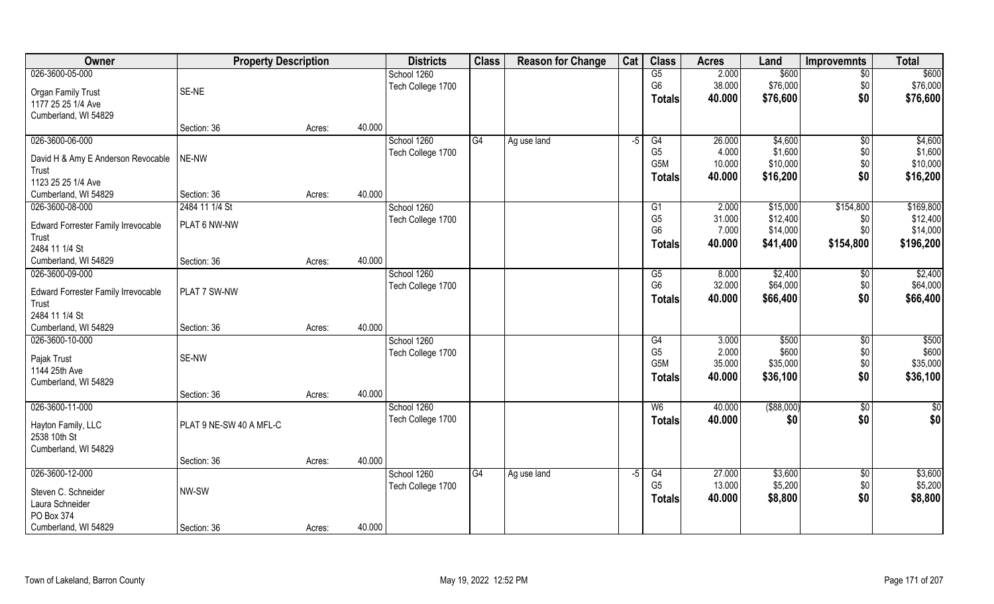| Owner                                       | <b>Property Description</b> |        |        | <b>Districts</b>  | <b>Class</b> | <b>Reason for Change</b> | Cat  | <b>Class</b>    | <b>Acres</b> | Land        | <b>Improvemnts</b> | <b>Total</b> |
|---------------------------------------------|-----------------------------|--------|--------|-------------------|--------------|--------------------------|------|-----------------|--------------|-------------|--------------------|--------------|
| 026-3600-05-000                             |                             |        |        | School 1260       |              |                          |      | $\overline{G5}$ | 2.000        | \$600       | \$0                | \$600        |
| Organ Family Trust                          | SE-NE                       |        |        | Tech College 1700 |              |                          |      | G <sub>6</sub>  | 38.000       | \$76,000    | \$0                | \$76,000     |
| 1177 25 25 1/4 Ave                          |                             |        |        |                   |              |                          |      | <b>Totals</b>   | 40.000       | \$76,600    | \$0                | \$76,600     |
| Cumberland, WI 54829                        |                             |        |        |                   |              |                          |      |                 |              |             |                    |              |
|                                             | Section: 36                 | Acres: | 40.000 |                   |              |                          |      |                 |              |             |                    |              |
| 026-3600-06-000                             |                             |        |        | School 1260       | G4           | Ag use land              | $-5$ | G4              | 26.000       | \$4,600     | $\overline{50}$    | \$4,600      |
|                                             | NE-NW                       |        |        | Tech College 1700 |              |                          |      | G <sub>5</sub>  | 4.000        | \$1,600     | \$0                | \$1,600      |
| David H & Amy E Anderson Revocable<br>Trust |                             |        |        |                   |              |                          |      | G5M             | 10.000       | \$10,000    | \$0                | \$10,000     |
| 1123 25 25 1/4 Ave                          |                             |        |        |                   |              |                          |      | <b>Totals</b>   | 40.000       | \$16,200    | \$0                | \$16,200     |
| Cumberland, WI 54829                        | Section: 36                 | Acres: | 40.000 |                   |              |                          |      |                 |              |             |                    |              |
| 026-3600-08-000                             | 2484 11 1/4 St              |        |        | School 1260       |              |                          |      | G1              | 2.000        | \$15,000    | \$154,800          | \$169,800    |
|                                             |                             |        |        | Tech College 1700 |              |                          |      | G <sub>5</sub>  | 31.000       | \$12,400    | \$0                | \$12,400     |
| Edward Forrester Family Irrevocable         | PLAT 6 NW-NW                |        |        |                   |              |                          |      | G <sub>6</sub>  | 7.000        | \$14,000    | \$0                | \$14,000     |
| Trust                                       |                             |        |        |                   |              |                          |      | <b>Totals</b>   | 40.000       | \$41,400    | \$154,800          | \$196,200    |
| 2484 11 1/4 St                              |                             |        |        |                   |              |                          |      |                 |              |             |                    |              |
| Cumberland, WI 54829                        | Section: 36                 | Acres: | 40.000 |                   |              |                          |      |                 |              |             |                    |              |
| 026-3600-09-000                             |                             |        |        | School 1260       |              |                          |      | G5              | 8.000        | \$2,400     | \$0                | \$2,400      |
| Edward Forrester Family Irrevocable         | PLAT 7 SW-NW                |        |        | Tech College 1700 |              |                          |      | G <sub>6</sub>  | 32.000       | \$64,000    | \$0                | \$64,000     |
| Trust                                       |                             |        |        |                   |              |                          |      | <b>Totals</b>   | 40.000       | \$66,400    | \$0                | \$66,400     |
| 2484 11 1/4 St                              |                             |        |        |                   |              |                          |      |                 |              |             |                    |              |
| Cumberland, WI 54829                        | Section: 36                 | Acres: | 40.000 |                   |              |                          |      |                 |              |             |                    |              |
| 026-3600-10-000                             |                             |        |        | School 1260       |              |                          |      | G4              | 3.000        | \$500       | $\sqrt[6]{30}$     | \$500        |
|                                             |                             |        |        | Tech College 1700 |              |                          |      | G <sub>5</sub>  | 2.000        | \$600       | \$0                | \$600        |
| Pajak Trust                                 | SE-NW                       |        |        |                   |              |                          |      | G5M             | 35.000       | \$35,000    | \$0                | \$35,000     |
| 1144 25th Ave<br>Cumberland, WI 54829       |                             |        |        |                   |              |                          |      | <b>Totals</b>   | 40.000       | \$36,100    | \$0                | \$36,100     |
|                                             | Section: 36                 |        | 40.000 |                   |              |                          |      |                 |              |             |                    |              |
| 026-3600-11-000                             |                             | Acres: |        |                   |              |                          |      |                 |              | ( \$88,000) |                    |              |
|                                             |                             |        |        | School 1260       |              |                          |      | W <sub>6</sub>  | 40.000       |             | \$0                | \$0          |
| Hayton Family, LLC                          | PLAT 9 NE-SW 40 A MFL-C     |        |        | Tech College 1700 |              |                          |      | <b>Totals</b>   | 40.000       | \$0         | \$0                | \$0          |
| 2538 10th St                                |                             |        |        |                   |              |                          |      |                 |              |             |                    |              |
| Cumberland, WI 54829                        |                             |        |        |                   |              |                          |      |                 |              |             |                    |              |
|                                             | Section: 36                 | Acres: | 40.000 |                   |              |                          |      |                 |              |             |                    |              |
| 026-3600-12-000                             |                             |        |        | School 1260       | G4           | Ag use land              | $-5$ | G4              | 27.000       | \$3,600     | $\overline{50}$    | \$3,600      |
| Steven C. Schneider                         | NW-SW                       |        |        | Tech College 1700 |              |                          |      | G <sub>5</sub>  | 13.000       | \$5,200     | \$0                | \$5,200      |
| Laura Schneider                             |                             |        |        |                   |              |                          |      | <b>Totals</b>   | 40.000       | \$8,800     | \$0                | \$8,800      |
| PO Box 374                                  |                             |        |        |                   |              |                          |      |                 |              |             |                    |              |
| Cumberland, WI 54829                        | Section: 36                 | Acres: | 40.000 |                   |              |                          |      |                 |              |             |                    |              |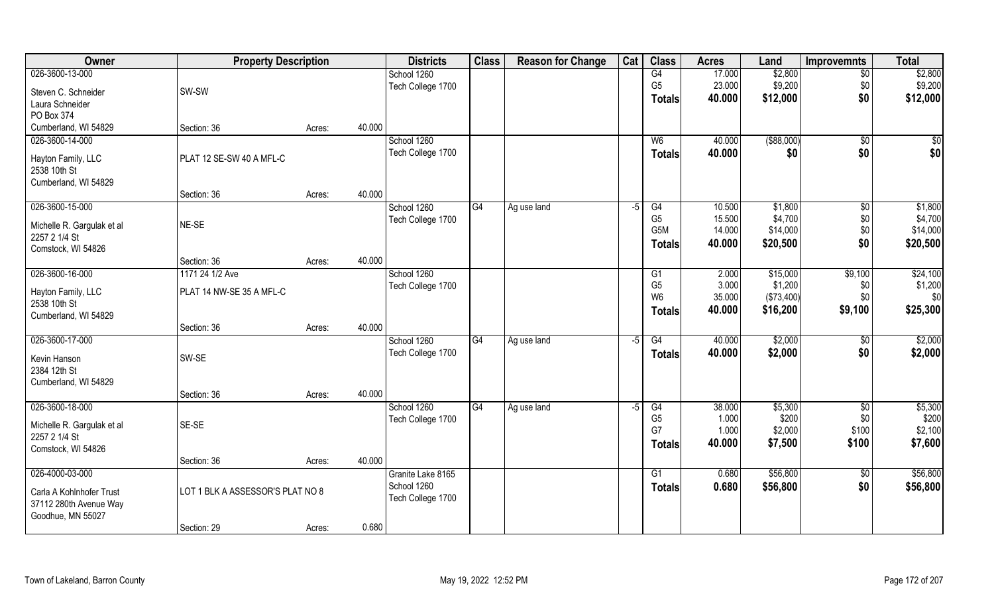| Owner                      | <b>Property Description</b>      |        |        | <b>Districts</b>  | <b>Class</b> | <b>Reason for Change</b> | Cat  | <b>Class</b>     | <b>Acres</b> | Land        | <b>Improvemnts</b>   | <b>Total</b> |
|----------------------------|----------------------------------|--------|--------|-------------------|--------------|--------------------------|------|------------------|--------------|-------------|----------------------|--------------|
| 026-3600-13-000            |                                  |        |        | School 1260       |              |                          |      | G4               | 17.000       | \$2,800     | $\overline{50}$      | \$2,800      |
| Steven C. Schneider        | SW-SW                            |        |        | Tech College 1700 |              |                          |      | G <sub>5</sub>   | 23.000       | \$9,200     | \$0                  | \$9,200      |
| Laura Schneider            |                                  |        |        |                   |              |                          |      | <b>Totals</b>    | 40.000       | \$12,000    | \$0                  | \$12,000     |
| PO Box 374                 |                                  |        |        |                   |              |                          |      |                  |              |             |                      |              |
| Cumberland, WI 54829       | Section: 36                      | Acres: | 40.000 |                   |              |                          |      |                  |              |             |                      |              |
| 026-3600-14-000            |                                  |        |        | School 1260       |              |                          |      | W6               | 40.000       | ( \$88,000) | \$0                  | \$0          |
|                            |                                  |        |        | Tech College 1700 |              |                          |      | Totals           | 40.000       | \$0         | \$0                  | \$0          |
| Hayton Family, LLC         | PLAT 12 SE-SW 40 A MFL-C         |        |        |                   |              |                          |      |                  |              |             |                      |              |
| 2538 10th St               |                                  |        |        |                   |              |                          |      |                  |              |             |                      |              |
| Cumberland, WI 54829       |                                  |        | 40.000 |                   |              |                          |      |                  |              |             |                      |              |
| 026-3600-15-000            | Section: 36                      | Acres: |        | School 1260       | G4           |                          | $-5$ | G4               | 10.500       | \$1,800     |                      | \$1,800      |
|                            |                                  |        |        | Tech College 1700 |              | Ag use land              |      | G <sub>5</sub>   | 15.500       | \$4,700     | $\sqrt[6]{3}$<br>\$0 | \$4,700      |
| Michelle R. Gargulak et al | NE-SE                            |        |        |                   |              |                          |      | G <sub>5</sub> M | 14.000       | \$14,000    | \$0                  | \$14,000     |
| 2257 2 1/4 St              |                                  |        |        |                   |              |                          |      | <b>Totals</b>    | 40.000       | \$20,500    | \$0                  | \$20,500     |
| Comstock, WI 54826         |                                  |        |        |                   |              |                          |      |                  |              |             |                      |              |
|                            | Section: 36                      | Acres: | 40.000 |                   |              |                          |      |                  |              |             |                      |              |
| 026-3600-16-000            | 1171 24 1/2 Ave                  |        |        | School 1260       |              |                          |      | G1               | 2.000        | \$15,000    | \$9,100              | \$24,100     |
| Hayton Family, LLC         | PLAT 14 NW-SE 35 A MFL-C         |        |        | Tech College 1700 |              |                          |      | G <sub>5</sub>   | 3.000        | \$1,200     | \$0                  | \$1,200      |
| 2538 10th St               |                                  |        |        |                   |              |                          |      | W <sub>6</sub>   | 35.000       | (\$73,400)  | \$0                  | \$0          |
| Cumberland, WI 54829       |                                  |        |        |                   |              |                          |      | <b>Totals</b>    | 40.000       | \$16,200    | \$9,100              | \$25,300     |
|                            | Section: 36                      | Acres: | 40.000 |                   |              |                          |      |                  |              |             |                      |              |
| 026-3600-17-000            |                                  |        |        | School 1260       | G4           | Ag use land              | $-5$ | $\overline{G4}$  | 40.000       | \$2,000     | \$0                  | \$2,000      |
| Kevin Hanson               | SW-SE                            |        |        | Tech College 1700 |              |                          |      | <b>Totals</b>    | 40.000       | \$2,000     | \$0                  | \$2,000      |
| 2384 12th St               |                                  |        |        |                   |              |                          |      |                  |              |             |                      |              |
| Cumberland, WI 54829       |                                  |        |        |                   |              |                          |      |                  |              |             |                      |              |
|                            | Section: 36                      | Acres: | 40.000 |                   |              |                          |      |                  |              |             |                      |              |
| 026-3600-18-000            |                                  |        |        | School 1260       | G4           | Ag use land              | $-5$ | G4               | 38.000       | \$5,300     | \$0                  | \$5,300      |
|                            |                                  |        |        | Tech College 1700 |              |                          |      | G <sub>5</sub>   | 1.000        | \$200       | \$0                  | \$200        |
| Michelle R. Gargulak et al | SE-SE                            |        |        |                   |              |                          |      | G7               | 1.000        | \$2,000     | \$100                | \$2,100      |
| 2257 2 1/4 St              |                                  |        |        |                   |              |                          |      | <b>Totals</b>    | 40.000       | \$7,500     | \$100                | \$7,600      |
| Comstock, WI 54826         |                                  |        | 40.000 |                   |              |                          |      |                  |              |             |                      |              |
| 026-4000-03-000            | Section: 36                      | Acres: |        | Granite Lake 8165 |              |                          |      | $\overline{G1}$  | 0.680        | \$56,800    | $\sqrt{$0}$          | \$56,800     |
|                            |                                  |        |        | School 1260       |              |                          |      |                  |              |             |                      |              |
| Carla A Kohlnhofer Trust   | LOT 1 BLK A ASSESSOR'S PLAT NO 8 |        |        | Tech College 1700 |              |                          |      | <b>Totals</b>    | 0.680        | \$56,800    | \$0                  | \$56,800     |
| 37112 280th Avenue Way     |                                  |        |        |                   |              |                          |      |                  |              |             |                      |              |
| Goodhue, MN 55027          |                                  |        |        |                   |              |                          |      |                  |              |             |                      |              |
|                            | Section: 29                      | Acres: | 0.680  |                   |              |                          |      |                  |              |             |                      |              |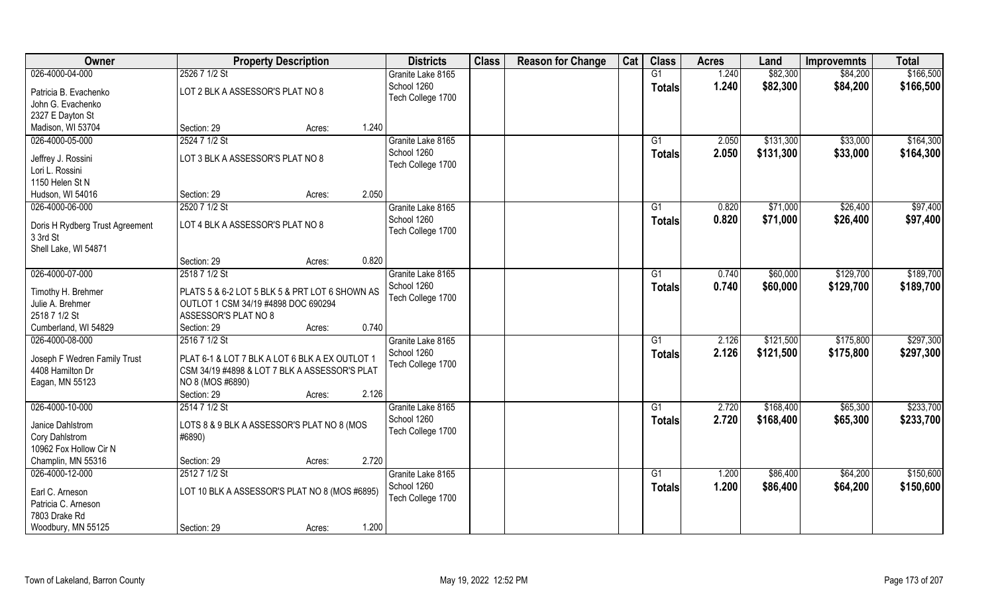| Owner                           | <b>Property Description</b>                    |        |       | <b>Districts</b>  | <b>Class</b> | <b>Reason for Change</b> | Cat | <b>Class</b>    | <b>Acres</b> | Land      | <b>Improvemnts</b> | <b>Total</b> |
|---------------------------------|------------------------------------------------|--------|-------|-------------------|--------------|--------------------------|-----|-----------------|--------------|-----------|--------------------|--------------|
| 026-4000-04-000                 | 2526 7 1/2 St                                  |        |       | Granite Lake 8165 |              |                          |     | G1              | 1.240        | \$82,300  | \$84,200           | \$166,500    |
| Patricia B. Evachenko           | LOT 2 BLK A ASSESSOR'S PLAT NO 8               |        |       | School 1260       |              |                          |     | <b>Totals</b>   | 1.240        | \$82,300  | \$84,200           | \$166,500    |
| John G. Evachenko               |                                                |        |       | Tech College 1700 |              |                          |     |                 |              |           |                    |              |
| 2327 E Dayton St                |                                                |        |       |                   |              |                          |     |                 |              |           |                    |              |
| Madison, WI 53704               | Section: 29                                    | Acres: | 1.240 |                   |              |                          |     |                 |              |           |                    |              |
| 026-4000-05-000                 | 2524 7 1/2 St                                  |        |       | Granite Lake 8165 |              |                          |     | G1              | 2.050        | \$131,300 | \$33,000           | \$164,300    |
|                                 |                                                |        |       | School 1260       |              |                          |     |                 |              |           |                    |              |
| Jeffrey J. Rossini              | LOT 3 BLK A ASSESSOR'S PLAT NO 8               |        |       |                   |              |                          |     | <b>Totals</b>   | 2.050        | \$131,300 | \$33,000           | \$164,300    |
| Lori L. Rossini                 |                                                |        |       | Tech College 1700 |              |                          |     |                 |              |           |                    |              |
| 1150 Helen St N                 |                                                |        |       |                   |              |                          |     |                 |              |           |                    |              |
| Hudson, WI 54016                | Section: 29                                    | Acres: | 2.050 |                   |              |                          |     |                 |              |           |                    |              |
| 026-4000-06-000                 | 2520 7 1/2 St                                  |        |       | Granite Lake 8165 |              |                          |     | G1              | 0.820        | \$71,000  | \$26,400           | \$97,400     |
|                                 |                                                |        |       | School 1260       |              |                          |     | <b>Totals</b>   | 0.820        | \$71,000  | \$26,400           | \$97,400     |
| Doris H Rydberg Trust Agreement | LOT 4 BLK A ASSESSOR'S PLAT NO 8               |        |       | Tech College 1700 |              |                          |     |                 |              |           |                    |              |
| 3 3rd St                        |                                                |        |       |                   |              |                          |     |                 |              |           |                    |              |
| Shell Lake, WI 54871            |                                                |        |       |                   |              |                          |     |                 |              |           |                    |              |
|                                 | Section: 29                                    | Acres: | 0.820 |                   |              |                          |     |                 |              |           |                    |              |
| 026-4000-07-000                 | 2518 7 1/2 St                                  |        |       | Granite Lake 8165 |              |                          |     | G1              | 0.740        | \$60,000  | \$129,700          | \$189,700    |
| Timothy H. Brehmer              | PLATS 5 & 6-2 LOT 5 BLK 5 & PRT LOT 6 SHOWN AS |        |       | School 1260       |              |                          |     | <b>Totals</b>   | 0.740        | \$60,000  | \$129,700          | \$189,700    |
| Julie A. Brehmer                | OUTLOT 1 CSM 34/19 #4898 DOC 690294            |        |       | Tech College 1700 |              |                          |     |                 |              |           |                    |              |
| 2518 7 1/2 St                   | ASSESSOR'S PLAT NO 8                           |        |       |                   |              |                          |     |                 |              |           |                    |              |
| Cumberland, WI 54829            | Section: 29                                    | Acres: | 0.740 |                   |              |                          |     |                 |              |           |                    |              |
| 026-4000-08-000                 | 2516 7 1/2 St                                  |        |       | Granite Lake 8165 |              |                          |     | G1              | 2.126        | \$121,500 | \$175,800          | \$297,300    |
|                                 |                                                |        |       | School 1260       |              |                          |     | <b>Totals</b>   | 2.126        | \$121,500 | \$175,800          | \$297,300    |
| Joseph F Wedren Family Trust    | PLAT 6-1 & LOT 7 BLK A LOT 6 BLK A EX OUTLOT 1 |        |       | Tech College 1700 |              |                          |     |                 |              |           |                    |              |
| 4408 Hamilton Dr                | CSM 34/19 #4898 & LOT 7 BLK A ASSESSOR'S PLAT  |        |       |                   |              |                          |     |                 |              |           |                    |              |
| Eagan, MN 55123                 | NO 8 (MOS #6890)                               |        |       |                   |              |                          |     |                 |              |           |                    |              |
|                                 | Section: 29                                    | Acres: | 2.126 |                   |              |                          |     |                 |              |           |                    |              |
| 026-4000-10-000                 | 2514 7 1/2 St                                  |        |       | Granite Lake 8165 |              |                          |     | G1              | 2.720        | \$168,400 | \$65,300           | \$233,700    |
| Janice Dahlstrom                | LOTS 8 & 9 BLK A ASSESSOR'S PLAT NO 8 (MOS     |        |       | School 1260       |              |                          |     | <b>Totals</b>   | 2.720        | \$168,400 | \$65,300           | \$233,700    |
| Cory Dahlstrom                  | #6890)                                         |        |       | Tech College 1700 |              |                          |     |                 |              |           |                    |              |
| 10962 Fox Hollow Cir N          |                                                |        |       |                   |              |                          |     |                 |              |           |                    |              |
| Champlin, MN 55316              | Section: 29                                    | Acres: | 2.720 |                   |              |                          |     |                 |              |           |                    |              |
| 026-4000-12-000                 | 2512 7 1/2 St                                  |        |       | Granite Lake 8165 |              |                          |     | $\overline{G1}$ | 1.200        | \$86,400  | \$64,200           | \$150,600    |
|                                 |                                                |        |       | School 1260       |              |                          |     |                 |              |           |                    |              |
| Earl C. Arneson                 | LOT 10 BLK A ASSESSOR'S PLAT NO 8 (MOS #6895)  |        |       | Tech College 1700 |              |                          |     | <b>Totals</b>   | 1.200        | \$86,400  | \$64,200           | \$150,600    |
| Patricia C. Arneson             |                                                |        |       |                   |              |                          |     |                 |              |           |                    |              |
| 7803 Drake Rd                   |                                                |        |       |                   |              |                          |     |                 |              |           |                    |              |
| Woodbury, MN 55125              | Section: 29                                    | Acres: | 1.200 |                   |              |                          |     |                 |              |           |                    |              |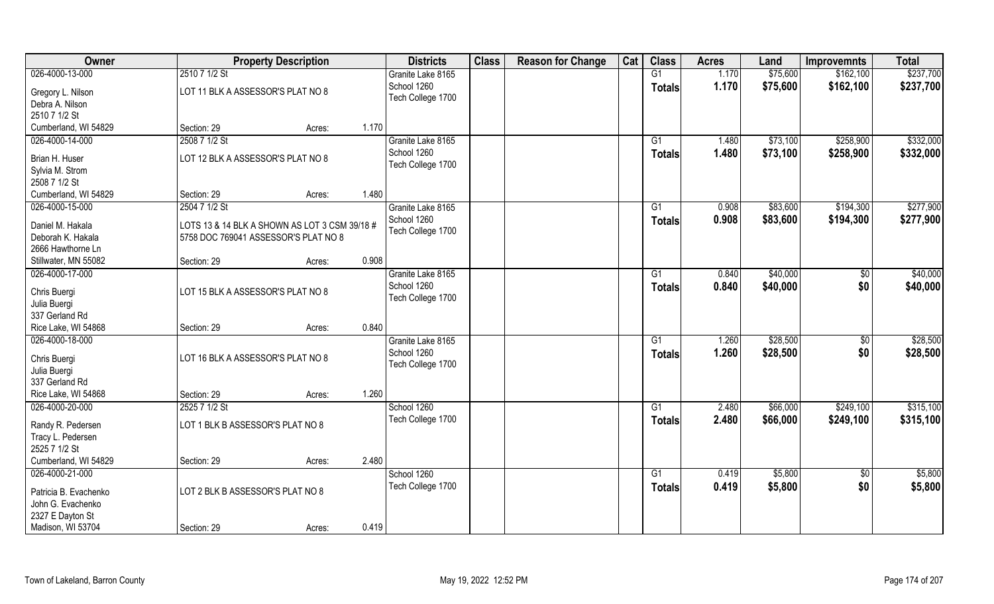| 026-4000-13-000<br>2510 7 1/2 St<br>G1<br>\$75,600<br>\$162,100<br>1.170<br>Granite Lake 8165<br>School 1260<br>1.170<br>\$75,600<br>\$162,100<br><b>Totals</b><br>LOT 11 BLK A ASSESSOR'S PLAT NO 8<br>Gregory L. Nilson<br>Tech College 1700<br>Debra A. Nilson<br>2510 7 1/2 St<br>1.170<br>Cumberland, WI 54829<br>Section: 29<br>Acres:<br>026-4000-14-000<br>2508 7 1/2 St<br>\$73,100<br>\$258,900<br>Granite Lake 8165<br>G1<br>1.480<br>School 1260<br>1.480<br>\$73,100<br>\$258,900<br>\$332,000<br><b>Totals</b><br>LOT 12 BLK A ASSESSOR'S PLAT NO 8<br>Brian H. Huser<br>Tech College 1700<br>Sylvia M. Strom<br>2508 7 1/2 St | Owner | <b>Property Description</b> | <b>Districts</b> | <b>Class</b> | <b>Reason for Change</b> | Cat | <b>Class</b> | <b>Acres</b> | Land | <b>Improvemnts</b> | <b>Total</b> |
|----------------------------------------------------------------------------------------------------------------------------------------------------------------------------------------------------------------------------------------------------------------------------------------------------------------------------------------------------------------------------------------------------------------------------------------------------------------------------------------------------------------------------------------------------------------------------------------------------------------------------------------------|-------|-----------------------------|------------------|--------------|--------------------------|-----|--------------|--------------|------|--------------------|--------------|
|                                                                                                                                                                                                                                                                                                                                                                                                                                                                                                                                                                                                                                              |       |                             |                  |              |                          |     |              |              |      |                    | \$237,700    |
|                                                                                                                                                                                                                                                                                                                                                                                                                                                                                                                                                                                                                                              |       |                             |                  |              |                          |     |              |              |      |                    | \$237,700    |
|                                                                                                                                                                                                                                                                                                                                                                                                                                                                                                                                                                                                                                              |       |                             |                  |              |                          |     |              |              |      |                    |              |
|                                                                                                                                                                                                                                                                                                                                                                                                                                                                                                                                                                                                                                              |       |                             |                  |              |                          |     |              |              |      |                    |              |
|                                                                                                                                                                                                                                                                                                                                                                                                                                                                                                                                                                                                                                              |       |                             |                  |              |                          |     |              |              |      |                    |              |
|                                                                                                                                                                                                                                                                                                                                                                                                                                                                                                                                                                                                                                              |       |                             |                  |              |                          |     |              |              |      |                    | \$332,000    |
|                                                                                                                                                                                                                                                                                                                                                                                                                                                                                                                                                                                                                                              |       |                             |                  |              |                          |     |              |              |      |                    |              |
|                                                                                                                                                                                                                                                                                                                                                                                                                                                                                                                                                                                                                                              |       |                             |                  |              |                          |     |              |              |      |                    |              |
|                                                                                                                                                                                                                                                                                                                                                                                                                                                                                                                                                                                                                                              |       |                             |                  |              |                          |     |              |              |      |                    |              |
|                                                                                                                                                                                                                                                                                                                                                                                                                                                                                                                                                                                                                                              |       |                             |                  |              |                          |     |              |              |      |                    |              |
| 1.480<br>Cumberland, WI 54829<br>Section: 29<br>Acres:                                                                                                                                                                                                                                                                                                                                                                                                                                                                                                                                                                                       |       |                             |                  |              |                          |     |              |              |      |                    |              |
| 026-4000-15-000<br>2504 7 1/2 St<br>Granite Lake 8165<br>0.908<br>\$83,600<br>\$194,300<br>G1                                                                                                                                                                                                                                                                                                                                                                                                                                                                                                                                                |       |                             |                  |              |                          |     |              |              |      |                    | \$277,900    |
| School 1260<br>0.908<br>\$83,600<br>\$194,300<br><b>Totals</b><br>Daniel M. Hakala<br>LOTS 13 & 14 BLK A SHOWN AS LOT 3 CSM 39/18 #                                                                                                                                                                                                                                                                                                                                                                                                                                                                                                          |       |                             |                  |              |                          |     |              |              |      |                    | \$277,900    |
| Tech College 1700<br>Deborah K. Hakala<br>5758 DOC 769041 ASSESSOR'S PLAT NO 8                                                                                                                                                                                                                                                                                                                                                                                                                                                                                                                                                               |       |                             |                  |              |                          |     |              |              |      |                    |              |
| 2666 Hawthorne Ln                                                                                                                                                                                                                                                                                                                                                                                                                                                                                                                                                                                                                            |       |                             |                  |              |                          |     |              |              |      |                    |              |
| 0.908<br>Stillwater, MN 55082<br>Section: 29<br>Acres:                                                                                                                                                                                                                                                                                                                                                                                                                                                                                                                                                                                       |       |                             |                  |              |                          |     |              |              |      |                    |              |
| 026-4000-17-000<br>\$40,000<br>Granite Lake 8165<br>0.840<br>\$0<br>G1                                                                                                                                                                                                                                                                                                                                                                                                                                                                                                                                                                       |       |                             |                  |              |                          |     |              |              |      |                    | \$40,000     |
| School 1260<br>\$0<br>0.840<br>\$40,000<br><b>Totals</b><br>LOT 15 BLK A ASSESSOR'S PLAT NO 8<br>Chris Buergi                                                                                                                                                                                                                                                                                                                                                                                                                                                                                                                                |       |                             |                  |              |                          |     |              |              |      |                    | \$40,000     |
| Tech College 1700<br>Julia Buergi                                                                                                                                                                                                                                                                                                                                                                                                                                                                                                                                                                                                            |       |                             |                  |              |                          |     |              |              |      |                    |              |
| 337 Gerland Rd                                                                                                                                                                                                                                                                                                                                                                                                                                                                                                                                                                                                                               |       |                             |                  |              |                          |     |              |              |      |                    |              |
| 0.840<br>Rice Lake, WI 54868<br>Section: 29<br>Acres:                                                                                                                                                                                                                                                                                                                                                                                                                                                                                                                                                                                        |       |                             |                  |              |                          |     |              |              |      |                    |              |
| 026-4000-18-000<br>\$28,500<br>G1<br>1.260<br>\$0<br>Granite Lake 8165                                                                                                                                                                                                                                                                                                                                                                                                                                                                                                                                                                       |       |                             |                  |              |                          |     |              |              |      |                    | \$28,500     |
| \$28,500<br>School 1260<br>1.260<br>\$0<br><b>Totals</b>                                                                                                                                                                                                                                                                                                                                                                                                                                                                                                                                                                                     |       |                             |                  |              |                          |     |              |              |      |                    | \$28,500     |
| Chris Buergi<br>LOT 16 BLK A ASSESSOR'S PLAT NO 8<br>Tech College 1700                                                                                                                                                                                                                                                                                                                                                                                                                                                                                                                                                                       |       |                             |                  |              |                          |     |              |              |      |                    |              |
| Julia Buergi                                                                                                                                                                                                                                                                                                                                                                                                                                                                                                                                                                                                                                 |       |                             |                  |              |                          |     |              |              |      |                    |              |
| 337 Gerland Rd                                                                                                                                                                                                                                                                                                                                                                                                                                                                                                                                                                                                                               |       |                             |                  |              |                          |     |              |              |      |                    |              |
| Rice Lake, WI 54868<br>1.260<br>Section: 29<br>Acres:                                                                                                                                                                                                                                                                                                                                                                                                                                                                                                                                                                                        |       |                             |                  |              |                          |     |              |              |      |                    |              |
| \$66,000<br>\$249,100<br>026-4000-20-000<br>2525 7 1/2 St<br>School 1260<br>G1<br>2.480                                                                                                                                                                                                                                                                                                                                                                                                                                                                                                                                                      |       |                             |                  |              |                          |     |              |              |      |                    | \$315,100    |
| Tech College 1700<br>2.480<br>\$66,000<br>\$249,100<br><b>Totals</b><br>Randy R. Pedersen<br>LOT 1 BLK B ASSESSOR'S PLAT NO 8                                                                                                                                                                                                                                                                                                                                                                                                                                                                                                                |       |                             |                  |              |                          |     |              |              |      |                    | \$315,100    |
| Tracy L. Pedersen                                                                                                                                                                                                                                                                                                                                                                                                                                                                                                                                                                                                                            |       |                             |                  |              |                          |     |              |              |      |                    |              |
| 2525 7 1/2 St                                                                                                                                                                                                                                                                                                                                                                                                                                                                                                                                                                                                                                |       |                             |                  |              |                          |     |              |              |      |                    |              |
| 2.480<br>Cumberland, WI 54829<br>Section: 29<br>Acres:                                                                                                                                                                                                                                                                                                                                                                                                                                                                                                                                                                                       |       |                             |                  |              |                          |     |              |              |      |                    |              |
| 026-4000-21-000<br>School 1260<br>$\overline{G1}$<br>0.419<br>\$5,800<br>\$0                                                                                                                                                                                                                                                                                                                                                                                                                                                                                                                                                                 |       |                             |                  |              |                          |     |              |              |      |                    | \$5,800      |
| \$0<br>Tech College 1700<br>0.419<br>\$5,800<br>Totals<br>LOT 2 BLK B ASSESSOR'S PLAT NO 8<br>Patricia B. Evachenko                                                                                                                                                                                                                                                                                                                                                                                                                                                                                                                          |       |                             |                  |              |                          |     |              |              |      |                    | \$5,800      |
| John G. Evachenko                                                                                                                                                                                                                                                                                                                                                                                                                                                                                                                                                                                                                            |       |                             |                  |              |                          |     |              |              |      |                    |              |
| 2327 E Dayton St                                                                                                                                                                                                                                                                                                                                                                                                                                                                                                                                                                                                                             |       |                             |                  |              |                          |     |              |              |      |                    |              |
| 0.419<br>Madison, WI 53704<br>Section: 29<br>Acres:                                                                                                                                                                                                                                                                                                                                                                                                                                                                                                                                                                                          |       |                             |                  |              |                          |     |              |              |      |                    |              |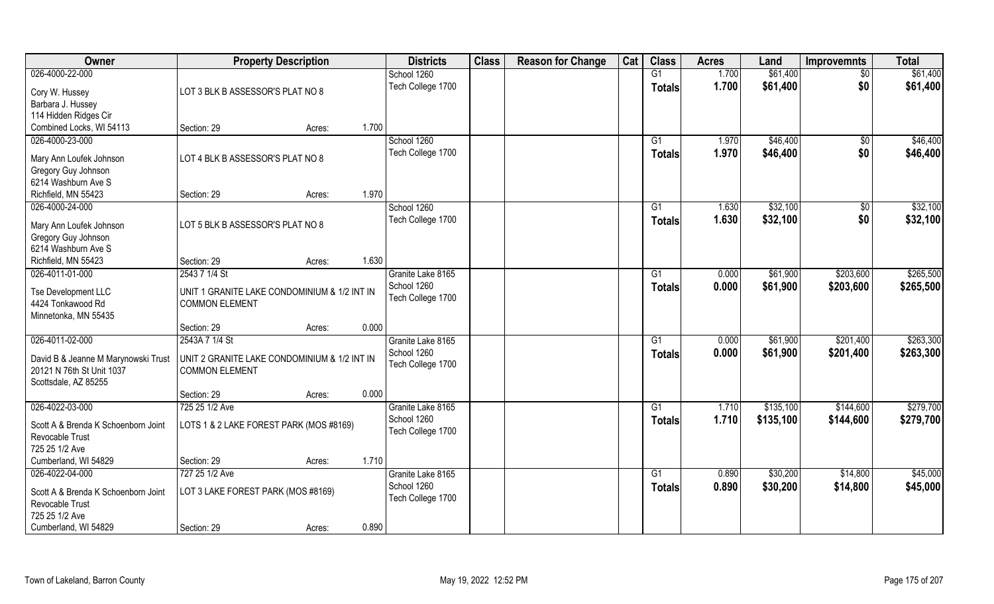| Owner                                                  | <b>Property Description</b>                  |        |       | <b>Districts</b>                 | <b>Class</b> | <b>Reason for Change</b> | Cat | <b>Class</b>    | <b>Acres</b> | Land      | <b>Improvemnts</b> | <b>Total</b> |
|--------------------------------------------------------|----------------------------------------------|--------|-------|----------------------------------|--------------|--------------------------|-----|-----------------|--------------|-----------|--------------------|--------------|
| 026-4000-22-000                                        |                                              |        |       | School 1260                      |              |                          |     | G1              | 1.700        | \$61,400  | $\sqrt{$0}$        | \$61,400     |
| Cory W. Hussey                                         | LOT 3 BLK B ASSESSOR'S PLAT NO 8             |        |       | Tech College 1700                |              |                          |     | <b>Totals</b>   | 1.700        | \$61,400  | \$0                | \$61,400     |
| Barbara J. Hussey                                      |                                              |        |       |                                  |              |                          |     |                 |              |           |                    |              |
| 114 Hidden Ridges Cir                                  |                                              |        |       |                                  |              |                          |     |                 |              |           |                    |              |
| Combined Locks, WI 54113                               | Section: 29                                  | Acres: | 1.700 |                                  |              |                          |     |                 |              |           |                    |              |
| 026-4000-23-000                                        |                                              |        |       | School 1260                      |              |                          |     | G1              | 1.970        | \$46,400  | \$0                | \$46,400     |
| Mary Ann Loufek Johnson                                | LOT 4 BLK B ASSESSOR'S PLAT NO 8             |        |       | Tech College 1700                |              |                          |     | Totals          | 1.970        | \$46,400  | \$0                | \$46,400     |
| Gregory Guy Johnson                                    |                                              |        |       |                                  |              |                          |     |                 |              |           |                    |              |
| 6214 Washburn Ave S                                    |                                              |        |       |                                  |              |                          |     |                 |              |           |                    |              |
| Richfield, MN 55423                                    | Section: 29                                  | Acres: | 1.970 |                                  |              |                          |     |                 |              |           |                    |              |
| 026-4000-24-000                                        |                                              |        |       | School 1260                      |              |                          |     | G1              | 1.630        | \$32,100  | $\sqrt[6]{3}$      | \$32,100     |
| Mary Ann Loufek Johnson                                | LOT 5 BLK B ASSESSOR'S PLAT NO 8             |        |       | Tech College 1700                |              |                          |     | <b>Totals</b>   | 1.630        | \$32,100  | \$0                | \$32,100     |
| Gregory Guy Johnson                                    |                                              |        |       |                                  |              |                          |     |                 |              |           |                    |              |
| 6214 Washburn Ave S                                    |                                              |        |       |                                  |              |                          |     |                 |              |           |                    |              |
| Richfield, MN 55423                                    | Section: 29                                  | Acres: | 1.630 |                                  |              |                          |     |                 |              |           |                    |              |
| 026-4011-01-000                                        | 2543 7 1/4 St                                |        |       | Granite Lake 8165                |              |                          |     | G1              | 0.000        | \$61,900  | \$203,600          | \$265,500    |
|                                                        |                                              |        |       | School 1260                      |              |                          |     | <b>Totals</b>   | 0.000        | \$61,900  | \$203,600          | \$265,500    |
| Tse Development LLC                                    | UNIT 1 GRANITE LAKE CONDOMINIUM & 1/2 INT IN |        |       | Tech College 1700                |              |                          |     |                 |              |           |                    |              |
| 4424 Tonkawood Rd                                      | <b>COMMON ELEMENT</b>                        |        |       |                                  |              |                          |     |                 |              |           |                    |              |
| Minnetonka, MN 55435                                   | Section: 29                                  |        | 0.000 |                                  |              |                          |     |                 |              |           |                    |              |
| 026-4011-02-000                                        | 2543A 7 1/4 St                               | Acres: |       | Granite Lake 8165                |              |                          |     | $\overline{G1}$ | 0.000        | \$61,900  | \$201,400          | \$263,300    |
|                                                        |                                              |        |       | School 1260                      |              |                          |     |                 |              |           |                    |              |
| David B & Jeanne M Marynowski Trust                    | UNIT 2 GRANITE LAKE CONDOMINIUM & 1/2 INT IN |        |       |                                  |              |                          |     | <b>Totals</b>   | 0.000        | \$61,900  | \$201,400          | \$263,300    |
| 20121 N 76th St Unit 1037                              | <b>COMMON ELEMENT</b>                        |        |       | Tech College 1700                |              |                          |     |                 |              |           |                    |              |
| Scottsdale, AZ 85255                                   |                                              |        |       |                                  |              |                          |     |                 |              |           |                    |              |
|                                                        | Section: 29                                  | Acres: | 0.000 |                                  |              |                          |     |                 |              |           |                    |              |
| 026-4022-03-000                                        | 725 25 1/2 Ave                               |        |       | Granite Lake 8165                |              |                          |     | G1              | 1.710        | \$135,100 | \$144,600          | \$279,700    |
| Scott A & Brenda K Schoenborn Joint<br>Revocable Trust | LOTS 1 & 2 LAKE FOREST PARK (MOS #8169)      |        |       | School 1260<br>Tech College 1700 |              |                          |     | <b>Totals</b>   | 1.710        | \$135,100 | \$144,600          | \$279,700    |
| 725 25 1/2 Ave                                         |                                              |        |       |                                  |              |                          |     |                 |              |           |                    |              |
| Cumberland, WI 54829                                   | Section: 29                                  | Acres: | 1.710 |                                  |              |                          |     |                 |              |           |                    |              |
| 026-4022-04-000                                        | 727 25 1/2 Ave                               |        |       | Granite Lake 8165                |              |                          |     | $\overline{G1}$ | 0.890        | \$30,200  | \$14,800           | \$45,000     |
| Scott A & Brenda K Schoenborn Joint                    | LOT 3 LAKE FOREST PARK (MOS #8169)           |        |       | School 1260                      |              |                          |     | <b>Totals</b>   | 0.890        | \$30,200  | \$14,800           | \$45,000     |
| Revocable Trust                                        |                                              |        |       | Tech College 1700                |              |                          |     |                 |              |           |                    |              |
| 725 25 1/2 Ave                                         |                                              |        |       |                                  |              |                          |     |                 |              |           |                    |              |
| Cumberland, WI 54829                                   | Section: 29                                  | Acres: | 0.890 |                                  |              |                          |     |                 |              |           |                    |              |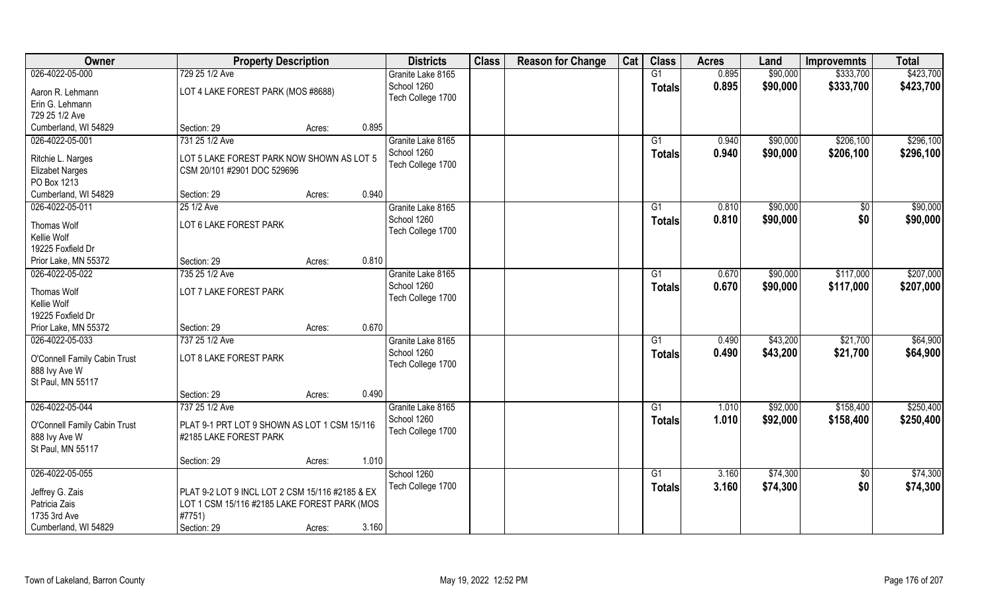| Owner                        | <b>Property Description</b>                     | <b>Districts</b>  | <b>Class</b> | <b>Reason for Change</b> | Cat | <b>Class</b>  | <b>Acres</b> | Land     | <b>Improvemnts</b> | <b>Total</b> |
|------------------------------|-------------------------------------------------|-------------------|--------------|--------------------------|-----|---------------|--------------|----------|--------------------|--------------|
| 026-4022-05-000              | 729 25 1/2 Ave                                  | Granite Lake 8165 |              |                          |     | G1            | 0.895        | \$90,000 | \$333,700          | \$423,700    |
| Aaron R. Lehmann             | LOT 4 LAKE FOREST PARK (MOS #8688)              | School 1260       |              |                          |     | <b>Totals</b> | 0.895        | \$90,000 | \$333,700          | \$423,700    |
| Erin G. Lehmann              |                                                 | Tech College 1700 |              |                          |     |               |              |          |                    |              |
| 729 25 1/2 Ave               |                                                 |                   |              |                          |     |               |              |          |                    |              |
| Cumberland, WI 54829         | Section: 29<br>Acres:                           | 0.895             |              |                          |     |               |              |          |                    |              |
| 026-4022-05-001              | 731 25 1/2 Ave                                  | Granite Lake 8165 |              |                          |     | G1            | 0.940        | \$90,000 | \$206,100          | \$296,100    |
|                              |                                                 | School 1260       |              |                          |     | <b>Totals</b> | 0.940        | \$90,000 | \$206,100          | \$296,100    |
| Ritchie L. Narges            | LOT 5 LAKE FOREST PARK NOW SHOWN AS LOT 5       | Tech College 1700 |              |                          |     |               |              |          |                    |              |
| <b>Elizabet Narges</b>       | CSM 20/101 #2901 DOC 529696                     |                   |              |                          |     |               |              |          |                    |              |
| PO Box 1213                  |                                                 |                   |              |                          |     |               |              |          |                    |              |
| Cumberland, WI 54829         | Section: 29<br>Acres:                           | 0.940             |              |                          |     |               |              |          |                    |              |
| 026-4022-05-011              | 25 1/2 Ave                                      | Granite Lake 8165 |              |                          |     | G1            | 0.810        | \$90,000 | $\sqrt[6]{3}$      | \$90,000     |
| Thomas Wolf                  | LOT 6 LAKE FOREST PARK                          | School 1260       |              |                          |     | <b>Totals</b> | 0.810        | \$90,000 | \$0                | \$90,000     |
| Kellie Wolf                  |                                                 | Tech College 1700 |              |                          |     |               |              |          |                    |              |
| 19225 Foxfield Dr            |                                                 |                   |              |                          |     |               |              |          |                    |              |
| Prior Lake, MN 55372         | Section: 29<br>Acres:                           | 0.810             |              |                          |     |               |              |          |                    |              |
| 026-4022-05-022              | 735 25 1/2 Ave                                  | Granite Lake 8165 |              |                          |     | G1            | 0.670        | \$90,000 | \$117,000          | \$207,000    |
|                              |                                                 | School 1260       |              |                          |     | <b>Totals</b> | 0.670        | \$90,000 | \$117,000          | \$207,000    |
| Thomas Wolf                  | LOT 7 LAKE FOREST PARK                          | Tech College 1700 |              |                          |     |               |              |          |                    |              |
| Kellie Wolf                  |                                                 |                   |              |                          |     |               |              |          |                    |              |
| 19225 Foxfield Dr            |                                                 |                   |              |                          |     |               |              |          |                    |              |
| Prior Lake, MN 55372         | Section: 29<br>Acres:                           | 0.670             |              |                          |     |               |              |          |                    |              |
| 026-4022-05-033              | 737 25 1/2 Ave                                  | Granite Lake 8165 |              |                          |     | G1            | 0.490        | \$43,200 | \$21,700           | \$64,900     |
| O'Connell Family Cabin Trust | LOT 8 LAKE FOREST PARK                          | School 1260       |              |                          |     | Totals        | 0.490        | \$43,200 | \$21,700           | \$64,900     |
| 888 Ivy Ave W                |                                                 | Tech College 1700 |              |                          |     |               |              |          |                    |              |
| St Paul, MN 55117            |                                                 |                   |              |                          |     |               |              |          |                    |              |
|                              | Section: 29<br>Acres:                           | 0.490             |              |                          |     |               |              |          |                    |              |
| 026-4022-05-044              | 737 25 1/2 Ave                                  | Granite Lake 8165 |              |                          |     | G1            | 1.010        | \$92,000 | \$158,400          | \$250,400    |
|                              |                                                 | School 1260       |              |                          |     | <b>Totals</b> | 1.010        | \$92,000 | \$158,400          | \$250,400    |
| O'Connell Family Cabin Trust | PLAT 9-1 PRT LOT 9 SHOWN AS LOT 1 CSM 15/116    | Tech College 1700 |              |                          |     |               |              |          |                    |              |
| 888 Ivy Ave W                | #2185 LAKE FOREST PARK                          |                   |              |                          |     |               |              |          |                    |              |
| St Paul, MN 55117            |                                                 | 1.010             |              |                          |     |               |              |          |                    |              |
| 026-4022-05-055              | Section: 29<br>Acres:                           | School 1260       |              |                          |     |               | 3.160        | \$74,300 |                    | \$74,300     |
|                              |                                                 |                   |              |                          |     | G1            |              |          | $\sqrt{$0}$        |              |
| Jeffrey G. Zais              | PLAT 9-2 LOT 9 INCL LOT 2 CSM 15/116 #2185 & EX | Tech College 1700 |              |                          |     | <b>Totals</b> | 3.160        | \$74,300 | \$0                | \$74,300     |
| Patricia Zais                | LOT 1 CSM 15/116 #2185 LAKE FOREST PARK (MOS    |                   |              |                          |     |               |              |          |                    |              |
| 1735 3rd Ave                 | #7751)                                          |                   |              |                          |     |               |              |          |                    |              |
| Cumberland, WI 54829         | Section: 29<br>Acres:                           | 3.160             |              |                          |     |               |              |          |                    |              |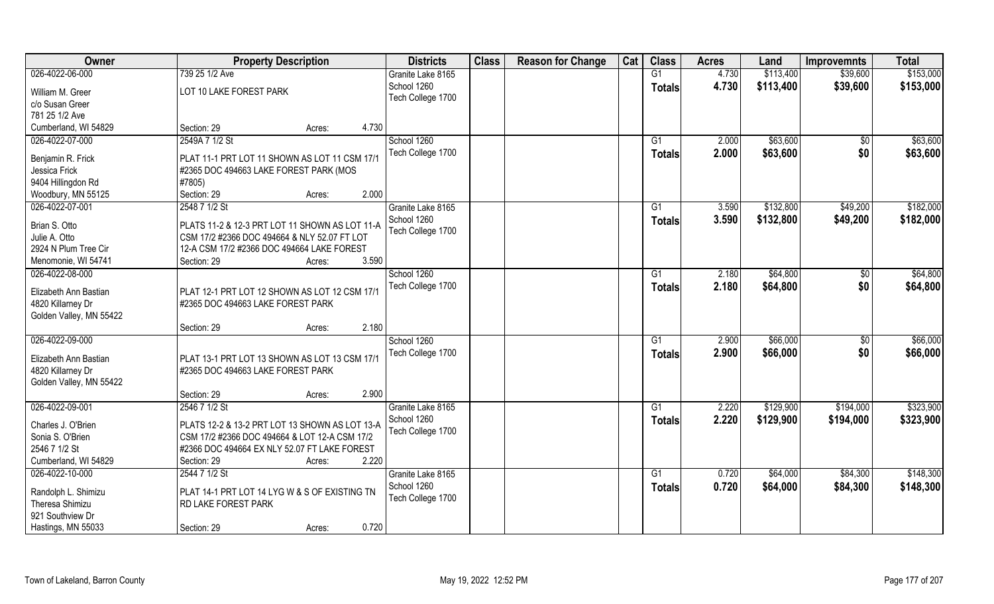| Owner                   | <b>Property Description</b>                    | <b>Districts</b>  | <b>Class</b> | <b>Reason for Change</b> | Cat | <b>Class</b>    | <b>Acres</b> | Land      | <b>Improvemnts</b> | <b>Total</b> |
|-------------------------|------------------------------------------------|-------------------|--------------|--------------------------|-----|-----------------|--------------|-----------|--------------------|--------------|
| 026-4022-06-000         | 739 25 1/2 Ave                                 | Granite Lake 8165 |              |                          |     | G1              | 4.730        | \$113,400 | \$39,600           | \$153,000    |
| William M. Greer        | LOT 10 LAKE FOREST PARK                        | School 1260       |              |                          |     | <b>Totals</b>   | 4.730        | \$113,400 | \$39,600           | \$153,000    |
| c/o Susan Greer         |                                                | Tech College 1700 |              |                          |     |                 |              |           |                    |              |
| 781 25 1/2 Ave          |                                                |                   |              |                          |     |                 |              |           |                    |              |
| Cumberland, WI 54829    | 4.730<br>Section: 29<br>Acres:                 |                   |              |                          |     |                 |              |           |                    |              |
| 026-4022-07-000         | 2549A 7 1/2 St                                 | School 1260       |              |                          |     | $\overline{G1}$ | 2.000        | \$63,600  | \$0                | \$63,600     |
|                         |                                                | Tech College 1700 |              |                          |     | Totals          | 2.000        | \$63,600  | \$0                | \$63,600     |
| Benjamin R. Frick       | PLAT 11-1 PRT LOT 11 SHOWN AS LOT 11 CSM 17/1  |                   |              |                          |     |                 |              |           |                    |              |
| Jessica Frick           | #2365 DOC 494663 LAKE FOREST PARK (MOS         |                   |              |                          |     |                 |              |           |                    |              |
| 9404 Hillingdon Rd      | #7805)                                         |                   |              |                          |     |                 |              |           |                    |              |
| Woodbury, MN 55125      | 2.000<br>Section: 29<br>Acres:                 |                   |              |                          |     |                 |              |           |                    |              |
| 026-4022-07-001         | 2548 7 1/2 St                                  | Granite Lake 8165 |              |                          |     | G1              | 3.590        | \$132,800 | \$49,200           | \$182,000    |
| Brian S. Otto           | PLATS 11-2 & 12-3 PRT LOT 11 SHOWN AS LOT 11-A | School 1260       |              |                          |     | <b>Totals</b>   | 3.590        | \$132,800 | \$49,200           | \$182,000    |
| Julie A. Otto           | CSM 17/2 #2366 DOC 494664 & NLY 52.07 FT LOT   | Tech College 1700 |              |                          |     |                 |              |           |                    |              |
| 2924 N Plum Tree Cir    | 12-A CSM 17/2 #2366 DOC 494664 LAKE FOREST     |                   |              |                          |     |                 |              |           |                    |              |
| Menomonie, WI 54741     | 3.590<br>Section: 29<br>Acres:                 |                   |              |                          |     |                 |              |           |                    |              |
| 026-4022-08-000         |                                                | School 1260       |              |                          |     | G1              | 2.180        | \$64,800  | $\sqrt[6]{3}$      | \$64,800     |
|                         |                                                | Tech College 1700 |              |                          |     | <b>Totals</b>   | 2.180        | \$64,800  | \$0                | \$64,800     |
| Elizabeth Ann Bastian   | PLAT 12-1 PRT LOT 12 SHOWN AS LOT 12 CSM 17/1  |                   |              |                          |     |                 |              |           |                    |              |
| 4820 Killarney Dr       | #2365 DOC 494663 LAKE FOREST PARK              |                   |              |                          |     |                 |              |           |                    |              |
| Golden Valley, MN 55422 |                                                |                   |              |                          |     |                 |              |           |                    |              |
|                         | 2.180<br>Section: 29<br>Acres:                 |                   |              |                          |     |                 |              |           |                    |              |
| 026-4022-09-000         |                                                | School 1260       |              |                          |     | $\overline{G1}$ | 2.900        | \$66,000  | $\sqrt[6]{30}$     | \$66,000     |
| Elizabeth Ann Bastian   | PLAT 13-1 PRT LOT 13 SHOWN AS LOT 13 CSM 17/1  | Tech College 1700 |              |                          |     | Totals          | 2.900        | \$66,000  | \$0                | \$66,000     |
| 4820 Killarney Dr       | #2365 DOC 494663 LAKE FOREST PARK              |                   |              |                          |     |                 |              |           |                    |              |
| Golden Valley, MN 55422 |                                                |                   |              |                          |     |                 |              |           |                    |              |
|                         | 2.900<br>Section: 29<br>Acres:                 |                   |              |                          |     |                 |              |           |                    |              |
| 026-4022-09-001         | 2546 7 1/2 St                                  | Granite Lake 8165 |              |                          |     | G1              | 2.220        | \$129,900 | \$194,000          | \$323,900    |
|                         |                                                | School 1260       |              |                          |     | <b>Totals</b>   | 2.220        | \$129,900 | \$194,000          | \$323,900    |
| Charles J. O'Brien      | PLATS 12-2 & 13-2 PRT LOT 13 SHOWN AS LOT 13-A | Tech College 1700 |              |                          |     |                 |              |           |                    |              |
| Sonia S. O'Brien        | CSM 17/2 #2366 DOC 494664 & LOT 12-A CSM 17/2  |                   |              |                          |     |                 |              |           |                    |              |
| 2546 7 1/2 St           | #2366 DOC 494664 EX NLY 52.07 FT LAKE FOREST   |                   |              |                          |     |                 |              |           |                    |              |
| Cumberland, WI 54829    | Section: 29<br>Acres:                          | 2.220             |              |                          |     |                 |              |           |                    |              |
| 026-4022-10-000         | 2544 7 1/2 St                                  | Granite Lake 8165 |              |                          |     | G1              | 0.720        | \$64,000  | \$84,300           | \$148,300    |
| Randolph L. Shimizu     | PLAT 14-1 PRT LOT 14 LYG W & S OF EXISTING TN  | School 1260       |              |                          |     | <b>Totals</b>   | 0.720        | \$64,000  | \$84,300           | \$148,300    |
| Theresa Shimizu         | RD LAKE FOREST PARK                            | Tech College 1700 |              |                          |     |                 |              |           |                    |              |
| 921 Southview Dr        |                                                |                   |              |                          |     |                 |              |           |                    |              |
| Hastings, MN 55033      | 0.720<br>Section: 29<br>Acres:                 |                   |              |                          |     |                 |              |           |                    |              |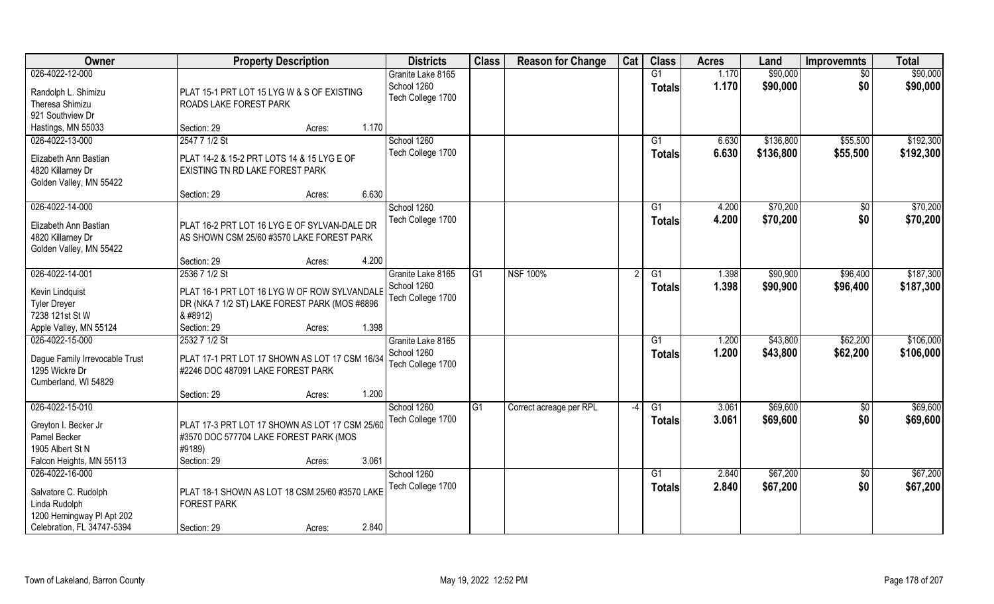| Owner                                  |                                                                      | <b>Property Description</b> |       | <b>Districts</b>                 | <b>Class</b> | <b>Reason for Change</b> | Cat  | <b>Class</b>    | <b>Acres</b> | Land      | <b>Improvemnts</b> | <b>Total</b> |
|----------------------------------------|----------------------------------------------------------------------|-----------------------------|-------|----------------------------------|--------------|--------------------------|------|-----------------|--------------|-----------|--------------------|--------------|
| 026-4022-12-000                        |                                                                      |                             |       | Granite Lake 8165                |              |                          |      | G1              | 1.170        | \$90,000  | $\sqrt{6}$         | \$90,000     |
| Randolph L. Shimizu<br>Theresa Shimizu | PLAT 15-1 PRT LOT 15 LYG W & S OF EXISTING<br>ROADS LAKE FOREST PARK |                             |       | School 1260<br>Tech College 1700 |              |                          |      | <b>Totals</b>   | 1.170        | \$90,000  | \$0                | \$90,000     |
| 921 Southview Dr                       |                                                                      |                             | 1.170 |                                  |              |                          |      |                 |              |           |                    |              |
| Hastings, MN 55033                     | Section: 29                                                          | Acres:                      |       |                                  |              |                          |      |                 |              |           |                    |              |
| 026-4022-13-000                        | 2547 7 1/2 St                                                        |                             |       | School 1260                      |              |                          |      | G1              | 6.630        | \$136,800 | \$55,500           | \$192,300    |
| Elizabeth Ann Bastian                  | PLAT 14-2 & 15-2 PRT LOTS 14 & 15 LYG E OF                           |                             |       | Tech College 1700                |              |                          |      | Totals          | 6.630        | \$136,800 | \$55,500           | \$192,300    |
| 4820 Killarney Dr                      | EXISTING TN RD LAKE FOREST PARK                                      |                             |       |                                  |              |                          |      |                 |              |           |                    |              |
| Golden Valley, MN 55422                |                                                                      |                             |       |                                  |              |                          |      |                 |              |           |                    |              |
|                                        | Section: 29                                                          | Acres:                      | 6.630 |                                  |              |                          |      |                 |              |           |                    |              |
| 026-4022-14-000                        |                                                                      |                             |       | School 1260                      |              |                          |      | G1              | 4.200        | \$70,200  | \$0                | \$70,200     |
| Elizabeth Ann Bastian                  | PLAT 16-2 PRT LOT 16 LYG E OF SYLVAN-DALE DR                         |                             |       | Tech College 1700                |              |                          |      | <b>Totals</b>   | 4.200        | \$70,200  | \$0                | \$70,200     |
| 4820 Killarney Dr                      | AS SHOWN CSM 25/60 #3570 LAKE FOREST PARK                            |                             |       |                                  |              |                          |      |                 |              |           |                    |              |
| Golden Valley, MN 55422                |                                                                      |                             |       |                                  |              |                          |      |                 |              |           |                    |              |
|                                        | Section: 29                                                          | Acres:                      | 4.200 |                                  |              |                          |      |                 |              |           |                    |              |
| 026-4022-14-001                        | 2536 7 1/2 St                                                        |                             |       | Granite Lake 8165                | G1           | <b>NSF 100%</b>          |      | G1              | 1.398        | \$90,900  | \$96,400           | \$187,300    |
|                                        |                                                                      |                             |       | School 1260                      |              |                          |      | Totals          | 1.398        | \$90,900  | \$96,400           | \$187,300    |
| Kevin Lindquist                        | PLAT 16-1 PRT LOT 16 LYG W OF ROW SYLVANDALE                         |                             |       | Tech College 1700                |              |                          |      |                 |              |           |                    |              |
| <b>Tyler Dreyer</b>                    | DR (NKA 7 1/2 ST) LAKE FOREST PARK (MOS #6896                        |                             |       |                                  |              |                          |      |                 |              |           |                    |              |
| 7238 121st St W                        | & #8912)                                                             |                             |       |                                  |              |                          |      |                 |              |           |                    |              |
| Apple Valley, MN 55124                 | Section: 29                                                          | Acres:                      | 1.398 |                                  |              |                          |      |                 |              |           |                    |              |
| 026-4022-15-000                        | 2532 7 1/2 St                                                        |                             |       | Granite Lake 8165                |              |                          |      | $\overline{G1}$ | 1.200        | \$43,800  | \$62,200           | \$106,000    |
| Dague Family Irrevocable Trust         | PLAT 17-1 PRT LOT 17 SHOWN AS LOT 17 CSM 16/34                       |                             |       | School 1260                      |              |                          |      | <b>Totals</b>   | 1.200        | \$43,800  | \$62,200           | \$106,000    |
| 1295 Wickre Dr                         | #2246 DOC 487091 LAKE FOREST PARK                                    |                             |       | Tech College 1700                |              |                          |      |                 |              |           |                    |              |
| Cumberland, WI 54829                   |                                                                      |                             |       |                                  |              |                          |      |                 |              |           |                    |              |
|                                        | Section: 29                                                          | Acres:                      | 1.200 |                                  |              |                          |      |                 |              |           |                    |              |
| 026-4022-15-010                        |                                                                      |                             |       | School 1260                      | G1           | Correct acreage per RPL  | $-4$ | G1              | 3.061        | \$69,600  | $\overline{50}$    | \$69,600     |
| Greyton I. Becker Jr                   | PLAT 17-3 PRT LOT 17 SHOWN AS LOT 17 CSM 25/60                       |                             |       | Tech College 1700                |              |                          |      | <b>Totals</b>   | 3.061        | \$69,600  | \$0                | \$69,600     |
| Pamel Becker                           | #3570 DOC 577704 LAKE FOREST PARK (MOS                               |                             |       |                                  |              |                          |      |                 |              |           |                    |              |
| 1905 Albert St N                       | #9189)                                                               |                             |       |                                  |              |                          |      |                 |              |           |                    |              |
| Falcon Heights, MN 55113               | Section: 29                                                          | Acres:                      | 3.061 |                                  |              |                          |      |                 |              |           |                    |              |
| 026-4022-16-000                        |                                                                      |                             |       | School 1260                      |              |                          |      | $\overline{G1}$ | 2.840        | \$67,200  | $\overline{50}$    | \$67,200     |
|                                        |                                                                      |                             |       | Tech College 1700                |              |                          |      | <b>Totals</b>   | 2.840        | \$67,200  | \$0                | \$67,200     |
| Salvatore C. Rudolph                   | PLAT 18-1 SHOWN AS LOT 18 CSM 25/60 #3570 LAKE                       |                             |       |                                  |              |                          |      |                 |              |           |                    |              |
| Linda Rudolph                          | <b>FOREST PARK</b>                                                   |                             |       |                                  |              |                          |      |                 |              |           |                    |              |
| 1200 Hemingway PI Apt 202              |                                                                      |                             |       |                                  |              |                          |      |                 |              |           |                    |              |
| Celebration, FL 34747-5394             | Section: 29                                                          | Acres:                      | 2.840 |                                  |              |                          |      |                 |              |           |                    |              |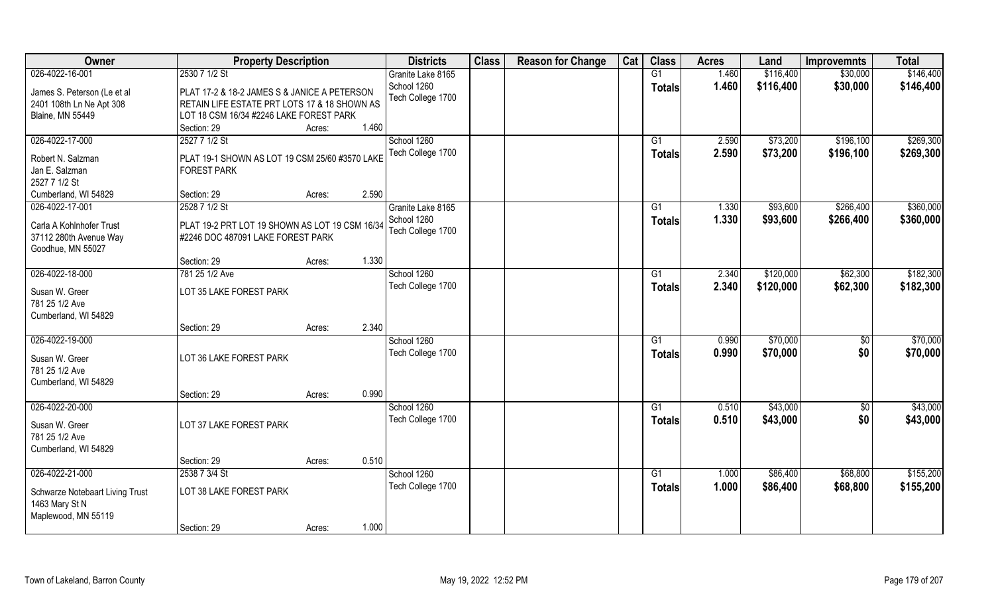| 026-4022-16-001<br>2530 7 1/2 St<br>\$116,400<br>\$30,000<br>\$146,400<br>G1<br>1.460<br>Granite Lake 8165<br>School 1260<br>1.460<br>\$30,000<br>\$116,400<br>\$146,400<br><b>Totals</b><br>James S. Peterson (Le et al<br>PLAT 17-2 & 18-2 JAMES S & JANICE A PETERSON<br>Tech College 1700<br>RETAIN LIFE ESTATE PRT LOTS 17 & 18 SHOWN AS<br>2401 108th Ln Ne Apt 308<br>LOT 18 CSM 16/34 #2246 LAKE FOREST PARK<br><b>Blaine, MN 55449</b><br>1.460<br>Section: 29<br>Acres:<br>026-4022-17-000<br>2527 7 1/2 St<br>School 1260<br>\$73,200<br>\$196,100<br>\$269,300<br>G1<br>2.590<br>Tech College 1700<br>\$73,200<br>2.590<br>\$196,100<br>\$269,300<br><b>Totals</b><br>Robert N. Salzman<br>PLAT 19-1 SHOWN AS LOT 19 CSM 25/60 #3570 LAKE<br>Jan E. Salzman<br><b>FOREST PARK</b><br>2527 7 1/2 St<br>2.590<br>Cumberland, WI 54829<br>Section: 29<br>Acres:<br>\$360,000<br>026-4022-17-001<br>2528 7 1/2 St<br>\$93,600<br>\$266,400<br>Granite Lake 8165<br>G1<br>1.330<br>School 1260<br>1.330<br>\$93,600<br>\$266,400<br>\$360,000<br><b>Totals</b><br>Carla A Kohlnhofer Trust<br>PLAT 19-2 PRT LOT 19 SHOWN AS LOT 19 CSM 16/34<br>Tech College 1700<br>37112 280th Avenue Way<br>#2246 DOC 487091 LAKE FOREST PARK<br>Goodhue, MN 55027<br>1.330<br>Section: 29<br>Acres:<br>\$182,300<br>026-4022-18-000<br>School 1260<br>\$120,000<br>\$62,300<br>781 25 1/2 Ave<br>2.340<br>G1<br>Tech College 1700<br>2.340<br>\$120,000<br>\$62,300<br>\$182,300<br><b>Totals</b><br>LOT 35 LAKE FOREST PARK<br>Susan W. Greer<br>781 25 1/2 Ave<br>Cumberland, WI 54829<br>2.340<br>Section: 29<br>Acres:<br>026-4022-19-000<br>0.990<br>\$70,000<br>\$70,000<br>School 1260<br>G1<br>\$0<br>\$70,000<br>0.990<br>\$0<br>\$70,000<br>Tech College 1700<br>Totals<br>Susan W. Greer<br>LOT 36 LAKE FOREST PARK<br>781 25 1/2 Ave<br>Cumberland, WI 54829<br>0.990<br>Section: 29<br>Acres:<br>026-4022-20-000<br>\$43,000<br>\$43,000<br>School 1260<br>$\overline{50}$<br>G1<br>0.510<br>\$0<br>Tech College 1700<br>\$43,000<br>\$43,000<br>0.510<br><b>Totals</b><br>Susan W. Greer<br>LOT 37 LAKE FOREST PARK<br>781 25 1/2 Ave<br>Cumberland, WI 54829<br>0.510<br>Section: 29<br>Acres:<br>026-4022-21-000<br>2538 7 3/4 St<br>School 1260<br>\$155,200<br>G1<br>1.000<br>\$86,400<br>\$68,800<br>Tech College 1700<br>1.000<br>\$68,800<br>\$155,200<br>\$86,400<br><b>Totals</b><br>LOT 38 LAKE FOREST PARK<br>Schwarze Notebaart Living Trust<br>1463 Mary St N<br>Maplewood, MN 55119 | Owner | <b>Property Description</b> |        |       | <b>Districts</b> | <b>Class</b> | <b>Reason for Change</b> | Cat | <b>Class</b> | <b>Acres</b> | Land | <b>Improvemnts</b> | <b>Total</b> |
|------------------------------------------------------------------------------------------------------------------------------------------------------------------------------------------------------------------------------------------------------------------------------------------------------------------------------------------------------------------------------------------------------------------------------------------------------------------------------------------------------------------------------------------------------------------------------------------------------------------------------------------------------------------------------------------------------------------------------------------------------------------------------------------------------------------------------------------------------------------------------------------------------------------------------------------------------------------------------------------------------------------------------------------------------------------------------------------------------------------------------------------------------------------------------------------------------------------------------------------------------------------------------------------------------------------------------------------------------------------------------------------------------------------------------------------------------------------------------------------------------------------------------------------------------------------------------------------------------------------------------------------------------------------------------------------------------------------------------------------------------------------------------------------------------------------------------------------------------------------------------------------------------------------------------------------------------------------------------------------------------------------------------------------------------------------------------------------------------------------------------------------------------------------------------------------------------------------------------------------------------------------------------------------------------------------------------------------------------------------------------------------------------------------------------------------------------------------------------------------------------------|-------|-----------------------------|--------|-------|------------------|--------------|--------------------------|-----|--------------|--------------|------|--------------------|--------------|
|                                                                                                                                                                                                                                                                                                                                                                                                                                                                                                                                                                                                                                                                                                                                                                                                                                                                                                                                                                                                                                                                                                                                                                                                                                                                                                                                                                                                                                                                                                                                                                                                                                                                                                                                                                                                                                                                                                                                                                                                                                                                                                                                                                                                                                                                                                                                                                                                                                                                                                            |       |                             |        |       |                  |              |                          |     |              |              |      |                    |              |
|                                                                                                                                                                                                                                                                                                                                                                                                                                                                                                                                                                                                                                                                                                                                                                                                                                                                                                                                                                                                                                                                                                                                                                                                                                                                                                                                                                                                                                                                                                                                                                                                                                                                                                                                                                                                                                                                                                                                                                                                                                                                                                                                                                                                                                                                                                                                                                                                                                                                                                            |       |                             |        |       |                  |              |                          |     |              |              |      |                    |              |
|                                                                                                                                                                                                                                                                                                                                                                                                                                                                                                                                                                                                                                                                                                                                                                                                                                                                                                                                                                                                                                                                                                                                                                                                                                                                                                                                                                                                                                                                                                                                                                                                                                                                                                                                                                                                                                                                                                                                                                                                                                                                                                                                                                                                                                                                                                                                                                                                                                                                                                            |       |                             |        |       |                  |              |                          |     |              |              |      |                    |              |
|                                                                                                                                                                                                                                                                                                                                                                                                                                                                                                                                                                                                                                                                                                                                                                                                                                                                                                                                                                                                                                                                                                                                                                                                                                                                                                                                                                                                                                                                                                                                                                                                                                                                                                                                                                                                                                                                                                                                                                                                                                                                                                                                                                                                                                                                                                                                                                                                                                                                                                            |       |                             |        |       |                  |              |                          |     |              |              |      |                    |              |
|                                                                                                                                                                                                                                                                                                                                                                                                                                                                                                                                                                                                                                                                                                                                                                                                                                                                                                                                                                                                                                                                                                                                                                                                                                                                                                                                                                                                                                                                                                                                                                                                                                                                                                                                                                                                                                                                                                                                                                                                                                                                                                                                                                                                                                                                                                                                                                                                                                                                                                            |       |                             |        |       |                  |              |                          |     |              |              |      |                    |              |
|                                                                                                                                                                                                                                                                                                                                                                                                                                                                                                                                                                                                                                                                                                                                                                                                                                                                                                                                                                                                                                                                                                                                                                                                                                                                                                                                                                                                                                                                                                                                                                                                                                                                                                                                                                                                                                                                                                                                                                                                                                                                                                                                                                                                                                                                                                                                                                                                                                                                                                            |       |                             |        |       |                  |              |                          |     |              |              |      |                    |              |
|                                                                                                                                                                                                                                                                                                                                                                                                                                                                                                                                                                                                                                                                                                                                                                                                                                                                                                                                                                                                                                                                                                                                                                                                                                                                                                                                                                                                                                                                                                                                                                                                                                                                                                                                                                                                                                                                                                                                                                                                                                                                                                                                                                                                                                                                                                                                                                                                                                                                                                            |       |                             |        |       |                  |              |                          |     |              |              |      |                    |              |
|                                                                                                                                                                                                                                                                                                                                                                                                                                                                                                                                                                                                                                                                                                                                                                                                                                                                                                                                                                                                                                                                                                                                                                                                                                                                                                                                                                                                                                                                                                                                                                                                                                                                                                                                                                                                                                                                                                                                                                                                                                                                                                                                                                                                                                                                                                                                                                                                                                                                                                            |       |                             |        |       |                  |              |                          |     |              |              |      |                    |              |
|                                                                                                                                                                                                                                                                                                                                                                                                                                                                                                                                                                                                                                                                                                                                                                                                                                                                                                                                                                                                                                                                                                                                                                                                                                                                                                                                                                                                                                                                                                                                                                                                                                                                                                                                                                                                                                                                                                                                                                                                                                                                                                                                                                                                                                                                                                                                                                                                                                                                                                            |       |                             |        |       |                  |              |                          |     |              |              |      |                    |              |
|                                                                                                                                                                                                                                                                                                                                                                                                                                                                                                                                                                                                                                                                                                                                                                                                                                                                                                                                                                                                                                                                                                                                                                                                                                                                                                                                                                                                                                                                                                                                                                                                                                                                                                                                                                                                                                                                                                                                                                                                                                                                                                                                                                                                                                                                                                                                                                                                                                                                                                            |       |                             |        |       |                  |              |                          |     |              |              |      |                    |              |
|                                                                                                                                                                                                                                                                                                                                                                                                                                                                                                                                                                                                                                                                                                                                                                                                                                                                                                                                                                                                                                                                                                                                                                                                                                                                                                                                                                                                                                                                                                                                                                                                                                                                                                                                                                                                                                                                                                                                                                                                                                                                                                                                                                                                                                                                                                                                                                                                                                                                                                            |       |                             |        |       |                  |              |                          |     |              |              |      |                    |              |
|                                                                                                                                                                                                                                                                                                                                                                                                                                                                                                                                                                                                                                                                                                                                                                                                                                                                                                                                                                                                                                                                                                                                                                                                                                                                                                                                                                                                                                                                                                                                                                                                                                                                                                                                                                                                                                                                                                                                                                                                                                                                                                                                                                                                                                                                                                                                                                                                                                                                                                            |       |                             |        |       |                  |              |                          |     |              |              |      |                    |              |
|                                                                                                                                                                                                                                                                                                                                                                                                                                                                                                                                                                                                                                                                                                                                                                                                                                                                                                                                                                                                                                                                                                                                                                                                                                                                                                                                                                                                                                                                                                                                                                                                                                                                                                                                                                                                                                                                                                                                                                                                                                                                                                                                                                                                                                                                                                                                                                                                                                                                                                            |       |                             |        |       |                  |              |                          |     |              |              |      |                    |              |
|                                                                                                                                                                                                                                                                                                                                                                                                                                                                                                                                                                                                                                                                                                                                                                                                                                                                                                                                                                                                                                                                                                                                                                                                                                                                                                                                                                                                                                                                                                                                                                                                                                                                                                                                                                                                                                                                                                                                                                                                                                                                                                                                                                                                                                                                                                                                                                                                                                                                                                            |       |                             |        |       |                  |              |                          |     |              |              |      |                    |              |
|                                                                                                                                                                                                                                                                                                                                                                                                                                                                                                                                                                                                                                                                                                                                                                                                                                                                                                                                                                                                                                                                                                                                                                                                                                                                                                                                                                                                                                                                                                                                                                                                                                                                                                                                                                                                                                                                                                                                                                                                                                                                                                                                                                                                                                                                                                                                                                                                                                                                                                            |       |                             |        |       |                  |              |                          |     |              |              |      |                    |              |
|                                                                                                                                                                                                                                                                                                                                                                                                                                                                                                                                                                                                                                                                                                                                                                                                                                                                                                                                                                                                                                                                                                                                                                                                                                                                                                                                                                                                                                                                                                                                                                                                                                                                                                                                                                                                                                                                                                                                                                                                                                                                                                                                                                                                                                                                                                                                                                                                                                                                                                            |       |                             |        |       |                  |              |                          |     |              |              |      |                    |              |
|                                                                                                                                                                                                                                                                                                                                                                                                                                                                                                                                                                                                                                                                                                                                                                                                                                                                                                                                                                                                                                                                                                                                                                                                                                                                                                                                                                                                                                                                                                                                                                                                                                                                                                                                                                                                                                                                                                                                                                                                                                                                                                                                                                                                                                                                                                                                                                                                                                                                                                            |       |                             |        |       |                  |              |                          |     |              |              |      |                    |              |
|                                                                                                                                                                                                                                                                                                                                                                                                                                                                                                                                                                                                                                                                                                                                                                                                                                                                                                                                                                                                                                                                                                                                                                                                                                                                                                                                                                                                                                                                                                                                                                                                                                                                                                                                                                                                                                                                                                                                                                                                                                                                                                                                                                                                                                                                                                                                                                                                                                                                                                            |       |                             |        |       |                  |              |                          |     |              |              |      |                    |              |
|                                                                                                                                                                                                                                                                                                                                                                                                                                                                                                                                                                                                                                                                                                                                                                                                                                                                                                                                                                                                                                                                                                                                                                                                                                                                                                                                                                                                                                                                                                                                                                                                                                                                                                                                                                                                                                                                                                                                                                                                                                                                                                                                                                                                                                                                                                                                                                                                                                                                                                            |       |                             |        |       |                  |              |                          |     |              |              |      |                    |              |
|                                                                                                                                                                                                                                                                                                                                                                                                                                                                                                                                                                                                                                                                                                                                                                                                                                                                                                                                                                                                                                                                                                                                                                                                                                                                                                                                                                                                                                                                                                                                                                                                                                                                                                                                                                                                                                                                                                                                                                                                                                                                                                                                                                                                                                                                                                                                                                                                                                                                                                            |       |                             |        |       |                  |              |                          |     |              |              |      |                    |              |
|                                                                                                                                                                                                                                                                                                                                                                                                                                                                                                                                                                                                                                                                                                                                                                                                                                                                                                                                                                                                                                                                                                                                                                                                                                                                                                                                                                                                                                                                                                                                                                                                                                                                                                                                                                                                                                                                                                                                                                                                                                                                                                                                                                                                                                                                                                                                                                                                                                                                                                            |       |                             |        |       |                  |              |                          |     |              |              |      |                    |              |
|                                                                                                                                                                                                                                                                                                                                                                                                                                                                                                                                                                                                                                                                                                                                                                                                                                                                                                                                                                                                                                                                                                                                                                                                                                                                                                                                                                                                                                                                                                                                                                                                                                                                                                                                                                                                                                                                                                                                                                                                                                                                                                                                                                                                                                                                                                                                                                                                                                                                                                            |       |                             |        |       |                  |              |                          |     |              |              |      |                    |              |
|                                                                                                                                                                                                                                                                                                                                                                                                                                                                                                                                                                                                                                                                                                                                                                                                                                                                                                                                                                                                                                                                                                                                                                                                                                                                                                                                                                                                                                                                                                                                                                                                                                                                                                                                                                                                                                                                                                                                                                                                                                                                                                                                                                                                                                                                                                                                                                                                                                                                                                            |       |                             |        |       |                  |              |                          |     |              |              |      |                    |              |
|                                                                                                                                                                                                                                                                                                                                                                                                                                                                                                                                                                                                                                                                                                                                                                                                                                                                                                                                                                                                                                                                                                                                                                                                                                                                                                                                                                                                                                                                                                                                                                                                                                                                                                                                                                                                                                                                                                                                                                                                                                                                                                                                                                                                                                                                                                                                                                                                                                                                                                            |       |                             |        |       |                  |              |                          |     |              |              |      |                    |              |
|                                                                                                                                                                                                                                                                                                                                                                                                                                                                                                                                                                                                                                                                                                                                                                                                                                                                                                                                                                                                                                                                                                                                                                                                                                                                                                                                                                                                                                                                                                                                                                                                                                                                                                                                                                                                                                                                                                                                                                                                                                                                                                                                                                                                                                                                                                                                                                                                                                                                                                            |       |                             |        |       |                  |              |                          |     |              |              |      |                    |              |
|                                                                                                                                                                                                                                                                                                                                                                                                                                                                                                                                                                                                                                                                                                                                                                                                                                                                                                                                                                                                                                                                                                                                                                                                                                                                                                                                                                                                                                                                                                                                                                                                                                                                                                                                                                                                                                                                                                                                                                                                                                                                                                                                                                                                                                                                                                                                                                                                                                                                                                            |       |                             |        |       |                  |              |                          |     |              |              |      |                    |              |
|                                                                                                                                                                                                                                                                                                                                                                                                                                                                                                                                                                                                                                                                                                                                                                                                                                                                                                                                                                                                                                                                                                                                                                                                                                                                                                                                                                                                                                                                                                                                                                                                                                                                                                                                                                                                                                                                                                                                                                                                                                                                                                                                                                                                                                                                                                                                                                                                                                                                                                            |       |                             |        |       |                  |              |                          |     |              |              |      |                    |              |
|                                                                                                                                                                                                                                                                                                                                                                                                                                                                                                                                                                                                                                                                                                                                                                                                                                                                                                                                                                                                                                                                                                                                                                                                                                                                                                                                                                                                                                                                                                                                                                                                                                                                                                                                                                                                                                                                                                                                                                                                                                                                                                                                                                                                                                                                                                                                                                                                                                                                                                            |       |                             |        |       |                  |              |                          |     |              |              |      |                    |              |
|                                                                                                                                                                                                                                                                                                                                                                                                                                                                                                                                                                                                                                                                                                                                                                                                                                                                                                                                                                                                                                                                                                                                                                                                                                                                                                                                                                                                                                                                                                                                                                                                                                                                                                                                                                                                                                                                                                                                                                                                                                                                                                                                                                                                                                                                                                                                                                                                                                                                                                            |       |                             |        |       |                  |              |                          |     |              |              |      |                    |              |
|                                                                                                                                                                                                                                                                                                                                                                                                                                                                                                                                                                                                                                                                                                                                                                                                                                                                                                                                                                                                                                                                                                                                                                                                                                                                                                                                                                                                                                                                                                                                                                                                                                                                                                                                                                                                                                                                                                                                                                                                                                                                                                                                                                                                                                                                                                                                                                                                                                                                                                            |       |                             |        |       |                  |              |                          |     |              |              |      |                    |              |
|                                                                                                                                                                                                                                                                                                                                                                                                                                                                                                                                                                                                                                                                                                                                                                                                                                                                                                                                                                                                                                                                                                                                                                                                                                                                                                                                                                                                                                                                                                                                                                                                                                                                                                                                                                                                                                                                                                                                                                                                                                                                                                                                                                                                                                                                                                                                                                                                                                                                                                            |       |                             |        |       |                  |              |                          |     |              |              |      |                    |              |
|                                                                                                                                                                                                                                                                                                                                                                                                                                                                                                                                                                                                                                                                                                                                                                                                                                                                                                                                                                                                                                                                                                                                                                                                                                                                                                                                                                                                                                                                                                                                                                                                                                                                                                                                                                                                                                                                                                                                                                                                                                                                                                                                                                                                                                                                                                                                                                                                                                                                                                            |       |                             |        |       |                  |              |                          |     |              |              |      |                    |              |
|                                                                                                                                                                                                                                                                                                                                                                                                                                                                                                                                                                                                                                                                                                                                                                                                                                                                                                                                                                                                                                                                                                                                                                                                                                                                                                                                                                                                                                                                                                                                                                                                                                                                                                                                                                                                                                                                                                                                                                                                                                                                                                                                                                                                                                                                                                                                                                                                                                                                                                            |       |                             |        |       |                  |              |                          |     |              |              |      |                    |              |
|                                                                                                                                                                                                                                                                                                                                                                                                                                                                                                                                                                                                                                                                                                                                                                                                                                                                                                                                                                                                                                                                                                                                                                                                                                                                                                                                                                                                                                                                                                                                                                                                                                                                                                                                                                                                                                                                                                                                                                                                                                                                                                                                                                                                                                                                                                                                                                                                                                                                                                            |       |                             |        |       |                  |              |                          |     |              |              |      |                    |              |
|                                                                                                                                                                                                                                                                                                                                                                                                                                                                                                                                                                                                                                                                                                                                                                                                                                                                                                                                                                                                                                                                                                                                                                                                                                                                                                                                                                                                                                                                                                                                                                                                                                                                                                                                                                                                                                                                                                                                                                                                                                                                                                                                                                                                                                                                                                                                                                                                                                                                                                            |       |                             |        |       |                  |              |                          |     |              |              |      |                    |              |
|                                                                                                                                                                                                                                                                                                                                                                                                                                                                                                                                                                                                                                                                                                                                                                                                                                                                                                                                                                                                                                                                                                                                                                                                                                                                                                                                                                                                                                                                                                                                                                                                                                                                                                                                                                                                                                                                                                                                                                                                                                                                                                                                                                                                                                                                                                                                                                                                                                                                                                            |       |                             |        |       |                  |              |                          |     |              |              |      |                    |              |
|                                                                                                                                                                                                                                                                                                                                                                                                                                                                                                                                                                                                                                                                                                                                                                                                                                                                                                                                                                                                                                                                                                                                                                                                                                                                                                                                                                                                                                                                                                                                                                                                                                                                                                                                                                                                                                                                                                                                                                                                                                                                                                                                                                                                                                                                                                                                                                                                                                                                                                            |       | Section: 29                 | Acres: | 1.000 |                  |              |                          |     |              |              |      |                    |              |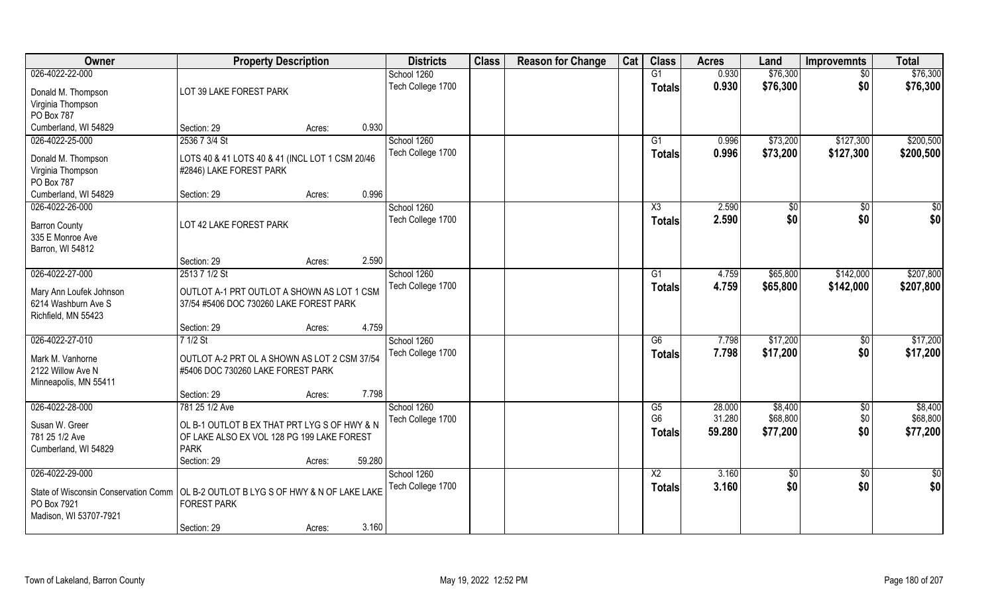| Owner                                                                                                                         | <b>Property Description</b>                                                                                              |        |        | <b>Districts</b>  | <b>Class</b> | <b>Reason for Change</b> | Cat | <b>Class</b>                    | <b>Acres</b>     | Land                 | <b>Improvemnts</b> | <b>Total</b>         |
|-------------------------------------------------------------------------------------------------------------------------------|--------------------------------------------------------------------------------------------------------------------------|--------|--------|-------------------|--------------|--------------------------|-----|---------------------------------|------------------|----------------------|--------------------|----------------------|
| 026-4022-22-000                                                                                                               |                                                                                                                          |        |        | School 1260       |              |                          |     | G1                              | 0.930            | \$76,300             | \$0                | \$76,300             |
| Donald M. Thompson<br>Virginia Thompson<br>PO Box 787                                                                         | LOT 39 LAKE FOREST PARK                                                                                                  |        |        | Tech College 1700 |              |                          |     | <b>Totals</b>                   | 0.930            | \$76,300             | \$0                | \$76,300             |
| Cumberland, WI 54829                                                                                                          | Section: 29                                                                                                              | Acres: | 0.930  |                   |              |                          |     |                                 |                  |                      |                    |                      |
| 026-4022-25-000                                                                                                               | 2536 7 3/4 St                                                                                                            |        |        | School 1260       |              |                          |     | G1                              | 0.996            | \$73,200             | \$127,300          | \$200,500            |
|                                                                                                                               |                                                                                                                          |        |        | Tech College 1700 |              |                          |     |                                 | 0.996            | \$73,200             | \$127,300          | \$200,500            |
| Donald M. Thompson<br>Virginia Thompson<br>PO Box 787                                                                         | LOTS 40 & 41 LOTS 40 & 41 (INCL LOT 1 CSM 20/46<br>#2846) LAKE FOREST PARK                                               |        |        |                   |              |                          |     | <b>Totals</b>                   |                  |                      |                    |                      |
| Cumberland, WI 54829                                                                                                          | Section: 29                                                                                                              | Acres: | 0.996  |                   |              |                          |     |                                 |                  |                      |                    |                      |
| 026-4022-26-000                                                                                                               |                                                                                                                          |        |        | School 1260       |              |                          |     | X3                              | 2.590            | \$0                  | \$0                | \$0                  |
| <b>Barron County</b><br>335 E Monroe Ave<br>Barron, WI 54812                                                                  | LOT 42 LAKE FOREST PARK                                                                                                  |        |        | Tech College 1700 |              |                          |     | <b>Totals</b>                   | 2.590            | \$0                  | \$0                | \$0                  |
|                                                                                                                               | Section: 29                                                                                                              | Acres: | 2.590  |                   |              |                          |     |                                 |                  |                      |                    |                      |
| 026-4022-27-000                                                                                                               | 2513 7 1/2 St                                                                                                            |        |        | School 1260       |              |                          |     | G1                              | 4.759            | \$65,800             | \$142,000          | \$207,800            |
| Mary Ann Loufek Johnson<br>6214 Washburn Ave S<br>Richfield, MN 55423                                                         | OUTLOT A-1 PRT OUTLOT A SHOWN AS LOT 1 CSM<br>37/54 #5406 DOC 730260 LAKE FOREST PARK                                    |        |        | Tech College 1700 |              |                          |     | <b>Totals</b>                   | 4.759            | \$65,800             | \$142,000          | \$207,800            |
|                                                                                                                               | Section: 29                                                                                                              | Acres: | 4.759  |                   |              |                          |     |                                 |                  |                      |                    |                      |
| 026-4022-27-010                                                                                                               | $71/2$ St                                                                                                                |        |        | School 1260       |              |                          |     | $\overline{G6}$                 | 7.798            | \$17,200             | \$0                | \$17,200             |
| Mark M. Vanhorne<br>2122 Willow Ave N<br>Minneapolis, MN 55411                                                                | OUTLOT A-2 PRT OL A SHOWN AS LOT 2 CSM 37/54<br>#5406 DOC 730260 LAKE FOREST PARK                                        |        |        | Tech College 1700 |              |                          |     | <b>Totals</b>                   | 7.798            | \$17,200             | \$0                | \$17,200             |
|                                                                                                                               | Section: 29                                                                                                              | Acres: | 7.798  |                   |              |                          |     |                                 |                  |                      |                    |                      |
| 026-4022-28-000                                                                                                               | 781 25 1/2 Ave                                                                                                           |        |        | School 1260       |              |                          |     | G5                              | 28.000           | \$8,400              | \$0                | \$8,400              |
| Susan W. Greer<br>781 25 1/2 Ave<br>Cumberland, WI 54829                                                                      | OL B-1 OUTLOT B EX THAT PRT LYG S OF HWY & N<br>OF LAKE ALSO EX VOL 128 PG 199 LAKE FOREST<br><b>PARK</b><br>Section: 29 | Acres: | 59.280 | Tech College 1700 |              |                          |     | G <sub>6</sub><br><b>Totals</b> | 31.280<br>59.280 | \$68,800<br>\$77,200 | \$0<br>\$0         | \$68,800<br>\$77,200 |
| 026-4022-29-000                                                                                                               |                                                                                                                          |        |        | School 1260       |              |                          |     | $\overline{X2}$                 | 3.160            | $\sqrt{6}$           | $\overline{50}$    | $\frac{1}{2}$        |
| State of Wisconsin Conservation Comm   OL B-2 OUTLOT B LYG S OF HWY & N OF LAKE LAKE<br>PO Box 7921<br>Madison, WI 53707-7921 | <b>FOREST PARK</b>                                                                                                       |        |        | Tech College 1700 |              |                          |     | <b>Totals</b>                   | 3.160            | \$0                  | \$0                | \$0                  |
|                                                                                                                               | Section: 29                                                                                                              | Acres: | 3.160  |                   |              |                          |     |                                 |                  |                      |                    |                      |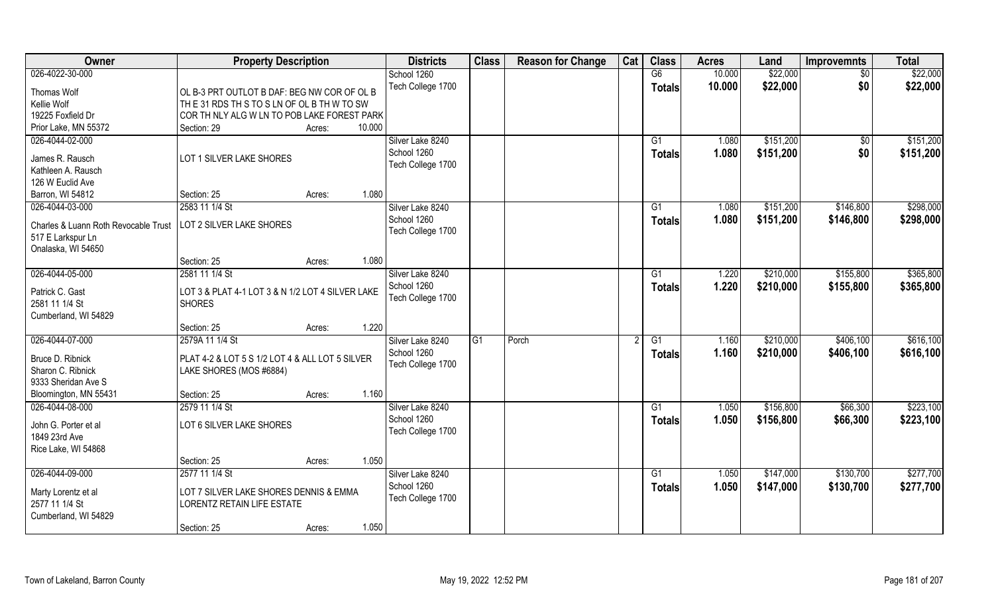| Owner                                | <b>Property Description</b>                                       |                  | <b>Districts</b>  | <b>Class</b>   | <b>Reason for Change</b> | Cat | <b>Class</b>   | <b>Acres</b> | Land      | <b>Improvemnts</b> | <b>Total</b> |
|--------------------------------------|-------------------------------------------------------------------|------------------|-------------------|----------------|--------------------------|-----|----------------|--------------|-----------|--------------------|--------------|
| 026-4022-30-000                      |                                                                   |                  | School 1260       |                |                          |     | G6             | 10.000       | \$22,000  | $\overline{50}$    | \$22,000     |
| Thomas Wolf                          | OL B-3 PRT OUTLOT B DAF: BEG NW COR OF OL B                       |                  | Tech College 1700 |                |                          |     | <b>Totals</b>  | 10.000       | \$22,000  | \$0                | \$22,000     |
| Kellie Wolf                          | THE 31 RDS THIS TO SILN OF OLIBITH WITO SW                        |                  |                   |                |                          |     |                |              |           |                    |              |
| 19225 Foxfield Dr                    | COR TH NLY ALG W LN TO POB LAKE FOREST PARK                       |                  |                   |                |                          |     |                |              |           |                    |              |
| Prior Lake, MN 55372                 | Section: 29                                                       | 10.000<br>Acres: |                   |                |                          |     |                |              |           |                    |              |
| 026-4044-02-000                      |                                                                   |                  | Silver Lake 8240  |                |                          |     | G1             | 1.080        | \$151,200 | \$0                | \$151,200    |
|                                      |                                                                   |                  | School 1260       |                |                          |     | Totals         | 1.080        | \$151,200 | \$0                | \$151,200    |
| James R. Rausch                      | LOT 1 SILVER LAKE SHORES                                          |                  | Tech College 1700 |                |                          |     |                |              |           |                    |              |
| Kathleen A. Rausch                   |                                                                   |                  |                   |                |                          |     |                |              |           |                    |              |
| 126 W Euclid Ave                     |                                                                   |                  |                   |                |                          |     |                |              |           |                    |              |
| Barron, WI 54812                     | Section: 25                                                       | 1.080<br>Acres:  |                   |                |                          |     |                |              |           |                    |              |
| 026-4044-03-000                      | 2583 11 1/4 St                                                    |                  | Silver Lake 8240  |                |                          |     | G1             | 1.080        | \$151,200 | \$146,800          | \$298,000    |
| Charles & Luann Roth Revocable Trust | LOT 2 SILVER LAKE SHORES                                          |                  | School 1260       |                |                          |     | <b>Totals</b>  | 1.080        | \$151,200 | \$146,800          | \$298,000    |
| 517 E Larkspur Ln                    |                                                                   |                  | Tech College 1700 |                |                          |     |                |              |           |                    |              |
| Onalaska, WI 54650                   |                                                                   |                  |                   |                |                          |     |                |              |           |                    |              |
|                                      | Section: 25                                                       | 1.080<br>Acres:  |                   |                |                          |     |                |              |           |                    |              |
| 026-4044-05-000                      | 2581 11 1/4 St                                                    |                  | Silver Lake 8240  |                |                          |     | G1             | 1.220        | \$210,000 | \$155,800          | \$365,800    |
|                                      |                                                                   |                  | School 1260       |                |                          |     | <b>Totals</b>  | 1.220        | \$210,000 | \$155,800          | \$365,800    |
| Patrick C. Gast<br>2581 11 1/4 St    | LOT 3 & PLAT 4-1 LOT 3 & N 1/2 LOT 4 SILVER LAKE<br><b>SHORES</b> |                  | Tech College 1700 |                |                          |     |                |              |           |                    |              |
| Cumberland, WI 54829                 |                                                                   |                  |                   |                |                          |     |                |              |           |                    |              |
|                                      | Section: 25                                                       | 1.220<br>Acres:  |                   |                |                          |     |                |              |           |                    |              |
| 026-4044-07-000                      | 2579A 11 1/4 St                                                   |                  | Silver Lake 8240  | G <sub>1</sub> | Porch                    | 2   | G1             | 1.160        | \$210,000 | \$406,100          | \$616,100    |
|                                      |                                                                   |                  | School 1260       |                |                          |     |                | 1.160        | \$210,000 | \$406,100          | \$616,100    |
| Bruce D. Ribnick                     | PLAT 4-2 & LOT 5 S 1/2 LOT 4 & ALL LOT 5 SILVER                   |                  | Tech College 1700 |                |                          |     | <b>Totals</b>  |              |           |                    |              |
| Sharon C. Ribnick                    | LAKE SHORES (MOS #6884)                                           |                  |                   |                |                          |     |                |              |           |                    |              |
| 9333 Sheridan Ave S                  |                                                                   |                  |                   |                |                          |     |                |              |           |                    |              |
| Bloomington, MN 55431                | Section: 25                                                       | 1.160<br>Acres:  |                   |                |                          |     |                |              |           |                    |              |
| 026-4044-08-000                      | 2579 11 1/4 St                                                    |                  | Silver Lake 8240  |                |                          |     | G1             | 1.050        | \$156,800 | \$66,300           | \$223,100    |
| John G. Porter et al                 | LOT 6 SILVER LAKE SHORES                                          |                  | School 1260       |                |                          |     | <b>Totals</b>  | 1.050        | \$156,800 | \$66,300           | \$223,100    |
| 1849 23rd Ave                        |                                                                   |                  | Tech College 1700 |                |                          |     |                |              |           |                    |              |
| Rice Lake, WI 54868                  |                                                                   |                  |                   |                |                          |     |                |              |           |                    |              |
|                                      | Section: 25                                                       | 1.050<br>Acres:  |                   |                |                          |     |                |              |           |                    |              |
| 026-4044-09-000                      | 2577 11 1/4 St                                                    |                  | Silver Lake 8240  |                |                          |     | G <sub>1</sub> | 1.050        | \$147,000 | \$130,700          | \$277,700    |
|                                      |                                                                   |                  | School 1260       |                |                          |     | <b>Totals</b>  | 1.050        | \$147,000 | \$130,700          | \$277,700    |
| Marty Lorentz et al                  | LOT 7 SILVER LAKE SHORES DENNIS & EMMA                            |                  | Tech College 1700 |                |                          |     |                |              |           |                    |              |
| 2577 11 1/4 St                       | <b>LORENTZ RETAIN LIFE ESTATE</b>                                 |                  |                   |                |                          |     |                |              |           |                    |              |
| Cumberland, WI 54829                 |                                                                   |                  |                   |                |                          |     |                |              |           |                    |              |
|                                      | Section: 25                                                       | 1.050<br>Acres:  |                   |                |                          |     |                |              |           |                    |              |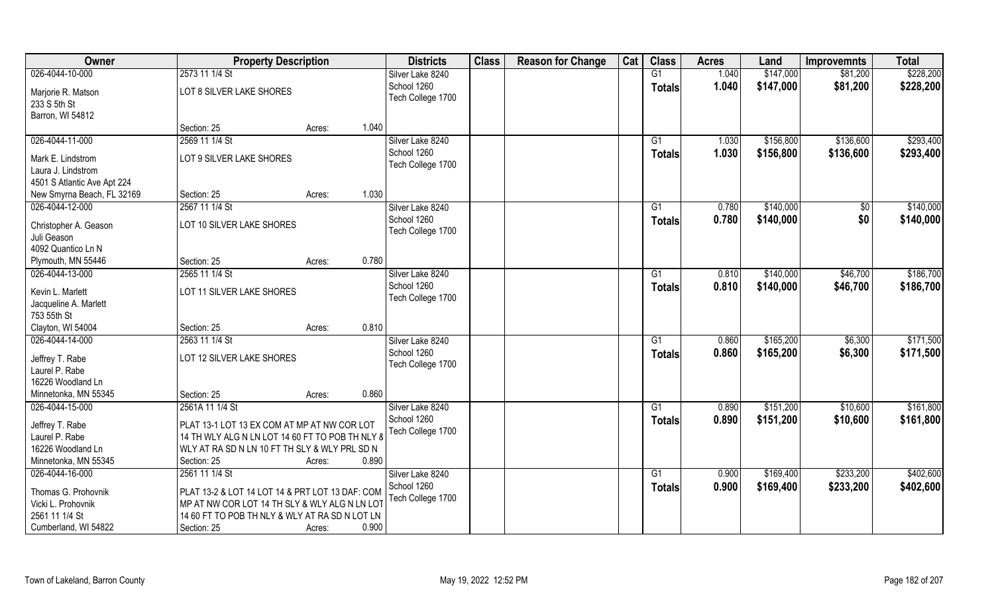| \$147,000<br>026-4044-10-000<br>2573 11 1/4 St<br>G1<br>1.040<br>\$81,200<br>Silver Lake 8240<br>School 1260<br>1.040<br>\$147,000<br>\$81,200<br><b>Totals</b><br>LOT 8 SILVER LAKE SHORES<br>Marjorie R. Matson<br>Tech College 1700<br>233 S 5th St<br>Barron, WI 54812<br>1.040<br>Section: 25<br>Acres:<br>026-4044-11-000<br>2569 11 1/4 St<br>\$156,800<br>\$136,600<br>Silver Lake 8240<br>$\overline{G1}$<br>1.030<br>School 1260<br>1.030<br>\$156,800<br>\$136,600<br>Totals<br>LOT 9 SILVER LAKE SHORES<br>Mark E. Lindstrom<br>Tech College 1700<br>Laura J. Lindstrom<br>4501 S Atlantic Ave Apt 224<br>1.030<br>Section: 25<br>New Smyrna Beach, FL 32169<br>Acres: | Owner           | <b>Property Description</b> | <b>Districts</b> | <b>Class</b> | <b>Reason for Change</b> | Cat | <b>Class</b> | <b>Acres</b> | Land      | <b>Improvemnts</b> | <b>Total</b> |
|------------------------------------------------------------------------------------------------------------------------------------------------------------------------------------------------------------------------------------------------------------------------------------------------------------------------------------------------------------------------------------------------------------------------------------------------------------------------------------------------------------------------------------------------------------------------------------------------------------------------------------------------------------------------------------|-----------------|-----------------------------|------------------|--------------|--------------------------|-----|--------------|--------------|-----------|--------------------|--------------|
|                                                                                                                                                                                                                                                                                                                                                                                                                                                                                                                                                                                                                                                                                    |                 |                             |                  |              |                          |     |              |              |           |                    | \$228,200    |
|                                                                                                                                                                                                                                                                                                                                                                                                                                                                                                                                                                                                                                                                                    |                 |                             |                  |              |                          |     |              |              |           |                    | \$228,200    |
|                                                                                                                                                                                                                                                                                                                                                                                                                                                                                                                                                                                                                                                                                    |                 |                             |                  |              |                          |     |              |              |           |                    |              |
|                                                                                                                                                                                                                                                                                                                                                                                                                                                                                                                                                                                                                                                                                    |                 |                             |                  |              |                          |     |              |              |           |                    |              |
|                                                                                                                                                                                                                                                                                                                                                                                                                                                                                                                                                                                                                                                                                    |                 |                             |                  |              |                          |     |              |              |           |                    |              |
|                                                                                                                                                                                                                                                                                                                                                                                                                                                                                                                                                                                                                                                                                    |                 |                             |                  |              |                          |     |              |              |           |                    | \$293,400    |
|                                                                                                                                                                                                                                                                                                                                                                                                                                                                                                                                                                                                                                                                                    |                 |                             |                  |              |                          |     |              |              |           |                    | \$293,400    |
|                                                                                                                                                                                                                                                                                                                                                                                                                                                                                                                                                                                                                                                                                    |                 |                             |                  |              |                          |     |              |              |           |                    |              |
|                                                                                                                                                                                                                                                                                                                                                                                                                                                                                                                                                                                                                                                                                    |                 |                             |                  |              |                          |     |              |              |           |                    |              |
|                                                                                                                                                                                                                                                                                                                                                                                                                                                                                                                                                                                                                                                                                    |                 |                             |                  |              |                          |     |              |              |           |                    |              |
|                                                                                                                                                                                                                                                                                                                                                                                                                                                                                                                                                                                                                                                                                    | 026-4044-12-000 | 2567 11 1/4 St              | Silver Lake 8240 |              |                          |     | G1           | 0.780        | \$140,000 | \$0                | \$140,000    |
| School 1260<br>\$0<br>0.780<br>\$140,000<br>Totals                                                                                                                                                                                                                                                                                                                                                                                                                                                                                                                                                                                                                                 |                 |                             |                  |              |                          |     |              |              |           |                    | \$140,000    |
| LOT 10 SILVER LAKE SHORES<br>Christopher A. Geason<br>Tech College 1700                                                                                                                                                                                                                                                                                                                                                                                                                                                                                                                                                                                                            |                 |                             |                  |              |                          |     |              |              |           |                    |              |
| Juli Geason<br>4092 Quantico Ln N                                                                                                                                                                                                                                                                                                                                                                                                                                                                                                                                                                                                                                                  |                 |                             |                  |              |                          |     |              |              |           |                    |              |
| 0.780<br>Section: 25<br>Plymouth, MN 55446<br>Acres:                                                                                                                                                                                                                                                                                                                                                                                                                                                                                                                                                                                                                               |                 |                             |                  |              |                          |     |              |              |           |                    |              |
| 026-4044-13-000<br>2565 11 1/4 St<br>Silver Lake 8240<br>\$140,000<br>\$46,700<br>G1<br>0.810                                                                                                                                                                                                                                                                                                                                                                                                                                                                                                                                                                                      |                 |                             |                  |              |                          |     |              |              |           |                    | \$186,700    |
| School 1260<br>0.810<br>\$140,000<br>\$46,700<br><b>Totals</b>                                                                                                                                                                                                                                                                                                                                                                                                                                                                                                                                                                                                                     |                 |                             |                  |              |                          |     |              |              |           |                    | \$186,700    |
| LOT 11 SILVER LAKE SHORES<br>Kevin L. Marlett<br>Tech College 1700                                                                                                                                                                                                                                                                                                                                                                                                                                                                                                                                                                                                                 |                 |                             |                  |              |                          |     |              |              |           |                    |              |
| Jacqueline A. Marlett                                                                                                                                                                                                                                                                                                                                                                                                                                                                                                                                                                                                                                                              |                 |                             |                  |              |                          |     |              |              |           |                    |              |
| 753 55th St                                                                                                                                                                                                                                                                                                                                                                                                                                                                                                                                                                                                                                                                        |                 |                             |                  |              |                          |     |              |              |           |                    |              |
| 0.810<br>Clayton, WI 54004<br>Section: 25<br>Acres:                                                                                                                                                                                                                                                                                                                                                                                                                                                                                                                                                                                                                                |                 |                             |                  |              |                          |     |              |              |           |                    |              |
| 026-4044-14-000<br>0.860<br>\$165,200<br>\$6,300<br>2563 11 1/4 St<br>Silver Lake 8240<br>G1                                                                                                                                                                                                                                                                                                                                                                                                                                                                                                                                                                                       |                 |                             |                  |              |                          |     |              |              |           |                    | \$171,500    |
| School 1260<br>\$165,200<br>0.860<br>\$6,300<br><b>Totals</b><br>LOT 12 SILVER LAKE SHORES<br>Jeffrey T. Rabe                                                                                                                                                                                                                                                                                                                                                                                                                                                                                                                                                                      |                 |                             |                  |              |                          |     |              |              |           |                    | \$171,500    |
| Tech College 1700<br>Laurel P. Rabe                                                                                                                                                                                                                                                                                                                                                                                                                                                                                                                                                                                                                                                |                 |                             |                  |              |                          |     |              |              |           |                    |              |
| 16226 Woodland Ln                                                                                                                                                                                                                                                                                                                                                                                                                                                                                                                                                                                                                                                                  |                 |                             |                  |              |                          |     |              |              |           |                    |              |
| 0.860<br>Minnetonka, MN 55345<br>Section: 25<br>Acres:                                                                                                                                                                                                                                                                                                                                                                                                                                                                                                                                                                                                                             |                 |                             |                  |              |                          |     |              |              |           |                    |              |
| 026-4044-15-000<br>2561A 11 1/4 St<br>Silver Lake 8240<br>G1<br>0.890<br>\$151,200<br>\$10,600                                                                                                                                                                                                                                                                                                                                                                                                                                                                                                                                                                                     |                 |                             |                  |              |                          |     |              |              |           |                    | \$161,800    |
| School 1260<br>0.890<br>\$151,200<br>\$10,600<br><b>Totals</b><br>PLAT 13-1 LOT 13 EX COM AT MP AT NW COR LOT<br>Jeffrey T. Rabe                                                                                                                                                                                                                                                                                                                                                                                                                                                                                                                                                   |                 |                             |                  |              |                          |     |              |              |           |                    | \$161,800    |
| Tech College 1700<br>Laurel P. Rabe<br>14 TH WLY ALG N LN LOT 14 60 FT TO POB TH NLY 8                                                                                                                                                                                                                                                                                                                                                                                                                                                                                                                                                                                             |                 |                             |                  |              |                          |     |              |              |           |                    |              |
| 16226 Woodland Ln<br>WLY AT RA SD N LN 10 FT TH SLY & WLY PRL SD N                                                                                                                                                                                                                                                                                                                                                                                                                                                                                                                                                                                                                 |                 |                             |                  |              |                          |     |              |              |           |                    |              |
| 0.890<br>Minnetonka, MN 55345<br>Section: 25<br>Acres:                                                                                                                                                                                                                                                                                                                                                                                                                                                                                                                                                                                                                             |                 |                             |                  |              |                          |     |              |              |           |                    |              |
| \$169,400<br>\$233,200<br>026-4044-16-000<br>2561 11 1/4 St<br>Silver Lake 8240<br>0.900<br>G1                                                                                                                                                                                                                                                                                                                                                                                                                                                                                                                                                                                     |                 |                             |                  |              |                          |     |              |              |           |                    | \$402,600    |
| School 1260<br>\$233,200<br>0.900<br>\$169,400<br><b>Totals</b><br>PLAT 13-2 & LOT 14 LOT 14 & PRT LOT 13 DAF: COM<br>Thomas G. Prohovnik                                                                                                                                                                                                                                                                                                                                                                                                                                                                                                                                          |                 |                             |                  |              |                          |     |              |              |           |                    | \$402,600    |
| Tech College 1700<br>Vicki L. Prohovnik<br>MP AT NW COR LOT 14 TH SLY & WLY ALG N LN LOT                                                                                                                                                                                                                                                                                                                                                                                                                                                                                                                                                                                           |                 |                             |                  |              |                          |     |              |              |           |                    |              |
| 2561 11 1/4 St<br>14 60 FT TO POB TH NLY & WLY AT RA SD N LOT LN                                                                                                                                                                                                                                                                                                                                                                                                                                                                                                                                                                                                                   |                 |                             |                  |              |                          |     |              |              |           |                    |              |
| 0.900<br>Cumberland, WI 54822<br>Section: 25<br>Acres:                                                                                                                                                                                                                                                                                                                                                                                                                                                                                                                                                                                                                             |                 |                             |                  |              |                          |     |              |              |           |                    |              |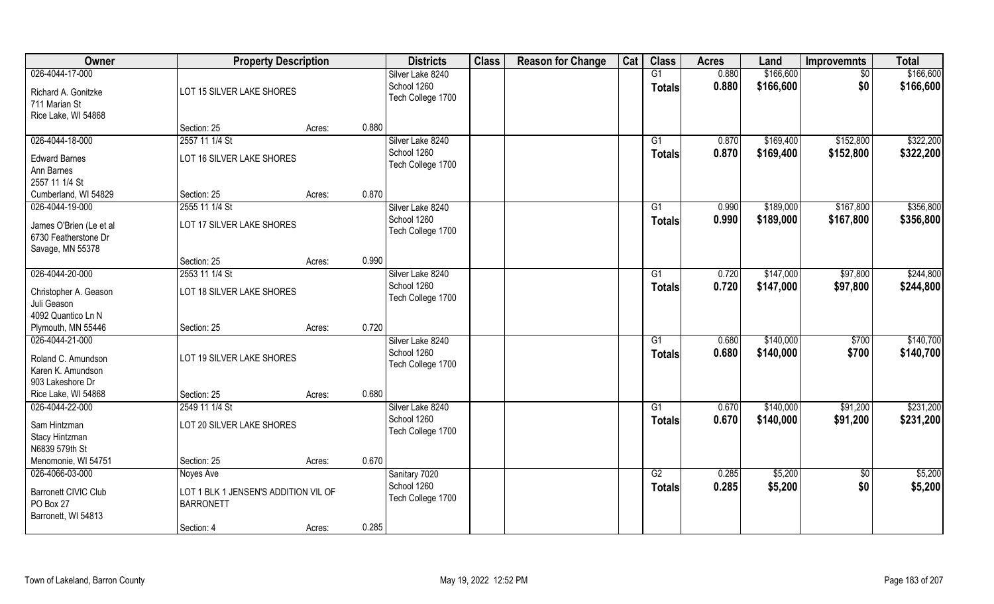| Owner                                                               | <b>Property Description</b>                              |        |       | <b>Districts</b>                                     | <b>Class</b> | <b>Reason for Change</b> | Cat | <b>Class</b>        | <b>Acres</b>   | Land                   | <b>Improvemnts</b> | <b>Total</b>           |
|---------------------------------------------------------------------|----------------------------------------------------------|--------|-------|------------------------------------------------------|--------------|--------------------------|-----|---------------------|----------------|------------------------|--------------------|------------------------|
| 026-4044-17-000<br>Richard A. Gonitzke<br>711 Marian St             | LOT 15 SILVER LAKE SHORES                                |        |       | Silver Lake 8240<br>School 1260<br>Tech College 1700 |              |                          |     | G1<br><b>Totals</b> | 0.880<br>0.880 | \$166,600<br>\$166,600 | $\sqrt{6}$<br>\$0  | \$166,600<br>\$166,600 |
| Rice Lake, WI 54868                                                 | Section: 25                                              | Acres: | 0.880 |                                                      |              |                          |     |                     |                |                        |                    |                        |
| 026-4044-18-000                                                     | 2557 11 1/4 St                                           |        |       | Silver Lake 8240                                     |              |                          |     | G1                  | 0.870          | \$169,400              | \$152,800          | \$322,200              |
| <b>Edward Barnes</b><br>Ann Barnes<br>2557 11 1/4 St                | LOT 16 SILVER LAKE SHORES                                |        |       | School 1260<br>Tech College 1700                     |              |                          |     | Totals              | 0.870          | \$169,400              | \$152,800          | \$322,200              |
| Cumberland, WI 54829                                                | Section: 25                                              | Acres: | 0.870 |                                                      |              |                          |     |                     |                |                        |                    |                        |
| 026-4044-19-000                                                     | 2555 11 1/4 St                                           |        |       | Silver Lake 8240                                     |              |                          |     | G1                  | 0.990          | \$189,000              | \$167,800          | \$356,800              |
| James O'Brien (Le et al<br>6730 Featherstone Dr<br>Savage, MN 55378 | LOT 17 SILVER LAKE SHORES                                |        |       | School 1260<br>Tech College 1700                     |              |                          |     | <b>Totals</b>       | 0.990          | \$189,000              | \$167,800          | \$356,800              |
|                                                                     | Section: 25                                              | Acres: | 0.990 |                                                      |              |                          |     |                     |                |                        |                    |                        |
| 026-4044-20-000                                                     | 2553 11 1/4 St                                           |        |       | Silver Lake 8240                                     |              |                          |     | G1                  | 0.720          | \$147,000              | \$97,800           | \$244,800              |
| Christopher A. Geason<br>Juli Geason                                | LOT 18 SILVER LAKE SHORES                                |        |       | School 1260<br>Tech College 1700                     |              |                          |     | <b>Totals</b>       | 0.720          | \$147,000              | \$97,800           | \$244,800              |
| 4092 Quantico Ln N<br>Plymouth, MN 55446                            | Section: 25                                              | Acres: | 0.720 |                                                      |              |                          |     |                     |                |                        |                    |                        |
| 026-4044-21-000                                                     |                                                          |        |       | Silver Lake 8240                                     |              |                          |     | $\overline{G1}$     | 0.680          | \$140,000              | \$700              | \$140,700              |
| Roland C. Amundson<br>Karen K. Amundson<br>903 Lakeshore Dr         | LOT 19 SILVER LAKE SHORES                                |        |       | School 1260<br>Tech College 1700                     |              |                          |     | <b>Totals</b>       | 0.680          | \$140,000              | \$700              | \$140,700              |
| Rice Lake, WI 54868                                                 | Section: 25                                              | Acres: | 0.680 |                                                      |              |                          |     |                     |                |                        |                    |                        |
| 026-4044-22-000                                                     | 2549 11 1/4 St                                           |        |       | Silver Lake 8240                                     |              |                          |     | G1                  | 0.670          | \$140,000              | \$91,200           | \$231,200              |
| Sam Hintzman<br>Stacy Hintzman<br>N6839 579th St                    | LOT 20 SILVER LAKE SHORES                                |        |       | School 1260<br>Tech College 1700                     |              |                          |     | <b>Totals</b>       | 0.670          | \$140,000              | \$91,200           | \$231,200              |
| Menomonie, WI 54751                                                 | Section: 25                                              | Acres: | 0.670 |                                                      |              |                          |     |                     |                |                        |                    |                        |
| 026-4066-03-000                                                     | Noyes Ave                                                |        |       | Sanitary 7020                                        |              |                          |     | G2                  | 0.285          | \$5,200                | $\overline{50}$    | \$5,200                |
| Barronett CIVIC Club<br>PO Box 27<br>Barronett, WI 54813            | LOT 1 BLK 1 JENSEN'S ADDITION VIL OF<br><b>BARRONETT</b> |        |       | School 1260<br>Tech College 1700                     |              |                          |     | Totals              | 0.285          | \$5,200                | \$0                | \$5,200                |
|                                                                     | Section: 4                                               | Acres: | 0.285 |                                                      |              |                          |     |                     |                |                        |                    |                        |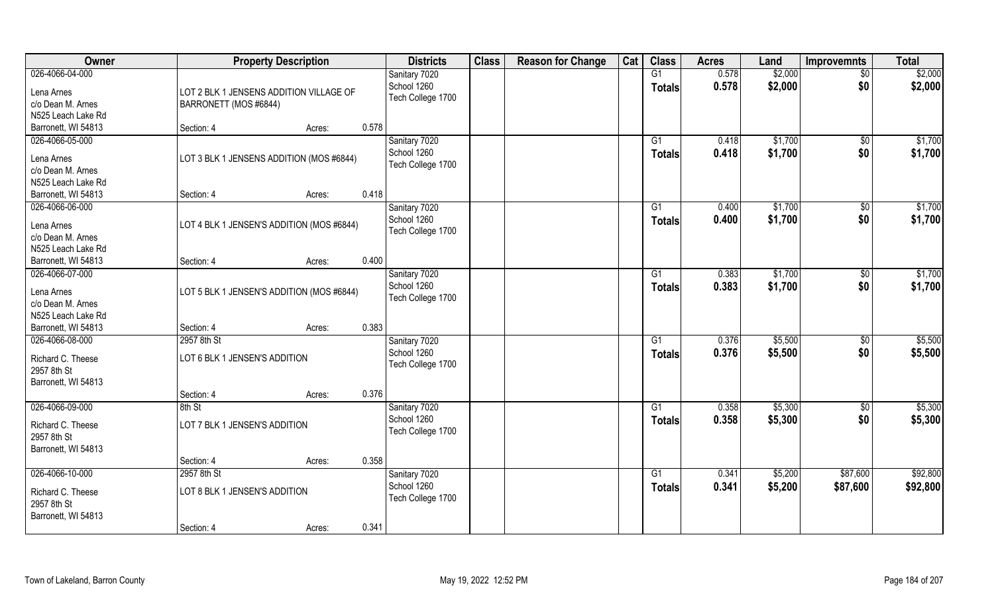| Owner                                   | <b>Property Description</b>               |                 | <b>Districts</b>  | <b>Class</b> | <b>Reason for Change</b> | Cat | <b>Class</b>    | <b>Acres</b> | Land    | <b>Improvemnts</b> | <b>Total</b> |
|-----------------------------------------|-------------------------------------------|-----------------|-------------------|--------------|--------------------------|-----|-----------------|--------------|---------|--------------------|--------------|
| 026-4066-04-000                         |                                           |                 | Sanitary 7020     |              |                          |     | G1              | 0.578        | \$2,000 | $\overline{50}$    | \$2,000      |
| Lena Arnes                              | LOT 2 BLK 1 JENSENS ADDITION VILLAGE OF   |                 | School 1260       |              |                          |     | <b>Totals</b>   | 0.578        | \$2,000 | \$0                | \$2,000      |
| c/o Dean M. Arnes                       | BARRONETT (MOS #6844)                     |                 | Tech College 1700 |              |                          |     |                 |              |         |                    |              |
| N525 Leach Lake Rd                      |                                           |                 |                   |              |                          |     |                 |              |         |                    |              |
| Barronett, WI 54813                     | Section: 4                                | 0.578<br>Acres: |                   |              |                          |     |                 |              |         |                    |              |
| 026-4066-05-000                         |                                           |                 | Sanitary 7020     |              |                          |     | $\overline{G1}$ | 0.418        | \$1,700 | \$0                | \$1,700      |
|                                         |                                           |                 | School 1260       |              |                          |     | <b>Totals</b>   | 0.418        | \$1,700 | \$0                | \$1,700      |
| Lena Arnes                              | LOT 3 BLK 1 JENSENS ADDITION (MOS #6844)  |                 | Tech College 1700 |              |                          |     |                 |              |         |                    |              |
| c/o Dean M. Arnes                       |                                           |                 |                   |              |                          |     |                 |              |         |                    |              |
| N525 Leach Lake Rd                      |                                           |                 |                   |              |                          |     |                 |              |         |                    |              |
| Barronett, WI 54813                     | Section: 4                                | 0.418<br>Acres: |                   |              |                          |     |                 |              |         |                    |              |
| 026-4066-06-000                         |                                           |                 | Sanitary 7020     |              |                          |     | G1              | 0.400        | \$1,700 | $\sqrt[6]{3}$      | \$1,700      |
| Lena Arnes                              | LOT 4 BLK 1 JENSEN'S ADDITION (MOS #6844) |                 | School 1260       |              |                          |     | <b>Totals</b>   | 0.400        | \$1,700 | \$0                | \$1,700      |
| c/o Dean M. Arnes                       |                                           |                 | Tech College 1700 |              |                          |     |                 |              |         |                    |              |
| N525 Leach Lake Rd                      |                                           |                 |                   |              |                          |     |                 |              |         |                    |              |
| Barronett, WI 54813                     | Section: 4                                | 0.400<br>Acres: |                   |              |                          |     |                 |              |         |                    |              |
| 026-4066-07-000                         |                                           |                 | Sanitary 7020     |              |                          |     | G1              | 0.383        | \$1,700 | \$0                | \$1,700      |
|                                         |                                           |                 | School 1260       |              |                          |     | <b>Totals</b>   | 0.383        | \$1,700 | \$0                | \$1,700      |
| Lena Arnes                              | LOT 5 BLK 1 JENSEN'S ADDITION (MOS #6844) |                 | Tech College 1700 |              |                          |     |                 |              |         |                    |              |
| c/o Dean M. Arnes<br>N525 Leach Lake Rd |                                           |                 |                   |              |                          |     |                 |              |         |                    |              |
| Barronett, WI 54813                     |                                           | 0.383           |                   |              |                          |     |                 |              |         |                    |              |
| 026-4066-08-000                         | Section: 4<br>2957 8th St                 | Acres:          |                   |              |                          |     | $\overline{G1}$ | 0.376        | \$5,500 |                    | \$5,500      |
|                                         |                                           |                 | Sanitary 7020     |              |                          |     |                 |              |         | \$0                |              |
| Richard C. Theese                       | LOT 6 BLK 1 JENSEN'S ADDITION             |                 | School 1260       |              |                          |     | <b>Totals</b>   | 0.376        | \$5,500 | \$0                | \$5,500      |
| 2957 8th St                             |                                           |                 | Tech College 1700 |              |                          |     |                 |              |         |                    |              |
| Barronett, WI 54813                     |                                           |                 |                   |              |                          |     |                 |              |         |                    |              |
|                                         | Section: 4                                | 0.376<br>Acres: |                   |              |                          |     |                 |              |         |                    |              |
| 026-4066-09-000                         | 8th St                                    |                 | Sanitary 7020     |              |                          |     | G1              | 0.358        | \$5,300 | \$0                | \$5,300      |
| Richard C. Theese                       | LOT 7 BLK 1 JENSEN'S ADDITION             |                 | School 1260       |              |                          |     | <b>Totals</b>   | 0.358        | \$5,300 | \$0                | \$5,300      |
| 2957 8th St                             |                                           |                 | Tech College 1700 |              |                          |     |                 |              |         |                    |              |
| Barronett, WI 54813                     |                                           |                 |                   |              |                          |     |                 |              |         |                    |              |
|                                         | Section: 4                                | 0.358<br>Acres: |                   |              |                          |     |                 |              |         |                    |              |
| 026-4066-10-000                         | 2957 8th St                               |                 | Sanitary 7020     |              |                          |     | G1              | 0.341        | \$5,200 | \$87,600           | \$92,800     |
|                                         |                                           |                 | School 1260       |              |                          |     | <b>Totals</b>   | 0.341        | \$5,200 | \$87,600           | \$92,800     |
| Richard C. Theese                       | LOT 8 BLK 1 JENSEN'S ADDITION             |                 | Tech College 1700 |              |                          |     |                 |              |         |                    |              |
| 2957 8th St                             |                                           |                 |                   |              |                          |     |                 |              |         |                    |              |
| Barronett, WI 54813                     |                                           |                 |                   |              |                          |     |                 |              |         |                    |              |
|                                         | Section: 4                                | 0.341<br>Acres: |                   |              |                          |     |                 |              |         |                    |              |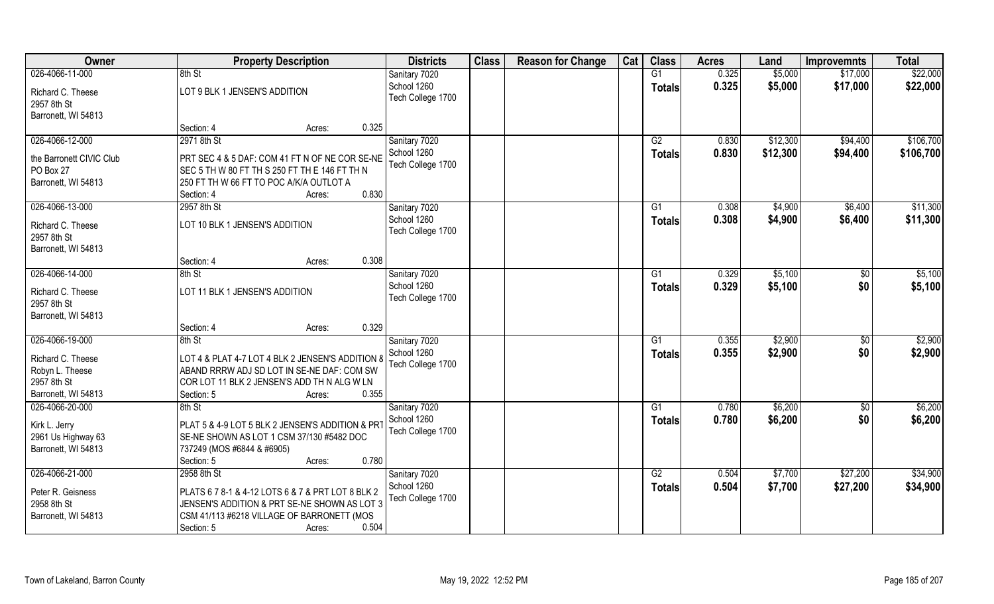| 0.325<br>\$22,000<br>8th St<br>G1<br>\$5,000<br>\$17,000<br>Sanitary 7020<br>0.325<br>\$17,000<br>School 1260<br>\$5,000<br>\$22,000<br><b>Totals</b><br>LOT 9 BLK 1 JENSEN'S ADDITION<br>Tech College 1700<br>Barronett, WI 54813<br>0.325<br>Section: 4<br>Acres:<br>026-4066-12-000<br>2971 8th St<br>Sanitary 7020<br>G2<br>0.830<br>\$12,300<br>\$94,400<br>School 1260<br>0.830<br>\$12,300<br>\$94,400<br>Totals<br>PRT SEC 4 & 5 DAF: COM 41 FT N OF NE COR SE-NE<br>Tech College 1700<br>SEC 5 TH W 80 FT TH S 250 FT TH E 146 FT TH N<br>250 FT TH W 66 FT TO POC A/K/A OUTLOT A<br>0.830<br>Section: 4<br>Acres:<br>026-4066-13-000<br>2957 8th St<br>Sanitary 7020<br>0.308<br>\$4,900<br>\$6,400<br>G1<br>School 1260<br>\$4,900<br>\$6,400<br>0.308<br><b>Totals</b><br>LOT 10 BLK 1 JENSEN'S ADDITION<br>Richard C. Theese<br>Tech College 1700<br>2957 8th St<br>Barronett, WI 54813<br>0.308<br>Section: 4<br>Acres:<br>026-4066-14-000<br>Sanitary 7020<br>0.329<br>\$5,100<br>8th St<br>G1<br>$\sqrt[6]{}$<br>School 1260<br>\$0<br>0.329<br>\$5,100<br><b>Totals</b><br>LOT 11 BLK 1 JENSEN'S ADDITION<br>Richard C. Theese<br>Tech College 1700<br>2957 8th St<br>Barronett, WI 54813<br>0.329<br>Section: 4<br>Acres:<br>026-4066-19-000<br>0.355<br>\$2,900<br>8th St<br>$\overline{G1}$<br>$\sqrt[6]{}$<br>Sanitary 7020<br>School 1260<br>0.355<br>\$2,900<br>\$0<br><b>Totals</b><br>Richard C. Theese<br>LOT 4 & PLAT 4-7 LOT 4 BLK 2 JENSEN'S ADDITION 8<br>Tech College 1700<br>Robyn L. Theese<br>ABAND RRRW ADJ SD LOT IN SE-NE DAF: COM SW<br>2957 8th St<br>COR LOT 11 BLK 2 JENSEN'S ADD TH N ALG W LN<br>Barronett, WI 54813<br>0.355<br>Section: 5<br>Acres:<br>026-4066-20-000<br>0.780<br>\$6,200<br>$\overline{50}$<br>Sanitary 7020<br>G1<br>8th St<br>\$0<br>School 1260<br>0.780<br>\$6,200<br><b>Totals</b><br>Kirk L. Jerry<br>PLAT 5 & 4-9 LOT 5 BLK 2 JENSEN'S ADDITION & PRT<br>Tech College 1700<br>SE-NE SHOWN AS LOT 1 CSM 37/130 #5482 DOC<br>2961 Us Highway 63<br>737249 (MOS #6844 & #6905)<br>0.780<br>Section: 5<br>Acres:<br>2958 8th St<br>\$7,700<br>\$27,200<br>Sanitary 7020<br>G2<br>0.504<br>School 1260<br>0.504<br>\$7,700<br>\$27,200<br><b>Totals</b><br>Peter R. Geisness<br>PLATS 6 7 8-1 & 4-12 LOTS 6 & 7 & PRT LOT 8 BLK 2<br>Tech College 1700<br>2958 8th St<br>JENSEN'S ADDITION & PRT SE-NE SHOWN AS LOT 3<br>Barronett, WI 54813<br>CSM 41/113 #6218 VILLAGE OF BARRONETT (MOS | Owner                            |            | <b>Property Description</b> |       | <b>Districts</b> | <b>Class</b> | <b>Reason for Change</b> | Cat | <b>Class</b> | <b>Acres</b> | Land | <b>Improvemnts</b> | <b>Total</b> |
|-------------------------------------------------------------------------------------------------------------------------------------------------------------------------------------------------------------------------------------------------------------------------------------------------------------------------------------------------------------------------------------------------------------------------------------------------------------------------------------------------------------------------------------------------------------------------------------------------------------------------------------------------------------------------------------------------------------------------------------------------------------------------------------------------------------------------------------------------------------------------------------------------------------------------------------------------------------------------------------------------------------------------------------------------------------------------------------------------------------------------------------------------------------------------------------------------------------------------------------------------------------------------------------------------------------------------------------------------------------------------------------------------------------------------------------------------------------------------------------------------------------------------------------------------------------------------------------------------------------------------------------------------------------------------------------------------------------------------------------------------------------------------------------------------------------------------------------------------------------------------------------------------------------------------------------------------------------------------------------------------------------------------------------------------------------------------------------------------------------------------------------------------------------------------------------------------------------------------------------------------------------------------------------------------------------------------------------------------------------------------------------------------------------------------------------------------------------|----------------------------------|------------|-----------------------------|-------|------------------|--------------|--------------------------|-----|--------------|--------------|------|--------------------|--------------|
|                                                                                                                                                                                                                                                                                                                                                                                                                                                                                                                                                                                                                                                                                                                                                                                                                                                                                                                                                                                                                                                                                                                                                                                                                                                                                                                                                                                                                                                                                                                                                                                                                                                                                                                                                                                                                                                                                                                                                                                                                                                                                                                                                                                                                                                                                                                                                                                                                                                             | 026-4066-11-000                  |            |                             |       |                  |              |                          |     |              |              |      |                    |              |
|                                                                                                                                                                                                                                                                                                                                                                                                                                                                                                                                                                                                                                                                                                                                                                                                                                                                                                                                                                                                                                                                                                                                                                                                                                                                                                                                                                                                                                                                                                                                                                                                                                                                                                                                                                                                                                                                                                                                                                                                                                                                                                                                                                                                                                                                                                                                                                                                                                                             | Richard C. Theese<br>2957 8th St |            |                             |       |                  |              |                          |     |              |              |      |                    |              |
| \$106,700<br>\$106,700                                                                                                                                                                                                                                                                                                                                                                                                                                                                                                                                                                                                                                                                                                                                                                                                                                                                                                                                                                                                                                                                                                                                                                                                                                                                                                                                                                                                                                                                                                                                                                                                                                                                                                                                                                                                                                                                                                                                                                                                                                                                                                                                                                                                                                                                                                                                                                                                                                      |                                  |            |                             |       |                  |              |                          |     |              |              |      |                    |              |
|                                                                                                                                                                                                                                                                                                                                                                                                                                                                                                                                                                                                                                                                                                                                                                                                                                                                                                                                                                                                                                                                                                                                                                                                                                                                                                                                                                                                                                                                                                                                                                                                                                                                                                                                                                                                                                                                                                                                                                                                                                                                                                                                                                                                                                                                                                                                                                                                                                                             |                                  |            |                             |       |                  |              |                          |     |              |              |      |                    |              |
| \$11,300<br>\$11,300<br>\$5,100<br>\$5,100<br>\$2,900<br>\$2,900<br>\$6,200<br>\$6,200<br>\$34,900<br>\$34,900                                                                                                                                                                                                                                                                                                                                                                                                                                                                                                                                                                                                                                                                                                                                                                                                                                                                                                                                                                                                                                                                                                                                                                                                                                                                                                                                                                                                                                                                                                                                                                                                                                                                                                                                                                                                                                                                                                                                                                                                                                                                                                                                                                                                                                                                                                                                              |                                  |            |                             |       |                  |              |                          |     |              |              |      |                    |              |
|                                                                                                                                                                                                                                                                                                                                                                                                                                                                                                                                                                                                                                                                                                                                                                                                                                                                                                                                                                                                                                                                                                                                                                                                                                                                                                                                                                                                                                                                                                                                                                                                                                                                                                                                                                                                                                                                                                                                                                                                                                                                                                                                                                                                                                                                                                                                                                                                                                                             | the Barronett CIVIC Club         |            |                             |       |                  |              |                          |     |              |              |      |                    |              |
|                                                                                                                                                                                                                                                                                                                                                                                                                                                                                                                                                                                                                                                                                                                                                                                                                                                                                                                                                                                                                                                                                                                                                                                                                                                                                                                                                                                                                                                                                                                                                                                                                                                                                                                                                                                                                                                                                                                                                                                                                                                                                                                                                                                                                                                                                                                                                                                                                                                             | PO Box 27                        |            |                             |       |                  |              |                          |     |              |              |      |                    |              |
|                                                                                                                                                                                                                                                                                                                                                                                                                                                                                                                                                                                                                                                                                                                                                                                                                                                                                                                                                                                                                                                                                                                                                                                                                                                                                                                                                                                                                                                                                                                                                                                                                                                                                                                                                                                                                                                                                                                                                                                                                                                                                                                                                                                                                                                                                                                                                                                                                                                             | Barronett, WI 54813              |            |                             |       |                  |              |                          |     |              |              |      |                    |              |
|                                                                                                                                                                                                                                                                                                                                                                                                                                                                                                                                                                                                                                                                                                                                                                                                                                                                                                                                                                                                                                                                                                                                                                                                                                                                                                                                                                                                                                                                                                                                                                                                                                                                                                                                                                                                                                                                                                                                                                                                                                                                                                                                                                                                                                                                                                                                                                                                                                                             |                                  |            |                             |       |                  |              |                          |     |              |              |      |                    |              |
|                                                                                                                                                                                                                                                                                                                                                                                                                                                                                                                                                                                                                                                                                                                                                                                                                                                                                                                                                                                                                                                                                                                                                                                                                                                                                                                                                                                                                                                                                                                                                                                                                                                                                                                                                                                                                                                                                                                                                                                                                                                                                                                                                                                                                                                                                                                                                                                                                                                             |                                  |            |                             |       |                  |              |                          |     |              |              |      |                    |              |
|                                                                                                                                                                                                                                                                                                                                                                                                                                                                                                                                                                                                                                                                                                                                                                                                                                                                                                                                                                                                                                                                                                                                                                                                                                                                                                                                                                                                                                                                                                                                                                                                                                                                                                                                                                                                                                                                                                                                                                                                                                                                                                                                                                                                                                                                                                                                                                                                                                                             |                                  |            |                             |       |                  |              |                          |     |              |              |      |                    |              |
|                                                                                                                                                                                                                                                                                                                                                                                                                                                                                                                                                                                                                                                                                                                                                                                                                                                                                                                                                                                                                                                                                                                                                                                                                                                                                                                                                                                                                                                                                                                                                                                                                                                                                                                                                                                                                                                                                                                                                                                                                                                                                                                                                                                                                                                                                                                                                                                                                                                             |                                  |            |                             |       |                  |              |                          |     |              |              |      |                    |              |
|                                                                                                                                                                                                                                                                                                                                                                                                                                                                                                                                                                                                                                                                                                                                                                                                                                                                                                                                                                                                                                                                                                                                                                                                                                                                                                                                                                                                                                                                                                                                                                                                                                                                                                                                                                                                                                                                                                                                                                                                                                                                                                                                                                                                                                                                                                                                                                                                                                                             |                                  |            |                             |       |                  |              |                          |     |              |              |      |                    |              |
|                                                                                                                                                                                                                                                                                                                                                                                                                                                                                                                                                                                                                                                                                                                                                                                                                                                                                                                                                                                                                                                                                                                                                                                                                                                                                                                                                                                                                                                                                                                                                                                                                                                                                                                                                                                                                                                                                                                                                                                                                                                                                                                                                                                                                                                                                                                                                                                                                                                             |                                  |            |                             |       |                  |              |                          |     |              |              |      |                    |              |
|                                                                                                                                                                                                                                                                                                                                                                                                                                                                                                                                                                                                                                                                                                                                                                                                                                                                                                                                                                                                                                                                                                                                                                                                                                                                                                                                                                                                                                                                                                                                                                                                                                                                                                                                                                                                                                                                                                                                                                                                                                                                                                                                                                                                                                                                                                                                                                                                                                                             |                                  |            |                             |       |                  |              |                          |     |              |              |      |                    |              |
|                                                                                                                                                                                                                                                                                                                                                                                                                                                                                                                                                                                                                                                                                                                                                                                                                                                                                                                                                                                                                                                                                                                                                                                                                                                                                                                                                                                                                                                                                                                                                                                                                                                                                                                                                                                                                                                                                                                                                                                                                                                                                                                                                                                                                                                                                                                                                                                                                                                             |                                  |            |                             |       |                  |              |                          |     |              |              |      |                    |              |
|                                                                                                                                                                                                                                                                                                                                                                                                                                                                                                                                                                                                                                                                                                                                                                                                                                                                                                                                                                                                                                                                                                                                                                                                                                                                                                                                                                                                                                                                                                                                                                                                                                                                                                                                                                                                                                                                                                                                                                                                                                                                                                                                                                                                                                                                                                                                                                                                                                                             |                                  |            |                             |       |                  |              |                          |     |              |              |      |                    |              |
|                                                                                                                                                                                                                                                                                                                                                                                                                                                                                                                                                                                                                                                                                                                                                                                                                                                                                                                                                                                                                                                                                                                                                                                                                                                                                                                                                                                                                                                                                                                                                                                                                                                                                                                                                                                                                                                                                                                                                                                                                                                                                                                                                                                                                                                                                                                                                                                                                                                             |                                  |            |                             |       |                  |              |                          |     |              |              |      |                    |              |
|                                                                                                                                                                                                                                                                                                                                                                                                                                                                                                                                                                                                                                                                                                                                                                                                                                                                                                                                                                                                                                                                                                                                                                                                                                                                                                                                                                                                                                                                                                                                                                                                                                                                                                                                                                                                                                                                                                                                                                                                                                                                                                                                                                                                                                                                                                                                                                                                                                                             |                                  |            |                             |       |                  |              |                          |     |              |              |      |                    |              |
|                                                                                                                                                                                                                                                                                                                                                                                                                                                                                                                                                                                                                                                                                                                                                                                                                                                                                                                                                                                                                                                                                                                                                                                                                                                                                                                                                                                                                                                                                                                                                                                                                                                                                                                                                                                                                                                                                                                                                                                                                                                                                                                                                                                                                                                                                                                                                                                                                                                             |                                  |            |                             |       |                  |              |                          |     |              |              |      |                    |              |
|                                                                                                                                                                                                                                                                                                                                                                                                                                                                                                                                                                                                                                                                                                                                                                                                                                                                                                                                                                                                                                                                                                                                                                                                                                                                                                                                                                                                                                                                                                                                                                                                                                                                                                                                                                                                                                                                                                                                                                                                                                                                                                                                                                                                                                                                                                                                                                                                                                                             |                                  |            |                             |       |                  |              |                          |     |              |              |      |                    |              |
|                                                                                                                                                                                                                                                                                                                                                                                                                                                                                                                                                                                                                                                                                                                                                                                                                                                                                                                                                                                                                                                                                                                                                                                                                                                                                                                                                                                                                                                                                                                                                                                                                                                                                                                                                                                                                                                                                                                                                                                                                                                                                                                                                                                                                                                                                                                                                                                                                                                             |                                  |            |                             |       |                  |              |                          |     |              |              |      |                    |              |
|                                                                                                                                                                                                                                                                                                                                                                                                                                                                                                                                                                                                                                                                                                                                                                                                                                                                                                                                                                                                                                                                                                                                                                                                                                                                                                                                                                                                                                                                                                                                                                                                                                                                                                                                                                                                                                                                                                                                                                                                                                                                                                                                                                                                                                                                                                                                                                                                                                                             |                                  |            |                             |       |                  |              |                          |     |              |              |      |                    |              |
|                                                                                                                                                                                                                                                                                                                                                                                                                                                                                                                                                                                                                                                                                                                                                                                                                                                                                                                                                                                                                                                                                                                                                                                                                                                                                                                                                                                                                                                                                                                                                                                                                                                                                                                                                                                                                                                                                                                                                                                                                                                                                                                                                                                                                                                                                                                                                                                                                                                             |                                  |            |                             |       |                  |              |                          |     |              |              |      |                    |              |
|                                                                                                                                                                                                                                                                                                                                                                                                                                                                                                                                                                                                                                                                                                                                                                                                                                                                                                                                                                                                                                                                                                                                                                                                                                                                                                                                                                                                                                                                                                                                                                                                                                                                                                                                                                                                                                                                                                                                                                                                                                                                                                                                                                                                                                                                                                                                                                                                                                                             |                                  |            |                             |       |                  |              |                          |     |              |              |      |                    |              |
|                                                                                                                                                                                                                                                                                                                                                                                                                                                                                                                                                                                                                                                                                                                                                                                                                                                                                                                                                                                                                                                                                                                                                                                                                                                                                                                                                                                                                                                                                                                                                                                                                                                                                                                                                                                                                                                                                                                                                                                                                                                                                                                                                                                                                                                                                                                                                                                                                                                             |                                  |            |                             |       |                  |              |                          |     |              |              |      |                    |              |
|                                                                                                                                                                                                                                                                                                                                                                                                                                                                                                                                                                                                                                                                                                                                                                                                                                                                                                                                                                                                                                                                                                                                                                                                                                                                                                                                                                                                                                                                                                                                                                                                                                                                                                                                                                                                                                                                                                                                                                                                                                                                                                                                                                                                                                                                                                                                                                                                                                                             |                                  |            |                             |       |                  |              |                          |     |              |              |      |                    |              |
|                                                                                                                                                                                                                                                                                                                                                                                                                                                                                                                                                                                                                                                                                                                                                                                                                                                                                                                                                                                                                                                                                                                                                                                                                                                                                                                                                                                                                                                                                                                                                                                                                                                                                                                                                                                                                                                                                                                                                                                                                                                                                                                                                                                                                                                                                                                                                                                                                                                             |                                  |            |                             |       |                  |              |                          |     |              |              |      |                    |              |
|                                                                                                                                                                                                                                                                                                                                                                                                                                                                                                                                                                                                                                                                                                                                                                                                                                                                                                                                                                                                                                                                                                                                                                                                                                                                                                                                                                                                                                                                                                                                                                                                                                                                                                                                                                                                                                                                                                                                                                                                                                                                                                                                                                                                                                                                                                                                                                                                                                                             | Barronett, WI 54813              |            |                             |       |                  |              |                          |     |              |              |      |                    |              |
|                                                                                                                                                                                                                                                                                                                                                                                                                                                                                                                                                                                                                                                                                                                                                                                                                                                                                                                                                                                                                                                                                                                                                                                                                                                                                                                                                                                                                                                                                                                                                                                                                                                                                                                                                                                                                                                                                                                                                                                                                                                                                                                                                                                                                                                                                                                                                                                                                                                             |                                  |            |                             |       |                  |              |                          |     |              |              |      |                    |              |
|                                                                                                                                                                                                                                                                                                                                                                                                                                                                                                                                                                                                                                                                                                                                                                                                                                                                                                                                                                                                                                                                                                                                                                                                                                                                                                                                                                                                                                                                                                                                                                                                                                                                                                                                                                                                                                                                                                                                                                                                                                                                                                                                                                                                                                                                                                                                                                                                                                                             | 026-4066-21-000                  |            |                             |       |                  |              |                          |     |              |              |      |                    |              |
|                                                                                                                                                                                                                                                                                                                                                                                                                                                                                                                                                                                                                                                                                                                                                                                                                                                                                                                                                                                                                                                                                                                                                                                                                                                                                                                                                                                                                                                                                                                                                                                                                                                                                                                                                                                                                                                                                                                                                                                                                                                                                                                                                                                                                                                                                                                                                                                                                                                             |                                  |            |                             |       |                  |              |                          |     |              |              |      |                    |              |
|                                                                                                                                                                                                                                                                                                                                                                                                                                                                                                                                                                                                                                                                                                                                                                                                                                                                                                                                                                                                                                                                                                                                                                                                                                                                                                                                                                                                                                                                                                                                                                                                                                                                                                                                                                                                                                                                                                                                                                                                                                                                                                                                                                                                                                                                                                                                                                                                                                                             |                                  |            |                             |       |                  |              |                          |     |              |              |      |                    |              |
|                                                                                                                                                                                                                                                                                                                                                                                                                                                                                                                                                                                                                                                                                                                                                                                                                                                                                                                                                                                                                                                                                                                                                                                                                                                                                                                                                                                                                                                                                                                                                                                                                                                                                                                                                                                                                                                                                                                                                                                                                                                                                                                                                                                                                                                                                                                                                                                                                                                             |                                  |            |                             |       |                  |              |                          |     |              |              |      |                    |              |
|                                                                                                                                                                                                                                                                                                                                                                                                                                                                                                                                                                                                                                                                                                                                                                                                                                                                                                                                                                                                                                                                                                                                                                                                                                                                                                                                                                                                                                                                                                                                                                                                                                                                                                                                                                                                                                                                                                                                                                                                                                                                                                                                                                                                                                                                                                                                                                                                                                                             |                                  | Section: 5 | Acres:                      | 0.504 |                  |              |                          |     |              |              |      |                    |              |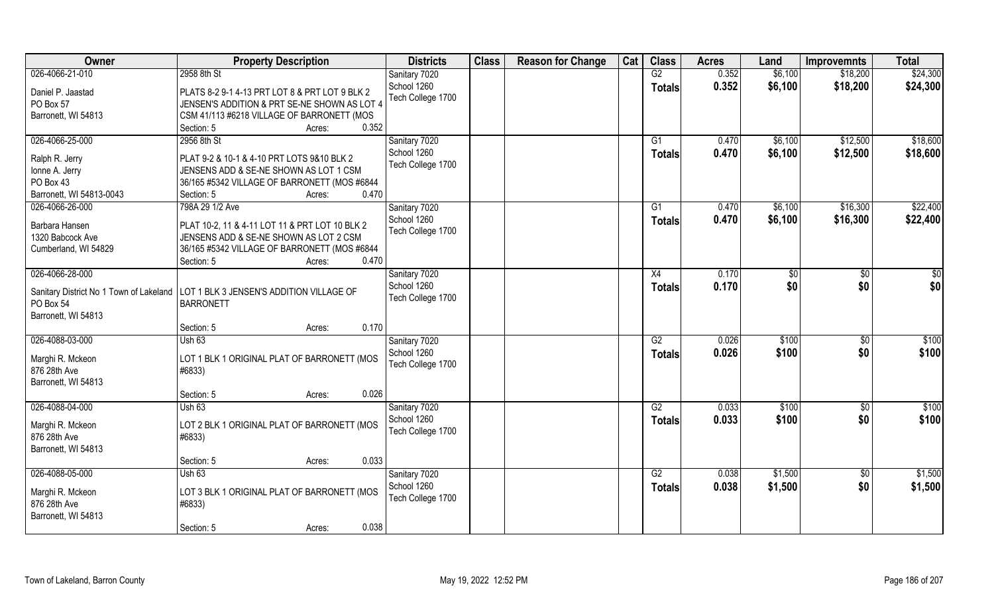| Owner                            | <b>Property Description</b>                                                        | <b>Districts</b>             | <b>Class</b> | <b>Reason for Change</b> | Cat | <b>Class</b>    | <b>Acres</b> | Land    | <b>Improvemnts</b> | <b>Total</b> |
|----------------------------------|------------------------------------------------------------------------------------|------------------------------|--------------|--------------------------|-----|-----------------|--------------|---------|--------------------|--------------|
| 026-4066-21-010                  | 2958 8th St                                                                        | Sanitary 7020                |              |                          |     | G2              | 0.352        | \$6,100 | \$18,200           | \$24,300     |
| Daniel P. Jaastad                | PLATS 8-2 9-1 4-13 PRT LOT 8 & PRT LOT 9 BLK 2                                     | School 1260                  |              |                          |     | <b>Totals</b>   | 0.352        | \$6,100 | \$18,200           | \$24,300     |
| PO Box 57                        | JENSEN'S ADDITION & PRT SE-NE SHOWN AS LOT 4                                       | Tech College 1700            |              |                          |     |                 |              |         |                    |              |
| Barronett, WI 54813              | CSM 41/113 #6218 VILLAGE OF BARRONETT (MOS                                         |                              |              |                          |     |                 |              |         |                    |              |
|                                  | 0.352<br>Section: 5<br>Acres:                                                      |                              |              |                          |     |                 |              |         |                    |              |
| 026-4066-25-000                  | 2956 8th St                                                                        | Sanitary 7020                |              |                          |     | G1              | 0.470        | \$6,100 | \$12,500           | \$18,600     |
|                                  |                                                                                    | School 1260                  |              |                          |     | <b>Totals</b>   | 0.470        | \$6,100 | \$12,500           | \$18,600     |
| Ralph R. Jerry                   | PLAT 9-2 & 10-1 & 4-10 PRT LOTS 9&10 BLK 2                                         | Tech College 1700            |              |                          |     |                 |              |         |                    |              |
| Ionne A. Jerry                   | JENSENS ADD & SE-NE SHOWN AS LOT 1 CSM                                             |                              |              |                          |     |                 |              |         |                    |              |
| PO Box 43                        | 36/165 #5342 VILLAGE OF BARRONETT (MOS #6844                                       |                              |              |                          |     |                 |              |         |                    |              |
| Barronett, WI 54813-0043         | Section: 5<br>0.470<br>Acres:                                                      |                              |              |                          |     |                 |              |         |                    |              |
| 026-4066-26-000                  | 798A 29 1/2 Ave                                                                    | Sanitary 7020                |              |                          |     | G1              | 0.470        | \$6,100 | \$16,300           | \$22,400     |
| Barbara Hansen                   | PLAT 10-2, 11 & 4-11 LOT 11 & PRT LOT 10 BLK 2                                     | School 1260                  |              |                          |     | <b>Totals</b>   | 0.470        | \$6,100 | \$16,300           | \$22,400     |
| 1320 Babcock Ave                 | JENSENS ADD & SE-NE SHOWN AS LOT 2 CSM                                             | Tech College 1700            |              |                          |     |                 |              |         |                    |              |
| Cumberland, WI 54829             | 36/165 #5342 VILLAGE OF BARRONETT (MOS #6844                                       |                              |              |                          |     |                 |              |         |                    |              |
|                                  | 0.470<br>Section: 5<br>Acres:                                                      |                              |              |                          |     |                 |              |         |                    |              |
| 026-4066-28-000                  |                                                                                    | Sanitary 7020                |              |                          |     | X4              | 0.170        | \$0     | \$0                | \$0          |
|                                  |                                                                                    | School 1260                  |              |                          |     |                 | 0.170        | \$0     | \$0                |              |
|                                  | Sanitary District No 1 Town of Lakeland   LOT 1 BLK 3 JENSEN'S ADDITION VILLAGE OF | Tech College 1700            |              |                          |     | <b>Totals</b>   |              |         |                    | \$0          |
| PO Box 54                        | <b>BARRONETT</b>                                                                   |                              |              |                          |     |                 |              |         |                    |              |
| Barronett, WI 54813              |                                                                                    |                              |              |                          |     |                 |              |         |                    |              |
|                                  | 0.170<br>Section: 5<br>Acres:                                                      |                              |              |                          |     |                 |              |         |                    |              |
| 026-4088-03-000                  | Ush 63                                                                             | Sanitary 7020                |              |                          |     | $\overline{G2}$ | 0.026        | \$100   | \$0                | \$100        |
| Marghi R. Mckeon                 | LOT 1 BLK 1 ORIGINAL PLAT OF BARRONETT (MOS                                        | School 1260                  |              |                          |     | <b>Totals</b>   | 0.026        | \$100   | \$0                | \$100        |
| 876 28th Ave                     | #6833)                                                                             | Tech College 1700            |              |                          |     |                 |              |         |                    |              |
| Barronett, WI 54813              |                                                                                    |                              |              |                          |     |                 |              |         |                    |              |
|                                  | 0.026<br>Section: 5<br>Acres:                                                      |                              |              |                          |     |                 |              |         |                    |              |
| 026-4088-04-000                  | Ush $63$                                                                           |                              |              |                          |     | G2              |              | \$100   |                    | \$100        |
|                                  |                                                                                    | Sanitary 7020<br>School 1260 |              |                          |     |                 | 0.033        |         | \$0                |              |
| Marghi R. Mckeon                 | LOT 2 BLK 1 ORIGINAL PLAT OF BARRONETT (MOS                                        |                              |              |                          |     | <b>Totals</b>   | 0.033        | \$100   | \$0                | \$100        |
| 876 28th Ave                     | #6833)                                                                             | Tech College 1700            |              |                          |     |                 |              |         |                    |              |
| Barronett, WI 54813              |                                                                                    |                              |              |                          |     |                 |              |         |                    |              |
|                                  | 0.033<br>Section: 5<br>Acres:                                                      |                              |              |                          |     |                 |              |         |                    |              |
| 026-4088-05-000                  | Ush 63                                                                             | Sanitary 7020                |              |                          |     | G2              | 0.038        | \$1,500 | $\sqrt{6}$         | \$1,500      |
|                                  |                                                                                    | School 1260                  |              |                          |     | <b>Totals</b>   | 0.038        | \$1,500 | \$0                | \$1,500      |
| Marghi R. Mckeon<br>876 28th Ave | LOT 3 BLK 1 ORIGINAL PLAT OF BARRONETT (MOS                                        | Tech College 1700            |              |                          |     |                 |              |         |                    |              |
|                                  | #6833)                                                                             |                              |              |                          |     |                 |              |         |                    |              |
| Barronett, WI 54813              |                                                                                    |                              |              |                          |     |                 |              |         |                    |              |
|                                  | 0.038<br>Section: 5<br>Acres:                                                      |                              |              |                          |     |                 |              |         |                    |              |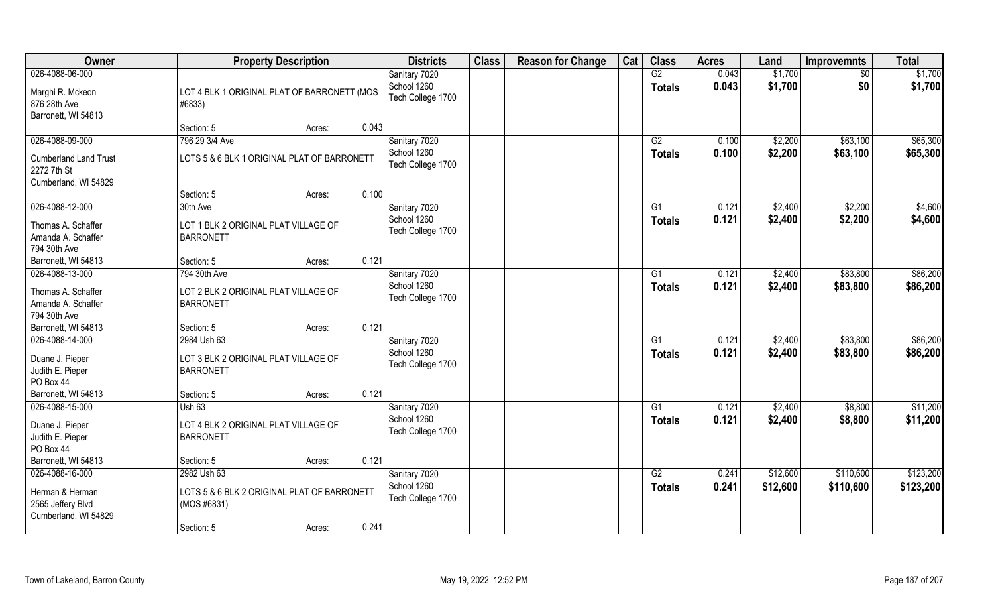| Owner                                                                                      | <b>Property Description</b>                                                                                | <b>Districts</b>                                  | <b>Class</b> | <b>Reason for Change</b> | Cat | <b>Class</b>        | <b>Acres</b>   | Land                 | <b>Improvemnts</b>     | <b>Total</b>           |
|--------------------------------------------------------------------------------------------|------------------------------------------------------------------------------------------------------------|---------------------------------------------------|--------------|--------------------------|-----|---------------------|----------------|----------------------|------------------------|------------------------|
| 026-4088-06-000<br>Marghi R. Mckeon<br>876 28th Ave<br>Barronett, WI 54813                 | LOT 4 BLK 1 ORIGINAL PLAT OF BARRONETT (MOS<br>#6833)                                                      | Sanitary 7020<br>School 1260<br>Tech College 1700 |              |                          |     | G2<br><b>Totals</b> | 0.043<br>0.043 | \$1,700<br>\$1,700   | $\sqrt{$0}$<br>\$0     | \$1,700<br>\$1,700     |
|                                                                                            | 0.043<br>Section: 5<br>Acres:                                                                              |                                                   |              |                          |     |                     |                |                      |                        |                        |
| 026-4088-09-000<br><b>Cumberland Land Trust</b><br>2272 7th St<br>Cumberland, WI 54829     | 796 29 3/4 Ave<br>LOTS 5 & 6 BLK 1 ORIGINAL PLAT OF BARRONETT                                              | Sanitary 7020<br>School 1260<br>Tech College 1700 |              |                          |     | G2<br>Totals        | 0.100<br>0.100 | \$2,200<br>\$2,200   | \$63,100<br>\$63,100   | \$65,300<br>\$65,300   |
|                                                                                            | 0.100<br>Section: 5<br>Acres:                                                                              |                                                   |              |                          |     |                     |                |                      |                        |                        |
| 026-4088-12-000<br>Thomas A. Schaffer<br>Amanda A. Schaffer<br>794 30th Ave                | 30th Ave<br>LOT 1 BLK 2 ORIGINAL PLAT VILLAGE OF<br><b>BARRONETT</b>                                       | Sanitary 7020<br>School 1260<br>Tech College 1700 |              |                          |     | G1<br><b>Totals</b> | 0.121<br>0.121 | \$2,400<br>\$2,400   | \$2,200<br>\$2,200     | \$4,600<br>\$4,600     |
| Barronett, WI 54813                                                                        | 0.121<br>Section: 5<br>Acres:                                                                              |                                                   |              |                          |     |                     |                |                      |                        |                        |
| 026-4088-13-000<br>Thomas A. Schaffer<br>Amanda A. Schaffer<br>794 30th Ave                | 794 30th Ave<br>LOT 2 BLK 2 ORIGINAL PLAT VILLAGE OF<br><b>BARRONETT</b>                                   | Sanitary 7020<br>School 1260<br>Tech College 1700 |              |                          |     | G1<br><b>Totals</b> | 0.121<br>0.121 | \$2,400<br>\$2,400   | \$83,800<br>\$83,800   | \$86,200<br>\$86,200   |
| Barronett, WI 54813                                                                        | 0.121<br>Section: 5<br>Acres:                                                                              |                                                   |              |                          |     |                     |                |                      |                        |                        |
| 026-4088-14-000<br>Duane J. Pieper<br>Judith E. Pieper<br>PO Box 44<br>Barronett, WI 54813 | 2984 Ush 63<br>LOT 3 BLK 2 ORIGINAL PLAT VILLAGE OF<br><b>BARRONETT</b><br>0.121<br>Section: 5<br>Acres:   | Sanitary 7020<br>School 1260<br>Tech College 1700 |              |                          |     | G1<br><b>Totals</b> | 0.121<br>0.121 | \$2,400<br>\$2,400   | \$83,800<br>\$83,800   | \$86,200<br>\$86,200   |
| 026-4088-15-000                                                                            | Ush $63$                                                                                                   | Sanitary 7020                                     |              |                          |     | G1                  | 0.121          | \$2,400              | \$8,800                | \$11,200               |
| Duane J. Pieper<br>Judith E. Pieper<br>PO Box 44                                           | LOT 4 BLK 2 ORIGINAL PLAT VILLAGE OF<br><b>BARRONETT</b>                                                   | School 1260<br>Tech College 1700                  |              |                          |     | <b>Totals</b>       | 0.121          | \$2,400              | \$8,800                | \$11,200               |
| Barronett, WI 54813                                                                        | 0.121<br>Section: 5<br>Acres:                                                                              |                                                   |              |                          |     |                     |                |                      |                        |                        |
| 026-4088-16-000<br>Herman & Herman<br>2565 Jeffery Blvd<br>Cumberland, WI 54829            | 2982 Ush 63<br>LOTS 5 & 6 BLK 2 ORIGINAL PLAT OF BARRONETT<br>(MOS #6831)<br>0.241<br>Section: 5<br>Acres: | Sanitary 7020<br>School 1260<br>Tech College 1700 |              |                          |     | G2<br><b>Totals</b> | 0.241<br>0.241 | \$12,600<br>\$12,600 | \$110,600<br>\$110,600 | \$123,200<br>\$123,200 |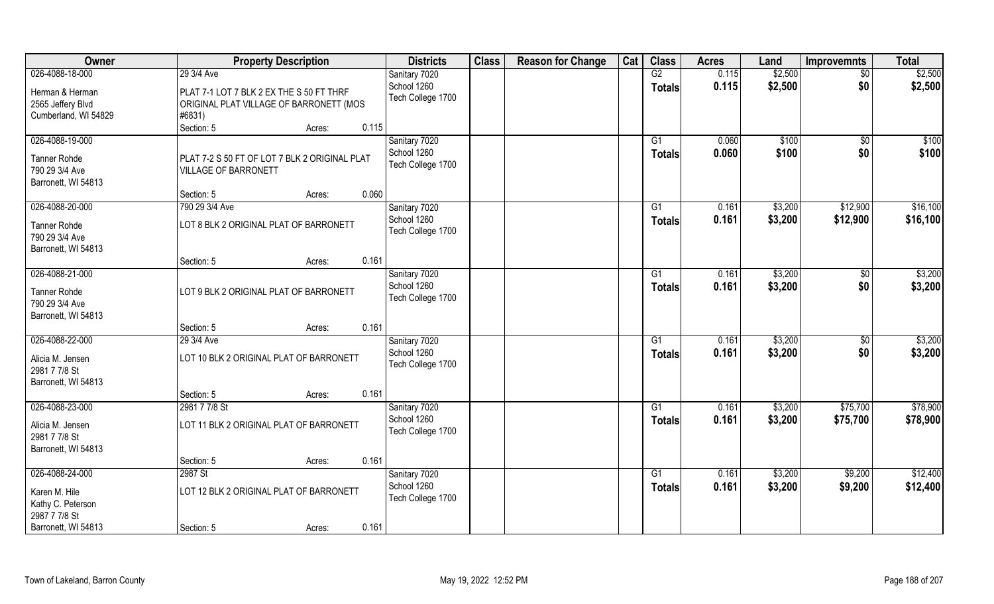| Owner                                                        | <b>Property Description</b>                                                                   | <b>Districts</b>                 | <b>Class</b> | <b>Reason for Change</b> | Cat | <b>Class</b>   | <b>Acres</b>   | Land           | <b>Improvemnts</b> | <b>Total</b>   |
|--------------------------------------------------------------|-----------------------------------------------------------------------------------------------|----------------------------------|--------------|--------------------------|-----|----------------|----------------|----------------|--------------------|----------------|
| 026-4088-18-000                                              | 29 3/4 Ave                                                                                    | Sanitary 7020                    |              |                          |     | G2             | 0.115          | \$2,500        | $\overline{50}$    | \$2,500        |
| Herman & Herman<br>2565 Jeffery Blvd<br>Cumberland, WI 54829 | PLAT 7-1 LOT 7 BLK 2 EX THE S 50 FT THRF<br>ORIGINAL PLAT VILLAGE OF BARRONETT (MOS<br>#6831) | School 1260<br>Tech College 1700 |              |                          |     | <b>Totals</b>  | 0.115          | \$2,500        | \$0                | \$2,500        |
|                                                              | 0.115<br>Section: 5<br>Acres:                                                                 |                                  |              |                          |     |                |                |                |                    |                |
| 026-4088-19-000                                              |                                                                                               | Sanitary 7020<br>School 1260     |              |                          |     | G1<br>Totals   | 0.060<br>0.060 | \$100<br>\$100 | \$0<br>\$0         | \$100<br>\$100 |
| <b>Tanner Rohde</b><br>790 29 3/4 Ave<br>Barronett, WI 54813 | PLAT 7-2 S 50 FT OF LOT 7 BLK 2 ORIGINAL PLAT<br><b>VILLAGE OF BARRONETT</b>                  | Tech College 1700                |              |                          |     |                |                |                |                    |                |
|                                                              | 0.060<br>Section: 5<br>Acres:                                                                 |                                  |              |                          |     |                |                |                |                    |                |
| 026-4088-20-000                                              | 790 29 3/4 Ave                                                                                | Sanitary 7020                    |              |                          |     | G <sub>1</sub> | 0.161          | \$3,200        | \$12,900           | \$16,100       |
| <b>Tanner Rohde</b><br>790 29 3/4 Ave<br>Barronett, WI 54813 | LOT 8 BLK 2 ORIGINAL PLAT OF BARRONETT                                                        | School 1260<br>Tech College 1700 |              |                          |     | <b>Totals</b>  | 0.161          | \$3,200        | \$12,900           | \$16,100       |
|                                                              | 0.161<br>Section: 5<br>Acres:                                                                 |                                  |              |                          |     |                |                |                |                    |                |
| 026-4088-21-000                                              |                                                                                               | Sanitary 7020                    |              |                          |     | G <sub>1</sub> | 0.161          | \$3,200        | \$0                | \$3,200        |
| <b>Tanner Rohde</b><br>790 29 3/4 Ave<br>Barronett, WI 54813 | LOT 9 BLK 2 ORIGINAL PLAT OF BARRONETT                                                        | School 1260<br>Tech College 1700 |              |                          |     | <b>Totals</b>  | 0.161          | \$3,200        | \$0                | \$3,200        |
|                                                              | 0.161<br>Section: 5<br>Acres:                                                                 |                                  |              |                          |     |                |                |                |                    |                |
| 026-4088-22-000                                              | 29 3/4 Ave                                                                                    | Sanitary 7020                    |              |                          |     | G <sub>1</sub> | 0.161          | \$3,200        | \$0                | \$3,200        |
| Alicia M. Jensen<br>2981 7 7/8 St<br>Barronett, WI 54813     | LOT 10 BLK 2 ORIGINAL PLAT OF BARRONETT                                                       | School 1260<br>Tech College 1700 |              |                          |     | <b>Totals</b>  | 0.161          | \$3,200        | \$0                | \$3,200        |
|                                                              | 0.161<br>Section: 5<br>Acres:                                                                 |                                  |              |                          |     |                |                |                |                    |                |
| 026-4088-23-000                                              | 2981 7 7/8 St                                                                                 | Sanitary 7020                    |              |                          |     | G1             | 0.161          | \$3,200        | \$75,700           | \$78,900       |
| Alicia M. Jensen<br>2981 7 7/8 St                            | LOT 11 BLK 2 ORIGINAL PLAT OF BARRONETT                                                       | School 1260<br>Tech College 1700 |              |                          |     | <b>Totals</b>  | 0.161          | \$3,200        | \$75,700           | \$78,900       |
| Barronett, WI 54813                                          | 0.161<br>Section: 5                                                                           |                                  |              |                          |     |                |                |                |                    |                |
| 026-4088-24-000                                              | Acres:<br>2987 St                                                                             | Sanitary 7020                    |              |                          |     | G1             | 0.161          | \$3,200        | \$9,200            | \$12,400       |
| Karen M. Hile<br>Kathy C. Peterson<br>2987 7 7/8 St          | LOT 12 BLK 2 ORIGINAL PLAT OF BARRONETT                                                       | School 1260<br>Tech College 1700 |              |                          |     | <b>Totals</b>  | 0.161          | \$3,200        | \$9,200            | \$12,400       |
| Barronett, WI 54813                                          | 0.161<br>Section: 5<br>Acres:                                                                 |                                  |              |                          |     |                |                |                |                    |                |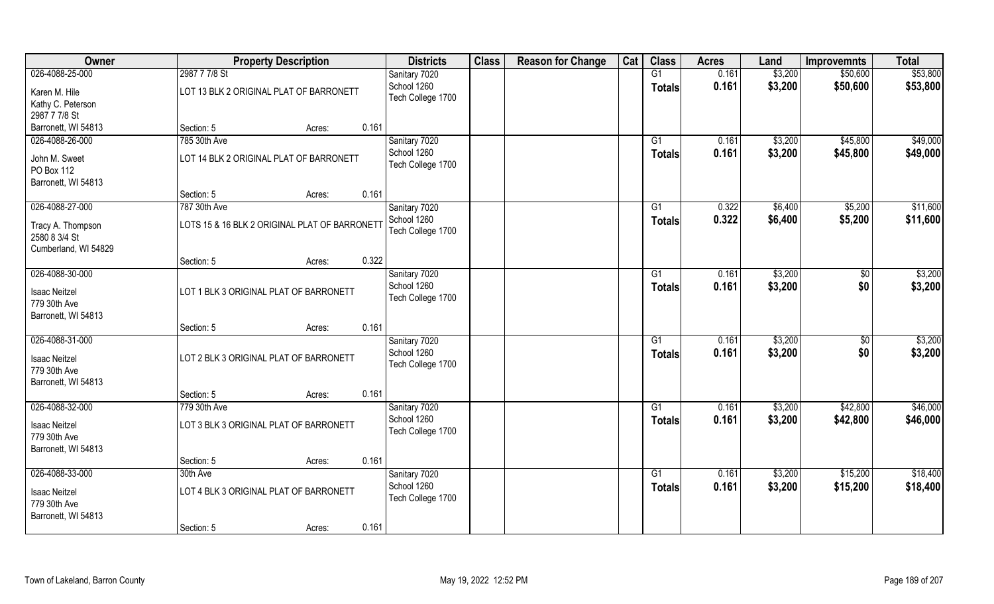| Owner                | <b>Property Description</b>                   | <b>Districts</b>             | <b>Class</b> | <b>Reason for Change</b> | Cat | <b>Class</b>    | <b>Acres</b> | Land    | <b>Improvemnts</b> | <b>Total</b> |
|----------------------|-----------------------------------------------|------------------------------|--------------|--------------------------|-----|-----------------|--------------|---------|--------------------|--------------|
| 026-4088-25-000      | 2987 7 7/8 St                                 | Sanitary 7020                |              |                          |     | G1              | 0.161        | \$3,200 | \$50,600           | \$53,800     |
| Karen M. Hile        | LOT 13 BLK 2 ORIGINAL PLAT OF BARRONETT       | School 1260                  |              |                          |     | <b>Totals</b>   | 0.161        | \$3,200 | \$50,600           | \$53,800     |
| Kathy C. Peterson    |                                               | Tech College 1700            |              |                          |     |                 |              |         |                    |              |
| 2987 7 7/8 St        |                                               |                              |              |                          |     |                 |              |         |                    |              |
| Barronett, WI 54813  | 0.161<br>Section: 5<br>Acres:                 |                              |              |                          |     |                 |              |         |                    |              |
| 026-4088-26-000      | 785 30th Ave                                  | Sanitary 7020                |              |                          |     | G1              | 0.161        | \$3,200 | \$45,800           | \$49,000     |
|                      |                                               | School 1260                  |              |                          |     | Totals          | 0.161        | \$3,200 | \$45,800           | \$49,000     |
| John M. Sweet        | LOT 14 BLK 2 ORIGINAL PLAT OF BARRONETT       | Tech College 1700            |              |                          |     |                 |              |         |                    |              |
| PO Box 112           |                                               |                              |              |                          |     |                 |              |         |                    |              |
| Barronett, WI 54813  |                                               |                              |              |                          |     |                 |              |         |                    |              |
|                      | 0.161<br>Section: 5<br>Acres:                 |                              |              |                          |     |                 |              |         |                    |              |
| 026-4088-27-000      | 787 30th Ave                                  | Sanitary 7020                |              |                          |     | G1              | 0.322        | \$6,400 | \$5,200            | \$11,600     |
| Tracy A. Thompson    | LOTS 15 & 16 BLK 2 ORIGINAL PLAT OF BARRONETT | School 1260                  |              |                          |     | <b>Totals</b>   | 0.322        | \$6,400 | \$5,200            | \$11,600     |
| 2580 8 3/4 St        |                                               | Tech College 1700            |              |                          |     |                 |              |         |                    |              |
| Cumberland, WI 54829 |                                               |                              |              |                          |     |                 |              |         |                    |              |
|                      | 0.322<br>Section: 5<br>Acres:                 |                              |              |                          |     |                 |              |         |                    |              |
| 026-4088-30-000      |                                               | Sanitary 7020                |              |                          |     | G1              | 0.161        | \$3,200 | \$0                | \$3,200      |
|                      |                                               | School 1260                  |              |                          |     | <b>Totals</b>   | 0.161        | \$3,200 | \$0                | \$3,200      |
| <b>Isaac Neitzel</b> | LOT 1 BLK 3 ORIGINAL PLAT OF BARRONETT        | Tech College 1700            |              |                          |     |                 |              |         |                    |              |
| 779 30th Ave         |                                               |                              |              |                          |     |                 |              |         |                    |              |
| Barronett, WI 54813  | 0.161<br>Section: 5                           |                              |              |                          |     |                 |              |         |                    |              |
| 026-4088-31-000      | Acres:                                        |                              |              |                          |     | G1              | 0.161        | \$3,200 |                    | \$3,200      |
|                      |                                               | Sanitary 7020<br>School 1260 |              |                          |     |                 | 0.161        |         | \$0                |              |
| <b>Isaac Neitzel</b> | LOT 2 BLK 3 ORIGINAL PLAT OF BARRONETT        | Tech College 1700            |              |                          |     | <b>Totals</b>   |              | \$3,200 | \$0                | \$3,200      |
| 779 30th Ave         |                                               |                              |              |                          |     |                 |              |         |                    |              |
| Barronett, WI 54813  |                                               |                              |              |                          |     |                 |              |         |                    |              |
|                      | 0.161<br>Section: 5<br>Acres:                 |                              |              |                          |     |                 |              |         |                    |              |
| 026-4088-32-000      | 779 30th Ave                                  | Sanitary 7020                |              |                          |     | G1              | 0.161        | \$3,200 | \$42,800           | \$46,000     |
| <b>Isaac Neitzel</b> | LOT 3 BLK 3 ORIGINAL PLAT OF BARRONETT        | School 1260                  |              |                          |     | Totals          | 0.161        | \$3,200 | \$42,800           | \$46,000     |
| 779 30th Ave         |                                               | Tech College 1700            |              |                          |     |                 |              |         |                    |              |
| Barronett, WI 54813  |                                               |                              |              |                          |     |                 |              |         |                    |              |
|                      | 0.161<br>Section: 5<br>Acres:                 |                              |              |                          |     |                 |              |         |                    |              |
| 026-4088-33-000      | 30th Ave                                      | Sanitary 7020                |              |                          |     | $\overline{G1}$ | 0.161        | \$3,200 | \$15,200           | \$18,400     |
|                      |                                               | School 1260                  |              |                          |     | Totals          | 0.161        | \$3,200 | \$15,200           | \$18,400     |
| <b>Isaac Neitzel</b> | LOT 4 BLK 3 ORIGINAL PLAT OF BARRONETT        | Tech College 1700            |              |                          |     |                 |              |         |                    |              |
| 779 30th Ave         |                                               |                              |              |                          |     |                 |              |         |                    |              |
| Barronett, WI 54813  |                                               |                              |              |                          |     |                 |              |         |                    |              |
|                      | 0.161<br>Section: 5<br>Acres:                 |                              |              |                          |     |                 |              |         |                    |              |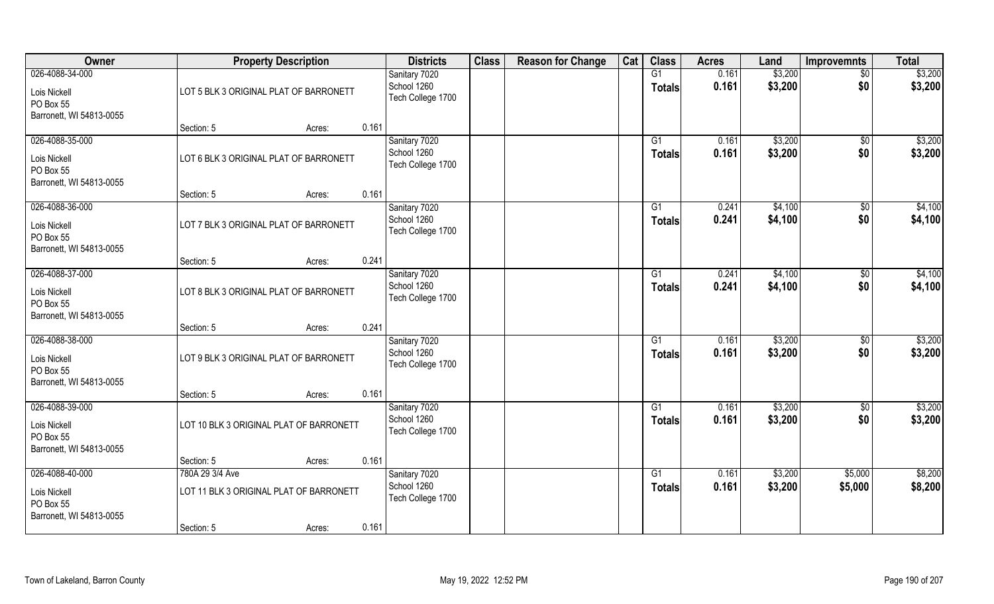| Owner                                                                    |                                                                          | <b>Property Description</b> |       | <b>Districts</b>                                  | <b>Class</b> | <b>Reason for Change</b> | Cat | <b>Class</b>                    | <b>Acres</b>   | Land               | <b>Improvemnts</b>     | <b>Total</b>       |
|--------------------------------------------------------------------------|--------------------------------------------------------------------------|-----------------------------|-------|---------------------------------------------------|--------------|--------------------------|-----|---------------------------------|----------------|--------------------|------------------------|--------------------|
| 026-4088-34-000<br>Lois Nickell<br>PO Box 55<br>Barronett, WI 54813-0055 | LOT 5 BLK 3 ORIGINAL PLAT OF BARRONETT                                   |                             |       | Sanitary 7020<br>School 1260<br>Tech College 1700 |              |                          |     | G1<br><b>Totals</b>             | 0.161<br>0.161 | \$3,200<br>\$3,200 | $\overline{50}$<br>\$0 | \$3,200<br>\$3,200 |
|                                                                          | Section: 5                                                               | Acres:                      | 0.161 |                                                   |              |                          |     |                                 |                |                    |                        |                    |
| 026-4088-35-000<br>Lois Nickell<br>PO Box 55<br>Barronett, WI 54813-0055 | LOT 6 BLK 3 ORIGINAL PLAT OF BARRONETT                                   |                             |       | Sanitary 7020<br>School 1260<br>Tech College 1700 |              |                          |     | G1<br><b>Totals</b>             | 0.161<br>0.161 | \$3,200<br>\$3,200 | \$0<br>\$0             | \$3,200<br>\$3,200 |
|                                                                          | Section: 5                                                               | Acres:                      | 0.161 |                                                   |              |                          |     |                                 |                |                    |                        |                    |
| 026-4088-36-000<br>Lois Nickell<br>PO Box 55<br>Barronett, WI 54813-0055 | LOT 7 BLK 3 ORIGINAL PLAT OF BARRONETT                                   |                             |       | Sanitary 7020<br>School 1260<br>Tech College 1700 |              |                          |     | G1<br><b>Totals</b>             | 0.241<br>0.241 | \$4,100<br>\$4,100 | $\sqrt[6]{3}$<br>\$0   | \$4,100<br>\$4,100 |
|                                                                          | Section: 5                                                               | Acres:                      | 0.241 |                                                   |              |                          |     |                                 |                |                    |                        |                    |
| 026-4088-37-000<br>Lois Nickell<br>PO Box 55<br>Barronett, WI 54813-0055 | LOT 8 BLK 3 ORIGINAL PLAT OF BARRONETT                                   |                             |       | Sanitary 7020<br>School 1260<br>Tech College 1700 |              |                          |     | G <sub>1</sub><br><b>Totals</b> | 0.241<br>0.241 | \$4,100<br>\$4,100 | \$0<br>\$0             | \$4,100<br>\$4,100 |
|                                                                          | Section: 5                                                               | Acres:                      | 0.241 |                                                   |              |                          |     |                                 |                |                    |                        |                    |
| 026-4088-38-000<br>Lois Nickell<br>PO Box 55<br>Barronett, WI 54813-0055 | LOT 9 BLK 3 ORIGINAL PLAT OF BARRONETT                                   |                             |       | Sanitary 7020<br>School 1260<br>Tech College 1700 |              |                          |     | G1<br><b>Totals</b>             | 0.161<br>0.161 | \$3,200<br>\$3,200 | \$0<br>\$0             | \$3,200<br>\$3,200 |
| 026-4088-39-000                                                          | Section: 5                                                               | Acres:                      | 0.161 | Sanitary 7020                                     |              |                          |     | G1                              | 0.161          | \$3,200            | \$0                    | \$3,200            |
| Lois Nickell<br>PO Box 55<br>Barronett, WI 54813-0055                    | LOT 10 BLK 3 ORIGINAL PLAT OF BARRONETT                                  |                             |       | School 1260<br>Tech College 1700                  |              |                          |     | <b>Totals</b>                   | 0.161          | \$3,200            | \$0                    | \$3,200            |
|                                                                          | Section: 5                                                               | Acres:                      | 0.161 |                                                   |              |                          |     |                                 |                |                    |                        |                    |
| 026-4088-40-000<br>Lois Nickell<br>PO Box 55<br>Barronett, WI 54813-0055 | 780A 29 3/4 Ave<br>LOT 11 BLK 3 ORIGINAL PLAT OF BARRONETT<br>Section: 5 | Acres:                      | 0.161 | Sanitary 7020<br>School 1260<br>Tech College 1700 |              |                          |     | G1<br><b>Totals</b>             | 0.161<br>0.161 | \$3,200<br>\$3,200 | \$5,000<br>\$5,000     | \$8,200<br>\$8,200 |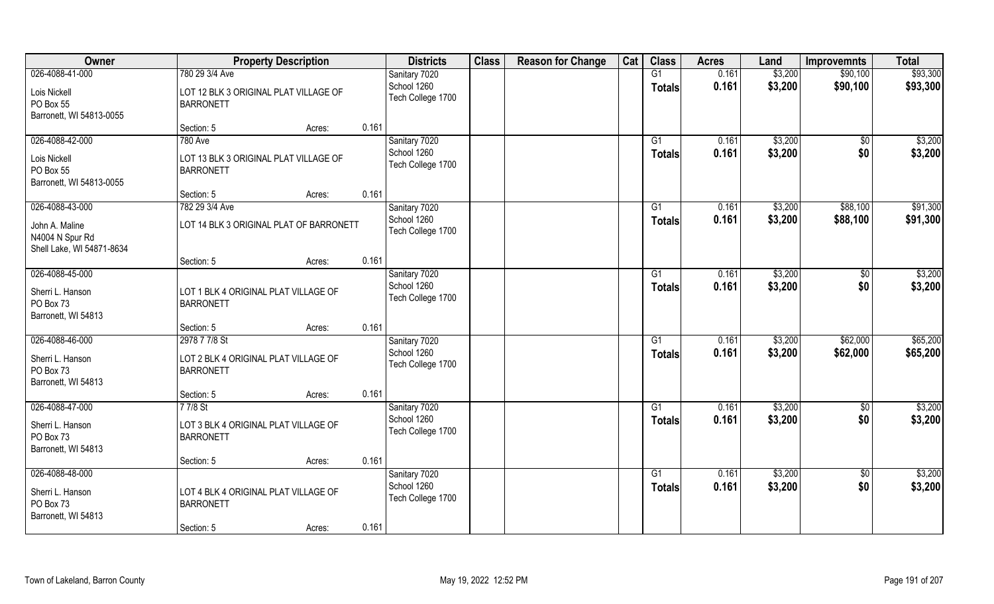| Owner                                                          |                                                           | <b>Property Description</b> |       | <b>Districts</b>                 | <b>Class</b> | <b>Reason for Change</b> | Cat | <b>Class</b>    | <b>Acres</b> | Land    | <b>Improvemnts</b> | <b>Total</b> |
|----------------------------------------------------------------|-----------------------------------------------------------|-----------------------------|-------|----------------------------------|--------------|--------------------------|-----|-----------------|--------------|---------|--------------------|--------------|
| 026-4088-41-000                                                | 780 29 3/4 Ave                                            |                             |       | Sanitary 7020                    |              |                          |     | G1              | 0.161        | \$3,200 | \$90,100           | \$93,300     |
| Lois Nickell<br>PO Box 55<br>Barronett, WI 54813-0055          | LOT 12 BLK 3 ORIGINAL PLAT VILLAGE OF<br><b>BARRONETT</b> |                             |       | School 1260<br>Tech College 1700 |              |                          |     | <b>Totals</b>   | 0.161        | \$3,200 | \$90,100           | \$93,300     |
|                                                                | Section: 5                                                | Acres:                      | 0.161 |                                  |              |                          |     |                 |              |         |                    |              |
| 026-4088-42-000                                                | <b>780 Ave</b>                                            |                             |       | Sanitary 7020                    |              |                          |     | G1              | 0.161        | \$3,200 | $\overline{50}$    | \$3,200      |
| Lois Nickell<br>PO Box 55<br>Barronett, WI 54813-0055          | LOT 13 BLK 3 ORIGINAL PLAT VILLAGE OF<br><b>BARRONETT</b> |                             |       | School 1260<br>Tech College 1700 |              |                          |     | Totals          | 0.161        | \$3,200 | \$0                | \$3,200      |
|                                                                | Section: 5                                                | Acres:                      | 0.161 |                                  |              |                          |     |                 |              |         |                    |              |
| 026-4088-43-000                                                | 782 29 3/4 Ave                                            |                             |       | Sanitary 7020                    |              |                          |     | G1              | 0.161        | \$3,200 | \$88,100           | \$91,300     |
| John A. Maline<br>N4004 N Spur Rd<br>Shell Lake, WI 54871-8634 | LOT 14 BLK 3 ORIGINAL PLAT OF BARRONETT                   |                             |       | School 1260<br>Tech College 1700 |              |                          |     | <b>Totals</b>   | 0.161        | \$3,200 | \$88,100           | \$91,300     |
|                                                                | Section: 5                                                | Acres:                      | 0.161 |                                  |              |                          |     |                 |              |         |                    |              |
| 026-4088-45-000                                                |                                                           |                             |       | Sanitary 7020                    |              |                          |     | G1              | 0.161        | \$3,200 | $\sqrt{50}$        | \$3,200      |
| Sherri L. Hanson<br>PO Box 73<br>Barronett, WI 54813           | LOT 1 BLK 4 ORIGINAL PLAT VILLAGE OF<br><b>BARRONETT</b>  |                             |       | School 1260<br>Tech College 1700 |              |                          |     | Totals          | 0.161        | \$3,200 | \$0                | \$3,200      |
|                                                                | Section: 5                                                | Acres:                      | 0.161 |                                  |              |                          |     |                 |              |         |                    |              |
| 026-4088-46-000                                                | 2978 7 7/8 St                                             |                             |       | Sanitary 7020                    |              |                          |     | $\overline{G1}$ | 0.161        | \$3,200 | \$62,000           | \$65,200     |
| Sherri L. Hanson<br>PO Box 73<br>Barronett, WI 54813           | LOT 2 BLK 4 ORIGINAL PLAT VILLAGE OF<br><b>BARRONETT</b>  |                             |       | School 1260<br>Tech College 1700 |              |                          |     | Totals          | 0.161        | \$3,200 | \$62,000           | \$65,200     |
|                                                                | Section: 5                                                | Acres:                      | 0.161 |                                  |              |                          |     |                 |              |         |                    |              |
| 026-4088-47-000                                                | 77/8 St                                                   |                             |       | Sanitary 7020                    |              |                          |     | G1              | 0.161        | \$3,200 | $\overline{50}$    | \$3,200      |
| Sherri L. Hanson<br>PO Box 73<br>Barronett, WI 54813           | LOT 3 BLK 4 ORIGINAL PLAT VILLAGE OF<br><b>BARRONETT</b>  |                             |       | School 1260<br>Tech College 1700 |              |                          |     | <b>Totals</b>   | 0.161        | \$3,200 | \$0                | \$3,200      |
|                                                                | Section: 5                                                | Acres:                      | 0.161 |                                  |              |                          |     |                 |              |         |                    |              |
| 026-4088-48-000                                                |                                                           |                             |       | Sanitary 7020                    |              |                          |     | $\overline{G1}$ | 0.161        | \$3,200 | $\overline{50}$    | \$3,200      |
| Sherri L. Hanson<br>PO Box 73<br>Barronett, WI 54813           | LOT 4 BLK 4 ORIGINAL PLAT VILLAGE OF<br><b>BARRONETT</b>  |                             |       | School 1260<br>Tech College 1700 |              |                          |     | Totals          | 0.161        | \$3,200 | \$0                | \$3,200      |
|                                                                | Section: 5                                                | Acres:                      | 0.161 |                                  |              |                          |     |                 |              |         |                    |              |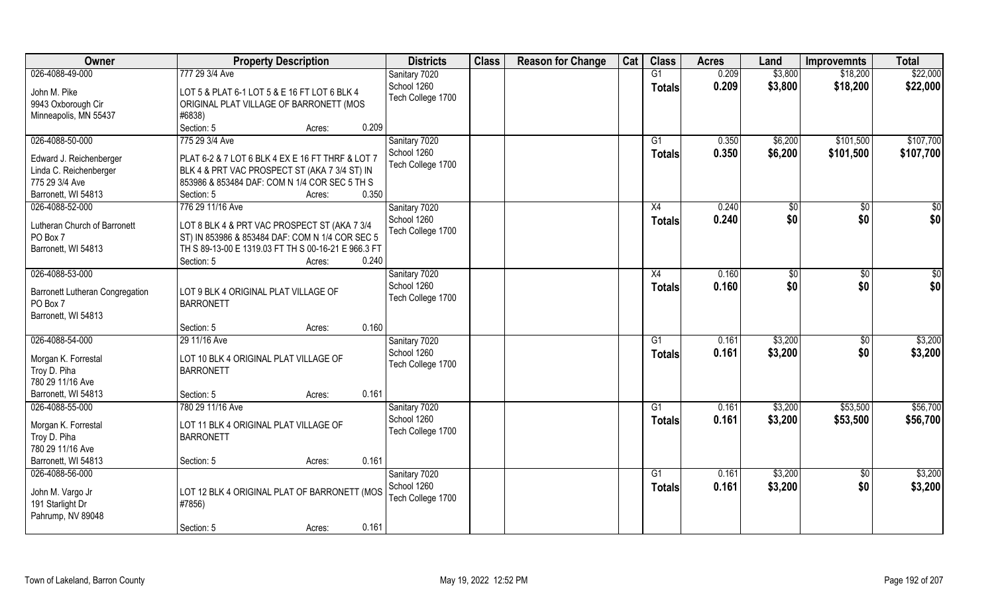| Owner                               | <b>Property Description</b>                               | <b>Districts</b>             | <b>Class</b> | <b>Reason for Change</b> | Cat | <b>Class</b>    | <b>Acres</b> | Land    | <b>Improvemnts</b> | <b>Total</b> |
|-------------------------------------|-----------------------------------------------------------|------------------------------|--------------|--------------------------|-----|-----------------|--------------|---------|--------------------|--------------|
| 026-4088-49-000                     | 777 29 3/4 Ave                                            | Sanitary 7020                |              |                          |     | G1              | 0.209        | \$3,800 | \$18,200           | \$22,000     |
| John M. Pike                        | LOT 5 & PLAT 6-1 LOT 5 & E 16 FT LOT 6 BLK 4              | School 1260                  |              |                          |     | <b>Totals</b>   | 0.209        | \$3,800 | \$18,200           | \$22,000     |
| 9943 Oxborough Cir                  | ORIGINAL PLAT VILLAGE OF BARRONETT (MOS                   | Tech College 1700            |              |                          |     |                 |              |         |                    |              |
| Minneapolis, MN 55437               | #6838)                                                    |                              |              |                          |     |                 |              |         |                    |              |
|                                     | 0.209<br>Section: 5<br>Acres:                             |                              |              |                          |     |                 |              |         |                    |              |
| 026-4088-50-000                     | 775 29 3/4 Ave                                            | Sanitary 7020                |              |                          |     | G1              | 0.350        | \$6,200 | \$101,500          | \$107,700    |
|                                     |                                                           | School 1260                  |              |                          |     | <b>Totals</b>   | 0.350        | \$6,200 | \$101,500          | \$107,700    |
| Edward J. Reichenberger             | PLAT 6-2 & 7 LOT 6 BLK 4 EX E 16 FT THRF & LOT 7          | Tech College 1700            |              |                          |     |                 |              |         |                    |              |
| Linda C. Reichenberger              | BLK 4 & PRT VAC PROSPECT ST (AKA 7 3/4 ST) IN             |                              |              |                          |     |                 |              |         |                    |              |
| 775 29 3/4 Ave                      | 853986 & 853484 DAF: COM N 1/4 COR SEC 5 TH S             |                              |              |                          |     |                 |              |         |                    |              |
| Barronett, WI 54813                 | 0.350<br>Section: 5<br>Acres:                             |                              |              |                          |     |                 |              |         |                    |              |
| 026-4088-52-000                     | 776 29 11/16 Ave                                          | Sanitary 7020                |              |                          |     | X4              | 0.240        | \$0     | $\sqrt{50}$        | $\sqrt{50}$  |
| Lutheran Church of Barronett        | LOT 8 BLK 4 & PRT VAC PROSPECT ST (AKA 7 3/4              | School 1260                  |              |                          |     | <b>Totals</b>   | 0.240        | \$0     | \$0                | \$0          |
| PO Box 7                            | ST) IN 853986 & 853484 DAF: COM N 1/4 COR SEC 5           | Tech College 1700            |              |                          |     |                 |              |         |                    |              |
| Barronett, WI 54813                 | TH S 89-13-00 E 1319.03 FT TH S 00-16-21 E 966.3 FT       |                              |              |                          |     |                 |              |         |                    |              |
|                                     | 0.240<br>Section: 5<br>Acres:                             |                              |              |                          |     |                 |              |         |                    |              |
| 026-4088-53-000                     |                                                           | Sanitary 7020                |              |                          |     | X4              | 0.160        | \$0     | $\sqrt[6]{3}$      | \$0          |
|                                     |                                                           | School 1260                  |              |                          |     | <b>Totals</b>   | 0.160        | \$0     | \$0                | \$0          |
| Barronett Lutheran Congregation     | LOT 9 BLK 4 ORIGINAL PLAT VILLAGE OF                      | Tech College 1700            |              |                          |     |                 |              |         |                    |              |
| PO Box 7                            | <b>BARRONETT</b>                                          |                              |              |                          |     |                 |              |         |                    |              |
| Barronett, WI 54813                 |                                                           |                              |              |                          |     |                 |              |         |                    |              |
|                                     | 0.160<br>Section: 5<br>Acres:                             |                              |              |                          |     |                 |              |         |                    |              |
| 026-4088-54-000                     | 29 11/16 Ave                                              | Sanitary 7020                |              |                          |     | G1              | 0.161        | \$3,200 | \$0                | \$3,200      |
| Morgan K. Forrestal                 | LOT 10 BLK 4 ORIGINAL PLAT VILLAGE OF                     | School 1260                  |              |                          |     | <b>Totals</b>   | 0.161        | \$3,200 | \$0                | \$3,200      |
| Troy D. Piha                        | <b>BARRONETT</b>                                          | Tech College 1700            |              |                          |     |                 |              |         |                    |              |
| 780 29 11/16 Ave                    |                                                           |                              |              |                          |     |                 |              |         |                    |              |
| Barronett, WI 54813                 | 0.161<br>Section: 5<br>Acres:                             |                              |              |                          |     |                 |              |         |                    |              |
| 026-4088-55-000                     | 780 29 11/16 Ave                                          | Sanitary 7020                |              |                          |     | G1              | 0.161        | \$3,200 | \$53,500           | \$56,700     |
|                                     |                                                           | School 1260                  |              |                          |     | <b>Totals</b>   | 0.161        | \$3,200 | \$53,500           | \$56,700     |
| Morgan K. Forrestal<br>Troy D. Piha | LOT 11 BLK 4 ORIGINAL PLAT VILLAGE OF<br><b>BARRONETT</b> | Tech College 1700            |              |                          |     |                 |              |         |                    |              |
| 780 29 11/16 Ave                    |                                                           |                              |              |                          |     |                 |              |         |                    |              |
| Barronett, WI 54813                 | 0.161<br>Section: 5                                       |                              |              |                          |     |                 |              |         |                    |              |
|                                     | Acres:                                                    |                              |              |                          |     | $\overline{G1}$ |              |         |                    | \$3,200      |
| 026-4088-56-000                     |                                                           | Sanitary 7020<br>School 1260 |              |                          |     |                 | 0.161        | \$3,200 | $\sqrt{$0}$        |              |
| John M. Vargo Jr                    | LOT 12 BLK 4 ORIGINAL PLAT OF BARRONETT (MOS              |                              |              |                          |     | <b>Totals</b>   | 0.161        | \$3,200 | \$0                | \$3,200      |
| 191 Starlight Dr                    | #7856)                                                    | Tech College 1700            |              |                          |     |                 |              |         |                    |              |
| Pahrump, NV 89048                   |                                                           |                              |              |                          |     |                 |              |         |                    |              |
|                                     | 0.161<br>Section: 5<br>Acres:                             |                              |              |                          |     |                 |              |         |                    |              |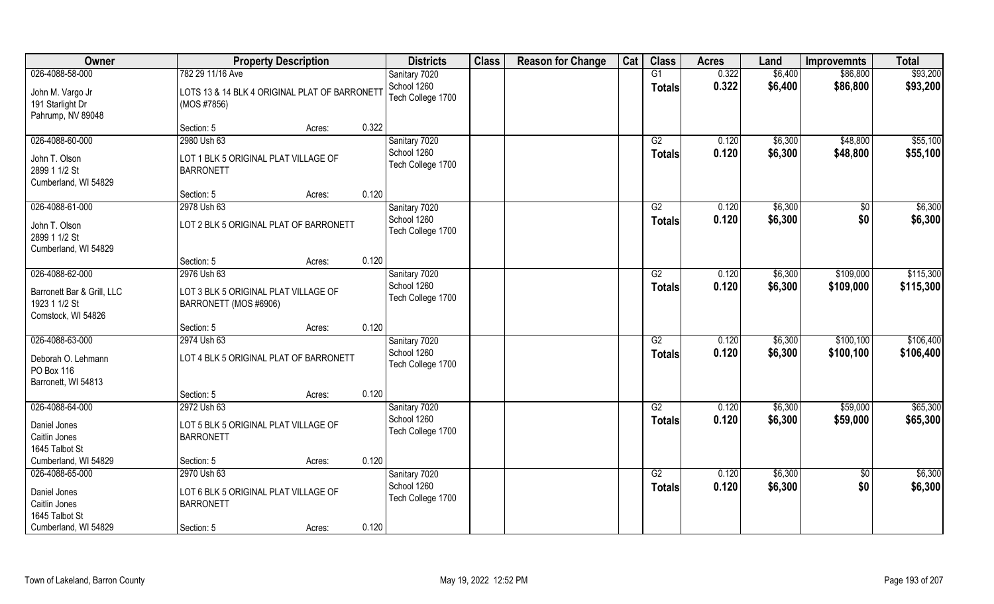| Owner                                                             |                                                               | <b>Property Description</b> |       | <b>Districts</b>                 | <b>Class</b> | <b>Reason for Change</b> | Cat | <b>Class</b>    | <b>Acres</b> | Land    | <b>Improvemnts</b> | <b>Total</b> |
|-------------------------------------------------------------------|---------------------------------------------------------------|-----------------------------|-------|----------------------------------|--------------|--------------------------|-----|-----------------|--------------|---------|--------------------|--------------|
| 026-4088-58-000                                                   | 782 29 11/16 Ave                                              |                             |       | Sanitary 7020                    |              |                          |     | G1              | 0.322        | \$6,400 | \$86,800           | \$93,200     |
| John M. Vargo Jr<br>191 Starlight Dr<br>Pahrump, NV 89048         | LOTS 13 & 14 BLK 4 ORIGINAL PLAT OF BARRONETT<br>(MOS #7856)  |                             |       | School 1260<br>Tech College 1700 |              |                          |     | <b>Totals</b>   | 0.322        | \$6,400 | \$86,800           | \$93,200     |
|                                                                   | Section: 5                                                    | Acres:                      | 0.322 |                                  |              |                          |     |                 |              |         |                    |              |
| 026-4088-60-000                                                   | 2980 Ush 63                                                   |                             |       | Sanitary 7020                    |              |                          |     | $\overline{G2}$ | 0.120        | \$6,300 | \$48,800           | \$55,100     |
| John T. Olson<br>2899 1 1/2 St<br>Cumberland, WI 54829            | LOT 1 BLK 5 ORIGINAL PLAT VILLAGE OF<br><b>BARRONETT</b>      |                             |       | School 1260<br>Tech College 1700 |              |                          |     | <b>Totals</b>   | 0.120        | \$6,300 | \$48,800           | \$55,100     |
|                                                                   | Section: 5                                                    | Acres:                      | 0.120 |                                  |              |                          |     |                 |              |         |                    |              |
| 026-4088-61-000                                                   | 2978 Ush 63                                                   |                             |       | Sanitary 7020                    |              |                          |     | G2              | 0.120        | \$6,300 | \$0                | \$6,300      |
| John T. Olson<br>2899 1 1/2 St<br>Cumberland, WI 54829            | LOT 2 BLK 5 ORIGINAL PLAT OF BARRONETT                        |                             |       | School 1260<br>Tech College 1700 |              |                          |     | <b>Totals</b>   | 0.120        | \$6,300 | \$0                | \$6,300      |
|                                                                   | Section: 5                                                    | Acres:                      | 0.120 |                                  |              |                          |     |                 |              |         |                    |              |
| 026-4088-62-000                                                   | 2976 Ush 63                                                   |                             |       | Sanitary 7020                    |              |                          |     | G2              | 0.120        | \$6,300 | \$109,000          | \$115,300    |
| Barronett Bar & Grill, LLC<br>1923 1 1/2 St<br>Comstock, WI 54826 | LOT 3 BLK 5 ORIGINAL PLAT VILLAGE OF<br>BARRONETT (MOS #6906) |                             |       | School 1260<br>Tech College 1700 |              |                          |     | <b>Totals</b>   | 0.120        | \$6,300 | \$109,000          | \$115,300    |
|                                                                   | Section: 5                                                    | Acres:                      | 0.120 |                                  |              |                          |     |                 |              |         |                    |              |
| 026-4088-63-000                                                   | 2974 Ush 63                                                   |                             |       | Sanitary 7020                    |              |                          |     | $\overline{G2}$ | 0.120        | \$6,300 | \$100, 100         | \$106,400    |
| Deborah O. Lehmann<br>PO Box 116<br>Barronett, WI 54813           | LOT 4 BLK 5 ORIGINAL PLAT OF BARRONETT                        |                             |       | School 1260<br>Tech College 1700 |              |                          |     | <b>Totals</b>   | 0.120        | \$6,300 | \$100,100          | \$106,400    |
|                                                                   | Section: 5                                                    | Acres:                      | 0.120 |                                  |              |                          |     |                 |              |         |                    |              |
| 026-4088-64-000                                                   | 2972 Ush 63                                                   |                             |       | Sanitary 7020                    |              |                          |     | G2              | 0.120        | \$6,300 | \$59,000           | \$65,300     |
| Daniel Jones<br>Caitlin Jones<br>1645 Talbot St                   | LOT 5 BLK 5 ORIGINAL PLAT VILLAGE OF<br><b>BARRONETT</b>      |                             |       | School 1260<br>Tech College 1700 |              |                          |     | <b>Totals</b>   | 0.120        | \$6,300 | \$59,000           | \$65,300     |
| Cumberland, WI 54829                                              | Section: 5                                                    | Acres:                      | 0.120 |                                  |              |                          |     |                 |              |         |                    |              |
| 026-4088-65-000                                                   | 2970 Ush 63                                                   |                             |       | Sanitary 7020                    |              |                          |     | G2              | 0.120        | \$6,300 | $\sqrt{$0}$        | \$6,300      |
| Daniel Jones<br>Caitlin Jones<br>1645 Talbot St                   | LOT 6 BLK 5 ORIGINAL PLAT VILLAGE OF<br><b>BARRONETT</b>      |                             |       | School 1260<br>Tech College 1700 |              |                          |     | Totals          | 0.120        | \$6,300 | \$0                | \$6,300      |
| Cumberland, WI 54829                                              | Section: 5                                                    | Acres:                      | 0.120 |                                  |              |                          |     |                 |              |         |                    |              |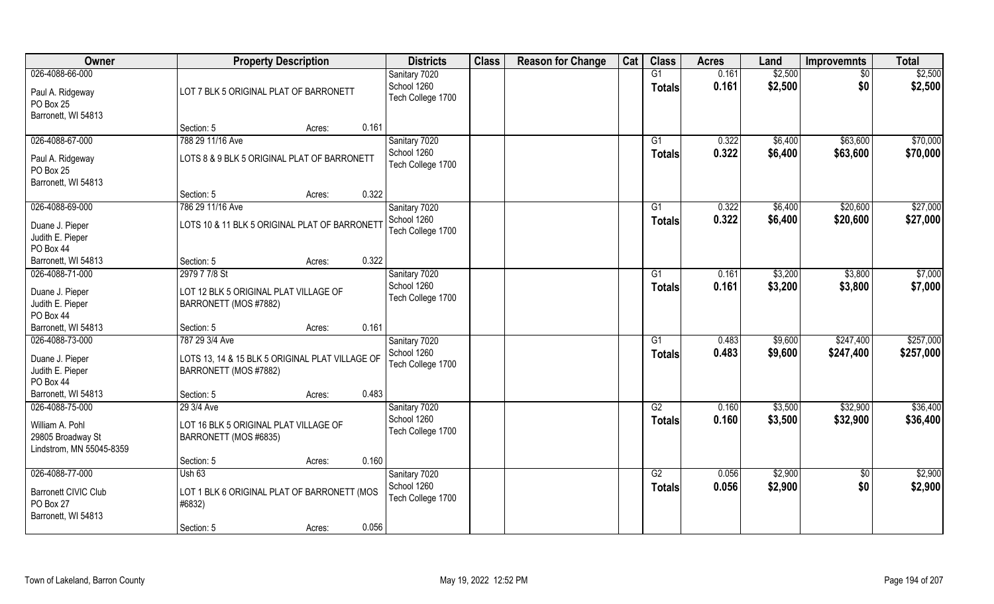| Owner                         | <b>Property Description</b>                     | <b>Districts</b>                 | <b>Class</b> | <b>Reason for Change</b> | Cat | <b>Class</b>        | <b>Acres</b>   | Land               | <b>Improvemnts</b>     | <b>Total</b>       |
|-------------------------------|-------------------------------------------------|----------------------------------|--------------|--------------------------|-----|---------------------|----------------|--------------------|------------------------|--------------------|
| 026-4088-66-000               |                                                 | Sanitary 7020<br>School 1260     |              |                          |     | G1<br><b>Totals</b> | 0.161<br>0.161 | \$2,500<br>\$2,500 | $\overline{50}$<br>\$0 | \$2,500<br>\$2,500 |
| Paul A. Ridgeway<br>PO Box 25 | LOT 7 BLK 5 ORIGINAL PLAT OF BARRONETT          | Tech College 1700                |              |                          |     |                     |                |                    |                        |                    |
| Barronett, WI 54813           |                                                 |                                  |              |                          |     |                     |                |                    |                        |                    |
|                               | 0.161<br>Section: 5<br>Acres:                   |                                  |              |                          |     |                     |                |                    |                        |                    |
| 026-4088-67-000               | 788 29 11/16 Ave                                | Sanitary 7020                    |              |                          |     | $\overline{G1}$     | 0.322          | \$6,400            | \$63,600               | \$70,000           |
| Paul A. Ridgeway              | LOTS 8 & 9 BLK 5 ORIGINAL PLAT OF BARRONETT     | School 1260<br>Tech College 1700 |              |                          |     | <b>Totals</b>       | 0.322          | \$6,400            | \$63,600               | \$70,000           |
| PO Box 25                     |                                                 |                                  |              |                          |     |                     |                |                    |                        |                    |
| Barronett, WI 54813           |                                                 |                                  |              |                          |     |                     |                |                    |                        |                    |
|                               | 0.322<br>Section: 5<br>Acres:                   |                                  |              |                          |     |                     |                |                    |                        |                    |
| 026-4088-69-000               | 786 29 11/16 Ave                                | Sanitary 7020                    |              |                          |     | G1                  | 0.322          | \$6,400            | \$20,600               | \$27,000           |
| Duane J. Pieper               | LOTS 10 & 11 BLK 5 ORIGINAL PLAT OF BARRONETT   | School 1260                      |              |                          |     | <b>Totals</b>       | 0.322          | \$6,400            | \$20,600               | \$27,000           |
| Judith E. Pieper              |                                                 | Tech College 1700                |              |                          |     |                     |                |                    |                        |                    |
| PO Box 44                     |                                                 |                                  |              |                          |     |                     |                |                    |                        |                    |
| Barronett, WI 54813           | 0.322<br>Section: 5<br>Acres:                   |                                  |              |                          |     |                     |                |                    |                        |                    |
| 026-4088-71-000               | 2979 7 7/8 St                                   | Sanitary 7020                    |              |                          |     | G1                  | 0.161          | \$3,200            | \$3,800                | \$7,000            |
| Duane J. Pieper               | LOT 12 BLK 5 ORIGINAL PLAT VILLAGE OF           | School 1260                      |              |                          |     | Totals              | 0.161          | \$3,200            | \$3,800                | \$7,000            |
| Judith E. Pieper              | BARRONETT (MOS #7882)                           | Tech College 1700                |              |                          |     |                     |                |                    |                        |                    |
| PO Box 44                     |                                                 |                                  |              |                          |     |                     |                |                    |                        |                    |
| Barronett, WI 54813           | 0.161<br>Section: 5<br>Acres:                   |                                  |              |                          |     |                     |                |                    |                        |                    |
| 026-4088-73-000               | 787 29 3/4 Ave                                  | Sanitary 7020                    |              |                          |     | $\overline{G1}$     | 0.483          | \$9,600            | \$247,400              | \$257,000          |
| Duane J. Pieper               | LOTS 13, 14 & 15 BLK 5 ORIGINAL PLAT VILLAGE OF | School 1260                      |              |                          |     | Totals              | 0.483          | \$9,600            | \$247,400              | \$257,000          |
| Judith E. Pieper              | BARRONETT (MOS #7882)                           | Tech College 1700                |              |                          |     |                     |                |                    |                        |                    |
| PO Box 44                     |                                                 |                                  |              |                          |     |                     |                |                    |                        |                    |
| Barronett, WI 54813           | 0.483<br>Section: 5<br>Acres:                   |                                  |              |                          |     |                     |                |                    |                        |                    |
| 026-4088-75-000               | 29 3/4 Ave                                      | Sanitary 7020                    |              |                          |     | G2                  | 0.160          | \$3,500            | \$32,900               | \$36,400           |
|                               |                                                 | School 1260                      |              |                          |     | <b>Totals</b>       | 0.160          | \$3,500            | \$32,900               | \$36,400           |
| William A. Pohl               | LOT 16 BLK 5 ORIGINAL PLAT VILLAGE OF           | Tech College 1700                |              |                          |     |                     |                |                    |                        |                    |
| 29805 Broadway St             | BARRONETT (MOS #6835)                           |                                  |              |                          |     |                     |                |                    |                        |                    |
| Lindstrom, MN 55045-8359      |                                                 |                                  |              |                          |     |                     |                |                    |                        |                    |
|                               | 0.160<br>Section: 5<br>Acres:                   |                                  |              |                          |     |                     |                |                    |                        |                    |
| 026-4088-77-000               | Ush 63                                          | Sanitary 7020                    |              |                          |     | G2                  | 0.056          | \$2,900            | $\sqrt{$0}$            | \$2,900            |
| <b>Barronett CIVIC Club</b>   | LOT 1 BLK 6 ORIGINAL PLAT OF BARRONETT (MOS     | School 1260                      |              |                          |     | Totals              | 0.056          | \$2,900            | \$0                    | \$2,900            |
| PO Box 27                     | #6832)                                          | Tech College 1700                |              |                          |     |                     |                |                    |                        |                    |
| Barronett, WI 54813           |                                                 |                                  |              |                          |     |                     |                |                    |                        |                    |
|                               | 0.056<br>Section: 5<br>Acres:                   |                                  |              |                          |     |                     |                |                    |                        |                    |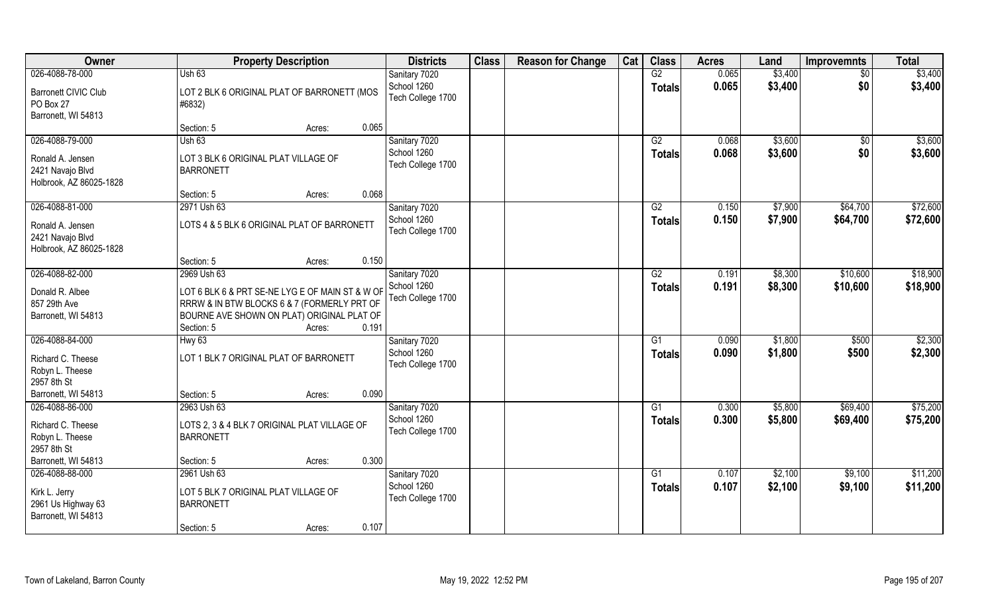| G2<br>0.065<br>026-4088-78-000<br><b>Ush 63</b><br>\$3,400<br>$\sqrt{$0}$<br>Sanitary 7020<br>School 1260<br>0.065<br>\$3,400<br>\$0<br><b>Totals</b><br><b>Barronett CIVIC Club</b><br>LOT 2 BLK 6 ORIGINAL PLAT OF BARRONETT (MOS<br>Tech College 1700<br>PO Box 27<br>#6832)<br>Barronett, WI 54813<br>0.065<br>Section: 5<br>Acres:<br>026-4088-79-000<br>\$3,600<br>Ush 63<br>Sanitary 7020<br>$\overline{G2}$<br>0.068<br>\$0<br>School 1260<br>0.068<br>\$3,600<br>\$0<br>Totals<br>Ronald A. Jensen<br>LOT 3 BLK 6 ORIGINAL PLAT VILLAGE OF<br>Tech College 1700<br>2421 Navajo Blvd<br><b>BARRONETT</b><br>Holbrook, AZ 86025-1828<br>0.068<br>Section: 5<br>Acres:<br>026-4088-81-000<br>Sanitary 7020<br>G2<br>0.150<br>\$7,900<br>\$64,700<br>2971 Ush 63<br>School 1260<br>0.150<br>\$7,900<br>\$64,700<br><b>Totals</b><br>LOTS 4 & 5 BLK 6 ORIGINAL PLAT OF BARRONETT<br>Ronald A. Jensen<br>Tech College 1700<br>2421 Navajo Blvd<br>Holbrook, AZ 86025-1828<br>0.150<br>Section: 5<br>Acres: | Owner           | <b>Property Description</b> | <b>Districts</b> | <b>Class</b> | <b>Reason for Change</b> | Cat | <b>Class</b> | <b>Acres</b> | Land    | <b>Improvemnts</b> | <b>Total</b> |
|---------------------------------------------------------------------------------------------------------------------------------------------------------------------------------------------------------------------------------------------------------------------------------------------------------------------------------------------------------------------------------------------------------------------------------------------------------------------------------------------------------------------------------------------------------------------------------------------------------------------------------------------------------------------------------------------------------------------------------------------------------------------------------------------------------------------------------------------------------------------------------------------------------------------------------------------------------------------------------------------------------------|-----------------|-----------------------------|------------------|--------------|--------------------------|-----|--------------|--------------|---------|--------------------|--------------|
|                                                                                                                                                                                                                                                                                                                                                                                                                                                                                                                                                                                                                                                                                                                                                                                                                                                                                                                                                                                                               |                 |                             |                  |              |                          |     |              |              |         |                    | \$3,400      |
|                                                                                                                                                                                                                                                                                                                                                                                                                                                                                                                                                                                                                                                                                                                                                                                                                                                                                                                                                                                                               |                 |                             |                  |              |                          |     |              |              |         |                    | \$3,400      |
|                                                                                                                                                                                                                                                                                                                                                                                                                                                                                                                                                                                                                                                                                                                                                                                                                                                                                                                                                                                                               |                 |                             |                  |              |                          |     |              |              |         |                    |              |
|                                                                                                                                                                                                                                                                                                                                                                                                                                                                                                                                                                                                                                                                                                                                                                                                                                                                                                                                                                                                               |                 |                             |                  |              |                          |     |              |              |         |                    |              |
|                                                                                                                                                                                                                                                                                                                                                                                                                                                                                                                                                                                                                                                                                                                                                                                                                                                                                                                                                                                                               |                 |                             |                  |              |                          |     |              |              |         |                    |              |
|                                                                                                                                                                                                                                                                                                                                                                                                                                                                                                                                                                                                                                                                                                                                                                                                                                                                                                                                                                                                               |                 |                             |                  |              |                          |     |              |              |         |                    | \$3,600      |
|                                                                                                                                                                                                                                                                                                                                                                                                                                                                                                                                                                                                                                                                                                                                                                                                                                                                                                                                                                                                               |                 |                             |                  |              |                          |     |              |              |         |                    | \$3,600      |
|                                                                                                                                                                                                                                                                                                                                                                                                                                                                                                                                                                                                                                                                                                                                                                                                                                                                                                                                                                                                               |                 |                             |                  |              |                          |     |              |              |         |                    |              |
|                                                                                                                                                                                                                                                                                                                                                                                                                                                                                                                                                                                                                                                                                                                                                                                                                                                                                                                                                                                                               |                 |                             |                  |              |                          |     |              |              |         |                    |              |
|                                                                                                                                                                                                                                                                                                                                                                                                                                                                                                                                                                                                                                                                                                                                                                                                                                                                                                                                                                                                               |                 |                             |                  |              |                          |     |              |              |         |                    |              |
|                                                                                                                                                                                                                                                                                                                                                                                                                                                                                                                                                                                                                                                                                                                                                                                                                                                                                                                                                                                                               |                 |                             |                  |              |                          |     |              |              |         |                    | \$72,600     |
|                                                                                                                                                                                                                                                                                                                                                                                                                                                                                                                                                                                                                                                                                                                                                                                                                                                                                                                                                                                                               |                 |                             |                  |              |                          |     |              |              |         |                    | \$72,600     |
|                                                                                                                                                                                                                                                                                                                                                                                                                                                                                                                                                                                                                                                                                                                                                                                                                                                                                                                                                                                                               |                 |                             |                  |              |                          |     |              |              |         |                    |              |
|                                                                                                                                                                                                                                                                                                                                                                                                                                                                                                                                                                                                                                                                                                                                                                                                                                                                                                                                                                                                               |                 |                             |                  |              |                          |     |              |              |         |                    |              |
|                                                                                                                                                                                                                                                                                                                                                                                                                                                                                                                                                                                                                                                                                                                                                                                                                                                                                                                                                                                                               |                 |                             |                  |              |                          |     |              |              |         |                    |              |
|                                                                                                                                                                                                                                                                                                                                                                                                                                                                                                                                                                                                                                                                                                                                                                                                                                                                                                                                                                                                               | 026-4088-82-000 | 2969 Ush 63                 | Sanitary 7020    |              |                          |     | G2           | 0.191        | \$8,300 | \$10,600           | \$18,900     |
| School 1260<br>0.191<br>\$8,300<br>\$10,600<br><b>Totals</b><br>Donald R. Albee<br>LOT 6 BLK 6 & PRT SE-NE LYG E OF MAIN ST & W OF                                                                                                                                                                                                                                                                                                                                                                                                                                                                                                                                                                                                                                                                                                                                                                                                                                                                            |                 |                             |                  |              |                          |     |              |              |         |                    | \$18,900     |
| Tech College 1700<br>857 29th Ave<br>RRRW & IN BTW BLOCKS 6 & 7 (FORMERLY PRT OF                                                                                                                                                                                                                                                                                                                                                                                                                                                                                                                                                                                                                                                                                                                                                                                                                                                                                                                              |                 |                             |                  |              |                          |     |              |              |         |                    |              |
| Barronett, WI 54813<br>BOURNE AVE SHOWN ON PLAT) ORIGINAL PLAT OF                                                                                                                                                                                                                                                                                                                                                                                                                                                                                                                                                                                                                                                                                                                                                                                                                                                                                                                                             |                 |                             |                  |              |                          |     |              |              |         |                    |              |
| 0.191<br>Section: 5<br>Acres:                                                                                                                                                                                                                                                                                                                                                                                                                                                                                                                                                                                                                                                                                                                                                                                                                                                                                                                                                                                 |                 |                             |                  |              |                          |     |              |              |         |                    |              |
| 026-4088-84-000<br>$\overline{G1}$<br>0.090<br>\$1,800<br>\$500<br>Hwy <sub>63</sub><br>Sanitary 7020                                                                                                                                                                                                                                                                                                                                                                                                                                                                                                                                                                                                                                                                                                                                                                                                                                                                                                         |                 |                             |                  |              |                          |     |              |              |         |                    | \$2,300      |
| School 1260<br>0.090<br>\$1,800<br>\$500<br>Totals                                                                                                                                                                                                                                                                                                                                                                                                                                                                                                                                                                                                                                                                                                                                                                                                                                                                                                                                                            |                 |                             |                  |              |                          |     |              |              |         |                    | \$2,300      |
| LOT 1 BLK 7 ORIGINAL PLAT OF BARRONETT<br>Richard C. Theese<br>Tech College 1700<br>Robyn L. Theese                                                                                                                                                                                                                                                                                                                                                                                                                                                                                                                                                                                                                                                                                                                                                                                                                                                                                                           |                 |                             |                  |              |                          |     |              |              |         |                    |              |
| 2957 8th St                                                                                                                                                                                                                                                                                                                                                                                                                                                                                                                                                                                                                                                                                                                                                                                                                                                                                                                                                                                                   |                 |                             |                  |              |                          |     |              |              |         |                    |              |
| Barronett, WI 54813<br>0.090<br>Section: 5<br>Acres:                                                                                                                                                                                                                                                                                                                                                                                                                                                                                                                                                                                                                                                                                                                                                                                                                                                                                                                                                          |                 |                             |                  |              |                          |     |              |              |         |                    |              |
| 026-4088-86-000<br>\$69,400<br>Sanitary 7020<br>0.300<br>\$5,800<br>2963 Ush 63<br>G1                                                                                                                                                                                                                                                                                                                                                                                                                                                                                                                                                                                                                                                                                                                                                                                                                                                                                                                         |                 |                             |                  |              |                          |     |              |              |         |                    | \$75,200     |
| School 1260<br>0.300<br>\$5,800<br>\$69,400<br><b>Totals</b>                                                                                                                                                                                                                                                                                                                                                                                                                                                                                                                                                                                                                                                                                                                                                                                                                                                                                                                                                  |                 |                             |                  |              |                          |     |              |              |         |                    | \$75,200     |
| Richard C. Theese<br>LOTS 2, 3 & 4 BLK 7 ORIGINAL PLAT VILLAGE OF<br>Tech College 1700                                                                                                                                                                                                                                                                                                                                                                                                                                                                                                                                                                                                                                                                                                                                                                                                                                                                                                                        |                 |                             |                  |              |                          |     |              |              |         |                    |              |
| Robyn L. Theese<br><b>BARRONETT</b><br>2957 8th St                                                                                                                                                                                                                                                                                                                                                                                                                                                                                                                                                                                                                                                                                                                                                                                                                                                                                                                                                            |                 |                             |                  |              |                          |     |              |              |         |                    |              |
| 0.300<br>Barronett, WI 54813<br>Section: 5<br>Acres:                                                                                                                                                                                                                                                                                                                                                                                                                                                                                                                                                                                                                                                                                                                                                                                                                                                                                                                                                          |                 |                             |                  |              |                          |     |              |              |         |                    |              |
| 026-4088-88-000<br>2961 Ush 63<br>Sanitary 7020<br>$\overline{G1}$<br>\$2,100<br>\$9,100<br>0.107                                                                                                                                                                                                                                                                                                                                                                                                                                                                                                                                                                                                                                                                                                                                                                                                                                                                                                             |                 |                             |                  |              |                          |     |              |              |         |                    | \$11,200     |
| School 1260<br>0.107<br>\$2,100<br>\$9,100<br>Totals                                                                                                                                                                                                                                                                                                                                                                                                                                                                                                                                                                                                                                                                                                                                                                                                                                                                                                                                                          |                 |                             |                  |              |                          |     |              |              |         |                    | \$11,200     |
| Kirk L. Jerry<br>LOT 5 BLK 7 ORIGINAL PLAT VILLAGE OF<br>Tech College 1700                                                                                                                                                                                                                                                                                                                                                                                                                                                                                                                                                                                                                                                                                                                                                                                                                                                                                                                                    |                 |                             |                  |              |                          |     |              |              |         |                    |              |
| 2961 Us Highway 63<br><b>BARRONETT</b><br>Barronett, WI 54813                                                                                                                                                                                                                                                                                                                                                                                                                                                                                                                                                                                                                                                                                                                                                                                                                                                                                                                                                 |                 |                             |                  |              |                          |     |              |              |         |                    |              |
| 0.107<br>Section: 5<br>Acres:                                                                                                                                                                                                                                                                                                                                                                                                                                                                                                                                                                                                                                                                                                                                                                                                                                                                                                                                                                                 |                 |                             |                  |              |                          |     |              |              |         |                    |              |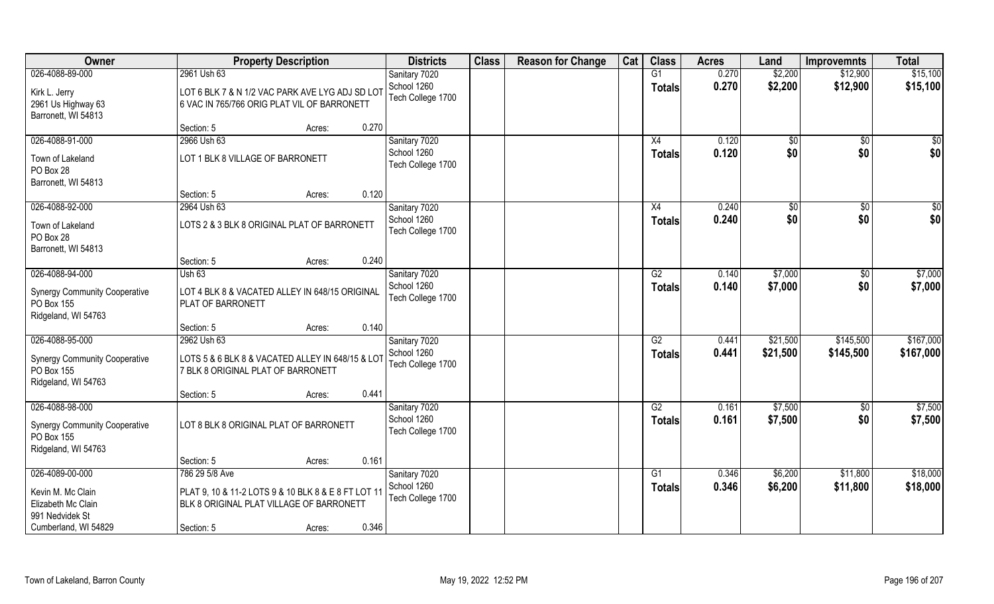| Owner                                                                                                 | <b>Property Description</b>                                                                                                                        | <b>Districts</b>                                  | <b>Class</b> | <b>Reason for Change</b> | Cat | <b>Class</b>                     | <b>Acres</b>   | Land                 | <b>Improvemnts</b>     | <b>Total</b>           |
|-------------------------------------------------------------------------------------------------------|----------------------------------------------------------------------------------------------------------------------------------------------------|---------------------------------------------------|--------------|--------------------------|-----|----------------------------------|----------------|----------------------|------------------------|------------------------|
| 026-4088-89-000<br>Kirk L. Jerry<br>2961 Us Highway 63<br>Barronett, WI 54813                         | 2961 Ush 63<br>LOT 6 BLK 7 & N 1/2 VAC PARK AVE LYG ADJ SD LOT<br>6 VAC IN 765/766 ORIG PLAT VIL OF BARRONETT                                      | Sanitary 7020<br>School 1260<br>Tech College 1700 |              |                          |     | G1<br><b>Totals</b>              | 0.270<br>0.270 | \$2,200<br>\$2,200   | \$12,900<br>\$12,900   | \$15,100<br>\$15,100   |
|                                                                                                       | 0.270<br>Section: 5<br>Acres:                                                                                                                      |                                                   |              |                          |     |                                  |                |                      |                        |                        |
| 026-4088-91-000<br>Town of Lakeland<br>PO Box 28<br>Barronett, WI 54813                               | 2966 Ush 63<br>LOT 1 BLK 8 VILLAGE OF BARRONETT                                                                                                    | Sanitary 7020<br>School 1260<br>Tech College 1700 |              |                          |     | X4<br><b>Totals</b>              | 0.120<br>0.120 | $\sqrt[6]{}$<br>\$0  | $\overline{50}$<br>\$0 | $\sqrt{50}$<br>\$0     |
|                                                                                                       | 0.120<br>Section: 5<br>Acres:                                                                                                                      |                                                   |              |                          |     |                                  |                |                      |                        |                        |
| 026-4088-92-000<br>Town of Lakeland<br>PO Box 28<br>Barronett, WI 54813                               | 2964 Ush 63<br>LOTS 2 & 3 BLK 8 ORIGINAL PLAT OF BARRONETT                                                                                         | Sanitary 7020<br>School 1260<br>Tech College 1700 |              |                          |     | X4<br><b>Totals</b>              | 0.240<br>0.240 | $\sqrt[6]{2}$<br>\$0 | $\sqrt{6}$<br>\$0      | \$0<br>\$0             |
|                                                                                                       | 0.240<br>Section: 5<br>Acres:                                                                                                                      |                                                   |              |                          |     |                                  |                |                      |                        |                        |
| 026-4088-94-000<br><b>Synergy Community Cooperative</b><br>PO Box 155<br>Ridgeland, WI 54763          | <b>Ush 63</b><br>LOT 4 BLK 8 & VACATED ALLEY IN 648/15 ORIGINAL<br>PLAT OF BARRONETT                                                               | Sanitary 7020<br>School 1260<br>Tech College 1700 |              |                          |     | G2<br><b>Totals</b>              | 0.140<br>0.140 | \$7,000<br>\$7,000   | \$0<br>\$0             | \$7,000<br>\$7,000     |
|                                                                                                       | 0.140<br>Section: 5<br>Acres:                                                                                                                      |                                                   |              |                          |     |                                  |                |                      |                        |                        |
| 026-4088-95-000<br><b>Synergy Community Cooperative</b><br>PO Box 155<br>Ridgeland, WI 54763          | 2962 Ush 63<br>LOTS 5 & 6 BLK 8 & VACATED ALLEY IN 648/15 & LOT<br>7 BLK 8 ORIGINAL PLAT OF BARRONETT<br>0.441<br>Section: 5<br>Acres:             | Sanitary 7020<br>School 1260<br>Tech College 1700 |              |                          |     | $\overline{G2}$<br><b>Totals</b> | 0.441<br>0.441 | \$21,500<br>\$21,500 | \$145,500<br>\$145,500 | \$167,000<br>\$167,000 |
| 026-4088-98-000                                                                                       |                                                                                                                                                    | Sanitary 7020                                     |              |                          |     | G2                               | 0.161          | \$7,500              | \$0                    | \$7,500                |
| <b>Synergy Community Cooperative</b><br>PO Box 155                                                    | LOT 8 BLK 8 ORIGINAL PLAT OF BARRONETT                                                                                                             | School 1260<br>Tech College 1700                  |              |                          |     | <b>Totals</b>                    | 0.161          | \$7,500              | \$0                    | \$7,500                |
| Ridgeland, WI 54763                                                                                   | 0.161<br>Section: 5<br>Acres:                                                                                                                      |                                                   |              |                          |     |                                  |                |                      |                        |                        |
| 026-4089-00-000<br>Kevin M. Mc Clain<br>Elizabeth Mc Clain<br>991 Nedvidek St<br>Cumberland, WI 54829 | 786 29 5/8 Ave<br>PLAT 9, 10 & 11-2 LOTS 9 & 10 BLK 8 & E 8 FT LOT 11<br>BLK 8 ORIGINAL PLAT VILLAGE OF BARRONETT<br>0.346<br>Section: 5<br>Acres: | Sanitary 7020<br>School 1260<br>Tech College 1700 |              |                          |     | G1<br><b>Totals</b>              | 0.346<br>0.346 | \$6,200<br>\$6,200   | \$11,800<br>\$11,800   | \$18,000<br>\$18,000   |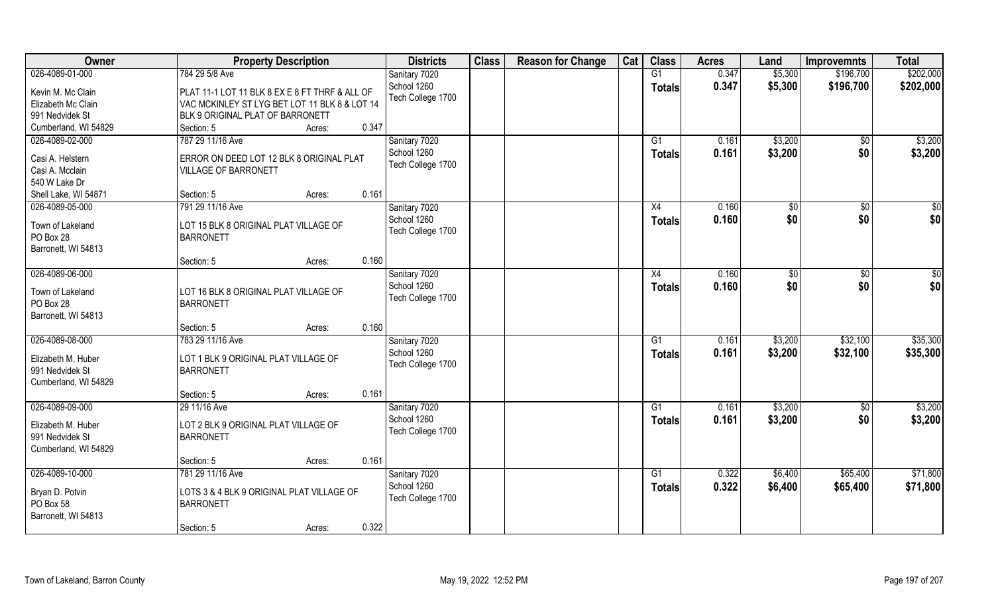| Owner                | <b>Property Description</b>                    | <b>Districts</b>  | <b>Class</b> | <b>Reason for Change</b> | Cat | <b>Class</b>    | <b>Acres</b> | Land    | <b>Improvemnts</b> | <b>Total</b> |
|----------------------|------------------------------------------------|-------------------|--------------|--------------------------|-----|-----------------|--------------|---------|--------------------|--------------|
| 026-4089-01-000      | 784 29 5/8 Ave                                 | Sanitary 7020     |              |                          |     | G1              | 0.347        | \$5,300 | \$196,700          | \$202,000    |
| Kevin M. Mc Clain    | PLAT 11-1 LOT 11 BLK 8 EX E 8 FT THRF & ALL OF | School 1260       |              |                          |     | <b>Totals</b>   | 0.347        | \$5,300 | \$196,700          | \$202,000    |
| Elizabeth Mc Clain   | VAC MCKINLEY ST LYG BET LOT 11 BLK 8 & LOT 14  | Tech College 1700 |              |                          |     |                 |              |         |                    |              |
| 991 Nedvidek St      | BLK 9 ORIGINAL PLAT OF BARRONETT               |                   |              |                          |     |                 |              |         |                    |              |
| Cumberland, WI 54829 | 0.347<br>Section: 5<br>Acres:                  |                   |              |                          |     |                 |              |         |                    |              |
|                      | 787 29 11/16 Ave                               |                   |              |                          |     |                 |              |         |                    |              |
| 026-4089-02-000      |                                                | Sanitary 7020     |              |                          |     | G1              | 0.161        | \$3,200 | $\sqrt{$0}$        | \$3,200      |
| Casi A. Helstern     | ERROR ON DEED LOT 12 BLK 8 ORIGINAL PLAT       | School 1260       |              |                          |     | <b>Totals</b>   | 0.161        | \$3,200 | \$0                | \$3,200      |
| Casi A. Mcclain      | <b>VILLAGE OF BARRONETT</b>                    | Tech College 1700 |              |                          |     |                 |              |         |                    |              |
| 540 W Lake Dr        |                                                |                   |              |                          |     |                 |              |         |                    |              |
| Shell Lake, WI 54871 | 0.161<br>Section: 5<br>Acres:                  |                   |              |                          |     |                 |              |         |                    |              |
| 026-4089-05-000      | 791 29 11/16 Ave                               | Sanitary 7020     |              |                          |     | X4              | 0.160        | \$0     | $\sqrt{50}$        | $\sqrt{50}$  |
|                      |                                                | School 1260       |              |                          |     | <b>Totals</b>   | 0.160        | \$0     | \$0                | \$0          |
| Town of Lakeland     | LOT 15 BLK 8 ORIGINAL PLAT VILLAGE OF          | Tech College 1700 |              |                          |     |                 |              |         |                    |              |
| PO Box 28            | <b>BARRONETT</b>                               |                   |              |                          |     |                 |              |         |                    |              |
| Barronett, WI 54813  |                                                |                   |              |                          |     |                 |              |         |                    |              |
|                      | 0.160<br>Section: 5<br>Acres:                  |                   |              |                          |     |                 |              |         |                    |              |
| 026-4089-06-000      |                                                | Sanitary 7020     |              |                          |     | X4              | 0.160        | \$0     | $\sqrt[6]{3}$      | \$0          |
| Town of Lakeland     | LOT 16 BLK 8 ORIGINAL PLAT VILLAGE OF          | School 1260       |              |                          |     | <b>Totals</b>   | 0.160        | \$0     | \$0                | \$0          |
| PO Box 28            | <b>BARRONETT</b>                               | Tech College 1700 |              |                          |     |                 |              |         |                    |              |
| Barronett, WI 54813  |                                                |                   |              |                          |     |                 |              |         |                    |              |
|                      | 0.160<br>Section: 5<br>Acres:                  |                   |              |                          |     |                 |              |         |                    |              |
| 026-4089-08-000      | 783 29 11/16 Ave                               | Sanitary 7020     |              |                          |     | G1              | 0.161        | \$3,200 | \$32,100           | \$35,300     |
|                      |                                                | School 1260       |              |                          |     |                 | 0.161        |         | \$32,100           |              |
| Elizabeth M. Huber   | LOT 1 BLK 9 ORIGINAL PLAT VILLAGE OF           | Tech College 1700 |              |                          |     | <b>Totals</b>   |              | \$3,200 |                    | \$35,300     |
| 991 Nedvidek St      | <b>BARRONETT</b>                               |                   |              |                          |     |                 |              |         |                    |              |
| Cumberland, WI 54829 |                                                |                   |              |                          |     |                 |              |         |                    |              |
|                      | 0.161<br>Section: 5<br>Acres:                  |                   |              |                          |     |                 |              |         |                    |              |
| 026-4089-09-000      | 29 11/16 Ave                                   | Sanitary 7020     |              |                          |     | G1              | 0.161        | \$3,200 | \$0                | \$3,200      |
|                      |                                                | School 1260       |              |                          |     | <b>Totals</b>   | 0.161        | \$3,200 | \$0                | \$3,200      |
| Elizabeth M. Huber   | LOT 2 BLK 9 ORIGINAL PLAT VILLAGE OF           | Tech College 1700 |              |                          |     |                 |              |         |                    |              |
| 991 Nedvidek St      | <b>BARRONETT</b>                               |                   |              |                          |     |                 |              |         |                    |              |
| Cumberland, WI 54829 |                                                |                   |              |                          |     |                 |              |         |                    |              |
|                      | 0.161<br>Section: 5<br>Acres:                  |                   |              |                          |     |                 |              |         |                    |              |
| 026-4089-10-000      | 781 29 11/16 Ave                               | Sanitary 7020     |              |                          |     | $\overline{G1}$ | 0.322        | \$6,400 | \$65,400           | \$71,800     |
| Bryan D. Potvin      | LOTS 3 & 4 BLK 9 ORIGINAL PLAT VILLAGE OF      | School 1260       |              |                          |     | Totals          | 0.322        | \$6,400 | \$65,400           | \$71,800     |
| PO Box 58            | <b>BARRONETT</b>                               | Tech College 1700 |              |                          |     |                 |              |         |                    |              |
| Barronett, WI 54813  |                                                |                   |              |                          |     |                 |              |         |                    |              |
|                      | 0.322<br>Section: 5                            |                   |              |                          |     |                 |              |         |                    |              |
|                      | Acres:                                         |                   |              |                          |     |                 |              |         |                    |              |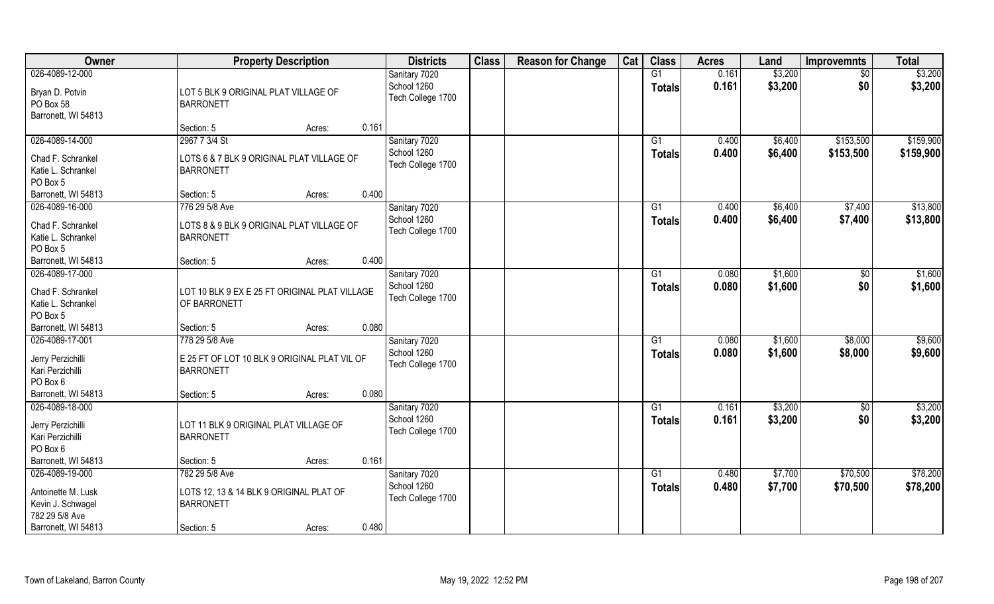| Owner                                                                        | <b>Property Description</b>                                                        | <b>Districts</b>                                  | <b>Class</b> | <b>Reason for Change</b> | Cat | <b>Class</b>                     | <b>Acres</b>   | Land               | <b>Improvemnts</b>   | <b>Total</b>         |
|------------------------------------------------------------------------------|------------------------------------------------------------------------------------|---------------------------------------------------|--------------|--------------------------|-----|----------------------------------|----------------|--------------------|----------------------|----------------------|
| 026-4089-12-000                                                              |                                                                                    | Sanitary 7020                                     |              |                          |     | G1                               | 0.161          | \$3,200            | $\sqrt{$0}$          | \$3,200              |
| Bryan D. Potvin<br>PO Box 58<br>Barronett, WI 54813                          | LOT 5 BLK 9 ORIGINAL PLAT VILLAGE OF<br><b>BARRONETT</b>                           | School 1260<br>Tech College 1700                  |              |                          |     | <b>Totals</b>                    | 0.161          | \$3,200            | \$0                  | \$3,200              |
|                                                                              | 0.161<br>Section: 5<br>Acres:                                                      |                                                   |              |                          |     |                                  |                |                    |                      |                      |
| 026-4089-14-000                                                              | 2967 7 3/4 St                                                                      | Sanitary 7020                                     |              |                          |     | G1                               | 0.400          | \$6,400            | \$153,500            | \$159,900            |
| Chad F. Schrankel<br>Katie L. Schrankel<br>PO Box 5                          | LOTS 6 & 7 BLK 9 ORIGINAL PLAT VILLAGE OF<br><b>BARRONETT</b>                      | School 1260<br>Tech College 1700                  |              |                          |     | <b>Totals</b>                    | 0.400          | \$6,400            | \$153,500            | \$159,900            |
| Barronett, WI 54813                                                          | 0.400<br>Section: 5<br>Acres:                                                      |                                                   |              |                          |     |                                  |                |                    |                      |                      |
| 026-4089-16-000                                                              | 776 29 5/8 Ave                                                                     | Sanitary 7020                                     |              |                          |     | G1                               | 0.400          | \$6,400            | \$7,400              | \$13,800             |
| Chad F. Schrankel<br>Katie L. Schrankel<br>PO Box 5                          | LOTS 8 & 9 BLK 9 ORIGINAL PLAT VILLAGE OF<br><b>BARRONETT</b>                      | School 1260<br>Tech College 1700                  |              |                          |     | <b>Totals</b>                    | 0.400          | \$6,400            | \$7,400              | \$13,800             |
| Barronett, WI 54813                                                          | 0.400<br>Section: 5<br>Acres:                                                      |                                                   |              |                          |     |                                  |                |                    |                      |                      |
| 026-4089-17-000<br>Chad F. Schrankel<br>Katie L. Schrankel<br>PO Box 5       | LOT 10 BLK 9 EX E 25 FT ORIGINAL PLAT VILLAGE<br>OF BARRONETT                      | Sanitary 7020<br>School 1260<br>Tech College 1700 |              |                          |     | G1<br><b>Totals</b>              | 0.080<br>0.080 | \$1,600<br>\$1,600 | \$0<br>\$0           | \$1,600<br>\$1,600   |
| Barronett, WI 54813                                                          | 0.080<br>Section: 5<br>Acres:                                                      |                                                   |              |                          |     |                                  |                |                    |                      |                      |
| 026-4089-17-001<br>Jerry Perzichilli<br>Kari Perzichilli                     | 778 29 5/8 Ave<br>E 25 FT OF LOT 10 BLK 9 ORIGINAL PLAT VIL OF<br><b>BARRONETT</b> | Sanitary 7020<br>School 1260<br>Tech College 1700 |              |                          |     | $\overline{G1}$<br><b>Totals</b> | 0.080<br>0.080 | \$1,600<br>\$1,600 | \$8,000<br>\$8,000   | \$9,600<br>\$9,600   |
| PO Box 6                                                                     |                                                                                    |                                                   |              |                          |     |                                  |                |                    |                      |                      |
| Barronett, WI 54813                                                          | 0.080<br>Section: 5<br>Acres:                                                      |                                                   |              |                          |     |                                  |                |                    |                      |                      |
| 026-4089-18-000                                                              |                                                                                    | Sanitary 7020                                     |              |                          |     | G1                               | 0.161          | \$3,200            | \$0                  | \$3,200              |
| Jerry Perzichilli<br>Kari Perzichilli<br>PO Box 6                            | LOT 11 BLK 9 ORIGINAL PLAT VILLAGE OF<br><b>BARRONETT</b>                          | School 1260<br>Tech College 1700                  |              |                          |     | <b>Totals</b>                    | 0.161          | \$3,200            | \$0                  | \$3,200              |
| Barronett, WI 54813                                                          | 0.161<br>Section: 5<br>Acres:                                                      |                                                   |              |                          |     |                                  |                |                    |                      |                      |
| 026-4089-19-000<br>Antoinette M. Lusk<br>Kevin J. Schwagel<br>782 29 5/8 Ave | 782 29 5/8 Ave<br>LOTS 12, 13 & 14 BLK 9 ORIGINAL PLAT OF<br><b>BARRONETT</b>      | Sanitary 7020<br>School 1260<br>Tech College 1700 |              |                          |     | $\overline{G1}$<br><b>Totals</b> | 0.480<br>0.480 | \$7,700<br>\$7,700 | \$70,500<br>\$70,500 | \$78,200<br>\$78,200 |
| Barronett, WI 54813                                                          | 0.480<br>Section: 5<br>Acres:                                                      |                                                   |              |                          |     |                                  |                |                    |                      |                      |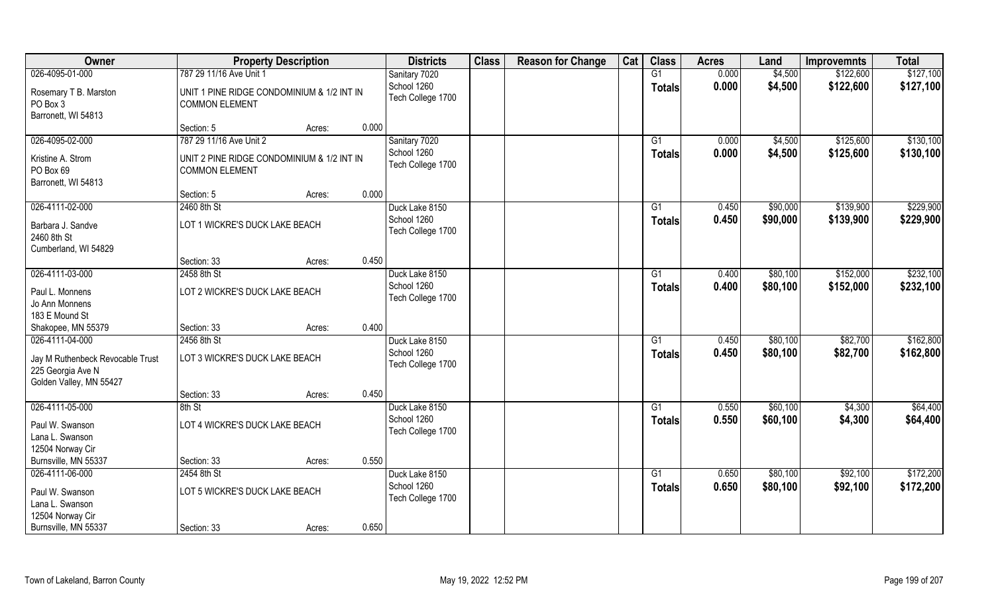| Owner                                                                            |                                                                     | <b>Property Description</b> |       | <b>Districts</b>                 | <b>Class</b> | <b>Reason for Change</b> | Cat | <b>Class</b>    | <b>Acres</b>   | Land               | <b>Improvemnts</b>     | <b>Total</b>           |
|----------------------------------------------------------------------------------|---------------------------------------------------------------------|-----------------------------|-------|----------------------------------|--------------|--------------------------|-----|-----------------|----------------|--------------------|------------------------|------------------------|
| 026-4095-01-000                                                                  | 787 29 11/16 Ave Unit 1                                             |                             |       | Sanitary 7020                    |              |                          |     | G1              | 0.000          | \$4,500            | \$122,600              | \$127,100              |
| Rosemary T B. Marston<br>PO Box 3<br>Barronett, WI 54813                         | UNIT 1 PINE RIDGE CONDOMINIUM & 1/2 INT IN<br><b>COMMON ELEMENT</b> |                             |       | School 1260<br>Tech College 1700 |              |                          |     | <b>Totals</b>   | 0.000          | \$4,500            | \$122,600              | \$127,100              |
|                                                                                  | Section: 5                                                          | Acres:                      | 0.000 |                                  |              |                          |     |                 |                |                    |                        |                        |
| 026-4095-02-000                                                                  | 787 29 11/16 Ave Unit 2                                             |                             |       | Sanitary 7020<br>School 1260     |              |                          |     | G1              | 0.000<br>0.000 | \$4,500<br>\$4,500 | \$125,600<br>\$125,600 | \$130,100<br>\$130,100 |
| Kristine A. Strom<br>PO Box 69<br>Barronett, WI 54813                            | UNIT 2 PINE RIDGE CONDOMINIUM & 1/2 INT IN<br><b>COMMON ELEMENT</b> |                             |       | Tech College 1700                |              |                          |     | Totals          |                |                    |                        |                        |
|                                                                                  | Section: 5                                                          | Acres:                      | 0.000 |                                  |              |                          |     |                 |                |                    |                        |                        |
| 026-4111-02-000                                                                  | 2460 8th St                                                         |                             |       | Duck Lake 8150                   |              |                          |     | G1              | 0.450          | \$90,000           | \$139,900              | \$229,900              |
| Barbara J. Sandve<br>2460 8th St<br>Cumberland, WI 54829                         | LOT 1 WICKRE'S DUCK LAKE BEACH                                      |                             |       | School 1260<br>Tech College 1700 |              |                          |     | <b>Totals</b>   | 0.450          | \$90,000           | \$139,900              | \$229,900              |
|                                                                                  | Section: 33                                                         | Acres:                      | 0.450 |                                  |              |                          |     |                 |                |                    |                        |                        |
| 026-4111-03-000                                                                  | 2458 8th St                                                         |                             |       | Duck Lake 8150                   |              |                          |     | G1              | 0.400          | \$80,100           | \$152,000              | \$232,100              |
| Paul L. Monnens<br>Jo Ann Monnens<br>183 E Mound St                              | LOT 2 WICKRE'S DUCK LAKE BEACH                                      |                             |       | School 1260<br>Tech College 1700 |              |                          |     | <b>Totals</b>   | 0.400          | \$80,100           | \$152,000              | \$232,100              |
| Shakopee, MN 55379                                                               | Section: 33                                                         | Acres:                      | 0.400 |                                  |              |                          |     |                 |                |                    |                        |                        |
| 026-4111-04-000                                                                  | 2456 8th St                                                         |                             |       | Duck Lake 8150                   |              |                          |     | G1              | 0.450          | \$80,100           | \$82,700               | \$162,800              |
| Jay M Ruthenbeck Revocable Trust<br>225 Georgia Ave N<br>Golden Valley, MN 55427 | LOT 3 WICKRE'S DUCK LAKE BEACH                                      |                             |       | School 1260<br>Tech College 1700 |              |                          |     | <b>Totals</b>   | 0.450          | \$80,100           | \$82,700               | \$162,800              |
|                                                                                  | Section: 33                                                         | Acres:                      | 0.450 |                                  |              |                          |     |                 |                |                    |                        |                        |
| 026-4111-05-000                                                                  | 8th St                                                              |                             |       | Duck Lake 8150                   |              |                          |     | G1              | 0.550          | \$60,100           | \$4,300                | \$64,400               |
| Paul W. Swanson<br>Lana L. Swanson<br>12504 Norway Cir                           | LOT 4 WICKRE'S DUCK LAKE BEACH                                      |                             |       | School 1260<br>Tech College 1700 |              |                          |     | <b>Totals</b>   | 0.550          | \$60,100           | \$4,300                | \$64,400               |
| Burnsville, MN 55337                                                             | Section: 33                                                         | Acres:                      | 0.550 |                                  |              |                          |     |                 |                |                    |                        |                        |
| 026-4111-06-000                                                                  | 2454 8th St                                                         |                             |       | Duck Lake 8150                   |              |                          |     | $\overline{G1}$ | 0.650          | \$80,100           | \$92,100               | \$172,200              |
| Paul W. Swanson<br>Lana L. Swanson<br>12504 Norway Cir                           | LOT 5 WICKRE'S DUCK LAKE BEACH                                      |                             |       | School 1260<br>Tech College 1700 |              |                          |     | Totals          | 0.650          | \$80,100           | \$92,100               | \$172,200              |
| Burnsville, MN 55337                                                             | Section: 33                                                         | Acres:                      | 0.650 |                                  |              |                          |     |                 |                |                    |                        |                        |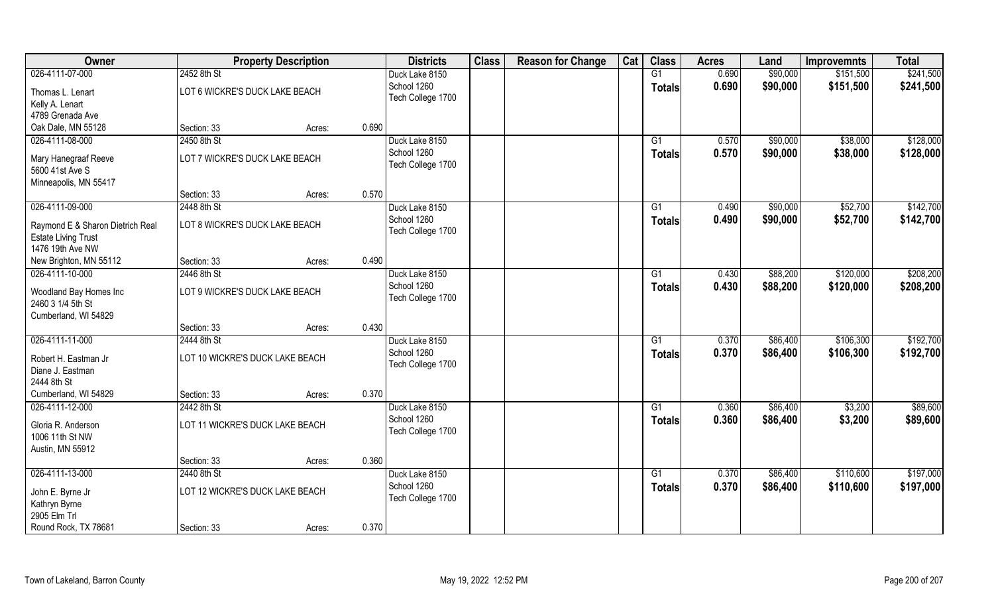| Owner                            |                                 | <b>Property Description</b> |       | <b>Districts</b>  | <b>Class</b> | <b>Reason for Change</b> | Cat | <b>Class</b>    | <b>Acres</b> | Land     | <b>Improvemnts</b> | <b>Total</b> |
|----------------------------------|---------------------------------|-----------------------------|-------|-------------------|--------------|--------------------------|-----|-----------------|--------------|----------|--------------------|--------------|
| 026-4111-07-000                  | 2452 8th St                     |                             |       | Duck Lake 8150    |              |                          |     | G1              | 0.690        | \$90,000 | \$151,500          | \$241,500    |
| Thomas L. Lenart                 | LOT 6 WICKRE'S DUCK LAKE BEACH  |                             |       | School 1260       |              |                          |     | <b>Totals</b>   | 0.690        | \$90,000 | \$151,500          | \$241,500    |
| Kelly A. Lenart                  |                                 |                             |       | Tech College 1700 |              |                          |     |                 |              |          |                    |              |
| 4789 Grenada Ave                 |                                 |                             |       |                   |              |                          |     |                 |              |          |                    |              |
| Oak Dale, MN 55128               | Section: 33                     | Acres:                      | 0.690 |                   |              |                          |     |                 |              |          |                    |              |
| 026-4111-08-000                  | 2450 8th St                     |                             |       | Duck Lake 8150    |              |                          |     | G1              | 0.570        | \$90,000 | \$38,000           | \$128,000    |
|                                  |                                 |                             |       |                   |              |                          |     |                 |              |          |                    |              |
| Mary Hanegraaf Reeve             | LOT 7 WICKRE'S DUCK LAKE BEACH  |                             |       | School 1260       |              |                          |     | <b>Totals</b>   | 0.570        | \$90,000 | \$38,000           | \$128,000    |
| 5600 41st Ave S                  |                                 |                             |       | Tech College 1700 |              |                          |     |                 |              |          |                    |              |
| Minneapolis, MN 55417            |                                 |                             |       |                   |              |                          |     |                 |              |          |                    |              |
|                                  | Section: 33                     | Acres:                      | 0.570 |                   |              |                          |     |                 |              |          |                    |              |
| 026-4111-09-000                  | 2448 8th St                     |                             |       | Duck Lake 8150    |              |                          |     | G1              | 0.490        | \$90,000 | \$52,700           | \$142,700    |
| Raymond E & Sharon Dietrich Real | LOT 8 WICKRE'S DUCK LAKE BEACH  |                             |       | School 1260       |              |                          |     | <b>Totals</b>   | 0.490        | \$90,000 | \$52,700           | \$142,700    |
| <b>Estate Living Trust</b>       |                                 |                             |       | Tech College 1700 |              |                          |     |                 |              |          |                    |              |
| 1476 19th Ave NW                 |                                 |                             |       |                   |              |                          |     |                 |              |          |                    |              |
| New Brighton, MN 55112           | Section: 33                     | Acres:                      | 0.490 |                   |              |                          |     |                 |              |          |                    |              |
| 026-4111-10-000                  | 2446 8th St                     |                             |       | Duck Lake 8150    |              |                          |     | G1              | 0.430        | \$88,200 | \$120,000          | \$208,200    |
|                                  |                                 |                             |       | School 1260       |              |                          |     |                 |              |          |                    |              |
| Woodland Bay Homes Inc           | LOT 9 WICKRE'S DUCK LAKE BEACH  |                             |       | Tech College 1700 |              |                          |     | <b>Totals</b>   | 0.430        | \$88,200 | \$120,000          | \$208,200    |
| 2460 3 1/4 5th St                |                                 |                             |       |                   |              |                          |     |                 |              |          |                    |              |
| Cumberland, WI 54829             |                                 |                             |       |                   |              |                          |     |                 |              |          |                    |              |
|                                  | Section: 33                     | Acres:                      | 0.430 |                   |              |                          |     |                 |              |          |                    |              |
| 026-4111-11-000                  | 2444 8th St                     |                             |       | Duck Lake 8150    |              |                          |     | G1              | 0.370        | \$86,400 | \$106,300          | \$192,700    |
| Robert H. Eastman Jr             | LOT 10 WICKRE'S DUCK LAKE BEACH |                             |       | School 1260       |              |                          |     | <b>Totals</b>   | 0.370        | \$86,400 | \$106,300          | \$192,700    |
| Diane J. Eastman                 |                                 |                             |       | Tech College 1700 |              |                          |     |                 |              |          |                    |              |
| 2444 8th St                      |                                 |                             |       |                   |              |                          |     |                 |              |          |                    |              |
| Cumberland, WI 54829             |                                 |                             | 0.370 |                   |              |                          |     |                 |              |          |                    |              |
|                                  | Section: 33                     | Acres:                      |       |                   |              |                          |     |                 |              |          |                    |              |
| 026-4111-12-000                  | 2442 8th St                     |                             |       | Duck Lake 8150    |              |                          |     | G1              | 0.360        | \$86,400 | \$3,200            | \$89,600     |
| Gloria R. Anderson               | LOT 11 WICKRE'S DUCK LAKE BEACH |                             |       | School 1260       |              |                          |     | <b>Totals</b>   | 0.360        | \$86,400 | \$3,200            | \$89,600     |
| 1006 11th St NW                  |                                 |                             |       | Tech College 1700 |              |                          |     |                 |              |          |                    |              |
| Austin, MN 55912                 |                                 |                             |       |                   |              |                          |     |                 |              |          |                    |              |
|                                  | Section: 33                     | Acres:                      | 0.360 |                   |              |                          |     |                 |              |          |                    |              |
| 026-4111-13-000                  | 2440 8th St                     |                             |       | Duck Lake 8150    |              |                          |     | $\overline{G1}$ | 0.370        | \$86,400 | \$110,600          | \$197,000    |
|                                  |                                 |                             |       | School 1260       |              |                          |     | Totals          | 0.370        | \$86,400 | \$110,600          | \$197,000    |
| John E. Byrne Jr                 | LOT 12 WICKRE'S DUCK LAKE BEACH |                             |       | Tech College 1700 |              |                          |     |                 |              |          |                    |              |
| Kathryn Byrne                    |                                 |                             |       |                   |              |                          |     |                 |              |          |                    |              |
| 2905 Elm Trl                     |                                 |                             |       |                   |              |                          |     |                 |              |          |                    |              |
| Round Rock, TX 78681             | Section: 33                     | Acres:                      | 0.370 |                   |              |                          |     |                 |              |          |                    |              |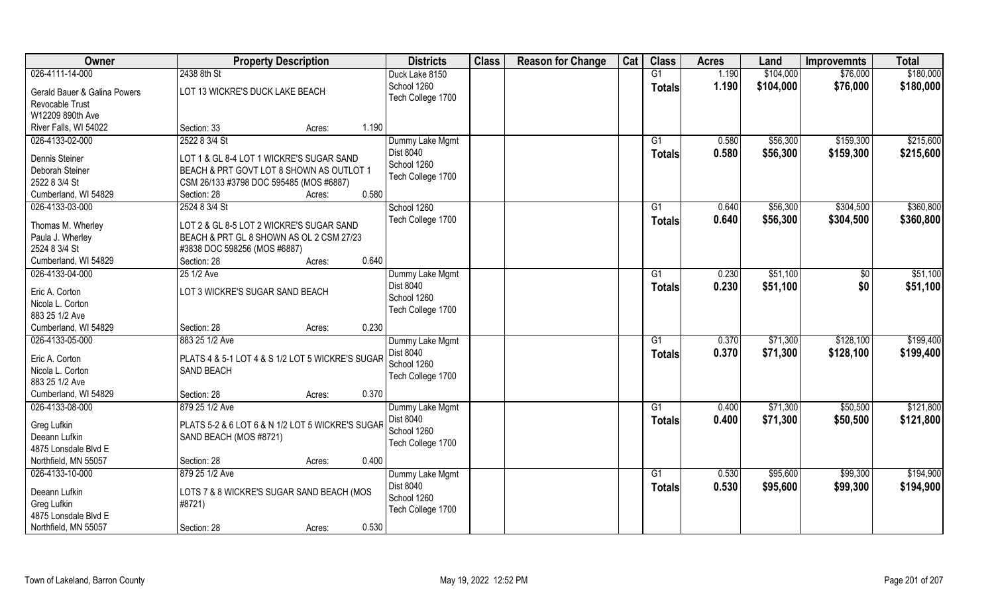| <b>Owner</b>                 | <b>Property Description</b>                      |                 | <b>Districts</b>  | <b>Class</b> | <b>Reason for Change</b> | Cat | <b>Class</b>    | <b>Acres</b> | Land      | <b>Improvemnts</b> | <b>Total</b> |
|------------------------------|--------------------------------------------------|-----------------|-------------------|--------------|--------------------------|-----|-----------------|--------------|-----------|--------------------|--------------|
| 026-4111-14-000              | 2438 8th St                                      |                 | Duck Lake 8150    |              |                          |     | G1              | 1.190        | \$104,000 | \$76,000           | \$180,000    |
| Gerald Bauer & Galina Powers | LOT 13 WICKRE'S DUCK LAKE BEACH                  |                 | School 1260       |              |                          |     | <b>Totals</b>   | 1.190        | \$104,000 | \$76,000           | \$180,000    |
| Revocable Trust              |                                                  |                 | Tech College 1700 |              |                          |     |                 |              |           |                    |              |
| W12209 890th Ave             |                                                  |                 |                   |              |                          |     |                 |              |           |                    |              |
| River Falls, WI 54022        | Section: 33                                      | 1.190<br>Acres: |                   |              |                          |     |                 |              |           |                    |              |
| 026-4133-02-000              | 2522 8 3/4 St                                    |                 | Dummy Lake Mgmt   |              |                          |     | G1              | 0.580        | \$56,300  | \$159,300          | \$215,600    |
|                              |                                                  |                 | <b>Dist 8040</b>  |              |                          |     | Totals          | 0.580        | \$56,300  | \$159,300          | \$215,600    |
| Dennis Steiner               | LOT 1 & GL 8-4 LOT 1 WICKRE'S SUGAR SAND         |                 | School 1260       |              |                          |     |                 |              |           |                    |              |
| Deborah Steiner              | BEACH & PRT GOVT LOT 8 SHOWN AS OUTLOT 1         |                 | Tech College 1700 |              |                          |     |                 |              |           |                    |              |
| 2522 8 3/4 St                | CSM 26/133 #3798 DOC 595485 (MOS #6887)          | 0.580           |                   |              |                          |     |                 |              |           |                    |              |
| Cumberland, WI 54829         | Section: 28                                      | Acres:          |                   |              |                          |     |                 |              |           |                    |              |
| 026-4133-03-000              | 2524 8 3/4 St                                    |                 | School 1260       |              |                          |     | G1              | 0.640        | \$56,300  | \$304,500          | \$360,800    |
| Thomas M. Wherley            | LOT 2 & GL 8-5 LOT 2 WICKRE'S SUGAR SAND         |                 | Tech College 1700 |              |                          |     | <b>Totals</b>   | 0.640        | \$56,300  | \$304,500          | \$360,800    |
| Paula J. Wherley             | BEACH & PRT GL 8 SHOWN AS OL 2 CSM 27/23         |                 |                   |              |                          |     |                 |              |           |                    |              |
| 2524 8 3/4 St                | #3838 DOC 598256 (MOS #6887)                     |                 |                   |              |                          |     |                 |              |           |                    |              |
| Cumberland, WI 54829         | Section: 28                                      | 0.640<br>Acres: |                   |              |                          |     |                 |              |           |                    |              |
| 026-4133-04-000              | 25 1/2 Ave                                       |                 | Dummy Lake Mgmt   |              |                          |     | G1              | 0.230        | \$51,100  | $\sqrt[6]{30}$     | \$51,100     |
| Eric A. Corton               | LOT 3 WICKRE'S SUGAR SAND BEACH                  |                 | Dist 8040         |              |                          |     | <b>Totals</b>   | 0.230        | \$51,100  | \$0                | \$51,100     |
| Nicola L. Corton             |                                                  |                 | School 1260       |              |                          |     |                 |              |           |                    |              |
| 883 25 1/2 Ave               |                                                  |                 | Tech College 1700 |              |                          |     |                 |              |           |                    |              |
| Cumberland, WI 54829         | Section: 28                                      | 0.230<br>Acres: |                   |              |                          |     |                 |              |           |                    |              |
| 026-4133-05-000              | 883 25 1/2 Ave                                   |                 | Dummy Lake Mgmt   |              |                          |     | $\overline{G1}$ | 0.370        | \$71,300  | \$128,100          | \$199,400    |
|                              |                                                  |                 | Dist 8040         |              |                          |     | <b>Totals</b>   | 0.370        | \$71,300  | \$128,100          | \$199,400    |
| Eric A. Corton               | PLATS 4 & 5-1 LOT 4 & S 1/2 LOT 5 WICKRE'S SUGAR |                 | School 1260       |              |                          |     |                 |              |           |                    |              |
| Nicola L. Corton             | SAND BEACH                                       |                 | Tech College 1700 |              |                          |     |                 |              |           |                    |              |
| 883 25 1/2 Ave               |                                                  |                 |                   |              |                          |     |                 |              |           |                    |              |
| Cumberland, WI 54829         | Section: 28                                      | 0.370<br>Acres: |                   |              |                          |     |                 |              |           |                    |              |
| 026-4133-08-000              | 879 25 1/2 Ave                                   |                 | Dummy Lake Mgmt   |              |                          |     | G1              | 0.400        | \$71,300  | \$50,500           | \$121,800    |
| Greg Lufkin                  | PLATS 5-2 & 6 LOT 6 & N 1/2 LOT 5 WICKRE'S SUGAR |                 | Dist 8040         |              |                          |     | <b>Totals</b>   | 0.400        | \$71,300  | \$50,500           | \$121,800    |
| Deeann Lufkin                | SAND BEACH (MOS #8721)                           |                 | School 1260       |              |                          |     |                 |              |           |                    |              |
| 4875 Lonsdale Blvd E         |                                                  |                 | Tech College 1700 |              |                          |     |                 |              |           |                    |              |
| Northfield, MN 55057         | Section: 28                                      | 0.400<br>Acres: |                   |              |                          |     |                 |              |           |                    |              |
| 026-4133-10-000              | 879 25 1/2 Ave                                   |                 | Dummy Lake Mgmt   |              |                          |     | G1              | 0.530        | \$95,600  | \$99,300           | \$194,900    |
|                              |                                                  |                 | Dist 8040         |              |                          |     | Totals          | 0.530        | \$95,600  | \$99,300           | \$194,900    |
| Deeann Lufkin                | LOTS 7 & 8 WICKRE'S SUGAR SAND BEACH (MOS        |                 | School 1260       |              |                          |     |                 |              |           |                    |              |
| Greg Lufkin                  | #8721)                                           |                 | Tech College 1700 |              |                          |     |                 |              |           |                    |              |
| 4875 Lonsdale Blvd E         |                                                  |                 |                   |              |                          |     |                 |              |           |                    |              |
| Northfield, MN 55057         | Section: 28                                      | 0.530<br>Acres: |                   |              |                          |     |                 |              |           |                    |              |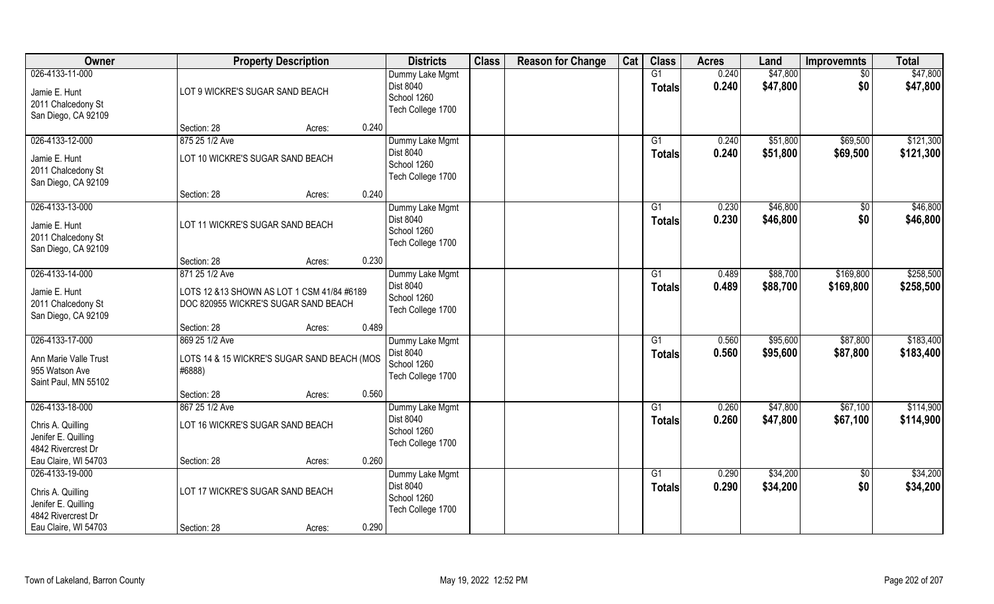| Owner                                                                                                     |                                                                                                      | <b>Property Description</b> |       | <b>Districts</b>                                                        | <b>Class</b> | <b>Reason for Change</b> | Cat | <b>Class</b>              | <b>Acres</b>   | Land                 | <b>Improvemnts</b>     | <b>Total</b>           |
|-----------------------------------------------------------------------------------------------------------|------------------------------------------------------------------------------------------------------|-----------------------------|-------|-------------------------------------------------------------------------|--------------|--------------------------|-----|---------------------------|----------------|----------------------|------------------------|------------------------|
| 026-4133-11-000<br>Jamie E. Hunt<br>2011 Chalcedony St<br>San Diego, CA 92109                             | LOT 9 WICKRE'S SUGAR SAND BEACH                                                                      |                             |       | Dummy Lake Mgmt<br><b>Dist 8040</b><br>School 1260<br>Tech College 1700 |              |                          |     | G1<br><b>Totals</b>       | 0.240<br>0.240 | \$47,800<br>\$47,800 | $\sqrt{50}$<br>\$0     | \$47,800<br>\$47,800   |
|                                                                                                           | Section: 28                                                                                          | Acres:                      | 0.240 |                                                                         |              |                          |     |                           |                |                      |                        |                        |
| 026-4133-12-000<br>Jamie E. Hunt<br>2011 Chalcedony St<br>San Diego, CA 92109                             | 875 25 1/2 Ave<br>LOT 10 WICKRE'S SUGAR SAND BEACH                                                   |                             |       | Dummy Lake Mgmt<br>Dist 8040<br>School 1260<br>Tech College 1700        |              |                          |     | G1<br><b>Totals</b>       | 0.240<br>0.240 | \$51,800<br>\$51,800 | \$69,500<br>\$69,500   | \$121,300<br>\$121,300 |
|                                                                                                           | Section: 28                                                                                          | Acres:                      | 0.240 |                                                                         |              |                          |     |                           |                |                      |                        |                        |
| 026-4133-13-000<br>Jamie E. Hunt<br>2011 Chalcedony St<br>San Diego, CA 92109                             | LOT 11 WICKRE'S SUGAR SAND BEACH                                                                     |                             |       | Dummy Lake Mgmt<br>Dist 8040<br>School 1260<br>Tech College 1700        |              |                          |     | G1<br><b>Totals</b>       | 0.230<br>0.230 | \$46,800<br>\$46,800 | \$0<br>\$0             | \$46,800<br>\$46,800   |
|                                                                                                           | Section: 28                                                                                          | Acres:                      | 0.230 |                                                                         |              |                          |     |                           |                |                      |                        |                        |
| 026-4133-14-000<br>Jamie E. Hunt<br>2011 Chalcedony St<br>San Diego, CA 92109                             | 871 25 1/2 Ave<br>LOTS 12 &13 SHOWN AS LOT 1 CSM 41/84 #6189<br>DOC 820955 WICKRE'S SUGAR SAND BEACH |                             |       | Dummy Lake Mgmt<br>Dist 8040<br>School 1260<br>Tech College 1700        |              |                          |     | G1<br><b>Totals</b>       | 0.489<br>0.489 | \$88,700<br>\$88,700 | \$169,800<br>\$169,800 | \$258,500<br>\$258,500 |
|                                                                                                           | Section: 28                                                                                          | Acres:                      | 0.489 |                                                                         |              |                          |     |                           |                |                      |                        |                        |
| 026-4133-17-000<br>Ann Marie Valle Trust<br>955 Watson Ave<br>Saint Paul, MN 55102                        | 869 25 1/2 Ave<br>LOTS 14 & 15 WICKRE'S SUGAR SAND BEACH (MOS<br>#6888)                              |                             |       | Dummy Lake Mgmt<br>Dist 8040<br>School 1260<br>Tech College 1700        |              |                          |     | G1<br><b>Totals</b>       | 0.560<br>0.560 | \$95,600<br>\$95,600 | \$87,800<br>\$87,800   | \$183,400<br>\$183,400 |
|                                                                                                           | Section: 28                                                                                          | Acres:                      | 0.560 |                                                                         |              |                          |     |                           |                |                      |                        |                        |
| 026-4133-18-000<br>Chris A. Quilling<br>Jenifer E. Quilling<br>4842 Rivercrest Dr                         | 867 25 1/2 Ave<br>LOT 16 WICKRE'S SUGAR SAND BEACH                                                   |                             |       | Dummy Lake Mgmt<br><b>Dist 8040</b><br>School 1260<br>Tech College 1700 |              |                          |     | G1<br><b>Totals</b>       | 0.260<br>0.260 | \$47,800<br>\$47,800 | \$67,100<br>\$67,100   | \$114,900<br>\$114,900 |
| Eau Claire, WI 54703                                                                                      | Section: 28                                                                                          | Acres:                      | 0.260 |                                                                         |              |                          |     |                           |                |                      |                        |                        |
| 026-4133-19-000<br>Chris A. Quilling<br>Jenifer E. Quilling<br>4842 Rivercrest Dr<br>Eau Claire, WI 54703 | LOT 17 WICKRE'S SUGAR SAND BEACH<br>Section: 28                                                      | Acres:                      | 0.290 | Dummy Lake Mgmt<br><b>Dist 8040</b><br>School 1260<br>Tech College 1700 |              |                          |     | $\overline{G1}$<br>Totals | 0.290<br>0.290 | \$34,200<br>\$34,200 | \$0<br>\$0             | \$34,200<br>\$34,200   |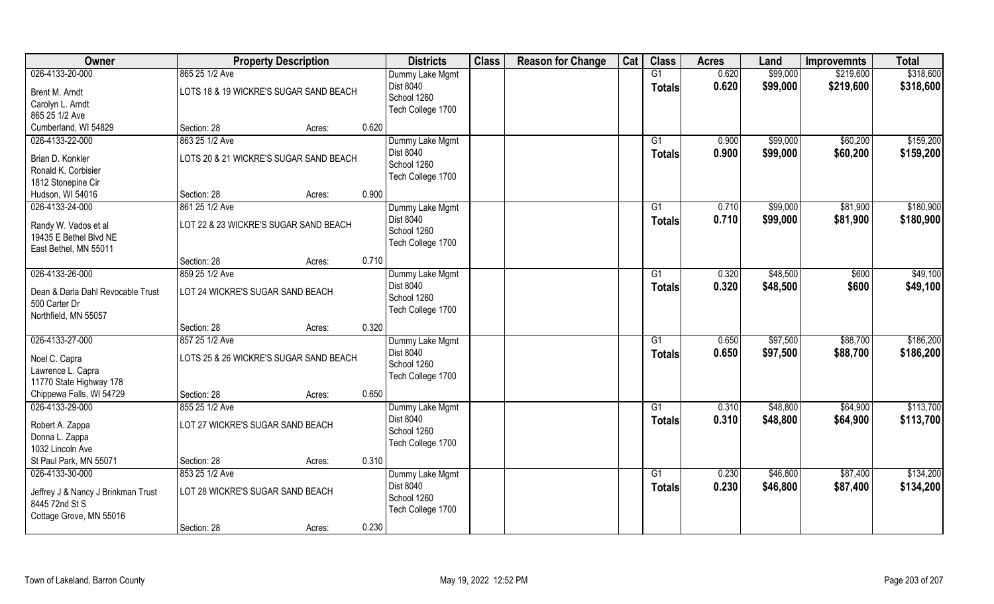| <b>Owner</b>                       | <b>Property Description</b>            |        |       | <b>Districts</b>  | <b>Class</b> | <b>Reason for Change</b> | Cat | <b>Class</b>    | <b>Acres</b> | Land     | <b>Improvemnts</b> | <b>Total</b> |
|------------------------------------|----------------------------------------|--------|-------|-------------------|--------------|--------------------------|-----|-----------------|--------------|----------|--------------------|--------------|
| 026-4133-20-000                    | 865 25 1/2 Ave                         |        |       | Dummy Lake Mgmt   |              |                          |     | G1              | 0.620        | \$99,000 | \$219,600          | \$318,600    |
| Brent M. Arndt                     | LOTS 18 & 19 WICKRE'S SUGAR SAND BEACH |        |       | Dist 8040         |              |                          |     | <b>Totals</b>   | 0.620        | \$99,000 | \$219,600          | \$318,600    |
| Carolyn L. Arndt                   |                                        |        |       | School 1260       |              |                          |     |                 |              |          |                    |              |
| 865 25 1/2 Ave                     |                                        |        |       | Tech College 1700 |              |                          |     |                 |              |          |                    |              |
| Cumberland, WI 54829               | Section: 28                            | Acres: | 0.620 |                   |              |                          |     |                 |              |          |                    |              |
| 026-4133-22-000                    | 863 25 1/2 Ave                         |        |       | Dummy Lake Mgmt   |              |                          |     | G1              | 0.900        | \$99,000 | \$60,200           | \$159,200    |
| Brian D. Konkler                   | LOTS 20 & 21 WICKRE'S SUGAR SAND BEACH |        |       | Dist 8040         |              |                          |     | Totals          | 0.900        | \$99,000 | \$60,200           | \$159,200    |
| Ronald K. Corbisier                |                                        |        |       | School 1260       |              |                          |     |                 |              |          |                    |              |
| 1812 Stonepine Cir                 |                                        |        |       | Tech College 1700 |              |                          |     |                 |              |          |                    |              |
| Hudson, WI 54016                   | Section: 28                            | Acres: | 0.900 |                   |              |                          |     |                 |              |          |                    |              |
| 026-4133-24-000                    | 861 25 1/2 Ave                         |        |       | Dummy Lake Mgmt   |              |                          |     | G1              | 0.710        | \$99,000 | \$81,900           | \$180,900    |
| Randy W. Vados et al               | LOT 22 & 23 WICKRE'S SUGAR SAND BEACH  |        |       | <b>Dist 8040</b>  |              |                          |     | <b>Totals</b>   | 0.710        | \$99,000 | \$81,900           | \$180,900    |
| 19435 E Bethel Blvd NE             |                                        |        |       | School 1260       |              |                          |     |                 |              |          |                    |              |
| East Bethel, MN 55011              |                                        |        |       | Tech College 1700 |              |                          |     |                 |              |          |                    |              |
|                                    | Section: 28                            | Acres: | 0.710 |                   |              |                          |     |                 |              |          |                    |              |
| 026-4133-26-000                    | 859 25 1/2 Ave                         |        |       | Dummy Lake Mgmt   |              |                          |     | G1              | 0.320        | \$48,500 | \$600              | \$49,100     |
|                                    |                                        |        |       | <b>Dist 8040</b>  |              |                          |     | <b>Totals</b>   | 0.320        | \$48,500 | \$600              | \$49,100     |
| Dean & Darla Dahl Revocable Trust  | LOT 24 WICKRE'S SUGAR SAND BEACH       |        |       | School 1260       |              |                          |     |                 |              |          |                    |              |
| 500 Carter Dr                      |                                        |        |       | Tech College 1700 |              |                          |     |                 |              |          |                    |              |
| Northfield, MN 55057               | Section: 28                            | Acres: | 0.320 |                   |              |                          |     |                 |              |          |                    |              |
| 026-4133-27-000                    | 857 25 1/2 Ave                         |        |       | Dummy Lake Mgmt   |              |                          |     | G1              | 0.650        | \$97,500 | \$88,700           | \$186,200    |
|                                    |                                        |        |       | <b>Dist 8040</b>  |              |                          |     | <b>Totals</b>   | 0.650        | \$97,500 | \$88,700           | \$186,200    |
| Noel C. Capra                      | LOTS 25 & 26 WICKRE'S SUGAR SAND BEACH |        |       | School 1260       |              |                          |     |                 |              |          |                    |              |
| Lawrence L. Capra                  |                                        |        |       | Tech College 1700 |              |                          |     |                 |              |          |                    |              |
| 11770 State Highway 178            |                                        |        |       |                   |              |                          |     |                 |              |          |                    |              |
| Chippewa Falls, WI 54729           | Section: 28                            | Acres: | 0.650 |                   |              |                          |     |                 |              |          |                    |              |
| 026-4133-29-000                    | 855 25 1/2 Ave                         |        |       | Dummy Lake Mgmt   |              |                          |     | G1              | 0.310        | \$48,800 | \$64,900           | \$113,700    |
| Robert A. Zappa                    | LOT 27 WICKRE'S SUGAR SAND BEACH       |        |       | Dist 8040         |              |                          |     | <b>Totals</b>   | 0.310        | \$48,800 | \$64,900           | \$113,700    |
| Donna L. Zappa                     |                                        |        |       | School 1260       |              |                          |     |                 |              |          |                    |              |
| 1032 Lincoln Ave                   |                                        |        |       | Tech College 1700 |              |                          |     |                 |              |          |                    |              |
| St Paul Park, MN 55071             | Section: 28                            | Acres: | 0.310 |                   |              |                          |     |                 |              |          |                    |              |
| 026-4133-30-000                    | 853 25 1/2 Ave                         |        |       | Dummy Lake Mgmt   |              |                          |     | $\overline{G1}$ | 0.230        | \$46,800 | \$87,400           | \$134,200    |
| Jeffrey J & Nancy J Brinkman Trust | LOT 28 WICKRE'S SUGAR SAND BEACH       |        |       | Dist 8040         |              |                          |     | <b>Totals</b>   | 0.230        | \$46,800 | \$87,400           | \$134,200    |
| 8445 72nd St S                     |                                        |        |       | School 1260       |              |                          |     |                 |              |          |                    |              |
| Cottage Grove, MN 55016            |                                        |        |       | Tech College 1700 |              |                          |     |                 |              |          |                    |              |
|                                    | Section: 28                            | Acres: | 0.230 |                   |              |                          |     |                 |              |          |                    |              |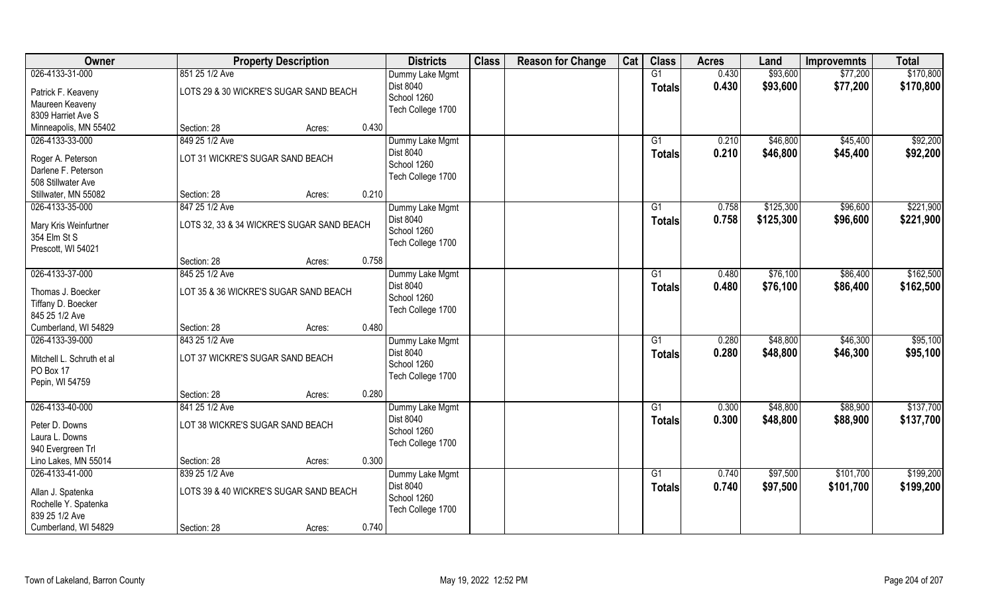| <b>Owner</b>                            |                                            | <b>Property Description</b> |       | <b>Districts</b>  | <b>Class</b> | <b>Reason for Change</b> | Cat | <b>Class</b>    | <b>Acres</b> | Land      | <b>Improvemnts</b> | <b>Total</b> |
|-----------------------------------------|--------------------------------------------|-----------------------------|-------|-------------------|--------------|--------------------------|-----|-----------------|--------------|-----------|--------------------|--------------|
| 026-4133-31-000                         | 851 25 1/2 Ave                             |                             |       | Dummy Lake Mgmt   |              |                          |     | G1              | 0.430        | \$93,600  | \$77,200           | \$170,800    |
| Patrick F. Keaveny                      | LOTS 29 & 30 WICKRE'S SUGAR SAND BEACH     |                             |       | Dist 8040         |              |                          |     | <b>Totals</b>   | 0.430        | \$93,600  | \$77,200           | \$170,800    |
| Maureen Keaveny                         |                                            |                             |       | School 1260       |              |                          |     |                 |              |           |                    |              |
| 8309 Harriet Ave S                      |                                            |                             |       | Tech College 1700 |              |                          |     |                 |              |           |                    |              |
| Minneapolis, MN 55402                   | Section: 28                                | Acres:                      | 0.430 |                   |              |                          |     |                 |              |           |                    |              |
| 026-4133-33-000                         | 849 25 1/2 Ave                             |                             |       | Dummy Lake Mgmt   |              |                          |     | G1              | 0.210        | \$46,800  | \$45,400           | \$92,200     |
| Roger A. Peterson                       | LOT 31 WICKRE'S SUGAR SAND BEACH           |                             |       | <b>Dist 8040</b>  |              |                          |     | Totals          | 0.210        | \$46,800  | \$45,400           | \$92,200     |
| Darlene F. Peterson                     |                                            |                             |       | School 1260       |              |                          |     |                 |              |           |                    |              |
| 508 Stillwater Ave                      |                                            |                             |       | Tech College 1700 |              |                          |     |                 |              |           |                    |              |
| Stillwater, MN 55082                    | Section: 28                                | Acres:                      | 0.210 |                   |              |                          |     |                 |              |           |                    |              |
| 026-4133-35-000                         | 847 25 1/2 Ave                             |                             |       | Dummy Lake Mgmt   |              |                          |     | G1              | 0.758        | \$125,300 | \$96,600           | \$221,900    |
| Mary Kris Weinfurtner                   | LOTS 32, 33 & 34 WICKRE'S SUGAR SAND BEACH |                             |       | Dist 8040         |              |                          |     | <b>Totals</b>   | 0.758        | \$125,300 | \$96,600           | \$221,900    |
| 354 Elm St S                            |                                            |                             |       | School 1260       |              |                          |     |                 |              |           |                    |              |
| Prescott, WI 54021                      |                                            |                             |       | Tech College 1700 |              |                          |     |                 |              |           |                    |              |
|                                         | Section: 28                                | Acres:                      | 0.758 |                   |              |                          |     |                 |              |           |                    |              |
| 026-4133-37-000                         | 845 25 1/2 Ave                             |                             |       | Dummy Lake Mgmt   |              |                          |     | G1              | 0.480        | \$76,100  | \$86,400           | \$162,500    |
|                                         | LOT 35 & 36 WICKRE'S SUGAR SAND BEACH      |                             |       | <b>Dist 8040</b>  |              |                          |     | <b>Totals</b>   | 0.480        | \$76,100  | \$86,400           | \$162,500    |
| Thomas J. Boecker<br>Tiffany D. Boecker |                                            |                             |       | School 1260       |              |                          |     |                 |              |           |                    |              |
| 845 25 1/2 Ave                          |                                            |                             |       | Tech College 1700 |              |                          |     |                 |              |           |                    |              |
| Cumberland, WI 54829                    | Section: 28                                | Acres:                      | 0.480 |                   |              |                          |     |                 |              |           |                    |              |
| 026-4133-39-000                         | 843 25 1/2 Ave                             |                             |       | Dummy Lake Mgmt   |              |                          |     | G1              | 0.280        | \$48,800  | \$46,300           | \$95,100     |
|                                         |                                            |                             |       | Dist 8040         |              |                          |     | <b>Totals</b>   | 0.280        | \$48,800  | \$46,300           | \$95,100     |
| Mitchell L. Schruth et al               | LOT 37 WICKRE'S SUGAR SAND BEACH           |                             |       | School 1260       |              |                          |     |                 |              |           |                    |              |
| PO Box 17                               |                                            |                             |       | Tech College 1700 |              |                          |     |                 |              |           |                    |              |
| Pepin, WI 54759                         |                                            |                             |       |                   |              |                          |     |                 |              |           |                    |              |
|                                         | Section: 28                                | Acres:                      | 0.280 |                   |              |                          |     |                 |              |           |                    |              |
| 026-4133-40-000                         | 841 25 1/2 Ave                             |                             |       | Dummy Lake Mgmt   |              |                          |     | G1              | 0.300        | \$48,800  | \$88,900           | \$137,700    |
| Peter D. Downs                          | LOT 38 WICKRE'S SUGAR SAND BEACH           |                             |       | Dist 8040         |              |                          |     | <b>Totals</b>   | 0.300        | \$48,800  | \$88,900           | \$137,700    |
| Laura L. Downs                          |                                            |                             |       | School 1260       |              |                          |     |                 |              |           |                    |              |
| 940 Evergreen Trl                       |                                            |                             |       | Tech College 1700 |              |                          |     |                 |              |           |                    |              |
| Lino Lakes, MN 55014                    | Section: 28                                | Acres:                      | 0.300 |                   |              |                          |     |                 |              |           |                    |              |
| 026-4133-41-000                         | 839 25 1/2 Ave                             |                             |       | Dummy Lake Mgmt   |              |                          |     | $\overline{G1}$ | 0.740        | \$97,500  | \$101,700          | \$199,200    |
| Allan J. Spatenka                       | LOTS 39 & 40 WICKRE'S SUGAR SAND BEACH     |                             |       | <b>Dist 8040</b>  |              |                          |     | <b>Totals</b>   | 0.740        | \$97,500  | \$101,700          | \$199,200    |
| Rochelle Y. Spatenka                    |                                            |                             |       | School 1260       |              |                          |     |                 |              |           |                    |              |
| 839 25 1/2 Ave                          |                                            |                             |       | Tech College 1700 |              |                          |     |                 |              |           |                    |              |
| Cumberland, WI 54829                    | Section: 28                                | Acres:                      | 0.740 |                   |              |                          |     |                 |              |           |                    |              |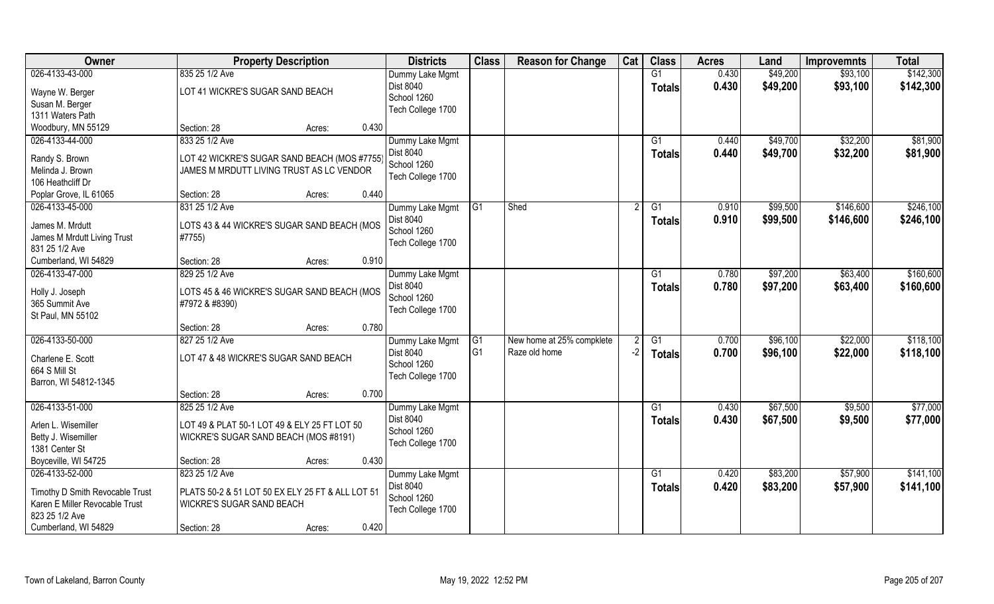| <b>Owner</b>                    | <b>Property Description</b>                      |        |       | <b>Districts</b>                    | <b>Class</b>   | <b>Reason for Change</b>  | Cat  | <b>Class</b>    | <b>Acres</b> | Land     | <b>Improvemnts</b> | <b>Total</b> |
|---------------------------------|--------------------------------------------------|--------|-------|-------------------------------------|----------------|---------------------------|------|-----------------|--------------|----------|--------------------|--------------|
| 026-4133-43-000                 | 835 25 1/2 Ave                                   |        |       | Dummy Lake Mgmt                     |                |                           |      | G1              | 0.430        | \$49,200 | \$93,100           | \$142,300    |
| Wayne W. Berger                 | LOT 41 WICKRE'S SUGAR SAND BEACH                 |        |       | Dist 8040                           |                |                           |      | <b>Totals</b>   | 0.430        | \$49,200 | \$93,100           | \$142,300    |
| Susan M. Berger                 |                                                  |        |       | School 1260                         |                |                           |      |                 |              |          |                    |              |
| 1311 Waters Path                |                                                  |        |       | Tech College 1700                   |                |                           |      |                 |              |          |                    |              |
| Woodbury, MN 55129              | Section: 28                                      | Acres: | 0.430 |                                     |                |                           |      |                 |              |          |                    |              |
| 026-4133-44-000                 | 833 25 1/2 Ave                                   |        |       | Dummy Lake Mgmt                     |                |                           |      | G1              | 0.440        | \$49,700 | \$32,200           | \$81,900     |
|                                 |                                                  |        |       | Dist 8040                           |                |                           |      | <b>Totals</b>   | 0.440        | \$49,700 | \$32,200           | \$81,900     |
| Randy S. Brown                  | LOT 42 WICKRE'S SUGAR SAND BEACH (MOS #7755)     |        |       | School 1260                         |                |                           |      |                 |              |          |                    |              |
| Melinda J. Brown                | JAMES M MRDUTT LIVING TRUST AS LC VENDOR         |        |       | Tech College 1700                   |                |                           |      |                 |              |          |                    |              |
| 106 Heathcliff Dr               |                                                  |        | 0.440 |                                     |                |                           |      |                 |              |          |                    |              |
| Poplar Grove, IL 61065          | Section: 28                                      | Acres: |       |                                     |                |                           |      |                 |              |          |                    |              |
| 026-4133-45-000                 | 831 25 1/2 Ave                                   |        |       | Dummy Lake Mgmt                     | G1             | Shed                      |      | G1              | 0.910        | \$99,500 | \$146,600          | \$246,100    |
| James M. Mrdutt                 | LOTS 43 & 44 WICKRE'S SUGAR SAND BEACH (MOS      |        |       | Dist 8040                           |                |                           |      | <b>Totals</b>   | 0.910        | \$99,500 | \$146,600          | \$246,100    |
| James M Mrdutt Living Trust     | #7755)                                           |        |       | School 1260                         |                |                           |      |                 |              |          |                    |              |
| 831 25 1/2 Ave                  |                                                  |        |       | Tech College 1700                   |                |                           |      |                 |              |          |                    |              |
| Cumberland, WI 54829            | Section: 28                                      | Acres: | 0.910 |                                     |                |                           |      |                 |              |          |                    |              |
| 026-4133-47-000                 | 829 25 1/2 Ave                                   |        |       | Dummy Lake Mgmt                     |                |                           |      | G1              | 0.780        | \$97,200 | \$63,400           | \$160,600    |
|                                 |                                                  |        |       | Dist 8040                           |                |                           |      | <b>Totals</b>   | 0.780        | \$97,200 | \$63,400           | \$160,600    |
| Holly J. Joseph                 | LOTS 45 & 46 WICKRE'S SUGAR SAND BEACH (MOS      |        |       | School 1260                         |                |                           |      |                 |              |          |                    |              |
| 365 Summit Ave                  | #7972 & #8390)                                   |        |       | Tech College 1700                   |                |                           |      |                 |              |          |                    |              |
| St Paul, MN 55102               | Section: 28                                      |        | 0.780 |                                     |                |                           |      |                 |              |          |                    |              |
| 026-4133-50-000                 | 827 25 1/2 Ave                                   | Acres: |       |                                     | G1             | New home at 25% compklete |      | $\overline{G1}$ | 0.700        | \$96,100 | \$22,000           | \$118,100    |
|                                 |                                                  |        |       | Dummy Lake Mgmt<br><b>Dist 8040</b> | G <sub>1</sub> | Raze old home             | $-2$ |                 |              |          |                    |              |
| Charlene E. Scott               | LOT 47 & 48 WICKRE'S SUGAR SAND BEACH            |        |       | School 1260                         |                |                           |      | Totals          | 0.700        | \$96,100 | \$22,000           | \$118,100    |
| 664 S Mill St                   |                                                  |        |       | Tech College 1700                   |                |                           |      |                 |              |          |                    |              |
| Barron, WI 54812-1345           |                                                  |        |       |                                     |                |                           |      |                 |              |          |                    |              |
|                                 | Section: 28                                      | Acres: | 0.700 |                                     |                |                           |      |                 |              |          |                    |              |
| 026-4133-51-000                 | 825 25 1/2 Ave                                   |        |       | Dummy Lake Mgmt                     |                |                           |      | G1              | 0.430        | \$67,500 | \$9,500            | \$77,000     |
| Arlen L. Wisemiller             | LOT 49 & PLAT 50-1 LOT 49 & ELY 25 FT LOT 50     |        |       | <b>Dist 8040</b>                    |                |                           |      | <b>Totals</b>   | 0.430        | \$67,500 | \$9,500            | \$77,000     |
| Betty J. Wisemiller             | WICKRE'S SUGAR SAND BEACH (MOS #8191)            |        |       | School 1260                         |                |                           |      |                 |              |          |                    |              |
| 1381 Center St                  |                                                  |        |       | Tech College 1700                   |                |                           |      |                 |              |          |                    |              |
| Boyceville, WI 54725            | Section: 28                                      | Acres: | 0.430 |                                     |                |                           |      |                 |              |          |                    |              |
| 026-4133-52-000                 | 823 25 1/2 Ave                                   |        |       | Dummy Lake Mgmt                     |                |                           |      | G1              | 0.420        | \$83,200 | \$57,900           | \$141,100    |
|                                 | PLATS 50-2 & 51 LOT 50 EX ELY 25 FT & ALL LOT 51 |        |       | Dist 8040                           |                |                           |      | <b>Totals</b>   | 0.420        | \$83,200 | \$57,900           | \$141,100    |
| Timothy D Smith Revocable Trust |                                                  |        |       | School 1260                         |                |                           |      |                 |              |          |                    |              |
| Karen E Miller Revocable Trust  | WICKRE'S SUGAR SAND BEACH                        |        |       | Tech College 1700                   |                |                           |      |                 |              |          |                    |              |
| 823 25 1/2 Ave                  |                                                  |        |       |                                     |                |                           |      |                 |              |          |                    |              |
| Cumberland, WI 54829            | Section: 28                                      | Acres: | 0.420 |                                     |                |                           |      |                 |              |          |                    |              |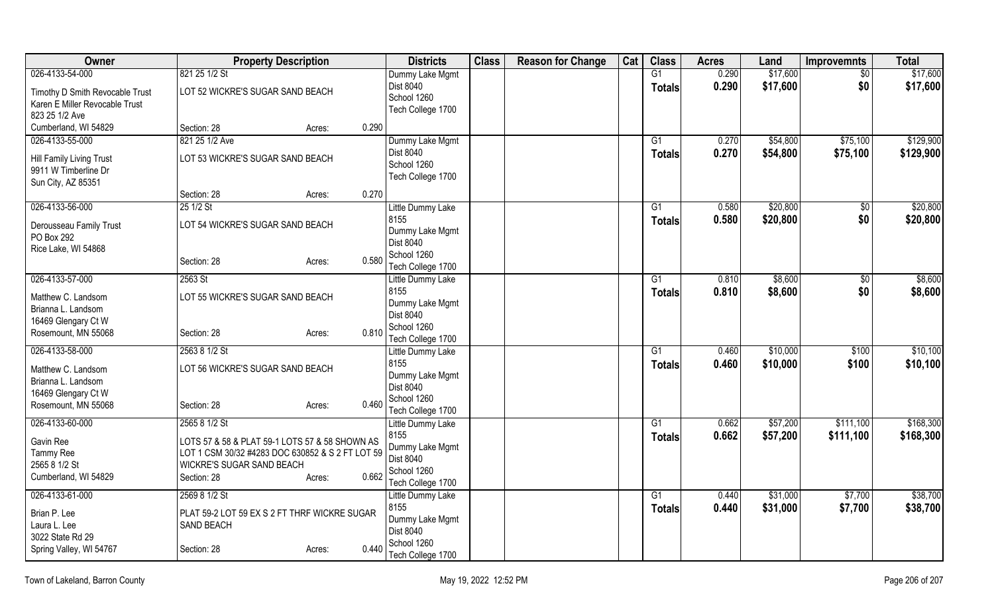| Owner                                    | <b>Property Description</b>                      |       | <b>Districts</b>                 | <b>Class</b> | <b>Reason for Change</b> | Cat | <b>Class</b>    | <b>Acres</b> | Land     | <b>Improvemnts</b> | <b>Total</b> |
|------------------------------------------|--------------------------------------------------|-------|----------------------------------|--------------|--------------------------|-----|-----------------|--------------|----------|--------------------|--------------|
| 026-4133-54-000                          | 821 25 1/2 St                                    |       | Dummy Lake Mgmt                  |              |                          |     | $\overline{G1}$ | 0.290        | \$17,600 | $\overline{50}$    | \$17,600     |
| Timothy D Smith Revocable Trust          | LOT 52 WICKRE'S SUGAR SAND BEACH                 |       | Dist 8040                        |              |                          |     | <b>Totals</b>   | 0.290        | \$17,600 | \$0                | \$17,600     |
| Karen E Miller Revocable Trust           |                                                  |       | School 1260                      |              |                          |     |                 |              |          |                    |              |
| 823 25 1/2 Ave                           |                                                  |       | Tech College 1700                |              |                          |     |                 |              |          |                    |              |
| Cumberland, WI 54829                     | Section: 28<br>Acres:                            | 0.290 |                                  |              |                          |     |                 |              |          |                    |              |
| 026-4133-55-000                          | 821 25 1/2 Ave                                   |       | Dummy Lake Mgmt                  |              |                          |     | G1              | 0.270        | \$54,800 | \$75,100           | \$129,900    |
| Hill Family Living Trust                 | LOT 53 WICKRE'S SUGAR SAND BEACH                 |       | Dist 8040                        |              |                          |     | <b>Totals</b>   | 0.270        | \$54,800 | \$75,100           | \$129,900    |
| 9911 W Timberline Dr                     |                                                  |       | School 1260                      |              |                          |     |                 |              |          |                    |              |
| Sun City, AZ 85351                       |                                                  |       | Tech College 1700                |              |                          |     |                 |              |          |                    |              |
|                                          | Section: 28<br>Acres:                            | 0.270 |                                  |              |                          |     |                 |              |          |                    |              |
| 026-4133-56-000                          | 25 1/2 St                                        |       | Little Dummy Lake                |              |                          |     | G1              | 0.580        | \$20,800 | $\sqrt[6]{}$       | \$20,800     |
| Derousseau Family Trust                  | LOT 54 WICKRE'S SUGAR SAND BEACH                 |       | 8155                             |              |                          |     | <b>Totals</b>   | 0.580        | \$20,800 | \$0                | \$20,800     |
| PO Box 292                               |                                                  |       | Dummy Lake Mgmt                  |              |                          |     |                 |              |          |                    |              |
| Rice Lake, WI 54868                      |                                                  |       | Dist 8040<br>School 1260         |              |                          |     |                 |              |          |                    |              |
|                                          | Section: 28<br>Acres:                            | 0.580 | Tech College 1700                |              |                          |     |                 |              |          |                    |              |
| 026-4133-57-000                          | 2563 St                                          |       | Little Dummy Lake                |              |                          |     | G1              | 0.810        | \$8,600  | \$0                | \$8,600      |
|                                          |                                                  |       | 8155                             |              |                          |     | <b>Totals</b>   | 0.810        | \$8,600  | \$0                | \$8,600      |
| Matthew C. Landsom<br>Brianna L. Landsom | LOT 55 WICKRE'S SUGAR SAND BEACH                 |       | Dummy Lake Mgmt                  |              |                          |     |                 |              |          |                    |              |
| 16469 Glengary Ct W                      |                                                  |       | <b>Dist 8040</b>                 |              |                          |     |                 |              |          |                    |              |
| Rosemount, MN 55068                      | Section: 28<br>Acres:                            | 0.810 | School 1260                      |              |                          |     |                 |              |          |                    |              |
|                                          |                                                  |       | Tech College 1700                |              |                          |     |                 |              |          |                    |              |
| 026-4133-58-000                          | 2563 8 1/2 St                                    |       | Little Dummy Lake                |              |                          |     | G1              | 0.460        | \$10,000 | \$100              | \$10,100     |
| Matthew C. Landsom                       | LOT 56 WICKRE'S SUGAR SAND BEACH                 |       | 8155<br>Dummy Lake Mgmt          |              |                          |     | <b>Totals</b>   | 0.460        | \$10,000 | \$100              | \$10,100     |
| Brianna L. Landsom                       |                                                  |       | <b>Dist 8040</b>                 |              |                          |     |                 |              |          |                    |              |
| 16469 Glengary Ct W                      |                                                  |       | School 1260                      |              |                          |     |                 |              |          |                    |              |
| Rosemount, MN 55068                      | Section: 28<br>Acres:                            | 0.460 | Tech College 1700                |              |                          |     |                 |              |          |                    |              |
| 026-4133-60-000                          | 2565 8 1/2 St                                    |       | Little Dummy Lake                |              |                          |     | G1              | 0.662        | \$57,200 | \$111,100          | \$168,300    |
| Gavin Ree                                | LOTS 57 & 58 & PLAT 59-1 LOTS 57 & 58 SHOWN AS   |       | 8155                             |              |                          |     | <b>Totals</b>   | 0.662        | \$57,200 | \$111,100          | \$168,300    |
| Tammy Ree                                | LOT 1 CSM 30/32 #4283 DOC 630852 & S 2 FT LOT 59 |       | Dummy Lake Mgmt                  |              |                          |     |                 |              |          |                    |              |
| 2565 8 1/2 St                            | WICKRE'S SUGAR SAND BEACH                        |       | Dist 8040                        |              |                          |     |                 |              |          |                    |              |
| Cumberland, WI 54829                     | Section: 28<br>Acres:                            | 0.662 | School 1260<br>Tech College 1700 |              |                          |     |                 |              |          |                    |              |
| 026-4133-61-000                          | 2569 8 1/2 St                                    |       | Little Dummy Lake                |              |                          |     | G1              | 0.440        | \$31,000 | \$7,700            | \$38,700     |
|                                          |                                                  |       | 8155                             |              |                          |     | <b>Totals</b>   | 0.440        | \$31,000 | \$7,700            | \$38,700     |
| Brian P. Lee                             | PLAT 59-2 LOT 59 EX S 2 FT THRF WICKRE SUGAR     |       | Dummy Lake Mgmt                  |              |                          |     |                 |              |          |                    |              |
| Laura L. Lee<br>3022 State Rd 29         | <b>SAND BEACH</b>                                |       | Dist 8040                        |              |                          |     |                 |              |          |                    |              |
| Spring Valley, WI 54767                  | Section: 28<br>Acres:                            | 0.440 | School 1260                      |              |                          |     |                 |              |          |                    |              |
|                                          |                                                  |       | Tech College 1700                |              |                          |     |                 |              |          |                    |              |